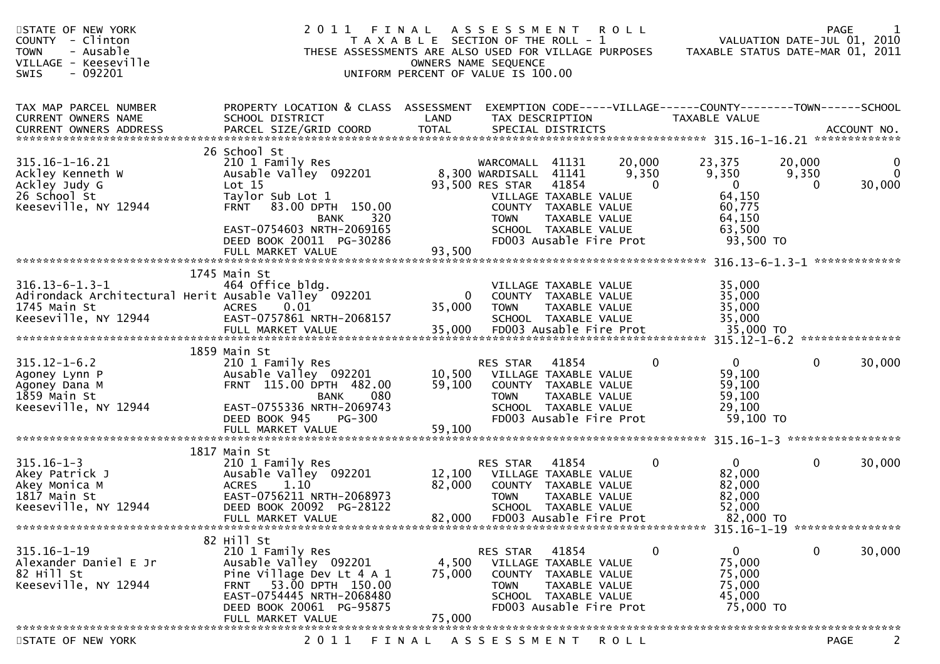| STATE OF NEW YORK<br>COUNTY - Clinton<br>- Ausable<br><b>TOWN</b><br>VILLAGE - Keeseville<br>$-092201$<br><b>SWIS</b> | 2011<br>THESE ASSESSMENTS ARE ALSO USED FOR VILLAGE PURPOSES                                                                                                                                               | FINAL<br>T A X A B L E SECTION OF THE ROLL - 1<br>UNIFORM PERCENT OF VALUE IS 100.00 | A S S E S S M E N T<br>OWNERS NAME SEQUENCE                                                         |                                                                                                                            | <b>ROLL</b>                 | TAXABLE STATUS DATE-MAR 01, 2011                                                       |                      | <b>PAGE</b><br>VALUATION DATE-JUL 01, 2010 |
|-----------------------------------------------------------------------------------------------------------------------|------------------------------------------------------------------------------------------------------------------------------------------------------------------------------------------------------------|--------------------------------------------------------------------------------------|-----------------------------------------------------------------------------------------------------|----------------------------------------------------------------------------------------------------------------------------|-----------------------------|----------------------------------------------------------------------------------------|----------------------|--------------------------------------------|
| TAX MAP PARCEL NUMBER<br>CURRENT OWNERS NAME                                                                          | PROPERTY LOCATION & CLASS ASSESSMENT<br>SCHOOL DISTRICT                                                                                                                                                    | LAND                                                                                 | TAX DESCRIPTION                                                                                     |                                                                                                                            |                             | EXEMPTION CODE-----VILLAGE------COUNTY--------TOWN------SCHOOL<br>TAXABLE VALUE        |                      |                                            |
|                                                                                                                       |                                                                                                                                                                                                            |                                                                                      |                                                                                                     |                                                                                                                            |                             |                                                                                        |                      |                                            |
| 315.16-1-16.21<br>Ackley Kenneth W<br>Ackley Judy G<br>26 School St<br>Keeseville, NY 12944                           | 26 School St<br>210 1 Family Res<br>Ausable Valley 092201<br>Lot 15<br>Taylor Sub Lot 1<br><b>FRNT</b><br>83.00 DPTH 150.00<br>320<br><b>BANK</b><br>EAST-0754603 NRTH-2069165<br>DEED BOOK 20011 PG-30286 |                                                                                      | WARCOMALL 41131<br>8,300 WARDISALL 41141<br>93,500 RES STAR<br>VILLAGE TAXABLE VALUE<br><b>TOWN</b> | 41854<br>COUNTY TAXABLE VALUE<br>TAXABLE VALUE<br>SCHOOL TAXABLE VALUE<br>FD003 Ausable Fire Prot                          | 20,000<br>9,350<br>$\Omega$ | 23,375<br>9,350<br>$\overline{0}$<br>64,150<br>60,775<br>64,150<br>63,500<br>93,500 TO | 20,000<br>9,350<br>0 | 0<br>$\mathbf{0}$<br>30,000                |
|                                                                                                                       | FULL MARKET VALUE                                                                                                                                                                                          | 93,500                                                                               |                                                                                                     |                                                                                                                            |                             |                                                                                        |                      |                                            |
| $316.13 - 6 - 1.3 - 1$<br>1745 Main St<br>Keeseville, NY 12944                                                        | 1745 Main St<br>464 Office bldg.<br>Adirondack Architectural Herit Ausable Valley 092201<br>0.01<br><b>ACRES</b><br>EAST-0757861 NRTH-2068157<br>FULL MARKET VALUE                                         | 0<br>35,000<br>35,000                                                                | <b>TOWN</b><br>FD003 Ausable Fire Prot                                                              | VILLAGE TAXABLE VALUE<br>COUNTY TAXABLE VALUE<br>TAXABLE VALUE<br>SCHOOL TAXABLE VALUE                                     |                             | 35,000<br>35,000<br>35,000<br>35,000<br>35,000 TO                                      |                      |                                            |
| $315.12 - 1 - 6.2$<br>Agoney Lynn P<br>Agoney Dana M<br>1859 Main St<br>Keeseville, NY 12944                          | 1859 Main St<br>210 1 Family Res<br>Ausable Valley 092201<br>FRNT 115.00 DPTH 482.00<br>080<br><b>BANK</b><br>EAST-0755336 NRTH-2069743<br>DEED BOOK 945<br>PG-300                                         | 10,500<br>59,100                                                                     | RES STAR<br>VILLAGE TAXABLE VALUE<br>COUNTY TAXABLE VALUE<br><b>TOWN</b>                            | 41854<br>TAXABLE VALUE<br>SCHOOL TAXABLE VALUE<br>FD003 Ausable Fire Prot                                                  | $\mathbf{0}$                | $\mathbf{0}$<br>59,100<br>59,100<br>59,100<br>29,100<br>59,100 TO                      | $\mathbf{0}$         | 30,000                                     |
|                                                                                                                       |                                                                                                                                                                                                            |                                                                                      |                                                                                                     |                                                                                                                            |                             |                                                                                        |                      |                                            |
| $315.16 - 1 - 3$<br>Akey Patrick J<br>Akey Monica M<br>1817 Main St<br>Keeseville, NY 12944                           | 1817 Main St<br>210 1 Family Res<br>Ausable Valley 092201<br><b>ACRES</b><br>1.10<br>EAST-0756211 NRTH-2068973<br>DEED BOOK 20092 PG-28122<br>FULL MARKET VALUE                                            | 12,100<br>82,000<br>82,000                                                           | RES STAR<br><b>TOWN</b>                                                                             | 41854<br>VILLAGE TAXABLE VALUE<br>COUNTY TAXABLE VALUE<br>TAXABLE VALUE<br>SCHOOL TAXABLE VALUE<br>FD003 Ausable Fire Prot | 0                           | $\mathbf{0}$<br>82,000<br>82,000<br>82,000<br>52,000<br>82,000 TO                      | 0                    | 30,000                                     |
|                                                                                                                       | 82 Hill St                                                                                                                                                                                                 |                                                                                      |                                                                                                     |                                                                                                                            |                             |                                                                                        |                      |                                            |
| $315.16 - 1 - 19$<br>Alexander Daniel E Jr<br>82 Hill St<br>Keeseville, NY 12944                                      | 210 1 Family Res<br>Ausable Valley 092201<br>Pine Village Dev Lt 4 A 1<br>53.00 DPTH 150.00<br><b>FRNT</b><br>EAST-0754445 NRTH-2068480<br>DEED BOOK 20061 PG-95875<br>FULL MARKET VALUE                   | 4,500<br>75,000<br>75,000                                                            | RES STAR<br><b>TOWN</b>                                                                             | 41854<br>VILLAGE TAXABLE VALUE<br>COUNTY TAXABLE VALUE<br>TAXABLE VALUE<br>SCHOOL TAXABLE VALUE<br>FD003 Ausable Fire Prot | 0                           | $\mathbf{0}$<br>75,000<br>75,000<br>75,000<br>45,000<br>75,000 TO                      | 0                    | 30,000                                     |
|                                                                                                                       |                                                                                                                                                                                                            |                                                                                      |                                                                                                     |                                                                                                                            |                             |                                                                                        |                      |                                            |
| STATE OF NEW YORK                                                                                                     | 2 0 1 1                                                                                                                                                                                                    | FINAL                                                                                | A S S E S S M E N T                                                                                 |                                                                                                                            | <b>ROLL</b>                 |                                                                                        |                      | <b>PAGE</b><br>2                           |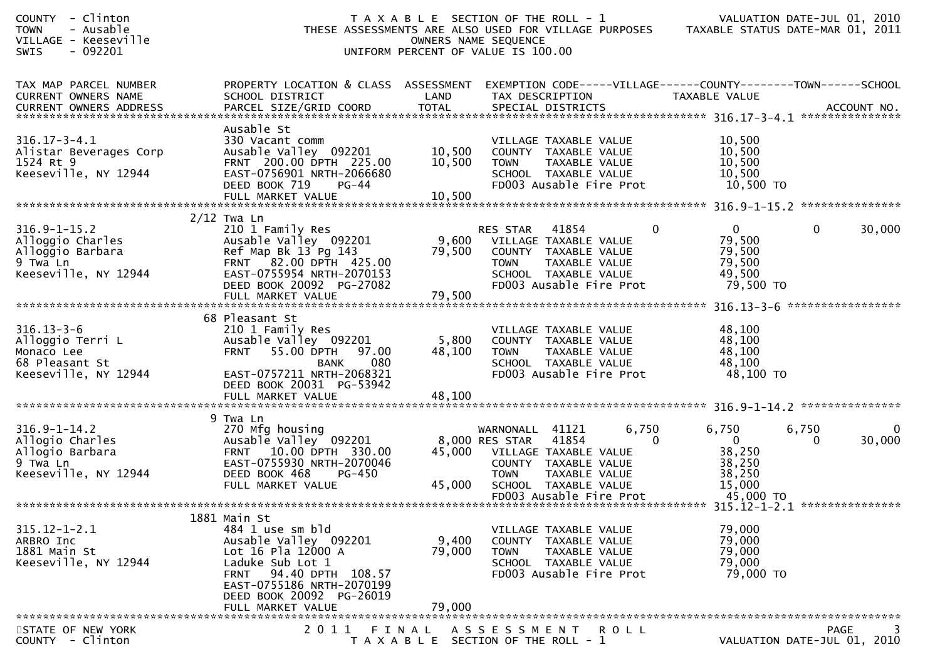| - Clinton<br><b>COUNTY</b><br><b>TOWN</b><br>- Ausable<br>VILLAGE - Keeseville<br>$-092201$<br><b>SWIS</b> | THESE ASSESSMENTS ARE ALSO USED FOR VILLAGE PURPOSES TAXABLE STATUS DATE-MAR 01, 2011                                                                                                                 | T A X A B L E SECTION OF THE ROLL - 1<br>UNIFORM PERCENT OF VALUE IS 100.00 | OWNERS NAME SEQUENCE                                                                                                        |                        |         |              |                                                                   |             | VALUATION DATE-JUL 01, 2010                                    |
|------------------------------------------------------------------------------------------------------------|-------------------------------------------------------------------------------------------------------------------------------------------------------------------------------------------------------|-----------------------------------------------------------------------------|-----------------------------------------------------------------------------------------------------------------------------|------------------------|---------|--------------|-------------------------------------------------------------------|-------------|----------------------------------------------------------------|
| TAX MAP PARCEL NUMBER<br>CURRENT OWNERS NAME                                                               | PROPERTY LOCATION & CLASS ASSESSMENT<br>SCHOOL DISTRICT                                                                                                                                               | LAND                                                                        | TAX DESCRIPTION                                                                                                             |                        |         |              | TAXABLE VALUE                                                     |             | EXEMPTION CODE-----VILLAGE------COUNTY--------TOWN------SCHOOL |
| $316.17 - 3 - 4.1$<br>Alistar Beverages Corp<br>1524 Rt 9<br>Keeseville, NY 12944                          | Ausable St<br>330 Vacant comm<br>Ausable Valley 092201<br>FRNT 200.00 DPTH 225.00<br>EAST-0756901 NRTH-2066680<br>DEED BOOK 719<br>PG-44<br>FULL MARKET VALUE                                         | 10,500<br>10,500<br>10,500                                                  | VILLAGE TAXABLE VALUE<br>COUNTY TAXABLE VALUE<br><b>TOWN</b><br>SCHOOL TAXABLE VALUE<br>FD003 Ausable Fire Prot             | TAXABLE VALUE          |         |              | 10,500<br>10,500<br>10,500<br>10,500<br>10,500 TO                 |             |                                                                |
|                                                                                                            |                                                                                                                                                                                                       |                                                                             |                                                                                                                             |                        |         |              |                                                                   |             |                                                                |
| $316.9 - 1 - 15.2$<br>Alloggio Charles<br>Alloggio Barbara<br>9 Twa Ln<br>Keeseville, NY 12944             | $2/12$ Twa Ln<br>210 1 Family Res<br>Ausable Valley 092201<br>Ref Map Bk 13 Pg 143<br>FRNT 82.00 DPTH 425.00<br>EAST-0755954 NRTH-2070153<br>DEED BOOK 20092 PG-27082                                 | 9,600<br>79,500                                                             | RES STAR<br>VILLAGE TAXABLE VALUE<br>COUNTY TAXABLE VALUE<br><b>TOWN</b><br>SCHOOL TAXABLE VALUE<br>FD003 Ausable Fire Prot | 41854<br>TAXABLE VALUE |         | $\mathbf{0}$ | $\mathbf{0}$<br>79,500<br>79,500<br>79,500<br>49,500<br>79,500 TO | $\mathbf 0$ | 30,000                                                         |
|                                                                                                            |                                                                                                                                                                                                       |                                                                             |                                                                                                                             |                        |         |              |                                                                   |             |                                                                |
| $316.13 - 3 - 6$<br>Alloggio Terri L<br>Monaco Lee<br>68 Pleasant St<br>Keeseville, NY 12944               | 68 Pleasant St<br>210 1 Family Res<br>Ausable Valley 092201<br>55.00 DPTH<br><b>FRNT</b><br>97.00<br>080<br><b>BANK</b><br>EAST-0757211 NRTH-2068321<br>DEED BOOK 20031 PG-53942<br>FULL MARKET VALUE | 5,800<br>48,100<br>48,100                                                   | VILLAGE TAXABLE VALUE<br>COUNTY TAXABLE VALUE<br><b>TOWN</b><br>SCHOOL TAXABLE VALUE<br>FD003 Ausable Fire Prot             | TAXABLE VALUE          |         |              | 48,100<br>48,100<br>48,100<br>48,100<br>48,100 TO                 |             |                                                                |
|                                                                                                            | 9 Twa Ln                                                                                                                                                                                              |                                                                             |                                                                                                                             |                        |         |              |                                                                   |             |                                                                |
| $316.9 - 1 - 14.2$<br>Allogio Charles<br>Allogio Barbara<br>9 Twa Ln<br>Keeseville, NY 12944               | 270 Mfg housing<br>Ausable Valley 092201<br>FRNT 10.00 DPTH 330.00<br>EAST-0755930 NRTH-2070046<br>DEED BOOK 468<br>PG-450<br>FULL MARKET VALUE                                                       | 45,000<br>45,000                                                            | WARNONALL 41121<br>8,000 RES STAR<br>VILLAGE TAXABLE VALUE<br>COUNTY TAXABLE VALUE<br><b>TOWN</b><br>SCHOOL TAXABLE VALUE   | 41854<br>TAXABLE VALUE | 6,750   | $\mathbf{0}$ | 6,750<br>$\overline{0}$<br>38,250<br>38,250<br>38,250<br>15,000   | 6,750<br>0  | 0<br>30,000                                                    |
|                                                                                                            |                                                                                                                                                                                                       |                                                                             | FD003 Ausable Fire Prot                                                                                                     |                        |         |              | 45,000 TO                                                         |             |                                                                |
|                                                                                                            |                                                                                                                                                                                                       |                                                                             |                                                                                                                             |                        |         |              |                                                                   |             |                                                                |
| $315.12 - 1 - 2.1$<br>ARBRO Inc<br>1881 Main St<br>Keeseville, NY 12944                                    | 1881 Main St<br>484 1 use sm bld<br>Ausable Valley 092201<br>Lot 16 Pla 12000 A<br>Laduke Sub Lot 1<br>94.40 DPTH 108.57<br><b>FRNT</b><br>EAST-0755186 NRTH-2070199<br>DEED BOOK 20092 PG-26019      | 9,400<br>79,000                                                             | VILLAGE TAXABLE VALUE<br>COUNTY TAXABLE VALUE<br><b>TOWN</b><br>SCHOOL TAXABLE VALUE<br>FD003 Ausable Fire Prot             | TAXABLE VALUE          |         |              | 79,000<br>79,000<br>79,000<br>79,000<br>79,000 TO                 |             |                                                                |
|                                                                                                            | FULL MARKET VALUE                                                                                                                                                                                     | 79,000                                                                      |                                                                                                                             |                        |         |              |                                                                   |             |                                                                |
| STATE OF NEW YORK<br>COUNTY - Clinton                                                                      | 2011                                                                                                                                                                                                  | FINAL<br>T A X A B L E SECTION OF THE ROLL - 1                              | A S S E S S M E N T                                                                                                         |                        | R O L L |              |                                                                   |             | <b>PAGE</b><br>3<br>VALUATION DATE-JUL 01, 2010                |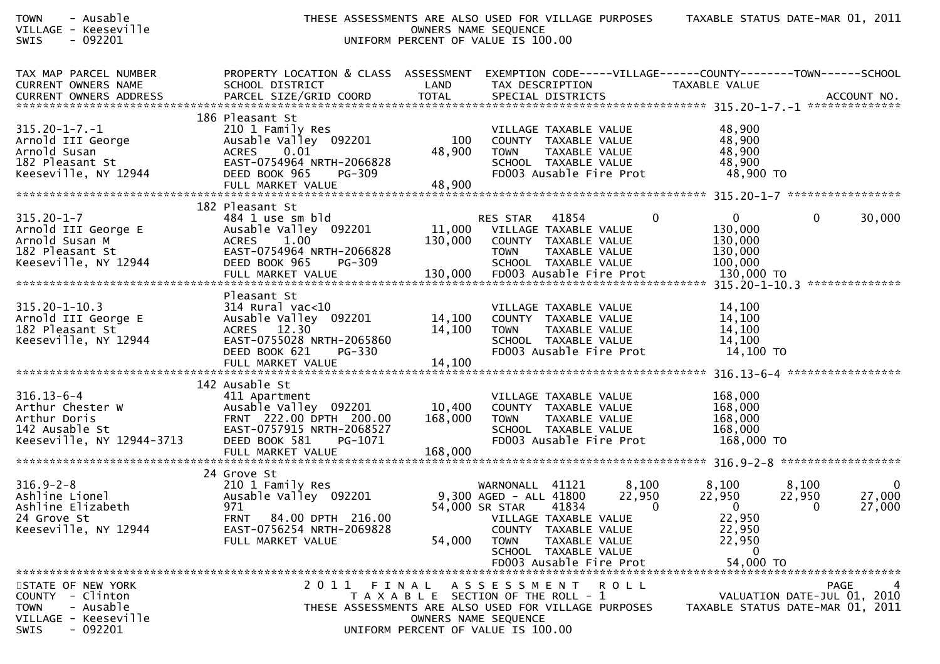| <b>TOWN</b><br>- Ausable<br>VILLAGE - Keeseville<br>SWIS<br>$-092201$                                          |                                                                                                                                                                          | UNIFORM PERCENT OF VALUE IS 100.00                                          | OWNERS NAME SEQUENCE                                                             |                                                                                                                   |                             | THESE ASSESSMENTS ARE ALSO USED FOR VILLAGE PURPOSES TAXABLE STATUS DATE-MAR 01, 2011                            |                                            |                                 |
|----------------------------------------------------------------------------------------------------------------|--------------------------------------------------------------------------------------------------------------------------------------------------------------------------|-----------------------------------------------------------------------------|----------------------------------------------------------------------------------|-------------------------------------------------------------------------------------------------------------------|-----------------------------|------------------------------------------------------------------------------------------------------------------|--------------------------------------------|---------------------------------|
| TAX MAP PARCEL NUMBER<br><b>CURRENT OWNERS NAME</b><br>CURRENT OWNERS ADDRESS                                  | PROPERTY LOCATION & CLASS ASSESSMENT<br>SCHOOL DISTRICT                                                                                                                  | LAND                                                                        | TAX DESCRIPTION                                                                  |                                                                                                                   |                             | EXEMPTION CODE-----VILLAGE------COUNTY--------TOWN------SCHOOL<br>TAXABLE VALUE                                  |                                            |                                 |
| $315.20 - 1 - 7. - 1$<br>Arnold III George<br>Arnold Susan<br>182 Pleasant St<br>Keeseville, NY 12944          | 186 Pleasant St<br>210 1 Family Res<br>Ausable Valley 092201<br>0.01<br><b>ACRES</b><br>EAST-0754964 NRTH-2066828<br>DEED BOOK 965<br><b>PG-309</b><br>FULL MARKET VALUE | 100<br>48,900<br>48,900                                                     | <b>TOWN</b>                                                                      | VILLAGE TAXABLE VALUE<br>COUNTY TAXABLE VALUE<br>TAXABLE VALUE<br>SCHOOL TAXABLE VALUE<br>FD003 Ausable Fire Prot |                             | 48,900<br>48,900<br>48,900<br>48,900<br>48,900 TO                                                                |                                            |                                 |
| $315.20 - 1 - 7$<br>Arnold III George E<br>Arnold Susan M<br>182 Pleasant St<br>Keeseville, NY 12944           | 182 Pleasant St<br>484 1 use sm bld<br>Ausable Valley 092201<br><b>ACRES</b><br>1.00<br>EAST-0754964 NRTH-2066828<br>DEED BOOK 965<br>PG-309                             | 11,000<br>130,000                                                           | <b>RES STAR</b><br><b>TOWN</b>                                                   | 41854<br>VILLAGE TAXABLE VALUE<br>COUNTY TAXABLE VALUE<br>TAXABLE VALUE<br>SCHOOL TAXABLE VALUE                   | 0                           | $\mathbf{0}$<br>130,000<br>130,000<br>130,000<br>100,000                                                         | 0                                          | 30,000                          |
| $315.20 - 1 - 10.3$<br>Arnold III George E<br>182 Pleasant St<br>Keeseville, NY 12944                          | Pleasant St<br>$314$ Rural vac<10<br>Ausable Valley 092201<br>ACRES 12.30<br>EAST-0755028 NRTH-2065860<br>DEED BOOK 621<br><b>PG-330</b>                                 | 14,100<br>14,100                                                            | TOWN                                                                             | VILLAGE TAXABLE VALUE<br>COUNTY TAXABLE VALUE<br>TAXABLE VALUE<br>SCHOOL TAXABLE VALUE<br>FD003 Ausable Fire Prot |                             | 14,100<br>14,100<br>14,100<br>14,100<br>14,100 TO                                                                |                                            |                                 |
| $316.13 - 6 - 4$<br>Arthur Chester W<br>Arthur Doris<br>142 Ausable St<br>Keeseville, NY 12944-3713            | 142 Ausable St<br>411 Apartment<br>Ausable Valley 092201<br>FRNT 222.00 DPTH 200.00<br>EAST-0757915 NRTH-2068527<br>DEED BOOK 581<br>PG-1071                             | 10,400<br>168,000                                                           | TOWN                                                                             | VILLAGE TAXABLE VALUE<br>COUNTY TAXABLE VALUE<br>TAXABLE VALUE<br>SCHOOL TAXABLE VALUE<br>FD003 Ausable Fire Prot |                             | 168,000<br>168,000<br>168,000<br>168,000<br>168,000 TO                                                           |                                            |                                 |
| $316.9 - 2 - 8$<br>Ashline Lionel<br>Ashline Elizabeth<br>24 Grove St<br>Keeseville, NY 12944                  | 24 Grove St<br>210 1 Family Res<br>Ausable Valley 092201<br>971<br>84.00 DPTH 216.00<br><b>FRNT</b><br>EAST-0756254 NRTH-2069828<br>FULL MARKET VALUE                    | 54,000                                                                      | WARNONALL 41121<br>9,300 AGED - ALL 41800<br>54,000 SR STAR 41834<br><b>TOWN</b> | VILLAGE TAXABLE VALUE<br>COUNTY TAXABLE VALUE<br>TAXABLE VALUE<br>SCHOOL TAXABLE VALUE<br>FD003 Ausable Fire Prot | 8,100<br>22,950<br>$\sim$ 0 | 8,100<br>22,950<br>$\overline{\mathbf{0}}$<br>22,950<br>22,950<br>22,950<br>$\overline{\mathbf{0}}$<br>54,000 TO | 8,100<br>22,950<br>$\overline{\mathbf{0}}$ | $\mathbf 0$<br>27,000<br>27,000 |
| STATE OF NEW YORK<br>COUNTY - Clinton<br>- Ausable<br><b>TOWN</b><br>VILLAGE - Keeseville<br>$-092201$<br>SWIS | 2011 FINAL<br>THESE ASSESSMENTS ARE ALSO USED FOR VILLAGE PURPOSES                                                                                                       | T A X A B L E SECTION OF THE ROLL - 1<br>UNIFORM PERCENT OF VALUE IS 100.00 | ASSESSMENT ROLL<br>OWNERS NAME SEQUENCE                                          |                                                                                                                   |                             | TAXABLE STATUS DATE-MAR 01, 2011                                                                                 | VALUATION DATE-JUL 01, 2010                | PAGE<br>4                       |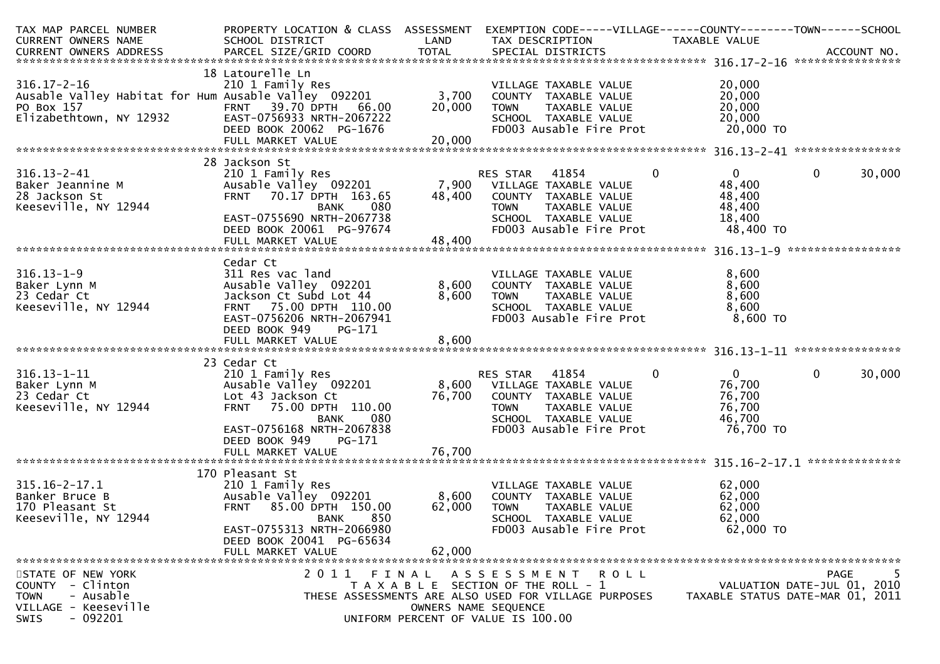| TAX MAP PARCEL NUMBER<br><b>CURRENT OWNERS NAME</b>                                                                   | PROPERTY LOCATION & CLASS ASSESSMENT<br>SCHOOL DISTRICT                                                                                                                                  | LAND                 | EXEMPTION CODE-----VILLAGE------COUNTY--------TOWN------SCHOOL<br>TAX DESCRIPTION                                                                                  | TAXABLE VALUE                                                          | ACCOUNT NO.                                                                  |
|-----------------------------------------------------------------------------------------------------------------------|------------------------------------------------------------------------------------------------------------------------------------------------------------------------------------------|----------------------|--------------------------------------------------------------------------------------------------------------------------------------------------------------------|------------------------------------------------------------------------|------------------------------------------------------------------------------|
|                                                                                                                       | 18 Latourelle Ln                                                                                                                                                                         |                      |                                                                                                                                                                    |                                                                        | ****************                                                             |
| $316.17 - 2 - 16$<br>PO Box 157<br>Elizabethtown, NY 12932                                                            | 210 1 Family Res<br>Ausable Valley Habitat for Hum Ausable Valley 092201<br>39.70 DPTH<br><b>FRNT</b><br>66.00<br>EAST-0756933 NRTH-2067222<br>DEED BOOK 20062 PG-1676                   | 3,700<br>20,000      | VILLAGE TAXABLE VALUE<br>COUNTY TAXABLE VALUE<br>TAXABLE VALUE<br><b>TOWN</b><br>SCHOOL TAXABLE VALUE<br>FD003 Ausable Fire Prot                                   | 20,000<br>20,000<br>20,000<br>20,000<br>20,000 TO                      |                                                                              |
|                                                                                                                       | FULL MARKET VALUE                                                                                                                                                                        | 20,000               |                                                                                                                                                                    |                                                                        |                                                                              |
| $316.13 - 2 - 41$<br>Baker Jeannine M<br>28 Jackson St<br>Keeseville, NY 12944                                        | 28 Jackson St<br>210 1 Family Res<br>Ausable Valley 092201<br>FRNT 70.17 DPTH 163.65<br><b>BANK</b><br>080<br>EAST-0755690 NRTH-2067738<br>DEED BOOK 20061 PG-97674<br>FULL MARKET VALUE | 48,400<br>48,400     | 41854<br><b>RES STAR</b><br>7,900 VILLAGE TAXABLE VALUE<br>COUNTY TAXABLE VALUE<br>TAXABLE VALUE<br><b>TOWN</b><br>SCHOOL TAXABLE VALUE<br>FD003 Ausable Fire Prot | $\mathbf{0}$<br>0<br>48,400<br>48,400<br>48,400<br>18,400<br>48,400 TO | 0<br>30,000                                                                  |
|                                                                                                                       | Cedar Ct                                                                                                                                                                                 |                      |                                                                                                                                                                    |                                                                        |                                                                              |
| $316.13 - 1 - 9$<br>Baker Lynn M<br>23 Cedar Ct<br>Keeseville, NY 12944                                               | 311 Res vac land<br>Ausable Valley 092201<br>Jackson Ct Subd Lot 44<br>75.00 DPTH 110.00<br><b>FRNT</b><br>EAST-0756206 NRTH-2067941<br>DEED BOOK 949<br>PG-171                          | 8,600<br>8,600       | VILLAGE TAXABLE VALUE<br>COUNTY TAXABLE VALUE<br><b>TOWN</b><br>TAXABLE VALUE<br>SCHOOL TAXABLE VALUE<br>FD003 Ausable Fire Prot                                   | 8,600<br>8,600<br>8,600<br>8,600<br>8,600 TO                           |                                                                              |
|                                                                                                                       |                                                                                                                                                                                          |                      |                                                                                                                                                                    |                                                                        |                                                                              |
| $316.13 - 1 - 11$<br>Baker Lynn M<br>23 Cedar Ct<br>Keeseville, NY 12944                                              | 23 Cedar Ct<br>210 1 Family Res<br>Ausable Valley 092201<br>Lot 43 Jackson Ct<br>75.00 DPTH 110.00<br><b>FRNT</b><br>080<br>BANK<br>EAST-0756168 NRTH-2067838<br>DEED BOOK 949<br>PG-171 | 8,600<br>76,700      | RES STAR<br>41854<br>VILLAGE TAXABLE VALUE<br>COUNTY TAXABLE VALUE<br>TAXABLE VALUE<br><b>TOWN</b><br>SCHOOL TAXABLE VALUE<br>FD003 Ausable Fire Prot              | $\mathbf{0}$<br>0<br>76,700<br>76,700<br>76,700<br>46,700<br>76,700 TO | 0<br>30,000                                                                  |
|                                                                                                                       | FULL MARKET VALUE                                                                                                                                                                        | 76,700               |                                                                                                                                                                    |                                                                        |                                                                              |
| $315.16 - 2 - 17.1$<br>Banker Bruce B<br>170 Pleasant St<br>Keeseville, NY 12944                                      | 170 Pleasant St<br>210 1 Family Res<br>Ausable Valley 092201<br>85.00 DPTH 150.00<br><b>FRNT</b><br>850<br><b>BANK</b><br>EAST-0755313 NRTH-2066980<br>DEED BOOK 20041 PG-65634          | 8,600<br>62,000      | VILLAGE TAXABLE VALUE<br>COUNTY TAXABLE VALUE<br>TAXABLE VALUE<br><b>TOWN</b><br>SCHOOL TAXABLE VALUE<br>FD003 Ausable Fire Prot                                   | 62,000<br>62,000<br>62,000<br>62,000<br>62,000 TO                      |                                                                              |
|                                                                                                                       | FULL MARKET VALUE                                                                                                                                                                        | 62,000               |                                                                                                                                                                    |                                                                        |                                                                              |
| STATE OF NEW YORK<br>COUNTY - Clinton<br>- Ausable<br><b>TOWN</b><br>VILLAGE - Keeseville<br>$-092201$<br><b>SWIS</b> | 2011 FINAL                                                                                                                                                                               | OWNERS NAME SEOUENCE | A S S E S S M E N T R O L L<br>T A X A B L E SECTION OF THE ROLL - 1<br>THESE ASSESSMENTS ARE ALSO USED FOR VILLAGE PURPOSES<br>UNIFORM PERCENT OF VALUE IS 100.00 |                                                                        | 5<br>PAGE<br>VALUATION DATE-JUL 01, 2010<br>TAXABLE STATUS DATE-MAR 01, 2011 |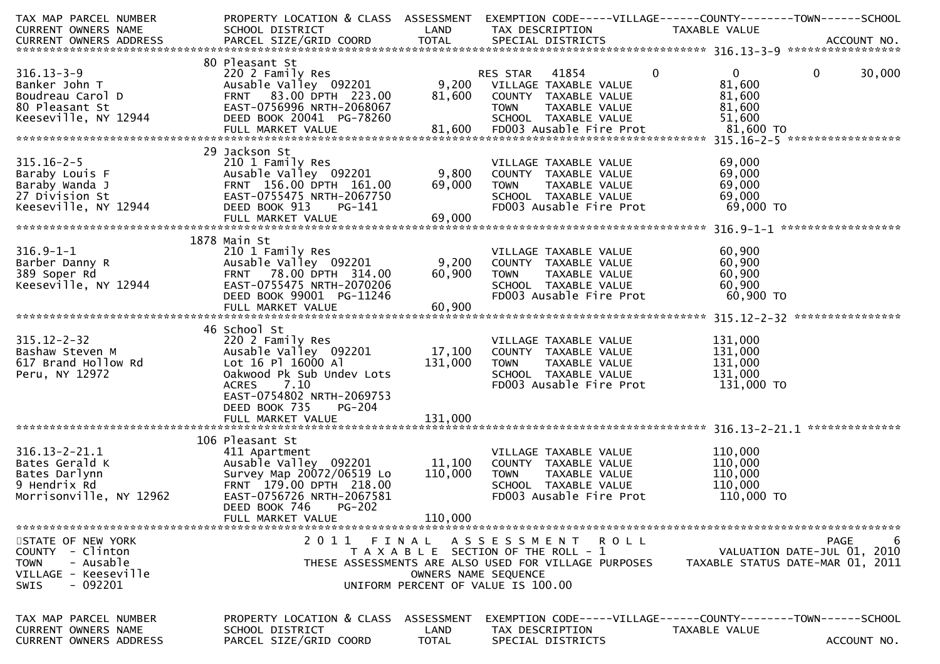| TAX MAP PARCEL NUMBER<br>CURRENT OWNERS NAME                                                      | PROPERTY LOCATION & CLASS ASSESSMENT<br>SCHOOL DISTRICT                                                                                                                                         | LAND                               | EXEMPTION CODE-----VILLAGE------COUNTY--------TOWN------SCHOOL<br>TAX DESCRIPTION                                                                           | TAXABLE VALUE                                                   |                        |
|---------------------------------------------------------------------------------------------------|-------------------------------------------------------------------------------------------------------------------------------------------------------------------------------------------------|------------------------------------|-------------------------------------------------------------------------------------------------------------------------------------------------------------|-----------------------------------------------------------------|------------------------|
|                                                                                                   |                                                                                                                                                                                                 |                                    |                                                                                                                                                             |                                                                 |                        |
| $316.13 - 3 - 9$<br>Banker John T<br>Boudreau Carol D<br>80 Pleasant St<br>Keeseville, NY 12944   | 80 Pleasant St<br>220 2 Family Res<br>Ausable Valley 092201 9,200 VILLAGE TAXABLE VALUE<br>FRNT 83.00 DPTH 223.00<br>EAST-0756996 NRTH-2068067<br>DEED BOOK 20041 PG-78260<br>FULL MARKET VALUE | 81,600                             | $\mathbf 0$<br>RES STAR 41854<br>COUNTY TAXABLE VALUE<br><b>TOWN</b><br>TAXABLE VALUE<br>SCHOOL TAXABLE VALUE<br>81,600 FD003 Ausable Fire Prot $81,600$ TO | $\overline{0}$<br>81,600<br>81,600<br>81,600<br>51,600          | $\mathbf{0}$<br>30,000 |
|                                                                                                   |                                                                                                                                                                                                 |                                    |                                                                                                                                                             |                                                                 |                        |
| $315.16 - 2 - 5$                                                                                  | 29 Jackson St<br>210 1 Family Res<br>Ausable Valley 092201<br>FRNT 156.00 DPTH 161.00<br>EAST-0755475 NRTH-2067750<br>DEED BOOK 913<br>PG-141<br>FULL MARKET VALUE                              | 9,800<br>69,000<br>69,000          | VILLAGE TAXABLE VALUE<br>COUNTY TAXABLE VALUE<br>TAXABLE VALUE<br><b>TOWN</b><br>SCHOOL TAXABLE VALUE<br>FD003 Ausable Fire Prot                            | 69,000<br>69,000<br>69,000<br>69,000<br>69,000 TO               |                        |
|                                                                                                   | 1878 Main St                                                                                                                                                                                    |                                    |                                                                                                                                                             |                                                                 |                        |
| $316.9 - 1 - 1$<br>Barber Danny R<br>389 Soper Rd<br>Keeseville, NY 12944                         | 210 1 Family Res<br>Ausable Valley 092201<br>FRNT 78.00 DPTH 314.00<br>EAST-0755475 NRTH-2070206<br>DEED BOOK 99001 PG-11246                                                                    | 9,200<br>60,900                    | VILLAGE TAXABLE VALUE<br>COUNTY TAXABLE VALUE<br>TAXABLE VALUE<br><b>TOWN</b><br>SCHOOL TAXABLE VALUE<br>FD003 Ausable Fire Prot                            | 60,900<br>60,900<br>60,900<br>60,900<br>60,900 то               |                        |
|                                                                                                   | FULL MARKET VALUE                                                                                                                                                                               | 60,900                             |                                                                                                                                                             |                                                                 |                        |
|                                                                                                   | 46 School St                                                                                                                                                                                    |                                    |                                                                                                                                                             |                                                                 |                        |
| $315.12 - 2 - 32$<br>Bashaw Steven M<br>617 Brand Hollow Rd<br>Peru, NY 12972                     | 220 2 Family Res<br>Ausable Valley 092201<br>Lot 16 Pl 16000 Al<br>Oakwood Pk Sub Undev Lots<br>7.10<br><b>ACRES</b><br>EAST-0754802 NRTH-2069753                                               | 17,100<br>131,000                  | VILLAGE TAXABLE VALUE<br>COUNTY TAXABLE VALUE<br>TAXABLE VALUE<br><b>TOWN</b><br>SCHOOL TAXABLE VALUE<br>FD003 Ausable Fire Prot                            | 131,000<br>131,000<br>131,000<br>131,000<br>131,000 TO          |                        |
|                                                                                                   | DEED BOOK 735<br>PG-204<br>FULL MARKET VALUE                                                                                                                                                    | 131,000                            |                                                                                                                                                             |                                                                 |                        |
|                                                                                                   | 106 Pleasant St                                                                                                                                                                                 |                                    |                                                                                                                                                             |                                                                 |                        |
| $316.13 - 2 - 21.1$<br>Bates Gerald K<br>Bates Darlynn<br>9 Hendrix Rd<br>Morrisonville, NY 12962 | 411 Apartment<br>Ausable Valley 092201<br>Survey Map 20072/06519 Lo<br>FRNT 179.00 DPTH 218.00<br>EAST-0756726 NRTH-2067581                                                                     | 11,100<br>110,000                  | VILLAGE TAXABLE VALUE<br>COUNTY TAXABLE VALUE<br><b>TOWN</b><br>TAXABLE VALUE<br>SCHOOL TAXABLE VALUE<br>FD003 Ausable Fire Prot                            | 110,000<br>110,000<br>110,000<br>110,000<br>110,000 TO          |                        |
|                                                                                                   | DEED BOOK 746<br><b>PG-202</b><br>FULL MARKET VALUE                                                                                                                                             | 110,000                            |                                                                                                                                                             |                                                                 |                        |
| STATE OF NEW YORK                                                                                 | 2011                                                                                                                                                                                            | FINAL                              | ASSESSMENT ROLL                                                                                                                                             |                                                                 | <b>PAGE</b><br>6       |
| COUNTY - Clinton<br>- Ausable<br><b>TOWN</b><br>VILLAGE - Keeseville<br>- 092201<br><b>SWIS</b>   |                                                                                                                                                                                                 | OWNERS NAME SEQUENCE               | T A X A B L E SECTION OF THE ROLL - 1<br>THESE ASSESSMENTS ARE ALSO USED FOR VILLAGE PURPOSES<br>UNIFORM PERCENT OF VALUE IS 100.00                         | VALUATION DATE-JUL 01, 2010<br>TAXABLE STATUS DATE-MAR 01, 2011 |                        |
|                                                                                                   |                                                                                                                                                                                                 |                                    |                                                                                                                                                             |                                                                 |                        |
| TAX MAP PARCEL NUMBER<br><b>CURRENT OWNERS NAME</b><br><b>CURRENT OWNERS ADDRESS</b>              | PROPERTY LOCATION & CLASS<br>SCHOOL DISTRICT<br>PARCEL SIZE/GRID COORD                                                                                                                          | ASSESSMENT<br>LAND<br><b>TOTAL</b> | EXEMPTION CODE-----VILLAGE------COUNTY--------TOWN------SCHOOL<br>TAX DESCRIPTION<br>SPECIAL DISTRICTS                                                      | TAXABLE VALUE                                                   | ACCOUNT NO.            |
|                                                                                                   |                                                                                                                                                                                                 |                                    |                                                                                                                                                             |                                                                 |                        |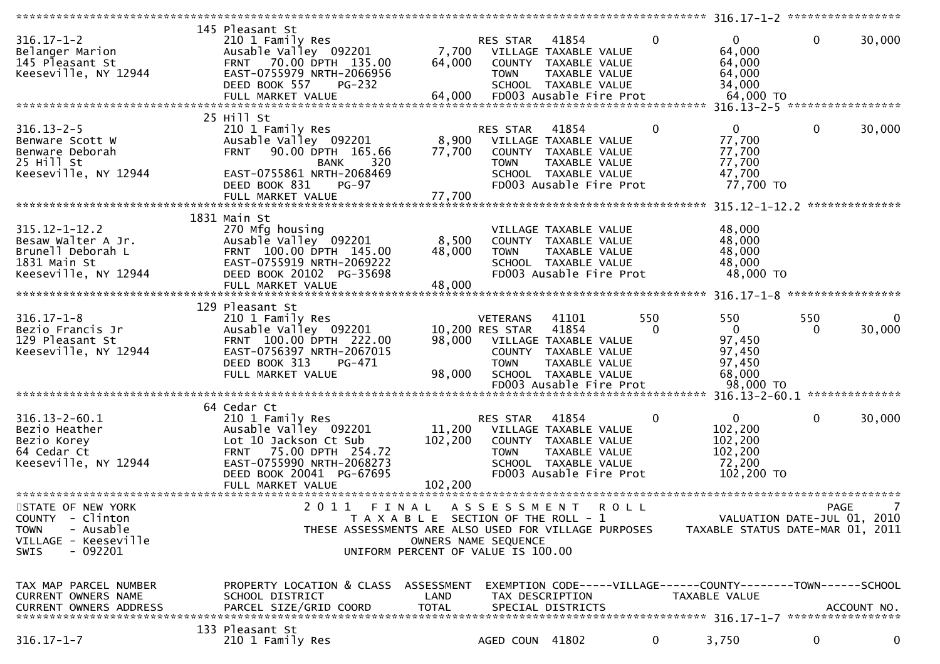|                               | 145 Pleasant St                                      |                                       |                      |                         |             |              |                                                               |              |                |
|-------------------------------|------------------------------------------------------|---------------------------------------|----------------------|-------------------------|-------------|--------------|---------------------------------------------------------------|--------------|----------------|
| $316.17 - 1 - 2$              | 210 1 Family Res                                     |                                       | RES STAR             | 41854                   |             | $\mathbf{0}$ | $\mathbf{0}$                                                  | 0            | 30,000         |
| Belanger Marion               | Ausable Valley 092201                                | 7,700                                 |                      | VILLAGE TAXABLE VALUE   |             |              | 64,000                                                        |              |                |
| 145 Pleasant St               | FRNT 70.00 DPTH 135.00                               | 64,000                                |                      | COUNTY TAXABLE VALUE    |             |              |                                                               |              |                |
|                               |                                                      |                                       |                      |                         |             |              | 64,000                                                        |              |                |
| Keeseville, NY 12944          | EAST-0755979 NRTH-2066956                            |                                       | <b>TOWN</b>          | TAXABLE VALUE           |             |              | 64,000                                                        |              |                |
|                               | DEED BOOK 557<br>PG-232                              |                                       |                      | SCHOOL TAXABLE VALUE    |             |              | 34,000                                                        |              |                |
|                               | FULL MARKET VALUE                                    | 64,000                                |                      | FD003 Ausable Fire Prot |             |              | 64,000 TO                                                     |              |                |
|                               |                                                      |                                       |                      |                         |             |              | 316.13-2-5 ******************                                 |              |                |
|                               | 25 Hill St                                           |                                       |                      |                         |             |              |                                                               |              |                |
| $316.13 - 2 - 5$              | 210 1 Family Res                                     |                                       | RES STAR             | 41854                   |             | $\Omega$     | $\mathbf{0}$                                                  | $\mathbf{0}$ | 30,000         |
| Benware Scott W               | Ausable Valley 092201                                | 8,900                                 |                      | VILLAGE TAXABLE VALUE   |             |              | 77,700                                                        |              |                |
|                               | 90.00 DPTH 165.66                                    |                                       |                      |                         |             |              |                                                               |              |                |
| Benware Deborah               | <b>FRNT</b>                                          | 77,700                                |                      | COUNTY TAXABLE VALUE    |             |              | 77,700                                                        |              |                |
| 25 Hill St                    | 320<br><b>BANK</b>                                   |                                       | <b>TOWN</b>          | TAXABLE VALUE           |             |              | 77,700                                                        |              |                |
| Keeseville, NY 12944          | EAST-0755861 NRTH-2068469                            |                                       |                      | SCHOOL TAXABLE VALUE    |             |              | 47,700                                                        |              |                |
|                               | DEED BOOK 831<br>$PG-97$                             |                                       |                      | FD003 Ausable Fire Prot |             |              | 77,700 TO                                                     |              |                |
|                               | FULL MARKET VALUE                                    | 77,700                                |                      |                         |             |              |                                                               |              |                |
|                               |                                                      |                                       |                      |                         |             |              |                                                               |              | ************** |
|                               | 1831 Main St                                         |                                       |                      |                         |             |              |                                                               |              |                |
| $315.12 - 1 - 12.2$           | 270 Mfg housing                                      |                                       |                      | VILLAGE TAXABLE VALUE   |             |              | 48,000                                                        |              |                |
| Besaw Walter A Jr.            |                                                      | 8,500                                 |                      | COUNTY TAXABLE VALUE    |             |              |                                                               |              |                |
|                               | Ausable Valley 092201                                |                                       |                      |                         |             |              | 48,000                                                        |              |                |
| Brunell Deborah L             | FRNT 100.00 DPTH 145.00                              | 48,000                                | <b>TOWN</b>          | TAXABLE VALUE           |             |              | 48,000                                                        |              |                |
| 1831 Main St                  | EAST-0755919 NRTH-2069222                            |                                       |                      | SCHOOL TAXABLE VALUE    |             |              | 48,000                                                        |              |                |
| Keeseville, NY 12944          | DEED BOOK 20102 PG-35698                             |                                       |                      | FD003 Ausable Fire Prot |             |              | 48,000 TO                                                     |              |                |
|                               | FULL MARKET VALUE                                    | 48,000                                |                      |                         |             |              |                                                               |              |                |
|                               |                                                      |                                       |                      |                         |             |              |                                                               |              |                |
|                               | 129 Pleasant St                                      |                                       |                      |                         |             |              |                                                               |              |                |
| $316.17 - 1 - 8$              | 210 1 Family Res                                     |                                       | <b>VETERANS</b>      | 41101                   | 550         |              | 550                                                           | 550          | 0              |
|                               |                                                      |                                       | 10,200 RES STAR      |                         |             | $\Omega$     | $\overline{0}$                                                | 0            | 30,000         |
| Bezio Francis Jr              | Ausable Valley 092201                                |                                       |                      | 41854                   |             |              |                                                               |              |                |
| 129 Pleasant St               | FRNT 100.00 DPTH 222.00                              | 98,000                                |                      | VILLAGE TAXABLE VALUE   |             |              | 97,450                                                        |              |                |
| Keeseville, NY 12944          | EAST-0756397 NRTH-2067015                            |                                       |                      | COUNTY TAXABLE VALUE    |             |              | 97,450                                                        |              |                |
|                               | DEED BOOK 313<br>PG-471                              |                                       | <b>TOWN</b>          | TAXABLE VALUE           |             |              | 97,450                                                        |              |                |
|                               | FULL MARKET VALUE                                    | 98,000                                |                      | SCHOOL TAXABLE VALUE    |             |              | 68,000                                                        |              |                |
|                               |                                                      |                                       |                      | FD003 Ausable Fire Prot |             |              | 98,000 TO                                                     |              |                |
|                               |                                                      |                                       |                      |                         |             |              |                                                               |              |                |
|                               | 64 Cedar Ct                                          |                                       |                      |                         |             |              |                                                               |              |                |
| $316.13 - 2 - 60.1$           | 210 1 Family Res                                     |                                       | RES STAR             | 41854                   |             | 0            | $\mathbf{0}$                                                  | $\mathbf{0}$ | 30,000         |
|                               |                                                      |                                       |                      |                         |             |              |                                                               |              |                |
| Bezio Heather                 | Ausable Valley 092201                                | 11,200                                |                      | VILLAGE TAXABLE VALUE   |             |              | 102,200                                                       |              |                |
| Bezio Korey                   | Lot 10 Jackson Ct Sub                                | 102,200                               |                      | COUNTY TAXABLE VALUE    |             |              | 102,200                                                       |              |                |
| 64 Cedar Ct                   | 75.00 DPTH 254.72<br><b>FRNT</b>                     |                                       | <b>TOWN</b>          | TAXABLE VALUE           |             |              | 102,200                                                       |              |                |
| Keeseville, NY 12944          | EAST-0755990 NRTH-2068273                            |                                       |                      | SCHOOL TAXABLE VALUE    |             |              | 72,200                                                        |              |                |
|                               | DEED BOOK 20041 PG-67695                             |                                       |                      | FD003 Ausable Fire Prot |             |              | 102,200 TO                                                    |              |                |
|                               | FULL MARKET VALUE                                    | 102,200                               |                      |                         |             |              |                                                               |              |                |
|                               |                                                      |                                       |                      |                         |             |              |                                                               |              |                |
| STATE OF NEW YORK             | 2 0 1 1<br>FINAL                                     |                                       | A S S E S S M E N T  |                         | <b>ROLL</b> |              |                                                               | <b>PAGE</b>  | 7              |
|                               |                                                      |                                       |                      |                         |             |              |                                                               |              |                |
| COUNTY - Clinton              |                                                      | T A X A B L E SECTION OF THE ROLL - 1 |                      |                         |             |              | VALUATION DATE-JUL 01, 2010                                   |              |                |
| - Ausable<br><b>TOWN</b>      | THESE ASSESSMENTS ARE ALSO USED FOR VILLAGE PURPOSES |                                       |                      |                         |             |              | TAXABLE STATUS DATE-MAR 01, 2011                              |              |                |
| VILLAGE - Keeseville          |                                                      |                                       | OWNERS NAME SEQUENCE |                         |             |              |                                                               |              |                |
| $-092201$<br><b>SWIS</b>      |                                                      | UNIFORM PERCENT OF VALUE IS 100.00    |                      |                         |             |              |                                                               |              |                |
|                               |                                                      |                                       |                      |                         |             |              |                                                               |              |                |
|                               |                                                      |                                       |                      |                         |             |              |                                                               |              |                |
| TAX MAP PARCEL NUMBER         | PROPERTY LOCATION & CLASS ASSESSMENT                 |                                       |                      |                         |             |              | EXEMPTION CODE-----VILLAGE------COUNTY-------TOWN------SCHOOL |              |                |
| <b>CURRENT OWNERS NAME</b>    | SCHOOL DISTRICT                                      | LAND                                  |                      | TAX DESCRIPTION         |             |              | TAXABLE VALUE                                                 |              |                |
|                               |                                                      |                                       |                      |                         |             |              |                                                               |              |                |
| <b>CURRENT OWNERS ADDRESS</b> | PARCEL SIZE/GRID COORD                               | <b>TOTAL</b>                          |                      | SPECIAL DISTRICTS       |             |              |                                                               |              | ACCOUNT NO.    |
|                               |                                                      |                                       |                      |                         |             |              |                                                               |              |                |
|                               | 133 Pleasant St                                      |                                       |                      |                         |             |              |                                                               |              |                |
| $316.17 - 1 - 7$              | 210 1 Family Res                                     |                                       | AGED COUN 41802      |                         |             | $\mathbf{0}$ | 3,750                                                         | 0            | 0              |
|                               |                                                      |                                       |                      |                         |             |              |                                                               |              |                |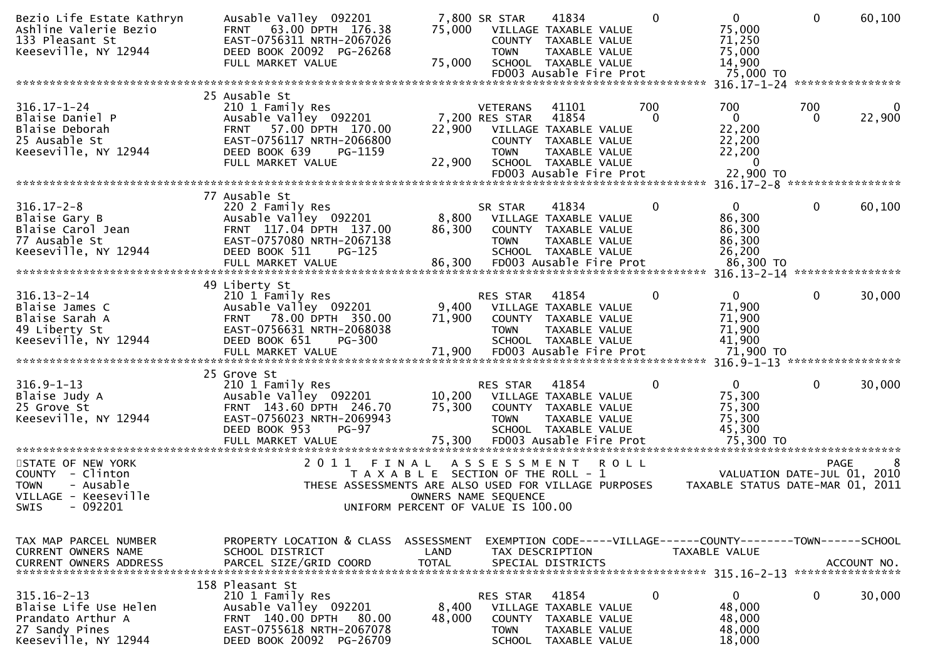| Bezio Life Estate Kathryn<br>Ashline Valerie Bezio<br>133 Pleasant St<br>Keeseville, NY 12944             | Ausable Valley 092201<br>FRNT 63.00 DPTH 176.38<br>EAST-0756311 NRTH-2067026<br>DEED BOOK 20092 PG-26268<br>FULL MARKET VALUE                                      | 75,000<br>75,000           | 7,800 SR STAR<br>COUNTY<br><b>TOWN</b>                    | 41834<br>VILLAGE TAXABLE VALUE<br>TAXABLE VALUE<br>TAXABLE VALUE<br>SCHOOL TAXABLE VALUE                                            |             | $\Omega$        | $\overline{0}$<br>75,000<br>71,250<br>75,000<br>14,900                          | $\mathbf{0}$ | 60,100           |
|-----------------------------------------------------------------------------------------------------------|--------------------------------------------------------------------------------------------------------------------------------------------------------------------|----------------------------|-----------------------------------------------------------|-------------------------------------------------------------------------------------------------------------------------------------|-------------|-----------------|---------------------------------------------------------------------------------|--------------|------------------|
|                                                                                                           |                                                                                                                                                                    |                            |                                                           | FD003 Ausable Fire Prot                                                                                                             |             |                 | 75,000 TO                                                                       |              | **************** |
| $316.17 - 1 - 24$<br>Blaise Daniel P<br>Blaise Deborah<br>25 Ausable St<br>Keeseville, NY 12944           | 25 Ausable St<br>210 1 Family Res<br>Ausable Valley 092201<br>FRNT 57.00 DPTH 170.00<br>EAST-0756117 NRTH-2066800<br>DEED BOOK 639<br>PG-1159<br>FULL MARKET VALUE | 22,900<br>22,900           | <b>VETERANS</b><br>7,200 RES STAR<br><b>TOWN</b>          | 41101<br>41854<br>VILLAGE TAXABLE VALUE<br>COUNTY TAXABLE VALUE<br>TAXABLE VALUE<br>SCHOOL TAXABLE VALUE<br>FD003 Ausable Fire Prot |             | 700<br>$\Omega$ | 700<br>$\mathbf{0}$<br>22,200<br>22,200<br>22,200<br>$\bf{0}$<br>22,900 TO      | 700<br>0     | 22,900           |
|                                                                                                           | 77 Ausable St                                                                                                                                                      |                            |                                                           |                                                                                                                                     |             |                 |                                                                                 |              |                  |
| $316.17 - 2 - 8$<br>Blaise Gary B<br>Blaise Carol Jean<br>77 Ausable St<br>Keeseville, NY 12944           | 220 2 Family Res<br>Ausable Valley 092201<br>FRNT 117.04 DPTH 137.00<br>EAST-0757080 NRTH-2067138<br>DEED BOOK 511<br>$PG-125$<br>FULL MARKET VALUE                | 8,800<br>86,300<br>86,300  | SR STAR<br><b>TOWN</b>                                    | 41834<br>VILLAGE TAXABLE VALUE<br>COUNTY TAXABLE VALUE<br>TAXABLE VALUE<br>SCHOOL TAXABLE VALUE<br>FD003 Ausable Fire Prot          |             | 0               | $\mathbf{0}$<br>86,300<br>86,300<br>86,300<br>26,200<br>86,300 TO               | $\mathbf{0}$ | 60,100           |
|                                                                                                           |                                                                                                                                                                    |                            |                                                           |                                                                                                                                     |             |                 |                                                                                 |              |                  |
| $316.13 - 2 - 14$<br>Blaise James C<br>Blaise Sarah A<br>49 Liberty St<br>Keeseville, NY 12944            | 49 Liberty St<br>210 1 Family Res<br>Ausable Valley 092201<br>FRNT 78.00 DPTH 350.00<br>EAST-0756631 NRTH-2068038<br>DEED BOOK 651<br><b>PG-300</b>                | 9,400<br>71,900            | <b>RES STAR</b><br><b>TOWN</b>                            | 41854<br>VILLAGE TAXABLE VALUE<br>COUNTY TAXABLE VALUE<br><b>TAXABLE VALUE</b><br>SCHOOL TAXABLE VALUE                              |             | 0               | $\Omega$<br>71,900<br>71,900<br>71,900<br>41,900                                | $\Omega$     | 30,000           |
|                                                                                                           | 25 Grove St                                                                                                                                                        |                            |                                                           |                                                                                                                                     |             |                 |                                                                                 |              |                  |
| $316.9 - 1 - 13$<br>Blaise Judy A<br>25 Grove St<br>Keeseville, NY 12944                                  | 210 1 Family Res<br>Ausable Valley 092201<br>FRNT 143.60 DPTH 246.70<br>EAST-0756023 NRTH-2069943<br>DEED BOOK 953<br>$PG-97$<br>FULL MARKET VALUE                 | 10,200<br>75,300<br>75,300 | RES STAR<br><b>TOWN</b>                                   | 41854<br>VILLAGE TAXABLE VALUE<br>COUNTY TAXABLE VALUE<br>TAXABLE VALUE<br>SCHOOL TAXABLE VALUE<br>FD003 Ausable Fire Prot          |             | 0               | $\mathbf{0}$<br>75,300<br>75,300<br>75,300<br>45,300<br>75,300 TO               | 0            | 30,000           |
| STATE OF NEW YORK                                                                                         | 2 0 1 1<br>FINAL                                                                                                                                                   |                            | A S S E S S M E N T                                       |                                                                                                                                     | <b>ROLL</b> |                 |                                                                                 | <b>PAGE</b>  |                  |
| COUNTY - Clinton<br><b>TOWN</b><br>- Ausable<br>VILLAGE - Keeseville<br>$-092201$<br>SWIS                 | T A X A B L E<br>THESE ASSESSMENTS ARE ALSO USED FOR VILLAGE PURPOSES<br>UNIFORM PERCENT OF VALUE IS 100.00                                                        |                            | SECTION OF THE ROLL - 1<br>OWNERS NAME SEQUENCE           |                                                                                                                                     |             |                 | VALUATION DATE-JUL 01,<br>TAXABLE STATUS DATE-MAR 01, 2011                      |              | 2010             |
| TAX MAP PARCEL NUMBER<br><b>CURRENT OWNERS NAME</b><br><b>CURRENT OWNERS ADDRESS</b>                      | PROPERTY LOCATION & CLASS ASSESSMENT<br>SCHOOL DISTRICT<br>PARCEL SIZE/GRID COORD                                                                                  | LAND<br><b>TOTAL</b>       |                                                           | TAX DESCRIPTION<br>SPECIAL DISTRICTS                                                                                                |             |                 | EXEMPTION CODE-----VILLAGE------COUNTY--------TOWN------SCHOOL<br>TAXABLE VALUE |              | ACCOUNT NO.      |
| $315.16 - 2 - 13$<br>Blaise Life Use Helen<br>Prandato Arthur A<br>27 Sandy Pines<br>Keeseville, NY 12944 | 158 Pleasant St<br>210 1 Family Res<br>Ausable Valley 092201<br>FRNT 140.00 DPTH<br>80.00<br>EAST-0755618 NRTH-2067078<br>DEED BOOK 20092 PG-26709                 | 8,400<br>48,000            | RES STAR<br><b>COUNTY</b><br><b>TOWN</b><br><b>SCHOOL</b> | 41854<br>VILLAGE TAXABLE VALUE<br>TAXABLE VALUE<br>TAXABLE VALUE<br>TAXABLE VALUE                                                   |             | 0               | $\mathbf{0}$<br>48,000<br>48,000<br>48,000<br>18,000                            | 0            | 30,000           |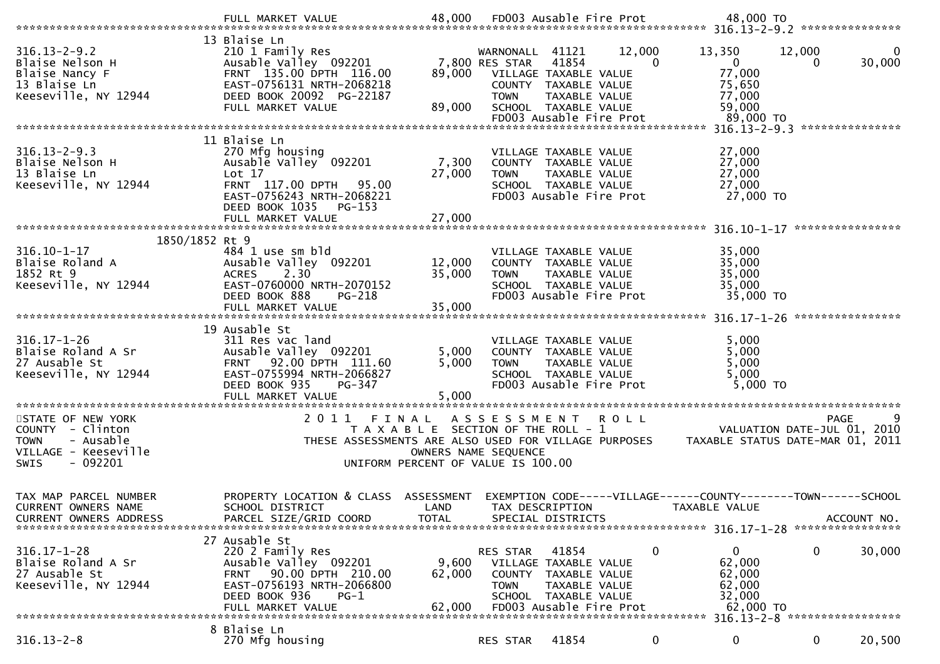|                                                                         | 13 Blaise Ln                                                                                      |                  |                                   |                                                                  |                    |                                                                |                             |                    |
|-------------------------------------------------------------------------|---------------------------------------------------------------------------------------------------|------------------|-----------------------------------|------------------------------------------------------------------|--------------------|----------------------------------------------------------------|-----------------------------|--------------------|
| $316.13 - 2 - 9.2$<br>Blaise Nelson H<br>Blaise Nancy F<br>13 Blaise Ln | 210 1 Family Res<br>Ausable Valley 092201<br>FRNT 135.00 DPTH 116.00<br>EAST-0756131 NRTH-2068218 | 89,000           | WARNONALL 41121<br>7,800 RES STAR | 41854<br>VILLAGE TAXABLE VALUE<br>COUNTY TAXABLE VALUE           | 12,000<br>$\Omega$ | 13,350<br>$\overline{0}$<br>77,000<br>75,650                   | 12,000                      | $\Omega$<br>30,000 |
| Keeseville, NY 12944                                                    | DEED BOOK 20092 PG-22187<br>FULL MARKET VALUE                                                     | 89,000           | <b>TOWN</b>                       | TAXABLE VALUE<br>SCHOOL TAXABLE VALUE<br>FD003 Ausable Fire Prot |                    | 77,000<br>59,000<br>89,000 TO                                  |                             |                    |
|                                                                         |                                                                                                   |                  |                                   |                                                                  |                    | 316.13-2-9.3 ****************                                  |                             |                    |
|                                                                         | 11 Blaise Ln                                                                                      |                  |                                   |                                                                  |                    |                                                                |                             |                    |
| $316.13 - 2 - 9.3$<br>Blaise Nelson H                                   | 270 Mfg housing<br>Ausable Valley 092201                                                          | 7,300            |                                   | VILLAGE TAXABLE VALUE<br>COUNTY TAXABLE VALUE                    |                    | 27,000<br>27,000                                               |                             |                    |
| 13 Blaise Ln                                                            | Lot 17                                                                                            | 27,000           | <b>TOWN</b>                       | TAXABLE VALUE                                                    |                    | 27,000                                                         |                             |                    |
| Keeseville, NY 12944                                                    | FRNT 117.00 DPTH<br>95.00<br>EAST-0756243 NRTH-2068221<br>DEED BOOK 1035<br>PG-153                |                  |                                   | SCHOOL TAXABLE VALUE<br>FD003 Ausable Fire Prot                  |                    | 27,000<br>27,000 TO                                            |                             |                    |
|                                                                         |                                                                                                   |                  |                                   |                                                                  |                    |                                                                |                             |                    |
|                                                                         |                                                                                                   |                  |                                   |                                                                  |                    |                                                                | ****************            |                    |
| 1850/1852 Rt 9                                                          |                                                                                                   |                  |                                   |                                                                  |                    |                                                                |                             |                    |
| $316.10 - 1 - 17$                                                       | 484 1 use sm bld                                                                                  |                  |                                   | VILLAGE TAXABLE VALUE                                            |                    | 35,000                                                         |                             |                    |
| Blaise Roland A<br>1852 Rt 9                                            | Ausable Valley 092201<br>2.30                                                                     | 12,000<br>35,000 |                                   | COUNTY TAXABLE VALUE                                             |                    | 35,000<br>35,000                                               |                             |                    |
| Keeseville, NY 12944                                                    | <b>ACRES</b><br>EAST-0760000 NRTH-2070152                                                         |                  | <b>TOWN</b>                       | TAXABLE VALUE<br>SCHOOL TAXABLE VALUE                            |                    | 35,000                                                         |                             |                    |
|                                                                         | DEED BOOK 888<br>$PG-218$                                                                         | 35,000           |                                   | FD003 Ausable Fire Prot                                          |                    | 35,000 TO                                                      |                             |                    |
|                                                                         | FULL MARKET VALUE                                                                                 |                  |                                   |                                                                  |                    |                                                                |                             |                    |
|                                                                         | 19 Ausable St                                                                                     |                  |                                   |                                                                  |                    |                                                                |                             |                    |
| $316.17 - 1 - 26$                                                       | 311 Res vac land                                                                                  |                  |                                   | VILLAGE TAXABLE VALUE                                            |                    | 5,000                                                          |                             |                    |
| Blaise Roland A Sr                                                      | Ausable Valley 092201                                                                             | 5,000            |                                   | COUNTY TAXABLE VALUE                                             |                    | 5,000                                                          |                             |                    |
| 27 Ausable St                                                           | FRNT 92.00 DPTH 111.60                                                                            | 5,000            | <b>TOWN</b>                       | TAXABLE VALUE                                                    |                    | 5,000                                                          |                             |                    |
| Keeseville, NY 12944                                                    | EAST-0755994 NRTH-2066827                                                                         |                  |                                   | SCHOOL TAXABLE VALUE                                             |                    | 5,000                                                          |                             |                    |
|                                                                         | DEED BOOK 935<br>PG-347                                                                           |                  |                                   | FD003 Ausable Fire Prot                                          |                    | 5,000 TO                                                       |                             |                    |
|                                                                         | FULL MARKET VALUE                                                                                 | 5,000            |                                   |                                                                  |                    |                                                                |                             |                    |
| STATE OF NEW YORK                                                       | 2011 FINAL                                                                                        |                  | ASSESSMENT ROLL                   |                                                                  |                    |                                                                | <b>PAGE</b>                 | 9                  |
| COUNTY - Clinton                                                        | T A X A B L E SECTION OF THE ROLL - 1                                                             |                  |                                   |                                                                  |                    |                                                                | VALUATION DATE-JUL 01, 2010 |                    |
| - Ausable<br><b>TOWN</b>                                                | THESE ASSESSMENTS ARE ALSO USED FOR VILLAGE PURPOSES                                              |                  |                                   |                                                                  |                    | TAXABLE STATUS DATE-MAR 01, 2011                               |                             |                    |
| VILLAGE - Keeseville                                                    |                                                                                                   |                  | OWNERS NAME SEQUENCE              |                                                                  |                    |                                                                |                             |                    |
| $-092201$<br><b>SWIS</b>                                                | UNIFORM PERCENT OF VALUE IS 100.00                                                                |                  |                                   |                                                                  |                    |                                                                |                             |                    |
|                                                                         |                                                                                                   |                  |                                   |                                                                  |                    |                                                                |                             |                    |
|                                                                         |                                                                                                   |                  |                                   |                                                                  |                    |                                                                |                             |                    |
| TAX MAP PARCEL NUMBER                                                   | PROPERTY LOCATION & CLASS ASSESSMENT                                                              |                  |                                   |                                                                  |                    | EXEMPTION CODE-----VILLAGE------COUNTY--------TOWN------SCHOOL |                             |                    |
| CURRENT OWNERS NAME                                                     | SCHOOL DISTRICT                                                                                   | LAND             |                                   | TAX DESCRIPTION                                                  |                    | TAXABLE VALUE                                                  |                             |                    |
| CURRENT OWNERS ADDRESS                                                  | PARCEL SIZE/GRID COORD                                                                            | <b>TOTAL</b>     |                                   | SPECIAL DISTRICTS                                                |                    |                                                                |                             | ACCOUNT NO.        |
|                                                                         | 27 Ausable St                                                                                     |                  |                                   |                                                                  |                    |                                                                |                             |                    |
| $316.17 - 1 - 28$                                                       | 220 2 Family Res                                                                                  |                  | RES STAR                          | 41854                                                            | 0                  | 0                                                              | 0                           | 30,000             |
| Blaise Roland A Sr                                                      | Ausable Valley 092201                                                                             | 9,600            |                                   | VILLAGE TAXABLE VALUE                                            |                    | 62,000                                                         |                             |                    |
| 27 Ausable St                                                           | 90.00 DPTH 210.00<br>FRNT                                                                         | 62,000           | <b>COUNTY</b>                     | TAXABLE VALUE                                                    |                    | 62,000                                                         |                             |                    |
| Keeseville, NY 12944                                                    | EAST-0756193 NRTH-2066800                                                                         |                  | <b>TOWN</b>                       | <b>TAXABLE VALUE</b>                                             |                    | 62,000                                                         |                             |                    |
|                                                                         | DEED BOOK 936<br>$PG-1$                                                                           |                  |                                   | SCHOOL TAXABLE VALUE                                             |                    | 32,000                                                         |                             |                    |
|                                                                         | FULL MARKET VALUE                                                                                 | 62,000           |                                   | FD003 Ausable Fire Prot                                          |                    | 62,000 TO                                                      |                             |                    |
|                                                                         |                                                                                                   |                  |                                   |                                                                  |                    | 316.13-2-8 ******************                                  |                             |                    |
| $316.13 - 2 - 8$                                                        | 8 Blaise Ln<br>270 Mfg housing                                                                    |                  | RES STAR                          | 41854                                                            | $\bf{0}$           | $\mathbf 0$                                                    | 0                           | 20,500             |
|                                                                         |                                                                                                   |                  |                                   |                                                                  |                    |                                                                |                             |                    |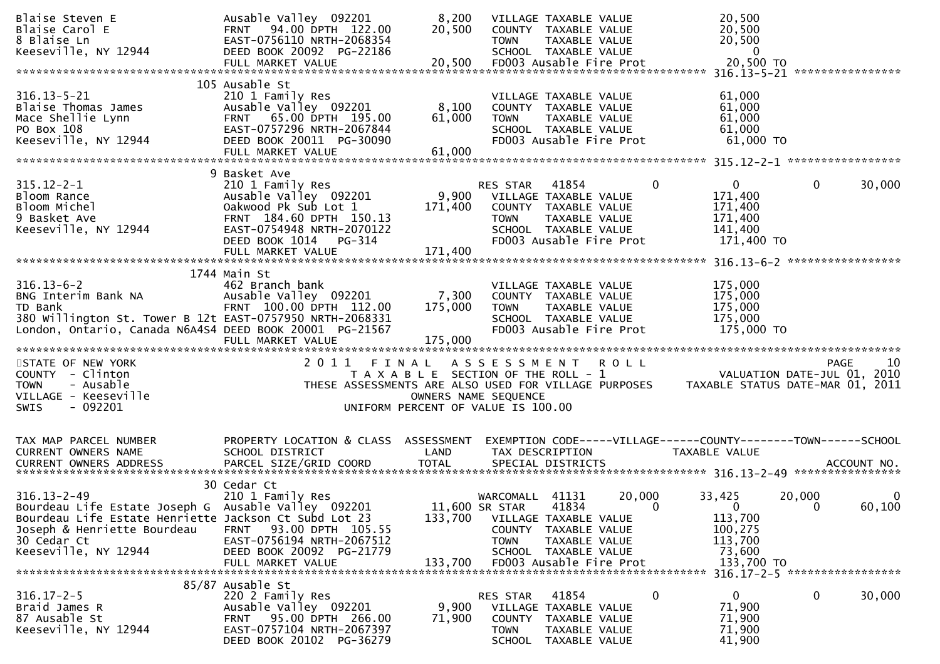| Blaise Steven E<br>Blaise Carol E<br>8 Blaise Ln<br>Keeseville, NY 12944                                                                                                                                | Ausable Valley 092201<br>FRNT 94.00 DPTH 122.00<br>EAST-0756110 NRTH-2068354<br>DEED BOOK 20092 PG-22186                                                            | 8,200<br>20,500                                                             | <b>TOWN</b>                                            | VILLAGE TAXABLE VALUE<br>COUNTY TAXABLE VALUE<br>TAXABLE VALUE<br>SCHOOL TAXABLE VALUE                                     |                    | 20,500<br>20,500<br>20,500<br>$\overline{0}$                                                                         |                                                                               |
|---------------------------------------------------------------------------------------------------------------------------------------------------------------------------------------------------------|---------------------------------------------------------------------------------------------------------------------------------------------------------------------|-----------------------------------------------------------------------------|--------------------------------------------------------|----------------------------------------------------------------------------------------------------------------------------|--------------------|----------------------------------------------------------------------------------------------------------------------|-------------------------------------------------------------------------------|
| $316.13 - 5 - 21$<br>Blaise Thomas James<br>Mace Shellie Lynn<br>PO Box 108<br>Keeseville, NY 12944                                                                                                     | 105 Ausable St<br>210 1 Family Res<br>Ausable Valley 092201<br>FRNT 65.00 DPTH 195.00<br>EAST-0757296 NRTH-2067844<br>DEED BOOK 20011 PG-30090<br>FULL MARKET VALUE | 8,100<br>61,000<br>61,000                                                   | <b>TOWN</b>                                            | VILLAGE TAXABLE VALUE<br>COUNTY TAXABLE VALUE<br>TAXABLE VALUE<br>SCHOOL TAXABLE VALUE<br>FD003 Ausable Fire Prot          |                    | 61,000<br>61,000<br>61,000<br>61,000<br>61,000 TO                                                                    |                                                                               |
|                                                                                                                                                                                                         | 9 Basket Ave                                                                                                                                                        |                                                                             |                                                        |                                                                                                                            |                    |                                                                                                                      |                                                                               |
| $315.12 - 2 - 1$<br>Bloom Rance<br>Bloom Michel<br>9 Basket Ave<br>Keeseville, NY 12944                                                                                                                 | 210 1 Family Res<br>Ausable Valley 092201<br>Oakwood Pk Sub Lot 1<br>FRNT 184.60 DPTH 150.13<br>EAST-0754948 NRTH-2070122<br>DEED BOOK 1014<br>PG-314               | 171,400                                                                     | RES STAR<br>9,900 VILLAGE TAXABLE VALUE<br><b>TOWN</b> | 41854<br>COUNTY TAXABLE VALUE<br>TAXABLE VALUE<br>SCHOOL TAXABLE VALUE<br>FD003 Ausable Fire Prot                          | $\mathbf 0$        | $\mathbf{0}$<br>171,400<br>171,400<br>171,400<br>141,400<br>171,400 TO                                               | $\mathbf 0$<br>30,000                                                         |
|                                                                                                                                                                                                         | 1744 Main St                                                                                                                                                        |                                                                             |                                                        |                                                                                                                            |                    |                                                                                                                      |                                                                               |
| $316.13 - 6 - 2$<br>BNG Interim Bank NA<br>TD Bank<br>380 Willington St. Tower B 12t EAST-0757950 NRTH-2068331<br>London, Ontario, Canada N6A4S4 DEED BOOK 20001 PG-21567                               | 462 Branch bank<br>Ausable Valley 092201<br>FRNT 100.00 DPTH 112.00<br>FULL MARKET VALUE                                                                            | 7,300<br>175,000<br>175,000                                                 | <b>TOWN</b>                                            | VILLAGE TAXABLE VALUE<br>COUNTY TAXABLE VALUE<br>TAXABLE VALUE<br>SCHOOL TAXABLE VALUE<br>FD003 Ausable Fire Prot          |                    | 175,000<br>175,000<br>175,000<br>175,000<br>175,000 TO                                                               |                                                                               |
| STATE OF NEW YORK<br>COUNTY - Clinton<br>- Ausable<br><b>TOWN</b><br>VILLAGE - Keeseville<br>$-092201$<br>SWIS                                                                                          | 2011 FINAL                                                                                                                                                          | T A X A B L E SECTION OF THE ROLL - 1<br>UNIFORM PERCENT OF VALUE IS 100.00 | A S S E S S M E N T<br>OWNERS NAME SEQUENCE            |                                                                                                                            | <b>ROLL</b>        | VALUATION DATE-JUL 01, 2010<br>THESE ASSESSMENTS ARE ALSO USED FOR VILLAGE PURPOSES TAXABLE STATUS DATE-MAR 01, 2011 | 10<br><b>PAGE</b>                                                             |
| TAX MAP PARCEL NUMBER<br>CURRENT OWNERS NAME                                                                                                                                                            | PROPERTY LOCATION & CLASS ASSESSMENT<br>SCHOOL DISTRICT                                                                                                             | LAND                                                                        |                                                        | TAX DESCRIPTION                                                                                                            |                    | EXEMPTION CODE-----VILLAGE------COUNTY--------TOWN------SCHOOL<br><b>TAXABLE VALUE</b>                               |                                                                               |
| $316.13 - 2 - 49$<br>Bourdeau Life Estate Joseph G Ausable Valley 092201<br>Bourdeau Life Estate Henriette Jackson Ct Subd Lot 23<br>Joseph & Henriette Bourdeau<br>30 Cedar Ct<br>Keeseville, NY 12944 | 30 Cedar Ct<br>210 1 Family Res<br>93.00 DPTH 105.55<br><b>FRNT</b><br>EAST-0756194 NRTH-2067512<br>DEED BOOK 20092 PG-21779<br>FULL MARKET VALUE                   | 133,700<br>133,700                                                          | WARCOMALL 41131<br>11,600 SR STAR<br><b>TOWN</b>       | 41834<br>VILLAGE TAXABLE VALUE<br>COUNTY TAXABLE VALUE<br>TAXABLE VALUE<br>SCHOOL TAXABLE VALUE<br>FD003 Ausable Fire Prot | 20,000<br>$\Omega$ | 33,425<br>$\mathbf{0}$<br>113,700<br>100,275<br>113,700<br>73,600<br>133,700 TO                                      | 20,000<br>$\mathbf{0}$<br>60,100<br>$\Omega$<br>316.17-2-5 ****************** |
| $316.17 - 2 - 5$<br>Braid James R<br>87 Ausable St<br>Keeseville, NY 12944                                                                                                                              | 85/87 Ausable St<br>220 2 Family Res<br>Ausable Valley 092201<br>FRNT 95.00 DPTH 266.00<br>EAST-0757104 NRTH-2067397<br>DEED BOOK 20102 PG-36279                    | 9,900<br>71,900                                                             | RES STAR<br><b>TOWN</b><br>SCHOOL                      | 41854<br>VILLAGE TAXABLE VALUE<br>COUNTY TAXABLE VALUE<br>TAXABLE VALUE<br>TAXABLE VALUE                                   | 0                  | $\overline{0}$<br>71,900<br>71,900<br>71,900<br>41,900                                                               | 0<br>30,000                                                                   |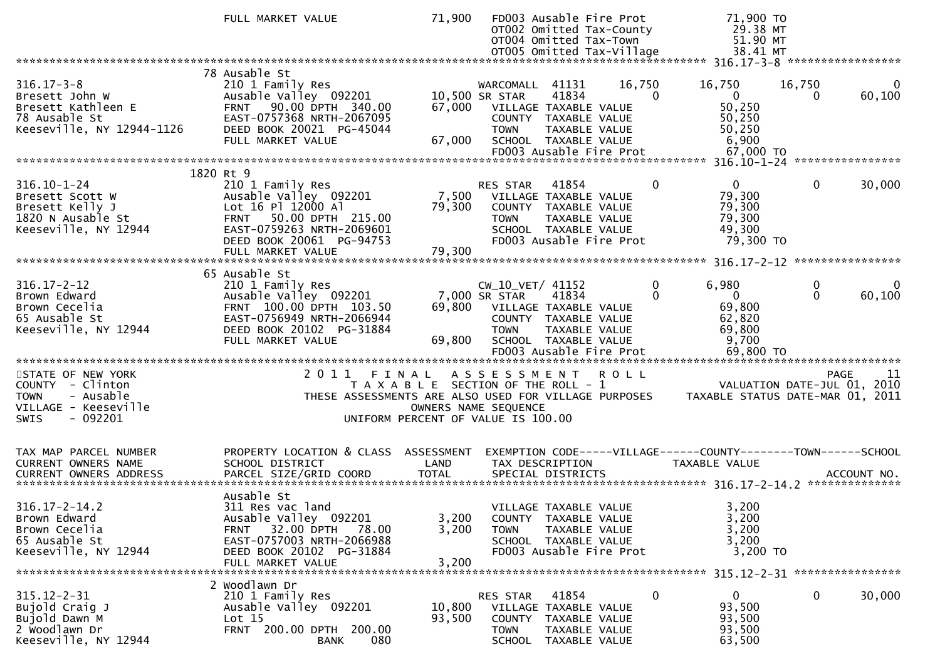|                                                                                                                      | FULL MARKET VALUE                                                                                                                                                           | 71,900                                                                      | OT004 Omitted Tax-Town                                                                                                    |                                                                                          | FD003 Ausable Fire Prot<br>OT002 Omitted Tax-County | 71,900 TO<br>29.38 MT<br>51.90 MT                                                          |               |                                                  |
|----------------------------------------------------------------------------------------------------------------------|-----------------------------------------------------------------------------------------------------------------------------------------------------------------------------|-----------------------------------------------------------------------------|---------------------------------------------------------------------------------------------------------------------------|------------------------------------------------------------------------------------------|-----------------------------------------------------|--------------------------------------------------------------------------------------------|---------------|--------------------------------------------------|
| $316.17 - 3 - 8$<br>Bresett John W<br>Bresett Kathleen E<br>78 Ausable St<br>Keeseville, NY 12944-1126               | 78 Ausable St<br>210 1 Family Res<br>Ausable Valley 092201<br>FRNT 90.00 DPTH 340.00<br>EAST-0757368 NRTH-2067095<br>DEED BOOK 20021 PG-45044<br>FULL MARKET VALUE          | 67,000<br>67,000                                                            | WARCOMALL 41131<br>10,500 SR STAR<br>VILLAGE TAXABLE VALUE<br><b>TOWN</b><br>SCHOOL TAXABLE VALUE                         | 41834<br>COUNTY TAXABLE VALUE<br><b>TAXABLE VALUE</b>                                    | 16,750<br>FD003 Ausable Fire Prot                   | 16,750<br>$\overline{0}$<br>$\Omega$<br>50,250<br>50,250<br>50,250<br>6,900<br>67,000 TO   | 16,750<br>0   | 0<br>60,100                                      |
|                                                                                                                      | 1820 Rt 9                                                                                                                                                                   |                                                                             |                                                                                                                           |                                                                                          |                                                     |                                                                                            |               |                                                  |
| $316.10 - 1 - 24$<br>Bresett Scott W<br>Bresett Kelly J<br>1820 N Ausable St<br>Keeseville, NY 12944                 | 210 1 Family Res<br>Ausable Valley 092201<br>Lot 16 Pl 12000 Al<br>FRNT 50.00 DPTH 215.00<br>EAST-0759263 NRTH-2069601<br>DEED BOOK 20061 PG-94753<br>FULL MARKET VALUE     | 7,500<br>79,300<br>79,300                                                   | RES STAR<br>VILLAGE TAXABLE VALUE<br>COUNTY TAXABLE VALUE<br><b>TOWN</b>                                                  | 41854<br>TAXABLE VALUE<br>SCHOOL TAXABLE VALUE                                           | FD003 Ausable Fire Prot                             | $\overline{0}$<br>$\Omega$<br>79,300<br>79,300<br>79,300<br>49,300<br>79,300 TO            | $\mathbf{0}$  | 30,000                                           |
|                                                                                                                      |                                                                                                                                                                             |                                                                             |                                                                                                                           |                                                                                          |                                                     |                                                                                            |               |                                                  |
| $316.17 - 2 - 12$<br>Brown Edward<br>Brown Cecelia<br>65 Ausable St<br>Keeseville, NY 12944                          | 65 Ausable St<br>210 1 Family Res<br>Ausable Valley 092201<br>FRNT 100.00 DPTH 103.50<br>EAST-0756949 NRTH-2066944<br>DEED BOOK 20102 PG-31884<br>FULL MARKET VALUE         | 69,800<br>69,800                                                            | CW_10_VET/ 41152<br>7,000 SR STAR<br>VILLAGE TAXABLE VALUE<br>COUNTY TAXABLE VALUE<br><b>TOWN</b><br>SCHOOL TAXABLE VALUE | 41834<br>TAXABLE VALUE                                                                   | FD003 Ausable Fire Prot                             | 0<br>6,980<br>$\Omega$<br>$\mathbf{0}$<br>69,800<br>62,820<br>69,800<br>9,700<br>69,800 TO | 0<br>$\Omega$ | 0<br>60,100                                      |
| STATE OF NEW YORK<br>COUNTY - Clinton<br>- Ausable<br><b>TOWN</b><br>VILLAGE - Keeseville<br>- 092201<br><b>SWIS</b> | 2011 FINAL ASSESSMENT<br>THESE ASSESSMENTS ARE ALSO USED FOR VILLAGE PURPOSES                                                                                               | T A X A B L E SECTION OF THE ROLL - 1<br>UNIFORM PERCENT OF VALUE IS 100.00 | OWNERS NAME SEQUENCE                                                                                                      |                                                                                          | <b>ROLL</b>                                         | TAXABLE STATUS DATE-MAR 01, 2011                                                           |               | 11<br><b>PAGE</b><br>VALUATION DATE-JUL 01, 2010 |
| TAX MAP PARCEL NUMBER<br>CURRENT OWNERS NAME<br><b>CURRENT OWNERS ADDRESS</b>                                        | PROPERTY LOCATION & CLASS ASSESSMENT<br>SCHOOL DISTRICT<br>PARCEL SIZE/GRID COORD                                                                                           | LAND<br><b>TOTAL</b>                                                        | TAX DESCRIPTION                                                                                                           | SPECIAL DISTRICTS                                                                        |                                                     | EXEMPTION CODE-----VILLAGE------COUNTY--------TOWN------SCHOOL<br>TAXABLE VALUE            |               | ACCOUNT NO.                                      |
| $316.17 - 2 - 14.2$<br>Brown Edward<br>Brown Cecelia<br>65 Ausable St<br>Keeseville, NY 12944                        | Ausable St<br>311 Res vac land<br>Ausable Valley 092201<br>32.00 DPTH<br><b>FRNT</b><br>78.00<br>EAST-0757003 NRTH-2066988<br>DEED BOOK 20102 PG-31884<br>FULL MARKET VALUE | 3,200<br>3,200<br>3,200                                                     | VILLAGE TAXABLE VALUE<br>TOWN                                                                                             | COUNTY TAXABLE VALUE<br>TAXABLE VALUE<br>SCHOOL TAXABLE VALUE                            | FD003 Ausable Fire Prot                             | 3,200<br>3,200<br>3,200<br>3,200<br>3,200 TO                                               |               |                                                  |
| $315.12 - 2 - 31$<br>Bujold Craig J<br>Bujold Dawn M<br>2 Woodlawn Dr<br>Keeseville, NY 12944                        | 2 Woodlawn Dr<br>210 1 Family Res<br>Ausable Valley 092201<br>Lot 15<br>FRNT 200.00 DPTH 200.00<br><b>BANK</b><br>080                                                       | 10,800<br>93,500                                                            | RES STAR<br><b>TOWN</b><br>SCHOOL                                                                                         | 41854<br>VILLAGE TAXABLE VALUE<br>COUNTY TAXABLE VALUE<br>TAXABLE VALUE<br>TAXABLE VALUE |                                                     | 0<br>0<br>93,500<br>93,500<br>93,500<br>63,500                                             | 0             | 30,000                                           |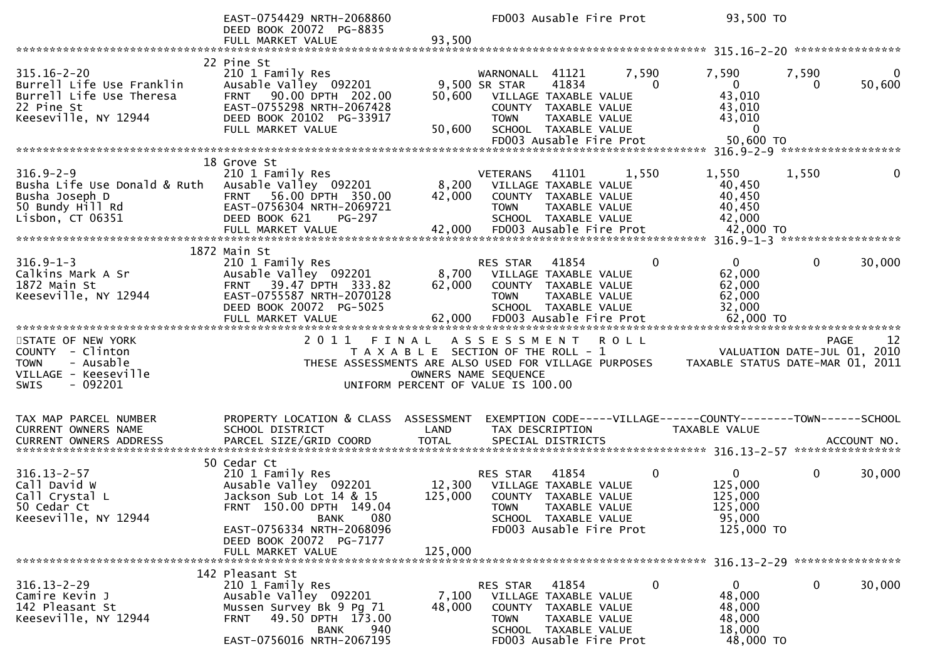|                                                                                                                  | EAST-0754429 NRTH-2068860<br>DEED BOOK 20072 PG-8835                                                                                                                            |                           | FD003 Ausable Fire Prot                                                                                                                                      |                                     | 93,500 TO                                                                       |              |                             |
|------------------------------------------------------------------------------------------------------------------|---------------------------------------------------------------------------------------------------------------------------------------------------------------------------------|---------------------------|--------------------------------------------------------------------------------------------------------------------------------------------------------------|-------------------------------------|---------------------------------------------------------------------------------|--------------|-----------------------------|
|                                                                                                                  | FULL MARKET VALUE                                                                                                                                                               | 93,500                    |                                                                                                                                                              |                                     |                                                                                 |              |                             |
| $315.16 - 2 - 20$<br>Burrell Life Use Franklin<br>Burrell Life Use Theresa<br>22 Pine St<br>Keeseville, NY 12944 | 22 Pine St<br>210 1 Family Res<br>Ausable Valley 092201<br>FRNT 90.00 DPTH 202.00<br>EAST-0755298 NRTH-2067428<br>DEED BOOK 20102 PG-33917<br>FULL MARKET VALUE                 | 50,600<br>50,600          | WARNONALL 41121<br>41834<br>9,500 SR STAR<br>VILLAGE TAXABLE VALUE<br>COUNTY TAXABLE VALUE<br><b>TOWN</b><br>SCHOOL TAXABLE VALUE<br>FD003 Ausable Fire Prot | 7,590<br>$\Omega$<br>TAXABLE VALUE  | 7,590<br>$\mathbf{0}$<br>43,010<br>43,010<br>43,010<br>$\Omega$<br>50,600 TO    | 7,590<br>0   | 0<br>50,600                 |
|                                                                                                                  | 18 Grove St                                                                                                                                                                     |                           |                                                                                                                                                              |                                     |                                                                                 |              |                             |
| $316.9 - 2 - 9$<br>Busha Life Use Donald & Ruth<br>Busha Joseph D<br>50 Bundy Hill Rd<br>Lisbon, $CT$ 06351      | 210 1 Family Res<br>Ausable Valley 092201<br>FRNT 56.00 DPTH 350.00<br>EAST-0756304 NRTH-2069721<br>DEED BOOK 621<br><b>PG-297</b><br>FULL MARKET VALUE                         | 8,200<br>42,000<br>42,000 | 41101<br><b>VETERANS</b><br>VILLAGE TAXABLE VALUE<br>COUNTY TAXABLE VALUE<br><b>TOWN</b><br>SCHOOL TAXABLE VALUE<br>FD003 Ausable Fire Prot                  | 1,550<br>TAXABLE VALUE              | 1,550<br>40,450<br>40,450<br>40,450<br>42,000<br>42,000 TO                      | 1,550        |                             |
|                                                                                                                  | 1872 Main St                                                                                                                                                                    |                           |                                                                                                                                                              |                                     |                                                                                 |              |                             |
| $316.9 - 1 - 3$<br>Calkins Mark A Sr<br>1872 Main St<br>Keeseville, NY 12944                                     | 210 1 Family Res<br>Ausable Valley 092201<br>FRNT 39.47 DPTH 333.82<br>EAST-0755587 NRTH-2070128<br>DEED BOOK 20072 PG-5025<br>FULL MARKET VALUE                                | 8,700<br>62,000<br>62,000 | RES STAR<br>41854<br>VILLAGE TAXABLE VALUE<br>COUNTY TAXABLE VALUE<br><b>TOWN</b><br>SCHOOL TAXABLE VALUE<br>FD003 Ausable Fire Prot                         | 0<br>TAXABLE VALUE                  | $\mathbf{0}$<br>62,000<br>62,000<br>62,000<br>32,000<br>62,000 TO               | $\mathbf{0}$ | 30,000                      |
| STATE OF NEW YORK                                                                                                | 2011                                                                                                                                                                            | FINAL                     | ASSESSMENT                                                                                                                                                   | <b>ROLL</b>                         |                                                                                 |              | 12<br><b>PAGE</b>           |
| COUNTY - Clinton<br><b>TOWN</b><br>- Ausable<br>VILLAGE - Keeseville<br>$-092201$<br><b>SWIS</b>                 |                                                                                                                                                                                 | OWNERS NAME SEQUENCE      | T A X A B L E SECTION OF THE ROLL - 1<br>THESE ASSESSMENTS ARE ALSO USED FOR VILLAGE PURPOSES<br>UNIFORM PERCENT OF VALUE IS 100.00                          |                                     | TAXABLE STATUS DATE-MAR 01, 2011                                                |              | VALUATION DATE-JUL 01, 2010 |
| TAX MAP PARCEL NUMBER<br>CURRENT OWNERS NAME<br><b>CURRENT OWNERS ADDRESS</b>                                    | PROPERTY LOCATION & CLASS ASSESSMENT<br>SCHOOL DISTRICT                                                                                                                         | LAND<br><b>TOTAL</b>      | TAX DESCRIPTION<br>SPECIAL DISTRICTS                                                                                                                         |                                     | EXEMPTION CODE-----VILLAGE------COUNTY--------TOWN------SCHOOL<br>TAXABLE VALUE |              | ACCOUNT NO.                 |
|                                                                                                                  | PARCEL SIZE/GRID COORD                                                                                                                                                          |                           |                                                                                                                                                              |                                     |                                                                                 |              |                             |
| $316.13 - 2 - 57$<br>Call David W<br>Call Crystal L<br>50 Cedar Ct<br>Keeseville, NY 12944                       | 50 Cedar Ct<br>210 1 Family Res<br>Ausable Valley 092201<br>Jackson Sub Lot 14 & 15<br>FRNT 150.00 DPTH 149.04<br>080<br><b>BANK</b>                                            | 12,300<br>125,000         | 41854<br>RES STAR<br>VILLAGE TAXABLE VALUE<br>COUNTY TAXABLE VALUE<br><b>TOWN</b><br>SCHOOL TAXABLE VALUE                                                    | 0<br>TAXABLE VALUE                  | $\overline{0}$<br>125,000<br>125,000<br>125,000<br>95,000                       | $\mathbf 0$  | 30,000                      |
|                                                                                                                  | EAST-0756334 NRTH-2068096<br>DEED BOOK 20072 PG-7177<br>FULL MARKET VALUE                                                                                                       | 125,000                   | FD003 Ausable Fire Prot                                                                                                                                      |                                     | 125,000 TO                                                                      |              |                             |
| $316.13 - 2 - 29$<br>Camire Kevin J<br>142 Pleasant St<br>Keeseville, NY 12944                                   | 142 Pleasant St<br>210 1 Family Res<br>Ausable Valley 092201<br>Mussen Survey Bk 9 Pg 71<br>49.50 DPTH 173.00<br><b>FRNT</b><br>940<br><b>BANK</b><br>EAST-0756016 NRTH-2067195 | 7,100<br>48,000           | 41854<br>RES STAR<br>VILLAGE TAXABLE VALUE<br><b>COUNTY</b><br><b>TOWN</b><br>SCHOOL TAXABLE VALUE<br>FD003 Ausable Fire Prot                                | 0<br>TAXABLE VALUE<br>TAXABLE VALUE | $\mathbf{0}$<br>48,000<br>48,000<br>48,000<br>18,000<br>48,000 TO               | $\mathbf 0$  | 30,000                      |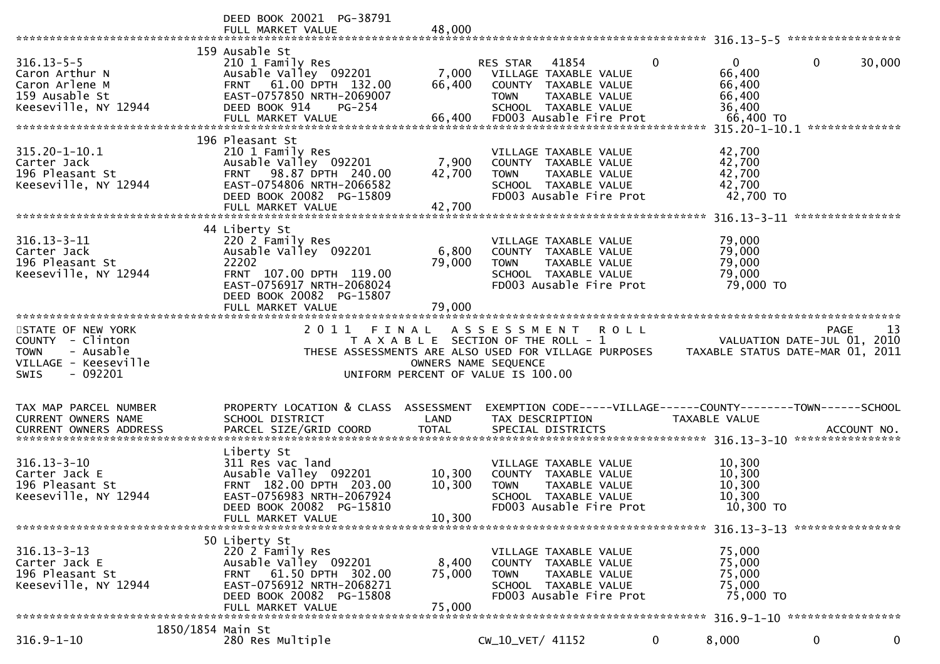|                                                                                                                                                                                                                                                                                      | DEED BOOK 20021 PG-38791<br>FULL MARKET VALUE                                                                                                                                  | 48,000                        |                                                                                                                                                                                                            |              |                                                                   |                                                        |
|--------------------------------------------------------------------------------------------------------------------------------------------------------------------------------------------------------------------------------------------------------------------------------------|--------------------------------------------------------------------------------------------------------------------------------------------------------------------------------|-------------------------------|------------------------------------------------------------------------------------------------------------------------------------------------------------------------------------------------------------|--------------|-------------------------------------------------------------------|--------------------------------------------------------|
| $316.13 - 5 - 5$<br>Caron Arthur N<br>Caron Arlene M<br>159 Ausable St<br>Keeseville, NY 12944                                                                                                                                                                                       | 159 Ausable St<br>210 1 Family Res<br>Ausable Valley 092201<br>FRNT 61.00 DPTH 132.00<br>EAST-0757850 NRTH-2069007<br>DEED BOOK 914<br>PG-254<br>FULL MARKET VALUE             | 7,000<br>66,400<br>66,400     | 41854<br>RES STAR<br>VILLAGE TAXABLE VALUE<br>COUNTY TAXABLE VALUE<br>TAXABLE VALUE<br><b>TOWN</b><br>SCHOOL TAXABLE VALUE<br>FD003 Ausable Fire Prot                                                      | $\Omega$     | $\mathbf{0}$<br>66,400<br>66,400<br>66,400<br>36,400<br>66,400 TO | $\mathbf 0$<br>30,000<br>315.20-1-10.1 *************** |
| 315.20-1-10.1<br>Carter Jack<br>196 Pleasant St<br>Keeseville, NY 12944                                                                                                                                                                                                              | 196 Pleasant St<br>210 1 Family Res<br>Ausable Valley 092201<br>98.87 DPTH 240.00<br><b>FRNT</b><br>EAST-0754806 NRTH-2066582<br>DEED BOOK 20082 PG-15809<br>FULL MARKET VALUE | 7,900<br>42,700<br>42,700     | VILLAGE TAXABLE VALUE<br>COUNTY TAXABLE VALUE<br><b>TOWN</b><br>TAXABLE VALUE<br>SCHOOL TAXABLE VALUE<br>FD003 Ausable Fire Prot                                                                           |              | 42,700<br>42,700<br>42,700<br>42,700<br>42,700 TO                 |                                                        |
| $316.13 - 3 - 11$<br>Carter Jack<br>196 Pleasant St<br>Keeseville, NY 12944                                                                                                                                                                                                          | 44 Liberty St<br>220 2 Family Res<br>Ausable Valley 092201<br>22202<br>FRNT 107.00 DPTH 119.00<br>EAST-0756917 NRTH-2068024<br>DEED BOOK 20082 PG-15807<br>FULL MARKET VALUE   | 6,800<br>79,000<br>79,000     | VILLAGE TAXABLE VALUE<br>COUNTY TAXABLE VALUE<br><b>TOWN</b><br>TAXABLE VALUE<br>SCHOOL TAXABLE VALUE<br>FD003 Ausable Fire Prot                                                                           |              | 79,000<br>79,000<br>79,000<br>79,000<br>79,000 TO                 |                                                        |
| STATE OF NEW YORK<br>COUNTY - Clinton<br>- Ausable<br><b>TOWN</b><br>VILLAGE - Keeseville<br>$-092201$<br><b>SWIS</b>                                                                                                                                                                | 2 0 1 1                                                                                                                                                                        | FINAL<br>OWNERS NAME SEQUENCE | A S S E S S M E N T<br><b>ROLL</b><br>T A X A B L E SECTION OF THE ROLL - 1<br>THESE ASSESSMENTS ARE ALSO USED FOR VILLAGE PURPOSES TAXABLE STATUS DATE-MAR 01, 2011<br>UNIFORM PERCENT OF VALUE IS 100.00 |              |                                                                   | PAGE<br>-13<br>VALUATION DATE-JUL 01, 2010             |
| TAX MAP PARCEL NUMBER<br><b>CURRENT OWNERS NAME</b><br>.CURRENT OWNERS ADDRESS PARCEL SIZE/GRID COORD TOTAL SPECIAL DISTRICTS (ACCOUNT NO ACCOUNT NO ACCOUNT NO AND EXAMPLE TO THE SPECIAL DISTRICTS AND A SERVER AND A SERVER AND THE SPECIAL STECLES AND THE SERVER AND THE SERVER | PROPERTY LOCATION & CLASS ASSESSMENT<br>SCHOOL DISTRICT                                                                                                                        | LAND                          | EXEMPTION CODE-----VILLAGE------COUNTY--------TOWN------SCHOOL<br>TAX DESCRIPTION                                                                                                                          |              | TAXABLE VALUE                                                     |                                                        |
| $316.13 - 3 - 10$<br>Carter Jack E<br>196 Pleasant St<br>Keeseville, NY 12944                                                                                                                                                                                                        | Liberty St<br>311 Res vac land<br>Ausable Valley 092201<br>FRNT 182.00 DPTH 203.00<br>EAST-0756983 NRTH-2067924<br>DEED BOOK 20082 PG-15810<br>FULL MARKET VALUE               | 10,300<br>10,300<br>10,300    | VILLAGE TAXABLE VALUE<br>COUNTY TAXABLE VALUE<br>TAXABLE VALUE<br><b>TOWN</b><br>SCHOOL TAXABLE VALUE<br>FD003 Ausable Fire Prot                                                                           |              | 10,300<br>10,300<br>10,300<br>10,300<br>10,300 TO                 |                                                        |
| $316.13 - 3 - 13$<br>Carter Jack E<br>196 Pleasant St<br>Keeseville, NY 12944                                                                                                                                                                                                        | 50 Liberty St<br>220 2 Family Res<br>Ausable Valley 092201<br>61.50 DPTH 302.00<br><b>FRNT</b><br>EAST-0756912 NRTH-2068271<br>DEED BOOK 20082 PG-15808<br>FULL MARKET VALUE   | 8,400<br>75,000<br>75,000     | VILLAGE TAXABLE VALUE<br>COUNTY TAXABLE VALUE<br>TAXABLE VALUE<br><b>TOWN</b><br>SCHOOL TAXABLE VALUE<br>FD003 Ausable Fire Prot                                                                           |              | 75,000<br>75,000<br>75,000<br>75,000<br>75,000 TO                 |                                                        |
| 1850/1854 Main St<br>$316.9 - 1 - 10$                                                                                                                                                                                                                                                | 280 Res Multiple                                                                                                                                                               |                               | CW_10_VET/ 41152                                                                                                                                                                                           | $\mathbf{0}$ | 8,000                                                             | $\bf{0}$<br>$\mathbf 0$                                |
|                                                                                                                                                                                                                                                                                      |                                                                                                                                                                                |                               |                                                                                                                                                                                                            |              |                                                                   |                                                        |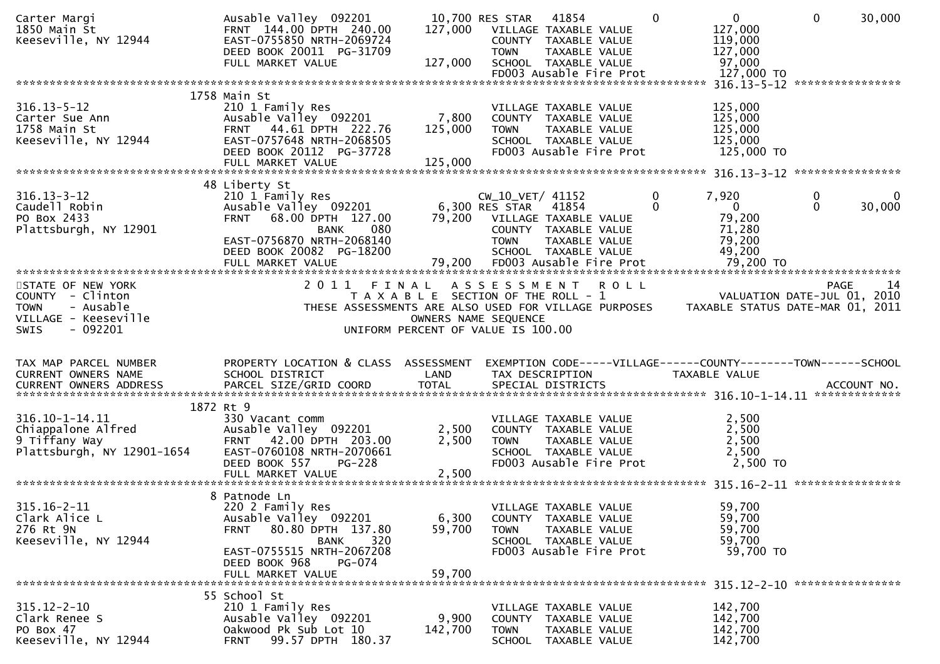| Carter Margi<br>1850 Main St<br>Keeseville, NY 12944                                                                  | Ausable Valley 092201<br>FRNT 144.00 DPTH 240.00<br>EAST-0755850 NRTH-2069724<br>DEED BOOK 20011 PG-31709<br>FULL MARKET VALUE                                                                     | 127,000<br>127,000          | 41854<br>10,700 RES STAR<br>VILLAGE TAXABLE VALUE<br>COUNTY TAXABLE VALUE<br>TAXABLE VALUE<br><b>TOWN</b><br>SCHOOL TAXABLE VALUE<br>FD003 Ausable Fire Prot                       | $\mathbf 0$   | $\mathbf{0}$<br>127,000<br>119,000<br>127,000<br>97,000<br>127,000 TO        | $\mathbf 0$   | 30,000            |
|-----------------------------------------------------------------------------------------------------------------------|----------------------------------------------------------------------------------------------------------------------------------------------------------------------------------------------------|-----------------------------|------------------------------------------------------------------------------------------------------------------------------------------------------------------------------------|---------------|------------------------------------------------------------------------------|---------------|-------------------|
|                                                                                                                       |                                                                                                                                                                                                    |                             |                                                                                                                                                                                    |               |                                                                              |               |                   |
| $316.13 - 5 - 12$<br>Carter Sue Ann<br>1758 Main St<br>Keeseville, NY 12944                                           | 1758 Main St<br>210 1 Family Res<br>Ausable Valley 092201<br>FRNT 44.61 DPTH 222.76<br>EAST-0757648 NRTH-2068505<br>DEED BOOK 20112 PG-37728<br>FULL MARKET VALUE                                  | 7,800<br>125,000<br>125,000 | VILLAGE TAXABLE VALUE<br>COUNTY TAXABLE VALUE<br><b>TOWN</b><br>TAXABLE VALUE<br>SCHOOL TAXABLE VALUE<br>FD003 Ausable Fire Prot                                                   |               | 125,000<br>125,000<br>125,000<br>125,000<br>125,000 TO                       |               |                   |
|                                                                                                                       |                                                                                                                                                                                                    |                             |                                                                                                                                                                                    |               |                                                                              |               |                   |
| $316.13 - 3 - 12$<br>Caudell Robin<br>PO Box 2433<br>Plattsburgh, NY 12901                                            | 48 Liberty St<br>210 1 Family Res<br>Ausable Valley 092201<br>68.00 DPTH 127.00<br><b>FRNT</b><br>080<br><b>BANK</b><br>EAST-0756870 NRTH-2068140<br>DEED BOOK 20082 PG-18200<br>FULL MARKET VALUE | 79,200<br>79,200            | $CW_10_VET/41152$<br>6,300 RES STAR<br>41854<br>VILLAGE TAXABLE VALUE<br>COUNTY TAXABLE VALUE<br><b>TOWN</b><br>TAXABLE VALUE<br>SCHOOL TAXABLE VALUE<br>FD003 Ausable Fire Prot   | 0<br>$\Omega$ | 7,920<br>$\overline{0}$<br>79,200<br>71,280<br>79,200<br>49,200<br>79,200 TO | 0<br>$\Omega$ | 0<br>30,000       |
|                                                                                                                       | 2011 FINAL                                                                                                                                                                                         |                             |                                                                                                                                                                                    |               |                                                                              |               | <b>PAGE</b><br>14 |
| STATE OF NEW YORK<br>COUNTY - Clinton<br>- Ausable<br><b>TOWN</b><br>VILLAGE - Keeseville<br>$-092201$<br><b>SWIS</b> |                                                                                                                                                                                                    |                             | A S S E S S M E N T<br>T A X A B L E SECTION OF THE ROLL - 1<br>THESE ASSESSMENTS ARE ALSO USED FOR VILLAGE PURPOSES<br>OWNERS NAME SEQUENCE<br>UNIFORM PERCENT OF VALUE IS 100.00 | <b>ROLL</b>   | VALUATION DATE-JUL 01, 2010<br>TAXABLE STATUS DATE-MAR 01, 2011              |               |                   |
| TAX MAP PARCEL NUMBER<br><b>CURRENT OWNERS NAME</b><br><b>CURRENT OWNERS ADDRESS</b>                                  | PROPERTY LOCATION & CLASS ASSESSMENT<br>SCHOOL DISTRICT<br>PARCEL SIZE/GRID COORD                                                                                                                  | LAND<br><b>TOTAL</b>        | EXEMPTION CODE-----VILLAGE------COUNTY--------TOWN------SCHOOL<br>TAX DESCRIPTION<br>SPECIAL DISTRICTS                                                                             |               | TAXABLE VALUE                                                                |               | ACCOUNT NO.       |
|                                                                                                                       |                                                                                                                                                                                                    |                             |                                                                                                                                                                                    |               |                                                                              |               |                   |
| 316.10-1-14.11<br>Chiappalone Alfred<br>9 Tiffany Way<br>Plattsburgh, NY 12901-1654                                   | 1872 Rt 9<br>330 Vacant comm<br>Ausable Valley 092201<br>FRNT 42.00 DPTH 203.00<br>EAST-0760108 NRTH-2070661<br>DEED BOOK 557<br><b>PG-228</b>                                                     | 2,500<br>2,500              | VILLAGE TAXABLE VALUE<br>COUNTY TAXABLE VALUE<br><b>TOWN</b><br>TAXABLE VALUE<br>SCHOOL TAXABLE VALUE<br>FD003 Ausable Fire Prot                                                   |               | 2,500<br>2,500<br>2,500<br>2,500<br>2,500 TO                                 |               |                   |
| $315.16 - 2 - 11$<br>Clark Alice L<br>276 Rt 9N<br>Keeseville, NY 12944                                               | 8 Patnode Ln<br>220 2 Family Res<br>Ausable Valley 092201<br>80.80 DPTH 137.80<br><b>FRNT</b><br>320<br>BANK<br>EAST-0755515 NRTH-2067208<br>DEED BOOK 968<br>PG-074<br>FULL MARKET VALUE          | 6,300<br>59,700<br>59,700   | VILLAGE TAXABLE VALUE<br>COUNTY TAXABLE VALUE<br>TAXABLE VALUE<br><b>TOWN</b><br>SCHOOL TAXABLE VALUE<br>FD003 Ausable Fire Prot                                                   |               | 59,700<br>59,700<br>59,700<br>59,700<br>59,700 TO                            |               |                   |
| $315.12 - 2 - 10$<br>Clark Renee S<br>PO Box 47<br>Keeseville, NY 12944                                               | 55 School St<br>210 1 Family Res<br>Ausable Valley 092201<br>Oakwood Pk Sub Lot 10<br>99.57 DPTH 180.37<br><b>FRNT</b>                                                                             | 9,900<br>142,700            | VILLAGE TAXABLE VALUE<br>COUNTY TAXABLE VALUE<br><b>TOWN</b><br>TAXABLE VALUE<br>SCHOOL TAXABLE VALUE                                                                              |               | 142,700<br>142,700<br>142,700<br>142,700                                     |               |                   |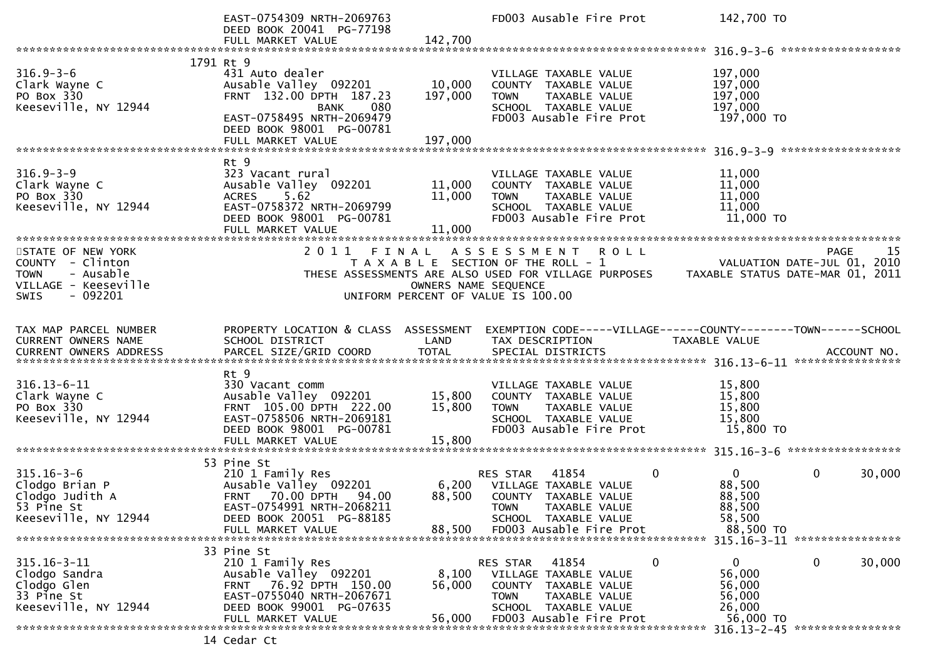|                                                                                                  | EAST-0754309 NRTH-2069763<br>DEED BOOK 20041 PG-77198<br>FULL MARKET VALUE                                                                               | 142,700                    | FD003 Ausable Fire Prot                                                                                                                   | 142,700 TO                                             |                                                                 |
|--------------------------------------------------------------------------------------------------|----------------------------------------------------------------------------------------------------------------------------------------------------------|----------------------------|-------------------------------------------------------------------------------------------------------------------------------------------|--------------------------------------------------------|-----------------------------------------------------------------|
|                                                                                                  |                                                                                                                                                          |                            |                                                                                                                                           |                                                        |                                                                 |
| $316.9 - 3 - 6$<br>Clark Wayne C<br>PO Box 330<br>Keeseville, NY 12944                           | 1791 Rt 9<br>431 Auto dealer<br>Ausable Valley 092201<br>FRNT 132.00 DPTH 187.23<br>080<br>BANK<br>EAST-0758495 NRTH-2069479<br>DEED BOOK 98001 PG-00781 | 10,000<br>197,000          | VILLAGE TAXABLE VALUE<br>COUNTY TAXABLE VALUE<br>TAXABLE VALUE<br><b>TOWN</b><br>SCHOOL TAXABLE VALUE<br>FD003 Ausable Fire Prot          | 197,000<br>197,000<br>197,000<br>197,000<br>197,000 TO |                                                                 |
|                                                                                                  | FULL MARKET VALUE                                                                                                                                        | 197,000                    |                                                                                                                                           |                                                        |                                                                 |
|                                                                                                  | Rt 9                                                                                                                                                     |                            |                                                                                                                                           |                                                        |                                                                 |
| $316.9 - 3 - 9$<br>Clark Wayne C<br>PO Box 330<br>Keeseville, NY 12944                           | 323 Vacant rural<br>Ausable Valley 092201<br>5.62<br><b>ACRES</b><br>EAST-0758372 NRTH-2069799<br>DEED BOOK 98001 PG-00781<br>FULL MARKET VALUE          | 11,000<br>11,000<br>11,000 | VILLAGE TAXABLE VALUE<br>COUNTY TAXABLE VALUE<br>TAXABLE VALUE<br><b>TOWN</b><br>SCHOOL TAXABLE VALUE<br>FD003 Ausable Fire Prot          | 11,000<br>11,000<br>11,000<br>11,000<br>11,000 TO      |                                                                 |
| STATE OF NEW YORK                                                                                | 2011 FINAL                                                                                                                                               |                            | A S S E S S M E N T<br><b>ROLL</b>                                                                                                        |                                                        | 15<br><b>PAGE</b>                                               |
| COUNTY - Clinton<br><b>TOWN</b><br>- Ausable<br>VILLAGE - Keeseville<br>$-092201$<br><b>SWIS</b> |                                                                                                                                                          | OWNERS NAME SEQUENCE       | T A X A B L E SECTION OF THE ROLL - 1<br>THESE ASSESSMENTS ARE ALSO USED FOR VILLAGE PURPOSES<br>UNIFORM PERCENT OF VALUE IS 100.00       |                                                        | VALUATION DATE-JUL 01, 2010<br>TAXABLE STATUS DATE-MAR 01, 2011 |
|                                                                                                  |                                                                                                                                                          |                            |                                                                                                                                           |                                                        |                                                                 |
| TAX MAP PARCEL NUMBER<br>CURRENT OWNERS NAME                                                     | PROPERTY LOCATION & CLASS ASSESSMENT<br>SCHOOL DISTRICT                                                                                                  | LAND                       | EXEMPTION CODE-----VILLAGE------COUNTY--------TOWN------SCHOOL<br>TAX DESCRIPTION                                                         | TAXABLE VALUE                                          |                                                                 |
|                                                                                                  | Rt 9                                                                                                                                                     |                            |                                                                                                                                           |                                                        |                                                                 |
| $316.13 - 6 - 11$<br>Clark Wayne C<br>PO Box 330<br>Keeseville, NY 12944                         | 330 Vacant comm<br>Ausable Valley 092201<br>FRNT 105.00 DPTH 222.00<br>EAST-0758506 NRTH-2069181<br>DEED BOOK 98001 PG-00781<br>FULL MARKET VALUE        | 15,800<br>15,800<br>15,800 | VILLAGE TAXABLE VALUE<br>COUNTY TAXABLE VALUE<br>TAXABLE VALUE<br><b>TOWN</b><br>SCHOOL TAXABLE VALUE<br>FD003 Ausable Fire Prot          | 15,800<br>15,800<br>15,800<br>15,800<br>15,800 TO      |                                                                 |
|                                                                                                  |                                                                                                                                                          |                            |                                                                                                                                           |                                                        |                                                                 |
| $315.16 - 3 - 6$<br>Clodgo Brian P<br>Clodgo Judith A<br>53 Pine St<br>Keeseville, NY 12944      | 53 Pine St<br>210 1 Family Res<br>Ausable Valley 092201<br>FRNT 70.00 DPTH<br>94.00<br>EAST-0754991 NRTH-2068211<br>DEED BOOK 20051 PG-88185             | 6,200<br>88,500            | 41854<br>0<br><b>RES STAR</b><br>VILLAGE TAXABLE VALUE<br>COUNTY TAXABLE VALUE<br><b>TOWN</b><br>TAXABLE VALUE<br>SCHOOL TAXABLE VALUE    | $\overline{0}$<br>88,500<br>88,500<br>88,500<br>58,500 | $\mathbf 0$<br>30,000                                           |
|                                                                                                  | FULL MARKET VALUE                                                                                                                                        | 88,500                     | FD003 Ausable Fire Prot                                                                                                                   | 88,500 TO                                              | 315.16-3-11 *****************                                   |
|                                                                                                  | 33 Pine St                                                                                                                                               |                            |                                                                                                                                           |                                                        |                                                                 |
| $315.16 - 3 - 11$<br>Clodgo Sandra<br>Clodgo Glen<br>33 Pine St<br>Keeseville, NY 12944          | 210 1 Family Res<br>Ausable Valley 092201<br>76.92 DPTH 150.00<br><b>FRNT</b><br>EAST-0755040 NRTH-2067671<br>DEED BOOK 99001 PG-07635                   | 8,100<br>56,000            | 0<br>RES STAR<br>41854<br>VILLAGE TAXABLE VALUE<br><b>COUNTY</b><br>TAXABLE VALUE<br><b>TOWN</b><br>TAXABLE VALUE<br>SCHOOL TAXABLE VALUE | 0<br>56,000<br>56,000<br>56,000<br>26,000              | 30,000<br>$\mathbf 0$                                           |
|                                                                                                  | FULL MARKET VALUE                                                                                                                                        | 56,000                     | FD003 Ausable Fire Prot                                                                                                                   | 56,000 TO                                              |                                                                 |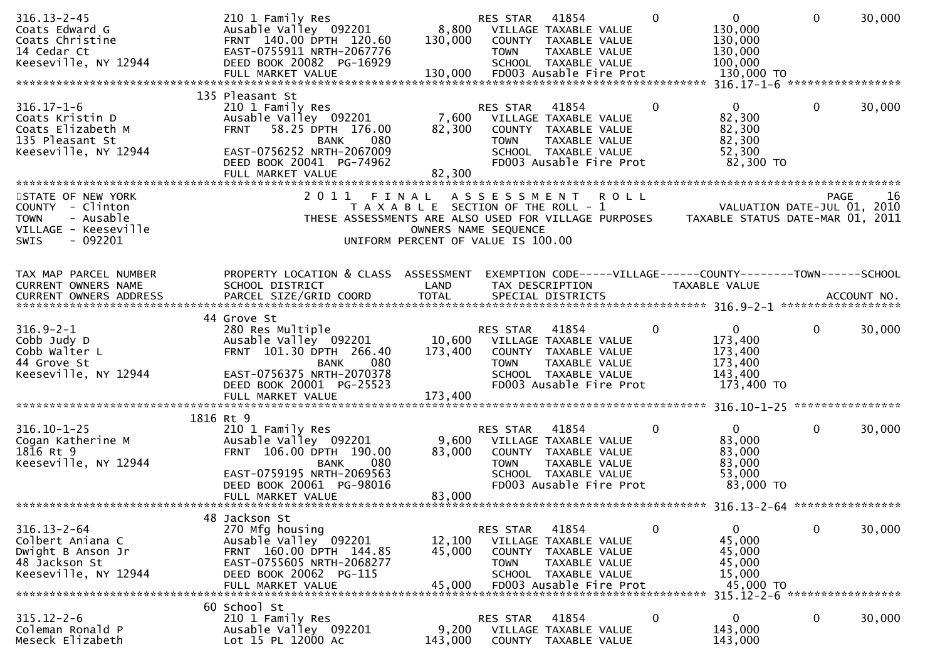| $316.13 - 2 - 45$<br>Coats Edward G<br>Coats Christine<br>14 Cedar Ct<br>Keeseville, NY 12944                  | 210 1 Family Res<br>Ausable Valley 092201<br>FRNT 140.00 DPTH 120.60<br>EAST-0755911 NRTH-2067776<br>DEED BOOK 20082 PG-16929                                                                        | 8,800<br>130,000                   | RES STAR<br><b>TOWN</b>                                   | 41854<br>VILLAGE TAXABLE VALUE<br>COUNTY TAXABLE VALUE<br>TAXABLE VALUE<br>SCHOOL TAXABLE VALUE                            |             | $\mathbf{0}$ | $\overline{0}$<br>130,000<br>130,000<br>130,000<br>100,000                     | $\mathbf 0$  | 30,000                      |
|----------------------------------------------------------------------------------------------------------------|------------------------------------------------------------------------------------------------------------------------------------------------------------------------------------------------------|------------------------------------|-----------------------------------------------------------|----------------------------------------------------------------------------------------------------------------------------|-------------|--------------|--------------------------------------------------------------------------------|--------------|-----------------------------|
| $316.17 - 1 - 6$<br>Coats Kristin D<br>Coats Elizabeth M<br>135 Pleasant St<br>Keeseville, NY 12944            | 135 Pleasant St<br>210 1 Family Res<br>Ausable Valley 092201<br>58.25 DPTH 176.00<br><b>FRNT</b><br>080<br><b>BANK</b><br>EAST-0756252 NRTH-2067009<br>DEED BOOK 20041 PG-74962<br>FULL MARKET VALUE | 7,600<br>82,300<br>82,300          | RES STAR<br><b>TOWN</b>                                   | 41854<br>VILLAGE TAXABLE VALUE<br>COUNTY TAXABLE VALUE<br>TAXABLE VALUE<br>SCHOOL TAXABLE VALUE<br>FD003 Ausable Fire Prot |             | 0            | $\mathbf{0}$<br>82,300<br>82,300<br>82,300<br>52,300<br>82,300 TO              | 0            | 30,000                      |
| STATE OF NEW YORK<br>COUNTY - Clinton<br><b>TOWN</b><br>- Ausable<br>VILLAGE - Keeseville<br>SWIS<br>$-092201$ | 2011<br>FINAL<br>T A X A B L E SECTION OF THE ROLL - 1<br>THESE ASSESSMENTS ARE ALSO USED FOR VILLAGE PURPOSES TAXABLE STATUS DATE-MAR 01, 2011                                                      | UNIFORM PERCENT OF VALUE IS 100.00 | A S S E S S M E N T<br>OWNERS NAME SEQUENCE               |                                                                                                                            | <b>ROLL</b> |              |                                                                                | <b>PAGE</b>  | -16                         |
| TAX MAP PARCEL NUMBER<br>CURRENT OWNERS NAME<br>CURRENT OWNERS ADDRESS                                         | PROPERTY LOCATION & CLASS ASSESSMENT<br>SCHOOL DISTRICT<br>PARCEL SIZE/GRID COORD                                                                                                                    | LAND<br><b>TOTAL</b>               |                                                           | TAX DESCRIPTION<br>SPECIAL DISTRICTS                                                                                       |             |              | EXEMPTION CODE-----VILLAGE------COUNTY-------TOWN------SCHOOL<br>TAXABLE VALUE |              | ACCOUNT NO.                 |
| $316.9 - 2 - 1$<br>Cobb Judy D<br>Cobb Walter L<br>44 Grove St<br>Keeseville, NY 12944                         | 44 Grove St<br>280 Res Multiple<br>Ausable Valley 092201<br>FRNT 101.30 DPTH 266.40<br>080<br><b>BANK</b><br>EAST-0756375 NRTH-2070378<br>DEED BOOK 20001 PG-25523<br>FULL MARKET VALUE              | 173,400<br>173,400                 | RES STAR<br>10,600 VILLAGE TAXABLE VALUE<br><b>TOWN</b>   | 41854<br>COUNTY TAXABLE VALUE<br>TAXABLE VALUE<br>SCHOOL TAXABLE VALUE<br>FD003 Ausable Fire Prot                          |             | $\mathbf{0}$ | $\mathbf{0}$<br>173,400<br>173,400<br>173,400<br>143,400<br>173,400 TO         | 0            | 30,000                      |
| $316.10 - 1 - 25$<br>Cogan Katherine M<br>1816 Rt 9<br>Keeseville, NY 12944                                    | 1816 Rt 9<br>210 1 Family Res<br>Ausable Valley 092201<br>FRNT 106.00 DPTH 190.00<br>080<br><b>BANK</b><br>EAST-0759195 NRTH-2069563<br>DEED BOOK 20061 PG-98016<br>FULL MARKET VALUE                | 83,000<br>83,000                   | RES STAR<br>9,600 VILLAGE TAXABLE VALUE<br><b>TOWN</b>    | 41854<br>COUNTY TAXABLE VALUE<br>TAXABLE VALUE<br>SCHOOL TAXABLE VALUE<br>FD003 Ausable Fire Prot                          |             | 0            | $\overline{0}$<br>83,000<br>83,000<br>83,000<br>53,000<br>83,000 TO            | $\mathbf{0}$ | 30,000                      |
| $316.13 - 2 - 64$<br>Colbert Aniana C<br>Dwight B Anson Jr<br>48 Jackson St<br>Keeseville, NY 12944            | 48 Jackson St<br>270 Mfg housing<br>Ausable Valley 092201<br>FRNT 160.00 DPTH 144.85<br>EAST-0755605 NRTH-2068277<br>DEED BOOK 20062 PG-115<br>FULL MARKET VALUE                                     | 12,100<br>45,000<br>45,000         | RES STAR<br><b>COUNTY</b><br><b>TOWN</b><br><b>SCHOOL</b> | 41854<br>VILLAGE TAXABLE VALUE<br>TAXABLE VALUE<br>TAXABLE VALUE<br>TAXABLE VALUE<br>FD003 Ausable Fire Prot               |             | 0            | 0<br>45,000<br>45,000<br>45,000<br>15,000<br>45,000 TO                         | 0            | 30,000<br>***************** |
| $315.12 - 2 - 6$<br>Coleman Ronald P<br>Meseck Elizabeth                                                       | 60 School St<br>210 1 Family Res<br>Ausable Valley 092201<br>Lot 15 PL 12000 Ac                                                                                                                      | 9,200<br>143,000                   | RES STAR<br><b>COUNTY</b>                                 | 41854<br>VILLAGE TAXABLE VALUE<br>TAXABLE VALUE                                                                            |             | 0            | $315.12 - 2 - 6$<br>0<br>143,000<br>143,000                                    | 0            | 30,000                      |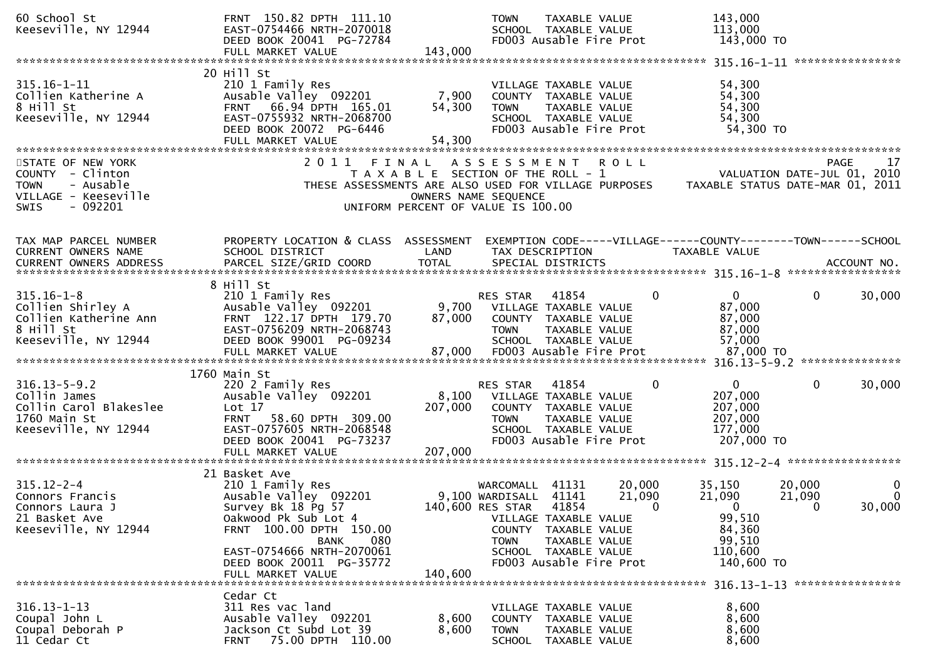| 60 School St<br>Keeseville, NY 12944                                                                                  | FRNT 150.82 DPTH 111.10<br>EAST-0754466 NRTH-2070018<br>DEED BOOK 20041 PG-72784<br>FULL MARKET VALUE                                                                                                                                   | 143,000                       | TAXABLE VALUE<br><b>TOWN</b><br>SCHOOL TAXABLE VALUE<br>FD003 Ausable Fire Prot                                                                                                                                                  | 143,000<br>113,000<br>143,000 TO                                                                |                                                                                      |
|-----------------------------------------------------------------------------------------------------------------------|-----------------------------------------------------------------------------------------------------------------------------------------------------------------------------------------------------------------------------------------|-------------------------------|----------------------------------------------------------------------------------------------------------------------------------------------------------------------------------------------------------------------------------|-------------------------------------------------------------------------------------------------|--------------------------------------------------------------------------------------|
|                                                                                                                       |                                                                                                                                                                                                                                         |                               |                                                                                                                                                                                                                                  |                                                                                                 |                                                                                      |
| $315.16 - 1 - 11$<br>Collien Katherine A<br>8 Hill St<br>Keeseville, NY 12944                                         | 20 Hill St<br>210 1 Family Res<br>Ausable Valley 092201<br>FRNT 66.94 DPTH 165.01<br>EAST-0755932 NRTH-2068700<br>DEED BOOK 20072 PG-6446<br>FULL MARKET VALUE                                                                          | 7,900<br>54,300<br>54,300     | VILLAGE TAXABLE VALUE<br>COUNTY TAXABLE VALUE<br><b>TOWN</b><br>TAXABLE VALUE<br>SCHOOL TAXABLE VALUE<br>FD003 Ausable Fire Prot                                                                                                 | 54,300<br>54,300<br>54,300<br>54,300<br>54,300 TO                                               |                                                                                      |
| STATE OF NEW YORK<br>COUNTY - Clinton<br>- Ausable<br><b>TOWN</b><br>VILLAGE - Keeseville<br>$-092201$<br><b>SWIS</b> | 2011                                                                                                                                                                                                                                    | FINAL<br>OWNERS NAME SEQUENCE | A S S E S S M E N T<br><b>ROLL</b><br>T A X A B L E SECTION OF THE ROLL - 1<br>THESE ASSESSMENTS ARE ALSO USED FOR VILLAGE PURPOSES<br>UNIFORM PERCENT OF VALUE IS 100.00                                                        |                                                                                                 | 17<br><b>PAGE</b><br>VALUATION DATE-JUL 01, 2010<br>TAXABLE STATUS DATE-MAR 01, 2011 |
| TAX MAP PARCEL NUMBER<br><b>CURRENT OWNERS NAME</b>                                                                   | PROPERTY LOCATION & CLASS ASSESSMENT<br>SCHOOL DISTRICT                                                                                                                                                                                 | LAND                          | EXEMPTION CODE-----VILLAGE------COUNTY--------TOWN------SCHOOL<br>TAX DESCRIPTION                                                                                                                                                | <b>TAXABLE VALUE</b>                                                                            |                                                                                      |
| $315.16 - 1 - 8$<br>Collien Shirley A<br>Collien Katherine Ann<br>8 Hill St<br>Keeseville, NY 12944                   | 8 Hill St<br>210 1 Family Res<br>Ausable Valley 092201<br>FRNT 122.17 DPTH 179.70<br>EAST-0756209 NRTH-2068743<br>DEED BOOK 99001 PG-09234                                                                                              | 9,700<br>87,000               | 41854<br>RES STAR<br>VILLAGE TAXABLE VALUE<br>COUNTY TAXABLE VALUE<br><b>TOWN</b><br>TAXABLE VALUE<br>SCHOOL TAXABLE VALUE                                                                                                       | $\overline{0}$<br>$\mathbf{0}$<br>87,000<br>87,000<br>87,000<br>57,000                          | $\mathbf{0}$<br>30,000                                                               |
| $316.13 - 5 - 9.2$<br>Collin James<br>Collin Carol Blakeslee<br>1760 Main St<br>Keeseville, NY 12944                  | 1760 Main St<br>220 2 Family Res<br>Ausable Valley 092201<br>Lot 17<br><b>FRNT</b><br>58.60 DPTH 309.00<br>EAST-0757605 NRTH-2068548<br>DEED BOOK 20041 PG-73237                                                                        | 8,100<br>207,000              | 41854<br>RES STAR<br>VILLAGE TAXABLE VALUE<br>COUNTY TAXABLE VALUE<br><b>TOWN</b><br>TAXABLE VALUE<br>SCHOOL TAXABLE VALUE<br>FD003 Ausable Fire Prot                                                                            | $\mathbf{0}$<br>0<br>207,000<br>207,000<br>207,000<br>177,000<br>207,000 TO                     | $\mathbf 0$<br>30,000                                                                |
| $315.12 - 2 - 4$<br>Connors Francis<br>Connors Laura J<br>21 Basket Ave<br>Keeseville, NY 12944                       | 21 Basket Ave<br>210 1 Family Res<br>Ausable Valley 092201<br>Survey Bk 18 Pg 57<br>Oakwood Pk Sub Lot 4<br>FRNT 100.00 DPTH 150.00<br><b>BANK</b><br>080<br>EAST-0754666 NRTH-2070061<br>DEED BOOK 20011 PG-35772<br>FULL MARKET VALUE | 140,600                       | WARCOMALL<br>41131<br>20,000<br>9,100 WARDISALL 41141<br>21,090<br>140,600 RES STAR<br>41854<br>VILLAGE TAXABLE VALUE<br>COUNTY TAXABLE VALUE<br>TAXABLE VALUE<br><b>TOWN</b><br>SCHOOL TAXABLE VALUE<br>FD003 Ausable Fire Prot | 35,150<br>21,090<br>$\Omega$<br>$\Omega$<br>99,510<br>84,360<br>99,510<br>110,600<br>140,600 TO | 20,000<br>$\mathbf{0}$<br>$\mathbf 0$<br>21,090<br>30,000<br>$\Omega$                |
| $316.13 - 1 - 13$<br>Coupal John L<br>Coupal Deborah P<br>11 Cedar Ct                                                 | Cedar Ct<br>311 Res vac land<br>Ausable Valley 092201<br>Jackson Ct Subd Lot 39<br>75.00 DPTH 110.00<br><b>FRNT</b>                                                                                                                     | 8,600<br>8,600                | VILLAGE TAXABLE VALUE<br>COUNTY TAXABLE VALUE<br><b>TOWN</b><br>TAXABLE VALUE<br>SCHOOL TAXABLE VALUE                                                                                                                            | 8,600<br>8,600<br>8,600<br>8,600                                                                |                                                                                      |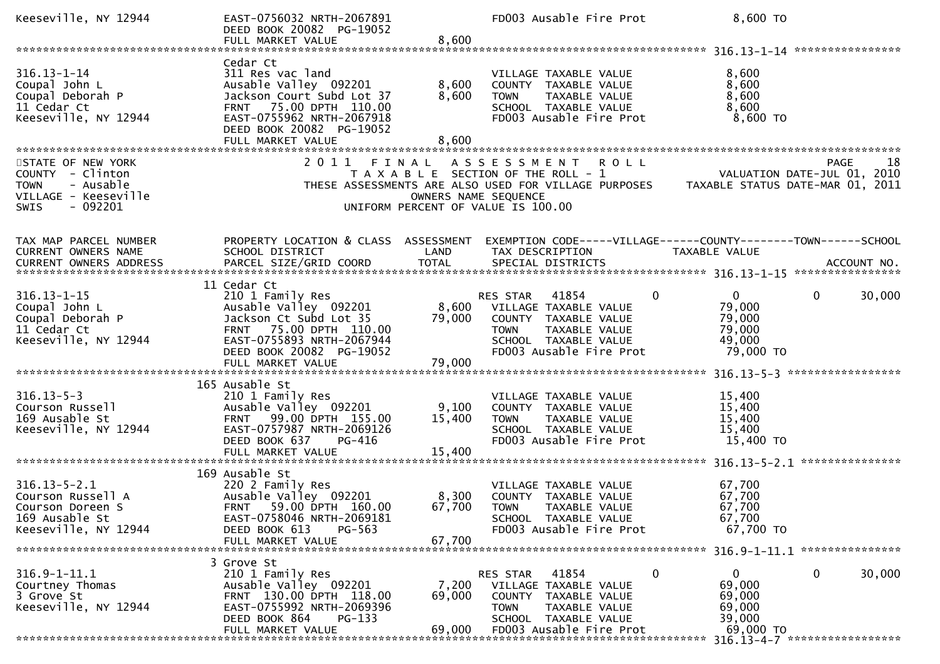| Keeseville, NY 12944                                                                                                 | EAST-0756032 NRTH-2067891<br>DEED BOOK 20082 PG-19052<br>FULL MARKET VALUE                                                                                                                 | 8,600                     | FD003 Ausable Fire Prot                                                                                                                                         |                                                                     | 8,600 TO                                                                      |
|----------------------------------------------------------------------------------------------------------------------|--------------------------------------------------------------------------------------------------------------------------------------------------------------------------------------------|---------------------------|-----------------------------------------------------------------------------------------------------------------------------------------------------------------|---------------------------------------------------------------------|-------------------------------------------------------------------------------|
|                                                                                                                      |                                                                                                                                                                                            |                           |                                                                                                                                                                 |                                                                     |                                                                               |
| $316.13 - 1 - 14$<br>Coupal John L<br>Coupal Deborah P<br>11 Cedar Ct<br>Keeseville, NY 12944                        | Cedar Ct<br>311 Res vac land<br>Ausable Valley 092201<br>Jackson Court Subd Lot 37<br>FRNT 75.00 DPTH 110.00<br>EAST-0755962 NRTH-2067918<br>DEED BOOK 20082 PG-19052<br>FULL MARKET VALUE | 8,600<br>8,600<br>8,600   | VILLAGE TAXABLE VALUE<br>COUNTY TAXABLE VALUE<br>TAXABLE VALUE<br><b>TOWN</b><br>SCHOOL TAXABLE VALUE<br>FD003 Ausable Fire Prot                                |                                                                     | 8,600<br>8,600<br>8,600<br>8,600<br>8,600 TO                                  |
|                                                                                                                      |                                                                                                                                                                                            |                           |                                                                                                                                                                 |                                                                     |                                                                               |
| STATE OF NEW YORK<br>COUNTY - Clinton<br><b>TOWN</b><br>- Ausable<br>VILLAGE - Keeseville<br>- 092201<br><b>SWIS</b> | 2011 FINAL                                                                                                                                                                                 | OWNERS NAME SEQUENCE      | ASSESSMENT ROLL<br>T A X A B L E SECTION OF THE ROLL - 1<br>THESE ASSESSMENTS ARE ALSO USED FOR VILLAGE PURPOSES<br>UNIFORM PERCENT OF VALUE IS 100.00          |                                                                     | 18<br>PAGE<br>VALUATION DATE-JUL 01, 2010<br>TAXABLE STATUS DATE-MAR 01, 2011 |
| TAX MAP PARCEL NUMBER<br>CURRENT OWNERS NAME                                                                         | PROPERTY LOCATION & CLASS ASSESSMENT<br>SCHOOL DISTRICT                                                                                                                                    | LAND                      | TAX DESCRIPTION                                                                                                                                                 | TAXABLE VALUE                                                       | EXEMPTION CODE-----VILLAGE------COUNTY--------TOWN------SCHOOL                |
| $316.13 - 1 - 15$<br>Coupal John L<br>Coupal Deborah P<br>11 Cedar Ct<br>Keeseville, NY 12944                        | 11 Cedar Ct<br>210 1 Family Res<br>Ausable Valley 092201<br>Jackson Ct Subd Lot 35<br>FRNT 75.00 DPTH 110.00<br>EAST-0755893 NRTH-2067944<br>DEED BOOK 20082 PG-19052<br>FULL MARKET VALUE | 79,000<br>79,000          | RES STAR<br>41854<br>8,600 VILLAGE TAXABLE VALUE<br>COUNTY TAXABLE VALUE<br>TAXABLE VALUE<br><b>TOWN</b><br>SCHOOL TAXABLE VALUE<br>FD003 Ausable Fire Prot     | $\mathbf{0}$<br>79,000<br>79,000<br>79,000<br>49,000                | 0<br>30,000<br>79,000 TO                                                      |
| $316.13 - 5 - 3$<br>Courson Russell<br>169 Ausable St<br>Keeseville, NY 12944                                        | 165 Ausable St<br>210 1 Family Res<br>Ausable Valley 092201<br>FRNT 99.00 DPTH 155.00<br>EAST-0757987 NRTH-2069126<br>DEED BOOK 637<br>PG-416                                              | 9,100<br>15,400           | VILLAGE TAXABLE VALUE<br>COUNTY TAXABLE VALUE<br><b>TOWN</b><br>TAXABLE VALUE<br>SCHOOL TAXABLE VALUE<br>FD003 Ausable Fire Prot                                | 15,400<br>15,400<br>15,400<br>15,400                                | 15,400 TO                                                                     |
| $316.13 - 5 - 2.1$<br>Courson Russell A<br>Courson Doreen S<br>169 Ausable St<br>Keeseville, NY 12944                | 169 Ausable St<br>220 2 Family Res<br>Ausable Valley 092201<br>FRNT 59.00 DPTH 160.00<br>EAST-0758046 NRTH-2069181<br>DEED BOOK 613<br>PG-563<br>FULL MARKET VALUE                         | 67,700<br>67,700          | VILLAGE TAXABLE VALUE<br>8,300 COUNTY TAXABLE VALUE<br><b>TOWN</b><br>TAXABLE VALUE<br>SCHOOL TAXABLE VALUE<br>FD003 Ausable Fire Prot                          | 67,700<br>67,700<br>67,700<br>67,700                                | 67,700 TO                                                                     |
|                                                                                                                      | 3 Grove St                                                                                                                                                                                 |                           |                                                                                                                                                                 |                                                                     |                                                                               |
| $316.9 - 1 - 11.1$<br>Courtney Thomas<br>3 Grove St<br>Keeseville, NY 12944                                          | 210 1 Family Res<br>Ausable Valley 092201<br>FRNT 130.00 DPTH 118.00<br>EAST-0755992 NRTH-2069396<br>DEED BOOK 864<br>$PG-133$<br>FULL MARKET VALUE                                        | 7,200<br>69,000<br>69,000 | 41854<br>RES STAR<br>VILLAGE TAXABLE VALUE<br>TAXABLE VALUE<br><b>COUNTY</b><br>TAXABLE VALUE<br><b>TOWN</b><br>SCHOOL TAXABLE VALUE<br>FD003 Ausable Fire Prot | $\mathbf 0$<br>$\mathbf{0}$<br>69,000<br>69,000<br>69,000<br>39,000 | 0<br>30,000<br>69,000 TO                                                      |
|                                                                                                                      |                                                                                                                                                                                            |                           |                                                                                                                                                                 |                                                                     | 316.13-4-7 ******************                                                 |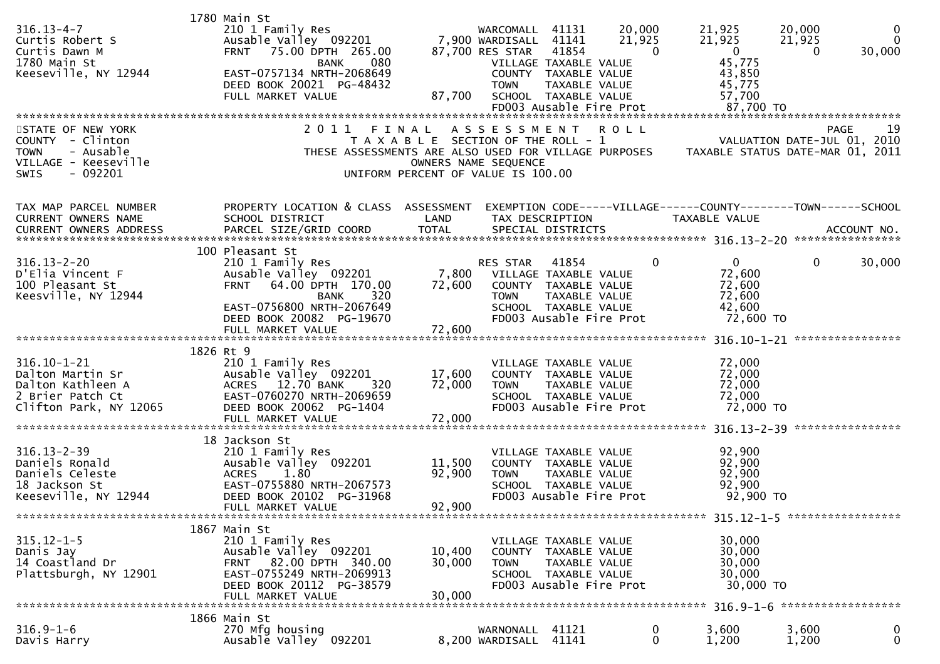| $316.13 - 4 - 7$<br>Curtis Robert S<br>Curtis Dawn M<br>1780 Main St<br>Keeseville, NY 12944                         | 1780 Main St<br>210 1 Family Res<br>Ausable Valley 092201<br>75.00 DPTH 265.00<br><b>FRNT</b><br>080<br><b>BANK</b><br>EAST-0757134 NRTH-2068649<br>DEED BOOK 20021 PG-48432<br>FULL MARKET VALUE | 87,700                             | WARCOMALL 41131<br>7,900 WARDISALL 41141<br>87,700 RES STAR 41854<br><b>TOWN</b> | VILLAGE TAXABLE VALUE<br>COUNTY TAXABLE VALUE<br>TAXABLE VALUE<br>SCHOOL TAXABLE VALUE<br>FD003 Ausable Fire Prot                | 20,000<br>21,925<br>$\Omega$ | 21,925<br>21,925<br>$\overline{0}$<br>45,775<br>43,850<br>45,775<br>57,700<br>87,700 TO | 20,000<br>21,925<br>$\Omega$  | 0<br>$\mathbf{0}$<br>30,000 |
|----------------------------------------------------------------------------------------------------------------------|---------------------------------------------------------------------------------------------------------------------------------------------------------------------------------------------------|------------------------------------|----------------------------------------------------------------------------------|----------------------------------------------------------------------------------------------------------------------------------|------------------------------|-----------------------------------------------------------------------------------------|-------------------------------|-----------------------------|
| STATE OF NEW YORK<br>COUNTY - Clinton<br>- Ausable<br><b>TOWN</b><br>VILLAGE - Keeseville<br>- 092201<br><b>SWIS</b> | 2011 FINAL<br>T A X A B L E SECTION OF THE ROLL - 1 VALUATION DATE-JUL 01, 2010<br>THESE ASSESSMENTS ARE ALSO USED FOR VILLAGE PURPOSES TAXABLE STATUS DATE-MAR 01, 2011                          | UNIFORM PERCENT OF VALUE IS 100.00 | A S S E S S M E N T<br>OWNERS NAME SEQUENCE                                      | <b>ROLL</b>                                                                                                                      |                              |                                                                                         | <b>PAGE</b>                   | 19                          |
| TAX MAP PARCEL NUMBER<br><b>CURRENT OWNERS NAME</b><br><b>CURRENT OWNERS ADDRESS</b>                                 | PROPERTY LOCATION & CLASS ASSESSMENT<br>SCHOOL DISTRICT<br>PARCEL SIZE/GRID COORD                                                                                                                 | LAND<br><b>TOTAL</b>               |                                                                                  | TAX DESCRIPTION<br>SPECIAL DISTRICTS                                                                                             |                              | EXEMPTION CODE-----VILLAGE------COUNTY-------TOWN------SCHOOL<br>TAXABLE VALUE          |                               | ACCOUNT NO.                 |
| $316.13 - 2 - 20$<br>D'Elia Vincent F<br>100 Pleasant St<br>Keesville, NY 12944                                      | 100 Pleasant St<br>210 1 Family Res<br>Ausable Valley 092201<br>64.00 DPTH 170.00<br><b>FRNT</b><br>320<br><b>BANK</b><br>EAST-0756800 NRTH-2067649<br>DEED BOOK 20082 PG-19670                   | 72,600                             | RES STAR<br><b>TOWN</b>                                                          | 41854<br>7,800 VILLAGE TAXABLE VALUE<br>COUNTY TAXABLE VALUE<br>TAXABLE VALUE<br>SCHOOL TAXABLE VALUE<br>FD003 Ausable Fire Prot | $\Omega$                     | $\overline{0}$<br>72,600<br>72,600<br>72,600<br>42,600<br>72,600 TO                     | $\mathbf{0}$                  | 30,000                      |
|                                                                                                                      | 1826 Rt 9                                                                                                                                                                                         |                                    |                                                                                  |                                                                                                                                  |                              |                                                                                         |                               |                             |
| $316.10 - 1 - 21$<br>Dalton Martin Sr<br>Dalton Kathleen A<br>2 Brier Patch Ct<br>Clifton Park, NY 12065             | 210 1 Family Res<br>Ausable Valley 092201<br>ACRES 12.70 BANK<br>320<br>EAST-0760270 NRTH-2069659<br>DEED BOOK 20062 PG-1404<br>FULL MARKET VALUE                                                 | 17,600<br>72,000<br>72,000         | <b>TOWN</b>                                                                      | VILLAGE TAXABLE VALUE<br>COUNTY TAXABLE VALUE<br>TAXABLE VALUE<br>SCHOOL TAXABLE VALUE<br>FD003 Ausable Fire Prot                |                              | 72,000<br>72,000<br>72,000<br>72,000<br>72,000 TO                                       |                               |                             |
| $316.13 - 2 - 39$<br>Daniels Ronald<br>Daniels Celeste<br>18 Jackson St<br>Keeseville, NY 12944                      | 18 Jackson St<br>210 1 Family Res<br>Ausable Valley 092201<br><b>ACRES</b><br>1.80<br>EAST-0755880 NRTH-2067573<br>DEED BOOK 20102 PG-31968<br>FULL MARKET VALUE                                  | 11,500<br>92,900<br>92,900         | <b>TOWN</b>                                                                      | VILLAGE TAXABLE VALUE<br>COUNTY TAXABLE VALUE<br>TAXABLE VALUE<br>SCHOOL TAXABLE VALUE<br>FD003 Ausable Fire Prot                |                              | 92,900<br>92,900<br>92,900<br>92,900<br>92,900 TO                                       |                               |                             |
|                                                                                                                      | 1867 Main St                                                                                                                                                                                      |                                    |                                                                                  |                                                                                                                                  |                              |                                                                                         | 315.12-1-5 ****************** |                             |
| $315.12 - 1 - 5$<br>Danis Jay<br>14 Coastland Dr<br>Plattsburgh, NY 12901                                            | 210 1 Family Res<br>Ausable Valley 092201<br>FRNT 82.00 DPTH 340.00<br>EAST-0755249 NRTH-2069913<br>DEED BOOK 20112 PG-38579<br>FULL MARKET VALUE                                                 | 10,400<br>30,000<br>30,000         | <b>TOWN</b>                                                                      | VILLAGE TAXABLE VALUE<br>COUNTY TAXABLE VALUE<br>TAXABLE VALUE<br>SCHOOL TAXABLE VALUE<br>FD003 Ausable Fire Prot                |                              | 30,000<br>30,000<br>30,000<br>30,000<br>30,000 TO                                       |                               |                             |
|                                                                                                                      | 1866 Main St                                                                                                                                                                                      |                                    |                                                                                  |                                                                                                                                  |                              |                                                                                         |                               |                             |
| $316.9 - 1 - 6$<br>Davis Harry                                                                                       | 270 Mfg housing<br>Ausable Valley 092201                                                                                                                                                          |                                    | WARNONALL 41121<br>8,200 WARDISALL 41141                                         |                                                                                                                                  | 0<br>0                       | 3,600<br>1,200                                                                          | 3,600<br>1,200                | $\mathbf 0$<br>$\mathbf{0}$ |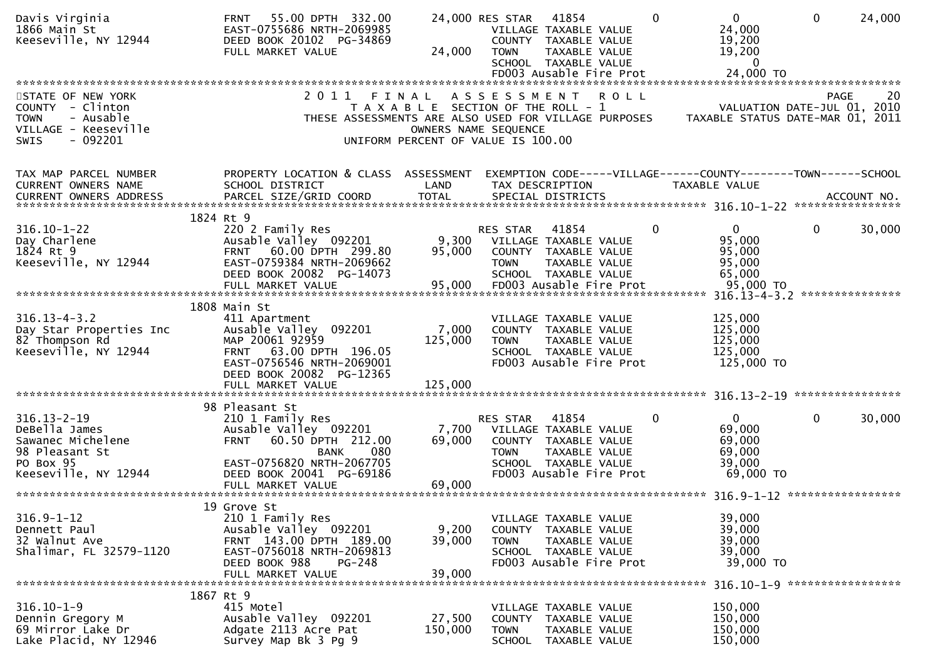| Davis Virginia<br>1866 Main St<br>Keeseville, NY 12944                                                                         | 55.00 DPTH 332.00<br><b>FRNT</b><br>EAST-0755686 NRTH-2069985<br>DEED BOOK 20102 PG-34869<br>FULL MARKET VALUE                                                                              | 24,000                      | 41854<br>$\Omega$<br>24,000 RES STAR<br>VILLAGE TAXABLE VALUE<br>COUNTY TAXABLE VALUE<br>TAXABLE VALUE<br><b>TOWN</b><br>SCHOOL TAXABLE VALUE                                                     | $\overline{0}$<br>$\mathbf{0}$<br>24,000<br>24,000<br>19,200<br>19,200<br>$\mathbf{0}$ |
|--------------------------------------------------------------------------------------------------------------------------------|---------------------------------------------------------------------------------------------------------------------------------------------------------------------------------------------|-----------------------------|---------------------------------------------------------------------------------------------------------------------------------------------------------------------------------------------------|----------------------------------------------------------------------------------------|
| STATE OF NEW YORK<br><b>COUNTY</b><br>- Clinton<br>- Ausable<br><b>TOWN</b><br>VILLAGE - Keeseville<br>- 092201<br><b>SWIS</b> | 2011 FINAL                                                                                                                                                                                  |                             | A S S E S S M E N T<br><b>ROLL</b><br>T A X A B L E SECTION OF THE ROLL - 1<br>THESE ASSESSMENTS ARE ALSO USED FOR VILLAGE PURPOSES<br>OWNERS NAME SEQUENCE<br>UNIFORM PERCENT OF VALUE IS 100.00 | 20<br><b>PAGE</b><br>VALUATION DATE-JUL 01, 2010<br>TAXABLE STATUS DATE-MAR 01, 2011   |
| TAX MAP PARCEL NUMBER<br>CURRENT OWNERS NAME<br>CURRENT OWNERS ADDRESS                                                         | PROPERTY LOCATION & CLASS ASSESSMENT<br>SCHOOL DISTRICT                                                                                                                                     | LAND                        | TAX DESCRIPTION                                                                                                                                                                                   | EXEMPTION CODE-----VILLAGE------COUNTY--------TOWN------SCHOOL<br>TAXABLE VALUE        |
| $316.10 - 1 - 22$<br>Day Charlene<br>1824 Rt 9<br>Keeseville, NY 12944                                                         | 1824 Rt 9<br>220 2 Family Res<br>Ausable Valley 092201<br>60.00 DPTH 299.80<br><b>FRNT</b><br>EAST-0759384 NRTH-2069662<br>DEED BOOK 20082 PG-14073                                         | 9,300<br>95,000             | 41854<br>$\Omega$<br><b>RES STAR</b><br>VILLAGE TAXABLE VALUE<br>COUNTY TAXABLE VALUE<br><b>TOWN</b><br>TAXABLE VALUE<br>SCHOOL TAXABLE VALUE                                                     | $\mathbf{0}$<br>$\mathbf{0}$<br>30,000<br>95,000<br>95,000<br>95,000<br>65,000         |
| $316.13 - 4 - 3.2$<br>Day Star Properties Inc<br>82 Thompson Rd<br>Keeseville, NY 12944                                        | 1808 Main St<br>411 Apartment<br>Ausable Valley 092201<br>MAP 20061 92959<br>63.00 DPTH 196.05<br><b>FRNT</b><br>EAST-0756546 NRTH-2069001<br>DEED BOOK 20082 PG-12365<br>FULL MARKET VALUE | 7,000<br>125,000<br>125,000 | VILLAGE TAXABLE VALUE<br>COUNTY TAXABLE VALUE<br><b>TOWN</b><br>TAXABLE VALUE<br>SCHOOL TAXABLE VALUE<br>FD003 Ausable Fire Prot                                                                  | 125,000<br>125,000<br>125,000<br>125,000<br>125,000 TO                                 |
|                                                                                                                                |                                                                                                                                                                                             |                             |                                                                                                                                                                                                   |                                                                                        |
| $316.13 - 2 - 19$<br>DeBella James<br>Sawanec Michelene<br>98 Pleasant St<br>PO Box 95                                         | 98 Pleasant St<br>210 1 Family Res<br>Ausable Valley 092201<br>60.50 DPTH 212.00<br><b>FRNT</b><br>080<br><b>BANK</b><br>EAST-0756820 NRTH-2067705                                          | 7,700<br>69,000             | 41854<br>$\mathbf{0}$<br><b>RES STAR</b><br>VILLAGE TAXABLE VALUE<br>TAXABLE VALUE<br>COUNTY<br><b>TOWN</b><br><b>TAXABLE VALUE</b><br>SCHOOL TAXABLE VALUE                                       | $\overline{0}$<br>$\mathbf 0$<br>30,000<br>69,000<br>69,000<br>69,000<br>39,000        |
| Keeseville, NY 12944                                                                                                           | DEED BOOK 20041 PG-69186                                                                                                                                                                    |                             | FD003 Ausable Fire Prot                                                                                                                                                                           | 69,000 TO                                                                              |
| $316.9 - 1 - 12$<br>Dennett Paul<br>32 Walnut Ave<br>Shalimar, FL 32579-1120                                                   | 19 Grove St<br>210 1 Family Res<br>Ausable Valley 092201<br>FRNT 143.00 DPTH 189.00<br>EAST-0756018 NRTH-2069813<br>DEED BOOK 988<br>PG-248<br>FULL MARKET VALUE                            | 9,200<br>39,000<br>39,000   | VILLAGE TAXABLE VALUE<br>COUNTY TAXABLE VALUE<br><b>TOWN</b><br>TAXABLE VALUE<br>SCHOOL TAXABLE VALUE<br>FD003 Ausable Fire Prot                                                                  | 39,000<br>39,000<br>39,000<br>39,000<br>39,000 TO                                      |
| $316.10 - 1 - 9$<br>Dennin Gregory M<br>69 Mirror Lake Dr<br>Lake Placid, NY 12946                                             | 1867 Rt 9<br>415 Motel<br>Ausable Valley 092201<br>Adgate 2113 Acre Pat<br>Survey Map Bk 3 Pg 9                                                                                             | 27,500<br>150,000           | VILLAGE TAXABLE VALUE<br>COUNTY TAXABLE VALUE<br><b>TOWN</b><br>TAXABLE VALUE<br>SCHOOL TAXABLE VALUE                                                                                             | 150,000<br>150,000<br>150,000<br>150,000                                               |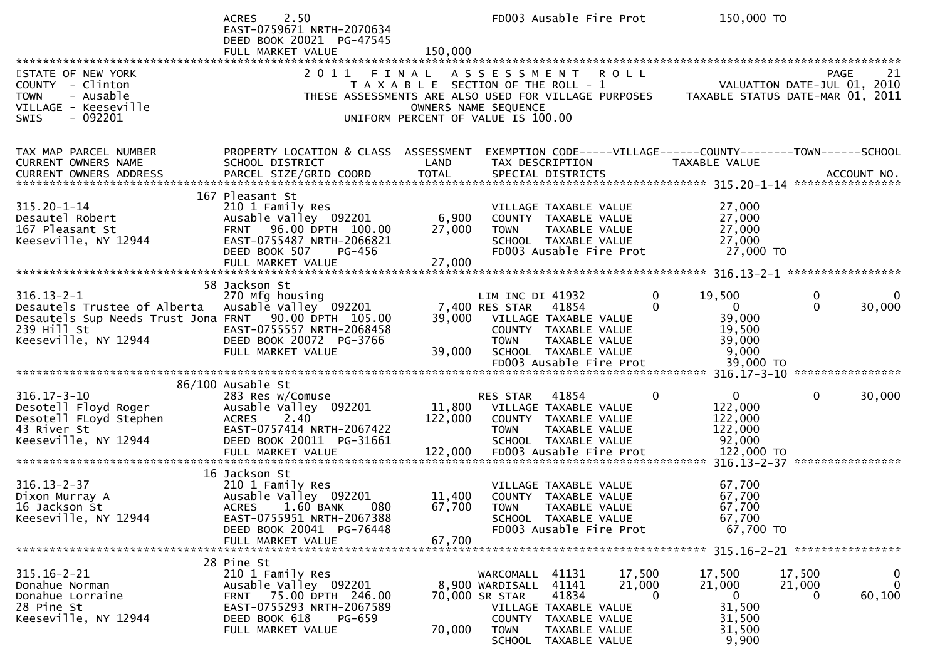|                                                                                                                                                                        | 2.50<br><b>ACRES</b><br>EAST-0759671 NRTH-2070634<br>DEED BOOK 20021 PG-47545<br>FULL MARKET VALUE                                                                   | 150,000                                                                                                                 | FD003 Ausable Fire Prot                                                                                                                               |                                                                          |                              | 150,000 TO                                                                      |                       |                                       |
|------------------------------------------------------------------------------------------------------------------------------------------------------------------------|----------------------------------------------------------------------------------------------------------------------------------------------------------------------|-------------------------------------------------------------------------------------------------------------------------|-------------------------------------------------------------------------------------------------------------------------------------------------------|--------------------------------------------------------------------------|------------------------------|---------------------------------------------------------------------------------|-----------------------|---------------------------------------|
| STATE OF NEW YORK<br>COUNTY - Clinton<br><b>TOWN</b><br>- Ausable<br>VILLAGE - Keeseville<br>$-092201$<br>SWIS                                                         | 2011<br>THESE ASSESSMENTS ARE ALSO USED FOR VILLAGE PURPOSES                                                                                                         | FINAL ASSESSMENT<br>T A X A B L E SECTION OF THE ROLL - 1<br>OWNERS NAME SEQUENCE<br>UNIFORM PERCENT OF VALUE IS 100.00 |                                                                                                                                                       |                                                                          | <b>ROLL</b>                  | VALUATION DATE-JUL 01, 2010<br>TAXABLE STATUS DATE-MAR 01, 2011                 |                       | <b>PAGE</b><br>21                     |
| TAX MAP PARCEL NUMBER<br>CURRENT OWNERS NAME                                                                                                                           | PROPERTY LOCATION & CLASS ASSESSMENT<br>SCHOOL DISTRICT                                                                                                              | LAND                                                                                                                    | TAX DESCRIPTION                                                                                                                                       |                                                                          |                              | EXEMPTION CODE-----VILLAGE------COUNTY--------TOWN------SCHOOL<br>TAXABLE VALUE |                       |                                       |
| $315.20 - 1 - 14$<br>Desautel Robert<br>167 Pleasant St<br>Keeseville, NY 12944                                                                                        | 167 Pleasant St<br>210 1 Family Res<br>Ausable Valley 092201<br>FRNT 96.00 DPTH 100.00<br>EAST-0755487 NRTH-2066821<br>DEED BOOK 507<br>PG-456<br>FULL MARKET VALUE  | 6,900<br>27,000<br>27,000                                                                                               | VILLAGE TAXABLE VALUE<br>COUNTY TAXABLE VALUE<br><b>TOWN</b><br>FD003 Ausable Fire Prot                                                               | TAXABLE VALUE<br>SCHOOL TAXABLE VALUE                                    |                              | 27,000<br>27,000<br>27,000<br>27,000<br>27,000 TO                               |                       |                                       |
| $316.13 - 2 - 1$<br>Desautels Trustee of Alberta Ausable Valley 092201<br>Desautels Sup Needs Trust Jona FRNT 90.00 DPTH 105.00<br>239 Hill St<br>Keeseville, NY 12944 | 58 Jackson St<br>270 Mfg housing<br>EAST-0755557 NRTH-2068458<br>DEED BOOK 20072 PG-3766<br>FULL MARKET VALUE                                                        | 39,000<br>39,000                                                                                                        | LIM INC DI 41932<br>7,400 RES STAR<br>VILLAGE TAXABLE VALUE<br>COUNTY TAXABLE VALUE<br><b>TOWN</b><br>SCHOOL TAXABLE VALUE<br>FD003 Ausable Fire Prot | 41854<br>TAXABLE VALUE                                                   | $\mathbf{0}$<br>0            | 19,500<br>$\mathbf{0}$<br>39,000<br>19,500<br>39,000<br>9,000<br>39,000 TO      | 0<br>$\mathbf{0}$     | 30,000                                |
| $316.17 - 3 - 10$<br>Desotell Floyd Roger<br>Desotell FLoyd Stephen<br>43 River St<br>Keeseville, NY 12944                                                             | 86/100 Ausable St<br>283 Res w/Comuse<br>Ausable Valley 092201<br>2.40<br><b>ACRES</b><br>EAST-0757414 NRTH-2067422<br>DEED BOOK 20011 PG-31661<br>FULL MARKET VALUE | 122,000<br>122,000                                                                                                      | RES STAR<br>11,800 VILLAGE TAXABLE VALUE<br>COUNTY TAXABLE VALUE<br><b>TOWN</b><br>FD003 Ausable Fire Prot                                            | 41854<br>TAXABLE VALUE<br>SCHOOL TAXABLE VALUE                           | 0                            | $\mathbf{0}$<br>122,000<br>122,000<br>122,000<br>92,000<br>122,000 TO           | $\mathbf 0$           | 30,000                                |
| $316.13 - 2 - 37$<br>Dixon Murray A<br>16 Jackson St<br>Keeseville, NY 12944                                                                                           | 16 Jackson St<br>210 1 Family Res<br>Ausable Valley 092201<br>ACRES 1.60 BANK 080<br>EAST-0755951 NRTH-2067388<br>DEED BOOK 20041 PG-76448<br>FULL MARKET VALUE      | 11,400<br>67,700                                                                                                        | VILLAGE TAXABLE VALUE<br>COUNTY TAXABLE VALUE<br>67,700 TOWN TAXABLE VALUE                                                                            | SCHOOL TAXABLE VALUE<br>FD003 Ausable Fire Prot                          |                              | 67,700<br>67,700<br>67,700<br>67,700<br>67,700 TO                               |                       |                                       |
| $315.16 - 2 - 21$<br>Donahue Norman<br>Donahue Lorraine<br>28 Pine St<br>Keeseville, NY 12944                                                                          | 28 Pine St<br>210 1 Family Res<br>Ausable Valley 092201<br>FRNT 75.00 DPTH 246.00<br>EAST-0755293 NRTH-2067589<br>DEED BOOK 618<br>PG-659<br>FULL MARKET VALUE       | 70,000                                                                                                                  | WARCOMALL 41131<br>8,900 WARDISALL<br>70,000 SR STAR<br>VILLAGE TAXABLE VALUE<br><b>TOWN</b><br>SCHOOL                                                | 41141<br>41834<br>COUNTY TAXABLE VALUE<br>TAXABLE VALUE<br>TAXABLE VALUE | 17,500<br>21,000<br>$\Omega$ | 17,500<br>21,000<br>$\overline{0}$<br>31,500<br>31,500<br>31,500<br>9,900       | 17,500<br>21,000<br>0 | $\mathbf{0}$<br>$\mathbf 0$<br>60,100 |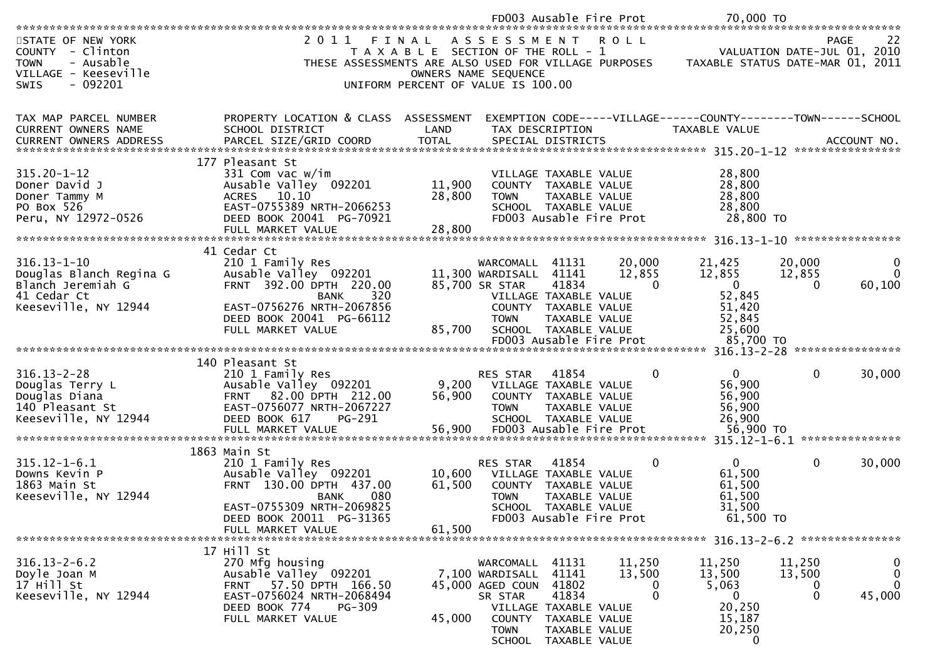|                                                                                                                      |                                                                                                                                                                                          |                                                                                                              |                                                                            | FD003 Ausable Fire Prot                                                                                                                    |                              | 70,000 TO                                                                             |                                              |                                                   |
|----------------------------------------------------------------------------------------------------------------------|------------------------------------------------------------------------------------------------------------------------------------------------------------------------------------------|--------------------------------------------------------------------------------------------------------------|----------------------------------------------------------------------------|--------------------------------------------------------------------------------------------------------------------------------------------|------------------------------|---------------------------------------------------------------------------------------|----------------------------------------------|---------------------------------------------------|
| STATE OF NEW YORK<br>COUNTY - Clinton<br>- Ausable<br><b>TOWN</b><br>VILLAGE - Keeseville<br><b>SWIS</b><br>- 092201 | 2011<br>THESE ASSESSMENTS ARE ALSO USED FOR VILLAGE PURPOSES                                                                                                                             | FINAL<br>T A X A B L E SECTION OF THE ROLL - 1<br>OWNERS NAME SEQUENCE<br>UNIFORM PERCENT OF VALUE IS 100.00 | ASSESSMENT ROLL                                                            |                                                                                                                                            |                              | TAXABLE STATUS DATE-MAR 01, 2011                                                      |                                              | 22<br>PAGE<br>VALUATION DATE-JUL 01, 2010         |
| TAX MAP PARCEL NUMBER<br><b>CURRENT OWNERS NAME</b><br><b>CURRENT OWNERS ADDRESS</b>                                 | PROPERTY LOCATION & CLASS ASSESSMENT<br>SCHOOL DISTRICT<br>PARCEL SIZE/GRID COORD                                                                                                        | LAND<br><b>TOTAL</b>                                                                                         |                                                                            | TAX DESCRIPTION<br>SPECIAL DISTRICTS                                                                                                       |                              | EXEMPTION CODE-----VILLAGE------COUNTY--------TOWN------SCHOOL<br>TAXABLE VALUE       |                                              | ACCOUNT NO.                                       |
| $315.20 - 1 - 12$<br>Doner David J<br>Doner Tammy M<br>PO Box 526<br>Peru, NY 12972-0526                             | 177 Pleasant St<br>331 Com vac w/im<br>Ausable Valley 092201<br>ACRES 10.10<br>EAST-0755389 NRTH-2066253<br>DEED BOOK 20041 PG-70921                                                     | 11,900<br>28,800                                                                                             | <b>TOWN</b>                                                                | VILLAGE TAXABLE VALUE<br>COUNTY TAXABLE VALUE<br>TAXABLE VALUE<br>SCHOOL TAXABLE VALUE<br>FD003 Ausable Fire Prot                          |                              | 28,800<br>28,800<br>28,800<br>28,800<br>28,800 TO                                     |                                              |                                                   |
| $316.13 - 1 - 10$<br>Douglas Blanch Regina G<br>Blanch Jeremiah G<br>41 Cedar Ct<br>Keeseville, NY 12944             | 41 Cedar Ct<br>210 1 Family Res<br>Ausable Valley 092201<br>FRNT 392.00 DPTH 220.00<br>320<br><b>BANK</b><br>EAST-0756276 NRTH-2067856<br>DEED BOOK 20041 PG-66112<br>FULL MARKET VALUE  | 85,700                                                                                                       | WARCOMALL 41131<br>11,300 WARDISALL<br>85,700 SR STAR<br><b>TOWN</b>       | 41141<br>41834<br>VILLAGE TAXABLE VALUE<br>COUNTY TAXABLE VALUE<br><b>TAXABLE VALUE</b><br>SCHOOL TAXABLE VALUE<br>FD003 Ausable Fire Prot | 20,000<br>12,855<br>$\Omega$ | 21,425<br>12,855<br>$\mathbf{0}$<br>52,845<br>51,420<br>52,845<br>25,600<br>85,700 TO | 20,000<br>12,855<br>$\Omega$                 | 0<br>$\mathbf{0}$<br>60,100                       |
|                                                                                                                      |                                                                                                                                                                                          |                                                                                                              |                                                                            |                                                                                                                                            |                              |                                                                                       |                                              |                                                   |
| $316.13 - 2 - 28$<br>Douglas Terry L<br>Douglas Diana<br>140 Pleasant St<br>Keeseville, NY 12944                     | 140 Pleasant St<br>210 1 Family Res<br>Ausable Valley 092201<br>FRNT 82.00 DPTH 212.00<br>EAST-0756077 NRTH-2067227<br>DEED BOOK 617<br>PG-291                                           | 9,200<br>56,900                                                                                              | RES STAR<br><b>TOWN</b>                                                    | 41854<br>VILLAGE TAXABLE VALUE<br>COUNTY TAXABLE VALUE<br><b>TAXABLE VALUE</b><br>SCHOOL TAXABLE VALUE                                     | $\Omega$                     | $\overline{0}$<br>56,900<br>56,900<br>56,900<br>26,900                                | $\mathbf{0}$                                 | 30,000                                            |
| $315.12 - 1 - 6.1$<br>Downs Kevin P<br>1863 Main St<br>Keeseville, NY 12944                                          | 1863 Main St<br>210 1 Family Res<br>Ausable Valley 092201<br>FRNT 130.00 DPTH 437.00<br>080<br><b>BANK</b><br>EAST-0755309 NRTH-2069825<br>DEED BOOK 20011 PG-31365<br>FULL MARKET VALUE | 10,600<br>61,500<br>61,500                                                                                   | RES STAR<br><b>TOWN</b>                                                    | 41854<br>VILLAGE TAXABLE VALUE<br>COUNTY TAXABLE VALUE<br>TAXABLE VALUE<br>SCHOOL TAXABLE VALUE<br>FD003 Ausable Fire Prot                 | $\mathbf{0}$                 | $\mathbf{0}$<br>61,500<br>61,500<br>61,500<br>31,500<br>61,500 TO                     | $\mathbf 0$                                  | 30,000                                            |
|                                                                                                                      | 17 Hill St                                                                                                                                                                               |                                                                                                              |                                                                            |                                                                                                                                            |                              |                                                                                       |                                              |                                                   |
| $316.13 - 2 - 6.2$<br>Doyle Joan M<br>17 Hill St<br>Keeseville, NY 12944                                             | 270 Mfg housing<br>Ausable Valley 092201<br>FRNT 57.50 DPTH 166.50<br>EAST-0756024 NRTH-2068494<br>DEED BOOK 774<br><b>PG-309</b><br>FULL MARKET VALUE                                   | 45,000                                                                                                       | WARCOMALL<br>7,100 WARDISALL<br>45,000 AGED COUN<br>SR STAR<br><b>TOWN</b> | 41131<br>41141<br>41802<br>41834<br>VILLAGE TAXABLE VALUE<br>COUNTY TAXABLE VALUE<br>TAXABLE VALUE<br>SCHOOL TAXABLE VALUE                 | 11,250<br>13,500<br>0<br>0   | 11,250<br>13,500<br>5,063<br>$\overline{0}$<br>20,250<br>15,187<br>20,250<br>0        | 11,250<br>13,500<br>$\bf{0}$<br>$\mathbf{0}$ | $\bf{0}$<br>$\mathbf 0$<br>$\mathbf{0}$<br>45,000 |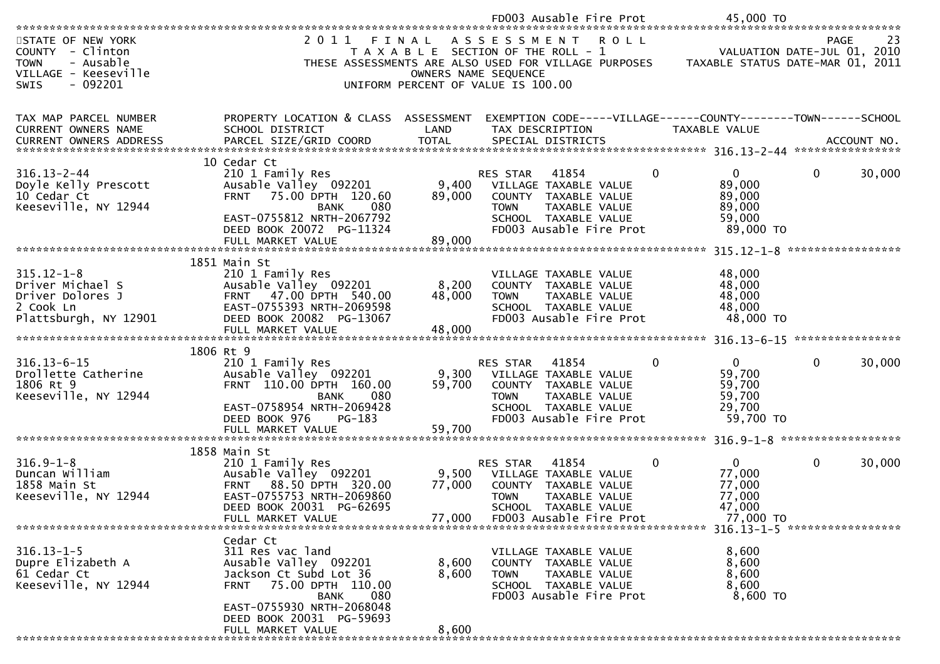|                                                                                           |                                                                    |                                                               |                         | FD003 Ausable Fire Prot                         |              | 45,000 TO                                                       |      |                   |
|-------------------------------------------------------------------------------------------|--------------------------------------------------------------------|---------------------------------------------------------------|-------------------------|-------------------------------------------------|--------------|-----------------------------------------------------------------|------|-------------------|
|                                                                                           |                                                                    |                                                               |                         |                                                 |              |                                                                 |      |                   |
| STATE OF NEW YORK<br>COUNTY - Clinton<br>- Ausable<br><b>TOWN</b><br>VILLAGE - Keeseville | 2011 FINAL<br>THESE ASSESSMENTS ARE ALSO USED FOR VILLAGE PURPOSES | T A X A B L E SECTION OF THE ROLL - 1<br>OWNERS NAME SEQUENCE | ASSESSMENT ROLL         |                                                 |              | VALUATION DATE-JUL 01, 2010<br>TAXABLE STATUS DATE-MAR 01, 2011 | PAGE | 23                |
| $-092201$<br><b>SWIS</b>                                                                  |                                                                    | UNIFORM PERCENT OF VALUE IS 100.00                            |                         |                                                 |              |                                                                 |      |                   |
|                                                                                           |                                                                    |                                                               |                         |                                                 |              |                                                                 |      |                   |
|                                                                                           |                                                                    |                                                               |                         |                                                 |              |                                                                 |      |                   |
| TAX MAP PARCEL NUMBER                                                                     | PROPERTY LOCATION & CLASS ASSESSMENT                               |                                                               |                         |                                                 |              | EXEMPTION CODE-----VILLAGE------COUNTY--------TOWN------SCHOOL  |      |                   |
| CURRENT OWNERS NAME<br>CURRENT OWNERS ADDRESS                                             | SCHOOL DISTRICT                                                    | LAND<br><b>TOTAL</b>                                          | TAX DESCRIPTION         | SPECIAL DISTRICTS                               |              | TAXABLE VALUE                                                   |      | ACCOUNT NO.       |
|                                                                                           | PARCEL SIZE/GRID COORD                                             |                                                               |                         |                                                 |              |                                                                 |      |                   |
|                                                                                           | 10 Cedar Ct                                                        |                                                               |                         |                                                 |              |                                                                 |      |                   |
| $316.13 - 2 - 44$                                                                         | 210 1 Family Res                                                   |                                                               | RES STAR                | 41854                                           | $\mathbf 0$  | $\mathbf{0}$                                                    | 0    | 30,000            |
| Doyle Kelly Prescott                                                                      | Ausable Valley 092201                                              | 9,400                                                         |                         | VILLAGE TAXABLE VALUE                           |              | 89,000                                                          |      |                   |
| 10 Cedar Ct                                                                               | 75.00 DPTH 120.60<br><b>FRNT</b>                                   | 89,000                                                        |                         | COUNTY TAXABLE VALUE                            |              | 89,000                                                          |      |                   |
| Keeseville, NY 12944                                                                      | 080<br><b>BANK</b>                                                 |                                                               | <b>TOWN</b>             | TAXABLE VALUE                                   |              | 89,000                                                          |      |                   |
|                                                                                           | EAST-0755812 NRTH-2067792<br>DEED BOOK 20072 PG-11324              |                                                               |                         | SCHOOL TAXABLE VALUE<br>FD003 Ausable Fire Prot |              | 59,000<br>89,000 TO                                             |      |                   |
|                                                                                           | FULL MARKET VALUE                                                  | 89,000                                                        |                         |                                                 |              |                                                                 |      |                   |
|                                                                                           |                                                                    |                                                               |                         |                                                 |              |                                                                 |      | ***************** |
|                                                                                           | 1851 Main St                                                       |                                                               |                         |                                                 |              |                                                                 |      |                   |
| $315.12 - 1 - 8$                                                                          | 210 1 Family Res                                                   |                                                               |                         | VILLAGE TAXABLE VALUE                           |              | 48,000                                                          |      |                   |
| Driver Michael S                                                                          | Ausable Valley 092201                                              | 8,200                                                         |                         | COUNTY TAXABLE VALUE                            |              | 48,000                                                          |      |                   |
| Driver Dolores J<br>2 Cook Ln                                                             | 47.00 DPTH 540.00<br><b>FRNT</b><br>EAST-0755393 NRTH-2069598      | 48,000                                                        | <b>TOWN</b>             | TAXABLE VALUE<br>SCHOOL TAXABLE VALUE           |              | 48,000                                                          |      |                   |
| Plattsburgh, NY 12901                                                                     | DEED BOOK 20082 PG-13067                                           |                                                               |                         | FD003 Ausable Fire Prot                         |              | 48,000<br>48,000 TO                                             |      |                   |
|                                                                                           | FULL MARKET VALUE                                                  | 48,000                                                        |                         |                                                 |              |                                                                 |      |                   |
|                                                                                           |                                                                    |                                                               |                         |                                                 |              |                                                                 |      |                   |
|                                                                                           | 1806 Rt 9                                                          |                                                               |                         |                                                 |              |                                                                 |      |                   |
| $316.13 - 6 - 15$                                                                         | 210 1 Family Res                                                   |                                                               | RES STAR                | 41854                                           | $\mathbf{0}$ | $\Omega$                                                        | 0    | 30,000            |
| Drollette Catherine<br>1806 Rt 9                                                          | Ausable Valley 092201<br>FRNT 110.00 DPTH 160.00                   | 9,300<br>59,700                                               |                         | VILLAGE TAXABLE VALUE<br>COUNTY TAXABLE VALUE   |              | 59,700<br>59,700                                                |      |                   |
| Keeseville, NY 12944                                                                      | <b>BANK</b><br>080                                                 |                                                               | <b>TOWN</b>             | TAXABLE VALUE                                   |              | 59,700                                                          |      |                   |
|                                                                                           | EAST-0758954 NRTH-2069428                                          |                                                               |                         | SCHOOL TAXABLE VALUE                            |              | 29,700                                                          |      |                   |
|                                                                                           | DEED BOOK 976<br>PG-183                                            |                                                               |                         | FD003 Ausable Fire Prot                         |              | 59,700 TO                                                       |      |                   |
|                                                                                           |                                                                    |                                                               |                         |                                                 |              |                                                                 |      |                   |
|                                                                                           |                                                                    |                                                               |                         |                                                 |              |                                                                 |      |                   |
| $316.9 - 1 - 8$                                                                           | 1858 Main St<br>210 1 Family Res                                   |                                                               | <b>RES STAR</b>         | 41854                                           | 0            | $\Omega$                                                        | 0    | 30,000            |
| Duncan William                                                                            | Ausable Valley 092201                                              | 9,500                                                         |                         | VILLAGE TAXABLE VALUE                           |              | 77,000                                                          |      |                   |
| 1858 Main St                                                                              | 88.50 DPTH 320.00<br><b>FRNT</b>                                   | 77,000                                                        |                         | COUNTY TAXABLE VALUE                            |              | 77,000                                                          |      |                   |
| Keeseville, NY 12944                                                                      | EAST-0755753 NRTH-2069860                                          |                                                               | <b>TOWN</b>             | TAXABLE VALUE                                   |              | 77,000                                                          |      |                   |
|                                                                                           | DEED BOOK 20031 PG-62695                                           |                                                               |                         | SCHOOL TAXABLE VALUE                            |              | 47,000                                                          |      |                   |
|                                                                                           | FULL MARKET VALUE                                                  | 77,000                                                        | FD003 Ausable Fire Prot |                                                 |              | 77,000 TO                                                       |      |                   |
|                                                                                           | Cedar Ct                                                           |                                                               |                         |                                                 |              |                                                                 |      |                   |
| $316.13 - 1 - 5$                                                                          | 311 Res vac land                                                   |                                                               |                         | VILLAGE TAXABLE VALUE                           |              | 8,600                                                           |      |                   |
| Dupre Elizabeth A                                                                         | Ausable Valley 092201                                              | 8,600                                                         |                         | COUNTY TAXABLE VALUE                            |              | 8,600                                                           |      |                   |
| 61 Cedar Ct                                                                               | Jackson Ct Subd Lot 36                                             | 8,600                                                         | <b>TOWN</b>             | TAXABLE VALUE                                   |              | 8,600                                                           |      |                   |
| Keeseville, NY 12944                                                                      | FRNT 75.00 DPTH 110.00                                             |                                                               |                         | SCHOOL TAXABLE VALUE                            |              | 8,600                                                           |      |                   |
|                                                                                           | BANK<br>080                                                        |                                                               |                         | FD003 Ausable Fire Prot                         |              | 8,600 TO                                                        |      |                   |
|                                                                                           | EAST-0755930 NRTH-2068048                                          |                                                               |                         |                                                 |              |                                                                 |      |                   |
|                                                                                           | DEED BOOK 20031 PG-59693<br>FULL MARKET VALUE                      | 8,600                                                         |                         |                                                 |              |                                                                 |      |                   |
|                                                                                           |                                                                    |                                                               |                         |                                                 |              |                                                                 |      |                   |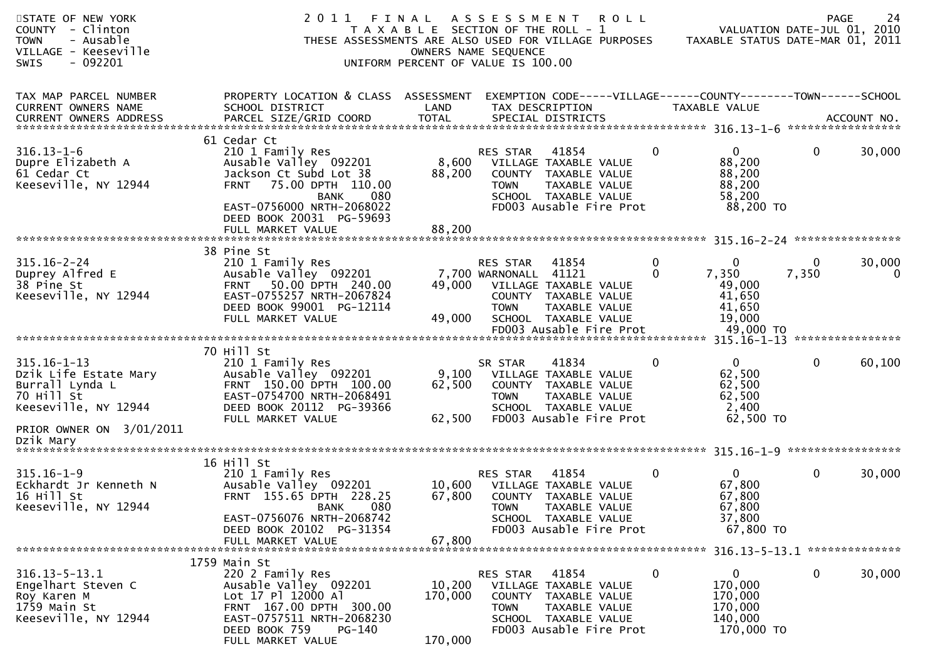| STATE OF NEW YORK<br>COUNTY - Clinton<br>- Ausable<br><b>TOWN</b><br>VILLAGE - Keeseville<br><b>SWIS</b><br>- 092201 | 2011                                                                                                                                                                                           | FINAL<br>T A X A B L E SECTION OF THE ROLL - 1<br>UNIFORM PERCENT OF VALUE IS 100.00 | A S S E S S M E N T<br>OWNERS NAME SEQUENCE             | <b>ROLL</b><br>THESE ASSESSMENTS ARE ALSO USED FOR VILLAGE PURPOSES                                                        |                          | VALUATION DATE-JUL 01, 2010<br>TAXABLE STATUS DATE-MAR 01, 2011           | <b>PAGE</b>  | 24                     |
|----------------------------------------------------------------------------------------------------------------------|------------------------------------------------------------------------------------------------------------------------------------------------------------------------------------------------|--------------------------------------------------------------------------------------|---------------------------------------------------------|----------------------------------------------------------------------------------------------------------------------------|--------------------------|---------------------------------------------------------------------------|--------------|------------------------|
| TAX MAP PARCEL NUMBER<br><b>CURRENT OWNERS NAME</b><br><b>CURRENT OWNERS ADDRESS</b>                                 | PROPERTY LOCATION & CLASS ASSESSMENT<br>SCHOOL DISTRICT<br>PARCEL SIZE/GRID COORD                                                                                                              | LAND<br><b>TOTAL</b>                                                                 | TAX DESCRIPTION                                         | EXEMPTION CODE-----VILLAGE------COUNTY--------TOWN------SCHOOL<br>SPECIAL DISTRICTS                                        |                          | TAXABLE VALUE                                                             |              | ACCOUNT NO.            |
| $316.13 - 1 - 6$<br>Dupre Elizabeth A<br>61 Cedar Ct<br>Keeseville, NY 12944                                         | 61 Cedar Ct<br>210 1 Family Res<br>Ausable Valley 092201<br>Jackson Ct Subd Lot 38<br>75.00 DPTH 110.00<br><b>FRNT</b><br>080<br>BANK<br>EAST-0756000 NRTH-2068022<br>DEED BOOK 20031 PG-59693 | 8,600<br>88,200                                                                      | <b>RES STAR</b><br><b>TOWN</b>                          | 41854<br>VILLAGE TAXABLE VALUE<br>COUNTY TAXABLE VALUE<br>TAXABLE VALUE<br>SCHOOL TAXABLE VALUE<br>FD003 Ausable Fire Prot | $\mathbf{0}$             | $\mathbf{0}$<br>88,200<br>88,200<br>88,200<br>58,200<br>88,200 TO         | $\mathbf{0}$ | 30,000                 |
|                                                                                                                      |                                                                                                                                                                                                |                                                                                      |                                                         |                                                                                                                            |                          |                                                                           |              |                        |
| $315.16 - 2 - 24$<br>Duprey Alfred E<br>38 Pine St<br>Keeseville, NY 12944                                           | 38 Pine St<br>210 1 Family Res<br>Ausable Valley 092201<br>50.00 DPTH 240.00<br><b>FRNT</b><br>EAST-0755257 NRTH-2067824<br>DEED BOOK 99001 PG-12114<br>FULL MARKET VALUE                      | 49,000<br>49,000                                                                     | <b>RES STAR</b><br>7,700 WARNONALL 41121<br><b>TOWN</b> | 41854<br>VILLAGE TAXABLE VALUE<br>COUNTY TAXABLE VALUE<br>TAXABLE VALUE<br>SCHOOL TAXABLE VALUE<br>FD003 Ausable Fire Prot | $\mathbf{0}$<br>$\Omega$ | $\mathbf 0$<br>7,350<br>49,000<br>41,650<br>41,650<br>19,000<br>49,000 TO | 0<br>7,350   | 30,000<br>$\mathbf{0}$ |
|                                                                                                                      |                                                                                                                                                                                                |                                                                                      |                                                         |                                                                                                                            |                          |                                                                           |              |                        |
| $315.16 - 1 - 13$<br>Dzik Life Estate Mary<br>Burrall Lynda L<br>70 Hill St<br>Keeseville, NY 12944                  | 70 Hill St<br>210 1 Family Res<br>Ausable Valley 092201<br>FRNT 150.00 DPTH 100.00<br>EAST-0754700 NRTH-2068491<br>DEED BOOK 20112 PG-39366<br>FULL MARKET VALUE                               | 9,100<br>62,500<br>62,500                                                            | SR STAR<br><b>TOWN</b>                                  | 41834<br>VILLAGE TAXABLE VALUE<br>COUNTY TAXABLE VALUE<br>TAXABLE VALUE<br>SCHOOL TAXABLE VALUE<br>FD003 Ausable Fire Prot | $\mathbf{0}$             | $\overline{0}$<br>62,500<br>62,500<br>62,500<br>2,400<br>62,500 TO        | 0            | 60,100                 |
| PRIOR OWNER ON 3/01/2011<br>Dzik Mary                                                                                |                                                                                                                                                                                                |                                                                                      |                                                         |                                                                                                                            |                          |                                                                           |              |                        |
|                                                                                                                      |                                                                                                                                                                                                |                                                                                      |                                                         |                                                                                                                            |                          |                                                                           |              |                        |
| $315.16 - 1 - 9$<br>Eckhardt Jr Kenneth N<br>16 Hill St<br>Keeseville, NY 12944                                      | 16 Hill St<br>210 1 Family Res<br>Ausable Valley 092201<br>FRNT 155.65 DPTH 228.25<br>BANK 080<br>EAST-0756076 NRTH-2068742<br>DEED BOOK 20102 PG-31354                                        | 10,600<br>67,800                                                                     | RES STAR<br><b>TOWN</b>                                 | 41854<br>VILLAGE TAXABLE VALUE<br>COUNTY TAXABLE VALUE<br>TAXABLE VALUE<br>SCHOOL TAXABLE VALUE<br>FD003 Ausable Fire Prot | $\mathbf{0}$             | $\mathbf{0}$<br>67,800<br>67,800<br>67,800<br>37,800<br>67,800 TO         | 0            | 30,000                 |
|                                                                                                                      | FULL MARKET VALUE                                                                                                                                                                              | 67,800                                                                               |                                                         |                                                                                                                            |                          |                                                                           |              |                        |
|                                                                                                                      |                                                                                                                                                                                                |                                                                                      |                                                         |                                                                                                                            |                          |                                                                           |              |                        |
| $316.13 - 5 - 13.1$<br>Engelhart Steven C<br>Roy Karen M<br>1759 Main St<br>Keeseville, NY 12944                     | 1759 Main St<br>220 2 Family Res<br>Ausable Valley 092201<br>Lot 17 Pl 12000 Al<br>FRNT 167.00 DPTH 300.00<br>EAST-0757511 NRTH-2068230<br>DEED BOOK 759<br>PG-140<br>FULL MARKET VALUE        | 10,200<br>170,000<br>170,000                                                         | <b>RES STAR</b><br><b>TOWN</b>                          | 41854<br>VILLAGE TAXABLE VALUE<br>COUNTY TAXABLE VALUE<br>TAXABLE VALUE<br>SCHOOL TAXABLE VALUE<br>FD003 Ausable Fire Prot | $\mathbf 0$              | 0<br>170,000<br>170,000<br>170,000<br>140,000<br>170,000 TO               | 0            | 30,000                 |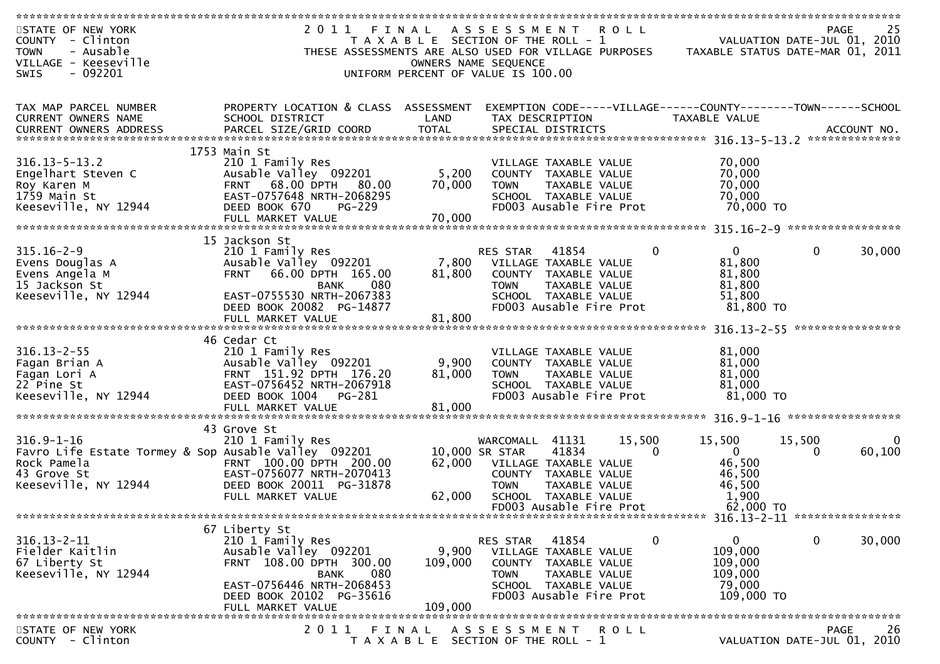| STATE OF NEW YORK                                    | 2011                                                 | FINAL                                 | A S S E S S M E N T R O L L |                         |                         |                                                                | PAGE                        | 25     |
|------------------------------------------------------|------------------------------------------------------|---------------------------------------|-----------------------------|-------------------------|-------------------------|----------------------------------------------------------------|-----------------------------|--------|
| COUNTY - Clinton                                     |                                                      | T A X A B L E SECTION OF THE ROLL - 1 |                             |                         |                         | VALUATION DATE-JUL 01, 2010                                    |                             |        |
| - Ausable<br><b>TOWN</b>                             | THESE ASSESSMENTS ARE ALSO USED FOR VILLAGE PURPOSES |                                       |                             |                         |                         | TAXABLE STATUS DATE-MAR 01, 2011                               |                             |        |
| VILLAGE - Keeseville                                 |                                                      |                                       | OWNERS NAME SEQUENCE        |                         |                         |                                                                |                             |        |
| $-092201$<br><b>SWIS</b>                             |                                                      | UNIFORM PERCENT OF VALUE IS 100.00    |                             |                         |                         |                                                                |                             |        |
|                                                      |                                                      |                                       |                             |                         |                         |                                                                |                             |        |
|                                                      |                                                      |                                       |                             |                         |                         |                                                                |                             |        |
| TAX MAP PARCEL NUMBER                                | PROPERTY LOCATION & CLASS ASSESSMENT                 |                                       |                             |                         |                         | EXEMPTION CODE-----VILLAGE------COUNTY--------TOWN------SCHOOL |                             |        |
| CURRENT OWNERS NAME                                  | SCHOOL DISTRICT                                      | LAND                                  | TAX DESCRIPTION             |                         |                         | TAXABLE VALUE                                                  |                             |        |
|                                                      |                                                      |                                       |                             |                         |                         |                                                                |                             |        |
|                                                      |                                                      |                                       |                             |                         |                         |                                                                |                             |        |
| $316.13 - 5 - 13.2$                                  | 1753 Main St<br>210 1 Family Res                     |                                       |                             |                         |                         |                                                                |                             |        |
|                                                      |                                                      |                                       | VILLAGE TAXABLE VALUE       |                         |                         | 70,000                                                         |                             |        |
| Engelhart Steven C                                   | Ausable Valley 092201                                | 5,200                                 | COUNTY TAXABLE VALUE        |                         |                         | 70,000                                                         |                             |        |
| Roy Karen M                                          | FRNT 68.00 DPTH 80.00                                | 70,000                                | TOWN                        | TAXABLE VALUE           |                         | 70,000                                                         |                             |        |
| 1759 Main St                                         | EAST-0757648 NRTH-2068295                            |                                       |                             | SCHOOL TAXABLE VALUE    |                         | 70,000                                                         |                             |        |
| Keeseville, NY 12944                                 | DEED BOOK 670<br>PG-229                              |                                       |                             |                         | FD003 Ausable Fire Prot | 70,000 TO                                                      |                             |        |
|                                                      |                                                      |                                       |                             |                         |                         |                                                                |                             |        |
|                                                      | 15 Jackson St                                        |                                       |                             |                         |                         |                                                                |                             |        |
| $315.16 - 2 - 9$                                     | 210 1 Family Res                                     |                                       | <b>RES STAR</b>             | 41854                   | 0                       | $\overline{0}$                                                 | 0                           | 30,000 |
| Evens Douglas A                                      | Ausable Valley 092201                                | 7,800                                 | VILLAGE TAXABLE VALUE       |                         |                         | 81,800                                                         |                             |        |
|                                                      | 66.00 DPTH 165.00<br><b>FRNT</b>                     | 81,800                                | COUNTY TAXABLE VALUE        |                         |                         | 81,800                                                         |                             |        |
| Evens Angela M<br>15 Jackson St                      | 080<br><b>BANK</b>                                   |                                       | <b>TOWN</b>                 | TAXABLE VALUE           |                         | 81,800                                                         |                             |        |
| Keeseville, NY 12944                                 | EAST-0755530 NRTH-2067383                            |                                       |                             | SCHOOL TAXABLE VALUE    |                         | 51,800                                                         |                             |        |
|                                                      | DEED BOOK 20082 PG-14877                             |                                       |                             | FD003 Ausable Fire Prot |                         | 81,800 TO                                                      |                             |        |
|                                                      | FULL MARKET VALUE                                    | 81,800                                |                             |                         |                         |                                                                |                             |        |
|                                                      |                                                      |                                       |                             |                         |                         |                                                                |                             |        |
|                                                      | 46 Cedar Ct                                          |                                       |                             |                         |                         |                                                                |                             |        |
| $316.13 - 2 - 55$                                    | 210 1 Family Res                                     |                                       | VILLAGE TAXABLE VALUE       |                         |                         | 81,000                                                         |                             |        |
| Fagan Brian A                                        | Ausable Valley 092201                                | 9,900                                 | COUNTY TAXABLE VALUE        |                         |                         | 81,000                                                         |                             |        |
| Fagan Lori A                                         | FRNT 151.92 DPTH 176.20                              | 81,000                                | TOWN                        | TAXABLE VALUE           |                         | 81,000                                                         |                             |        |
| 22 Pine St                                           | EAST-0756452 NRTH-2067918                            |                                       |                             | SCHOOL TAXABLE VALUE    |                         | 81,000                                                         |                             |        |
| Keeseville, NY 12944                                 | DEED BOOK 1004<br>PG-281                             |                                       |                             | FD003 Ausable Fire Prot |                         | 81,000 TO                                                      |                             |        |
|                                                      |                                                      |                                       |                             |                         |                         |                                                                |                             |        |
|                                                      |                                                      |                                       |                             |                         |                         |                                                                |                             |        |
|                                                      | 43 Grove St                                          |                                       |                             |                         |                         |                                                                |                             |        |
| $316.9 - 1 - 16$                                     | 210 1 Family Res                                     |                                       | WARCOMALL                   | 41131                   | 15,500                  | 15,500                                                         | 15,500                      |        |
| Favro Life Estate Tormey & Sop Ausable Valley 092201 |                                                      |                                       | 10,000 SR STAR              | 41834                   | $\mathbf 0$             | $\mathbf{0}$                                                   | 0                           | 60,100 |
| Rock Pamela                                          | FRNT 100.00 DPTH 200.00                              | 62,000                                | VILLAGE TAXABLE VALUE       |                         |                         | 46,500                                                         |                             |        |
| 43 Grove St                                          | EAST-0756077 NRTH-2070413                            |                                       | COUNTY TAXABLE VALUE        |                         |                         | 46,500                                                         |                             |        |
| Keeseville, NY 12944                                 | DEED BOOK 20011 PG-31878                             |                                       | <b>TOWN</b>                 | TAXABLE VALUE           |                         | 46,500                                                         |                             |        |
|                                                      | FULL MARKET VALUE                                    | 62,000                                |                             | SCHOOL TAXABLE VALUE    |                         | 1,900                                                          |                             |        |
|                                                      |                                                      |                                       |                             | FD003 Ausable Fire Prot |                         | 62,000 TO                                                      |                             |        |
|                                                      |                                                      |                                       |                             |                         |                         |                                                                |                             |        |
|                                                      | 67 Liberty St                                        |                                       |                             |                         |                         |                                                                |                             |        |
| $316.13 - 2 - 11$                                    | 210 1 Family Res                                     |                                       | RES STAR                    | 41854                   | 0                       | $\mathbf{0}$                                                   | 0                           | 30,000 |
| Fielder Kaitlin                                      | Ausable Valley 092201                                | 9,900                                 | VILLAGE TAXABLE VALUE       |                         |                         | 109,000                                                        |                             |        |
| 67 Liberty St                                        | FRNT 108.00 DPTH 300.00                              | 109,000                               | <b>COUNTY</b>               | TAXABLE VALUE           |                         | 109,000                                                        |                             |        |
| Keeseville, NY 12944                                 | 080<br><b>BANK</b>                                   |                                       | <b>TOWN</b>                 | TAXABLE VALUE           |                         | 109,000                                                        |                             |        |
|                                                      | EAST-0756446 NRTH-2068453                            |                                       |                             | SCHOOL TAXABLE VALUE    |                         | 79,000                                                         |                             |        |
|                                                      | DEED BOOK 20102 PG-35616                             |                                       | FD003 Ausable Fire Prot     |                         |                         | 109,000 TO                                                     |                             |        |
|                                                      | FULL MARKET VALUE                                    | 109,000                               |                             |                         |                         |                                                                |                             |        |
|                                                      |                                                      |                                       |                             |                         |                         |                                                                |                             |        |
| STATE OF NEW YORK                                    | 2011                                                 | FINAL                                 | A S S E S S M E N T         |                         | R O L L                 |                                                                | PAGE                        | 26     |
| COUNTY - Clinton                                     |                                                      | T A X A B L E SECTION OF THE ROLL - 1 |                             |                         |                         |                                                                | VALUATION DATE-JUL 01, 2010 |        |
|                                                      |                                                      |                                       |                             |                         |                         |                                                                |                             |        |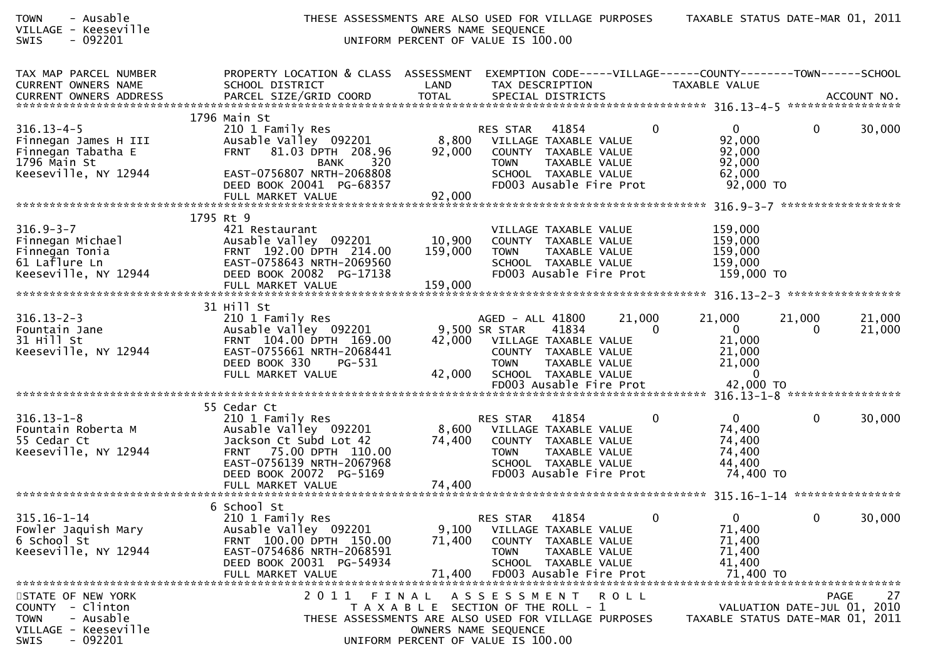| - Ausable<br><b>TOWN</b><br>VILLAGE - Keeseville<br>$-092201$<br>SWIS                                                    | THESE ASSESSMENTS ARE ALSO USED FOR VILLAGE PURPOSES                                                                                                              | UNIFORM PERCENT OF VALUE IS 100.00                                                   | OWNERS NAME SEQUENCE                                                             |                                                                                                 |                              | TAXABLE STATUS DATE-MAR 01, 2011                                                |             |                                                  |
|--------------------------------------------------------------------------------------------------------------------------|-------------------------------------------------------------------------------------------------------------------------------------------------------------------|--------------------------------------------------------------------------------------|----------------------------------------------------------------------------------|-------------------------------------------------------------------------------------------------|------------------------------|---------------------------------------------------------------------------------|-------------|--------------------------------------------------|
| TAX MAP PARCEL NUMBER<br>CURRENT OWNERS NAME                                                                             | PROPERTY LOCATION & CLASS ASSESSMENT<br>SCHOOL DISTRICT                                                                                                           | LAND                                                                                 |                                                                                  | TAX DESCRIPTION                                                                                 |                              | EXEMPTION CODE-----VILLAGE------COUNTY--------TOWN------SCHOOL<br>TAXABLE VALUE |             |                                                  |
|                                                                                                                          | 1796 Main St                                                                                                                                                      |                                                                                      |                                                                                  |                                                                                                 |                              |                                                                                 |             |                                                  |
| $316.13 - 4 - 5$<br>Finnegan James H III<br>Finnegan Tabatha E<br>1796 Main St<br>Keeseville, NY 12944                   | 210 1 Family Res<br>Ausable Valley 092201<br>81.03 DPTH 208.96<br><b>FRNT</b><br>320<br>BANK<br>EAST-0756807 NRTH-2068808<br>DEED BOOK 20041 PG-68357             | 8,800<br>92,000                                                                      | RES STAR<br><b>TOWN</b>                                                          | 41854<br>VILLAGE TAXABLE VALUE<br>COUNTY TAXABLE VALUE<br>TAXABLE VALUE<br>SCHOOL TAXABLE VALUE | 0<br>FD003 Ausable Fire Prot | $\mathbf{0}$<br>92,000<br>92,000<br>92,000<br>62,000<br>92,000 TO               | 0           | 30,000                                           |
|                                                                                                                          | FULL MARKET VALUE                                                                                                                                                 | 92,000                                                                               |                                                                                  |                                                                                                 |                              |                                                                                 |             |                                                  |
| $316.9 - 3 - 7$<br>Finnegan Michael<br>Finnegan Tonia<br>61 Laflure Ln<br>Keeseville, NY 12944                           | 1795 Rt 9<br>421 Restaurant<br>Ausable Valley 092201<br>FRNT 192.00 DPTH 214.00<br>EAST-0758643 NRTH-2069560<br>DEED BOOK 20082 PG-17138<br>FULL MARKET VALUE     | 10,900<br>159,000<br>159,000                                                         | <b>TOWN</b>                                                                      | VILLAGE TAXABLE VALUE<br>COUNTY TAXABLE VALUE<br>TAXABLE VALUE<br>SCHOOL TAXABLE VALUE          | FD003 Ausable Fire Prot      | 159,000<br>159,000<br>159,000<br>159,000<br>159,000 TO                          |             |                                                  |
|                                                                                                                          | 31 Hill St                                                                                                                                                        |                                                                                      |                                                                                  |                                                                                                 |                              |                                                                                 |             |                                                  |
| $316.13 - 2 - 3$<br>Fountain Jane<br>31 Hill St<br>Keeseville, NY 12944                                                  | 210 1 Family Res<br>Ausable Valley 092201<br>FRNT 104.00 DPTH 169.00<br>EAST-0755661 NRTH-2068441<br>DEED BOOK 330<br>PG-531                                      |                                                                                      | AGED - ALL 41800<br>9,500 SR STAR<br>42,000 VILLAGE TAXABLE VALUE<br><b>TOWN</b> | 41834<br>COUNTY TAXABLE VALUE<br>TAXABLE VALUE                                                  | 21,000<br>$\Omega$           | 21,000<br>$\overline{0}$<br>21,000<br>21,000<br>21,000                          | 21,000<br>0 | 21,000<br>21,000                                 |
|                                                                                                                          | FULL MARKET VALUE                                                                                                                                                 | 42,000                                                                               |                                                                                  | SCHOOL TAXABLE VALUE<br>FD003 Ausable Fire Prot                                                 |                              | $\mathbf{0}$<br>42,000 TO                                                       |             |                                                  |
|                                                                                                                          | 55 Cedar Ct                                                                                                                                                       |                                                                                      |                                                                                  |                                                                                                 |                              |                                                                                 |             |                                                  |
| $316.13 - 1 - 8$<br>Fountain Roberta M<br>55 Cedar Ct<br>Keeseville, NY 12944                                            | 210 1 Family Res<br>Ausable Valley 092201<br>Jackson Ct Subd Lot 42<br>FRNT 75.00 DPTH 110.00<br>EAST-0756139 NRTH-2067968<br>DEED BOOK 20072 PG-5169             | 8,600<br>74,400                                                                      | RES STAR<br><b>TOWN</b>                                                          | 41854<br>VILLAGE TAXABLE VALUE<br>COUNTY TAXABLE VALUE<br>TAXABLE VALUE<br>SCHOOL TAXABLE VALUE | 0<br>FD003 Ausable Fire Prot | $\overline{0}$<br>74,400<br>74,400<br>74,400<br>44,400<br>74,400 TO             | $\mathbf 0$ | 30,000                                           |
|                                                                                                                          |                                                                                                                                                                   |                                                                                      |                                                                                  |                                                                                                 |                              |                                                                                 |             |                                                  |
| $315.16 - 1 - 14$<br>Fowler Jaquish Mary<br>6 School St<br>Keeseville, NY 12944                                          | 6 School St<br>210 1 Family Res<br>Ausable Valley 092201<br>FRNT 100.00 DPTH 150.00<br>EAST-0754686 NRTH-2068591<br>DEED BOOK 20031 PG-54934<br>FULL MARKET VALUE | 9,100<br>71,400<br>71,400                                                            | RES STAR<br>COUNTY<br><b>TOWN</b>                                                | 41854<br>VILLAGE TAXABLE VALUE<br>TAXABLE VALUE<br>TAXABLE VALUE<br>SCHOOL TAXABLE VALUE        | 0<br>FD003 Ausable Fire Prot | $\mathbf{0}$<br>71,400<br>71,400<br>71,400<br>41,400<br>71,400 TO               | 0           | 30,000                                           |
| STATE OF NEW YORK<br>- Clinton<br><b>COUNTY</b><br>- Ausable<br><b>TOWN</b><br>VILLAGE - Keeseville<br>SWIS<br>$-092201$ | 2011<br>THESE ASSESSMENTS ARE ALSO USED FOR VILLAGE PURPOSES                                                                                                      | FINAL<br>T A X A B L E SECTION OF THE ROLL - 1<br>UNIFORM PERCENT OF VALUE IS 100.00 | A S S E S S M E N T<br>OWNERS NAME SEQUENCE                                      |                                                                                                 | <b>ROLL</b>                  | TAXABLE STATUS DATE-MAR 01, 2011                                                |             | <b>PAGE</b><br>27<br>VALUATION DATE-JUL 01, 2010 |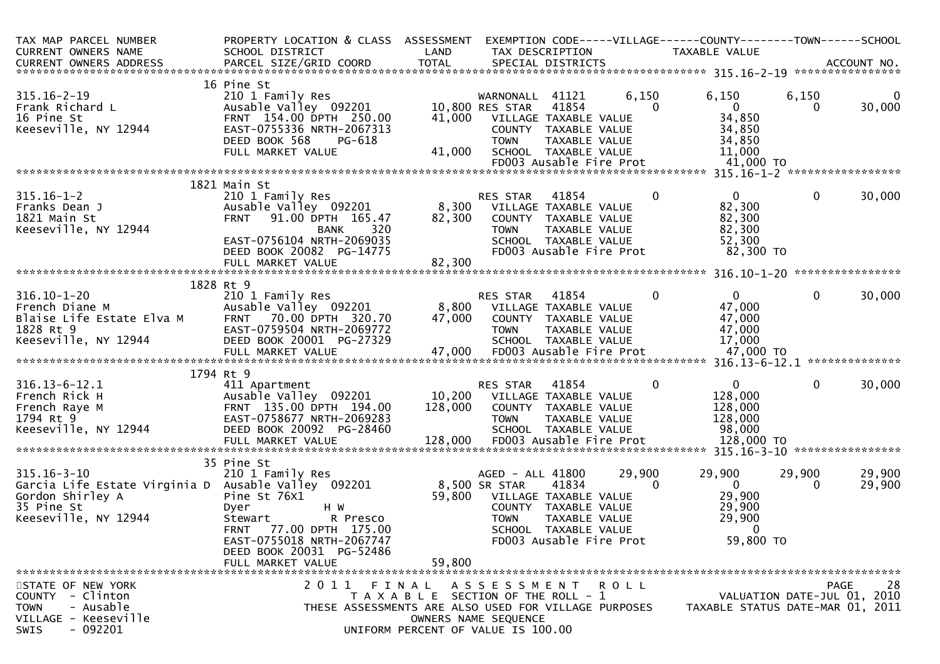| TAX MAP PARCEL NUMBER<br>CURRENT OWNERS NAME<br>CURRENT OWNERS ADDRESS     | PROPERTY LOCATION & CLASS ASSESSMENT<br>SCHOOL DISTRICT<br>PARCEL SIZE/GRID COORD                                                                                            | LAND<br><b>TOTAL</b>                  |                                                       | TAX DESCRIPTION<br>SPECIAL DISTRICTS                                                              |                         | EXEMPTION CODE-----VILLAGE------COUNTY--------TOWN------SCHOOL<br>TAXABLE VALUE |                             | ACCOUNT NO.       |
|----------------------------------------------------------------------------|------------------------------------------------------------------------------------------------------------------------------------------------------------------------------|---------------------------------------|-------------------------------------------------------|---------------------------------------------------------------------------------------------------|-------------------------|---------------------------------------------------------------------------------|-----------------------------|-------------------|
|                                                                            |                                                                                                                                                                              |                                       |                                                       |                                                                                                   |                         |                                                                                 |                             |                   |
| $315.16 - 2 - 19$<br>Frank Richard L<br>16 Pine St<br>Keeseville, NY 12944 | 16 Pine St<br>210 1 Family Res<br>Ausable Valley 092201<br>FRNT 154.00 DPTH 250.00<br>EAST-0755336 NRTH-2067313                                                              | 41,000                                | WARNONALL<br>10,800 RES STAR<br>VILLAGE TAXABLE VALUE | 41121<br>41854<br>COUNTY TAXABLE VALUE                                                            | 6,150<br>0              | 6,150<br>$\mathbf 0$<br>34,850<br>34,850                                        | 6,150<br>0                  | 30,000            |
|                                                                            | DEED BOOK 568<br>PG-618<br>FULL MARKET VALUE                                                                                                                                 | 41,000                                | <b>TOWN</b>                                           | TAXABLE VALUE<br>SCHOOL TAXABLE VALUE                                                             | FD003 Ausable Fire Prot | 34,850<br>11,000<br>41,000 TO                                                   |                             |                   |
|                                                                            |                                                                                                                                                                              |                                       |                                                       |                                                                                                   |                         |                                                                                 |                             |                   |
| $315.16 - 1 - 2$<br>Franks Dean J<br>1821 Main St<br>Keeseville, NY 12944  | 1821 Main St<br>210 1 Family Res<br>Ausable Valley 092201<br>91.00 DPTH 165.47<br><b>FRNT</b><br>320<br><b>BANK</b><br>EAST-0756104 NRTH-2069035<br>DEED BOOK 20082 PG-14775 | 8,300<br>82,300                       | RES STAR<br>VILLAGE TAXABLE VALUE<br><b>TOWN</b>      | 41854<br>COUNTY TAXABLE VALUE<br>TAXABLE VALUE<br>SCHOOL TAXABLE VALUE<br>FD003 Ausable Fire Prot | 0                       | $\overline{0}$<br>82,300<br>82,300<br>82,300<br>52,300<br>82,300 TO             | $\mathbf{0}$                | 30,000            |
|                                                                            | FULL MARKET VALUE                                                                                                                                                            | 82,300                                |                                                       |                                                                                                   |                         |                                                                                 |                             |                   |
|                                                                            |                                                                                                                                                                              |                                       |                                                       |                                                                                                   |                         |                                                                                 |                             |                   |
| $316.10 - 1 - 20$<br>French Diane M                                        | 1828 Rt 9<br>210 1 Family Res<br>Ausable Valley 092201                                                                                                                       | 8,800                                 | RES STAR                                              | 41854<br>VILLAGE TAXABLE VALUE                                                                    | $\Omega$                | $\mathbf{0}$<br>47,000                                                          | $\Omega$                    | 30,000            |
| Blaise Life Estate Elva M<br>1828 Rt 9<br>Keeseville, NY 12944             | FRNT 70.00 DPTH 320.70<br>EAST-0759504 NRTH-2069772<br>DEED BOOK 20001 PG-27329                                                                                              | 47,000                                | <b>TOWN</b>                                           | COUNTY TAXABLE VALUE<br>TAXABLE VALUE<br>SCHOOL TAXABLE VALUE                                     |                         | 47,000<br>47,000<br>17,000                                                      |                             |                   |
|                                                                            |                                                                                                                                                                              |                                       |                                                       |                                                                                                   |                         |                                                                                 |                             |                   |
|                                                                            | 1794 Rt 9                                                                                                                                                                    |                                       |                                                       |                                                                                                   |                         |                                                                                 |                             |                   |
| $316.13 - 6 - 12.1$                                                        | 411 Apartment                                                                                                                                                                |                                       | RES STAR                                              | 41854                                                                                             | 0                       | $\mathbf{0}$                                                                    | $\Omega$                    | 30,000            |
| French Rick H                                                              | Ausable Valley 092201                                                                                                                                                        | 10,200                                | VILLAGE TAXABLE VALUE                                 |                                                                                                   |                         | 128,000                                                                         |                             |                   |
| French Raye M                                                              | FRNT 135.00 DPTH 194.00                                                                                                                                                      | 128,000                               |                                                       | COUNTY TAXABLE VALUE                                                                              |                         | 128,000                                                                         |                             |                   |
| 1794 Rt 9                                                                  | EAST-0758677 NRTH-2069283                                                                                                                                                    |                                       | <b>TOWN</b>                                           | TAXABLE VALUE                                                                                     |                         | 128,000                                                                         |                             |                   |
| Keeseville, NY 12944                                                       | DEED BOOK 20092 PG-28460                                                                                                                                                     |                                       |                                                       | SCHOOL TAXABLE VALUE                                                                              |                         | 98,000                                                                          |                             |                   |
|                                                                            |                                                                                                                                                                              |                                       |                                                       |                                                                                                   |                         |                                                                                 |                             |                   |
|                                                                            |                                                                                                                                                                              |                                       |                                                       |                                                                                                   |                         |                                                                                 |                             |                   |
| $315.16 - 3 - 10$<br>Garcia Life Estate Virginia D Ausable Valley 092201   | 35 Pine St<br>210 1 Family Res                                                                                                                                               |                                       | AGED - ALL 41800<br>8,500 SR STAR                     | 41834                                                                                             | 29,900<br>$\Omega$      | 29,900<br>$\mathbf{0}$                                                          | 29,900<br>0                 | 29,900<br>29,900  |
| Gordon Shirley A                                                           | Pine St 76X1                                                                                                                                                                 | 59,800                                |                                                       | VILLAGE TAXABLE VALUE                                                                             |                         | 29,900                                                                          |                             |                   |
| 35 Pine St                                                                 | H W<br>Dyer                                                                                                                                                                  |                                       |                                                       | COUNTY TAXABLE VALUE                                                                              |                         | 29,900                                                                          |                             |                   |
| Keeseville, NY 12944                                                       | Stewart<br>R Presco                                                                                                                                                          |                                       | <b>TOWN</b>                                           | TAXABLE VALUE                                                                                     |                         | 29,900<br>$\Omega$                                                              |                             |                   |
|                                                                            | 77.00 DPTH 175.00<br><b>FRNT</b><br>EAST-0755018 NRTH-2067747<br>DEED BOOK 20031 PG-52486                                                                                    |                                       |                                                       | SCHOOL TAXABLE VALUE<br>FD003 Ausable Fire Prot                                                   |                         | 59,800 TO                                                                       |                             |                   |
|                                                                            | FULL MARKET VALUE                                                                                                                                                            | 59,800                                |                                                       |                                                                                                   |                         |                                                                                 |                             |                   |
|                                                                            |                                                                                                                                                                              |                                       |                                                       |                                                                                                   |                         |                                                                                 |                             |                   |
| STATE OF NEW YORK                                                          | 2011                                                                                                                                                                         | FINAL                                 | A S S E S S M E N T                                   |                                                                                                   | R O L L                 |                                                                                 |                             | 28<br><b>PAGE</b> |
| COUNTY - Clinton                                                           |                                                                                                                                                                              | T A X A B L E SECTION OF THE ROLL - 1 |                                                       |                                                                                                   |                         |                                                                                 | VALUATION DATE-JUL 01, 2010 |                   |
| - Ausable<br><b>TOWN</b><br>VILLAGE - Keeseville                           | THESE ASSESSMENTS ARE ALSO USED FOR VILLAGE PURPOSES                                                                                                                         |                                       | OWNERS NAME SEQUENCE                                  |                                                                                                   |                         | TAXABLE STATUS DATE-MAR 01, 2011                                                |                             |                   |
| $-092201$<br>SWIS                                                          |                                                                                                                                                                              | UNIFORM PERCENT OF VALUE IS 100.00    |                                                       |                                                                                                   |                         |                                                                                 |                             |                   |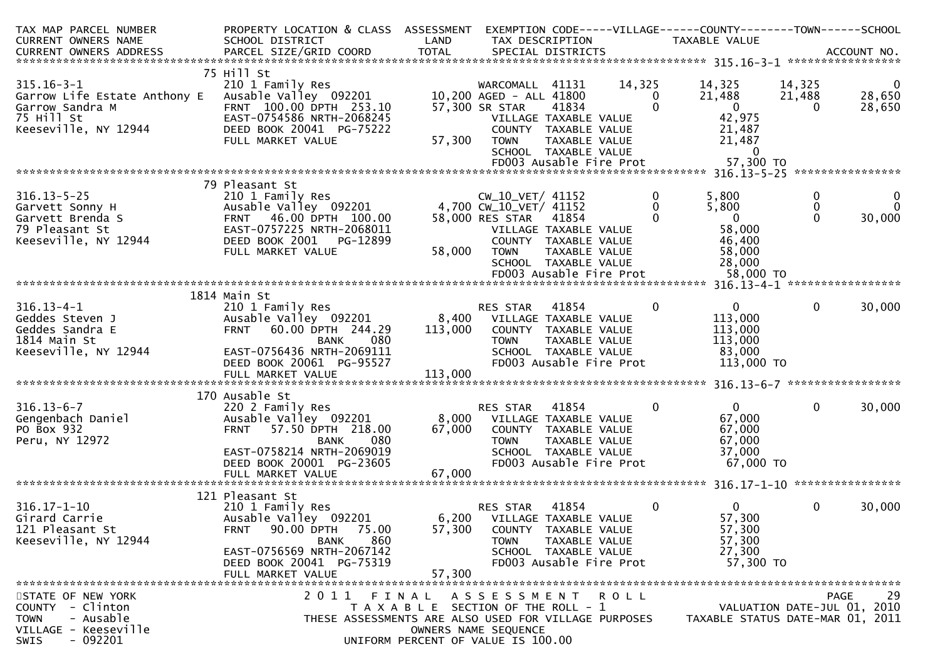| TAX MAP PARCEL NUMBER<br>CURRENT OWNERS NAME                                      | PROPERTY LOCATION & CLASS ASSESSMENT<br>SCHOOL DISTRICT                                           | LAND                                  | TAX DESCRIPTION                                                                       |                                       |                                | EXEMPTION CODE-----VILLAGE------COUNTY--------TOWN------SCHOOL<br><b>TAXABLE VALUE</b> |                              |                              |
|-----------------------------------------------------------------------------------|---------------------------------------------------------------------------------------------------|---------------------------------------|---------------------------------------------------------------------------------------|---------------------------------------|--------------------------------|----------------------------------------------------------------------------------------|------------------------------|------------------------------|
| CURRENT OWNERS ADDRESS                                                            | PARCEL SIZE/GRID COORD                                                                            | <b>TOTAL</b>                          |                                                                                       | SPECIAL DISTRICTS                     |                                |                                                                                        |                              | ACCOUNT NO.                  |
|                                                                                   | 75 Hill St                                                                                        |                                       |                                                                                       |                                       |                                |                                                                                        |                              |                              |
| $315.16 - 3 - 1$<br>Garrow Life Estate Anthony E<br>Garrow Sandra M<br>75 Hill St | 210 1 Family Res<br>Ausable Valley 092201<br>FRNT 100.00 DPTH 253.10<br>EAST-0754586 NRTH-2068245 |                                       | WARCOMALL 41131<br>10,200 AGED - ALL 41800<br>57,300 SR STAR<br>VILLAGE TAXABLE VALUE | 41834                                 | 14,325<br>$\Omega$<br>$\Omega$ | 14,325<br>21,488<br>$\Omega$<br>42,975                                                 | 14,325<br>21,488<br>$\Omega$ | $\bf{0}$<br>28,650<br>28,650 |
| Keeseville, NY 12944                                                              | DEED BOOK 20041 PG-75222<br>FULL MARKET VALUE                                                     | 57,300                                | COUNTY TAXABLE VALUE<br><b>TOWN</b>                                                   | TAXABLE VALUE<br>SCHOOL TAXABLE VALUE |                                | 21,487<br>21,487<br>$\mathbf{0}$                                                       |                              |                              |
|                                                                                   |                                                                                                   |                                       |                                                                                       |                                       | FD003 Ausable Fire Prot        | 57,300 TO                                                                              |                              | ****************             |
|                                                                                   | 79 Pleasant St                                                                                    |                                       |                                                                                       |                                       |                                |                                                                                        |                              |                              |
| $316.13 - 5 - 25$<br>Garvett Sonny H                                              | 210 1 Family Res<br>Ausable Valley 092201                                                         |                                       | CW_10_VET/ 41152<br>4,700 CW_10_VET/ 41152                                            |                                       | 0<br>0                         | 5,800<br>5,800                                                                         | 0<br>$\mathbf 0$             |                              |
| Garvett Brenda S<br>79 Pleasant St                                                | FRNT 46.00 DPTH 100.00<br>EAST-0757225 NRTH-2068011                                               |                                       | 58,000 RES STAR<br>VILLAGE TAXABLE VALUE                                              | 41854                                 | $\Omega$                       | $\overline{0}$<br>58,000                                                               | $\Omega$                     | 30,000                       |
| Keeseville, NY 12944                                                              | DEED BOOK 2001<br>PG-12899<br>FULL MARKET VALUE                                                   | 58,000                                | COUNTY TAXABLE VALUE<br><b>TOWN</b>                                                   | TAXABLE VALUE<br>SCHOOL TAXABLE VALUE |                                | 46,400<br>58,000<br>28,000                                                             |                              |                              |
|                                                                                   |                                                                                                   |                                       |                                                                                       |                                       | FD003 Ausable Fire Prot        | 58,000 TO                                                                              |                              |                              |
|                                                                                   |                                                                                                   |                                       |                                                                                       |                                       |                                |                                                                                        |                              |                              |
|                                                                                   | 1814 Main St                                                                                      |                                       |                                                                                       |                                       |                                |                                                                                        |                              |                              |
| $316.13 - 4 - 1$<br>Geddes Steven J<br>Geddes Sandra E                            | 210 1 Family Res<br>Ausable Valley 092201<br><b>FRNT</b><br>60.00 DPTH 244.29                     | 8,400<br>113,000                      | RES STAR<br>VILLAGE TAXABLE VALUE<br>COUNTY TAXABLE VALUE                             | 41854                                 | 0                              | $\overline{0}$<br>113,000<br>113,000                                                   | $\mathbf 0$                  | 30,000                       |
| 1814 Main St<br>Keeseville, NY 12944                                              | 080<br><b>BANK</b><br>EAST-0756436 NRTH-2069111                                                   |                                       | <b>TOWN</b><br>SCHOOL TAXABLE VALUE                                                   | TAXABLE VALUE                         |                                | 113,000<br>83,000                                                                      |                              |                              |
|                                                                                   | DEED BOOK 20061 PG-95527<br>FULL MARKET VALUE                                                     | 113,000                               |                                                                                       |                                       | FD003 Ausable Fire Prot        | 113,000 TO                                                                             |                              |                              |
|                                                                                   | 170 Ausable St                                                                                    |                                       |                                                                                       |                                       |                                |                                                                                        |                              |                              |
| $316.13 - 6 - 7$                                                                  | 220 2 Family Res                                                                                  |                                       | RES STAR                                                                              | 41854                                 | $\Omega$                       | $\Omega$                                                                               | $\mathbf{0}$                 | 30,000                       |
| Gengenbach Daniel                                                                 | Ausable Valley 092201                                                                             | 8,000                                 | VILLAGE TAXABLE VALUE                                                                 |                                       |                                | 67,000                                                                                 |                              |                              |
| PO Box 932                                                                        | 57.50 DPTH 218.00<br><b>FRNT</b>                                                                  | 67,000                                | COUNTY                                                                                | TAXABLE VALUE                         |                                | 67,000                                                                                 |                              |                              |
| Peru, NY 12972                                                                    | 080<br>BANK<br>EAST-0758214 NRTH-2069019                                                          |                                       | <b>TOWN</b>                                                                           | TAXABLE VALUE                         |                                | 67,000<br>37,000                                                                       |                              |                              |
|                                                                                   | DEED BOOK 20001 PG-23605<br>FULL MARKET VALUE                                                     | 67,000                                | SCHOOL TAXABLE VALUE                                                                  |                                       | FD003 Ausable Fire Prot        | 67,000 TO                                                                              |                              |                              |
|                                                                                   |                                                                                                   |                                       |                                                                                       |                                       |                                |                                                                                        |                              |                              |
|                                                                                   | 121 Pleasant St                                                                                   |                                       |                                                                                       |                                       |                                |                                                                                        |                              |                              |
| $316.17 - 1 - 10$                                                                 | 210 1 Family Res                                                                                  |                                       | RES STAR                                                                              | 41854                                 | 0                              | 0                                                                                      | 0                            | 30,000                       |
| Girard Carrie                                                                     | Ausable Valley 092201                                                                             | 6,200                                 | VILLAGE TAXABLE VALUE                                                                 |                                       |                                | 57,300                                                                                 |                              |                              |
| 121 Pleasant St                                                                   | 90.00 DPTH<br>FRNT<br>75.00                                                                       | 57,300                                |                                                                                       | COUNTY TAXABLE VALUE                  |                                | 57,300                                                                                 |                              |                              |
| Keeseville, NY 12944                                                              | 860<br><b>BANK</b><br>EAST-0756569 NRTH-2067142                                                   |                                       | <b>TOWN</b>                                                                           | TAXABLE VALUE                         |                                | 57,300<br>27,300                                                                       |                              |                              |
|                                                                                   | DEED BOOK 20041 PG-75319<br>FULL MARKET VALUE                                                     | 57,300                                |                                                                                       | SCHOOL TAXABLE VALUE                  | FD003 Ausable Fire Prot        | 57,300 TO                                                                              |                              |                              |
|                                                                                   |                                                                                                   |                                       |                                                                                       |                                       |                                |                                                                                        |                              |                              |
| STATE OF NEW YORK                                                                 | 2011                                                                                              | FINAL                                 | A S S E S S M E N T                                                                   |                                       | ROLL                           |                                                                                        |                              | 29<br><b>PAGE</b>            |
| COUNTY - Clinton                                                                  |                                                                                                   | T A X A B L E SECTION OF THE ROLL - 1 |                                                                                       |                                       |                                |                                                                                        |                              | VALUATION DATE-JUL 01, 2010  |
| - Ausable<br>TOWN                                                                 | THESE ASSESSMENTS ARE ALSO USED FOR VILLAGE PURPOSES                                              |                                       |                                                                                       |                                       |                                | TAXABLE STATUS DATE-MAR 01, 2011                                                       |                              |                              |
| VILLAGE - Keeseville<br>SWIS<br>- 092201                                          |                                                                                                   | UNIFORM PERCENT OF VALUE IS 100.00    | OWNERS NAME SEQUENCE                                                                  |                                       |                                |                                                                                        |                              |                              |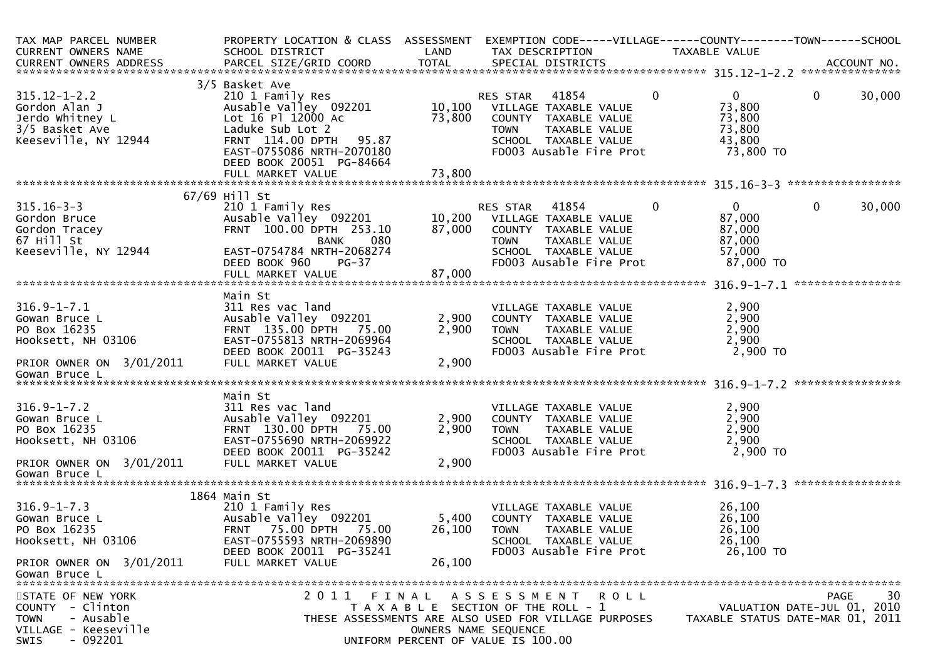| TAX MAP PARCEL NUMBER<br>CURRENT OWNERS NAME                                                                          | PROPERTY LOCATION & CLASS ASSESSMENT<br>SCHOOL DISTRICT                                                                                                                                     | LAND                                                                        | TAX DESCRIPTION                                         |                                                                                                                            |              | EXEMPTION CODE-----VILLAGE------COUNTY--------TOWN------SCHOOL<br>TAXABLE VALUE |                             |              |                  |
|-----------------------------------------------------------------------------------------------------------------------|---------------------------------------------------------------------------------------------------------------------------------------------------------------------------------------------|-----------------------------------------------------------------------------|---------------------------------------------------------|----------------------------------------------------------------------------------------------------------------------------|--------------|---------------------------------------------------------------------------------|-----------------------------|--------------|------------------|
|                                                                                                                       |                                                                                                                                                                                             |                                                                             |                                                         |                                                                                                                            |              |                                                                                 |                             |              |                  |
| $315.12 - 1 - 2.2$<br>Gordon Alan J<br>Jerdo Whitney L<br>3/5 Basket Ave<br>Keeseville, NY 12944                      | 3/5 Basket Ave<br>210 1 Family Res<br>Ausable Valley 092201<br>Lot 16 Pl 12000 Ac<br>Laduke Sub Lot 2<br>FRNT 114.00 DPTH<br>95.87<br>EAST-0755086 NRTH-2070180<br>DEED BOOK 20051 PG-84664 | 73,800                                                                      | RES STAR<br>10,100 VILLAGE TAXABLE VALUE<br><b>TOWN</b> | 41854<br>COUNTY TAXABLE VALUE<br>TAXABLE VALUE<br>SCHOOL TAXABLE VALUE<br>FD003 Ausable Fire Prot                          | $\mathbf{0}$ | $\Omega$<br>73,800<br>73,800<br>73,800<br>43,800                                | 73,800 TO                   | $\mathbf{0}$ | 30,000           |
|                                                                                                                       |                                                                                                                                                                                             |                                                                             |                                                         |                                                                                                                            |              |                                                                                 |                             |              |                  |
|                                                                                                                       |                                                                                                                                                                                             |                                                                             |                                                         |                                                                                                                            |              |                                                                                 |                             |              |                  |
|                                                                                                                       | 67/69 Hill St                                                                                                                                                                               |                                                                             |                                                         |                                                                                                                            |              |                                                                                 |                             |              |                  |
| $315.16 - 3 - 3$<br>Gordon Bruce<br>Gordon Tracey<br>67 Hill St<br>Keeseville, NY 12944                               | 210 1 Family Res<br>Ausable Valley 092201<br>FRNT 100.00 DPTH 253.10<br><b>BANK</b><br>080<br>EAST-0754784 NRTH-2068274<br>DEED BOOK 960<br>$PG-37$                                         | 10,200<br>87,000                                                            | RES STAR<br><b>TOWN</b>                                 | 41854<br>VILLAGE TAXABLE VALUE<br>COUNTY TAXABLE VALUE<br>TAXABLE VALUE<br>SCHOOL TAXABLE VALUE<br>FD003 Ausable Fire Prot | $\mathbf{0}$ | $\Omega$<br>87,000<br>87,000<br>87,000<br>57,000                                | 87,000 TO                   | 0            | 30,000           |
|                                                                                                                       |                                                                                                                                                                                             |                                                                             |                                                         |                                                                                                                            |              |                                                                                 |                             |              |                  |
|                                                                                                                       |                                                                                                                                                                                             |                                                                             |                                                         |                                                                                                                            |              |                                                                                 |                             |              |                  |
| $316.9 - 1 - 7.1$<br>Gowan Bruce L<br>PO Box 16235<br>Hooksett, NH 03106<br>PRIOR OWNER ON 3/01/2011<br>Gowan Bruce L | Main St<br>311 Res vac land<br>Ausable Valley 092201<br>FRNT 135.00 DPTH 75.00<br>EAST-0755813 NRTH-2069964<br>DEED BOOK 20011 PG-35243<br>FULL MARKET VALUE                                | 2,900<br>2,900<br>2,900                                                     | <b>TOWN</b>                                             | VILLAGE TAXABLE VALUE<br>COUNTY TAXABLE VALUE<br>TAXABLE VALUE<br>SCHOOL TAXABLE VALUE<br>FD003 Ausable Fire Prot          |              | 2,900<br>2,900<br>2,900<br>2,900                                                | 2,900 TO                    |              |                  |
|                                                                                                                       |                                                                                                                                                                                             |                                                                             |                                                         |                                                                                                                            |              |                                                                                 |                             |              | **************** |
| $316.9 - 1 - 7.2$<br>Gowan Bruce L<br>PO Box 16235<br>Hooksett, NH 03106<br>PRIOR OWNER ON 3/01/2011                  | Main St<br>311 Res vac land<br>Ausable Valley 092201<br>FRNT 130.00 DPTH 75.00<br>EAST-0755690 NRTH-2069922<br>DEED BOOK 20011 PG-35242<br>FULL MARKET VALUE                                | 2,900<br>2,900<br>2,900                                                     | <b>TOWN</b>                                             | VILLAGE TAXABLE VALUE<br>COUNTY TAXABLE VALUE<br>TAXABLE VALUE<br>SCHOOL TAXABLE VALUE<br>FD003 Ausable Fire Prot          |              | 2,900<br>2,900<br>2,900<br>2,900                                                | 2,900 TO                    |              |                  |
| Gowan Bruce L                                                                                                         |                                                                                                                                                                                             |                                                                             |                                                         |                                                                                                                            |              |                                                                                 |                             |              |                  |
| $316.9 - 1 - 7.3$<br>Gowan Bruce L<br>PO Box 16235<br>Hooksett, NH 03106                                              | 1864 Main St<br>210 1 Family Res<br>Ausable Valley 092201<br>75.00 DPTH<br>75.00<br><b>FRNT</b><br>EAST-0755593 NRTH-2069890<br>DEED BOOK 20011 PG-35241                                    | 5,400<br>26,100                                                             | <b>TOWN</b>                                             | VILLAGE TAXABLE VALUE<br>COUNTY TAXABLE VALUE<br>TAXABLE VALUE<br>SCHOOL TAXABLE VALUE<br>FD003 Ausable Fire Prot          |              | 26,100<br>26,100<br>26,100<br>26,100                                            | 26,100 TO                   |              |                  |
| PRIOR OWNER ON 3/01/2011                                                                                              | FULL MARKET VALUE                                                                                                                                                                           | 26,100                                                                      |                                                         |                                                                                                                            |              |                                                                                 |                             |              |                  |
| Gowan Bruce L                                                                                                         |                                                                                                                                                                                             |                                                                             |                                                         |                                                                                                                            |              |                                                                                 |                             |              |                  |
| STATE OF NEW YORK<br>COUNTY - Clinton<br><b>TOWN</b><br>- Ausable<br>VILLAGE - Keeseville<br>$-092201$<br>SWIS        | 2011 FINAL<br>THESE ASSESSMENTS ARE ALSO USED FOR VILLAGE PURPOSES                                                                                                                          | T A X A B L E SECTION OF THE ROLL - 1<br>UNIFORM PERCENT OF VALUE IS 100.00 | A S S E S S M E N T R O L L<br>OWNERS NAME SEQUENCE     |                                                                                                                            |              | TAXABLE STATUS DATE-MAR 01, 2011                                                | VALUATION DATE-JUL 01, 2010 | PAGE         | 30               |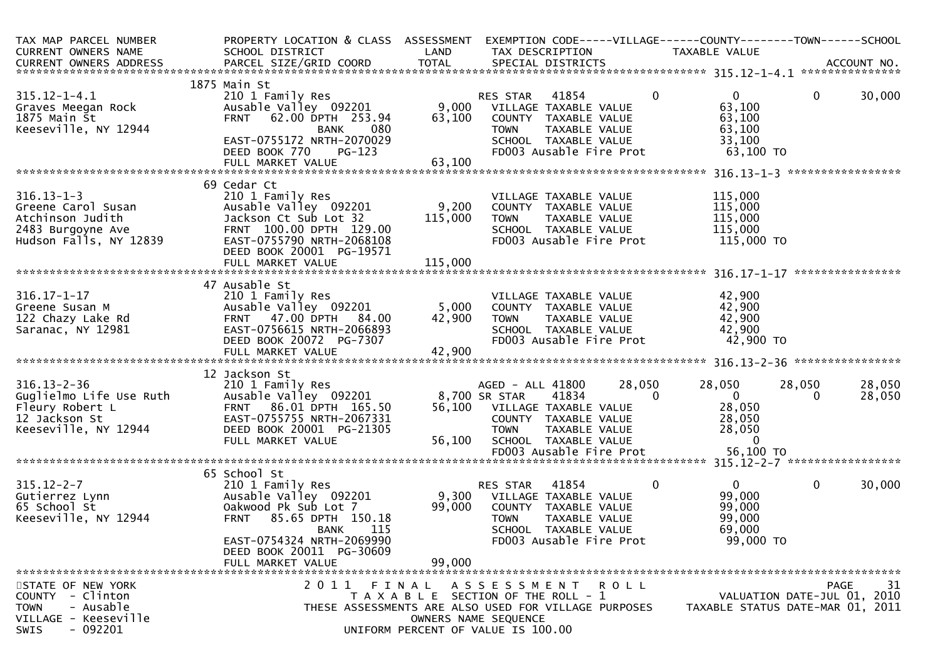| TAX MAP PARCEL NUMBER<br>CURRENT OWNERS NAME                                                                          | PROPERTY LOCATION & CLASS ASSESSMENT EXEMPTION CODE-----VILLAGE------COUNTY-------TOWN------SCHOOL<br>SCHOOL DISTRICT                                                                      | LAND                        | TAX DESCRIPTION                                                                                                                                                                            |                                         | TAXABLE VALUE                                                          |                                           |
|-----------------------------------------------------------------------------------------------------------------------|--------------------------------------------------------------------------------------------------------------------------------------------------------------------------------------------|-----------------------------|--------------------------------------------------------------------------------------------------------------------------------------------------------------------------------------------|-----------------------------------------|------------------------------------------------------------------------|-------------------------------------------|
|                                                                                                                       |                                                                                                                                                                                            |                             |                                                                                                                                                                                            |                                         |                                                                        |                                           |
| $315.12 - 1 - 4.1$<br>Graves Meegan Rock<br>1875 Main St<br>Keeseville, NY 12944                                      | 1875 Main St<br>210 1 Family Res<br>Ausable Valley 092201<br>FRNT 62.00 DPTH 253.94<br>-- 080<br>BANK<br>EAST-0755172 NRTH-2070029<br>DEED BOOK 770<br>$PG-123$                            | 63,100                      | 41854<br>RES STAR<br>9,000 VILLAGE TAXABLE VALUE<br>COUNTY TAXABLE VALUE<br><b>TOWN</b><br>SCHOOL TAXABLE VALUE<br>FD003 Ausable Fire Prot                                                 | $\mathbf{0}$<br>TAXABLE VALUE           | $\overline{0}$<br>63,100<br>63,100<br>63,100<br>33,100<br>63,100 TO    | $\mathbf{0}$<br>30,000                    |
|                                                                                                                       |                                                                                                                                                                                            |                             |                                                                                                                                                                                            |                                         |                                                                        |                                           |
|                                                                                                                       |                                                                                                                                                                                            |                             |                                                                                                                                                                                            |                                         |                                                                        |                                           |
| $316.13 - 1 - 3$<br>Greene Carol Susan<br>Atchinson Judith<br>2483 Burgoyne Ave<br>Hudson Falls, NY 12839             | 69 Cedar Ct<br>210 1 Family Res<br>Ausable Valley 092201<br>Jackson Ct Sub Lot 32<br>FRNT 100.00 DPTH 129.00<br>EAST-0755790 NRTH-2068108<br>DEED BOOK 20001 PG-19571<br>FULL MARKET VALUE | 9,200<br>115,000<br>115,000 | VILLAGE TAXABLE VALUE<br>COUNTY TAXABLE VALUE<br><b>TOWN</b><br>SCHOOL TAXABLE VALUE<br>FD003 Ausable Fire Prot                                                                            | TAXABLE VALUE                           | 115,000<br>115,000<br>115,000<br>115,000<br>115,000 TO                 |                                           |
|                                                                                                                       |                                                                                                                                                                                            |                             |                                                                                                                                                                                            |                                         |                                                                        |                                           |
| $316.17 - 1 - 17$<br>Greene Susan M<br>122 Chazy Lake Rd<br>Saranac, NY 12981                                         | 47 Ausable St<br>210 1 Family Res<br>Ausable Valley 092201<br><b>FRNT 47.00 DPTH</b><br>84.00<br>EAST-0756615 NRTH-2066893<br>DEED BOOK 20072 PG-7307                                      | 42,900                      | VILLAGE TAXABLE VALUE<br>5,000 COUNTY TAXABLE VALUE<br><b>TOWN</b><br>SCHOOL TAXABLE VALUE<br>FD003 Ausable Fire Prot                                                                      | TAXABLE VALUE                           | 42,900<br>42,900<br>42,900<br>42,900<br>42,900 TO                      |                                           |
|                                                                                                                       | 12 Jackson St                                                                                                                                                                              |                             |                                                                                                                                                                                            |                                         |                                                                        |                                           |
| $316.13 - 2 - 36$<br>Guglielmo Life Use Ruth<br>Fleury Robert L<br>12 Jackson St<br>Keeseville, NY 12944              | 210 1 Family Res<br>Ausable Valley 092201<br>FRNT 86.01 DPTH 165.50<br>EAST-0755755 NRTH-2067331<br>DEED BOOK 20001 PG-21305<br>FULL MARKET VALUE                                          | 56,100                      | AGED - ALL 41800<br>8,700 SR STAR<br>41834<br>56,100 VILLAGE TAXABLE VALUE<br>COUNTY TAXABLE VALUE<br><b>TOWN</b><br>SCHOOL TAXABLE VALUE                                                  | 28,050<br>$\mathbf{0}$<br>TAXABLE VALUE | 28,050<br>$\overline{0}$<br>28,050<br>28,050<br>28,050<br>$\mathbf{0}$ | 28,050<br>28,050<br>28,050<br>$\Omega$    |
|                                                                                                                       |                                                                                                                                                                                            |                             | FD003 Ausable Fire Prot                                                                                                                                                                    |                                         | 56,100 TO                                                              |                                           |
| $315.12 - 2 - 7$                                                                                                      | 65 School St<br>210 1 Family Res                                                                                                                                                           |                             | 41854<br>RES STAR                                                                                                                                                                          | $\mathbf{0}$                            | $\overline{0}$                                                         | $\mathbf{0}$<br>30,000                    |
| 315.12-2-7<br>Gutierrez Lynn<br>65 School St<br>Keeseville, NY 12944                                                  | Ausable Valley 092201<br>Oakwood Pk Sub Lot 7<br><b>FRNT</b><br>85.65 DPTH 150.18<br>115<br><b>BANK</b><br>EAST-0754324 NRTH-2069990<br>DEED BOOK 20011 PG-30609                           | 99,000                      | 9,300 VILLAGE TAXABLE VALUE<br>COUNTY TAXABLE VALUE<br><b>TOWN</b><br>SCHOOL TAXABLE VALUE<br>FD003 Ausable Fire Prot                                                                      | TAXABLE VALUE                           | 99,000<br>99,000<br>99,000<br>69,000<br>99,000 TO                      |                                           |
|                                                                                                                       | FULL MARKET VALUE                                                                                                                                                                          | 99,000                      |                                                                                                                                                                                            |                                         |                                                                        |                                           |
|                                                                                                                       |                                                                                                                                                                                            |                             |                                                                                                                                                                                            |                                         |                                                                        |                                           |
| STATE OF NEW YORK<br>COUNTY - Clinton<br>- Ausable<br><b>TOWN</b><br>VILLAGE - Keeseville<br>$-092201$<br><b>SWIS</b> | 2011 FINAL                                                                                                                                                                                 |                             | A S S E S S M E N T R O L L<br>T A X A B L E SECTION OF THE ROLL - 1<br>THESE ASSESSMENTS ARE ALSO USED FOR VILLAGE PURPOSES<br>OWNERS NAME SEQUENCE<br>UNIFORM PERCENT OF VALUE IS 100.00 |                                         | TAXABLE STATUS DATE-MAR 01, 2011                                       | 31<br>PAGE<br>VALUATION DATE-JUL 01, 2010 |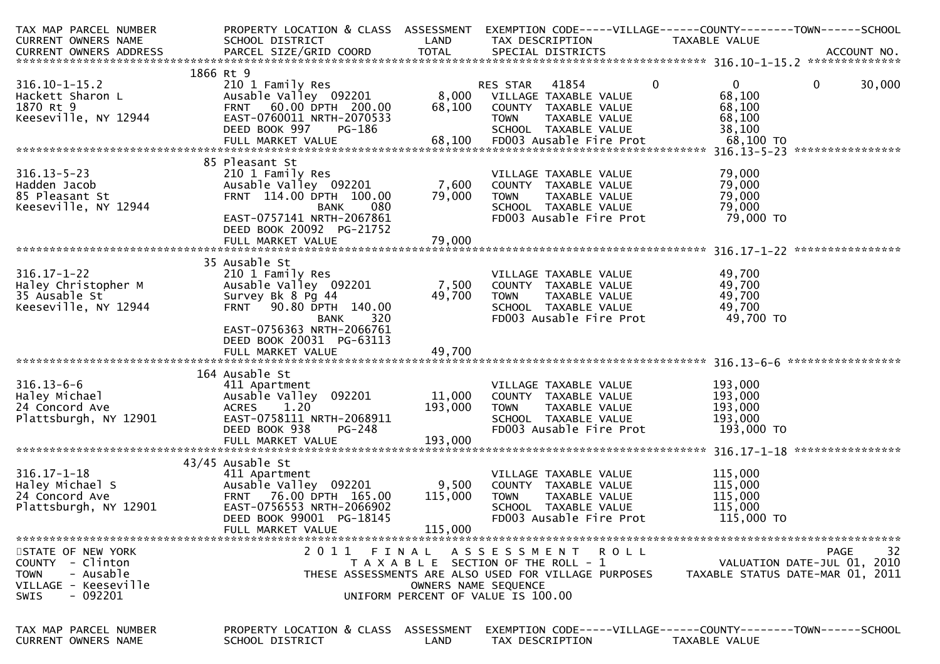| PROPERTY LOCATION & CLASS ASSESSMENT                    |                                                                                                                                                                                                                                                                                                                                                                                                                            | EXEMPTION CODE-----VILLAGE------COUNTY--------TOWN------SCHOOL                    |                                                                           |                                                                                                                                                                                                                                                                                                                                                    |                                                                                                                                                                                 |
|---------------------------------------------------------|----------------------------------------------------------------------------------------------------------------------------------------------------------------------------------------------------------------------------------------------------------------------------------------------------------------------------------------------------------------------------------------------------------------------------|-----------------------------------------------------------------------------------|---------------------------------------------------------------------------|----------------------------------------------------------------------------------------------------------------------------------------------------------------------------------------------------------------------------------------------------------------------------------------------------------------------------------------------------|---------------------------------------------------------------------------------------------------------------------------------------------------------------------------------|
| SCHOOL DISTRICT                                         | LAND                                                                                                                                                                                                                                                                                                                                                                                                                       | TAX DESCRIPTION                                                                   |                                                                           |                                                                                                                                                                                                                                                                                                                                                    |                                                                                                                                                                                 |
|                                                         |                                                                                                                                                                                                                                                                                                                                                                                                                            |                                                                                   |                                                                           |                                                                                                                                                                                                                                                                                                                                                    |                                                                                                                                                                                 |
|                                                         |                                                                                                                                                                                                                                                                                                                                                                                                                            |                                                                                   |                                                                           |                                                                                                                                                                                                                                                                                                                                                    |                                                                                                                                                                                 |
|                                                         |                                                                                                                                                                                                                                                                                                                                                                                                                            |                                                                                   |                                                                           |                                                                                                                                                                                                                                                                                                                                                    |                                                                                                                                                                                 |
|                                                         |                                                                                                                                                                                                                                                                                                                                                                                                                            |                                                                                   |                                                                           |                                                                                                                                                                                                                                                                                                                                                    | $\overline{0}$<br>30,000                                                                                                                                                        |
|                                                         |                                                                                                                                                                                                                                                                                                                                                                                                                            |                                                                                   |                                                                           |                                                                                                                                                                                                                                                                                                                                                    |                                                                                                                                                                                 |
|                                                         |                                                                                                                                                                                                                                                                                                                                                                                                                            |                                                                                   |                                                                           |                                                                                                                                                                                                                                                                                                                                                    |                                                                                                                                                                                 |
|                                                         |                                                                                                                                                                                                                                                                                                                                                                                                                            |                                                                                   |                                                                           |                                                                                                                                                                                                                                                                                                                                                    |                                                                                                                                                                                 |
|                                                         |                                                                                                                                                                                                                                                                                                                                                                                                                            |                                                                                   |                                                                           |                                                                                                                                                                                                                                                                                                                                                    |                                                                                                                                                                                 |
|                                                         |                                                                                                                                                                                                                                                                                                                                                                                                                            |                                                                                   |                                                                           |                                                                                                                                                                                                                                                                                                                                                    |                                                                                                                                                                                 |
|                                                         |                                                                                                                                                                                                                                                                                                                                                                                                                            |                                                                                   |                                                                           |                                                                                                                                                                                                                                                                                                                                                    |                                                                                                                                                                                 |
|                                                         |                                                                                                                                                                                                                                                                                                                                                                                                                            |                                                                                   |                                                                           |                                                                                                                                                                                                                                                                                                                                                    |                                                                                                                                                                                 |
|                                                         |                                                                                                                                                                                                                                                                                                                                                                                                                            |                                                                                   |                                                                           |                                                                                                                                                                                                                                                                                                                                                    |                                                                                                                                                                                 |
|                                                         |                                                                                                                                                                                                                                                                                                                                                                                                                            |                                                                                   |                                                                           |                                                                                                                                                                                                                                                                                                                                                    |                                                                                                                                                                                 |
|                                                         |                                                                                                                                                                                                                                                                                                                                                                                                                            |                                                                                   |                                                                           |                                                                                                                                                                                                                                                                                                                                                    |                                                                                                                                                                                 |
|                                                         |                                                                                                                                                                                                                                                                                                                                                                                                                            |                                                                                   |                                                                           |                                                                                                                                                                                                                                                                                                                                                    |                                                                                                                                                                                 |
|                                                         |                                                                                                                                                                                                                                                                                                                                                                                                                            |                                                                                   |                                                                           |                                                                                                                                                                                                                                                                                                                                                    |                                                                                                                                                                                 |
|                                                         |                                                                                                                                                                                                                                                                                                                                                                                                                            |                                                                                   |                                                                           |                                                                                                                                                                                                                                                                                                                                                    |                                                                                                                                                                                 |
|                                                         |                                                                                                                                                                                                                                                                                                                                                                                                                            |                                                                                   |                                                                           |                                                                                                                                                                                                                                                                                                                                                    |                                                                                                                                                                                 |
|                                                         |                                                                                                                                                                                                                                                                                                                                                                                                                            |                                                                                   |                                                                           |                                                                                                                                                                                                                                                                                                                                                    |                                                                                                                                                                                 |
|                                                         |                                                                                                                                                                                                                                                                                                                                                                                                                            |                                                                                   |                                                                           |                                                                                                                                                                                                                                                                                                                                                    |                                                                                                                                                                                 |
|                                                         |                                                                                                                                                                                                                                                                                                                                                                                                                            |                                                                                   |                                                                           |                                                                                                                                                                                                                                                                                                                                                    |                                                                                                                                                                                 |
|                                                         |                                                                                                                                                                                                                                                                                                                                                                                                                            |                                                                                   |                                                                           |                                                                                                                                                                                                                                                                                                                                                    |                                                                                                                                                                                 |
|                                                         |                                                                                                                                                                                                                                                                                                                                                                                                                            |                                                                                   |                                                                           |                                                                                                                                                                                                                                                                                                                                                    |                                                                                                                                                                                 |
|                                                         |                                                                                                                                                                                                                                                                                                                                                                                                                            |                                                                                   |                                                                           |                                                                                                                                                                                                                                                                                                                                                    |                                                                                                                                                                                 |
| 320<br>BANK                                             |                                                                                                                                                                                                                                                                                                                                                                                                                            |                                                                                   |                                                                           |                                                                                                                                                                                                                                                                                                                                                    |                                                                                                                                                                                 |
|                                                         |                                                                                                                                                                                                                                                                                                                                                                                                                            |                                                                                   |                                                                           |                                                                                                                                                                                                                                                                                                                                                    |                                                                                                                                                                                 |
| EAST-0756363 NRTH-2066761                               |                                                                                                                                                                                                                                                                                                                                                                                                                            |                                                                                   |                                                                           |                                                                                                                                                                                                                                                                                                                                                    |                                                                                                                                                                                 |
| DEED BOOK 20031 PG-63113                                |                                                                                                                                                                                                                                                                                                                                                                                                                            |                                                                                   |                                                                           |                                                                                                                                                                                                                                                                                                                                                    |                                                                                                                                                                                 |
|                                                         |                                                                                                                                                                                                                                                                                                                                                                                                                            |                                                                                   |                                                                           |                                                                                                                                                                                                                                                                                                                                                    |                                                                                                                                                                                 |
|                                                         |                                                                                                                                                                                                                                                                                                                                                                                                                            |                                                                                   |                                                                           |                                                                                                                                                                                                                                                                                                                                                    | *****************                                                                                                                                                               |
| 164 Ausable St                                          |                                                                                                                                                                                                                                                                                                                                                                                                                            |                                                                                   |                                                                           |                                                                                                                                                                                                                                                                                                                                                    |                                                                                                                                                                                 |
| 411 Apartment                                           |                                                                                                                                                                                                                                                                                                                                                                                                                            | VILLAGE TAXABLE VALUE                                                             |                                                                           | 193,000                                                                                                                                                                                                                                                                                                                                            |                                                                                                                                                                                 |
| Ausable Valley 092201                                   | 11,000                                                                                                                                                                                                                                                                                                                                                                                                                     | COUNTY TAXABLE VALUE                                                              |                                                                           | 193,000                                                                                                                                                                                                                                                                                                                                            |                                                                                                                                                                                 |
| <b>ACRES</b><br>1.20                                    | 193,000                                                                                                                                                                                                                                                                                                                                                                                                                    | TAXABLE VALUE<br><b>TOWN</b>                                                      |                                                                           | 193,000                                                                                                                                                                                                                                                                                                                                            |                                                                                                                                                                                 |
| EAST-0758111 NRTH-2068911                               |                                                                                                                                                                                                                                                                                                                                                                                                                            | SCHOOL TAXABLE VALUE                                                              |                                                                           | 193,000                                                                                                                                                                                                                                                                                                                                            |                                                                                                                                                                                 |
| DEED BOOK 938<br>$PG-248$                               |                                                                                                                                                                                                                                                                                                                                                                                                                            | FD003 Ausable Fire Prot                                                           |                                                                           | 193,000 TO                                                                                                                                                                                                                                                                                                                                         |                                                                                                                                                                                 |
| FULL MARKET VALUE                                       | 193,000                                                                                                                                                                                                                                                                                                                                                                                                                    |                                                                                   |                                                                           |                                                                                                                                                                                                                                                                                                                                                    |                                                                                                                                                                                 |
|                                                         |                                                                                                                                                                                                                                                                                                                                                                                                                            |                                                                                   |                                                                           |                                                                                                                                                                                                                                                                                                                                                    |                                                                                                                                                                                 |
| 43/45 Ausable St                                        |                                                                                                                                                                                                                                                                                                                                                                                                                            |                                                                                   |                                                                           |                                                                                                                                                                                                                                                                                                                                                    |                                                                                                                                                                                 |
| 411 Apartment                                           |                                                                                                                                                                                                                                                                                                                                                                                                                            | VILLAGE TAXABLE VALUE                                                             |                                                                           | 115,000                                                                                                                                                                                                                                                                                                                                            |                                                                                                                                                                                 |
| Ausable Valley 092201                                   | 9,500                                                                                                                                                                                                                                                                                                                                                                                                                      | COUNTY TAXABLE VALUE                                                              |                                                                           | 115,000                                                                                                                                                                                                                                                                                                                                            |                                                                                                                                                                                 |
| FRNT 76.00 DPTH 165.00                                  | 115,000                                                                                                                                                                                                                                                                                                                                                                                                                    | <b>TOWN</b><br>TAXABLE VALUE                                                      |                                                                           | 115,000                                                                                                                                                                                                                                                                                                                                            |                                                                                                                                                                                 |
| EAST-0756553 NRTH-2066902                               |                                                                                                                                                                                                                                                                                                                                                                                                                            | SCHOOL TAXABLE VALUE                                                              |                                                                           | 115,000                                                                                                                                                                                                                                                                                                                                            |                                                                                                                                                                                 |
| DEED BOOK 99001 PG-18145                                |                                                                                                                                                                                                                                                                                                                                                                                                                            | FD003 Ausable Fire Prot                                                           |                                                                           | 115,000 TO                                                                                                                                                                                                                                                                                                                                         |                                                                                                                                                                                 |
| FULL MARKET VALUE                                       | 115,000                                                                                                                                                                                                                                                                                                                                                                                                                    |                                                                                   |                                                                           |                                                                                                                                                                                                                                                                                                                                                    |                                                                                                                                                                                 |
|                                                         |                                                                                                                                                                                                                                                                                                                                                                                                                            |                                                                                   |                                                                           |                                                                                                                                                                                                                                                                                                                                                    |                                                                                                                                                                                 |
|                                                         |                                                                                                                                                                                                                                                                                                                                                                                                                            | 2011 FINAL ASSESSMENT ROLL                                                        |                                                                           |                                                                                                                                                                                                                                                                                                                                                    | 32<br>PAGE                                                                                                                                                                      |
|                                                         |                                                                                                                                                                                                                                                                                                                                                                                                                            | T A X A B L E SECTION OF THE ROLL - 1                                             |                                                                           |                                                                                                                                                                                                                                                                                                                                                    | VALUATION DATE-JUL 01, 2010                                                                                                                                                     |
|                                                         |                                                                                                                                                                                                                                                                                                                                                                                                                            | THESE ASSESSMENTS ARE ALSO USED FOR VILLAGE PURPOSES                              |                                                                           |                                                                                                                                                                                                                                                                                                                                                    | TAXABLE STATUS DATE-MAR 01, 2011                                                                                                                                                |
|                                                         | OWNERS NAME SEQUENCE                                                                                                                                                                                                                                                                                                                                                                                                       |                                                                                   |                                                                           |                                                                                                                                                                                                                                                                                                                                                    |                                                                                                                                                                                 |
|                                                         |                                                                                                                                                                                                                                                                                                                                                                                                                            | UNIFORM PERCENT OF VALUE IS 100.00                                                |                                                                           |                                                                                                                                                                                                                                                                                                                                                    |                                                                                                                                                                                 |
|                                                         |                                                                                                                                                                                                                                                                                                                                                                                                                            |                                                                                   |                                                                           |                                                                                                                                                                                                                                                                                                                                                    |                                                                                                                                                                                 |
|                                                         |                                                                                                                                                                                                                                                                                                                                                                                                                            |                                                                                   |                                                                           |                                                                                                                                                                                                                                                                                                                                                    |                                                                                                                                                                                 |
| PROPERTY LOCATION & CLASS ASSESSMENT<br>SCHOOL DISTRICT | LAND                                                                                                                                                                                                                                                                                                                                                                                                                       | EXEMPTION CODE-----VILLAGE------COUNTY--------TOWN------SCHOOL<br>TAX DESCRIPTION | TAXABLE VALUE                                                             |                                                                                                                                                                                                                                                                                                                                                    |                                                                                                                                                                                 |
|                                                         | 1866 Rt 9<br>210 1 Family Res<br>FRNT 60.00 DPTH 200.00<br>EAST-0760011 NRTH-2070533<br>DEED BOOK 997<br>PG-186<br>85 Pleasant St<br>210 1 Family Res<br>Ausable Valley 092201<br>FRNT 114.00 DPTH 100.00<br>080<br><b>BANK</b><br>EAST-0757141 NRTH-2067861<br>DEED BOOK 20092 PG-21752<br>FULL MARKET VALUE<br>35 Ausable St<br>210 1 Family Res<br>Ausable Valley 092201<br>Survey Bk 8 Pg 44<br>FRNT 90.80 DPTH 140.00 | Ausable Valley 092201<br>68,100<br>79,000<br>79,000<br>49,700                     | 41854<br>RES STAR<br><b>TOWN</b><br>7,600<br>TOWN<br>7,500<br><b>TOWN</b> | $\Omega$<br>8,000 VILLAGE TAXABLE VALUE<br>COUNTY TAXABLE VALUE<br>TAXABLE VALUE<br>SCHOOL TAXABLE VALUE<br>VILLAGE TAXABLE VALUE<br>COUNTY TAXABLE VALUE<br>TAXABLE VALUE<br>SCHOOL TAXABLE VALUE<br>FD003 Ausable Fire Prot<br>VILLAGE TAXABLE VALUE<br>COUNTY TAXABLE VALUE<br>TAXABLE VALUE<br>SCHOOL TAXABLE VALUE<br>FD003 Ausable Fire Prot | TAXABLE VALUE<br>$\mathbf{0}$<br>68,100<br>68,100<br>68,100<br>38,100<br>79,000<br>79,000<br>79,000<br>79,000<br>79,000 TO<br>49,700<br>49,700<br>49,700<br>49,700<br>49,700 TO |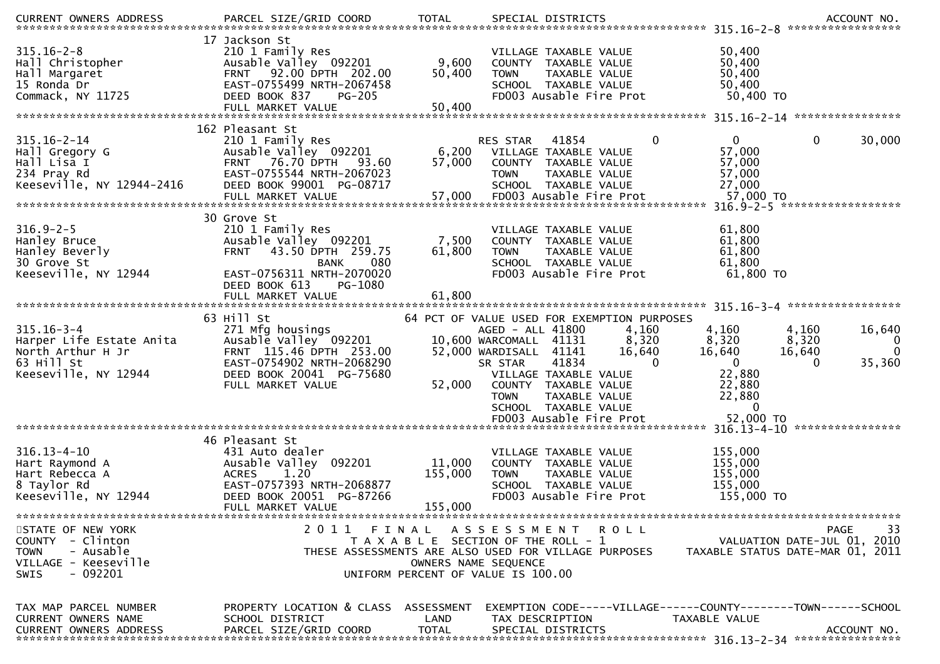|                                                                                                               |                                                                                                                                                                                                  |                              |                                                                                                                                                                                                                                                                                                                        | .CURRENT OWNERS ADDRESS PARCEL SIZE/GRID COORD TOTAL SPECIAL DISTRICTS ACCOUNT NO ACCOUNT NO AND ART AND MELL STRESS                                                                                        |
|---------------------------------------------------------------------------------------------------------------|--------------------------------------------------------------------------------------------------------------------------------------------------------------------------------------------------|------------------------------|------------------------------------------------------------------------------------------------------------------------------------------------------------------------------------------------------------------------------------------------------------------------------------------------------------------------|-------------------------------------------------------------------------------------------------------------------------------------------------------------------------------------------------------------|
| $315.16 - 2 - 8$<br>Hall Christopher<br>Hall Margaret<br>15 Ronda Dr<br>Commack, NY 11725                     | 17 Jackson St<br>210 1 Family Res<br>Ausable Valley 092201<br>92.00 DPTH 202.00<br><b>FRNT</b><br>EAST-0755499 NRTH-2067458<br>DEED BOOK 837<br><b>PG-205</b><br>FULL MARKET VALUE               | 9,600<br>50,400<br>50,400    | VILLAGE TAXABLE VALUE<br>COUNTY TAXABLE VALUE<br><b>TOWN</b><br>TAXABLE VALUE<br>SCHOOL TAXABLE VALUE<br>FD003 Ausable Fire Prot                                                                                                                                                                                       | 50,400<br>50,400<br>50,400<br>50,400<br>50,400 TO                                                                                                                                                           |
| $315.16 - 2 - 14$<br>Hall Gregory G<br>Hall Lisa I<br>234 Pray Rd<br>Keeseville, NY 12944-2416                | 162 Pleasant St<br>210 1 Family Res<br>Ausable Valley 092201<br>76.70 DPTH<br><b>FRNT</b><br>93.60<br>EAST-0755544 NRTH-2067023<br>DEED BOOK 99001 PG-08717<br>FULL MARKET VALUE                 | 6,200<br>57,000<br>57,000    | $\mathbf{0}$<br>41854<br><b>RES STAR</b><br>VILLAGE TAXABLE VALUE<br>COUNTY TAXABLE VALUE<br><b>TOWN</b><br>TAXABLE VALUE<br>SCHOOL TAXABLE VALUE<br>FD003 Ausable Fire Prot                                                                                                                                           | 0<br>$\mathbf{0}$<br>30,000<br>57,000<br>57,000<br>57,000<br>27,000<br>57,000 TO                                                                                                                            |
| $316.9 - 2 - 5$<br>Hanley Bruce<br>Hanley Beverly<br>30 Grove St<br>Keeseville, NY 12944                      | 30 Grove St<br>210 1 Family Res<br>Ausable Valley 092201<br>43.50 DPTH 259.75<br><b>FRNT</b><br><b>BANK</b><br>080<br>EAST-0756311 NRTH-2070020<br>DEED BOOK 613<br>PG-1080<br>FULL MARKET VALUE | 7,500<br>61,800<br>61,800    | VILLAGE TAXABLE VALUE<br>COUNTY TAXABLE VALUE<br>TAXABLE VALUE<br><b>TOWN</b><br>SCHOOL TAXABLE VALUE<br>FD003 Ausable Fire Prot                                                                                                                                                                                       | ******************<br>61,800<br>61,800<br>61,800<br>61,800<br>61,800 TO                                                                                                                                     |
| $315.16 - 3 - 4$<br>Harper Life Estate Anita<br>North Arthur H Jr<br>63 Hill St<br>Keeseville, NY 12944       | 63 Hill St<br>271 Mfg housings<br>Ausable Valley 092201<br>FRNT 115.46 DPTH 253.00<br>EAST-0754902 NRTH-2068290<br>DEED BOOK 20041 PG-75680<br>FULL MARKET VALUE                                 | 52,000                       | 64 PCT OF VALUE USED FOR EXEMPTION PURPOSES<br>4,160<br>AGED - ALL 41800<br>8,320<br>10,600 WARCOMALL 41131<br>16,640<br>52,000 WARDISALL 41141<br>41834<br>$\mathbf 0$<br>SR STAR<br>VILLAGE TAXABLE VALUE<br>COUNTY TAXABLE VALUE<br><b>TOWN</b><br>TAXABLE VALUE<br>SCHOOL TAXABLE VALUE<br>FD003 Ausable Fire Prot | 315.16-3-4 *******************<br>4,160<br>4,160<br>16,640<br>8,320<br>8,320<br>0<br>$\mathbf{0}$<br>16,640<br>16,640<br>$\mathbf{0}$<br>35,360<br>$\Omega$<br>22,880<br>22,880<br>22,880<br>0<br>52,000 TO |
| $316.13 - 4 - 10$<br>Hart Raymond A<br>Hart Rebecca A<br>8 Taylor Rd<br>Keeseville, NY 12944                  | 46 Pleasant St<br>431 Auto dealer<br>Ausable Valley<br>092201<br>1.20<br><b>ACRES</b><br>EAST-0757393 NRTH-2068877<br>DEED BOOK 20051 PG-87266<br>FULL MARKET VALUE                              | 11,000<br>155,000<br>155,000 | VILLAGE TAXABLE VALUE<br>COUNTY TAXABLE VALUE<br>TAXABLE VALUE<br><b>TOWN</b><br>SCHOOL TAXABLE VALUE<br>FD003 Ausable Fire Prot                                                                                                                                                                                       | 155,000<br>155,000<br>155,000<br>155,000<br>155,000 TO                                                                                                                                                      |
| STATE OF NEW YORK<br>COUNTY - Clinton<br><b>TOWN</b><br>- Ausable<br>VILLAGE - Keeseville<br>SWIS<br>- 092201 | 2011 FINAL                                                                                                                                                                                       |                              | A S S E S S M E N T<br>R O L L<br>T A X A B L E SECTION OF THE ROLL - 1<br>THESE ASSESSMENTS ARE ALSO USED FOR VILLAGE PURPOSES<br>OWNERS NAME SEQUENCE<br>UNIFORM PERCENT OF VALUE IS 100.00                                                                                                                          | 33<br>PAGE<br>VALUATION DATE-JUL 01, 2010<br>TAXABLE STATUS DATE-MAR 01, 2011                                                                                                                               |
| TAX MAP PARCEL NUMBER<br>CURRENT OWNERS NAME<br><b>CURRENT OWNERS ADDRESS</b>                                 | PROPERTY LOCATION & CLASS ASSESSMENT<br>SCHOOL DISTRICT<br>PARCEL SIZE/GRID COORD                                                                                                                | LAND<br><b>TOTAL</b>         | TAX DESCRIPTION<br>SPECIAL DISTRICTS                                                                                                                                                                                                                                                                                   | EXEMPTION CODE-----VILLAGE------COUNTY--------TOWN------SCHOOL<br>TAXABLE VALUE<br>ACCOUNT NO.                                                                                                              |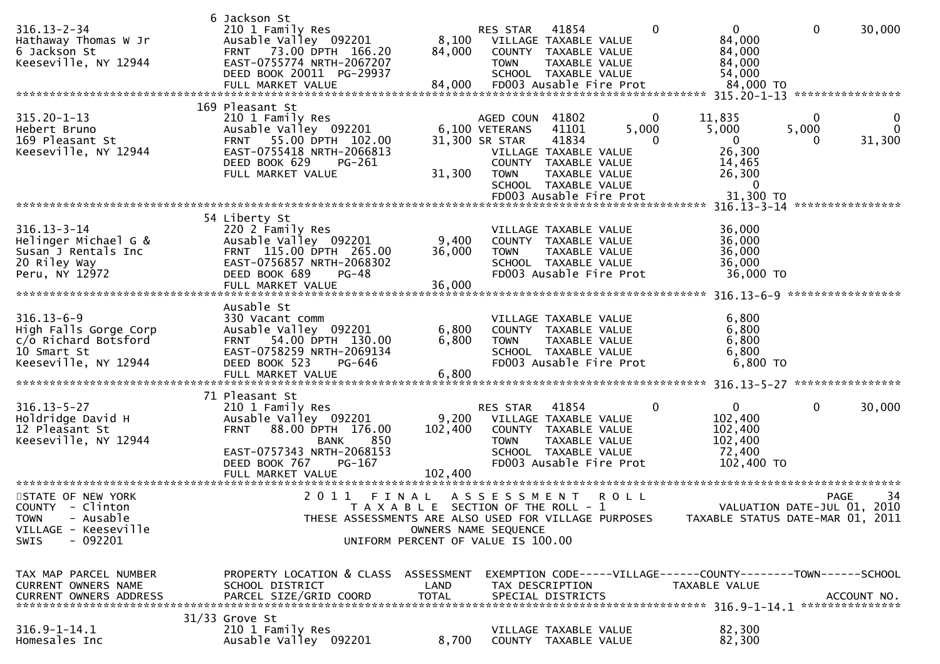| $316.13 - 2 - 34$<br>Hathaway Thomas W Jr<br>6 Jackson St<br>Keeseville, NY 12944                                    | 6 Jackson St<br>210 1 Family Res<br>Ausable Valley 092201<br>FRNT 73.00 DPTH 166.20<br>EAST-0755774 NRTH-2067207<br>DEED BOOK 20011 PG-29937<br>FULL MARKET VALUE                                  | 84,000<br>84,000                                                            | RES STAR<br>8,100 VILLAGE TAXABLE VALUE<br><b>TOWN</b>       | 41854<br>COUNTY TAXABLE VALUE<br>TAXABLE VALUE<br>SCHOOL TAXABLE VALUE<br>FD003 Ausable Fire Prot                                            |             | 0                                                                               | $\Omega$<br>84,000<br>84,000<br>84,000<br>54,000<br>84,000 TO         | 0                                     | 30,000                  |
|----------------------------------------------------------------------------------------------------------------------|----------------------------------------------------------------------------------------------------------------------------------------------------------------------------------------------------|-----------------------------------------------------------------------------|--------------------------------------------------------------|----------------------------------------------------------------------------------------------------------------------------------------------|-------------|---------------------------------------------------------------------------------|-----------------------------------------------------------------------|---------------------------------------|-------------------------|
| $315.20 - 1 - 13$<br>Hebert Bruno<br>169 Pleasant St<br>Keeseville, NY 12944                                         | 169 Pleasant St<br>210 1 Family Res<br>Ausable Valley 092201<br>55.00 DPTH 102.00<br><b>FRNT</b><br>EAST-0755418 NRTH-2066813<br>DEED BOOK 629<br>PG-261<br>FULL MARKET VALUE                      | 31,300                                                                      | AGED COUN<br>6,100 VETERANS<br>31,300 SR STAR<br><b>TOWN</b> | 41802<br>41101<br>41834<br>VILLAGE TAXABLE VALUE<br>COUNTY TAXABLE VALUE<br>TAXABLE VALUE<br>SCHOOL TAXABLE VALUE<br>FD003 Ausable Fire Prot | 5,000       | 11,835<br>$\Omega$<br>5,000<br>$\Omega$                                         | $\overline{0}$<br>26,300<br>14,465<br>26,300<br>0<br>31,300 TO        | $\Omega$<br>5,000<br>**************** | 0<br>$\Omega$<br>31,300 |
| $316.13 - 3 - 14$<br>Helinger Michael G &<br>Susan J Rentals Inc<br>20 Riley Way<br>Peru, NY 12972                   | 54 Liberty St<br>220 2 Family Res<br>Ausable Valley 092201<br>FRNT 115.00 DPTH 265.00<br>EAST-0756857 NRTH-2068302<br>DEED BOOK 689<br><b>PG-48</b><br>FULL MARKET VALUE                           | 9,400<br>36,000<br>36,000                                                   | <b>TOWN</b>                                                  | VILLAGE TAXABLE VALUE<br>COUNTY TAXABLE VALUE<br>TAXABLE VALUE<br>SCHOOL TAXABLE VALUE<br>FD003 Ausable Fire Prot                            |             |                                                                                 | 36,000<br>36,000<br>36,000<br>36,000<br>36,000 TO                     |                                       |                         |
| $316.13 - 6 - 9$<br>High Falls Gorge Corp<br>c/o Richard Botsford<br>10 Smart St<br>Keeseville, NY 12944             | Ausable St<br>330 Vacant comm<br>Ausable Valley 092201<br>FRNT 54.00 DPTH 130.00<br>EAST-0758259 NRTH-2069134<br>DEED BOOK 523<br>PG-646<br>FULL MARKET VALUE                                      | 6,800<br>6,800<br>6,800                                                     | <b>TOWN</b>                                                  | VILLAGE TAXABLE VALUE<br>COUNTY TAXABLE VALUE<br>TAXABLE VALUE<br>SCHOOL TAXABLE VALUE<br>FD003 Ausable Fire Prot                            |             |                                                                                 | 6,800<br>6,800<br>6,800<br>6,800<br>6,800 TO                          |                                       |                         |
| $316.13 - 5 - 27$<br>Holdridge David H<br>12 Pleasant St<br>Keeseville, NY 12944                                     | 71 Pleasant St<br>210 1 Family Res<br>Ausable Valley 092201<br>88.00 DPTH 176.00<br><b>FRNT</b><br>850<br><b>BANK</b><br>EAST-0757343 NRTH-2068153<br>DEED BOOK 767<br>PG-167<br>FULL MARKET VALUE | 9,200<br>102,400<br>102,400                                                 | <b>RES STAR</b><br><b>TOWN</b>                               | 41854<br>VILLAGE TAXABLE VALUE<br>COUNTY TAXABLE VALUE<br>TAXABLE VALUE<br>SCHOOL TAXABLE VALUE<br>FD003 Ausable Fire Prot                   |             | $\Omega$                                                                        | $\mathbf{0}$<br>102,400<br>102,400<br>102,400<br>72,400<br>102,400 TO | 0                                     | 30,000                  |
| STATE OF NEW YORK<br>COUNTY - Clinton<br>- Ausable<br><b>TOWN</b><br>VILLAGE - Keeseville<br>- 092201<br><b>SWIS</b> | 2011 FINAL<br>THESE ASSESSMENTS ARE ALSO USED FOR VILLAGE PURPOSES                                                                                                                                 | T A X A B L E SECTION OF THE ROLL - 1<br>UNIFORM PERCENT OF VALUE IS 100.00 | A S S E S S M E N T<br>OWNERS NAME SEQUENCE                  |                                                                                                                                              | <b>ROLL</b> |                                                                                 | VALUATION DATE-JUL 01, 2010<br>TAXABLE STATUS DATE-MAR 01, 2011       | <b>PAGE</b>                           | 34                      |
| TAX MAP PARCEL NUMBER<br>CURRENT OWNERS NAME<br>CURRENT OWNERS ADDRESS                                               | PROPERTY LOCATION & CLASS ASSESSMENT<br>SCHOOL DISTRICT<br>PARCEL SIZE/GRID COORD<br>$31/33$ Grove St                                                                                              | LAND<br><b>TOTAL</b>                                                        |                                                              | TAX DESCRIPTION<br>SPECIAL DISTRICTS                                                                                                         |             | EXEMPTION CODE-----VILLAGE------COUNTY--------TOWN------SCHOOL<br>TAXABLE VALUE |                                                                       |                                       | ACCOUNT NO.             |
| $316.9 - 1 - 14.1$<br>Homesales Inc                                                                                  | 210 1 Family Res<br>Ausable Valley 092201                                                                                                                                                          | 8,700                                                                       |                                                              | VILLAGE TAXABLE VALUE<br>COUNTY TAXABLE VALUE                                                                                                |             |                                                                                 | 82,300<br>82,300                                                      |                                       |                         |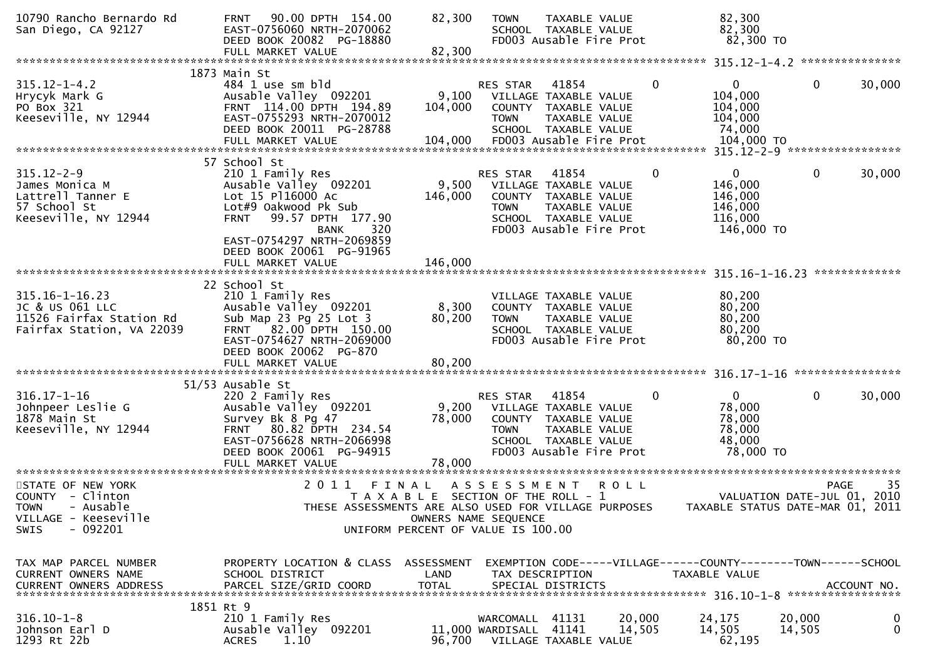| 10790 Rancho Bernardo Rd<br>San Diego, CA 92127                                                                       | 90.00 DPTH 154.00<br><b>FRNT</b><br>EAST-0756060 NRTH-2070062<br>DEED BOOK 20082 PG-18880<br>FULL MARKET VALUE                                                                                            | 82,300<br>82,300                                                                                             | <b>TOWN</b>                                                               | TAXABLE VALUE<br>SCHOOL TAXABLE VALUE<br>FD003 Ausable Fire Prot                                                           |                  | 82,300<br>82,300<br>82,300 TO                                                   |                  |                  |
|-----------------------------------------------------------------------------------------------------------------------|-----------------------------------------------------------------------------------------------------------------------------------------------------------------------------------------------------------|--------------------------------------------------------------------------------------------------------------|---------------------------------------------------------------------------|----------------------------------------------------------------------------------------------------------------------------|------------------|---------------------------------------------------------------------------------|------------------|------------------|
|                                                                                                                       |                                                                                                                                                                                                           |                                                                                                              |                                                                           |                                                                                                                            |                  |                                                                                 |                  |                  |
| $315.12 - 1 - 4.2$<br>Hrycyk Mark G<br>PO Box 321<br>Keeseville, NY 12944                                             | 1873 Main St<br>484 1 use sm bld<br>Ausable Valley 092201<br>FRNT 114.00 DPTH 194.89<br>EAST-0755293 NRTH-2070012<br>DEED BOOK 20011 PG-28788<br>FULL MARKET VALUE                                        | 9,100<br>104,000<br>104,000                                                                                  | RES STAR<br><b>TOWN</b>                                                   | 41854<br>VILLAGE TAXABLE VALUE<br>COUNTY TAXABLE VALUE<br>TAXABLE VALUE<br>SCHOOL TAXABLE VALUE<br>FD003 Ausable Fire Prot | $\mathbf 0$      | $\Omega$<br>104,000<br>104,000<br>104,000<br>74,000<br>104,000 TO               | $\mathbf{0}$     | 30,000           |
|                                                                                                                       | 57 School St                                                                                                                                                                                              |                                                                                                              |                                                                           |                                                                                                                            |                  |                                                                                 |                  |                  |
| $315.12 - 2 - 9$<br>James Monica M<br>Lattrell Tanner E<br>57 School St<br>Keeseville, NY 12944                       | 210 1 Family Res<br>Ausable Valley 092201<br>Lot 15 P116000 Ac<br>Lot#9 Oakwood Pk Sub<br>99.57 DPTH 177.90<br><b>FRNT</b><br>320<br><b>BANK</b><br>EAST-0754297 NRTH-2069859<br>DEED BOOK 20061 PG-91965 | 9,500<br>146,000                                                                                             | RES STAR<br><b>TOWN</b>                                                   | 41854<br>VILLAGE TAXABLE VALUE<br>COUNTY TAXABLE VALUE<br>TAXABLE VALUE<br>SCHOOL TAXABLE VALUE<br>FD003 Ausable Fire Prot | 0                | $\overline{0}$<br>146,000<br>146,000<br>146,000<br>116,000<br>146,000 TO        | 0                | 30,000           |
|                                                                                                                       | FULL MARKET VALUE                                                                                                                                                                                         | 146,000                                                                                                      |                                                                           |                                                                                                                            |                  |                                                                                 |                  |                  |
| $315.16 - 1 - 16.23$<br>JC & US 061 LLC<br>11526 Fairfax Station Rd<br>Fairfax Station, VA 22039                      | 22 School St<br>210 1 Family Res<br>Ausable Valley 092201<br>Sub Map 23 Pg 25 Lot 3<br>82.00 DPTH 150.00<br><b>FRNT</b><br>EAST-0754627 NRTH-2069000<br>DEED BOOK 20062 PG-870<br>FULL MARKET VALUE       | 8,300<br>80,200<br>80,200                                                                                    | <b>TOWN</b>                                                               | VILLAGE TAXABLE VALUE<br>COUNTY TAXABLE VALUE<br>TAXABLE VALUE<br>SCHOOL TAXABLE VALUE<br>FD003 Ausable Fire Prot          |                  | 80,200<br>80,200<br>80,200<br>80,200<br>80,200 TO                               |                  |                  |
|                                                                                                                       |                                                                                                                                                                                                           |                                                                                                              |                                                                           |                                                                                                                            |                  |                                                                                 |                  | **************** |
| $316.17 - 1 - 16$<br>Johnpeer Leslie G<br>1878 Main St<br>Keeseville, NY 12944                                        | 51/53 Ausable St<br>220 2 Family Res<br>Ausable Valley 092201<br>Survey Bk 8 Pg 47<br>FRNT 80.82 DPTH 234.54<br>EAST-0756628 NRTH-2066998<br>DEED BOOK 20061 PG-94915<br>FULL MARKET VALUE                | 9,200<br>78,000<br>78,000                                                                                    | RES STAR<br><b>TOWN</b>                                                   | 41854<br>VILLAGE TAXABLE VALUE<br>COUNTY TAXABLE VALUE<br>TAXABLE VALUE<br>SCHOOL TAXABLE VALUE<br>FD003 Ausable Fire Prot | 0                | $\Omega$<br>78,000<br>78,000<br>78,000<br>48,000<br>78,000 TO                   | 0                | 30,000           |
|                                                                                                                       |                                                                                                                                                                                                           |                                                                                                              |                                                                           |                                                                                                                            |                  |                                                                                 |                  |                  |
| STATE OF NEW YORK<br>COUNTY - Clinton<br><b>TOWN</b><br>- Ausable<br>VILLAGE - Keeseville<br>$-092201$<br><b>SWIS</b> | 2011<br>THESE ASSESSMENTS ARE ALSO USED FOR VILLAGE PURPOSES                                                                                                                                              | FINAL<br>T A X A B L E SECTION OF THE ROLL - 1<br>OWNERS NAME SEQUENCE<br>UNIFORM PERCENT OF VALUE IS 100.00 | ASSESSMENT                                                                |                                                                                                                            | <b>ROLL</b>      | VALUATION DATE-JUL 01, 2010<br>TAXABLE STATUS DATE-MAR 01,                      | PAGE             | 35<br>2011       |
| TAX MAP PARCEL NUMBER<br>CURRENT OWNERS NAME<br><b>CURRENT OWNERS ADDRESS</b>                                         | PROPERTY LOCATION & CLASS ASSESSMENT<br>SCHOOL DISTRICT<br>PARCEL SIZE/GRID COORD<br>1851 Rt 9                                                                                                            | LAND<br><b>TOTAL</b>                                                                                         |                                                                           | TAX DESCRIPTION<br>SPECIAL DISTRICTS                                                                                       |                  | EXEMPTION CODE-----VILLAGE------COUNTY--------TOWN------SCHOOL<br>TAXABLE VALUE |                  | ACCOUNT NO.      |
| $316.10 - 1 - 8$<br>Johnson Earl D<br>1293 Rt 22b                                                                     | 210 1 Family Res<br>Ausable Valley 092201<br><b>ACRES</b><br>1.10                                                                                                                                         |                                                                                                              | WARCOMALL 41131<br>11,000 WARDISALL 41141<br>96,700 VILLAGE TAXABLE VALUE |                                                                                                                            | 20,000<br>14,505 | 24,175<br>14,505<br>62,195                                                      | 20,000<br>14,505 | 0<br>0           |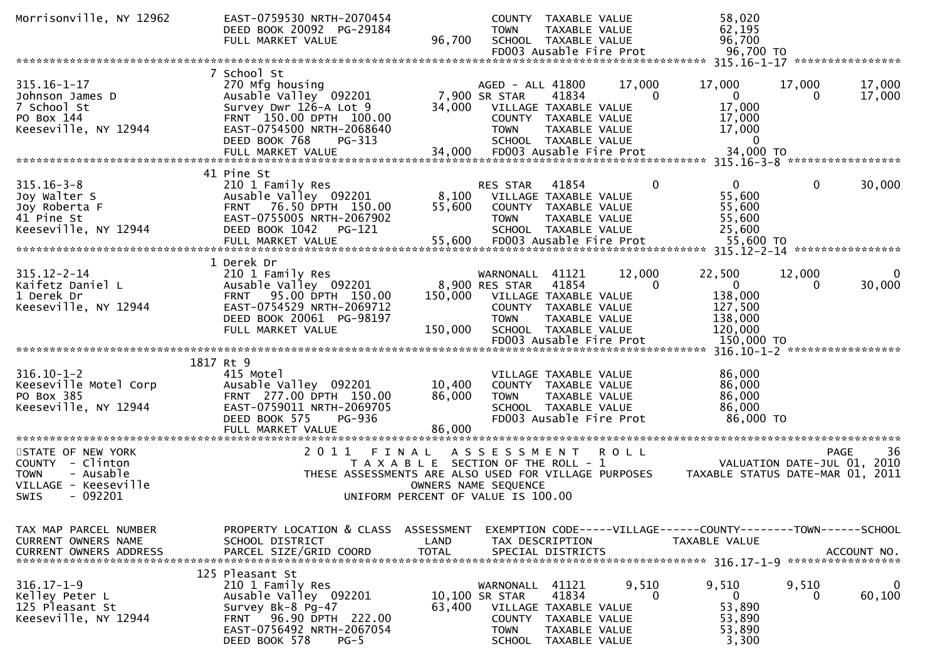| Morrisonville, NY 12962                                                                                       | EAST-0759530 NRTH-2070454<br>DEED BOOK 20092 PG-29184<br>FULL MARKET VALUE                                                                                             | 96,700                             | <b>TOWN</b>                                                           | COUNTY TAXABLE VALUE<br><b>TAXABLE VALUE</b><br>SCHOOL TAXABLE VALUE<br>FD003 Ausable Fire Prot                            |                        | 58,020<br>62,195<br>96,700<br>96,700 TO                                        |                        |                                   |
|---------------------------------------------------------------------------------------------------------------|------------------------------------------------------------------------------------------------------------------------------------------------------------------------|------------------------------------|-----------------------------------------------------------------------|----------------------------------------------------------------------------------------------------------------------------|------------------------|--------------------------------------------------------------------------------|------------------------|-----------------------------------|
|                                                                                                               |                                                                                                                                                                        |                                    |                                                                       |                                                                                                                            |                        |                                                                                |                        |                                   |
| $315.16 - 1 - 17$<br>Johnson James D<br>7 School St<br>PO Box 144<br>Keeseville, NY 12944                     | 7 School St<br>270 Mfg housing<br>Ausable Valley 092201<br>Survey Dwr 126-A Lot 9<br>FRNT 150.00 DPTH 100.00<br>EAST-0754500 NRTH-2068640                              | 34,000                             | AGED - ALL 41800<br>7,900 SR STAR<br><b>TOWN</b>                      | 41834<br>VILLAGE TAXABLE VALUE<br>COUNTY TAXABLE VALUE<br>TAXABLE VALUE                                                    | 17,000<br>$\mathbf{0}$ | 17,000<br>$\mathbf 0$<br>17,000<br>17,000<br>17,000                            | 17,000<br>0            | 17,000<br>17,000                  |
|                                                                                                               | DEED BOOK 768<br>PG-313                                                                                                                                                |                                    |                                                                       | SCHOOL TAXABLE VALUE                                                                                                       |                        | $\Omega$                                                                       |                        |                                   |
|                                                                                                               |                                                                                                                                                                        |                                    |                                                                       |                                                                                                                            |                        |                                                                                |                        |                                   |
|                                                                                                               |                                                                                                                                                                        |                                    |                                                                       |                                                                                                                            |                        |                                                                                |                        |                                   |
| $315.16 - 3 - 8$<br>Joy Walter S<br>Joy Roberta F<br>41 Pine St<br>Keeseville, NY 12944                       | 41 Pine St<br>210 1 Family Res<br>Ausable Valley 092201<br>FRNT 76.50 DPTH 150.00<br>EAST-0755005 NRTH-2067902<br>DEED BOOK 1042<br>PG-121<br>FULL MARKET VALUE        | 8,100<br>55,600<br>55,600          | <b>RES STAR</b><br><b>TOWN</b>                                        | 41854<br>VILLAGE TAXABLE VALUE<br>COUNTY TAXABLE VALUE<br>TAXABLE VALUE<br>SCHOOL TAXABLE VALUE<br>FD003 Ausable Fire Prot | 0                      | $\mathbf{0}$<br>55,600<br>55,600<br>55,600<br>25,600<br>55,600 TO              | 0                      | 30,000                            |
|                                                                                                               |                                                                                                                                                                        |                                    |                                                                       |                                                                                                                            |                        |                                                                                |                        |                                   |
| $315.12 - 2 - 14$<br>Kaifetz Daniel L<br>1 Derek Dr<br>Keeseville, NY 12944                                   | 1 Derek Dr<br>210 1 Family Res<br>Ausable Valley 092201<br>FRNT 95.00 DPTH 150.00<br>EAST-0754529 NRTH-2069712                                                         | 150,000                            | WARNONALL<br>8,900 RES STAR                                           | 41121<br>41854<br>VILLAGE TAXABLE VALUE<br>COUNTY TAXABLE VALUE                                                            | 12,000<br>0            | 22,500<br>$\mathbf{0}$<br>138,000<br>127,500                                   | 12,000<br>0            | 0<br>30,000                       |
|                                                                                                               | DEED BOOK 20061 PG-98197<br>FULL MARKET VALUE                                                                                                                          | 150,000                            | <b>TOWN</b>                                                           | TAXABLE VALUE<br>SCHOOL TAXABLE VALUE<br>FD003 Ausable Fire Prot                                                           |                        | 138,000<br>120,000<br>150,000 TO                                               |                        |                                   |
|                                                                                                               | 1817 Rt 9                                                                                                                                                              |                                    |                                                                       |                                                                                                                            |                        |                                                                                |                        |                                   |
| $316.10 - 1 - 2$<br>Keeseville Motel Corp<br>PO Box 385<br>Keeseville, NY 12944                               | 415 Motel<br>Ausable Valley 092201<br>FRNT 277.00 DPTH 150.00<br>EAST-0759011 NRTH-2069705<br>DEED BOOK 575<br>PG-936<br>FULL MARKET VALUE                             | 10,400<br>86,000<br>86,000         | <b>TOWN</b>                                                           | VILLAGE TAXABLE VALUE<br>COUNTY TAXABLE VALUE<br>TAXABLE VALUE<br>SCHOOL TAXABLE VALUE<br>FD003 Ausable Fire Prot          |                        | 86,000<br>86,000<br>86,000<br>86,000<br>86,000 TO                              |                        |                                   |
| ************************                                                                                      | *********************                                                                                                                                                  | ***************                    |                                                                       |                                                                                                                            |                        |                                                                                |                        |                                   |
| STATE OF NEW YORK<br>COUNTY - Clinton<br>- Ausable<br><b>TOWN</b><br>VILLAGE - Keeseville<br>- 092201<br>SWIS | 2011<br>FINAL<br>T A X A B L E SECTION OF THE ROLL - 1<br>THESE ASSESSMENTS ARE ALSO USED FOR VILLAGE PURPOSES<br>UNIFORM PERCENT OF VALUE IS 100.00                   | OWNERS NAME SEQUENCE               | A S S E S S M E N T                                                   |                                                                                                                            | <b>ROLL</b>            | TAXABLE STATUS DATE-MAR 01, 2011                                               | VALUATION DATE-JUL 01, | 36<br><b>PAGE</b><br>2010         |
| TAX MAP PARCEL NUMBER<br>CURRENT OWNERS NAME<br><b>CURRENT OWNERS ADDRESS</b>                                 | PROPERTY LOCATION & CLASS<br>SCHOOL DISTRICT<br>PARCEL SIZE/GRID COORD                                                                                                 | ASSESSMENT<br>LAND<br><b>TOTAL</b> |                                                                       | TAX DESCRIPTION<br>SPECIAL DISTRICTS                                                                                       |                        | EXEMPTION CODE-----VILLAGE------COUNTY-------TOWN------SCHOOL<br>TAXABLE VALUE |                        | ACCOUNT NO.<br>****************** |
| $316.17 - 1 - 9$<br>Kelley Peter L<br>125 Pleasant St<br>Keeseville, NY 12944                                 | 125 Pleasant St<br>210 1 Family Res<br>Ausable Valley 092201<br>Survey Bk-8 Pg-47<br>96.90 DPTH 222.00<br>FRNT<br>EAST-0756492 NRTH-2067054<br>DEED BOOK 578<br>$PG-5$ | 63,400                             | WARNONALL<br>10,100 SR STAR<br>COUNTY<br><b>TOWN</b><br><b>SCHOOL</b> | 41121<br>41834<br>VILLAGE TAXABLE VALUE<br>TAXABLE VALUE<br>TAXABLE VALUE<br>TAXABLE VALUE                                 | 9,510<br>0             | 9,510<br>$\mathbf{0}$<br>53,890<br>53,890<br>53,890<br>3,300                   | 9,510<br>0             | 0<br>60,100                       |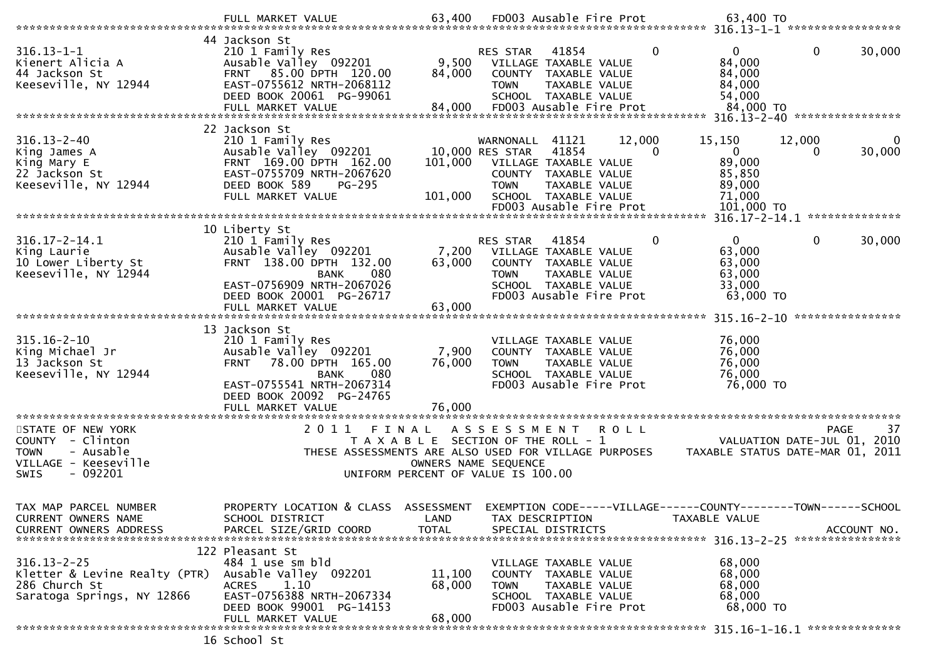| $316.13 - 1 - 1$<br>Kienert Alicia A<br>44 Jackson St<br>Keeseville, NY 12944                                  | 44 Jackson St<br>210 1 Family Res<br>Ausable Valley 092201<br>FRNT 85.00 DPTH 120.00<br>EAST-0755612 NRTH-2068112<br>DEED BOOK 20061 PG-99061<br>FULL MARKET VALUE                                 | 9,500<br>84,000<br>84,000  | RES STAR<br>41854<br>VILLAGE TAXABLE VALUE<br>COUNTY TAXABLE VALUE<br>TAXABLE VALUE<br><b>TOWN</b><br>SCHOOL TAXABLE VALUE<br>FD003 Ausable Fire Prot                              | 0                  | 0<br>84,000<br>84,000<br>84,000<br>54,000<br>84,000 TO<br>316.13-2-40 ***************** | 0                | 30,000      |
|----------------------------------------------------------------------------------------------------------------|----------------------------------------------------------------------------------------------------------------------------------------------------------------------------------------------------|----------------------------|------------------------------------------------------------------------------------------------------------------------------------------------------------------------------------|--------------------|-----------------------------------------------------------------------------------------|------------------|-------------|
| $316.13 - 2 - 40$<br>King James A<br>King Mary E<br>22 Jackson St<br>Keeseville, NY 12944                      | 22 Jackson St<br>210 1 Family Res<br>Ausable Valley 092201<br>FRNT 169.00 DPTH 162.00<br>EAST-0755709 NRTH-2067620<br>DEED BOOK 589<br><b>PG-295</b><br>FULL MARKET VALUE                          | 101,000<br>101,000         | WARNONALL<br>41121<br>10,000 RES STAR<br>41854<br>VILLAGE TAXABLE VALUE<br>COUNTY TAXABLE VALUE<br><b>TOWN</b><br>TAXABLE VALUE<br>SCHOOL TAXABLE VALUE<br>FD003 Ausable Fire Prot | 12,000<br>$\Omega$ | 15,150<br>$\mathbf{0}$<br>89,000<br>85,850<br>89,000<br>71,000<br>101,000 TO            | 12,000<br>0      | 30,000      |
|                                                                                                                |                                                                                                                                                                                                    |                            |                                                                                                                                                                                    |                    |                                                                                         |                  |             |
| $316.17 - 2 - 14.1$<br>King Laurie<br>10 Lower Liberty St<br>Keeseville, NY 12944                              | 10 Liberty St<br>210 1 Family Res<br>Ausable Valley 092201<br>FRNT 138.00 DPTH 132.00<br>080<br><b>BANK</b><br>EAST-0756909 NRTH-2067026<br>DEED BOOK 20001 PG-26717                               | 7,200<br>63,000            | 41854<br><b>RES STAR</b><br>VILLAGE TAXABLE VALUE<br>COUNTY TAXABLE VALUE<br><b>TOWN</b><br>TAXABLE VALUE<br>SCHOOL TAXABLE VALUE<br>FD003 Ausable Fire Prot                       | 0                  | $\mathbf{0}$<br>63,000<br>63,000<br>63,000<br>33,000<br>63,000 TO                       | 0                | 30,000      |
|                                                                                                                | FULL MARKET VALUE                                                                                                                                                                                  | 63,000                     |                                                                                                                                                                                    |                    |                                                                                         | **************** |             |
| $315.16 - 2 - 10$<br>King Michael Jr<br>13 Jackson St<br>Keeseville, NY 12944                                  | 13 Jackson St<br>210 1 Family Res<br>Ausable Valley 092201<br>78.00 DPTH 165.00<br><b>FRNT</b><br>080<br><b>BANK</b><br>EAST-0755541 NRTH-2067314<br>DEED BOOK 20092 PG-24765<br>FULL MARKET VALUE | 7,900<br>76,000<br>76,000  | VILLAGE TAXABLE VALUE<br>COUNTY TAXABLE VALUE<br>TAXABLE VALUE<br><b>TOWN</b><br>SCHOOL TAXABLE VALUE<br>FD003 Ausable Fire Prot                                                   |                    | 76,000<br>76,000<br>76,000<br>76,000<br>76,000 TO                                       |                  |             |
| STATE OF NEW YORK<br>COUNTY - Clinton<br><b>TOWN</b><br>- Ausable<br>VILLAGE - Keeseville<br>$-092201$<br>SWIS | 2011<br>FINAL                                                                                                                                                                                      |                            | A S S E S S M E N T<br>T A X A B L E SECTION OF THE ROLL - 1<br>THESE ASSESSMENTS ARE ALSO USED FOR VILLAGE PURPOSES<br>OWNERS NAME SEQUENCE<br>UNIFORM PERCENT OF VALUE IS 100.00 | R O L L            | VALUATION DATE-JUL 01, 2010<br>TAXABLE STATUS DATE-MAR 01, 2011                         | <b>PAGE</b>      | 37          |
| TAX MAP PARCEL NUMBER<br>CURRENT OWNERS NAME<br><b>CURRENT OWNERS ADDRESS</b>                                  | PROPERTY LOCATION & CLASS ASSESSMENT<br>SCHOOL DISTRICT<br>PARCEL SIZE/GRID COORD                                                                                                                  | LAND<br><b>TOTAL</b>       | EXEMPTION CODE-----VILLAGE------COUNTY--------TOWN------SCHOOL<br>TAX DESCRIPTION<br>SPECIAL DISTRICTS                                                                             |                    | TAXABLE VALUE                                                                           |                  | ACCOUNT NO. |
| $316.13 - 2 - 25$<br>Kletter & Levine Realty (PTR)<br>286 Church St<br>Saratoga Springs, NY 12866              | 122 Pleasant St<br>484 1 use sm bld<br>Ausable Valley 092201<br>1.10<br><b>ACRES</b><br>EAST-0756388 NRTH-2067334<br>DEED BOOK 99001 PG-14153<br>FULL MARKET VALUE                                 | 11,100<br>68,000<br>68,000 | VILLAGE TAXABLE VALUE<br>COUNTY TAXABLE VALUE<br>TAXABLE VALUE<br>TOWN<br>SCHOOL TAXABLE VALUE<br>FD003 Ausable Fire Prot                                                          |                    | 68,000<br>68,000<br>68,000<br>68,000<br>68,000 TO                                       |                  |             |
|                                                                                                                | $16$ Crhool C+                                                                                                                                                                                     |                            |                                                                                                                                                                                    |                    |                                                                                         |                  |             |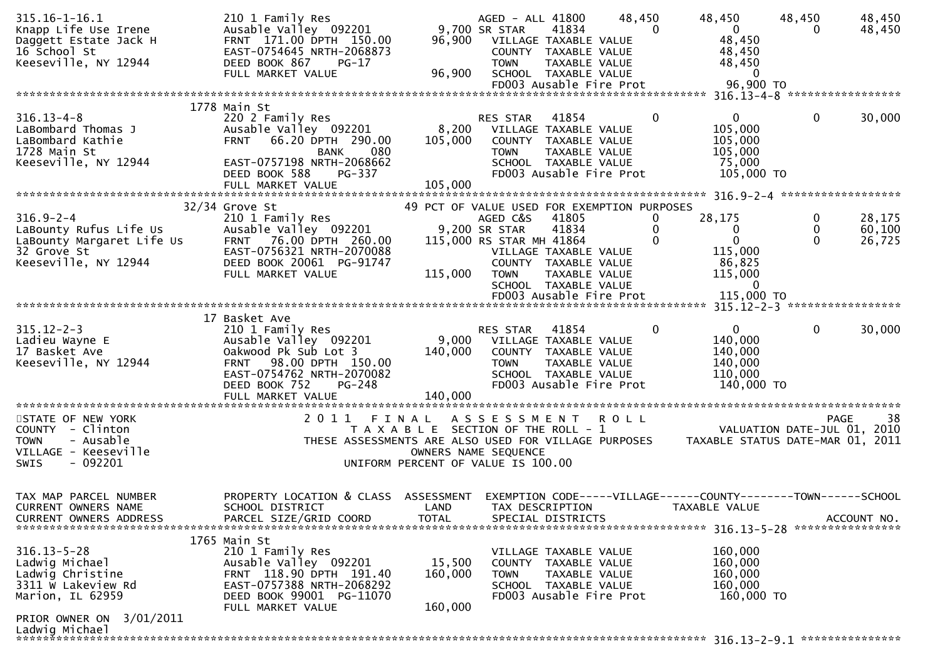| $315.16 - 1 - 16.1$<br>Knapp Life Use Irene<br>Daggett Estate Jack H<br>16 School St<br>Keeseville, NY 12944 | 210 1 Family Res<br>Ausable Valley 092201<br>FRNT 171.00 DPTH 150.00<br>EAST-0754645 NRTH-2068873<br>DEED BOOK 867<br>PG-17 | 96,900                                      | AGED - ALL 41800<br>9,700 SR STAR<br>VILLAGE TAXABLE VALUE<br>COUNTY TAXABLE VALUE<br><b>TOWN</b> | 41834<br>TAXABLE VALUE | 48,450 | $\Omega$     | 48,450<br>$\overline{0}$<br>48,450<br>48,450<br>48,450                          | 48,450<br>0  | 48,450<br>48,450  |
|--------------------------------------------------------------------------------------------------------------|-----------------------------------------------------------------------------------------------------------------------------|---------------------------------------------|---------------------------------------------------------------------------------------------------|------------------------|--------|--------------|---------------------------------------------------------------------------------|--------------|-------------------|
|                                                                                                              | FULL MARKET VALUE                                                                                                           | 96,900                                      | SCHOOL TAXABLE VALUE<br>FD003 Ausable Fire Prot                                                   |                        |        |              | $\overline{0}$<br>96,900 TO                                                     |              |                   |
|                                                                                                              |                                                                                                                             |                                             |                                                                                                   |                        |        |              |                                                                                 |              |                   |
|                                                                                                              | 1778 Main St                                                                                                                |                                             |                                                                                                   |                        |        |              |                                                                                 |              |                   |
| $316.13 - 4 - 8$<br>LaBombard Thomas J                                                                       | 220 2 Family Res<br>Ausable Valley 092201                                                                                   | 8,200                                       | <b>RES STAR</b><br>VILLAGE TAXABLE VALUE                                                          | 41854                  |        | $\mathbf{0}$ | $\mathbf{0}$<br>105,000                                                         | 0            | 30,000            |
| LaBombard Kathie                                                                                             | 66.20 DPTH 290.00<br><b>FRNT</b>                                                                                            | 105,000                                     | COUNTY TAXABLE VALUE                                                                              |                        |        |              | 105,000                                                                         |              |                   |
| 1728 Main St                                                                                                 | 080<br><b>BANK</b>                                                                                                          |                                             | <b>TOWN</b>                                                                                       | TAXABLE VALUE          |        |              | 105,000                                                                         |              |                   |
| Keeseville, NY 12944                                                                                         | EAST-0757198 NRTH-2068662<br>DEED BOOK 588<br>PG-337                                                                        |                                             | SCHOOL TAXABLE VALUE<br>FD003 Ausable Fire Prot                                                   |                        |        |              | 75,000<br>105,000 TO                                                            |              |                   |
|                                                                                                              | FULL MARKET VALUE                                                                                                           | 105,000                                     |                                                                                                   |                        |        |              |                                                                                 |              |                   |
|                                                                                                              |                                                                                                                             |                                             |                                                                                                   |                        |        |              |                                                                                 |              |                   |
| $316.9 - 2 - 4$                                                                                              | $32/34$ Grove St<br>210 1 Family Res                                                                                        | 49 PCT OF VALUE USED FOR EXEMPTION PURPOSES | AGED C&S                                                                                          | 41805                  |        | 0            | 28,175                                                                          | 0            | 28,175            |
| LaBounty Rufus Life Us                                                                                       | Ausable Valley 092201                                                                                                       |                                             | 9,200 SR STAR                                                                                     | 41834                  |        | 0            | 0                                                                               | $\mathbf{0}$ | 60,100            |
| LaBounty Margaret Life Us                                                                                    | 76.00 DPTH 260.00<br><b>FRNT</b>                                                                                            |                                             | 115,000 RS STAR MH 41864                                                                          |                        |        | $\Omega$     | $\Omega$                                                                        | $\Omega$     | 26,725            |
| 32 Grove St                                                                                                  | EAST-0756321 NRTH-2070088                                                                                                   |                                             | VILLAGE TAXABLE VALUE                                                                             |                        |        |              | 115,000                                                                         |              |                   |
| Keeseville, NY 12944                                                                                         | DEED BOOK 20061 PG-91747<br>FULL MARKET VALUE                                                                               | 115,000                                     | COUNTY TAXABLE VALUE<br><b>TOWN</b>                                                               | TAXABLE VALUE          |        |              | 86,825<br>115,000                                                               |              |                   |
|                                                                                                              |                                                                                                                             |                                             | SCHOOL TAXABLE VALUE                                                                              |                        |        |              | $\mathbf{0}$                                                                    |              |                   |
|                                                                                                              |                                                                                                                             |                                             | FD003 Ausable Fire Prot                                                                           |                        |        |              | 115,000 TO                                                                      |              |                   |
|                                                                                                              | 17 Basket Ave                                                                                                               |                                             |                                                                                                   |                        |        |              |                                                                                 |              |                   |
| $315.12 - 2 - 3$                                                                                             | 210 1 Family Res                                                                                                            |                                             | RES STAR                                                                                          | 41854                  |        | $\mathbf{0}$ | $\mathbf{0}$                                                                    | $\mathbf{0}$ | 30,000            |
| Ladieu Wayne E                                                                                               | Ausable Valley 092201                                                                                                       |                                             | 9,000 VILLAGE TAXABLE VALUE                                                                       |                        |        |              | 140,000                                                                         |              |                   |
| 17 Basket Ave<br>Keeseville, NY 12944                                                                        | Oakwood Pk Sub Lot 3<br>98.00 DPTH 150.00<br><b>FRNT</b>                                                                    | 140,000                                     | COUNTY TAXABLE VALUE<br><b>TOWN</b>                                                               | TAXABLE VALUE          |        |              | 140,000<br>140,000                                                              |              |                   |
|                                                                                                              | EAST-0754762 NRTH-2070082                                                                                                   |                                             | SCHOOL TAXABLE VALUE                                                                              |                        |        |              | 110,000                                                                         |              |                   |
|                                                                                                              | PG-248<br>DEED BOOK 752                                                                                                     |                                             | FD003 Ausable Fire Prot                                                                           |                        |        |              | 140,000 TO                                                                      |              |                   |
|                                                                                                              | FULL MARKET VALUE                                                                                                           | 140,000                                     |                                                                                                   |                        |        |              |                                                                                 |              |                   |
| STATE OF NEW YORK                                                                                            | 2011 FINAL                                                                                                                  |                                             | ASSESSMENT ROLL                                                                                   |                        |        |              |                                                                                 |              | 38<br><b>PAGE</b> |
| COUNTY - Clinton                                                                                             |                                                                                                                             | T A X A B L E SECTION OF THE ROLL - 1       |                                                                                                   |                        |        |              | VALUATION DATE-JUL 01, 2010                                                     |              |                   |
| - Ausable<br><b>TOWN</b>                                                                                     | THESE ASSESSMENTS ARE ALSO USED FOR VILLAGE PURPOSES                                                                        |                                             |                                                                                                   |                        |        |              | TAXABLE STATUS DATE-MAR 01, 2011                                                |              |                   |
| VILLAGE - Keeseville<br>SWIS<br>- 092201                                                                     |                                                                                                                             | UNIFORM PERCENT OF VALUE IS 100.00          | OWNERS NAME SEQUENCE                                                                              |                        |        |              |                                                                                 |              |                   |
|                                                                                                              |                                                                                                                             |                                             |                                                                                                   |                        |        |              |                                                                                 |              |                   |
|                                                                                                              |                                                                                                                             |                                             |                                                                                                   |                        |        |              |                                                                                 |              |                   |
| TAX MAP PARCEL NUMBER<br>CURRENT OWNERS NAME                                                                 | PROPERTY LOCATION & CLASS<br>SCHOOL DISTRICT                                                                                | ASSESSMENT<br>LAND                          | TAX DESCRIPTION                                                                                   |                        |        |              | EXEMPTION CODE-----VILLAGE------COUNTY--------TOWN------SCHOOL<br>TAXABLE VALUE |              |                   |
| <b>CURRENT OWNERS ADDRESS</b>                                                                                | PARCEL SIZE/GRID COORD                                                                                                      | <b>TOTAL</b>                                | SPECIAL DISTRICTS                                                                                 |                        |        |              |                                                                                 |              | ACCOUNT NO.       |
|                                                                                                              |                                                                                                                             |                                             |                                                                                                   |                        |        |              |                                                                                 |              |                   |
| $316.13 - 5 - 28$                                                                                            | 1765 Main St<br>210 1 Family Res                                                                                            |                                             |                                                                                                   |                        |        |              | 160,000                                                                         |              |                   |
| Ladwig Michael                                                                                               | Ausable Valley 092201                                                                                                       | 15,500                                      | VILLAGE TAXABLE VALUE<br>COUNTY TAXABLE VALUE                                                     |                        |        |              | 160,000                                                                         |              |                   |
| Ladwig Christine                                                                                             | FRNT 118.90 DPTH 191.40                                                                                                     | 160,000                                     | <b>TOWN</b>                                                                                       | TAXABLE VALUE          |        |              | 160,000                                                                         |              |                   |
| 3311 W Lakeview Rd                                                                                           | EAST-0757388 NRTH-2068292                                                                                                   |                                             | SCHOOL TAXABLE VALUE                                                                              |                        |        |              | 160,000                                                                         |              |                   |
| Marion, IL 62959                                                                                             | DEED BOOK 99001 PG-11070<br>FULL MARKET VALUE                                                                               | 160,000                                     | FD003 Ausable Fire Prot                                                                           |                        |        |              | 160,000 TO                                                                      |              |                   |
| PRIOR OWNER ON 3/01/2011                                                                                     |                                                                                                                             |                                             |                                                                                                   |                        |        |              |                                                                                 |              |                   |
| Ladwig Michael<br>************************                                                                   |                                                                                                                             |                                             |                                                                                                   |                        |        |              |                                                                                 |              |                   |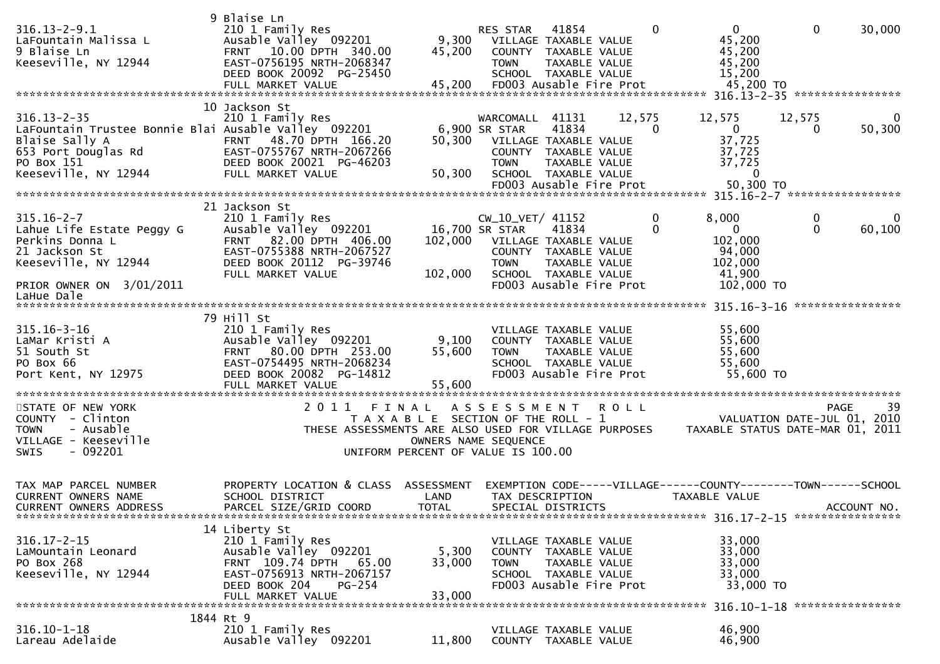| $316.13 - 2 - 9.1$<br>LaFountain Malissa L<br>9 Blaise Ln<br>Keeseville, NY 12944                                                                        | 9 Blaise Ln<br>210 1 Family Res<br>Ausable Valley 092201<br>FRNT 10.00 DPTH 340.00<br>EAST-0756195 NRTH-2068347<br>DEED BOOK 20092 PG-25450<br>FULL MARKET VALUE   | 45,200<br>45,200                                                                     | RES STAR<br>9,300 VILLAGE TAXABLE VALUE<br><b>TOWN</b>                    | 41854<br>COUNTY TAXABLE VALUE<br>TAXABLE VALUE<br>SCHOOL TAXABLE VALUE<br>FD003 Ausable Fire Prot                          |             | $\Omega$<br>$\mathbf 0$<br>45,200<br>45,200<br>45,200<br>15,200<br>45,200 TO                   | $\mathbf 0$       | 30,000                                     |
|----------------------------------------------------------------------------------------------------------------------------------------------------------|--------------------------------------------------------------------------------------------------------------------------------------------------------------------|--------------------------------------------------------------------------------------|---------------------------------------------------------------------------|----------------------------------------------------------------------------------------------------------------------------|-------------|------------------------------------------------------------------------------------------------|-------------------|--------------------------------------------|
| $316.13 - 2 - 35$<br>LaFountain Trustee Bonnie Blai Ausable Valley 092201<br>Blaise Sally A<br>653 Port Douglas Rd<br>PO Box 151<br>Keeseville, NY 12944 | 10 Jackson St<br>210 1 Family Res<br>FRNT 48.70 DPTH 166.20<br>EAST-0755767 NRTH-2067266<br>DEED BOOK 20021 PG-46203<br>FULL MARKET VALUE                          | 50,300                                                                               | WARCOMALL<br>6,900 SR STAR<br>50,300 VILLAGE TAXABLE VALUE<br><b>TOWN</b> | 41131<br>41834<br>COUNTY TAXABLE VALUE<br>TAXABLE VALUE<br>SCHOOL TAXABLE VALUE<br>FD003 Ausable Fire Prot                 | 12,575      | 12,575<br>$\mathbf{0}$<br>$\Omega$<br>37,725<br>37,725<br>37,725<br>$\mathbf{0}$<br>50,300 TO  | 12,575<br>0       | 0<br>50,300                                |
| $315.16 - 2 - 7$<br>Lahue Life Estate Peggy G<br>Perkins Donna L<br>21 Jackson St<br>Keeseville, NY 12944<br>PRIOR OWNER ON 3/01/2011<br>LaHue Dale      | 21 Jackson St<br>210 1 Family Res<br>Ausable Valley 092201<br>FRNT 82.00 DPTH 406.00<br>EAST-0755388 NRTH-2067527<br>DEED BOOK 20112 PG-39746<br>FULL MARKET VALUE | 102,000<br>102,000                                                                   | CW_10_VET/ 41152<br>16,700 SR STAR<br><b>TOWN</b>                         | 41834<br>VILLAGE TAXABLE VALUE<br>COUNTY TAXABLE VALUE<br>TAXABLE VALUE<br>SCHOOL TAXABLE VALUE<br>FD003 Ausable Fire Prot |             | 0<br>8,000<br>$\mathbf{0}$<br>$\Omega$<br>102,000<br>94,000<br>102,000<br>41,900<br>102,000 TO | 0<br>$\mathbf{0}$ | $\Omega$<br>60,100                         |
| $315.16 - 3 - 16$<br>LaMar Kristi A<br>51 South St<br>PO Box 66<br>Port Kent, NY 12975                                                                   | 79 Hill St<br>210 1 Family Res<br>Ausable Valley 092201<br>FRNT 80.00 DPTH 253.00<br>EAST-0754495 NRTH-2068234<br>DEED BOOK 20082 PG-14812<br>FULL MARKET VALUE    | 9,100<br>55,600<br>55,600                                                            | <b>TOWN</b>                                                               | VILLAGE TAXABLE VALUE<br>COUNTY TAXABLE VALUE<br>TAXABLE VALUE<br>SCHOOL TAXABLE VALUE<br>FD003 Ausable Fire Prot          |             | 55,600<br>55,600<br>55,600<br>55,600<br>55,600 TO                                              |                   | ****************                           |
| STATE OF NEW YORK<br>COUNTY - Clinton<br>- Ausable<br><b>TOWN</b><br>VILLAGE - Keeseville<br>$-092201$<br><b>SWIS</b>                                    | 2011<br>THESE ASSESSMENTS ARE ALSO USED FOR VILLAGE PURPOSES                                                                                                       | FINAL<br>T A X A B L E SECTION OF THE ROLL - 1<br>UNIFORM PERCENT OF VALUE IS 100.00 | A S S E S S M E N T<br>OWNERS NAME SEQUENCE                               |                                                                                                                            | <b>ROLL</b> | TAXABLE STATUS DATE-MAR 01, 2011                                                               |                   | -39<br>PAGE<br>VALUATION DATE-JUL 01, 2010 |
| TAX MAP PARCEL NUMBER<br><b>CURRENT OWNERS NAME</b><br>CURRENT OWNERS ADDRESS                                                                            | PROPERTY LOCATION & CLASS ASSESSMENT<br>SCHOOL DISTRICT<br>PARCEL SIZE/GRID COORD                                                                                  | LAND<br><b>TOTAL</b>                                                                 |                                                                           | TAX DESCRIPTION<br>SPECIAL DISTRICTS                                                                                       |             | EXEMPTION CODE-----VILLAGE------COUNTY--------TOWN------SCHOOL<br>TAXABLE VALUE                |                   | ACCOUNT NO.                                |
| $316.17 - 2 - 15$<br>LaMountain Leonard<br>PO Box 268<br>Keeseville, NY 12944                                                                            | 14 Liberty St<br>210 1 Family Res<br>Ausable Valley 092201<br>FRNT 109.74 DPTH 65.00<br>EAST-0756913 NRTH-2067157<br>DEED BOOK 204<br>PG-254<br>FULL MARKET VALUE  | 5,300<br>33,000<br>33,000                                                            | <b>TOWN</b>                                                               | VILLAGE TAXABLE VALUE<br>COUNTY TAXABLE VALUE<br>TAXABLE VALUE<br>SCHOOL TAXABLE VALUE<br>FD003 Ausable Fire Prot          |             | 33,000<br>33,000<br>33,000<br>33,000<br>33,000 TO                                              |                   |                                            |
| $316.10 - 1 - 18$<br>Lareau Adelaide                                                                                                                     | 1844 Rt 9<br>210 1 Family Res<br>Ausable Valley 092201                                                                                                             | 11,800                                                                               |                                                                           | VILLAGE TAXABLE VALUE<br>COUNTY TAXABLE VALUE                                                                              |             | 46,900<br>46,900                                                                               |                   |                                            |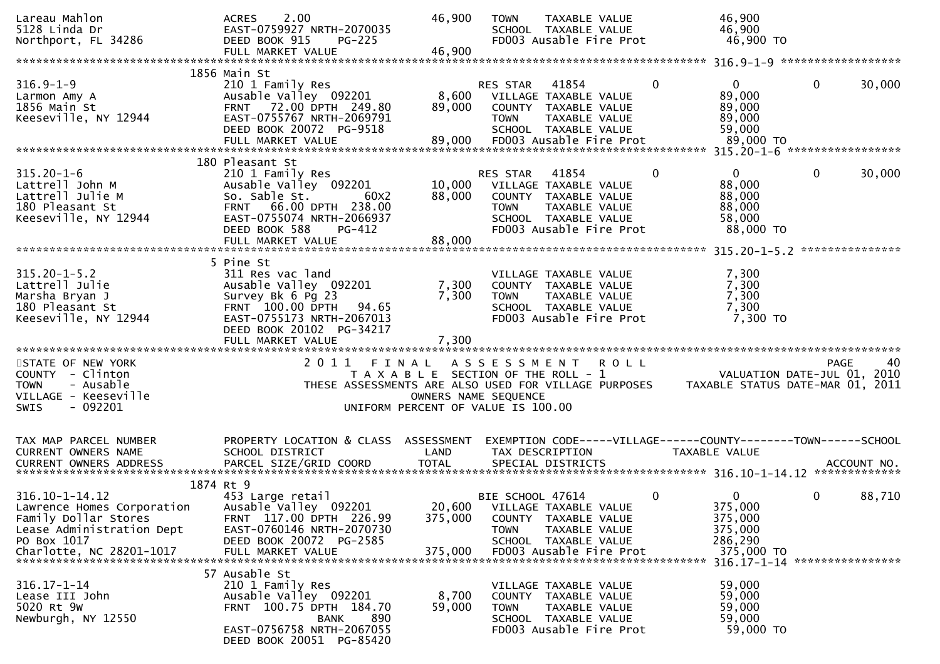| Lareau Mahlon<br>5128 Linda Dr<br>Northport, FL 34286                                                                                              | 2.00<br><b>ACRES</b><br>EAST-0759927 NRTH-2070035<br>DEED BOOK 915<br>$PG-225$                                                                                                         | 46,900                                                                                              | <b>TOWN</b>                                                     | TAXABLE VALUE<br>SCHOOL TAXABLE VALUE<br>FD003 Ausable Fire Prot                                                           |              | 46,900<br>46,900<br>46,900 TO                                                                           |                 |             |
|----------------------------------------------------------------------------------------------------------------------------------------------------|----------------------------------------------------------------------------------------------------------------------------------------------------------------------------------------|-----------------------------------------------------------------------------------------------------|-----------------------------------------------------------------|----------------------------------------------------------------------------------------------------------------------------|--------------|---------------------------------------------------------------------------------------------------------|-----------------|-------------|
|                                                                                                                                                    |                                                                                                                                                                                        |                                                                                                     |                                                                 |                                                                                                                            |              |                                                                                                         |                 |             |
| $316.9 - 1 - 9$<br>Larmon Amy A<br>1856 Main St<br>Keeseville, NY 12944                                                                            | 1856 Main St<br>210 1 Family Res<br>Ausable Valley 092201<br>FRNT 72.00 DPTH 249.80<br>EAST-0755767 NRTH-2069791<br>DEED BOOK 20072 PG-9518<br>FULL MARKET VALUE                       | 8,600<br>89,000<br>89,000                                                                           | <b>RES STAR</b><br><b>TOWN</b>                                  | 41854<br>VILLAGE TAXABLE VALUE<br>COUNTY TAXABLE VALUE<br>TAXABLE VALUE<br>SCHOOL TAXABLE VALUE<br>FD003 Ausable Fire Prot | $\mathbf{0}$ | $\mathbf{0}$<br>89,000<br>89,000<br>89,000<br>59,000<br>89,000 TO                                       | $\mathbf 0$     | 30,000      |
|                                                                                                                                                    | 180 Pleasant St                                                                                                                                                                        |                                                                                                     |                                                                 |                                                                                                                            |              |                                                                                                         |                 |             |
| $315.20 - 1 - 6$<br>Lattrell John M<br>Lattrell Julie M<br>180 Pleasant St<br>Keeseville, NY 12944                                                 | 210 1 Family Res<br>Ausable Valley 092201<br>So. Sable St.<br>60 <sub>X</sub> 2<br>FRNT 66.00 DPTH 238.00<br>EAST-0755074 NRTH-2066937<br>DEED BOOK 588<br>PG-412<br>FULL MARKET VALUE | 10,000<br>88,000<br>88,000                                                                          | RES STAR<br><b>TOWN</b>                                         | 41854<br>VILLAGE TAXABLE VALUE<br>COUNTY TAXABLE VALUE<br>TAXABLE VALUE<br>SCHOOL TAXABLE VALUE<br>FD003 Ausable Fire Prot | 0            | 0<br>88,000<br>88,000<br>88,000<br>58,000<br>88,000 TO                                                  | 0               | 30,000      |
|                                                                                                                                                    |                                                                                                                                                                                        |                                                                                                     |                                                                 |                                                                                                                            |              |                                                                                                         | *************** |             |
| $315.20 - 1 - 5.2$<br>Lattrell Julie<br>Marsha Bryan J<br>180 Pleasant St<br>Keeseville, NY 12944                                                  | 5 Pine St<br>311 Res vac land<br>Ausable Valley 092201<br>Survey Bk 6 Pg 23<br>FRNT 100.00 DPTH<br>94.65<br>EAST-0755173 NRTH-2067013<br>DEED BOOK 20102 PG-34217<br>FULL MARKET VALUE | 7,300<br>7,300<br>7,300                                                                             | <b>TOWN</b>                                                     | VILLAGE TAXABLE VALUE<br>COUNTY TAXABLE VALUE<br>TAXABLE VALUE<br>SCHOOL TAXABLE VALUE<br>FD003 Ausable Fire Prot          |              | 7,300<br>7,300<br>7,300<br>7,300<br>7,300 TO                                                            |                 |             |
|                                                                                                                                                    |                                                                                                                                                                                        |                                                                                                     |                                                                 |                                                                                                                            |              |                                                                                                         |                 |             |
| STATE OF NEW YORK<br>COUNTY - Clinton<br>- Ausable<br><b>TOWN</b><br>VILLAGE - Keeseville<br>SWIS<br>- 092201                                      | 2011 FINAL<br>THESE ASSESSMENTS ARE ALSO USED FOR VILLAGE PURPOSES                                                                                                                     | T A X A B L E SECTION OF THE ROLL - 1<br>OWNERS NAME SEQUENCE<br>UNIFORM PERCENT OF VALUE IS 100.00 | A S S E S S M E N T                                             |                                                                                                                            | R O L L      | VALUATION DATE-JUL 01, 2010<br>TAXABLE STATUS DATE-MAR 01, 2011                                         | PAGE            | 40          |
| TAX MAP PARCEL NUMBER                                                                                                                              | PROPERTY LOCATION & CLASS ASSESSMENT                                                                                                                                                   |                                                                                                     |                                                                 |                                                                                                                            |              | EXEMPTION CODE-----VILLAGE------COUNTY--------TOWN------SCHOOL                                          |                 |             |
| CURRENT OWNERS NAME                                                                                                                                | SCHOOL DISTRICT                                                                                                                                                                        | LAND                                                                                                | TAX DESCRIPTION                                                 |                                                                                                                            |              | <b>TAXABLE VALUE</b>                                                                                    |                 |             |
| <b>CURRENT OWNERS ADDRESS</b>                                                                                                                      | PARCEL SIZE/GRID COORD                                                                                                                                                                 | <b>TOTAL</b>                                                                                        |                                                                 | SPECIAL DISTRICTS                                                                                                          |              |                                                                                                         |                 | ACCOUNT NO. |
|                                                                                                                                                    | 1874 Rt 9                                                                                                                                                                              |                                                                                                     |                                                                 |                                                                                                                            |              |                                                                                                         |                 |             |
| $316.10 - 1 - 14.12$<br>Lawrence Homes Corporation<br>Family Dollar Stores<br>Lease Administration Dept<br>PO Box 1017<br>Charlotte, NC 28201-1017 | 453 Large retail<br>Ausable Valley 092201<br>FRNT 117.00 DPTH 226.99<br>EAST-0760146 NRTH-2070730<br>DEED BOOK 20072 PG-2585<br>FULL MARKET VALUE                                      | 375,000<br>375,000                                                                                  | BIE SCHOOL 47614<br>20,600 VILLAGE TAXABLE VALUE<br><b>TOWN</b> | COUNTY TAXABLE VALUE<br>TAXABLE VALUE<br>SCHOOL TAXABLE VALUE<br>FD003 Ausable Fire Prot                                   | $\mathbf 0$  | $\mathbf{0}$<br>375,000<br>375,000<br>375,000<br>286,290<br>375,000 TO<br>316.17-1-14 ***************** | $\Omega$        | 88,710      |
| $316.17 - 1 - 14$<br>Lease III John<br>5020 Rt 9w<br>Newburgh, NY 12550                                                                            | 57 Ausable St<br>210 1 Family Res<br>Ausable Valley 092201<br>FRNT 100.75 DPTH 184.70<br><b>BANK</b><br>890<br>EAST-0756758 NRTH-2067055<br>DEED BOOK 20051 PG-85420                   | 8,700<br>59,000                                                                                     | <b>TOWN</b>                                                     | VILLAGE TAXABLE VALUE<br>COUNTY TAXABLE VALUE<br>TAXABLE VALUE<br>SCHOOL TAXABLE VALUE<br>FD003 Ausable Fire Prot          |              | 59,000<br>59,000<br>59,000<br>59,000<br>59,000 TO                                                       |                 |             |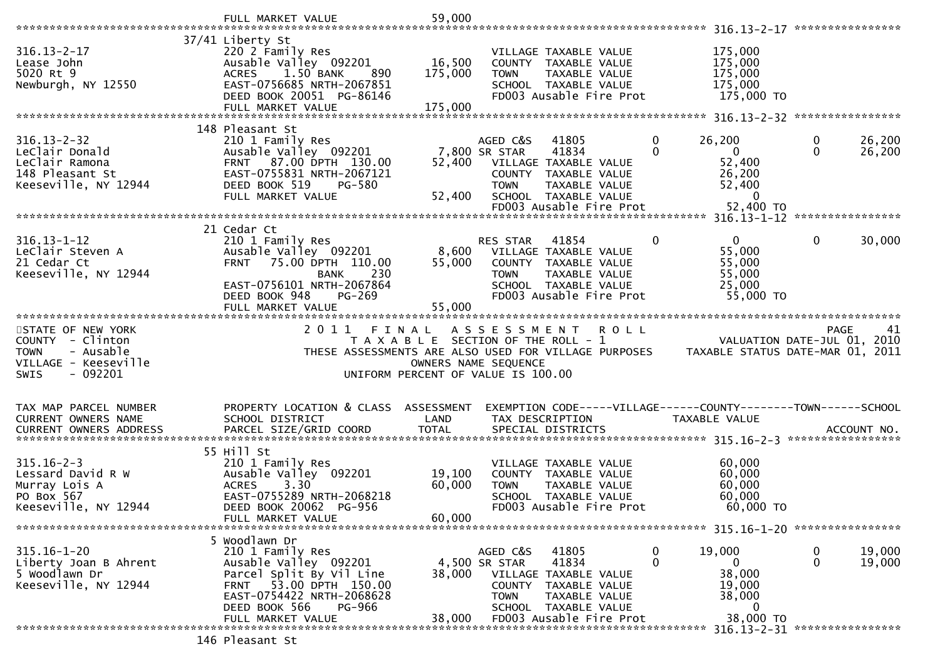| ****************<br>37/41 Liberty St<br>175,000<br>$316.13 - 2 - 17$<br>220 2 Family Res<br>VILLAGE TAXABLE VALUE<br>Ausable Valley 092201<br>16,500<br>175,000<br>Lease John<br>COUNTY TAXABLE VALUE<br>5020 Rt 9<br>175,000<br>1.50 BANK<br>175,000<br><b>TOWN</b><br>TAXABLE VALUE<br><b>ACRES</b><br>890<br>EAST-0756685 NRTH-2067851<br>175,000<br>Newburgh, NY 12550<br>SCHOOL TAXABLE VALUE<br>FD003 Ausable Fire Prot<br>DEED BOOK 20051 PG-86146<br>175,000 TO<br>175,000<br>FULL MARKET VALUE<br>148 Pleasant St<br>$316.13 - 2 - 32$<br>26,200<br>26,200<br>210 1 Family Res<br>AGED C&S<br>41805<br>0<br>0<br>41834<br>$\overline{0}$<br>$\mathbf{0}$<br>Leclair Donald<br>Ausable Valley 092201<br>0<br>26,200<br>7,800 SR STAR<br>FRNT 87.00 DPTH 130.00<br>52,400<br>LeClair Ramona<br>52,400<br>VILLAGE TAXABLE VALUE<br>148 Pleasant St<br>EAST-0755831 NRTH-2067121<br>26,200<br>COUNTY TAXABLE VALUE<br>Keeseville, NY 12944<br>52,400<br>DEED BOOK 519<br>PG-580<br><b>TOWN</b><br>TAXABLE VALUE<br>FULL MARKET VALUE<br>52,400<br>SCHOOL TAXABLE VALUE<br>$\Omega$<br>52,400 TO<br>FD003 Ausable Fire Prot<br>21 Cedar Ct<br>$316.13 - 1 - 12$<br>$\mathbf{0}$<br>0<br>30,000<br>210 1 Family Res<br>RES STAR<br>41854<br>0<br>8,600<br>LeClair Steven A<br>Ausable Valley 092201<br>55,000<br>VILLAGE TAXABLE VALUE<br>21 Cedar Ct<br>FRNT 75.00 DPTH 110.00<br>55,000<br>COUNTY TAXABLE VALUE<br>55,000<br>Keeseville, NY 12944<br>230<br>55,000<br>TAXABLE VALUE<br><b>BANK</b><br><b>TOWN</b><br>EAST-0756101 NRTH-2067864<br>SCHOOL TAXABLE VALUE<br>25,000<br>FD003 Ausable Fire Prot<br>55,000 TO<br>PG-269<br>DEED BOOK 948<br>55,000<br>FULL MARKET VALUE<br>STATE OF NEW YORK<br>2011<br>FINAL<br>ASSESSMENT ROLL<br>PAGE<br>41<br>$\frac{1}{2}$ = $\frac{1}{2}$ VALUATION DATE-JUL 01, 2010<br>COUNTY - Clinton<br>T A X A B L E SECTION OF THE ROLL - 1<br>- Ausable<br>THESE ASSESSMENTS ARE ALSO USED FOR VILLAGE PURPOSES TAXABLE STATUS DATE-MAR 01, 2011<br><b>TOWN</b><br>VILLAGE - Keeseville<br>OWNERS NAME SEQUENCE |
|---------------------------------------------------------------------------------------------------------------------------------------------------------------------------------------------------------------------------------------------------------------------------------------------------------------------------------------------------------------------------------------------------------------------------------------------------------------------------------------------------------------------------------------------------------------------------------------------------------------------------------------------------------------------------------------------------------------------------------------------------------------------------------------------------------------------------------------------------------------------------------------------------------------------------------------------------------------------------------------------------------------------------------------------------------------------------------------------------------------------------------------------------------------------------------------------------------------------------------------------------------------------------------------------------------------------------------------------------------------------------------------------------------------------------------------------------------------------------------------------------------------------------------------------------------------------------------------------------------------------------------------------------------------------------------------------------------------------------------------------------------------------------------------------------------------------------------------------------------------------------------------------------------------------------------------------------------------------------------------------------------------------------------------------------------------|
|                                                                                                                                                                                                                                                                                                                                                                                                                                                                                                                                                                                                                                                                                                                                                                                                                                                                                                                                                                                                                                                                                                                                                                                                                                                                                                                                                                                                                                                                                                                                                                                                                                                                                                                                                                                                                                                                                                                                                                                                                                                               |
|                                                                                                                                                                                                                                                                                                                                                                                                                                                                                                                                                                                                                                                                                                                                                                                                                                                                                                                                                                                                                                                                                                                                                                                                                                                                                                                                                                                                                                                                                                                                                                                                                                                                                                                                                                                                                                                                                                                                                                                                                                                               |
|                                                                                                                                                                                                                                                                                                                                                                                                                                                                                                                                                                                                                                                                                                                                                                                                                                                                                                                                                                                                                                                                                                                                                                                                                                                                                                                                                                                                                                                                                                                                                                                                                                                                                                                                                                                                                                                                                                                                                                                                                                                               |
|                                                                                                                                                                                                                                                                                                                                                                                                                                                                                                                                                                                                                                                                                                                                                                                                                                                                                                                                                                                                                                                                                                                                                                                                                                                                                                                                                                                                                                                                                                                                                                                                                                                                                                                                                                                                                                                                                                                                                                                                                                                               |
|                                                                                                                                                                                                                                                                                                                                                                                                                                                                                                                                                                                                                                                                                                                                                                                                                                                                                                                                                                                                                                                                                                                                                                                                                                                                                                                                                                                                                                                                                                                                                                                                                                                                                                                                                                                                                                                                                                                                                                                                                                                               |
|                                                                                                                                                                                                                                                                                                                                                                                                                                                                                                                                                                                                                                                                                                                                                                                                                                                                                                                                                                                                                                                                                                                                                                                                                                                                                                                                                                                                                                                                                                                                                                                                                                                                                                                                                                                                                                                                                                                                                                                                                                                               |
|                                                                                                                                                                                                                                                                                                                                                                                                                                                                                                                                                                                                                                                                                                                                                                                                                                                                                                                                                                                                                                                                                                                                                                                                                                                                                                                                                                                                                                                                                                                                                                                                                                                                                                                                                                                                                                                                                                                                                                                                                                                               |
|                                                                                                                                                                                                                                                                                                                                                                                                                                                                                                                                                                                                                                                                                                                                                                                                                                                                                                                                                                                                                                                                                                                                                                                                                                                                                                                                                                                                                                                                                                                                                                                                                                                                                                                                                                                                                                                                                                                                                                                                                                                               |
|                                                                                                                                                                                                                                                                                                                                                                                                                                                                                                                                                                                                                                                                                                                                                                                                                                                                                                                                                                                                                                                                                                                                                                                                                                                                                                                                                                                                                                                                                                                                                                                                                                                                                                                                                                                                                                                                                                                                                                                                                                                               |
|                                                                                                                                                                                                                                                                                                                                                                                                                                                                                                                                                                                                                                                                                                                                                                                                                                                                                                                                                                                                                                                                                                                                                                                                                                                                                                                                                                                                                                                                                                                                                                                                                                                                                                                                                                                                                                                                                                                                                                                                                                                               |
|                                                                                                                                                                                                                                                                                                                                                                                                                                                                                                                                                                                                                                                                                                                                                                                                                                                                                                                                                                                                                                                                                                                                                                                                                                                                                                                                                                                                                                                                                                                                                                                                                                                                                                                                                                                                                                                                                                                                                                                                                                                               |
|                                                                                                                                                                                                                                                                                                                                                                                                                                                                                                                                                                                                                                                                                                                                                                                                                                                                                                                                                                                                                                                                                                                                                                                                                                                                                                                                                                                                                                                                                                                                                                                                                                                                                                                                                                                                                                                                                                                                                                                                                                                               |
|                                                                                                                                                                                                                                                                                                                                                                                                                                                                                                                                                                                                                                                                                                                                                                                                                                                                                                                                                                                                                                                                                                                                                                                                                                                                                                                                                                                                                                                                                                                                                                                                                                                                                                                                                                                                                                                                                                                                                                                                                                                               |
|                                                                                                                                                                                                                                                                                                                                                                                                                                                                                                                                                                                                                                                                                                                                                                                                                                                                                                                                                                                                                                                                                                                                                                                                                                                                                                                                                                                                                                                                                                                                                                                                                                                                                                                                                                                                                                                                                                                                                                                                                                                               |
|                                                                                                                                                                                                                                                                                                                                                                                                                                                                                                                                                                                                                                                                                                                                                                                                                                                                                                                                                                                                                                                                                                                                                                                                                                                                                                                                                                                                                                                                                                                                                                                                                                                                                                                                                                                                                                                                                                                                                                                                                                                               |
|                                                                                                                                                                                                                                                                                                                                                                                                                                                                                                                                                                                                                                                                                                                                                                                                                                                                                                                                                                                                                                                                                                                                                                                                                                                                                                                                                                                                                                                                                                                                                                                                                                                                                                                                                                                                                                                                                                                                                                                                                                                               |
|                                                                                                                                                                                                                                                                                                                                                                                                                                                                                                                                                                                                                                                                                                                                                                                                                                                                                                                                                                                                                                                                                                                                                                                                                                                                                                                                                                                                                                                                                                                                                                                                                                                                                                                                                                                                                                                                                                                                                                                                                                                               |
|                                                                                                                                                                                                                                                                                                                                                                                                                                                                                                                                                                                                                                                                                                                                                                                                                                                                                                                                                                                                                                                                                                                                                                                                                                                                                                                                                                                                                                                                                                                                                                                                                                                                                                                                                                                                                                                                                                                                                                                                                                                               |
|                                                                                                                                                                                                                                                                                                                                                                                                                                                                                                                                                                                                                                                                                                                                                                                                                                                                                                                                                                                                                                                                                                                                                                                                                                                                                                                                                                                                                                                                                                                                                                                                                                                                                                                                                                                                                                                                                                                                                                                                                                                               |
|                                                                                                                                                                                                                                                                                                                                                                                                                                                                                                                                                                                                                                                                                                                                                                                                                                                                                                                                                                                                                                                                                                                                                                                                                                                                                                                                                                                                                                                                                                                                                                                                                                                                                                                                                                                                                                                                                                                                                                                                                                                               |
|                                                                                                                                                                                                                                                                                                                                                                                                                                                                                                                                                                                                                                                                                                                                                                                                                                                                                                                                                                                                                                                                                                                                                                                                                                                                                                                                                                                                                                                                                                                                                                                                                                                                                                                                                                                                                                                                                                                                                                                                                                                               |
|                                                                                                                                                                                                                                                                                                                                                                                                                                                                                                                                                                                                                                                                                                                                                                                                                                                                                                                                                                                                                                                                                                                                                                                                                                                                                                                                                                                                                                                                                                                                                                                                                                                                                                                                                                                                                                                                                                                                                                                                                                                               |
|                                                                                                                                                                                                                                                                                                                                                                                                                                                                                                                                                                                                                                                                                                                                                                                                                                                                                                                                                                                                                                                                                                                                                                                                                                                                                                                                                                                                                                                                                                                                                                                                                                                                                                                                                                                                                                                                                                                                                                                                                                                               |
|                                                                                                                                                                                                                                                                                                                                                                                                                                                                                                                                                                                                                                                                                                                                                                                                                                                                                                                                                                                                                                                                                                                                                                                                                                                                                                                                                                                                                                                                                                                                                                                                                                                                                                                                                                                                                                                                                                                                                                                                                                                               |
| $-092201$<br><b>SWIS</b><br>UNIFORM PERCENT OF VALUE IS 100.00                                                                                                                                                                                                                                                                                                                                                                                                                                                                                                                                                                                                                                                                                                                                                                                                                                                                                                                                                                                                                                                                                                                                                                                                                                                                                                                                                                                                                                                                                                                                                                                                                                                                                                                                                                                                                                                                                                                                                                                                |
|                                                                                                                                                                                                                                                                                                                                                                                                                                                                                                                                                                                                                                                                                                                                                                                                                                                                                                                                                                                                                                                                                                                                                                                                                                                                                                                                                                                                                                                                                                                                                                                                                                                                                                                                                                                                                                                                                                                                                                                                                                                               |
|                                                                                                                                                                                                                                                                                                                                                                                                                                                                                                                                                                                                                                                                                                                                                                                                                                                                                                                                                                                                                                                                                                                                                                                                                                                                                                                                                                                                                                                                                                                                                                                                                                                                                                                                                                                                                                                                                                                                                                                                                                                               |
| PROPERTY LOCATION & CLASS ASSESSMENT<br>EXEMPTION CODE-----VILLAGE------COUNTY--------TOWN------SCHOOL<br>TAX MAP PARCEL NUMBER<br><b>CURRENT OWNERS NAME</b><br>SCHOOL DISTRICT<br>LAND<br>TAX DESCRIPTION<br>TAXABLE VALUE                                                                                                                                                                                                                                                                                                                                                                                                                                                                                                                                                                                                                                                                                                                                                                                                                                                                                                                                                                                                                                                                                                                                                                                                                                                                                                                                                                                                                                                                                                                                                                                                                                                                                                                                                                                                                                  |
| PARCEL SIZE/GRID COORD<br><b>TOTAL</b><br>SPECIAL DISTRICTS<br><b>CURRENT OWNERS ADDRESS</b><br>ACCOUNT NO.                                                                                                                                                                                                                                                                                                                                                                                                                                                                                                                                                                                                                                                                                                                                                                                                                                                                                                                                                                                                                                                                                                                                                                                                                                                                                                                                                                                                                                                                                                                                                                                                                                                                                                                                                                                                                                                                                                                                                   |
|                                                                                                                                                                                                                                                                                                                                                                                                                                                                                                                                                                                                                                                                                                                                                                                                                                                                                                                                                                                                                                                                                                                                                                                                                                                                                                                                                                                                                                                                                                                                                                                                                                                                                                                                                                                                                                                                                                                                                                                                                                                               |
| 55 Hill St                                                                                                                                                                                                                                                                                                                                                                                                                                                                                                                                                                                                                                                                                                                                                                                                                                                                                                                                                                                                                                                                                                                                                                                                                                                                                                                                                                                                                                                                                                                                                                                                                                                                                                                                                                                                                                                                                                                                                                                                                                                    |
| $315.16 - 2 - 3$<br>210 1 Family Res<br>60,000<br>VILLAGE TAXABLE VALUE<br>60,000<br>Lessard David R W<br>Ausable Valley 092201<br>19,100<br>COUNTY TAXABLE VALUE                                                                                                                                                                                                                                                                                                                                                                                                                                                                                                                                                                                                                                                                                                                                                                                                                                                                                                                                                                                                                                                                                                                                                                                                                                                                                                                                                                                                                                                                                                                                                                                                                                                                                                                                                                                                                                                                                             |
| 3.30<br>60,000<br>Murray Lois A<br><b>ACRES</b><br>60,000<br>TAXABLE VALUE<br><b>TOWN</b>                                                                                                                                                                                                                                                                                                                                                                                                                                                                                                                                                                                                                                                                                                                                                                                                                                                                                                                                                                                                                                                                                                                                                                                                                                                                                                                                                                                                                                                                                                                                                                                                                                                                                                                                                                                                                                                                                                                                                                     |
| EAST-0755289 NRTH-2068218<br>60,000<br>PO Box 567<br>SCHOOL TAXABLE VALUE                                                                                                                                                                                                                                                                                                                                                                                                                                                                                                                                                                                                                                                                                                                                                                                                                                                                                                                                                                                                                                                                                                                                                                                                                                                                                                                                                                                                                                                                                                                                                                                                                                                                                                                                                                                                                                                                                                                                                                                     |
| Keeseville, NY 12944<br>DEED BOOK 20062 PG-956<br>FD003 Ausable Fire Prot<br>60,000 TO                                                                                                                                                                                                                                                                                                                                                                                                                                                                                                                                                                                                                                                                                                                                                                                                                                                                                                                                                                                                                                                                                                                                                                                                                                                                                                                                                                                                                                                                                                                                                                                                                                                                                                                                                                                                                                                                                                                                                                        |
| 60,000<br>FULL MARKET VALUE                                                                                                                                                                                                                                                                                                                                                                                                                                                                                                                                                                                                                                                                                                                                                                                                                                                                                                                                                                                                                                                                                                                                                                                                                                                                                                                                                                                                                                                                                                                                                                                                                                                                                                                                                                                                                                                                                                                                                                                                                                   |
| 5 Woodlawn Dr                                                                                                                                                                                                                                                                                                                                                                                                                                                                                                                                                                                                                                                                                                                                                                                                                                                                                                                                                                                                                                                                                                                                                                                                                                                                                                                                                                                                                                                                                                                                                                                                                                                                                                                                                                                                                                                                                                                                                                                                                                                 |
| $315.16 - 1 - 20$<br>210 1 Family Res<br>41805<br>19,000<br>19,000<br>AGED C&S<br>0<br>0                                                                                                                                                                                                                                                                                                                                                                                                                                                                                                                                                                                                                                                                                                                                                                                                                                                                                                                                                                                                                                                                                                                                                                                                                                                                                                                                                                                                                                                                                                                                                                                                                                                                                                                                                                                                                                                                                                                                                                      |
| $\mathbf{0}$<br>41834<br>$\Omega$<br>19,000<br>Ausable Valley 092201<br>4,500 SR STAR<br>0<br>Liberty Joan B Ahrent                                                                                                                                                                                                                                                                                                                                                                                                                                                                                                                                                                                                                                                                                                                                                                                                                                                                                                                                                                                                                                                                                                                                                                                                                                                                                                                                                                                                                                                                                                                                                                                                                                                                                                                                                                                                                                                                                                                                           |
| 5 Woodlawn Dr<br>38,000<br>Parcel Split By Vil Line<br>38,000<br>VILLAGE TAXABLE VALUE<br>Keeseville, NY 12944<br>53.00 DPTH 150.00<br>19,000<br><b>COUNTY</b><br>TAXABLE VALUE<br><b>FRNT</b>                                                                                                                                                                                                                                                                                                                                                                                                                                                                                                                                                                                                                                                                                                                                                                                                                                                                                                                                                                                                                                                                                                                                                                                                                                                                                                                                                                                                                                                                                                                                                                                                                                                                                                                                                                                                                                                                |
| EAST-0754422 NRTH-2068628<br>38,000<br><b>TOWN</b><br>TAXABLE VALUE                                                                                                                                                                                                                                                                                                                                                                                                                                                                                                                                                                                                                                                                                                                                                                                                                                                                                                                                                                                                                                                                                                                                                                                                                                                                                                                                                                                                                                                                                                                                                                                                                                                                                                                                                                                                                                                                                                                                                                                           |
| DEED BOOK 566<br>PG-966<br>SCHOOL TAXABLE VALUE<br>0                                                                                                                                                                                                                                                                                                                                                                                                                                                                                                                                                                                                                                                                                                                                                                                                                                                                                                                                                                                                                                                                                                                                                                                                                                                                                                                                                                                                                                                                                                                                                                                                                                                                                                                                                                                                                                                                                                                                                                                                          |
| 38,000 TO<br>FD003 Ausable Fire Prot<br>FULL MARKET VALUE<br>38,000<br>****************                                                                                                                                                                                                                                                                                                                                                                                                                                                                                                                                                                                                                                                                                                                                                                                                                                                                                                                                                                                                                                                                                                                                                                                                                                                                                                                                                                                                                                                                                                                                                                                                                                                                                                                                                                                                                                                                                                                                                                       |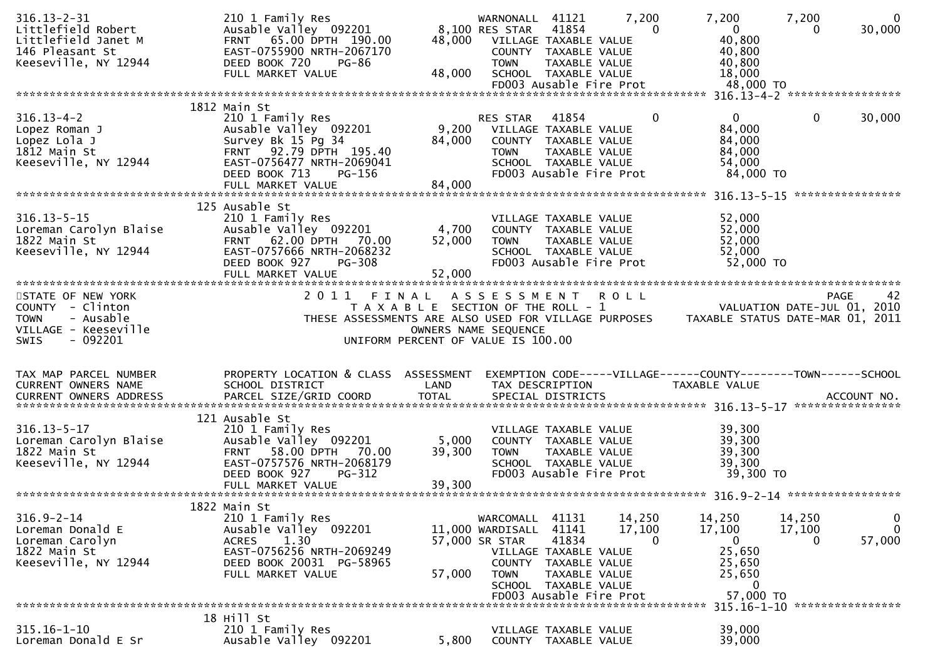| $316.13 - 2 - 31$<br>Littlefield Robert<br>Littlefield Janet M<br>146 Pleasant St<br>Keeseville, NY 12944 | 210 1 Family Res<br>Ausable Valley 092201<br>FRNT 65.00 DPTH 190.00<br>EAST-0755900 NRTH-2067170<br>DEED BOOK 720<br><b>PG-86</b><br>FULL MARKET VALUE                      | 48,000<br>48,000                                                            | WARNONALL 41121<br>8,100 RES STAR<br>VILLAGE TAXABLE VALUE<br><b>TOWN</b> | 41854<br>COUNTY TAXABLE VALUE<br>TAXABLE VALUE<br>SCHOOL TAXABLE VALUE                                   | 7,200<br>$\Omega$<br>FD003 Ausable Fire Prot     | 7,200<br>$\overline{0}$<br>40,800<br>40,800<br>40,800<br>18,000<br>48,000 TO    | 7,200<br>0            | $\mathbf{0}$<br>30,000                  |
|-----------------------------------------------------------------------------------------------------------|-----------------------------------------------------------------------------------------------------------------------------------------------------------------------------|-----------------------------------------------------------------------------|---------------------------------------------------------------------------|----------------------------------------------------------------------------------------------------------|--------------------------------------------------|---------------------------------------------------------------------------------|-----------------------|-----------------------------------------|
|                                                                                                           |                                                                                                                                                                             |                                                                             |                                                                           |                                                                                                          |                                                  |                                                                                 |                       |                                         |
| $316.13 - 4 - 2$<br>Lopez Roman J<br>Lopez Lola J<br>1812 Main St<br>Keeseville, NY 12944                 | 1812 Main St<br>210 1 Family Res<br>Ausable Valley 092201<br>Survey Bk 15 Pg 34<br>FRNT 92.79 DPTH 195.40<br>EAST-0756477 NRTH-2069041<br>DEED BOOK 713<br>PG-156           | 9,200<br>84,000                                                             | <b>RES STAR</b><br>VILLAGE TAXABLE VALUE<br><b>TOWN</b>                   | 41854<br>COUNTY TAXABLE VALUE<br>TAXABLE VALUE<br>SCHOOL TAXABLE VALUE                                   | 0<br>FD003 Ausable Fire Prot                     | $\mathbf{0}$<br>84,000<br>84,000<br>84,000<br>54,000<br>84,000 TO               | 0                     | 30,000<br>****************              |
|                                                                                                           | 125 Ausable St                                                                                                                                                              |                                                                             |                                                                           |                                                                                                          |                                                  |                                                                                 |                       |                                         |
| $316.13 - 5 - 15$<br>Loreman Carolyn Blaise<br>1822 Main St<br>Keeseville, NY 12944                       | 210 1 Family Res<br>Ausable Valley 092201<br>FRNT 62.00 DPTH 70.00<br>EAST-0757666 NRTH-2068232<br>DEED BOOK 927<br>PG-308                                                  | 4,700<br>52,000                                                             | COUNTY TAXABLE VALUE<br><b>TOWN</b>                                       | VILLAGE TAXABLE VALUE<br>TAXABLE VALUE<br>SCHOOL TAXABLE VALUE                                           | FD003 Ausable Fire Prot                          | 52,000<br>52,000<br>52,000<br>52,000<br>52,000 TO                               |                       |                                         |
| STATE OF NEW YORK                                                                                         | 2011 FINAL                                                                                                                                                                  |                                                                             | ASSESSMENT ROLL                                                           |                                                                                                          |                                                  |                                                                                 |                       | 42<br><b>PAGE</b>                       |
| COUNTY - Clinton<br><b>TOWN</b><br>- Ausable<br>VILLAGE - Keeseville<br>SWIS<br>$-092201$                 | THESE ASSESSMENTS ARE ALSO USED FOR VILLAGE PURPOSES                                                                                                                        | T A X A B L E SECTION OF THE ROLL - 1<br>UNIFORM PERCENT OF VALUE IS 100.00 | OWNERS NAME SEQUENCE                                                      |                                                                                                          |                                                  | VALUATION DATE-JUL 01, 2010<br>TAXABLE STATUS DATE-MAR 01, 2011                 |                       |                                         |
| TAX MAP PARCEL NUMBER<br>CURRENT OWNERS NAME                                                              | PROPERTY LOCATION & CLASS ASSESSMENT<br>SCHOOL DISTRICT                                                                                                                     | LAND                                                                        |                                                                           | TAX DESCRIPTION                                                                                          |                                                  | EXEMPTION CODE-----VILLAGE------COUNTY--------TOWN------SCHOOL<br>TAXABLE VALUE |                       |                                         |
| $316.13 - 5 - 17$<br>Loreman Carolyn Blaise<br>1822 Main St<br>Keeseville, NY 12944                       | 121 Ausable St<br>210 1 Family Res<br>Ausable Valley 092201<br>58.00 DPTH 70.00<br><b>FRNT</b><br>EAST-0757576 NRTH-2068179<br>DEED BOOK 927<br>PG-312<br>FULL MARKET VALUE | 5,000<br>39,300<br>39,300                                                   | <b>TOWN</b>                                                               | VILLAGE TAXABLE VALUE<br>COUNTY TAXABLE VALUE<br>TAXABLE VALUE<br>SCHOOL TAXABLE VALUE                   | FD003 Ausable Fire Prot                          | 39,300<br>39,300<br>39,300<br>39,300<br>39,300 TO                               |                       |                                         |
|                                                                                                           | 1822 Main St                                                                                                                                                                |                                                                             |                                                                           |                                                                                                          |                                                  |                                                                                 |                       |                                         |
| $316.9 - 2 - 14$<br>Loreman Donald E<br>Loreman Carolyn<br>1822 Main St<br>Keeseville, NY 12944           | 210 1 Family Res<br>Ausable Valley 092201<br>1.30<br><b>ACRES</b><br>EAST-0756256 NRTH-2069249<br>DEED BOOK 20031 PG-58965<br>FULL MARKET VALUE                             | 57,000                                                                      | WARCOMALL 41131<br>11,000 WARDISALL<br>57,000 SR STAR<br><b>TOWN</b>      | 41141<br>41834<br>VILLAGE TAXABLE VALUE<br>COUNTY TAXABLE VALUE<br>TAXABLE VALUE<br>SCHOOL TAXABLE VALUE | 14,250<br>17,100<br>0<br>FD003 Ausable Fire Prot | 14,250<br>17,100<br>0<br>25,650<br>25,650<br>25,650<br>$\mathbf 0$<br>57,000 TO | 14,250<br>17,100<br>0 | $\overline{0}$<br>$\mathbf 0$<br>57,000 |
|                                                                                                           |                                                                                                                                                                             |                                                                             |                                                                           |                                                                                                          |                                                  |                                                                                 |                       | 315.16-1-10 *****************           |
| $315.16 - 1 - 10$<br>Loreman Donald E Sr                                                                  | 18 Hill St<br>210 1 Family Res<br>Ausable Valley 092201                                                                                                                     | 5,800                                                                       |                                                                           | VILLAGE TAXABLE VALUE<br>COUNTY TAXABLE VALUE                                                            |                                                  | 39,000<br>39,000                                                                |                       |                                         |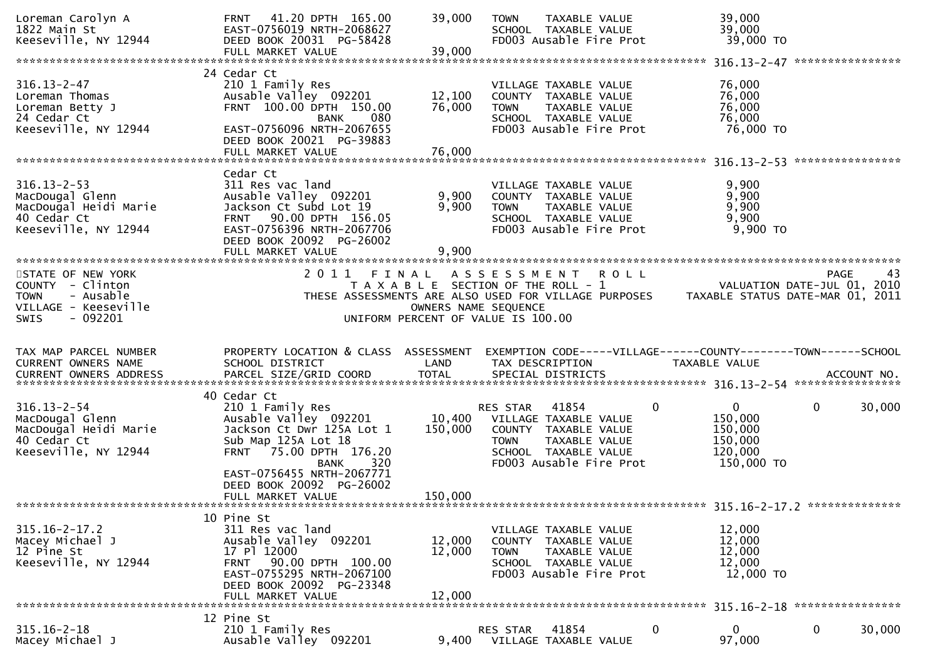| Loreman Carolyn A<br>1822 Main St<br>Keeseville, NY 12944                                                                                                                                                                                                                                                      | 41.20 DPTH 165.00<br><b>FRNT</b><br>EAST-0756019 NRTH-2068627<br>DEED BOOK 20031 PG-58428<br>FULL MARKET VALUE                                                                          | 39,000<br>39,000                                                                                    | <b>TOWN</b>                    | TAXABLE VALUE<br>SCHOOL TAXABLE VALUE<br>FD003 Ausable Fire Prot                                                  |             | 39,000<br>39,000<br>39,000 TO                                                   |             |        |
|----------------------------------------------------------------------------------------------------------------------------------------------------------------------------------------------------------------------------------------------------------------------------------------------------------------|-----------------------------------------------------------------------------------------------------------------------------------------------------------------------------------------|-----------------------------------------------------------------------------------------------------|--------------------------------|-------------------------------------------------------------------------------------------------------------------|-------------|---------------------------------------------------------------------------------|-------------|--------|
|                                                                                                                                                                                                                                                                                                                |                                                                                                                                                                                         |                                                                                                     |                                |                                                                                                                   |             |                                                                                 |             |        |
| $316.13 - 2 - 47$<br>Loreman Thomas<br>Loreman Betty J<br>24 Cedar Ct<br>Keeseville, NY 12944                                                                                                                                                                                                                  | 24 Cedar Ct<br>210 1 Family Res<br>Ausable Valley 092201<br>FRNT 100.00 DPTH 150.00<br>080<br><b>BANK</b><br>EAST-0756096 NRTH-2067655<br>DEED BOOK 20021 PG-39883                      | 12,100<br>76,000                                                                                    | TOWN                           | VILLAGE TAXABLE VALUE<br>COUNTY TAXABLE VALUE<br>TAXABLE VALUE<br>SCHOOL TAXABLE VALUE<br>FD003 Ausable Fire Prot |             | 76,000<br>76,000<br>76,000<br>76,000<br>76,000 TO                               |             |        |
|                                                                                                                                                                                                                                                                                                                |                                                                                                                                                                                         |                                                                                                     |                                |                                                                                                                   |             |                                                                                 |             |        |
| $316.13 - 2 - 53$<br>MacDougal Glenn<br>MacDougal Heidi Marie<br>40 Cedar Ct<br>Keeseville, NY 12944                                                                                                                                                                                                           | Cedar Ct<br>311 Res vac land<br>Ausable Valley 092201<br>Jackson Ct Subd Lot 19<br>FRNT 90.00 DPTH 156.05<br>EAST-0756396 NRTH-2067706<br>DEED BOOK 20092 PG-26002<br>FULL MARKET VALUE | 9,900<br>9,900<br>9,900                                                                             | <b>TOWN</b>                    | VILLAGE TAXABLE VALUE<br>COUNTY TAXABLE VALUE<br>TAXABLE VALUE<br>SCHOOL TAXABLE VALUE<br>FD003 Ausable Fire Prot |             | 9,900<br>9,900<br>9,900<br>9,900<br>9,900 TO                                    |             |        |
| STATE OF NEW YORK                                                                                                                                                                                                                                                                                              | 2011<br>FINAL                                                                                                                                                                           |                                                                                                     | A S S E S S M E N T            |                                                                                                                   | <b>ROLL</b> |                                                                                 | <b>PAGE</b> | 43     |
| COUNTY - Clinton<br>- Ausable<br><b>TOWN</b><br>VILLAGE - Keeseville<br>$-092201$<br><b>SWIS</b>                                                                                                                                                                                                               | THESE ASSESSMENTS ARE ALSO USED FOR VILLAGE PURPOSES                                                                                                                                    | T A X A B L E SECTION OF THE ROLL - 1<br>OWNERS NAME SEQUENCE<br>UNIFORM PERCENT OF VALUE IS 100.00 |                                |                                                                                                                   |             | VALUATION DATE-JUL 01, 2010<br>TAXABLE STATUS DATE-MAR 01, 2011                 |             |        |
| TAX MAP PARCEL NUMBER<br>CURRENT OWNERS NAME<br>.CURRENT OWNERS ADDRESS PARCEL SIZE/GRID COORD TOTAL SPECIAL DISTRICTS AND MO ACCOUNT NO ACCOUNT NO AND A AND MARCEL SIZE/GRID COORD TOTAL SPECIAL DISTRICTS AND MAXAMATAN ARE AND MO AND MAXAMATAN AND A AND MAXAMATAN AND A<br><b>CURRENT OWNERS ADDRESS</b> | PROPERTY LOCATION & CLASS ASSESSMENT<br>SCHOOL DISTRICT                                                                                                                                 | LAND                                                                                                | TAX DESCRIPTION                |                                                                                                                   |             | EXEMPTION CODE-----VILLAGE------COUNTY--------TOWN------SCHOOL<br>TAXABLE VALUE |             |        |
|                                                                                                                                                                                                                                                                                                                |                                                                                                                                                                                         |                                                                                                     |                                |                                                                                                                   |             |                                                                                 |             |        |
|                                                                                                                                                                                                                                                                                                                |                                                                                                                                                                                         |                                                                                                     |                                |                                                                                                                   |             |                                                                                 |             |        |
| $316.13 - 2 - 54$<br>MacDougal Glenn<br>MacDougal Heidi Marie<br>40 Cedar Ct<br>Keeseville, NY 12944                                                                                                                                                                                                           | 40 Cedar Ct<br>210 1 Family Res<br>Ausable Valley 092201<br>Jackson Ct Dwr 125A Lot 1<br>Sub Map 125A Lot 18<br>FRNT 75.00 DPTH 176.20<br>BANK<br>320                                   | 10,400<br>150,000                                                                                   | <b>RES STAR</b><br><b>TOWN</b> | 41854<br>VILLAGE TAXABLE VALUE<br>COUNTY TAXABLE VALUE<br>TAXABLE VALUE<br>SCHOOL TAXABLE VALUE                   | 0           | $\mathbf{0}$<br>150,000<br>150,000<br>150,000<br>120,000                        | 0           | 30,000 |
|                                                                                                                                                                                                                                                                                                                | EAST-0756455 NRTH-2067771<br>DEED BOOK 20092 PG-26002<br>FULL MARKET VALUE                                                                                                              | 150,000                                                                                             |                                | FD003 Ausable Fire Prot                                                                                           |             | 150,000 TO                                                                      |             |        |
|                                                                                                                                                                                                                                                                                                                |                                                                                                                                                                                         |                                                                                                     |                                |                                                                                                                   |             |                                                                                 |             |        |
| $315.16 - 2 - 17.2$<br>Macey Michael J<br>12 Pine St<br>Keeseville, NY 12944                                                                                                                                                                                                                                   | 10 Pine St<br>311 Res vac land<br>Ausable Valley 092201<br>17 Pl 12000<br>FRNT 90.00 DPTH 100.00<br>EAST-0755295 NRTH-2067100<br>DEED BOOK 20092 PG-23348                               | 12,000<br>12,000                                                                                    | <b>TOWN</b>                    | VILLAGE TAXABLE VALUE<br>COUNTY TAXABLE VALUE<br>TAXABLE VALUE<br>SCHOOL TAXABLE VALUE<br>FD003 Ausable Fire Prot |             | 12,000<br>12,000<br>12,000<br>12,000<br>12,000 TO                               |             |        |
|                                                                                                                                                                                                                                                                                                                | FULL MARKET VALUE                                                                                                                                                                       | 12,000                                                                                              |                                |                                                                                                                   |             |                                                                                 |             |        |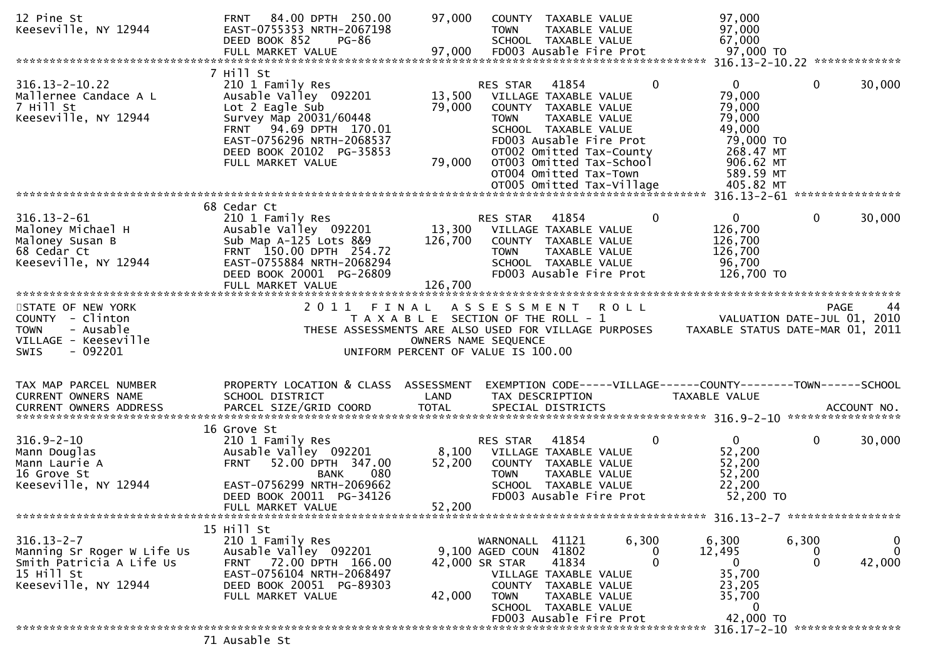| 12 Pine St<br>Keeseville, NY 12944                                                               | 84.00 DPTH 250.00<br>FRNT<br>EAST-0755353 NRTH-2067198<br>DEED BOOK 852<br>PG-86<br>FULL MARKET VALUE                                                      | 97,000<br>97,000  | <b>COUNTY</b><br>TAXABLE VALUE<br>TAXABLE VALUE<br><b>TOWN</b><br>SCHOOL TAXABLE VALUE<br>FD003 Ausable Fire Prot                                     |                 | 97,000<br>97,000<br>67,000<br>97,000 TO                               |                            |                                    |
|--------------------------------------------------------------------------------------------------|------------------------------------------------------------------------------------------------------------------------------------------------------------|-------------------|-------------------------------------------------------------------------------------------------------------------------------------------------------|-----------------|-----------------------------------------------------------------------|----------------------------|------------------------------------|
|                                                                                                  |                                                                                                                                                            |                   |                                                                                                                                                       |                 |                                                                       |                            |                                    |
| $316.13 - 2 - 10.22$<br>Mallernee Candace A L<br>7 Hill St<br>Keeseville, NY 12944               | 7 Hill St<br>210 1 Family Res<br>Ausable Valley 092201<br>Lot 2 Eagle Sub<br>Survey Map 20031/60448<br>FRNT 94.69 DPTH 170.01<br>EAST-0756296 NRTH-2068537 | 13,500<br>79,000  | 41854<br>RES STAR<br>VILLAGE TAXABLE VALUE<br>COUNTY TAXABLE VALUE<br><b>TOWN</b><br>TAXABLE VALUE<br>SCHOOL TAXABLE VALUE<br>FD003 Ausable Fire Prot | $\mathbf{0}$    | $\mathbf{0}$<br>79,000<br>79,000<br>79,000<br>49,000<br>79,000 TO     | $\Omega$                   | 30,000                             |
|                                                                                                  | DEED BOOK 20102 PG-35853<br>FULL MARKET VALUE                                                                                                              | 79,000            | OT002 Omitted Tax-County<br>OT003 Omitted Tax-School<br>OT004 Omitted Tax-Town                                                                        |                 | 268.47 MT<br>906.62 MT<br>589.59 MT                                   |                            |                                    |
|                                                                                                  | 68 Cedar Ct                                                                                                                                                |                   |                                                                                                                                                       |                 |                                                                       |                            |                                    |
| $316.13 - 2 - 61$<br>Maloney Michael H<br>Maloney Susan B<br>68 Cedar Ct<br>Keeseville, NY 12944 | 210 1 Family Res<br>Ausable Valley 092201<br>Sub Map A-125 Lots 8&9<br>FRNT 150.00 DPTH 254.72<br>EAST-0755884 NRTH-2068294<br>DEED BOOK 20001 PG-26809    | 13,300<br>126,700 | RES STAR<br>41854<br>VILLAGE TAXABLE VALUE<br>COUNTY TAXABLE VALUE<br>TAXABLE VALUE<br><b>TOWN</b><br>SCHOOL TAXABLE VALUE<br>FD003 Ausable Fire Prot | $\mathbf{0}$    | $\mathbf{0}$<br>126,700<br>126,700<br>126,700<br>96,700<br>126,700 TO | $\mathbf{0}$               | 30,000                             |
|                                                                                                  | FULL MARKET VALUE                                                                                                                                          | 126,700           |                                                                                                                                                       |                 |                                                                       |                            |                                    |
|                                                                                                  |                                                                                                                                                            |                   |                                                                                                                                                       |                 |                                                                       |                            |                                    |
| STATE OF NEW YORK<br>COUNTY - Clinton                                                            | 2 0 1 1                                                                                                                                                    | FINAL             | A S S E S S M E N T<br>T A X A B L E SECTION OF THE ROLL - 1                                                                                          | <b>ROLL</b>     | VALUATION DATE-JUL 01, 2010                                           |                            | <b>PAGE</b><br>44                  |
| - Ausable<br><b>TOWN</b><br>VILLAGE - Keeseville                                                 |                                                                                                                                                            |                   | THESE ASSESSMENTS ARE ALSO USED FOR VILLAGE PURPOSES                                                                                                  |                 | TAXABLE STATUS DATE-MAR 01, 2011                                      |                            |                                    |
| $-092201$<br><b>SWIS</b>                                                                         |                                                                                                                                                            |                   | OWNERS NAME SEQUENCE<br>UNIFORM PERCENT OF VALUE IS 100.00                                                                                            |                 |                                                                       |                            |                                    |
| TAX MAP PARCEL NUMBER<br><b>CURRENT OWNERS NAME</b>                                              | PROPERTY LOCATION & CLASS ASSESSMENT<br>SCHOOL DISTRICT                                                                                                    | LAND              | EXEMPTION CODE-----VILLAGE------COUNTY--------TOWN------SCHOOL<br>TAX DESCRIPTION                                                                     |                 | TAXABLE VALUE                                                         |                            |                                    |
|                                                                                                  |                                                                                                                                                            |                   |                                                                                                                                                       |                 |                                                                       |                            |                                    |
|                                                                                                  |                                                                                                                                                            |                   |                                                                                                                                                       |                 |                                                                       |                            |                                    |
| $316.9 - 2 - 10$<br>Mann Douglas<br>Mann Laurie A<br>16 Grove St                                 | 16 Grove St<br>210 1 Family Res<br>Ausable Valley 092201<br>52.00 DPTH 347.00<br><b>FRNT</b><br>080<br><b>BANK</b>                                         | 8,100<br>52,200   | 41854<br>RES STAR<br>VILLAGE TAXABLE VALUE<br>COUNTY TAXABLE VALUE<br>TAXABLE VALUE<br><b>TOWN</b>                                                    | 0               | $\mathbf{0}$<br>52,200<br>52,200<br>52,200                            | $\mathbf{0}$               | 30,000                             |
| Keeseville, NY 12944                                                                             | EAST-0756299 NRTH-2069662<br>DEED BOOK 20011 PG-34126                                                                                                      |                   | SCHOOL TAXABLE VALUE<br>FD003 Ausable Fire Prot                                                                                                       |                 | 22,200<br>52,200 TO                                                   |                            |                                    |
|                                                                                                  | FULL MARKET VALUE                                                                                                                                          | 52,200            |                                                                                                                                                       |                 |                                                                       |                            |                                    |
|                                                                                                  |                                                                                                                                                            |                   |                                                                                                                                                       |                 |                                                                       |                            |                                    |
| $316.13 - 2 - 7$<br>Manning Sr Roger W Life Us<br>Smith Patricia A Life Us<br>15 Hill St         | 15 Hill St<br>210 1 Family Res<br>Ausable Valley 092201<br>FRNT 72.00 DPTH 166.00<br>EAST-0756104 NRTH-2068497                                             |                   | WARNONALL 41121<br>41802<br>9,100 AGED COUN<br>41834<br>42,000 SR STAR<br>VILLAGE TAXABLE VALUE                                                       | 6,300<br>0<br>0 | 6,300<br>12,495<br>$\overline{0}$<br>35,700                           | 6,300<br>0<br>$\mathbf{0}$ | $\bf{0}$<br>$\mathbf{0}$<br>42,000 |
| Keeseville, NY 12944                                                                             | DEED BOOK 20051 PG-89303<br>FULL MARKET VALUE                                                                                                              | 42,000            | COUNTY TAXABLE VALUE<br><b>TOWN</b><br>TAXABLE VALUE<br>SCHOOL TAXABLE VALUE<br>FD003 Ausable Fire Prot                                               |                 | 23,205<br>35,700<br>$\mathbf{0}$<br>42,000 TO                         |                            |                                    |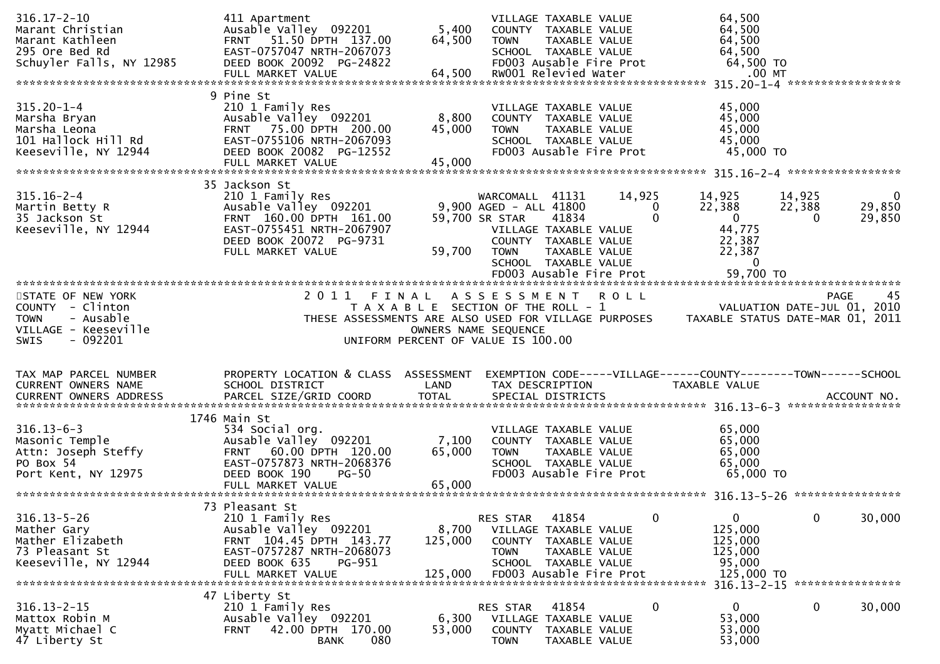| $316.17 - 2 - 10$<br>Marant Christian<br>Marant Kathleen<br>295 Ore Bed Rd<br>Schuyler Falls, NY 12985                                                                                            | 411 Apartment<br>Ausable Valley 092201<br>FRNT 51.50 DPTH 137.00<br>EAST-0757047 NRTH-2067073<br>DEED BOOK 20092 PG-24822<br>FULL MARKET VALUE                             | 5,400<br>64,500<br>64,500                                                                           | <b>TOWN</b>                                                                | VILLAGE TAXABLE VALUE<br>COUNTY TAXABLE VALUE<br>TAXABLE VALUE<br>SCHOOL TAXABLE VALUE<br>FD003 Ausable Fire Prot<br>RW001 Relevied Water |                         | 64,500<br>64,500<br>64,500<br>64,500<br>64,500 TO<br>$.00$ MT<br>315.20-1-4 ******************* |                              |                                 |
|---------------------------------------------------------------------------------------------------------------------------------------------------------------------------------------------------|----------------------------------------------------------------------------------------------------------------------------------------------------------------------------|-----------------------------------------------------------------------------------------------------|----------------------------------------------------------------------------|-------------------------------------------------------------------------------------------------------------------------------------------|-------------------------|-------------------------------------------------------------------------------------------------|------------------------------|---------------------------------|
| $315.20 - 1 - 4$<br>Marsha Bryan<br>Marsha Leona<br>101 Hallock Hill Rd<br>Keeseville, NY 12944                                                                                                   | 9 Pine St<br>210 1 Family Res<br>Ausable Valley 092201<br>75.00 DPTH 200.00<br><b>FRNT</b><br>EAST-0755106 NRTH-2067093<br>DEED BOOK 20082 PG-12552<br>FULL MARKET VALUE   | 8,800<br>45,000<br>45,000                                                                           | <b>TOWN</b>                                                                | VILLAGE TAXABLE VALUE<br>COUNTY TAXABLE VALUE<br>TAXABLE VALUE<br>SCHOOL TAXABLE VALUE<br>FD003 Ausable Fire Prot                         |                         | 45,000<br>45,000<br>45,000<br>45,000<br>45,000 TO                                               |                              |                                 |
| $315.16 - 2 - 4$<br>Martin Betty R<br>35 Jackson St<br>Keeseville, NY 12944                                                                                                                       | 35 Jackson St<br>210 1 Family Res<br>Ausable Valley 092201<br>FRNT 160.00 DPTH 161.00<br>EAST-0755451 NRTH-2067907<br>DEED BOOK 20072 PG-9731<br>FULL MARKET VALUE         | 59,700                                                                                              | WARCOMALL 41131<br>9,900 AGED - ALL 41800<br>59,700 SR STAR<br><b>TOWN</b> | 41834<br>VILLAGE TAXABLE VALUE<br>COUNTY TAXABLE VALUE<br>TAXABLE VALUE<br>SCHOOL TAXABLE VALUE                                           | 14,925<br>$\Omega$<br>0 | 14,925<br>22,388<br>$\mathbf{0}$<br>44,775<br>22,387<br>22,387<br>$\mathbf 0$                   | 14,925<br>22,388<br>$\Omega$ | $\mathbf 0$<br>29,850<br>29,850 |
| STATE OF NEW YORK<br>COUNTY - Clinton<br>- Ausable<br><b>TOWN</b><br>VILLAGE - Keeseville<br><b>SWIS</b><br>- 092201                                                                              | 2011 FINAL<br>THESE ASSESSMENTS ARE ALSO USED FOR VILLAGE PURPOSES                                                                                                         | T A X A B L E SECTION OF THE ROLL - 1<br>OWNERS NAME SEQUENCE<br>UNIFORM PERCENT OF VALUE IS 100.00 | ASSESSMENT ROLL                                                            |                                                                                                                                           |                         | VALUATION DATE-JUL 01, 2010<br>TAXABLE STATUS DATE-MAR 01, 2011                                 |                              | 45<br>PAGE                      |
| TAX MAP PARCEL NUMBER<br>CURRENT OWNERS NAME<br>.CURRENT OWNERS ADDRESS PARCEL SIZE/GRID COORD TOTAL SPECIAL DISTRICTS MOTHERS ADDRESS PARCEL SIZE/GRID COORD TOTAL SPECIAL DISTRICTS ACCOUNT NO. | PROPERTY LOCATION & CLASS ASSESSMENT<br>SCHOOL DISTRICT                                                                                                                    | LAND                                                                                                | TAX DESCRIPTION                                                            |                                                                                                                                           |                         | EXEMPTION CODE-----VILLAGE------COUNTY--------TOWN------SCHOOL<br><b>TAXABLE VALUE</b>          |                              |                                 |
| $316.13 - 6 - 3$<br>Masonic Temple<br>Attn: Joseph Steffy<br>PO Box 54<br>Port Kent, NY 12975                                                                                                     | 1746 Main St<br>534 Social org.<br>Ausable Valley 092201<br>60.00 DPTH 120.00<br><b>FRNT</b><br>EAST-0757873 NRTH-2068376<br>DEED BOOK 190<br>$PG-50$                      | 7,100<br>65,000                                                                                     | <b>TOWN</b>                                                                | VILLAGE TAXABLE VALUE<br>COUNTY TAXABLE VALUE<br>TAXABLE VALUE<br>SCHOOL TAXABLE VALUE<br>FD003 Ausable Fire Prot                         |                         | 65,000<br>65,000<br>65,000<br>65,000<br>65,000 TO                                               |                              | ****************                |
| $316.13 - 5 - 26$<br>Mather Gary<br>Mather Elizabeth<br>73 Pleasant St<br>Keeseville, NY 12944                                                                                                    | 73 Pleasant St<br>210 1 Family Res<br>Ausable Valley 092201<br>FRNT 104.45 DPTH 143.77<br>EAST-0757287 NRTH-2068073<br>DEED BOOK 635<br><b>PG-951</b><br>FULL MARKET VALUE | 8,700<br>125,000<br>125,000                                                                         | RES STAR<br><b>COUNTY</b><br><b>TOWN</b>                                   | 41854<br>VILLAGE TAXABLE VALUE<br>TAXABLE VALUE<br>TAXABLE VALUE<br>SCHOOL TAXABLE VALUE<br>FD003 Ausable Fire Prot                       | 0                       | $\mathbf 0$<br>125,000<br>125,000<br>125,000<br>95,000<br>125,000 TO                            | 0                            | 30,000                          |
| $316.13 - 2 - 15$<br>Mattox Robin M<br>Myatt Michael C<br>47 Liberty St                                                                                                                           | 47 Liberty St<br>210 1 Family Res<br>Ausable Valley 092201<br>42.00 DPTH 170.00<br><b>FRNT</b><br>080<br><b>BANK</b>                                                       | 6,300<br>53,000                                                                                     | RES STAR<br><b>COUNTY</b><br><b>TOWN</b>                                   | 41854<br>VILLAGE TAXABLE VALUE<br>TAXABLE VALUE<br>TAXABLE VALUE                                                                          | 0                       | 316.13-2-15 *****************<br>$\mathbf{0}$<br>53,000<br>53,000<br>53,000                     | 0                            | 30,000                          |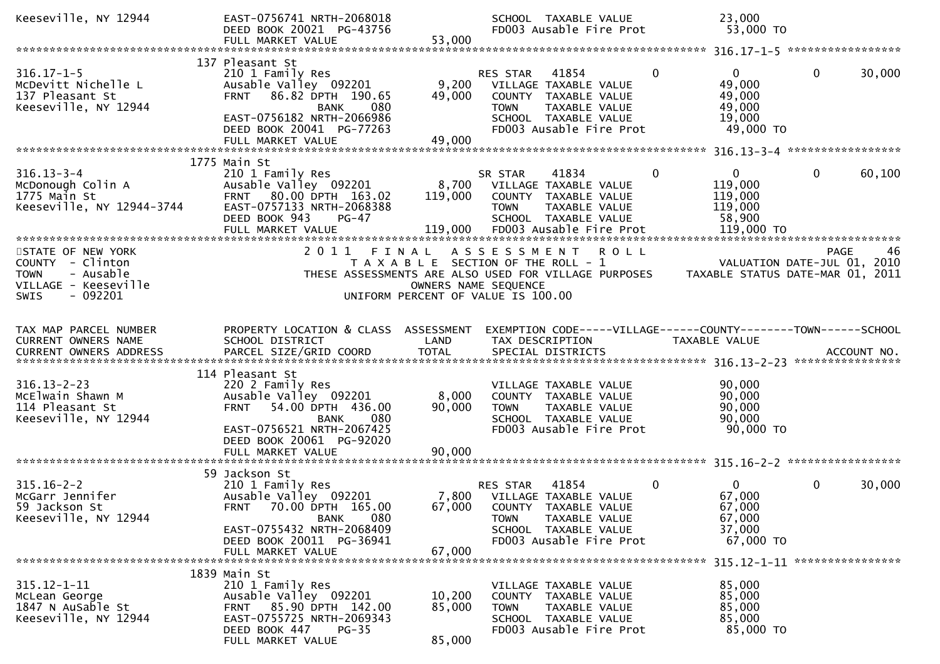| Keeseville, NY 12944                                                                                                  | EAST-0756741 NRTH-2068018<br>DEED BOOK 20021 PG-43756<br>FULL MARKET VALUE                                                                                                                           | 53,000                    | SCHOOL TAXABLE VALUE<br>FD003 Ausable Fire Prot                                                                                                                   | 23,000<br>53,000 TO                                     |                                                  |
|-----------------------------------------------------------------------------------------------------------------------|------------------------------------------------------------------------------------------------------------------------------------------------------------------------------------------------------|---------------------------|-------------------------------------------------------------------------------------------------------------------------------------------------------------------|---------------------------------------------------------|--------------------------------------------------|
|                                                                                                                       |                                                                                                                                                                                                      |                           |                                                                                                                                                                   |                                                         |                                                  |
| $316.17 - 1 - 5$<br>McDevitt Nichelle L<br>137 Pleasant St<br>Keeseville, NY 12944                                    | 137 Pleasant St<br>210 1 Family Res<br>Ausable Valley 092201<br>86.82 DPTH 190.65<br><b>FRNT</b><br><b>BANK</b><br>080<br>EAST-0756182 NRTH-2066986<br>DEED BOOK 20041 PG-77263<br>FULL MARKET VALUE | 9,200<br>49,000<br>49,000 | RES STAR<br>41854<br>$\bf{0}$<br>VILLAGE TAXABLE VALUE<br>COUNTY TAXABLE VALUE<br>TAXABLE VALUE<br><b>TOWN</b><br>SCHOOL TAXABLE VALUE<br>FD003 Ausable Fire Prot | 0<br>49,000<br>49,000<br>49,000<br>19,000<br>49,000 TO  | $\mathbf{0}$<br>30,000                           |
|                                                                                                                       | 1775 Main St                                                                                                                                                                                         |                           |                                                                                                                                                                   |                                                         |                                                  |
| $316.13 - 3 - 4$<br>McDonough Colin A<br>McDonough Colin A<br>Keeseville, NY 12944-3744                               | 210 1 Family Res<br>Ausable Valley 092201<br>FRNT 80.00 DPTH 163.02<br>EAST-0757133 NRTH-2068388<br>DEED BOOK 943<br><b>PG-47</b>                                                                    | 119,000                   | SR STAR<br>41834<br>0<br>8,700 VILLAGE TAXABLE VALUE<br>COUNTY TAXABLE VALUE<br><b>TOWN</b><br>TAXABLE VALUE<br>SCHOOL TAXABLE VALUE                              | $\mathbf{0}$<br>119,000<br>119,000<br>119,000<br>58,900 | 60,100<br>0                                      |
|                                                                                                                       |                                                                                                                                                                                                      |                           |                                                                                                                                                                   |                                                         |                                                  |
| STATE OF NEW YORK<br>COUNTY - Clinton<br>- Ausable<br><b>TOWN</b><br>VILLAGE - Keeseville<br>$-092201$<br><b>SWIS</b> | 2 0 1 1<br>FINAL                                                                                                                                                                                     | OWNERS NAME SEQUENCE      | ASSESSMENT<br><b>ROLL</b><br>T A X A B L E SECTION OF THE ROLL - 1<br>THESE ASSESSMENTS ARE ALSO USED FOR VILLAGE PURPOSES<br>UNIFORM PERCENT OF VALUE IS 100.00  | TAXABLE STATUS DATE-MAR 01, 2011                        | 46<br><b>PAGE</b><br>VALUATION DATE-JUL 01, 2010 |
| TAX MAP PARCEL NUMBER                                                                                                 | PROPERTY LOCATION & CLASS ASSESSMENT                                                                                                                                                                 |                           | EXEMPTION CODE-----VILLAGE------COUNTY--------TOWN------SCHOOL                                                                                                    |                                                         |                                                  |
| CURRENT OWNERS NAME                                                                                                   | SCHOOL DISTRICT                                                                                                                                                                                      | LAND                      | TAX DESCRIPTION                                                                                                                                                   | TAXABLE VALUE                                           |                                                  |
| $316.13 - 2 - 23$<br>McElwain Shawn M<br>114 Pleasant St<br>Keeseville, NY 12944                                      | 114 Pleasant St<br>220 2 Family Res<br>Ausable Valley 092201<br>54.00 DPTH 436.00<br><b>FRNT</b><br><b>BANK</b><br>080<br>EAST-0756521 NRTH-2067425<br>DEED BOOK 20061 PG-92020                      | 8,000<br>90,000           | VILLAGE TAXABLE VALUE<br>COUNTY TAXABLE VALUE<br><b>TOWN</b><br>TAXABLE VALUE<br>SCHOOL TAXABLE VALUE<br>FD003 Ausable Fire Prot                                  | 90,000<br>90,000<br>90,000<br>90,000<br>90,000 TO       |                                                  |
|                                                                                                                       |                                                                                                                                                                                                      |                           |                                                                                                                                                                   |                                                         |                                                  |
| $315.16 - 2 - 2$<br>McGarr Jennifer<br>59 Jackson St<br>Keeseville, NY 12944                                          | 59 Jackson St<br>210 1 Family Res<br>Ausable Valley 092201<br>FRNT 70.00 DPTH 165.00<br>080<br><b>BANK</b>                                                                                           | 67,000                    | 41854<br>$\mathbf{0}$<br>RES STAR<br>7,800 VILLAGE TAXABLE VALUE<br>COUNTY TAXABLE VALUE<br>TAXABLE VALUE<br><b>TOWN</b>                                          | $\overline{0}$<br>67,000<br>67,000<br>67,000            | $\mathbf 0$<br>30,000                            |
|                                                                                                                       | EAST-0755432 NRTH-2068409<br>DEED BOOK 20011 PG-36941<br>FULL MARKET VALUE                                                                                                                           | 67,000                    | SCHOOL TAXABLE VALUE<br>FD003 Ausable Fire Prot                                                                                                                   | 37,000<br>67,000 TO                                     |                                                  |
| $315.12 - 1 - 11$                                                                                                     | 1839 Main St<br>210 1 Family Res                                                                                                                                                                     |                           | VILLAGE TAXABLE VALUE                                                                                                                                             | 85,000                                                  |                                                  |
| McLean George<br>1847 N AuSable St<br>Keeseville, NY 12944                                                            | Ausable Valley 092201<br>85.90 DPTH 142.00<br><b>FRNT</b><br>EAST-0755725 NRTH-2069343                                                                                                               | 10,200<br>85,000          | COUNTY TAXABLE VALUE<br><b>TOWN</b><br>TAXABLE VALUE<br>SCHOOL TAXABLE VALUE                                                                                      | 85,000<br>85,000<br>85,000                              |                                                  |
|                                                                                                                       | DEED BOOK 447<br>$PG-35$<br>FULL MARKET VALUE                                                                                                                                                        | 85,000                    | FD003 Ausable Fire Prot                                                                                                                                           | 85,000 TO                                               |                                                  |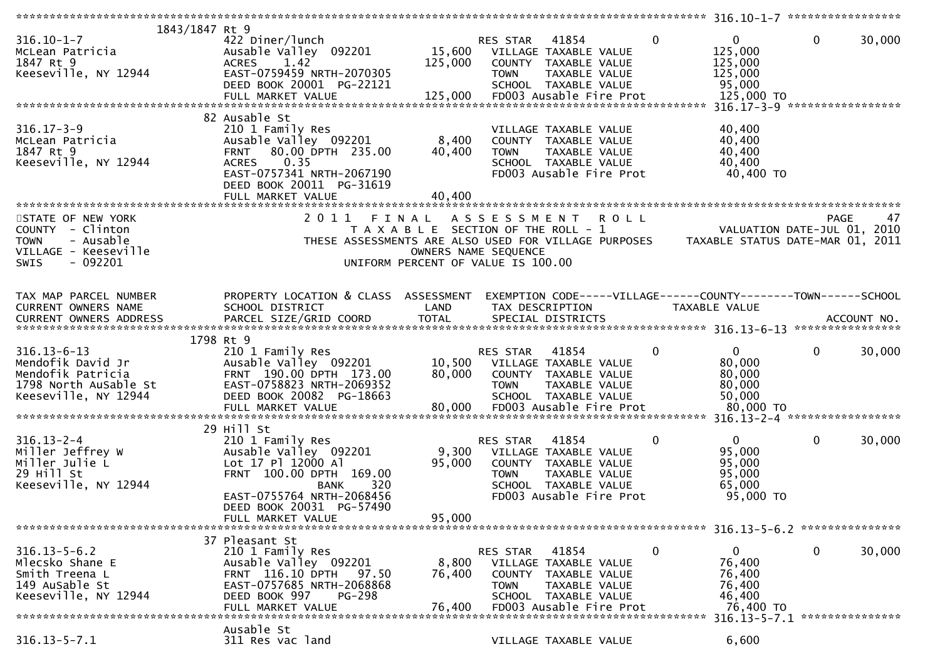| 1843/1847 Rt 9           |                                                      |                                       |                       |                       |                         |              |                                                                |              |        |
|--------------------------|------------------------------------------------------|---------------------------------------|-----------------------|-----------------------|-------------------------|--------------|----------------------------------------------------------------|--------------|--------|
| $316.10 - 1 - 7$         | 422 Diner/lunch                                      |                                       | RES STAR              | 41854                 |                         | $\mathbf{0}$ | $\overline{0}$                                                 | 0            | 30,000 |
| McLean Patricia          | Ausable Valley 092201                                | 15,600                                | VILLAGE TAXABLE VALUE |                       |                         |              | 125,000                                                        |              |        |
| 1847 Rt 9                | <b>ACRES</b><br>1.42                                 | 125,000                               |                       | COUNTY TAXABLE VALUE  |                         |              | 125,000                                                        |              |        |
| Keeseville, NY 12944     | EAST-0759459 NRTH-2070305                            |                                       | <b>TOWN</b>           | TAXABLE VALUE         |                         |              | 125,000                                                        |              |        |
|                          |                                                      |                                       |                       |                       |                         |              |                                                                |              |        |
|                          | DEED BOOK 20001 PG-22121                             |                                       |                       | SCHOOL TAXABLE VALUE  |                         |              | 95,000                                                         |              |        |
|                          | FULL MARKET VALUE                                    | 125,000                               |                       |                       | FD003 Ausable Fire Prot |              | 125,000 TO                                                     |              |        |
|                          |                                                      |                                       |                       |                       |                         |              |                                                                |              |        |
|                          | 82 Ausable St                                        |                                       |                       |                       |                         |              |                                                                |              |        |
| $316.17 - 3 - 9$         | 210 1 Family Res                                     |                                       |                       | VILLAGE TAXABLE VALUE |                         |              | 40,400                                                         |              |        |
| McLean Patricia          | Ausable Valley 092201                                | 8,400                                 |                       | COUNTY TAXABLE VALUE  |                         |              | 40,400                                                         |              |        |
| 1847 Rt 9                | 80.00 DPTH 235.00<br><b>FRNT</b>                     | 40,400                                | <b>TOWN</b>           | TAXABLE VALUE         |                         |              | 40,400                                                         |              |        |
| Keeseville, NY 12944     | 0.35<br><b>ACRES</b>                                 |                                       |                       | SCHOOL TAXABLE VALUE  |                         |              | 40,400                                                         |              |        |
|                          | EAST-0757341 NRTH-2067190                            |                                       |                       |                       | FD003 Ausable Fire Prot |              | 40,400 TO                                                      |              |        |
|                          |                                                      |                                       |                       |                       |                         |              |                                                                |              |        |
|                          | DEED BOOK 20011 PG-31619                             |                                       |                       |                       |                         |              |                                                                |              |        |
|                          | FULL MARKET VALUE                                    | 40,400                                |                       |                       |                         |              |                                                                |              |        |
|                          |                                                      |                                       |                       |                       |                         |              |                                                                |              |        |
| STATE OF NEW YORK        | 2011                                                 | FINAL                                 | A S S E S S M E N T   |                       | <b>ROLL</b>             |              |                                                                | <b>PAGE</b>  | 47     |
| COUNTY - Clinton         |                                                      | T A X A B L E SECTION OF THE ROLL - 1 |                       |                       |                         |              | VALUATION DATE-JUL 01, 2010                                    |              |        |
| - Ausable<br><b>TOWN</b> | THESE ASSESSMENTS ARE ALSO USED FOR VILLAGE PURPOSES |                                       |                       |                       |                         |              | TAXABLE STATUS DATE-MAR 01, 2011                               |              |        |
| VILLAGE - Keeseville     |                                                      | OWNERS NAME SEQUENCE                  |                       |                       |                         |              |                                                                |              |        |
| $-092201$<br><b>SWIS</b> |                                                      |                                       |                       |                       |                         |              |                                                                |              |        |
|                          |                                                      | UNIFORM PERCENT OF VALUE IS 100.00    |                       |                       |                         |              |                                                                |              |        |
|                          |                                                      |                                       |                       |                       |                         |              |                                                                |              |        |
|                          |                                                      |                                       |                       |                       |                         |              |                                                                |              |        |
| TAX MAP PARCEL NUMBER    | PROPERTY LOCATION & CLASS ASSESSMENT                 |                                       |                       |                       |                         |              | EXEMPTION CODE-----VILLAGE------COUNTY--------TOWN------SCHOOL |              |        |
| CURRENT OWNERS NAME      | SCHOOL DISTRICT                                      | LAND                                  |                       | TAX DESCRIPTION       |                         |              | TAXABLE VALUE                                                  |              |        |
|                          |                                                      |                                       |                       |                       |                         |              |                                                                |              |        |
|                          |                                                      |                                       |                       |                       |                         |              |                                                                |              |        |
|                          | 1798 Rt 9                                            |                                       |                       |                       |                         |              |                                                                |              |        |
| $316.13 - 6 - 13$        | 210 1 Family Res                                     |                                       | RES STAR              | 41854                 |                         | 0            | $\mathbf{0}$                                                   | $\mathbf{0}$ | 30,000 |
| Mendofik David Jr        | Ausable Valley 092201                                | 10,500                                |                       |                       |                         |              | 80,000                                                         |              |        |
|                          |                                                      |                                       | VILLAGE TAXABLE VALUE |                       |                         |              |                                                                |              |        |
| Mendofik Patricia        | FRNT 190.00 DPTH 173.00                              | 80,000                                |                       | COUNTY TAXABLE VALUE  |                         |              | 80,000                                                         |              |        |
| 1798 North AuSable St    | EAST-0758823 NRTH-2069352                            |                                       | <b>TOWN</b>           | TAXABLE VALUE         |                         |              | 80,000                                                         |              |        |
| Keeseville, NY 12944     | DEED BOOK 20082 PG-18663                             |                                       |                       | SCHOOL TAXABLE VALUE  |                         |              | 50,000                                                         |              |        |
|                          |                                                      |                                       |                       |                       |                         |              |                                                                |              |        |
|                          |                                                      |                                       |                       |                       |                         |              |                                                                |              |        |
|                          | 29 Hill St                                           |                                       |                       |                       |                         |              |                                                                |              |        |
| $316.13 - 2 - 4$         | 210 1 Family Res                                     |                                       | RES STAR              | 41854                 |                         | 0            | $\mathbf{0}$                                                   | $\mathbf{0}$ | 30,000 |
| Miller Jeffrey W         | Ausable Valley 092201                                | 9,300                                 |                       | VILLAGE TAXABLE VALUE |                         |              | 95,000                                                         |              |        |
|                          | Lot 17 Pl 12000 Al                                   |                                       |                       | COUNTY TAXABLE VALUE  |                         |              |                                                                |              |        |
| Miller Julie L           |                                                      | 95,000                                |                       |                       |                         |              | 95,000                                                         |              |        |
| 29 Hill St               | FRNT 100.00 DPTH 169.00                              |                                       | <b>TOWN</b>           | TAXABLE VALUE         |                         |              | 95,000                                                         |              |        |
| Keeseville, NY 12944     | 320<br>BANK                                          |                                       |                       | SCHOOL TAXABLE VALUE  |                         |              | 65,000                                                         |              |        |
|                          | EAST-0755764 NRTH-2068456                            |                                       |                       |                       | FD003 Ausable Fire Prot |              | 95,000 TO                                                      |              |        |
|                          | DEED BOOK 20031 PG-57490                             |                                       |                       |                       |                         |              |                                                                |              |        |
|                          | FULL MARKET VALUE                                    | 95,000                                |                       |                       |                         |              |                                                                |              |        |
|                          |                                                      |                                       |                       |                       |                         |              |                                                                |              |        |
|                          | 37 Pleasant St                                       |                                       |                       |                       |                         |              |                                                                |              |        |
| $316.13 - 5 - 6.2$       | 210 1 Family Res                                     |                                       | RES STAR              | 41854                 |                         | 0            | $\mathbf{0}$                                                   | 0            | 30,000 |
|                          |                                                      |                                       |                       |                       |                         |              |                                                                |              |        |
| Mlecsko Shane E          | Ausable Valley 092201                                | 8,800                                 |                       | VILLAGE TAXABLE VALUE |                         |              | 76,400                                                         |              |        |
| Smith Treena L           | FRNT 116.10 DPTH<br>97.50                            | 76,400                                | <b>COUNTY</b>         | TAXABLE VALUE         |                         |              | 76,400                                                         |              |        |
| 149 AuSable St           | EAST-0757685 NRTH-2068868                            |                                       | <b>TOWN</b>           | TAXABLE VALUE         |                         |              | 76,400                                                         |              |        |
|                          |                                                      |                                       |                       | SCHOOL TAXABLE VALUE  |                         |              | 46,400                                                         |              |        |
| Keeseville, NY 12944     | DEED BOOK 997<br>PG-298                              |                                       |                       |                       |                         |              |                                                                |              |        |
|                          | FULL MARKET VALUE                                    | 76.400                                |                       |                       | FD003 Ausable Fire Prot |              | 76,400 TO                                                      |              |        |
|                          |                                                      |                                       |                       |                       |                         |              |                                                                |              |        |
|                          |                                                      |                                       |                       |                       |                         |              | 316.13-5-7.1 ****************                                  |              |        |
| $316.13 - 5 - 7.1$       | Ausable St<br>311 Res vac land                       |                                       |                       | VILLAGE TAXABLE VALUE |                         |              | 6,600                                                          |              |        |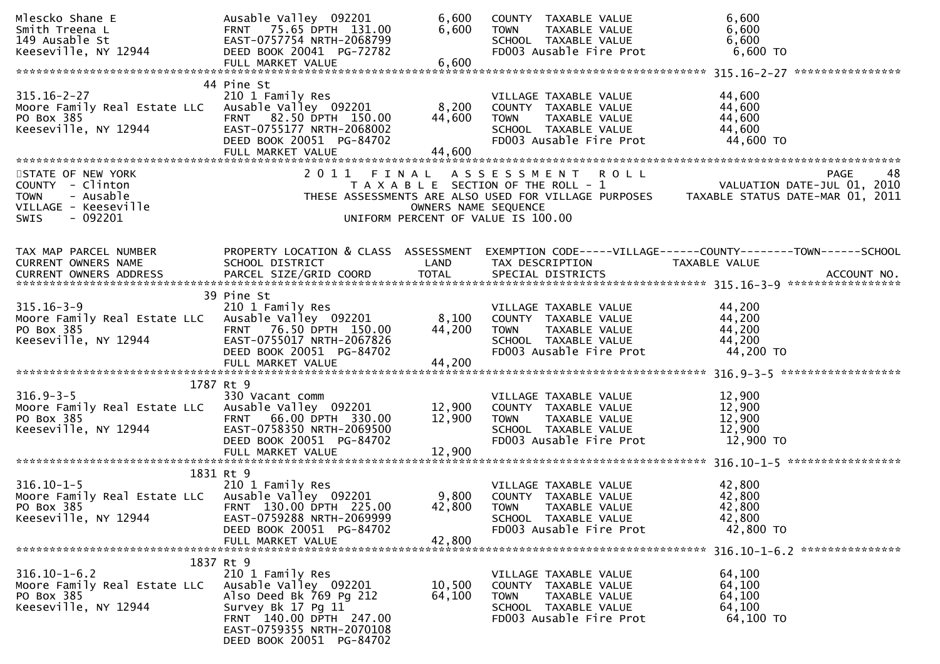| Mlescko Shane E<br>Smith Treena L<br>149 Ausable St<br>Keeseville, NY 12944                      | Ausable Valley 092201<br>FRNT 75.65 DPTH 131.00<br>EAST-0757754 NRTH-2068799<br>DEED BOOK 20041 PG-72782<br>FULL MARKET VALUE                                                  | 6,600<br>6,600<br>6,600   | COUNTY TAXABLE VALUE<br><b>TOWN</b><br>TAXABLE VALUE<br>SCHOOL TAXABLE VALUE<br>FD003 Ausable Fire Prot                             | 6,600<br>6,600<br>6,600<br>6,600 TO                             |
|--------------------------------------------------------------------------------------------------|--------------------------------------------------------------------------------------------------------------------------------------------------------------------------------|---------------------------|-------------------------------------------------------------------------------------------------------------------------------------|-----------------------------------------------------------------|
|                                                                                                  |                                                                                                                                                                                |                           |                                                                                                                                     |                                                                 |
| $315.16 - 2 - 27$<br>Moore Family Real Estate LLC<br>PO Box 385<br>Keeseville, NY 12944          | 44 Pine St<br>210 1 Family Res<br>Ausable Valley 092201<br>FRNT 82.50 DPTH 150.00<br>EAST-0755177 NRTH-2068002<br>DEED BOOK 20051 PG-84702                                     | 8,200<br>44,600           | VILLAGE TAXABLE VALUE<br>COUNTY TAXABLE VALUE<br>TAXABLE VALUE<br><b>TOWN</b><br>SCHOOL TAXABLE VALUE<br>FD003 Ausable Fire Prot    | 44,600<br>44,600<br>44,600<br>44,600<br>44,600 TO               |
| STATE OF NEW YORK                                                                                | 2011 FINAL                                                                                                                                                                     |                           | A S S E S S M E N T R O L L                                                                                                         | 48<br><b>PAGE</b>                                               |
| COUNTY - Clinton<br>- Ausable<br><b>TOWN</b><br>VILLAGE - Keeseville<br>$-092201$<br><b>SWIS</b> |                                                                                                                                                                                | OWNERS NAME SEQUENCE      | T A X A B L E SECTION OF THE ROLL - 1<br>THESE ASSESSMENTS ARE ALSO USED FOR VILLAGE PURPOSES<br>UNIFORM PERCENT OF VALUE IS 100.00 | VALUATION DATE-JUL 01, 2010<br>TAXABLE STATUS DATE-MAR 01, 2011 |
| TAX MAP PARCEL NUMBER                                                                            | PROPERTY LOCATION & CLASS ASSESSMENT                                                                                                                                           |                           |                                                                                                                                     | EXEMPTION CODE-----VILLAGE------COUNTY--------TOWN------SCHOOL  |
| CURRENT OWNERS NAME                                                                              | SCHOOL DISTRICT                                                                                                                                                                | LAND                      | TAX DESCRIPTION                                                                                                                     | TAXABLE VALUE                                                   |
|                                                                                                  |                                                                                                                                                                                |                           |                                                                                                                                     |                                                                 |
|                                                                                                  |                                                                                                                                                                                |                           |                                                                                                                                     |                                                                 |
| $315.16 - 3 - 9$<br>Moore Family Real Estate LLC<br>PO Box 385<br>Keeseville, NY 12944           | 39 Pine St<br>210 1 Family Res<br>Ausable Valley 092201<br>FRNT 76.50 DPTH 150.00<br>EAST-0755017 NRTH-2067826<br>DEED BOOK 20051 PG-84702<br>FULL MARKET VALUE                | 8,100<br>44,200<br>44,200 | VILLAGE TAXABLE VALUE<br>COUNTY TAXABLE VALUE<br>TAXABLE VALUE<br><b>TOWN</b><br>SCHOOL TAXABLE VALUE<br>FD003 Ausable Fire Prot    | 44,200<br>44,200<br>44,200<br>44,200<br>44,200 TO               |
|                                                                                                  |                                                                                                                                                                                |                           |                                                                                                                                     |                                                                 |
| $316.9 - 3 - 5$<br>Moore Family Real Estate LLC<br>PO Box 385<br>Keeseville, NY 12944            | 1787 Rt 9<br>330 Vacant comm<br>Ausable Valley 092201<br>FRNT 66.00 DPTH 330.00<br>EAST-0758350 NRTH-2069500<br>DEED BOOK 20051 PG-84702                                       | 12,900<br>12,900          | VILLAGE TAXABLE VALUE<br>COUNTY TAXABLE VALUE<br><b>TOWN</b><br>TAXABLE VALUE<br>SCHOOL TAXABLE VALUE<br>FD003 Ausable Fire Prot    | 12,900<br>12,900<br>12,900<br>12,900<br>12,900 TO               |
|                                                                                                  |                                                                                                                                                                                |                           |                                                                                                                                     |                                                                 |
| $316.10 - 1 - 5$<br>Moore Family Real Estate LLC<br>PO Box 385<br>Keeseville, NY 12944           | 1831 Rt 9<br>210 1 Family Res<br>Ausable Valley 092201<br>FRNT 130.00 DPTH 225.00<br>EAST-0759288 NRTH-2069999<br>DEED BOOK 20051 PG-84702<br>FULL MARKET VALUE                | 9,800<br>42,800<br>42,800 | VILLAGE TAXABLE VALUE<br>COUNTY TAXABLE VALUE<br><b>TOWN</b><br>TAXABLE VALUE<br>SCHOOL TAXABLE VALUE<br>FD003 Ausable Fire Prot    | 42,800<br>42,800<br>42,800<br>42,800<br>42,800 TO               |
|                                                                                                  | 1837 Rt 9                                                                                                                                                                      |                           |                                                                                                                                     |                                                                 |
| $316.10 - 1 - 6.2$<br>Moore Family Real Estate LLC<br>PO Box 385<br>Keeseville, NY 12944         | 210 1 Family Res<br>Ausable Valley 092201<br>Also Deed Bk 769 Pg 212<br>Survey Bk 17 Pg 11<br>FRNT 140.00 DPTH 247.00<br>EAST-0759355 NRTH-2070108<br>DEED BOOK 20051 PG-84702 | 10,500<br>64,100          | VILLAGE TAXABLE VALUE<br>COUNTY TAXABLE VALUE<br>TAXABLE VALUE<br><b>TOWN</b><br>SCHOOL TAXABLE VALUE<br>FD003 Ausable Fire Prot    | 64,100<br>64,100<br>64,100<br>64,100<br>64,100 TO               |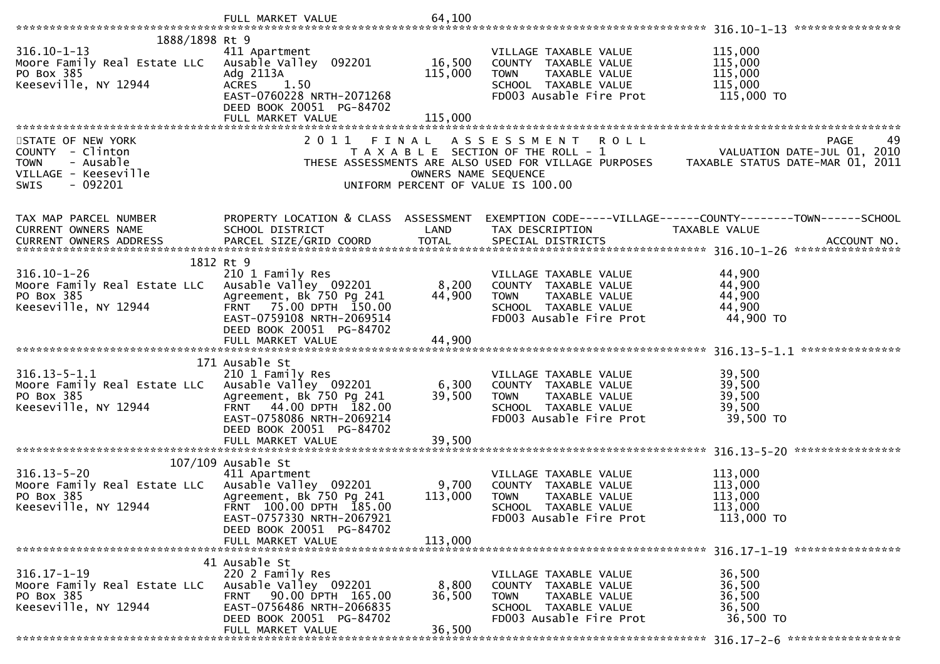|                                                                                                                                 | FULL MARKET VALUE                                                                                                                                                            | 64,100                        |                                                                                                                                                                                         |                                                        |
|---------------------------------------------------------------------------------------------------------------------------------|------------------------------------------------------------------------------------------------------------------------------------------------------------------------------|-------------------------------|-----------------------------------------------------------------------------------------------------------------------------------------------------------------------------------------|--------------------------------------------------------|
|                                                                                                                                 |                                                                                                                                                                              |                               |                                                                                                                                                                                         |                                                        |
| 1888/1898 Rt 9<br>$316.10 - 1 - 13$<br>Moore Family Real Estate LLC Ausable Valley 092201<br>PO Box 385<br>Keeseville, NY 12944 | 411 Apartment<br>Adg 2113A<br>ACRES 1.50<br>EAST-0760228 NRTH-2071268<br>DEED BOOK 20051 PG-84702                                                                            | 16,500<br>115,000             | VILLAGE TAXABLE VALUE<br>COUNTY TAXABLE VALUE<br><b>TOWN</b><br>TAXABLE VALUE<br>SCHOOL TAXABLE VALUE<br>FD003 Ausable Fire Prot                                                        | 115,000<br>115,000<br>115,000<br>115,000<br>115,000 TO |
|                                                                                                                                 | FULL MARKET VALUE                                                                                                                                                            | 115,000                       |                                                                                                                                                                                         |                                                        |
|                                                                                                                                 |                                                                                                                                                                              |                               |                                                                                                                                                                                         |                                                        |
| STATE OF NEW YORK<br>COUNTY - Clinton<br>- Ausable<br><b>TOWN</b><br>VILLAGE - Keeseville<br><b>SWIS</b><br>- 092201            | 2011                                                                                                                                                                         | FINAL<br>OWNERS NAME SEQUENCE | ASSESSMENT ROLL<br>T A X A B L E SECTION OF THE ROLL - 1<br>THESE ASSESSMENTS ARE ALSO USED FOR VILLAGE PURPOSES TAXABLE STATUS DATE-MAR 01, 2011<br>UNIFORM PERCENT OF VALUE IS 100.00 | <b>PAGE</b><br>49                                      |
| TAX MAP PARCEL NUMBER                                                                                                           |                                                                                                                                                                              |                               | PROPERTY LOCATION & CLASS ASSESSMENT EXEMPTION CODE-----VILLAGE------COUNTY--------TOWN------SCHOOL                                                                                     |                                                        |
| CURRENT OWNERS NAME                                                                                                             | SCHOOL DISTRICT                                                                                                                                                              | LAND                          | TAX DESCRIPTION                                                                                                                                                                         | TAXABLE VALUE                                          |
| CURRENT OWNERS ADDRESS                                                                                                          | PARCEL SIZE/GRID COORD                                                                                                                                                       | <b>TOTAL</b>                  | SPECIAL DISTRICTS                                                                                                                                                                       | ACCOUNT NO.                                            |
|                                                                                                                                 | 1812 Rt 9                                                                                                                                                                    |                               |                                                                                                                                                                                         |                                                        |
| $316.10 - 1 - 26$<br>Moore Family Real Estate LLC Ausable Valley 092201<br>PO Box 385<br>Keeseville, NY 12944                   | 210 1 Family Res<br>Agreement, Bk 750 Pg 241<br>FRNT 75.00 DPTH 150.00                                                                                                       | 8,200<br>44,900               | VILLAGE TAXABLE VALUE<br>COUNTY TAXABLE VALUE<br><b>TOWN</b><br>TAXABLE VALUE<br>SCHOOL TAXABLE VALUE                                                                                   | 44,900<br>44,900<br>44,900<br>44,900                   |
|                                                                                                                                 | EAST-0759108 NRTH-2069514<br>DEED BOOK 20051 PG-84702                                                                                                                        |                               | FD003 Ausable Fire Prot                                                                                                                                                                 | 44,900 TO                                              |
|                                                                                                                                 |                                                                                                                                                                              |                               |                                                                                                                                                                                         |                                                        |
| $316.13 - 5 - 1.1$<br>Moore Family Real Estate LLC Ausable Valley 092201<br>PO Box 385<br>Keeseville, NY 12944                  | 171 Ausable St<br>210 1 Family Res<br>Agreement, Bk 750 Pg 241<br>FRNT 44.00 DPTH 182.00<br>EAST-0758086 NRTH-2069214                                                        | 6,300<br>39,500               | VILLAGE TAXABLE VALUE<br>COUNTY TAXABLE VALUE<br><b>TOWN</b><br>TAXABLE VALUE<br>SCHOOL TAXABLE VALUE<br>FD003 Ausable Fire Prot                                                        | 39,500<br>39,500<br>39,500<br>39,500<br>39,500 TO      |
|                                                                                                                                 | DEED BOOK 20051 PG-84702<br>FULL MARKET VALUE                                                                                                                                | 39,500                        |                                                                                                                                                                                         |                                                        |
|                                                                                                                                 |                                                                                                                                                                              |                               |                                                                                                                                                                                         |                                                        |
| $316.13 - 5 - 20$<br>Moore Family Real Estate LLC Ausable Valley 092201<br>PO Box 385<br>Keeseville, NY 12944                   | $107/109$ Ausable St<br>411 Apartment<br>Agreement, Bk 750 Pg 241<br>FRNT 100.00 DPTH 185.00<br>EAST-0757330 NRTH-2067921                                                    | 9,700<br>113,000              | VILLAGE TAXABLE VALUE<br>COUNTY TAXABLE VALUE<br><b>TOWN</b><br>TAXABLE VALUE<br>SCHOOL TAXABLE VALUE<br>FD003 Ausable Fire Prot                                                        | 113,000<br>113,000<br>113,000<br>113,000<br>113,000 TO |
|                                                                                                                                 | DEED BOOK 20051 PG-84702<br>FULL MARKET VALUE                                                                                                                                | 113,000                       |                                                                                                                                                                                         |                                                        |
| $316.17 - 1 - 19$<br>Moore Family Real Estate LLC<br>PO Box 385<br>Keeseville, NY 12944                                         | 41 Ausable St<br>220 2 Family Res<br>Ausable Valley 092201<br>90.00 DPTH 165.00<br><b>FRNT</b><br>EAST-0756486 NRTH-2066835<br>DEED BOOK 20051 PG-84702<br>FULL MARKET VALUE | 8,800<br>36,500<br>36,500     | VILLAGE TAXABLE VALUE<br>COUNTY TAXABLE VALUE<br><b>TOWN</b><br>TAXABLE VALUE<br>SCHOOL TAXABLE VALUE<br>FD003 Ausable Fire Prot                                                        | 36,500<br>36,500<br>36,500<br>36,500<br>36,500 TO      |
|                                                                                                                                 |                                                                                                                                                                              |                               |                                                                                                                                                                                         |                                                        |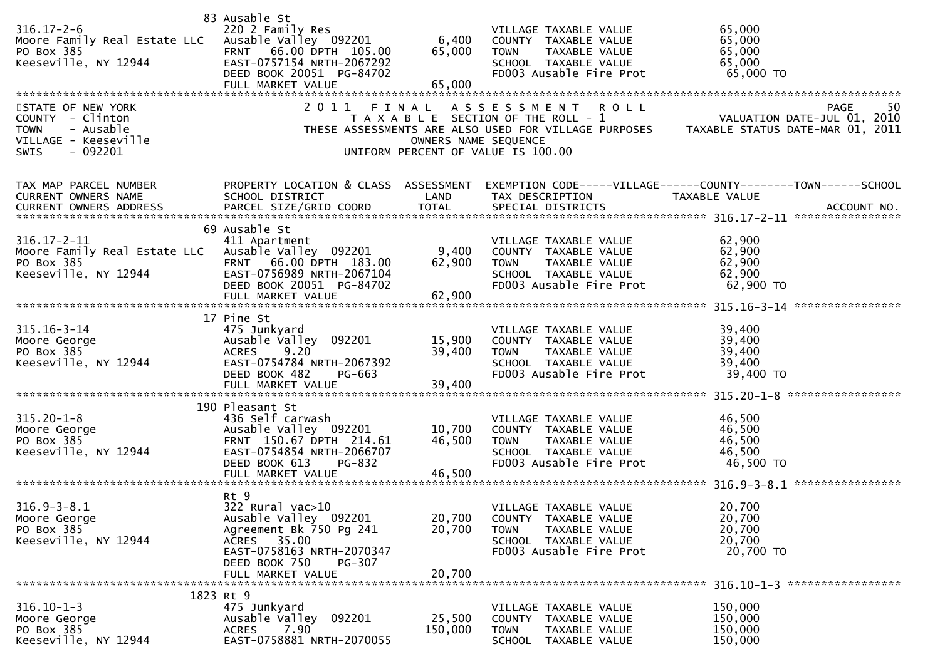| $316.17 - 2 - 6$<br>Moore Family Real Estate LLC Ausable Valley 092201<br>PO Box 385<br>Keeseville, NY 12944<br>STATE OF NEW YORK<br>COUNTY - Clinton<br><b>TOWN</b><br>- Ausable<br>VILLAGE - Keeseville | 83 Ausable St<br>220 2 Family Res<br>FRNT 66.00 DPTH 105.00<br>EAST-0757154 NRTH-2067292<br>DEED BOOK 20051 PG-84702<br>FULL MARKET VALUE<br>2011 FINAL                  | 6,400<br>65,000<br>65,000<br>OWNERS NAME SEQUENCE | VILLAGE TAXABLE VALUE<br>COUNTY TAXABLE VALUE<br><b>TOWN</b><br>TAXABLE VALUE<br>SCHOOL TAXABLE VALUE<br>FD003 Ausable Fire Prot<br>ASSESSMENT ROLL<br>T A X A B L E SECTION OF THE ROLL - 1<br>THESE ASSESSMENTS ARE ALSO USED FOR VILLAGE PURPOSES | 65,000<br>65,000<br>65,000<br>65,000<br>65,000 TO<br>50<br>PAGE<br>VALUATION DATE-JUL 01, 2010<br>TAXABLE STATUS DATE-MAR 01, 2011 |
|-----------------------------------------------------------------------------------------------------------------------------------------------------------------------------------------------------------|--------------------------------------------------------------------------------------------------------------------------------------------------------------------------|---------------------------------------------------|------------------------------------------------------------------------------------------------------------------------------------------------------------------------------------------------------------------------------------------------------|------------------------------------------------------------------------------------------------------------------------------------|
| $-092201$<br><b>SWIS</b><br>TAX MAP PARCEL NUMBER                                                                                                                                                         |                                                                                                                                                                          |                                                   | UNIFORM PERCENT OF VALUE IS 100.00                                                                                                                                                                                                                   | PROPERTY LOCATION & CLASS ASSESSMENT EXEMPTION CODE-----VILLAGE------COUNTY-------TOWN------SCHOOL                                 |
| CURRENT OWNERS NAME<br>CURRENT OWNERS ADDRESS                                                                                                                                                             | SCHOOL DISTRICT                                                                                                                                                          | LAND                                              | TAX DESCRIPTION                                                                                                                                                                                                                                      | TAXABLE VALUE                                                                                                                      |
| $316.17 - 2 - 11$<br>Moore Family Real Estate LLC Ausable Valley 092201<br>PO Box 385<br>Keeseville, NY 12944                                                                                             | 69 Ausable St<br>411 Apartment<br>FRNT 66.00 DPTH 183.00<br>EAST-0756989 NRTH-2067104<br>DEED BOOK 20051 PG-84702                                                        | 9,400<br>62,900                                   | VILLAGE TAXABLE VALUE<br>COUNTY TAXABLE VALUE<br>TAXABLE VALUE<br><b>TOWN</b><br>SCHOOL TAXABLE VALUE<br>FD003 Ausable Fire Prot                                                                                                                     | 62,900<br>62,900<br>62,900<br>62,900<br>62,900 TO                                                                                  |
| $315.16 - 3 - 14$<br>Moore George<br>PO Box 385<br>Keeseville, NY 12944                                                                                                                                   | 17 Pine St<br>475 Junkyard<br>Ausable Valley 092201<br>9.20<br><b>ACRES</b><br>EAST-0754784 NRTH-2067392<br>DEED BOOK 482<br>PG-663<br>FULL MARKET VALUE                 | 15,900<br>39,400<br>39,400                        | VILLAGE TAXABLE VALUE<br>COUNTY TAXABLE VALUE<br>TAXABLE VALUE<br><b>TOWN</b><br>SCHOOL TAXABLE VALUE<br>FD003 Ausable Fire Prot                                                                                                                     | 39,400<br>39,400<br>39,400<br>39,400<br>39,400 TO                                                                                  |
| $315.20 - 1 - 8$<br>Moore George<br>PO Box 385<br>Keeseville, NY 12944                                                                                                                                    | 190 Pleasant St<br>436 Self carwash<br>Ausable Valley 092201<br>FRNT 150.67 DPTH 214.61<br>EAST-0754854 NRTH-2066707<br>DEED BOOK 613<br>PG-832<br>FULL MARKET VALUE     | 10,700<br>46,500<br>46,500                        | VILLAGE TAXABLE VALUE<br>COUNTY TAXABLE VALUE<br><b>TOWN</b><br>TAXABLE VALUE<br>SCHOOL TAXABLE VALUE<br>FD003 Ausable Fire Prot                                                                                                                     | 46,500<br>46,500<br>46,500<br>46,500<br>46,500 TO                                                                                  |
| $316.9 - 3 - 8.1$<br>Moore George<br>PO Box 385<br>Keeseville, NY 12944                                                                                                                                   | Rt 9<br>322 Rural vac>10<br>Ausable Valley 092201<br>Agreement Bk 750 Pg 241<br>ACRES 35.00<br>EAST-0758163 NRTH-2070347<br>DEED BOOK 750<br>PG-307<br>FULL MARKET VALUE | 20,700<br>20,700<br>20,700                        | VILLAGE TAXABLE VALUE<br>COUNTY TAXABLE VALUE<br><b>TOWN</b><br>TAXABLE VALUE<br>SCHOOL TAXABLE VALUE<br>FD003 Ausable Fire Prot                                                                                                                     | 20,700<br>20,700<br>20,700<br>20,700<br>20,700 TO                                                                                  |
| $316.10 - 1 - 3$                                                                                                                                                                                          | 1823 Rt 9<br>475 Junkyard                                                                                                                                                |                                                   | VILLAGE TAXABLE VALUE                                                                                                                                                                                                                                | 150,000                                                                                                                            |
| Moore George<br>PO Box 385<br>Keeseville, NY 12944                                                                                                                                                        | Ausable Valley 092201<br>7.90<br><b>ACRES</b><br>EAST-0758881 NRTH-2070055                                                                                               | 25,500<br>150,000                                 | COUNTY TAXABLE VALUE<br><b>TOWN</b><br>TAXABLE VALUE<br>SCHOOL TAXABLE VALUE                                                                                                                                                                         | 150,000<br>150,000<br>150,000                                                                                                      |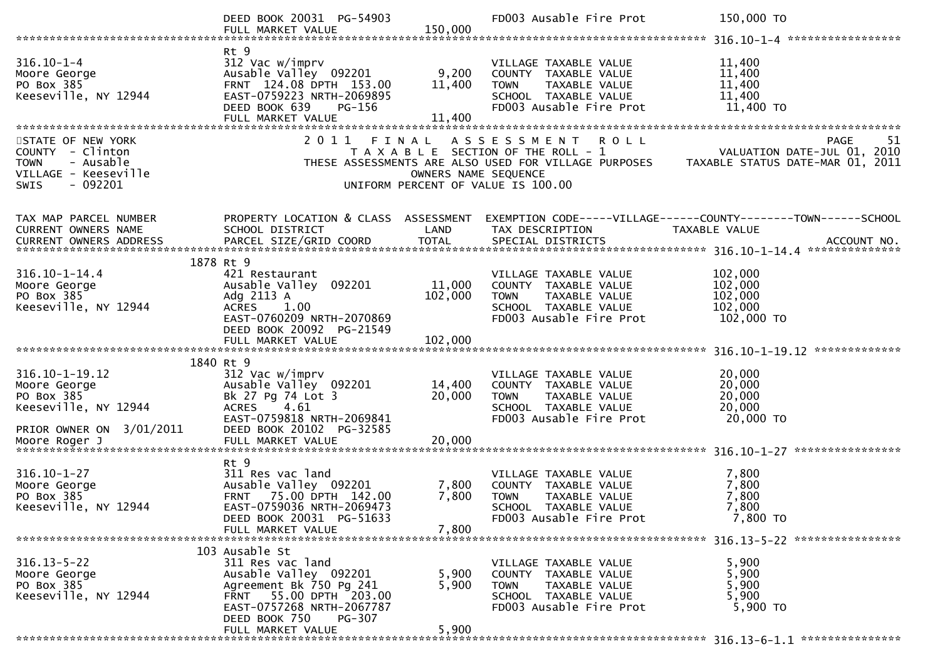|                                                                                                               | DEED BOOK 20031 PG-54903<br>FULL MARKET VALUE                                                                                                               | 150,000                       | FD003 Ausable Fire Prot                                                                                                                 | 150,000 TO                                                                                                                                                                      |
|---------------------------------------------------------------------------------------------------------------|-------------------------------------------------------------------------------------------------------------------------------------------------------------|-------------------------------|-----------------------------------------------------------------------------------------------------------------------------------------|---------------------------------------------------------------------------------------------------------------------------------------------------------------------------------|
|                                                                                                               |                                                                                                                                                             |                               |                                                                                                                                         |                                                                                                                                                                                 |
| $316.10 - 1 - 4$<br>Moore George<br>PO Box 385<br>Keeseville, NY 12944                                        | Rt 9<br>312 Vac w/imprv<br>Ausable Valley 092201<br>FRNT 124.08 DPTH 153.00<br>EAST-0759223 NRTH-2069895<br>DEED BOOK 639<br>PG-156<br>FULL MARKET VALUE    | 9,200<br>11,400<br>11,400     | VILLAGE TAXABLE VALUE<br>COUNTY TAXABLE VALUE<br>TAXABLE VALUE<br><b>TOWN</b><br>SCHOOL TAXABLE VALUE<br>FD003 Ausable Fire Prot        | 11,400<br>11,400<br>11,400<br>11,400<br>11,400 TO                                                                                                                               |
|                                                                                                               |                                                                                                                                                             |                               |                                                                                                                                         |                                                                                                                                                                                 |
| STATE OF NEW YORK<br>COUNTY - Clinton<br>- Ausable<br><b>TOWN</b><br>VILLAGE - Keeseville<br>- 092201<br>SWIS | 2011                                                                                                                                                        | FINAL<br>OWNERS NAME SEQUENCE | A S S E S S M E N T<br><b>ROLL</b><br>UNIFORM PERCENT OF VALUE IS 100.00                                                                | <b>PAGE</b><br>51<br>T A X A B L E SECTION OF THE ROLL - 1 VALUATION DATE-JUL 01, 2010<br>THESE ASSESSMENTS ARE ALSO USED FOR VILLAGE PURPOSES TAXABLE STATUS DATE-MAR 01, 2011 |
| TAX MAP PARCEL NUMBER                                                                                         | PROPERTY LOCATION & CLASS ASSESSMENT                                                                                                                        |                               |                                                                                                                                         | EXEMPTION CODE-----VILLAGE------COUNTY--------TOWN------SCHOOL                                                                                                                  |
| CURRENT OWNERS NAME                                                                                           | SCHOOL DISTRICT                                                                                                                                             | LAND                          | TAX DESCRIPTION                                                                                                                         | TAXABLE VALUE                                                                                                                                                                   |
| <b>CURRENT OWNERS ADDRESS</b>                                                                                 | PARCEL SIZE/GRID COORD                                                                                                                                      | <b>TOTAL</b>                  | SPECIAL DISTRICTS                                                                                                                       | ACCOUNT NO.                                                                                                                                                                     |
|                                                                                                               |                                                                                                                                                             |                               |                                                                                                                                         |                                                                                                                                                                                 |
| $316.10 - 1 - 14.4$<br>Moore George<br>PO Box 385<br>Keeseville, NY 12944                                     | 1878 Rt 9<br>421 Restaurant<br>Ausable Valley 092201<br>Adg 2113 A<br><b>ACRES</b><br>1.00<br>EAST-0760209 NRTH-2070869<br>DEED BOOK 20092 PG-21549         | 11,000<br>102,000             | VILLAGE TAXABLE VALUE<br>COUNTY TAXABLE VALUE<br><b>TOWN</b><br>TAXABLE VALUE<br>SCHOOL TAXABLE VALUE<br>FD003 Ausable Fire Prot        | 102,000<br>102,000<br>102,000<br>102,000<br>102,000 TO                                                                                                                          |
|                                                                                                               | FULL MARKET VALUE                                                                                                                                           | 102,000                       |                                                                                                                                         |                                                                                                                                                                                 |
|                                                                                                               |                                                                                                                                                             |                               |                                                                                                                                         |                                                                                                                                                                                 |
| $316.10 - 1 - 19.12$<br>Moore George<br>PO Box 385<br>Keeseville, NY 12944<br>PRIOR OWNER ON 3/01/2011        | 1840 Rt 9<br>312 Vac w/imprv<br>Ausable Valley 092201<br>Bk 27 Pg 74 Lot 3<br>4.61<br><b>ACRES</b><br>EAST-0759818 NRTH-2069841<br>DEED BOOK 20102 PG-32585 | 14,400<br>20,000              | VILLAGE TAXABLE VALUE<br>COUNTY TAXABLE VALUE<br>TAXABLE VALUE<br><b>TOWN</b><br>SCHOOL TAXABLE VALUE<br>FD003 Ausable Fire Prot        | 20,000<br>20,000<br>20,000<br>20,000<br>20,000 TO                                                                                                                               |
| Moore Roger J                                                                                                 | FULL MARKET VALUE                                                                                                                                           | 20,000                        |                                                                                                                                         |                                                                                                                                                                                 |
| $316.10 - 1 - 27$<br>Moore George<br>PO Box 385<br>Keeseville, NY 12944                                       | Rt 9<br>311 Res vac land<br>Ausable Valley 092201<br>FRNT 75.00 DPTH 142.00<br>EAST-0759036 NRTH-2069473<br>DEED BOOK 20031 PG-51633<br>FULL MARKET VALUE   | 7,800<br>7,800<br>7,800       | VILLAGE TAXABLE VALUE<br>COUNTY TAXABLE VALUE<br><b>TOWN</b><br><b>TAXABLE VALUE</b><br>SCHOOL TAXABLE VALUE<br>FD003 Ausable Fire Prot | 7,800<br>7,800<br>7,800<br>7,800<br>7,800 TO                                                                                                                                    |
|                                                                                                               | 103 Ausable St                                                                                                                                              |                               |                                                                                                                                         |                                                                                                                                                                                 |
| $316.13 - 5 - 22$<br>Moore George<br>PO Box 385<br>Keeseville, NY 12944                                       | 311 Res vac land<br>Ausable Valley 092201<br>Agreement Bk 750 Pg 241<br>FRNT 55.00 DPTH 203.00<br>EAST-0757268 NRTH-2067787<br>DEED BOOK 750<br>PG-307      | 5,900<br>5,900                | VILLAGE TAXABLE VALUE<br>COUNTY TAXABLE VALUE<br><b>TOWN</b><br>TAXABLE VALUE<br>SCHOOL TAXABLE VALUE<br>FD003 Ausable Fire Prot        | 5,900<br>5,900<br>5,900<br>5,900<br>5,900 TO                                                                                                                                    |
|                                                                                                               | FULL MARKET VALUE                                                                                                                                           | 5,900                         |                                                                                                                                         |                                                                                                                                                                                 |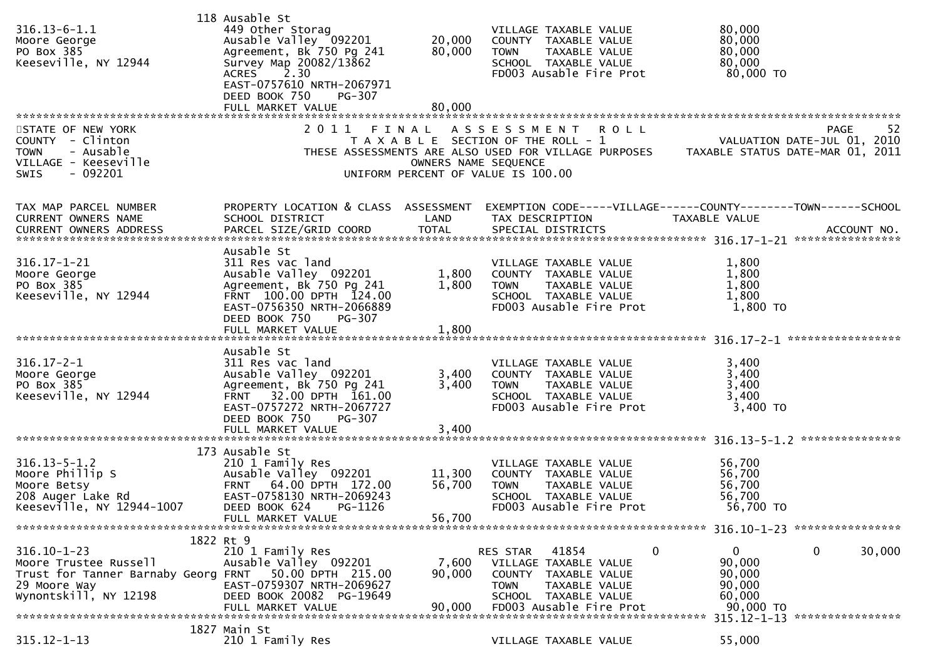| $316.13 - 6 - 1.1$                                                  | 118 Ausable St<br>449 Other Storag                   |                      | VILLAGE TAXABLE VALUE                                | 80,000                                                                                                                                                     |
|---------------------------------------------------------------------|------------------------------------------------------|----------------------|------------------------------------------------------|------------------------------------------------------------------------------------------------------------------------------------------------------------|
| Moore George                                                        |                                                      | 20,000               | COUNTY TAXABLE VALUE                                 | 80,000                                                                                                                                                     |
| PO Box 385                                                          | Ausable Valley 092201<br>Agreement, Bk 750 Pg 241    | 80,000               | <b>TOWN</b><br>TAXABLE VALUE                         | 80,000                                                                                                                                                     |
| Keeseville, NY 12944                                                | Survey Map 20082/13862                               |                      | SCHOOL TAXABLE VALUE                                 | 80,000                                                                                                                                                     |
|                                                                     | <b>ACRES</b><br>2.30<br>EAST-0757610 NRTH-2067971    |                      | FD003 Ausable Fire Prot                              | 80,000 TO                                                                                                                                                  |
|                                                                     | DEED BOOK 750<br>PG-307                              |                      |                                                      |                                                                                                                                                            |
|                                                                     | FULL MARKET VALUE                                    | 80,000               |                                                      |                                                                                                                                                            |
|                                                                     |                                                      |                      |                                                      |                                                                                                                                                            |
| STATE OF NEW YORK<br>COUNTY - Clinton                               | 2011                                                 | FINAL                | ASSESSMENT ROLL                                      | <b>PAGE</b><br>52.                                                                                                                                         |
| - Ausable<br><b>TOWN</b>                                            |                                                      |                      |                                                      | T A X A B L E SECTION OF THE ROLL - 1 VALUATION DATE-JUL 01, 2010<br>THESE ASSESSMENTS ARE ALSO USED FOR VILLAGE PURPOSES TAXABLE STATUS DATE-MAR 01, 2011 |
| VILLAGE - Keeseville                                                |                                                      | OWNERS NAME SEQUENCE |                                                      |                                                                                                                                                            |
| SWIS<br>- 092201                                                    |                                                      |                      | UNIFORM PERCENT OF VALUE IS 100.00                   |                                                                                                                                                            |
|                                                                     |                                                      |                      |                                                      |                                                                                                                                                            |
| TAX MAP PARCEL NUMBER                                               |                                                      |                      |                                                      | PROPERTY LOCATION & CLASS ASSESSMENT EXEMPTION CODE-----VILLAGE------COUNTY--------TOWN------SCHOOL                                                        |
| CURRENT OWNERS NAME                                                 | SCHOOL DISTRICT                                      | LAND                 | TAX DESCRIPTION                                      | TAXABLE VALUE                                                                                                                                              |
| <b>CURRENT OWNERS ADDRESS</b>                                       |                                                      |                      |                                                      |                                                                                                                                                            |
|                                                                     | Ausable St                                           |                      |                                                      |                                                                                                                                                            |
| $316.17 - 1 - 21$                                                   | 311 Res vac land                                     |                      | VILLAGE TAXABLE VALUE                                | 1,800                                                                                                                                                      |
| Moore George                                                        | Ausable Valley 092201                                | 1,800                | COUNTY TAXABLE VALUE                                 | 1,800                                                                                                                                                      |
| PO Box 385                                                          | Agreement, Bk 750 Pg 241                             | 1,800                | <b>TOWN</b><br>TAXABLE VALUE                         | 1,800                                                                                                                                                      |
| Keeseville, NY 12944                                                | FRNT 100.00 DPTH 124.00<br>EAST-0756350 NRTH-2066889 |                      | SCHOOL TAXABLE VALUE<br>FD003 Ausable Fire Prot      | 1,800<br>1,800 TO                                                                                                                                          |
|                                                                     | DEED BOOK 750<br>PG-307                              |                      |                                                      |                                                                                                                                                            |
|                                                                     |                                                      |                      |                                                      |                                                                                                                                                            |
|                                                                     |                                                      |                      |                                                      |                                                                                                                                                            |
| $316.17 - 2 - 1$                                                    | Ausable St<br>311 Res vac land                       |                      | VILLAGE TAXABLE VALUE                                | 3,400                                                                                                                                                      |
| Moore George                                                        | Ausable Valley 092201                                | 3,400                | COUNTY TAXABLE VALUE                                 | 3,400                                                                                                                                                      |
| PO Box 385                                                          | Agreement, Bk 750 Pg 241                             | 3,400                | TAXABLE VALUE<br><b>TOWN</b>                         | 3,400                                                                                                                                                      |
| Keeseville, NY 12944                                                | FRNT 32.00 DPTH 161.00                               |                      | SCHOOL TAXABLE VALUE                                 | 3,400                                                                                                                                                      |
|                                                                     | EAST-0757272 NRTH-2067727<br>DEED BOOK 750<br>PG-307 |                      | FD003 Ausable Fire Prot                              | 3,400 TO                                                                                                                                                   |
|                                                                     | FULL MARKET VALUE                                    | 3,400                |                                                      |                                                                                                                                                            |
|                                                                     |                                                      |                      |                                                      |                                                                                                                                                            |
|                                                                     | 173 Ausable St                                       |                      |                                                      |                                                                                                                                                            |
| $316.13 - 5 - 1.2$                                                  | 210 1 Family Res<br>Ausable Valley 092201            | 11,300               | VILLAGE TAXABLE VALUE<br>COUNTY TAXABLE VALUE        | 56,700<br>56,700                                                                                                                                           |
| 316.13-5-1.2<br>Moore Phillip S<br>Moore Betsy<br>208 Auger Lake Rd |                                                      |                      |                                                      |                                                                                                                                                            |
|                                                                     |                                                      |                      |                                                      |                                                                                                                                                            |
|                                                                     | FRNT 64.00 DPTH 172.00<br>EAST-0758130 NRTH-2069243  | 56,700               | TAXABLE VALUE<br><b>TOWN</b><br>SCHOOL TAXABLE VALUE | 56,700<br>56,700                                                                                                                                           |
| Keeseville, NY 12944-1007                                           | DEED BOOK 624<br>PG-1126                             |                      | FD003 Ausable Fire Prot                              | 56,700 TO                                                                                                                                                  |
|                                                                     | FULL MARKET VALUE                                    | 56,700               |                                                      |                                                                                                                                                            |
|                                                                     |                                                      |                      |                                                      |                                                                                                                                                            |
| $316.10 - 1 - 23$                                                   | 1822 Rt 9<br>210 1 Family Res                        |                      | 41854<br>0<br>RES STAR                               | 0<br>0<br>30,000                                                                                                                                           |
| Moore Trustee Russell                                               | Ausable Valley 092201                                | 7,600                | VILLAGE TAXABLE VALUE                                | 90,000                                                                                                                                                     |
| Trust for Tanner Barnaby Georg FRNT                                 | 50.00 DPTH 215.00                                    | 90,000               | <b>COUNTY</b><br><b>TAXABLE VALUE</b>                | 90,000                                                                                                                                                     |
| 29 Moore Way                                                        | EAST-0759307 NRTH-2069627                            |                      | <b>TOWN</b><br>TAXABLE VALUE<br>SCHOOL TAXABLE VALUE | 90,000<br>60,000                                                                                                                                           |
| Wynontskill, NY 12198                                               | DEED BOOK 20082 PG-19649<br>FULL MARKET VALUE        | 90,000               | FD003 Ausable Fire Prot                              | 90,000 TO                                                                                                                                                  |
|                                                                     |                                                      |                      |                                                      | 315.12-1-13 *****************                                                                                                                              |
| $315.12 - 1 - 13$                                                   | 1827 Main St<br>210 1 Family Res                     |                      | VILLAGE TAXABLE VALUE                                | 55,000                                                                                                                                                     |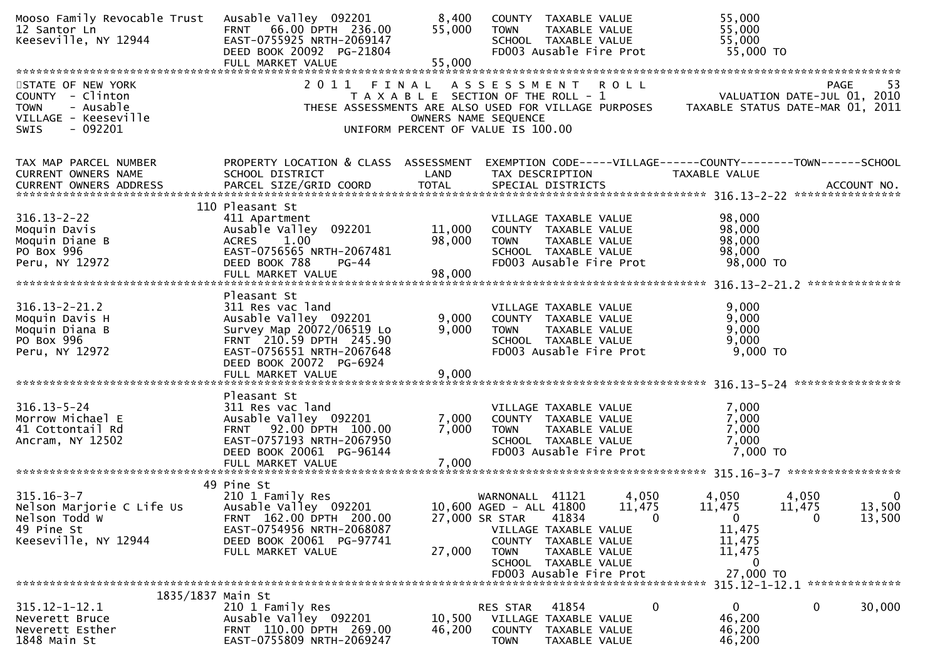| Mooso Family Revocable Trust<br>12 Santor Ln<br>Keeseville, NY 12944                                                  | Ausable Valley 092201<br>66.00 DPTH 236.00<br><b>FRNT</b><br>EAST-0755925 NRTH-2069147<br>DEED BOOK 20092 PG-21804<br>FULL MARKET VALUE                                  | 8,400<br>55,000<br>55,000 | 55,000<br>COUNTY TAXABLE VALUE<br>55,000<br><b>TOWN</b><br>TAXABLE VALUE<br>55,000<br>SCHOOL TAXABLE VALUE<br>FD003 Ausable Fire Prot<br>55,000 TO                                                                                                                                                                                                                                                  |
|-----------------------------------------------------------------------------------------------------------------------|--------------------------------------------------------------------------------------------------------------------------------------------------------------------------|---------------------------|-----------------------------------------------------------------------------------------------------------------------------------------------------------------------------------------------------------------------------------------------------------------------------------------------------------------------------------------------------------------------------------------------------|
| STATE OF NEW YORK<br>COUNTY - Clinton<br><b>TOWN</b><br>- Ausable<br>VILLAGE - Keeseville<br>$-092201$<br><b>SWIS</b> |                                                                                                                                                                          |                           | 2011 FINAL ASSESSMENT ROLL<br>53<br>PAGE<br>VALUATION DATE-JUL 01, 2010<br>T A X A B L E SECTION OF THE ROLL - 1<br>TAXABLE STATUS DATE-MAR 01, 2011<br>THESE ASSESSMENTS ARE ALSO USED FOR VILLAGE PURPOSES<br>OWNERS NAME SEQUENCE<br>UNIFORM PERCENT OF VALUE IS 100.00                                                                                                                          |
| TAX MAP PARCEL NUMBER<br>CURRENT OWNERS NAME                                                                          | PROPERTY LOCATION & CLASS ASSESSMENT<br>SCHOOL DISTRICT                                                                                                                  | LAND                      | EXEMPTION CODE-----VILLAGE------COUNTY--------TOWN------SCHOOL<br>TAX DESCRIPTION<br>TAXABLE VALUE                                                                                                                                                                                                                                                                                                  |
| $316.13 - 2 - 22$<br>Moquin Davis<br>Moquin Diane B<br>PO Box 996<br>Peru, NY 12972                                   | 110 Pleasant St<br>411 Apartment<br>Ausable Valley 092201<br><b>ACRES</b><br>1.00<br>EAST-0756565 NRTH-2067481<br>DEED BOOK 788<br>$PG-44$                               | 11,000<br>98,000          | 98,000<br>VILLAGE TAXABLE VALUE<br>98,000<br>COUNTY TAXABLE VALUE<br>98,000<br>TAXABLE VALUE<br><b>TOWN</b><br>98,000<br>SCHOOL TAXABLE VALUE<br>FD003 Ausable Fire Prot<br>98,000 TO                                                                                                                                                                                                               |
| $316.13 - 2 - 21.2$<br>Moquin Davis H<br>Moquin Diana B<br>PO Box 996<br>Peru, NY 12972                               | Pleasant St<br>311 Res vac land<br>Ausable Valley 092201<br>Survey Map 20072/06519 Lo<br>FRNT 210.59 DPTH 245.90<br>EAST-0756551 NRTH-2067648<br>DEED BOOK 20072 PG-6924 | 9,000<br>9,000            | 9,000<br>VILLAGE TAXABLE VALUE<br>9,000<br>COUNTY TAXABLE VALUE<br>9,000<br><b>TOWN</b><br>TAXABLE VALUE<br>9,000<br>SCHOOL TAXABLE VALUE<br>9,000 TO<br>FD003 Ausable Fire Prot                                                                                                                                                                                                                    |
| $316.13 - 5 - 24$<br>Morrow Michael E<br>41 Cottontail Rd<br>Ancram, NY 12502                                         | Pleasant St<br>311 Res vac land<br>Ausable Valley 092201<br>FRNT 92.00 DPTH 100.00<br>EAST-0757193 NRTH-2067950<br>DEED BOOK 20061 PG-96144                              | 7,000<br>7,000            | 7,000<br>VILLAGE TAXABLE VALUE<br>7,000<br>COUNTY TAXABLE VALUE<br>7,000<br><b>TOWN</b><br>TAXABLE VALUE<br>7,000<br>SCHOOL TAXABLE VALUE<br>FD003 Ausable Fire Prot<br>7,000 TO                                                                                                                                                                                                                    |
| $315.16 - 3 - 7$<br>Nelson Marjorie C Life Us<br>Nelson Todd W<br>49 Pine St<br>Keeseville, NY 12944                  | 49 Pine St<br>210 1 Family Res<br>Ausable Valley 092201<br>FRNT 162.00 DPTH 200.00<br>EAST-0754956 NRTH-2068087<br>DEED BOOK 20061 PG-97741<br>FULL MARKET VALUE         | 27,000                    | 4,050<br>WARNONALL 41121<br>4,050<br>4,050<br>0<br>13,500<br>10,600 AGED - ALL 41800<br>11,475<br>11,475<br>11,475<br>27,000 SR STAR<br>41834<br>$\mathbf 0$<br>$\mathbf 0$<br>$\mathbf 0$<br>13,500<br>11,475<br>VILLAGE TAXABLE VALUE<br>COUNTY TAXABLE VALUE<br>11,475<br>11,475<br><b>TOWN</b><br>TAXABLE VALUE<br>$\mathbf{0}$<br>SCHOOL TAXABLE VALUE<br>27,000 TO<br>FD003 Ausable Fire Prot |
| 1835/1837 Main St<br>$315.12 - 1 - 12.1$<br>Neverett Bruce<br>Neverett Esther<br>1848 Main St                         | 210 1 Family Res<br>Ausable Valley 092201<br>FRNT 110.00 DPTH 269.00<br>EAST-0755809 NRTH-2069247                                                                        | 10,500<br>46,200          | **************<br>0<br>$\mathbf{0}$<br>30,000<br>RES STAR<br>41854<br>0<br>46,200<br>VILLAGE TAXABLE VALUE<br>46,200<br><b>COUNTY</b><br>TAXABLE VALUE<br><b>TOWN</b><br>46,200<br>TAXABLE VALUE                                                                                                                                                                                                    |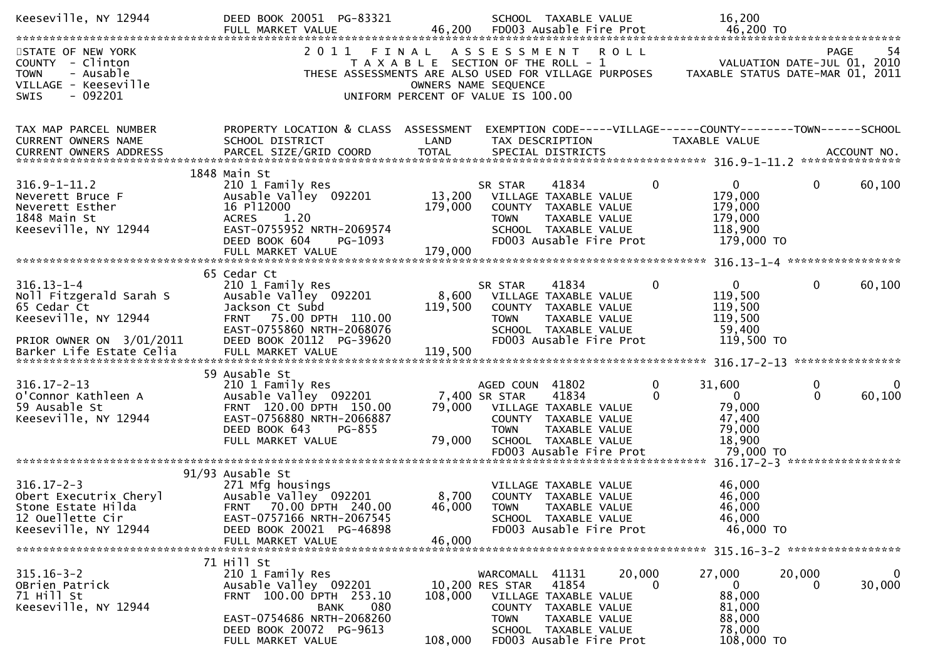| Keeseville, NY 12944                                                                                           | DEED BOOK 20051 PG-83321                                                                                                                                                              |                              | SCHOOL TAXABLE VALUE                                                                                                                                                                      |                    | 16,200                                                                       |                                                                                |
|----------------------------------------------------------------------------------------------------------------|---------------------------------------------------------------------------------------------------------------------------------------------------------------------------------------|------------------------------|-------------------------------------------------------------------------------------------------------------------------------------------------------------------------------------------|--------------------|------------------------------------------------------------------------------|--------------------------------------------------------------------------------|
| STATE OF NEW YORK<br>COUNTY - Clinton<br><b>TOWN</b><br>- Ausable<br>VILLAGE - Keeseville<br>SWIS<br>$-092201$ |                                                                                                                                                                                       |                              | 2011 FINAL ASSESSMENT ROLL<br>T A X A B L E SECTION OF THE ROLL - 1<br>THESE ASSESSMENTS ARE ALSO USED FOR VILLAGE PURPOSES<br>OWNERS NAME SEQUENCE<br>UNIFORM PERCENT OF VALUE IS 100.00 |                    |                                                                              | PAGE<br>-54<br>VALUATION DATE-JUL 01, 2010<br>TAXABLE STATUS DATE-MAR 01, 2011 |
| TAX MAP PARCEL NUMBER<br>CURRENT OWNERS NAME<br><b>CURRENT OWNERS ADDRESS</b>                                  | PROPERTY LOCATION & CLASS ASSESSMENT<br>SCHOOL DISTRICT                                                                                                                               | LAND                         | TAX DESCRIPTION                                                                                                                                                                           |                    | TAXABLE VALUE                                                                | EXEMPTION CODE-----VILLAGE------COUNTY--------TOWN------SCHOOL                 |
| $316.9 - 1 - 11.2$<br>Neverett Bruce F<br>Neverett Esther<br>1848 Main St<br>Keeseville, NY 12944              | 1848 Main St<br>210 1 Family Res<br>Ausable Valley 092201<br>16 P112000<br><b>ACRES</b><br>1.20<br>EAST-0755952 NRTH-2069574<br>DEED BOOK 604<br>PG-1093<br>FULL MARKET VALUE         | 13,200<br>179,000<br>179,000 | 41834<br>SR STAR<br>VILLAGE TAXABLE VALUE<br>COUNTY TAXABLE VALUE<br>TAXABLE VALUE<br><b>TOWN</b><br>SCHOOL TAXABLE VALUE<br>FD003 Ausable Fire Prot                                      | 0                  | $\overline{0}$<br>179,000<br>179,000<br>179,000<br>118,900<br>179,000 TO     | 60,100<br>0                                                                    |
| $316.13 - 1 - 4$<br>Noll Fitzgerald Sarah S<br>65 Cedar Ct<br>Keeseville, NY 12944<br>PRIOR OWNER ON 3/01/2011 | 65 Cedar Ct<br>210 1 Family Res<br>Ausable Valley 092201<br>Jackson Ct Subd<br>FRNT 75.00 DPTH 110.00<br>EAST-0755860 NRTH-2068076<br>DEED BOOK 20112 PG-39620                        | 8,600<br>119,500             | 41834<br>SR STAR<br>VILLAGE TAXABLE VALUE<br>COUNTY TAXABLE VALUE<br><b>TOWN</b><br>TAXABLE VALUE<br>SCHOOL TAXABLE VALUE<br>FD003 Ausable Fire Prot                                      | $\mathbf{0}$       | $\mathbf{0}$<br>119,500<br>119,500<br>119,500<br>59,400<br>119,500 TO        | $\mathbf{0}$<br>60,100                                                         |
| $316.17 - 2 - 13$<br>O'Connor Kathleen A<br>59 Ausable St<br>Keeseville, NY 12944                              | 59 Ausable St<br>210 1 Family Res<br>Ausable Valley 092201<br>FRNT 120.00 DPTH 150.00<br>EAST-0756880 NRTH-2066887<br>DEED BOOK 643<br>PG-855<br>FULL MARKET VALUE                    | 79,000<br>79,000             | AGED COUN 41802<br>7,400 SR STAR<br>41834<br>VILLAGE TAXABLE VALUE<br>COUNTY TAXABLE VALUE<br><b>TOWN</b><br>TAXABLE VALUE<br>SCHOOL TAXABLE VALUE<br>FD003 Ausable Fire Prot             | $\mathbf{0}$<br>0  | 31,600<br>$\mathbf{0}$<br>79,000<br>47,400<br>79,000<br>18,900<br>79,000 TO  | 0<br>$\Omega$<br>60,100<br>$\mathbf{0}$                                        |
| $316.17 - 2 - 3$<br>Obert Executrix Cheryl<br>Stone Estate Hilda<br>12 Ouellette Cir<br>Keeseville, NY 12944   | 91/93 Ausable St<br>271 Mfg housings<br>Ausable Valley 092201<br>FRNT 70.00 DPTH 240.00<br>EAST-0757166 NRTH-2067545<br>DEED BOOK 20021 PG-46898<br>FULL MARKET VALUE                 | 46,000                       | VILLAGE TAXABLE VALUE<br>8,700 COUNTY TAXABLE VALUE<br>46,000 TOWN TAXABLE VALUE<br>SCHOOL TAXABLE VALUE<br>FD003 Ausable Fire Prot                                                       |                    | 46,000<br>46,000<br>46,000<br>46,000<br>46,000 TO                            |                                                                                |
| $315.16 - 3 - 2$<br>OBrien Patrick<br>71 Hill St<br>Keeseville, NY 12944                                       | 71 Hill St<br>210 1 Family Res<br>Ausable Valley 092201<br>FRNT 100.00 DPTH 253.10<br><b>BANK</b><br>080<br>EAST-0754686 NRTH-2068260<br>DEED BOOK 20072 PG-9613<br>FULL MARKET VALUE | 108,000<br>108,000           | WARCOMALL 41131<br>41854<br>10,200 RES STAR<br>VILLAGE TAXABLE VALUE<br>COUNTY TAXABLE VALUE<br><b>TOWN</b><br>TAXABLE VALUE<br>SCHOOL TAXABLE VALUE<br>FD003 Ausable Fire Prot           | 20,000<br>$\Omega$ | 27,000<br>$\mathbf{0}$<br>88,000<br>81,000<br>88,000<br>78,000<br>108,000 TO | 20,000<br>$\bf{0}$<br>30,000<br>$\Omega$                                       |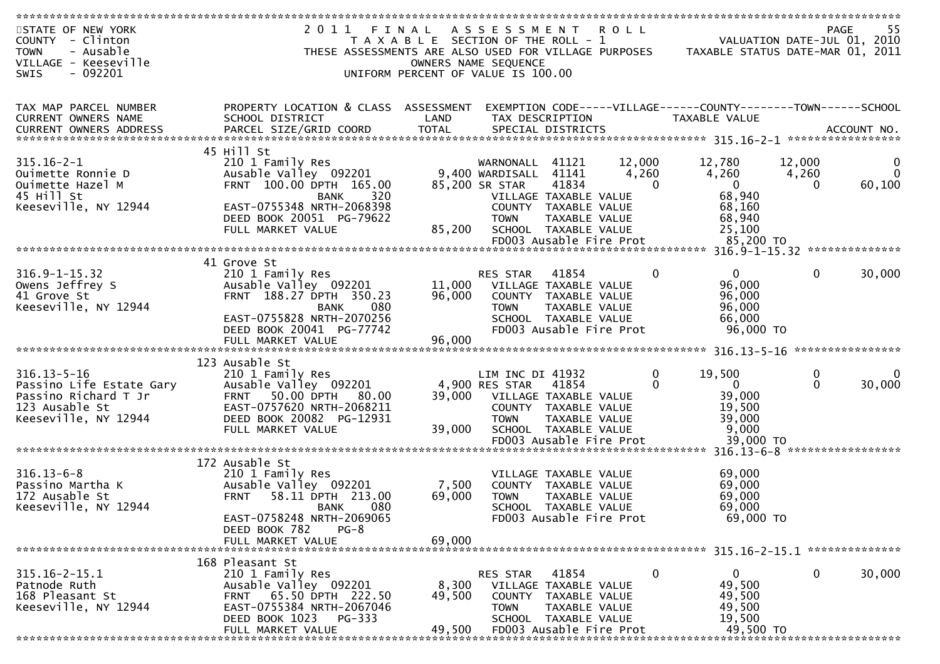| STATE OF NEW YORK        | 2011                                                  | FINAL                                 | A S S E S S M E N T                             |                         | <b>ROLL</b> |                                                                |                             | -55<br>PAGE       |
|--------------------------|-------------------------------------------------------|---------------------------------------|-------------------------------------------------|-------------------------|-------------|----------------------------------------------------------------|-----------------------------|-------------------|
| COUNTY - Clinton         |                                                       | T A X A B L E SECTION OF THE ROLL - 1 |                                                 |                         |             |                                                                | VALUATION DATE-JUL 01, 2010 |                   |
| - Ausable<br><b>TOWN</b> | THESE ASSESSMENTS ARE ALSO USED FOR VILLAGE PURPOSES  |                                       |                                                 |                         |             | TAXABLE STATUS DATE-MAR 01, 2011                               |                             |                   |
| VILLAGE - Keeseville     |                                                       |                                       | OWNERS NAME SEQUENCE                            |                         |             |                                                                |                             |                   |
| $-092201$<br><b>SWIS</b> |                                                       | UNIFORM PERCENT OF VALUE IS 100.00    |                                                 |                         |             |                                                                |                             |                   |
|                          |                                                       |                                       |                                                 |                         |             |                                                                |                             |                   |
| TAX MAP PARCEL NUMBER    | PROPERTY LOCATION & CLASS ASSESSMENT                  |                                       |                                                 |                         |             | EXEMPTION CODE-----VILLAGE------COUNTY--------TOWN------SCHOOL |                             |                   |
| CURRENT OWNERS NAME      | SCHOOL DISTRICT                                       | LAND                                  | TAX DESCRIPTION                                 |                         |             | TAXABLE VALUE                                                  |                             |                   |
|                          |                                                       |                                       |                                                 |                         |             |                                                                |                             |                   |
|                          |                                                       |                                       |                                                 |                         |             |                                                                |                             |                   |
|                          | 45 Hill St                                            |                                       |                                                 |                         |             |                                                                |                             |                   |
| $315.16 - 2 - 1$         | 210 1 Family Res                                      |                                       | WARNONALL                                       | 41121                   | 12,000      | 12,780                                                         | 12,000                      |                   |
| Ouimette Ronnie D        | Ausable Valley 092201                                 |                                       | 9,400 WARDISALL                                 | 41141                   | 4,260       | 4,260                                                          | 4,260                       |                   |
| Ouimette Hazel M         | FRNT 100.00 DPTH 165.00                               |                                       | 85,200 SR STAR                                  | 41834                   | $\Omega$    | $\mathbf{0}$                                                   | 0                           | 60,100            |
| 45 Hill St               | BANK<br>320<br>EAST-0755348 NRTH-2068398              |                                       | VILLAGE TAXABLE VALUE                           |                         |             | 68,940                                                         |                             |                   |
| Keeseville, NY 12944     | DEED BOOK 20051 PG-79622                              |                                       | COUNTY TAXABLE VALUE<br><b>TOWN</b>             | TAXABLE VALUE           |             | 68,160<br>68,940                                               |                             |                   |
|                          | FULL MARKET VALUE                                     | 85,200                                | SCHOOL TAXABLE VALUE                            |                         |             | 25,100                                                         |                             |                   |
|                          |                                                       |                                       | FD003 Ausable Fire Prot                         |                         |             | 85,200 TO                                                      |                             |                   |
|                          |                                                       |                                       |                                                 |                         |             |                                                                |                             |                   |
|                          | 41 Grove St                                           |                                       |                                                 |                         |             |                                                                |                             |                   |
| $316.9 - 1 - 15.32$      | 210 1 Family Res                                      |                                       | <b>RES STAR</b>                                 | 41854                   | $\Omega$    | $\overline{0}$                                                 | $\mathbf{0}$                | 30,000            |
| Owens Jeffrey S          | Ausable Valley 092201                                 | 11,000                                | VILLAGE TAXABLE VALUE                           |                         |             | 96,000                                                         |                             |                   |
| 41 Grove St              | FRNT 188.27 DPTH 350.23                               | 96,000                                | COUNTY TAXABLE VALUE                            |                         |             | 96,000                                                         |                             |                   |
| Keeseville, NY 12944     | 080<br><b>BANK</b>                                    |                                       | <b>TOWN</b>                                     | TAXABLE VALUE           |             | 96,000                                                         |                             |                   |
|                          | EAST-0755828 NRTH-2070256<br>DEED BOOK 20041 PG-77742 |                                       | SCHOOL TAXABLE VALUE<br>FD003 Ausable Fire Prot |                         |             | 66,000<br>96,000 TO                                            |                             |                   |
|                          |                                                       |                                       |                                                 |                         |             |                                                                |                             |                   |
|                          |                                                       |                                       |                                                 |                         |             |                                                                |                             | ****************  |
|                          | 123 Ausable St                                        |                                       |                                                 |                         |             |                                                                |                             |                   |
| $316.13 - 5 - 16$        | 210 1 Family Res                                      |                                       | LIM INC DI 41932                                |                         | 0           | 19,500                                                         | 0                           | 0                 |
| Passino Life Estate Gary | Ausable Valley 092201                                 |                                       | 4,900 RES STAR                                  | 41854                   | 0           | $\Omega$                                                       | $\Omega$                    | 30,000            |
| Passino Richard T Jr     | 50.00 DPTH<br><b>FRNT</b><br>80.00                    | 39,000                                | VILLAGE TAXABLE VALUE                           |                         |             | 39,000                                                         |                             |                   |
| 123 Ausable St           | EAST-0757620 NRTH-2068211                             |                                       | COUNTY TAXABLE VALUE                            |                         |             | 19,500                                                         |                             |                   |
| Keeseville, NY 12944     | DEED BOOK 20082 PG-12931                              |                                       | <b>TOWN</b>                                     | TAXABLE VALUE           |             | 39,000                                                         |                             |                   |
|                          | FULL MARKET VALUE                                     | 39,000                                | SCHOOL TAXABLE VALUE<br>FD003 Ausable Fire Prot |                         |             | 9,000<br>39,000 TO                                             |                             |                   |
|                          |                                                       |                                       |                                                 |                         |             |                                                                |                             | ***************** |
|                          | 172 Ausable St                                        |                                       |                                                 |                         |             |                                                                |                             |                   |
| $316.13 - 6 - 8$         | 210 1 Family Res                                      |                                       | VILLAGE TAXABLE VALUE                           |                         |             | 69,000                                                         |                             |                   |
| Passino Martha K         | Ausable Valley 092201                                 | 7,500                                 | COUNTY TAXABLE VALUE                            |                         |             | 69,000                                                         |                             |                   |
| 172 Ausable St           | 58.11 DPTH 213.00<br><b>FRNT</b>                      | 69,000                                | <b>TOWN</b>                                     | TAXABLE VALUE           |             | 69,000                                                         |                             |                   |
| Keeseville, NY 12944     | 080<br><b>BANK</b>                                    |                                       | SCHOOL TAXABLE VALUE                            |                         |             | 69,000                                                         |                             |                   |
|                          | EAST-0758248 NRTH-2069065                             |                                       | FD003 Ausable Fire Prot                         |                         |             | 69,000 TO                                                      |                             |                   |
|                          | DEED BOOK 782<br>$PG-8$                               | 69,000                                |                                                 |                         |             |                                                                |                             |                   |
|                          | FULL MARKET VALUE                                     |                                       |                                                 |                         |             |                                                                |                             | **************    |
|                          | 168 Pleasant St                                       |                                       |                                                 |                         |             |                                                                |                             |                   |
| $315.16 - 2 - 15.1$      | 210 1 Family Res                                      |                                       | <b>RES STAR</b>                                 | 41854                   | 0           | 0                                                              | 0                           | 30,000            |
| Patnode Ruth             | Ausable Valley 092201                                 | 8,300                                 | VILLAGE TAXABLE VALUE                           |                         |             | 49,500                                                         |                             |                   |
| 168 Pleasant St          | 65.50 DPTH 222.50<br><b>FRNT</b>                      | 49,500                                | <b>COUNTY</b>                                   | TAXABLE VALUE           |             | 49,500                                                         |                             |                   |
| Keeseville, NY 12944     | EAST-0755384 NRTH-2067046                             |                                       | <b>TOWN</b>                                     | TAXABLE VALUE           |             | 49,500                                                         |                             |                   |
|                          | DEED BOOK 1023<br>PG-333                              |                                       | SCHOOL TAXABLE VALUE                            |                         |             | 19,500                                                         |                             |                   |
|                          | FULL MARKET VALUE                                     | 49,500                                |                                                 | FD003 Ausable Fire Prot |             | 49,500 TO                                                      |                             |                   |
|                          |                                                       |                                       |                                                 |                         |             |                                                                |                             |                   |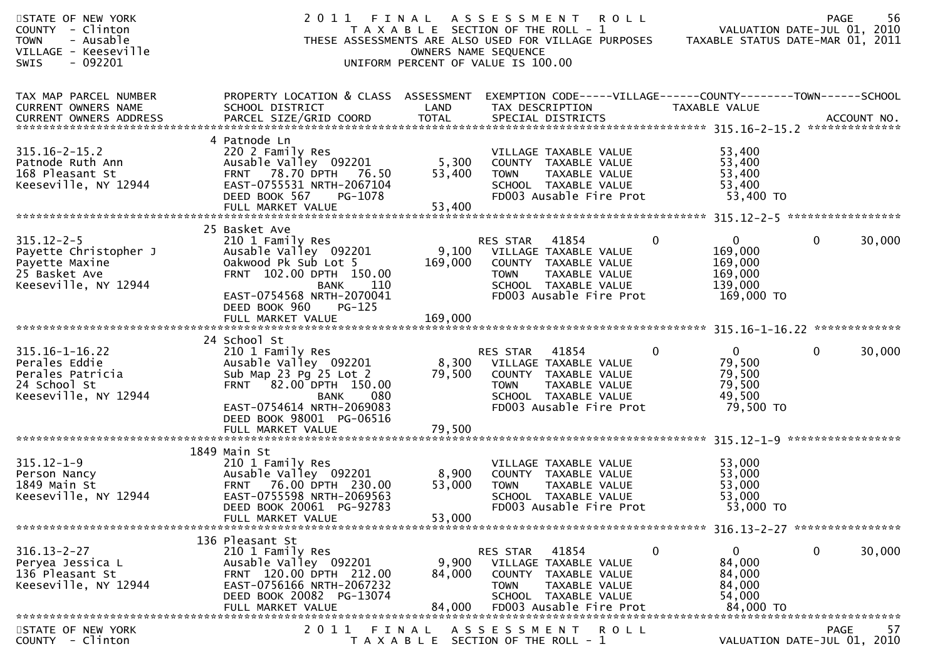| STATE OF NEW YORK<br>COUNTY - Clinton<br>- Ausable<br><b>TOWN</b><br>VILLAGE - Keeseville<br>- 092201<br><b>SWIS</b> | 2011 FINAL                                                                                                                                                                                                    |                           | ASSESSMENT ROLL<br>T A X A B L E SECTION OF THE ROLL - 1<br>THESE ASSESSMENTS ARE ALSO USED FOR VILLAGE PURPOSES<br>OWNERS NAME SEQUENCE<br>UNIFORM PERCENT OF VALUE IS 100.00 |               | VALUATION DATE-JUL 01, 2010<br>TAXABLE STATUS DATE-MAR 01, 2011                     | 56<br><b>PAGE</b> |
|----------------------------------------------------------------------------------------------------------------------|---------------------------------------------------------------------------------------------------------------------------------------------------------------------------------------------------------------|---------------------------|--------------------------------------------------------------------------------------------------------------------------------------------------------------------------------|---------------|-------------------------------------------------------------------------------------|-------------------|
| TAX MAP PARCEL NUMBER<br><b>CURRENT OWNERS NAME</b><br><b>CURRENT OWNERS ADDRESS</b>                                 | PROPERTY LOCATION & CLASS ASSESSMENT<br>SCHOOL DISTRICT                                                                                                                                                       | LAND                      | EXEMPTION CODE-----VILLAGE------COUNTY--------TOWN------SCHOOL<br>TAX DESCRIPTION                                                                                              | TAXABLE VALUE |                                                                                     |                   |
| $315.16 - 2 - 15.2$<br>Patnode Ruth Ann<br>168 Pleasant St<br>Keeseville, NY 12944                                   | 4 Patnode Ln<br>220 2 Family Res<br>Ausable Valley 092201<br>FRNT 78.70 DPTH 76.50<br>EAST-0755531 NRTH-2067104<br>DEED BOOK 567<br>PG-1078                                                                   | 5,300<br>53,400           | VILLAGE TAXABLE VALUE<br>COUNTY TAXABLE VALUE<br>TAXABLE VALUE<br><b>TOWN</b><br>SCHOOL TAXABLE VALUE<br>FD003 Ausable Fire Prot                                               |               | 53,400<br>53,400<br>53,400<br>53,400<br>53,400 TO                                   |                   |
| $315.12 - 2 - 5$<br>Payette Christopher J<br>Payette Maxine<br>25 Basket Ave<br>Keeseville, NY 12944                 | 25 Basket Ave<br>210 1 Family Res<br>Ausable Valley 092201<br>Oakwood Pk Sub Lot 5<br>FRNT 102.00 DPTH 150.00<br>- 110<br>BANK<br>EAST-0754568 NRTH-2070041<br>DEED BOOK 960<br>$PG-125$<br>FULL MARKET VALUE | 169,000<br>169,000        | 41854<br>RES STAR<br>9,100 VILLAGE TAXABLE VALUE<br>COUNTY TAXABLE VALUE<br><b>TOWN</b><br><b>TAXABLE VALUE</b><br>SCHOOL TAXABLE VALUE<br>FD003 Ausable Fire Prot             | $\mathbf{0}$  | 0<br>$\mathbf{0}$<br>169,000<br>169,000<br>169,000<br>139,000<br>169,000 TO         | 30,000            |
| $315.16 - 1 - 16.22$<br>Perales Eddie<br>Perales Patricia<br>24 School St<br>Keeseville, NY 12944                    | 24 School St<br>210 1 Family Res<br>Ausable Valley 092201<br>Sub Map 23 Pg 25 Lot 2<br>FRNT 82.00 DPTH 150.00<br>080<br>BANK<br>EAST-0754614 NRTH-2069083<br>DEED BOOK 98001 PG-06516                         | 79,500                    | RES STAR<br>41854<br>8,300 VILLAGE TAXABLE VALUE<br>COUNTY TAXABLE VALUE<br>TAXABLE VALUE<br><b>TOWN</b><br>SCHOOL TAXABLE VALUE<br>FD003 Ausable Fire Prot                    | $\mathbf{0}$  | $\overline{0}$<br>$\mathbf{0}$<br>79,500<br>79,500<br>79,500<br>49,500<br>79,500 TO | 30,000            |
|                                                                                                                      | FULL MARKET VALUE                                                                                                                                                                                             | 79,500                    |                                                                                                                                                                                |               |                                                                                     | ***************** |
| $315.12 - 1 - 9$<br>Person Nancy<br>1849 Main St<br>Keeseville, NY 12944                                             | 1849 Main St<br>210 1 Family Res<br>Ausable Valley 092201<br>FRNT 76.00 DPTH 230.00<br>EAST-0755598 NRTH-2069563<br>DEED BOOK 20061 PG-92783<br>FULL MARKET VALUE                                             | 8,900<br>53,000<br>53,000 | VILLAGE TAXABLE VALUE<br>COUNTY TAXABLE VALUE<br>TAXABLE VALUE<br><b>TOWN</b><br>SCHOOL TAXABLE VALUE<br>FD003 Ausable Fire Prot                                               |               | 53,000<br>53,000<br>53,000<br>53,000<br>53,000 TO                                   |                   |
|                                                                                                                      | 136 Pleasant St                                                                                                                                                                                               |                           |                                                                                                                                                                                |               |                                                                                     |                   |
| $316.13 - 2 - 27$<br>Peryea Jessica L<br>136 Pleasant St<br>Keeseville, NY 12944                                     | 210 1 Family Res<br>Ausable Valley 092201<br>FRNT 120.00 DPTH 212.00<br>EAST-0756166 NRTH-2067232<br>DEED BOOK 20082 PG-13074<br>FULL MARKET VALUE                                                            | 9,900<br>84,000<br>84,000 | RES STAR<br>41854<br>VILLAGE TAXABLE VALUE<br><b>COUNTY</b><br>TAXABLE VALUE<br>TAXABLE VALUE<br><b>TOWN</b><br>SCHOOL TAXABLE VALUE<br>FD003 Ausable Fire Prot                | 0             | 0<br>$\mathbf 0$<br>84,000<br>84,000<br>84,000<br>54,000<br>84,000 TO               | 30,000            |
| STATE OF NEW YORK                                                                                                    | 2011                                                                                                                                                                                                          | FINAL                     | A S S E S S M E N T<br><b>ROLL</b>                                                                                                                                             |               |                                                                                     | -57<br>PAGE       |
| COUNTY - Clinton                                                                                                     |                                                                                                                                                                                                               |                           | T A X A B L E SECTION OF THE ROLL - 1                                                                                                                                          |               | VALUATION DATE-JUL 01, 2010                                                         |                   |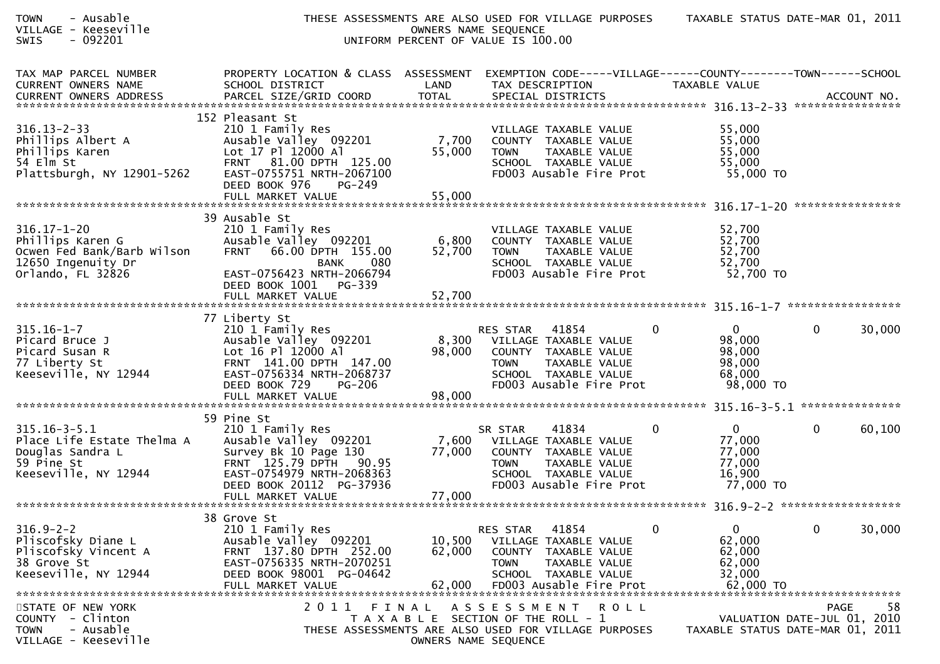| <b>TOWN</b><br>- Ausable<br>VILLAGE - Keeseville<br>$-092201$<br>SWIS                                          |                                                                                                                                                                                                 |                            | THESE ASSESSMENTS ARE ALSO USED FOR VILLAGE PURPOSES<br>OWNERS NAME SEQUENCE<br>UNIFORM PERCENT OF VALUE IS 100.00                                              |                                                                        | TAXABLE STATUS DATE-MAR 01, 2011                                                     |
|----------------------------------------------------------------------------------------------------------------|-------------------------------------------------------------------------------------------------------------------------------------------------------------------------------------------------|----------------------------|-----------------------------------------------------------------------------------------------------------------------------------------------------------------|------------------------------------------------------------------------|--------------------------------------------------------------------------------------|
| TAX MAP PARCEL NUMBER<br><b>CURRENT OWNERS NAME</b><br>CURRENT OWNERS ADDRESS                                  | PROPERTY LOCATION & CLASS ASSESSMENT<br>SCHOOL DISTRICT                                                                                                                                         | LAND                       | EXEMPTION CODE-----VILLAGE------COUNTY--------TOWN------SCHOOL<br>TAX DESCRIPTION                                                                               | TAXABLE VALUE                                                          |                                                                                      |
| $316.13 - 2 - 33$<br>Phillips Albert A<br>Phillips Karen<br>54 Elm St<br>Plattsburgh, NY 12901-5262            | 152 Pleasant St<br>210 1 Family Res<br>Ausable Valley 092201<br>Lot 17 Pl 12000 Al<br>FRNT 81.00 DPTH 125.00<br>EAST-0755751 NRTH-2067100<br>DEED BOOK 976<br>PG-249                            | 7,700<br>55,000            | VILLAGE TAXABLE VALUE<br>COUNTY TAXABLE VALUE<br><b>TOWN</b><br>TAXABLE VALUE<br>SCHOOL TAXABLE VALUE<br>FD003 Ausable Fire Prot                                | 55,000<br>55,000<br>55,000<br>55,000<br>55,000 TO                      |                                                                                      |
| $316.17 - 1 - 20$<br>Phillips Karen G<br>Ocwen Fed Bank/Barb Wilson<br>12650 Ingenuity Dr<br>Orlando, FL 32826 | 39 Ausable St<br>210 1 Family Res<br>Ausable Valley 092201<br>66.00 DPTH 155.00<br><b>FRNT</b><br>080<br><b>BANK</b><br>EAST-0756423 NRTH-2066794<br>DEED BOOK 1001 PG-339                      | 6,800<br>52,700            | VILLAGE TAXABLE VALUE<br>COUNTY TAXABLE VALUE<br>TAXABLE VALUE<br><b>TOWN</b><br>SCHOOL TAXABLE VALUE<br>FD003 Ausable Fire Prot                                | 52,700<br>52,700<br>52,700<br>52,700<br>52,700 TO                      |                                                                                      |
|                                                                                                                |                                                                                                                                                                                                 |                            |                                                                                                                                                                 |                                                                        |                                                                                      |
| $315.16 - 1 - 7$<br>Picard Bruce J<br>Picard Susan R<br>77 Liberty St<br>Keeseville, NY 12944                  | 77 Liberty St<br>210 1 Family Res<br>Ausable Valley 092201<br>Lot 16 Pl 12000 Al<br>FRNT 141.00 DPTH 147.00<br>EAST-0756334 NRTH-2068737<br>DEED BOOK 729<br><b>PG-206</b><br>FULL MARKET VALUE | 98,000<br>98,000           | 41854<br>RES STAR<br>8,300 VILLAGE TAXABLE VALUE<br>COUNTY TAXABLE VALUE<br>TAXABLE VALUE<br><b>TOWN</b><br>SCHOOL TAXABLE VALUE<br>FD003 Ausable Fire Prot     | 0<br>0<br>98,000<br>98,000<br>98,000<br>68,000<br>98,000 TO            | 30,000<br>0                                                                          |
|                                                                                                                | 59 Pine St                                                                                                                                                                                      |                            |                                                                                                                                                                 |                                                                        |                                                                                      |
| $315.16 - 3 - 5.1$<br>Place Life Estate Thelma A<br>Douglas Sandra L<br>59 Pine St<br>Keeseville, NY 12944     | 210 1 Family Res<br>Ausable Valley 092201<br>Survey Bk 10 Page 130<br>FRNT 125.79 DPTH 90.95<br>EAST-0754979 NRTH-2068363<br>DEED BOOK 20112 PG-37936<br>FULL MARKET VALUE                      | 7,600<br>77,000<br>77,000  | 41834<br>SR STAR<br>VILLAGE TAXABLE VALUE<br>COUNTY TAXABLE VALUE<br><b>TOWN</b><br>TAXABLE VALUE<br>SCHOOL TAXABLE VALUE<br>FD003 Ausable Fire Prot            | $\mathbf{0}$<br>0<br>77,000<br>77,000<br>77,000<br>16,900<br>77,000 TO | $\mathbf{0}$<br>60,100                                                               |
|                                                                                                                | 38 Grove St                                                                                                                                                                                     |                            |                                                                                                                                                                 |                                                                        |                                                                                      |
| $316.9 - 2 - 2$<br>Pliscofsky Diane L<br>Pliscofsky Vincent A<br>38 Grove St<br>Keeseville, NY 12944           | 210 1 Family Res<br>Ausable Valley 092201<br>FRNT 137.80 DPTH 252.00<br>EAST-0756335 NRTH-2070251<br>DEED BOOK 98001 PG-04642<br>FULL MARKET VALUE                                              | 10,500<br>62,000<br>62,000 | 41854<br>RES STAR<br>VILLAGE TAXABLE VALUE<br><b>COUNTY</b><br>TAXABLE VALUE<br><b>TOWN</b><br>TAXABLE VALUE<br>SCHOOL TAXABLE VALUE<br>FD003 Ausable Fire Prot | $\mathbf{0}$<br>0<br>62,000<br>62,000<br>62,000<br>32,000<br>62,000 TO | $\mathbf 0$<br>30,000                                                                |
| STATE OF NEW YORK<br>- Clinton<br><b>COUNTY</b><br>- Ausable<br><b>TOWN</b><br>VILLAGE - Keeseville            | 2 0 1 1                                                                                                                                                                                         | FINAL                      | A S S E S S M E N T<br><b>ROLL</b><br>T A X A B L E SECTION OF THE ROLL - 1<br>THESE ASSESSMENTS ARE ALSO USED FOR VILLAGE PURPOSES<br>OWNERS NAME SEQUENCE     |                                                                        | 58<br><b>PAGE</b><br>VALUATION DATE-JUL 01, 2010<br>TAXABLE STATUS DATE-MAR 01, 2011 |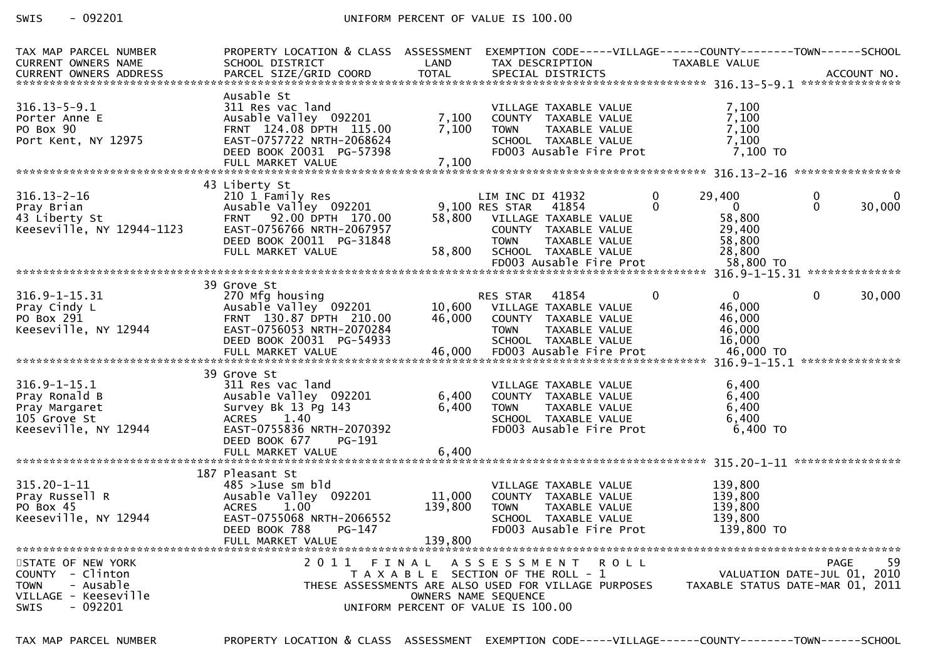## SWIS - 092201 CONTROLLER UNIFORM PERCENT OF VALUE IS 100.00

| TAX MAP PARCEL NUMBER<br><b>CURRENT OWNERS NAME</b>                                             | PROPERTY LOCATION & CLASS ASSESSMENT<br>SCHOOL DISTRICT                                                                                                                       | LAND                                                                        |                                                   | TAX DESCRIPTION                                                                                                                   |             |               | EXEMPTION CODE-----VILLAGE------COUNTY--------TOWN------SCHOOL<br>TAXABLE VALUE |               |             |
|-------------------------------------------------------------------------------------------------|-------------------------------------------------------------------------------------------------------------------------------------------------------------------------------|-----------------------------------------------------------------------------|---------------------------------------------------|-----------------------------------------------------------------------------------------------------------------------------------|-------------|---------------|---------------------------------------------------------------------------------|---------------|-------------|
| $316.13 - 5 - 9.1$<br>Porter Anne E<br>PO Box 90<br>Port Kent, NY 12975                         | Ausable St<br>311 Res vac land<br>Ausable Valley 092201<br>FRNT 124.08 DPTH 115.00<br>EAST-0757722 NRTH-2068624<br>DEED BOOK 20031 PG-57398<br>FULL MARKET VALUE              | 7,100<br>7,100<br>7,100                                                     | <b>TOWN</b>                                       | VILLAGE TAXABLE VALUE<br>COUNTY TAXABLE VALUE<br>TAXABLE VALUE<br>SCHOOL TAXABLE VALUE<br>FD003 Ausable Fire Prot                 |             |               | 7,100<br>7,100<br>7,100<br>7,100<br>7,100 TO                                    |               |             |
|                                                                                                 | 43 Liberty St                                                                                                                                                                 |                                                                             |                                                   |                                                                                                                                   |             |               |                                                                                 |               |             |
| $316.13 - 2 - 16$<br>Pray Brian<br>43 Liberty St<br>Keeseville, NY 12944-1123                   | 210 1 Family Res<br>Ausable Valley 092201<br>92.00 DPTH 170.00<br><b>FRNT</b><br>EAST-0756766 NRTH-2067957<br>DEED BOOK 20011 PG-31848<br>FULL MARKET VALUE                   | 58,800<br>58,800                                                            | LIM INC DI 41932<br>9,100 RES STAR<br><b>TOWN</b> | 41854<br>VILLAGE TAXABLE VALUE<br>COUNTY TAXABLE VALUE<br>TAXABLE VALUE<br>SCHOOL TAXABLE VALUE<br>FD003 Ausable Fire Prot        |             | 0<br>$\Omega$ | 29,400<br>$\mathbf{0}$<br>58,800<br>29,400<br>58,800<br>28,800<br>58,800 TO     | 0<br>$\Omega$ | 0<br>30,000 |
|                                                                                                 |                                                                                                                                                                               |                                                                             |                                                   |                                                                                                                                   |             |               |                                                                                 |               |             |
| $316.9 - 1 - 15.31$<br>Pray Cindy L<br>PO Box 291<br>Keeseville, NY 12944                       | 39 Grove St<br>270 Mfg housing<br>Ausable Valley 092201<br>FRNT 130.87 DPTH 210.00<br>EAST-0756053 NRTH-2070284<br>DEED BOOK 20031 PG-54933<br>FULL MARKET VALUE              | 10,600<br>46,000<br>46,000                                                  | <b>RES STAR</b><br><b>TOWN</b>                    | 41854<br>VILLAGE TAXABLE VALUE<br>COUNTY TAXABLE VALUE<br><b>TAXABLE VALUE</b><br>SCHOOL TAXABLE VALUE<br>FD003 Ausable Fire Prot |             | $\Omega$      | $\Omega$<br>46,000<br>46,000<br>46,000<br>16,000<br>46,000 TO                   | $\mathbf 0$   | 30,000      |
|                                                                                                 | 39 Grove St                                                                                                                                                                   |                                                                             |                                                   |                                                                                                                                   |             |               |                                                                                 |               |             |
| $316.9 - 1 - 15.1$<br>Pray Ronald B<br>Pray Margaret<br>105 Grove St<br>Keeseville, NY 12944    | 311 Res vac land<br>Ausable Valley 092201<br>Survey Bk 13 Pg 143<br>1.40<br><b>ACRES</b><br>EAST-0755836 NRTH-2070392<br>DEED BOOK 677<br>PG-191                              | 6,400<br>6,400                                                              | <b>TOWN</b>                                       | VILLAGE TAXABLE VALUE<br>COUNTY TAXABLE VALUE<br>TAXABLE VALUE<br>SCHOOL TAXABLE VALUE<br>FD003 Ausable Fire Prot                 |             |               | 6,400<br>6,400<br>6,400<br>6,400<br>6,400 ТО                                    |               |             |
|                                                                                                 | FULL MARKET VALUE                                                                                                                                                             | 6,400                                                                       |                                                   |                                                                                                                                   |             |               |                                                                                 |               |             |
| $315.20 - 1 - 11$<br>Pray Russell R<br>PO Box 45<br>Keeseville, NY 12944<br>STATE OF NEW YORK   | 187 Pleasant St<br>$485 > 1$ use sm bld<br>Ausable Valley 092201<br>1.00<br><b>ACRES</b><br>EAST-0755068 NRTH-2066552<br>DEED BOOK 788<br>PG-147<br>FULL MARKET VALUE<br>2011 | 11,000<br>139,800<br>139,800<br>FINAL                                       | <b>TOWN</b><br>A S S E S S M E N T                | VILLAGE TAXABLE VALUE<br>COUNTY TAXABLE VALUE<br>TAXABLE VALUE<br>SCHOOL TAXABLE VALUE<br>FD003 Ausable Fire Prot                 | <b>ROLL</b> |               | 139,800<br>139,800<br>139,800<br>139,800<br>139,800 TO                          | PAGE          | 59          |
| COUNTY - Clinton<br><b>TOWN</b><br>- Ausable<br>VILLAGE - Keeseville<br>- 092201<br><b>SWIS</b> | THESE ASSESSMENTS ARE ALSO USED FOR VILLAGE PURPOSES                                                                                                                          | T A X A B L E SECTION OF THE ROLL - 1<br>UNIFORM PERCENT OF VALUE IS 100.00 | OWNERS NAME SEQUENCE                              |                                                                                                                                   |             |               | VALUATION DATE-JUL 01, 2010<br>TAXABLE STATUS DATE-MAR 01, 2011                 |               |             |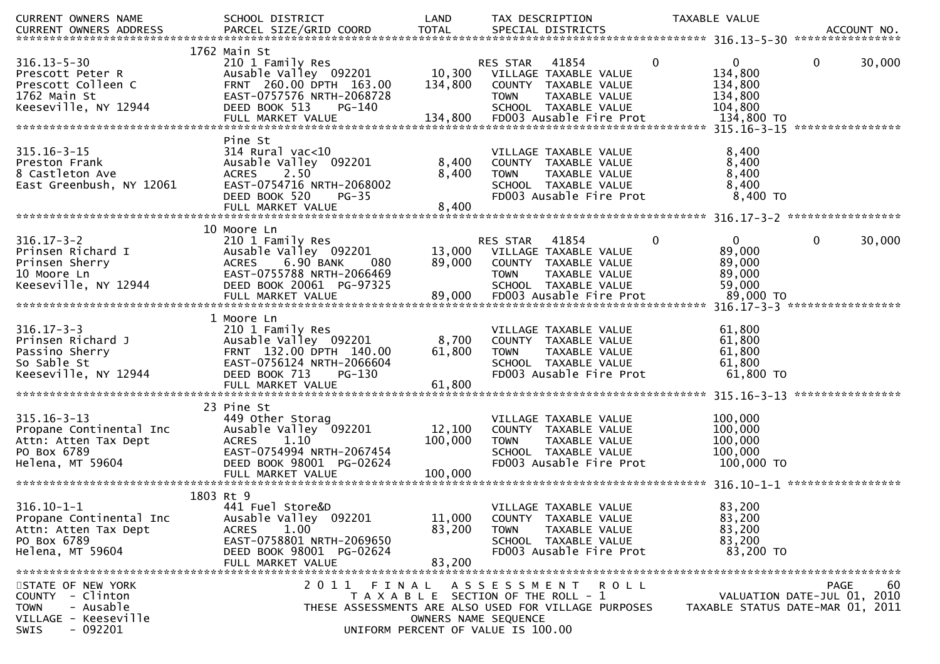| CURRENT OWNERS NAME                       | SCHOOL DISTRICT                                               | LAND                                                       |                              | TAX DESCRIPTION                                 |              | TAXABLE VALUE                    |             |                  |
|-------------------------------------------|---------------------------------------------------------------|------------------------------------------------------------|------------------------------|-------------------------------------------------|--------------|----------------------------------|-------------|------------------|
| CURRENT OWNERS ADDRESS                    | PARCEL SIZE/GRID COORD                                        | <b>TOTAL</b>                                               |                              | SPECIAL DISTRICTS                               |              |                                  |             | ACCOUNT NO.      |
|                                           | 1762 Main St                                                  |                                                            |                              |                                                 |              |                                  |             |                  |
| $316.13 - 5 - 30$                         | 210 1 Family Res                                              |                                                            | <b>RES STAR</b>              | 41854                                           | $\mathbf{0}$ | $\mathbf{0}$                     | 0           | 30,000           |
| Prescott Peter R                          | Ausable Valley 092201                                         | 10,300                                                     |                              | VILLAGE TAXABLE VALUE                           |              | 134,800                          |             |                  |
| Prescott Colleen C<br>1762 Main St        | FRNT 260.00 DPTH 163.00<br>EAST-0757576 NRTH-2068728          | 134,800                                                    | <b>TOWN</b>                  | COUNTY TAXABLE VALUE<br>TAXABLE VALUE           |              | 134,800<br>134,800               |             |                  |
| Keeseville, NY 12944                      | DEED BOOK 513<br>PG-140                                       |                                                            |                              | SCHOOL TAXABLE VALUE                            |              | 104,800                          |             |                  |
|                                           |                                                               |                                                            |                              |                                                 |              |                                  |             |                  |
|                                           |                                                               |                                                            |                              |                                                 |              |                                  |             | **************** |
| $315.16 - 3 - 15$                         | Pine St<br>$314$ Rural vac<10                                 |                                                            |                              | VILLAGE TAXABLE VALUE                           |              | 8,400                            |             |                  |
| Preston Frank                             | Ausable Valley 092201                                         | 8,400                                                      |                              | COUNTY TAXABLE VALUE                            |              | 8,400                            |             |                  |
| 8 Castleton Ave                           | <b>ACRES</b><br>2.50                                          | 8,400                                                      | <b>TOWN</b>                  | TAXABLE VALUE                                   |              | 8,400                            |             |                  |
| East Greenbush, NY 12061                  | EAST-0754716 NRTH-2068002                                     |                                                            |                              | SCHOOL TAXABLE VALUE                            |              | 8,400                            |             |                  |
|                                           | DEED BOOK 520<br>$PG-35$                                      |                                                            |                              | FD003 Ausable Fire Prot                         |              | 8,400 TO                         |             |                  |
|                                           |                                                               |                                                            |                              |                                                 |              |                                  |             |                  |
|                                           | 10 Moore Ln                                                   |                                                            |                              |                                                 |              |                                  |             |                  |
| $316.17 - 3 - 2$                          | 210 1 Family Res                                              |                                                            | RES STAR                     | 41854                                           | $\mathbf 0$  | $\mathbf{0}$                     | 0           | 30,000           |
| Prinsen Richard I                         | Ausable Valley 092201                                         |                                                            | 13,000 VILLAGE TAXABLE VALUE |                                                 |              | 89,000                           |             |                  |
| Prinsen Sherry<br>10 Moore Ln             | 6.90 BANK<br>080<br><b>ACRES</b><br>EAST-0755788 NRTH-2066469 | 89,000                                                     | <b>TOWN</b>                  | COUNTY TAXABLE VALUE<br>TAXABLE VALUE           |              | 89,000<br>89,000                 |             |                  |
| Keeseville, NY 12944                      | DEED BOOK 20061 PG-97325                                      |                                                            |                              | SCHOOL TAXABLE VALUE                            |              | 59,000                           |             |                  |
|                                           | FULL MARKET VALUE                                             | 89,000                                                     |                              | FD003 Ausable Fire Prot                         |              | 89,000 TO                        |             |                  |
|                                           |                                                               |                                                            |                              |                                                 |              |                                  |             |                  |
| $316.17 - 3 - 3$                          | 1 Moore Ln                                                    |                                                            |                              | VILLAGE TAXABLE VALUE                           |              |                                  |             |                  |
| Prinsen Richard J                         | 210 1 Family Res<br>Ausable Valley 092201                     | 8,700                                                      |                              | COUNTY TAXABLE VALUE                            |              | 61,800<br>61,800                 |             |                  |
| Passino Sherry                            | FRNT 132.00 DPTH 140.00                                       | 61,800                                                     | <b>TOWN</b>                  | TAXABLE VALUE                                   |              | 61,800                           |             |                  |
| So Sable St                               | EAST-0756124 NRTH-2066604                                     |                                                            |                              | SCHOOL TAXABLE VALUE                            |              | 61,800                           |             |                  |
| Keeseville, NY 12944                      | DEED BOOK 713<br>PG-130                                       |                                                            |                              | FD003 Ausable Fire Prot                         |              | 61,800 TO                        |             |                  |
|                                           | FULL MARKET VALUE                                             | 61,800                                                     |                              |                                                 |              |                                  |             | **************** |
|                                           | 23 Pine St                                                    |                                                            |                              |                                                 |              |                                  |             |                  |
| $315.16 - 3 - 13$                         | 449 Other Storag                                              |                                                            |                              | VILLAGE TAXABLE VALUE                           |              | 100,000                          |             |                  |
| Propane Continental Inc                   | Ausable Valley 092201                                         | 12,100                                                     |                              | COUNTY TAXABLE VALUE                            |              | 100,000                          |             |                  |
| Attn: Atten Tax Dept                      | 1.10<br><b>ACRES</b>                                          | 100,000                                                    | <b>TOWN</b>                  | TAXABLE VALUE                                   |              | 100,000<br>100,000               |             |                  |
| PO Box 6789<br>Helena, MT 59604           | EAST-0754994 NRTH-2067454<br>DEED BOOK 98001 PG-02624         |                                                            |                              | SCHOOL TAXABLE VALUE<br>FD003 Ausable Fire Prot |              | 100,000 TO                       |             |                  |
|                                           | FULL MARKET VALUE                                             | 100,000                                                    |                              |                                                 |              |                                  |             |                  |
|                                           |                                                               |                                                            |                              |                                                 |              |                                  |             |                  |
| $316.10 - 1 - 1$                          | 1803 Rt 9<br>441 Fuel Store&D                                 |                                                            |                              | VILLAGE TAXABLE VALUE                           |              | 83,200                           |             |                  |
| Propane Continental Inc                   | Ausable Valley 092201                                         | 11,000                                                     |                              | COUNTY TAXABLE VALUE                            |              | 83,200                           |             |                  |
| Attn: Atten Tax Dept                      | 1.00<br><b>ACRES</b>                                          | 83,200                                                     | <b>TOWN</b>                  | TAXABLE VALUE                                   |              | 83,200                           |             |                  |
| PO Box 6789                               | EAST-0758801 NRTH-2069650                                     |                                                            |                              | SCHOOL TAXABLE VALUE                            |              | 83,200                           |             |                  |
| Helena, MT 59604                          | DEED BOOK 98001 PG-02624                                      |                                                            |                              | FD003 Ausable Fire Prot                         |              | 83,200 TO                        |             |                  |
|                                           | FULL MARKET VALUE                                             | 83,200                                                     |                              |                                                 |              |                                  |             |                  |
| STATE OF NEW YORK                         | 2011                                                          | FINAL ASSESSMENT ROLL                                      |                              |                                                 |              |                                  | <b>PAGE</b> | 60               |
| COUNTY - Clinton                          |                                                               | T A X A B L E SECTION OF THE ROLL - 1                      |                              |                                                 |              | VALUATION DATE-JUL 01, 2010      |             |                  |
| - Ausable<br><b>TOWN</b>                  | THESE ASSESSMENTS ARE ALSO USED FOR VILLAGE PURPOSES          |                                                            |                              |                                                 |              | TAXABLE STATUS DATE-MAR 01, 2011 |             |                  |
| VILLAGE - Keeseville<br>$-092201$<br>SWIS |                                                               | OWNERS NAME SEQUENCE<br>UNIFORM PERCENT OF VALUE IS 100.00 |                              |                                                 |              |                                  |             |                  |
|                                           |                                                               |                                                            |                              |                                                 |              |                                  |             |                  |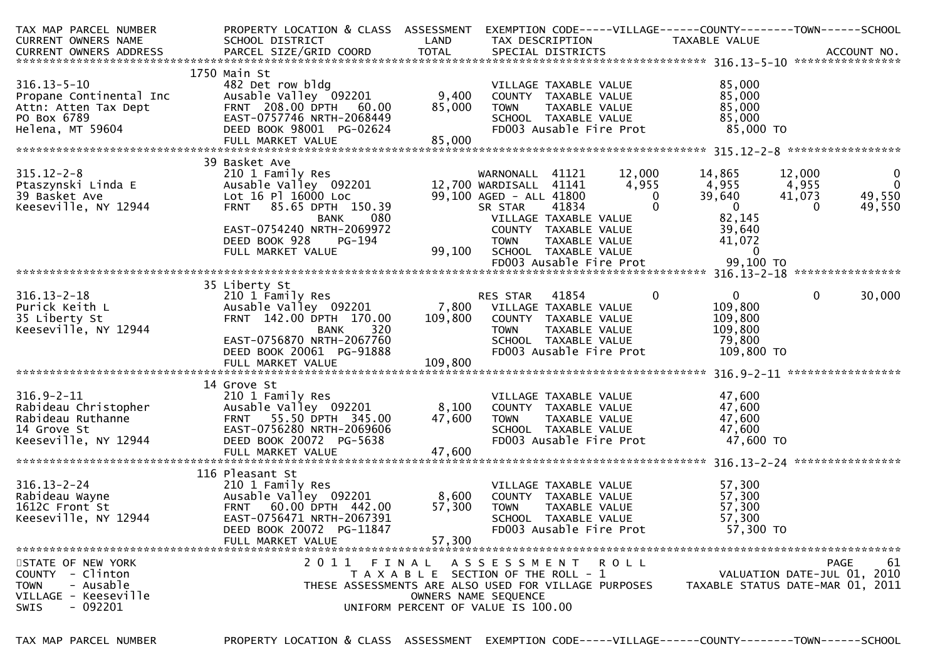| TAX MAP PARCEL NUMBER                                   | PROPERTY LOCATION & CLASS ASSESSMENT                 |                                       |                                    |                         |                         | EXEMPTION CODE-----VILLAGE------COUNTY--------TOWN------SCHOOL |                    |                             |
|---------------------------------------------------------|------------------------------------------------------|---------------------------------------|------------------------------------|-------------------------|-------------------------|----------------------------------------------------------------|--------------------|-----------------------------|
| CURRENT OWNERS NAME                                     | SCHOOL DISTRICT                                      | LAND                                  | TAX DESCRIPTION                    |                         |                         | TAXABLE VALUE                                                  |                    |                             |
|                                                         |                                                      |                                       |                                    |                         |                         |                                                                |                    |                             |
|                                                         | 1750 Main St                                         |                                       |                                    |                         |                         |                                                                |                    |                             |
| $316.13 - 5 - 10$                                       | 482 Det row bldg                                     |                                       |                                    | VILLAGE TAXABLE VALUE   |                         | 85,000                                                         |                    |                             |
| Propane Continental Inc                                 | Ausable Valley 092201                                | 9,400                                 | COUNTY TAXABLE VALUE               |                         |                         | 85,000                                                         |                    |                             |
|                                                         | FRNT 208.00 DPTH 60.00                               | 85,000                                | <b>TOWN</b>                        | TAXABLE VALUE           |                         | 85,000                                                         |                    |                             |
| Attn: Atten Tax Dept<br>PO Box 6789<br>Helena  MT 59604 | EAST-0757746 NRTH-2068449                            |                                       |                                    | SCHOOL TAXABLE VALUE    |                         | 85,000                                                         |                    |                             |
| Helena, MT 59604                                        | DEED BOOK 98001 PG-02624                             |                                       |                                    |                         | FD003 Ausable Fire Prot | 85,000 TO                                                      |                    |                             |
|                                                         |                                                      |                                       |                                    |                         |                         |                                                                |                    |                             |
|                                                         |                                                      |                                       |                                    |                         |                         |                                                                |                    |                             |
|                                                         | 39 Basket Ave                                        |                                       |                                    |                         |                         |                                                                |                    |                             |
| $315.12 - 2 - 8$                                        | 210 1 Family Res                                     |                                       | WARNONALL 41121                    |                         | 12,000                  | 14,865                                                         | 12,000             | $\mathbf 0$                 |
| Ptaszynski Linda E                                      | Ausable valley $092201$<br>Lot 16 Pl 16000 Loc       |                                       | 12,700 WARDISALL 41141             |                         | 4,955<br>$\Omega$       | 4,955                                                          | 4,955              | $\overline{0}$              |
| 39 Basket Ave<br>Keeseville, NY 12944                   | FRNT 85.65 DPTH 150.39                               |                                       | 99,100 AGED - ALL 41800<br>SR STAR | 41834                   | $\Omega$                | 39,640<br>$\overline{0}$                                       | 41,073<br>$\Omega$ | 49,550<br>49,550            |
|                                                         | 080<br><b>BANK</b>                                   |                                       | VILLAGE TAXABLE VALUE              |                         |                         | 82,145                                                         |                    |                             |
|                                                         | EAST-0754240 NRTH-2069972                            |                                       | COUNTY TAXABLE VALUE               |                         |                         | 39,640                                                         |                    |                             |
|                                                         | DEED BOOK 928<br>PG-194                              |                                       | <b>TOWN</b>                        | TAXABLE VALUE           |                         | 41,072                                                         |                    |                             |
|                                                         | FULL MARKET VALUE                                    | 99,100                                | SCHOOL TAXABLE VALUE               |                         |                         | $\Omega$                                                       |                    |                             |
|                                                         |                                                      |                                       |                                    |                         |                         |                                                                |                    |                             |
|                                                         |                                                      |                                       |                                    |                         |                         |                                                                |                    |                             |
|                                                         | 35 Liberty St                                        |                                       |                                    |                         |                         |                                                                |                    |                             |
| $316.13 - 2 - 18$                                       | 210 1 Family Res                                     |                                       | RES STAR                           | 41854                   | 0                       | $\mathbf{0}$                                                   | $\mathbf{0}$       | 30,000                      |
| Purick Keith L                                          | Ausable Valley 092201                                |                                       | 7,800 VILLAGE TAXABLE VALUE        |                         |                         | 109,800                                                        |                    |                             |
| 35 Liberty St                                           | FRNT 142.00 DPTH 170.00                              | 109,800                               | COUNTY TAXABLE VALUE               |                         |                         | 109,800                                                        |                    |                             |
| Keeseville, NY 12944                                    | <b>BANK</b><br>320                                   |                                       | <b>TOWN</b>                        | TAXABLE VALUE           |                         | 109,800                                                        |                    |                             |
|                                                         | EAST-0756870 NRTH-2067760                            |                                       |                                    | SCHOOL TAXABLE VALUE    |                         | 79,800                                                         |                    |                             |
|                                                         | DEED BOOK 20061 PG-91888                             |                                       |                                    |                         | FD003 Ausable Fire Prot | 109,800 TO                                                     |                    |                             |
|                                                         | FULL MARKET VALUE                                    | 109,800                               |                                    |                         |                         |                                                                |                    |                             |
|                                                         | 14 Grove St                                          |                                       |                                    |                         |                         |                                                                |                    |                             |
| $316.9 - 2 - 11$                                        | 210 1 Family Res                                     |                                       |                                    | VILLAGE TAXABLE VALUE   |                         | 47,600                                                         |                    |                             |
| Rabideau Christopher                                    | Ausable Valley 092201                                | 8,100                                 | COUNTY TAXABLE VALUE               |                         |                         | 47,600                                                         |                    |                             |
| Rabideau Ruthanne                                       | FRNT 55.50 DPTH 345.00                               | 47,600                                | <b>TOWN</b>                        | TAXABLE VALUE           |                         | 47,600                                                         |                    |                             |
| 14 Grove St                                             | EAST-0756280 NRTH-2069606                            |                                       |                                    | SCHOOL TAXABLE VALUE    |                         | 47,600                                                         |                    |                             |
| Keeseville, NY 12944                                    | DEED BOOK 20072 PG-5638                              |                                       |                                    |                         | FD003 Ausable Fire Prot | 47,600 TO                                                      |                    |                             |
|                                                         | FULL MARKET VALUE                                    | 47,600                                |                                    |                         |                         |                                                                |                    |                             |
|                                                         |                                                      |                                       |                                    |                         |                         |                                                                |                    |                             |
|                                                         | 116 Pleasant St                                      |                                       |                                    |                         |                         |                                                                |                    |                             |
| $316.13 - 2 - 24$                                       | 210 1 Family Res                                     |                                       |                                    | VILLAGE TAXABLE VALUE   |                         | 57,300                                                         |                    |                             |
| Rabideau Wayne                                          | Ausable Valley 092201                                | 8,600                                 | COUNTY TAXABLE VALUE               |                         |                         | 57,300                                                         |                    |                             |
| 1612C Front St                                          | FRNT 60.00 DPTH 442.00                               | 57,300                                | <b>TOWN</b>                        | TAXABLE VALUE           |                         | 57,300                                                         |                    |                             |
| Keeseville, NY 12944                                    | EAST-0756471 NRTH-2067391                            |                                       |                                    | SCHOOL TAXABLE VALUE    |                         | 57,300                                                         |                    |                             |
|                                                         | DEED BOOK 20072 PG-11847<br>FULL MARKET VALUE        | 57,300                                |                                    | FD003 Ausable Fire Prot |                         | 57,300 TO                                                      |                    |                             |
|                                                         |                                                      |                                       |                                    |                         |                         |                                                                |                    |                             |
| STATE OF NEW YORK                                       | 2011 FINAL                                           |                                       | A S S E S S M E N T R O L L        |                         |                         |                                                                |                    | 61<br>PAGE                  |
| COUNTY - Clinton                                        |                                                      | T A X A B L E SECTION OF THE ROLL - 1 |                                    |                         |                         |                                                                |                    | VALUATION DATE-JUL 01, 2010 |
| <b>TOWN</b><br>- Ausable                                | THESE ASSESSMENTS ARE ALSO USED FOR VILLAGE PURPOSES |                                       |                                    |                         |                         | TAXABLE STATUS DATE-MAR 01, 2011                               |                    |                             |
| VILLAGE - Keeseville                                    |                                                      |                                       | OWNERS NAME SEQUENCE               |                         |                         |                                                                |                    |                             |
| $-092201$<br>SWIS                                       |                                                      | UNIFORM PERCENT OF VALUE IS 100.00    |                                    |                         |                         |                                                                |                    |                             |
|                                                         |                                                      |                                       |                                    |                         |                         |                                                                |                    |                             |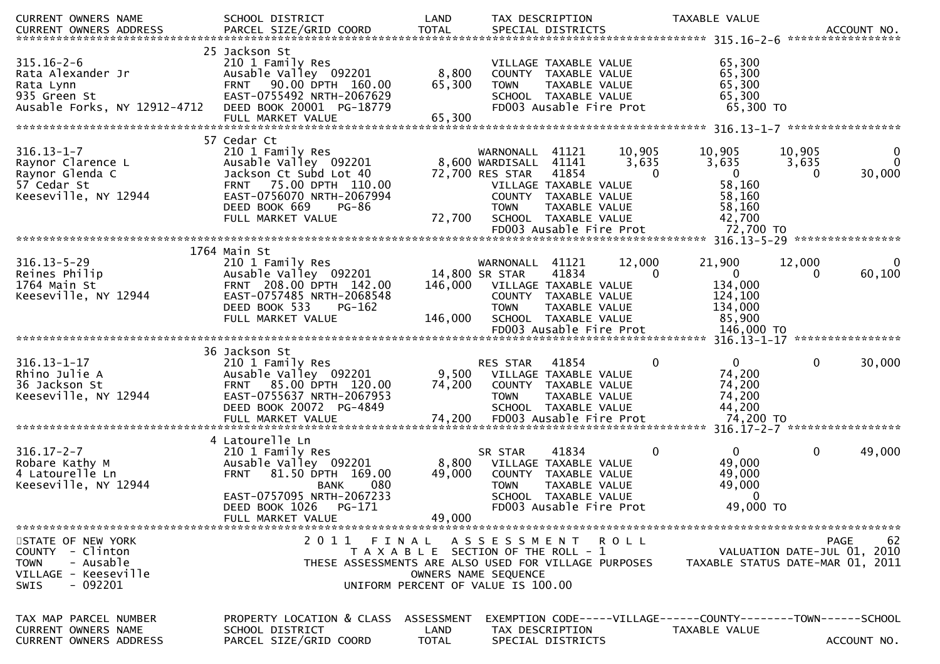| CURRENT OWNERS NAME<br><b>CURRENT OWNERS ADDRESS</b>                                                           | SCHOOL DISTRICT                                                                                                                                                    | LAND                                                                                 | TAX DESCRIPTION                                                             |                                                                                                                            |                      | TAXABLE VALUE                                                       | ACCOUNT NO.<br>******************                                                    |
|----------------------------------------------------------------------------------------------------------------|--------------------------------------------------------------------------------------------------------------------------------------------------------------------|--------------------------------------------------------------------------------------|-----------------------------------------------------------------------------|----------------------------------------------------------------------------------------------------------------------------|----------------------|---------------------------------------------------------------------|--------------------------------------------------------------------------------------|
| $315.16 - 2 - 6$<br>Rata Alexander Jr<br>Rata Lynn<br>935 Green St<br>Ausable Forks, NY 12912-4712             | 25 Jackson St<br>210 1 Family Res<br>Ausable Valley 092201<br>FRNT 90.00 DPTH 160.00<br>EAST-0755492 NRTH-2067629<br>DEED BOOK 20001 PG-18779<br>FULL MARKET VALUE | 8,800<br>65,300<br>65,300                                                            | <b>TOWN</b>                                                                 | VILLAGE TAXABLE VALUE<br>COUNTY TAXABLE VALUE<br>TAXABLE VALUE<br>SCHOOL TAXABLE VALUE<br>FD003 Ausable Fire Prot          |                      | 65,300<br>65,300<br>65,300<br>65,300<br>65,300 TO                   |                                                                                      |
|                                                                                                                | 57 Cedar Ct                                                                                                                                                        |                                                                                      |                                                                             |                                                                                                                            |                      |                                                                     |                                                                                      |
| $316.13 - 1 - 7$<br>Raynor Clarence L<br>Raynor Glenda C<br>57 Cedar St<br>Keeseville, NY 12944                | 210 1 Family Res<br>Ausable Valley 092201<br>Jackson Ct Subd Lot 40<br>FRNT 75.00 DPTH 110.00<br>EAST-0756070 NRTH-2067994<br>DEED BOOK 669<br>PG-86               |                                                                                      | WARNONALL 41121<br>8,600 WARDISALL<br>72,700 RES STAR<br><b>TOWN</b>        | 41141<br>41854<br>VILLAGE TAXABLE VALUE<br>COUNTY TAXABLE VALUE<br>TAXABLE VALUE                                           | 10,905<br>3,635<br>0 | 10,905<br>3,635<br>$\mathbf{0}$<br>58,160<br>58,160<br>58,160       | 10,905<br>0<br>$\mathbf{0}$<br>3,635<br>30,000<br>$\mathbf{0}$                       |
|                                                                                                                | FULL MARKET VALUE                                                                                                                                                  | 72,700                                                                               |                                                                             | SCHOOL TAXABLE VALUE<br>FD003 Ausable Fire Prot                                                                            |                      | 42,700<br>72,700 TO                                                 |                                                                                      |
|                                                                                                                |                                                                                                                                                                    |                                                                                      |                                                                             |                                                                                                                            |                      |                                                                     |                                                                                      |
| $316.13 - 5 - 29$<br>Reines Philip<br>1764 Main St<br>Keeseville, NY 12944                                     | 1764 Main St<br>210 1 Family Res<br>Ausable Valley 092201<br>FRNT 208.00 DPTH 142.00<br>EAST-0757485 NRTH-2068548<br>DEED BOOK 533<br>PG-162<br>FULL MARKET VALUE  | 146,000                                                                              | WARNONALL<br>14,800 SR STAR<br>146,000 VILLAGE TAXABLE VALUE<br><b>TOWN</b> | 41121<br>41834<br>COUNTY TAXABLE VALUE<br>TAXABLE VALUE<br>SCHOOL TAXABLE VALUE                                            | 12,000<br>$\Omega$   | 21,900<br>$\overline{0}$<br>134,000<br>124,100<br>134,000<br>85,900 | 12,000<br>60,100<br>0                                                                |
|                                                                                                                |                                                                                                                                                                    |                                                                                      |                                                                             |                                                                                                                            |                      |                                                                     |                                                                                      |
| $316.13 - 1 - 17$<br>Rhino Julie A<br>36 Jackson St<br>Keeseville, NY 12944                                    | 36 Jackson St<br>210 1 Family Res<br>Ausable Valley 092201<br>FRNT 85.00 DPTH 120.00<br>EAST-0755637 NRTH-2067953<br>DEED BOOK 20072 PG-4849<br>FULL MARKET VALUE  | 74,200<br>74,200                                                                     | RES STAR<br>9,500 VILLAGE TAXABLE VALUE<br><b>TOWN</b>                      | 41854<br>COUNTY TAXABLE VALUE<br>TAXABLE VALUE<br>SCHOOL TAXABLE VALUE<br>FD003 Ausable Fire Prot                          | 0                    | $\mathbf{0}$<br>74,200<br>74,200<br>74,200<br>44,200<br>74,200 TO   | 30,000<br>$\mathbf{0}$                                                               |
|                                                                                                                | 4 Latourelle Ln                                                                                                                                                    |                                                                                      |                                                                             |                                                                                                                            |                      |                                                                     |                                                                                      |
| $316.17 - 2 - 7$<br>Robare Kathy M<br>4 Latourelle Ln<br>Keeseville, NY 12944                                  | 210 1 Family Res<br>Ausable Valley 092201<br>81.50 DPTH 169.00<br><b>FRNT</b><br><b>BANK</b><br>080<br>EAST-0757095 NRTH-2067233<br>DEED BOOK 1026<br>PG-171       | 8,800<br>49,000                                                                      | SR STAR<br><b>TOWN</b>                                                      | 41834<br>VILLAGE TAXABLE VALUE<br>COUNTY TAXABLE VALUE<br>TAXABLE VALUE<br>SCHOOL TAXABLE VALUE<br>FD003 Ausable Fire Prot | 0                    | $\mathbf{0}$<br>49,000<br>49,000<br>49,000<br>$\Omega$<br>49,000 TO | $\mathbf 0$<br>49,000                                                                |
|                                                                                                                | FULL MARKET VALUE                                                                                                                                                  | 49,000                                                                               |                                                                             |                                                                                                                            |                      |                                                                     |                                                                                      |
| STATE OF NEW YORK<br>COUNTY - Clinton<br>- Ausable<br><b>TOWN</b><br>VILLAGE - Keeseville<br>$-092201$<br>SWIS | 2011<br>THESE ASSESSMENTS ARE ALSO USED FOR VILLAGE PURPOSES                                                                                                       | FINAL<br>T A X A B L E SECTION OF THE ROLL - 1<br>UNIFORM PERCENT OF VALUE IS 100.00 | ASSESSMENT ROLL<br>OWNERS NAME SEQUENCE                                     |                                                                                                                            |                      |                                                                     | <b>PAGE</b><br>62<br>VALUATION DATE-JUL 01, 2010<br>TAXABLE STATUS DATE-MAR 01, 2011 |
| TAX MAP PARCEL NUMBER<br><b>CURRENT OWNERS NAME</b><br><b>CURRENT OWNERS ADDRESS</b>                           | PROPERTY LOCATION & CLASS<br>SCHOOL DISTRICT<br>PARCEL SIZE/GRID COORD                                                                                             | ASSESSMENT<br>LAND<br><b>TOTAL</b>                                                   | TAX DESCRIPTION                                                             | SPECIAL DISTRICTS                                                                                                          |                      | TAXABLE VALUE                                                       | EXEMPTION CODE-----VILLAGE------COUNTY--------TOWN------SCHOOL<br>ACCOUNT NO.        |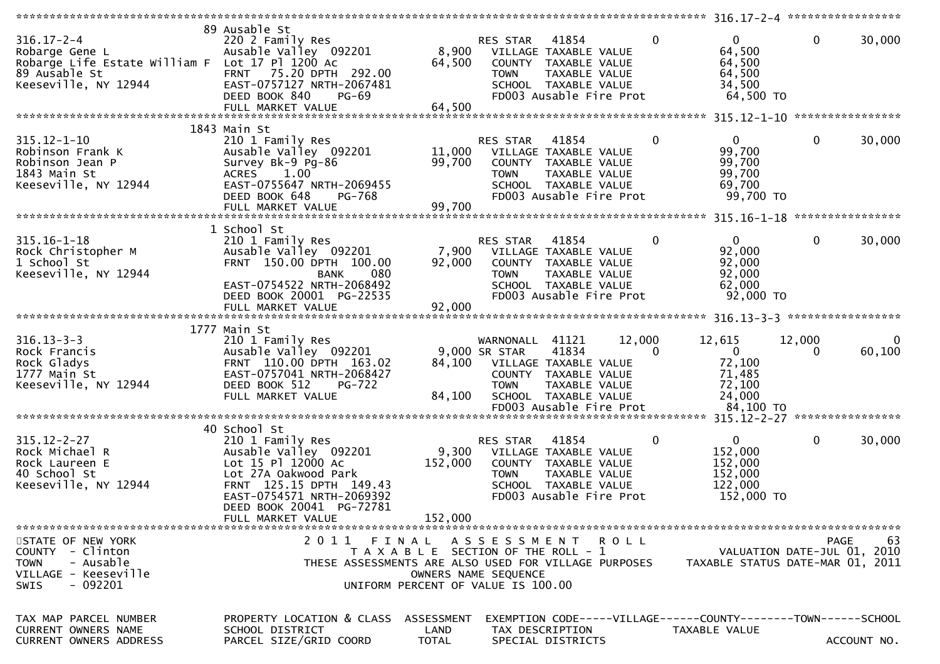| $316.17 - 2 - 4$<br>Robarge Gene L<br>Robarge Life Estate William F Lot 17 Pl 1200 Ac<br>89 Ausable St<br>Keeseville, NY 12944 | 89 Ausable St<br>220 2 Family Res<br>Ausable Valley 092201<br>FRNT 75.20 DPTH 292.00<br>EAST-0757127 NRTH-2067481<br>DEED BOOK 840<br>$PG-69$<br>FULL MARKET VALUE                         | 8,900<br>64,500<br>64,500          | RES STAR<br><b>TOWN</b>                                                                             | 41854<br>VILLAGE TAXABLE VALUE<br>COUNTY TAXABLE VALUE<br>TAXABLE VALUE<br>SCHOOL TAXABLE VALUE<br>FD003 Ausable Fire Prot           | 0             | $\Omega$<br>64,500<br>64,500<br>64,500<br>34,500<br>64,500 TO               | $\mathbf{0}$                           | 30,000                 |
|--------------------------------------------------------------------------------------------------------------------------------|--------------------------------------------------------------------------------------------------------------------------------------------------------------------------------------------|------------------------------------|-----------------------------------------------------------------------------------------------------|--------------------------------------------------------------------------------------------------------------------------------------|---------------|-----------------------------------------------------------------------------|----------------------------------------|------------------------|
|                                                                                                                                |                                                                                                                                                                                            |                                    |                                                                                                     |                                                                                                                                      |               |                                                                             |                                        |                        |
| $315.12 - 1 - 10$<br>Robinson Frank K<br>Robinson Jean P<br>1843 Main St<br>Keeseville, NY 12944                               | 1843 Main St<br>210 1 Family Res<br>Ausable Valley 092201<br>Survey Bk-9 Pg-86<br>1.00<br><b>ACRES</b><br>EAST-0755647 NRTH-2069455<br>DEED BOOK 648<br><b>PG-768</b><br>FULL MARKET VALUE | 11,000<br>99,700<br>99,700         | RES STAR<br><b>TOWN</b>                                                                             | 41854<br>VILLAGE TAXABLE VALUE<br>COUNTY TAXABLE VALUE<br>TAXABLE VALUE<br>SCHOOL TAXABLE VALUE<br>FD003 Ausable Fire Prot           | 0             | $\overline{0}$<br>99,700<br>99,700<br>99,700<br>69,700<br>99,700 TO         | $\mathbf 0$                            | 30,000                 |
|                                                                                                                                |                                                                                                                                                                                            |                                    |                                                                                                     |                                                                                                                                      |               |                                                                             |                                        |                        |
| $315.16 - 1 - 18$<br>Rock Christopher M<br>1 School St<br>Keeseville, NY 12944                                                 | 1 School St<br>210 1 Family Res<br>Ausable Valley 092201<br>FRNT 150.00 DPTH 100.00<br>080<br>BANK<br>EAST-0754522 NRTH-2068492<br>DEED BOOK 20001 PG-22535<br>FULL MARKET VALUE           | 7,900<br>92,000<br>92,000          | <b>RES STAR</b><br><b>TOWN</b>                                                                      | 41854<br>VILLAGE TAXABLE VALUE<br>COUNTY TAXABLE VALUE<br>TAXABLE VALUE<br>SCHOOL TAXABLE VALUE<br>FD003 Ausable Fire Prot           | 0             | $\overline{0}$<br>92,000<br>92,000<br>92,000<br>62,000<br>92,000 TO         | $\mathbf 0$                            | 30,000                 |
|                                                                                                                                |                                                                                                                                                                                            |                                    |                                                                                                     |                                                                                                                                      |               |                                                                             |                                        |                        |
|                                                                                                                                | 1777 Main St                                                                                                                                                                               |                                    |                                                                                                     |                                                                                                                                      |               |                                                                             |                                        |                        |
| $316.13 - 3 - 3$<br>Rock Francis<br>Rock Gladys<br>1777 Main St<br>Keeseville, NY 12944                                        | 210 1 Family Res<br>Ausable Valley 092201<br>FRNT 110.00 DPTH 163.02<br>EAST-0757041 NRTH-2068427<br>DEED BOOK 512<br><b>PG-722</b><br>FULL MARKET VALUE                                   | 84,100<br>84,100                   | WARNONALL 41121<br>9,000 SR STAR<br><b>TOWN</b>                                                     | 12,000<br>41834<br>VILLAGE TAXABLE VALUE<br>COUNTY TAXABLE VALUE<br>TAXABLE VALUE<br>SCHOOL TAXABLE VALUE<br>FD003 Ausable Fire Prot | $\Omega$      | 12,615<br>$\mathbf{0}$<br>72,100<br>71,485<br>72,100<br>24,000<br>84,100 TO | 12,000<br>$\Omega$<br>**************** | $\mathbf{0}$<br>60,100 |
|                                                                                                                                | 40 School St                                                                                                                                                                               |                                    |                                                                                                     |                                                                                                                                      |               |                                                                             |                                        |                        |
| $315.12 - 2 - 27$<br>Rock Michael R<br>Rock Laureen E<br>40 School St<br>Keeseville, NY 12944                                  | 210 1 Family Res<br>Ausable Valley 092201<br>Lot 15 Pl 12000 Ac<br>Lot 27A Oakwood Park<br>FRNT 125.15 DPTH 149.43<br>EAST-0754571 NRTH-2069392                                            | 9,300<br>152,000                   | RES STAR<br><b>TOWN</b>                                                                             | 41854<br>VILLAGE TAXABLE VALUE<br>COUNTY TAXABLE VALUE<br>TAXABLE VALUE<br>SCHOOL TAXABLE VALUE<br>FD003 Ausable Fire Prot           | 0             | $\mathbf{0}$<br>152,000<br>152,000<br>152,000<br>122,000<br>152,000 TO      | $\mathbf{0}$                           | 30,000                 |
|                                                                                                                                | DEED BOOK 20041 PG-72781                                                                                                                                                                   |                                    |                                                                                                     |                                                                                                                                      |               |                                                                             |                                        |                        |
|                                                                                                                                | FULL MARKET VALUE                                                                                                                                                                          | 152,000                            |                                                                                                     |                                                                                                                                      |               |                                                                             |                                        |                        |
| STATE OF NEW YORK<br>COUNTY - Clinton<br>- Ausable<br><b>TOWN</b><br>VILLAGE - Keeseville<br>- 092201<br><b>SWIS</b>           | 2011 FINAL<br>THESE ASSESSMENTS ARE ALSO USED FOR VILLAGE PURPOSES                                                                                                                         |                                    | T A X A B L E SECTION OF THE ROLL - 1<br>OWNERS NAME SEQUENCE<br>UNIFORM PERCENT OF VALUE IS 100.00 | ASSESSMENT ROLL                                                                                                                      |               | VALUATION DATE-JUL 01, 2010<br>TAXABLE STATUS DATE-MAR 01, 2011             | <b>PAGE</b>                            | 63                     |
| TAX MAP PARCEL NUMBER<br>CURRENT OWNERS NAME<br>CURRENT OWNERS ADDRESS                                                         | PROPERTY LOCATION & CLASS<br>SCHOOL DISTRICT<br>PARCEL SIZE/GRID COORD                                                                                                                     | ASSESSMENT<br>LAND<br><b>TOTAL</b> | TAX DESCRIPTION<br>SPECIAL DISTRICTS                                                                | EXEMPTION CODE-----VILLAGE------COUNTY--------TOWN------SCHOOL                                                                       | TAXABLE VALUE |                                                                             |                                        | ACCOUNT NO.            |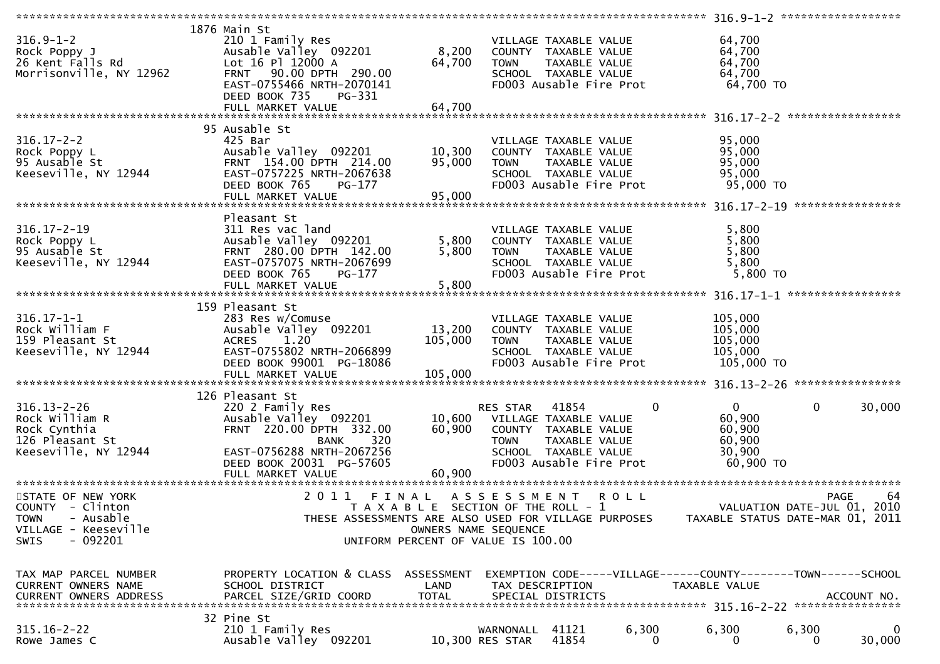| $316.9 - 1 - 2$<br>Rock Poppy J<br>26 Kent Falls Rd<br>Morrisonville, NY 12962                                 | 1876 Main St<br>210 1 Family Res<br>Ausable Valley 092201<br>Lot 16 Pl 12000 A<br>FRNT 90.00 DPTH 290.00                                                                 | 8,200<br>64,700                                                                                     | <b>TOWN</b>                                                                           | VILLAGE TAXABLE VALUE<br>COUNTY TAXABLE VALUE<br>TAXABLE VALUE<br>SCHOOL TAXABLE VALUE                            |              | 64,700<br>64,700<br>64,700<br>64,700                                            |                            |                                                                                      |
|----------------------------------------------------------------------------------------------------------------|--------------------------------------------------------------------------------------------------------------------------------------------------------------------------|-----------------------------------------------------------------------------------------------------|---------------------------------------------------------------------------------------|-------------------------------------------------------------------------------------------------------------------|--------------|---------------------------------------------------------------------------------|----------------------------|--------------------------------------------------------------------------------------|
|                                                                                                                | EAST-0755466 NRTH-2070141<br>DEED BOOK 735<br>PG-331<br>FULL MARKET VALUE                                                                                                | 64,700                                                                                              |                                                                                       | FD003 Ausable Fire Prot                                                                                           |              |                                                                                 | 64,700 TO                  |                                                                                      |
|                                                                                                                | 95 Ausable St                                                                                                                                                            |                                                                                                     |                                                                                       |                                                                                                                   |              |                                                                                 |                            |                                                                                      |
| $316.17 - 2 - 2$<br>Rock Poppy L<br>95 Ausable St<br>Keeseville, NY 12944                                      | 425 Bar<br>Ausable Valley 092201<br>FRNT 154.00 DPTH 214.00<br>EAST-0757225 NRTH-2067638<br>DEED BOOK 765<br>PG-177                                                      | 10,300<br>95,000                                                                                    | <b>TOWN</b>                                                                           | VILLAGE TAXABLE VALUE<br>COUNTY TAXABLE VALUE<br>TAXABLE VALUE<br>SCHOOL TAXABLE VALUE<br>FD003 Ausable Fire Prot |              | 95,000<br>95,000<br>95,000<br>95,000                                            | 95,000 TO                  |                                                                                      |
|                                                                                                                | FULL MARKET VALUE                                                                                                                                                        | 95,000                                                                                              |                                                                                       |                                                                                                                   |              |                                                                                 |                            |                                                                                      |
|                                                                                                                |                                                                                                                                                                          |                                                                                                     |                                                                                       |                                                                                                                   |              |                                                                                 |                            |                                                                                      |
| $316.17 - 2 - 19$<br>Rock Poppy L<br>95 Ausable St<br>Keeseville, NY 12944                                     | Pleasant St<br>311 Res vac land<br>Ausable Valley 092201<br>FRNT 280.00 DPTH 142.00<br>EAST-0757075 NRTH-2067699<br>DEED BOOK 765<br>PG-177<br>FULL MARKET VALUE         | 5,800<br>5,800<br>5,800                                                                             | <b>TOWN</b>                                                                           | VILLAGE TAXABLE VALUE<br>COUNTY TAXABLE VALUE<br>TAXABLE VALUE<br>SCHOOL TAXABLE VALUE<br>FD003 Ausable Fire Prot |              | 5,800<br>5,800<br>5,800<br>5,800                                                | 5,800 TO                   |                                                                                      |
|                                                                                                                |                                                                                                                                                                          |                                                                                                     |                                                                                       |                                                                                                                   |              |                                                                                 |                            |                                                                                      |
| $316.17 - 1 - 1$<br>Rock William F<br>159 Pleasant St<br>Keeseville, NY 12944                                  | 159 Pleasant St<br>283 Res w/Comuse<br>Ausable Valley 092201<br><b>ACRES</b><br>1.20<br>EAST-0755802 NRTH-2066899<br>DEED BOOK 99001 PG-18086                            | 13,200<br>105,000                                                                                   | <b>TOWN</b>                                                                           | VILLAGE TAXABLE VALUE<br>COUNTY TAXABLE VALUE<br>TAXABLE VALUE<br>SCHOOL TAXABLE VALUE<br>FD003 Ausable Fire Prot |              | 105,000<br>105,000<br>105,000<br>105,000<br>105,000 TO                          |                            |                                                                                      |
|                                                                                                                | 126 Pleasant St                                                                                                                                                          |                                                                                                     |                                                                                       |                                                                                                                   |              |                                                                                 |                            |                                                                                      |
| $316.13 - 2 - 26$<br>Rock William R<br>Rock Cynthia<br>126 Pleasant St<br>Keeseville, NY 12944                 | 220 2 Family Res<br>Ausable Valley 092201<br>FRNT 220.00 DPTH 332.00<br>320<br><b>BANK</b><br>EAST-0756288 NRTH-2067256<br>DEED BOOK 20031 PG-57605<br>FULL MARKET VALUE | 60,900<br>60,900                                                                                    | RES STAR 41854<br>10,600 VILLAGE TAXABLE VALUE<br>COUNTY TAXABLE VALUE<br><b>TOWN</b> | TAXABLE VALUE<br>SCHOOL TAXABLE VALUE<br>FD003 Ausable Fire Prot                                                  | $\mathbf{0}$ | $\overline{0}$<br>60,900<br>60,900<br>60,900<br>30,900                          | $\mathbf 0$<br>$60,900$ TO | 30,000                                                                               |
|                                                                                                                |                                                                                                                                                                          |                                                                                                     |                                                                                       |                                                                                                                   |              |                                                                                 |                            |                                                                                      |
| STATE OF NEW YORK<br>COUNTY - Clinton<br>- Ausable<br>TOWN<br>VILLAGE - Keeseville<br>$-092201$<br><b>SWIS</b> | 2011 FINAL<br>THESE ASSESSMENTS ARE ALSO USED FOR VILLAGE PURPOSES                                                                                                       | T A X A B L E SECTION OF THE ROLL - 1<br>OWNERS NAME SEQUENCE<br>UNIFORM PERCENT OF VALUE IS 100.00 | A S S E S S M E N T                                                                   |                                                                                                                   | <b>ROLL</b>  |                                                                                 |                            | 64<br><b>PAGE</b><br>VALUATION DATE-JUL 01, 2010<br>TAXABLE STATUS DATE-MAR 01, 2011 |
| TAX MAP PARCEL NUMBER<br>CURRENT OWNERS NAME<br><b>CURRENT OWNERS ADDRESS</b>                                  | PROPERTY LOCATION & CLASS ASSESSMENT<br>SCHOOL DISTRICT<br>PARCEL SIZE/GRID COORD                                                                                        | LAND<br>TOTAL                                                                                       | TAX DESCRIPTION                                                                       | SPECIAL DISTRICTS                                                                                                 |              | EXEMPTION CODE-----VILLAGE------COUNTY--------TOWN------SCHOOL<br>TAXABLE VALUE |                            | ACCOUNT NO.                                                                          |
| $315.16 - 2 - 22$<br>Rowe James C                                                                              | 32 Pine St<br>210 1 Family Res<br>Ausable Valley 092201                                                                                                                  |                                                                                                     | WARNONALL<br>10,300 RES STAR                                                          | 41121<br>41854                                                                                                    | 6,300<br>0   | 6,300<br>0                                                                      | 6,300<br>0                 | 0<br>30,000                                                                          |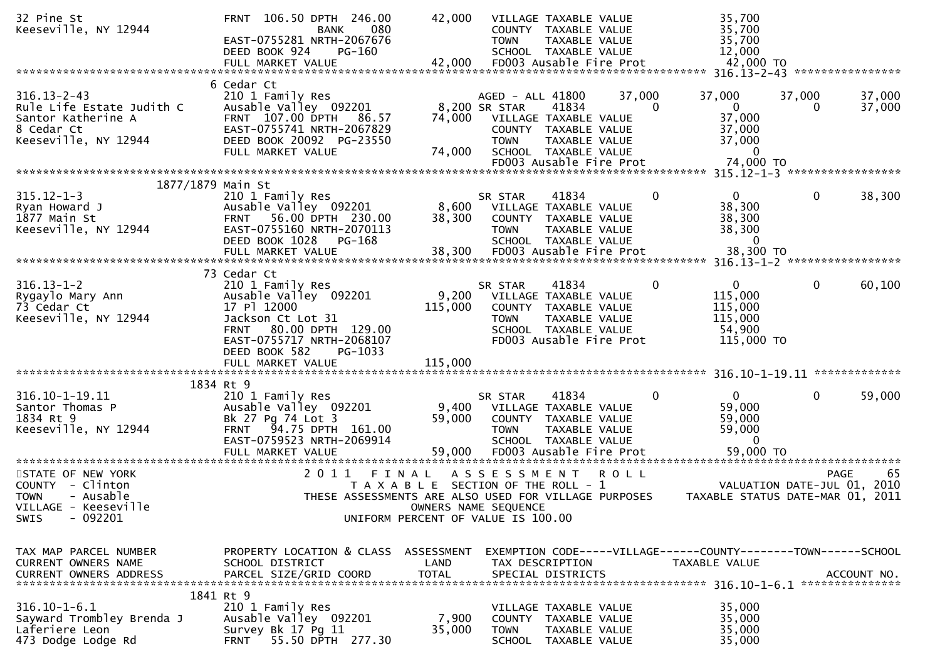| 32 Pine St<br>Keeseville, NY 12944                                                                         | FRNT 106.50 DPTH 246.00<br><b>BANK</b><br>080<br>EAST-0755281 NRTH-2067676<br>DEED BOOK 924<br>PG-160<br>FULL MARKET VALUE                                                                                     | 42,000<br>42,000            | VILLAGE TAXABLE VALUE<br>COUNTY TAXABLE VALUE<br><b>TOWN</b><br>TAXABLE VALUE<br>SCHOOL TAXABLE VALUE<br>FD003 Ausable Fire Prot                                                |             | 35,700<br>35,700<br>35,700<br>12,000<br>42,000 TO                                      |                                                                 |    |
|------------------------------------------------------------------------------------------------------------|----------------------------------------------------------------------------------------------------------------------------------------------------------------------------------------------------------------|-----------------------------|---------------------------------------------------------------------------------------------------------------------------------------------------------------------------------|-------------|----------------------------------------------------------------------------------------|-----------------------------------------------------------------|----|
|                                                                                                            | 6 Cedar Ct                                                                                                                                                                                                     |                             |                                                                                                                                                                                 |             |                                                                                        |                                                                 |    |
| $316.13 - 2 - 43$<br>Rule Life Estate Judith C<br>Santor Katherine A<br>8 Cedar Ct<br>Keeseville, NY 12944 | 210 1 Family Res<br>Ausable Valley 092201<br>FRNT 107.00 DPTH<br>86.57<br>EAST-0755741 NRTH-2067829<br>DEED BOOK 20092 PG-23550<br>FULL MARKET VALUE                                                           | 74,000<br>74,000            | AGED - ALL 41800<br>8,200 SR STAR<br>41834<br>VILLAGE TAXABLE VALUE<br>COUNTY TAXABLE VALUE<br><b>TOWN</b><br>TAXABLE VALUE<br>SCHOOL TAXABLE VALUE<br>FD003 Ausable Fire Prot  | 37,000<br>0 | 37,000<br>$\mathbf{0}$<br>37,000<br>37,000<br>37,000<br>$\mathbf{0}$<br>74,000 TO      | 37,000<br>37,000<br>37,000<br>0                                 |    |
| 1877/1879 Main St                                                                                          |                                                                                                                                                                                                                |                             |                                                                                                                                                                                 |             |                                                                                        |                                                                 |    |
| $315.12 - 1 - 3$<br>Ryan Howard J<br>1877 Main St<br>Keeseville, NY 12944                                  | 210 1 Family Res<br>Ausable Valley 092201<br>FRNT 56.00 DPTH 230.00<br>EAST-0755160 NRTH-2070113<br>DEED BOOK 1028<br>PG-168<br>FULL MARKET VALUE                                                              | 8,600<br>38,300<br>38,300   | 41834<br>SR STAR<br>VILLAGE TAXABLE VALUE<br>COUNTY TAXABLE VALUE<br>TAXABLE VALUE<br><b>TOWN</b><br>SCHOOL TAXABLE VALUE<br>FD003 Ausable Fire Prot                            | 0           | $\mathbf{0}$<br>38,300<br>38,300<br>38,300<br>$\mathbf{0}$<br>38,300 TO                | 0<br>38,300                                                     |    |
|                                                                                                            |                                                                                                                                                                                                                |                             |                                                                                                                                                                                 |             |                                                                                        |                                                                 |    |
| $316.13 - 1 - 2$<br>Rygaylo Mary Ann<br>73 Cedar Ct<br>Keeseville, NY 12944                                | 73 Cedar Ct<br>210 1 Family Res<br>Ausable Valley 092201<br>17 Pl 12000<br>Jackson Ct Lot 31<br>80.00 DPTH 129.00<br><b>FRNT</b><br>EAST-0755717 NRTH-2068107<br>DEED BOOK 582<br>PG-1033<br>FULL MARKET VALUE | 9,200<br>115,000<br>115,000 | 41834<br>SR STAR<br>VILLAGE TAXABLE VALUE<br>COUNTY TAXABLE VALUE<br>TAXABLE VALUE<br><b>TOWN</b><br>SCHOOL TAXABLE VALUE<br>FD003 Ausable Fire Prot                            | 0           | $\mathbf{0}$<br>115,000<br>115,000<br>115,000<br>54,900<br>115,000 TO                  | 0<br>60,100                                                     |    |
|                                                                                                            |                                                                                                                                                                                                                |                             |                                                                                                                                                                                 |             |                                                                                        |                                                                 |    |
| 316.10-1-19.11<br>Santor Thomas P<br>1834 Rt 9<br>Keeseville, NY 12944                                     | 1834 Rt 9<br>210 1 Family Res<br>Ausable Valley 092201<br>Bk 27 Pg 74 Lot 3<br>FRNT 94.75 DPTH 161.00<br>EAST-0759523 NRTH-2069914<br>FULL MARKET VALUE                                                        | 9,400<br>59,000<br>59,000   | SR STAR<br>41834<br>VILLAGE TAXABLE VALUE<br>COUNTY TAXABLE VALUE<br><b>TOWN</b><br>TAXABLE VALUE<br>SCHOOL TAXABLE VALUE<br>FD003 Ausable Fire Prot<br>*********************** | 0           | $\mathbf{0}$<br>59,000<br>59,000<br>59,000<br>$\mathbf{0}$<br>59,000 TO                | 0<br>59,000                                                     |    |
| STATE OF NEW YORK                                                                                          | 2011                                                                                                                                                                                                           | FINAL                       | A S S E S S M E N T                                                                                                                                                             | <b>ROLL</b> |                                                                                        | <b>PAGE</b>                                                     | 65 |
| COUNTY - Clinton<br>- Ausable<br><b>TOWN</b><br>VILLAGE - Keeseville<br>$-092201$<br><b>SWIS</b>           |                                                                                                                                                                                                                |                             | T A X A B L E SECTION OF THE ROLL - 1<br>THESE ASSESSMENTS ARE ALSO USED FOR VILLAGE PURPOSES<br>OWNERS NAME SEQUENCE<br>UNIFORM PERCENT OF VALUE IS 100.00                     |             |                                                                                        | VALUATION DATE-JUL 01, 2010<br>TAXABLE STATUS DATE-MAR 01, 2011 |    |
| TAX MAP PARCEL NUMBER<br><b>CURRENT OWNERS NAME</b><br><b>CURRENT OWNERS ADDRESS</b>                       | PROPERTY LOCATION & CLASS ASSESSMENT<br>SCHOOL DISTRICT<br>PARCEL SIZE/GRID COORD                                                                                                                              | LAND<br><b>TOTAL</b>        | TAX DESCRIPTION<br>SPECIAL DISTRICTS                                                                                                                                            |             | EXEMPTION CODE-----VILLAGE------COUNTY--------TOWN------SCHOOL<br><b>TAXABLE VALUE</b> | ACCOUNT NO.                                                     |    |
|                                                                                                            | 1841 Rt 9                                                                                                                                                                                                      |                             |                                                                                                                                                                                 |             |                                                                                        |                                                                 |    |
| $316.10 - 1 - 6.1$<br>Sayward Trombley Brenda J<br>Laferiere Leon<br>473 Dodge Lodge Rd                    | 210 1 Family Res<br>Ausable Valley 092201<br>Survey Bk 17 Pg 11<br>55.50 DPTH 277.30<br><b>FRNT</b>                                                                                                            | 7,900<br>35,000             | VILLAGE TAXABLE VALUE<br>COUNTY TAXABLE VALUE<br>TOWN<br>TAXABLE VALUE<br>SCHOOL TAXABLE VALUE                                                                                  |             | 35,000<br>35,000<br>35,000<br>35,000                                                   |                                                                 |    |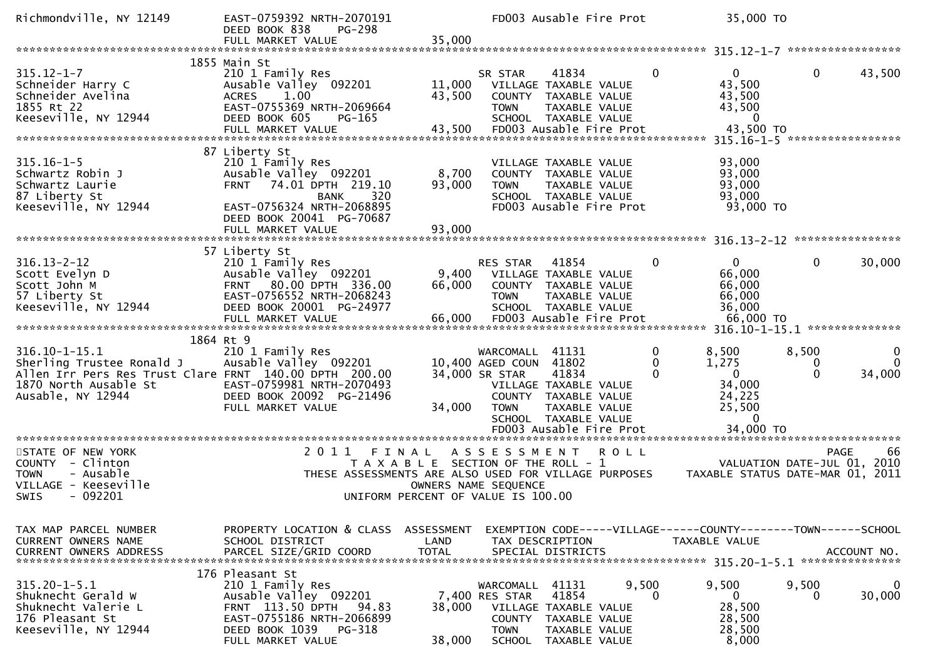| Richmondville, NY 12149                                                                                                                                  | EAST-0759392 NRTH-2070191<br>DEED BOOK 838<br>PG-298<br>FULL MARKET VALUE                                                                                                     | 35,000                             |                                                                | FD003 Ausable Fire Prot                                                                                                                      |                    | 35,000 TO                                                                                      |                             |                                |
|----------------------------------------------------------------------------------------------------------------------------------------------------------|-------------------------------------------------------------------------------------------------------------------------------------------------------------------------------|------------------------------------|----------------------------------------------------------------|----------------------------------------------------------------------------------------------------------------------------------------------|--------------------|------------------------------------------------------------------------------------------------|-----------------------------|--------------------------------|
|                                                                                                                                                          |                                                                                                                                                                               |                                    |                                                                |                                                                                                                                              |                    | $315.12 - 1 - 7$                                                                               |                             | *****************              |
| $315.12 - 1 - 7$<br>Schneider Harry C<br>Schneider Avelina<br>1855 Rt 22<br>Keeseville, NY 12944                                                         | 1855 Main St<br>210 1 Family Res<br>Ausable Valley 092201<br>1.00<br><b>ACRES</b><br>EAST-0755369 NRTH-2069664<br>DEED BOOK 605<br>PG-165<br>FULL MARKET VALUE                | 11,000<br>43,500<br>43,500         | SR STAR<br><b>TOWN</b>                                         | 41834<br>VILLAGE TAXABLE VALUE<br>COUNTY TAXABLE VALUE<br>TAXABLE VALUE<br>SCHOOL TAXABLE VALUE<br>FD003 Ausable Fire Prot                   | 0                  | 0<br>43,500<br>43,500<br>43,500<br>$\Omega$<br>43,500 TO                                       | $\mathbf{0}$                | 43,500                         |
| $315.16 - 1 - 5$<br>Schwartz Robin J<br>Schwartz Laurie<br>87 Liberty St<br>Keeseville, NY 12944                                                         | 87 Liberty St<br>210 1 Family Res<br>Ausable Valley 092201<br>74.01 DPTH 219.10<br><b>FRNT</b><br>320<br><b>BANK</b><br>EAST-0756324 NRTH-2068895<br>DEED BOOK 20041 PG-70687 | 8,700<br>93,000                    | <b>TOWN</b>                                                    | VILLAGE TAXABLE VALUE<br>COUNTY TAXABLE VALUE<br>TAXABLE VALUE<br>SCHOOL TAXABLE VALUE<br>FD003 Ausable Fire Prot                            |                    | $315.16 - 1 - 5$<br>93,000<br>93,000<br>93,000<br>93,000<br>93,000 TO                          |                             | *****************              |
|                                                                                                                                                          |                                                                                                                                                                               |                                    |                                                                |                                                                                                                                              |                    |                                                                                                |                             | ****************               |
| $316.13 - 2 - 12$<br>Scott Evelyn D<br>Scott John M<br>57 Liberty St<br>Keeseville, NY 12944                                                             | 57 Liberty St<br>210 1 Family Res<br>Ausable Valley 092201<br>80.00 DPTH 336.00<br><b>FRNT</b><br>EAST-0756552 NRTH-2068243<br>DEED BOOK 20001 PG-24977<br>FULL MARKET VALUE  | 9,400<br>66,000<br>66,000          | RES STAR<br><b>TOWN</b>                                        | 41854<br>VILLAGE TAXABLE VALUE<br>COUNTY TAXABLE VALUE<br>TAXABLE VALUE<br>SCHOOL TAXABLE VALUE<br>FD003 Ausable Fire Prot                   | 0                  | $\Omega$<br>66,000<br>66,000<br>66,000<br>36,000<br>66,000 TO<br>316.10-1-15.1 *************** | $\mathbf{0}$                | 30,000                         |
| $316.10 - 1 - 15.1$<br>Sherling Trustee Ronald J<br>Allen Irr Pers Res Trust Clare FRNT 140.00 DPTH 200.00<br>1870 North Ausable St<br>Ausable, NY 12944 | 1864 Rt 9<br>210 1 Family Res<br>Ausable Valley 092201<br>EAST-0759981 NRTH-2070493<br>DEED BOOK 20092 PG-21496<br>FULL MARKET VALUE                                          | 34,000                             | WARCOMALL<br>10,400 AGED COUN<br>34,000 SR STAR<br><b>TOWN</b> | 41131<br>41802<br>41834<br>VILLAGE TAXABLE VALUE<br>COUNTY TAXABLE VALUE<br>TAXABLE VALUE<br>SCHOOL TAXABLE VALUE<br>FD003 Ausable Fire Prot | 0<br>0<br>$\Omega$ | 8,500<br>1,275<br>$\mathbf{0}$<br>34,000<br>24,225<br>25,500<br>$\Omega$<br>34,000 TO          | 8,500<br>0<br>$\Omega$      | 0<br>$\Omega$<br>34,000        |
| STATE OF NEW YORK<br>COUNTY - Clinton<br><b>TOWN</b><br>- Ausable<br>VILLAGE - Keeseville<br>$-092201$<br>SWIS                                           | 2011<br>FINAL<br>T A X A B L E SECTION OF THE ROLL - 1<br>THESE ASSESSMENTS ARE ALSO USED FOR VILLAGE PURPOSES<br>UNIFORM PERCENT OF VALUE IS 100.00                          |                                    | A S S E S S M E N T<br>OWNERS NAME SEQUENCE                    | ************************                                                                                                                     | <b>ROLL</b>        | ********************************<br>TAXABLE STATUS DATE-MAR 01, 2011                           | VALUATION DATE-JUL 01, 2010 | -66<br><b>PAGE</b>             |
| TAX MAP PARCEL NUMBER<br>CURRENT OWNERS NAME<br><b>CURRENT OWNERS ADDRESS</b>                                                                            | PROPERTY LOCATION & CLASS<br>SCHOOL DISTRICT<br>PARCEL SIZE/GRID COORD                                                                                                        | ASSESSMENT<br>LAND<br><b>TOTAL</b> |                                                                | TAX DESCRIPTION<br>SPECIAL DISTRICTS                                                                                                         |                    | EXEMPTION CODE-----VILLAGE------COUNTY--------TOWN------SCHOOL<br>TAXABLE VALUE                |                             | ACCOUNT NO.<br>*************** |
| $315.20 - 1 - 5.1$<br>Shuknecht Gerald W<br>Shuknecht Valerie L<br>176 Pleasant St<br>Keeseville, NY 12944                                               | 176 Pleasant St<br>210 1 Family Res<br>Ausable Valley 092201<br>FRNT 113.50 DPTH<br>94.83<br>EAST-0755186 NRTH-2066899<br>DEED BOOK 1039<br>PG-318<br>FULL MARKET VALUE       | 38,000<br>38,000                   | WARCOMALL<br>7,400 RES STAR<br><b>TOWN</b><br><b>SCHOOL</b>    | 41131<br>41854<br>VILLAGE TAXABLE VALUE<br>COUNTY TAXABLE VALUE<br>TAXABLE VALUE<br>TAXABLE VALUE                                            | 9,500<br>0         | 9,500<br>$\mathbf{0}$<br>28,500<br>28,500<br>28,500<br>8,000                                   | 9,500<br>0                  | $\mathbf 0$<br>30,000          |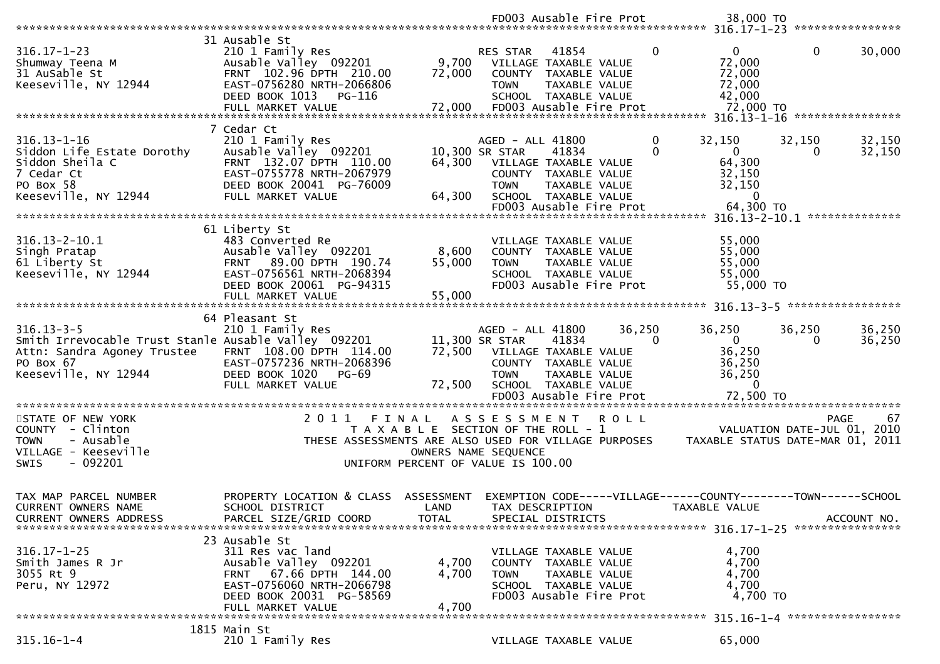|                                                                                                                                              |                                                                                                                                                                              |                             |                                                   | FD003 Ausable Fire Prot                                                                                                           |                      | 38,000 TO                                                                       |                                            |                   |
|----------------------------------------------------------------------------------------------------------------------------------------------|------------------------------------------------------------------------------------------------------------------------------------------------------------------------------|-----------------------------|---------------------------------------------------|-----------------------------------------------------------------------------------------------------------------------------------|----------------------|---------------------------------------------------------------------------------|--------------------------------------------|-------------------|
|                                                                                                                                              |                                                                                                                                                                              |                             |                                                   |                                                                                                                                   |                      |                                                                                 |                                            |                   |
| $316.17 - 1 - 23$<br>Shumway Teena M<br>31 AuSable St<br>Keeseville, NY 12944                                                                | 31 Ausable St<br>210 1 Family Res<br>Ausable Valley 092201<br>FRNT 102.96 DPTH 210.00<br>EAST-0756280 NRTH-2066806<br>DEED BOOK 1013<br>PG-116<br>FULL MARKET VALUE          | 9,700<br>72,000<br>72,000   | RES STAR<br><b>TOWN</b>                           | 41854<br>VILLAGE TAXABLE VALUE<br>COUNTY TAXABLE VALUE<br>TAXABLE VALUE<br>SCHOOL TAXABLE VALUE<br>FD003 Ausable Fire Prot        | 0                    | $\overline{0}$<br>72,000<br>72,000<br>72,000<br>42,000<br>72,000 TO             | $\mathbf 0$                                | 30,000            |
|                                                                                                                                              |                                                                                                                                                                              |                             |                                                   |                                                                                                                                   |                      |                                                                                 |                                            |                   |
| $316.13 - 1 - 16$<br>Siddon Life Estate Dorothy<br>Siddon Sheila C<br>7 Cedar Ct<br>PO Box 58                                                | 7 Cedar Ct<br>210 1 Family Res<br>Ausable Valley 092201<br>FRNT 132.07 DPTH 110.00<br>EAST-0755778 NRTH-2067979<br>DEED BOOK 20041 PG-76009                                  | 64,300                      | AGED - ALL 41800<br>10,300 SR STAR<br><b>TOWN</b> | 41834<br>VILLAGE TAXABLE VALUE<br>COUNTY TAXABLE VALUE<br>TAXABLE VALUE                                                           | $\Omega$<br>$\Omega$ | 32,150<br>$\overline{0}$<br>64,300<br>32,150<br>32,150                          | 32,150<br>0                                | 32,150<br>32,150  |
| Keeseville, NY 12944                                                                                                                         | FULL MARKET VALUE                                                                                                                                                            | 64,300                      |                                                   | SCHOOL TAXABLE VALUE<br>FD003 Ausable Fire Prot                                                                                   |                      | $\Omega$<br>64,300 TO                                                           |                                            |                   |
|                                                                                                                                              |                                                                                                                                                                              |                             |                                                   |                                                                                                                                   |                      |                                                                                 |                                            |                   |
| $316.13 - 2 - 10.1$<br>Singh Pratap<br>61 Liberty St<br>Keeseville, NY 12944                                                                 | 61 Liberty St<br>483 Converted Re<br>Ausable Valley 092201<br>FRNT 89.00 DPTH 190.74<br>EAST-0756561 NRTH-2068394<br>DEED BOOK 20061 PG-94315<br>FULL MARKET VALUE           | 8,600<br>55,000<br>55,000   | <b>TOWN</b>                                       | VILLAGE TAXABLE VALUE<br>COUNTY TAXABLE VALUE<br>TAXABLE VALUE<br>SCHOOL TAXABLE VALUE<br>FD003 Ausable Fire Prot                 |                      | 55,000<br>55,000<br>55,000<br>55,000<br>55,000 TO                               |                                            |                   |
|                                                                                                                                              |                                                                                                                                                                              |                             |                                                   |                                                                                                                                   |                      |                                                                                 |                                            | ***************** |
| $316.13 - 3 - 5$<br>Smith Irrevocable Trust Stanle Ausable Valley 092201<br>Attn: Sandra Agoney Trustee<br>PO Box 67<br>Keeseville, NY 12944 | 64 Pleasant St<br>210 1 Family Res<br>FRNT 108.00 DPTH 114.00<br>EAST-0757236 NRTH-2068396<br>DEED BOOK 1020<br>PG-69<br>FULL MARKET VALUE                                   | 72,500                      | AGED - ALL 41800<br>11,300 SR STAR<br><b>TOWN</b> | 41834<br>72,500 VILLAGE TAXABLE VALUE<br>COUNTY TAXABLE VALUE<br>TAXABLE VALUE<br>SCHOOL TAXABLE VALUE<br>FD003 Ausable Fire Prot | 36,250<br>$\Omega$   | 36,250<br>$\overline{0}$<br>36,250<br>36,250<br>36,250<br>$\Omega$<br>72,500 TO | 36,250<br>$\Omega$                         | 36,250<br>36,250  |
| STATE OF NEW YORK<br>COUNTY - Clinton<br>- Ausable<br><b>TOWN</b><br>VILLAGE - Keeseville<br>$-092201$<br><b>SWIS</b>                        | 2011 FINAL<br>T A X A B L E SECTION OF THE ROLL - 1<br>THESE ASSESSMENTS ARE ALSO USED FOR VILLAGE PURPOSES<br>UNIFORM PERCENT OF VALUE IS 100.00                            |                             | A S S E S S M E N T<br>OWNERS NAME SEQUENCE       |                                                                                                                                   | <b>ROLL</b>          | TAXABLE STATUS DATE-MAR 01, 2011                                                | <b>PAGE</b><br>VALUATION DATE-JUL 01, 2010 | 67                |
| TAX MAP PARCEL NUMBER<br>CURRENT OWNERS NAME<br><b>CURRENT OWNERS ADDRESS</b>                                                                | PROPERTY LOCATION & CLASS<br>SCHOOL DISTRICT<br>PARCEL SIZE/GRID COORD                                                                                                       | ASSESSMENT<br>LAND<br>TOTAL |                                                   | TAX DESCRIPTION<br>SPECIAL DISTRICTS                                                                                              |                      | EXEMPTION CODE-----VILLAGE------COUNTY--------TOWN------SCHOOL<br>TAXABLE VALUE |                                            | ACCOUNT NO.       |
| $316.17 - 1 - 25$<br>Smith James R Jr<br>3055 Rt 9<br>Peru, NY 12972                                                                         | 23 Ausable St<br>311 Res vac land<br>Ausable Valley 092201<br>67.66 DPTH 144.00<br><b>FRNT</b><br>EAST-0756060 NRTH-2066798<br>DEED BOOK 20031 PG-58569<br>FULL MARKET VALUE | 4,700<br>4,700<br>4,700     | <b>TOWN</b>                                       | VILLAGE TAXABLE VALUE<br>COUNTY TAXABLE VALUE<br>TAXABLE VALUE<br>SCHOOL TAXABLE VALUE<br>FD003 Ausable Fire Prot                 |                      | 4,700<br>4,700<br>4,700<br>4,700<br>4,700 TO<br>315.16-1-4 ******************   |                                            |                   |
|                                                                                                                                              | 1815 Main St                                                                                                                                                                 |                             |                                                   |                                                                                                                                   |                      |                                                                                 |                                            |                   |
| $315.16 - 1 - 4$                                                                                                                             | 210 1 Family Res                                                                                                                                                             |                             |                                                   | VILLAGE TAXABLE VALUE                                                                                                             |                      | 65,000                                                                          |                                            |                   |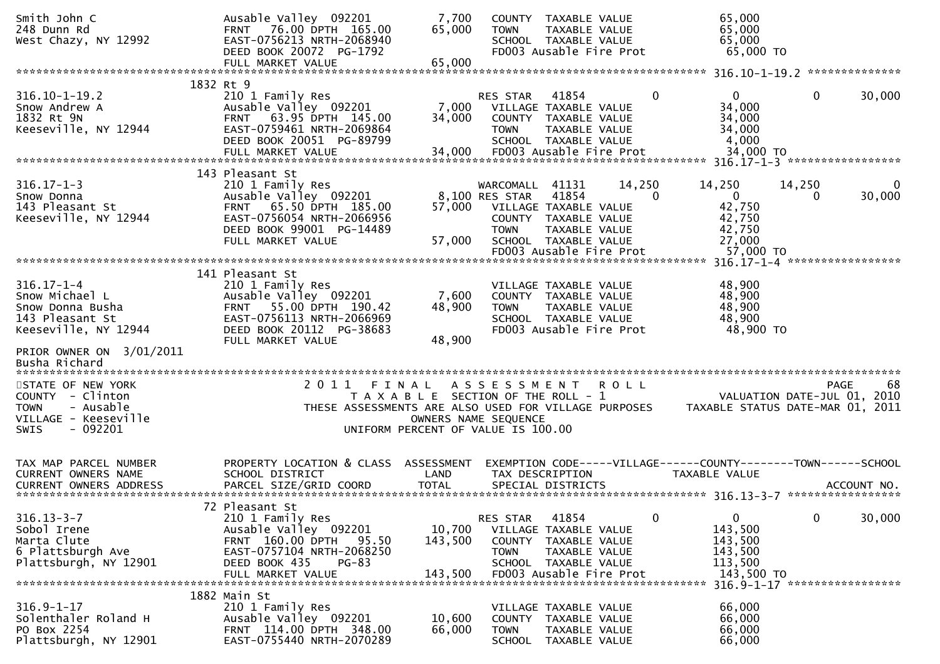| Smith John C<br>248 Dunn Rd<br>West Chazy, NY 12992                                                                  | Ausable Valley 092201<br>76.00 DPTH 165.00<br><b>FRNT</b><br>EAST-0756213 NRTH-2068940<br>DEED BOOK 20072 PG-1792<br>FULL MARKET VALUE                                         | 7,700<br>65,000<br>65,000                                                                           | <b>TOWN</b>                                | COUNTY TAXABLE VALUE<br>TAXABLE VALUE<br>SCHOOL TAXABLE VALUE<br>FD003 Ausable Fire Prot                                            |             | 65,000<br>65,000<br>65,000<br>65,000 TO                                                 |                                               |             |
|----------------------------------------------------------------------------------------------------------------------|--------------------------------------------------------------------------------------------------------------------------------------------------------------------------------|-----------------------------------------------------------------------------------------------------|--------------------------------------------|-------------------------------------------------------------------------------------------------------------------------------------|-------------|-----------------------------------------------------------------------------------------|-----------------------------------------------|-------------|
|                                                                                                                      | 1832 Rt 9                                                                                                                                                                      |                                                                                                     |                                            |                                                                                                                                     |             |                                                                                         | **************                                |             |
| $316.10 - 1 - 19.2$<br>Snow Andrew A<br>1832 Rt 9N<br>Keeseville, NY 12944                                           | 210 1 Family Res<br>Ausable Valley 092201<br>FRNT 63.95 DPTH 145.00<br>EAST-0759461 NRTH-2069864<br>DEED BOOK 20051 PG-89799<br>FULL MARKET VALUE                              | 7,000<br>34,000<br>34,000                                                                           | RES STAR<br><b>TOWN</b>                    | 41854<br>VILLAGE TAXABLE VALUE<br>COUNTY TAXABLE VALUE<br>TAXABLE VALUE<br>SCHOOL TAXABLE VALUE<br>FD003 Ausable Fire Prot          |             | 0<br>$\overline{0}$<br>34,000<br>34,000<br>34,000<br>4,000<br>34,000 TO                 | $\mathbf{0}$                                  | 30,000      |
|                                                                                                                      | 143 Pleasant St                                                                                                                                                                |                                                                                                     |                                            |                                                                                                                                     |             |                                                                                         |                                               |             |
| $316.17 - 1 - 3$<br>Snow Donna<br>143 Pleasant St<br>Keeseville, NY 12944                                            | 210 1 Family Res<br>Ausable Valley 092201<br>65.50 DPTH 185.00<br><b>FRNT</b><br>EAST-0756054 NRTH-2066956<br>DEED BOOK 99001 PG-14489<br>FULL MARKET VALUE                    | 57,000<br>57,000                                                                                    | WARCOMALL<br>8,100 RES STAR<br><b>TOWN</b> | 41131<br>41854<br>VILLAGE TAXABLE VALUE<br>COUNTY TAXABLE VALUE<br>TAXABLE VALUE<br>SCHOOL TAXABLE VALUE<br>FD003 Ausable Fire Prot | 14,250      | 14,250<br>$\mathbf{0}$<br>$\Omega$<br>42,750<br>42,750<br>42,750<br>27,000<br>57,000 TO | 14,250<br>0                                   | 0<br>30,000 |
|                                                                                                                      |                                                                                                                                                                                |                                                                                                     |                                            |                                                                                                                                     |             |                                                                                         | 316.17-1-4 ******************                 |             |
| $316.17 - 1 - 4$<br>Snow Michael L<br>Snow Donna Busha<br>143 Pleasant St<br>Keeseville, NY 12944                    | 141 Pleasant St<br>210 1 Family Res<br>Ausable Valley 092201<br>55.00 DPTH 190.42<br><b>FRNT</b><br>EAST-0756113 NRTH-2066969<br>DEED BOOK 20112 PG-38683<br>FULL MARKET VALUE | 7,600<br>48,900<br>48,900                                                                           | <b>TOWN</b>                                | VILLAGE TAXABLE VALUE<br>COUNTY TAXABLE VALUE<br>TAXABLE VALUE<br>SCHOOL TAXABLE VALUE<br>FD003 Ausable Fire Prot                   |             | 48,900<br>48,900<br>48,900<br>48,900<br>48,900 TO                                       |                                               |             |
| PRIOR OWNER ON 3/01/2011<br>Busha Richard                                                                            |                                                                                                                                                                                |                                                                                                     |                                            |                                                                                                                                     |             |                                                                                         |                                               |             |
| STATE OF NEW YORK<br>COUNTY - Clinton<br>- Ausable<br><b>TOWN</b><br>VILLAGE - Keeseville<br>- 092201<br><b>SWIS</b> | 2011<br>FINAL<br>THESE ASSESSMENTS ARE ALSO USED FOR VILLAGE PURPOSES                                                                                                          | T A X A B L E SECTION OF THE ROLL - 1<br>OWNERS NAME SEQUENCE<br>UNIFORM PERCENT OF VALUE IS 100.00 | A S S E S S M E N T                        |                                                                                                                                     | <b>ROLL</b> | TAXABLE STATUS DATE-MAR 01, 2011                                                        | <b>PAGE</b><br>VALUATION DATE-JUL 01, 2010    | 68          |
| TAX MAP PARCEL NUMBER<br>CURRENT OWNERS NAME                                                                         | PROPERTY LOCATION & CLASS ASSESSMENT<br>SCHOOL DISTRICT                                                                                                                        | LAND                                                                                                |                                            | TAX DESCRIPTION                                                                                                                     |             | EXEMPTION CODE-----VILLAGE------COUNTY--------TOWN------SCHOOL<br>TAXABLE VALUE         |                                               |             |
| $316.13 - 3 - 7$<br>Sobol Irene<br>Marta Clute<br>6 Plattsburgh Ave<br>Plattsburgh, NY 12901                         | 72 Pleasant St<br>210 1 Family Res<br>Ausable Valley 092201<br>FRNT 160.00 DPTH<br>95.50<br>EAST-0757104 NRTH-2068250<br>DEED BOOK 435<br>$PG-83$<br>FULL MARKET VALUE         | 10,700<br>143,500<br>143,500                                                                        | RES STAR<br><b>TOWN</b>                    | 41854<br>VILLAGE TAXABLE VALUE<br>COUNTY TAXABLE VALUE<br>TAXABLE VALUE<br>SCHOOL TAXABLE VALUE<br>FD003 Ausable Fire Prot          |             | $\mathbf{0}$<br>0<br>143,500<br>143,500<br>143,500<br>113,500<br>143,500 TO             | $\mathbf{0}$<br>316.9-1-17 ****************** | 30,000      |
|                                                                                                                      | 1882 Main St                                                                                                                                                                   |                                                                                                     |                                            |                                                                                                                                     |             |                                                                                         |                                               |             |
| $316.9 - 1 - 17$<br>Solenthaler Roland H<br>PO Box 2254<br>Plattsburgh, NY 12901                                     | 210 1 Family Res<br>Ausable Valley 092201<br>FRNT 114.00 DPTH 348.00<br>EAST-0755440 NRTH-2070289                                                                              | 10,600<br>66,000                                                                                    | <b>TOWN</b><br><b>SCHOOL</b>               | VILLAGE TAXABLE VALUE<br>COUNTY TAXABLE VALUE<br>TAXABLE VALUE<br>TAXABLE VALUE                                                     |             | 66,000<br>66,000<br>66,000<br>66,000                                                    |                                               |             |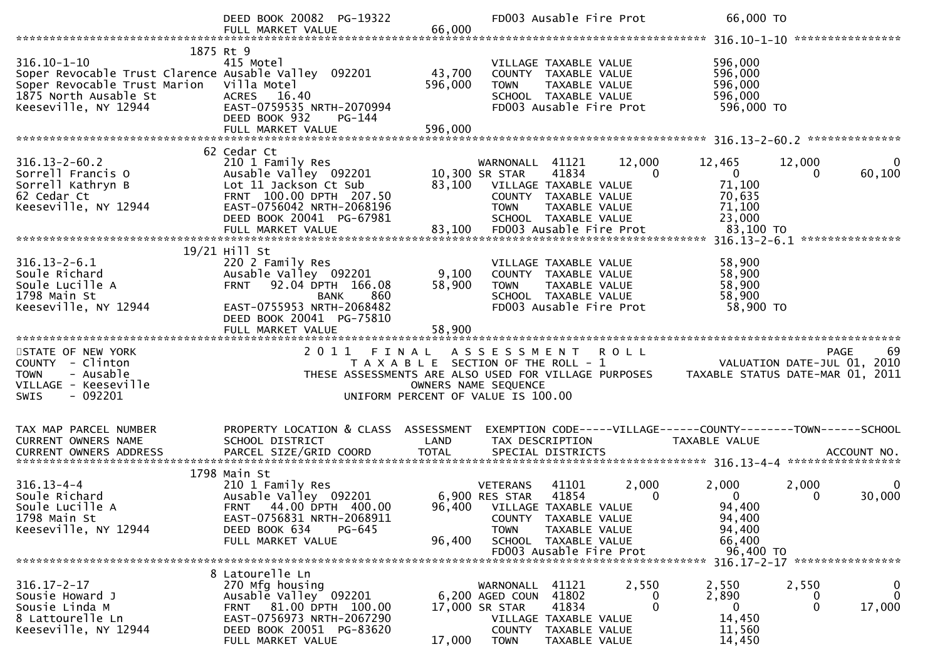|                                                                                                                                                            | DEED BOOK 20082 PG-19322<br>FULL MARKET VALUE                                                                                                                                                      | 66,000                                                                                                       |                                                                                  | FD003 Ausable Fire Prot                                                                                           |                 | 66,000 TO                                                                  |                            |                            |
|------------------------------------------------------------------------------------------------------------------------------------------------------------|----------------------------------------------------------------------------------------------------------------------------------------------------------------------------------------------------|--------------------------------------------------------------------------------------------------------------|----------------------------------------------------------------------------------|-------------------------------------------------------------------------------------------------------------------|-----------------|----------------------------------------------------------------------------|----------------------------|----------------------------|
| $316.10 - 1 - 10$<br>Soper Revocable Trust Clarence Ausable Valley 092201<br>Soper Revocable Trust Marion<br>1875 North Ausable St<br>Keeseville, NY 12944 | 1875 Rt 9<br>415 Motel<br>Villa Motel<br>ACRES 16.40<br>EAST-0759535 NRTH-2070994<br>DEED BOOK 932<br>PG-144<br>FULL MARKET VALUE                                                                  | 43,700<br>596,000<br>596,000                                                                                 | TOWN                                                                             | VILLAGE TAXABLE VALUE<br>COUNTY TAXABLE VALUE<br>TAXABLE VALUE<br>SCHOOL TAXABLE VALUE<br>FD003 Ausable Fire Prot |                 | 596,000<br>596,000<br>596,000<br>596,000<br>596,000 TO                     |                            |                            |
|                                                                                                                                                            |                                                                                                                                                                                                    |                                                                                                              |                                                                                  |                                                                                                                   |                 |                                                                            |                            |                            |
| $316.13 - 2 - 60.2$<br>Sorrell Francis O<br>Sorrell Kathryn B<br>62 Cedar Ct<br>Keeseville, NY 12944                                                       | 62 Cedar Ct<br>210 1 Family Res<br>Ausable Valley 092201<br>Lot 11 Jackson Ct Sub<br>FRNT 100.00 DPTH 207.50<br>EAST-0756042 NRTH-2068196<br>DEED BOOK 20041 PG-67981                              | 83,100                                                                                                       | WARNONALL<br>10,300 SR STAR<br>VILLAGE TAXABLE VALUE<br><b>TOWN</b>              | 41121<br>41834<br>COUNTY TAXABLE VALUE<br>TAXABLE VALUE<br>SCHOOL TAXABLE VALUE                                   | 12,000<br>0     | 12,465<br>$\mathbf{0}$<br>71,100<br>70,635<br>71,100<br>23,000             | 12,000<br>0                | 0<br>60,100                |
|                                                                                                                                                            |                                                                                                                                                                                                    |                                                                                                              |                                                                                  |                                                                                                                   |                 |                                                                            |                            |                            |
| $316.13 - 2 - 6.1$<br>Soule Richard<br>Soule Lucille A<br>1798 Main St<br>Keeseville, NY 12944                                                             | 19/21 Hill St<br>220 2 Family Res<br>Ausable Valley 092201<br>92.04 DPTH 166.08<br><b>FRNT</b><br>860<br><b>BANK</b><br>EAST-0755953 NRTH-2068482<br>DEED BOOK 20041 PG-75810<br>FULL MARKET VALUE | 9,100<br>58,900<br>58,900                                                                                    | TOWN                                                                             | VILLAGE TAXABLE VALUE<br>COUNTY TAXABLE VALUE<br>TAXABLE VALUE<br>SCHOOL TAXABLE VALUE<br>FD003 Ausable Fire Prot |                 | 58,900<br>58,900<br>58,900<br>58,900<br>58,900 TO                          |                            |                            |
|                                                                                                                                                            |                                                                                                                                                                                                    |                                                                                                              |                                                                                  |                                                                                                                   |                 |                                                                            |                            |                            |
| STATE OF NEW YORK<br>COUNTY - Clinton<br>- Ausable<br><b>TOWN</b><br>VILLAGE - Keeseville<br>$-092201$<br><b>SWIS</b>                                      | 2011<br>THESE ASSESSMENTS ARE ALSO USED FOR VILLAGE PURPOSES                                                                                                                                       | FINAL<br>T A X A B L E SECTION OF THE ROLL - 1<br>OWNERS NAME SEQUENCE<br>UNIFORM PERCENT OF VALUE IS 100.00 | A S S E S S M E N T                                                              |                                                                                                                   | <b>ROLL</b>     | VALUATION DATE-JUL 01, 2010<br>TAXABLE STATUS DATE-MAR 01, 2011            |                            | <b>PAGE</b><br>69          |
| TAX MAP PARCEL NUMBER                                                                                                                                      | PROPERTY LOCATION & CLASS ASSESSMENT                                                                                                                                                               |                                                                                                              |                                                                                  |                                                                                                                   |                 | EXEMPTION CODE-----VILLAGE------COUNTY--------TOWN------SCHOOL             |                            |                            |
| CURRENT OWNERS NAME<br><b>CURRENT OWNERS ADDRESS</b>                                                                                                       | SCHOOL DISTRICT                                                                                                                                                                                    | LAND                                                                                                         | TAX DESCRIPTION                                                                  |                                                                                                                   |                 | TAXABLE VALUE                                                              |                            |                            |
| $316.13 - 4 - 4$<br>Soule Richard<br>Soule Lucille A<br>1798 Main St<br>Keeseville, NY 12944                                                               | 1798 Main St<br>210 1 Family Res<br>Ausable Valley 092201<br>FRNT 44.00 DPTH 400.00<br>EAST-0756831 NRTH-2068911<br>DEED BOOK 634<br>PG-645<br>FULL MARKET VALUE                                   | 96,400                                                                                                       | <b>VETERANS</b><br>6,900 RES STAR<br>96,400 VILLAGE TAXABLE VALUE<br><b>TOWN</b> | 41101<br>41854<br>COUNTY TAXABLE VALUE<br>TAXABLE VALUE<br>SCHOOL TAXABLE VALUE<br>FD003 Ausable Fire Prot        | 2,000<br>0      | 2,000<br>$\mathbf{0}$<br>94,400<br>94,400<br>94,400<br>66,400<br>96,400 TO | 2,000<br>0                 | 0<br>30,000                |
|                                                                                                                                                            |                                                                                                                                                                                                    |                                                                                                              |                                                                                  |                                                                                                                   |                 |                                                                            |                            |                            |
| $316.17 - 2 - 17$<br>Sousie Howard J<br>Sousie Linda M<br>8 Lattourelle Ln<br>Keeseville, NY 12944                                                         | 8 Latourelle Ln<br>270 Mfg housing<br>Ausable Valley 092201<br>FRNT 81.00 DPTH 100.00<br>EAST-0756973 NRTH-2067290<br>DEED BOOK 20051 PG-83620<br>FULL MARKET VALUE                                | 17,000                                                                                                       | WARNONALL<br>6,200 AGED COUN 41802<br>17,000 SR STAR<br><b>TOWN</b>              | 41121<br>41834<br>VILLAGE TAXABLE VALUE<br>COUNTY TAXABLE VALUE<br>TAXABLE VALUE                                  | 2,550<br>0<br>0 | 2,550<br>2,890<br>$\overline{0}$<br>14,450<br>11,560<br>14,450             | 2,550<br>0<br>$\mathbf{0}$ | 0<br>$\mathbf 0$<br>17,000 |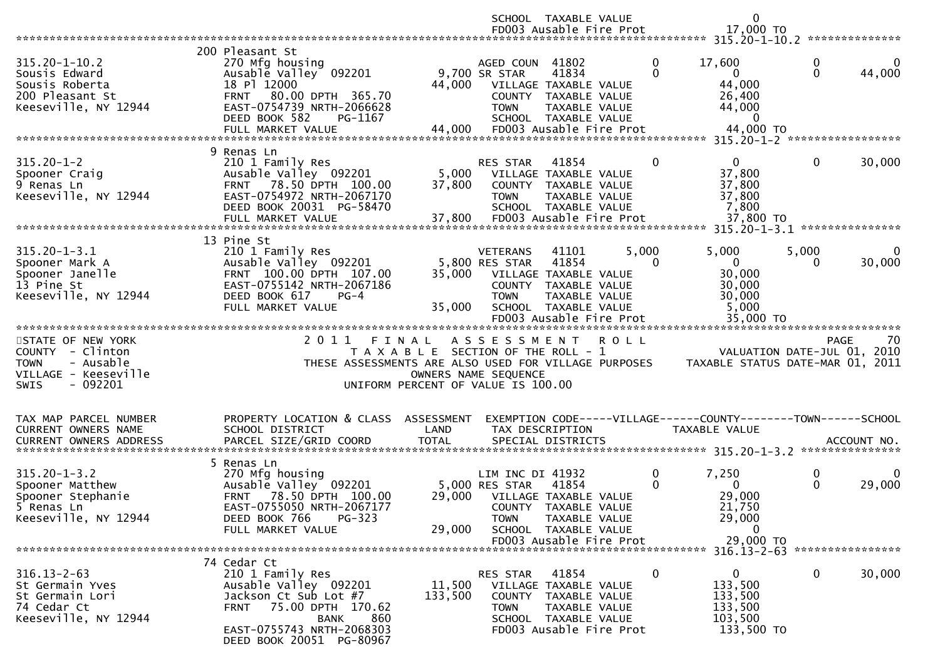|                                                                                                                      |                                                                                                                                                                                                      |                                                                                                     |                                                   | SCHOOL TAXABLE VALUE<br>FD003 Ausable Fire Prot                                                                                     |             | $\mathbf 0$<br>17,000 TO                                                                  |                             |                   |
|----------------------------------------------------------------------------------------------------------------------|------------------------------------------------------------------------------------------------------------------------------------------------------------------------------------------------------|-----------------------------------------------------------------------------------------------------|---------------------------------------------------|-------------------------------------------------------------------------------------------------------------------------------------|-------------|-------------------------------------------------------------------------------------------|-----------------------------|-------------------|
|                                                                                                                      |                                                                                                                                                                                                      |                                                                                                     |                                                   |                                                                                                                                     |             |                                                                                           |                             |                   |
| $315.20 - 1 - 10.2$<br>Sousis Edward<br>Sousis Roberta<br>200 Pleasant St<br>Keeseville, NY 12944                    | 200 Pleasant St<br>270 Mfg housing<br>Ausable Valley 092201<br>18 Pl 12000<br>FRNT 80.00 DPTH 365.70<br>EAST-0754739 NRTH-2066628<br>DEED BOOK 582<br>PG-1167<br>FULL MARKET VALUE                   | 44,000<br>44,000                                                                                    | AGED COUN 41802<br>9,700 SR STAR<br><b>TOWN</b>   | 41834<br>VILLAGE TAXABLE VALUE<br>COUNTY TAXABLE VALUE<br>TAXABLE VALUE<br>SCHOOL TAXABLE VALUE<br>FD003 Ausable Fire Prot          |             | 0<br>17,600<br>$\Omega$<br>$\overline{0}$<br>44,000<br>26,400<br>44,000<br>0<br>44,000 TO | 0<br>$\Omega$               | 0<br>44,000       |
|                                                                                                                      |                                                                                                                                                                                                      |                                                                                                     |                                                   |                                                                                                                                     |             |                                                                                           |                             |                   |
| $315.20 - 1 - 2$<br>Spooner Craig<br>9 Renas Ln<br>Keeseville, NY 12944                                              | 9 Renas Ln<br>210 1 Family Res<br>Ausable Valley 092201<br>78.50 DPTH 100.00<br><b>FRNT</b><br>EAST-0754972 NRTH-2067170<br>DEED BOOK 20031 PG-58470<br>FULL MARKET VALUE                            | 5,000<br>37,800<br>37,800                                                                           | RES STAR<br><b>TOWN</b>                           | 41854<br>VILLAGE TAXABLE VALUE<br>COUNTY TAXABLE VALUE<br><b>TAXABLE VALUE</b><br>SCHOOL TAXABLE VALUE<br>FD003 Ausable Fire Prot   |             | $\mathbf{0}$<br>0<br>37,800<br>37,800<br>37,800<br>7,800<br>37,800 TO                     | 0                           | 30,000            |
|                                                                                                                      | 13 Pine St                                                                                                                                                                                           |                                                                                                     |                                                   |                                                                                                                                     |             |                                                                                           |                             |                   |
| $315.20 - 1 - 3.1$<br>Spooner Mark A<br>Spooner Janelle<br>13 Pine St<br>Keeseville, NY 12944                        | 210 1 Family Res<br>Ausable Valley 092201<br>FRNT 100.00 DPTH 107.00<br>EAST-0755142 NRTH-2067186<br>DEED BOOK 617<br>$PG-4$<br>FULL MARKET VALUE                                                    | 35,000<br>35,000                                                                                    | <b>VETERANS</b><br>5,800 RES STAR<br><b>TOWN</b>  | 41101<br>41854<br>VILLAGE TAXABLE VALUE<br>COUNTY TAXABLE VALUE<br>TAXABLE VALUE<br>SCHOOL TAXABLE VALUE<br>FD003 Ausable Fire Prot | 5,000       | 5,000<br>$\Omega$<br>0<br>30,000<br>30,000<br>30,000<br>5,000<br>35,000 TO                | 5,000<br>0                  | 0<br>30,000       |
|                                                                                                                      |                                                                                                                                                                                                      |                                                                                                     |                                                   |                                                                                                                                     |             |                                                                                           |                             |                   |
| STATE OF NEW YORK<br>COUNTY - Clinton<br><b>TOWN</b><br>- Ausable<br>VILLAGE - Keeseville<br>- 092201<br><b>SWIS</b> | 2011 FINAL<br>THESE ASSESSMENTS ARE ALSO USED FOR VILLAGE PURPOSES                                                                                                                                   | T A X A B L E SECTION OF THE ROLL - 1<br>OWNERS NAME SEQUENCE<br>UNIFORM PERCENT OF VALUE IS 100.00 | A S S E S S M E N T                               |                                                                                                                                     | <b>ROLL</b> | TAXABLE STATUS DATE-MAR 01, 2011                                                          | VALUATION DATE-JUL 01, 2010 | 70<br><b>PAGE</b> |
| TAX MAP PARCEL NUMBER<br>CURRENT OWNERS NAME<br><b>CURRENT OWNERS ADDRESS</b>                                        | PROPERTY LOCATION & CLASS ASSESSMENT<br>SCHOOL DISTRICT<br>PARCEL SIZE/GRID COORD                                                                                                                    | LAND<br><b>TOTAL</b>                                                                                |                                                   | TAX DESCRIPTION<br>SPECIAL DISTRICTS                                                                                                |             | EXEMPTION CODE-----VILLAGE------COUNTY--------TOWN------SCHOOL<br>TAXABLE VALUE           |                             | ACCOUNT NO.       |
| $315.20 - 1 - 3.2$<br>Spooner Matthew<br>Spooner Stephanie<br>5 Renas Ln<br>Keeseville, NY 12944                     | 5 Renas Ln<br>270 Mfg housing<br>Ausable Valley 092201<br>78.50 DPTH 100.00<br><b>FRNT</b><br>EAST-0755050 NRTH-2067177<br>PG-323<br>DEED BOOK 766<br>FULL MARKET VALUE                              | 29,000<br>29,000                                                                                    | LIM INC DI 41932<br>5,000 RES STAR<br><b>TOWN</b> | 41854<br>VILLAGE TAXABLE VALUE<br>COUNTY TAXABLE VALUE<br>TAXABLE VALUE<br>SCHOOL TAXABLE VALUE<br>FD003 Ausable Fire Prot          |             | 0<br>7,250<br>$\Omega$<br>$\Omega$<br>29,000<br>21,750<br>29,000<br>$\Omega$<br>29,000 TO | 0<br>$\Omega$               | 0<br>29,000       |
|                                                                                                                      |                                                                                                                                                                                                      |                                                                                                     |                                                   |                                                                                                                                     |             |                                                                                           |                             |                   |
| $316.13 - 2 - 63$<br>St Germain Yves<br>St Germain Lori<br>74 Cedar Ct<br>Keeseville, NY 12944                       | 74 Cedar Ct<br>210 1 Family Res<br>Ausable Valley 092201<br>Jackson Ct Sub Lot #7<br>75.00 DPTH 170.62<br><b>FRNT</b><br>860<br><b>BANK</b><br>EAST-0755743 NRTH-2068303<br>DEED BOOK 20051 PG-80967 | 11,500<br>133,500                                                                                   | RES STAR<br><b>TOWN</b>                           | 41854<br>VILLAGE TAXABLE VALUE<br>COUNTY TAXABLE VALUE<br>TAXABLE VALUE<br>SCHOOL TAXABLE VALUE<br>FD003 Ausable Fire Prot          |             | 0<br>$\mathbf{0}$<br>133,500<br>133,500<br>133,500<br>103,500<br>133,500 TO               | $\mathbf 0$                 | 30,000            |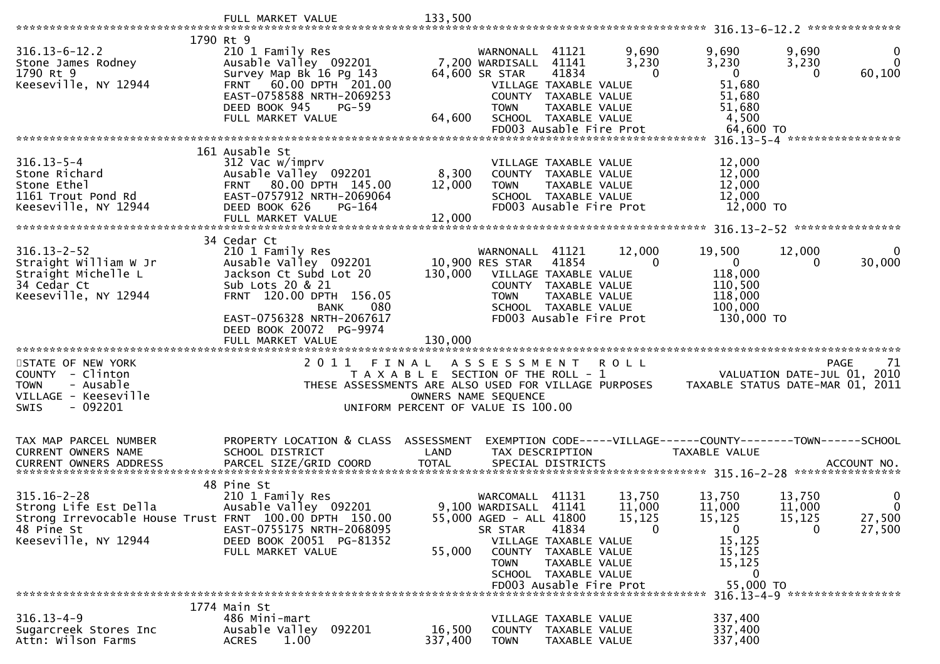| 1790 Rt 9                                                                                                                                  |                                                                                                                                                                          |                                                                             |                                                                                         |                                                                                                                                     |                                 |                                                                                                       |                                  |                                       |
|--------------------------------------------------------------------------------------------------------------------------------------------|--------------------------------------------------------------------------------------------------------------------------------------------------------------------------|-----------------------------------------------------------------------------|-----------------------------------------------------------------------------------------|-------------------------------------------------------------------------------------------------------------------------------------|---------------------------------|-------------------------------------------------------------------------------------------------------|----------------------------------|---------------------------------------|
| $316.13 - 6 - 12.2$<br>Stone James Rodney<br>1790 Rt 9<br>Keeseville, NY 12944                                                             | 210 1 Family Res<br>Ausable Valley 092201<br>Survey Map Bk 16 Pg 143<br>FRNT 60.00 DPTH 201.00<br>EAST-0758588 NRTH-2069253<br>DEED BOOK 945<br><b>PG-59</b>             |                                                                             | WARNONALL 41121<br>7,200 WARDISALL 41141<br>64,600 SR STAR<br><b>TOWN</b>               | 41834<br>VILLAGE TAXABLE VALUE<br>COUNTY TAXABLE VALUE<br>TAXABLE VALUE                                                             | 9,690<br>3,230<br>$\Omega$      | 9,690<br>3,230<br>$\overline{0}$<br>51,680<br>51,680<br>51,680                                        | 9,690<br>3,230<br>$\Omega$       | 0<br>$\mathbf{0}$<br>60,100           |
|                                                                                                                                            | FULL MARKET VALUE                                                                                                                                                        | 64,600                                                                      |                                                                                         | SCHOOL TAXABLE VALUE<br>FD003 Ausable Fire Prot                                                                                     |                                 | 4,500<br>64,600 TO                                                                                    |                                  |                                       |
|                                                                                                                                            |                                                                                                                                                                          |                                                                             |                                                                                         |                                                                                                                                     |                                 |                                                                                                       |                                  |                                       |
| $316.13 - 5 - 4$<br>Stone Richard<br>Stone Ethel<br>1161 Trout Pond Rd<br>Keeseville, NY 12944                                             | 161 Ausable St<br>312 Vac w/imprv<br>Ausable Valley 092201<br>FRNT 80.00 DPTH 145.00<br>EAST-0757912 NRTH-2069064<br>DEED BOOK 626<br><b>PG-164</b><br>FULL MARKET VALUE | 8,300<br>12,000<br>12,000                                                   | <b>TOWN</b>                                                                             | VILLAGE TAXABLE VALUE<br>COUNTY TAXABLE VALUE<br>TAXABLE VALUE<br>SCHOOL TAXABLE VALUE<br>FD003 Ausable Fire Prot                   |                                 | 12,000<br>12,000<br>12,000<br>12,000<br>12,000 TO                                                     |                                  |                                       |
|                                                                                                                                            | 34 Cedar Ct                                                                                                                                                              |                                                                             |                                                                                         |                                                                                                                                     |                                 |                                                                                                       |                                  |                                       |
| $316.13 - 2 - 52$<br>Straight William W Jr<br>Straight Michelle L<br>34 Cedar Ct<br>Keeseville, NY 12944                                   | 210 1 Family Res<br>Ausable Valley 092201<br>Jackson Ct Subd Lot 20<br>Sub Lots 20 & 21<br>FRNT 120.00 DPTH 156.05<br><b>BANK</b><br>080                                 | 130,000                                                                     | WARNONALL<br>10,900 RES STAR<br><b>TOWN</b>                                             | 41121<br>41854<br>VILLAGE TAXABLE VALUE<br>COUNTY TAXABLE VALUE<br>TAXABLE VALUE<br>SCHOOL TAXABLE VALUE                            | 12,000<br>$\Omega$              | 19,500<br>$\mathbf 0$<br>118,000<br>110,500<br>118,000<br>100,000                                     | 12,000                           | $\Omega$<br>30,000                    |
|                                                                                                                                            | EAST-0756328 NRTH-2067617<br>DEED BOOK 20072 PG-9974<br>FULL MARKET VALUE                                                                                                | 130,000                                                                     |                                                                                         | FD003 Ausable Fire Prot                                                                                                             |                                 | 130,000 TO                                                                                            |                                  |                                       |
|                                                                                                                                            |                                                                                                                                                                          |                                                                             |                                                                                         |                                                                                                                                     |                                 |                                                                                                       |                                  |                                       |
| STATE OF NEW YORK<br>COUNTY - Clinton<br><b>TOWN</b><br>- Ausable<br>VILLAGE - Keeseville<br>$-092201$<br><b>SWIS</b>                      | 2011<br>FINAL<br>THESE ASSESSMENTS ARE ALSO USED FOR VILLAGE PURPOSES                                                                                                    | T A X A B L E SECTION OF THE ROLL - 1<br>UNIFORM PERCENT OF VALUE IS 100.00 | A S S E S S M E N T<br>OWNERS NAME SEQUENCE                                             |                                                                                                                                     | <b>ROLL</b>                     | VALUATION DATE-JUL 01,<br>TAXABLE STATUS DATE-MAR 01, 2011                                            |                                  | <b>PAGE</b><br>71<br>2010             |
| TAX MAP PARCEL NUMBER                                                                                                                      | PROPERTY LOCATION & CLASS ASSESSMENT                                                                                                                                     |                                                                             |                                                                                         |                                                                                                                                     |                                 | EXEMPTION CODE-----VILLAGE------COUNTY--------TOWN------SCHOOL                                        |                                  |                                       |
| CURRENT OWNERS NAME                                                                                                                        | SCHOOL DISTRICT                                                                                                                                                          | LAND                                                                        |                                                                                         | TAX DESCRIPTION                                                                                                                     |                                 | TAXABLE VALUE                                                                                         |                                  |                                       |
| $315.16 - 2 - 28$<br>Strong Life Est Della<br>Strong Irrevocable House Trust FRNT 100.00 DPTH 150.00<br>48 Pine St<br>Keeseville, NY 12944 | 48 Pine St<br>210 1 Family Res<br>Ausable Valley 092201<br>EAST-0755175 NRTH-2068095<br>DEED BOOK 20051 PG-81352<br>FULL MARKET VALUE                                    | 55,000                                                                      | WARCOMALL<br>9,100 WARDISALL 41141<br>55,000 AGED - ALL 41800<br>SR STAR<br><b>TOWN</b> | 41131<br>41834<br>VILLAGE TAXABLE VALUE<br>COUNTY TAXABLE VALUE<br>TAXABLE VALUE<br>SCHOOL TAXABLE VALUE<br>FD003 Ausable Fire Prot | 13,750<br>11,000<br>15,125<br>0 | 13,750<br>11,000<br>15, 125<br>$\mathbf{0}$<br>15,125<br>15,125<br>15,125<br>$\mathbf 0$<br>55,000 TO | 13,750<br>11,000<br>15, 125<br>0 | 0<br>$\mathbf{0}$<br>27,500<br>27,500 |
|                                                                                                                                            |                                                                                                                                                                          |                                                                             |                                                                                         |                                                                                                                                     |                                 |                                                                                                       |                                  | 316.13-4-9 ******************         |
| $316.13 - 4 - 9$<br>Sugarcreek Stores Inc<br>Attn: Wilson Farms                                                                            | 1774 Main St<br>486 Mini-mart<br>Ausable Valley 092201<br><b>ACRES</b><br>1.00                                                                                           | 16,500<br>337,400                                                           | <b>TOWN</b>                                                                             | VILLAGE TAXABLE VALUE<br>COUNTY TAXABLE VALUE<br>TAXABLE VALUE                                                                      |                                 | 337,400<br>337,400<br>337,400                                                                         |                                  |                                       |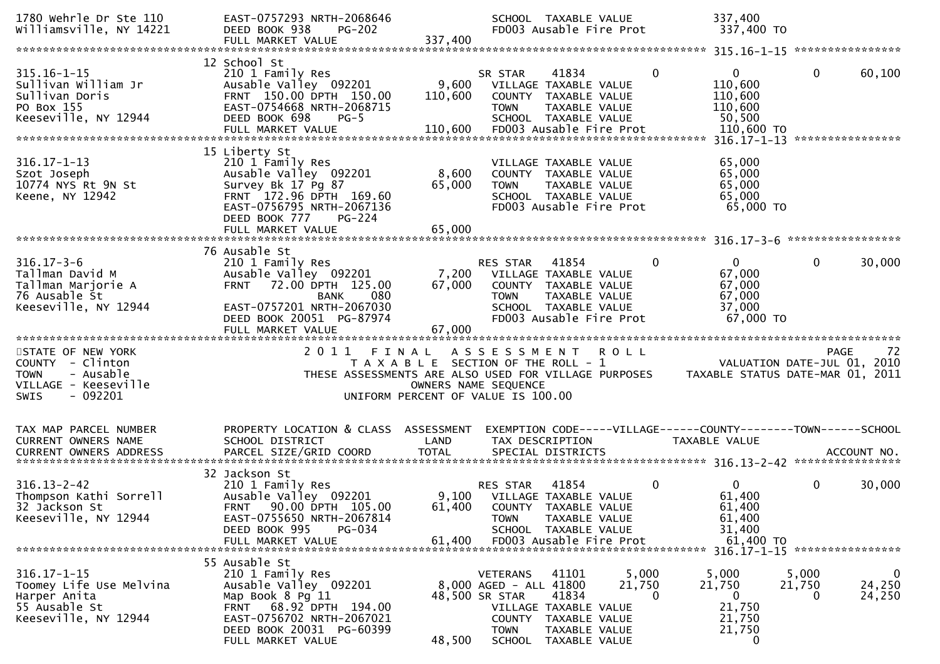| 1780 Wehrle Dr Ste 110<br>Williamsville, NY 14221                                                                     | EAST-0757293 NRTH-2068646<br>DEED BOOK 938<br>$PG-202$<br>FULL MARKET VALUE                                                                                                                        | 337,400                   | SCHOOL TAXABLE VALUE<br>FD003 Ausable Fire Prot                                                                                                                                |                      | 337,400<br>337,400 TO                                               |                                                                                      |
|-----------------------------------------------------------------------------------------------------------------------|----------------------------------------------------------------------------------------------------------------------------------------------------------------------------------------------------|---------------------------|--------------------------------------------------------------------------------------------------------------------------------------------------------------------------------|----------------------|---------------------------------------------------------------------|--------------------------------------------------------------------------------------|
|                                                                                                                       |                                                                                                                                                                                                    |                           |                                                                                                                                                                                |                      |                                                                     |                                                                                      |
| $315.16 - 1 - 15$<br>Sullivan William Jr<br>Sullivan Doris<br>PO Box 155<br>Keeseville, NY 12944                      | 12 School St<br>210 1 Family Res<br>Ausable Valley 092201<br>FRNT 150.00 DPTH 150.00<br>EAST-0754668 NRTH-2068715<br>DEED BOOK 698<br>$PG-5$                                                       | 9,600<br>110,600          | 41834<br>SR STAR<br>VILLAGE TAXABLE VALUE<br>COUNTY TAXABLE VALUE<br><b>TOWN</b><br>TAXABLE VALUE<br>SCHOOL TAXABLE VALUE                                                      | 0                    | $\mathbf{0}$<br>110,600<br>110,600<br>110,600<br>50,500             | $\mathbf{0}$<br>60,100<br>****************                                           |
| $316.17 - 1 - 13$<br>Szot Joseph<br>10774 NYS Rt 9N St<br>Keene, NY 12942                                             | 15 Liberty St<br>210 1 Family Res<br>Ausable Valley 092201<br>Survey Bk 17 Pg 87<br>FRNT 172.96 DPTH 169.60<br>EAST-0756795 NRTH-2067136<br>DEED BOOK 777<br>PG-224<br>FULL MARKET VALUE           | 8,600<br>65,000<br>65,000 | VILLAGE TAXABLE VALUE<br>COUNTY TAXABLE VALUE<br><b>TOWN</b><br>TAXABLE VALUE<br>SCHOOL TAXABLE VALUE<br>FD003 Ausable Fire Prot                                               |                      | 65,000<br>65,000<br>65,000<br>65,000<br>65,000 TO                   |                                                                                      |
| $316.17 - 3 - 6$<br>Tallman David M<br>Tallman Marjorie A<br>76 Ausable St<br>Keeseville, NY 12944                    | 76 Ausable St<br>210 1 Family Res<br>Ausable Valley 092201<br>72.00 DPTH 125.00<br><b>FRNT</b><br>080<br><b>BANK</b><br>EAST-0757201 NRTH-2067030<br>DEED BOOK 20051 PG-87974<br>FULL MARKET VALUE | 7,200<br>67,000<br>67,000 | RES STAR<br>41854<br>VILLAGE TAXABLE VALUE<br>COUNTY TAXABLE VALUE<br>TAXABLE VALUE<br><b>TOWN</b><br>SCHOOL TAXABLE VALUE<br>FD003 Ausable Fire Prot                          | $\Omega$             | $\Omega$<br>67,000<br>67,000<br>67,000<br>37,000<br>67,000 TO       | $\mathbf{0}$<br>30,000                                                               |
| STATE OF NEW YORK<br>COUNTY - Clinton<br>- Ausable<br><b>TOWN</b><br>VILLAGE - Keeseville<br>$-092201$<br><b>SWIS</b> |                                                                                                                                                                                                    | OWNERS NAME SEQUENCE      | 2011 FINAL ASSESSMENT ROLL<br>T A X A B L E SECTION OF THE ROLL - 1<br>THESE ASSESSMENTS ARE ALSO USED FOR VILLAGE PURPOSES<br>UNIFORM PERCENT OF VALUE IS 100.00              |                      |                                                                     | 72<br><b>PAGE</b><br>VALUATION DATE-JUL 01, 2010<br>TAXABLE STATUS DATE-MAR 01, 2011 |
| TAX MAP PARCEL NUMBER<br>CURRENT OWNERS NAME                                                                          | PROPERTY LOCATION & CLASS ASSESSMENT<br>SCHOOL DISTRICT                                                                                                                                            | LAND                      | EXEMPTION CODE-----VILLAGE------COUNTY--------TOWN------SCHOOL<br>TAX DESCRIPTION                                                                                              |                      | TAXABLE VALUE                                                       |                                                                                      |
| $316.13 - 2 - 42$<br>Thompson Kathi Sorrell<br>32 Jackson St<br>Keeseville, NY 12944                                  | 32 Jackson St<br>210 1 Family Res<br>Ausable Valley 092201<br>90.00 DPTH 105.00<br><b>FRNT</b><br>EAST-0755650 NRTH-2067814<br>DEED BOOK 995<br>PG-034<br>FULL MARKET VALUE                        | 61,400<br>61,400          | 41854<br>RES STAR<br>9,100 VILLAGE TAXABLE VALUE<br>COUNTY TAXABLE VALUE<br><b>TOWN</b><br>TAXABLE VALUE<br>SCHOOL TAXABLE VALUE<br>FD003 Ausable Fire Prot                    | 0                    | $\overline{0}$<br>61,400<br>61,400<br>61,400<br>31,400<br>61,400 TO | 0<br>30,000                                                                          |
| $316.17 - 1 - 15$<br>Toomey Life Use Melvina<br>Harper Anita<br>55 Ausable St<br>Keeseville, NY 12944                 | 55 Ausable St<br>210 1 Family Res<br>Ausable Valley 092201<br>Map Book 8 Pg 11<br>68.92 DPTH 194.00<br><b>FRNT</b><br>EAST-0756702 NRTH-2067021<br>DEED BOOK 20031 PG-60399<br>FULL MARKET VALUE   | 48,500 SR STAR<br>48,500  | 41101<br><b>VETERANS</b><br>8,000 AGED - ALL 41800<br>41834<br>VILLAGE TAXABLE VALUE<br>COUNTY TAXABLE VALUE<br>TAXABLE VALUE<br><b>TOWN</b><br><b>SCHOOL</b><br>TAXABLE VALUE | 5,000<br>21,750<br>0 | 5,000<br>21,750<br>0<br>21,750<br>21,750<br>21,750<br>0             | $\mathbf 0$<br>5,000<br>24,250<br>21,750<br>24,250<br>0                              |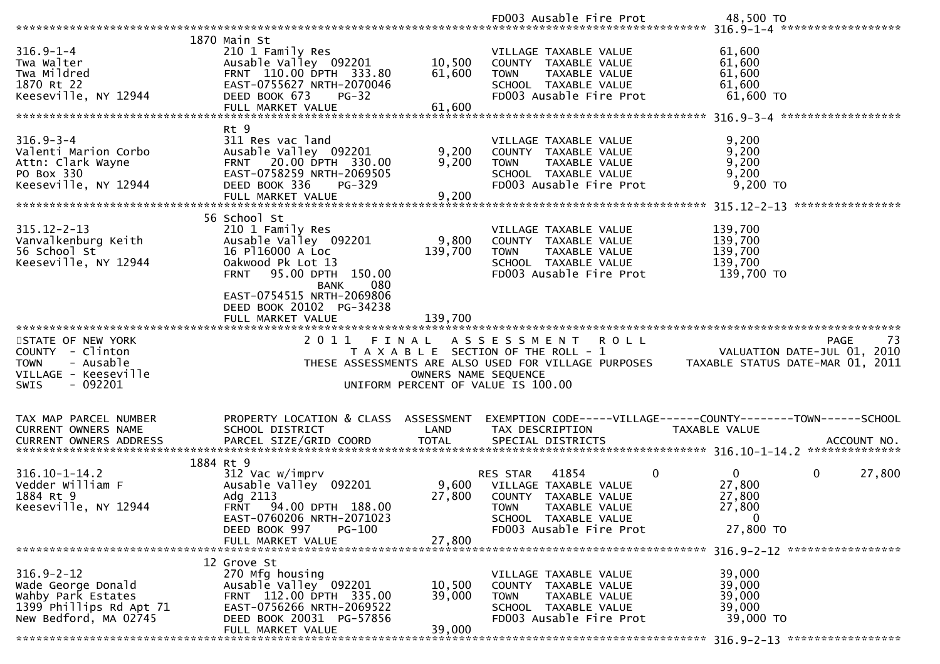|                               |                                                 |                      | FD003 Ausable Fire Prot                                        | 48,500 TO                        |
|-------------------------------|-------------------------------------------------|----------------------|----------------------------------------------------------------|----------------------------------|
|                               |                                                 |                      |                                                                |                                  |
|                               | 1870 Main St                                    |                      |                                                                |                                  |
| $316.9 - 1 - 4$               | 210 1 Family Res                                |                      | VILLAGE TAXABLE VALUE                                          | 61,600                           |
| Twa Walter                    | Ausable Valley 092201                           | 10,500               | COUNTY TAXABLE VALUE                                           | 61,600                           |
| Twa Mildred                   | FRNT 110.00 DPTH 333.80                         | 61,600               | TAXABLE VALUE<br><b>TOWN</b>                                   | 61,600                           |
| 1870 Rt 22                    | EAST-0755627 NRTH-2070046                       |                      | SCHOOL TAXABLE VALUE                                           | 61,600                           |
| Keeseville, NY 12944          | DEED BOOK 673<br>$PG-32$                        |                      | FD003 Ausable Fire Prot                                        | 61,600 TO                        |
|                               | FULL MARKET VALUE                               | 61,600               |                                                                |                                  |
|                               |                                                 |                      |                                                                |                                  |
|                               | Rt 9                                            |                      |                                                                |                                  |
| $316.9 - 3 - 4$               | 311 Res vac land                                |                      | VILLAGE TAXABLE VALUE                                          | 9,200                            |
| Valenti Marion Corbo          | Ausable Valley 092201                           | 9,200                | COUNTY TAXABLE VALUE                                           | 9,200                            |
| Attn: Clark Wayne             | FRNT 20.00 DPTH 330.00                          | 9,200                | TAXABLE VALUE<br><b>TOWN</b>                                   | 9,200                            |
| PO Box 330                    | EAST-0758259 NRTH-2069505                       |                      | SCHOOL TAXABLE VALUE                                           | 9,200                            |
| Keeseville, NY 12944          | DEED BOOK 336<br>PG-329                         |                      | FD003 Ausable Fire Prot                                        | 9,200 TO                         |
|                               |                                                 |                      |                                                                |                                  |
|                               |                                                 |                      |                                                                | ****************                 |
|                               | 56 School St                                    |                      |                                                                |                                  |
| $315.12 - 2 - 13$             | 210 1 Family Res                                |                      | VILLAGE TAXABLE VALUE                                          | 139,700                          |
| Vanvalkenburg Keith           | Ausable Valley 092201                           | 9,800                | COUNTY TAXABLE VALUE                                           | 139,700                          |
| 56 School St                  | 16 P116000 A Loc                                | 139,700              | TAXABLE VALUE<br><b>TOWN</b>                                   | 139,700                          |
| Keeseville, NY 12944          | Oakwood Pk Lot 13                               |                      |                                                                | 139,700                          |
|                               |                                                 |                      | SCHOOL TAXABLE VALUE                                           |                                  |
|                               | <b>FRNT</b><br>95.00 DPTH 150.00                |                      | FD003 Ausable Fire Prot                                        | 139,700 TO                       |
|                               | 080<br><b>BANK</b><br>EAST-0754515 NRTH-2069806 |                      |                                                                |                                  |
|                               |                                                 |                      |                                                                |                                  |
|                               | DEED BOOK 20102 PG-34238                        |                      |                                                                |                                  |
|                               | FULL MARKET VALUE                               | 139,700              |                                                                |                                  |
|                               |                                                 |                      |                                                                |                                  |
|                               |                                                 |                      |                                                                |                                  |
| STATE OF NEW YORK             | 2011<br>FINAL                                   |                      | A S S E S S M E N T R O L L                                    | -73<br>PAGE                      |
| COUNTY - Clinton              |                                                 |                      | T A X A B L E SECTION OF THE ROLL - 1                          | VALUATION DATE-JUL 01, 2010      |
| <b>TOWN</b><br>- Ausable      |                                                 |                      | THESE ASSESSMENTS ARE ALSO USED FOR VILLAGE PURPOSES           | TAXABLE STATUS DATE-MAR 01, 2011 |
| VILLAGE - Keeseville          |                                                 | OWNERS NAME SEQUENCE |                                                                |                                  |
| $-092201$<br><b>SWIS</b>      |                                                 |                      | UNIFORM PERCENT OF VALUE IS 100.00                             |                                  |
|                               |                                                 |                      |                                                                |                                  |
|                               |                                                 |                      |                                                                |                                  |
| TAX MAP PARCEL NUMBER         | PROPERTY LOCATION & CLASS ASSESSMENT            |                      | EXEMPTION CODE-----VILLAGE------COUNTY--------TOWN------SCHOOL |                                  |
| CURRENT OWNERS NAME           | SCHOOL DISTRICT                                 | LAND                 | TAX DESCRIPTION                                                | TAXABLE VALUE                    |
| <b>CURRENT OWNERS ADDRESS</b> | PARCEL SIZE/GRID COORD                          | <b>TOTAL</b>         | SPECIAL DISTRICTS                                              | ACCOUNT NO.                      |
|                               |                                                 |                      |                                                                |                                  |
|                               | 1884 Rt 9                                       |                      |                                                                |                                  |
| $316.10 - 1 - 14.2$           | 312 Vac w/imprv                                 |                      | 0<br>41854<br><b>RES STAR</b>                                  | $\mathbf{0}$<br>0<br>27,800      |
| Vedder William F              | Ausable Valley 092201                           | 9,600                | VILLAGE TAXABLE VALUE                                          | 27,800                           |
| 1884 Rt 9                     | Adg 2113                                        | 27,800               | <b>COUNTY</b><br>TAXABLE VALUE                                 | 27,800                           |
| Keeseville, NY 12944          | 94.00 DPTH 188.00<br><b>FRNT</b>                |                      | <b>TOWN</b><br><b>TAXABLE VALUE</b>                            | 27,800                           |
|                               | EAST-0760206 NRTH-2071023                       |                      | SCHOOL TAXABLE VALUE                                           | 0                                |
|                               | DEED BOOK 997<br>PG-100                         |                      | FD003 Ausable Fire Prot                                        | 27,800 TO                        |
|                               | FULL MARKET VALUE                               | 27,800               |                                                                |                                  |
|                               |                                                 |                      |                                                                |                                  |
|                               | 12 Grove St                                     |                      |                                                                |                                  |
| $316.9 - 2 - 12$              | 270 Mfg housing                                 |                      | VILLAGE TAXABLE VALUE                                          | 39,000                           |
| Wade George Donald            | Ausable Valley 092201                           | 10,500               | COUNTY TAXABLE VALUE                                           | 39,000                           |
| Wahby Park Estates            | FRNT 112.00 DPTH 335.00                         | 39,000               | <b>TOWN</b><br>TAXABLE VALUE                                   | 39,000                           |
| 1399 Phillips Rd Apt 71       | EAST-0756266 NRTH-2069522                       |                      | SCHOOL TAXABLE VALUE                                           | 39,000                           |
| New Bedford, MA 02745         | DEED BOOK 20031 PG-57856<br>FULL MARKET VALUE   | 39,000               | FD003 Ausable Fire Prot                                        | 39,000 TO                        |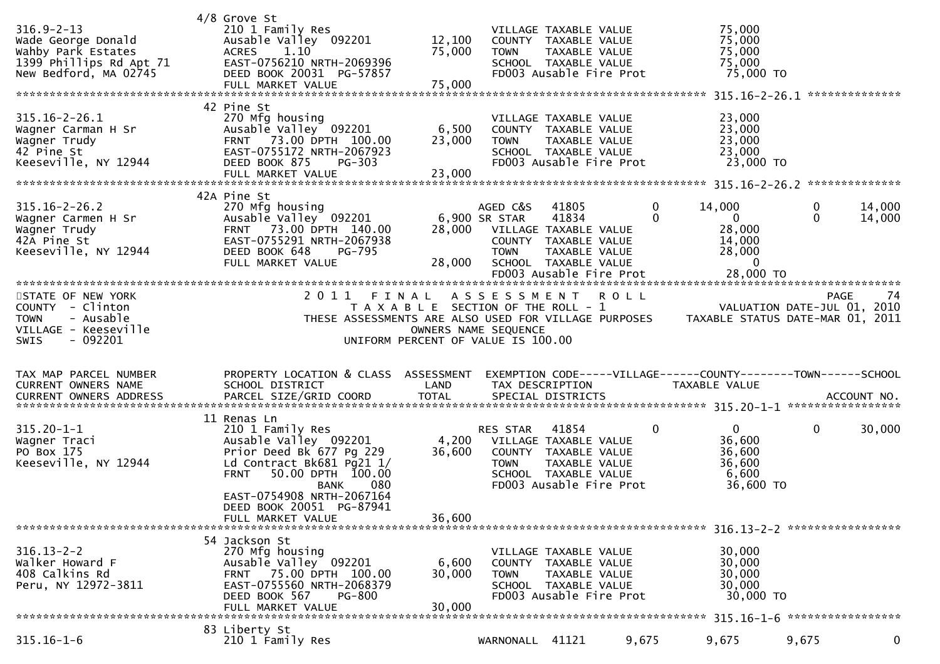| $316.9 - 2 - 13$<br>Wade George Donald<br>Wahby Park Estates<br>1399 Phillips Rd Apt 71<br>New Bedford, MA 02745     | $4/8$ Grove St<br>210 1 Family Res<br>Ausable Valley 092201<br>1.10<br><b>ACRES</b><br>EAST-0756210 NRTH-2069396<br>DEED BOOK 20031 PG-57857<br>FULL MARKET VALUE                                                                                  | 12,100<br>75,000<br>75,000 | <b>TOWN</b>                                                                                                                | VILLAGE TAXABLE VALUE<br>COUNTY TAXABLE VALUE<br>TAXABLE VALUE<br>SCHOOL TAXABLE VALUE<br>FD003 Ausable Fire Prot                |               | 75,000<br>75,000<br>75,000<br>75,000<br>75,000 TO                                  |                          | **************    |
|----------------------------------------------------------------------------------------------------------------------|----------------------------------------------------------------------------------------------------------------------------------------------------------------------------------------------------------------------------------------------------|----------------------------|----------------------------------------------------------------------------------------------------------------------------|----------------------------------------------------------------------------------------------------------------------------------|---------------|------------------------------------------------------------------------------------|--------------------------|-------------------|
| $315.16 - 2 - 26.1$<br>Wagner Carman H Sr<br>Wagner Trudy<br>42 Pine St<br>Keeseville, NY 12944                      | 42 Pine St<br>270 Mfg housing<br>Ausable Valley 092201<br>73.00 DPTH 100.00<br><b>FRNT</b><br>EAST-0755172 NRTH-2067923<br>DEED BOOK 875<br>$PG-303$                                                                                               | 6,500<br>23,000            | <b>TOWN</b>                                                                                                                | VILLAGE TAXABLE VALUE<br>COUNTY TAXABLE VALUE<br>TAXABLE VALUE<br>SCHOOL TAXABLE VALUE<br>FD003 Ausable Fire Prot                |               | 23,000<br>23,000<br>23,000<br>23,000<br>23,000 TO                                  |                          |                   |
| $315.16 - 2 - 26.2$<br>Wagner Carmen H Sr<br>Wagner Trudy<br>42A Pine St<br>Keeseville, NY 12944                     | 42A Pine St<br>270 Mfg housing<br>Ausable Valley 092201<br>FRNT 73.00 DPTH 140.00<br>EAST-0755291 NRTH-2067938<br>DEED BOOK 648<br><b>PG-795</b><br>FULL MARKET VALUE                                                                              | 28,000                     | AGED C&S<br>6,900 SR STAR<br><b>TOWN</b>                                                                                   | 41805<br>41834<br>28,000 VILLAGE TAXABLE VALUE<br>COUNTY TAXABLE VALUE<br>TAXABLE VALUE<br>SCHOOL TAXABLE VALUE                  | 0<br>$\Omega$ | 14,000<br>$\overline{0}$<br>28,000<br>14,000<br>28,000<br>$\mathbf{0}$             | $\mathbf{0}$<br>$\Omega$ | 14,000<br>14,000  |
| STATE OF NEW YORK<br>COUNTY - Clinton<br>- Ausable<br><b>TOWN</b><br>VILLAGE - Keeseville<br><b>SWIS</b><br>- 092201 | 2 0 1 1<br>FINAL<br>THESE ASSESSMENTS ARE ALSO USED FOR VILLAGE PURPOSES                                                                                                                                                                           |                            | A S S E S S M E N T<br>T A X A B L E SECTION OF THE ROLL - 1<br>OWNERS NAME SEQUENCE<br>UNIFORM PERCENT OF VALUE IS 100.00 |                                                                                                                                  | <b>ROLL</b>   | VALUATION DATE-JUL 01, 2010<br>TAXABLE STATUS DATE-MAR 01, 2011                    |                          | <b>PAGE</b><br>74 |
| TAX MAP PARCEL NUMBER<br>CURRENT OWNERS NAME                                                                         | PROPERTY LOCATION & CLASS ASSESSMENT<br>SCHOOL DISTRICT                                                                                                                                                                                            | LAND                       | TAX DESCRIPTION                                                                                                            |                                                                                                                                  |               | EXEMPTION CODE-----VILLAGE------COUNTY--------TOWN------SCHOOL<br>TAXABLE VALUE    |                          |                   |
| $315.20 - 1 - 1$<br>Wagner Traci<br>PO Box 175<br>Keeseville, NY 12944                                               | 11 Renas Ln<br>210 1 Family Res<br>Ausable Valley 092201<br>Prior Deed Bk 677 Pg 229<br>Ld Contract Bk681 Pg21 1/<br>50.00 DPTH 100.00<br><b>FRNT</b><br>080<br>BANK<br>EAST-0754908 NRTH-2067164<br>DEED BOOK 20051 PG-87941<br>FULL MARKET VALUE | 36,600<br>36,600           | RES STAR<br><b>TOWN</b>                                                                                                    | 41854<br>4,200 VILLAGE TAXABLE VALUE<br>COUNTY TAXABLE VALUE<br>TAXABLE VALUE<br>SCHOOL TAXABLE VALUE<br>FD003 Ausable Fire Prot | $\mathbf 0$   | $\overline{0}$<br>36,600<br>36,600<br>36,600<br>6,600<br>36,600 TO                 | $\mathbf{0}$             | 30,000            |
| $316.13 - 2 - 2$<br>Walker Howard F<br>408 Calkins Rd<br>Peru, NY 12972-3811                                         | 54 Jackson St<br>270 Mfg housing<br>Ausable Valley 092201<br>75.00 DPTH 100.00<br><b>FRNT</b><br>EAST-0755560 NRTH-2068379<br>DEED BOOK 567<br><b>PG-800</b><br>FULL MARKET VALUE                                                                  | 6,600<br>30,000<br>30,000  | <b>TOWN</b>                                                                                                                | VILLAGE TAXABLE VALUE<br>COUNTY TAXABLE VALUE<br>TAXABLE VALUE<br>SCHOOL TAXABLE VALUE<br>FD003 Ausable Fire Prot                |               | 316.13-2-2 ******************<br>30,000<br>30,000<br>30,000<br>30,000<br>30,000 TO |                          | ***************** |
| $315.16 - 1 - 6$                                                                                                     | 83 Liberty St<br>210 1 Family Res                                                                                                                                                                                                                  |                            | WARNONALL 41121                                                                                                            |                                                                                                                                  | 9,675         | 9,675                                                                              | 9,675                    | 0                 |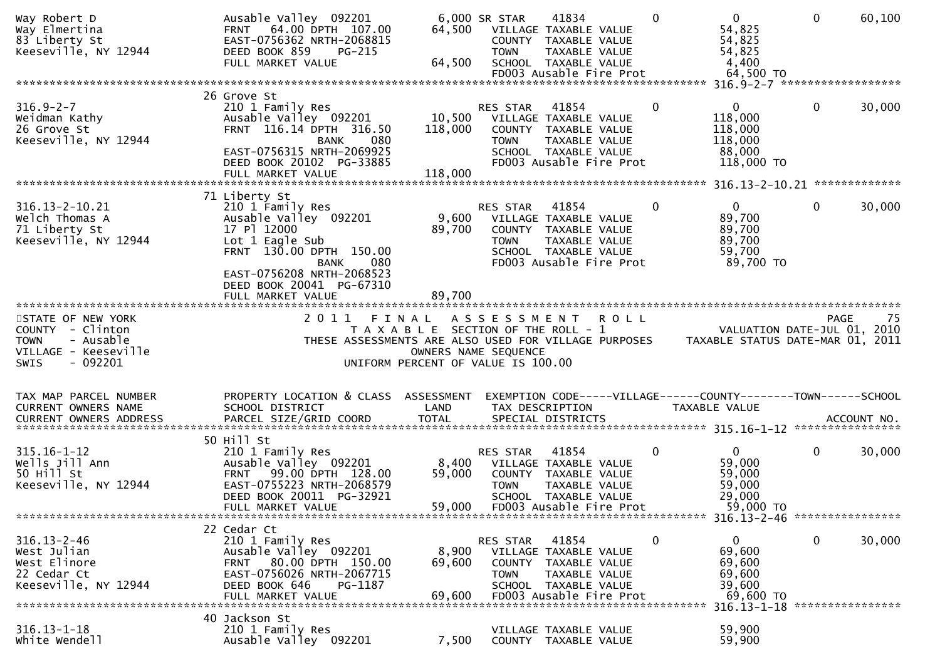| Way Elmertina<br>83 Liberty St<br>Keeseville, NY 12944                                  | Ausable Valley 092201<br>FRNT 64.00 DPTH 107.00<br>EAST-0756362 NRTH-2068815<br>DEED BOOK 859<br><b>PG-215</b><br>FULL MARKET VALUE                                                     | 64,500<br>64,500                               | 6,000 SR STAR<br>COUNTY<br><b>TOWN</b>   | 41834<br>VILLAGE TAXABLE VALUE<br>TAXABLE VALUE<br>TAXABLE VALUE<br>SCHOOL TAXABLE VALUE<br>FD003 Ausable Fire Prot        |             | $\mathbf{0}$ | $\overline{0}$<br>54,825<br>54,825<br>54,825<br>4,400<br>64,500 TO                                 | $\mathbf 0$  | 60,100             |
|-----------------------------------------------------------------------------------------|-----------------------------------------------------------------------------------------------------------------------------------------------------------------------------------------|------------------------------------------------|------------------------------------------|----------------------------------------------------------------------------------------------------------------------------|-------------|--------------|----------------------------------------------------------------------------------------------------|--------------|--------------------|
|                                                                                         |                                                                                                                                                                                         |                                                |                                          |                                                                                                                            |             |              |                                                                                                    |              |                    |
| $316.9 - 2 - 7$<br>Weidman Kathy<br>26 Grove St<br>Keeseville, NY 12944                 | 26 Grove St<br>210 1 Family Res<br>Ausable Valley 092201<br>FRNT 116.14 DPTH 316.50<br>080<br><b>BANK</b><br>EAST-0756315 NRTH-2069925<br>DEED BOOK 20102 PG-33885<br>FULL MARKET VALUE | 10,500<br>118,000<br>118,000                   | RES STAR<br><b>TOWN</b>                  | 41854<br>VILLAGE TAXABLE VALUE<br>COUNTY TAXABLE VALUE<br>TAXABLE VALUE<br>SCHOOL TAXABLE VALUE<br>FD003 Ausable Fire Prot |             | 0            | $\mathbf{0}$<br>118,000<br>118,000<br>118,000<br>88,000<br>118,000 TO                              | $\mathbf 0$  | 30,000             |
|                                                                                         |                                                                                                                                                                                         |                                                |                                          |                                                                                                                            |             |              |                                                                                                    |              |                    |
| 316.13-2-10.21<br>Welch Thomas A<br>71 Liberty St<br>Keeseville, NY 12944               | 71 Liberty St<br>210 1 Family Res<br>Ausable Valley 092201<br>17 Pl 12000<br>Lot 1 Eagle Sub<br>FRNT 130.00 DPTH 150.00<br><b>BANK</b><br>080                                           | 9,600<br>89,700                                | RES STAR<br><b>TOWN</b>                  | 41854<br>VILLAGE TAXABLE VALUE<br>COUNTY TAXABLE VALUE<br>TAXABLE VALUE<br>SCHOOL TAXABLE VALUE<br>FD003 Ausable Fire Prot |             | $\mathbf{0}$ | $\overline{0}$<br>89,700<br>89,700<br>89,700<br>59,700<br>89,700 TO                                | $\mathbf{0}$ | 30,000             |
|                                                                                         | EAST-0756208 NRTH-2068523<br>DEED BOOK 20041 PG-67310<br>FULL MARKET VALUE                                                                                                              | 89.700                                         |                                          |                                                                                                                            |             |              |                                                                                                    |              |                    |
|                                                                                         |                                                                                                                                                                                         |                                                |                                          |                                                                                                                            |             |              |                                                                                                    |              |                    |
| STATE OF NEW YORK<br>COUNTY - Clinton<br>- Ausable<br><b>TOWN</b>                       | 2011                                                                                                                                                                                    | FINAL<br>T A X A B L E SECTION OF THE ROLL - 1 | A S S E S S M E N T                      |                                                                                                                            | <b>ROLL</b> |              | VALUATION DATE-JUL 01, 2010                                                                        |              | -75<br><b>PAGE</b> |
| VILLAGE - Keeseville<br>$-092201$<br><b>SWIS</b>                                        | THESE ASSESSMENTS ARE ALSO USED FOR VILLAGE PURPOSES                                                                                                                                    | UNIFORM PERCENT OF VALUE IS 100.00             | OWNERS NAME SEQUENCE                     |                                                                                                                            |             |              | TAXABLE STATUS DATE-MAR 01, 2011                                                                   |              |                    |
| TAX MAP PARCEL NUMBER                                                                   | PROPERTY LOCATION & CLASS                                                                                                                                                               | ASSESSMENT                                     |                                          |                                                                                                                            |             |              | EXEMPTION CODE-----VILLAGE------COUNTY--------TOWN------SCHOOL                                     |              |                    |
| CURRENT OWNERS NAME                                                                     | SCHOOL DISTRICT                                                                                                                                                                         | LAND                                           |                                          | TAX DESCRIPTION                                                                                                            |             |              | TAXABLE VALUE                                                                                      |              |                    |
| $315.16 - 1 - 12$<br>Wells Jill Ann<br>50 Hill St<br>Keeseville, NY 12944               | 50 Hill St<br>210 1 Family Res<br>Ausable Valley 092201<br>99.00 DPTH 128.00<br><b>FRNT</b><br>EAST-0755223 NRTH-2068579<br>DEED BOOK 20011 PG-32921<br>FULL MARKET VALUE               | 8,400<br>59,000<br>59,000                      | RES STAR<br><b>TOWN</b>                  | 41854<br>VILLAGE TAXABLE VALUE<br>COUNTY TAXABLE VALUE<br>TAXABLE VALUE<br>SCHOOL TAXABLE VALUE<br>FD003 Ausable Fire Prot |             | 0            | $\Omega$<br>59,000<br>59,000<br>59,000<br>29,000<br>59,000 TO                                      | $\mathbf 0$  | 30,000             |
|                                                                                         |                                                                                                                                                                                         |                                                |                                          |                                                                                                                            |             |              | 316.13-2-46 *****************                                                                      |              |                    |
| $316.13 - 2 - 46$<br>West Julian<br>West Elinore<br>22 Cedar Ct<br>Keeseville, NY 12944 | 22 Cedar Ct<br>210 1 Family Res<br>Ausable Valley 092201<br>80.00 DPTH 150.00<br><b>FRNT</b><br>EAST-0756026 NRTH-2067715<br>DEED BOOK 646<br>PG-1187<br>FULL MARKET VALUE              | 8,900<br>69,600<br>69,600                      | RES STAR<br><b>COUNTY</b><br><b>TOWN</b> | 41854<br>VILLAGE TAXABLE VALUE<br>TAXABLE VALUE<br>TAXABLE VALUE<br>SCHOOL TAXABLE VALUE<br>FD003 Ausable Fire Prot        |             | 0            | $\mathbf{0}$<br>69,600<br>69,600<br>69,600<br>39,600<br>69,600 TO<br>316.13-1-18 ***************** | $\mathbf 0$  | 30,000             |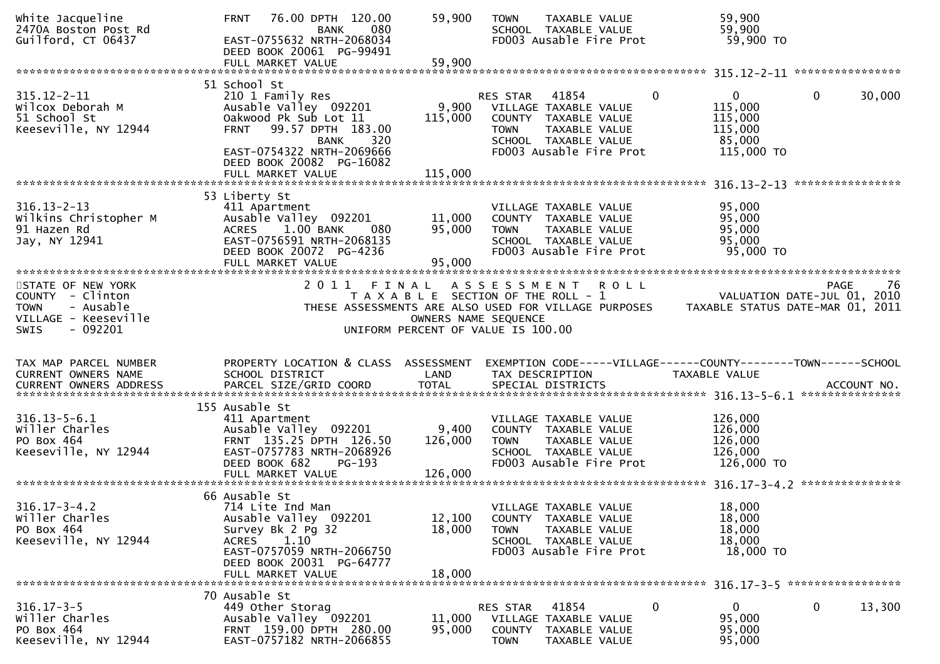| White Jacqueline<br>2470A Boston Post Rd<br>Guilford, CT 06437                                                 | 76.00 DPTH 120.00<br><b>FRNT</b><br>080<br>BANK<br>EAST-0755632 NRTH-2068034<br>DEED BOOK 20061 PG-99491<br>FULL MARKET VALUE                                                                         | 59,900<br>59,900              | TAXABLE VALUE<br><b>TOWN</b><br>SCHOOL TAXABLE VALUE<br>FD003 Ausable Fire Prot                                                                                           | 59,900<br>59,900<br>59,900 TO                                                       |                                                                                      |
|----------------------------------------------------------------------------------------------------------------|-------------------------------------------------------------------------------------------------------------------------------------------------------------------------------------------------------|-------------------------------|---------------------------------------------------------------------------------------------------------------------------------------------------------------------------|-------------------------------------------------------------------------------------|--------------------------------------------------------------------------------------|
| $315.12 - 2 - 11$<br>Wilcox Deborah M<br>51 School St<br>Keeseville, NY 12944                                  | 51 School St<br>210 1 Family Res<br>Ausable Valley 092201<br>Oakwood Pk Sub Lot 11<br>99.57 DPTH 183.00<br><b>FRNT</b><br>320<br><b>BANK</b><br>EAST-0754322 NRTH-2069666<br>DEED BOOK 20082 PG-16082 | 9,900<br>115,000              | RES STAR<br>41854<br>VILLAGE TAXABLE VALUE<br>COUNTY TAXABLE VALUE<br><b>TOWN</b><br>TAXABLE VALUE<br>SCHOOL TAXABLE VALUE<br>FD003 Ausable Fire Prot                     | $\Omega$<br>$\overline{0}$<br>115,000<br>115,000<br>115,000<br>85,000<br>115,000 TO | $\mathbf{0}$<br>30,000                                                               |
|                                                                                                                | FULL MARKET VALUE                                                                                                                                                                                     | 115,000                       |                                                                                                                                                                           |                                                                                     |                                                                                      |
| $316.13 - 2 - 13$<br>Wilkins Christopher M<br>91 Hazen Rd<br>Jay, NY 12941                                     | 53 Liberty St<br>411 Apartment<br>Ausable Valley 092201<br>1.00 BANK<br><b>ACRES</b><br>080<br>EAST-0756591 NRTH-2068135<br>DEED BOOK 20072 PG-4236<br>FULL MARKET VALUE                              | 11,000<br>95,000<br>95,000    | VILLAGE TAXABLE VALUE<br>COUNTY TAXABLE VALUE<br>TAXABLE VALUE<br><b>TOWN</b><br>SCHOOL TAXABLE VALUE<br>FD003 Ausable Fire Prot                                          | 95,000<br>95,000<br>95,000<br>95,000<br>95,000 TO                                   |                                                                                      |
| STATE OF NEW YORK<br>COUNTY - Clinton<br>- Ausable<br><b>TOWN</b><br>VILLAGE - Keeseville<br>SWIS<br>$-092201$ | 2011                                                                                                                                                                                                  | FINAL<br>OWNERS NAME SEQUENCE | <b>ROLL</b><br>A S S E S S M E N T<br>T A X A B L E SECTION OF THE ROLL - 1<br>THESE ASSESSMENTS ARE ALSO USED FOR VILLAGE PURPOSES<br>UNIFORM PERCENT OF VALUE IS 100.00 |                                                                                     | 76<br><b>PAGE</b><br>VALUATION DATE-JUL 01, 2010<br>TAXABLE STATUS DATE-MAR 01, 2011 |
| TAX MAP PARCEL NUMBER<br>CURRENT OWNERS NAME                                                                   | PROPERTY LOCATION & CLASS ASSESSMENT<br>SCHOOL DISTRICT                                                                                                                                               | LAND                          | EXEMPTION CODE-----VILLAGE------COUNTY--------TOWN------SCHOOL<br>TAX DESCRIPTION                                                                                         | TAXABLE VALUE                                                                       | ACCOUNT NO.<br>***************                                                       |
| $316.13 - 5 - 6.1$<br>willer Charles<br>PO Box 464<br>Keeseville, NY 12944                                     | 155 Ausable St<br>411 Apartment<br>Ausable Valley 092201<br>FRNT 135.25 DPTH 126.50<br>EAST-0757783 NRTH-2068926<br>DEED BOOK 682<br>PG-193<br>FULL MARKET VALUE                                      | 9,400<br>126,000<br>126,000   | VILLAGE TAXABLE VALUE<br>COUNTY TAXABLE VALUE<br>TAXABLE VALUE<br><b>TOWN</b><br>SCHOOL TAXABLE VALUE<br>FD003 Ausable Fire Prot                                          | 126,000<br>126,000<br>126,000<br>126,000<br>126,000 TO                              |                                                                                      |
| $316.17 - 3 - 4.2$<br>Willer Charles<br>PO Box 464<br>Keeseville, NY 12944                                     | 66 Ausable St<br>714 Lite Ind Man<br>Ausable Valley 092201<br>Survey Bk 2 Pg 32<br>ACRES<br>1.10<br>EAST-0757059 NRTH-2066750<br>DEED BOOK 20031 PG-64777<br>FULL MARKET VALUE                        | 12,100<br>18,000<br>18,000    | VILLAGE TAXABLE VALUE<br>COUNTY TAXABLE VALUE<br><b>TOWN</b><br>TAXABLE VALUE<br>SCHOOL TAXABLE VALUE<br>FD003 Ausable Fire Prot                                          | 18,000<br>18,000<br>18,000<br>18,000<br>18,000 TO                                   | ***************                                                                      |
| $316.17 - 3 - 5$<br>willer Charles<br>PO Box 464<br>Keeseville, NY 12944                                       | 70 Ausable St<br>449 Other Storag<br>Ausable Valley 092201<br>FRNT 159.00 DPTH 280.00<br>EAST-0757182 NRTH-2066855                                                                                    | 11,000<br>95,000              | 41854<br>RES STAR<br>VILLAGE TAXABLE VALUE<br>COUNTY<br>TAXABLE VALUE<br><b>TOWN</b><br>TAXABLE VALUE                                                                     | 0<br>$\mathbf{0}$<br>95,000<br>95,000<br>95,000                                     | 13,300<br>0                                                                          |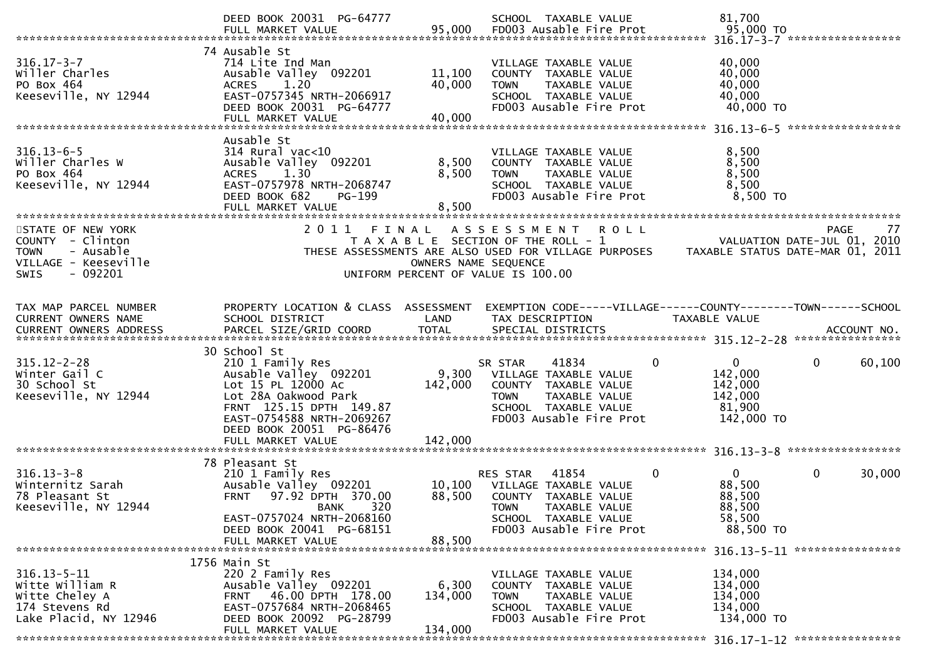|                                                                                                                       | DEED BOOK 20031 PG-64777<br>FULL MARKET VALUE                                                                                                                                                                    | 95,000                      | SCHOOL TAXABLE VALUE<br>FD003 Ausable Fire Prot                                                                                                                           | 81,700<br>95,000 TO                                                                                                 |    |
|-----------------------------------------------------------------------------------------------------------------------|------------------------------------------------------------------------------------------------------------------------------------------------------------------------------------------------------------------|-----------------------------|---------------------------------------------------------------------------------------------------------------------------------------------------------------------------|---------------------------------------------------------------------------------------------------------------------|----|
| $316.17 - 3 - 7$<br>willer Charles<br>PO Box 464<br>Keeseville, NY 12944                                              | 74 Ausable St<br>714 Lite Ind Man<br>Ausable Valley 092201<br>1.20<br><b>ACRES</b><br>EAST-0757345 NRTH-2066917<br>DEED BOOK 20031 PG-64777<br>FULL MARKET VALUE                                                 | 11,100<br>40,000<br>40,000  | VILLAGE TAXABLE VALUE<br>COUNTY TAXABLE VALUE<br>TAXABLE VALUE<br><b>TOWN</b><br>SCHOOL TAXABLE VALUE<br>FD003 Ausable Fire Prot                                          | 40,000<br>40,000<br>40,000<br>40,000<br>40,000 TO                                                                   |    |
| $316.13 - 6 - 5$<br>Willer Charles W<br>PO Box 464<br>Keeseville, NY 12944                                            | Ausable St<br>$314$ Rural vac<10<br>Ausable Valley 092201<br>1.30<br><b>ACRES</b><br>EAST-0757978 NRTH-2068747<br>DEED BOOK 682<br>PG-199<br>FULL MARKET VALUE                                                   | 8,500<br>8,500<br>8,500     | VILLAGE TAXABLE VALUE<br>COUNTY TAXABLE VALUE<br>TAXABLE VALUE<br><b>TOWN</b><br>SCHOOL TAXABLE VALUE<br>FD003 Ausable Fire Prot                                          | 8,500<br>8,500<br>8,500<br>8,500<br>8,500 TO                                                                        |    |
| STATE OF NEW YORK<br>COUNTY - Clinton<br>- Ausable<br><b>TOWN</b><br>VILLAGE - Keeseville<br>$-092201$<br><b>SWIS</b> | 2 0 1 1<br>FINAL                                                                                                                                                                                                 | OWNERS NAME SEQUENCE        | A S S E S S M E N T<br><b>ROLL</b><br>T A X A B L E SECTION OF THE ROLL - 1<br>THESE ASSESSMENTS ARE ALSO USED FOR VILLAGE PURPOSES<br>UNIFORM PERCENT OF VALUE IS 100.00 | <b>PAGE</b><br>VALUATION DATE-JUL 01, 2010<br>TAXABLE STATUS DATE-MAR 01, 2011                                      | 77 |
| TAX MAP PARCEL NUMBER<br>CURRENT OWNERS NAME                                                                          | PROPERTY LOCATION & CLASS ASSESSMENT<br>SCHOOL DISTRICT                                                                                                                                                          | LAND                        | TAX DESCRIPTION                                                                                                                                                           | EXEMPTION CODE-----VILLAGE------COUNTY--------TOWN------SCHOOL<br>TAXABLE VALUE<br>ACCOUNT NO.<br>****************  |    |
| $315.12 - 2 - 28$<br>Winter Gail C<br>30 School St<br>Keeseville, NY 12944                                            | 30 School St<br>210 1 Family Res<br>Ausable Valley 092201<br>Lot 15 PL 12000 Ac<br>Lot 28A Oakwood Park<br>FRNT 125.15 DPTH 149.87<br>EAST-0754588 NRTH-2069267<br>DEED BOOK 20051 PG-86476<br>FULL MARKET VALUE | 9,300<br>142,000<br>142,000 | 41834<br>SR STAR<br>0<br>VILLAGE TAXABLE VALUE<br>COUNTY TAXABLE VALUE<br>TAXABLE VALUE<br><b>TOWN</b><br>SCHOOL TAXABLE VALUE<br>FD003 Ausable Fire Prot                 | $\mathbf{0}$<br>$\mathbf 0$<br>60,100<br>142,000<br>142,000<br>142,000<br>81,900<br>142,000 TO<br>***************** |    |
| $316.13 - 3 - 8$<br>Winternitz Sarah<br>78 Pleasant St<br>Keeseville, NY 12944                                        | 78 Pleasant St<br>210 1 Family Res<br>Ausable Valley 092201<br>97.92 DPTH 370.00<br><b>FRNT</b><br>320<br>BANK<br>EAST-0757024 NRTH-2068160<br>DEED BOOK 20041 PG-68151<br>FULL MARKET VALUE                     | 10,100<br>88,500<br>88,500  | 41854<br>0<br><b>RES STAR</b><br>VILLAGE TAXABLE VALUE<br>COUNTY TAXABLE VALUE<br><b>TOWN</b><br>TAXABLE VALUE<br>SCHOOL TAXABLE VALUE<br>FD003 Ausable Fire Prot         | $\mathbf 0$<br>30,000<br>$\mathbf{0}$<br>88,500<br>88,500<br>88,500<br>58,500<br>88,500 TO                          |    |
| $316.13 - 5 - 11$<br>Witte William R<br>Witte Cheley A<br>174 Stevens Rd<br>Lake Placid, NY 12946                     | 1756 Main St<br>220 2 Family Res<br>Ausable Valley 092201<br>FRNT 46.00 DPTH 178.00<br>EAST-0757684 NRTH-2068465<br>DEED BOOK 20092 PG-28799<br>FULL MARKET VALUE                                                | 6,300<br>134,000<br>134,000 | VILLAGE TAXABLE VALUE<br>COUNTY TAXABLE VALUE<br><b>TOWN</b><br>TAXABLE VALUE<br>SCHOOL TAXABLE VALUE<br>FD003 Ausable Fire Prot                                          | 134,000<br>134,000<br>134,000<br>134,000<br>134,000 TO                                                              |    |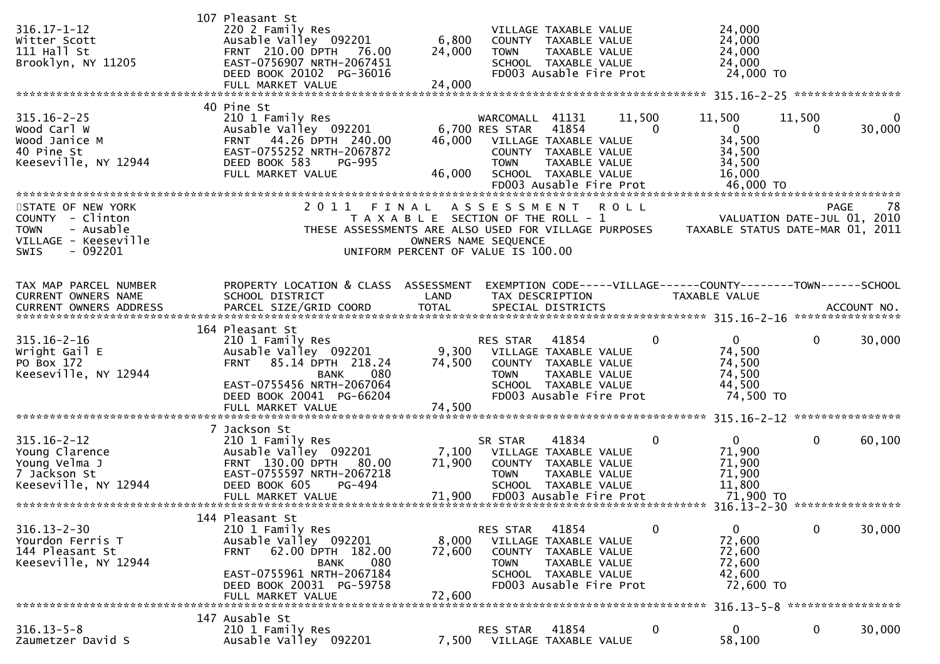| $316.17 - 1 - 12$<br>Witter Scott<br>$111$ Hall St<br>Brooklyn, NY 11205                                              | 107 Pleasant St<br>220 2 Family Res<br>Ausable Valley 092201<br>FRNT 210.00 DPTH 76.00<br>EAST-0756907 NRTH-2067451<br>DEED BOOK 20102 PG-36016<br>FULL MARKET VALUE                          | 6,800<br>24,000<br>24,000                                                   | <b>TOWN</b>                                | VILLAGE TAXABLE VALUE<br>COUNTY TAXABLE VALUE<br>TAXABLE VALUE<br>SCHOOL TAXABLE VALUE<br>FD003 Ausable Fire Prot                   |                    | 24,000<br>24,000<br>24,000<br>24,000<br>24,000 TO                               |                    |                                 |
|-----------------------------------------------------------------------------------------------------------------------|-----------------------------------------------------------------------------------------------------------------------------------------------------------------------------------------------|-----------------------------------------------------------------------------|--------------------------------------------|-------------------------------------------------------------------------------------------------------------------------------------|--------------------|---------------------------------------------------------------------------------|--------------------|---------------------------------|
| $315.16 - 2 - 25$<br>Wood Carl W<br>Wood Janice M<br>40 Pine St<br>Keeseville, NY 12944                               | 40 Pine St<br>210 1 Family Res<br>Ausable Valley 092201<br>FRNT 44.26 DPTH 240.00<br>EAST-0755252 NRTH-2067872<br>DEED BOOK 583<br><b>PG-995</b><br>FULL MARKET VALUE                         | 46,000<br>46,000                                                            | WARCOMALL<br>6,700 RES STAR<br><b>TOWN</b> | 41131<br>41854<br>VILLAGE TAXABLE VALUE<br>COUNTY TAXABLE VALUE<br>TAXABLE VALUE<br>SCHOOL TAXABLE VALUE<br>FD003 Ausable Fire Prot | 11,500<br>$\Omega$ | 11,500<br>$\overline{0}$<br>34,500<br>34,500<br>34,500<br>16,000<br>46,000 TO   | 11,500<br>$\Omega$ | 0<br>30,000                     |
| STATE OF NEW YORK<br>COUNTY - Clinton<br>- Ausable<br><b>TOWN</b><br>VILLAGE - Keeseville<br>$-092201$<br><b>SWIS</b> | 2011 FINAL<br>THESE ASSESSMENTS ARE ALSO USED FOR VILLAGE PURPOSES                                                                                                                            | T A X A B L E SECTION OF THE ROLL - 1<br>UNIFORM PERCENT OF VALUE IS 100.00 | ASSESSMENT<br>OWNERS NAME SEQUENCE         |                                                                                                                                     | <b>ROLL</b>        | VALUATION DATE-JUL 01, 2010<br>TAXABLE STATUS DATE-MAR 01, 2011                 | PAGE               | 78                              |
| TAX MAP PARCEL NUMBER<br>CURRENT OWNERS NAME                                                                          | PROPERTY LOCATION & CLASS ASSESSMENT<br>SCHOOL DISTRICT                                                                                                                                       | LAND                                                                        | TAX DESCRIPTION                            |                                                                                                                                     |                    | EXEMPTION CODE-----VILLAGE------COUNTY--------TOWN------SCHOOL<br>TAXABLE VALUE |                    | ACCOUNT NO.<br>**************** |
| $315.16 - 2 - 16$<br>Wright Gail E<br>PO Box 172<br>Keeseville, NY 12944                                              | 164 Pleasant St<br>210 1 Family Res<br>Ausable Valley 092201<br>85.14 DPTH 218.24<br><b>FRNT</b><br>080<br>BANK<br>EAST-0755456 NRTH-2067064<br>DEED BOOK 20041 PG-66204<br>FULL MARKET VALUE | 9,300<br>74,500<br>74,500                                                   | RES STAR<br><b>TOWN</b>                    | 41854<br>VILLAGE TAXABLE VALUE<br>COUNTY TAXABLE VALUE<br>TAXABLE VALUE<br>SCHOOL TAXABLE VALUE<br>FD003 Ausable Fire Prot          | 0                  | $\overline{0}$<br>74,500<br>74,500<br>74,500<br>44,500<br>74,500 TO             | $\mathbf{0}$       | 30,000                          |
|                                                                                                                       |                                                                                                                                                                                               |                                                                             |                                            |                                                                                                                                     |                    |                                                                                 |                    | ****************                |
| $315.16 - 2 - 12$<br>Young Clarence<br>Young Velma J<br>7 Jackson St<br>Keeseville, NY 12944                          | 7 Jackson St<br>210 1 Family Res<br>Ausable Valley 092201<br>FRNT 130.00 DPTH<br>80.00<br>EAST-0755597 NRTH-2067218<br>DEED BOOK 605<br>PG-494<br>FULL MARKET VALUE                           | 7,100<br>71,900<br>71,900                                                   | SR STAR<br><b>TOWN</b>                     | 41834<br>VILLAGE TAXABLE VALUE<br>COUNTY TAXABLE VALUE<br>TAXABLE VALUE<br>SCHOOL TAXABLE VALUE<br>FD003 Ausable Fire Prot          | 0                  | $\Omega$<br>71,900<br>71,900<br>71,900<br>11,800<br>71,900 TO                   | 0                  | 60,100                          |
|                                                                                                                       | 144 Pleasant St                                                                                                                                                                               |                                                                             |                                            |                                                                                                                                     |                    | 316.13-2-30 *****************                                                   |                    |                                 |
| $316.13 - 2 - 30$<br>Yourdon Ferris T<br>144 Pleasant St<br>Keeseville, NY 12944                                      | 210 1 Family Res<br>Ausable Valley 092201<br>62.00 DPTH 182.00<br><b>FRNT</b><br>080<br><b>BANK</b><br>EAST-0755961 NRTH-2067184<br>DEED BOOK 20031 PG-59758<br>FULL MARKET VALUE             | 8,000<br>72,600<br>72,600                                                   | RES STAR<br><b>COUNTY</b><br><b>TOWN</b>   | 41854<br>VILLAGE TAXABLE VALUE<br>TAXABLE VALUE<br>TAXABLE VALUE<br>SCHOOL TAXABLE VALUE<br>FD003 Ausable Fire Prot                 | 0                  | 0<br>72,600<br>72,600<br>72,600<br>42,600<br>72,600 TO                          | 0                  | 30,000                          |
|                                                                                                                       | 147 Ausable St                                                                                                                                                                                |                                                                             |                                            |                                                                                                                                     |                    | 316.13-5-8 ******************                                                   |                    |                                 |
| $316.13 - 5 - 8$<br>Zaumetzer David S                                                                                 | 210 1 Family Res<br>Ausable Valley 092201                                                                                                                                                     | 7,500                                                                       | <b>RES STAR</b>                            | 41854<br>VILLAGE TAXABLE VALUE                                                                                                      | $\mathbf 0$        | $\mathbf{0}$<br>58,100                                                          | $\mathbf 0$        | 30,000                          |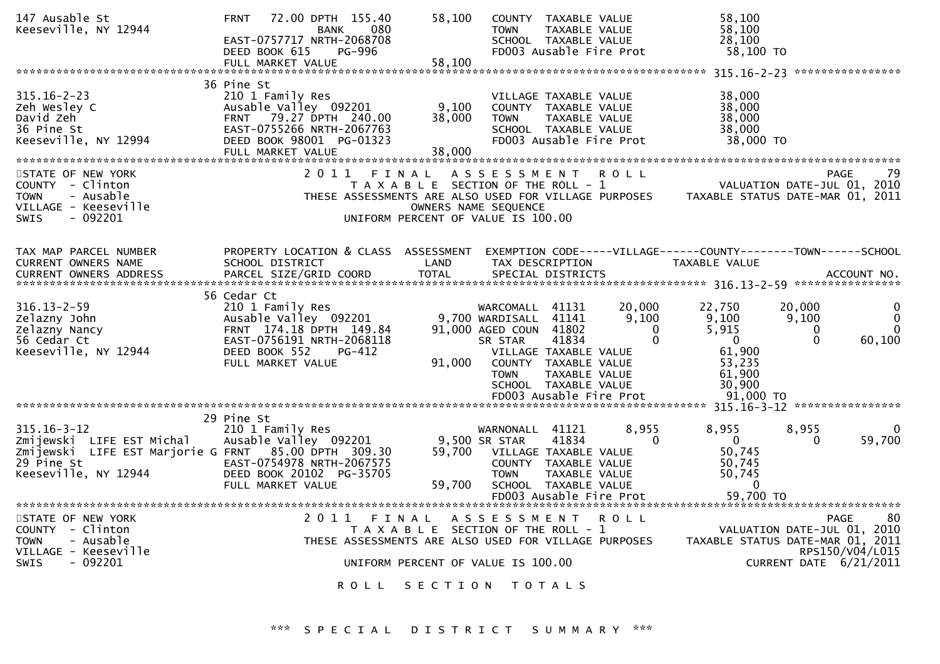| 147 Ausable St<br>Keeseville, NY 12944                                                                                                       | 72.00 DPTH 155.40<br><b>FRNT</b><br>080<br><b>BANK</b><br>EAST-0757717 NRTH-2068708<br>DEED BOOK 615<br>PG-996                                                            | 58,100<br><b>TOWN</b>                                                                                                                                                                       | COUNTY TAXABLE VALUE<br>TAXABLE VALUE<br>SCHOOL TAXABLE VALUE<br>FD003 Ausable Fire Prot                                                                                                | 58,100<br>58,100<br>28,100<br>58,100 TO                                                       |                                                                                                                                   |
|----------------------------------------------------------------------------------------------------------------------------------------------|---------------------------------------------------------------------------------------------------------------------------------------------------------------------------|---------------------------------------------------------------------------------------------------------------------------------------------------------------------------------------------|-----------------------------------------------------------------------------------------------------------------------------------------------------------------------------------------|-----------------------------------------------------------------------------------------------|-----------------------------------------------------------------------------------------------------------------------------------|
|                                                                                                                                              | FULL MARKET VALUE                                                                                                                                                         | 58,100                                                                                                                                                                                      |                                                                                                                                                                                         |                                                                                               |                                                                                                                                   |
| $315.16 - 2 - 23$<br>Zeh Wesley C<br>David Zeh<br>36 Pine St<br>Keeseville, NY 12994                                                         | 36 Pine St<br>210 1 Family Res<br>Ausable Valley 092201<br>79.27 DPTH 240.00<br><b>FRNT</b><br>EAST-0755266 NRTH-2067763<br>DEED BOOK 98001 PG-01323<br>FULL MARKET VALUE | 9,100<br>38,000<br><b>TOWN</b><br>38,000                                                                                                                                                    | VILLAGE TAXABLE VALUE<br>COUNTY TAXABLE VALUE<br><b>TAXABLE VALUE</b><br>SCHOOL TAXABLE VALUE<br>FD003 Ausable Fire Prot                                                                | 38,000<br>38,000<br>38,000<br>38,000<br>38,000 TO                                             |                                                                                                                                   |
| STATE OF NEW YORK<br>COUNTY - Clinton<br>- Ausable<br><b>TOWN</b><br>VILLAGE - Keeseville<br>$-092201$<br><b>SWIS</b>                        | 2011                                                                                                                                                                      | A S S E S S M E N T<br>FINAL<br>T A X A B L E SECTION OF THE ROLL - 1<br>THESE ASSESSMENTS ARE ALSO USED FOR VILLAGE PURPOSES<br>OWNERS NAME SEQUENCE<br>UNIFORM PERCENT OF VALUE IS 100.00 | <b>ROLL</b>                                                                                                                                                                             |                                                                                               | 79<br><b>PAGE</b><br>VALUATION DATE-JUL 01, 2010<br>TAXABLE STATUS DATE-MAR 01, 2011                                              |
| TAX MAP PARCEL NUMBER<br><b>CURRENT OWNERS NAME</b><br><b>CURRENT OWNERS ADDRESS</b>                                                         | PROPERTY LOCATION & CLASS ASSESSMENT<br>SCHOOL DISTRICT<br>PARCEL SIZE/GRID COORD                                                                                         | LAND<br><b>TOTAL</b>                                                                                                                                                                        | EXEMPTION CODE-----VILLAGE------COUNTY--------TOWN------SCHOOL<br>TAX DESCRIPTION<br>SPECIAL DISTRICTS                                                                                  | <b>TAXABLE VALUE</b>                                                                          | ACCOUNT NO.                                                                                                                       |
| $316.13 - 2 - 59$<br>Zelazny John<br>Zelazny Nancy<br>56 Cedar Ct<br>Keeseville, NY 12944                                                    | 56 Cedar Ct<br>210 1 Family Res<br>Ausable Valley 092201<br>FRNT 174.18 DPTH 149.84<br>EAST-0756191 NRTH-2068118<br>DEED BOOK 552<br>PG-412<br>FULL MARKET VALUE          | WARCOMALL<br>9,700 WARDISALL<br>91,000 AGED COUN 41802<br>SR STAR<br>91,000<br><b>TOWN</b>                                                                                                  | 20,000<br>41131<br>41141<br>9,100<br>$\Omega$<br>$\Omega$<br>41834<br>VILLAGE TAXABLE VALUE<br>COUNTY TAXABLE VALUE<br>TAXABLE VALUE<br>SCHOOL TAXABLE VALUE<br>FD003 Ausable Fire Prot | 22,750<br>9,100<br>5,915<br>$\mathbf{0}$<br>61,900<br>53.235<br>61,900<br>30.900<br>91.000 TO | 20,000<br>0<br>$\Omega$<br>9,100<br>$\Omega$<br>0<br>$\Omega$<br>60,100                                                           |
|                                                                                                                                              |                                                                                                                                                                           |                                                                                                                                                                                             |                                                                                                                                                                                         |                                                                                               |                                                                                                                                   |
| $315.16 - 3 - 12$<br>Zmijewski LIFE EST Michal<br>Zmijewski LIFE EST Marjorie G FRNT 85.00 DPTH 309.30<br>29 Pine St<br>Keeseville, NY 12944 | 29 Pine St<br>210 1 Family Res<br>Ausable Valley 092201<br>EAST-0754978 NRTH-2067575<br>DEED BOOK 20102 PG-35705<br>FULL MARKET VALUE                                     | WARNONALL<br>9,500 SR STAR<br>59,700<br><b>TOWN</b><br>59,700                                                                                                                               | 41121<br>8,955<br>41834<br>$\Omega$<br>VILLAGE TAXABLE VALUE<br>COUNTY TAXABLE VALUE<br>TAXABLE VALUE<br>SCHOOL TAXABLE VALUE                                                           | 8,955<br>$\Omega$<br>50,745<br>50,745<br>50,745<br>$\Omega$                                   | 8,955<br>$\Omega$<br>59,700<br>$\Omega$                                                                                           |
| STATE OF NEW YORK<br>COUNTY - Clinton<br><b>TOWN</b><br>- Ausable<br>VILLAGE - Keeseville<br><b>SWIS</b><br>- 092201                         | 2011<br>ROLL                                                                                                                                                              | ASSESSMENT<br>FINAL<br>T A X A B L E SECTION OF THE ROLL - 1<br>THESE ASSESSMENTS ARE ALSO USED FOR VILLAGE PURPOSES<br>UNIFORM PERCENT OF VALUE IS 100.00<br>SECTION                       | FD003 Ausable Fire Prot<br><b>ROLL</b><br>T 0 T A L S                                                                                                                                   | 59,700 TO                                                                                     | <b>PAGE</b><br>80<br>VALUATION DATE-JUL 01, 2010<br>TAXABLE STATUS DATE-MAR 01, 2011<br>RPS150/V04/L015<br>CURRENT DATE 6/21/2011 |
|                                                                                                                                              |                                                                                                                                                                           |                                                                                                                                                                                             |                                                                                                                                                                                         |                                                                                               |                                                                                                                                   |

\*\*\* S P E C I A L D I S T R I C T S U M M A R Y \*\*\*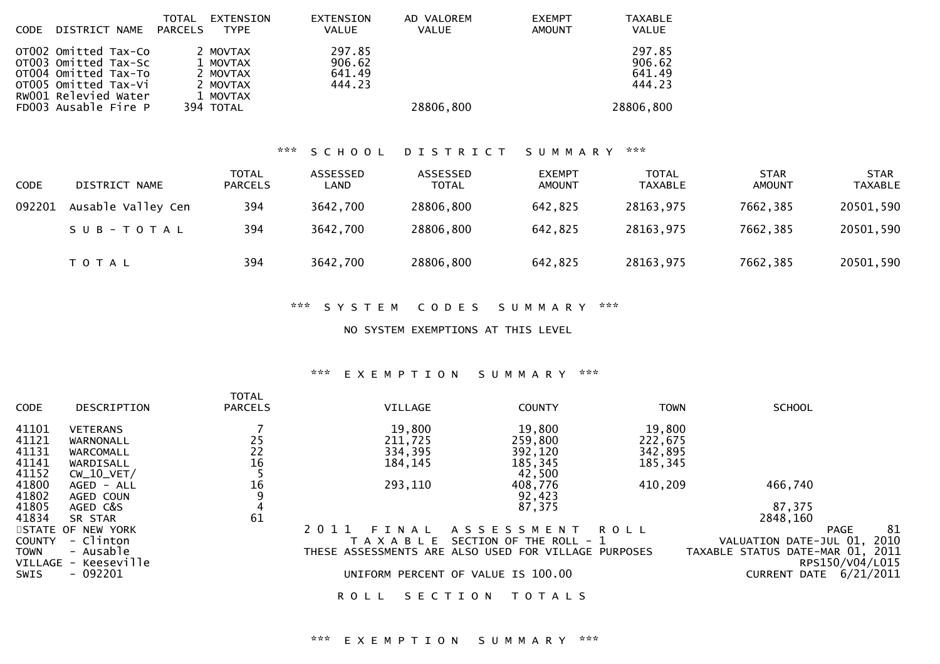| <b>CODE</b> | DISTRICT NAME                                                                                                                                | TOTAL<br>PARCELS | EXTENSION<br><b>TYPE</b>                                              | EXTENSION<br><b>VALUE</b>            | AD VALOREM<br><b>VALUE</b> | <b>EXEMPT</b><br><b>AMOUNT</b> | TAXABLE<br>VALUE                                  |
|-------------|----------------------------------------------------------------------------------------------------------------------------------------------|------------------|-----------------------------------------------------------------------|--------------------------------------|----------------------------|--------------------------------|---------------------------------------------------|
|             | OTO02 Omitted Tax-Co<br>or003 Omitted Tax-Sc<br>OT004 Omitted Tax-To<br>OTO05 Omitted Tax-Vi<br>RW001 Relevied Water<br>FD003 Ausable Fire P |                  | 2 MOVTAX<br>1 MOVTAX<br>2 MOVTAX<br>2 MOVTAX<br>1 MOVTAX<br>394 TOTAL | 297.85<br>906.62<br>641.49<br>444.23 | 28806,800                  |                                | 297.85<br>906.62<br>641.49<br>444.23<br>28806,800 |

# \*\*\* S C H O O L D I S T R I C T S U M M A R Y \*\*\*

| <b>CODE</b> | DISTRICT NAME      | TOTAL<br><b>PARCELS</b> | ASSESSED<br>LAND | <b>ASSESSED</b><br><b>TOTAL</b> | <b>EXEMPT</b><br>AMOUNT | TOTAL<br>TAXABLE | <b>STAR</b><br><b>AMOUNT</b> | <b>STAR</b><br><b>TAXABLE</b> |
|-------------|--------------------|-------------------------|------------------|---------------------------------|-------------------------|------------------|------------------------------|-------------------------------|
| 092201      | Ausable Valley Cen | 394                     | 3642,700         | 28806,800                       | 642,825                 | 28163,975        | 7662,385                     | 20501,590                     |
|             | SUB-TOTAL          | 394                     | 3642,700         | 28806,800                       | 642,825                 | 28163,975        | 7662,385                     | 20501,590                     |
|             | T O T A L          | 394                     | 3642,700         | 28806,800                       | 642,825                 | 28163,975        | 7662,385                     | 20501,590                     |

#### \*\*\* S Y S T E M C O D E S S U M M A R Y \*\*\*

#### NO SYSTEM EXEMPTIONS AT THIS LEVEL

# \*\*\* E X E M P T I O N S U M M A R Y \*\*\*

|               |                      | <b>TOTAL</b>   |                                                      |                         |             |                                  |                   |
|---------------|----------------------|----------------|------------------------------------------------------|-------------------------|-------------|----------------------------------|-------------------|
| <b>CODE</b>   | DESCRIPTION          | <b>PARCELS</b> | VILLAGE                                              | <b>COUNTY</b>           | <b>TOWN</b> | <b>SCHOOL</b>                    |                   |
| 41101         | <b>VETERANS</b>      |                | 19,800                                               | 19,800                  | 19,800      |                                  |                   |
| 41121         | WARNONALL            |                | 211,725                                              | 259,800                 | 222,675     |                                  |                   |
| 41131         | WARCOMALL            |                | 334,395                                              | 392,120                 | 342,895     |                                  |                   |
| 41141         | WARDISALL            | 25<br>22<br>16 | 184, 145                                             | 185,345                 | 185,345     |                                  |                   |
| 41152         | $CW_10_VET/$         |                |                                                      | 42,500                  |             |                                  |                   |
| 41800         | AGED - ALL           | 16             | 293,110                                              | 408,776                 | 410,209     | 466,740                          |                   |
| 41802         | AGED COUN            |                |                                                      | 92,423                  |             |                                  |                   |
| 41805         | AGED C&S             | 4              |                                                      | 87,375                  |             | 87,375                           |                   |
| 41834         | SR STAR              | 61             |                                                      |                         |             | 2848,160                         |                   |
|               | STATE OF NEW YORK    |                | 2011<br>FINAL                                        | A S S E S S M E N T     | ROLL        |                                  | 81<br><b>PAGE</b> |
| <b>COUNTY</b> | - Clinton            |                | T A X A B L E                                        | SECTION OF THE ROLL - 1 |             | VALUATION DATE-JUL 01, 2010      |                   |
| <b>TOWN</b>   | - Ausable            |                | THESE ASSESSMENTS ARE ALSO USED FOR VILLAGE PURPOSES |                         |             | TAXABLE STATUS DATE-MAR 01, 2011 |                   |
|               | VILLAGE - Keeseville |                |                                                      |                         |             |                                  | RPS150/V04/L015   |
| <b>SWIS</b>   | $-092201$            |                | UNIFORM PERCENT OF VALUE IS 100.00                   |                         |             | CURRENT DATE                     | 6/21/2011         |
|               |                      |                |                                                      |                         |             |                                  |                   |

## ROLL SECTION TOTALS

# \*\*\* E X E M P T I O N S U M M A R Y \*\*\*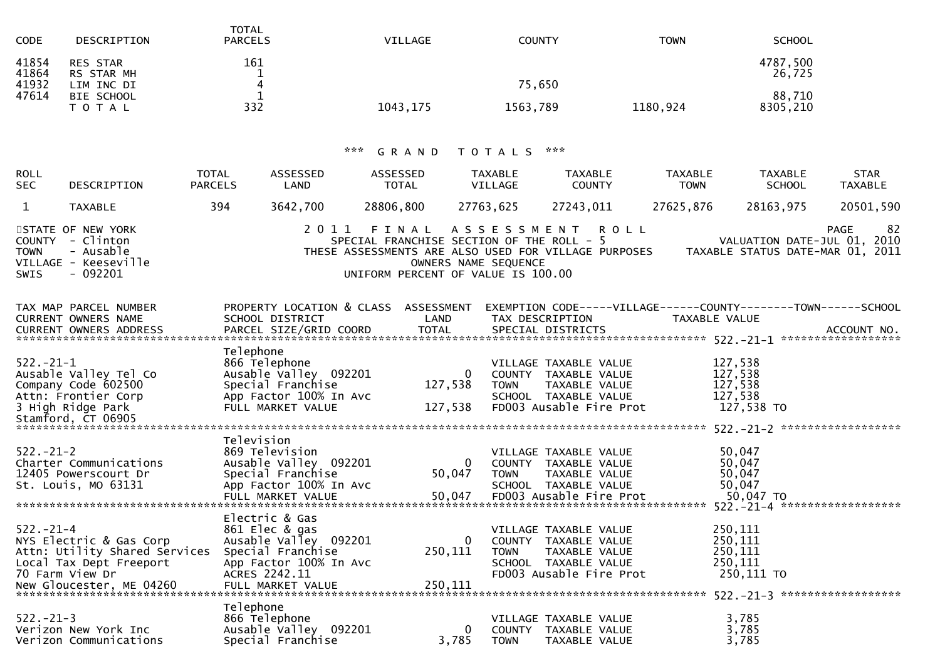| <b>CODE</b>                      | DESCRIPTION                                               | <b>TOTAL</b><br><b>PARCELS</b> | <b>VILLAGE</b> | COUNTY   | TOWN     | <b>SCHOOL</b>                |
|----------------------------------|-----------------------------------------------------------|--------------------------------|----------------|----------|----------|------------------------------|
| 41854<br>41864<br>41932<br>47614 | <b>RES STAR</b><br>RS STAR MH<br>LIM INC DI<br>BIE SCHOOL | 161<br>4                       |                | 75,650   |          | 4787,500<br>26,725<br>88,710 |
|                                  | T O T A L                                                 | 332                            | 1043, 175      | 1563,789 | 1180,924 | 8305,210                     |

# \*\*\* G R A N D T O T A L S \*\*\*

| <b>ROLL</b><br><b>SEC</b> | DESCRIPTION                                                                            | <b>TOTAL</b><br><b>PARCELS</b> | ASSESSED<br>LAND | ASSESSED<br><b>TOTAL</b> | TAXABLE<br>VILLAGE                                                                                        | <b>TAXABLE</b><br><b>COUNTY</b>                                                    | <b>TAXABLE</b><br><b>TOWN</b> | <b>TAXABLE</b><br><b>SCHOOL</b> | <b>STAR</b><br><b>TAXABLE</b>                                                  |
|---------------------------|----------------------------------------------------------------------------------------|--------------------------------|------------------|--------------------------|-----------------------------------------------------------------------------------------------------------|------------------------------------------------------------------------------------|-------------------------------|---------------------------------|--------------------------------------------------------------------------------|
|                           | <b>TAXABLE</b>                                                                         | 394                            | 3642,700         | 28806,800                | 27763.625                                                                                                 | 27243.011                                                                          | 27625,876                     | 28163,975                       | 20501,590                                                                      |
| TOWN<br>SWIS              | STATE OF NEW YORK<br>COUNTY - Clinton<br>- Ausable<br>VILLAGE - Keeseville<br>- 092201 |                                |                  |                          | SPECIAL FRANCHISE SECTION OF THE ROLL - $5$<br>OWNERS NAME SEQUENCE<br>UNIFORM PERCENT OF VALUE IS 100.00 | 2011 FINAL ASSESSMENT ROLL<br>THESE ASSESSMENTS ARE ALSO USED FOR VILLAGE PURPOSES |                               |                                 | -82<br>PAGE<br>VALUATION DATE-JUL 01, 2010<br>TAXABLE STATUS DATE-MAR 01, 2011 |

| SCHOOL DISTRICT |                                                                                                                                                                                                                                                                                                                                                                                                            | TAX DESCRIPTION                                                                                                                                                                                       |                                                                                                                                                                                                                                                                                                                                                                                                                                                                                                          |                                                                                                                                                                                                                                                                                                                                                                                                                                         |
|-----------------|------------------------------------------------------------------------------------------------------------------------------------------------------------------------------------------------------------------------------------------------------------------------------------------------------------------------------------------------------------------------------------------------------------|-------------------------------------------------------------------------------------------------------------------------------------------------------------------------------------------------------|----------------------------------------------------------------------------------------------------------------------------------------------------------------------------------------------------------------------------------------------------------------------------------------------------------------------------------------------------------------------------------------------------------------------------------------------------------------------------------------------------------|-----------------------------------------------------------------------------------------------------------------------------------------------------------------------------------------------------------------------------------------------------------------------------------------------------------------------------------------------------------------------------------------------------------------------------------------|
|                 |                                                                                                                                                                                                                                                                                                                                                                                                            |                                                                                                                                                                                                       |                                                                                                                                                                                                                                                                                                                                                                                                                                                                                                          |                                                                                                                                                                                                                                                                                                                                                                                                                                         |
|                 |                                                                                                                                                                                                                                                                                                                                                                                                            |                                                                                                                                                                                                       |                                                                                                                                                                                                                                                                                                                                                                                                                                                                                                          |                                                                                                                                                                                                                                                                                                                                                                                                                                         |
|                 |                                                                                                                                                                                                                                                                                                                                                                                                            |                                                                                                                                                                                                       |                                                                                                                                                                                                                                                                                                                                                                                                                                                                                                          |                                                                                                                                                                                                                                                                                                                                                                                                                                         |
|                 |                                                                                                                                                                                                                                                                                                                                                                                                            |                                                                                                                                                                                                       |                                                                                                                                                                                                                                                                                                                                                                                                                                                                                                          |                                                                                                                                                                                                                                                                                                                                                                                                                                         |
|                 |                                                                                                                                                                                                                                                                                                                                                                                                            |                                                                                                                                                                                                       |                                                                                                                                                                                                                                                                                                                                                                                                                                                                                                          |                                                                                                                                                                                                                                                                                                                                                                                                                                         |
|                 |                                                                                                                                                                                                                                                                                                                                                                                                            | <b>TOWN</b>                                                                                                                                                                                           |                                                                                                                                                                                                                                                                                                                                                                                                                                                                                                          |                                                                                                                                                                                                                                                                                                                                                                                                                                         |
|                 |                                                                                                                                                                                                                                                                                                                                                                                                            |                                                                                                                                                                                                       |                                                                                                                                                                                                                                                                                                                                                                                                                                                                                                          |                                                                                                                                                                                                                                                                                                                                                                                                                                         |
|                 |                                                                                                                                                                                                                                                                                                                                                                                                            |                                                                                                                                                                                                       |                                                                                                                                                                                                                                                                                                                                                                                                                                                                                                          |                                                                                                                                                                                                                                                                                                                                                                                                                                         |
|                 |                                                                                                                                                                                                                                                                                                                                                                                                            |                                                                                                                                                                                                       |                                                                                                                                                                                                                                                                                                                                                                                                                                                                                                          |                                                                                                                                                                                                                                                                                                                                                                                                                                         |
|                 |                                                                                                                                                                                                                                                                                                                                                                                                            |                                                                                                                                                                                                       |                                                                                                                                                                                                                                                                                                                                                                                                                                                                                                          |                                                                                                                                                                                                                                                                                                                                                                                                                                         |
|                 |                                                                                                                                                                                                                                                                                                                                                                                                            |                                                                                                                                                                                                       |                                                                                                                                                                                                                                                                                                                                                                                                                                                                                                          |                                                                                                                                                                                                                                                                                                                                                                                                                                         |
|                 |                                                                                                                                                                                                                                                                                                                                                                                                            |                                                                                                                                                                                                       |                                                                                                                                                                                                                                                                                                                                                                                                                                                                                                          |                                                                                                                                                                                                                                                                                                                                                                                                                                         |
|                 |                                                                                                                                                                                                                                                                                                                                                                                                            |                                                                                                                                                                                                       |                                                                                                                                                                                                                                                                                                                                                                                                                                                                                                          |                                                                                                                                                                                                                                                                                                                                                                                                                                         |
|                 |                                                                                                                                                                                                                                                                                                                                                                                                            |                                                                                                                                                                                                       |                                                                                                                                                                                                                                                                                                                                                                                                                                                                                                          |                                                                                                                                                                                                                                                                                                                                                                                                                                         |
|                 |                                                                                                                                                                                                                                                                                                                                                                                                            |                                                                                                                                                                                                       |                                                                                                                                                                                                                                                                                                                                                                                                                                                                                                          |                                                                                                                                                                                                                                                                                                                                                                                                                                         |
|                 |                                                                                                                                                                                                                                                                                                                                                                                                            |                                                                                                                                                                                                       |                                                                                                                                                                                                                                                                                                                                                                                                                                                                                                          |                                                                                                                                                                                                                                                                                                                                                                                                                                         |
|                 |                                                                                                                                                                                                                                                                                                                                                                                                            |                                                                                                                                                                                                       |                                                                                                                                                                                                                                                                                                                                                                                                                                                                                                          |                                                                                                                                                                                                                                                                                                                                                                                                                                         |
|                 |                                                                                                                                                                                                                                                                                                                                                                                                            |                                                                                                                                                                                                       |                                                                                                                                                                                                                                                                                                                                                                                                                                                                                                          |                                                                                                                                                                                                                                                                                                                                                                                                                                         |
|                 |                                                                                                                                                                                                                                                                                                                                                                                                            |                                                                                                                                                                                                       |                                                                                                                                                                                                                                                                                                                                                                                                                                                                                                          |                                                                                                                                                                                                                                                                                                                                                                                                                                         |
|                 |                                                                                                                                                                                                                                                                                                                                                                                                            |                                                                                                                                                                                                       |                                                                                                                                                                                                                                                                                                                                                                                                                                                                                                          |                                                                                                                                                                                                                                                                                                                                                                                                                                         |
|                 |                                                                                                                                                                                                                                                                                                                                                                                                            |                                                                                                                                                                                                       |                                                                                                                                                                                                                                                                                                                                                                                                                                                                                                          |                                                                                                                                                                                                                                                                                                                                                                                                                                         |
|                 |                                                                                                                                                                                                                                                                                                                                                                                                            |                                                                                                                                                                                                       |                                                                                                                                                                                                                                                                                                                                                                                                                                                                                                          |                                                                                                                                                                                                                                                                                                                                                                                                                                         |
|                 |                                                                                                                                                                                                                                                                                                                                                                                                            |                                                                                                                                                                                                       |                                                                                                                                                                                                                                                                                                                                                                                                                                                                                                          |                                                                                                                                                                                                                                                                                                                                                                                                                                         |
|                 |                                                                                                                                                                                                                                                                                                                                                                                                            |                                                                                                                                                                                                       |                                                                                                                                                                                                                                                                                                                                                                                                                                                                                                          |                                                                                                                                                                                                                                                                                                                                                                                                                                         |
|                 |                                                                                                                                                                                                                                                                                                                                                                                                            |                                                                                                                                                                                                       |                                                                                                                                                                                                                                                                                                                                                                                                                                                                                                          |                                                                                                                                                                                                                                                                                                                                                                                                                                         |
|                 |                                                                                                                                                                                                                                                                                                                                                                                                            |                                                                                                                                                                                                       |                                                                                                                                                                                                                                                                                                                                                                                                                                                                                                          |                                                                                                                                                                                                                                                                                                                                                                                                                                         |
|                 |                                                                                                                                                                                                                                                                                                                                                                                                            |                                                                                                                                                                                                       |                                                                                                                                                                                                                                                                                                                                                                                                                                                                                                          |                                                                                                                                                                                                                                                                                                                                                                                                                                         |
|                 |                                                                                                                                                                                                                                                                                                                                                                                                            |                                                                                                                                                                                                       |                                                                                                                                                                                                                                                                                                                                                                                                                                                                                                          |                                                                                                                                                                                                                                                                                                                                                                                                                                         |
|                 |                                                                                                                                                                                                                                                                                                                                                                                                            |                                                                                                                                                                                                       |                                                                                                                                                                                                                                                                                                                                                                                                                                                                                                          |                                                                                                                                                                                                                                                                                                                                                                                                                                         |
|                 |                                                                                                                                                                                                                                                                                                                                                                                                            |                                                                                                                                                                                                       |                                                                                                                                                                                                                                                                                                                                                                                                                                                                                                          |                                                                                                                                                                                                                                                                                                                                                                                                                                         |
|                 | Telephone<br>866 Telephone<br>Ausable Valley 092201<br>Special Franchise<br>App Factor 100% In Avc<br>FULL MARKET VALUE<br>Television<br>869 Television<br>Special Franchise<br>App Factor 100% In Avc<br>FULL MARKET VALUE<br>Electric & Gas<br>861 Elec & gas<br>Ausable Valley 092201<br>Special Franchise<br>Attn: Utility Shared Services<br>App Factor 100% In Avc<br>Telephone<br>Special Franchise | <b>Example 12 DE LAND</b><br>127,538<br>127,538<br>ooy Television<br>Ausable Valley 092201<br>$\overline{0}$<br>250,111<br>866 Telephone<br>Ausable Valley 092201<br>$\overline{\mathbf{0}}$<br>3,785 | PROPERTY LOCATION & CLASS ASSESSMENT<br>VILLAGE TAXABLE VALUE<br>0 COUNTY TAXABLE VALUE<br>TAXABLE VALUE<br>SCHOOL TAXABLE VALUE<br>FD003 Ausable Fire Prot<br>VILLAGE TAXABLE VALUE<br>COUNTY TAXABLE VALUE<br>50,047<br><b>TOWN</b><br>TAXABLE VALUE<br>SCHOOL TAXABLE VALUE<br>50,047<br>FD003 Ausable Fire Prot<br>VILLAGE TAXABLE VALUE<br>0<br>COUNTY TAXABLE VALUE<br>TOWN TAXABLE VALUE<br>SCHOOL TAXABLE VALUE<br>VILLAGE TAXABLE VALUE<br>COUNTY TAXABLE VALUE<br><b>TOWN</b><br>TAXABLE VALUE | EXEMPTION CODE-----VILLAGE------COUNTY--------TOWN------SCHOOL<br>TAXABLE VALUE<br>CONNERS AND DESCRIPTION OF THE SECTION OF THE CONNERS AND ACCOUNT NO.<br>CURRENT OWNERS ADDRESS PARCEL SIZE/GRID COORD TOTAL SPECIAL DISTRICTS AND ACCOUNT NO.<br>127,538<br>127,538<br>127,538<br>127,538<br>127,538 TO<br>50,047<br>50,047<br>50,047<br>50,047<br>50,047 TO<br>250,111<br>250,111<br>250,111<br>250,111<br>3,785<br>3,785<br>3,785 |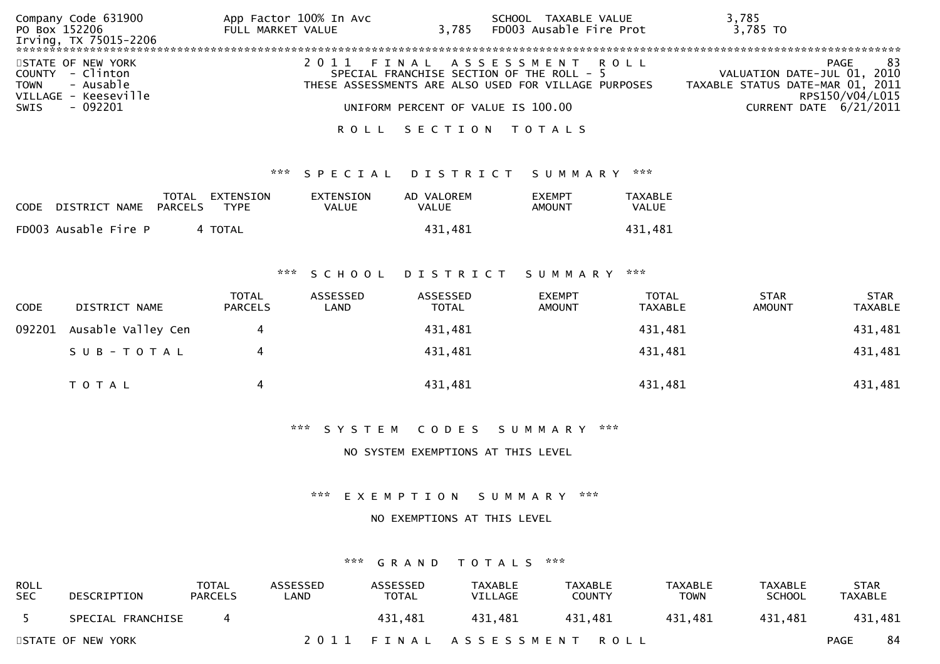| Company Code 631900<br>PO Box 152206<br>Irving, TX 75015-2206                   | App Factor 100% In Avc<br>FULL MARKET VALUE | SCHOOL TAXABLE VALUE<br>3,785 FD003 Ausable Fire Prot                                                                           | 3,785<br>3,785 TO                                               |                               |
|---------------------------------------------------------------------------------|---------------------------------------------|---------------------------------------------------------------------------------------------------------------------------------|-----------------------------------------------------------------|-------------------------------|
| STATE OF NEW YORK<br>COUNTY - Clinton<br>TOWN - Ausable<br>VILLAGE - Keeseville |                                             | 2011 FINAL ASSESSMENT ROLL<br>SPECIAL FRANCHISE SECTION OF THE ROLL - 5<br>THESE ASSESSMENTS ARE ALSO USED FOR VILLAGE PURPOSES | VALUATION DATE-JUL 01, 2010<br>TAXABLE STATUS DATE-MAR 01, 2011 | 83<br>PAGE<br>RPS150/V04/L015 |
| - 092201<br>SWIS                                                                |                                             | UNIFORM PERCENT OF VALUE IS 100.00<br>ROLL SECTION TOTALS                                                                       |                                                                 | CURRENT DATE 6/21/2011        |

#### \*\*\* S P E C I A L D I S T R I C T S U M M A R Y \*\*\*

| <b>CODE</b> | DISTRICT NAME        | PARCELS | TOTAL EXTENSION<br>TYPF | <b>EXTENSION</b><br>VALUE | AD VALOREM<br>VALUE | <b>EXEMPT</b><br>AMOUNT | TAXABLE<br>VALUE |
|-------------|----------------------|---------|-------------------------|---------------------------|---------------------|-------------------------|------------------|
|             | FD003 Ausable Fire P |         | 4 TOTAL                 |                           | 431.481             |                         | 431.481          |

#### \*\*\* S C H O O L D I S T R I C T S U M M A R Y \*\*\*

| <b>CODE</b> | DISTRICT NAME      | <b>TOTAL</b><br><b>PARCELS</b> | ASSESSED<br>LAND | ASSESSED<br><b>TOTAL</b> | <b>EXEMPT</b><br><b>AMOUNT</b> | <b>TOTAL</b><br>TAXABLE | <b>STAR</b><br><b>AMOUNT</b> | <b>STAR</b><br>TAXABLE |
|-------------|--------------------|--------------------------------|------------------|--------------------------|--------------------------------|-------------------------|------------------------------|------------------------|
| 092201      | Ausable Valley Cen | 4                              |                  | 431,481                  |                                | 431,481                 |                              | 431,481                |
|             | SUB-TOTAL          |                                |                  | 431,481                  |                                | 431,481                 |                              | 431,481                |
|             | T O T A L          | 4                              |                  | 431,481                  |                                | 431,481                 |                              | 431,481                |

\*\*\* S Y S T E M C O D E S S U M M A R Y \*\*\*

#### NO SYSTEM EXEMPTIONS AT THIS LEVEL

\*\*\* E X E M P T I O N S U M M A R Y \*\*\*

#### NO EXEMPTIONS AT THIS LEVEL

#### \*\*\* G R A N D T O T A L S \*\*\*

| ROLL<br><b>SEC</b> | DESCRIPTION       | TOTAL<br><b>PARCELS</b> | <b>ASSESSED</b><br>∟AND | ASSESSED<br><b>TOTAL</b> | TAXABLE<br>VILLAGE         | TAXABLE<br><b>COUNTY</b> | <b>TAXABLE</b><br>TOWN | <b>TAXABLE</b><br><b>SCHOOL</b> | <b>STAR</b><br>TAXABLE |    |
|--------------------|-------------------|-------------------------|-------------------------|--------------------------|----------------------------|--------------------------|------------------------|---------------------------------|------------------------|----|
|                    | SPECIAL FRANCHISE |                         |                         | 431.481                  | 431.481                    | 431.481                  | 431.481                | 431.481                         | 431,481                |    |
|                    | STATE OF NEW YORK |                         |                         |                          | 2011 FINAL ASSESSMENT ROLL |                          |                        |                                 | <b>PAGE</b>            | 84 |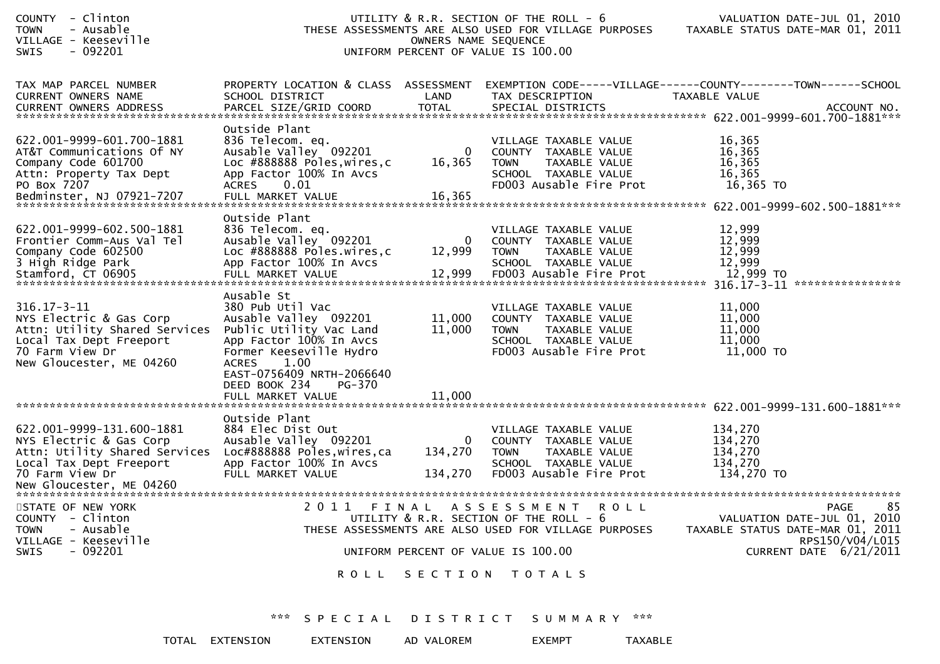| - Clinton<br><b>COUNTY</b><br>- Ausable<br><b>TOWN</b><br>VILLAGE - Keeseville<br><b>SWIS</b><br>- 092201                                               |                                                                                                                                                                                                                                               | OWNERS NAME SEQUENCE       | UTILITY & R.R. SECTION OF THE ROLL - 6<br>THESE ASSESSMENTS ARE ALSO USED FOR VILLAGE PURPOSES<br>UNIFORM PERCENT OF VALUE IS 100.00 | VALUATION DATE-JUL 01, 2010<br>TAXABLE STATUS DATE-MAR 01, 2011                                         |
|---------------------------------------------------------------------------------------------------------------------------------------------------------|-----------------------------------------------------------------------------------------------------------------------------------------------------------------------------------------------------------------------------------------------|----------------------------|--------------------------------------------------------------------------------------------------------------------------------------|---------------------------------------------------------------------------------------------------------|
| TAX MAP PARCEL NUMBER<br><b>CURRENT OWNERS NAME</b>                                                                                                     | PROPERTY LOCATION & CLASS ASSESSMENT<br>SCHOOL DISTRICT                                                                                                                                                                                       | LAND                       | TAX DESCRIPTION                                                                                                                      | EXEMPTION CODE-----VILLAGE------COUNTY--------TOWN------SCHOOL<br>TAXABLE VALUE                         |
| 622.001-9999-601.700-1881<br>AT&T Communications Of NY<br>Company Code 601700<br>Attn: Property Tax Dept<br>PO Box 7207                                 | Outside Plant<br>836 Telecom. eq.<br>Ausable Valley 092201<br>Loc #888888 Poles, wires, c<br>App Factor 100% In Avcs<br><b>ACRES</b><br>0.01                                                                                                  | 0<br>16,365                | VILLAGE TAXABLE VALUE<br>COUNTY TAXABLE VALUE<br><b>TOWN</b><br>TAXABLE VALUE<br>SCHOOL TAXABLE VALUE<br>FD003 Ausable Fire Prot     | 16,365<br>16,365<br>16,365<br>16,365<br>16,365 TO                                                       |
| 622.001-9999-602.500-1881<br>Frontier Comm-Aus Val Tel<br>Company Code 602500<br>3 High Ridge Park                                                      | Outside Plant<br>836 Telecom. eq.<br>Ausable Valley 092201<br>Loc #888888 Poles.wires,c<br>App Factor 100% In Avcs                                                                                                                            | 0<br>12,999                | VILLAGE TAXABLE VALUE<br>COUNTY TAXABLE VALUE<br><b>TOWN</b><br>TAXABLE VALUE<br>SCHOOL TAXABLE VALUE                                | 12,999<br>12,999<br>12,999<br>12,999<br>****************                                                |
| $316.17 - 3 - 11$<br>NYS Electric & Gas Corp<br>Attn: Utility Shared Services<br>Local Tax Dept Freeport<br>70 Farm View Dr<br>New Gloucester, ME 04260 | Ausable St<br>380 Pub Util Vac<br>Ausable Valley 092201<br>Public Utility Vac Land<br>App Factor 100% In Avcs<br>Former Keeseville Hydro<br>1.00<br><b>ACRES</b><br>EAST-0756409 NRTH-2066640<br>DEED BOOK 234<br>PG-370<br>FULL MARKET VALUE | 11,000<br>11,000<br>11,000 | VILLAGE TAXABLE VALUE<br>COUNTY TAXABLE VALUE<br>TAXABLE VALUE<br><b>TOWN</b><br>SCHOOL TAXABLE VALUE<br>FD003 Ausable Fire Prot     | 11,000<br>11,000<br>11,000<br>11,000<br>11,000 TO                                                       |
|                                                                                                                                                         |                                                                                                                                                                                                                                               |                            |                                                                                                                                      |                                                                                                         |
| 622.001-9999-131.600-1881<br>NYS Electric & Gas Corp<br>Attn: Utility Shared Services<br>Local Tax Dept Freeport<br>70 Farm View Dr                     | Outside Plant<br>884 Elec Dist Out<br>Ausable Valley 092201<br>Loc#888888 Poles, wires, ca<br>App Factor 100% In Avcs<br>FULL MARKET VALUE                                                                                                    | 0<br>134,270<br>134,270    | VILLAGE TAXABLE VALUE<br>COUNTY TAXABLE VALUE<br><b>TOWN</b><br>TAXABLE VALUE<br>SCHOOL TAXABLE VALUE<br>FD003 Ausable Fire Prot     | 134,270<br>134,270<br>134,270<br>134,270<br>134,270 TO                                                  |
|                                                                                                                                                         |                                                                                                                                                                                                                                               |                            |                                                                                                                                      |                                                                                                         |
| STATE OF NEW YORK<br>COUNTY - Clinton<br>- Ausable<br><b>TOWN</b><br>VILLAGE - Keeseville                                                               |                                                                                                                                                                                                                                               |                            | 2011 FINAL ASSESSMENT ROLL<br>UTILITY & R.R. SECTION OF THE ROLL - 6<br>THESE ASSESSMENTS ARE ALSO USED FOR VILLAGE PURPOSES         | 85<br><b>PAGE</b><br>VALUATION DATE-JUL 01, 2010<br>TAXABLE STATUS DATE-MAR 01, 2011<br>RPS150/V04/L015 |
| $-092201$<br>SWIS                                                                                                                                       |                                                                                                                                                                                                                                               |                            | UNIFORM PERCENT OF VALUE IS 100.00                                                                                                   | CURRENT DATE 6/21/2011                                                                                  |
|                                                                                                                                                         |                                                                                                                                                                                                                                               |                            | ROLL SECTION TOTALS                                                                                                                  |                                                                                                         |
|                                                                                                                                                         |                                                                                                                                                                                                                                               |                            | *** SPECIAL DISTRICT SUMMARY ***                                                                                                     |                                                                                                         |

TOTAL EXTENSION EXTENSION AD VALOREM EXEMPT TAXABLE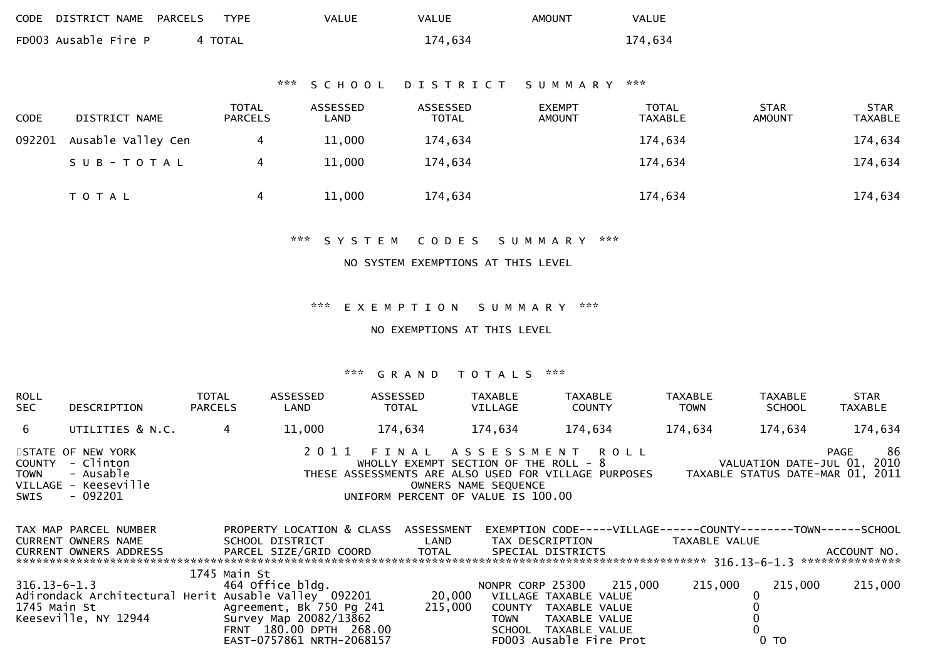| CODE DISTRICT NAME PARCELS | TYPE    | VALUE | <b>VALUE</b> | AMOUNT | VALUE   |
|----------------------------|---------|-------|--------------|--------|---------|
| FD003 Ausable Fire P       | 4 TOTAL |       | 174,634      |        | 174,634 |

## \*\*\* S C H O O L D I S T R I C T S U M M A R Y \*\*\*

| <b>CODE</b> | DISTRICT NAME      | <b>TOTAL</b><br>PARCELS | ASSESSED<br>LAND | ASSESSED<br><b>TOTAL</b> | <b>EXEMPT</b><br><b>AMOUNT</b> | <b>TOTAL</b><br><b>TAXABLE</b> | <b>STAR</b><br><b>AMOUNT</b> | <b>STAR</b><br><b>TAXABLE</b> |
|-------------|--------------------|-------------------------|------------------|--------------------------|--------------------------------|--------------------------------|------------------------------|-------------------------------|
| 092201      | Ausable Valley Cen |                         | 11,000           | 174,634                  |                                | 174,634                        |                              | 174,634                       |
|             | SUB-TOTAL          |                         | 11,000           | 174,634                  |                                | 174,634                        |                              | 174,634                       |
|             | T O T A L          |                         | 11,000           | 174,634                  |                                | 174,634                        |                              | 174,634                       |

\*\*\* S Y S T E M C O D E S S U M M A R Y \*\*\*

#### NO SYSTEM EXEMPTIONS AT THIS LEVEL

#### \*\*\* E X E M P T I O N S U M M A R Y \*\*\*

#### NO EXEMPTIONS AT THIS LEVEL

#### \*\*\* G R A N D T O T A L S \*\*\*

| ROLL<br><b>SEC</b> | DESCRIPTION                                                                            | <b>TOTAL</b><br><b>PARCELS</b> | ASSESSED<br>LAND | ASSESSED<br><b>TOTAL</b> | TAXABLE<br>VILLAGE                                                                                  | <b>TAXABLE</b><br><b>COUNTY</b>                                                    | TAXABLE<br><b>TOWN</b> | TAXABLE<br><b>SCHOOL</b> | <b>STAR</b><br>TAXABLE                                                               |
|--------------------|----------------------------------------------------------------------------------------|--------------------------------|------------------|--------------------------|-----------------------------------------------------------------------------------------------------|------------------------------------------------------------------------------------|------------------------|--------------------------|--------------------------------------------------------------------------------------|
| 6                  | UTILITIES & N.C.                                                                       |                                | 11,000           | 174,634                  | 174.634                                                                                             | 174.634                                                                            | 174,634                | 174,634                  | 174,634                                                                              |
| TOWN<br>SWIS       | STATE OF NEW YORK<br>COUNTY - Clinton<br>- Ausable<br>VILLAGE - Keeseville<br>- 092201 |                                |                  |                          | WHOLLY EXEMPT SECTION OF THE ROLL - 8<br>OWNERS NAME SEQUENCE<br>UNIFORM PERCENT OF VALUE IS 100.00 | 2011 FINAL ASSESSMENT ROLL<br>THESE ASSESSMENTS ARE ALSO USED FOR VILLAGE PURPOSES |                        |                          | 86<br><b>PAGE</b><br>VALUATION DATE-JUL 01, 2010<br>TAXABLE STATUS DATE-MAR 01, 2011 |

| TAX MAP PARCEL NUMBER         | PROPERTY LOCATION & CLASS                            | ASSESSMENT | EXEMPTION CODE-----VILLAGE------COUNTY--------TOWN------SCHOOL |         |                    |         |                 |
|-------------------------------|------------------------------------------------------|------------|----------------------------------------------------------------|---------|--------------------|---------|-----------------|
| CURRENT OWNERS NAME           | SCHOOL DISTRICT                                      | LAND       | TAX DESCRIPTION                                                |         | TAXABLE VALUE      |         |                 |
| <b>CURRENT OWNERS ADDRESS</b> | PARCEL SIZE/GRID COORD                               | TOTAL      | SPECIAL DISTRICTS                                              |         |                    |         | ACCOUNT NO.     |
|                               |                                                      |            |                                                                |         | $316.13 - 6 - 1.3$ |         | *************** |
|                               | 1745 Main St                                         |            |                                                                |         |                    |         |                 |
| 316.13-6-1.3                  | 464 Office bldg.                                     |            | NONPR CORP 25300                                               | 215.000 | 215,000            | 215,000 | 215,000         |
|                               | Adirondack Architectural Herit Ausable Valley 092201 | 20,000     | VILLAGE TAXABLE VALUE                                          |         |                    |         |                 |
| 1745 Main St                  | Agreement, Bk 750 Pg 241                             | 215,000    | TAXABLE VALUE<br>COUNTY                                        |         |                    |         |                 |
| Keeseville, NY 12944          | Survey Map 20082/13862                               |            | TAXABLE VALUE<br>TOWN                                          |         |                    |         |                 |
|                               | FRNT 180.00 DPTH 268.00                              |            | TAXABLE VALUE<br>SCHOOL                                        |         |                    |         |                 |
|                               | EAST-0757861 NRTH-2068157                            |            | FD003 Ausable Fire Prot                                        |         |                    | 0 TO    |                 |
|                               |                                                      |            |                                                                |         |                    |         |                 |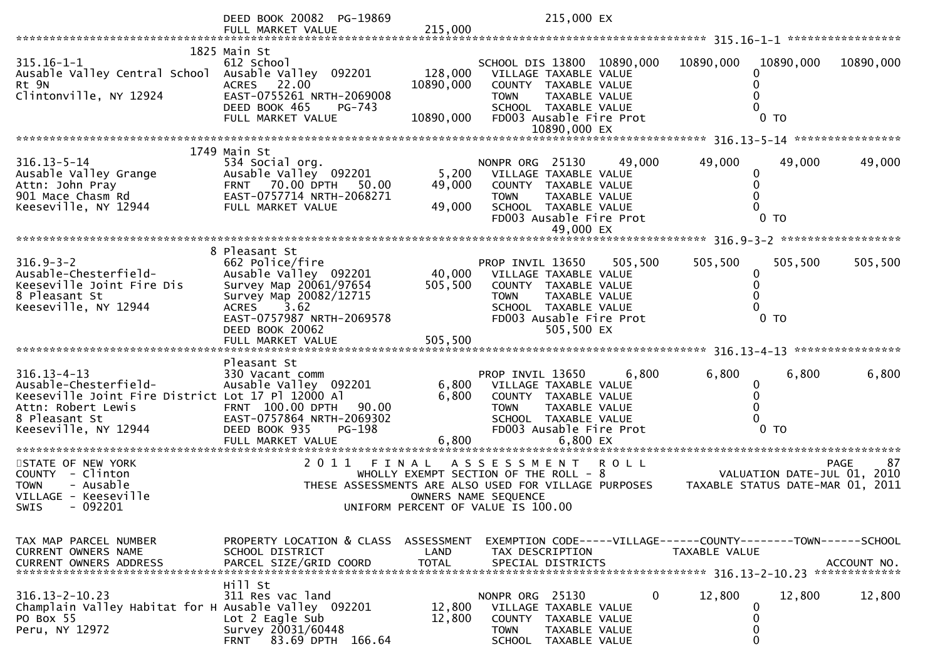|                                                                                                                                                                | DEED BOOK 20082 PG-19869                                                                                                                                                              |                           | 215,000 EX                                                                                                                                                         |             |                                  |                             |             |
|----------------------------------------------------------------------------------------------------------------------------------------------------------------|---------------------------------------------------------------------------------------------------------------------------------------------------------------------------------------|---------------------------|--------------------------------------------------------------------------------------------------------------------------------------------------------------------|-------------|----------------------------------|-----------------------------|-------------|
|                                                                                                                                                                | FULL MARKET VALUE                                                                                                                                                                     | 215,000                   |                                                                                                                                                                    |             |                                  |                             |             |
| $315.16 - 1 - 1$<br>Ausable Valley Central School Ausable Valley 092201<br>Rt 9N<br>Clintonville, NY 12924                                                     | 1825 Main St<br>612 School<br>22.00<br><b>ACRES</b><br>EAST-0755261 NRTH-2069008                                                                                                      | 128,000<br>10890,000      | SCHOOL DIS 13800 10890,000<br>VILLAGE TAXABLE VALUE<br>COUNTY TAXABLE VALUE<br><b>TOWN</b><br><b>TAXABLE VALUE</b>                                                 |             | 10890,000                        | 10890,000                   | 10890,000   |
|                                                                                                                                                                | DEED BOOK 465<br>PG-743<br>FULL MARKET VALUE                                                                                                                                          | 10890,000                 | SCHOOL TAXABLE VALUE<br>FD003 Ausable Fire Prot<br>10890,000 EX                                                                                                    |             |                                  | 0 <sub>T</sub>              |             |
|                                                                                                                                                                |                                                                                                                                                                                       |                           |                                                                                                                                                                    |             |                                  |                             |             |
| $316.13 - 5 - 14$<br>Ausable Valley Grange<br>Attn: John Pray<br>901 Mace Chasm Rd<br>Keeseville, NY 12944                                                     | 1749 Main St<br>534 Social org.<br>Ausable Valley 092201<br>FRNT 70.00 DPTH 50.00<br>EAST-0757714 NRTH-2068271<br>FULL MARKET VALUE                                                   | 5,200<br>49,000<br>49,000 | NONPR ORG 25130<br>VILLAGE TAXABLE VALUE<br>COUNTY TAXABLE VALUE<br><b>TOWN</b><br>TAXABLE VALUE<br>SCHOOL TAXABLE VALUE<br>FD003 Ausable Fire Prot<br>49,000 EX   | 49,000      | 49,000<br>$\bf{0}$               | 49,000<br>0 <sub>T</sub>    | 49,000      |
|                                                                                                                                                                |                                                                                                                                                                                       |                           |                                                                                                                                                                    |             |                                  |                             |             |
| $316.9 - 3 - 2$<br>Ausable-Chesterfield-<br>Keeseville Joint Fire Dis<br>8 Pleasant St<br>Keeseville, NY 12944                                                 | 8 Pleasant St<br>662 Police/fire<br>Ausable Valley 092201<br>Survey Map 20061/97654<br>Survey Map 20082/12715<br>3.62<br><b>ACRES</b><br>EAST-0757987 NRTH-2069578<br>DEED BOOK 20062 | 40,000<br>505,500         | PROP INVIL 13650<br>VILLAGE TAXABLE VALUE<br>COUNTY TAXABLE VALUE<br><b>TOWN</b><br>TAXABLE VALUE<br>SCHOOL TAXABLE VALUE<br>FD003 Ausable Fire Prot<br>505,500 EX | 505,500     | 505,500<br>0                     | 505,500<br>0 <sub>T</sub>   | 505,500     |
|                                                                                                                                                                |                                                                                                                                                                                       |                           |                                                                                                                                                                    |             |                                  |                             |             |
| $316.13 - 4 - 13$<br>Ausable-Chesterfield-<br>Keeseville Joint Fire District Lot 17 Pl 12000 Al<br>Attn: Robert Lewis<br>8 Pleasant St<br>Keeseville, NY 12944 | Pleasant St<br>330 Vacant comm<br>Ausable Valley 092201<br>FRNT 100.00 DPTH<br>90.00<br>EAST-0757864 NRTH-2069302<br>DEED BOOK 935<br>PG-198<br>FULL MARKET VALUE                     | 6,800<br>6,800<br>6,800   | PROP INVIL 13650<br>VILLAGE TAXABLE VALUE<br>COUNTY TAXABLE VALUE<br>TAXABLE VALUE<br><b>TOWN</b><br>SCHOOL TAXABLE VALUE<br>FD003 Ausable Fire Prot<br>6,800 EX   | 6,800       | 6,800<br>0                       | 6,800<br>$0$ TO             | 6,800       |
| STATE OF NEW YORK                                                                                                                                              | 2011<br>FINAL                                                                                                                                                                         |                           | A S S E S S M E N T                                                                                                                                                | <b>ROLL</b> |                                  |                             | PAGE<br>87  |
| COUNTY - Clinton<br>- Ausable<br><b>TOWN</b><br>VILLAGE - Keeseville<br>$-092201$<br><b>SWIS</b>                                                               |                                                                                                                                                                                       |                           | WHOLLY EXEMPT SECTION OF THE ROLL - 8<br>THESE ASSESSMENTS ARE ALSO USED FOR VILLAGE PURPOSES<br>OWNERS NAME SEQUENCE<br>UNIFORM PERCENT OF VALUE IS 100.00        |             | TAXABLE STATUS DATE-MAR 01, 2011 | VALUATION DATE-JUL 01, 2010 |             |
| TAX MAP PARCEL NUMBER<br>CURRENT OWNERS NAME<br><b>CURRENT OWNERS ADDRESS</b>                                                                                  | PROPERTY LOCATION & CLASS ASSESSMENT<br>SCHOOL DISTRICT<br>PARCEL SIZE/GRID COORD                                                                                                     | LAND<br><b>TOTAL</b>      | EXEMPTION CODE-----VILLAGE------COUNTY--------TOWN------SCHOOL<br>TAX DESCRIPTION<br>SPECIAL DISTRICTS                                                             |             | TAXABLE VALUE                    |                             | ACCOUNT NO. |
| $316.13 - 2 - 10.23$<br>Champlain Valley Habitat for H Ausable Valley 092201<br>PO Box 55<br>Peru, NY 12972                                                    | Hill St<br>311 Res vac land<br>Lot $2$ Eagle Sub<br>Survey 20031/60448<br>83.69 DPTH 166.64<br>FRNT                                                                                   | 12,800<br>12,800          | NONPR ORG 25130<br>VILLAGE TAXABLE VALUE<br>COUNTY<br>TAXABLE VALUE<br><b>TOWN</b><br>TAXABLE VALUE<br><b>SCHOOL</b><br>TAXABLE VALUE                              | 0           | 12,800<br>0<br>0<br>0<br>0       | 12,800                      | 12,800      |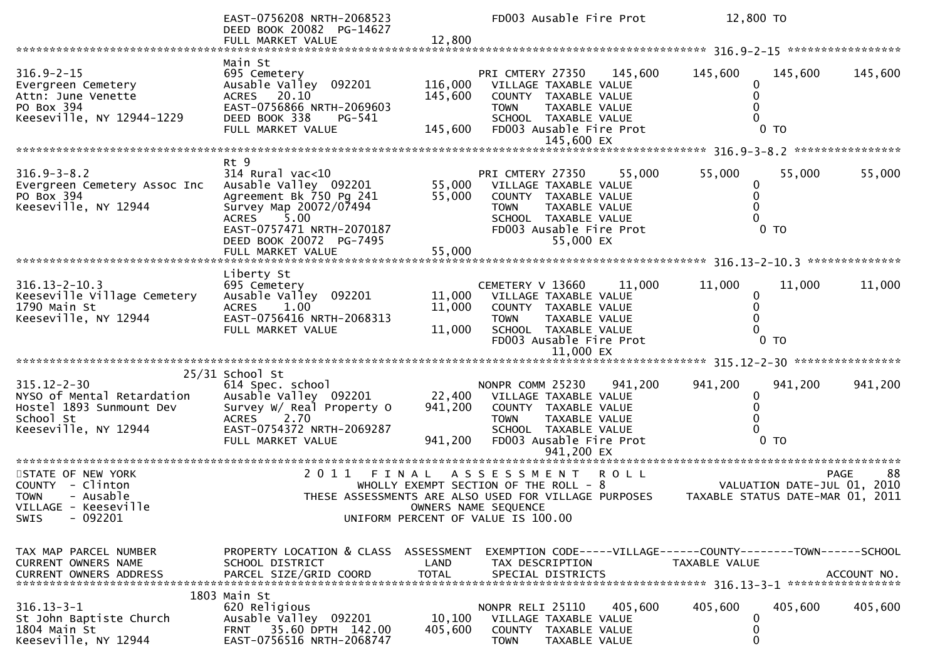|                                                                                                                  | EAST-0756208 NRTH-2068523<br>DEED BOOK 20082 PG-14627<br>FULL MARKET VALUE                                                                                                     | 12,800                        | FD003 Ausable Fire Prot                                                                                                                                                            | 12,800 TO                                                       |                   |
|------------------------------------------------------------------------------------------------------------------|--------------------------------------------------------------------------------------------------------------------------------------------------------------------------------|-------------------------------|------------------------------------------------------------------------------------------------------------------------------------------------------------------------------------|-----------------------------------------------------------------|-------------------|
|                                                                                                                  |                                                                                                                                                                                |                               |                                                                                                                                                                                    |                                                                 |                   |
| $316.9 - 2 - 15$<br>Evergreen Cemetery<br>Attn: June Venette<br>PO Box 394<br>Keeseville, NY 12944-1229          | Main St<br>695 Cemetery<br>Ausable Valley 092201<br>ACRES 20.10<br>EAST-0756866 NRTH-2069603<br>DEED BOOK 338<br>PG-541<br>FULL MARKET VALUE                                   | 116,000<br>145,600<br>145,600 | PRI CMTERY 27350<br>145,600<br>VILLAGE TAXABLE VALUE<br>COUNTY TAXABLE VALUE<br><b>TOWN</b><br>TAXABLE VALUE<br>SCHOOL TAXABLE VALUE<br>FD003 Ausable Fire Prot<br>145,600 EX      | 145,600<br>145,600<br>0<br>0<br>0 <sub>T</sub>                  | 145,600           |
|                                                                                                                  | Rt 9                                                                                                                                                                           |                               |                                                                                                                                                                                    |                                                                 |                   |
| $316.9 - 3 - 8.2$<br>Evergreen Cemetery Assoc Inc<br>PO Box 394<br>Keeseville, NY 12944                          | 314 Rural vac<10<br>Ausable Valley 092201<br>Agreement Bk 750 Pg 241<br>Survey Map 20072/07494<br><b>ACRES</b><br>5.00<br>EAST-0757471 NRTH-2070187<br>DEED BOOK 20072 PG-7495 | 55,000                        | PRI CMTERY 27350<br>55,000<br>55,000 VILLAGE TAXABLE VALUE<br>COUNTY TAXABLE VALUE<br>TAXABLE VALUE<br><b>TOWN</b><br>SCHOOL TAXABLE VALUE<br>FD003 Ausable Fire Prot<br>55,000 EX | 55,000<br>55,000<br>0<br>0<br>$\Omega$<br>0 <sub>T</sub>        | 55,000            |
|                                                                                                                  |                                                                                                                                                                                |                               |                                                                                                                                                                                    |                                                                 |                   |
| $316.13 - 2 - 10.3$<br>Keeseville Village Cemetery<br>1790 Main St<br>Keeseville, NY 12944                       | Liberty St<br>695 Cemetery<br>Ausable Valley 092201<br><b>ACRES</b><br>1.00<br>EAST-0756416 NRTH-2068313<br>FULL MARKET VALUE                                                  | 11,000<br>11,000<br>11,000    | CEMETERY V 13660<br>11,000<br>VILLAGE TAXABLE VALUE<br>COUNTY TAXABLE VALUE<br><b>TOWN</b><br><b>TAXABLE VALUE</b><br>SCHOOL TAXABLE VALUE<br>FD003 Ausable Fire Prot              | 11,000<br>11,000<br>0<br>$0$ TO                                 | 11,000            |
|                                                                                                                  |                                                                                                                                                                                |                               |                                                                                                                                                                                    |                                                                 |                   |
| $315.12 - 2 - 30$<br>NYSO of Mental Retardation<br>Hostel 1893 Sunmount Dev<br>School St<br>Keeseville, NY 12944 | 25/31 School St<br>614 Spec. school<br>Ausable Valley 092201<br>Survey W/ Real Property O<br><b>ACRES</b><br>2.70<br>EAST-0754372 NRTH-2069287<br>FULL MARKET VALUE            | 22,400<br>941,200<br>941,200  | NONPR COMM 25230<br>941,200<br>VILLAGE TAXABLE VALUE<br>COUNTY TAXABLE VALUE<br>TAXABLE VALUE<br><b>TOWN</b><br>SCHOOL TAXABLE VALUE<br>FD003 Ausable Fire Prot                    | 941,200<br>941,200<br>0<br>0<br>0 <sub>T</sub>                  | 941,200           |
|                                                                                                                  |                                                                                                                                                                                |                               |                                                                                                                                                                                    |                                                                 |                   |
| STATE OF NEW YORK<br>COUNTY - Clinton<br>- Ausable<br><b>TOWN</b><br>VILLAGE - Keeseville<br>$-092201$<br>SWIS   | 2 0 1 1                                                                                                                                                                        | FINAL                         | ROLL<br>ASSESSMENT<br>WHOLLY EXEMPT SECTION OF THE ROLL - 8<br>THESE ASSESSMENTS ARE ALSO USED FOR VILLAGE PURPOSES<br>OWNERS NAME SEQUENCE<br>UNIFORM PERCENT OF VALUE IS 100.00  | VALUATION DATE-JUL 01, 2010<br>TAXABLE STATUS DATE-MAR 01, 2011 | 88<br><b>PAGE</b> |
| TAX MAP PARCEL NUMBER<br>CURRENT OWNERS NAME<br><b>CURRENT OWNERS ADDRESS</b>                                    | PROPERTY LOCATION & CLASS ASSESSMENT<br>SCHOOL DISTRICT<br>PARCEL SIZE/GRID COORD                                                                                              | LAND<br><b>TOTAL</b>          | EXEMPTION CODE-----VILLAGE------COUNTY--------TOWN------SCHOOL<br>TAX DESCRIPTION<br>SPECIAL DISTRICTS                                                                             | TAXABLE VALUE                                                   | ACCOUNT NO.       |
| $316.13 - 3 - 1$<br>St John Baptiste Church<br>1804 Main St<br>Keeseville, NY 12944                              | 1803 Main St<br>620 Religious<br>Ausable Valley 092201<br>35.60 DPTH 142.00<br><b>FRNT</b><br>EAST-0756516 NRTH-2068747                                                        | 10, 100<br>405,600            | NONPR RELI 25110<br>405,600<br>VILLAGE TAXABLE VALUE<br>COUNTY TAXABLE VALUE<br><b>TOWN</b>                                                                                        | 405,600<br>405,600<br>0<br>0<br>0                               | 405,600           |
|                                                                                                                  |                                                                                                                                                                                |                               | TAXABLE VALUE                                                                                                                                                                      |                                                                 |                   |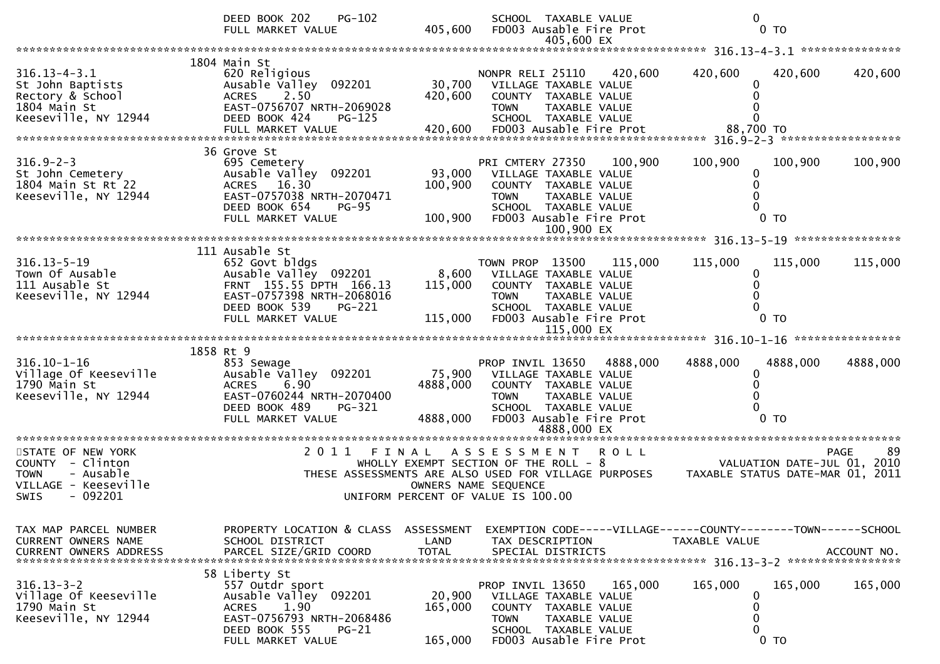|                                                                                                                      | PG-102<br>DEED BOOK 202<br>FULL MARKET VALUE                                                                                                                    | 405,600                            | SCHOOL TAXABLE VALUE<br>FD003 Ausable Fire Prot<br>405,600 EX                                                                                                                      |             | $\mathbf{0}$                                      | 0 <sub>T</sub>              |                   |
|----------------------------------------------------------------------------------------------------------------------|-----------------------------------------------------------------------------------------------------------------------------------------------------------------|------------------------------------|------------------------------------------------------------------------------------------------------------------------------------------------------------------------------------|-------------|---------------------------------------------------|-----------------------------|-------------------|
|                                                                                                                      |                                                                                                                                                                 |                                    |                                                                                                                                                                                    |             |                                                   |                             |                   |
| $316.13 - 4 - 3.1$<br>St John Baptists<br>Rectory & School<br>1804 Main St<br>Keeseville, NY 12944                   | 1804 Main St<br>620 Religious<br>Ausable Valley 092201<br>2.50<br><b>ACRES</b><br>EAST-0756707 NRTH-2069028<br>DEED BOOK 424<br>PG-125<br>FULL MARKET VALUE     | 30,700<br>420,600<br>420,600       | NONPR RELI 25110<br>VILLAGE TAXABLE VALUE<br>COUNTY TAXABLE VALUE<br><b>TOWN</b><br>TAXABLE VALUE<br>SCHOOL TAXABLE VALUE<br>FD003 Ausable Fire Prot                               | 420,600     | 420,600<br>0<br>$\Omega$<br>$\Omega$<br>88,700 TO | 420,600                     | 420,600           |
| $316.9 - 2 - 3$<br>St John Cemetery<br>1804 Main St Rt 22<br>Keeseville, NY 12944                                    | 36 Grove St<br>695 Cemetery<br>Ausable Valley 092201<br>ACRES 16.30<br>EAST-0757038 NRTH-2070471<br>DEED BOOK 654<br><b>PG-95</b><br>FULL MARKET VALUE          | 93,000<br>100,900<br>100,900       | PRI CMTERY 27350<br>VILLAGE TAXABLE VALUE<br>COUNTY TAXABLE VALUE<br><b>TOWN</b><br><b>TAXABLE VALUE</b><br>SCHOOL TAXABLE VALUE<br>FD003 Ausable Fire Prot                        | 100,900     | 100,900<br>0<br>$\Omega$                          | 100,900<br>0 <sub>T</sub>   | 100,900           |
|                                                                                                                      | 111 Ausable St                                                                                                                                                  |                                    |                                                                                                                                                                                    |             |                                                   |                             |                   |
| $316.13 - 5 - 19$<br>Town Of Ausable<br>111 Ausable St<br>Keeseville, NY 12944                                       | 652 Govt bldgs<br>Ausable Valley 092201<br>FRNT 155.55 DPTH 166.13<br>EAST-0757398 NRTH-2068016<br>DEED BOOK 539<br><b>PG-221</b><br>FULL MARKET VALUE          | 8,600<br>115,000<br>115,000        | TOWN PROP 13500<br>VILLAGE TAXABLE VALUE<br>COUNTY TAXABLE VALUE<br>TAXABLE VALUE<br><b>TOWN</b><br>SCHOOL TAXABLE VALUE<br>FD003 Ausable Fire Prot                                | 115,000     | 115,000<br>0<br>$\mathbf{0}$                      | 115,000<br>0 <sub>T</sub>   | 115,000           |
|                                                                                                                      |                                                                                                                                                                 |                                    | 115,000 EX                                                                                                                                                                         |             |                                                   |                             |                   |
|                                                                                                                      | 1858 Rt 9                                                                                                                                                       |                                    |                                                                                                                                                                                    |             |                                                   |                             |                   |
| $316.10 - 1 - 16$<br>Village Of Keeseville<br>1790 Main St<br>Keeseville, NY 12944                                   | 853 Sewage<br>Ausable Valley 092201<br><b>ACRES</b><br>6.90<br>EAST-0760244 NRTH-2070400<br>DEED BOOK 489<br>PG-321<br>FULL MARKET VALUE                        | 75,900<br>4888,000<br>4888,000     | PROP INVIL 13650<br>VILLAGE TAXABLE VALUE<br>COUNTY TAXABLE VALUE<br><b>TOWN</b><br>TAXABLE VALUE<br>SCHOOL TAXABLE VALUE<br>FD003 Ausable Fire Prot                               | 4888,000    | 4888,000<br>$\bf{0}$<br>0                         | 4888,000<br>0 <sub>T</sub>  | 4888,000          |
|                                                                                                                      |                                                                                                                                                                 |                                    |                                                                                                                                                                                    |             |                                                   |                             |                   |
| STATE OF NEW YORK<br>COUNTY - Clinton<br>- Ausable<br><b>TOWN</b><br>VILLAGE - Keeseville<br>- 092201<br><b>SWIS</b> | 2 0 1 1<br>FINAL                                                                                                                                                |                                    | A S S E S S M E N T<br>WHOLLY EXEMPT SECTION OF THE ROLL - 8<br>THESE ASSESSMENTS ARE ALSO USED FOR VILLAGE PURPOSES<br>OWNERS NAME SEQUENCE<br>UNIFORM PERCENT OF VALUE IS 100.00 | <b>ROLL</b> | TAXABLE STATUS DATE-MAR 01, 2011                  | VALUATION DATE-JUL 01, 2010 | 89<br><b>PAGE</b> |
| TAX MAP PARCEL NUMBER<br>CURRENT OWNERS NAME<br><b>CURRENT OWNERS ADDRESS</b>                                        | PROPERTY LOCATION & CLASS<br>SCHOOL DISTRICT<br>PARCEL SIZE/GRID COORD                                                                                          | ASSESSMENT<br>LAND<br><b>TOTAL</b> | EXEMPTION CODE-----VILLAGE------COUNTY--------TOWN------SCHOOL<br>TAX DESCRIPTION<br>SPECIAL DISTRICTS                                                                             |             | TAXABLE VALUE                                     |                             | ACCOUNT NO.       |
| $316.13 - 3 - 2$<br>Village Of Keeseville<br>1790 Main St<br>Keeseville, NY 12944                                    | 58 Liberty St<br>557 Outdr sport<br>Ausable Valley 092201<br>1.90<br><b>ACRES</b><br>EAST-0756793 NRTH-2068486<br>DEED BOOK 555<br>$PG-21$<br>FULL MARKET VALUE | 20,900<br>165,000<br>165,000       | PROP INVIL 13650<br>VILLAGE TAXABLE VALUE<br>COUNTY TAXABLE VALUE<br><b>TOWN</b><br>TAXABLE VALUE<br>SCHOOL TAXABLE VALUE<br>FD003 Ausable Fire Prot                               | 165,000     | 165,000<br>0<br>0<br>0<br>0                       | 165,000<br>$0$ TO           | 165,000           |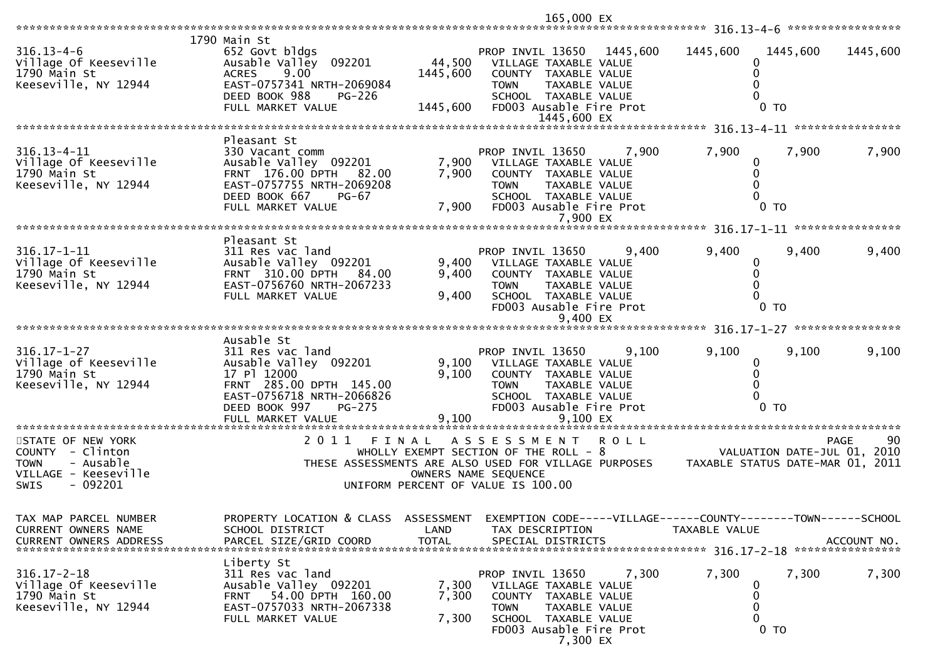\*\*\*\*\*\*\*\*\*\*\*\*\*\*\*\*\*\*\*\*\*\*\*\*\*\*\*\*\*\*\*\*\*\*\*\*\*\*\*\*\*\*\*\*\*\*\*\*\*\*\*\*\*\*\*\*\*\*\*\*\*\*\*\*\*\*\*\*\*\*\*\*\*\*\*\*\*\*\*\*\*\*\*\*\*\*\*\*\*\*\*\*\*\*\*\*\*\*\*\*\*\*\* 316.13-4-6 \*\*\*\*\*\*\*\*\*\*\*\*\*\*\*\*\* 1790 Main St652 Govt bldgs 316.13-4-6 652 Govt bldgs PROP INVIL 13650 1445,600 1445,600 1445,600 1445,600Village Of Keeseville Ausable Valley 092201 44,500 VILLAGE TAXABLE VALUE <sup>0</sup> $\mathbf{0}$ 1790 Main St ACRES 9.00 1445,600 COUNTY TAXABLE VALUE <sup>0</sup> $\Omega$ EAST-0757341 NRTH-2069084<br>DEED BOOK 988 PG-226  $\Omega$  DEED BOOK 988 PG-226 SCHOOL TAXABLE VALUE <sup>0</sup>FD003 Ausable Fire Prot 1445,600 EX \*\*\*\*\*\*\*\*\*\*\*\*\*\*\*\*\*\*\*\*\*\*\*\*\*\*\*\*\*\*\*\*\*\*\*\*\*\*\*\*\*\*\*\*\*\*\*\*\*\*\*\*\*\*\*\*\*\*\*\*\*\*\*\*\*\*\*\*\*\*\*\*\*\*\*\*\*\*\*\*\*\*\*\*\*\*\*\*\*\*\*\*\*\*\*\*\*\*\*\*\*\*\* 316.13-4-11 \*\*\*\*\*\*\*\*\*\*\*\*\*\*\*\* Pleasant St330 Vacant comm 316.13-4-11 330 Vacant comm PROP INVIL 13650 7,900 7,900 7,900 7,900Village Of Keeseville Ausable Valley 092201 7,900 VILLAGE TAXABLE VALUE <sup>0</sup> $\overline{0}$ 1790 Main St FRNT 176.00 DPTH 82.00 7,900 COUNTY TAXABLE VALUE <sup>0</sup> $\Omega$ EAST-0757755 NRTH-2069208<br>DEED BOOK 667 PG-67  $\Omega$  DEED BOOK 667 PG-67 SCHOOL TAXABLE VALUE <sup>0</sup>FD003 Ausable Fire Prot 7,900 EX \*\*\*\*\*\*\*\*\*\*\*\*\*\*\*\*\*\*\*\*\*\*\*\*\*\*\*\*\*\*\*\*\*\*\*\*\*\*\*\*\*\*\*\*\*\*\*\*\*\*\*\*\*\*\*\*\*\*\*\*\*\*\*\*\*\*\*\*\*\*\*\*\*\*\*\*\*\*\*\*\*\*\*\*\*\*\*\*\*\*\*\*\*\*\*\*\*\*\*\*\*\*\* 316.17-1-11 \*\*\*\*\*\*\*\*\*\*\*\*\*\*\*\* Pleasant St311 Res vac land 316.17-1-11 311 Res vac land PROP INVIL 13650 9,400 9,400 9,400 9,400Village Of Keeseville Ausable Valley 092201 9,400 VILLAGE TAXABLE VALUE <sup>0</sup> $\mathbf{0}$ 1790 Main St FRNT 310.00 DPTH 84.00 9,400 COUNTY TAXABLE VALUE <sup>0</sup> $\Omega$ EAST-0756760 NRTH-2067233 601 1294 EAST-0756760 NRTH-2067233  $\Omega$  FULL MARKET VALUE 9,400 SCHOOL TAXABLE VALUE <sup>0</sup> $FDOO3$  Ausable Fire Prot 9,400 EX \*\*\*\*\*\*\*\*\*\*\*\*\*\*\*\*\*\*\*\*\*\*\*\*\*\*\*\*\*\*\*\*\*\*\*\*\*\*\*\*\*\*\*\*\*\*\*\*\*\*\*\*\*\*\*\*\*\*\*\*\*\*\*\*\*\*\*\*\*\*\*\*\*\*\*\*\*\*\*\*\*\*\*\*\*\*\*\*\*\*\*\*\*\*\*\*\*\*\*\*\*\*\* 316.17-1-27 \*\*\*\*\*\*\*\*\*\*\*\*\*\*\*\* Ausable St311 Res vac land 316.17-1-27 311 Res vac land PROP INVIL 13650 9,100 9,100 9,100 9,100Village of Keeseville Ausable Valley 092201 9,100 VILLAGE TAXABLE VALUE <sup>0</sup> $\Omega$ 1790 Main St 17 Pl 12000 9,100 COUNTY TAXABLE VALUE <sup>0</sup> $\Omega$ FRNT 285.00 DPTH 145.00 TOWN TAXABLE VALUE 145.00<br>EAST-0756718 NRTH-2066826 TAXABLE VALUE  $\Omega$  EAST-0756718 NRTH-2066826 SCHOOL TAXABLE VALUE <sup>0</sup>DEED BOOK 997 PG-275 FD003 Ausable Fire Prot<br>FULL MARKET VALUE 9,100 9,100 9,100 EX FULL MARKET VALUE 9,100 9,100 EX \*\*\*\*\*\*\*\*\*\*\*\*\*\*\*\*\*\*\*\*\*\*\*\*\*\*\*\*\*\*\*\*\*\*\*\*\*\*\*\*\*\*\*\*\*\*\*\*\*\*\*\*\*\*\*\*\*\*\*\*\*\*\*\*\*\*\*\*\*\*\*\*\*\*\*\*\*\*\*\*\*\*\*\*\*\*\*\*\*\*\*\*\*\*\*\*\*\*\*\*\*\*\*\*\*\*\*\*\*\*\*\*\*\*\*\*\*\*\*\*\*\*\*\*\*\*\*\*\*\*\*\*90 STATE OF NEW YORK 2 0 1 1 F I N A L A S S E S S M E N T R O L L PAGE <sup>90</sup>VALUATION DATE-JUL 01, 2010 COUNTY - Clinton WHOLLY EXEMPT SECTION OF THE ROLL - 8 VALUATION DATE-JUL 01, 2010TAXABLE STATUS DATE-MAR 01, 2011 TOWN - Ausable THESE ASSESSMENTS ARE ALSO USED FOR VILLAGE PURPOSES TAXABLE STATUS DATE-MAR 01, 2011VILLAGE - Keeseville OWNERS NAME SEQUENCE SWIS - 092201 UNIFORM PERCENT OF VALUE IS 100.00TAX MAP PARCEL NUMBER PROPERTY LOCATION & CLASS ASSESSMENT EXEMPTION CODE-----VILLAGE------COUNTY--------TOWN------SCHOOLCURRENT OWNERS NAME SCHOOL DISTRICT LAND TAX DESCRIPTION TAXABLE VALUE<br>CURRENT OWNERS ARRRESS RARGEL SIZE(CRIR(CORR) TOTAL SRECIAL RISTRICTS CURRENT OWNERS ADDRESS PARCEL SIZE/GRID COORD TOTAL SPECIAL DISTRICTS ACCOUNT NO. \*\*\*\*\*\*\*\*\*\*\*\*\*\*\*\*\*\*\*\*\*\*\*\*\*\*\*\*\*\*\*\*\*\*\*\*\*\*\*\*\*\*\*\*\*\*\*\*\*\*\*\*\*\*\*\*\*\*\*\*\*\*\*\*\*\*\*\*\*\*\*\*\*\*\*\*\*\*\*\*\*\*\*\*\*\*\*\*\*\*\*\*\*\*\*\*\*\*\*\*\*\*\* 316.17-2-18 \*\*\*\*\*\*\*\*\*\*\*\*\*\*\*\* Liberty St311 Res vac land 316.17-2-18 311 Res vac land PROP INVIL 13650 7,300 7,300 7,300 7,300Village Of Keeseville Ausable Valley 092201 7,300 VILLAGE TAXABLE VALUE <sup>0</sup> $\mathbf{0}$ 1790 Main St FRNT 54.00 DPTH 160.00 7,300 COUNTY TAXABLE VALUE <sup>0</sup> $\Omega$ EAST-0757033 NRTH-2067338 FULL MARKET VALUE 2067338 TOWN TAXABLE VALUE 2067  $\Omega$  FULL MARKET VALUE 7,300 SCHOOL TAXABLE VALUE <sup>0</sup>FD003 Ausable Fire Prot

165,000 EX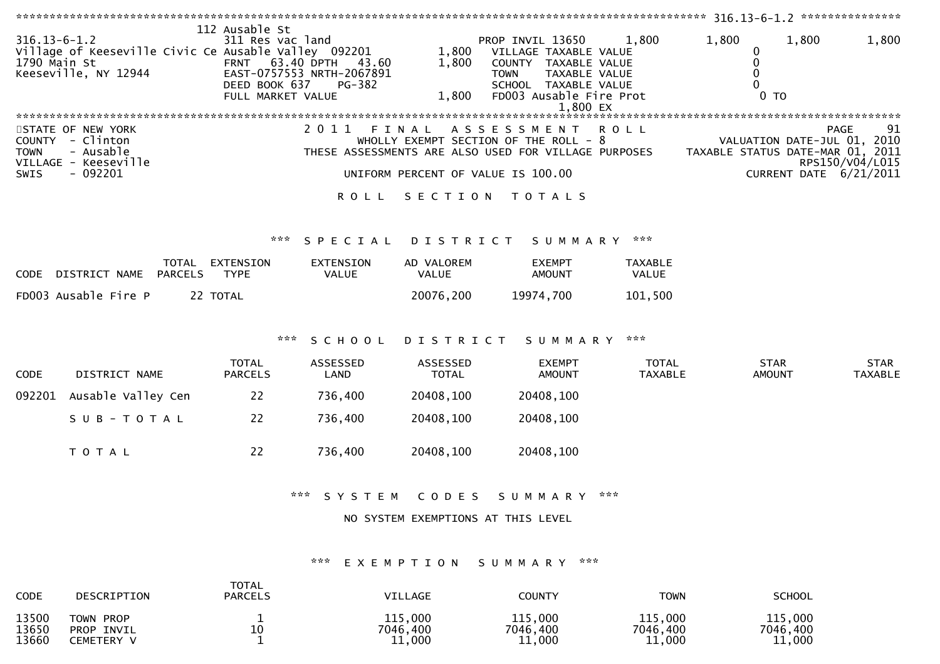| $316.13 - 6 - 1.2$<br>1790 Main St | Village of Keeseville Civic Ce Ausable Valley 092201<br>Keeseville, NY 12944 | 112 Ausable St<br>311 Res vac land<br>DEED BOOK 637<br>FULL MARKET VALUE | FRNT 63.40 DPTH 43.60<br>EAST-0757553 NRTH-2067891<br>PG-382 | 1,800<br>1,800<br>1,800            | PROP INVIL 13650<br>VILLAGE TAXABLE VALUE<br>COUNTY TAXABLE VALUE<br>TAXABLE VALUE<br><b>TOWN</b><br>SCHOOL TAXABLE VALUE<br>FD003 Ausable Fire Prot<br>1.800 EX | 1,800                   | 1,800<br>0<br>0<br>$\Omega$<br>$\Omega$<br>0 <sub>T</sub> | 1,800                                      | 1,800                         |
|------------------------------------|------------------------------------------------------------------------------|--------------------------------------------------------------------------|--------------------------------------------------------------|------------------------------------|------------------------------------------------------------------------------------------------------------------------------------------------------------------|-------------------------|-----------------------------------------------------------|--------------------------------------------|-------------------------------|
| <b>TOWN</b>                        | STATE OF NEW YORK<br>COUNTY - Clinton<br>- Ausable<br>VILLAGE - Keeseville   |                                                                          | 2011                                                         | FINAL                              | A S S E S S M E N T<br>WHOLLY EXEMPT SECTION OF THE ROLL - 8<br>THESE ASSESSMENTS ARE ALSO USED FOR VILLAGE PURPOSES                                             | <b>ROLL</b>             | TAXABLE STATUS DATE-MAR 01, 2011                          | <b>PAGE</b><br>VALUATION DATE-JUL 01, 2010 | 91<br>RPS150/V04/L015         |
| <b>SWIS</b>                        | $-092201$                                                                    |                                                                          |                                                              | UNIFORM PERCENT OF VALUE IS 100.00 |                                                                                                                                                                  |                         |                                                           | CURRENT DATE 6/21/2011                     |                               |
|                                    |                                                                              |                                                                          |                                                              |                                    | ROLL SECTION TOTALS                                                                                                                                              |                         |                                                           |                                            |                               |
|                                    |                                                                              | ***                                                                      | SPECIAL                                                      | DISTRICT                           | SUMMARY                                                                                                                                                          | ***                     |                                                           |                                            |                               |
|                                    | CODE DISTRICT NAME<br>PARCELS                                                | TOTAL EXTENSION<br><b>TYPE</b>                                           | EXTENSION<br>VALUE                                           | AD VALOREM<br><b>VALUE</b>         | <b>EXEMPT</b><br><b>AMOUNT</b>                                                                                                                                   | TAXABLE<br>VALUE        |                                                           |                                            |                               |
|                                    | FD003 Ausable Fire P                                                         | 22 TOTAL                                                                 |                                                              | 20076,200                          | 19974,700                                                                                                                                                        | 101,500                 |                                                           |                                            |                               |
|                                    |                                                                              | $\pi \times \pi$                                                         | SCHOOL                                                       |                                    | DISTRICT SUMMARY                                                                                                                                                 | ***                     |                                                           |                                            |                               |
| <b>CODE</b>                        | DISTRICT NAME                                                                | <b>TOTAL</b><br><b>PARCELS</b>                                           | ASSESSED<br>LAND                                             | ASSESSED<br><b>TOTAL</b>           | <b>EXEMPT</b><br><b>AMOUNT</b>                                                                                                                                   | TOTAL<br><b>TAXABLE</b> | <b>STAR</b><br><b>AMOUNT</b>                              |                                            | <b>STAR</b><br><b>TAXABLE</b> |
| 092201                             | Ausable Valley Cen                                                           | 22                                                                       | 736,400                                                      | 20408,100                          | 20408,100                                                                                                                                                        |                         |                                                           |                                            |                               |
|                                    | SUB-TOTAL                                                                    | 22                                                                       | 736,400                                                      | 20408,100                          | 20408,100                                                                                                                                                        |                         |                                                           |                                            |                               |
|                                    | TOTAL                                                                        | 22                                                                       | 736,400                                                      | 20408,100                          | 20408,100                                                                                                                                                        |                         |                                                           |                                            |                               |
|                                    |                                                                              |                                                                          | *** SYSTEM                                                   | CODES                              | S U M M A R Y                                                                                                                                                    | ***                     |                                                           |                                            |                               |
|                                    |                                                                              |                                                                          |                                                              | NO SYSTEM EXEMPTIONS AT THIS LEVEL |                                                                                                                                                                  |                         |                                                           |                                            |                               |
|                                    |                                                                              | TOTAL                                                                    | ***                                                          |                                    | EXEMPTION SUMMARY ***                                                                                                                                            |                         |                                                           |                                            |                               |

| CODE                    | DESCRIPTION                                            | .<br><b>PARCELS</b> | <b>VILLAGE</b>                | COUNTY                        | TOWN                          | <b>SCHOOL</b>                 |
|-------------------------|--------------------------------------------------------|---------------------|-------------------------------|-------------------------------|-------------------------------|-------------------------------|
| 13500<br>13650<br>13660 | TOWN PROP<br><b>PROP</b><br>INVIL<br><b>CEMETERY V</b> | 10                  | 115,000<br>7046,400<br>11,000 | 115,000<br>7046,400<br>11,000 | 115,000<br>7046,400<br>11,000 | 115,000<br>7046,400<br>11,000 |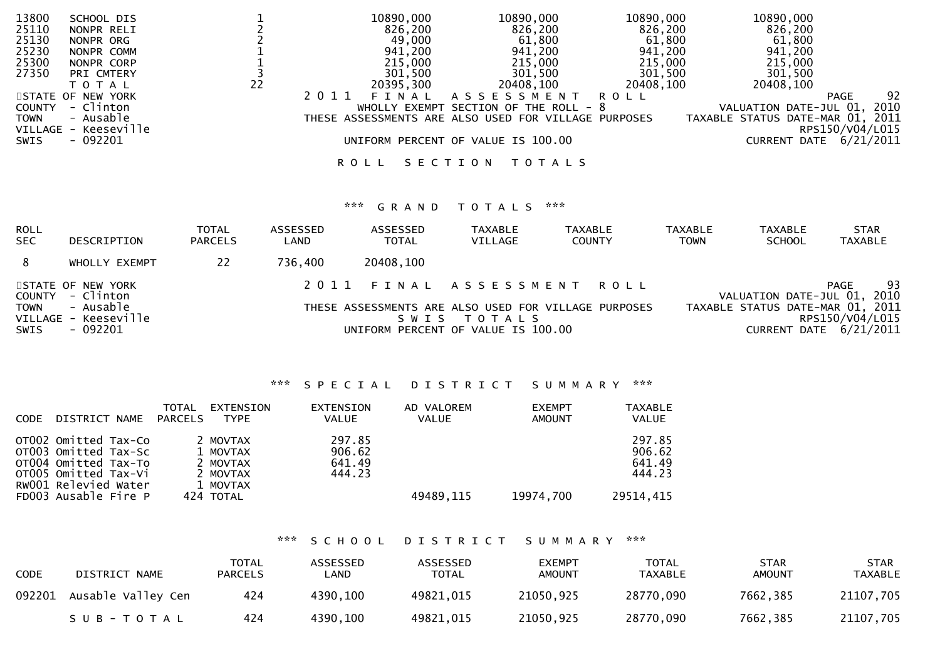| 13800                | SCHOOL DIS |    |         | 10890,000 | 10890,000                                            | 10890,000 | 10890,000                        |                        |
|----------------------|------------|----|---------|-----------|------------------------------------------------------|-----------|----------------------------------|------------------------|
| 25110                | NONPR RELI |    |         | 826,200   | 826,200                                              | 826,200   | 826,200                          |                        |
| 25130                | NONPR ORG  |    |         | 49,000    | 61,800                                               | 61,800    | 61,800                           |                        |
| 25230                | NONPR COMM |    |         | 941,200   | 941,200                                              | 941,200   | 941,200                          |                        |
| 25300                | NONPR CORP |    |         | 215,000   | 215,000                                              | 215,000   | 215,000                          |                        |
| 27350                | PRI CMTERY |    |         | 301,500   | 301,500                                              | 301,500   | 301,500                          |                        |
|                      | T O T A L  | 22 |         | 20395,300 | 20408,100                                            | 20408,100 | 20408,100                        |                        |
| STATE OF NEW YORK    |            |    | 2 0 1 1 | FINAL     | A S S E S S M E N T                                  | R O L L   |                                  | 92<br>PAGE             |
| COUNTY - Clinton     |            |    |         |           | WHOLLY EXEMPT SECTION OF THE ROLL - $8$              |           | VALUATION DATE-JUL 01, 2010      |                        |
| TOWN                 | - Ausable  |    |         |           | THESE ASSESSMENTS ARE ALSO USED FOR VILLAGE PURPOSES |           | TAXABLE STATUS DATE-MAR 01, 2011 |                        |
| VILLAGE - Keeseville |            |    |         |           |                                                      |           |                                  | RPS150/V04/L015        |
| SWIS                 | - 092201   |    |         |           | UNIFORM PERCENT OF VALUE IS 100.00                   |           |                                  | CURRENT DATE 6/21/2011 |
|                      |            |    |         |           |                                                      |           |                                  |                        |
|                      |            |    | R O L L |           | SECTION<br>T O T A L S                               |           |                                  |                        |
|                      |            |    |         |           |                                                      |           |                                  |                        |

# \*\*\* G R A N D T O T A L S \*\*\*

| ROLL<br><b>SEC</b>            | DESCRIPTION                                                                      | <b>TOTAL</b><br><b>PARCELS</b> | ASSESSED<br>LAND | ASSESSED<br><b>TOTAL</b> | <b>TAXABLE</b><br>VILLAGE                         | <b>TAXABLE</b><br><b>COUNTY</b>                                               | <b>TAXABLE</b><br><b>TOWN</b> | <b>TAXABLE</b><br><b>SCHOOL</b> | <b>STAR</b><br>TAXABLE                                                                                                     |
|-------------------------------|----------------------------------------------------------------------------------|--------------------------------|------------------|--------------------------|---------------------------------------------------|-------------------------------------------------------------------------------|-------------------------------|---------------------------------|----------------------------------------------------------------------------------------------------------------------------|
| 8                             | WHOLLY EXEMPT                                                                    | 22                             | 736,400          | 20408,100                |                                                   |                                                                               |                               |                                 |                                                                                                                            |
| COUNTY<br><b>TOWN</b><br>SWIS | STATE OF NEW YORK<br>- Clinton<br>- Ausable<br>VILLAGE - Keeseville<br>$-092201$ |                                | 2011             | S W I S                  | T O T A L S<br>UNIFORM PERCENT OF VALUE IS 100.00 | FINAL ASSESSMENT ROLL<br>THESE ASSESSMENTS ARE ALSO USED FOR VILLAGE PURPOSES |                               |                                 | 93<br>PAGE<br>VALUATION DATE-JUL 01, 2010<br>TAXABLE STATUS DATE-MAR 01, 2011<br>RPS150/V04/L015<br>CURRENT DATE 6/21/2011 |

# \*\*\* S P E C I A L D I S T R I C T S U M M A R Y \*\*\*

| <b>CODE</b> | DISTRICT NAME                                                                                                        | TOTAL<br><b>PARCELS</b> | EXTENSION<br><b>TYPE</b>                                 | <b>EXTENSION</b><br><b>VALUE</b>     | AD VALOREM<br><b>VALUE</b> | <b>EXEMPT</b><br><b>AMOUNT</b> | <b>TAXABLE</b><br><b>VALUE</b>       |
|-------------|----------------------------------------------------------------------------------------------------------------------|-------------------------|----------------------------------------------------------|--------------------------------------|----------------------------|--------------------------------|--------------------------------------|
|             | OTO02 Omitted Tax-Co<br>OT003 Omitted Tax-Sc<br>OT004 Omitted Tax-To<br>OTO05 Omitted Tax-Vi<br>RW001 Relevied Water |                         | 2 MOVTAX<br>1 MOVTAX<br>2 MOVTAX<br>2 MOVTAX<br>1 MOVTAX | 297.85<br>906.62<br>641.49<br>444.23 |                            |                                | 297.85<br>906.62<br>641.49<br>444.23 |
|             | FD003 Ausable Fire P                                                                                                 |                         | 424 TOTAL                                                |                                      | 49489,115                  | 19974,700                      | 29514.415                            |

# \*\*\* S C H O O L D I S T R I C T S U M M A R Y \*\*\*

| <b>CODE</b> | DISTRICT NAME      | <b>TOTAL</b><br><b>PARCELS</b> | ASSESSED<br>LAND | ASSESSED<br><b>TOTAL</b> | <b>EXEMPT</b><br><b>AMOUNT</b> | <b>TOTAL</b><br>TAXABLE | <b>STAR</b><br><b>AMOUNT</b> | <b>STAR</b><br><b>TAXABLE</b> |
|-------------|--------------------|--------------------------------|------------------|--------------------------|--------------------------------|-------------------------|------------------------------|-------------------------------|
| 092201      | Ausable Valley Cen | 424                            | 4390,100         | 49821,015                | 21050,925                      | 28770,090               | 7662,385                     | 21107,705                     |
|             | SUB-TOTAL          | 424                            | 4390,100         | 49821,015                | 21050,925                      | 28770,090               | 7662,385                     | 21107,705                     |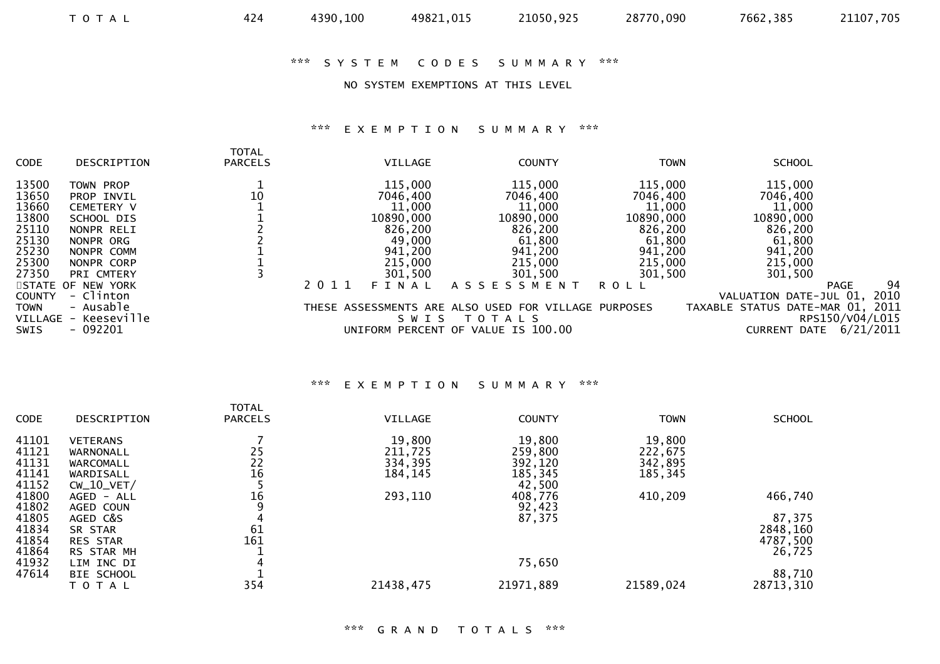# \*\*\* S Y S T E M C O D E S S U M M A R Y \*\*\*

#### NO SYSTEM EXEMPTIONS AT THIS LEVEL

# \*\*\* E X E M P T I O N S U M M A R Y \*\*\*

| <b>CODE</b>    | DESCRIPTION                       | <b>TOTAL</b><br><b>PARCELS</b> |      | VILLAGE            | <b>COUNTY</b>                                                       | <b>TOWN</b>        | <b>SCHOOL</b>                                       |  |
|----------------|-----------------------------------|--------------------------------|------|--------------------|---------------------------------------------------------------------|--------------------|-----------------------------------------------------|--|
| 13500          | TOWN PROP                         |                                |      | 115,000            | 115,000                                                             | 115,000            | 115,000                                             |  |
| 13650<br>13660 | PROP INVIL<br><b>CEMETERY V</b>   | 10                             |      | 7046,400<br>11,000 | 7046,400<br>11,000                                                  | 7046,400<br>11,000 | 7046,400<br>11,000                                  |  |
| 13800          | SCHOOL DIS                        |                                |      | 10890,000          | 10890,000                                                           | 10890,000          | 10890,000                                           |  |
| 25110          | NONPR RELI                        |                                |      | 826,200            | 826,200                                                             | 826,200            | 826,200                                             |  |
| 25130          | NONPR ORG                         |                                |      | 49,000             | 61,800                                                              | 61,800             | 61,800                                              |  |
| 25230          | NONPR COMM                        |                                |      | 941,200            | 941,200                                                             | 941,200            | 941,200                                             |  |
| 25300          | NONPR CORP                        |                                |      | 215,000            | 215,000                                                             | 215,000            | 215,000                                             |  |
| 27350          | PRI CMTERY                        |                                |      | 301,500            | 301,500                                                             | 301,500            | 301,500                                             |  |
|                | STATE OF NEW YORK                 |                                | 2011 | FINAL              | A S S E S S M E N T                                                 | ROLL               | 94<br><b>PAGE</b>                                   |  |
| <b>COUNTY</b>  | - Clinton                         |                                |      |                    |                                                                     |                    | 2010<br>VALUATION DATE-JUL 01,                      |  |
| <b>TOWN</b>    | - Ausable<br>VILLAGE - Keeseville |                                |      | SWIS               | THESE ASSESSMENTS ARE ALSO USED FOR VILLAGE PURPOSES<br>T O T A L S |                    | TAXABLE STATUS DATE-MAR 01, 2011<br>RPS150/V04/L015 |  |
| <b>SWIS</b>    | $-092201$                         |                                |      |                    | UNIFORM PERCENT OF VALUE IS 100.00                                  |                    | 6/21/2011<br><b>CURRENT DATE</b>                    |  |

#### \*\*\* E X E M P T I O N S U M M A R Y \*\*\*

| <b>CODE</b> | DESCRIPTION     | <b>TOTAL</b><br><b>PARCELS</b> | <b>VILLAGE</b> | <b>COUNTY</b> | <b>TOWN</b> | <b>SCHOOL</b> |
|-------------|-----------------|--------------------------------|----------------|---------------|-------------|---------------|
| 41101       | <b>VETERANS</b> |                                | 19,800         | 19,800        | 19,800      |               |
| 41121       | WARNONALL       | 25                             | 211,725        | 259,800       | 222,675     |               |
| 41131       | WARCOMALL       | 22                             | 334,395        | 392,120       | 342,895     |               |
| 41141       | WARDISALL       | 16                             | 184,145        | 185,345       | 185,345     |               |
| 41152       | $CW_10_VET/$    |                                |                | 42,500        |             |               |
| 41800       | AGED - ALL      | 16                             | 293,110        | 408,776       | 410,209     | 466,740       |
| 41802       | AGED COUN       |                                |                | 92,423        |             |               |
| 41805       | AGED C&S        |                                |                | 87,375        |             | 87,375        |
| 41834       | SR STAR         | 61                             |                |               |             | 2848,160      |
| 41854       | <b>RES STAR</b> | 161                            |                |               |             | 4787,500      |
| 41864       | RS STAR MH      |                                |                |               |             | 26,725        |
| 41932       | LIM INC DI      | 4                              |                | 75,650        |             |               |
| 47614       | BIE SCHOOL      |                                |                |               |             | 88,710        |
|             | T O T A L       | 354                            | 21438,475      | 21971,889     | 21589,024   | 28713,310     |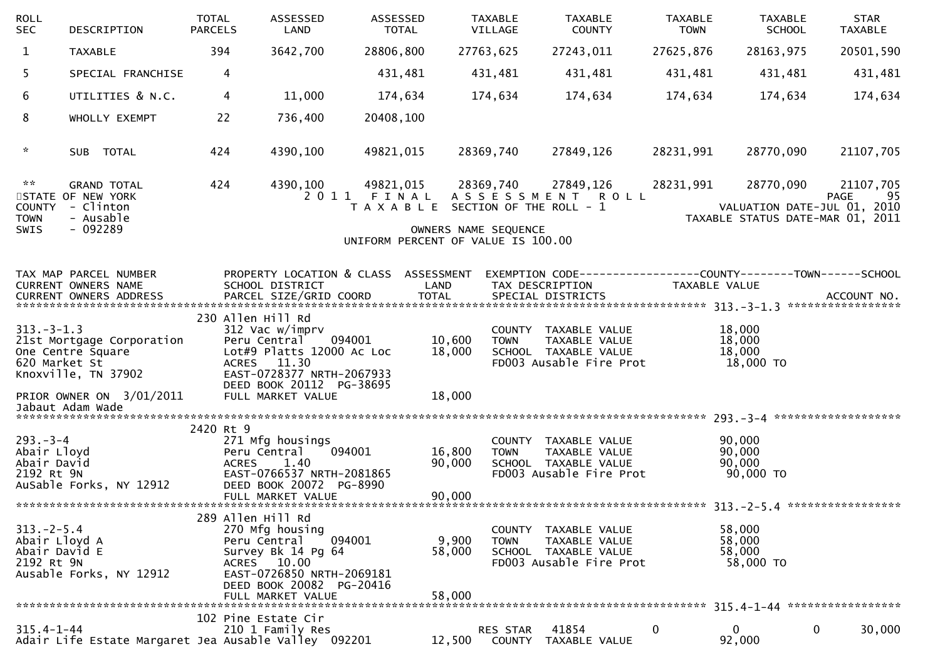| <b>ROLL</b><br><b>SEC</b>                                       | DESCRIPTION                                                                                       | <b>TOTAL</b><br><b>PARCELS</b> | ASSESSED<br>LAND                                                                                                                                                               | ASSESSED                | <b>TOTAL</b>                                                                                        | <b>TAXABLE</b><br>VILLAGE | <b>TAXABLE</b><br><b>COUNTY</b>                                                          | <b>TAXABLE</b><br><b>TOWN</b> | <b>TAXABLE</b><br><b>SCHOOL</b>                                              | <b>STAR</b><br><b>TAXABLE</b> |
|-----------------------------------------------------------------|---------------------------------------------------------------------------------------------------|--------------------------------|--------------------------------------------------------------------------------------------------------------------------------------------------------------------------------|-------------------------|-----------------------------------------------------------------------------------------------------|---------------------------|------------------------------------------------------------------------------------------|-------------------------------|------------------------------------------------------------------------------|-------------------------------|
| $\mathbf{1}$                                                    | <b>TAXABLE</b>                                                                                    |                                | 394<br>3642,700                                                                                                                                                                | 28806,800               |                                                                                                     | 27763,625                 | 27243,011                                                                                | 27625,876                     | 28163,975                                                                    | 20501,590                     |
| 5.                                                              | SPECIAL FRANCHISE                                                                                 |                                | 4                                                                                                                                                                              | 431,481                 |                                                                                                     | 431,481                   | 431,481                                                                                  | 431,481                       | 431,481                                                                      | 431,481                       |
| 6                                                               | UTILITIES & N.C.                                                                                  |                                | 11,000<br>4                                                                                                                                                                    | 174,634                 |                                                                                                     | 174,634                   | 174,634                                                                                  | 174,634                       | 174,634                                                                      | 174,634                       |
| 8                                                               | WHOLLY EXEMPT                                                                                     |                                | 22<br>736,400                                                                                                                                                                  | 20408,100               |                                                                                                     |                           |                                                                                          |                               |                                                                              |                               |
| $\mathcal{H}$                                                   | SUB TOTAL                                                                                         |                                | 424<br>4390,100                                                                                                                                                                | 49821,015               |                                                                                                     | 28369,740                 | 27849,126                                                                                | 28231,991                     | 28770,090                                                                    | 21107,705                     |
| $\sim$ $\sim$<br><b>COUNTY</b><br><b>TOWN</b><br>SWIS           | <b>GRAND TOTAL</b><br>STATE OF NEW YORK<br>- Clinton<br>- Ausable<br>$-092289$                    |                                | 424<br>4390,100                                                                                                                                                                | 49821,015<br>2011 FINAL | T A X A B L E SECTION OF THE ROLL - 1<br>OWNERS NAME SEQUENCE<br>UNIFORM PERCENT OF VALUE IS 100.00 | 28369,740                 | 27849,126<br>ASSESSMENT ROLL                                                             | 28231,991                     | 28770,090<br>VALUATION DATE-JUL 01, 2010<br>TAXABLE STATUS DATE-MAR 01, 2011 | 21107,705<br>95<br>PAGE       |
|                                                                 | TAX MAP PARCEL NUMBER<br>CURRENT OWNERS NAME                                                      |                                | PROPERTY LOCATION & CLASS ASSESSMENT<br>SCHOOL DISTRICT                                                                                                                        |                         | LAND                                                                                                |                           | EXEMPTION CODE-----------------COUNTY--------TOWN------SCHOOL<br>TAX DESCRIPTION         |                               | TAXABLE VALUE                                                                |                               |
| $313. - 3 - 1.3$<br>620 Market St                               | 21st Mortgage Corporation<br>One Centre Square<br>Knoxville, TN 37902<br>PRIOR OWNER ON 3/01/2011 |                                | 230 Allen Hill Rd<br>312 Vac w/imprv<br>Peru Central<br>Lot#9 Platts 12000 Ac Loc<br>ACRES 11.30<br>EAST-0728377 NRTH-2067933<br>DEED BOOK 20112 PG-38695<br>FULL MARKET VALUE | 094001                  | 10,600<br>18,000<br>18,000                                                                          | <b>TOWN</b>               | COUNTY TAXABLE VALUE<br>TAXABLE VALUE<br>SCHOOL TAXABLE VALUE<br>FD003 Ausable Fire Prot |                               | 18,000<br>18,000<br>18,000<br>18,000 TO                                      |                               |
| $293 - 3 - 4$<br>Abair Lloyd<br>Abair David<br>2192 Rt 9N       | AuSable Forks, NY 12912                                                                           | 2420 Rt 9                      | 271 Mfg housings<br>Peru Central<br><b>ACRES</b><br>1.40<br>EAST-0766537 NRTH-2081865<br>DEED BOOK 20072 PG-8990<br>FULL MARKET VALUE                                          | 094001                  | 16,800<br>90,000<br>90,000                                                                          | <b>TOWN</b>               | COUNTY TAXABLE VALUE<br>TAXABLE VALUE<br>SCHOOL TAXABLE VALUE<br>FD003 Ausable Fire Prot |                               | 90,000<br>90,000<br>90,000<br>90,000 TO                                      |                               |
| $313 - 2 - 5.4$<br>Abair Lloyd A<br>Abair David E<br>2192 Rt 9N | Ausable Forks, NY 12912                                                                           |                                | 289 Allen Hill Rd<br>270 Mfg housing<br>Peru Central<br>Survey Bk 14 Pg 64<br>ACRES 10.00<br>EAST-0726850 NRTH-2069181<br>DEED BOOK 20082 PG-20416<br>FULL MARKET VALUE        | 094001                  | 9,900<br>58,000<br>58,000                                                                           | <b>TOWN</b>               | COUNTY TAXABLE VALUE<br>TAXABLE VALUE<br>SCHOOL TAXABLE VALUE<br>FD003 Ausable Fire Prot |                               | 58,000<br>58,000<br>58,000<br>58,000 TO                                      |                               |
| $315.4 - 1 - 44$                                                | Adair Life Estate Margaret Jea Ausable Valley 092201                                              |                                | 102 Pine Estate Cir<br>210 1 Family Res                                                                                                                                        |                         | 12,500                                                                                              | RES STAR                  | 41854<br>COUNTY TAXABLE VALUE                                                            | 0                             | 0<br>92,000                                                                  | 0<br>30,000                   |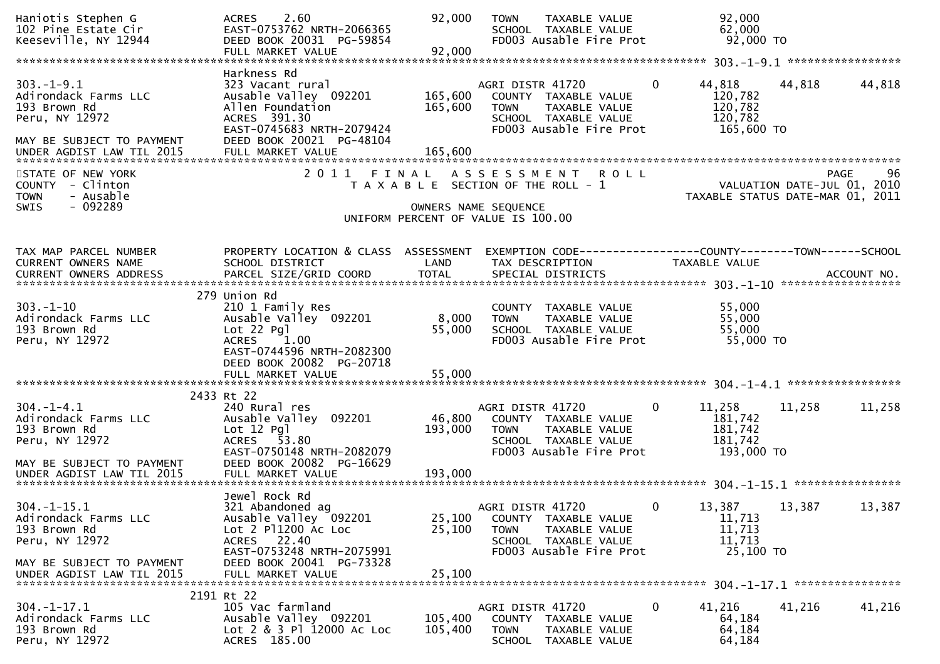| Haniotis Stephen G<br>102 Pine Estate Cir<br>Keeseville, NY 12944                                                                    | 2.60<br><b>ACRES</b><br>EAST-0753762 NRTH-2066365<br>DEED BOOK 20031 PG-59854<br>FULL MARKET VALUE                                                                              | 92,000<br>92,000             | TAXABLE VALUE<br><b>TOWN</b><br>SCHOOL TAXABLE VALUE<br>FD003 Ausable Fire Prot                                                   | 92,000<br>62,000<br>$92,000$ TO                                       |                                                                                      |
|--------------------------------------------------------------------------------------------------------------------------------------|---------------------------------------------------------------------------------------------------------------------------------------------------------------------------------|------------------------------|-----------------------------------------------------------------------------------------------------------------------------------|-----------------------------------------------------------------------|--------------------------------------------------------------------------------------|
| $303. - 1 - 9.1$<br>Adirondack Farms LLC<br>193 Brown Rd<br>Peru, NY 12972<br>MAY BE SUBJECT TO PAYMENT                              | Harkness Rd<br>323 Vacant rural<br>Ausable Valley 092201<br>Allen Foundation<br>ACRES 391.30<br>EAST-0745683 NRTH-2079424<br>DEED BOOK 20021 PG-48104                           | 165,600<br>165,600           | AGRI DISTR 41720<br>COUNTY TAXABLE VALUE<br>TAXABLE VALUE<br><b>TOWN</b><br>SCHOOL TAXABLE VALUE<br>FD003 Ausable Fire Prot       | $\mathbf{0}$<br>44,818<br>120,782<br>120,782<br>120,782<br>165,600 TO | 44,818<br>44,818                                                                     |
| STATE OF NEW YORK<br>COUNTY - Clinton<br>- Ausable<br><b>TOWN</b><br>$-092289$<br><b>SWIS</b>                                        |                                                                                                                                                                                 |                              | 2011 FINAL ASSESSMENT ROLL<br>T A X A B L E SECTION OF THE ROLL - 1<br>OWNERS NAME SEQUENCE<br>UNIFORM PERCENT OF VALUE IS 100.00 |                                                                       | 96<br><b>PAGE</b><br>VALUATION DATE-JUL 01, 2010<br>TAXABLE STATUS DATE-MAR 01, 2011 |
| TAX MAP PARCEL NUMBER<br>CURRENT OWNERS NAME                                                                                         | PROPERTY LOCATION & CLASS ASSESSMENT<br>SCHOOL DISTRICT                                                                                                                         | LAND                         | EXEMPTION CODE-----------------COUNTY--------TOWN------SCHOOL<br>TAX DESCRIPTION                                                  | <b>TAXABLE VALUE</b>                                                  |                                                                                      |
| $303 - 1 - 10$<br>Adirondack Farms LLC<br>193 Brown Rd<br>Peru, NY 12972                                                             | 279 Union Rd<br>210 1 Family Res<br>Ausable Valley 092201<br>$Lot 22$ Pgl<br><b>ACRES</b><br>1.00<br>EAST-0744596 NRTH-2082300<br>DEED BOOK 20082 PG-20718<br>FULL MARKET VALUE | 8,000<br>55,000<br>55,000    | COUNTY TAXABLE VALUE<br>TAXABLE VALUE<br><b>TOWN</b><br>SCHOOL TAXABLE VALUE<br>FD003 Ausable Fire Prot                           | 55,000<br>55,000<br>55,000<br>55,000 TO                               |                                                                                      |
| $304. - 1 - 4.1$<br>Adirondack Farms LLC<br>193 Brown Rd<br>Peru, NY 12972<br>MAY BE SUBJECT TO PAYMENT<br>UNDER AGDIST LAW TIL 2015 | 2433 Rt 22<br>240 Rural res<br>Ausable Valley 092201<br>$Lot 12$ $Pq$ ]<br>ACRES 53.80<br>EAST-0750148 NRTH-2082079<br>DEED BOOK 20082 PG-16629<br>FULL MARKET VALUE            | 46,800<br>193,000<br>193,000 | AGRI DISTR 41720<br>COUNTY TAXABLE VALUE<br>TAXABLE VALUE<br><b>TOWN</b><br>SCHOOL TAXABLE VALUE<br>FD003 Ausable Fire Prot       | 11,258<br>0<br>181,742<br>181,742<br>181,742<br>193,000 TO            | 11,258<br>11,258                                                                     |
| $304. -1 - 15.1$<br>Adirondack Farms LLC<br>193 Brown Rd<br>Peru, NY 12972<br>MAY BE SUBJECT TO PAYMENT<br>UNDER AGDIST LAW TIL 2015 | Jewel Rock Rd<br>321 Abandoned ag<br>Ausable Valley 092201<br>Lot 2 P11200 Ac Loc<br>ACRES 22.40<br>EAST-0753248 NRTH-2075991<br>DEED BOOK 20041 PG-73328<br>FULL MARKET VALUE  | 25,100<br>25,100<br>25,100   | AGRI DISTR 41720<br>COUNTY TAXABLE VALUE<br>TAXABLE VALUE<br><b>TOWN</b><br>SCHOOL TAXABLE VALUE<br>FD003 Ausable Fire Prot       | 13,387<br>0<br>11,713<br>11,713<br>11,713<br>25,100 TO                | 13,387<br>13,387                                                                     |
| $304. - 1 - 17.1$<br>Adirondack Farms LLC<br>193 Brown Rd<br>Peru, NY 12972                                                          | 2191 Rt 22<br>105 Vac farmland<br>Ausable Valley 092201<br>Lot 2 & 3 Pl 12000 Ac Loc<br>ACRES 185.00                                                                            | 105,400<br>105,400           | AGRI DISTR 41720<br>COUNTY TAXABLE VALUE<br><b>TOWN</b><br>TAXABLE VALUE<br>SCHOOL TAXABLE VALUE                                  | 0<br>41,216<br>64,184<br>64,184<br>64,184                             | 41,216<br>41,216                                                                     |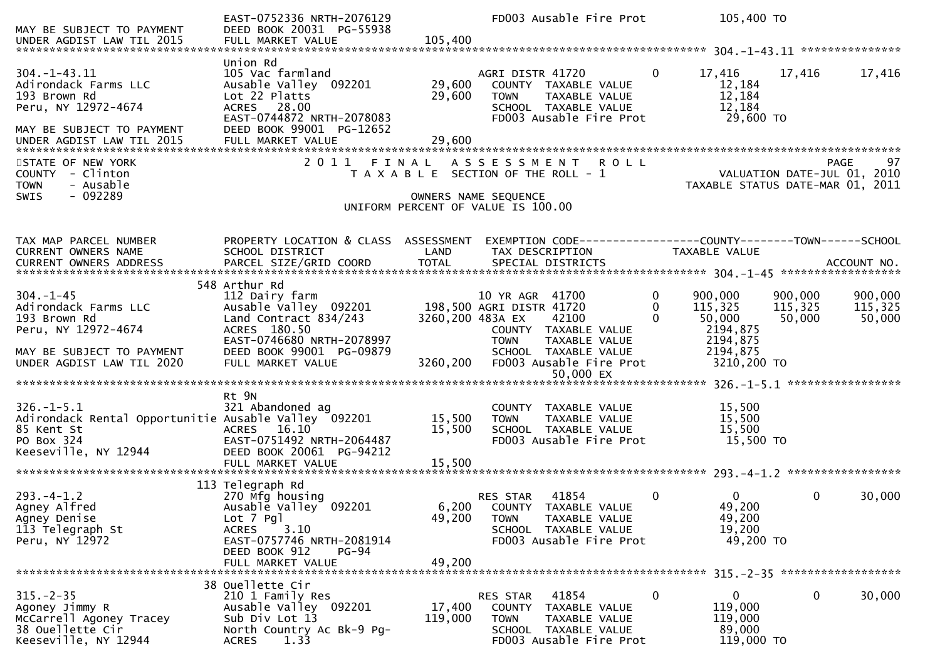| MAY BE SUBJECT TO PAYMENT<br>UNDER AGDIST LAW TIL 2015                                                                                     | EAST-0752336 NRTH-2076129<br>DEED BOOK 20031 PG-55938<br>FULL MARKET VALUE                                                                                                      | 105,400                                                                                             |                                                            | FD003 Ausable Fire Prot                                                                                        |                      | 105,400 TO                                                                      |                              |                              |
|--------------------------------------------------------------------------------------------------------------------------------------------|---------------------------------------------------------------------------------------------------------------------------------------------------------------------------------|-----------------------------------------------------------------------------------------------------|------------------------------------------------------------|----------------------------------------------------------------------------------------------------------------|----------------------|---------------------------------------------------------------------------------|------------------------------|------------------------------|
| $304. -1 - 43.11$<br>Adirondack Farms LLC<br>193 Brown Rd<br>Peru, NY 12972-4674<br>MAY BE SUBJECT TO PAYMENT<br>UNDER AGDIST LAW TIL 2015 | Union Rd<br>105 Vac farmland<br>Ausable Valley 092201<br>Lot 22 Platts<br>ACRES 28.00<br>EAST-0744872 NRTH-2078083<br>DEED BOOK 99001 PG-12652<br>FULL MARKET VALUE             | 29,600<br>29,600<br>29,600                                                                          | AGRI DISTR 41720<br><b>TOWN</b>                            | COUNTY TAXABLE VALUE<br>TAXABLE VALUE<br>SCHOOL TAXABLE VALUE<br>FD003 Ausable Fire Prot                       | $\mathbf{0}$         | 17,416<br>12,184<br>12,184<br>12,184<br>29,600 TO                               | 17,416                       | 17,416                       |
| STATE OF NEW YORK<br>COUNTY - Clinton<br>- Ausable<br><b>TOWN</b><br>$-092289$<br><b>SWIS</b>                                              | 2011 FINAL ASSESSMENT                                                                                                                                                           | T A X A B L E SECTION OF THE ROLL - 1<br>OWNERS NAME SEQUENCE<br>UNIFORM PERCENT OF VALUE IS 100.00 |                                                            | <b>ROLL</b>                                                                                                    |                      | VALUATION DATE-JUL 01, 2010<br>TAXABLE STATUS DATE-MAR 01, 2011                 |                              | 97<br>PAGE                   |
| TAX MAP PARCEL NUMBER<br>CURRENT OWNERS NAME                                                                                               | PROPERTY LOCATION & CLASS ASSESSMENT<br>SCHOOL DISTRICT                                                                                                                         | LAND                                                                                                |                                                            | EXEMPTION CODE-----------------COUNTY-------TOWN------SCHOOL<br>TAX DESCRIPTION                                |                      | <b>TAXABLE VALUE</b>                                                            |                              |                              |
| $304. - 1 - 45$<br>Adirondack Farms LLC<br>193 Brown Rd<br>Peru, NY 12972-4674<br>MAY BE SUBJECT TO PAYMENT<br>UNDER AGDIST LAW TIL 2020   | 548 Arthur Rd<br>112 Dairy farm<br>Ausable valley 092201<br>Land Contract 834/243<br>ACRES 180.50<br>EAST-0746680 NRTH-2078997<br>DEED BOOK 99001 PG-09879<br>FULL MARKET VALUE | 3260,200 483A EX<br>3260,200                                                                        | 10 YR AGR 41700<br>198,500 AGRI DISTR 41720<br><b>TOWN</b> | 42100<br>COUNTY TAXABLE VALUE<br>TAXABLE VALUE<br>SCHOOL TAXABLE VALUE<br>FD003 Ausable Fire Prot<br>50,000 EX | $\Omega$<br>$\Omega$ | 900,000<br>115,325<br>50,000<br>2194,875<br>2194,875<br>2194,875<br>3210,200 TO | 900,000<br>115,325<br>50,000 | 900,000<br>115,325<br>50,000 |
| $326. - 1 - 5.1$<br>Adirondack Rental Opportunitie Ausable Valley 092201<br>85 Kent St<br>PO Box 324<br>Keeseville, NY 12944               | Rt 9N<br>321 Abandoned ag<br>ACRES 16.10<br>EAST-0751492 NRTH-2064487<br>DEED BOOK 20061 PG-94212<br>FULL MARKET VALUE                                                          | 15,500<br>15,500<br>15,500                                                                          | <b>TOWN</b>                                                | COUNTY TAXABLE VALUE<br>TAXABLE VALUE<br>SCHOOL TAXABLE VALUE<br>FD003 Ausable Fire Prot                       |                      | 15,500<br>15,500<br>15,500<br>15,500 TO                                         |                              |                              |
| $293. -4 - 1.2$<br>Agney Alfred<br>Agney Denise<br>113 Telegraph St<br>Peru, NY 12972                                                      | 113 Telegraph Rd<br>270 Mfg housing<br>Ausable Valley 092201<br>Lot 7 Pgl<br>3.10<br><b>ACRES</b><br>EAST-0757746 NRTH-2081914<br>DEED BOOK 912<br>PG-94<br>FULL MARKET VALUE   | 49,200<br>49,200                                                                                    | RES STAR<br><b>TOWN</b>                                    | 41854<br>6,200 COUNTY TAXABLE VALUE<br>TAXABLE VALUE<br>SCHOOL TAXABLE VALUE<br>FD003 Ausable Fire Prot        | $\mathbf{0}$         | $\mathbf{0}$<br>49,200<br>49,200<br>19,200<br>49,200 TO                         | 0                            | 30,000                       |
| $315. - 2 - 35$<br>Agoney Jimmy R<br>McCarrell Agoney Tracey<br>38 Ouellette Cir<br>Keeseville, NY 12944                                   | 38 Ouellette Cir<br>210 1 Family Res<br>Ausable Valley 092201<br>Sub Div Lot 13<br>North Country Ac Bk-9 Pg-<br>1.33<br><b>ACRES</b>                                            | 17,400<br>119,000                                                                                   | RES STAR<br><b>TOWN</b>                                    | 41854<br>COUNTY TAXABLE VALUE<br>TAXABLE VALUE<br>SCHOOL TAXABLE VALUE<br>FD003 Ausable Fire Prot              | 0                    | $\mathbf{0}$<br>119,000<br>119,000<br>89,000<br>119,000 TO                      | 0                            | 30,000                       |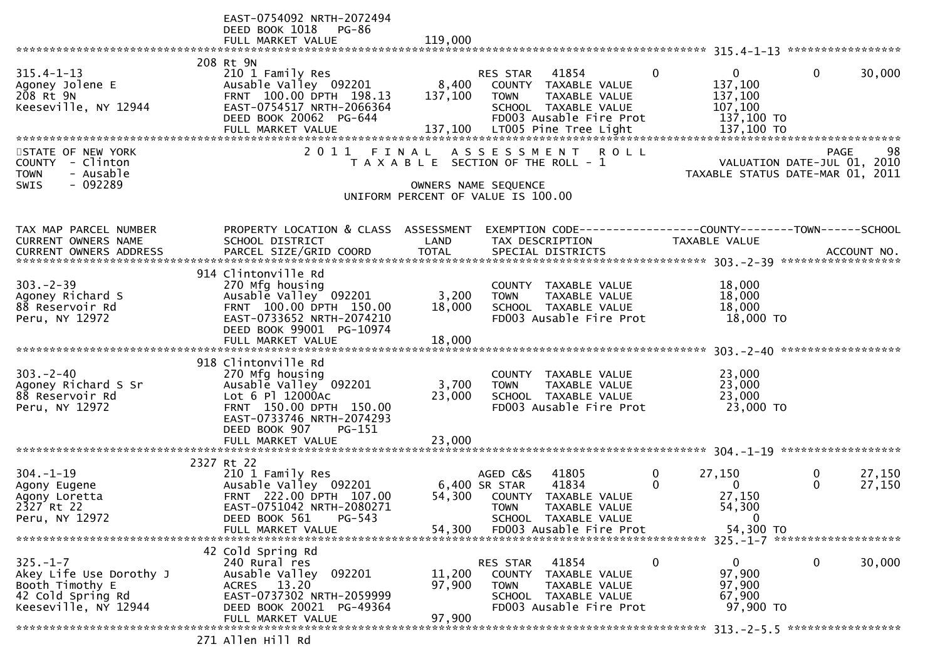|                                       | EAST-0754092 NRTH-2072494<br>DEED BOOK 1018<br>PG-86 |         |                                                                             |                         |                                  |                             |                  |
|---------------------------------------|------------------------------------------------------|---------|-----------------------------------------------------------------------------|-------------------------|----------------------------------|-----------------------------|------------------|
|                                       | FULL MARKET VALUE                                    | 119,000 |                                                                             |                         |                                  |                             |                  |
|                                       |                                                      |         |                                                                             |                         |                                  |                             |                  |
|                                       | 208 Rt 9N                                            |         |                                                                             | $\mathbf{0}$            |                                  |                             |                  |
| $315.4 - 1 - 13$<br>Agoney Jolene E   | 210 1 Family Res<br>Ausable Valley 092201            | 8,400   | 41854<br>RES STAR<br>COUNTY TAXABLE VALUE                                   |                         | $\mathbf{0}$<br>137,100          | $\mathbf{0}$                | 30,000           |
| 208 Rt 9N                             | FRNT 100.00 DPTH 198.13                              | 137,100 | <b>TOWN</b><br>TAXABLE VALUE                                                |                         | 137,100                          |                             |                  |
| Keeseville, NY 12944                  | EAST-0754517 NRTH-2066364                            |         | SCHOOL TAXABLE VALUE                                                        |                         | 107,100                          |                             |                  |
|                                       | DEED BOOK 20062 PG-644                               |         | FD003 Ausable Fire Prot                                                     |                         | 137,100 TO                       |                             |                  |
|                                       | FULL MARKET VALUE                                    |         | 137,100 LT005 Pine Tree Light                                               |                         | 137,100 TO                       |                             |                  |
|                                       |                                                      |         |                                                                             |                         |                                  |                             |                  |
| STATE OF NEW YORK<br>COUNTY - Clinton | 2011 FINAL                                           |         | A S S E S S M E N T<br><b>ROLL</b><br>T A X A B L E SECTION OF THE ROLL - 1 |                         | VALUATION DATE-JUL 01, 2010      | <b>PAGE</b>                 | 98               |
| <b>TOWN</b><br>- Ausable              |                                                      |         |                                                                             |                         | TAXABLE STATUS DATE-MAR 01, 2011 |                             |                  |
| $-092289$<br><b>SWIS</b>              |                                                      |         | OWNERS NAME SEQUENCE                                                        |                         |                                  |                             |                  |
|                                       |                                                      |         | UNIFORM PERCENT OF VALUE IS 100.00                                          |                         |                                  |                             |                  |
|                                       |                                                      |         |                                                                             |                         |                                  |                             |                  |
| TAX MAP PARCEL NUMBER                 | PROPERTY LOCATION & CLASS ASSESSMENT                 |         | EXEMPTION CODE-----------------COUNTY-------TOWN------SCHOOL                |                         |                                  |                             |                  |
| CURRENT OWNERS NAME                   | SCHOOL DISTRICT                                      | LAND    | TAX DESCRIPTION                                                             |                         | <b>TAXABLE VALUE</b>             |                             |                  |
| CURRENT OWNERS ADDRESS                |                                                      |         |                                                                             |                         |                                  |                             |                  |
|                                       |                                                      |         |                                                                             |                         |                                  |                             |                  |
|                                       | 914 Clintonville Rd                                  |         |                                                                             |                         |                                  |                             |                  |
| $303 - 2 - 39$                        | 270 Mfg housing                                      |         | COUNTY TAXABLE VALUE                                                        |                         | 18,000                           |                             |                  |
| Agoney Richard S                      | Ausable Valley 092201                                | 3,200   | TAXABLE VALUE<br><b>TOWN</b>                                                |                         | 18,000                           |                             |                  |
| 88 Reservoir Rd<br>Peru, NY 12972     | FRNT 100.00 DPTH 150.00<br>EAST-0733652 NRTH-2074210 | 18,000  | SCHOOL TAXABLE VALUE<br>FD003 Ausable Fire Prot                             |                         | 18,000<br>18,000 TO              |                             |                  |
|                                       | DEED BOOK 99001 PG-10974                             |         |                                                                             |                         |                                  |                             |                  |
|                                       |                                                      |         |                                                                             |                         |                                  |                             |                  |
|                                       |                                                      |         |                                                                             |                         |                                  |                             |                  |
|                                       | 918 Clintonville Rd                                  |         |                                                                             |                         |                                  |                             |                  |
| $303 - 2 - 40$                        | 270 Mfg housing                                      |         | COUNTY TAXABLE VALUE                                                        |                         | 23,000                           |                             |                  |
| Agoney Richard S Sr                   | Ausable Valley 092201                                | 3,700   | <b>TOWN</b><br>TAXABLE VALUE                                                |                         | 23,000                           |                             |                  |
| 88 Reservoir Rd<br>Peru, NY 12972     | Lot 6 Pl 12000Ac<br>FRNT 150.00 DPTH 150.00          | 23,000  | SCHOOL TAXABLE VALUE<br>FD003 Ausable Fire Prot                             |                         | 23,000<br>23,000 TO              |                             |                  |
|                                       | EAST-0733746 NRTH-2074293                            |         |                                                                             |                         |                                  |                             |                  |
|                                       | DEED BOOK 907<br>$PG-151$                            |         |                                                                             |                         |                                  |                             |                  |
|                                       | FULL MARKET VALUE                                    | 23,000  |                                                                             |                         |                                  |                             |                  |
|                                       |                                                      |         |                                                                             |                         |                                  |                             |                  |
|                                       | 2327 Rt 22                                           |         |                                                                             |                         |                                  |                             |                  |
| $304. - 1 - 19$<br>Agony Eugene       | 210 1 Family Res<br>Ausable Valley 092201            |         | AGED C&S<br>41805<br>41834<br>6,400 SR STAR                                 | $\mathbf 0$<br>$\Omega$ | 27,150<br>$\mathbf{0}$           | $\mathbf 0$<br>$\mathbf{0}$ | 27,150<br>27,150 |
| Agony Loretta                         | FRNT 222.00 DPTH 107.00                              | 54,300  | COUNTY<br>TAXABLE VALUE                                                     |                         | 27,150                           |                             |                  |
| 2327 Rt 22                            | EAST-0751042 NRTH-2080271                            |         | <b>TOWN</b><br>TAXABLE VALUE                                                |                         | 54,300                           |                             |                  |
| Peru, NY 12972                        | $PG - 543$<br>DEED BOOK 561                          |         | SCHOOL TAXABLE VALUE                                                        |                         | 0                                |                             |                  |
|                                       | FULL MARKET VALUE                                    | 54.300  | FD003 Ausable Fire Prot                                                     |                         | 54,300 TO                        |                             |                  |
|                                       |                                                      |         |                                                                             |                         |                                  |                             |                  |
| $325. - 1 - 7$                        | 42 Cold Spring Rd<br>240 Rural res                   |         | 41854                                                                       | $\mathbf 0$             | 0                                | $\mathbf 0$                 | 30,000           |
| Akey Life Use Dorothy J               | Ausable Valley 092201                                | 11,200  | RES STAR<br>COUNTY TAXABLE VALUE                                            |                         | 97,900                           |                             |                  |
| Booth Timothy E                       | ACRES 13.20                                          | 97,900  | TAXABLE VALUE<br><b>TOWN</b>                                                |                         | 97,900                           |                             |                  |
| 42 Cold Spring Rd                     | EAST-0737302 NRTH-2059999                            |         | SCHOOL TAXABLE VALUE                                                        |                         | 67,900                           |                             |                  |
| Keeseville, NY 12944                  | DEED BOOK 20021 PG-49364                             |         | FD003 Ausable Fire Prot                                                     |                         | 97,900 TO                        |                             |                  |
|                                       | FULL MARKET VALUE                                    | 97,900  |                                                                             |                         |                                  |                             |                  |
|                                       |                                                      |         |                                                                             |                         |                                  |                             |                  |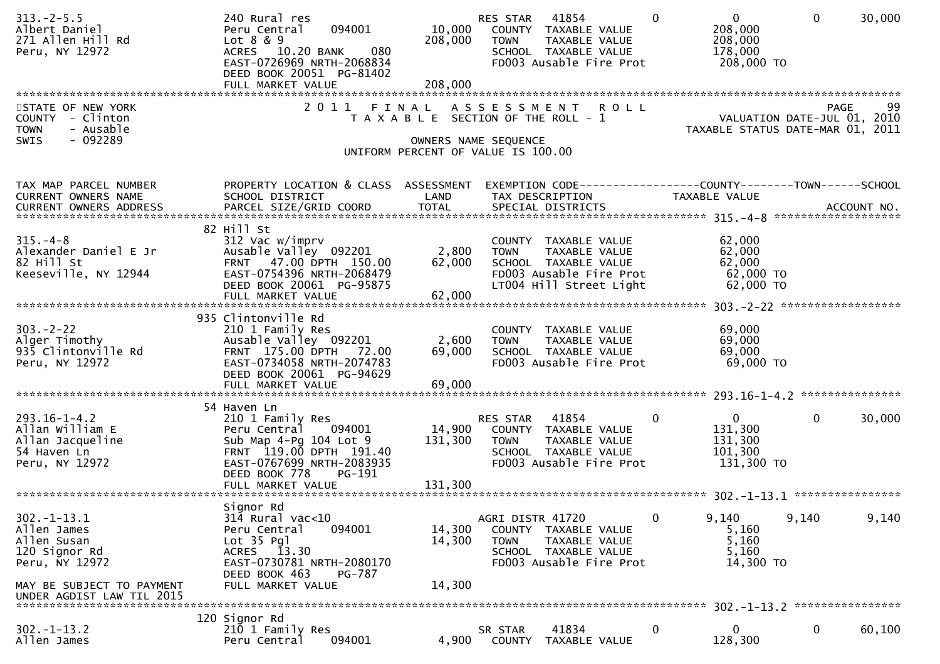| $313.-2-5.5$<br>Albert Daniel<br>271 Allen Hill Rd<br>Peru, NY 12972                                           | 240 Rural res<br>094001<br>Peru Central<br>Lot 8 & 9<br>ACRES 10.20 BANK<br>080<br>EAST-0726969 NRTH-2068834<br>DEED BOOK 20051 PG-81402<br>FULL MARKET VALUE            | 10,000<br>208,000<br>208,000 | RES STAR<br>41854<br>COUNTY TAXABLE VALUE<br>TAXABLE VALUE<br><b>TOWN</b><br>SCHOOL TAXABLE VALUE<br>FD003 Ausable Fire Prot       | $\overline{0}$<br>$\Omega$<br>208,000<br>208,000<br>178,000<br>208,000 TO | $\mathbf 0$<br>30,000                                                                |
|----------------------------------------------------------------------------------------------------------------|--------------------------------------------------------------------------------------------------------------------------------------------------------------------------|------------------------------|------------------------------------------------------------------------------------------------------------------------------------|---------------------------------------------------------------------------|--------------------------------------------------------------------------------------|
| STATE OF NEW YORK<br>COUNTY - Clinton<br>- Ausable<br><b>TOWN</b><br>$-092289$<br>SWIS                         | 2011 FINAL                                                                                                                                                               |                              | ASSESSMENT ROLL<br>T A X A B L E SECTION OF THE ROLL - 1<br>OWNERS NAME SEQUENCE<br>UNIFORM PERCENT OF VALUE IS 100.00             |                                                                           | 99<br><b>PAGE</b><br>VALUATION DATE-JUL 01, 2010<br>TAXABLE STATUS DATE-MAR 01, 2011 |
| TAX MAP PARCEL NUMBER<br>CURRENT OWNERS NAME                                                                   | PROPERTY LOCATION & CLASS ASSESSMENT<br>SCHOOL DISTRICT                                                                                                                  | LAND                         | EXEMPTION CODE-----------------COUNTY--------TOWN------SCHOOL<br>TAX DESCRIPTION                                                   | TAXABLE VALUE                                                             |                                                                                      |
| $315. -4 - 8$<br>Alexander Daniel E Jr<br>82 Hill St<br>Keeseville, NY 12944                                   | 82 Hill St<br>312 Vac w/imprv<br>Ausable Valley 092201<br>FRNT 47.00 DPTH 150.00<br>EAST-0754396 NRTH-2068479<br>DEED BOOK 20061 PG-95875<br>FULL MARKET VALUE           | 2,800<br>62,000<br>62,000    | COUNTY TAXABLE VALUE<br><b>TOWN</b><br>TAXABLE VALUE<br>SCHOOL TAXABLE VALUE<br>FD003 Ausable Fire Prot<br>LT004 Hill Street Light | 62,000<br>62,000<br>62,000<br>62,000 TO<br>$62,000$ TO                    |                                                                                      |
| $303 - 2 - 22$<br>Alger Timothy<br>935 Clintonville Rd<br>Peru, NY 12972                                       | 935 Clintonville Rd<br>210 1 Family Res<br>Ausable Valley 092201<br>FRNT 175.00 DPTH 72.00<br>EAST-0734058 NRTH-2074783<br>DEED BOOK 20061 PG-94629<br>FULL MARKET VALUE | 2,600<br>69,000<br>69,000    | COUNTY TAXABLE VALUE<br><b>TOWN</b><br>TAXABLE VALUE<br>SCHOOL TAXABLE VALUE<br>FD003 Ausable Fire Prot                            | 69,000<br>69,000<br>69,000<br>69,000 TO                                   |                                                                                      |
| $293.16 - 1 - 4.2$<br>Allan William E<br>Allan Jacqueline<br>54 Haven Ln<br>Peru, NY 12972                     | 54 Haven Ln<br>210 1 Family Res<br>Peru Central<br>094001<br>Sub Map 4-Pg 104 Lot 9<br>FRNT 119.00 DPTH 191.40<br>EAST-0767699 NRTH-2083935<br>DEED BOOK 778<br>PG-191   | 14,900<br>131,300            | RES STAR 41854<br>COUNTY TAXABLE VALUE<br><b>TOWN</b><br>TAXABLE VALUE<br>SCHOOL TAXABLE VALUE<br>FD003 Ausable Fire Prot          | $\overline{0}$<br>$\bf{0}$<br>131,300<br>131,300<br>101,300<br>131,300 TO | $\overline{0}$<br>30,000                                                             |
| $302 - 1 - 13.1$<br>Allen James<br>Allen Susan<br>120 Signor Rd<br>Peru, NY 12972<br>MAY BE SUBJECT TO PAYMENT | Signor Rd<br>$314$ Rural vac<10<br>094001<br>Peru Central<br>Lot 35 Pgl<br>ACRES 13.30<br>EAST-0730781 NRTH-2080170<br>DEED BOOK 463<br>PG-787<br>FULL MARKET VALUE      | 14,300<br>14,300<br>14,300   | AGRI DISTR 41720<br>COUNTY TAXABLE VALUE<br><b>TOWN</b><br>TAXABLE VALUE<br>SCHOOL TAXABLE VALUE<br>FD003 Ausable Fire Prot        | 9,140<br>0<br>5,160<br>5,160<br>5,160<br>14,300 TO                        | 9,140<br>9,140                                                                       |
| UNDER AGDIST LAW TIL 2015<br>$302 - 1 - 13.2$                                                                  | 120 Signor Rd<br>210 1 Family Res                                                                                                                                        |                              | 41834<br>SR STAR                                                                                                                   | 0<br>0                                                                    | 0<br>60,100                                                                          |
| Allen James                                                                                                    | 094001<br>Peru Central                                                                                                                                                   | 4,900                        | TAXABLE VALUE<br>COUNTY                                                                                                            | 128,300                                                                   |                                                                                      |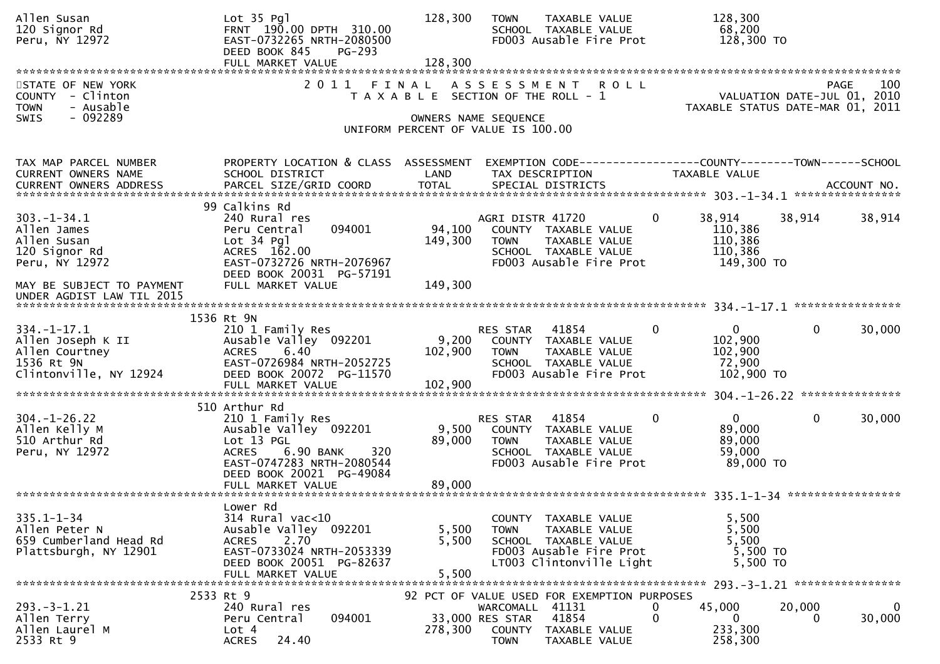| Allen Susan<br>120 Signor Rd<br>Peru, NY 12972                                                                 | Lot 35 Pgl<br>FRNT 190.00 DPTH 310.00<br>EAST-0732265 NRTH-2080500<br>DEED BOOK 845<br>$PG-293$<br>FULL MARKET VALUE                                                  | 128,300<br>128,300           | <b>TOWN</b><br>TAXABLE VALUE<br>SCHOOL TAXABLE VALUE<br>FD003 Ausable Fire Prot                                                                    | 128,300<br>68,200<br>128,300 TO                                        |                                                    |
|----------------------------------------------------------------------------------------------------------------|-----------------------------------------------------------------------------------------------------------------------------------------------------------------------|------------------------------|----------------------------------------------------------------------------------------------------------------------------------------------------|------------------------------------------------------------------------|----------------------------------------------------|
| STATE OF NEW YORK<br>COUNTY - Clinton<br><b>TOWN</b><br>- Ausable<br>$-092289$<br><b>SWIS</b>                  | 2 0 1 1                                                                                                                                                               | FINAL                        | A S S E S S M E N T<br><b>ROLL</b><br>T A X A B L E SECTION OF THE ROLL - 1<br>OWNERS NAME SEQUENCE<br>UNIFORM PERCENT OF VALUE IS 100.00          | TAXABLE STATUS DATE-MAR 01,                                            | 100<br>PAGE<br>VALUATION DATE-JUL 01, 2010<br>2011 |
| TAX MAP PARCEL NUMBER<br>CURRENT OWNERS NAME                                                                   | PROPERTY LOCATION & CLASS ASSESSMENT<br>SCHOOL DISTRICT                                                                                                               | LAND                         | EXEMPTION CODE-----------------COUNTY--------TOWN------SCHOOL<br>TAX DESCRIPTION                                                                   | TAXABLE VALUE                                                          |                                                    |
| $303. -1 - 34.1$<br>Allen James<br>Allen Susan<br>120 Signor Rd<br>Peru, NY 12972<br>MAY BE SUBJECT TO PAYMENT | 99 Calkins Rd<br>240 Rural res<br>094001<br>Peru Central<br>Lot 34 Pgl<br>ACRES 162.00<br>EAST-0732726 NRTH-2076967<br>DEED BOOK 20031 PG-57191<br>FULL MARKET VALUE  | 94,100<br>149,300<br>149,300 | AGRI DISTR 41720<br>COUNTY TAXABLE VALUE<br>TAXABLE VALUE<br><b>TOWN</b><br>SCHOOL TAXABLE VALUE<br>FD003 Ausable Fire Prot                        | $\mathbf{0}$<br>38,914<br>110,386<br>110,386<br>110,386<br>149,300 TO  | 38,914<br>38,914                                   |
| UNDER AGDIST LAW TIL 2015                                                                                      |                                                                                                                                                                       |                              |                                                                                                                                                    |                                                                        |                                                    |
| $334. - 1 - 17.1$<br>Allen Joseph K II<br>Allen Courtney<br>1536 Rt 9N<br>Clintonville, NY 12924               | 1536 Rt 9N<br>210 1 Family Res<br>Ausable Valley 092201<br>6.40<br><b>ACRES</b><br>EAST-0726984 NRTH-2052725<br>DEED BOOK 20072 PG-11570<br>FULL MARKET VALUE         | 9,200<br>102,900<br>102,900  | 41854<br>RES STAR<br>COUNTY TAXABLE VALUE<br><b>TOWN</b><br>TAXABLE VALUE<br>SCHOOL TAXABLE VALUE<br>FD003 Ausable Fire Prot                       | $\mathbf{0}$<br>$\Omega$<br>102,900<br>102,900<br>72,900<br>102,900 TO | $\mathbf{0}$<br>30,000                             |
| $304. - 1 - 26.22$<br>Allen Kelly M<br>510 Arthur Rd<br>Peru, NY 12972                                         | 510 Arthur Rd<br>210 1 Family Res<br>Ausable Valley 092201<br>Lot 13 PGL<br><b>ACRES</b><br>6.90 BANK<br>320<br>EAST-0747283 NRTH-2080544<br>DEED BOOK 20021 PG-49084 | 9,500<br>89,000              | 41854<br>RES STAR<br>COUNTY TAXABLE VALUE<br><b>TOWN</b><br>TAXABLE VALUE<br>SCHOOL TAXABLE VALUE<br>FD003 Ausable Fire Prot                       | $\mathbf{0}$<br>$\mathbf 0$<br>89,000<br>89,000<br>59,000<br>89,000 TO | $\mathbf 0$<br>30,000                              |
| $335.1 - 1 - 34$<br>Allen Peter N<br>659 Cumberland Head Rd<br>Plattsburgh, NY 12901                           | Lower Rd<br>314 Rural vac<10<br>Ausable Valley 092201<br>2.70<br><b>ACRES</b><br>EAST-0733024 NRTH-2053339<br>DEED BOOK 20051 PG-82637<br>FULL MARKET VALUE           | 5,500<br>5,500<br>5,500      | COUNTY TAXABLE VALUE<br>TAXABLE VALUE<br><b>TOWN</b><br>SCHOOL TAXABLE VALUE<br>FD003 Ausable Fire Prot<br>LT003 Clintonville Light                | 5,500<br>5,500<br>5,500<br>5,500 TO<br>5,500 TO                        |                                                    |
| $293. -3 - 1.21$<br>Allen Terry<br>Allen Laurel M<br>2533 Rt 9                                                 | 2533 Rt 9<br>240 Rural res<br>094001<br>Peru Central<br>Lot 4<br>24.40<br><b>ACRES</b>                                                                                | 278,300                      | 92 PCT OF VALUE USED FOR EXEMPTION PURPOSES<br>WARCOMALL 41131<br>41854<br>33,000 RES STAR<br>COUNTY TAXABLE VALUE<br>TAXABLE VALUE<br><b>TOWN</b> | 45,000<br>0<br>0<br>0<br>233,300<br>258,300                            | 20,000<br>30,000<br>0                              |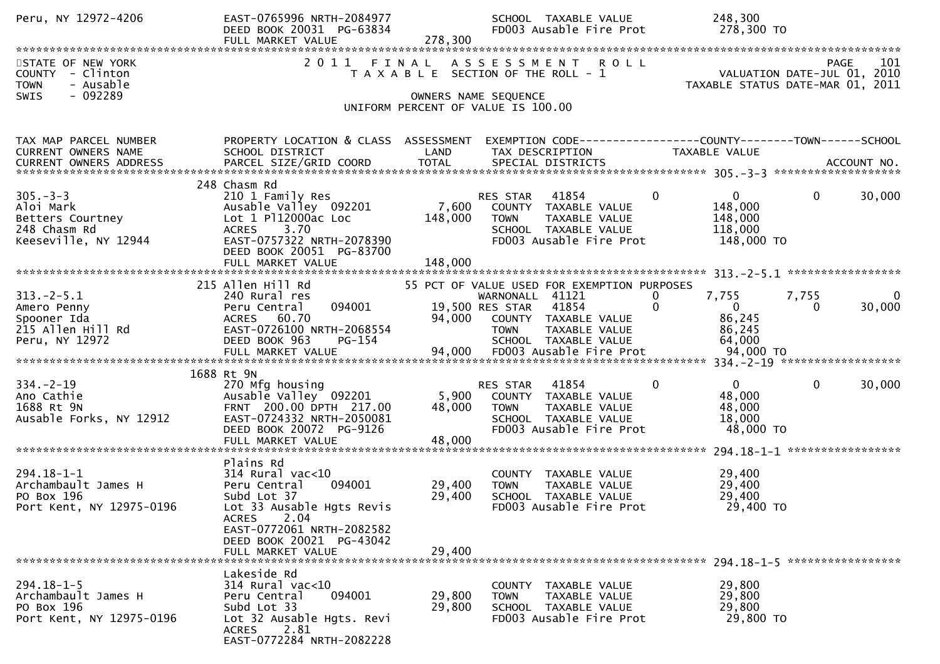| Peru, NY 12972-4206                                                                            | EAST-0765996 NRTH-2084977<br>DEED BOOK 20031 PG-63834<br>FULL MARKET VALUE                                                                                                                                  | 278,300                    | SCHOOL TAXABLE VALUE<br>FD003 Ausable Fire Prot                                                                                                       | 248,300<br>278,300 TO                                                        |                                  |
|------------------------------------------------------------------------------------------------|-------------------------------------------------------------------------------------------------------------------------------------------------------------------------------------------------------------|----------------------------|-------------------------------------------------------------------------------------------------------------------------------------------------------|------------------------------------------------------------------------------|----------------------------------|
| STATE OF NEW YORK<br>COUNTY - Clinton<br><b>TOWN</b><br>- Ausable<br>- 092289<br><b>SWIS</b>   | 2011                                                                                                                                                                                                        |                            | FINAL ASSESSMENT ROLL<br>T A X A B L E SECTION OF THE ROLL - 1<br>OWNERS NAME SEQUENCE                                                                | VALUATION DATE-JUL 01, 2010<br>TAXABLE STATUS DATE-MAR 01, 2011              | PAGE<br>101                      |
|                                                                                                |                                                                                                                                                                                                             |                            | UNIFORM PERCENT OF VALUE IS 100.00                                                                                                                    |                                                                              |                                  |
| TAX MAP PARCEL NUMBER<br>CURRENT OWNERS NAME                                                   | PROPERTY LOCATION & CLASS ASSESSMENT<br>SCHOOL DISTRICT                                                                                                                                                     | LAND                       | EXEMPTION CODE-----------------COUNTY--------TOWN------SCHOOL<br>TAX DESCRIPTION TAXABLE VALUE                                                        |                                                                              |                                  |
| $305 - 3 - 3$<br>Aloi Mark<br>Aloi Mark<br>Betters Courtney<br>Alon Dd<br>Keeseville, NY 12944 | 248 Chasm Rd<br>210 1 Family Res<br>Ausable Valley 092201 7,600<br>Lot 1 Pl12000ac Loc<br>ACRES 3.70<br>EAST-0757322 NRTH-2078390<br>DEED BOOK 20051 PG-83700<br>FULL MARKET VALUE                          | 148,000<br>148,000         | RES STAR 41854<br>COUNTY TAXABLE VALUE<br>TAXABLE VALUE<br><b>TOWN</b><br>SCHOOL TAXABLE VALUE<br>FD003 Ausable Fire Prot                             | $\Omega$<br>$\overline{0}$<br>148,000<br>148,000<br>118,000<br>148,000 TO    | 30,000<br>$\mathbf{0}$           |
|                                                                                                | 215 Allen Hill Rd                                                                                                                                                                                           |                            | 55 PCT OF VALUE USED FOR EXEMPTION PURPOSES                                                                                                           |                                                                              |                                  |
| $313.-2-5.1$<br>Amero Penny<br>Spooner Ida<br>215 Allen Hill Rd<br>Peru, NY 12972              | 240 Rural res<br>094001<br>Peru Central<br>ACRES 60.70<br>EAST-0726100 NRTH-2068554<br>DEED BOOK 963<br>PG-154                                                                                              |                            | WARNONALL 41121<br>19,500 RES STAR 41854<br>94,000 COUNTY TAXABLE VALUE<br>TOWN TAXABLE VALUE<br><b>TOWN</b><br>TAXABLE VALUE<br>SCHOOL TAXABLE VALUE | 7,755<br>$\overline{0}$<br>0<br>$\overline{0}$<br>86,245<br>86,245<br>64,000 | 7,755<br>0<br>30,000<br>$\Omega$ |
|                                                                                                |                                                                                                                                                                                                             |                            |                                                                                                                                                       |                                                                              |                                  |
| 334. –2–19<br>Ano Cathie<br>1688 Rt 9N<br>Ausable Forks, NY 12912                              | 1688 Rt 9N<br>270 Mfg housing<br>Ausable Valley <sup>O92201</sup><br>FRNT 200.00 DPTH 217.00<br>EAST-0724332 NRTH-2050081<br>DEED BOOK 20072 PG-9126<br>FULL MARKET VALUE                                   | 5,900<br>48,000<br>48,000  | RES STAR 41854<br>COUNTY TAXABLE VALUE<br><b>TOWN</b><br>TAXABLE VALUE<br>SCHOOL TAXABLE VALUE<br>FD003 Ausable Fire Prot                             | $\overline{0}$<br>$\mathbf{0}$<br>48,000<br>48,000<br>18,000<br>48,000 TO    | $\mathbf 0$<br>30,000            |
| $294.18 - 1 - 1$<br>Archambault James H<br>PO Box 196<br>Port Kent, NY 12975-0196              | Plains Rd<br>$314$ Rural vac<10<br>Peru Central<br>094001<br>Subd Lot 37<br>Lot 33 Ausable Hgts Revis<br>2.04<br><b>ACRES</b><br>EAST-0772061 NRTH-2082582<br>DEED BOOK 20021 PG-43042<br>FULL MARKET VALUE | 29,400<br>29,400<br>29,400 | COUNTY TAXABLE VALUE<br><b>TOWN</b><br>TAXABLE VALUE<br>SCHOOL TAXABLE VALUE<br>FD003 Ausable Fire Prot                                               | 29,400<br>29,400<br>29,400<br>29,400 TO                                      |                                  |
|                                                                                                | Lakeside Rd                                                                                                                                                                                                 |                            |                                                                                                                                                       |                                                                              |                                  |
| $294.18 - 1 - 5$<br>Archambault James H<br>PO Box 196<br>Port Kent, NY 12975-0196              | 314 Rural vac<10<br>094001<br>Peru Central<br>Subd Lot 33<br>Lot 32 Ausable Hgts. Revi<br>2.81<br>ACRES<br>EAST-0772284 NRTH-2082228                                                                        | 29,800<br>29,800           | COUNTY TAXABLE VALUE<br>TAXABLE VALUE<br><b>TOWN</b><br>SCHOOL TAXABLE VALUE<br>FD003 Ausable Fire Prot                                               | 29,800<br>29,800<br>29,800<br>29,800 TO                                      |                                  |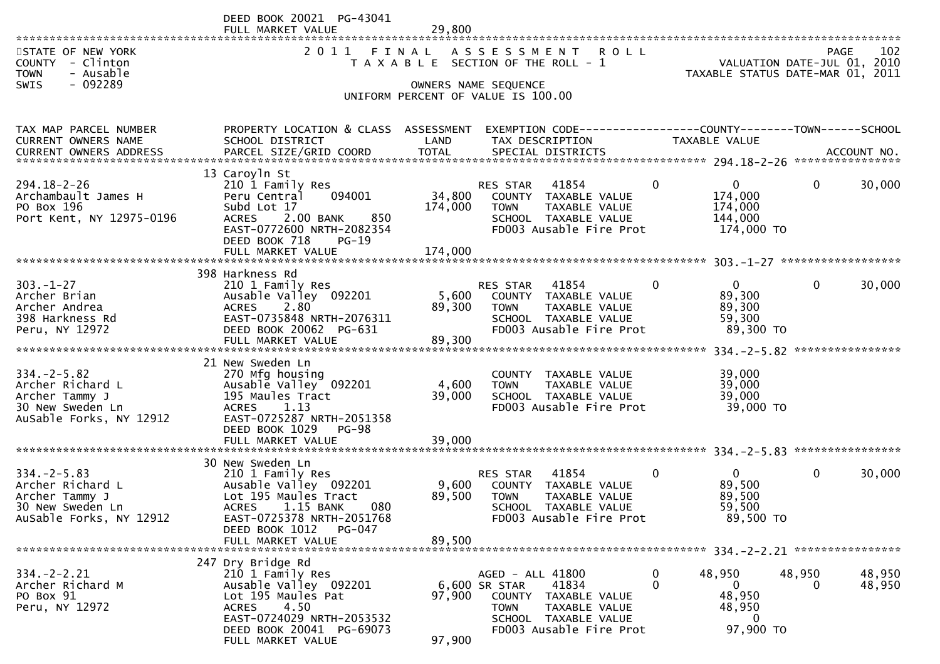|                                                                                                       | DEED BOOK 20021 PG-43041<br>FULL MARKET VALUE                                                                                                                                                | 29,800                    |                                                                                                                                                       |               |                                                                                                                  |                                  |                  |
|-------------------------------------------------------------------------------------------------------|----------------------------------------------------------------------------------------------------------------------------------------------------------------------------------------------|---------------------------|-------------------------------------------------------------------------------------------------------------------------------------------------------|---------------|------------------------------------------------------------------------------------------------------------------|----------------------------------|------------------|
| STATE OF NEW YORK<br>COUNTY - Clinton<br>- Ausable<br><b>TOWN</b><br>$-092289$<br><b>SWIS</b>         | 2 0 1 1                                                                                                                                                                                      | FINAL                     | ASSESSMENT ROLL<br>T A X A B L E SECTION OF THE ROLL - 1<br>OWNERS NAME SEQUENCE<br>UNIFORM PERCENT OF VALUE IS 100.00                                |               | PAGE 102<br>VALUATION DATE-JUL 01, 2010<br>TAXARLE STATUS DATE WILL 01, 2010<br>TAXABLE STATUS DATE-MAR 01, 2011 |                                  |                  |
| TAX MAP PARCEL NUMBER<br>CURRENT OWNERS NAME                                                          | PROPERTY LOCATION & CLASS ASSESSMENT<br>SCHOOL DISTRICT                                                                                                                                      | LAND                      | EXEMPTION CODE-----------------COUNTY--------TOWN------SCHOOL<br>TAX DESCRIPTION                                                                      |               | TAXABLE VALUE                                                                                                    |                                  |                  |
| $294.18 - 2 - 26$<br>Archambault James H<br>PO Box 196<br>Port Kent, NY 12975-0196                    | 13 Caroyln St<br>210 1 Family Res<br>Peru Central<br>094001<br>Subd Lot 17<br>2.00 BANK<br>850<br><b>ACRES</b><br>EAST-0772600 NRTH-2082354<br>DEED BOOK 718<br>$PG-19$                      | 34,800<br>174,000         | 41854<br>RES STAR<br>COUNTY TAXABLE VALUE<br>TAXABLE VALUE<br><b>TOWN</b><br>SCHOOL TAXABLE VALUE<br>FD003 Ausable Fire Prot                          | $\mathbf{0}$  | $\mathbf{0}$<br>174,000<br>174,000<br>144,000<br>174,000 TO                                                      | $\mathbf{0}$                     | 30,000           |
|                                                                                                       |                                                                                                                                                                                              |                           |                                                                                                                                                       |               |                                                                                                                  |                                  |                  |
| $303 - 1 - 27$<br>Archer Brian<br>Archer Andrea<br>398 Harkness Rd<br>Peru, NY 12972                  | 398 Harkness Rd<br>210 1 Family Res<br>Ausable Valley 092201<br>2.80<br><b>ACRES</b><br>EAST-0735848 NRTH-2076311<br>DEED BOOK 20062 PG-631<br>FULL MARKET VALUE                             | 5,600<br>89,300<br>89,300 | 41854<br>RES STAR<br>COUNTY TAXABLE VALUE<br>TAXABLE VALUE<br><b>TOWN</b><br>SCHOOL TAXABLE VALUE<br>FD003 Ausable Fire Prot                          | 0             | $\mathbf{0}$<br>89,300<br>89,300<br>59,300<br>89,300 TO                                                          | $\mathbf{0}$<br>**************** | 30,000           |
| $334. -2 - 5.82$<br>Archer Richard L<br>Archer Tammy J<br>30 New Sweden Ln<br>AuSable Forks, NY 12912 | 21 New Sweden Ln<br>270 Mfg housing<br>Ausable Valley 092201<br>195 Maules Tract<br>1.13<br><b>ACRES</b><br>EAST-0725287 NRTH-2051358<br>DEED BOOK 1029<br><b>PG-98</b><br>FULL MARKET VALUE | 4,600<br>39,000<br>39,000 | COUNTY TAXABLE VALUE<br><b>TOWN</b><br>TAXABLE VALUE<br>SCHOOL TAXABLE VALUE<br>FD003 Ausable Fire Prot                                               |               | 39,000<br>39,000<br>39,000<br>39,000 TO                                                                          |                                  |                  |
|                                                                                                       | 30 New Sweden Ln                                                                                                                                                                             |                           |                                                                                                                                                       |               |                                                                                                                  |                                  |                  |
| $334. -2 - 5.83$<br>Archer Richard L<br>Archer Tammy J<br>30 New Sweden Ln<br>AuSable Forks, NY 12912 | 210 1 Family Res<br>Ausable Valley 092201<br>Lot 195 Maules Tract<br><b>ACRES</b><br>1.15 BANK<br>080<br>EAST-0725378 NRTH-2051768<br>DEED BOOK 1012<br>PG-047                               | 9,600<br>89,500           | RES STAR<br>41854<br>COUNTY TAXABLE VALUE<br><b>TOWN</b><br>TAXABLE VALUE<br>SCHOOL TAXABLE VALUE<br>FD003 Ausable Fire Prot                          | 0             | $\overline{0}$<br>89,500<br>89,500<br>59,500<br>89,500 TO                                                        | $\mathbf{0}$                     | 30,000           |
|                                                                                                       | FULL MARKET VALUE                                                                                                                                                                            | 89,500                    |                                                                                                                                                       |               |                                                                                                                  |                                  |                  |
| $334 - 2 - 2.21$<br>Archer Richard M<br>PO Box 91<br>Peru, NY 12972                                   | 247 Dry Bridge Rd<br>210 1 Family Res<br>Ausable Valley 092201<br>Lot 195 Maules Pat<br>4.50<br>ACRES<br>EAST-0724029 NRTH-2053532<br>DEED BOOK 20041 PG-69073<br>FULL MARKET VALUE          | 97,900<br>97,900          | AGED - ALL 41800<br>6,600 SR STAR<br>41834<br>COUNTY TAXABLE VALUE<br><b>TOWN</b><br>TAXABLE VALUE<br>SCHOOL TAXABLE VALUE<br>FD003 Ausable Fire Prot | 0<br>$\Omega$ | 48,950<br>$\overline{0}$<br>48,950<br>48,950<br>0<br>97,900 TO                                                   | 48,950<br>$\Omega$               | 48,950<br>48,950 |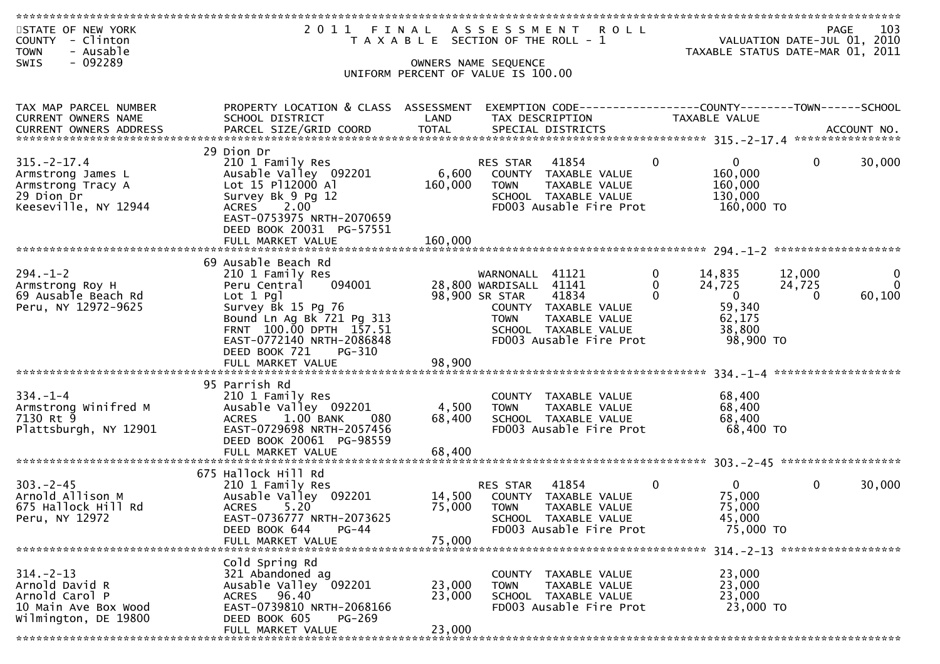| STATE OF NEW YORK<br>COUNTY - Clinton<br>- Ausable<br><b>TOWN</b>                                                                                                                                                              |                                                   |                  | 2011 FINAL ASSESSMENT ROLL<br>T A X A B L E SECTION OF THE ROLL - 1 |                                      | PAGE<br>VALUATION DATE-JUL 01, 2010<br>TAXABLE STATUS DATE-MAR 01, 2011 | 103          |
|--------------------------------------------------------------------------------------------------------------------------------------------------------------------------------------------------------------------------------|---------------------------------------------------|------------------|---------------------------------------------------------------------|--------------------------------------|-------------------------------------------------------------------------|--------------|
| $-092289$<br>SWIS                                                                                                                                                                                                              |                                                   |                  | OWNERS NAME SEQUENCE<br>UNIFORM PERCENT OF VALUE IS 100.00          |                                      |                                                                         |              |
|                                                                                                                                                                                                                                |                                                   |                  |                                                                     |                                      |                                                                         |              |
|                                                                                                                                                                                                                                | PROPERTY LOCATION & CLASS ASSESSMENT              |                  | EXEMPTION CODE------------------COUNTY--------TOWN------SCHOOL      |                                      |                                                                         |              |
| TAX MAP PARCEL NUMBER<br>CURRENT OWNERS NAME                                                                                                                                                                                   | SCHOOL DISTRICT                                   | LAND             | TAX DESCRIPTION                                                     | TAXABLE VALUE                        |                                                                         |              |
| -CURRENT OWNERS ADDRESS PARCEL SIZE/GRID COORD TOTAL SPECIAL DISTRICTS AND MONORESS ADDRESS PARCEL SIZE/GRID COORD TOTAL SPECIAL DISTRICTS AND MONORESS AND MONORESS AND MANUSCRIPT ON A AND MANUSCRIPT ON A AND MANUSCRIPT ON |                                                   |                  |                                                                     |                                      |                                                                         |              |
|                                                                                                                                                                                                                                |                                                   |                  |                                                                     |                                      |                                                                         |              |
| $315. - 2 - 17.4$                                                                                                                                                                                                              | 29 Dion Dr<br>210 1 Family Res                    |                  | RES STAR 41854                                                      | $\overline{0}$<br>$\Omega$           | $\overline{0}$                                                          | 30,000       |
| Armstrong James L                                                                                                                                                                                                              | Ausable Valley 092201                             | 6,600            | COUNTY TAXABLE VALUE                                                | 160,000                              |                                                                         |              |
| Armstrong Tracy A                                                                                                                                                                                                              | Lot 15 P112000 Al                                 | 160,000          | <b>TOWN</b><br>TAXABLE VALUE                                        | 160,000                              |                                                                         |              |
| 29 Dion Dr<br>Keeseville, NY 12944                                                                                                                                                                                             | Survey Bk 9 Pg 12<br><b>ACRES</b><br>2.00         |                  | SCHOOL TAXABLE VALUE<br>FD003 Ausable Fire Prot                     | 130,000<br>160,000 TO                |                                                                         |              |
|                                                                                                                                                                                                                                | EAST-0753975 NRTH-2070659                         |                  |                                                                     |                                      |                                                                         |              |
|                                                                                                                                                                                                                                | DEED BOOK 20031 PG-57551                          |                  |                                                                     |                                      |                                                                         |              |
|                                                                                                                                                                                                                                |                                                   |                  |                                                                     |                                      |                                                                         |              |
|                                                                                                                                                                                                                                | 69 Ausable Beach Rd                               |                  |                                                                     |                                      |                                                                         |              |
| $294. - 1 - 2$                                                                                                                                                                                                                 | 210 1 Family Res                                  |                  | WARNONALL 41121                                                     | $\mathbf{0}$<br>14,835               | 12,000                                                                  | $\mathbf{0}$ |
| Armstrong Roy H                                                                                                                                                                                                                | 094001<br>Peru Central                            |                  | 28,800 WARDISALL 41141                                              | 0<br>24,725                          | 24,725                                                                  | $\Omega$     |
| 69 Ausable Beach Rd<br>Peru, NY 12972-9625                                                                                                                                                                                     | Lot 1 Pgl<br>Survey Bk 15 Pg 76                   |                  | 98,900 SR STAR<br>41834<br>COUNTY TAXABLE VALUE                     | $\overline{0}$<br>$\Omega$<br>59,340 | $\Omega$                                                                | 60,100       |
|                                                                                                                                                                                                                                | Bound Ln Ag Bk 721 Pg 313                         |                  | <b>TOWN</b><br>TAXABLE VALUE                                        | 62,175                               |                                                                         |              |
|                                                                                                                                                                                                                                | FRNT 100.00 DPTH 157.51                           |                  | SCHOOL TAXABLE VALUE                                                | 38,800                               |                                                                         |              |
|                                                                                                                                                                                                                                | EAST-0772140 NRTH-2086848<br>DEED BOOK 721 PG-310 |                  | FD003 Ausable Fire Prot                                             |                                      | 98,900 TO                                                               |              |
|                                                                                                                                                                                                                                | FULL MARKET VALUE                                 | 98,900           |                                                                     |                                      |                                                                         |              |
|                                                                                                                                                                                                                                |                                                   |                  |                                                                     |                                      |                                                                         |              |
| $334. - 1 - 4$                                                                                                                                                                                                                 | 95 Parrish Rd<br>210 1 Family Res                 |                  | COUNTY TAXABLE VALUE                                                | 68,400                               |                                                                         |              |
| Armstrong Winifred M                                                                                                                                                                                                           | Ausable Valley 092201                             | 4,500            | <b>TOWN</b><br>TAXABLE VALUE                                        | 68,400                               |                                                                         |              |
| 7130 Rt 9                                                                                                                                                                                                                      | ACRES 1.00 BANK<br>080                            | 68,400           | SCHOOL TAXABLE VALUE                                                | 68,400                               |                                                                         |              |
| Plattsburgh, NY 12901                                                                                                                                                                                                          | EAST-0729698 NRTH-2057456                         |                  | FD003 Ausable Fire Prot                                             | 68,400 TO                            |                                                                         |              |
|                                                                                                                                                                                                                                | DEED BOOK 20061 PG-98559<br>FULL MARKET VALUE     | 68,400           |                                                                     |                                      |                                                                         |              |
|                                                                                                                                                                                                                                |                                                   |                  |                                                                     |                                      |                                                                         |              |
|                                                                                                                                                                                                                                | 675 Hallock Hill Rd                               |                  |                                                                     |                                      |                                                                         |              |
| $303 - 2 - 45$<br>Arnold Allison M                                                                                                                                                                                             | 210 1 Family Res<br>Ausable Valley 092201         |                  | 41854<br>RES STAR<br>14,500 COUNTY TAXABLE VALUE                    | $\Omega$<br>$\Omega$<br>75,000       | $\Omega$                                                                | 30,000       |
| 675 Hallock Hill Rd                                                                                                                                                                                                            | ACRES 5.20                                        | 75,000           | <b>TOWN</b><br>TAXABLE VALUE                                        | 75,000                               |                                                                         |              |
| Peru, NY 12972                                                                                                                                                                                                                 | EAST-0736777 NRTH-2073625                         |                  | SCHOOL TAXABLE VALUE                                                | 45,000                               |                                                                         |              |
|                                                                                                                                                                                                                                | DEED BOOK 644<br>$PG-44$<br>FULL MARKET VALUE     | 75,000           | FD003 Ausable Fire Prot                                             |                                      | 75,000 TO                                                               |              |
|                                                                                                                                                                                                                                |                                                   |                  |                                                                     |                                      |                                                                         |              |
|                                                                                                                                                                                                                                | Cold Spring Rd                                    |                  |                                                                     |                                      |                                                                         |              |
| $314. - 2 - 13$                                                                                                                                                                                                                | 321 Abandoned ag                                  |                  | COUNTY TAXABLE VALUE                                                | 23,000                               |                                                                         |              |
| Arnold David R<br>Arnold Carol P                                                                                                                                                                                               | Ausable Valley 092201<br>ACRES 96.40              | 23,000<br>23,000 | TAXABLE VALUE<br><b>TOWN</b><br>SCHOOL TAXABLE VALUE                | 23,000<br>23,000                     |                                                                         |              |
| 10 Main Ave Box Wood                                                                                                                                                                                                           | EAST-0739810 NRTH-2068166                         |                  | FD003 Ausable Fire Prot                                             |                                      | 23,000 TO                                                               |              |
| Wilmington, DE 19800                                                                                                                                                                                                           | DEED BOOK 605<br>PG-269                           |                  |                                                                     |                                      |                                                                         |              |
|                                                                                                                                                                                                                                | FULL MARKET VALUE                                 | 23,000           |                                                                     |                                      |                                                                         |              |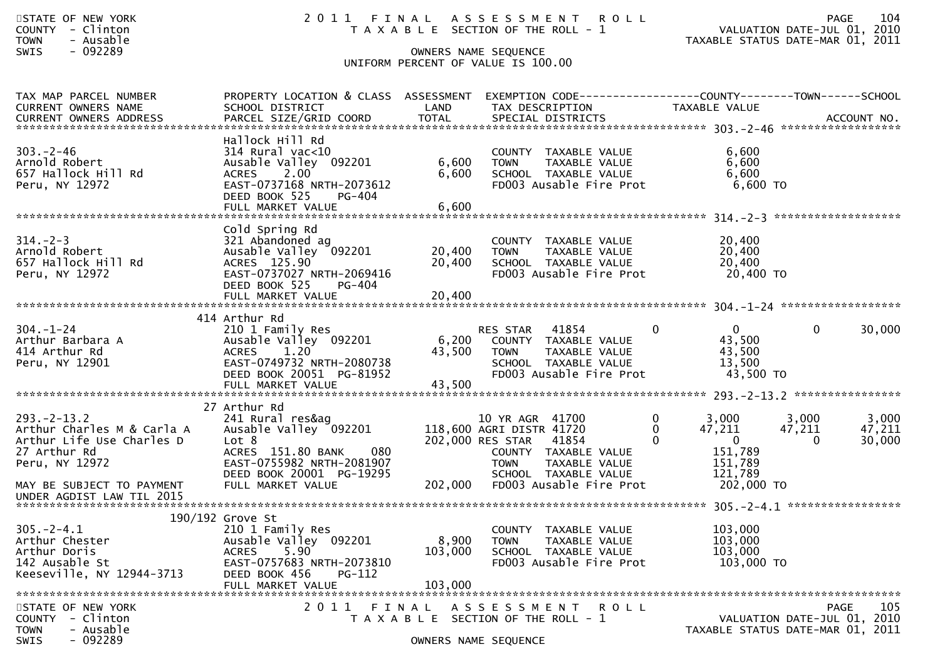| STATE OF NEW YORK |        |           |  |
|-------------------|--------|-----------|--|
| COUNTY            | $\sim$ | Clinton   |  |
| <b>TOWN</b>       |        | - Ausable |  |

# STATE OF THE ROLL TAN A LANGE 104<br>TAXABLE SECTION OF THE ROLL - 1 VALUATION DATE-JUL 01, 2010

COUNTY - Clinton T A X A B L E SECTION OF THE ROLL - 1 VALUATION DATE-JUL 01, 2010 TOWN - Ausable TAXABLE STATUS DATE-MAR 01, 2011

# SWIS - 092289 OWNERS NAME SEQUENCE UNIFORM PERCENT OF VALUE IS 100.00

| TAX MAP PARCEL NUMBER<br><b>CURRENT OWNERS NAME</b>                                                                                         | PROPERTY LOCATION & CLASS ASSESSMENT<br>SCHOOL DISTRICT                                                                                                                      | LAND                        | TAX DESCRIPTION                                                                                                                                                                     |                                  | EXEMPTION CODE-----------------COUNTY-------TOWN------SCHOOL<br>TAXABLE VALUE |                             |                           |
|---------------------------------------------------------------------------------------------------------------------------------------------|------------------------------------------------------------------------------------------------------------------------------------------------------------------------------|-----------------------------|-------------------------------------------------------------------------------------------------------------------------------------------------------------------------------------|----------------------------------|-------------------------------------------------------------------------------|-----------------------------|---------------------------|
|                                                                                                                                             |                                                                                                                                                                              |                             |                                                                                                                                                                                     |                                  |                                                                               |                             |                           |
| $303. -2 - 46$<br>Arnold Robert<br>657 Hallock Hill Rd<br>Peru, NY 12972                                                                    | Hallock Hill Rd<br>$314$ Rural vac<10<br>Ausable Valley 092201<br><b>ACRES</b><br>2,00<br>EAST-0737168 NRTH-2073612<br>DEED BOOK 525<br>PG-404<br>FULL MARKET VALUE          | 6,600<br>6,600<br>6,600     | COUNTY TAXABLE VALUE<br><b>TOWN</b><br>TAXABLE VALUE<br>SCHOOL TAXABLE VALUE<br>FD003 Ausable Fire Prot                                                                             |                                  | 6,600<br>6,600<br>6,600<br>$6,600$ TO                                         |                             |                           |
| $314. - 2 - 3$<br>Arnold Robert<br>657 Hallock Hill Rd<br>Peru, NY 12972                                                                    | Cold Spring Rd<br>321 Abandoned ag<br>Ausable Valley 092201<br>ACRES 125.90<br>EAST-0737027 NRTH-2069416<br>DEED BOOK 525<br>PG-404<br>FULL MARKET VALUE                     | 20,400<br>20,400<br>20,400  | COUNTY TAXABLE VALUE<br><b>TOWN</b><br>TAXABLE VALUE<br>SCHOOL TAXABLE VALUE<br>FD003 Ausable Fire Prot                                                                             |                                  | 20,400<br>20,400<br>20,400<br>20,400 TO                                       |                             |                           |
|                                                                                                                                             |                                                                                                                                                                              |                             |                                                                                                                                                                                     |                                  |                                                                               |                             |                           |
| $304. - 1 - 24$<br>Arthur Barbara A<br>414 Arthur Rd<br>Peru, NY 12901                                                                      | 414 Arthur Rd<br>210 1 Family Res<br>Ausable Valley 092201<br>1.20<br><b>ACRES</b><br>EAST-0749732 NRTH-2080738<br>DEED BOOK 20051 PG-81952                                  | 6,200<br>43,500             | 41854<br><b>RES STAR</b><br>COUNTY TAXABLE VALUE<br>TAXABLE VALUE<br><b>TOWN</b><br>SCHOOL TAXABLE VALUE<br>FD003 Ausable Fire Prot                                                 | $\Omega$                         | $\Omega$<br>43,500<br>43,500<br>13,500<br>43,500 TO                           | $\Omega$                    | 30,000                    |
|                                                                                                                                             | FULL MARKET VALUE                                                                                                                                                            | 43,500                      |                                                                                                                                                                                     |                                  |                                                                               |                             |                           |
| $293. - 2 - 13.2$<br>Arthur Charles M & Carla A<br>Arthur Life Use Charles D<br>27 Arthur Rd<br>Peru, NY 12972<br>MAY BE SUBJECT TO PAYMENT | 27 Arthur Rd<br>241 Rural res&ag<br>Ausable Valley 092201<br>Lot 8<br>ACRES 151.80 BANK<br>080<br>EAST-0755982 NRTH-2081907<br>DEED BOOK 20001 PG-19295<br>FULL MARKET VALUE | 202,000                     | 10 YR AGR 41700<br>118,600 AGRI DISTR 41720<br>202,000 RES STAR<br>41854<br>COUNTY TAXABLE VALUE<br><b>TOWN</b><br>TAXABLE VALUE<br>SCHOOL TAXABLE VALUE<br>FD003 Ausable Fire Prot | $\Omega$<br>$\Omega$<br>$\Omega$ | 3,000<br>47,211<br>$\Omega$<br>151,789<br>151,789<br>121.789<br>202,000 TO    | 3,000<br>47,211<br>$\Omega$ | 3,000<br>47,211<br>30,000 |
| UNDER AGDIST LAW TIL 2015                                                                                                                   |                                                                                                                                                                              |                             |                                                                                                                                                                                     |                                  |                                                                               |                             |                           |
|                                                                                                                                             | 190/192 Grove St                                                                                                                                                             |                             |                                                                                                                                                                                     |                                  |                                                                               |                             |                           |
| $305. -2 - 4.1$<br>Arthur Chester<br>Arthur Doris<br>142 Ausable St<br>Keeseville, NY 12944-3713                                            | 210 1 Family Res<br>Ausable Valley 092201<br>5.90<br><b>ACRES</b><br>EAST-0757683 NRTH-2073810<br>DEED BOOK 456<br>PG-112<br>FULL MARKET VALUE                               | 8,900<br>103,000<br>103,000 | COUNTY TAXABLE VALUE<br><b>TOWN</b><br>TAXABLE VALUE<br>SCHOOL TAXABLE VALUE<br>FD003 Ausable Fire Prot                                                                             |                                  | 103,000<br>103,000<br>103,000<br>103,000 TO                                   |                             |                           |
|                                                                                                                                             |                                                                                                                                                                              |                             |                                                                                                                                                                                     |                                  |                                                                               |                             |                           |
| STATE OF NEW YORK<br>COUNTY - Clinton<br><b>TOWN</b><br>- Ausable<br><b>SWIS</b><br>- 092289                                                | 2011<br>FINAL                                                                                                                                                                |                             | A S S E S S M E N T<br>T A X A B L E SECTION OF THE ROLL - 1<br>OWNERS NAME SEQUENCE                                                                                                | <b>ROLL</b>                      | VALUATION DATE-JUL 01, 2010<br>TAXABLE STATUS DATE-MAR 01, 2011               |                             | 105<br><b>PAGE</b>        |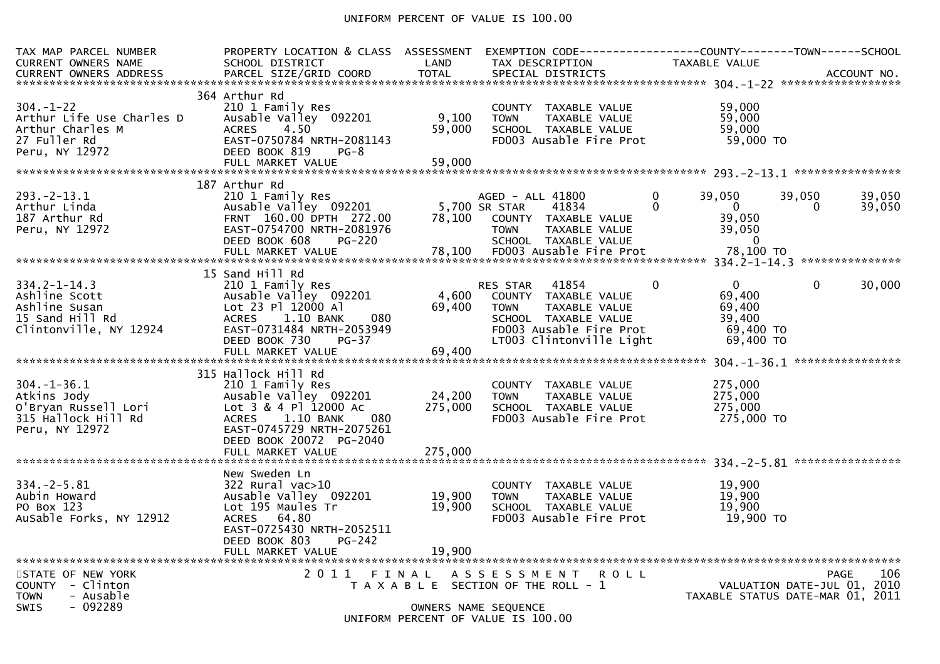# UNIFORM PERCENT OF VALUE IS 100.00

| TAX MAP PARCEL NUMBER<br><b>CURRENT OWNERS NAME</b>                                                | PROPERTY LOCATION & CLASS ASSESSMENT<br>SCHOOL DISTRICT                                                                                                                               | LAND                      | EXEMPTION CODE------------------COUNTY--------TOWN------SCHOOL<br>TAX DESCRIPTION                                                 | TAXABLE VALUE                                                           |                                                                                       |
|----------------------------------------------------------------------------------------------------|---------------------------------------------------------------------------------------------------------------------------------------------------------------------------------------|---------------------------|-----------------------------------------------------------------------------------------------------------------------------------|-------------------------------------------------------------------------|---------------------------------------------------------------------------------------|
| $304. - 1 - 22$<br>Arthur Life Use Charles D<br>Arthur Charles M<br>27 Fuller Rd<br>Peru, NY 12972 | 364 Arthur Rd<br>210 1 Family Res<br>Ausable Valley 092201<br><b>ACRES</b><br>4.50<br>EAST-0750784 NRTH-2081143<br>DEED BOOK 819<br>$PG-8$<br>FULL MARKET VALUE                       | 9,100<br>59,000<br>59,000 | COUNTY TAXABLE VALUE<br>TAXABLE VALUE<br><b>TOWN</b><br>SCHOOL TAXABLE VALUE<br>FD003 Ausable Fire Prot                           | 59,000<br>59,000<br>59,000<br>59,000 TO                                 |                                                                                       |
| 293. - 2 - 13. 1<br>Arthur Linda<br>187 Arthur Rd<br>Peru, NY 12972                                | 187 Arthur Rd<br>210 1 Family Res<br>Ausable Valley 092201<br>FRNT 160.00 DPTH 272.00<br>EAST-0754700 NRTH-2081976<br>DEED BOOK 608<br><b>PG-220</b>                                  | 78,100                    | AGED - ALL 41800<br>5,700 SR STAR<br>41834<br>COUNTY TAXABLE VALUE<br><b>TOWN</b><br><b>TAXABLE VALUE</b><br>SCHOOL TAXABLE VALUE | $\Omega$<br>39,050<br>0<br>$\Omega$<br>39,050<br>39,050<br>$\mathbf{0}$ | 39,050<br>39,050<br>39,050<br>0                                                       |
| $334.2 - 1 - 14.3$<br>Ashline Scott<br>Ashline Susan                                               | 15 Sand Hill Rd<br>210 1 Family Res<br>Ausable Valley 092201<br>Lot 23 Pl 12000 Al                                                                                                    | 4,600<br>69,400           | 41854<br>RES STAR<br>COUNTY TAXABLE VALUE<br>TAXABLE VALUE<br><b>TOWN</b>                                                         | $\mathbf{0}$<br>$\mathbf{0}$<br>69,400<br>69,400                        | $\mathbf{0}$<br>30,000                                                                |
| 15 Sand Hill Rd<br>Clintonville, NY 12924                                                          | <b>ACRES</b><br>1.10 BANK<br>080<br>EAST-0731484 NRTH-2053949<br>DEED BOOK 730<br>$PG-37$                                                                                             |                           | SCHOOL TAXABLE VALUE<br>FD003 Ausable Fire Prot<br>LT003 Clintonville Light                                                       | 39,400<br>69,400 TO<br>69,400 TO                                        |                                                                                       |
| $304. - 1 - 36.1$<br>Atkins Jody<br>O'Bryan Russell Lori<br>315 Hallock Hill Rd<br>Peru, NY 12972  | 315 Hallock Hill Rd<br>210 1 Family Res<br>Ausable Valley 092201<br>Lot 3 & 4 Pl 12000 Ac<br><b>ACRES</b><br>1.10 BANK<br>080<br>EAST-0745729 NRTH-2075261<br>DEED BOOK 20072 PG-2040 | 24,200<br>275,000         | COUNTY TAXABLE VALUE<br><b>TOWN</b><br>TAXABLE VALUE<br>SCHOOL TAXABLE VALUE<br>FD003 Ausable Fire Prot                           | 275,000<br>275,000<br>275,000<br>275,000 TO                             |                                                                                       |
|                                                                                                    | FULL MARKET VALUE                                                                                                                                                                     | 275,000                   |                                                                                                                                   |                                                                         |                                                                                       |
| $334. - 2 - 5.81$<br>Aubin Howard<br>PO Box 123<br>AuSable Forks, NY 12912                         | New Sweden Ln<br>$322$ Rural vac $>10$<br>Ausable Valley 092201<br>Lot 195 Maules Tr<br>ACRES 64.80<br>EAST-0725430 NRTH-2052511<br>DEED BOOK 803<br>$PG-242$                         | 19,900<br>19,900          | COUNTY TAXABLE VALUE<br><b>TOWN</b><br>TAXABLE VALUE<br>SCHOOL TAXABLE VALUE<br>FD003 Ausable Fire Prot                           | 19,900<br>19,900<br>19,900<br>19,900 TO                                 |                                                                                       |
|                                                                                                    | FULL MARKET VALUE                                                                                                                                                                     | 19,900                    |                                                                                                                                   |                                                                         |                                                                                       |
| STATE OF NEW YORK<br>COUNTY - Clinton<br><b>TOWN</b><br>- Ausable<br>$-092289$<br><b>SWIS</b>      | 2011                                                                                                                                                                                  | FINAL                     | A S S E S S M E N T<br><b>ROLL</b><br>T A X A B L E SECTION OF THE ROLL - 1<br>OWNERS NAME SEQUENCE                               |                                                                         | 106<br><b>PAGE</b><br>VALUATION DATE-JUL 01, 2010<br>TAXABLE STATUS DATE-MAR 01, 2011 |
|                                                                                                    |                                                                                                                                                                                       |                           | UNIFORM PERCENT OF VALUE IS 100.00                                                                                                |                                                                         |                                                                                       |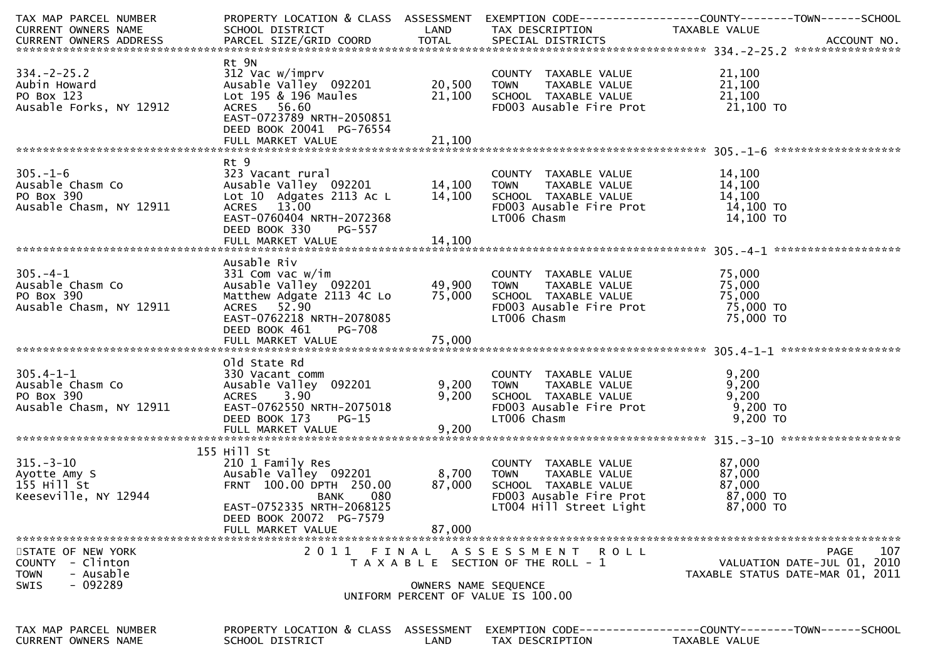| TAX MAP PARCEL NUMBER<br>CURRENT OWNERS NAME                                                            | PROPERTY LOCATION & CLASS ASSESSMENT EXEMPTION CODE----------------COUNTY-------TOWN------SCHOOL<br>SCHOOL DISTRICT TAND TAX DESCRIPTION                                                                                                                                         |                               |                                                                                                                                                        | TAXABLE VALUE                                        |                                                                                       |
|---------------------------------------------------------------------------------------------------------|----------------------------------------------------------------------------------------------------------------------------------------------------------------------------------------------------------------------------------------------------------------------------------|-------------------------------|--------------------------------------------------------------------------------------------------------------------------------------------------------|------------------------------------------------------|---------------------------------------------------------------------------------------|
| $334. - 2 - 25.2$<br>Aubin Howard<br>PO Box 123<br>Ausable Forks, NY 12912                              | Rt 9N<br>312 Vac w/imprv<br>Ausable Valley 092201<br>Lot 195 & 196 Maules<br>ACRES 56.60<br>EAST-0723789 NRTH-2050851<br>DEED BOOK 20041 PG-76554                                                                                                                                | 20,500 TOWN<br>21,100         | COUNTY TAXABLE VALUE $21,100$<br>TOWN TAXABLE VALUE $21,100$<br>SCHOOL TAXABLE VALUE $21,100$<br>FD003 Ausable Fire Prot 21,100 TO                     |                                                      |                                                                                       |
| $305. - 1 - 6$<br>sm Co<br>sm, NY 12911<br>Ausable Chasm Co<br>PO Box 390<br>Ausable Chasm, NY 12911    | Rt 9<br>323 Vacant rural COUNTY TAXABLE VALUE 14,100<br>Ausable Valley 092201 14,100 TOWN TAXABLE VALUE 14,100<br>Lot 10 Adgates 2113 Ac L 14,100 SCHOOL TAXABLE VALUE 14,100<br>ACRES 13.00 FD003 Ausable Fire Prot 14,100 TO<br>EAST-0760404<br>DEED BOOK 330 PG-557           |                               |                                                                                                                                                        |                                                      |                                                                                       |
| $\mathsf{sm}$ Co<br>$305. - 4 - 1$<br>Ausable Chasm Co<br>PO Box 390<br>Ausable Chasm, NY 12911         | Ausable Riv<br>ACRES 52.90<br>EAST-0762218 NRTH-2078085<br>DEED BOOK 461<br>PG-708                                                                                                                                                                                               |                               | FD003 Ausable Fire Prot $75,000$ TO<br>LT006 Chasm                                                                                                     | 75,000 TO                                            |                                                                                       |
| $305.4 - 1 - 1$<br>Ausable Chasm Co<br>PO Box 390<br>Ausable Chasm, NY 12911                            | old State Rd<br>SM CONTY TAXABLE VALUE<br>SM CONTY TAXABLE VALUE<br>SM, NY 12911 EAST-0762550_NRTH-2075018 5CHOOL TAXABLE VALUE<br>SM, NY 12911 EAST-0762550_NRTH-2075018 FD003 Ausable Fire Prot 9,200<br>SM, NY 12911 EAST-0762550_NRTH-2075018 FD00<br>DEED BOOK 173<br>PG-15 |                               | LT006 Chasm                                                                                                                                            | 9,200 TO<br>$9,200$ TO                               |                                                                                       |
| $315. - 3 - 10$<br>Ayotte Amy S<br>155 Hill St<br>Keeseville, NY 12944                                  | 155 Hill St<br>ALL COUNTY<br>Hill St<br>210 1 Family Res<br>Ausable Valley 092201 8,700 TOWN<br>FRNT 100.00 DPTH 250.00 87,000 SCHOC<br>BANK 080 FD00:<br>THE 2068125 LT00<br>DEED BOOK 20072 PG-7579<br>FULL MARKET VALUE                                                       | 87,000                        | COUNTY TAXABLE VALUE<br>TOWN     TAXABLE VALUE<br>SCHOOL   TAXABLE VALUE<br>SCHOOL TAXABLE VALUE<br>FD003 Ausable Fire Prot<br>LT004 Hill Street Light | 87,000<br>87,000<br>87,000<br>87,000 TO<br>87,000 TO |                                                                                       |
| STATE OF NEW YORK<br>- Clinton<br><b>COUNTY</b><br>- Ausable<br><b>TOWN</b><br>$-092289$<br><b>SWIS</b> | 2011                                                                                                                                                                                                                                                                             | FINAL<br>OWNERS NAME SEQUENCE | A S S E S S M E N T R O L L<br>T A X A B L E SECTION OF THE ROLL - 1<br>UNIFORM PERCENT OF VALUE IS 100.00                                             |                                                      | 107<br><b>PAGE</b><br>VALUATION DATE-JUL 01, 2010<br>TAXABLE STATUS DATE-MAR 01, 2011 |
| TAX MAP PARCEL NUMBER<br>CURRENT OWNERS NAME                                                            | PROPERTY LOCATION & CLASS ASSESSMENT<br>SCHOOL DISTRICT                                                                                                                                                                                                                          | LAND                          | EXEMPTION CODE-----------------COUNTY-------TOWN------SCHOOL<br>TAX DESCRIPTION                                                                        | TAXABLE VALUE                                        |                                                                                       |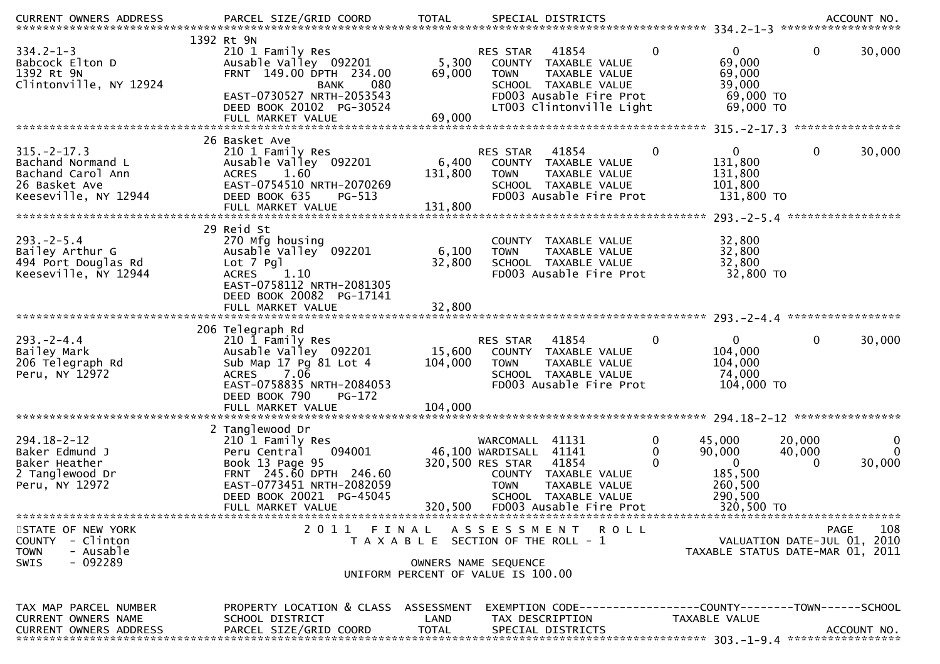| $334.2 - 1 - 3$<br>Babcock Elton D<br>1392 Rt 9N<br>Clintonville, NY 12924                           | 1392 Rt 9N<br>210 1 Family Res<br>Ausable Valley 092201<br>FRNT 149.00 DPTH 234.00<br><b>BANK</b><br>080<br>EAST-0730527 NRTH-2053543<br>DEED BOOK 20102 PG-30524       | 5,300<br>69,000                                                             | RES STAR<br><b>TOWN</b>                                                | 41854<br>COUNTY TAXABLE VALUE<br>TAXABLE VALUE<br>SCHOOL TAXABLE VALUE<br>FD003 Ausable Fire Prot<br>LT003 Clintonville Light | $\mathbf 0$ | 0<br>69,000<br>69,000<br>39,000<br>69,000 TO<br>69,000 TO                       | 0                           | 30,000                  |
|------------------------------------------------------------------------------------------------------|-------------------------------------------------------------------------------------------------------------------------------------------------------------------------|-----------------------------------------------------------------------------|------------------------------------------------------------------------|-------------------------------------------------------------------------------------------------------------------------------|-------------|---------------------------------------------------------------------------------|-----------------------------|-------------------------|
|                                                                                                      | 26 Basket Ave                                                                                                                                                           |                                                                             |                                                                        |                                                                                                                               |             |                                                                                 |                             |                         |
| $315. - 2 - 17.3$<br>Bachand Normand L<br>Bachand Carol Ann<br>26 Basket Ave<br>Keeseville, NY 12944 | 210 1 Family Res<br>Ausable Valley 092201<br><b>ACRES</b><br>1.60<br>EAST-0754510 NRTH-2070269<br>DEED BOOK 635<br>PG-513                                               | 6,400<br>131,800                                                            | RES STAR<br><b>TOWN</b>                                                | 41854<br>COUNTY TAXABLE VALUE<br>TAXABLE VALUE<br>SCHOOL TAXABLE VALUE<br>FD003 Ausable Fire Prot                             | $\mathbf 0$ | $\mathbf 0$<br>131,800<br>131,800<br>101,800<br>131,800 TO                      | $\mathbf{0}$                | 30,000                  |
|                                                                                                      | 29 Reid St                                                                                                                                                              |                                                                             |                                                                        |                                                                                                                               |             |                                                                                 |                             |                         |
| $293. - 2 - 5.4$<br>Bailey Arthur G<br>494 Port Douglas Rd<br>Keeseville, NY 12944                   | 270 Mfg housing<br>Ausable Valley 092201<br>Lot 7 Pgl<br>1.10<br><b>ACRES</b><br>EAST-0758112 NRTH-2081305<br>DEED BOOK 20082 PG-17141                                  | 6,100<br>32,800                                                             | <b>TOWN</b>                                                            | COUNTY TAXABLE VALUE<br>TAXABLE VALUE<br>SCHOOL TAXABLE VALUE<br>FD003 Ausable Fire Prot                                      |             | 32,800<br>32,800<br>32,800<br>32,800 TO                                         |                             |                         |
|                                                                                                      |                                                                                                                                                                         |                                                                             |                                                                        |                                                                                                                               |             |                                                                                 |                             |                         |
| $293. - 2 - 4.4$<br>Bailey Mark<br>206 Telegraph Rd<br>Peru, NY 12972                                | 206 Telegraph Rd<br>210 1 Family Res<br>Ausable Valley 092201<br>Sub Map 17 Pg 81 Lot 4<br>7.06<br><b>ACRES</b><br>EAST-0758835 NRTH-2084053<br>DEED BOOK 790<br>PG-172 | 15,600<br>104,000                                                           | RES STAR<br><b>TOWN</b>                                                | 41854<br>COUNTY TAXABLE VALUE<br>TAXABLE VALUE<br>SCHOOL TAXABLE VALUE<br>FD003 Ausable Fire Prot                             | 0           | $\mathbf{0}$<br>104,000<br>104,000<br>74,000<br>104,000 TO                      | $\mathbf{0}$                | 30,000                  |
|                                                                                                      |                                                                                                                                                                         |                                                                             |                                                                        |                                                                                                                               |             |                                                                                 |                             |                         |
| $294.18 - 2 - 12$<br>Baker Edmund J                                                                  | 2 Tanglewood Dr<br>210 1 Family Res                                                                                                                                     |                                                                             |                                                                        |                                                                                                                               |             |                                                                                 |                             |                         |
| Baker Heather<br>2 Tanglewood Dr<br>Peru, NY 12972                                                   | 094001<br>Peru Central<br>Book 13 Page 95<br>FRNT 245.60 DPTH 246.60<br>EAST-0773451 NRTH-2082059<br>DEED BOOK 20021 PG-45045<br>FULL MARKET VALUE                      | 320,500                                                                     | WARCOMALL<br>46,100 WARDISALL 41141<br>320,500 RES STAR<br><b>TOWN</b> | 41131<br>41854<br>COUNTY TAXABLE VALUE<br>TAXABLE VALUE<br>SCHOOL TAXABLE VALUE<br>FD003 Ausable Fire Prot                    | 0<br>0      | 45,000<br>90,000<br>$\mathbf{0}$<br>185,500<br>260,500<br>290,500<br>320,500 TO | 20,000<br>40,000<br>0       | 0<br>$\Omega$<br>30,000 |
| STATE OF NEW YORK                                                                                    |                                                                                                                                                                         |                                                                             |                                                                        | 2011 FINAL ASSESSMENT ROLL                                                                                                    |             |                                                                                 | PAGE                        | 108                     |
| COUNTY - Clinton<br>- Ausable<br><b>TOWN</b><br>$-092289$<br><b>SWIS</b>                             |                                                                                                                                                                         | T A X A B L E SECTION OF THE ROLL - 1<br>UNIFORM PERCENT OF VALUE IS 100.00 | OWNERS NAME SEQUENCE                                                   |                                                                                                                               |             | TAXABLE STATUS DATE-MAR 01, 2011                                                | VALUATION DATE-JUL 01, 2010 |                         |
|                                                                                                      |                                                                                                                                                                         |                                                                             |                                                                        |                                                                                                                               |             |                                                                                 |                             |                         |
| TAX MAP PARCEL NUMBER<br><b>CURRENT OWNERS NAME</b><br><b>CURRENT OWNERS ADDRESS</b>                 | PROPERTY LOCATION & CLASS ASSESSMENT<br>SCHOOL DISTRICT<br>PARCEL SIZE/GRID COORD                                                                                       | LAND<br><b>TOTAL</b>                                                        |                                                                        | TAX DESCRIPTION<br>SPECIAL DISTRICTS                                                                                          |             | TAXABLE VALUE                                                                   |                             | ACCOUNT NO.             |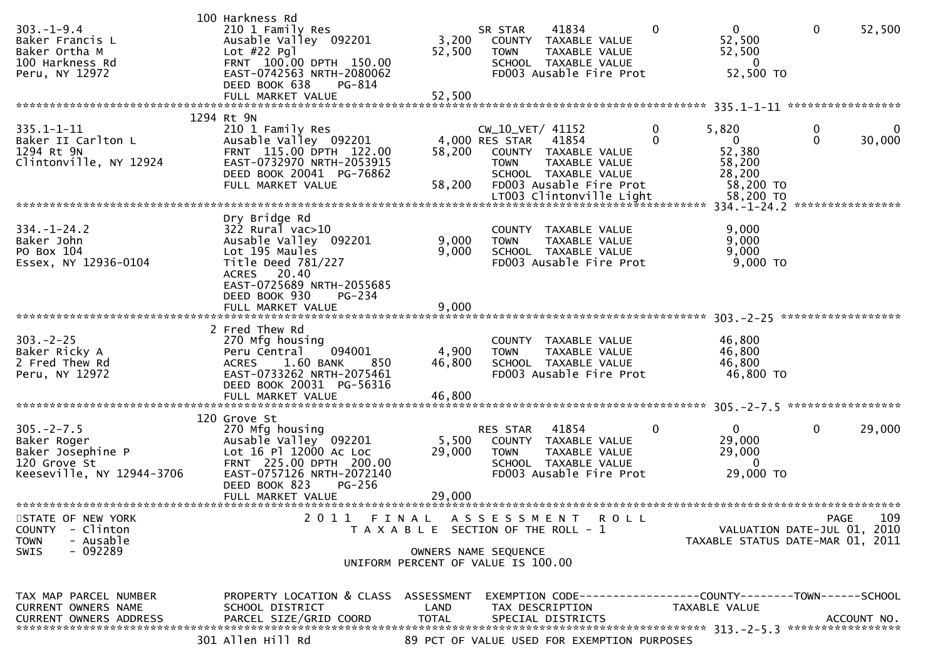| $303. - 1 - 9.4$<br>Baker Francis L<br>Baker Ortha M<br>100 Harkness Rd<br>Peru, NY 12972                                  | 100 Harkness Rd<br>210 1 Family Res<br>Ausable Valley 092201<br>Lot #22 Pgl<br>FRNT 100.00 DPTH 150.00<br>EAST-0742563 NRTH-2080062<br>DEED BOOK 638<br>PG-814<br>FULL MARKET VALUE                                | 3,200<br>52,500<br>52,500                                                                                    | SR STAR<br><b>TOWN</b>                            | 41834<br>COUNTY TAXABLE VALUE<br>TAXABLE VALUE<br>SCHOOL TAXABLE VALUE<br>FD003 Ausable Fire Prot | $\mathbf{0}$  | $\mathbf{0}$<br>52,500<br>52,500<br>$\overline{0}$<br>52,500 TO                                                                                           | $\mathbf 0$   | 52,500<br>*****************            |
|----------------------------------------------------------------------------------------------------------------------------|--------------------------------------------------------------------------------------------------------------------------------------------------------------------------------------------------------------------|--------------------------------------------------------------------------------------------------------------|---------------------------------------------------|---------------------------------------------------------------------------------------------------|---------------|-----------------------------------------------------------------------------------------------------------------------------------------------------------|---------------|----------------------------------------|
| $335.1 - 1 - 11$<br>Baker II Carlton L<br>1294 Rt 9N<br>Clintonville, NY 12924                                             | 1294 Rt 9N<br>210 1 Family Res<br>Ausable Valley 092201<br>FRNT 115.00 DPTH 122.00<br>EAST-0732970 NRTH-2053915<br>DEED BOOK 20041 PG-76862<br>FULL MARKET VALUE                                                   | 58,200<br>58,200                                                                                             | CW_10_VET/ 41152<br>4,000 RES STAR<br><b>TOWN</b> | 41854<br>COUNTY TAXABLE VALUE<br>TAXABLE VALUE<br>SCHOOL TAXABLE VALUE<br>FD003 Ausable Fire Prot | 0<br>$\Omega$ | 5,820<br>$\mathbf{0}$<br>52,380<br>58,200<br>28,200<br>58,200 TO<br>LT003 Clintonville Light 58,200 TO<br>*********************************** 334.-1-24.2 | 0<br>$\Omega$ | $\Omega$<br>30,000<br>**************** |
| $334. - 1 - 24.2$<br>Baker John<br>PO Box 104<br>Essex, NY 12936-0104                                                      | Dry Bridge Rd<br>322 Rural vac>10<br>Ausable Valley 092201<br>Lot 195 Maules<br>Title Deed 781/227<br>ACRES 20.40<br>EAST-0725689 NRTH-2055685<br>DEED BOOK 930<br>$PG-234$                                        | 9,000<br>9,000                                                                                               | <b>TOWN</b>                                       | COUNTY TAXABLE VALUE<br>TAXABLE VALUE<br>SCHOOL TAXABLE VALUE<br>FD003 Ausable Fire Prot          |               | 9,000<br>9,000<br>9,000<br>$9,000$ TO                                                                                                                     |               |                                        |
| $303 - 2 - 25$<br>Baker Ricky A<br>2 Fred Thew Rd<br>Peru, NY 12972                                                        | 2 Fred Thew Rd<br>270 Mfg housing<br>094001<br>Peru Central<br>1.60 BANK<br><b>ACRES</b><br>850<br>EAST-0733262 NRTH-2075461<br>DEED BOOK 20031 PG-56316<br>FULL MARKET VALUE<br>********************************* | 4,900<br>46,800<br>46,800                                                                                    | <b>TOWN</b>                                       | COUNTY TAXABLE VALUE<br>TAXABLE VALUE<br>SCHOOL TAXABLE VALUE<br>FD003 Ausable Fire Prot          |               | 46,800<br>46,800<br>46,800<br>46,800 TO                                                                                                                   |               | *****************                      |
| $305. -2 - 7.5$<br>Baker Roger<br>Baker Josephine P<br>120 Grove St<br>Keeseville, NY 12944-3706                           | 120 Grove St<br>270 Mfg housing<br>Ausable Valley 092201<br>Lot 16 Pl 12000 Ac Loc<br>FRNT 225.00 DPTH 200.00<br>EAST-0757126 NRTH-2072140<br>DEED BOOK 823<br>$PG-256$<br>FULL MARKET VALUE                       | 5,500<br>29,000<br>29,000                                                                                    | <b>RES STAR</b><br><b>TOWN</b>                    | 41854<br>COUNTY TAXABLE VALUE<br>TAXABLE VALUE<br>SCHOOL TAXABLE VALUE<br>FD003 Ausable Fire Prot | 0             | $\mathbf{0}$<br>29,000<br>29,000<br>$\Omega$<br>29,000 TO                                                                                                 | $\mathbf{0}$  | 29,000                                 |
| **********************<br>STATE OF NEW YORK<br><b>COUNTY</b><br>- Clinton<br>- Ausable<br><b>TOWN</b><br>$-092289$<br>SWIS | 2011                                                                                                                                                                                                               | FINAL<br>T A X A B L E SECTION OF THE ROLL - 1<br>OWNERS NAME SEQUENCE<br>UNIFORM PERCENT OF VALUE IS 100.00 | A S S E S S M E N T                               |                                                                                                   | R O L L       | VALUATION DATE-JUL 01, 2010<br>TAXABLE STATUS DATE-MAR 01, 2011                                                                                           | <b>PAGE</b>   | 109                                    |
| TAX MAP PARCEL NUMBER<br><b>CURRENT OWNERS NAME</b><br>CURRENT OWNERS ADDRESS                                              | PROPERTY LOCATION & CLASS ASSESSMENT<br>SCHOOL DISTRICT<br>PARCEL SIZE/GRID COORD<br>301 Allen Hill Rd                                                                                                             | LAND<br><b>TOTAL</b>                                                                                         |                                                   | TAX DESCRIPTION<br>SPECIAL DISTRICTS<br>89 PCT OF VALUE USED FOR EXEMPTION PURPOSES               |               | EXEMPTION CODE------------------COUNTY--------TOWN------SCHOOL<br>TAXABLE VALUE                                                                           |               | ACCOUNT NO.                            |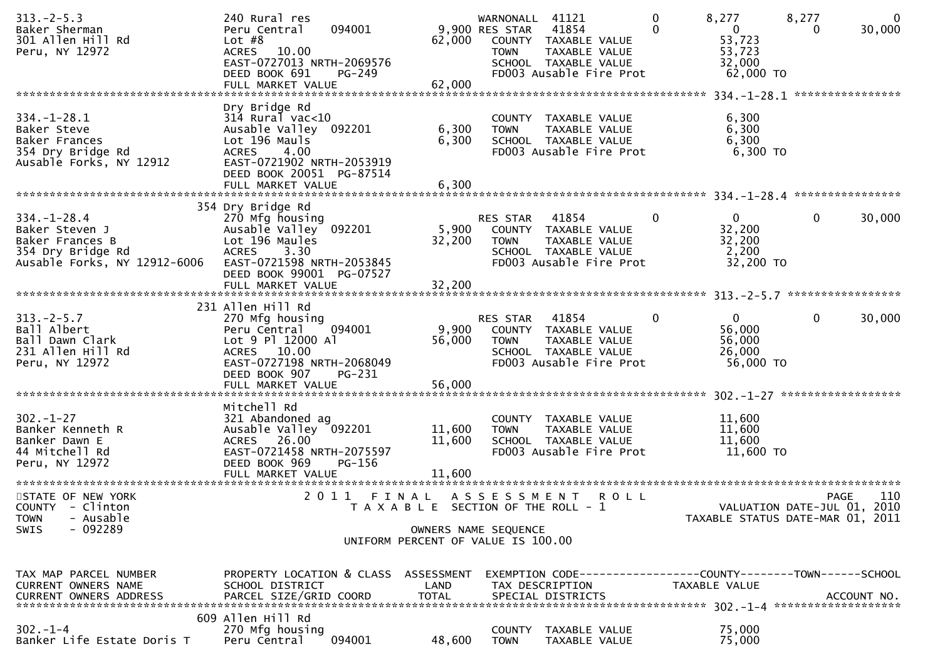| $313 - 2 - 5.3$<br>Baker Sherman<br>301 Allen Hill Rd<br>Peru, NY 12972                                     | 240 Rural res<br>094001<br>Peru Central<br>Lot $#8$<br><b>ACRES</b><br>10.00<br>EAST-0727013 NRTH-2069576<br>DEED BOOK 691<br>$PG-249$<br>FULL MARKET VALUE | 62,000<br>62,000                               | WARNONALL 41121<br>9,900 RES STAR<br><b>TOWN</b> | 41854<br>COUNTY TAXABLE VALUE<br>TAXABLE VALUE<br>SCHOOL TAXABLE VALUE<br>FD003 Ausable Fire Prot    | $\mathbf 0$<br>0 | 8,277<br>$\overline{0}$<br>53,723<br>53,723<br>32,000<br>62,000 TO | 8,277<br>$\Omega$ | $\mathbf 0$<br>30,000 |
|-------------------------------------------------------------------------------------------------------------|-------------------------------------------------------------------------------------------------------------------------------------------------------------|------------------------------------------------|--------------------------------------------------|------------------------------------------------------------------------------------------------------|------------------|--------------------------------------------------------------------|-------------------|-----------------------|
| $334. - 1 - 28.1$                                                                                           | Dry Bridge Rd<br>$314$ Rural vac<10                                                                                                                         |                                                |                                                  | COUNTY TAXABLE VALUE                                                                                 |                  | 6,300                                                              | ****************  |                       |
| Baker Steve<br>Baker Frances<br>354 Dry Bridge Rd<br>Ausable Forks, NY 12912                                | Ausable Valley 092201<br>Lot 196 Mauls<br><b>ACRES</b><br>4.00<br>EAST-0721902 NRTH-2053919<br>DEED BOOK 20051 PG-87514                                     | 6,300<br>6,300                                 | <b>TOWN</b>                                      | TAXABLE VALUE<br>SCHOOL TAXABLE VALUE<br>FD003 Ausable Fire Prot                                     |                  | 6,300<br>6,300<br>6,300 TO                                         |                   |                       |
|                                                                                                             |                                                                                                                                                             |                                                |                                                  |                                                                                                      |                  |                                                                    |                   |                       |
| $334. - 1 - 28.4$<br>Baker Steven J<br>Baker Frances B<br>354 Dry Bridge Rd<br>Ausable Forks, NY 12912-6006 | 354 Dry Bridge Rd<br>270 Mfg housing<br>Ausable Valley 092201<br>Lot 196 Maules<br>3.30<br><b>ACRES</b><br>EAST-0721598 NRTH-2053845                        | 5,900<br>32,200                                | RES STAR<br><b>TOWN</b>                          | 41854<br>COUNTY TAXABLE VALUE<br>TAXABLE VALUE<br>SCHOOL TAXABLE VALUE<br>FD003 Ausable Fire Prot    | $\Omega$         | $\mathbf{0}$<br>32,200<br>32,200<br>2,200<br>32,200 TO             | $\mathbf{0}$      | 30,000                |
|                                                                                                             | DEED BOOK 99001 PG-07527<br>FULL MARKET VALUE                                                                                                               | 32,200                                         |                                                  |                                                                                                      |                  |                                                                    |                   |                       |
| $313 - 2 - 5.7$<br>Ball Albert<br>Ball Dawn Clark<br>231 Allen Hill Rd<br>Peru, NY 12972                    | 231 Allen Hill Rd<br>270 Mfg housing<br>094001<br>Peru Central<br>Lot 9 Pl 12000 Al<br>ACRES 10.00<br>EAST-0727198 NRTH-2068049                             | 9,900<br>56,000                                | RES STAR<br><b>TOWN</b>                          | 41854<br>COUNTY TAXABLE VALUE<br>TAXABLE VALUE<br>SCHOOL TAXABLE VALUE<br>FD003 Ausable Fire Prot    | $\Omega$         | $\mathbf{0}$<br>56,000<br>56,000<br>26,000<br>56,000 TO            | 0                 | 30,000                |
|                                                                                                             | DEED BOOK 907<br>PG-231<br>FULL MARKET VALUE                                                                                                                | 56,000                                         |                                                  |                                                                                                      |                  |                                                                    |                   |                       |
|                                                                                                             | Mitchell Rd                                                                                                                                                 |                                                |                                                  |                                                                                                      |                  |                                                                    |                   |                       |
| $302 - 1 - 27$<br>Banker Kenneth R<br>Banker Dawn E<br>44 Mitchell Rd<br>Peru, NY 12972                     | 321 Abandoned ag<br>Ausable Valley 092201<br>ACRES 26.00<br>EAST-0721458 NRTH-2075597<br>DEED BOOK 969<br>PG-156                                            | 11,600<br>11,600                               | <b>TOWN</b>                                      | COUNTY TAXABLE VALUE<br>TAXABLE VALUE<br>SCHOOL TAXABLE VALUE<br>FD003 Ausable Fire Prot             |                  | 11,600<br>11,600<br>11,600<br>11,600 TO                            |                   |                       |
|                                                                                                             |                                                                                                                                                             |                                                |                                                  |                                                                                                      |                  |                                                                    |                   |                       |
| STATE OF NEW YORK<br>COUNTY - Clinton<br><b>TOWN</b><br>- Ausable                                           | 2011                                                                                                                                                        | FINAL<br>T A X A B L E SECTION OF THE ROLL - 1 | A S S E S S M E N T                              | R O L L                                                                                              |                  | VALUATION DATE-JUL 01,<br>TAXABLE STATUS DATE-MAR 01, 2011         | PAGE              | 110<br>2010           |
| $-092289$<br><b>SWIS</b>                                                                                    |                                                                                                                                                             | UNIFORM PERCENT OF VALUE IS 100.00             | OWNERS NAME SEQUENCE                             |                                                                                                      |                  |                                                                    |                   |                       |
| TAX MAP PARCEL NUMBER<br>CURRENT OWNERS NAME<br><b>CURRENT OWNERS ADDRESS</b>                               | PROPERTY LOCATION & CLASS ASSESSMENT<br>SCHOOL DISTRICT<br>PARCEL SIZE/GRID COORD                                                                           | LAND<br><b>TOTAL</b>                           |                                                  | EXEMPTION CODE-----------------COUNTY-------TOWN------SCHOOL<br>TAX DESCRIPTION<br>SPECIAL DISTRICTS |                  | TAXABLE VALUE                                                      |                   | ACCOUNT NO.           |
| $302 - 1 - 4$<br>Banker Life Estate Doris T                                                                 | 609 Allen Hill Rd<br>270 Mfg housing<br>094001<br>Peru Central                                                                                              | 48,600                                         | COUNTY<br><b>TOWN</b>                            | TAXABLE VALUE<br><b>TAXABLE VALUE</b>                                                                |                  | 75,000<br>75,000                                                   |                   |                       |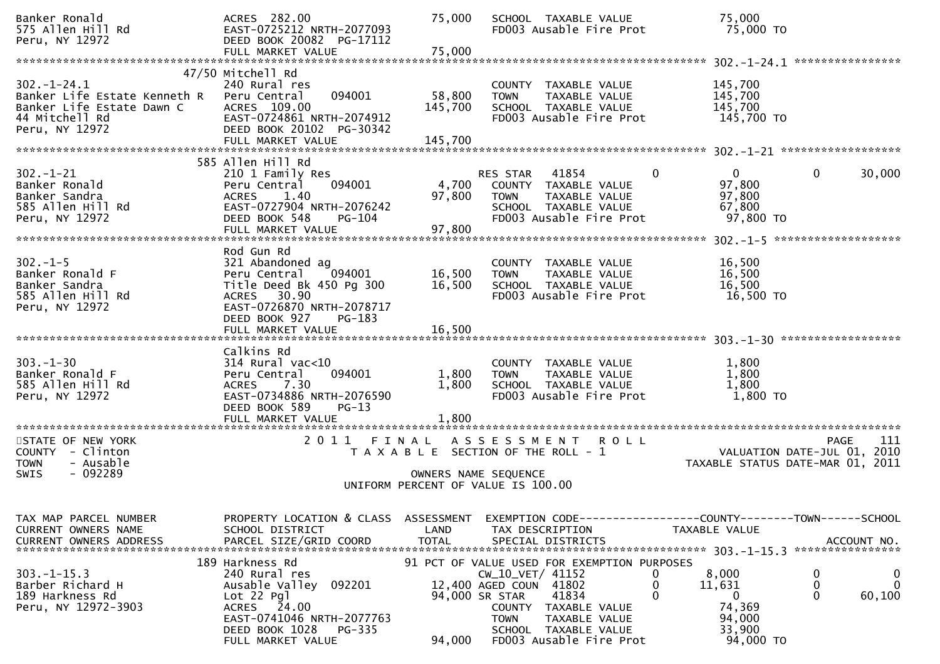| Banker Ronald<br>575 Allen Hill Rd<br>Peru, NY 12972                                                              | ACRES 282.00<br>EAST-0725212 NRTH-2077093<br>DEED BOOK 20082 PG-17112                                                                                                  | 75,000                             | SCHOOL TAXABLE VALUE<br>FD003 Ausable Fire Prot                                                                                                                                                                                         | 75,000<br>75,000 TO                                                        |                                                             |
|-------------------------------------------------------------------------------------------------------------------|------------------------------------------------------------------------------------------------------------------------------------------------------------------------|------------------------------------|-----------------------------------------------------------------------------------------------------------------------------------------------------------------------------------------------------------------------------------------|----------------------------------------------------------------------------|-------------------------------------------------------------|
|                                                                                                                   |                                                                                                                                                                        |                                    |                                                                                                                                                                                                                                         |                                                                            |                                                             |
| $302 - 1 - 24.1$<br>Banker Life Estate Kenneth R<br>Banker Life Estate Dawn C<br>44 Mitchell Rd<br>Peru, NY 12972 | 47/50 Mitchell Rd<br>240 Rural res<br>094001<br>Peru Central<br>ACRES 109.00<br>EAST-0724861 NRTH-2074912<br>DEED BOOK 20102 PG-30342                                  | 58,800<br>145,700                  | COUNTY TAXABLE VALUE<br>TAXABLE VALUE<br><b>TOWN</b><br>SCHOOL TAXABLE VALUE<br>FD003 Ausable Fire Prot                                                                                                                                 | 145,700<br>145,700<br>145,700<br>145,700 TO                                |                                                             |
|                                                                                                                   | FULL MARKET VALUE                                                                                                                                                      | 145,700                            |                                                                                                                                                                                                                                         |                                                                            |                                                             |
|                                                                                                                   |                                                                                                                                                                        |                                    |                                                                                                                                                                                                                                         |                                                                            |                                                             |
| $302 - 1 - 21$<br>Banker Ronald<br>Banker Sandra<br>585 Allen Hill Rd<br>Peru, NY 12972                           | 585 Allen Hill Rd<br>210 1 Family Res<br>094001<br>Peru Central<br>1.40<br><b>ACRES</b><br>EAST-0727904 NRTH-2076242<br>DEED BOOK 548<br>PG-104                        | 4,700<br>97,800                    | RES STAR<br>41854<br>0<br>COUNTY TAXABLE VALUE<br>TAXABLE VALUE<br><b>TOWN</b><br>SCHOOL TAXABLE VALUE<br>FD003 Ausable Fire Prot                                                                                                       | $\overline{0}$<br>97,800<br>97,800<br>67,800<br>97,800 TO                  | 0<br>30,000                                                 |
|                                                                                                                   |                                                                                                                                                                        |                                    |                                                                                                                                                                                                                                         |                                                                            | *******************                                         |
| $302 - 1 - 5$<br>Banker Ronald F<br>Banker Sandra<br>585 Allen Hill Rd<br>Peru, NY 12972                          | Rod Gun Rd<br>321 Abandoned ag<br>Peru Central<br>094001<br>Title Deed Bk 450 Pg 300<br>ACRES 30.90<br>EAST-0726870 NRTH-2078717                                       | 16,500<br>16,500                   | COUNTY TAXABLE VALUE<br>TAXABLE VALUE<br><b>TOWN</b><br>SCHOOL TAXABLE VALUE<br>FD003 Ausable Fire Prot                                                                                                                                 | 16,500<br>16,500<br>16,500<br>16,500 TO                                    |                                                             |
|                                                                                                                   | DEED BOOK 927<br>PG-183<br>FULL MARKET VALUE                                                                                                                           | 16,500                             |                                                                                                                                                                                                                                         |                                                                            |                                                             |
|                                                                                                                   |                                                                                                                                                                        |                                    |                                                                                                                                                                                                                                         |                                                                            |                                                             |
| $303 - 1 - 30$<br>Banker Ronald F<br>585 Allen Hill Rd<br>Peru, NY 12972                                          | Calkins Rd<br>$314$ Rural vac< $10$<br>Peru Central<br>094001<br><b>ACRES</b><br>7.30<br>EAST-0734886 NRTH-2076590<br>DEED BOOK 589<br>$PG-13$<br>FULL MARKET VALUE    | 1,800<br>1,800<br>1,800            | COUNTY TAXABLE VALUE<br>TAXABLE VALUE<br><b>TOWN</b><br>SCHOOL TAXABLE VALUE<br>FD003 Ausable Fire Prot                                                                                                                                 | 1,800<br>1,800<br>1,800<br>1,800 TO                                        |                                                             |
| STATE OF NEW YORK                                                                                                 | 2011                                                                                                                                                                   | FINAL                              | A S S E S S M E N T<br><b>ROLL</b>                                                                                                                                                                                                      |                                                                            | 111<br><b>PAGE</b>                                          |
| COUNTY - Clinton<br><b>TOWN</b><br>- Ausable<br>$-092289$<br><b>SWIS</b>                                          |                                                                                                                                                                        |                                    | T A X A B L E SECTION OF THE ROLL - 1<br>OWNERS NAME SEQUENCE                                                                                                                                                                           | TAXABLE STATUS DATE-MAR 01, 2011                                           | VALUATION DATE-JUL 01, 2010                                 |
|                                                                                                                   |                                                                                                                                                                        |                                    | UNIFORM PERCENT OF VALUE IS 100.00                                                                                                                                                                                                      |                                                                            |                                                             |
|                                                                                                                   |                                                                                                                                                                        |                                    |                                                                                                                                                                                                                                         |                                                                            |                                                             |
| TAX MAP PARCEL NUMBER<br>CURRENT OWNERS NAME<br><b>CURRENT OWNERS ADDRESS</b>                                     | PROPERTY LOCATION & CLASS<br>SCHOOL DISTRICT<br>PARCEL SIZE/GRID COORD                                                                                                 | ASSESSMENT<br>LAND<br><b>TOTAL</b> | EXEMPTION CODE-----------------COUNTY-------TOWN------SCHOOL<br>TAX DESCRIPTION<br>SPECIAL DISTRICTS                                                                                                                                    | TAXABLE VALUE                                                              | ACCOUNT NO.                                                 |
| $303. -1 - 15.3$<br>Barber Richard H<br>189 Harkness Rd<br>Peru, NY 12972-3903                                    | 189 Harkness Rd<br>240 Rural res<br>Ausable Valley 092201<br>$Lot 22$ Pgl<br>ACRES 24.00<br>EAST-0741046 NRTH-2077763<br>DEED BOOK 1028<br>PG-335<br>FULL MARKET VALUE | 94,000                             | 91 PCT OF VALUE USED FOR EXEMPTION PURPOSES<br>CW_10_VET/ 41152<br>0<br>12,400 AGED COUN 41802<br>0<br>0<br>41834<br>94,000 SR STAR<br>COUNTY TAXABLE VALUE<br>TAXABLE VALUE<br>TOWN<br>SCHOOL TAXABLE VALUE<br>FD003 Ausable Fire Prot | 8,000<br>11,631<br>$\mathbf{0}$<br>74,369<br>94,000<br>33,900<br>94,000 TO | 0<br>$\bf{0}$<br>$\mathbf 0$<br>0<br>$\mathbf{0}$<br>60,100 |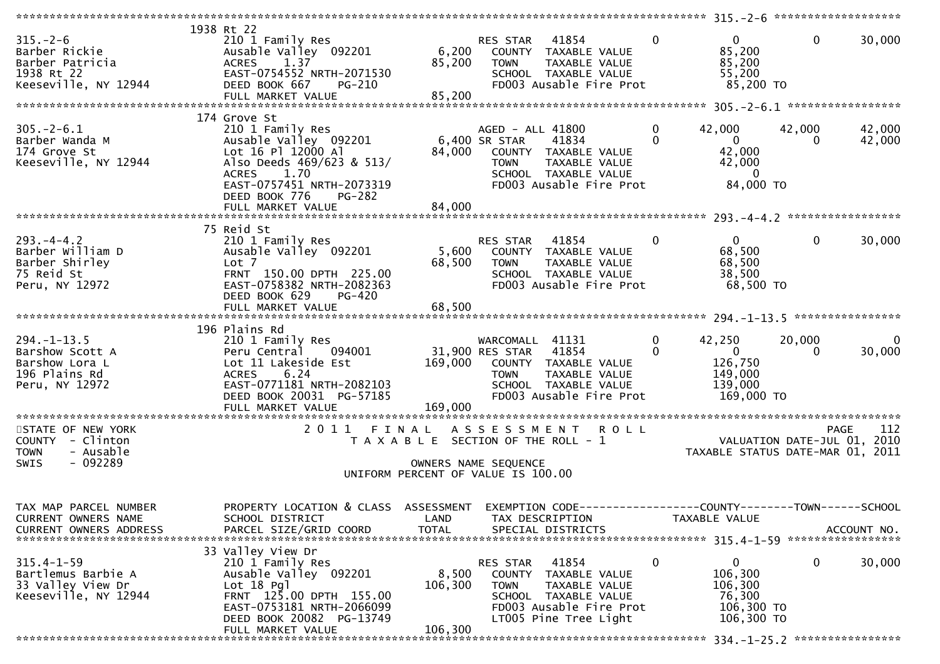| $315. - 2 - 6$<br>Barber Rickie<br>Barber Patricia<br>1938 Rt 22<br>Keeseville, NY 12944 | 1938 Rt 22<br>210 1 Family Res<br>Ausable Valley 092201<br>1.37<br><b>ACRES</b><br>EAST-0754552 NRTH-2071530<br>DEED BOOK 667 PG-210<br>FULL MARKET VALUE                           | 85,200<br>85,200            | RES STAR 41854<br>6,200 COUNTY TAXABLE VALUE<br><b>TOWN</b><br>TAXABLE VALUE<br>SCHOOL TAXABLE VALUE<br>FD003 Ausable Fire Prot                                 | $\overline{0}$           | 0<br>85,200<br>85,200<br>55,200<br>85,200 TO                                                                   | $\mathbf 0$        | 30,000                 |
|------------------------------------------------------------------------------------------|-------------------------------------------------------------------------------------------------------------------------------------------------------------------------------------|-----------------------------|-----------------------------------------------------------------------------------------------------------------------------------------------------------------|--------------------------|----------------------------------------------------------------------------------------------------------------|--------------------|------------------------|
|                                                                                          |                                                                                                                                                                                     |                             |                                                                                                                                                                 |                          |                                                                                                                |                    |                        |
| $305. - 2 - 6.1$<br>Barber Wanda M<br>174 Grove St<br>Keeseville, NY 12944               | 174 Grove St<br>210 1 Family Res<br>Ausable Valley 092201<br>Lot 16 Pl 12000 Al<br>Also Deeds 469/623 & 513/<br>ACRES 1.70<br>EAST-0757451 NRTH-2073319<br>DEED BOOK 776<br>PG-282  | 84,000                      | AGED - ALL 41800<br>6,400 SR STAR<br>41834<br>COUNTY TAXABLE VALUE<br>TAXABLE VALUE<br><b>TOWN</b><br>SCHOOL TAXABLE VALUE<br>FD003 Ausable Fire Prot           | $\mathbf{0}$<br>$\Omega$ | 42,000<br>$\overline{0}$<br>42,000<br>42,000<br>$\mathbf{0}$<br>84,000 TO                                      | 42,000<br>$\Omega$ | 42,000<br>42,000       |
|                                                                                          |                                                                                                                                                                                     |                             |                                                                                                                                                                 |                          |                                                                                                                |                    |                        |
| $293. -4 -4.2$<br>Barber William D<br>Barber Shirley<br>75 Reid St<br>Peru, NY 12972     | 75 Reid St<br>210 1 Family Res<br>Ausable Valley 092201<br>Lot 7<br>FRNT 150.00 DPTH 225.00<br>EAST-0758382 NRTH-2082363<br>DEED BOOK 629<br>PG-420                                 | 68,500                      | RES STAR 41854<br>5,600 COUNTY TAXABLE VALUE<br>TAXABLE VALUE<br><b>TOWN</b><br>SCHOOL TAXABLE VALUE<br>FD003 Ausable Fire Prot                                 | $\overline{0}$           | $\mathbf{0}$<br>68,500<br>68,500<br>38,500<br>68,500 TO                                                        | $\mathbf 0$        | 30,000                 |
|                                                                                          |                                                                                                                                                                                     |                             |                                                                                                                                                                 |                          |                                                                                                                |                    |                        |
| $294. -1 - 13.5$<br>Barshow Scott A<br>Barshow Lora L<br>196 Plains Rd<br>Peru, NY 12972 | 196 Plains Rd<br>210 1 Family Res<br>Peru Central 094001<br>Lot 11 Lakeside Est 169,000 COUNTY TAXABLE VALUE<br>ACRES 6.24<br>EAST-0771181 NRTH-2082103<br>DEED BOOK 20031 PG-57185 | $\frac{1}{\sqrt{2}}$        | WARCOMALL 41131<br>31,900 RES STAR 41854<br><b>TOWN</b><br>TAXABLE VALUE<br>SCHOOL TAXABLE VALUE<br>FD003 Ausable Fire Prot                                     | $\overline{0}$<br>0      | 42,250<br>$\begin{array}{ccc} & & 0 & \end{array}$<br>126,750<br>149,000<br>139,000<br>169,000 TO              | 20,000<br>$\Omega$ | $\mathbf{0}$<br>30,000 |
|                                                                                          |                                                                                                                                                                                     |                             |                                                                                                                                                                 |                          |                                                                                                                |                    |                        |
| STATE OF NEW YORK<br>COUNTY - Clinton<br>- Ausable<br><b>TOWN</b><br>$-092289$<br>SWIS   |                                                                                                                                                                                     |                             | 2011 FINAL ASSESSMENT ROLL<br>T A X A B L E SECTION OF THE ROLL - 1<br>OWNERS NAME SEQUENCE<br>UNIFORM PERCENT OF VALUE IS 100.00                               |                          | PAGE 112<br>VALUATION DATE-JUL 01, 2010<br>TAXARLE STATUS BATE 111-111-211<br>TAXABLE STATUS DATE-MAR 01, 2011 |                    |                        |
|                                                                                          |                                                                                                                                                                                     |                             |                                                                                                                                                                 |                          |                                                                                                                |                    |                        |
| TAX MAP PARCEL NUMBER<br>CURRENT OWNERS NAME<br>CURRENT OWNERS ADDRESS                   | PROPERTY LOCATION & CLASS ASSESSMENT<br>SCHOOL DISTRICT<br>PARCEL SIZE/GRID COORD                                                                                                   | LAND<br><b>TOTAL</b>        | EXEMPTION CODE-----------------COUNTY-------TOWN------SCHOOL<br>TAX DESCRIPTION<br>SPECIAL DISTRICTS                                                            |                          | TAXABLE VALUE                                                                                                  |                    | ACCOUNT NO.            |
|                                                                                          | 33 Valley View Dr                                                                                                                                                                   |                             |                                                                                                                                                                 |                          |                                                                                                                |                    |                        |
| $315.4 - 1 - 59$<br>Bartlemus Barbie A<br>33 Valley View Dr<br>Keeseville, NY 12944      | 210 1 Family Res<br>Ausable Valley 092201<br>$Lot 18$ Pgl<br>FRNT 125.00 DPTH 155.00<br>EAST-0753181 NRTH-2066099<br>DEED BOOK 20082 PG-13749<br>FULL MARKET VALUE                  | 8,500<br>106,300<br>106,300 | 41854<br>RES STAR<br>TAXABLE VALUE<br><b>COUNTY</b><br><b>TOWN</b><br>TAXABLE VALUE<br>SCHOOL TAXABLE VALUE<br>FD003 Ausable Fire Prot<br>LT005 Pine Tree Light | 0                        | 0<br>106,300<br>106,300<br>76,300<br>106,300 TO<br>106,300 ТО                                                  | $\mathbf 0$        | 30,000                 |
|                                                                                          |                                                                                                                                                                                     |                             |                                                                                                                                                                 |                          |                                                                                                                |                    |                        |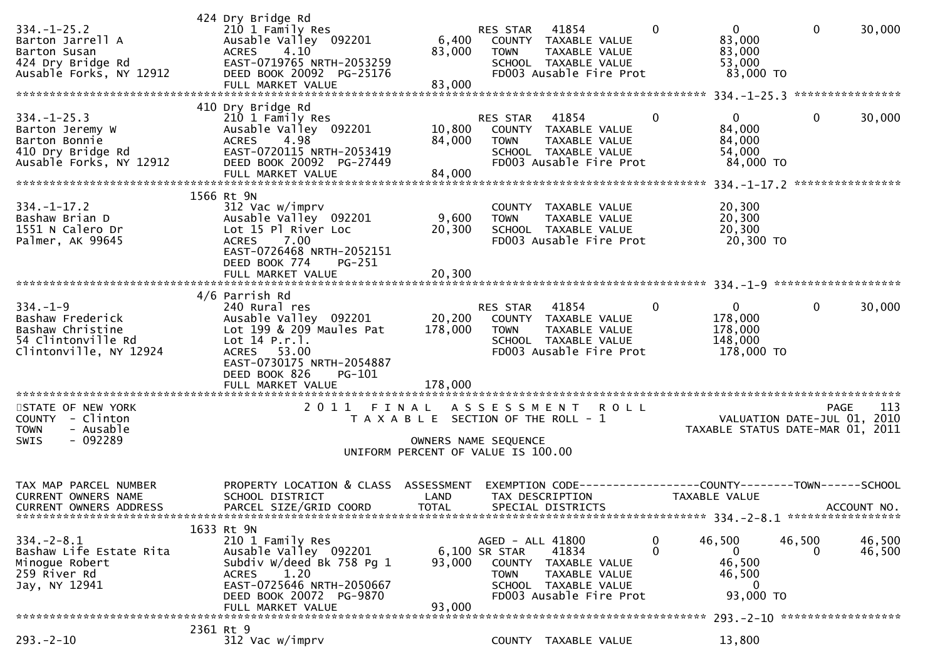| $334. - 1 - 25.2$<br>Barton Jarrell A<br>Barton Susan<br>424 Dry Bridge Rd<br>Ausable Forks, NY 12912  | 424 Dry Bridge Rd<br>210 1 Family Res<br>Ausable Valley 092201<br>4.10<br><b>ACRES</b><br>EAST-0719765 NRTH-2053259<br>DEED BOOK 20092 PG-25176<br>FULL MARKET VALUE | 6,400<br>83,000<br>83,000                                                                           | RES STAR<br><b>TOWN</b>                          | 41854<br>COUNTY TAXABLE VALUE<br>TAXABLE VALUE<br>SCHOOL TAXABLE VALUE<br>FD003 Ausable Fire Prot | $\mathbf{0}$         | $\overline{0}$<br>83,000<br>83,000<br>53,000<br>83,000 TO           | $\mathbf{0}$       | 30,000           |
|--------------------------------------------------------------------------------------------------------|----------------------------------------------------------------------------------------------------------------------------------------------------------------------|-----------------------------------------------------------------------------------------------------|--------------------------------------------------|---------------------------------------------------------------------------------------------------|----------------------|---------------------------------------------------------------------|--------------------|------------------|
|                                                                                                        |                                                                                                                                                                      |                                                                                                     |                                                  |                                                                                                   |                      |                                                                     |                    |                  |
| $334. - 1 - 25.3$<br>Barton Jeremy W<br>Barton Bonnie<br>410 Dry Bridge Rd<br>Ausable Forks, NY 12912  | 410 Dry Bridge Rd<br>210 1 Family Res<br>Ausable Valley 092201<br>4.98<br><b>ACRES</b><br>EAST-0720115 NRTH-2053419<br>DEED BOOK 20092 PG-27449<br>FULL MARKET VALUE | 10,800<br>84,000<br>84,000                                                                          | RES STAR<br><b>TOWN</b>                          | 41854<br>COUNTY TAXABLE VALUE<br>TAXABLE VALUE<br>SCHOOL TAXABLE VALUE<br>FD003 Ausable Fire Prot | 0                    | $\mathbf{0}$<br>84,000<br>84,000<br>54,000<br>84,000 TO             | 0                  | 30,000           |
|                                                                                                        |                                                                                                                                                                      |                                                                                                     |                                                  |                                                                                                   |                      |                                                                     |                    | **************** |
| $334. - 1 - 17.2$<br>Bashaw Brian D<br>1551 N Calero Dr<br>Palmer, AK 99645                            | 1566 Rt 9N<br>312 Vac w/imprv<br>Ausable Valley 092201<br>Lot 15 Pl River Loc<br>7.00<br><b>ACRES</b><br>EAST-0726468 NRTH-2052151<br>DEED BOOK 774<br>PG-251        | 9,600<br>20,300                                                                                     | <b>TOWN</b>                                      | COUNTY TAXABLE VALUE<br>TAXABLE VALUE<br>SCHOOL TAXABLE VALUE<br>FD003 Ausable Fire Prot          |                      | 20,300<br>20,300<br>20,300<br>20,300 TO                             |                    |                  |
|                                                                                                        | FULL MARKET VALUE                                                                                                                                                    | 20,300                                                                                              |                                                  |                                                                                                   |                      |                                                                     |                    |                  |
|                                                                                                        | 4/6 Parrish Rd                                                                                                                                                       |                                                                                                     |                                                  |                                                                                                   |                      |                                                                     |                    |                  |
| $334. - 1 - 9$<br>Bashaw Frederick<br>Bashaw Christine<br>54 Clintonville Rd<br>Clintonville, NY 12924 | 240 Rural res<br>Ausable Valley 092201<br>Lot 199 & 209 Maules Pat<br>Lot $14$ P.r. $1.$<br>ACRES 53.00<br>EAST-0730175 NRTH-2054887<br>DEED BOOK 826<br>PG-101      | 20,200<br>178,000                                                                                   | RES STAR<br><b>TOWN</b>                          | 41854<br>COUNTY TAXABLE VALUE<br>TAXABLE VALUE<br>SCHOOL TAXABLE VALUE<br>FD003 Ausable Fire Prot | $\mathbf{0}$         | $\mathbf{0}$<br>178,000<br>178,000<br>148,000<br>178,000 TO         | $\mathbf{0}$       | 30,000           |
|                                                                                                        | FULL MARKET VALUE                                                                                                                                                    | 178,000                                                                                             |                                                  |                                                                                                   |                      |                                                                     |                    |                  |
| STATE OF NEW YORK<br>COUNTY - Clinton<br>- Ausable<br><b>TOWN</b><br>$-092289$<br>SWIS                 | 2011 FINAL                                                                                                                                                           | T A X A B L E SECTION OF THE ROLL - 1<br>OWNERS NAME SEQUENCE<br>UNIFORM PERCENT OF VALUE IS 100.00 | A S S E S S M E N T                              | <b>ROLL</b>                                                                                       |                      | VALUATION DATE-JUL 01, 2010<br>TAXABLE STATUS DATE-MAR 01, 2011     | <b>PAGE</b>        | 113              |
|                                                                                                        |                                                                                                                                                                      |                                                                                                     |                                                  |                                                                                                   |                      |                                                                     |                    |                  |
| TAX MAP PARCEL NUMBER<br>CURRENT OWNERS NAME<br>CURRENT OWNERS ADDRESS                                 | PROPERTY LOCATION & CLASS<br>SCHOOL DISTRICT<br>PARCEL SIZE/GRID COORD                                                                                               | ASSESSMENT<br>LAND<br>TOTAL                                                                         |                                                  | EXEMPTION CODE---<br>TAX DESCRIPTION<br>SPECIAL DISTRICTS                                         |                      | ---------COUNTY--------TOWN------SCHOOL<br>TAXABLE VALUE            |                    | ACCOUNT NO.      |
|                                                                                                        | 1633 Rt 9N                                                                                                                                                           |                                                                                                     |                                                  |                                                                                                   |                      |                                                                     |                    |                  |
| $334. - 2 - 8.1$<br>Bashaw Life Estate Rita<br>Minoque Robert<br>259 River Rd<br>Jay, NY 12941         | 210 1 Family Res<br>Ausable Valley 092201<br>Subdiv W/deed Bk 758 Pg 1<br>1.20<br>ACRES<br>EAST-0725646 NRTH-2050667<br>DEED BOOK 20072 PG-9870<br>FULL MARKET VALUE | 93,000<br>93,000                                                                                    | AGED - ALL 41800<br>6,100 SR STAR<br><b>TOWN</b> | 41834<br>COUNTY TAXABLE VALUE<br>TAXABLE VALUE<br>SCHOOL TAXABLE VALUE<br>FD003 Ausable Fire Prot | $\bf{0}$<br>$\Omega$ | 46,500<br>$\mathbf{0}$<br>46,500<br>46,500<br>$\Omega$<br>93,000 TO | 46,500<br>$\Omega$ | 46,500<br>46,500 |
| 2361 Rt 9                                                                                              |                                                                                                                                                                      |                                                                                                     |                                                  |                                                                                                   |                      |                                                                     |                    |                  |
| $293 - 2 - 10$                                                                                         | 312 Vac w/imprv                                                                                                                                                      |                                                                                                     |                                                  | COUNTY TAXABLE VALUE                                                                              |                      | 13,800                                                              |                    |                  |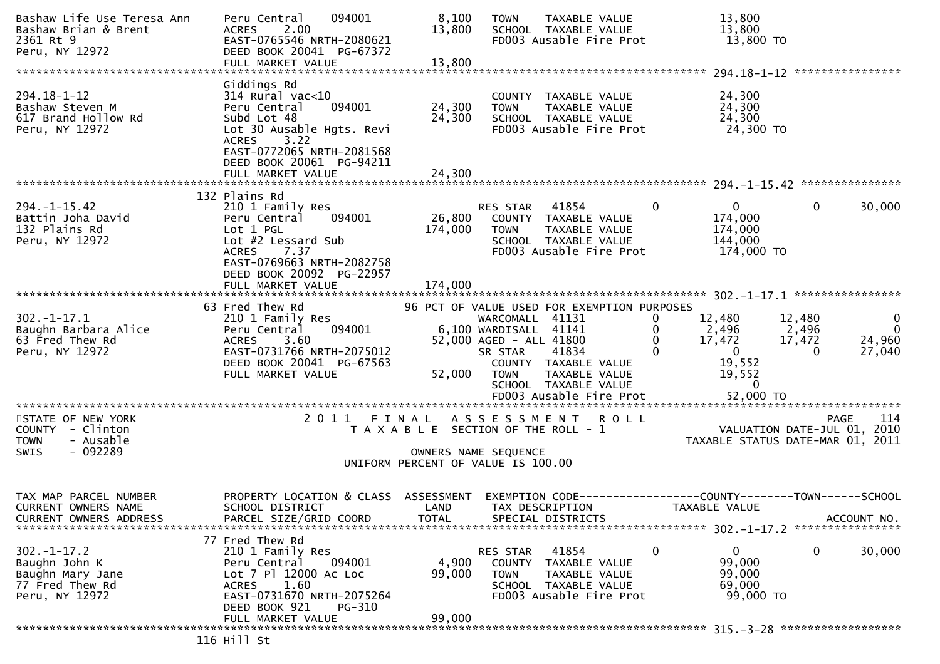| Bashaw Life Use Teresa Ann<br>Bashaw Brian & Brent<br>2361 Rt 9<br>Peru, NY 12972          | 094001<br>Peru Central<br>2.00<br><b>ACRES</b><br>EAST-0765546 NRTH-2080621<br>DEED BOOK 20041 PG-67372<br>FULL MARKET VALUE                                                                | 8,100<br>13,800<br>13,800                                                   | <b>TOWN</b>                                                                                   | TAXABLE VALUE<br>SCHOOL TAXABLE VALUE<br>FD003 Ausable Fire Prot                                                                                 |                                | 13,800<br>13,800<br>13,800 TO                                                            |                                       |                                                               |
|--------------------------------------------------------------------------------------------|---------------------------------------------------------------------------------------------------------------------------------------------------------------------------------------------|-----------------------------------------------------------------------------|-----------------------------------------------------------------------------------------------|--------------------------------------------------------------------------------------------------------------------------------------------------|--------------------------------|------------------------------------------------------------------------------------------|---------------------------------------|---------------------------------------------------------------|
|                                                                                            | Giddings Rd                                                                                                                                                                                 |                                                                             |                                                                                               |                                                                                                                                                  |                                |                                                                                          |                                       |                                                               |
| $294.18 - 1 - 12$<br>Bashaw Steven M<br>617 Brand Hollow Rd<br>Peru, NY 12972              | $314$ Rural vac<10<br>Peru Central<br>094001<br>Subd Lot 48<br>Lot 30 Ausable Hgts. Revi<br>3.22<br><b>ACRES</b><br>EAST-0772065 NRTH-2081568                                               | 24,300<br>24,300                                                            | <b>TOWN</b>                                                                                   | COUNTY TAXABLE VALUE<br>TAXABLE VALUE<br>SCHOOL TAXABLE VALUE<br>FD003 Ausable Fire Prot                                                         |                                | 24,300<br>24,300<br>24,300<br>24,300 TO                                                  |                                       |                                                               |
|                                                                                            | DEED BOOK 20061 PG-94211<br>FULL MARKET VALUE                                                                                                                                               | 24,300                                                                      |                                                                                               |                                                                                                                                                  |                                |                                                                                          |                                       |                                                               |
|                                                                                            | 132 Plains Rd                                                                                                                                                                               |                                                                             |                                                                                               |                                                                                                                                                  |                                |                                                                                          |                                       |                                                               |
| $294. -1 - 15.42$<br>Battin Joha David<br>132 Plains Rd<br>Peru, NY 12972                  | 210 1 Family Res<br>094001<br>Peru Central<br>Lot 1 PGL<br>Lot #2 Lessard Sub<br>7.37<br><b>ACRES</b><br>EAST-0769663 NRTH-2082758                                                          | 26,800<br>174,000                                                           | RES STAR<br><b>TOWN</b>                                                                       | 41854<br>COUNTY TAXABLE VALUE<br>TAXABLE VALUE<br>SCHOOL TAXABLE VALUE<br>FD003 Ausable Fire Prot                                                | $\mathbf{0}$                   | $\mathbf{0}$<br>174,000<br>174,000<br>144,000<br>174,000 TO                              | $\mathbf{0}$                          | 30,000                                                        |
|                                                                                            | DEED BOOK 20092 PG-22957<br>FULL MARKET VALUE                                                                                                                                               | 174,000                                                                     |                                                                                               |                                                                                                                                                  |                                |                                                                                          |                                       |                                                               |
|                                                                                            |                                                                                                                                                                                             |                                                                             |                                                                                               |                                                                                                                                                  |                                |                                                                                          |                                       |                                                               |
| $302 - 1 - 17.1$<br>Baughn Barbara Alice<br>63 Fred Thew Rd<br>Peru, NY 12972              | 63 Fred Thew Rd<br>210 1 Family Res<br>094001<br>Peru Central<br><b>ACRES</b><br>3.60<br>EAST-0731766 NRTH-2075012<br>DEED BOOK 20041 PG-67563<br>FULL MARKET VALUE                         | 52,000                                                                      | WARCOMALL 41131<br>6,100 WARDISALL 41141<br>52,000 AGED - ALL 41800<br>SR STAR<br><b>TOWN</b> | 96 PCT OF VALUE USED FOR EXEMPTION PURPOSES<br>41834<br>COUNTY TAXABLE VALUE<br>TAXABLE VALUE<br>SCHOOL TAXABLE VALUE<br>FD003 Ausable Fire Prot | 0<br>0<br>$\Omega$<br>$\Omega$ | 12,480<br>2,496<br>17,472<br>$\overline{0}$<br>19,552<br>19,552<br>$\bf{0}$<br>52,000 TO | 12,480<br>2,496<br>17,472<br>$\Omega$ | $\overline{0}$<br>$\overline{\mathbf{0}}$<br>24,960<br>27,040 |
| STATE OF NEW YORK                                                                          |                                                                                                                                                                                             |                                                                             |                                                                                               | 2011 FINAL ASSESSMENT ROLL                                                                                                                       |                                |                                                                                          | PAGE                                  | 114                                                           |
| COUNTY - Clinton<br>- Ausable<br><b>TOWN</b><br>- 092289<br>SWIS                           |                                                                                                                                                                                             | T A X A B L E SECTION OF THE ROLL - 1<br>UNIFORM PERCENT OF VALUE IS 100.00 | OWNERS NAME SEQUENCE                                                                          |                                                                                                                                                  |                                | VALUATION DATE-JUL 01, 2010<br>TAXABLE STATUS DATE-MAR 01, 2011                          |                                       |                                                               |
|                                                                                            |                                                                                                                                                                                             |                                                                             |                                                                                               |                                                                                                                                                  |                                |                                                                                          |                                       |                                                               |
| TAX MAP PARCEL NUMBER<br>CURRENT OWNERS NAME<br><b>CURRENT OWNERS ADDRESS</b>              | PROPERTY LOCATION & CLASS ASSESSMENT<br>SCHOOL DISTRICT<br>PARCEL SIZE/GRID COORD                                                                                                           | LAND<br><b>TOTAL</b>                                                        |                                                                                               | EXEMPTION CODE-----------------COUNTY-------TOWN------SCHOOL<br>TAX DESCRIPTION<br>SPECIAL DISTRICTS                                             | TAXABLE VALUE                  |                                                                                          | ****************                      | ACCOUNT NO.                                                   |
| $302 - 1 - 17.2$<br>Baughn John K<br>Baughn Mary Jane<br>77 Fred Thew Rd<br>Peru, NY 12972 | 77 Fred Thew Rd<br>210 1 Family Res<br>Peru Central<br>094001<br>Lot 7 Pl 12000 Ac Loc<br>1.60<br><b>ACRES</b><br>EAST-0731670 NRTH-2075264<br>DEED BOOK 921<br>PG-310<br>FULL MARKET VALUE | 4,900<br>99,000<br>99,000                                                   | RES STAR<br><b>COUNTY</b><br><b>TOWN</b>                                                      | 41854<br>TAXABLE VALUE<br>TAXABLE VALUE<br>SCHOOL TAXABLE VALUE<br>FD003 Ausable Fire Prot                                                       | 0                              | 0<br>99,000<br>99,000<br>69,000<br>99,000 TO                                             | 0                                     | 30,000                                                        |
|                                                                                            |                                                                                                                                                                                             |                                                                             |                                                                                               |                                                                                                                                                  |                                |                                                                                          |                                       |                                                               |
|                                                                                            | 116 Hill St                                                                                                                                                                                 |                                                                             |                                                                                               |                                                                                                                                                  |                                |                                                                                          |                                       |                                                               |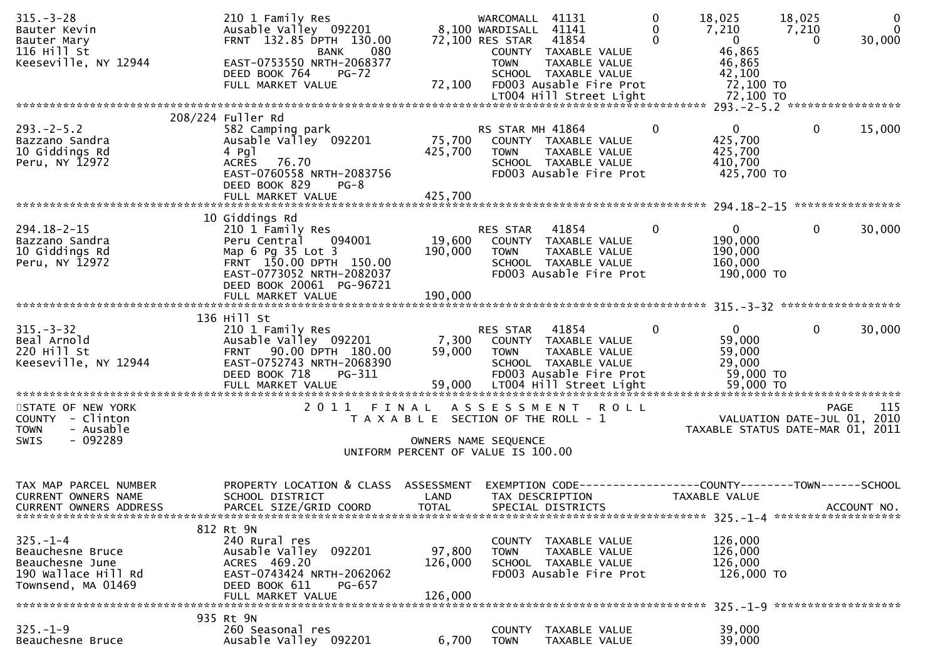| $315. - 3 - 28$<br>Bauter Kevin<br>Bauter Mary<br>116 Hill St<br>Keeseville, NY 12944              | 210 1 Family Res<br>Ausable Valley 092201<br>FRNT 132.85 DPTH 130.00<br>080<br><b>BANK</b><br>EAST-0753550 NRTH-2068377<br>DEED BOOK 764<br><b>PG-72</b><br>FULL MARKET VALUE | 72,100                                | WARCOMALL<br>8,100 WARDISALL 41141<br>72,100 RES STAR<br><b>TOWN</b> | 41131<br>41854<br>COUNTY TAXABLE VALUE<br>TAXABLE VALUE<br>SCHOOL TAXABLE VALUE<br>FD003 Ausable Fire Prot                   | 0<br>0<br>$\Omega$ | 18,025<br>7,210<br>$\overline{0}$<br>46,865<br>46,865<br>42,100<br>72,100 TO | 18,025<br>7,210<br>$\Omega$                | $\mathbf 0$<br>$\mathbf{0}$<br>30,000 |
|----------------------------------------------------------------------------------------------------|-------------------------------------------------------------------------------------------------------------------------------------------------------------------------------|---------------------------------------|----------------------------------------------------------------------|------------------------------------------------------------------------------------------------------------------------------|--------------------|------------------------------------------------------------------------------|--------------------------------------------|---------------------------------------|
|                                                                                                    |                                                                                                                                                                               |                                       |                                                                      |                                                                                                                              |                    |                                                                              |                                            |                                       |
| $293. - 2 - 5.2$<br>Bazzano Sandra<br>10 Giddings Rd<br>Peru, NY 12972                             | 208/224 Fuller Rd<br>582 Camping park<br>Ausable Valley 092201<br>4 $Pg$ ]<br>76.70<br><b>ACRES</b><br>EAST-0760558 NRTH-2083756<br>DEED BOOK 829<br>$PG-8$                   | 75,700<br>425,700                     | RS STAR MH 41864<br><b>TOWN</b>                                      | COUNTY TAXABLE VALUE<br>TAXABLE VALUE<br>SCHOOL TAXABLE VALUE<br>FD003 Ausable Fire Prot                                     | $\mathbf 0$        | $\mathbf 0$<br>425,700<br>425,700<br>410,700<br>425,700 TO                   | $\mathbf 0$                                | 15,000                                |
|                                                                                                    |                                                                                                                                                                               |                                       |                                                                      |                                                                                                                              |                    |                                                                              |                                            |                                       |
|                                                                                                    | 10 Giddings Rd                                                                                                                                                                |                                       |                                                                      |                                                                                                                              |                    |                                                                              |                                            |                                       |
| $294.18 - 2 - 15$<br>Bazzano Sandra<br>10 Giddings Rd<br>Peru, NY 12972                            | 210 1 Family Res<br>Peru Central<br>094001<br>Map 6 Pg 35 Lot 3<br>FRNT 150.00 DPTH 150.00<br>EAST-0773052 NRTH-2082037<br>DEED BOOK 20061 PG-96721                           | 19,600<br>190,000                     | RES STAR<br><b>TOWN</b>                                              | 41854<br>COUNTY TAXABLE VALUE<br>TAXABLE VALUE<br>SCHOOL TAXABLE VALUE<br>FD003 Ausable Fire Prot                            | $\mathbf 0$        | $\overline{0}$<br>190,000<br>190,000<br>160,000<br>190,000 TO                | $\mathbf{0}$                               | 30,000                                |
|                                                                                                    | FULL MARKET VALUE                                                                                                                                                             | 190,000                               |                                                                      |                                                                                                                              |                    |                                                                              |                                            |                                       |
|                                                                                                    | 136 Hill St                                                                                                                                                                   |                                       |                                                                      |                                                                                                                              |                    |                                                                              |                                            |                                       |
| $315 - 3 - 32$<br>Beal Arnold<br>220 Hill St<br>Keeseville, NY 12944                               | 210 1 Family Res<br>Ausable Valley 092201<br>90.00 DPTH 180.00<br><b>FRNT</b><br>EAST-0752743 NRTH-2068390<br>DEED BOOK 718<br>PG-311<br>FULL MARKET VALUE                    | 7,300<br>59,000<br>59,000             | RES STAR<br><b>TOWN</b>                                              | 41854<br>COUNTY TAXABLE VALUE<br>TAXABLE VALUE<br>SCHOOL TAXABLE VALUE<br>FD003 Ausable Fire Prot<br>LT004 Hill Street Light | $\Omega$           | $\mathbf{0}$<br>59,000<br>59,000<br>29,000<br>59,000 TO<br>59,000 TO         | $\mathbf{0}$                               | 30,000                                |
| STATE OF NEW YORK<br>COUNTY - Clinton<br>- Ausable<br><b>TOWN</b>                                  | 2011<br>FINAL                                                                                                                                                                 | T A X A B L E SECTION OF THE ROLL - 1 | ASSESSMENT                                                           | <b>ROLL</b>                                                                                                                  |                    | TAXABLE STATUS DATE-MAR 01, 2011                                             | <b>PAGE</b><br>VALUATION DATE-JUL 01, 2010 | 115                                   |
| - 092289<br><b>SWIS</b><br>OWNERS NAME SEQUENCE                                                    |                                                                                                                                                                               |                                       |                                                                      |                                                                                                                              |                    |                                                                              |                                            |                                       |
| UNIFORM PERCENT OF VALUE IS 100.00                                                                 |                                                                                                                                                                               |                                       |                                                                      |                                                                                                                              |                    |                                                                              |                                            |                                       |
| TAX MAP PARCEL NUMBER<br><b>CURRENT OWNERS NAME</b><br><b>CURRENT OWNERS ADDRESS</b>               | PROPERTY LOCATION & CLASS ASSESSMENT<br>SCHOOL DISTRICT<br>PARCEL SIZE/GRID COORD                                                                                             | LAND<br><b>TOTAL</b>                  |                                                                      | EXEMPTION CODE------------------COUNTY--------TOWN------SCHOOL<br>TAX DESCRIPTION<br>SPECIAL DISTRICTS                       |                    | TAXABLE VALUE                                                                |                                            | ACCOUNT NO.                           |
| 812 Rt 9N                                                                                          |                                                                                                                                                                               |                                       |                                                                      |                                                                                                                              |                    |                                                                              |                                            |                                       |
| $325. - 1 - 4$<br>Beauchesne Bruce<br>Beauchesne June<br>190 Wallace Hill Rd<br>Townsend, MA 01469 | 240 Rural res<br>Ausable Valley 092201<br>ACRES 469.20<br>EAST-0743424 NRTH-2062062<br>DEED BOOK 611<br>PG-657                                                                | 97,800<br>126,000                     | <b>TOWN</b>                                                          | COUNTY TAXABLE VALUE<br>TAXABLE VALUE<br>SCHOOL TAXABLE VALUE<br>FD003 Ausable Fire Prot                                     |                    | 126,000<br>126,000<br>126,000<br>126,000 TO                                  |                                            |                                       |
| 126,000<br>FULL MARKET VALUE                                                                       |                                                                                                                                                                               |                                       |                                                                      |                                                                                                                              |                    |                                                                              |                                            |                                       |
| $325. - 1 - 9$<br>Beauchesne Bruce                                                                 | 935 Rt 9N<br>260 Seasonal res<br>Ausable Valley 092201                                                                                                                        | 6,700                                 | COUNTY<br><b>TOWN</b>                                                | TAXABLE VALUE<br>TAXABLE VALUE                                                                                               |                    | 39,000<br>39,000                                                             |                                            |                                       |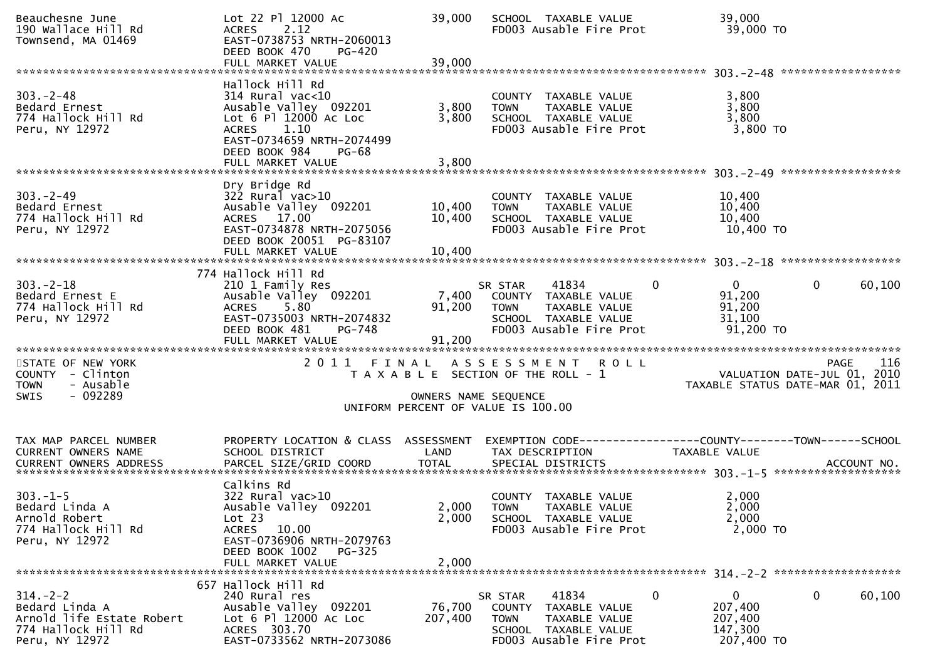| Beauchesne June<br>190 Wallace Hill Rd<br>Townsend, MA 01469                                           | Lot 22 Pl 12000 Ac<br>2.12<br><b>ACRES</b><br>EAST-0738753 NRTH-2060013<br>DEED BOOK 470<br>PG-420<br>FULL MARKET VALUE                                        | 39,000<br>39,000          | SCHOOL TAXABLE VALUE<br>FD003 Ausable Fire Prot                                                                                   | 39,000<br>39,000 TO                                                       |                    |
|--------------------------------------------------------------------------------------------------------|----------------------------------------------------------------------------------------------------------------------------------------------------------------|---------------------------|-----------------------------------------------------------------------------------------------------------------------------------|---------------------------------------------------------------------------|--------------------|
|                                                                                                        | Hallock Hill Rd                                                                                                                                                |                           |                                                                                                                                   |                                                                           |                    |
| $303 - 2 - 48$<br>Bedard Ernest<br>774 Hallock Hill Rd<br>Peru, NY 12972                               | 314 Rural vac<10<br>Ausable Valley 092201<br>Lot 6 Pl 12000 Ac Loc<br>1.10<br><b>ACRES</b><br>EAST-0734659 NRTH-2074499<br>DEED BOOK 984<br><b>PG-68</b>       | 3,800<br>3,800            | COUNTY TAXABLE VALUE<br><b>TOWN</b><br>TAXABLE VALUE<br>SCHOOL TAXABLE VALUE<br>FD003 Ausable Fire Prot                           | 3,800<br>3,800<br>3,800<br>$3,800$ TO                                     |                    |
|                                                                                                        | FULL MARKET VALUE                                                                                                                                              | 3,800                     |                                                                                                                                   |                                                                           |                    |
| $303 - 2 - 49$<br>Bedard Ernest<br>774 Hallock Hill Rd<br>Peru, NY 12972                               | Dry Bridge Rd<br>$322$ Rural vac $>10$<br>Ausable Valley 092201<br>ACRES 17.00<br>EAST-0734878 NRTH-2075056<br>DEED BOOK 20051 PG-83107                        | 10,400<br>10,400          | COUNTY TAXABLE VALUE<br><b>TOWN</b><br>TAXABLE VALUE<br>SCHOOL TAXABLE VALUE<br>FD003 Ausable Fire Prot                           | 10,400<br>10,400<br>10,400<br>10,400 TO                                   |                    |
|                                                                                                        | FULL MARKET VALUE                                                                                                                                              | 10,400                    |                                                                                                                                   |                                                                           |                    |
| $303 - 2 - 18$<br>Bedard Ernest E<br>774 Hallock Hill Rd<br>Peru, NY 12972                             | 774 Hallock Hill Rd<br>210 1 Family Res<br>Ausable Valley 092201<br>ACRES 5.80<br>EAST-0735003 NRTH-2074832<br>DEED BOOK 481<br>PG-748<br>FULL MARKET VALUE    | 7,400<br>91,200<br>91,200 | 41834<br>SR STAR<br>COUNTY TAXABLE VALUE<br>TAXABLE VALUE<br><b>TOWN</b><br>SCHOOL TAXABLE VALUE<br>FD003 Ausable Fire Prot       | $\mathbf{0}$<br>$\mathbf{0}$<br>91,200<br>91,200<br>31,100<br>91,200 TO   | $\Omega$<br>60,100 |
| STATE OF NEW YORK<br>COUNTY - Clinton<br>- Ausable<br><b>TOWN</b><br>$-092289$<br><b>SWIS</b>          |                                                                                                                                                                |                           | 2011 FINAL ASSESSMENT ROLL<br>T A X A B L E SECTION OF THE ROLL - 1<br>OWNERS NAME SEQUENCE<br>UNIFORM PERCENT OF VALUE IS 100.00 | VALUATION DATE-JUL 01, 2010<br>TAXABLE STATUS DATE-MAR 01, 2011           | <b>PAGE</b><br>116 |
|                                                                                                        |                                                                                                                                                                |                           |                                                                                                                                   |                                                                           |                    |
| TAX MAP PARCEL NUMBER<br>CURRENT OWNERS NAME                                                           | PROPERTY LOCATION & CLASS ASSESSMENT<br>SCHOOL DISTRICT                                                                                                        | LAND                      | TAX DESCRIPTION                                                                                                                   | <b>TAXABLE VALUE</b>                                                      |                    |
| $303. -1 - 5$<br>Bedard Linda A<br>Arnold Robert<br>774 Hallock Hill Rd<br>Peru, NY 12972              | Calkins Rd<br>322 Rural vac>10<br>Ausable Valley 092201<br>Lot 23<br>ACRES 10.00<br>EAST-0736906 NRTH-2079763<br>DEED BOOK 1002<br>PG-325<br>FULL MARKET VALUE | 2,000<br>2,000            | COUNTY TAXABLE VALUE<br>2,000 TOWN TAXABLE VALUE<br>SCHOOL TAXABLE VALUE<br>FD003 Ausable Fire Prot                               | 2,000<br>2,000<br>2,000<br>2,000 TO                                       |                    |
| $314. - 2 - 2$<br>Bedard Linda A<br>Arnold life Estate Robert<br>774 Hallock Hill Rd<br>Peru, NY 12972 | 657 Hallock Hill Rd<br>240 Rural res<br>Ausable Valley 092201<br>Lot 6 Pl 12000 Ac Loc<br>ACRES 303.70<br>EAST-0733562 NRTH-2073086                            | 76,700<br>207,400         | 41834<br>SR STAR<br>COUNTY TAXABLE VALUE<br>TAXABLE VALUE<br><b>TOWN</b><br>SCHOOL TAXABLE VALUE<br>FD003 Ausable Fire Prot       | $\bf{0}$<br>$\overline{0}$<br>207,400<br>207,400<br>147,300<br>207,400 TO | 0<br>60,100        |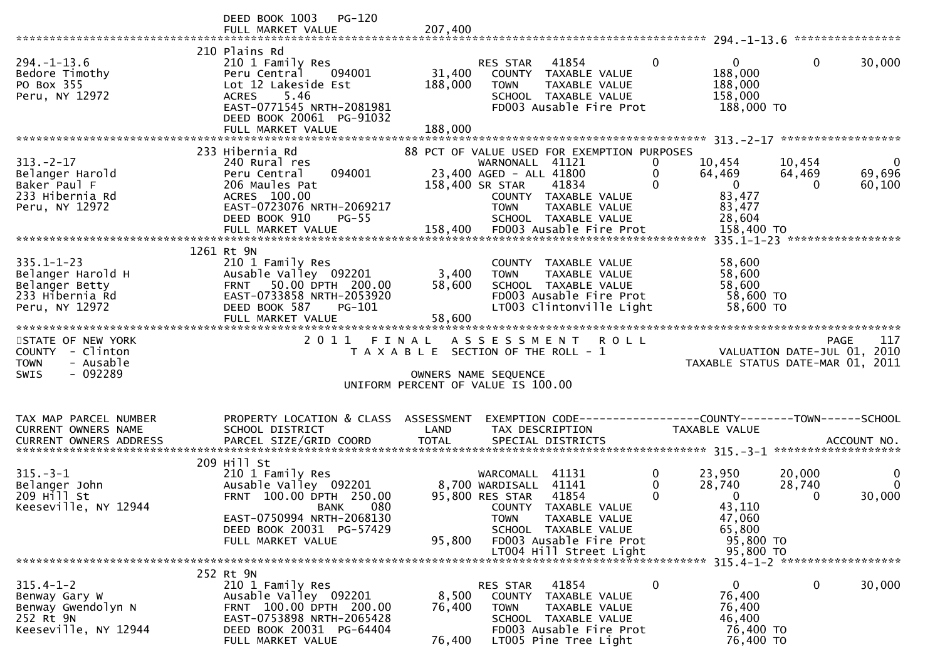|                                                                                               | <b>PG-120</b><br>DEED BOOK 1003                                                                                                                                                                                                                                                |                              |                                                                                                                                                                                                |                                                                                                                            |                                                                                                      |
|-----------------------------------------------------------------------------------------------|--------------------------------------------------------------------------------------------------------------------------------------------------------------------------------------------------------------------------------------------------------------------------------|------------------------------|------------------------------------------------------------------------------------------------------------------------------------------------------------------------------------------------|----------------------------------------------------------------------------------------------------------------------------|------------------------------------------------------------------------------------------------------|
| $294. - 1 - 13.6$<br>Bedore Timothy<br>PO Box 355<br>Peru, NY 12972                           | 210 Plains Rd<br>210 1 Family Res<br>094001<br>Peru Central<br>Lot 12 Lakeside Est<br>5.46<br><b>ACRES</b><br>EAST-0771545 NRTH-2081981<br>DEED BOOK 20061 PG-91032<br>FULL MARKET VALUE                                                                                       | 31,400<br>188,000<br>188,000 | 41854<br>RES STAR<br>COUNTY TAXABLE VALUE<br>TAXABLE VALUE<br><b>TOWN</b><br>SCHOOL TAXABLE VALUE<br>FD003 Ausable Fire Prot                                                                   | $\mathbf{0}$<br>$\mathbf{0}$<br>188,000<br>188,000<br>158,000<br>188,000 TO                                                | $\mathbf 0$<br>30,000                                                                                |
|                                                                                               |                                                                                                                                                                                                                                                                                |                              |                                                                                                                                                                                                |                                                                                                                            |                                                                                                      |
| $313 - 2 - 17$<br>Belanger Harold<br>Baker Paul F<br>233 Hibernia Rd<br>Peru, NY 12972        | 233 Hibernia Rd<br>240 Rural res<br>094001<br>Peru Central<br>206 Maules Pat<br>ACRES 100.00<br>EAST-0723076 NRTH-2069217<br>DEED BOOK 910<br>$PG-55$                                                                                                                          |                              | 88 PCT OF VALUE USED FOR EXEMPTION PURPOSES<br>WARNONALL 41121<br>23,400 AGED - ALL 41800<br>158,400 SR STAR<br>41834<br>COUNTY TAXABLE VALUE<br>TAXABLE VALUE<br>TOWN<br>SCHOOL TAXABLE VALUE | $\bf{0}$<br>10,454<br>64,469<br>0<br>$\Omega$<br>$\overline{0}$<br>83,477<br>83,477<br>28,604                              | - 0<br>10,454<br>64,469<br>69,696<br>$\Omega$<br>60,100                                              |
|                                                                                               | 1261 Rt 9N                                                                                                                                                                                                                                                                     |                              |                                                                                                                                                                                                |                                                                                                                            |                                                                                                      |
| $335.1 - 1 - 23$<br>Belanger Harold H<br>Belanger Betty<br>233 Hibernia Rd<br>Peru, NY 12972  | 210 1 Family Res<br>Ausable Valley 092201 3,400<br>50.00 DPTH 200.00<br><b>FRNT</b><br>EAST-0733858 NRTH-2053920<br>DEED BOOK 587<br>PG-101                                                                                                                                    | 58,600                       | COUNTY TAXABLE VALUE<br><b>TOWN</b><br>TAXABLE VALUE<br>SCHOOL TAXABLE VALUE<br>FD003 Ausable Fire Prot<br>LT003 Clintonville Light                                                            | 58,600<br>58,600<br>58,600<br>58,600 TO<br>58,600 TO                                                                       |                                                                                                      |
|                                                                                               | FULL MARKET VALUE                                                                                                                                                                                                                                                              | 58,600                       |                                                                                                                                                                                                |                                                                                                                            |                                                                                                      |
| STATE OF NEW YORK<br>COUNTY - Clinton<br>- Ausable<br><b>TOWN</b><br>$-092289$<br><b>SWIS</b> | 2011 FINAL                                                                                                                                                                                                                                                                     |                              | ASSESSMENT ROLL<br>T A X A B L E SECTION OF THE ROLL - 1<br>OWNERS NAME SEQUENCE<br>UNIFORM PERCENT OF VALUE IS 100.00                                                                         |                                                                                                                            | 117<br><b>PAGE</b><br>raye - 11/<br>2010 VALUATION DATE-JUL<br>2011 TAXABLE STATUS DATE-MAR (1, 2011 |
| TAX MAP PARCEL NUMBER<br>CURRENT OWNERS NAME                                                  | PROPERTY LOCATION & CLASS ASSESSMENT<br>SCHOOL DISTRICT                                                                                                                                                                                                                        | LAND                         | EXEMPTION CODE-----------------COUNTY--------TOWN------SCHOOL<br>TAX DESCRIPTION                                                                                                               | TAXABLE VALUE                                                                                                              |                                                                                                      |
| $315. - 3 - 1$<br>Belanger John<br>209 Hill St<br>Keeseville, NY 12944                        | 209 Hill St<br>210 1 Family Res<br>Ausable Valley 092201 8,700 WARDISALL 41141<br>FRNT 100.00 DPTH 250.00 95,800 RES STAR 41854<br>FRNT 100.00 DPTH 250.00<br><b>EXAMPLE STATE STATE ON BANK</b><br>EAST-0750994 NRTH-2068130<br>DEED BOOK 20031 PG-57429<br>FULL MARKET VALUE | 95,800                       | WARCOMALL 41131<br>95,800 RES STAR 41854<br>COUNTY TAXABLE VALUE<br><b>TOWN</b><br>TAXABLE VALUE<br>SCHOOL TAXABLE VALUE<br>FD003 Ausable Fire Prot                                            | $\mathbf{0}$<br>23,950<br>$\mathbf 0$<br>28,740<br>$\mathbf{0}$<br>$\mathbf{0}$<br>43,110<br>47,060<br>65,800<br>95,800 TO | 20,000<br>$\mathbf{0}$<br>28,740<br>$\Omega$<br>30,000<br>0                                          |
|                                                                                               |                                                                                                                                                                                                                                                                                |                              | LT004 Hill Street Light                                                                                                                                                                        | 95,800 TO                                                                                                                  |                                                                                                      |
|                                                                                               | 252 Rt 9N                                                                                                                                                                                                                                                                      |                              |                                                                                                                                                                                                |                                                                                                                            |                                                                                                      |
| $315.4 - 1 - 2$<br>Benway Gary W<br>Benway Gwendolyn N<br>252 Rt 9N<br>Keeseville, NY 12944   | 210 1 Family Res<br>Ausable Valley 092201<br>FRNT 100.00 DPTH 200.00<br>EAST-0753898 NRTH-2065428<br>DEED BOOK 20031 PG-64404<br>FULL MARKET VALUE                                                                                                                             | 8,500<br>76,400<br>76,400    | 41854<br>RES STAR<br>COUNTY TAXABLE VALUE<br><b>TOWN</b><br>TAXABLE VALUE<br>SCHOOL TAXABLE VALUE<br>FD003 Ausable Fire Prot<br>LT005 Pine Tree Light                                          | $\mathbf 0$<br>$\mathbf{0}$<br>76,400<br>76,400<br>46,400<br>76,400 TO<br>76,400 TO                                        | $\mathbf 0$<br>30,000                                                                                |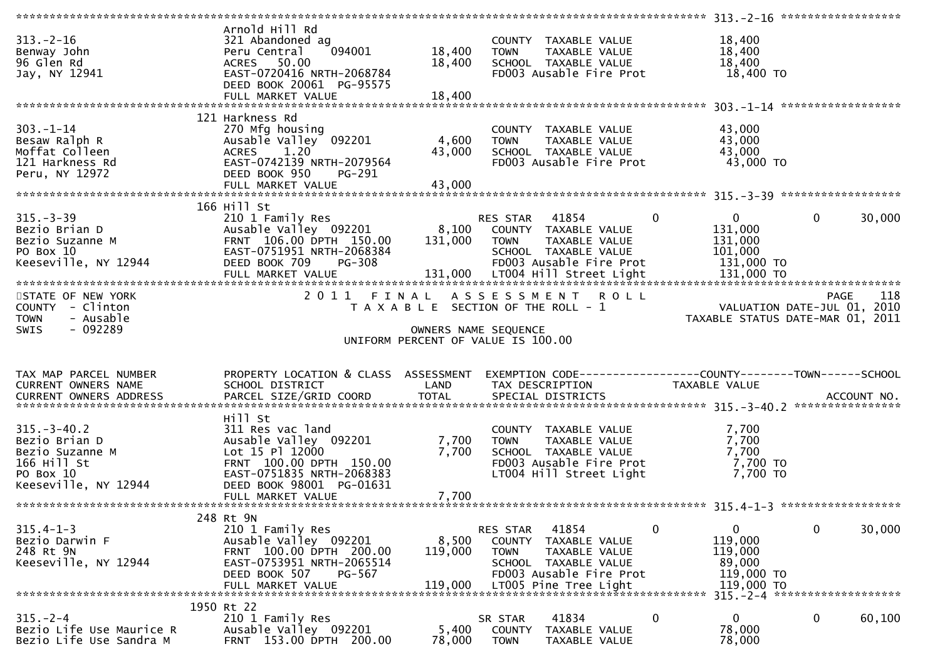|                                                                                                                                          | Arnold Hill Rd                                   |                           |                                               |               |                                                               |              |        |
|------------------------------------------------------------------------------------------------------------------------------------------|--------------------------------------------------|---------------------------|-----------------------------------------------|---------------|---------------------------------------------------------------|--------------|--------|
| $313 - 2 - 16$                                                                                                                           | 321 Abandoned ag                                 |                           | COUNTY TAXABLE VALUE                          |               | 18,400                                                        |              |        |
| Benway John                                                                                                                              | 094001<br>Peru Central                           | 18,400                    | <b>TOWN</b>                                   | TAXABLE VALUE | 18,400                                                        |              |        |
| 96 Glen Rd                                                                                                                               | ACRES 50.00                                      | 18,400                    | SCHOOL TAXABLE VALUE                          |               | 18,400                                                        |              |        |
| Jay, NY 12941                                                                                                                            | EAST-0720416 NRTH-2068784                        |                           | FD003 Ausable Fire Prot                       |               | 18,400 TO                                                     |              |        |
|                                                                                                                                          | DEED BOOK 20061 PG-95575                         |                           |                                               |               |                                                               |              |        |
|                                                                                                                                          |                                                  |                           |                                               |               |                                                               |              |        |
|                                                                                                                                          | FULL MARKET VALUE                                | 18,400                    |                                               |               |                                                               |              |        |
|                                                                                                                                          |                                                  |                           |                                               |               |                                                               |              |        |
|                                                                                                                                          | 121 Harkness Rd                                  |                           |                                               |               |                                                               |              |        |
| $303 - 1 - 14$                                                                                                                           | 270 Mfg housing                                  |                           | COUNTY TAXABLE VALUE                          |               | 43,000                                                        |              |        |
| Besaw Ralph R                                                                                                                            | Ausable Valley 092201                            | 4,600                     | <b>TOWN</b><br>TAXABLE VALUE                  |               | 43,000                                                        |              |        |
| Moffat Colleen                                                                                                                           | ACRES 1.20                                       | 43,000                    | SCHOOL TAXABLE VALUE                          |               | 43,000                                                        |              |        |
| 121 Harkness Rd                                                                                                                          | EAST-0742139 NRTH-2079564                        |                           | FD003 Ausable Fire Prot                       |               | 43,000 TO                                                     |              |        |
| Peru, NY 12972                                                                                                                           | DEED BOOK 950<br>PG-291                          |                           |                                               |               |                                                               |              |        |
|                                                                                                                                          | FULL MARKET VALUE                                | 43,000                    |                                               |               |                                                               |              |        |
|                                                                                                                                          |                                                  |                           |                                               |               |                                                               |              |        |
|                                                                                                                                          |                                                  |                           |                                               |               |                                                               |              |        |
|                                                                                                                                          | 166 Hill St                                      |                           |                                               |               |                                                               |              |        |
| $315. - 3 - 39$                                                                                                                          | 210 1 Family Res                                 |                           | RES STAR 41854                                | $\mathbf{0}$  | $\overline{0}$                                                | $\mathbf{0}$ | 30,000 |
| Bezio Brian D                                                                                                                            | Ausable Valley 092201 8,100 COUNTY TAXABLE VALUE |                           |                                               |               | 131,000                                                       |              |        |
| Bezio Suzanne M                                                                                                                          | FRNT 106.00 DPTH 150.00                          | 131,000                   | <b>TOWN</b><br>TAXABLE VALUE                  |               | 131,000                                                       |              |        |
| PO Box 10                                                                                                                                | EAST-0751951 NRTH-2068384                        |                           | SCHOOL TAXABLE VALUE                          |               | 101,000                                                       |              |        |
| Keeseville, NY 12944                                                                                                                     | DEED BOOK 709<br><b>PG-308</b>                   |                           | FD003 Ausable Fire Prot                       |               | 131,000 TO                                                    |              |        |
|                                                                                                                                          |                                                  |                           |                                               |               |                                                               |              |        |
| FULL MARKET VALUE 131,000 LT004 H111 Street Light 131,000 TO FOR THE 131,000 TO FOR THE STREET THE STREET SERVER THE STREET STREET LIGHT |                                                  |                           |                                               |               |                                                               |              |        |
|                                                                                                                                          |                                                  |                           |                                               |               |                                                               |              |        |
| STATE OF NEW YORK                                                                                                                        |                                                  |                           | 2011 FINAL ASSESSMENT ROLL                    |               |                                                               | PAGE         | 118    |
| COUNTY - Clinton                                                                                                                         |                                                  |                           | T A X A B L E SECTION OF THE ROLL - 1         |               | VALUATION DATE-JUL 01, 2010                                   |              |        |
| - Ausable<br><b>TOWN</b>                                                                                                                 |                                                  |                           |                                               |               | TAXABLE STATUS DATE-MAR 01, 2011                              |              |        |
|                                                                                                                                          |                                                  |                           |                                               |               |                                                               |              |        |
| SWIS<br>- 092289                                                                                                                         |                                                  |                           |                                               |               |                                                               |              |        |
|                                                                                                                                          |                                                  |                           | OWNERS NAME SEQUENCE                          |               |                                                               |              |        |
|                                                                                                                                          |                                                  |                           | UNIFORM PERCENT OF VALUE IS 100.00            |               |                                                               |              |        |
|                                                                                                                                          |                                                  |                           |                                               |               |                                                               |              |        |
|                                                                                                                                          |                                                  |                           |                                               |               |                                                               |              |        |
| TAX MAP PARCEL NUMBER                                                                                                                    | PROPERTY LOCATION & CLASS ASSESSMENT             |                           |                                               |               | EXEMPTION CODE-----------------COUNTY--------TOWN------SCHOOL |              |        |
| CURRENT OWNERS NAME                                                                                                                      | SCHOOL DISTRICT                                  | <b>Example 12 DE LAND</b> | TAX DESCRIPTION                               |               | TAXABLE VALUE                                                 |              |        |
|                                                                                                                                          |                                                  |                           |                                               |               |                                                               |              |        |
| .4CCOUNT NO . PARCEL SIZE/GRID COORD TOTAL SPECIAL DISTRICTS SPERENT OWNERS ADDRESS PARCEL SIZE/GRID COORD TOTAL SPECIAL DISTRICTS       |                                                  |                           |                                               |               |                                                               |              |        |
|                                                                                                                                          | Hill St                                          |                           |                                               |               |                                                               |              |        |
| $315. - 3 - 40.2$                                                                                                                        | 311 Res vac land                                 |                           | COUNTY TAXABLE VALUE                          |               | 7,700                                                         |              |        |
| Bezio Brian D                                                                                                                            | Ausable Valley 092201                            | 7,700                     | <b>TOWN</b>                                   | TAXABLE VALUE | 7,700                                                         |              |        |
| Bezio Suzanne M                                                                                                                          | Lot 15 Pl 12000                                  | 7,700                     | SCHOOL TAXABLE VALUE                          |               | 7,700                                                         |              |        |
| 166 Hill St                                                                                                                              | FRNT 100.00 DPTH 150.00                          |                           | FD003 Ausable Fire Prot                       |               | 7,700 TO                                                      |              |        |
|                                                                                                                                          |                                                  |                           |                                               |               |                                                               |              |        |
| PO Box 10                                                                                                                                | EAST-0751835 NRTH-2068383                        |                           | LT004 Hill Street Light                       |               | 7,700 TO                                                      |              |        |
| Keeseville, NY 12944                                                                                                                     | DEED BOOK 98001 PG-01631                         |                           |                                               |               |                                                               |              |        |
|                                                                                                                                          | FULL MARKET VALUE                                | 7,700                     |                                               |               |                                                               |              |        |
|                                                                                                                                          |                                                  |                           |                                               |               |                                                               |              |        |
|                                                                                                                                          | 248 Rt 9N                                        |                           |                                               |               |                                                               |              |        |
| $315.4 - 1 - 3$                                                                                                                          | 210 1 Family Res                                 |                           | 41854<br>RES STAR                             | 0             | 0                                                             | 0            | 30,000 |
| Bezio Darwin F                                                                                                                           | Ausable Valley 092201                            | 8,500                     | <b>COUNTY</b><br>TAXABLE VALUE                |               | 119,000                                                       |              |        |
| 248 Rt 9N                                                                                                                                | FRNT 100.00 DPTH 200.00                          | 119,000                   | <b>TOWN</b><br>TAXABLE VALUE                  |               | 119,000                                                       |              |        |
| Keeseville, NY 12944                                                                                                                     | EAST-0753951 NRTH-2065514                        |                           | SCHOOL TAXABLE VALUE                          |               | 89,000                                                        |              |        |
|                                                                                                                                          | PG-567                                           |                           |                                               |               |                                                               |              |        |
|                                                                                                                                          | DEED BOOK 507                                    |                           | FD003 Ausable Fire Prot                       |               | 119,000 TO                                                    |              |        |
|                                                                                                                                          | FULL MARKET VALUE                                | 119,000                   | LT005 Pine Tree Light                         |               | 119,000 TO                                                    |              |        |
|                                                                                                                                          |                                                  |                           |                                               |               | 315. - 2 - 4 *********************                            |              |        |
|                                                                                                                                          | 1950 Rt 22                                       |                           |                                               |               |                                                               |              |        |
| $315. - 2 - 4$                                                                                                                           | 210 1 Family Res                                 |                           | 41834<br>SR STAR                              | 0             | 0                                                             | 0            | 60,100 |
| Bezio Life Use Maurice R<br>Bezio Life Use Sandra M                                                                                      | Ausable Valley 092201<br>FRNT 153.00 DPTH 200.00 | 5,400<br>78,000           | <b>COUNTY</b><br>TAXABLE VALUE<br><b>TOWN</b> | TAXABLE VALUE | 78,000<br>78,000                                              |              |        |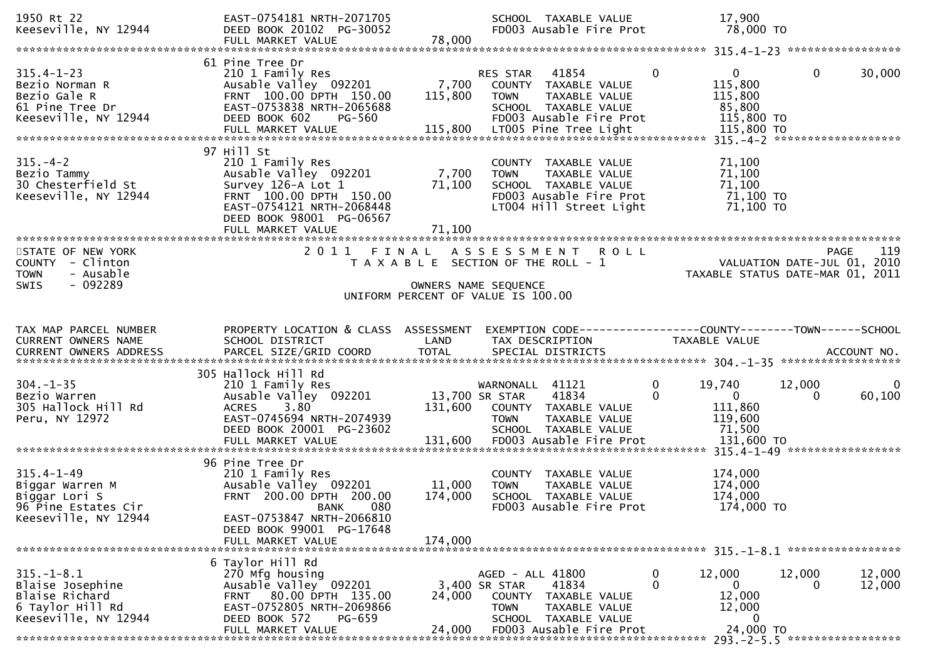| 1950 Rt 22<br>Keeseville, NY 12944                                                                                                                                                                                                                                                          | EAST-0754181 NRTH-2071705<br>DEED BOOK 20102 PG-30052<br>FULL MARKET VALUE                                                                                                                  | 78,000                       | SCHOOL TAXABLE VALUE<br>FD003 Ausable Fire Prot                                                                                             | 17,900<br>78,000 TO                                                                             |                                                                                       |
|---------------------------------------------------------------------------------------------------------------------------------------------------------------------------------------------------------------------------------------------------------------------------------------------|---------------------------------------------------------------------------------------------------------------------------------------------------------------------------------------------|------------------------------|---------------------------------------------------------------------------------------------------------------------------------------------|-------------------------------------------------------------------------------------------------|---------------------------------------------------------------------------------------|
|                                                                                                                                                                                                                                                                                             |                                                                                                                                                                                             |                              |                                                                                                                                             |                                                                                                 |                                                                                       |
| $315.4 - 1 - 23$<br>Bezio Norman R<br>Bezio Gale R<br>61 Pine Tree Dr<br>Keeseville, NY 12944<br>115,800 LT005 Pine Tree Light 15,800 TO FULL MARKET VALUE 115,800 LT005 Pine Tree Light 115,800 TO Particle 115 magazine to the Research to the MARKET VALUE 115,800 LT005 Pine Tree Light | 61 Pine Tree Dr<br>210 1 Family Res<br>Ausable Valley 092201<br>FRNT 100.00 DPTH 150.00<br>EAST-0753838 NRTH-2065688<br>DEED BOOK 602<br>PG-560                                             | 7,700<br>115,800             | 41854<br>RES STAR<br>COUNTY TAXABLE VALUE<br>TAXABLE VALUE<br><b>TOWN</b><br>SCHOOL TAXABLE VALUE<br>FD003 Ausable Fire Prot                | $\overline{0}$<br>$\overline{0}$<br>115,800<br>115,800<br>85,800<br>115,800 TO                  | $\mathbf{0}$<br>30,000                                                                |
| $315. - 4 - 2$<br>Bezio Tammy<br>30 Chesterfield St<br>Keeseville, NY 12944                                                                                                                                                                                                                 | 97 Hill St<br>210 1 Family Res<br>Ausable Valley 092201<br>Survey 126-A Lot 1<br>FRNT 100.00 DPTH 150.00<br>EAST-0754121 NRTH-2068448<br>DEED BOOK 98001 PG-06567<br>FULL MARKET VALUE      | 7,700<br>71,100<br>71,100    | COUNTY TAXABLE VALUE<br>TAXABLE VALUE<br><b>TOWN</b><br>SCHOOL TAXABLE VALUE<br>FD003 Ausable Fire Prot<br>LT004 Hill Street Light          | 71,100<br>71,100<br>71,100<br>71,100 TO<br>71,100 TO                                            |                                                                                       |
| STATE OF NEW YORK<br>COUNTY - Clinton<br>- Ausable<br><b>TOWN</b><br>$-092289$<br><b>SWIS</b>                                                                                                                                                                                               |                                                                                                                                                                                             |                              | 2011 FINAL ASSESSMENT ROLL<br>T A X A B L E SECTION OF THE ROLL - 1<br>OWNERS NAME SEQUENCE<br>UNIFORM PERCENT OF VALUE IS 100.00           |                                                                                                 | 119<br><b>PAGE</b><br>VALUATION DATE-JUL 01, 2010<br>TAXABLE STATUS DATE-MAR 01, 2011 |
| TAX MAP PARCEL NUMBER<br>CURRENT OWNERS NAME                                                                                                                                                                                                                                                | PROPERTY LOCATION & CLASS ASSESSMENT<br>SCHOOL DISTRICT                                                                                                                                     | LAND                         | EXEMPTION CODE------------------COUNTY--------TOWN------SCHOOL<br>TAX DESCRIPTION                                                           | TAXABLE VALUE                                                                                   |                                                                                       |
| $304. - 1 - 35$<br>Bezio Warren<br>305 Hallock Hill Rd<br>Peru, NY 12972                                                                                                                                                                                                                    | 305 Hallock Hill Rd<br>210 1 Family Res<br>Ausable Valley 092201<br>3.80<br><b>ACRES</b><br>EAST-0745694 NRTH-2074939<br>DEED BOOK 20001 PG-23602<br>FULL MARKET VALUE                      | 13,700 SR STAR<br>131,600    | WARNONALL 41121<br>41834<br>131,600 COUNTY TAXABLE VALUE<br><b>TOWN</b><br>TAXABLE VALUE<br>SCHOOL TAXABLE VALUE<br>FD003 Ausable Fire Prot | $\mathbf 0$<br>19,740<br>$\Omega$<br>$\mathbf{0}$<br>111,860<br>119,600<br>71,500<br>131,600 TO | $\mathbf 0$<br>12,000<br>60,100<br>0                                                  |
| $315.4 - 1 - 49$<br>Biggar Warren M<br>Biggar Lori S<br>96 Pine Estates Cir<br>Keeseville, NY 12944                                                                                                                                                                                         | 96 Pine Tree Dr<br>210 1 Family Res<br>Ausable Valley 092201<br>FRNT 200.00 DPTH 200.00<br>080<br><b>BANK</b><br>EAST-0753847 NRTH-2066810<br>DEED BOOK 99001 PG-17648<br>FULL MARKET VALUE | 11,000<br>174,000<br>174,000 | COUNTY TAXABLE VALUE<br>TAXABLE VALUE<br><b>TOWN</b><br>SCHOOL TAXABLE VALUE<br>FD003 Ausable Fire Prot                                     | 174,000<br>174,000<br>174,000<br>174,000 TO                                                     |                                                                                       |
|                                                                                                                                                                                                                                                                                             | 6 Taylor Hill Rd                                                                                                                                                                            |                              |                                                                                                                                             |                                                                                                 |                                                                                       |
| $315. - 1 - 8.1$<br>Blaise Josephine<br>Blaise Richard<br>6 Taylor Hill Rd<br>Keeseville, NY 12944                                                                                                                                                                                          | 270 Mfg housing<br>Ausable Valley 092201<br>FRNT 80.00 DPTH 135.00<br>EAST-0752805 NRTH-2069866<br>DEED BOOK 572<br><b>PG-659</b>                                                           | 24,000                       | AGED - ALL 41800<br>41834<br>3,400 SR STAR<br><b>COUNTY</b><br>TAXABLE VALUE<br>TAXABLE VALUE<br><b>TOWN</b><br>SCHOOL TAXABLE VALUE        | 0<br>12,000<br>0<br>$\mathbf{0}$<br>12,000<br>12,000<br>0                                       | 12,000<br>12,000<br>12,000<br>0                                                       |
|                                                                                                                                                                                                                                                                                             | FULL MARKET VALUE<br>*************************************                                                                                                                                  | 24,000                       | FD003 Ausable Fire Prot                                                                                                                     | 24,000 TO                                                                                       |                                                                                       |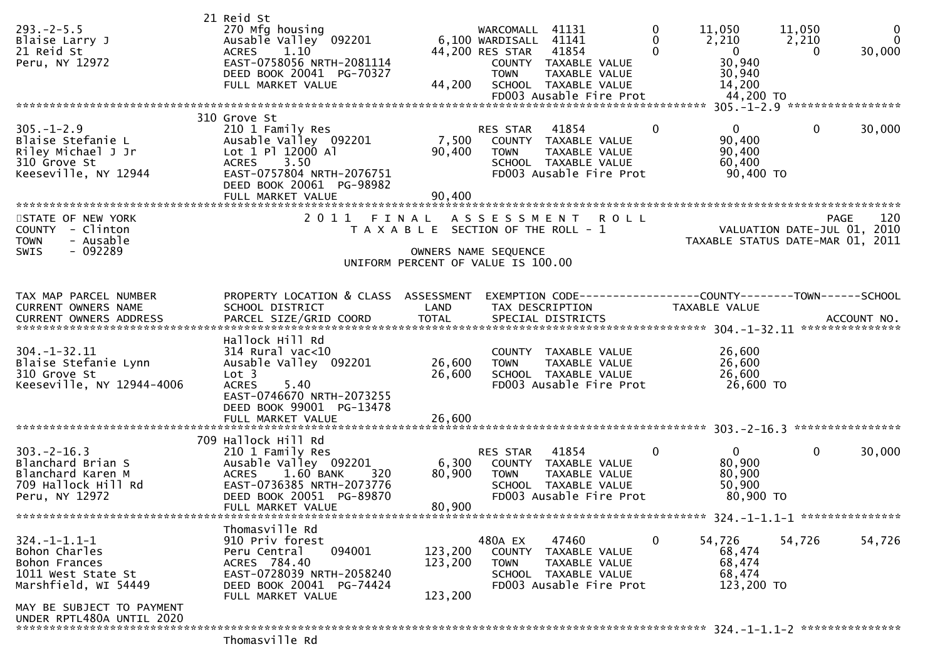| $293. - 2 - 5.5$<br>Blaise Larry J<br>21 Reid St<br>Peru, NY 12972                                  | 21 Reid St<br>270 Mfg housing<br>Ausable Valley 092201<br>1.10<br><b>ACRES</b><br>EAST-0758056 NRTH-2081114<br>DEED BOOK 20041 PG-70327<br>FULL MARKET VALUE         | 44,200                                                        | WARCOMALL<br>6,100 WARDISALL 41141<br>44,200 RES STAR<br><b>TOWN</b> | 41131<br>41854<br>COUNTY TAXABLE VALUE<br>TAXABLE VALUE<br>SCHOOL TAXABLE VALUE<br>FD003 Ausable Fire Prot | 0<br>0<br>$\Omega$ | 11,050<br>2,210<br>$\overline{0}$<br>30,940<br>30,940<br>14,200<br>44,200 TO         | 11,050<br>2,210<br>$\Omega$    | $\mathbf 0$<br>$\Omega$<br>30,000 |
|-----------------------------------------------------------------------------------------------------|----------------------------------------------------------------------------------------------------------------------------------------------------------------------|---------------------------------------------------------------|----------------------------------------------------------------------|------------------------------------------------------------------------------------------------------------|--------------------|--------------------------------------------------------------------------------------|--------------------------------|-----------------------------------|
|                                                                                                     | 310 Grove St                                                                                                                                                         |                                                               |                                                                      |                                                                                                            |                    |                                                                                      | 305. -1-2.9 ****************** |                                   |
| $305. - 1 - 2.9$<br>Blaise Stefanie L<br>Riley Michael J Jr<br>310 Grove St<br>Keeseville, NY 12944 | 210 1 Family Res<br>Ausable Valley 092201<br>Lot 1 Pl 12000 Al<br><b>ACRES</b><br>3.50<br>EAST-0757804 NRTH-2076751<br>DEED BOOK 20061 PG-98982<br>FULL MARKET VALUE | 7,500<br>90,400<br>90,400                                     | RES STAR<br><b>TOWN</b>                                              | 41854<br>COUNTY TAXABLE VALUE<br>TAXABLE VALUE<br>SCHOOL TAXABLE VALUE<br>FD003 Ausable Fire Prot          | 0                  | $\mathbf{0}$<br>90,400<br>90,400<br>60,400<br>90,400 TO                              | $\mathbf 0$                    | 30,000                            |
| STATE OF NEW YORK                                                                                   | 2011                                                                                                                                                                 | FINAL                                                         | A S S E S S M E N T                                                  | <b>ROLL</b>                                                                                                |                    |                                                                                      |                                | 120<br><b>PAGE</b>                |
| COUNTY - Clinton<br>- Ausable<br><b>TOWN</b><br>$-092289$<br><b>SWIS</b>                            |                                                                                                                                                                      | T A X A B L E SECTION OF THE ROLL - 1<br>OWNERS NAME SEQUENCE |                                                                      |                                                                                                            |                    | TAXABLE STATUS DATE-MAR 01, 2011                                                     |                                | VALUATION DATE-JUL 01, 2010       |
|                                                                                                     |                                                                                                                                                                      | UNIFORM PERCENT OF VALUE IS 100.00                            |                                                                      |                                                                                                            |                    |                                                                                      |                                |                                   |
|                                                                                                     |                                                                                                                                                                      |                                                               |                                                                      |                                                                                                            |                    |                                                                                      |                                |                                   |
| TAX MAP PARCEL NUMBER<br>CURRENT OWNERS NAME<br><b>CURRENT OWNERS ADDRESS</b>                       | PROPERTY LOCATION & CLASS<br>SCHOOL DISTRICT<br>PARCEL SIZE/GRID COORD                                                                                               | ASSESSMENT<br>LAND<br><b>TOTAL</b>                            |                                                                      | TAX DESCRIPTION<br>SPECIAL DISTRICTS                                                                       |                    | EXEMPTION        CODE-----------------COUNTY-------TOWN------SCHOOL<br>TAXABLE VALUE |                                | ACCOUNT NO.                       |
|                                                                                                     | Hallock Hill Rd                                                                                                                                                      |                                                               |                                                                      |                                                                                                            |                    |                                                                                      |                                |                                   |
| $304. - 1 - 32.11$<br>Blaise Stefanie Lynn<br>310 Grove St<br>Keeseville, NY 12944-4006             | $314$ Rural vac<10<br>Ausable Valley 092201<br>Lot <sub>3</sub><br><b>ACRES</b><br>5.40<br>EAST-0746670 NRTH-2073255<br>DEED BOOK 99001 PG-13478                     | 26,600<br>26,600                                              | <b>TOWN</b>                                                          | COUNTY TAXABLE VALUE<br>TAXABLE VALUE<br>SCHOOL TAXABLE VALUE<br>FD003 Ausable Fire Prot                   |                    | 26,600<br>26,600<br>26,600<br>26,600 TO                                              |                                |                                   |
|                                                                                                     |                                                                                                                                                                      |                                                               |                                                                      |                                                                                                            |                    |                                                                                      |                                |                                   |
|                                                                                                     | 709 Hallock Hill Rd                                                                                                                                                  |                                                               |                                                                      |                                                                                                            |                    |                                                                                      |                                |                                   |
| $303 - 2 - 16.3$<br>Blanchard Brian S<br>Blanchard Karen M<br>709 Hallock Hill Rd<br>Peru, NY 12972 | 210 1 Family Res<br>Ausable Valley 092201<br>1.60 BANK<br><b>ACRES</b><br>320<br>EAST-0736385 NRTH-2073776<br>DEED BOOK 20051 PG-89870<br>FULL MARKET VALUE          | 6,300<br>80,900<br>80,900                                     | RES STAR<br><b>TOWN</b>                                              | 41854<br>COUNTY TAXABLE VALUE<br>TAXABLE VALUE<br>SCHOOL TAXABLE VALUE<br>FD003 Ausable Fire Prot          | $\mathbf{0}$       | $\mathbf{0}$<br>80,900<br>80,900<br>50,900<br>80,900 TO                              | $\mathbf 0$                    | 30,000                            |
|                                                                                                     |                                                                                                                                                                      |                                                               |                                                                      |                                                                                                            |                    |                                                                                      |                                |                                   |
| $324. - 1 - 1.1 - 1$<br>Bohon Charles<br>Bohon Frances<br>1011 West State St                        | Thomasville Rd<br>910 Priv forest<br>Peru Central<br>094001<br>ACRES 784.40<br>EAST-0728039 NRTH-2058240                                                             | 123,200<br>123,200                                            | 480A EX<br><b>TOWN</b>                                               | 47460<br>COUNTY TAXABLE VALUE<br>TAXABLE VALUE<br>SCHOOL TAXABLE VALUE                                     | $\mathbf{0}$       | 54,726<br>68,474<br>68,474<br>68,474                                                 | 54,726                         | 54,726                            |
| Marshfield, WI 54449                                                                                | DEED BOOK 20041 PG-74424<br>FULL MARKET VALUE                                                                                                                        | 123,200                                                       |                                                                      | FD003 Ausable Fire Prot                                                                                    |                    | 123,200 TO                                                                           |                                |                                   |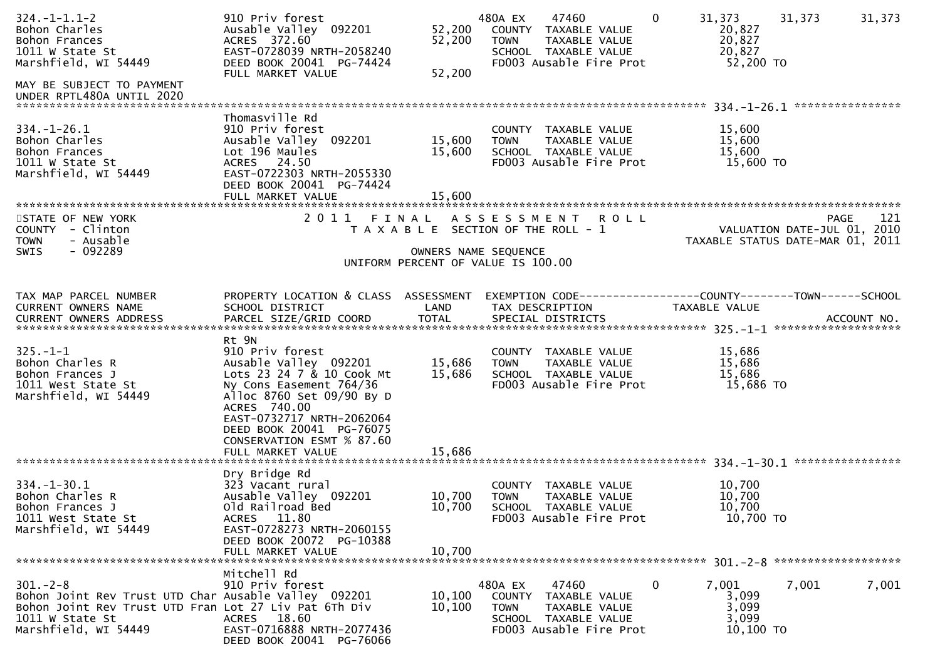| $324. - 1 - 1.1 - 2$<br>Bohon Charles<br>Bohon Frances<br>1011 W State St<br>Marshfield, WI 54449                                                                           | 910 Priv forest<br>Ausable Valley 092201<br>ACRES 372.60<br>EAST-0728039 NRTH-2058240<br>DEED BOOK 20041 PG-74424<br>FULL MARKET VALUE                                                                                                                            | 52,200<br>52,200<br>52,200                                                  | 480A EX<br><b>TOWN</b> | 47460<br>COUNTY TAXABLE VALUE<br>TAXABLE VALUE<br>SCHOOL TAXABLE VALUE<br>FD003 Ausable Fire Prot | $\mathbf{0}$ | 31,373<br>20,827<br>20,827<br>20,827<br>52,200 TO | 31,373                      | 31,373 |
|-----------------------------------------------------------------------------------------------------------------------------------------------------------------------------|-------------------------------------------------------------------------------------------------------------------------------------------------------------------------------------------------------------------------------------------------------------------|-----------------------------------------------------------------------------|------------------------|---------------------------------------------------------------------------------------------------|--------------|---------------------------------------------------|-----------------------------|--------|
| MAY BE SUBJECT TO PAYMENT<br>UNDER RPTL480A UNTIL 2020                                                                                                                      |                                                                                                                                                                                                                                                                   |                                                                             |                        |                                                                                                   |              |                                                   |                             |        |
| $334. - 1 - 26.1$<br>Bohon Charles<br>Bohon Frances<br>1011 W State St<br>Marshfield, WI 54449                                                                              | Thomasville Rd<br>910 Priv forest<br>Ausable Valley 092201<br>Lot 196 Maules<br>ACRES 24.50<br>EAST-0722303 NRTH-2055330<br>DEED BOOK 20041 PG-74424<br>FULL MARKET VALUE                                                                                         | 15,600<br>15,600<br>15,600                                                  | <b>TOWN</b>            | COUNTY TAXABLE VALUE<br>TAXABLE VALUE<br>SCHOOL TAXABLE VALUE<br>FD003 Ausable Fire Prot          |              | 15,600<br>15,600<br>15,600<br>15,600 TO           |                             |        |
| STATE OF NEW YORK                                                                                                                                                           | 2011 FINAL ASSESSMENT                                                                                                                                                                                                                                             |                                                                             |                        | <b>ROLL</b>                                                                                       |              |                                                   | <b>PAGE</b>                 | 121    |
| COUNTY - Clinton<br>- Ausable<br><b>TOWN</b><br>$-092289$<br><b>SWIS</b>                                                                                                    |                                                                                                                                                                                                                                                                   | T A X A B L E SECTION OF THE ROLL - 1<br>UNIFORM PERCENT OF VALUE IS 100.00 | OWNERS NAME SEQUENCE   |                                                                                                   |              | TAXABLE STATUS DATE-MAR 01, 2011                  | VALUATION DATE-JUL 01, 2010 |        |
|                                                                                                                                                                             |                                                                                                                                                                                                                                                                   |                                                                             |                        |                                                                                                   |              |                                                   |                             |        |
| TAX MAP PARCEL NUMBER<br><b>CURRENT OWNERS NAME</b>                                                                                                                         | PROPERTY LOCATION & CLASS ASSESSMENT<br>SCHOOL DISTRICT                                                                                                                                                                                                           | LAND                                                                        | TAX DESCRIPTION        | EXEMPTION CODE------------------COUNTY--------TOWN------SCHOOL                                    |              | TAXABLE VALUE                                     |                             |        |
| $325. - 1 - 1$<br>Bohon Charles R<br>Bohon Frances J<br>1011 West State St<br>Marshfield, WI 54449                                                                          | Rt 9N<br>910 Priv forest<br>Ausable Valley 092201<br>Lots 23 24 7 & 10 Cook Mt<br>Ny Cons Easement 764/36<br>Alloc 8760 Set 09/90 By D<br>ACRES 740.00<br>EAST-0732717 NRTH-2062064<br>DEED BOOK 20041 PG-76075<br>CONSERVATION ESMT % 87.60<br>FULL MARKET VALUE | 15,686<br>15,686<br>15,686                                                  | <b>TOWN</b>            | COUNTY TAXABLE VALUE<br>TAXABLE VALUE<br>SCHOOL TAXABLE VALUE<br>FD003 Ausable Fire Prot          |              | 15,686<br>15,686<br>15,686<br>15,686 TO           |                             |        |
|                                                                                                                                                                             | Dry Bridge Rd                                                                                                                                                                                                                                                     |                                                                             |                        |                                                                                                   |              |                                                   |                             |        |
| $334. - 1 - 30.1$<br>Bohon Charles R<br>Bohon Frances J<br>1011 West State St<br>Marshfield, WI 54449                                                                       | 323 Vacant rural<br>Ausable Valley 092201<br>Old Railroad Bed<br>ACRES 11.80<br>EAST-0728273 NRTH-2060155<br>DEED BOOK 20072 PG-10388                                                                                                                             | 10,700<br>10,700<br>10,700                                                  | TOWN                   | COUNTY TAXABLE VALUE<br>TAXABLE VALUE<br>SCHOOL TAXABLE VALUE<br>FD003 Ausable Fire Prot          |              | 10,700<br>10,700<br>10,700<br>10,700 TO           |                             |        |
|                                                                                                                                                                             | FULL MARKET VALUE                                                                                                                                                                                                                                                 |                                                                             |                        |                                                                                                   |              |                                                   |                             |        |
| $301 - 2 - 8$<br>Bohon Joint Rev Trust UTD Char Ausable Valley 092201<br>Bohon Joint Rev Trust UTD Fran Lot 27 Liv Pat 6Th Div<br>1011 $w$ state St<br>Marshfield, WI 54449 | Mitchell Rd<br>910 Priv forest<br>ACRES 18.60<br>EAST-0716888 NRTH-2077436<br>DEED BOOK 20041 PG-76066                                                                                                                                                            | 10, 100<br>10, 100                                                          | 480A EX<br><b>TOWN</b> | 47460<br>COUNTY TAXABLE VALUE<br>TAXABLE VALUE<br>SCHOOL TAXABLE VALUE<br>FD003 Ausable Fire Prot | $\bf{0}$     | 7,001<br>3,099<br>3,099<br>3,099<br>10,100 TO     | 7,001                       | 7,001  |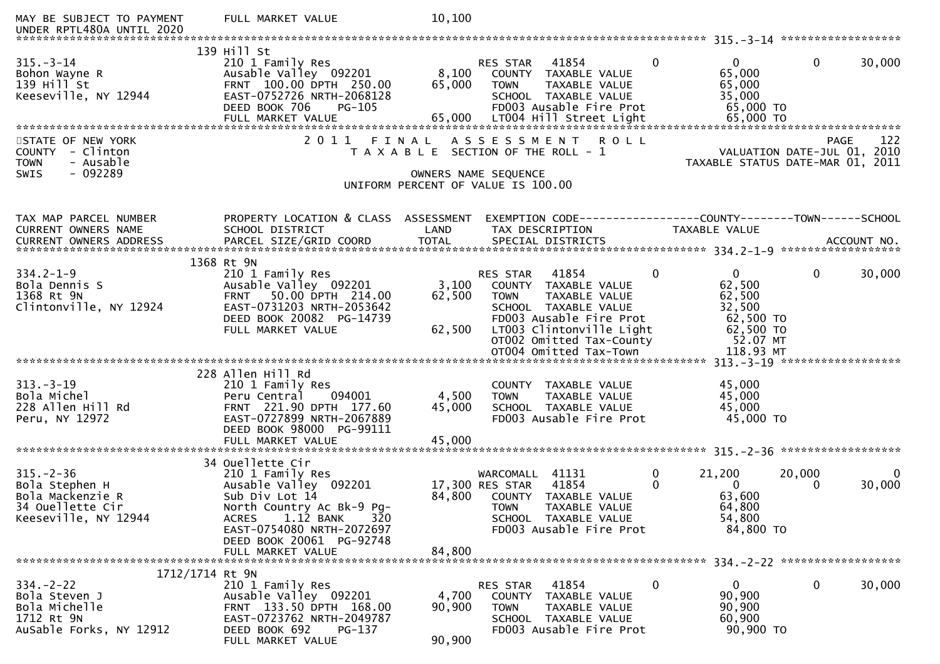| MAY BE SUBJECT TO PAYMENT<br>UNDER RPTL480A UNTIL 2020                                                       | FULL MARKET VALUE                                                                                                                                                                        | 10,100                    |                                                                                                                                                                                                                      |                                                                      |                                                                 |     |
|--------------------------------------------------------------------------------------------------------------|------------------------------------------------------------------------------------------------------------------------------------------------------------------------------------------|---------------------------|----------------------------------------------------------------------------------------------------------------------------------------------------------------------------------------------------------------------|----------------------------------------------------------------------|-----------------------------------------------------------------|-----|
| $315 - 3 - 14$<br>Bohon Wayne R<br>139 Hill St<br>Keeseville, NY 12944<br>STATE OF NEW YORK                  | 139 Hill St<br>210 1 Family Res<br>Ausable Valley 092201<br>FRNT 100.00 DPTH 250.00<br>EAST-0752726 NRTH-2068128<br>DEED BOOK 706<br><b>PG-105</b><br>FULL MARKET VALUE<br>2011<br>FINAL | 8,100<br>65,000<br>65,000 | $\mathbf{0}$<br>41854<br><b>RES STAR</b><br>COUNTY TAXABLE VALUE<br><b>TOWN</b><br>TAXABLE VALUE<br>SCHOOL TAXABLE VALUE<br>FD003 Ausable Fire Prot<br>LT004 Hill Street Light<br>A S S E S S M E N T<br><b>ROLL</b> | $\mathbf{0}$<br>65,000<br>65,000<br>35,000<br>65,000 TO<br>65,000 TO | $\mathbf{0}$<br>30,000<br><b>PAGE</b>                           | 122 |
| COUNTY - Clinton<br>- Ausable<br><b>TOWN</b><br>- 092289<br><b>SWIS</b>                                      |                                                                                                                                                                                          | OWNERS NAME SEQUENCE      | T A X A B L E SECTION OF THE ROLL - 1<br>UNIFORM PERCENT OF VALUE IS 100.00                                                                                                                                          |                                                                      | VALUATION DATE-JUL 01, 2010<br>TAXABLE STATUS DATE-MAR 01, 2011 |     |
| TAX MAP PARCEL NUMBER<br>CURRENT OWNERS NAME<br><b>CURRENT OWNERS ADDRESS</b>                                | PROPERTY LOCATION & CLASS ASSESSMENT<br>SCHOOL DISTRICT<br>PARCEL SIZE/GRID COORD                                                                                                        | LAND<br><b>TOTAL</b>      | TAX DESCRIPTION<br>SPECIAL DISTRICTS                                                                                                                                                                                 | TAXABLE VALUE                                                        | ACCOUNT NO.                                                     |     |
|                                                                                                              |                                                                                                                                                                                          |                           |                                                                                                                                                                                                                      |                                                                      |                                                                 |     |
|                                                                                                              | 1368 Rt 9N                                                                                                                                                                               |                           | $\mathbf{0}$                                                                                                                                                                                                         | $\overline{0}$                                                       |                                                                 |     |
| $334.2 - 1 - 9$<br>Bola Dennis S<br>1368 Rt 9N<br>Clintonville, NY 12924                                     | 210 1 Family Res<br>Ausable Valley 092201<br>50.00 DPTH 214.00<br><b>FRNT</b><br>EAST-0731203 NRTH-2053642<br>DEED BOOK 20082 PG-14739                                                   | 3,100<br>62,500           | 41854<br><b>RES STAR</b><br>COUNTY TAXABLE VALUE<br><b>TOWN</b><br>TAXABLE VALUE<br>SCHOOL TAXABLE VALUE<br>FD003 Ausable Fire Prot                                                                                  | 62,500<br>62,500<br>32,500<br>62,500 TO                              | $\mathbf 0$<br>30,000                                           |     |
|                                                                                                              | FULL MARKET VALUE                                                                                                                                                                        | 62,500                    | LT003 Clintonville Light<br>OT002 Omitted Tax-County<br>OT004 Omitted Tax-Town                                                                                                                                       | 62,500 TO<br>52.07 MT<br>118.93 MT                                   |                                                                 |     |
|                                                                                                              | 228 Allen Hill Rd                                                                                                                                                                        |                           |                                                                                                                                                                                                                      |                                                                      |                                                                 |     |
| $313 - 3 - 19$<br>Bola Michel<br>228 Allen Hill Rd<br>Peru, NY 12972                                         | 210 1 Family Res<br>Peru Central<br>094001<br>FRNT 221.90 DPTH 177.60<br>EAST-0727899 NRTH-2067889<br>DEED BOOK 98000 PG-99111                                                           | 4,500<br>45,000           | COUNTY TAXABLE VALUE<br>TAXABLE VALUE<br><b>TOWN</b><br>SCHOOL TAXABLE VALUE<br>FD003 Ausable Fire Prot                                                                                                              | 45,000<br>45,000<br>45,000<br>45,000 TO                              |                                                                 |     |
|                                                                                                              | FULL MARKET VALUE                                                                                                                                                                        | 45,000                    |                                                                                                                                                                                                                      |                                                                      |                                                                 |     |
| $315. - 2 - 36$<br>Bola Stephen H<br>Bola Mackenzie R<br>34 Ouellette Cir<br>Keeseville, NY 12944            | 34 Ouellette Cir<br>210 1 Family Res<br>Ausable Valley 092201<br>Sub Div Lot 14<br>North Country Ac Bk-9 Pg-<br>$1.12$ BANK<br><b>ACRES</b><br>320                                       | 84,800                    | 0<br>WARCOMALL<br>41131<br>41854<br>$\Omega$<br>17,300 RES STAR<br>COUNTY TAXABLE VALUE<br><b>TOWN</b><br>TAXABLE VALUE<br>SCHOOL TAXABLE VALUE                                                                      | 21,200<br>$\Omega$<br>63,600<br>64,800<br>54,800                     | 20,000<br>30,000<br>0                                           | 0   |
|                                                                                                              | EAST-0754080 NRTH-2072697<br>DEED BOOK 20061 PG-92748<br>FULL MARKET VALUE                                                                                                               | 84,800                    | FD003 Ausable Fire Prot                                                                                                                                                                                              | 84,800 TO                                                            |                                                                 |     |
| 1712/1714 Rt 9N<br>$334. -2 - 22$<br>Bola Steven J<br>Bola Michelle<br>1712 Rt 9N<br>AuSable Forks, NY 12912 | 210 1 Family Res<br>Ausable Valley 092201<br>FRNT 133.50 DPTH 168.00<br>EAST-0723762 NRTH-2049787<br>DEED BOOK 692<br>PG-137<br>FULL MARKET VALUE                                        | 4,700<br>90,900<br>90,900 | 41854<br>$\boldsymbol{0}$<br>RES STAR<br>COUNTY TAXABLE VALUE<br><b>TOWN</b><br>TAXABLE VALUE<br>SCHOOL TAXABLE VALUE<br>FD003 Ausable Fire Prot                                                                     | $\mathbf{0}$<br>90,900<br>90,900<br>60,900<br>90,900 TO              | 30,000<br>$\mathbf 0$                                           |     |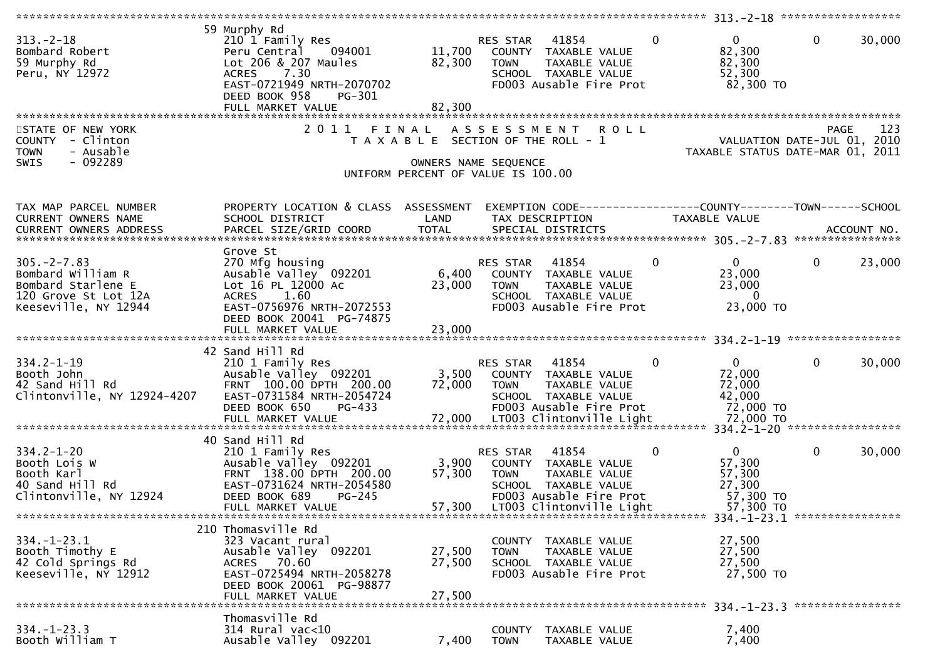| $313 - 2 - 18$<br>Bombard Robert<br>59 Murphy Rd<br>Peru, NY 12972                                          | 59 Murphy Rd<br>210 1 Family Res<br>094001<br>Peru Central<br>Lot 206 & 207 Maules<br>7.30<br><b>ACRES</b><br>EAST-0721949 NRTH-2070702<br>DEED BOOK 958<br>$PG-301$<br>FULL MARKET VALUE | 11,700<br>82,300<br>82,300 | 41854<br>RES STAR<br>COUNTY TAXABLE VALUE<br>TAXABLE VALUE<br><b>TOWN</b><br>SCHOOL TAXABLE VALUE<br>FD003 Ausable Fire Prot                             | $\overline{0}$ | $\mathbf{0}$<br>$\mathbf{0}$<br>82,300<br>82,300<br>52,300<br>82,300 TO                                            | 30,000      |
|-------------------------------------------------------------------------------------------------------------|-------------------------------------------------------------------------------------------------------------------------------------------------------------------------------------------|----------------------------|----------------------------------------------------------------------------------------------------------------------------------------------------------|----------------|--------------------------------------------------------------------------------------------------------------------|-------------|
| STATE OF NEW YORK<br>COUNTY - Clinton<br>- Ausable<br><b>TOWN</b><br>$-092289$<br><b>SWIS</b>               | 2011                                                                                                                                                                                      | FINAL                      | ASSESSMENT ROLL<br>T A X A B L E SECTION OF THE ROLL - 1<br>OWNERS NAME SEQUENCE<br>UNIFORM PERCENT OF VALUE IS 100.00                                   |                | VALUATION DATE-JUL 01, 2010<br>TAXABLE STATUS DATE-MAR 01, 2011                                                    | 123<br>PAGE |
| TAX MAP PARCEL NUMBER<br><b>CURRENT OWNERS NAME</b><br><b>CURRENT OWNERS ADDRESS</b>                        | PROPERTY LOCATION & CLASS ASSESSMENT<br>SCHOOL DISTRICT                                                                                                                                   | LAND                       | EXEMPTION CODE------------------COUNTY--------TOWN------SCHOOL<br>TAX DESCRIPTION                                                                        | TAXABLE VALUE  |                                                                                                                    |             |
| $305. -2 - 7.83$<br>Bombard William R<br>Bombard Starlene E<br>120 Grove St Lot 12A<br>Keeseville, NY 12944 | Grove St<br>270 Mfg housing<br>Ausable Valley 092201<br>Lot 16 PL 12000 Ac<br>1.60<br><b>ACRES</b><br>EAST-0756976 NRTH-2072553<br>DEED BOOK 20041 PG-74875                               | 6,400<br>23,000            | 41854<br>RES STAR<br>COUNTY TAXABLE VALUE<br><b>TOWN</b><br>TAXABLE VALUE<br>SCHOOL TAXABLE VALUE<br>FD003 Ausable Fire Prot                             | $\Omega$       | $\mathbf{0}$<br>$\overline{0}$<br>23,000<br>23,000<br>$\mathbf{0}$<br>23,000 TO                                    | 23,000      |
|                                                                                                             |                                                                                                                                                                                           |                            |                                                                                                                                                          |                |                                                                                                                    |             |
| $334.2 - 1 - 19$<br>Booth John<br>42 Sand Hill Rd<br>Clintonville, NY 12924-4207                            | 42 Sand Hill Rd<br>210 1 Family Res<br>Ausable Valley 092201<br>FRNT 100.00 DPTH 200.00<br>EAST-0731584 NRTH-2054724<br>DEED BOOK 650<br>PG-433                                           |                            | <b>1854 - 1854 - 1854</b><br>3,500 COUNTY TAXABLE VALUE<br>72,000 - TOWN - TAXABLE VALUE<br>SCHOOL TAXABLE VALUE<br>FD003 Ausable Fire Prot              | $\overline{0}$ | $\mathbf{0}$<br>$\overline{0}$<br>72,000<br>72,000<br>42,000<br>72,000 TO                                          | 30,000      |
| $334.2 - 1 - 20$<br>Booth Lois W<br>Booth Karl<br>40 Sand Hill Rd<br>Clintonville, NY 12924                 | 40 Sand Hill Rd<br>210 1 Family Res<br>Ausable Valley 092201<br>FRNT 138.00 DPTH 200.00<br>EAST-0731624 NRTH-2054580<br>DEED BOOK 689<br>$PG-245$<br>FULL MARKET VALUE                    | 3,900<br>57,300<br>57,300  | 41854<br>RES STAR<br>COUNTY TAXABLE VALUE<br>TAXABLE VALUE<br><b>TOWN</b><br>SCHOOL TAXABLE VALUE<br>FD003 Ausable Fire Prot<br>LT003 Clintonville Light | $\mathbf{0}$   | $\Omega$<br>$\mathbf{0}$<br>57,300<br>57,300<br>27,300<br>57,300 TO<br>57,300 TO<br>334. -1-23.1 ***************** | 30,000      |
| $334. - 1 - 23.1$<br>Booth Timothy E<br>42 Cold Springs Rd<br>Keeseville, NY 12912                          | 210 Thomasville Rd<br>323 Vacant rural<br>Ausable Valley 092201<br>ACRES 70.60<br>EAST-0725494 NRTH-2058278<br>DEED BOOK 20061 PG-98877<br>FULL MARKET VALUE                              | 27,500<br>27,500<br>27,500 | COUNTY TAXABLE VALUE<br><b>TOWN</b><br>TAXABLE VALUE<br>SCHOOL TAXABLE VALUE<br>FD003 Ausable Fire Prot                                                  |                | 27,500<br>27,500<br>27,500<br>27,500 TO                                                                            |             |
| $334. - 1 - 23.3$<br>Booth William T                                                                        | Thomasville Rd<br>$314$ Rural vac<10<br>Ausable Valley 092201                                                                                                                             | 7,400                      | TAXABLE VALUE<br><b>COUNTY</b><br><b>TOWN</b><br>TAXABLE VALUE                                                                                           |                | 7,400<br>7,400                                                                                                     |             |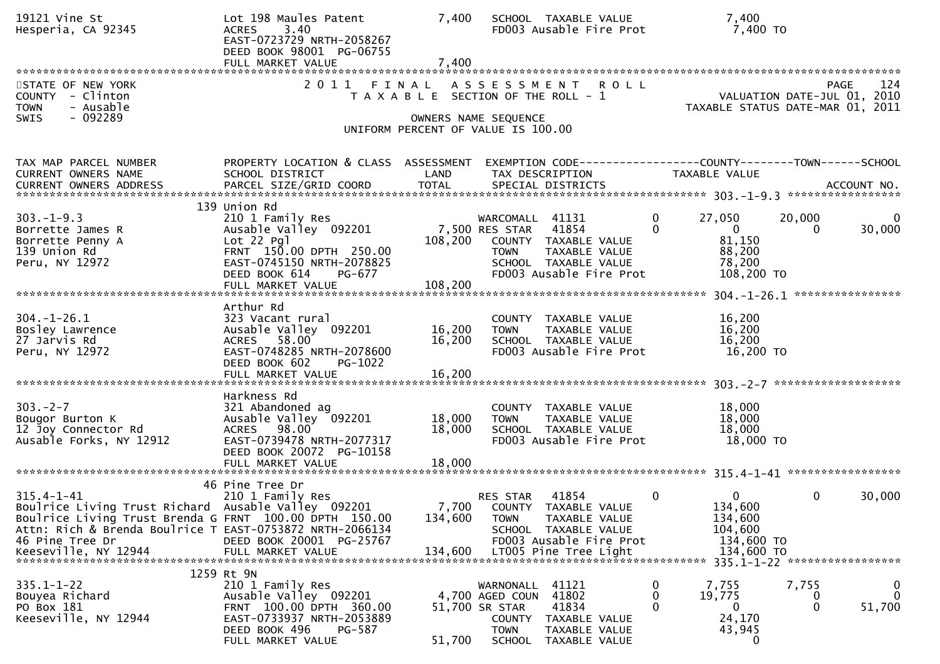| 19121 Vine St<br>Hesperia, CA 92345                                                                                                                                                                                                      | Lot 198 Maules Patent<br><b>ACRES</b><br>3.40<br>EAST-0723729 NRTH-2058267<br>DEED BOOK 98001 PG-06755<br>FULL MARKET VALUE                                     | 7,400<br>7,400             | SCHOOL TAXABLE VALUE<br>FD003 Ausable Fire Prot                                                                                                              |                          | 7,400<br>7,400 TO                                                           |                                                                                |
|------------------------------------------------------------------------------------------------------------------------------------------------------------------------------------------------------------------------------------------|-----------------------------------------------------------------------------------------------------------------------------------------------------------------|----------------------------|--------------------------------------------------------------------------------------------------------------------------------------------------------------|--------------------------|-----------------------------------------------------------------------------|--------------------------------------------------------------------------------|
| STATE OF NEW YORK<br>COUNTY - Clinton<br>- Ausable<br><b>TOWN</b><br>$-092289$<br><b>SWIS</b>                                                                                                                                            | 2011                                                                                                                                                            | FINAL                      | ASSESSMENT ROLL<br>T A X A B L E SECTION OF THE ROLL - 1<br>OWNERS NAME SEQUENCE<br>UNIFORM PERCENT OF VALUE IS 100.00                                       |                          |                                                                             | 124<br>PAGE<br>VALUATION DATE-JUL 01, 2010<br>TAXABLE STATUS DATE-MAR 01, 2011 |
| TAX MAP PARCEL NUMBER<br>CURRENT OWNERS NAME<br>CURRENT OWNERS ADDRESS                                                                                                                                                                   | PROPERTY LOCATION & CLASS ASSESSMENT<br>SCHOOL DISTRICT<br>PARCEL SIZE/GRID COORD                                                                               | LAND<br><b>TOTAL</b>       | EXEMPTION CODE------------------COUNTY--------TOWN------SCHOOL<br>TAX DESCRIPTION<br>SPECIAL DISTRICTS                                                       |                          | <b>TAXABLE VALUE</b>                                                        | ACCOUNT NO.                                                                    |
| $303. -1 - 9.3$<br>Borrette James R<br>Borrette Penny A<br>139 Union Rd<br>Peru, NY 12972                                                                                                                                                | 139 Union Rd<br>210 1 Family Res<br>Ausable Valley 092201<br>Lot 22 Pgl<br>FRNT 150.00 DPTH 250.00<br>EAST-0745150 NRTH-2078825<br>DEED BOOK 614<br>PG-677      | 108,200                    | WARCOMALL 41131<br>7,500 RES STAR 41854<br>COUNTY TAXABLE VALUE<br>TAXABLE VALUE<br><b>TOWN</b><br>SCHOOL TAXABLE VALUE<br>FD003 Ausable Fire Prot           | $\mathbf{0}$<br>$\Omega$ | 27,050<br>$\mathbf 0$<br>81,150<br>88,200<br>78,200<br>108,200 TO           | 20,000<br>30,000<br>0                                                          |
| $304. - 1 - 26.1$<br>Bosley Lawrence<br>27 Jarvis Rd<br>Peru, NY 12972                                                                                                                                                                   | Arthur Rd<br>323 Vacant rural<br>Ausable Valley 092201<br>ACRES 58.00<br>EAST-0748285 NRTH-2078600<br>DEED BOOK 602<br>PG-1022<br>FULL MARKET VALUE             | 16,200<br>16,200<br>16,200 | COUNTY TAXABLE VALUE<br><b>TOWN</b><br>TAXABLE VALUE<br>SCHOOL TAXABLE VALUE<br>FD003 Ausable Fire Prot                                                      |                          | 16,200<br>16,200<br>16,200<br>16,200 TO                                     |                                                                                |
| $303 - 2 - 7$<br>Bougor Burton K<br>12 Joy Connector Rd<br>Ausable Forks, NY 12912                                                                                                                                                       | Harkness Rd<br>321 Abandoned ag<br>Ausable Valley 092201<br>ACRES 98.00<br>EAST-0739478 NRTH-2077317<br>DEED BOOK 20072 PG-10158<br>FULL MARKET VALUE           | 18,000<br>18,000<br>18,000 | COUNTY TAXABLE VALUE<br>TAXABLE VALUE<br><b>TOWN</b><br>SCHOOL TAXABLE VALUE<br>FD003 Ausable Fire Prot                                                      |                          | 18,000<br>18,000<br>18,000<br>18,000 TO                                     |                                                                                |
| $315.4 - 1 - 41$<br>Boulrice Living Trust Richard Ausable Valley 092201<br>Boulrice Living Trust Brenda G FRNT 100.00 DPTH 150.00<br>Attn: Rich & Brenda Boulrice T EAST-0753872 NRTH-2066134<br>46 Pine Tree Dr<br>Keeseville, NY 12944 | 46 Pine Tree Dr<br>210 1 Family Res<br>DEED BOOK 20001 PG-25767<br>FULL MARKET VALUE                                                                            | 134,600<br>134,600         | 41854<br>RES STAR<br>7,700 COUNTY TAXABLE VALUE<br><b>TOWN</b><br>TAXABLE VALUE<br>SCHOOL TAXABLE VALUE<br>FD003 Ausable Fire Prot<br>LT005 Pine Tree Light  | $\mathbf{0}$             | $\overline{0}$<br>134,600<br>134,600<br>104,600<br>134,600 TO<br>134,600 TO | $\mathbf{0}$<br>30,000<br>335.1-1-22 ******************                        |
| $335.1 - 1 - 22$<br>Bouyea Richard<br>PO Box 181<br>Keeseville, NY 12944                                                                                                                                                                 | 1259 Rt 9N<br>210 1 Family Res<br>Ausable Valley 092201<br>FRNT 100.00 DPTH 360.00<br>EAST-0733937 NRTH-2053889<br>DEED BOOK 496<br>PG-587<br>FULL MARKET VALUE | 51,700                     | 41121<br>WARNONALL<br>41802<br>4,700 AGED COUN<br>41834<br>51,700 SR STAR<br>COUNTY TAXABLE VALUE<br><b>TOWN</b><br>TAXABLE VALUE<br>SCHOOL<br>TAXABLE VALUE | 0<br>0<br>$\Omega$       | 7,755<br>19,775<br>0<br>24,170<br>43,945<br>0                               | 7,755<br>0<br>0<br>0<br>$\Omega$<br>51,700                                     |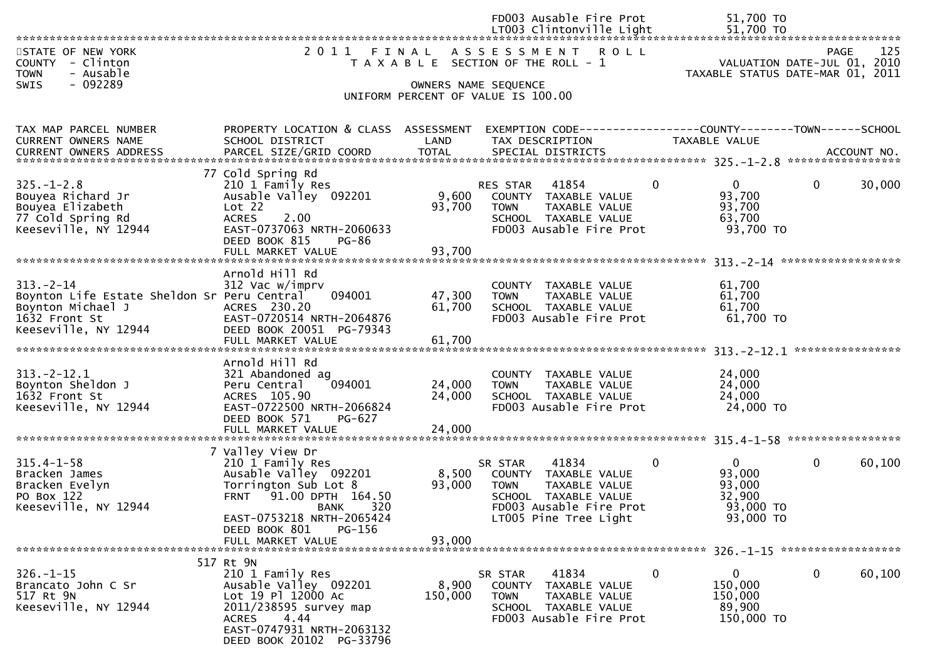|                                                                                                                             |                                                                                                                                                                                                |                            | FD003 Ausable Fire Prot<br>LT003 Clintonville Light                                                                                                                  | 51,700 TO<br>51,700 TO                                                              |                    |
|-----------------------------------------------------------------------------------------------------------------------------|------------------------------------------------------------------------------------------------------------------------------------------------------------------------------------------------|----------------------------|----------------------------------------------------------------------------------------------------------------------------------------------------------------------|-------------------------------------------------------------------------------------|--------------------|
| STATE OF NEW YORK<br>COUNTY - Clinton<br>- Ausable<br><b>TOWN</b>                                                           |                                                                                                                                                                                                |                            | 2011 FINAL ASSESSMENT ROLL<br>T A X A B L E SECTION OF THE ROLL - 1                                                                                                  | VALUATION DATE-JUL 01, 2010<br>TAXABLE STATUS DATE-MAR 01, 2011                     | 125<br><b>PAGE</b> |
| $-092289$<br>SWIS                                                                                                           |                                                                                                                                                                                                |                            | OWNERS NAME SEQUENCE<br>UNIFORM PERCENT OF VALUE IS 100.00                                                                                                           |                                                                                     |                    |
| TAX MAP PARCEL NUMBER<br>CURRENT OWNERS NAME                                                                                | PROPERTY LOCATION & CLASS ASSESSMENT<br>SCHOOL DISTRICT                                                                                                                                        | LAND                       | EXEMPTION CODE------------------COUNTY--------TOWN------SCHOOL<br>TAX DESCRIPTION                                                                                    | <b>TAXABLE VALUE</b>                                                                |                    |
| $325. - 1 - 2.8$<br>Bouyea Richard Jr<br>Bouyea Elizabeth<br>77 Cold Spring Rd<br>Keeseville, NY 12944                      | 77 Cold Spring Rd<br>210 1 Family Res<br>Ausable Valley 092201<br>Lot 22<br><b>ACRES</b><br>2.00<br>EAST-0737063 NRTH-2060633<br>DEED BOOK 815<br>PG-86<br>FULL MARKET VALUE                   | 9,600<br>93,700<br>93,700  | 41854<br>$\mathbf{0}$<br>RES STAR<br>COUNTY TAXABLE VALUE<br><b>TOWN</b><br>TAXABLE VALUE<br>SCHOOL TAXABLE VALUE<br>FD003 Ausable Fire Prot                         | $\mathbf{0}$<br>$\mathbf{0}$<br>93,700<br>93,700<br>63,700<br>93,700 TO             | 30,000             |
| $313 - 2 - 14$<br>Boynton Life Estate Sheldon Sr Peru Central<br>Boynton Michael J<br>1632 Front St<br>Keeseville, NY 12944 | Arnold Hill Rd<br>312 Vac w/imprv<br>094001<br>ACRES 230.20<br>EAST-0720514 NRTH-2064876<br>DEED BOOK 20051 PG-79343<br>FULL MARKET VALUE                                                      | 47,300<br>61,700<br>61,700 | COUNTY TAXABLE VALUE<br><b>TOWN</b><br>TAXABLE VALUE<br>SCHOOL TAXABLE VALUE<br>FD003 Ausable Fire Prot                                                              | 61,700<br>61,700<br>61,700<br>$61,700$ TO                                           |                    |
| $313 - 2 - 12.1$<br>Boynton Sheldon J<br>1632 Front St<br>Keeseville, NY 12944                                              | Arnold Hill Rd<br>321 Abandoned ag<br>094001<br>Peru Central<br>ACRES 105.90<br>EAST-0722500 NRTH-2066824<br>DEED BOOK 571<br>PG-627                                                           | 24,000<br>24,000           | COUNTY TAXABLE VALUE<br><b>TOWN</b><br>TAXABLE VALUE<br>SCHOOL TAXABLE VALUE<br>FD003 Ausable Fire Prot                                                              | 24,000<br>24,000<br>24,000<br>24,000 TO                                             |                    |
| $315.4 - 1 - 58$<br>Bracken James<br>Bracken Evelyn<br>PO Box 122<br>Keeseville, NY 12944                                   | 7 Valley View Dr<br>210 1 Family Res<br>Ausable Valley 092201<br>Torrington Sub Lot 8<br>FRNT <sup>91.00</sup> DPTH 164.50<br>BANK 320<br>EAST-0753218 NRTH-2065424<br>DEED BOOK 801<br>PG-156 | 8,500<br>93,000            | 41834<br>$\mathbf{0}$<br>SR STAR<br>COUNTY TAXABLE VALUE<br><b>TOWN</b><br>TAXABLE VALUE<br>SCHOOL TAXABLE VALUE<br>FD003 Ausable Fire Prot<br>LT005 Pine Tree Light | $\mathbf 0$<br>$\mathbf{0}$<br>93,000<br>93,000<br>32,900<br>93,000 TO<br>93,000 TO | 60,100             |
|                                                                                                                             | FULL MARKET VALUE<br>517 Rt 9N                                                                                                                                                                 | 93,000                     |                                                                                                                                                                      |                                                                                     |                    |
| $326. - 1 - 15$<br>Brancato John C Sr<br>517 Rt 9N<br>Keeseville, NY 12944                                                  | 210 1 Family Res<br>Ausable Valley 092201<br>Lot 19 Pl 12000 Ac<br>2011/238595 survey map<br>ACRES<br>4.44<br>EAST-0747931 NRTH-2063132<br>DEED BOOK 20102 PG-33796                            | 8,900<br>150,000           | $\mathbf{0}$<br>41834<br>SR STAR<br>COUNTY TAXABLE VALUE<br><b>TOWN</b><br>TAXABLE VALUE<br>SCHOOL TAXABLE VALUE<br>FD003 Ausable Fire Prot                          | 0<br>0<br>150,000<br>150,000<br>89,900<br>150,000 TO                                | 60,100             |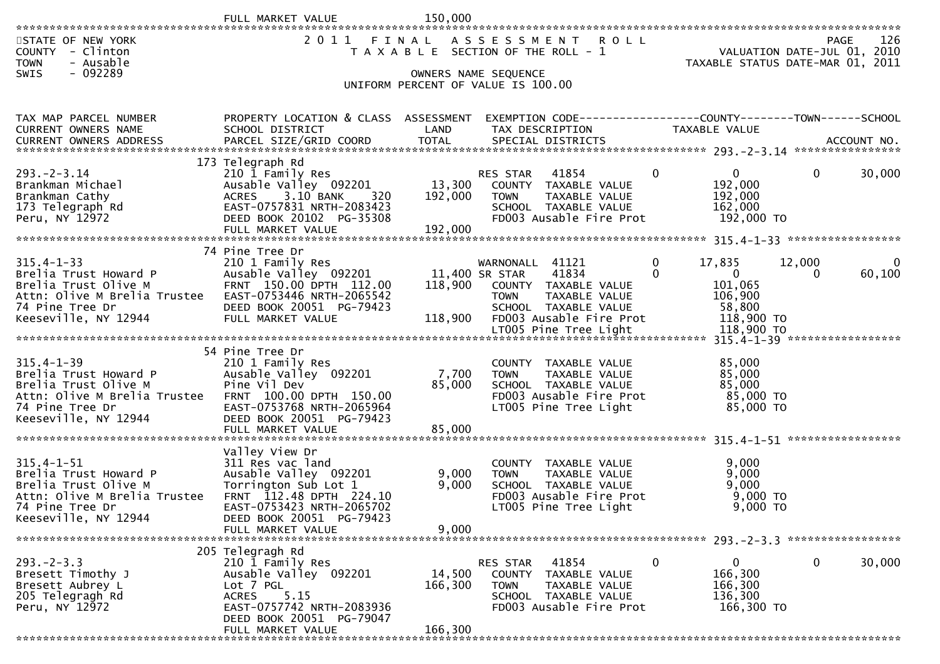|                                                                   | FULL MARKET VALUE                                       | 150,000           |                                                                             |                                        |                             |                        |
|-------------------------------------------------------------------|---------------------------------------------------------|-------------------|-----------------------------------------------------------------------------|----------------------------------------|-----------------------------|------------------------|
| STATE OF NEW YORK<br>COUNTY - Clinton<br><b>TOWN</b><br>- Ausable | 2 0 1 1                                                 | FINAL             | A S S E S S M E N T<br><b>ROLL</b><br>T A X A B L E SECTION OF THE ROLL - 1 | TAXABLE STATUS DATE-MAR 01, 2011       | VALUATION DATE-JUL 01, 2010 | 126<br><b>PAGE</b>     |
| $-092289$<br><b>SWIS</b>                                          |                                                         |                   | OWNERS NAME SEQUENCE<br>UNIFORM PERCENT OF VALUE IS 100.00                  |                                        |                             |                        |
|                                                                   |                                                         |                   |                                                                             |                                        |                             |                        |
| TAX MAP PARCEL NUMBER<br><b>CURRENT OWNERS NAME</b>               | PROPERTY LOCATION & CLASS ASSESSMENT<br>SCHOOL DISTRICT | LAND              | TAX DESCRIPTION                                                             | TAXABLE VALUE                          |                             |                        |
|                                                                   |                                                         |                   |                                                                             |                                        |                             |                        |
|                                                                   | 173 Telegraph Rd                                        |                   |                                                                             |                                        |                             |                        |
| $293. - 2 - 3.14$<br>Brankman Michael                             | 210 1 Family Res<br>Ausable Valley 092201               | 13,300            | 41854<br><b>RES STAR</b><br>COUNTY TAXABLE VALUE                            | $\mathbf 0$<br>$\mathbf{0}$<br>192,000 | $\mathbf{0}$                | 30,000                 |
| Brankman Cathy                                                    | 3.10 BANK<br>320<br><b>ACRES</b>                        | 192,000           | TAXABLE VALUE<br><b>TOWN</b>                                                | 192,000                                |                             |                        |
| 173 Telegraph Rd<br>Peru, NY 12972                                | EAST-0757831 NRTH-2083423<br>DEED BOOK 20102 PG-35308   |                   | SCHOOL TAXABLE VALUE<br>FD003 Ausable Fire Prot                             | 162,000<br>192,000 TO                  |                             |                        |
|                                                                   | FULL MARKET VALUE                                       | 192,000           |                                                                             |                                        |                             |                        |
|                                                                   | 74 Pine Tree Dr                                         |                   |                                                                             |                                        |                             |                        |
| $315.4 - 1 - 33$<br>Brelia Trust Howard P                         | 210 1 Family Res<br>Ausable Valley 092201               |                   | 41121<br>WARNONALL<br>41834<br>11,400 SR STAR                               | 17,835<br>0<br>0<br>$\overline{0}$     | 12,000<br>$\Omega$          | $\mathbf{0}$<br>60,100 |
| Brelia Trust Olive M                                              | FRNT 150.00 DPTH 112.00                                 | 118,900           | COUNTY TAXABLE VALUE                                                        | 101,065                                |                             |                        |
| Attn: Olive M Brelia Trustee<br>74 Pine Tree Dr                   | EAST-0753446 NRTH-2065542<br>DEED BOOK 20051 PG-79423   |                   | TAXABLE VALUE<br><b>TOWN</b><br>SCHOOL TAXABLE VALUE                        | 106,900<br>58,800                      |                             |                        |
| Keeseville, NY 12944                                              | FULL MARKET VALUE                                       | 118,900           | FD003 Ausable Fire Prot                                                     | 118,900 TO                             |                             |                        |
|                                                                   |                                                         |                   |                                                                             |                                        |                             |                        |
| $315.4 - 1 - 39$                                                  | 54 Pine Tree Dr<br>210 1 Family Res                     |                   | COUNTY TAXABLE VALUE                                                        | 85,000                                 |                             |                        |
| Brelia Trust Howard P<br>Brelia Trust Olive M                     | Ausable Valley 092201<br>Pine Vil Dev                   | 7,700<br>85,000   | TAXABLE VALUE<br><b>TOWN</b><br>SCHOOL TAXABLE VALUE                        | 85,000<br>85,000                       |                             |                        |
| Attn: Olive M Brelia Trustee                                      | FRNT 100.00 DPTH 150.00                                 |                   | FD003 Ausable Fire Prot                                                     | 85,000 TO                              |                             |                        |
| 74 Pine Tree Dr<br>Keeseville, NY 12944                           | EAST-0753768 NRTH-2065964<br>DEED BOOK 20051 PG-79423   |                   | LT005 Pine Tree Light                                                       | 85,000 TO                              |                             |                        |
|                                                                   | FULL MARKET VALUE                                       | 85,000            |                                                                             |                                        |                             |                        |
|                                                                   | Valley View Dr                                          |                   |                                                                             |                                        |                             |                        |
| $315.4 - 1 - 51$<br>Brelia Trust Howard P                         | 311 Res vac land<br>Ausable Valley 092201               | 9,000             | TAXABLE VALUE<br><b>COUNTY</b><br>TAXABLE VALUE<br><b>TOWN</b>              | 9,000<br>9,000                         |                             |                        |
| Brelia Trust Olive M<br>Attn: Olive M Brelia Trustee              | Torrington Sub Lot 1<br>FRNT 112.48 DPTH 224.10         | 9,000             | SCHOOL TAXABLE VALUE<br>FD003 Ausable Fire Prot                             | 9,000<br>$9,000$ TO                    |                             |                        |
| 74 Pine Tree Dr                                                   | EAST-0753423 NRTH-2065702                               |                   | LT005 Pine Tree Light                                                       | 9,000 TO                               |                             |                        |
| Keeseville, NY 12944                                              | DEED BOOK 20051 PG-79423<br>FULL MARKET VALUE           | 9,000             |                                                                             |                                        |                             |                        |
|                                                                   |                                                         |                   |                                                                             |                                        |                             |                        |
| $293. -2 - 3.3$                                                   | 205 Telegragh Rd<br>210 1 Family Res                    |                   | 41854<br>RES STAR                                                           | $\mathbf 0$<br>$\mathbf{0}$            | $\mathbf{0}$                | 30,000                 |
| Bresett Timothy J<br>Bresett Aubrey L                             | Ausable Valley 092201<br>Lot 7 PGL                      | 14,500<br>166,300 | COUNTY TAXABLE VALUE<br>TAXABLE VALUE<br><b>TOWN</b>                        | 166,300<br>166,300                     |                             |                        |
| 205 Telegragh Rd                                                  | 5.15<br><b>ACRES</b>                                    |                   | SCHOOL TAXABLE VALUE                                                        | 136,300                                |                             |                        |
| Peru, NY 12972                                                    | EAST-0757742 NRTH-2083936<br>DEED BOOK 20051 PG-79047   |                   | FD003 Ausable Fire Prot                                                     | 166,300 TO                             |                             |                        |
|                                                                   | FULL MARKET VALUE                                       | 166,300           |                                                                             |                                        |                             |                        |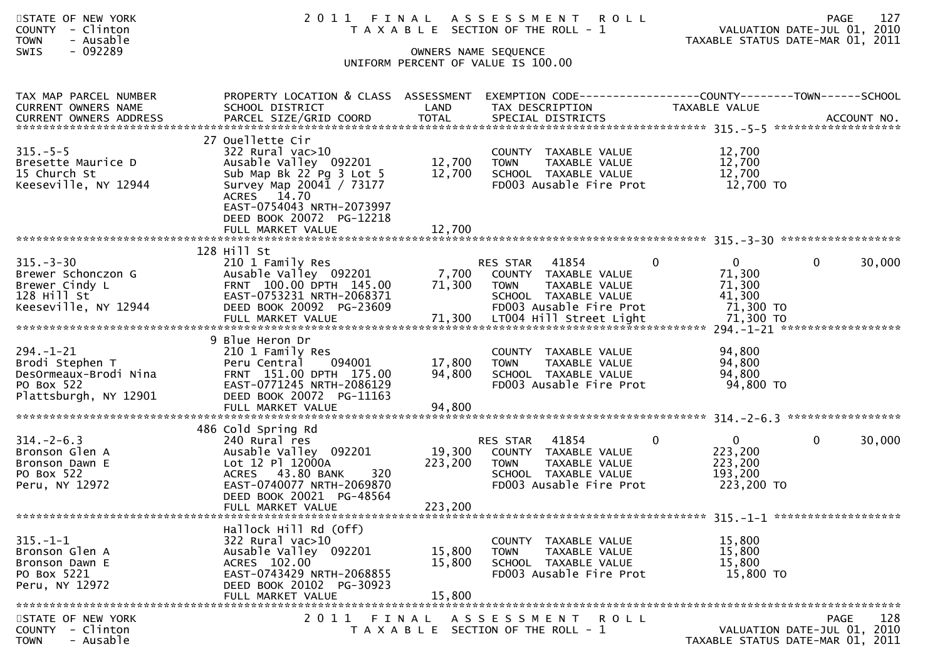| STATE OF NEW YORK<br>COUNTY - Clinton<br><b>TOWN</b><br>- Ausable<br>$-092289$<br>SWIS             |                                                                                                                                                                                                    | OWNERS NAME SEQUENCE       | 2011 FINAL ASSESSMENT<br>R O L L<br>T A X A B L E SECTION OF THE ROLL - 1<br>UNIFORM PERCENT OF VALUE IS 100.00              | VALUATION DATE-JUL 01, 2010<br>TAXABLE STATUS DATE-MAR 01, 2011    | <b>PAGE</b> | 127    |
|----------------------------------------------------------------------------------------------------|----------------------------------------------------------------------------------------------------------------------------------------------------------------------------------------------------|----------------------------|------------------------------------------------------------------------------------------------------------------------------|--------------------------------------------------------------------|-------------|--------|
| TAX MAP PARCEL NUMBER<br>CURRENT OWNERS NAME                                                       | PROPERTY LOCATION & CLASS ASSESSMENT EXEMPTION CODE----------------COUNTY-------TOWN------SCHOOL<br>SCHOOL DISTRICT                                                                                | LAND                       | TAX DESCRIPTION                                                                                                              | TAXABLE VALUE                                                      |             |        |
| $315. - 5 - 5$<br>Bresette Maurice D<br>15 Church St<br>Keeseville, NY 12944                       | 27 Ouellette Cir<br>$322$ Rural vac $>10$<br>Ausable Valley 092201<br>Sub Map Bk 22 Pg 3 Lot 5<br>Survey Map 20041 / 73177<br>ACRES 14.70<br>EAST-0754043 NRTH-2073997<br>DEED BOOK 20072 PG-12218 | 12,700<br>12,700           | COUNTY TAXABLE VALUE<br><b>TOWN</b><br>TAXABLE VALUE<br>SCHOOL TAXABLE VALUE<br>FD003 Ausable Fire Prot                      | 12,700<br>12,700<br>12,700<br>12,700 TO                            |             |        |
|                                                                                                    |                                                                                                                                                                                                    |                            |                                                                                                                              |                                                                    |             |        |
| $315 - 3 - 30$<br>Brewer Schonczon G<br>Brewer Cindy L<br>128 Hill St<br>Keeseville, NY 12944      | 128 Hill St<br>210 1 Family Res<br>Ausable Valley 092201<br>FRNT 100.00 DPTH 145.00<br>EAST-0753231 NRTH-2068371<br>DEED BOOK 20092 PG-23609                                                       | 7,700<br>71,300            | RES STAR<br>41854<br>COUNTY TAXABLE VALUE<br><b>TOWN</b><br>TAXABLE VALUE<br>SCHOOL TAXABLE VALUE<br>FD003 Ausable Fire Prot | 0<br>$\mathbf{0}$<br>71,300<br>71,300<br>41,300<br>71,300 TO       | 0           | 30,000 |
| $294. - 1 - 21$<br>Brodi Stephen T<br>DesOrmeaux-Brodi Nina<br>PO Box 522<br>Plattsburgh, NY 12901 | 9 Blue Heron Dr<br>210 1 Family Res<br>Peru Central<br>094001<br>FRNT 151.00 DPTH 175.00<br>EAST-0771245 NRTH-2086129<br>DEED BOOK 20072 PG-11163<br>FULL MARKET VALUE                             | 17,800<br>94,800<br>94,800 | COUNTY TAXABLE VALUE<br>TAXABLE VALUE<br><b>TOWN</b><br>SCHOOL TAXABLE VALUE<br>FD003 Ausable Fire Prot                      | 94,800<br>94,800<br>94,800<br>94,800 TO                            |             |        |
|                                                                                                    | 486 Cold Spring Rd                                                                                                                                                                                 |                            |                                                                                                                              |                                                                    |             |        |
| $314. - 2 - 6.3$<br>Bronson Glen A<br>Bronson Dawn E<br>PO Box 522<br>Peru, NY 12972               | 240 Rural res<br>Ausable Valley 092201<br>Lot 12 Pl 12000A<br>ACRES 43.80 BANK<br>320<br>EAST-0740077 NRTH-2069870<br>DEED BOOK 20021 PG-48564                                                     | 19,300<br>223,200          | RES STAR<br>41854<br>COUNTY TAXABLE VALUE<br><b>TAXABLE VALUE</b><br>TOWN<br>SCHOOL TAXABLE VALUE<br>FD003 Ausable Fire Prot | $\overline{0}$<br>0<br>223,200<br>223,200<br>193,200<br>223,200 TO | 0           | 30,000 |
|                                                                                                    | FULL MARKET VALUE                                                                                                                                                                                  | 223,200                    |                                                                                                                              |                                                                    |             |        |
| $315. - 1 - 1$<br>Bronson Glen A<br>Bronson Dawn E<br>PO Box 5221<br>Peru, NY 12972                | Hallock Hill Rd (Off)<br>$322$ Rural vac $>10$<br>Ausable Valley 092201<br>ACRES 102.00<br>EAST-0743429 NRTH-2068855<br>DEED BOOK 20102 PG-30923<br>FULL MARKET VALUE                              | 15,800<br>15,800<br>15,800 | COUNTY TAXABLE VALUE<br><b>TOWN</b><br>TAXABLE VALUE<br>SCHOOL TAXABLE VALUE<br>FD003 Ausable Fire Prot                      | 15,800<br>15,800<br>15,800<br>15,800 TO                            |             |        |
| STATE OF NEW YORK<br><b>COUNTY</b><br>- Clinton<br>- Ausable<br><b>TOWN</b>                        | 2011                                                                                                                                                                                               | FINAL                      | ASSESSMENT ROLL<br>T A X A B L E SECTION OF THE ROLL - 1                                                                     | VALUATION DATE-JUL 01, 2010<br>TAXABLE STATUS DATE-MAR 01, 2011    | PAGE        | 128    |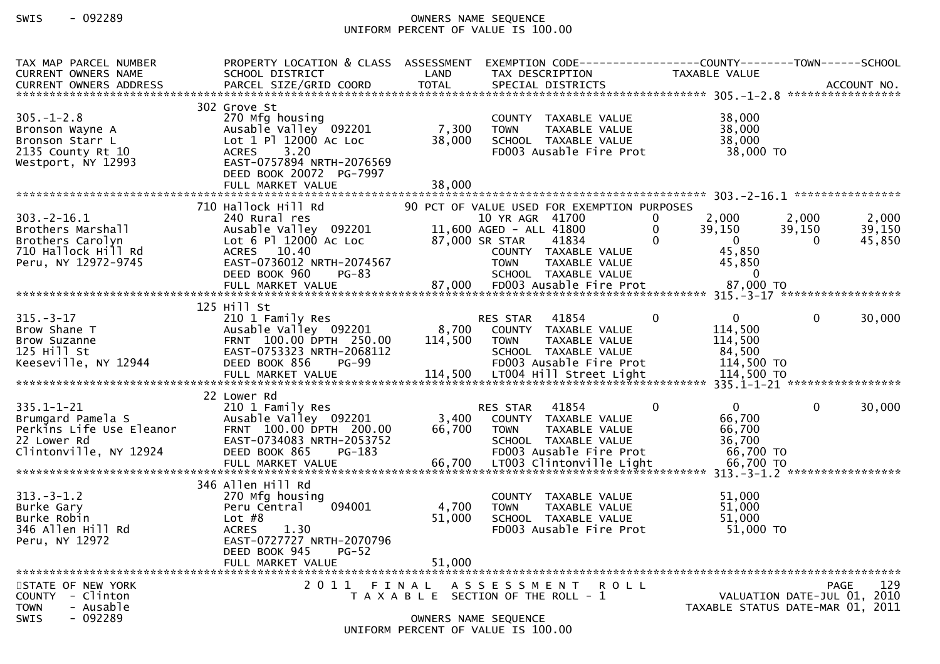## SWIS - 092289 OWNERS NAME SEQUENCE UNIFORM PERCENT OF VALUE IS 100.00

| TAX MAP PARCEL NUMBER<br><b>CURRENT OWNERS NAME</b>                                                                                                                                       | PROPERTY LOCATION & CLASS ASSESSMENT<br>SCHOOL DISTRICT                                                                                                                                | LAND                      | EXEMPTION CODE------------------COUNTY--------TOWN------SCHOOL<br>TAX DESCRIPTION                                                                                                                                               | TAXABLE VALUE                                                                 |                                                                                |                           |
|-------------------------------------------------------------------------------------------------------------------------------------------------------------------------------------------|----------------------------------------------------------------------------------------------------------------------------------------------------------------------------------------|---------------------------|---------------------------------------------------------------------------------------------------------------------------------------------------------------------------------------------------------------------------------|-------------------------------------------------------------------------------|--------------------------------------------------------------------------------|---------------------------|
| $305 - 1 - 2.8$<br>Bronson Wayne A<br>Bronson Starr L<br>2135 County Rt 10<br>Westport, NY 12993                                                                                          | 302 Grove St<br>270 Mfg housing<br>Ausable Valley 092201<br>Lot 1 Pl 12000 Ac Loc<br>3.20<br><b>ACRES</b><br>EAST-0757894 NRTH-2076569<br>DEED BOOK 20072 PG-7997<br>FULL MARKET VALUE | 7,300<br>38,000<br>38,000 | COUNTY TAXABLE VALUE<br><b>TOWN</b><br>TAXABLE VALUE<br>SCHOOL TAXABLE VALUE<br>FD003 Ausable Fire Prot                                                                                                                         | 38,000<br>38,000<br>38,000                                                    | 38,000 TO                                                                      |                           |
| $303. -2 - 16.1$<br>Brothers Marshall<br>Brothers Carolyn<br>710 Hallock Hill Rd<br>Peru, NY 12972-9745                                                                                   | 710 Hallock Hill Rd<br>240 Rural res<br>Ausable Valley 092201<br>Lot 6 Pl 12000 Ac Loc<br>ACRES 10.40<br>EAST-0736012 NRTH-2074567<br>DEED BOOK 960<br>$PG-83$<br>FULL MARKET VALUE    | 87,000                    | 90 PCT OF VALUE USED FOR EXEMPTION PURPOSES<br>10 YR AGR 41700<br>11,600 AGED - ALL 41800<br>87,000 SR STAR<br>41834<br>COUNTY TAXABLE VALUE<br><b>TOWN</b><br>TAXABLE VALUE<br>SCHOOL TAXABLE VALUE<br>FD003 Ausable Fire Prot | 2,000<br>$\Omega$<br>39,150<br>$\Omega$<br>$\overline{0}$<br>45,850<br>45,850 | 2,000<br>39,150<br>$\Omega$<br>$\Omega$<br>87,000 TO                           | 2,000<br>39,150<br>45,850 |
| $315. - 3 - 17$<br>Brow Shane T<br>Brow Suzanne<br>125 Hill St<br>Keeseville, NY 12944<br>114,500 LTO04 Hill Street Light<br>FULL MARKET VALUE 114,500 LTO04 Hill Street Light 114,500 TO | 125 Hill St<br>210 1 Family Res<br>Ausable Valley 092201<br>FRNT 100.00 DPTH 250.00<br>EAST-0753323 NRTH-2068112<br>DEED BOOK 856<br><b>PG-99</b>                                      | 8,700<br>114,500          | 41854<br><b>RES STAR</b><br>COUNTY TAXABLE VALUE<br><b>TOWN</b><br>TAXABLE VALUE<br>SCHOOL TAXABLE VALUE<br>FD003 Ausable Fire Prot                                                                                             | $\mathbf{0}$<br>$\mathbf{0}$<br>114,500<br>114,500<br>84,500                  | 0<br>114,500 TO                                                                | 30,000                    |
| $335.1 - 1 - 21$<br>Brumgard Pamela S<br>Perkins Life Use Eleanor<br>22 Lower Rd<br>Clintonville, NY 12924                                                                                | 22 Lower Rd<br>210 1 Family Res<br>Ausable Valley 092201<br>FRNT 100.00 DPTH 200.00<br>EAST-0734083 NRTH-2053752<br>DEED BOOK 865<br>$PG-183$<br>FULL MARKET VALUE                     | 3,400<br>66,700<br>66,700 | 41854<br><b>RES STAR</b><br>COUNTY TAXABLE VALUE<br><b>TOWN</b><br><b>TAXABLE VALUE</b><br>SCHOOL TAXABLE VALUE<br>FD003 Ausable Fire Prot<br>LT003 Clintonville Light                                                          | $\Omega$<br>$\Omega$<br>66,700<br>66,700<br>36,700                            | $\Omega$<br>66,700 TO<br>66.700 TO                                             | 30,000                    |
| $313 - 3 - 1.2$<br>Burke Gary<br>Burke Robin<br>346 Allen Hill Rd<br>Peru, NY 12972                                                                                                       | 346 Allen Hill Rd<br>270 Mtg housing<br>Peru Central<br>094001<br>Lot $#8$<br><b>ACRES</b><br>1.30<br>EAST-0727727 NRTH-2070796<br>DEED BOOK 945<br>$PG-52$<br>FULL MARKET VALUE       | 4,700<br>51,000<br>51,000 | COUNTY TAXABLE VALUE<br>TAXABLE VALUE<br><b>TOWN</b><br>SCHOOL TAXABLE VALUE<br>FD003 Ausable Fire Prot                                                                                                                         | 51,000<br>51,000<br>51,000                                                    | 51,000 TO                                                                      |                           |
| STATE OF NEW YORK<br>COUNTY - Clinton<br>- Ausable<br><b>TOWN</b><br>$-092289$<br><b>SWIS</b>                                                                                             | 2011 FINAL                                                                                                                                                                             |                           | A S S E S S M E N T<br><b>ROLL</b><br>T A X A B L E SECTION OF THE ROLL - 1<br>OWNERS NAME SEQUENCE<br>UNIFORM PERCENT OF VALUE IS 100.00                                                                                       |                                                                               | <b>PAGE</b><br>VALUATION DATE-JUL 01, 2010<br>TAXABLE STATUS DATE-MAR 01, 2011 | 129                       |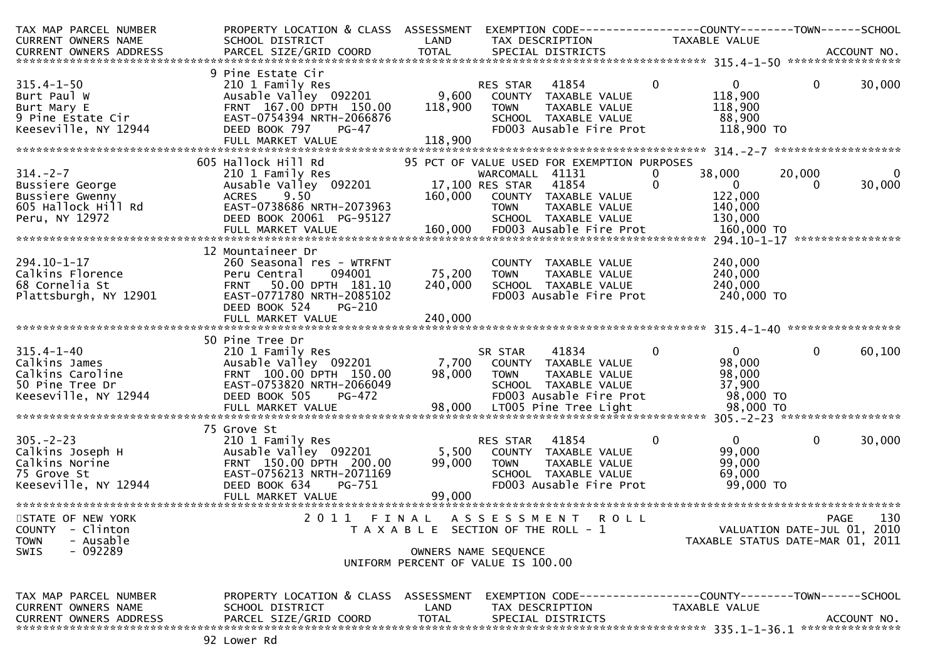| TAX MAP PARCEL NUMBER<br><b>CURRENT OWNERS NAME</b>                                                     | PROPERTY LOCATION & CLASS ASSESSMENT<br>SCHOOL DISTRICT                                                                                                                         | LAND                         | EXEMPTION CODE-----------------COUNTY-------TOWN------SCHOOL<br>TAX DESCRIPTION                                                                                             | TAXABLE VALUE                                                              |                                                                                       |
|---------------------------------------------------------------------------------------------------------|---------------------------------------------------------------------------------------------------------------------------------------------------------------------------------|------------------------------|-----------------------------------------------------------------------------------------------------------------------------------------------------------------------------|----------------------------------------------------------------------------|---------------------------------------------------------------------------------------|
|                                                                                                         |                                                                                                                                                                                 |                              |                                                                                                                                                                             |                                                                            |                                                                                       |
|                                                                                                         | 9 Pine Estate Cir                                                                                                                                                               |                              |                                                                                                                                                                             |                                                                            |                                                                                       |
| $315.4 - 1 - 50$<br>Burt Paul W<br>Burt Mary E<br>9 Pine Estate Cir<br>Keeseville, NY 12944             | 210 1 Family Res<br>Ausable Valley 092201 9,600 COUNTY TAXABLE VALUE<br>FRNT 167.00 DPTH 150.00<br>EAST-0754394 NRTH-2066876<br>DEED BOOK 797<br>PG-47<br>FULL MARKET VALUE     | 118,900<br>118,900           | 41854<br>RES STAR<br><b>TOWN</b><br>TAXABLE VALUE<br>SCHOOL TAXABLE VALUE<br>FD003 Ausable Fire Prot                                                                        | $\mathbf 0$<br>$\mathbf{0}$<br>118,900<br>118,900<br>88,900<br>118,900 TO  | $\mathbf 0$<br>30,000                                                                 |
|                                                                                                         |                                                                                                                                                                                 |                              |                                                                                                                                                                             |                                                                            |                                                                                       |
| $314. - 2 - 7$<br>Bussiere George<br>Bussiere Gwenny<br>605 Hallock Hill Rd<br>Peru, NY 12972           | 605 Hallock Hill Rd<br>210 1 Family Res<br>Ausable Valley 092201<br>9.50<br><b>ACRES</b><br>EAST-0738686 NRTH-2073963<br>DEED BOOK 20061 PG-95127                               |                              | 95 PCT OF VALUE USED FOR EXEMPTION PURPOSES<br>WARCOMALL 41131<br>17,100 RES STAR<br>41854<br>160,000 COUNTY TAXABLE VALUE<br>TOWN<br>TAXABLE VALUE<br>SCHOOL TAXABLE VALUE | 38,000<br>0<br>$\Omega$<br>$\overline{0}$<br>122,000<br>140,000<br>130,000 | 20,000<br>$\mathbf{0}$<br>30,000<br>$\Omega$                                          |
| $294.10 - 1 - 17$<br>Calkins Florence<br>68 Cornelia St<br>Plattsburgh, NY 12901                        | 12 Mountaineer Dr<br>260 Seasonal res - WTRFNT<br>094001<br>Peru Central<br>FRNT 50.00 DPTH 181.10<br>EAST-0771780 NRTH-2085102<br>DEED BOOK 524<br>PG-210<br>FULL MARKET VALUE | 75,200<br>240,000<br>240,000 | COUNTY TAXABLE VALUE<br><b>TOWN</b><br>TAXABLE VALUE<br>SCHOOL TAXABLE VALUE<br>FD003 Ausable Fire Prot                                                                     | 240,000<br>240,000<br>240,000<br>240,000 TO                                |                                                                                       |
|                                                                                                         | 50 Pine Tree Dr                                                                                                                                                                 |                              |                                                                                                                                                                             |                                                                            |                                                                                       |
| $315.4 - 1 - 40$<br>Calkins James<br>Calkins Caroline<br>50 Pine Tree Dr<br>Keeseville, NY 12944        | 210 1 Family Res<br>Ausable Valley 092201 7,700 COUNTY TAXABLE VALUE<br>FRNT 100.00 DPTH 150.00<br>EAST-0753820 NRTH-2066049<br>DEED BOOK 505<br><b>PG-472</b>                  | 98,000 TOWN                  | 41834<br>SR STAR<br>TAXABLE VALUE<br>SCHOOL TAXABLE VALUE<br>FD003 Ausable Fire Prot                                                                                        | $\mathbf{0}$<br>$0 \qquad$<br>98,000<br>98,000<br>37,900<br>98,000 TO      | $\mathbf{0}$<br>60,100                                                                |
|                                                                                                         | 75 Grove St                                                                                                                                                                     |                              |                                                                                                                                                                             |                                                                            |                                                                                       |
| 305.-2-23<br>Calkins Joseph H<br>Calkins Norine<br>75 Grove St<br>Keeseville, NY 12944                  | 210 1 Family Res<br>Ausable Valley 092201<br>FRNT 150.00 DPTH 200.00<br>EAST-0756213 NRTH-2071169<br>DEED BOOK 634<br>PG-751<br>FULL MARKET VALUE                               | 5,500<br>99,000<br>99,000    | 41854<br>RES STAR<br>COUNTY TAXABLE VALUE<br><b>TOWN</b><br>TAXABLE VALUE<br>SCHOOL TAXABLE VALUE<br>FD003 Ausable Fire Prot                                                | $\mathbf{0}$<br>$\mathbf{0}$<br>99,000<br>99,000<br>69,000<br>99,000 TO    | $\mathbf 0$<br>30,000                                                                 |
| STATE OF NEW YORK<br><b>COUNTY</b><br>- Clinton<br>- Ausable<br><b>TOWN</b><br>$-092289$<br><b>SWIS</b> | 2011                                                                                                                                                                            | FINAL                        | ASSESSMENT<br><b>ROLL</b><br>T A X A B L E SECTION OF THE ROLL - 1<br>OWNERS NAME SEQUENCE<br>UNIFORM PERCENT OF VALUE IS 100.00                                            |                                                                            | 130<br><b>PAGE</b><br>VALUATION DATE-JUL 01, 2010<br>TAXABLE STATUS DATE-MAR 01, 2011 |
| TAX MAP PARCEL NUMBER<br>CURRENT OWNERS NAME<br><b>CURRENT OWNERS ADDRESS</b>                           | PROPERTY LOCATION & CLASS ASSESSMENT<br>SCHOOL DISTRICT<br>PARCEL SIZE/GRID COORD                                                                                               | LAND<br><b>TOTAL</b>         | EXEMPTION        CODE-----------------COUNTY-------TOWN------SCHOOL<br>TAX DESCRIPTION<br>SPECIAL DISTRICTS                                                                 | TAXABLE VALUE                                                              | ACCOUNT NO.                                                                           |
|                                                                                                         |                                                                                                                                                                                 |                              |                                                                                                                                                                             |                                                                            |                                                                                       |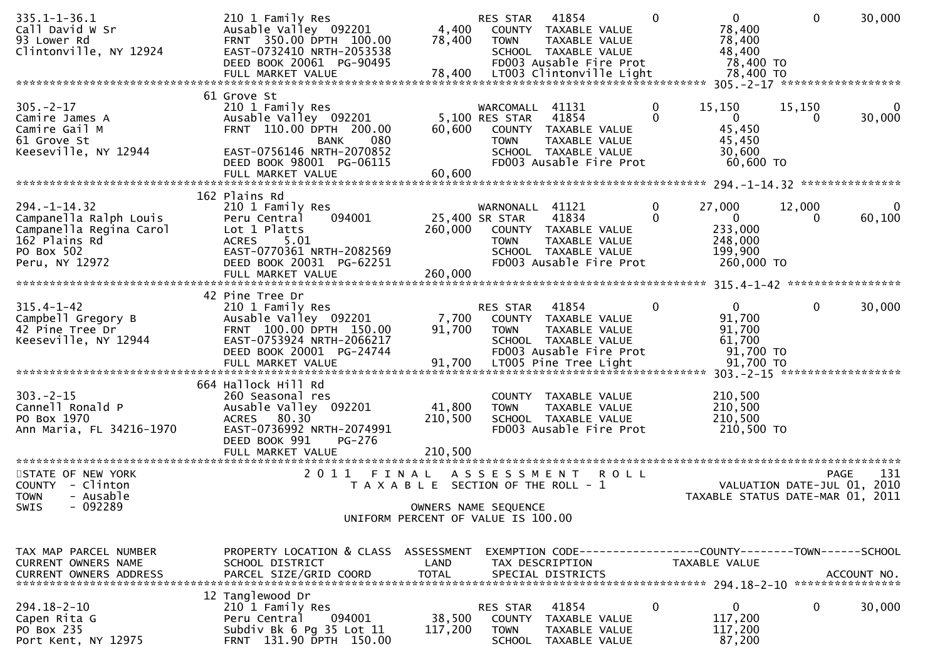| $335.1 - 1 - 36.1$<br>Call David W Sr<br>93 Lower Rd<br>Clintonville, NY 12924                                           | 210 1 Family Res<br>Ausable Valley 092201<br>FRNT 350.00 DPTH 100.00<br>EAST-0732410 NRTH-2053538<br>DEED BOOK 20061 PG-90495<br>FULL MARKET VALUE           | 4,400<br>78,400<br>78,400                      | RES STAR<br><b>TOWN</b>                          | 41854<br>COUNTY TAXABLE VALUE<br>TAXABLE VALUE<br>SCHOOL TAXABLE VALUE<br>FD003 Ausable Fire Prot<br>LT003 Clintonville Light | $\Omega$      | $\overline{0}$<br>78,400<br>78,400<br>48,400<br>78,400 TO<br>78,400 TO        | $\mathbf 0$  | 30,000                     |
|--------------------------------------------------------------------------------------------------------------------------|--------------------------------------------------------------------------------------------------------------------------------------------------------------|------------------------------------------------|--------------------------------------------------|-------------------------------------------------------------------------------------------------------------------------------|---------------|-------------------------------------------------------------------------------|--------------|----------------------------|
|                                                                                                                          | 61 Grove St                                                                                                                                                  |                                                |                                                  |                                                                                                                               |               |                                                                               |              |                            |
| $305. -2 - 17$<br>Camire James A<br>Camire Gail M<br>61 Grove St<br>Keeseville, NY 12944                                 | 210 1 Family Res<br>Ausable Valley 092201<br>FRNT 110.00 DPTH 200.00<br><b>BANK</b><br>080<br>EAST-0756146 NRTH-2070852<br>DEED BOOK 98001 PG-06115          | 60,600                                         | WARCOMALL 41131<br>5,100 RES STAR<br><b>TOWN</b> | 41854<br>COUNTY TAXABLE VALUE<br>TAXABLE VALUE<br>SCHOOL TAXABLE VALUE<br>FD003 Ausable Fire Prot                             | 0<br>$\Omega$ | 15,150<br>$\overline{0}$<br>45,450<br>45,450<br>30,600<br>60,600 TO           | 15,150<br>0  | 30,000                     |
|                                                                                                                          | FULL MARKET VALUE                                                                                                                                            | 60,600                                         |                                                  |                                                                                                                               |               |                                                                               |              |                            |
|                                                                                                                          |                                                                                                                                                              |                                                |                                                  |                                                                                                                               |               |                                                                               |              |                            |
| $294. - 1 - 14.32$<br>Campanella Ralph Louis<br>Campanella Regina Carol<br>162 Plains Rd<br>PO Box 502<br>Peru, NY 12972 | 162 Plains Rd<br>210 1 Family Res<br>094001<br>Peru Central<br>Lot 1 Platts<br><b>ACRES</b><br>5.01<br>EAST-0770361 NRTH-2082569<br>DEED BOOK 20031 PG-62251 | 260,000                                        | WARNONALL<br>25,400 SR STAR<br><b>TOWN</b>       | 41121<br>41834<br>COUNTY TAXABLE VALUE<br>TAXABLE VALUE<br>SCHOOL TAXABLE VALUE<br>FD003 Ausable Fire Prot                    | 0<br>$\Omega$ | 27,000<br>$\mathbf{0}$<br>233,000<br>248,000<br>199,900<br>260,000 TO         | 12,000<br>0  | 60,100                     |
|                                                                                                                          |                                                                                                                                                              |                                                |                                                  |                                                                                                                               |               |                                                                               |              |                            |
| $315.4 - 1 - 42$<br>Campbell Gregory B<br>42 Pine Tree Dr<br>Keeseville, NY 12944                                        | 42 Pine Tree Dr<br>210 1 Family Res<br>Ausable Valley 092201<br>FRNT 100.00 DPTH 150.00<br>EAST-0753924 NRTH-2066217<br>DEED BOOK 20001 PG-24744             | 7,700<br>91,700                                | RES STAR<br><b>TOWN</b>                          | 41854<br>COUNTY TAXABLE VALUE<br>TAXABLE VALUE<br>SCHOOL TAXABLE VALUE<br>FD003 Ausable Fire Prot                             | 0             | $\mathbf{0}$<br>91,700<br>91,700<br>61,700<br>91,700 TO                       | $\mathbf{0}$ | 30,000                     |
|                                                                                                                          | 664 Hallock Hill Rd                                                                                                                                          |                                                |                                                  |                                                                                                                               |               |                                                                               |              |                            |
| $303 - 2 - 15$<br>Cannell Ronald P<br>PO Box 1970<br>Ann Maria, FL 34216-1970                                            | 260 Seasonal res<br>Ausable Valley 092201<br>80.30<br><b>ACRES</b><br>EAST-0736992 NRTH-2074991<br>DEED BOOK 991<br>PG-276<br>FULL MARKET VALUE              | 41,800<br>210,500<br>210,500                   | <b>TOWN</b>                                      | COUNTY TAXABLE VALUE<br>TAXABLE VALUE<br>SCHOOL TAXABLE VALUE<br>FD003 Ausable Fire Prot                                      |               | 210,500<br>210,500<br>210,500<br>210,500 TO                                   |              |                            |
|                                                                                                                          |                                                                                                                                                              |                                                |                                                  |                                                                                                                               |               |                                                                               |              |                            |
| STATE OF NEW YORK<br>COUNTY - Clinton<br>- Ausable<br><b>TOWN</b><br>$-092289$                                           | 2011                                                                                                                                                         | FINAL<br>T A X A B L E SECTION OF THE ROLL - 1 | A S S E S S M E N T                              | <b>ROLL</b>                                                                                                                   |               | VALUATION DATE-JUL 01,<br>TAXABLE STATUS DATE-MAR 01, 2011                    |              | 131<br><b>PAGE</b><br>2010 |
| SWIS                                                                                                                     |                                                                                                                                                              | UNIFORM PERCENT OF VALUE IS 100.00             | OWNERS NAME SEQUENCE                             |                                                                                                                               |               |                                                                               |              |                            |
|                                                                                                                          |                                                                                                                                                              |                                                |                                                  |                                                                                                                               |               |                                                                               |              |                            |
| TAX MAP PARCEL NUMBER<br>CURRENT OWNERS NAME<br><b>CURRENT OWNERS ADDRESS</b>                                            | PROPERTY LOCATION & CLASS ASSESSMENT<br>SCHOOL DISTRICT<br>PARCEL SIZE/GRID COORD                                                                            | LAND<br><b>TOTAL</b>                           |                                                  | TAX DESCRIPTION<br>SPECIAL DISTRICTS                                                                                          |               | EXEMPTION CODE-----------------COUNTY-------TOWN------SCHOOL<br>TAXABLE VALUE |              | ACCOUNT NO.                |
|                                                                                                                          | 12 Tanglewood Dr                                                                                                                                             |                                                |                                                  |                                                                                                                               |               |                                                                               |              |                            |
| $294.18 - 2 - 10$<br>Capen Rita G<br>PO Box 235<br>Port Kent, NY 12975                                                   | 210 1 Family Res<br>094001<br>Peru Central<br>Subdiv Bk 6 Pg 35 Lot 11<br>FRNT 131.90 DPTH 150.00                                                            | 38,500<br>117,200                              | RES STAR<br><b>COUNTY</b><br><b>TOWN</b>         | 41854<br>TAXABLE VALUE<br>TAXABLE VALUE<br>SCHOOL TAXABLE VALUE                                                               | 0             | $\mathbf{0}$<br>117,200<br>117,200<br>87,200                                  | 0            | 30,000                     |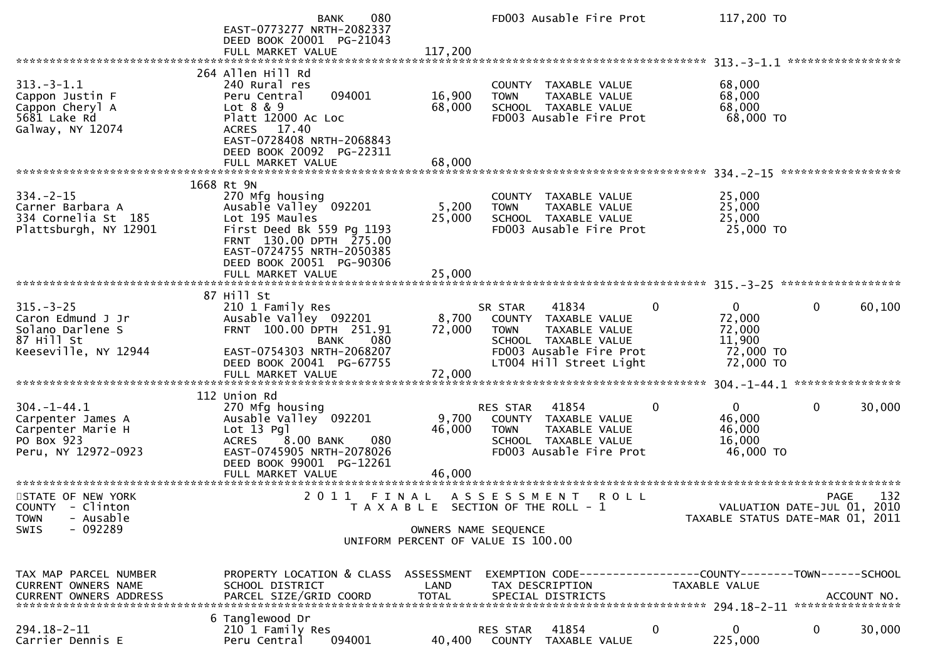|                                                                                                  | 080<br>BANK<br>EAST-0773277 NRTH-2082337<br>DEED BOOK 20001 PG-21043<br>FULL MARKET VALUE                                                                                                                      | 117,200                       | FD003 Ausable Fire Prot                                                                                                                                |   | 117,200 TO                                                                                                    |                   |        |
|--------------------------------------------------------------------------------------------------|----------------------------------------------------------------------------------------------------------------------------------------------------------------------------------------------------------------|-------------------------------|--------------------------------------------------------------------------------------------------------------------------------------------------------|---|---------------------------------------------------------------------------------------------------------------|-------------------|--------|
|                                                                                                  |                                                                                                                                                                                                                |                               |                                                                                                                                                        |   |                                                                                                               | ***************** |        |
| $313 - 3 - 1.1$<br>Cappon Justin F<br>Cappon Cheryl A<br>5681 Lake Rd<br>Galway, NY 12074        | 264 Allen Hill Rd<br>240 Rural res<br>094001<br>Peru Central<br>Lot 8 & 9<br>Platt 12000 Ac Loc<br>ACRES 17.40<br>EAST-0728408 NRTH-2068843<br>DEED BOOK 20092 PG-22311                                        | 16,900<br>68,000              | <b>TAXABLE VALUE</b><br><b>COUNTY</b><br>TAXABLE VALUE<br><b>TOWN</b><br>SCHOOL TAXABLE VALUE<br>FD003 Ausable Fire Prot                               |   | 68,000<br>68,000<br>68,000<br>68,000 TO                                                                       |                   |        |
|                                                                                                  | FULL MARKET VALUE                                                                                                                                                                                              | 68,000                        |                                                                                                                                                        |   |                                                                                                               |                   |        |
|                                                                                                  |                                                                                                                                                                                                                |                               |                                                                                                                                                        |   |                                                                                                               |                   |        |
| $334. -2 - 15$<br>Carner Barbara A<br>334 Cornelia St 185<br>Plattsburgh, NY 12901               | 1668 Rt 9N<br>270 Mfg housing<br>Ausable Valley 092201<br>Lot 195 Maules<br>First Deed Bk 559 Pg 1193<br>FRNT 130.00 DPTH 275.00<br>EAST-0724755 NRTH-2050385<br>DEED BOOK 20051 PG-90306<br>FULL MARKET VALUE | 5,200<br>25,000<br>25,000     | TAXABLE VALUE<br><b>COUNTY</b><br><b>TOWN</b><br>TAXABLE VALUE<br>SCHOOL TAXABLE VALUE<br>FD003 Ausable Fire Prot                                      |   | 25,000<br>25,000<br>25,000<br>25,000 TO                                                                       |                   |        |
|                                                                                                  |                                                                                                                                                                                                                |                               |                                                                                                                                                        |   |                                                                                                               |                   |        |
| $315 - 3 - 25$<br>Caron Edmund J Jr<br>Solano Darlene S<br>87 Hill St<br>Keeseville, NY 12944    | 87 Hill St<br>210 1 Family Res<br>Ausable Valley 092201<br>FRNT 100.00 DPTH 251.91<br>080<br>BANK<br>EAST-0754303 NRTH-2068207<br>DEED BOOK 20041 PG-67755<br>FULL MARKET VALUE                                | 8,700<br>72,000<br>72,000     | 41834<br>SR STAR<br>COUNTY TAXABLE VALUE<br>TAXABLE VALUE<br><b>TOWN</b><br>SCHOOL TAXABLE VALUE<br>FD003 Ausable Fire Prot<br>LT004 Hill Street Light | 0 | $\overline{0}$<br>72,000<br>72,000<br>11,900<br>72,000 TO<br>72,000 TO<br>$304. -1 - 44.1$ ****************** | $\mathbf{0}$      | 60,100 |
|                                                                                                  | 112 Union Rd                                                                                                                                                                                                   |                               |                                                                                                                                                        |   |                                                                                                               |                   |        |
| $304. - 1 - 44.1$<br>Carpenter James A<br>Carpenter Marie H<br>PO Box 923<br>Peru, NY 12972-0923 | 270 Mfg housing<br>Ausable Valley 092201<br>$Lot 13$ Pgl<br>8.00 BANK<br><b>ACRES</b><br>080<br>EAST-0745905 NRTH-2078026<br>DEED BOOK 99001 PG-12261<br>FULL MARKET VALUE                                     | 9,700<br>46,000<br>46,000     | 41854<br><b>RES STAR</b><br>TAXABLE VALUE<br><b>COUNTY</b><br>TAXABLE VALUE<br><b>TOWN</b><br>SCHOOL TAXABLE VALUE<br>FD003 Ausable Fire Prot          | 0 | $\overline{0}$<br>46,000<br>46,000<br>16,000<br>46,000 TO                                                     | 0                 | 30,000 |
|                                                                                                  |                                                                                                                                                                                                                |                               |                                                                                                                                                        |   |                                                                                                               |                   |        |
| STATE OF NEW YORK<br>COUNTY - Clinton<br>- Ausable<br><b>TOWN</b><br>$-092289$<br><b>SWIS</b>    | 2011                                                                                                                                                                                                           | FINAL<br>OWNERS NAME SEQUENCE | A S S E S S M E N T<br>R O L L<br>T A X A B L E SECTION OF THE ROLL - 1<br>UNIFORM PERCENT OF VALUE IS 100.00                                          |   | VALUATION DATE-JUL 01, 2010<br>TAXABLE STATUS DATE-MAR 01, 2011                                               | <b>PAGE</b>       | 132    |
|                                                                                                  |                                                                                                                                                                                                                |                               |                                                                                                                                                        |   |                                                                                                               |                   |        |
| TAX MAP PARCEL NUMBER<br>CURRENT OWNERS NAME                                                     | PROPERTY LOCATION & CLASS ASSESSMENT<br>SCHOOL DISTRICT                                                                                                                                                        | LAND                          | EXEMPTION CODE------------------COUNTY--------TOWN------SCHOOL<br>TAX DESCRIPTION                                                                      |   | TAXABLE VALUE                                                                                                 |                   |        |
| $294.18 - 2 - 11$<br>Carrier Dennis E                                                            | 6 Tanglewood Dr<br>210 1 Family Res<br>Peru Central<br>094001                                                                                                                                                  | 40,400                        | 41854<br>RES STAR<br>COUNTY TAXABLE VALUE                                                                                                              | 0 | $\mathbf{0}$<br>225,000                                                                                       | 0                 | 30,000 |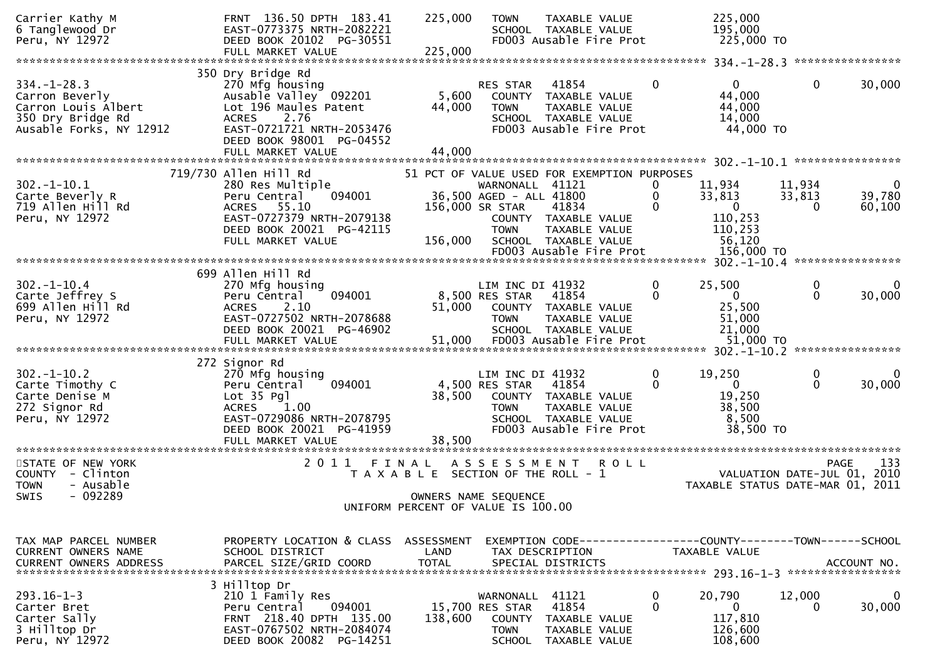| Carrier Kathy M<br>6 Tanglewood Dr<br>Peru, NY 12972                                                       | FRNT 136.50 DPTH 183.41<br>EAST-0773375 NRTH-2082221<br>DEED BOOK 20102 PG-30551<br>FULL MARKET VALUE                                                                                        | 225,000<br>225,000                                                                                           | <b>TOWN</b>                                                                   | TAXABLE VALUE<br>SCHOOL TAXABLE VALUE<br>FD003 Ausable Fire Prot                                                                                 |                           | 225,000<br>195,000<br>225,000 TO                                                 |                              |                       |
|------------------------------------------------------------------------------------------------------------|----------------------------------------------------------------------------------------------------------------------------------------------------------------------------------------------|--------------------------------------------------------------------------------------------------------------|-------------------------------------------------------------------------------|--------------------------------------------------------------------------------------------------------------------------------------------------|---------------------------|----------------------------------------------------------------------------------|------------------------------|-----------------------|
|                                                                                                            |                                                                                                                                                                                              |                                                                                                              |                                                                               |                                                                                                                                                  |                           |                                                                                  |                              |                       |
| $334. - 1 - 28.3$<br>Carron Beverly<br>Carron Louis Albert<br>350 Dry Bridge Rd<br>Ausable Forks, NY 12912 | 350 Dry Bridge Rd<br>270 Mfg housing<br>Ausable Valley 092201<br>Lot 196 Maules Patent<br><b>ACRES</b><br>2.76<br>EAST-0721721 NRTH-2053476<br>DEED BOOK 98001 PG-04552<br>FULL MARKET VALUE | 5,600<br>44,000<br>44,000                                                                                    | RES STAR<br><b>TOWN</b>                                                       | 41854<br>COUNTY TAXABLE VALUE<br>TAXABLE VALUE<br>SCHOOL TAXABLE VALUE<br>FD003 Ausable Fire Prot                                                | $\mathbf 0$               | $\overline{0}$<br>44,000<br>44,000<br>14,000<br>44,000 TO                        | $\mathbf{0}$                 | 30,000                |
|                                                                                                            |                                                                                                                                                                                              |                                                                                                              |                                                                               |                                                                                                                                                  |                           |                                                                                  |                              |                       |
| $302 - 1 - 10.1$<br>Carte Beverly R<br>719 Allen Hill Rd<br>Peru, NY 12972                                 | 719/730 Allen Hill Rd<br>280 Res Multiple<br>Peru Central<br>094001<br>55.10<br>ACRES<br>EAST-0727379 NRTH-2079138<br>DEED BOOK 20021 PG-42115<br>FULL MARKET VALUE                          | 156,000                                                                                                      | WARNONALL 41121<br>36,500 AGED - ALL 41800<br>156,000 SR STAR<br><b>TOWN</b>  | 51 PCT OF VALUE USED FOR EXEMPTION PURPOSES<br>41834<br>COUNTY TAXABLE VALUE<br>TAXABLE VALUE<br>SCHOOL TAXABLE VALUE<br>FD003 Ausable Fire Prot | 0<br>$\Omega$<br>$\Omega$ | 11,934<br>33,813<br>$\overline{0}$<br>110,253<br>110,253<br>56,120<br>156,000 TO | 11,934<br>33,813<br>$\Omega$ | 0<br>39,780<br>60,100 |
|                                                                                                            |                                                                                                                                                                                              |                                                                                                              |                                                                               |                                                                                                                                                  |                           |                                                                                  |                              |                       |
| $302 - 1 - 10.4$<br>Carte Jeffrey S<br>699 Allen Hill Rd<br>Peru, NY 12972                                 | 699 Allen Hill Rd<br>270 Mfg housing<br>Peru Central<br>094001<br>2.10<br><b>ACRES</b><br>EAST-0727502 NRTH-2078688<br>DEED BOOK 20021 PG-46902                                              | 51,000                                                                                                       | LIM INC DI 41932<br>8,500 RES STAR<br><b>TOWN</b>                             | 41854<br>COUNTY TAXABLE VALUE<br><b>TAXABLE VALUE</b><br>SCHOOL TAXABLE VALUE                                                                    | 0<br>$\Omega$             | 25,500<br>$\overline{0}$<br>25,500<br>51,000<br>21,000                           | $\mathbf 0$<br>$\Omega$      | 0<br>30,000           |
|                                                                                                            |                                                                                                                                                                                              |                                                                                                              |                                                                               |                                                                                                                                                  |                           |                                                                                  |                              |                       |
| $302 - 1 - 10.2$<br>Carte Timothy C<br>Carte Denise M<br>272 Signor Rd<br>Peru, NY 12972                   | 272 Signor Rd<br>270 Mfg housing<br>094001<br>Peru Central<br>Lot 35 Pgl<br>1.00<br><b>ACRES</b><br>EAST-0729086 NRTH-2078795<br>DEED BOOK 20021 PG-41959<br>FULL MARKET VALUE               | 38,500<br>38,500                                                                                             | LIM INC DI 41932<br>4,500 RES STAR<br><b>TOWN</b>                             | 41854<br>COUNTY TAXABLE VALUE<br>TAXABLE VALUE<br>SCHOOL TAXABLE VALUE<br>FD003 Ausable Fire Prot                                                | 0<br>0                    | 19,250<br>$\mathbf{0}$<br>19,250<br>38,500<br>8,500<br>38,500 TO                 | 0<br>$\mathbf{0}$            | 30,000                |
|                                                                                                            |                                                                                                                                                                                              |                                                                                                              |                                                                               |                                                                                                                                                  |                           |                                                                                  |                              |                       |
| STATE OF NEW YORK<br>COUNTY - Clinton<br>- Ausable<br><b>TOWN</b><br>$-092289$<br><b>SWIS</b>              | 2011                                                                                                                                                                                         | FINAL<br>T A X A B L E SECTION OF THE ROLL - 1<br>OWNERS NAME SEQUENCE<br>UNIFORM PERCENT OF VALUE IS 100.00 | ASSESSMENT                                                                    | <b>ROLL</b>                                                                                                                                      |                           | VALUATION DATE-JUL 01, 2010<br>TAXABLE STATUS DATE-MAR 01, 2011                  | <b>PAGE</b>                  | 133                   |
|                                                                                                            |                                                                                                                                                                                              |                                                                                                              |                                                                               |                                                                                                                                                  |                           |                                                                                  |                              |                       |
| TAX MAP PARCEL NUMBER<br>CURRENT OWNERS NAME<br><b>CURRENT OWNERS ADDRESS</b>                              | PROPERTY LOCATION & CLASS<br>SCHOOL DISTRICT<br>PARCEL SIZE/GRID COORD                                                                                                                       | ASSESSMENT<br>LAND<br><b>TOTAL</b>                                                                           |                                                                               | EXEMPTION CODE-----------------COUNTY-------TOWN------SCHOOL<br>TAX DESCRIPTION<br>SPECIAL DISTRICTS                                             |                           | TAXABLE VALUE                                                                    |                              | ACCOUNT NO.           |
| $293.16 - 1 - 3$<br>Carter Bret<br>Carter Sally<br>3 Hilltop Dr<br>Peru, NY 12972                          | 3 Hilltop Dr<br>210 1 Family Res<br>Peru Central<br>094001<br>FRNT 218.40 DPTH 135.00<br>EAST-0767502 NRTH-2084074<br>DEED BOOK 20082 PG-14251                                               | 138,600                                                                                                      | WARNONALL<br>15,700 RES STAR<br><b>COUNTY</b><br><b>TOWN</b><br><b>SCHOOL</b> | 41121<br>41854<br>TAXABLE VALUE<br>TAXABLE VALUE<br>TAXABLE VALUE                                                                                | 0<br>0                    | 20,790<br>$\mathbf{0}$<br>117,810<br>126,600<br>108,600                          | 12,000<br>0                  | 0<br>30,000           |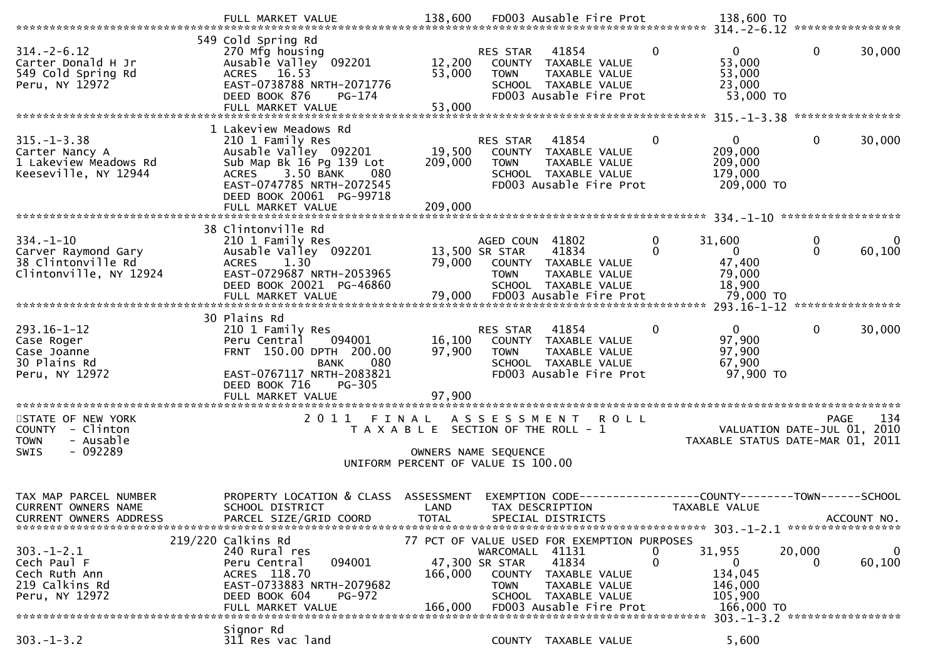| $314. - 2 - 6.12$<br>Carter Donald H Jr<br>549 Cold Spring Rd<br>Peru, NY 12972               | 549 Cold Spring Rd<br>270 Mfg housing<br>Ausable Valley 092201<br><b>ACRES</b><br>16.53<br>EAST-0738788 NRTH-2071776<br>DEED BOOK 876<br>PG-174<br>FULL MARKET VALUE                                             | 12,200<br>53,000<br>53,000                                                                          | RES STAR<br><b>TOWN</b>                                           | 41854<br>COUNTY TAXABLE VALUE<br>TAXABLE VALUE<br>SCHOOL TAXABLE VALUE<br>FD003 Ausable Fire Prot                                         | 0             | $\overline{0}$<br>53,000<br>53,000<br>23,000<br>53,000 TO         | $\mathbf 0$       | 30,000      |
|-----------------------------------------------------------------------------------------------|------------------------------------------------------------------------------------------------------------------------------------------------------------------------------------------------------------------|-----------------------------------------------------------------------------------------------------|-------------------------------------------------------------------|-------------------------------------------------------------------------------------------------------------------------------------------|---------------|-------------------------------------------------------------------|-------------------|-------------|
| $315. - 1 - 3.38$<br>Carter Nancy A<br>1 Lakeview Meadows Rd<br>Keeseville, NY 12944          | 1 Lakeview Meadows Rd<br>210 1 Family Res<br>Ausable Valley 092201<br>Sub Map Bk 16 Pg 139 Lot<br>3.50 BANK<br><b>ACRES</b><br>080<br>EAST-0747785 NRTH-2072545<br>DEED BOOK 20061 PG-99718<br>FULL MARKET VALUE | 19,500<br>209,000<br>209,000                                                                        | RES STAR<br><b>TOWN</b>                                           | 41854<br>COUNTY TAXABLE VALUE<br>TAXABLE VALUE<br>SCHOOL TAXABLE VALUE<br>FD003 Ausable Fire Prot                                         | $\mathbf{0}$  | $\mathbf{0}$<br>209,000<br>209,000<br>179,000<br>209,000 TO       | $\Omega$          | 30,000      |
| $334. - 1 - 10$<br>Carver Raymond Gary<br>38 Clintonville Rd<br>Clintonville, NY 12924        | 38 Clintonville Rd<br>210 1 Family Res<br>Ausable Valley 092201<br><b>ACRES</b><br>1.30<br>EAST-0729687 NRTH-2053965<br>DEED BOOK 20021 PG-46860<br>FULL MARKET VALUE                                            | 79,000<br>79,000                                                                                    | AGED COUN 41802<br>13,500 SR STAR<br><b>TOWN</b>                  | 41834<br>COUNTY TAXABLE VALUE<br>TAXABLE VALUE<br>SCHOOL TAXABLE VALUE<br>FD003 Ausable Fire Prot                                         | 0<br>$\Omega$ | 31,600<br>$\mathbf{0}$<br>47,400<br>79,000<br>18,900<br>79,000 TO | 0<br>$\mathbf{0}$ | 60,100      |
| $293.16 - 1 - 12$<br>Case Roger<br>Case Joanne<br>30 Plains Rd<br>Peru, NY 12972              | 30 Plains Rd<br>210 1 Family Res<br>Peru Central<br>094001<br>FRNT 150.00 DPTH 200.00<br><b>BANK</b><br>080<br>EAST-0767117 NRTH-2083821<br>DEED BOOK 716<br>PG-305<br>FULL MARKET VALUE                         | 16,100<br>97,900<br>97,900                                                                          | RES STAR<br><b>TOWN</b>                                           | 41854<br>COUNTY TAXABLE VALUE<br>TAXABLE VALUE<br>SCHOOL TAXABLE VALUE<br>FD003 Ausable Fire Prot                                         | $\Omega$      | $\Omega$<br>97,900<br>97,900<br>67,900<br>97,900 TO               | $\Omega$          | 30,000      |
| STATE OF NEW YORK<br>COUNTY - Clinton<br>- Ausable<br><b>TOWN</b><br>$-092289$<br><b>SWIS</b> | 2011 FINAL                                                                                                                                                                                                       | T A X A B L E SECTION OF THE ROLL - 1<br>OWNERS NAME SEQUENCE<br>UNIFORM PERCENT OF VALUE IS 100.00 |                                                                   | ASSESSMENT ROLL                                                                                                                           |               | VALUATION DATE-JUL 01, 2010<br>TAXABLE STATUS DATE-MAR 01, 2011   | PAGE              | 134         |
| TAX MAP PARCEL NUMBER<br>CURRENT OWNERS NAME<br><b>CURRENT OWNERS ADDRESS</b>                 | PROPERTY LOCATION & CLASS<br>SCHOOL DISTRICT<br>PARCEL SIZE/GRID COORD                                                                                                                                           | ASSESSMENT<br>LAND<br><b>TOTAL</b>                                                                  | EXEMPTION CODE--                                                  | TAX DESCRIPTION<br>SPECIAL DISTRICTS                                                                                                      |               | ---------------COUNTY--------TOWN------SCHOOL<br>TAXABLE VALUE    | ACCOUNT NO.       |             |
| $303 - 1 - 2.1$<br>Cech Paul F<br>Cech Ruth Ann<br>219 Calkins Rd<br>Peru, NY 12972           | 219/220 Calkins Rd<br>240 Rural res<br>Peru Central<br>094001<br>ACRES 118.70<br>EAST-0733883 NRTH-2079682<br>DEED BOOK 604<br>PG-972<br>FULL MARKET VALUE                                                       | 166,000<br>166,000                                                                                  | WARCOMALL 41131<br>47,300 SR STAR<br><b>COUNTY</b><br><b>TOWN</b> | 77 PCT OF VALUE USED FOR EXEMPTION PURPOSES<br>41834<br>TAXABLE VALUE<br>TAXABLE VALUE<br>SCHOOL TAXABLE VALUE<br>FD003 Ausable Fire Prot | 0<br>$\Omega$ | 31,955<br>0<br>134,045<br>146,000<br>105,900<br>166,000 TO        | 20,000<br>O       | 0<br>60,100 |
|                                                                                               | Signor Rd                                                                                                                                                                                                        |                                                                                                     |                                                                   |                                                                                                                                           |               | 303. -1-3.2 ******************                                    |                   |             |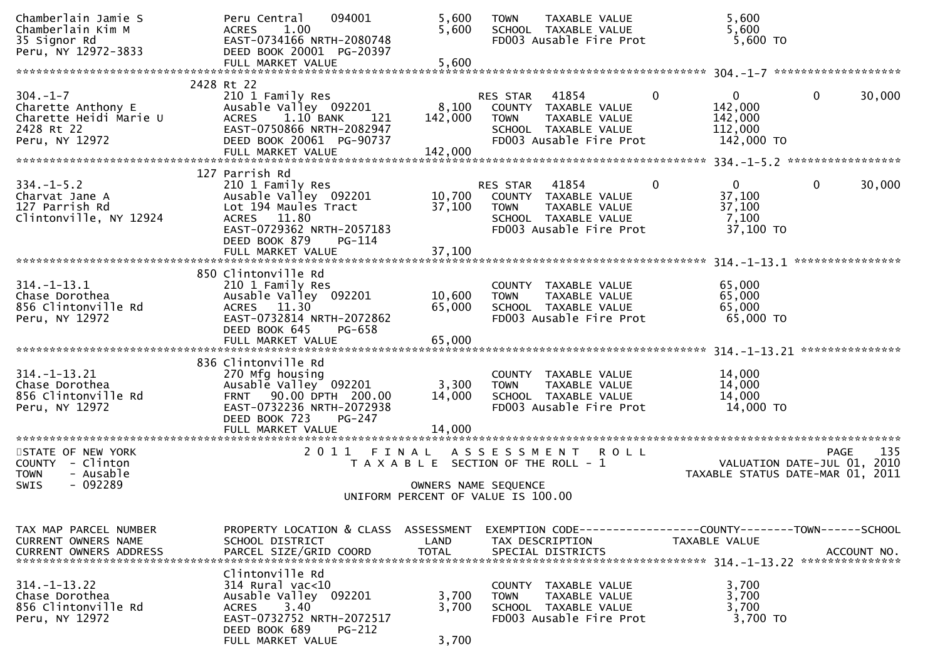| Chamberlain Jamie S<br>Chamberlain Kim M<br>35 Signor Rd<br>Peru, NY 12972-3833                | 094001<br>Peru Central<br>1.00<br><b>ACRES</b><br>EAST-0734166 NRTH-2080748<br>DEED BOOK 20001 PG-20397<br>FULL MARKET VALUE                                      | 5,600<br>5,600<br>5,600            | TAXABLE VALUE<br><b>TOWN</b><br>SCHOOL TAXABLE VALUE<br>FD003 Ausable Fire Prot                                                     | 5,600<br>5,600<br>5,600 TO                                                                            |
|------------------------------------------------------------------------------------------------|-------------------------------------------------------------------------------------------------------------------------------------------------------------------|------------------------------------|-------------------------------------------------------------------------------------------------------------------------------------|-------------------------------------------------------------------------------------------------------|
|                                                                                                | 2428 Rt 22                                                                                                                                                        |                                    |                                                                                                                                     |                                                                                                       |
| $304. - 1 - 7$<br>Charette Anthony E<br>Charette Heidi Marie U<br>2428 Rt 22<br>Peru, NY 12972 | 210 1 Family Res<br>Ausable Valley 092201<br>1.10 BANK<br><b>ACRES</b><br>121<br>EAST-0750866 NRTH-2082947<br>DEED BOOK 20061 PG-90737                            | 8,100<br>142,000                   | RES STAR<br>41854<br>COUNTY TAXABLE VALUE<br><b>TOWN</b><br>TAXABLE VALUE<br>SCHOOL TAXABLE VALUE<br>FD003 Ausable Fire Prot        | $\mathbf{0}$<br>$\mathbf{0}$<br>30,000<br>$\mathbf{0}$<br>142,000<br>142,000<br>112,000<br>142,000 TO |
|                                                                                                | 127 Parrish Rd                                                                                                                                                    |                                    |                                                                                                                                     |                                                                                                       |
| $334. - 1 - 5.2$<br>Charvat Jane A<br>127 Parrish Rd<br>Clintonville, NY 12924                 | 210 1 Family Res<br>Ausable Valley 092201<br>Lot 194 Maules Tract<br>ACRES 11.80<br>EAST-0729362 NRTH-2057183<br>DEED BOOK 879<br>$PG-114$                        | 10,700<br>37,100                   | 41854<br><b>RES STAR</b><br>COUNTY TAXABLE VALUE<br>TAXABLE VALUE<br><b>TOWN</b><br>SCHOOL TAXABLE VALUE<br>FD003 Ausable Fire Prot | $\overline{0}$<br>0<br>30,000<br>0<br>37,100<br>37,100<br>7,100<br>37,100 TO                          |
|                                                                                                |                                                                                                                                                                   |                                    |                                                                                                                                     | ****************                                                                                      |
| $314. - 1 - 13.1$<br>Chase Dorothea<br>856 Clintonville Rd<br>Peru, NY 12972                   | 850 Clintonville Rd<br>210 1 Family Res<br>Ausable Valley 092201<br>ACRES 11.30<br>EAST-0732814 NRTH-2072862<br>DEED BOOK 645<br>PG-658                           | 10,600<br>65,000                   | COUNTY TAXABLE VALUE<br><b>TOWN</b><br>TAXABLE VALUE<br>SCHOOL TAXABLE VALUE<br>FD003 Ausable Fire Prot                             | 65,000<br>65,000<br>65,000<br>65,000 TO                                                               |
|                                                                                                | 836 Clintonville Rd                                                                                                                                               |                                    |                                                                                                                                     | ***************                                                                                       |
| $314. - 1 - 13.21$<br>Chase Dorothea<br>856 Clintonville Rd<br>Peru, NY 12972                  | 270 Mfg housing<br>Ausable Valley 092201<br>FRNT 90.00 DPTH 200.00<br>EAST-0732236 NRTH-2072938<br>DEED BOOK 723<br>PG-247                                        | 3,300<br>14,000                    | COUNTY TAXABLE VALUE<br><b>TOWN</b><br>TAXABLE VALUE<br>SCHOOL TAXABLE VALUE<br>FD003 Ausable Fire Prot                             | 14,000<br>14,000<br>14,000<br>14,000 TO                                                               |
| *************************                                                                      | FULL MARKET VALUE<br>**********************                                                                                                                       | 14.000                             |                                                                                                                                     |                                                                                                       |
| STATE OF NEW YORK<br>COUNTY - Clinton<br>- Ausable<br><b>TOWN</b><br>$-092289$<br><b>SWIS</b>  | 2011 FINAL                                                                                                                                                        | OWNERS NAME SEQUENCE               | A S S E S S M E N T<br><b>ROLL</b><br>T A X A B L E SECTION OF THE ROLL - 1                                                         | 135<br>PAGE<br>VALUATION DATE-JUL 01, 2010<br>TAXABLE STATUS DATE-MAR 01, 2011                        |
|                                                                                                |                                                                                                                                                                   |                                    | UNIFORM PERCENT OF VALUE IS 100.00                                                                                                  |                                                                                                       |
| TAX MAP PARCEL NUMBER<br>CURRENT OWNERS NAME<br><b>CURRENT OWNERS ADDRESS</b>                  | PROPERTY LOCATION & CLASS<br>SCHOOL DISTRICT<br>PARCEL SIZE/GRID COORD                                                                                            | ASSESSMENT<br>LAND<br><b>TOTAL</b> | TAX DESCRIPTION<br>SPECIAL DISTRICTS                                                                                                | EXEMPTION        CODE-----------------COUNTY-------TOWN------SCHOOL<br>TAXABLE VALUE<br>ACCOUNT NO.   |
| $314. - 1 - 13.22$<br>Chase Dorothea<br>856 Clintonville Rd<br>Peru, NY 12972                  | Clintonville Rd<br>314 Rural vac<10<br>Ausable Valley 092201<br>3.40<br><b>ACRES</b><br>EAST-0732752 NRTH-2072517<br>DEED BOOK 689<br>PG-212<br>FULL MARKET VALUE | 3,700<br>3,700<br>3,700            | COUNTY TAXABLE VALUE<br><b>TOWN</b><br>TAXABLE VALUE<br>SCHOOL TAXABLE VALUE<br>FD003 Ausable Fire Prot                             | 3,700<br>3,700<br>3,700<br>3,700 TO                                                                   |
|                                                                                                |                                                                                                                                                                   |                                    |                                                                                                                                     |                                                                                                       |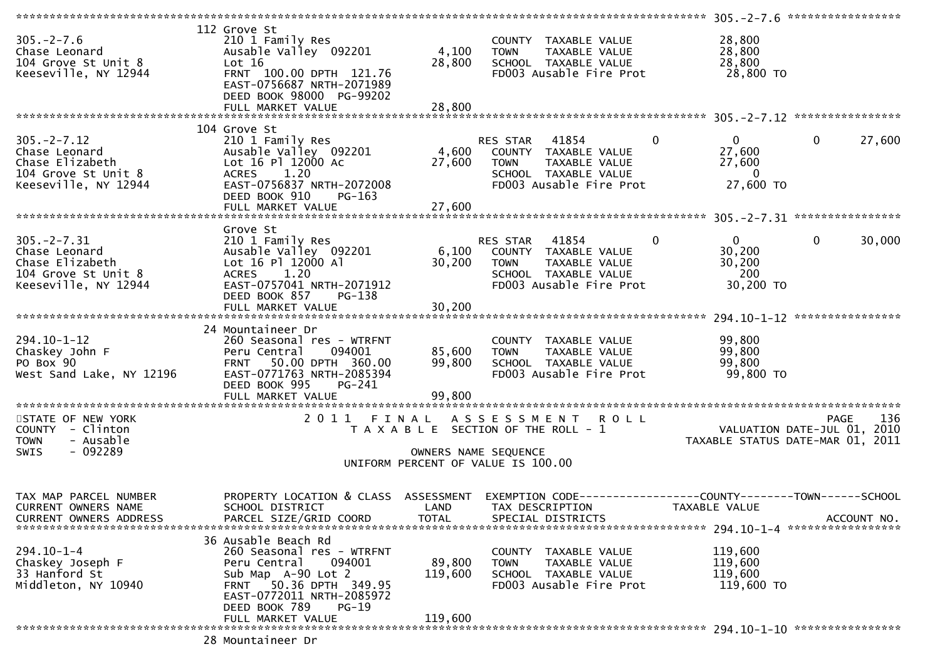| $305. -2 - 7.6$<br>Chase Leonard<br>104 Grove St Unit 8<br>Keeseville, NY 12944                     | 112 Grove St<br>210 1 Family Res<br>Ausable Valley 092201<br>Lot 16<br>FRNT 100.00 DPTH 121.76<br>EAST-0756687 NRTH-2071989<br>DEED BOOK 98000 PG-99202<br>FULL MARKET VALUE                                       | 4,100<br>28,800<br>28,800    | COUNTY TAXABLE VALUE<br><b>TOWN</b><br>TAXABLE VALUE<br>SCHOOL TAXABLE VALUE<br>FD003 Ausable Fire Prot                         | 28,800<br>28,800<br>28,800<br>28,800 TO                                |                                                        |
|-----------------------------------------------------------------------------------------------------|--------------------------------------------------------------------------------------------------------------------------------------------------------------------------------------------------------------------|------------------------------|---------------------------------------------------------------------------------------------------------------------------------|------------------------------------------------------------------------|--------------------------------------------------------|
|                                                                                                     |                                                                                                                                                                                                                    |                              |                                                                                                                                 |                                                                        |                                                        |
| $305. -2 - 7.12$<br>Chase Leonard<br>Chase Elizabeth<br>104 Grove St Unit 8<br>Keeseville, NY 12944 | 104 Grove St<br>210 1 Family Res<br>Ausable Valley 092201<br>Lot 16 Pl 12000 Ac<br>ACRES 1.20<br>EAST-0756837 NRTH-2072008<br>DEED BOOK 910<br>$PG-163$                                                            | 27,600                       | RES STAR 41854<br>4,600 COUNTY TAXABLE VALUE<br><b>TOWN</b><br>TAXABLE VALUE<br>SCHOOL TAXABLE VALUE<br>FD003 Ausable Fire Prot | $\overline{0}$<br>$\mathbf{0}$<br>27,600<br>27,600<br>0<br>27,600 TO   | $\mathbf 0$<br>27,600                                  |
|                                                                                                     |                                                                                                                                                                                                                    |                              |                                                                                                                                 |                                                                        |                                                        |
| $305. -2 - 7.31$<br>Chase Leonard<br>Chase Elizabeth<br>104 Grove St Unit 8<br>Keeseville, NY 12944 | Grove St<br>210 1 Family Res<br>Ausable Valley 092201<br>Lot 16 Pl 12000 Al<br>ACRES 1.20<br>EAST-0757041 NRTH-2071912<br>DEED BOOK 857<br>$PG-138$                                                                | 6,100<br>30,200              | RES STAR 41854<br>COUNTY TAXABLE VALUE<br><b>TOWN</b><br>TAXABLE VALUE<br>SCHOOL TAXABLE VALUE<br>FD003 Ausable Fire Prot       | $\mathbf{0}$<br>$\overline{0}$<br>30,200<br>30,200<br>200<br>30,200 TO | $\mathbf 0$<br>30,000                                  |
|                                                                                                     |                                                                                                                                                                                                                    |                              |                                                                                                                                 |                                                                        |                                                        |
| $294.10 - 1 - 12$<br>Chaskey John F<br>PO Box 90<br>West Sand Lake, NY 12196                        | 24 Mountaineer Dr<br>260 Seasonal res - WTRFNT<br>Peru Central<br>094001<br>50.00 DPTH 360.00<br><b>FRNT</b><br>EAST-0771763 NRTH-2085394<br>DEED BOOK 995<br>PG-241<br>FULL MARKET VALUE                          | 85,600<br>99,800<br>99,800   | COUNTY TAXABLE VALUE<br>TAXABLE VALUE<br><b>TOWN</b><br>SCHOOL TAXABLE VALUE<br>FD003 Ausable Fire Prot                         | 99,800<br>99,800<br>99,800<br>99,800 TO                                |                                                        |
|                                                                                                     |                                                                                                                                                                                                                    |                              |                                                                                                                                 |                                                                        |                                                        |
| STATE OF NEW YORK<br>COUNTY - Clinton<br>- Ausable<br><b>TOWN</b><br>$-092289$<br><b>SWIS</b>       | 2011                                                                                                                                                                                                               | OWNERS NAME SEQUENCE         | FINAL ASSESSMENT ROLL<br>T A X A B L E SECTION OF THE ROLL - 1<br>UNIFORM PERCENT OF VALUE IS 100.00                            | VALUATION DATE-JUL $01$ , 2010                                         | 136<br><b>PAGE</b><br>TAXABLE STATUS DATE-MAR 01, 2011 |
| TAX MAP PARCEL NUMBER<br>CURRENT OWNERS NAME<br><b>CURRENT OWNERS ADDRESS</b>                       | PROPERTY LOCATION & CLASS ASSESSMENT<br>SCHOOL DISTRICT<br>PARCEL SIZE/GRID COORD                                                                                                                                  | LAND<br><b>TOTAL</b>         | <b>EXEMPTION CODE-</b><br>TAX DESCRIPTION<br>SPECIAL DISTRICTS                                                                  | -----------------COUNTY--------TOWN-------SCHOOL<br>TAXABLE VALUE      | ACCOUNT NO.                                            |
| $294.10 - 1 - 4$<br>Chaskey Joseph F<br>33 Hanford St<br>Middleton, NY 10940                        | 36 Ausable Beach Rd<br>260 Seasonal res - WTRFNT<br>Peru Central<br>094001<br>Sub Map A-90 Lot 2<br>50.36 DPTH 349.95<br><b>FRNT</b><br>EAST-0772011 NRTH-2085972<br>DEED BOOK 789<br>$PG-19$<br>FULL MARKET VALUE | 89,800<br>119,600<br>119,600 | COUNTY<br>TAXABLE VALUE<br>TAXABLE VALUE<br><b>TOWN</b><br>SCHOOL TAXABLE VALUE<br>FD003 Ausable Fire Prot                      | 119,600<br>119,600<br>119,600<br>119,600 TO                            |                                                        |
|                                                                                                     |                                                                                                                                                                                                                    |                              |                                                                                                                                 |                                                                        |                                                        |
|                                                                                                     | 28 Mountaineer Dr                                                                                                                                                                                                  |                              |                                                                                                                                 |                                                                        |                                                        |

28 Mountaineer Dr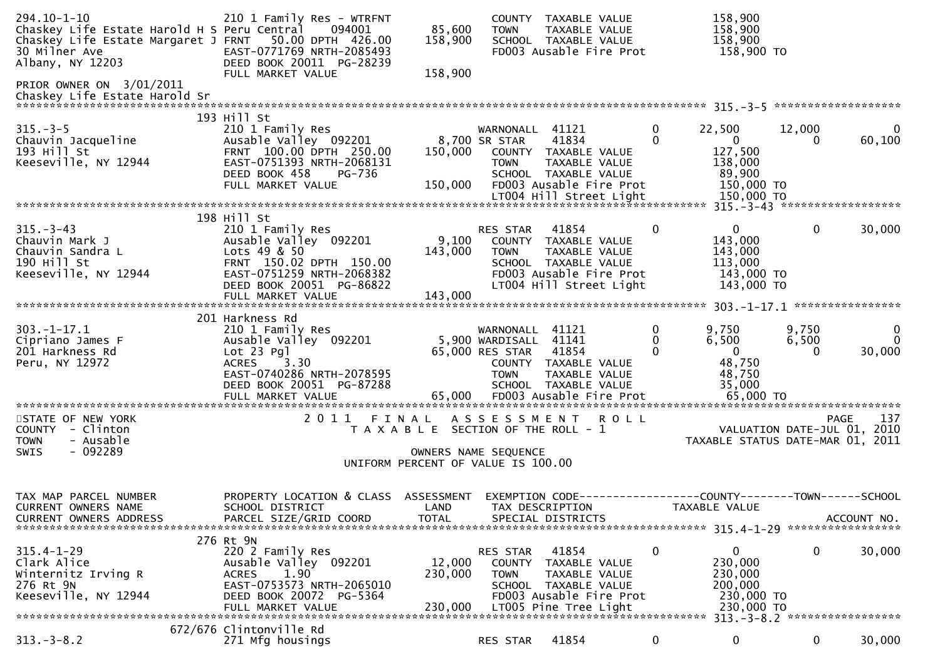| $294.10 - 1 - 10$<br>Chaskey Life Estate Harold H S Peru Central<br>Chaskey Life Estate Margaret J FRNT 50.00 DPTH 426.00<br>30 Milner Ave<br>Albany, NY 12203 | 210 1 Family Res - WTRFNT<br>094001<br>EAST-0771769 NRTH-2085493<br>DEED BOOK 20011 PG-28239                                                                     | 85,600<br>158,900                     | <b>TOWN</b>                                                                | COUNTY TAXABLE VALUE<br>TAXABLE VALUE<br>SCHOOL TAXABLE VALUE<br>FD003 Ausable Fire Prot                                                                   |               | 158,900<br>158,900<br>158,900<br>158,900 TO                                                           |                             |                         |
|----------------------------------------------------------------------------------------------------------------------------------------------------------------|------------------------------------------------------------------------------------------------------------------------------------------------------------------|---------------------------------------|----------------------------------------------------------------------------|------------------------------------------------------------------------------------------------------------------------------------------------------------|---------------|-------------------------------------------------------------------------------------------------------|-----------------------------|-------------------------|
| PRIOR OWNER ON 3/01/2011                                                                                                                                       | FULL MARKET VALUE                                                                                                                                                | 158,900                               |                                                                            |                                                                                                                                                            |               |                                                                                                       |                             |                         |
| $315 - 3 - 5$<br>Chauvin Jacqueline<br>193 Hill St<br>Keeseville, NY 12944                                                                                     | 193 Hill St<br>210 1 Family Res<br>Ausable Valley 092201<br>FRNT 100.00 DPTH 250.00<br>EAST-0751393 NRTH-2068131<br>DEED BOOK 458<br>PG-736<br>FULL MARKET VALUE | 150,000<br>150,000                    | WARNONALL 41121<br>8,700 SR STAR<br><b>TOWN</b>                            | 41834<br>COUNTY TAXABLE VALUE<br><b>TAXABLE VALUE</b><br>SCHOOL TAXABLE VALUE<br>FD003 Ausable Fire Prot                                                   | 0<br>$\Omega$ | 22,500<br>$\mathbf{0}$<br>127,500<br>138,000<br>89,900<br>150,000 TO                                  | 12,000<br>$\Omega$          | 0<br>60,100             |
|                                                                                                                                                                |                                                                                                                                                                  |                                       |                                                                            |                                                                                                                                                            |               |                                                                                                       |                             |                         |
| $315 - 3 - 43$<br>Chauvin Mark J<br>Chauvin Sandra L<br>190 Hill St<br>Keeseville, NY 12944                                                                    | 198 Hill St<br>210 1 Family Res<br>Ausable Valley 092201<br>Lots 49 & 50<br>FRNT 150.02 DPTH 150.00<br>EAST-0751259 NRTH-2068382<br>DEED BOOK 20051 PG-86822     | 9,100<br>143,000                      | RES STAR<br><b>TOWN</b>                                                    | 41854<br>COUNTY TAXABLE VALUE<br>TAXABLE VALUE<br>SCHOOL TAXABLE VALUE<br>FD003 Ausable Fire Prot<br>LT004 Hill Street Light                               | $\mathbf{0}$  | $\mathbf{0}$<br>143,000<br>143,000<br>113,000<br>143,000 TO<br>143,000 TO                             | $\mathbf{0}$                | 30,000                  |
|                                                                                                                                                                | FULL MARKET VALUE                                                                                                                                                | 143,000                               |                                                                            |                                                                                                                                                            |               |                                                                                                       |                             |                         |
|                                                                                                                                                                | 201 Harkness Rd                                                                                                                                                  |                                       |                                                                            |                                                                                                                                                            |               |                                                                                                       |                             |                         |
| $303. - 1 - 17.1$<br>Cipriano James F<br>201 Harkness Rd<br>Peru, NY 12972                                                                                     | 210 1 Family Res<br>Ausable Valley 092201<br>Lot 23 Pgl<br><b>ACRES</b><br>3.30<br>EAST-0740286 NRTH-2078595<br>DEED BOOK 20051 PG-87288                         |                                       | WARNONALL 41121<br>5,900 WARDISALL 41141<br>65,000 RES STAR<br><b>TOWN</b> | 41854<br>COUNTY TAXABLE VALUE<br>TAXABLE VALUE<br>SCHOOL TAXABLE VALUE                                                                                     | 0<br>0<br>0   | 9,750<br>6,500<br>$\overline{0}$<br>48,750<br>48,750<br>35,000                                        | 9,750<br>6,500<br>0         | 0<br>$\Omega$<br>30,000 |
| STATE OF NEW YORK                                                                                                                                              |                                                                                                                                                                  |                                       |                                                                            | 2011 FINAL ASSESSMENT ROLL                                                                                                                                 |               |                                                                                                       | <b>PAGE</b>                 | 137                     |
| COUNTY - Clinton<br>- Ausable<br><b>TOWN</b>                                                                                                                   |                                                                                                                                                                  | T A X A B L E SECTION OF THE ROLL - 1 |                                                                            |                                                                                                                                                            |               | TAXABLE STATUS DATE-MAR 01, 2011                                                                      | VALUATION DATE-JUL 01, 2010 |                         |
| $-092289$<br>SWIS                                                                                                                                              |                                                                                                                                                                  | UNIFORM PERCENT OF VALUE IS 100.00    | OWNERS NAME SEQUENCE                                                       |                                                                                                                                                            |               |                                                                                                       |                             |                         |
| TAX MAP PARCEL NUMBER<br>CURRENT OWNERS NAME<br><b>CURRENT OWNERS ADDRESS</b>                                                                                  | PROPERTY LOCATION & CLASS<br>SCHOOL DISTRICT<br>PARCEL SIZE/GRID COORD                                                                                           | ASSESSMENT<br>LAND<br><b>TOTAL</b>    |                                                                            | EXEMPTION        CODE-----------------COUNTY-------TOWN------SCHOOL<br>TAX DESCRIPTION<br>SPECIAL DISTRICTS                                                |               | TAXABLE VALUE                                                                                         |                             | ACCOUNT NO.             |
|                                                                                                                                                                | 276 Rt 9N                                                                                                                                                        |                                       |                                                                            |                                                                                                                                                            |               |                                                                                                       |                             |                         |
| $315.4 - 1 - 29$<br>Clark Alice<br>Winternitz Irving R<br>276 Rt 9N<br>Keeseville, NY 12944                                                                    | 220 2 Family Res<br>Ausable Valley 092201<br>1.90<br><b>ACRES</b><br>EAST-0753573 NRTH-2065010<br>DEED BOOK 20072<br>PG-5364<br>FULL MARKET VALUE                | 12,000<br>230,000<br>230,000          | RES STAR<br><b>COUNTY</b><br><b>TOWN</b>                                   | 41854<br>TAXABLE VALUE<br>TAXABLE VALUE<br>SCHOOL TAXABLE VALUE<br>FD003 Ausable Fire Prot<br>LT005 Pine Tree Light<br>*********************************** | 0             | 0<br>230,000<br>230,000<br>200,000<br>230,000 TO<br>230,000 TO<br>313. - 3 - 8. 2 ******************* | 0                           | 30,000                  |
|                                                                                                                                                                | 672/676 Clintonville Rd                                                                                                                                          |                                       |                                                                            |                                                                                                                                                            |               |                                                                                                       |                             |                         |
| $313. - 3 - 8.2$                                                                                                                                               | 271 Mfg housings                                                                                                                                                 |                                       | RES STAR                                                                   | 41854                                                                                                                                                      | 0             | 0                                                                                                     | 0                           | 30,000                  |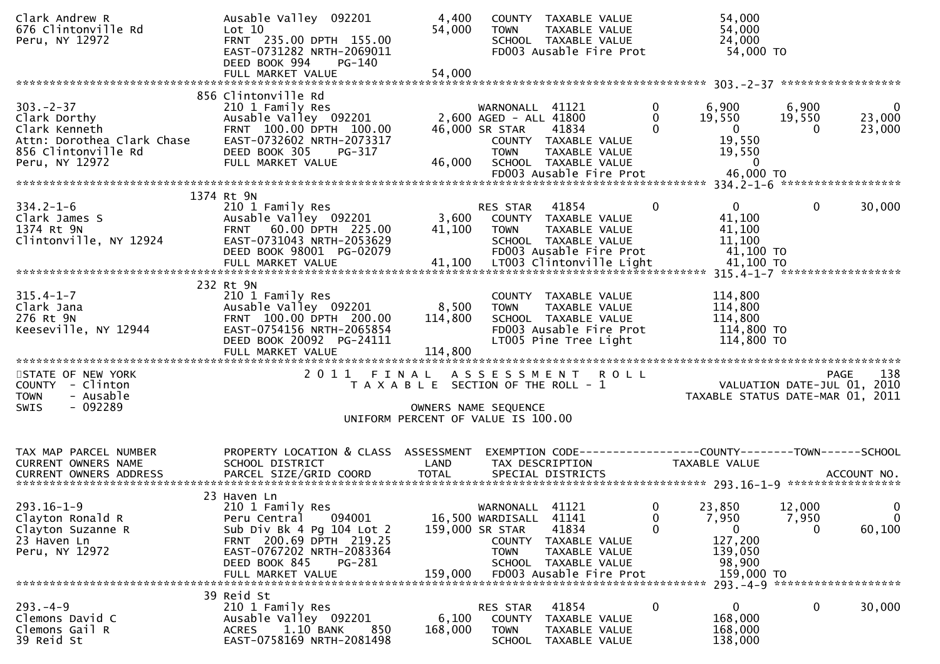| Clark Andrew R<br>676 Clintonville Rd<br>Peru, NY 12972                                                                                                                                                      | Ausable Valley 092201<br>Lot 10<br>FRNT 235.00 DPTH 155.00<br>EAST-0731282 NRTH-2069011<br>DEED BOOK 994<br><b>PG-140</b>                                                                      | 4,400<br>54,000                                                             | <b>TOWN</b>                                                                | COUNTY TAXABLE VALUE<br>TAXABLE VALUE<br>SCHOOL TAXABLE VALUE<br>FD003 Ausable Fire Prot                            |                                  | 54,000<br>54,000<br>24,000<br>54,000 TO                                      |                      |                                                   |
|--------------------------------------------------------------------------------------------------------------------------------------------------------------------------------------------------------------|------------------------------------------------------------------------------------------------------------------------------------------------------------------------------------------------|-----------------------------------------------------------------------------|----------------------------------------------------------------------------|---------------------------------------------------------------------------------------------------------------------|----------------------------------|------------------------------------------------------------------------------|----------------------|---------------------------------------------------|
|                                                                                                                                                                                                              |                                                                                                                                                                                                |                                                                             |                                                                            |                                                                                                                     |                                  |                                                                              |                      |                                                   |
| $303 - 2 - 37$<br>Clark Dorthy<br>Clark Kenneth<br>Attn: Dorothea Clark Chase<br>856 Clintonville Rd<br>Peru, NY 12972                                                                                       | 856 Clintonville Rd<br>210 1 Family Res<br>Ausable Valley 092201<br>FRNT 100.00 DPTH 100.00<br>EAST-0732602 NRTH-2073317<br>DEED BOOK 305<br>PG-317<br>FULL MARKET VALUE                       | 46,000                                                                      | WARNONALL 41121<br>2,600 AGED - ALL 41800<br>46,000 SR STAR<br><b>TOWN</b> | 41834<br>COUNTY TAXABLE VALUE<br>TAXABLE VALUE<br>SCHOOL TAXABLE VALUE                                              | $\mathbf{0}$                     | 6,900<br>19,550<br>$\overline{0}$<br>19,550<br>19,550<br>$\overline{0}$      | 6,900<br>19,550      | 0<br>23,000<br>23,000                             |
|                                                                                                                                                                                                              |                                                                                                                                                                                                |                                                                             |                                                                            |                                                                                                                     |                                  |                                                                              |                      |                                                   |
| $334.2 - 1 - 6$<br>Clark James S<br>1374 Rt 9N<br>Clintonville, NY 12924                                                                                                                                     | 1374 Rt 9N<br>210 1 Family Res<br>Ausable Valley 092201<br>FRNT 60.00 DPTH 225.00<br>EAST-0731043 NRTH-2053629<br>DEED BOOK 98001 PG-02079                                                     | 41,100                                                                      | RES STAR<br><b>TOWN</b>                                                    | 41854<br>3,600 COUNTY TAXABLE VALUE<br>TAXABLE VALUE<br>SCHOOL TAXABLE VALUE<br>FD003 Ausable Fire Prot             | $\mathbf{0}$                     | $\mathbf{0}$<br>41,100<br>41,100<br>11,100<br>41,100 TO                      | $\mathbf{0}$         | 30,000                                            |
|                                                                                                                                                                                                              |                                                                                                                                                                                                |                                                                             |                                                                            |                                                                                                                     |                                  |                                                                              |                      |                                                   |
| $315.4 - 1 - 7$<br>Clark Jana<br>276 Rt 9N<br>Keeseville, NY 12944                                                                                                                                           | 232 Rt 9N<br>210 1 Family Res<br>Ausable Valley 092201<br>FRNT 100.00 DPTH 200.00<br>EAST-0754156 NRTH-2065854<br>DEED BOOK 20092 PG-24111                                                     | 8,500<br>114,800                                                            | <b>TOWN</b>                                                                | COUNTY TAXABLE VALUE<br>TAXABLE VALUE<br>SCHOOL TAXABLE VALUE<br>FD003 Ausable Fire Prot<br>LT005 Pine Tree Light   |                                  | 114,800<br>114,800<br>114,800<br>114,800 TO<br>114,800 TO                    |                      |                                                   |
| STATE OF NEW YORK<br>COUNTY - Clinton<br><b>TOWN</b><br>- Ausable<br>$-092289$<br><b>SWIS</b>                                                                                                                | 2011 FINAL ASSESSMENT ROLL                                                                                                                                                                     | T A X A B L E SECTION OF THE ROLL - 1<br>UNIFORM PERCENT OF VALUE IS 100.00 | OWNERS NAME SEQUENCE                                                       |                                                                                                                     |                                  | TAXABLE STATUS DATE-MAR 01, 2011                                             |                      | 138<br><b>PAGE</b><br>VALUATION DATE-JUL 01, 2010 |
|                                                                                                                                                                                                              |                                                                                                                                                                                                |                                                                             |                                                                            |                                                                                                                     |                                  |                                                                              |                      |                                                   |
| TAX MAP PARCEL NUMBER<br><b>CURRENT OWNERS NAME</b><br>.CURRENT OWNERS ADDRESS PARCEL SIZE/GRID COORD TOTAL SPECIAL DISTRICTS MOTHER ACCOUNT NO ACCOUNT NO AND ARCEL SIZE/GRID COORD TOTAL SPECIAL DISTRICTS | PROPERTY LOCATION & CLASS ASSESSMENT<br>SCHOOL DISTRICT                                                                                                                                        | LAND                                                                        |                                                                            | TAX DESCRIPTION                                                                                                     |                                  | TAXABLE VALUE                                                                |                      |                                                   |
|                                                                                                                                                                                                              |                                                                                                                                                                                                |                                                                             |                                                                            |                                                                                                                     |                                  |                                                                              |                      |                                                   |
| $293.16 - 1 - 9$<br>Clayton Ronald R<br>Clayton Suzanne R<br>23 Haven Ln<br>Peru, NY 12972                                                                                                                   | 23 Haven Ln<br>210 1 Family Res<br>094001<br>Peru Central<br>Sub Div Bk 4 Pg 104 Lot 2<br>FRNT 200.69 DPTH 219.25<br>EAST-0767202 NRTH-2083364<br>DEED BOOK 845<br>PG-281<br>FULL MARKET VALUE | 159,000                                                                     | WARNONALL<br>16,500 WARDISALL<br>159,000 SR STAR<br><b>TOWN</b>            | 41121<br>41141<br>41834<br>COUNTY TAXABLE VALUE<br>TAXABLE VALUE<br>SCHOOL TAXABLE VALUE<br>FD003 Ausable Fire Prot | $\mathbf{0}$<br>0<br>$\mathbf 0$ | 23,850<br>7,950<br>$\mathbf 0$<br>127,200<br>139,050<br>98,900<br>159,000 TO | 12,000<br>7,950<br>0 | 0<br>$\overline{0}$<br>60,100                     |
| $293. -4-9$                                                                                                                                                                                                  | 39 Reid St<br>210 1 Family Res                                                                                                                                                                 |                                                                             | RES STAR                                                                   | 41854                                                                                                               | 0                                | $\mathbf{0}$                                                                 | 0                    | 30,000                                            |
| Clemons David C<br>Clemons Gail R<br>39 Reid St                                                                                                                                                              | Ausable Valley 092201<br>1.10 BANK<br><b>ACRES</b><br>850<br>EAST-0758169 NRTH-2081498                                                                                                         | 6,100<br>168,000                                                            | <b>COUNTY</b><br><b>TOWN</b><br><b>SCHOOL</b>                              | TAXABLE VALUE<br>TAXABLE VALUE<br>TAXABLE VALUE                                                                     |                                  | 168,000<br>168,000<br>138,000                                                |                      |                                                   |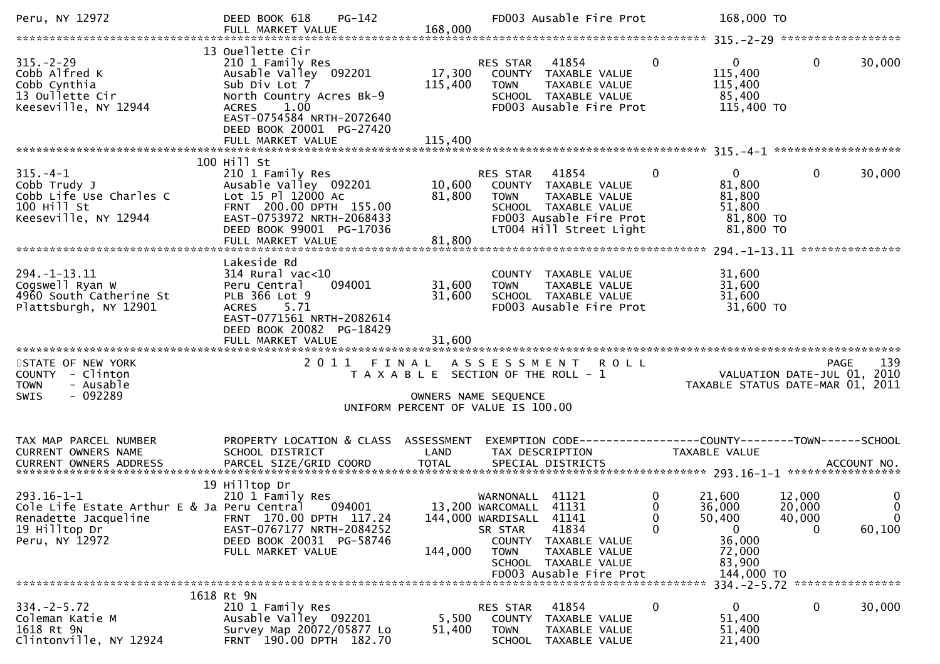| Peru, NY 12972                                                                                                             | <b>PG-142</b><br>DEED BOOK 618<br>FULL MARKET VALUE                                                                                                                                                              | 168,000                                                                                             |                                                                                                | FD003 Ausable Fire Prot                                                                                             |                                              | 168,000 TO                                                                             |                                 |                                           |
|----------------------------------------------------------------------------------------------------------------------------|------------------------------------------------------------------------------------------------------------------------------------------------------------------------------------------------------------------|-----------------------------------------------------------------------------------------------------|------------------------------------------------------------------------------------------------|---------------------------------------------------------------------------------------------------------------------|----------------------------------------------|----------------------------------------------------------------------------------------|---------------------------------|-------------------------------------------|
|                                                                                                                            |                                                                                                                                                                                                                  |                                                                                                     |                                                                                                |                                                                                                                     |                                              |                                                                                        |                                 |                                           |
| $315. - 2 - 29$<br>Cobb Alfred K<br>Cobb Cynthia<br>13 Oullette Cir<br>Keeseville, NY 12944                                | 13 Ouellette Cir<br>210 1 Family Res<br>Ausable Valley 092201<br>Sub Div Lot 7<br>North Country Acres Bk-9<br>1.00<br><b>ACRES</b><br>EAST-0754584 NRTH-2072640<br>DEED BOOK 20001 PG-27420<br>FULL MARKET VALUE | 17,300<br>115,400<br>115,400                                                                        | RES STAR<br><b>TOWN</b>                                                                        | 41854<br>COUNTY TAXABLE VALUE<br>TAXABLE VALUE<br>SCHOOL TAXABLE VALUE<br>FD003 Ausable Fire Prot                   | $\mathbf 0$                                  | $\mathbf{0}$<br>115,400<br>115,400<br>85,400<br>115,400 TO                             | $\mathbf 0$                     | 30,000                                    |
|                                                                                                                            |                                                                                                                                                                                                                  |                                                                                                     |                                                                                                |                                                                                                                     |                                              |                                                                                        |                                 |                                           |
| $315. - 4 - 1$<br>Cobb Trudy J<br>Cobb Life Use Charles C<br>100 Hill St<br>Keeseville, NY 12944                           | 100 Hill St<br>210 1 Family Res<br>Ausable Valley 092201<br>Lot 15 Pl 12000 Ac<br>FRNT 200.00 DPTH 155.00<br>EAST-0753972 NRTH-2068433<br>DEED BOOK 99001 PG-17036                                               | 10,600<br>81,800                                                                                    | RES STAR 41854<br><b>TOWN</b>                                                                  | COUNTY TAXABLE VALUE<br>TAXABLE VALUE<br>SCHOOL TAXABLE VALUE<br>FD003 Ausable Fire Prot<br>LT004 Hill Street Light | $\mathbf{0}$                                 | 0<br>81,800<br>81,800<br>51,800<br>81,800 TO<br>81,800 TO                              | $\mathbf 0$                     | 30,000                                    |
|                                                                                                                            | FULL MARKET VALUE                                                                                                                                                                                                | 81,800                                                                                              |                                                                                                |                                                                                                                     |                                              |                                                                                        |                                 | ***************                           |
|                                                                                                                            | Lakeside Rd                                                                                                                                                                                                      |                                                                                                     |                                                                                                |                                                                                                                     |                                              |                                                                                        |                                 |                                           |
| $294. -1 - 13.11$<br>Cogswell Ryan W<br>4960 South Catherine St<br>Plattsburgh, NY 12901                                   | $314$ Rural vac<10<br>094001<br>Peru Central<br>PLB 366 Lot 9<br>ACRES 5.71<br>EAST-0771561 NRTH-2082614<br>DEED BOOK 20082 PG-18429                                                                             | 31,600<br>31,600                                                                                    | <b>TOWN</b>                                                                                    | COUNTY TAXABLE VALUE<br>TAXABLE VALUE<br>SCHOOL TAXABLE VALUE<br>FD003 Ausable Fire Prot                            |                                              | 31,600<br>31,600<br>31,600<br>31,600 TO                                                |                                 |                                           |
|                                                                                                                            |                                                                                                                                                                                                                  |                                                                                                     |                                                                                                |                                                                                                                     |                                              |                                                                                        |                                 |                                           |
| STATE OF NEW YORK<br>COUNTY - Clinton<br>- Ausable<br><b>TOWN</b><br>$-092289$<br><b>SWIS</b>                              | 2011 FINAL                                                                                                                                                                                                       | T A X A B L E SECTION OF THE ROLL - 1<br>OWNERS NAME SEQUENCE<br>UNIFORM PERCENT OF VALUE IS 100.00 | A S S E S S M E N T                                                                            | <b>ROLL</b>                                                                                                         |                                              | VALUATION DATE-JUL 01, 2010<br>TAXABLE STATUS DATE-MAR 01, 2011                        |                                 | 139<br><b>PAGE</b>                        |
| TAX MAP PARCEL NUMBER<br>CURRENT OWNERS NAME                                                                               | PROPERTY LOCATION & CLASS ASSESSMENT<br>SCHOOL DISTRICT                                                                                                                                                          | LAND                                                                                                |                                                                                                | EXEMPTION CODE-----------------COUNTY-------TOWN------SCHOOL<br>TAX DESCRIPTION                                     |                                              | TAXABLE VALUE                                                                          |                                 |                                           |
| $293.16 - 1 - 1$<br>Cole Life Estate Arthur E & Ja Peru Central<br>Renadette Jacqueline<br>19 Hilltop Dr<br>Peru, NY 12972 | 19 Hilltop Dr<br>210 1 Family Res<br>094001<br>FRNT 170.00 DPTH 117.24<br>EAST-0767177 NRTH-2084252<br>DEED BOOK 20031 PG-58746<br>FULL MARKET VALUE                                                             | 144,000                                                                                             | WARNONALL 41121<br>13,200 WARCOMALL 41131<br>144,000 WARDISALL 41141<br>SR STAR<br><b>TOWN</b> | 41834<br>COUNTY TAXABLE VALUE<br>TAXABLE VALUE<br>SCHOOL TAXABLE VALUE<br>FD003 Ausable Fire Prot                   | $\mathbf 0$<br>$\Omega$<br>$\mathbf{0}$<br>0 | 21,600<br>36,000<br>50,400<br>$\mathbf{0}$<br>36,000<br>72,000<br>83,900<br>144,000 TO | 12,000<br>20,000<br>40,000<br>0 | 0<br>$\mathbf 0$<br>$\mathbf 0$<br>60,100 |
|                                                                                                                            |                                                                                                                                                                                                                  |                                                                                                     |                                                                                                |                                                                                                                     |                                              |                                                                                        |                                 |                                           |
| $334 - 2 - 5.72$<br>Coleman Katie M<br>1618 Rt 9N<br>Clintonville, NY 12924                                                | 1618 Rt 9N<br>210 1 Family Res<br>Ausable Valley 092201<br>Survey Map 20072/05877 Lo<br>FRNT 190.00 DPTH 182.70                                                                                                  | 5,500<br>51,400                                                                                     | <b>RES STAR</b><br>COUNTY<br><b>TOWN</b>                                                       | 41854<br>TAXABLE VALUE<br>TAXABLE VALUE<br>SCHOOL TAXABLE VALUE                                                     | 0                                            | $\mathbf{0}$<br>51,400<br>51,400<br>21,400                                             | $\bf{0}$                        | 30,000                                    |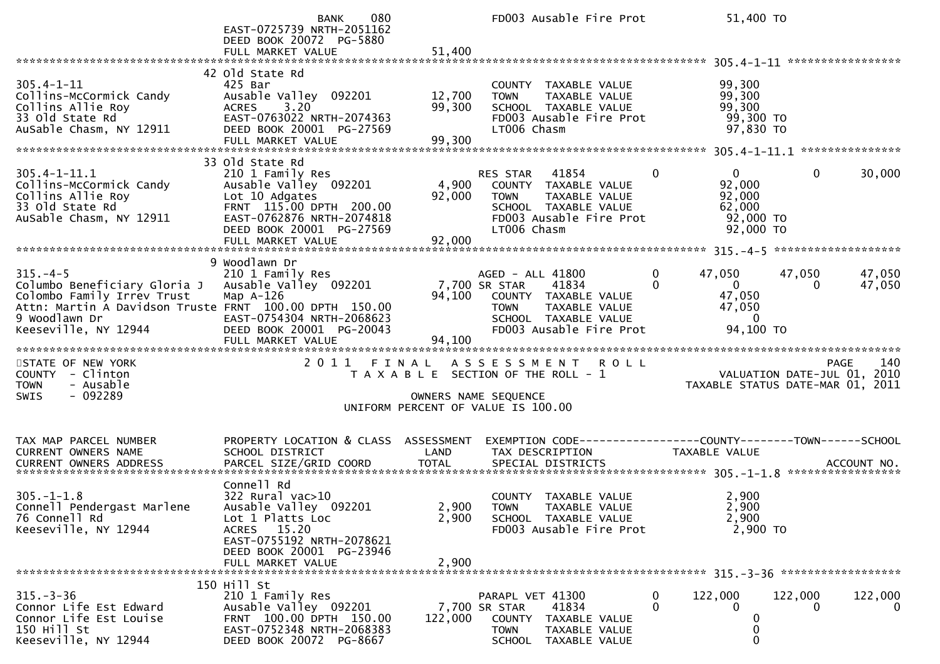|                                                                                                                                                                              | 080<br><b>BANK</b><br>EAST-0725739 NRTH-2051162<br>DEED BOOK 20072 PG-5880<br>FULL MARKET VALUE                                                                               | 51,400                            | FD003 Ausable Fire Prot                                                                                                                     | 51,400 TO                                                                                         |                                                                                          |
|------------------------------------------------------------------------------------------------------------------------------------------------------------------------------|-------------------------------------------------------------------------------------------------------------------------------------------------------------------------------|-----------------------------------|---------------------------------------------------------------------------------------------------------------------------------------------|---------------------------------------------------------------------------------------------------|------------------------------------------------------------------------------------------|
| $305.4 - 1 - 11$<br>Collins-McCormick Candy<br>Collins Allie Roy<br>Collins Allie Roy<br>33 Old State Rd<br>AuSable Chasm, NY 12911                                          | 42 Old State Rd<br>425 Bar<br>Ausable Valley 092201<br>3.20<br><b>ACRES</b><br>EAST-0763022 NRTH-2074363<br>DEED BOOK 20001 PG-27569<br>FULL MARKET VALUE                     | 12,700<br>99,300<br>99,300        | COUNTY TAXABLE VALUE<br>TAXABLE VALUE<br><b>TOWN</b><br>SCHOOL TAXABLE VALUE<br>FD003 Ausable Fire Prot<br>LT006 Chasm                      | 99,300<br>99,300<br>99,300<br>99,300 TO<br>97,830 TO                                              |                                                                                          |
|                                                                                                                                                                              | 33 Old State Rd                                                                                                                                                               |                                   |                                                                                                                                             |                                                                                                   |                                                                                          |
| $305.4 - 1 - 11.1$<br>Collins-McCormick Candy<br>Collins Allie Roy<br>33 Old State Rd<br>AuSable Chasm, NY 12911                                                             | 210 1 Family Res<br>Ausable Valley 092201<br>Lot 10 Adgates<br>FRNT 115.00 DPTH 200.00<br>EAST-0762876 NRTH-2074818<br>DEED BOOK 20001 PG-27569<br>FULL MARKET VALUE          | 4,900<br>92,000<br>92,000         | RES STAR 41854<br>COUNTY TAXABLE VALUE<br><b>TOWN</b><br>TAXABLE VALUE<br>SCHOOL TAXABLE VALUE<br>FD003 Ausable Fire Prot<br>LT006 Chasm    | $0 \qquad \qquad$<br>$\Omega$<br>92,000<br>92,000<br>62,000<br>92,000 TO<br>92,000 TO             | $\mathbf 0$<br>30,000                                                                    |
|                                                                                                                                                                              |                                                                                                                                                                               |                                   |                                                                                                                                             |                                                                                                   |                                                                                          |
| $315. -4-5$<br>Columbo Beneficiary Gloria J<br>Colombo Family Irrev Trust<br>Attn: Martin A Davidson Truste FRNT 100.00 DPTH 150.00<br>9 Woodlawn Dr<br>Keeseville, NY 12944 | 9 Woodlawn Dr<br>210 1 Family Res<br>Ausable Valley 092201<br>Map $A-126$<br>EAST-0754304 NRTH-2068623<br>DEED BOOK 20001 PG-20043<br>FULL MARKET VALUE                       | 7,700 SR STAR<br>94,100<br>94,100 | AGED - ALL 41800<br>41834<br>COUNTY TAXABLE VALUE<br>TAXABLE VALUE<br><b>TOWN</b><br>SCHOOL TAXABLE VALUE<br>FD003 Ausable Fire Prot        | $\mathbf{0}$<br>47,050<br>$\Omega$<br>$\overline{0}$<br>47,050<br>47,050<br>$\Omega$<br>94,100 TO | 47,050<br>47,050<br>47,050<br>0                                                          |
| STATE OF NEW YORK<br>COUNTY - Clinton<br>- Ausable<br><b>TOWN</b><br>$-092289$<br><b>SWIS</b>                                                                                |                                                                                                                                                                               |                                   | 2011 FINAL ASSESSMENT<br><b>ROLL</b><br>T A X A B L E SECTION OF THE ROLL - 1<br>OWNERS NAME SEQUENCE<br>UNIFORM PERCENT OF VALUE IS 100.00 |                                                                                                   | 140<br><b>PAGE</b><br>VALUATION DATE-JUL $01$ , 2010<br>TAXABLE STATUS DATE-MAR 01, 2011 |
| TAX MAP PARCEL NUMBER<br>CURRENT OWNERS NAME                                                                                                                                 | PROPERTY LOCATION & CLASS ASSESSMENT<br>SCHOOL DISTRICT                                                                                                                       | LAND                              | EXEMPTION CODE-----------------COUNTY-------TOWN------SCHOOL<br>TAX DESCRIPTION                                                             | <b>TAXABLE VALUE</b>                                                                              |                                                                                          |
| $305. - 1 - 1.8$<br>Connell Pendergast Marlene<br>76 Connell Rd<br>Keeseville, NY 12944                                                                                      | Connell Rd<br>$322$ Rural vac $>10$<br>Ausable_Valley 092201<br>Lot 1 Platts Loc<br>ACRES 15.20<br>EAST-0755192 NRTH-2078621<br>DEED BOOK 20001 PG-23946<br>FULL MARKET VALUE | 2,900<br>2,900                    | COUNTY TAXABLE VALUE<br>2,900 TOWN TAXABLE VALUE<br>SCHOOL TAXABLE VALUE<br>FD003 Ausable Fire Prot                                         | 2,900<br>2,900<br>2,900<br>2,900 TO                                                               |                                                                                          |
| $315. - 3 - 36$<br>Connor Life Est Edward<br>Connor Life Est Louise<br>150 Hill St<br>Keeseville, NY 12944                                                                   | 150 Hill St<br>210 1 Family Res<br>Ausable Valley 092201<br>FRNT 100.00 DPTH 150.00<br>EAST-0752348 NRTH-2068383<br>DEED BOOK 20072 PG-8667                                   | 122,000                           | PARAPL VET 41300<br>41834<br>7,700 SR STAR<br>COUNTY TAXABLE VALUE<br><b>TOWN</b><br>TAXABLE VALUE<br>SCHOOL TAXABLE VALUE                  | $\bf{0}$<br>122,000<br>$\mathbf{0}$<br>$\Omega$<br>0                                              | 122,000<br>122,000<br>$\overline{0}$<br>0                                                |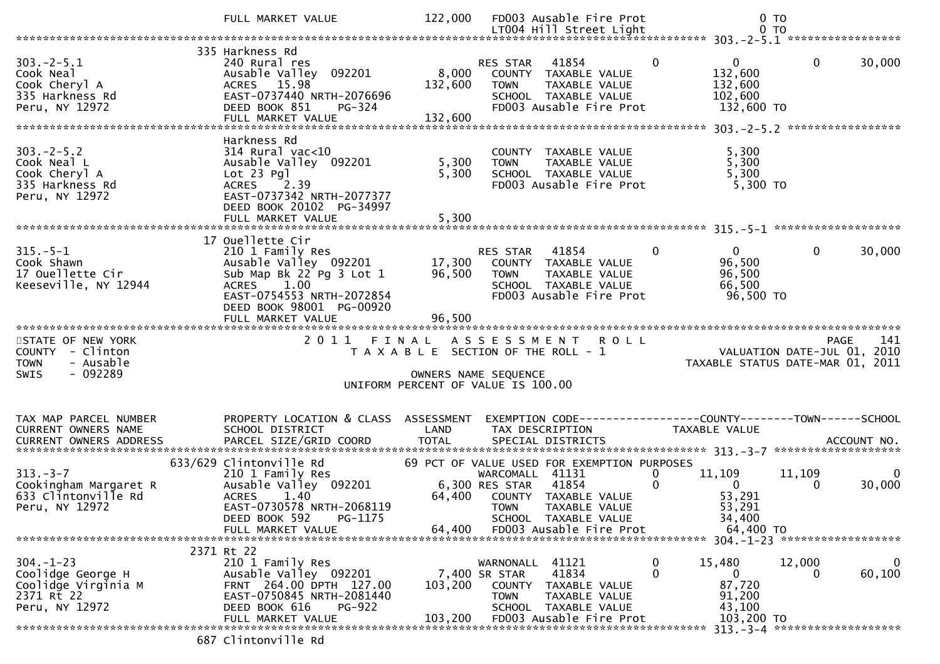|                                                                                               | FULL MARKET VALUE                                                                                                                                                                     | 122,000                                                                              |                                                            | FD003 Ausable Fire Prot                                                                             |                  | $0$ TO                                                                                                                                    |             |                          |
|-----------------------------------------------------------------------------------------------|---------------------------------------------------------------------------------------------------------------------------------------------------------------------------------------|--------------------------------------------------------------------------------------|------------------------------------------------------------|-----------------------------------------------------------------------------------------------------|------------------|-------------------------------------------------------------------------------------------------------------------------------------------|-------------|--------------------------|
|                                                                                               |                                                                                                                                                                                       |                                                                                      |                                                            |                                                                                                     |                  |                                                                                                                                           |             |                          |
| $303. -2 - 5.1$<br>Cook Neal<br>Cook Cheryl A<br>335 Harkness Rd<br>Peru, NY 12972            | 335 Harkness Rd<br>240 Rural res<br>Ausable Valley 092201<br>ACRES 15.98<br>EAST-0737440 NRTH-2076696<br>DEED BOOK 851<br>PG-324                                                      | 8,000<br>132,600                                                                     | RES STAR<br><b>TOWN</b>                                    | 41854<br>COUNTY TAXABLE VALUE<br>TAXABLE VALUE<br>SCHOOL TAXABLE VALUE<br>FD003 Ausable Fire Prot   | $\mathbf{0}$     | $\overline{0}$<br>132,600<br>132,600<br>102,600<br>132,600 TO                                                                             | $\Omega$    | 30,000                   |
| $303 - 2 - 5.2$<br>Cook Neal L<br>Cook Cheryl A<br>335 Harkness Rd<br>Peru, NY 12972          | Harkness Rd<br>314 Rural vac<10<br>Ausable Valley 092201<br>$Lot 23$ Pgl<br>$^{-2}$ .39<br><b>ACRES</b><br>EAST-0737342 NRTH-2077377<br>DEED BOOK 20102 PG-34997<br>FULL MARKET VALUE | 5,300<br>5,300<br>5,300                                                              | <b>TOWN</b>                                                | COUNTY TAXABLE VALUE<br>TAXABLE VALUE<br>SCHOOL TAXABLE VALUE<br>FD003 Ausable Fire Prot            |                  | 5,300<br>5,300<br>5,300<br>5,300 TO                                                                                                       |             |                          |
|                                                                                               | 17 Ouellette Cir                                                                                                                                                                      |                                                                                      |                                                            |                                                                                                     |                  |                                                                                                                                           |             |                          |
| $315. - 5 - 1$<br>Cook Shawn<br>17 Ouellette Cir<br>Keeseville, NY 12944                      | 210 1 Family Res<br>Ausable Valley 092201<br>Sub Map Bk 22 Pg 3 Lot 1<br>1.00<br><b>ACRES</b><br>EAST-0754553 NRTH-2072854<br>DEED BOOK 98001 PG-00920<br>FULL MARKET VALUE           | 17,300<br>96,500<br>96,500                                                           | RES STAR<br><b>TOWN</b>                                    | 41854<br>COUNTY TAXABLE VALUE<br>TAXABLE VALUE<br>SCHOOL TAXABLE VALUE<br>FD003 Ausable Fire Prot   | $\mathbf{0}$     | $\overline{0}$<br>96,500<br>96,500<br>66,500<br>96,500 TO                                                                                 | 0           | 30,000                   |
|                                                                                               |                                                                                                                                                                                       |                                                                                      |                                                            |                                                                                                     |                  |                                                                                                                                           |             |                          |
|                                                                                               |                                                                                                                                                                                       |                                                                                      |                                                            |                                                                                                     |                  |                                                                                                                                           |             |                          |
| STATE OF NEW YORK<br>COUNTY - Clinton<br>- Ausable<br><b>TOWN</b><br>$-092289$<br><b>SWIS</b> | 2011                                                                                                                                                                                  | FINAL<br>T A X A B L E SECTION OF THE ROLL - 1<br>UNIFORM PERCENT OF VALUE IS 100.00 | A S S E S S M E N T<br>OWNERS NAME SEQUENCE                | <b>ROLL</b>                                                                                         |                  | VALUATION DATE-JUL $01$ , 2010<br>TAXABLE STATUS DATE-MAR 01, 2011                                                                        | <b>PAGE</b> | 141                      |
| TAX MAP PARCEL NUMBER<br>CURRENT OWNERS NAME                                                  | PROPERTY LOCATION & CLASS ASSESSMENT<br>SCHOOL DISTRICT                                                                                                                               | LAND                                                                                 | TAX DESCRIPTION                                            | EXEMPTION CODE-----------------COUNTY-------TOWN------SCHOOL                                        |                  | TAXABLE VALUE                                                                                                                             |             |                          |
|                                                                                               | 633/629 Clintonville Rd                                                                                                                                                               |                                                                                      |                                                            | 69 PCT OF VALUE USED FOR EXEMPTION PURPOSES                                                         |                  |                                                                                                                                           |             |                          |
| $313 - 3 - 7$<br>Cookingham Margaret R<br>633 Clintonville Rd<br>Peru, NY 12972               | 210 1 Family Res<br>Ausable Valley 092201<br><b>ACRES</b><br>1.40<br>EAST-0730578 NRTH-2068119<br>PG-1175<br>DEED BOOK 592                                                            | 64,400                                                                               | WARCOMALL 41131<br>6,300 RES STAR<br><b>TOWN</b>           | 41854<br>COUNTY TAXABLE VALUE<br>TAXABLE VALUE<br>SCHOOL TAXABLE VALUE                              | 0<br>$\mathbf 0$ | 11,109<br>$\Omega$<br>53,291<br>53,291<br>34,400                                                                                          | 11,109<br>0 | $\overline{0}$<br>30,000 |
|                                                                                               | FULL MARKET VALUE                                                                                                                                                                     | 64,400                                                                               |                                                            | FD003 Ausable Fire Prot                                                                             |                  | 64,400 TO                                                                                                                                 |             |                          |
| $304. - 1 - 23$<br>Coolidge George H<br>Coolidge Virginia M<br>2371 Rt 22<br>Peru, NY 12972   | 2371 Rt 22<br>210 1 Family Res<br>Ausable Valley 092201<br>FRNT 264.00 DPTH 127.00<br>EAST-0750845 NRTH-2081440<br>DEED BOOK 616<br>PG-922<br>FULL MARKET VALUE                       | 103,200<br>103,200                                                                   | WARNONALL<br>7,400 SR STAR<br><b>COUNTY</b><br><b>TOWN</b> | 41121<br>41834<br>TAXABLE VALUE<br>TAXABLE VALUE<br>SCHOOL TAXABLE VALUE<br>FD003 Ausable Fire Prot | 0<br>0           | 304. -1-23 ********************<br>15,480<br>$\mathbf{0}$<br>87,720<br>91,200<br>43,100<br>103,200 TO<br>313. - 3-4 ********************* | 12,000<br>0 | 0<br>60,100              |

687 Clintonville Rd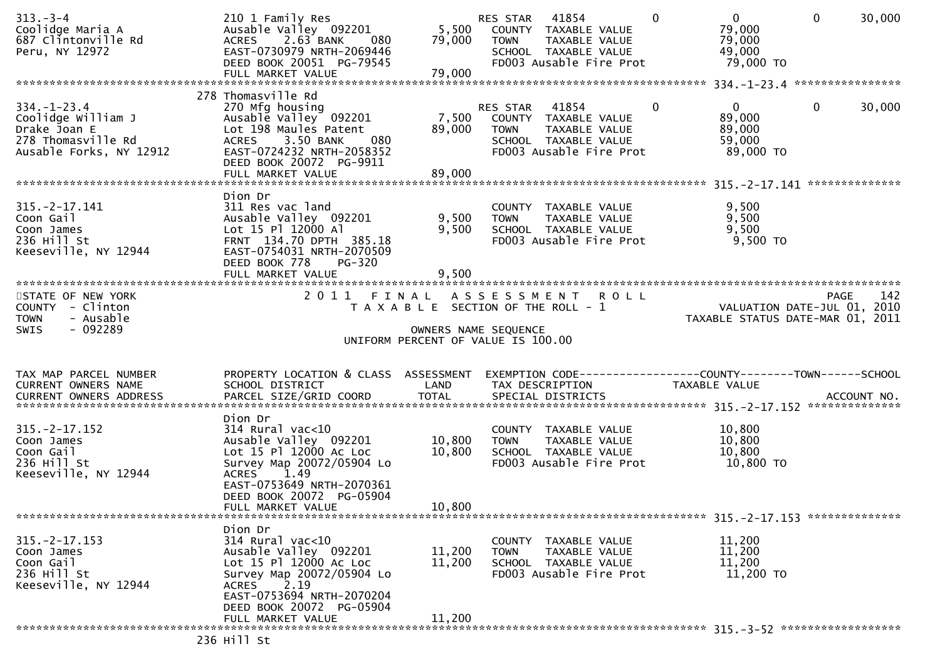| $313 - 3 - 4$<br>Coolidge Maria A<br>687 Clintonville Rd<br>Peru, NY 12972                                      | 210 1 Family Res<br>Ausable Valley 092201<br>2.63 BANK<br><b>ACRES</b><br>080<br>EAST-0730979 NRTH-2069446<br>DEED BOOK 20051 PG-79545<br>FULL MARKET VALUE                                       | 5,500<br>79,000<br>79,000 | RES STAR<br>41854<br>COUNTY TAXABLE VALUE<br><b>TOWN</b><br>TAXABLE VALUE<br>SCHOOL TAXABLE VALUE<br>FD003 Ausable Fire Prot | $\Omega$ | $\overline{0}$<br>79,000<br>79,000<br>49,000<br>79,000 TO       | $\mathbf{0}$ | 30,000 |
|-----------------------------------------------------------------------------------------------------------------|---------------------------------------------------------------------------------------------------------------------------------------------------------------------------------------------------|---------------------------|------------------------------------------------------------------------------------------------------------------------------|----------|-----------------------------------------------------------------|--------------|--------|
|                                                                                                                 | 278 Thomasville Rd                                                                                                                                                                                |                           |                                                                                                                              |          |                                                                 |              |        |
| $334. - 1 - 23.4$<br>Coolidge William J<br>Drake Joan E<br>278 Thomasville Rd<br>Ausable Forks, NY 12912        | 270 Mfg housing<br>Ausable Valley 092201<br>Lot 198 Maules Patent<br>3.50 BANK<br>080<br><b>ACRES</b><br>EAST-0724232 NRTH-2058352<br>DEED BOOK 20072 PG-9911                                     | 7,500<br>89,000           | 41854<br>RES STAR<br>COUNTY TAXABLE VALUE<br>TAXABLE VALUE<br><b>TOWN</b><br>SCHOOL TAXABLE VALUE<br>FD003 Ausable Fire Prot | 0        | $\mathbf{0}$<br>89,000<br>89,000<br>59,000<br>89,000 TO         | $\mathbf{0}$ | 30,000 |
|                                                                                                                 |                                                                                                                                                                                                   |                           |                                                                                                                              |          |                                                                 |              |        |
| $315. -2 - 17.141$<br>Coon Gail<br>Coon James<br>236 Hill St<br>Keeseville, NY 12944                            | Dion Dr<br>311 Res vac land<br>Ausable Valley 092201<br>Lot 15 Pl 12000 Al<br>FRNT 134.70 DPTH 385.18<br>EAST-0754031 NRTH-2070509<br>DEED BOOK 778<br>PG-320<br>FULL MARKET VALUE                | 9,500<br>9,500<br>9,500   | COUNTY TAXABLE VALUE<br>TAXABLE VALUE<br><b>TOWN</b><br>SCHOOL TAXABLE VALUE<br>FD003 Ausable Fire Prot                      |          | 9,500<br>9,500<br>9,500<br>$9,500$ TO                           |              |        |
|                                                                                                                 |                                                                                                                                                                                                   |                           |                                                                                                                              |          |                                                                 |              |        |
| STATE OF NEW YORK<br>COUNTY - Clinton<br>- Ausable<br><b>TOWN</b><br>- 092289<br>SWIS                           |                                                                                                                                                                                                   |                           | 2011 FINAL ASSESSMENT ROLL<br>T A X A B L E SECTION OF THE ROLL - 1<br>OWNERS NAME SEQUENCE                                  |          | VALUATION DATE-JUL 01, 2010<br>TAXABLE STATUS DATE-MAR 01, 2011 | <b>PAGE</b>  | 142    |
|                                                                                                                 |                                                                                                                                                                                                   |                           | UNIFORM PERCENT OF VALUE IS 100.00                                                                                           |          |                                                                 |              |        |
| TAX MAP PARCEL NUMBER<br>CURRENT OWNERS NAME                                                                    | PROPERTY LOCATION & CLASS ASSESSMENT<br>SCHOOL DISTRICT                                                                                                                                           | LAND                      | EXEMPTION CODE------------------COUNTY--------TOWN------SCHOOL<br>TAX DESCRIPTION                                            |          | <b>TAXABLE VALUE</b>                                            |              |        |
| .CURRENT OWNERS ADDRESS PARCEL SIZE/GRID COORD TOTAL SPECIAL DISTRICTS ACCOUNT NO ACCOUNT NO ACCOUNT NO ACCOUNT |                                                                                                                                                                                                   |                           |                                                                                                                              |          |                                                                 |              |        |
| $315. -2 - 17.152$<br>Coon James<br>Coon Gail<br>236 Hill St<br>Keeseville, NY 12944                            | Dion Dr<br>$314$ Rural vac< $10$<br>Ausable Valley 092201<br>Lot 15 Pl 12000 Ac Loc<br>Survey Map 20072/05904 Lo<br>1.49<br><b>ACRES</b><br>EAST-0753649 NRTH-2070361<br>DEED BOOK 20072 PG-05904 | 10,800<br>10,800          | COUNTY TAXABLE VALUE<br>TAXABLE VALUE<br><b>TOWN</b><br>SCHOOL TAXABLE VALUE<br>FD003 Ausable Fire Prot                      |          | 10,800<br>10,800<br>10,800<br>10,800 TO                         |              |        |
|                                                                                                                 | FULL MARKET VALUE                                                                                                                                                                                 | 10,800                    |                                                                                                                              |          |                                                                 |              |        |
|                                                                                                                 |                                                                                                                                                                                                   |                           |                                                                                                                              |          |                                                                 |              |        |
|                                                                                                                 |                                                                                                                                                                                                   |                           |                                                                                                                              |          |                                                                 |              |        |
| $315. -2 - 17.153$<br>Coon James<br>Coon Gail<br>236 Hill St<br>Keeseville, NY 12944                            | Dion Dr<br>314 Rural vac<10<br>Ausable Valley 092201<br>Lot 15 Pl 12000 Ac Loc<br>Survey Map 20072/05904 Lo<br>2.19<br><b>ACRES</b><br>EAST-0753694 NRTH-2070204                                  | 11,200<br>11,200          | COUNTY TAXABLE VALUE<br><b>TOWN</b><br>TAXABLE VALUE<br>SCHOOL TAXABLE VALUE<br>FD003 Ausable Fire Prot                      |          | 11,200<br>11,200<br>11,200<br>11,200 TO                         |              |        |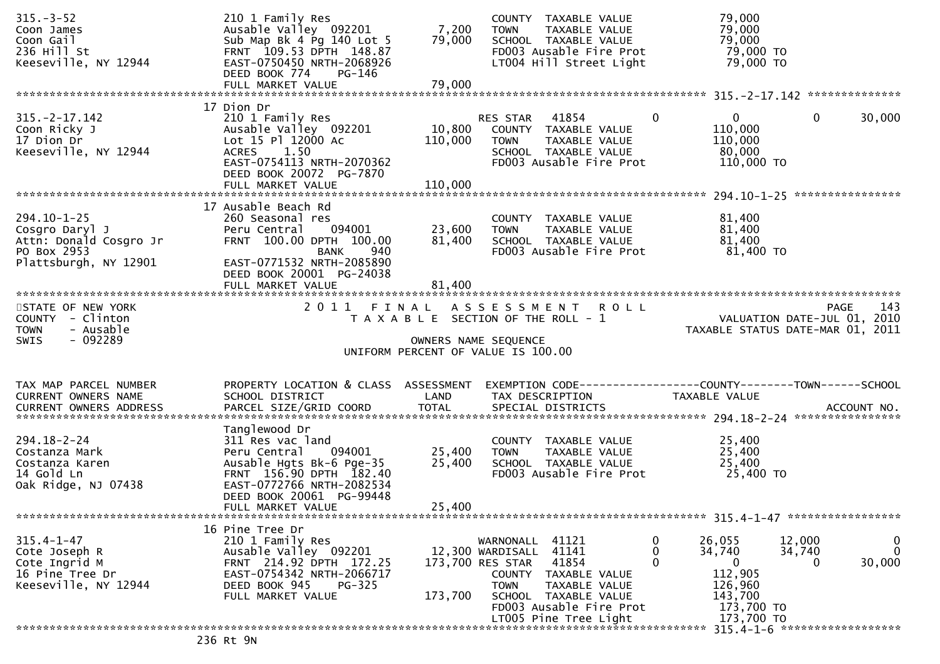| $315. - 3 - 52$<br>Coon James<br>Coon Gail<br>236 Hill St<br>Keeseville, NY 12944                     | 210 1 Family Res<br>Ausable Valley 092201<br>Sub Map Bk 4 Pg 140 Lot 5<br>FRNT 109.53 DPTH 148.87<br>EAST-0750450 NRTH-2068926<br>DEED BOOK 774<br>PG-146                | 7,200<br>79,000              | COUNTY TAXABLE VALUE<br>TAXABLE VALUE<br><b>TOWN</b><br>SCHOOL TAXABLE VALUE<br>FD003 Ausable Fire Prot<br>LT004 Hill Street Light  | 79,000<br>79,000<br>79,000<br>79,000 TO<br>79,000 TO                  |                                                                                       |
|-------------------------------------------------------------------------------------------------------|--------------------------------------------------------------------------------------------------------------------------------------------------------------------------|------------------------------|-------------------------------------------------------------------------------------------------------------------------------------|-----------------------------------------------------------------------|---------------------------------------------------------------------------------------|
|                                                                                                       | FULL MARKET VALUE                                                                                                                                                        | 79,000                       |                                                                                                                                     |                                                                       |                                                                                       |
| $315. -2 - 17.142$<br>Coon Ricky J<br>17 Dion Dr<br>Keeseville, NY 12944                              | 17 Dion Dr<br>210 1 Family Res<br>Ausable Valley 092201<br>Lot 15 Pl 12000 Ac<br>ACRES 1.50<br>EAST-0754113 NRTH-2070362<br>DEED BOOK 20072 PG-7870<br>FULL MARKET VALUE | 10,800<br>110,000<br>110,000 | 41854<br><b>RES STAR</b><br>COUNTY TAXABLE VALUE<br><b>TOWN</b><br>TAXABLE VALUE<br>SCHOOL TAXABLE VALUE<br>FD003 Ausable Fire Prot | 0<br>0<br>110,000<br>110,000<br>80,000<br>110,000 TO                  | $\mathbf{0}$<br>30,000                                                                |
|                                                                                                       | 17 Ausable Beach Rd                                                                                                                                                      |                              |                                                                                                                                     |                                                                       |                                                                                       |
| $294.10 - 1 - 25$<br>Cosgro Daryl J<br>Attn: Donald Cosgro Jr<br>PO Box 2953<br>Plattsburgh, NY 12901 | 260 Seasonal res<br>Peru Central<br>094001<br>FRNT 100.00 DPTH 100.00<br>940<br>BANK<br>EAST-0771532 NRTH-2085890<br>DEED BOOK 20001 PG-24038                            | 23,600<br>81,400             | COUNTY TAXABLE VALUE<br>TAXABLE VALUE<br><b>TOWN</b><br>SCHOOL TAXABLE VALUE<br>FD003 Ausable Fire Prot                             | 81,400<br>81,400<br>81,400<br>81,400 TO                               |                                                                                       |
| *************************                                                                             | FULL MARKET VALUE<br>******************************                                                                                                                      | 81,400                       |                                                                                                                                     |                                                                       |                                                                                       |
| STATE OF NEW YORK<br>COUNTY - Clinton<br>- Ausable<br><b>TOWN</b>                                     | 2011                                                                                                                                                                     | FINAL                        | A S S E S S M E N T<br><b>ROLL</b><br>T A X A B L E SECTION OF THE ROLL - 1                                                         |                                                                       | 143<br><b>PAGE</b><br>VALUATION DATE-JUL 01, 2010<br>TAXABLE STATUS DATE-MAR 01, 2011 |
| $-092289$<br><b>SWIS</b>                                                                              |                                                                                                                                                                          |                              | OWNERS NAME SEQUENCE<br>UNIFORM PERCENT OF VALUE IS 100.00                                                                          |                                                                       |                                                                                       |
|                                                                                                       |                                                                                                                                                                          |                              |                                                                                                                                     |                                                                       |                                                                                       |
| TAX MAP PARCEL NUMBER<br><b>CURRENT OWNERS NAME</b>                                                   | PROPERTY LOCATION & CLASS ASSESSMENT<br>SCHOOL DISTRICT                                                                                                                  | <b>LAND</b>                  | EXEMPTION CODE------------------COUNTY--------TOWN------SCHOOL<br>TAX DESCRIPTION                                                   | TAXABLE VALUE                                                         |                                                                                       |
|                                                                                                       |                                                                                                                                                                          |                              |                                                                                                                                     |                                                                       |                                                                                       |
| $294.18 - 2 - 24$<br>Costanza Mark<br>Costanza Karen<br>14 Gold Ln<br>Oak Ridge, NJ 07438             | Tanglewood Dr<br>311 Res vac land<br>Peru Central<br>094001<br>Ausable Hgts Bk-6 Pge-35<br>FRNT 156.90 DPTH 182.40<br>EAST-0772766 NRTH-2082534                          | 25,400<br>25,400             | COUNTY TAXABLE VALUE<br>TAXABLE VALUE<br>TOWN<br>SCHOOL TAXABLE VALUE<br>FD003 Ausable Fire Prot                                    | 25,400<br>25,400<br>25,400<br>25,400 TO                               |                                                                                       |
|                                                                                                       | DEED BOOK 20061 PG-99448<br>FULL MARKET VALUE                                                                                                                            | 25,400                       |                                                                                                                                     |                                                                       |                                                                                       |
|                                                                                                       | 16 Pine Tree Dr                                                                                                                                                          |                              |                                                                                                                                     |                                                                       |                                                                                       |
| $315.4 - 1 - 47$<br>Cote Joseph R<br>Cote Ingrid M<br>16 Pine Tree Dr<br>Keeseville, NY 12944         | 210 1 Family Res<br>Ausable Valley 092201<br>FRNT 214.92 DPTH 172.25<br>EAST-0754342 NRTH-2066717<br>DEED BOOK 945<br>$PG-325$                                           |                              | WARNONALL 41121<br>12,300 WARDISALL 41141<br>173,700 RES STAR<br>41854<br>COUNTY TAXABLE VALUE<br><b>TOWN</b><br>TAXABLE VALUE      | 26,055<br>0<br>0<br>34,740<br>0<br>$\mathbf{0}$<br>112,905<br>126,960 | $\mathbf 0$<br>12,000<br>$\mathbf 0$<br>34,740<br>30,000<br>$\Omega$                  |
|                                                                                                       | FULL MARKET VALUE                                                                                                                                                        | 173,700                      | SCHOOL TAXABLE VALUE<br>FD003 Ausable Fire Prot<br>LT005 Pine Tree Light                                                            | 143,700<br>173,700 TO<br>173,700 TO                                   |                                                                                       |
|                                                                                                       |                                                                                                                                                                          |                              |                                                                                                                                     |                                                                       |                                                                                       |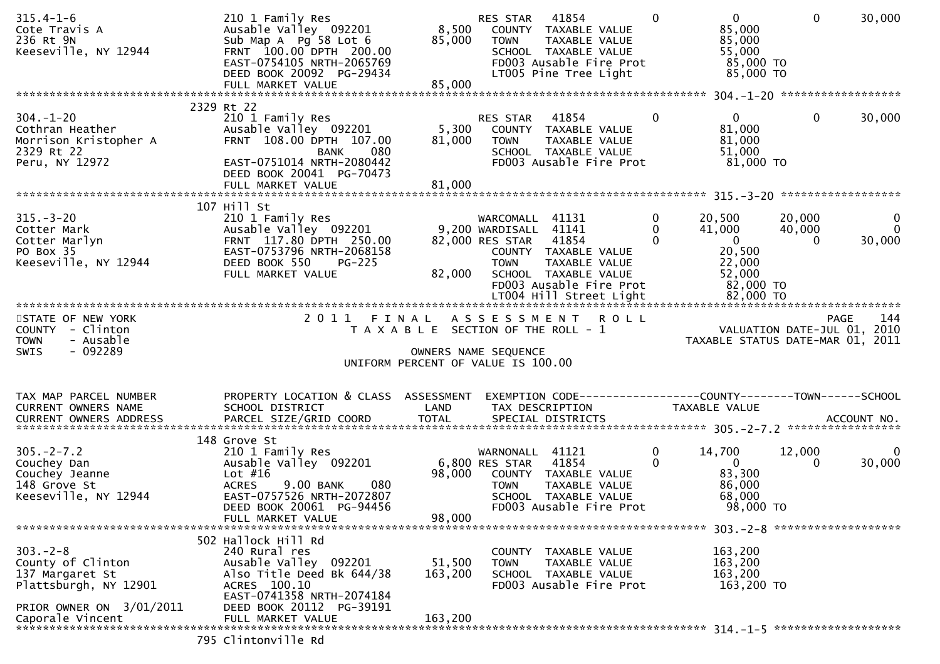| 2329 Rt 22<br>$\mathbf{0}$<br>$\mathbf{0}$<br>$304. - 1 - 20$<br>210 1 Family Res<br>$\Omega$<br>41854<br>RES STAR<br>5,300<br>81,000<br>Ausable Valley 092201<br>Cothran Heather<br>COUNTY TAXABLE VALUE<br>Morrison Kristopher A<br>FRNT 108.00 DPTH 107.00<br>81,000<br>81,000<br><b>TOWN</b><br>TAXABLE VALUE<br>2329 Rt 22<br>080<br>51,000<br><b>BANK</b><br>SCHOOL TAXABLE VALUE<br>$81,000$ TO<br>Peru, NY 12972<br>EAST-0751014 NRTH-2080442<br>FD003 Ausable Fire Prot<br>DEED BOOK 20041 PG-70473<br>81,000<br>FULL MARKET VALUE<br>107 Hill St<br>$315. - 3 - 20$<br>$\mathbf{0}$<br>210 1 Family Res<br>WARCOMALL 41131<br>20,500<br>20,000<br>$\Omega$<br>41,000<br>Ausable Valley 092201<br>9,200 WARDISALL 41141<br>40,000<br>Cotter Mark<br>FRNT 117.80 DPTH 250.00<br>82,000 RES STAR 41854<br>$\Omega$<br>$\overline{\mathbf{0}}$<br>Cotter Marlyn<br>$\Omega$<br>20,500<br>EAST-0753796 NRTH-2068158<br>PO Box 35<br>COUNTY TAXABLE VALUE<br>Keeseville, NY 12944<br>DEED BOOK 550<br>22,000<br><b>PG-225</b><br><b>TOWN</b><br>TAXABLE VALUE<br>52,000<br>FULL MARKET VALUE<br>82,000<br>SCHOOL TAXABLE VALUE<br>82,000 TO<br>FD003 Ausable Fire Prot<br>2011 FINAL ASSESSMENT ROLL<br>STATE OF NEW YORK<br>PAGE<br>VALUATION DATE-JUL 01, 2010<br>TAXABLE STATUS DATE-MAR 01, 2011<br>T A X A B L E SECTION OF THE ROLL - 1<br>COUNTY - Clinton<br>- Ausable<br><b>TOWN</b><br>$-092289$<br><b>SWIS</b><br>OWNERS NAME SEQUENCE<br>UNIFORM PERCENT OF VALUE IS 100.00<br>PROPERTY LOCATION & CLASS ASSESSMENT<br>EXEMPTION CODE-----------------COUNTY--------TOWN------SCHOOL<br>TAX MAP PARCEL NUMBER<br>LAND<br>CURRENT OWNERS NAME<br>SCHOOL DISTRICT<br>TAXABLE VALUE<br>TAX DESCRIPTION<br>148 Grove St<br>$305. -2 - 7.2$<br>210 1 Family Res<br>14,700<br>12,000<br>WARNONALL 41121<br>0<br>6,800 RES STAR<br>$\Omega$<br>Ausable Valley 092201<br>41854<br>$\overline{0}$<br>Couchey Dan<br>$\Omega$<br>83,300<br>Couchey Jeanne<br>Lot $#16$<br>98,000<br>COUNTY TAXABLE VALUE<br>148 Grove St<br><b>ACRES</b><br>86,000<br>9.00 BANK<br>080<br><b>TOWN</b><br>TAXABLE VALUE<br>Keeseville, NY 12944<br>68,000<br>EAST-0757526 NRTH-2072807<br>SCHOOL TAXABLE VALUE<br>98,000 TO<br>DEED BOOK 20061 PG-94456<br>FD003 Ausable Fire Prot<br>98,000<br>FULL MARKET VALUE<br>502 Hallock Hill Rd<br>$303 - 2 - 8$<br>240 Rural res<br>163,200<br>COUNTY<br>TAXABLE VALUE<br>County of Clinton<br>Ausable Valley 092201<br>51,500<br>163,200<br>TAXABLE VALUE<br>TOWN<br>163,200<br>Also Title Deed Bk 644/38<br>163,200<br>137 Margaret St<br>SCHOOL TAXABLE VALUE<br>ACRES 100.10<br>FD003 Ausable Fire Prot<br>Plattsburgh, NY 12901<br>163,200 TO<br>EAST-0741358 NRTH-2074184<br>PRIOR OWNER ON 3/01/2011<br>DEED BOOK 20112 PG-39191<br>163,200<br>Caporale Vincent<br>FULL MARKET VALUE | $315.4 - 1 - 6$<br>Cote Travis A<br>236 Rt 9N<br>Keeseville, NY 12944 | 210 1 Family Res<br>Ausable Valley 092201<br>Sub Map A Pg 58 Lot 6<br>FRNT 100.00 DPTH 200.00<br>EAST-0754105 NRTH-2065769<br>DEED BOOK 20092 PG-29434<br>FULL MARKET VALUE | 8,500<br>85,000<br>85,000 | RES STAR<br>TOWN | 41854<br>COUNTY TAXABLE VALUE<br>TAXABLE VALUE<br>SCHOOL TAXABLE VALUE<br>FD003 Ausable Fire Prot<br>LT005 Pine Tree Light | $\Omega$ | $\mathbf{0}$<br>85,000<br>85,000<br>55,000<br>85,000 TO<br>85,000 TO | $\mathbf 0$<br>30,000                 |
|----------------------------------------------------------------------------------------------------------------------------------------------------------------------------------------------------------------------------------------------------------------------------------------------------------------------------------------------------------------------------------------------------------------------------------------------------------------------------------------------------------------------------------------------------------------------------------------------------------------------------------------------------------------------------------------------------------------------------------------------------------------------------------------------------------------------------------------------------------------------------------------------------------------------------------------------------------------------------------------------------------------------------------------------------------------------------------------------------------------------------------------------------------------------------------------------------------------------------------------------------------------------------------------------------------------------------------------------------------------------------------------------------------------------------------------------------------------------------------------------------------------------------------------------------------------------------------------------------------------------------------------------------------------------------------------------------------------------------------------------------------------------------------------------------------------------------------------------------------------------------------------------------------------------------------------------------------------------------------------------------------------------------------------------------------------------------------------------------------------------------------------------------------------------------------------------------------------------------------------------------------------------------------------------------------------------------------------------------------------------------------------------------------------------------------------------------------------------------------------------------------------------------------------------------------------------------------------------------------------------------------------------------------------------------------------------------------------------------------------------------------------------------------------------------------------------------|-----------------------------------------------------------------------|-----------------------------------------------------------------------------------------------------------------------------------------------------------------------------|---------------------------|------------------|----------------------------------------------------------------------------------------------------------------------------|----------|----------------------------------------------------------------------|---------------------------------------|
|                                                                                                                                                                                                                                                                                                                                                                                                                                                                                                                                                                                                                                                                                                                                                                                                                                                                                                                                                                                                                                                                                                                                                                                                                                                                                                                                                                                                                                                                                                                                                                                                                                                                                                                                                                                                                                                                                                                                                                                                                                                                                                                                                                                                                                                                                                                                                                                                                                                                                                                                                                                                                                                                                                                                                                                                                            |                                                                       |                                                                                                                                                                             |                           |                  |                                                                                                                            |          |                                                                      |                                       |
|                                                                                                                                                                                                                                                                                                                                                                                                                                                                                                                                                                                                                                                                                                                                                                                                                                                                                                                                                                                                                                                                                                                                                                                                                                                                                                                                                                                                                                                                                                                                                                                                                                                                                                                                                                                                                                                                                                                                                                                                                                                                                                                                                                                                                                                                                                                                                                                                                                                                                                                                                                                                                                                                                                                                                                                                                            |                                                                       |                                                                                                                                                                             |                           |                  |                                                                                                                            |          |                                                                      | 30,000                                |
|                                                                                                                                                                                                                                                                                                                                                                                                                                                                                                                                                                                                                                                                                                                                                                                                                                                                                                                                                                                                                                                                                                                                                                                                                                                                                                                                                                                                                                                                                                                                                                                                                                                                                                                                                                                                                                                                                                                                                                                                                                                                                                                                                                                                                                                                                                                                                                                                                                                                                                                                                                                                                                                                                                                                                                                                                            |                                                                       |                                                                                                                                                                             |                           |                  |                                                                                                                            |          |                                                                      |                                       |
|                                                                                                                                                                                                                                                                                                                                                                                                                                                                                                                                                                                                                                                                                                                                                                                                                                                                                                                                                                                                                                                                                                                                                                                                                                                                                                                                                                                                                                                                                                                                                                                                                                                                                                                                                                                                                                                                                                                                                                                                                                                                                                                                                                                                                                                                                                                                                                                                                                                                                                                                                                                                                                                                                                                                                                                                                            |                                                                       |                                                                                                                                                                             |                           |                  |                                                                                                                            |          |                                                                      | $\mathbf 0$<br>$\mathbf{0}$<br>30,000 |
|                                                                                                                                                                                                                                                                                                                                                                                                                                                                                                                                                                                                                                                                                                                                                                                                                                                                                                                                                                                                                                                                                                                                                                                                                                                                                                                                                                                                                                                                                                                                                                                                                                                                                                                                                                                                                                                                                                                                                                                                                                                                                                                                                                                                                                                                                                                                                                                                                                                                                                                                                                                                                                                                                                                                                                                                                            |                                                                       |                                                                                                                                                                             |                           |                  |                                                                                                                            |          |                                                                      | 144                                   |
|                                                                                                                                                                                                                                                                                                                                                                                                                                                                                                                                                                                                                                                                                                                                                                                                                                                                                                                                                                                                                                                                                                                                                                                                                                                                                                                                                                                                                                                                                                                                                                                                                                                                                                                                                                                                                                                                                                                                                                                                                                                                                                                                                                                                                                                                                                                                                                                                                                                                                                                                                                                                                                                                                                                                                                                                                            |                                                                       |                                                                                                                                                                             |                           |                  |                                                                                                                            |          |                                                                      |                                       |
|                                                                                                                                                                                                                                                                                                                                                                                                                                                                                                                                                                                                                                                                                                                                                                                                                                                                                                                                                                                                                                                                                                                                                                                                                                                                                                                                                                                                                                                                                                                                                                                                                                                                                                                                                                                                                                                                                                                                                                                                                                                                                                                                                                                                                                                                                                                                                                                                                                                                                                                                                                                                                                                                                                                                                                                                                            |                                                                       |                                                                                                                                                                             |                           |                  |                                                                                                                            |          |                                                                      | $\mathbf{0}$<br>30,000                |
|                                                                                                                                                                                                                                                                                                                                                                                                                                                                                                                                                                                                                                                                                                                                                                                                                                                                                                                                                                                                                                                                                                                                                                                                                                                                                                                                                                                                                                                                                                                                                                                                                                                                                                                                                                                                                                                                                                                                                                                                                                                                                                                                                                                                                                                                                                                                                                                                                                                                                                                                                                                                                                                                                                                                                                                                                            |                                                                       |                                                                                                                                                                             |                           |                  |                                                                                                                            |          |                                                                      |                                       |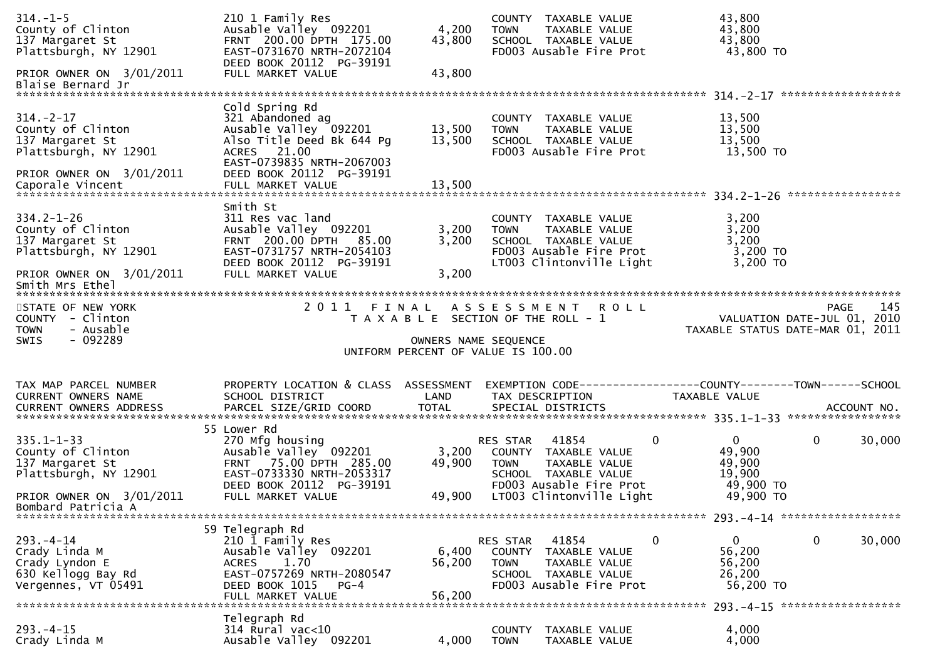| $314. - 1 - 5$<br>County of Clinton<br>137 Margaret St<br>Plattsburgh, NY 12901                                                  | 210 1 Family Res<br>Ausable Valley 092201<br>FRNT 200.00 DPTH 175.00<br>EAST-0731670 NRTH-2072104<br>DEED BOOK 20112 PG-39191                                    | 4,200<br>43,800           | COUNTY TAXABLE VALUE<br>TAXABLE VALUE<br><b>TOWN</b><br>SCHOOL TAXABLE VALUE<br>FD003 Ausable Fire Prot                                                                  | 43,800<br>43,800<br>43,800<br>43,800 TO                                     |        |
|----------------------------------------------------------------------------------------------------------------------------------|------------------------------------------------------------------------------------------------------------------------------------------------------------------|---------------------------|--------------------------------------------------------------------------------------------------------------------------------------------------------------------------|-----------------------------------------------------------------------------|--------|
| PRIOR OWNER ON 3/01/2011<br>Blaise Bernard Jr                                                                                    | FULL MARKET VALUE                                                                                                                                                | 43,800                    |                                                                                                                                                                          | ******************                                                          |        |
| $314. - 2 - 17$<br>County of Clinton<br>137 Margaret St<br>Plattsburgh, NY 12901<br>PRIOR OWNER ON 3/01/2011                     | Cold Spring Rd<br>321 Abandoned ag<br>Ausable Valley 092201<br>Also Title Deed Bk 644 Pg<br>ACRES 21.00<br>EAST-0739835 NRTH-2067003<br>DEED BOOK 20112 PG-39191 | 13,500<br>13,500          | COUNTY TAXABLE VALUE<br>TAXABLE VALUE<br><b>TOWN</b><br>SCHOOL TAXABLE VALUE<br>FD003 Ausable Fire Prot                                                                  | 13,500<br>13,500<br>13,500<br>13,500 TO                                     |        |
| $334.2 - 1 - 26$<br>County of Clinton<br>137 Margaret St<br>Plattsburgh, NY 12901<br>PRIOR OWNER ON 3/01/2011<br>Smith Mrs Ethel | Smith St<br>311 Res vac land<br>Ausable Valley 092201<br>FRNT 200.00 DPTH 85.00<br>EAST-0731757 NRTH-2054103<br>DEED BOOK 20112 PG-39191<br>FULL MARKET VALUE    | 3,200<br>3,200<br>3,200   | COUNTY TAXABLE VALUE<br>TAXABLE VALUE<br>TOWN<br>SCHOOL TAXABLE VALUE<br>FD003 Ausable Fire Prot<br>LT003 Clintonville Light                                             | 3,200<br>3,200<br>3,200<br>$3,200$ TO<br>3,200 TO                           |        |
| STATE OF NEW YORK<br>COUNTY - Clinton                                                                                            | 2011 FINAL                                                                                                                                                       |                           | A S S E S S M E N T R O L L<br>T A X A B L E SECTION OF THE ROLL - 1                                                                                                     | PAGE<br>VALUATION DATE-JUL 01, 2010                                         | 145    |
| - Ausable<br><b>TOWN</b><br>$-092289$<br>SWIS                                                                                    |                                                                                                                                                                  | OWNERS NAME SEQUENCE      | UNIFORM PERCENT OF VALUE IS 100.00                                                                                                                                       | TAXABLE STATUS DATE-MAR 01, 2011                                            |        |
| TAX MAP PARCEL NUMBER<br>CURRENT OWNERS NAME                                                                                     | PROPERTY LOCATION & CLASS ASSESSMENT<br>SCHOOL DISTRICT                                                                                                          | LAND                      | TAX DESCRIPTION                                                                                                                                                          | TAXABLE VALUE                                                               |        |
| $335.1 - 1 - 33$<br>County of Clinton<br>137 Margaret St<br>Plattsburgh, NY 12901<br>PRIOR OWNER ON 3/01/2011                    | 55 Lower Rd<br>270 Mfg housing<br>Ausable Valley 092201<br>FRNT 75.00 DPTH 285.00<br>EAST-0733330 NRTH-2053317<br>DEED BOOK 20112 PG-39191<br>FULL MARKET VALUE  | 3,200<br>49,900<br>49,900 | $\mathbf{0}$<br>RES STAR<br>41854<br>COUNTY TAXABLE VALUE<br>TAXABLE VALUE<br><b>TOWN</b><br>SCHOOL TAXABLE VALUE<br>FD003 Ausable Fire Prot<br>LT003 Clintonville Light | $\overline{0}$<br>0<br>49,900<br>49,900<br>19,900<br>49,900 TO<br>49,900 TO | 30,000 |
| Bombard Patricia A                                                                                                               | 59 Telegraph Rd                                                                                                                                                  |                           |                                                                                                                                                                          |                                                                             |        |
| $293 - 4 - 14$<br>Crady Linda M<br>Crady Lyndon E<br>630 Kellogg Bay Rd<br>Vergennes, VT 05491                                   | 210 1 Family Res<br>Ausable Valley 092201<br>1.70<br>ACRES<br>EAST-0757269 NRTH-2080547<br>DEED BOOK 1015<br>$PG-4$<br>FULL MARKET VALUE                         | 6,400<br>56,200<br>56,200 | 41854<br>0<br>RES STAR<br>COUNTY TAXABLE VALUE<br>TAXABLE VALUE<br><b>TOWN</b><br>SCHOOL TAXABLE VALUE<br>FD003 Ausable Fire Prot                                        | 0<br>$\overline{0}$<br>56,200<br>56,200<br>26,200<br>56,200 TO              | 30,000 |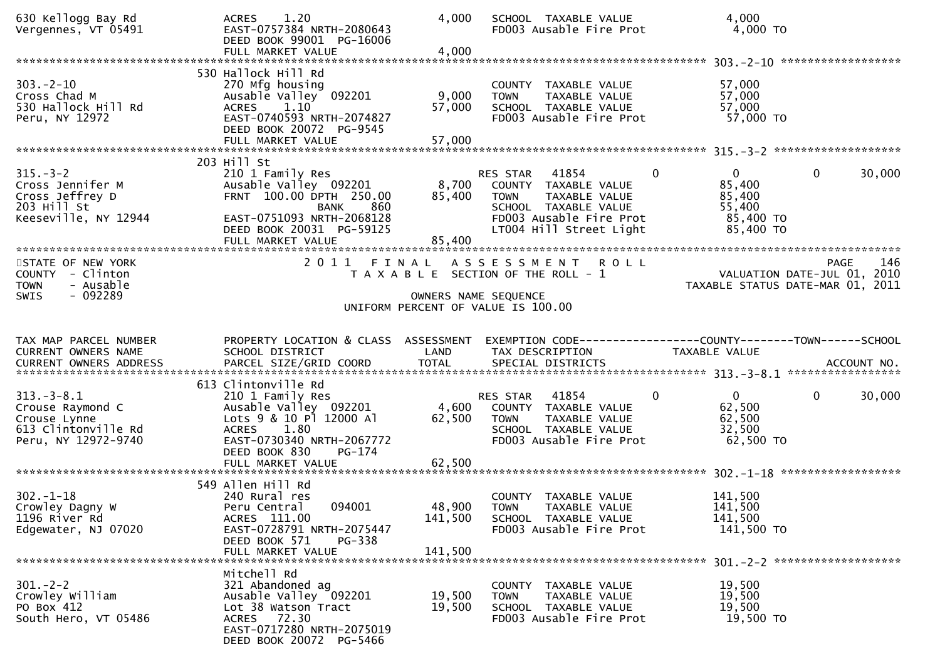| 630 Kellogg Bay Rd<br>Vergennes, VT 05491                                                      | 1.20<br><b>ACRES</b><br>EAST-0757384 NRTH-2080643<br>DEED BOOK 99001 PG-16006<br>FULL MARKET VALUE                                                                                      | 4,000<br>4,000               | SCHOOL TAXABLE VALUE<br>FD003 Ausable Fire Prot                                                                                                              | 4,000<br>$4,000$ TO                                                                    |                    |
|------------------------------------------------------------------------------------------------|-----------------------------------------------------------------------------------------------------------------------------------------------------------------------------------------|------------------------------|--------------------------------------------------------------------------------------------------------------------------------------------------------------|----------------------------------------------------------------------------------------|--------------------|
|                                                                                                |                                                                                                                                                                                         |                              |                                                                                                                                                              |                                                                                        |                    |
| $303 - 2 - 10$<br>Cross Chad M<br>530 Hallock Hill Rd<br>Peru, NY 12972                        | 530 Hallock Hill Rd<br>270 Mfg housing<br>Ausable Valley 092201<br>ACRES 1.10<br>EAST-0740593 NRTH-2074827<br>DEED BOOK 20072 PG-9545<br>FULL MARKET VALUE                              | 9,000<br>57,000<br>57,000    | COUNTY TAXABLE VALUE<br>TAXABLE VALUE<br><b>TOWN</b><br>SCHOOL TAXABLE VALUE<br>FD003 Ausable Fire Prot                                                      | 57,000<br>57,000<br>57,000<br>57,000 TO                                                |                    |
|                                                                                                |                                                                                                                                                                                         |                              |                                                                                                                                                              |                                                                                        |                    |
| $315. - 3 - 2$<br>Cross Jennifer M<br>Cross Jeffrey D<br>203 Hill St<br>Keeseville, NY 12944   | 203 Hill St<br>210 1 Family Res<br>Ausable Valley 092201<br>FRNT 100.00 DPTH 250.00<br>860<br><b>BANK</b><br>EAST-0751093 NRTH-2068128<br>DEED BOOK 20031 PG-59125<br>FULL MARKET VALUE | 8,700<br>85,400<br>85,400    | RES STAR<br>41854<br>0<br>COUNTY TAXABLE VALUE<br>TAXABLE VALUE<br><b>TOWN</b><br>SCHOOL TAXABLE VALUE<br>FD003 Ausable Fire Prot<br>LT004 Hill Street Light | $\overline{0}$<br>$\mathbf{0}$<br>85,400<br>85,400<br>55,400<br>85,400 TO<br>85,400 TO | 30,000             |
|                                                                                                |                                                                                                                                                                                         |                              |                                                                                                                                                              |                                                                                        |                    |
| STATE OF NEW YORK<br>COUNTY - Clinton<br>- Ausable<br><b>TOWN</b>                              |                                                                                                                                                                                         |                              | 2011 FINAL ASSESSMENT ROLL<br>T A X A B L E SECTION OF THE ROLL - 1                                                                                          | VALUATION DATE-JUL 01, 2010<br>TAXABLE STATUS DATE-MAR 01, 2011                        | 146<br><b>PAGE</b> |
| $-092289$<br>SWIS                                                                              |                                                                                                                                                                                         |                              | OWNERS NAME SEQUENCE<br>UNIFORM PERCENT OF VALUE IS 100.00                                                                                                   |                                                                                        |                    |
|                                                                                                |                                                                                                                                                                                         |                              |                                                                                                                                                              |                                                                                        |                    |
| TAX MAP PARCEL NUMBER<br>CURRENT OWNERS NAME                                                   | PROPERTY LOCATION & CLASS ASSESSMENT<br>SCHOOL DISTRICT                                                                                                                                 | LAND                         | EXEMPTION CODE------------------COUNTY--------TOWN------SCHOOL<br>TAX DESCRIPTION                                                                            | TAXABLE VALUE                                                                          |                    |
|                                                                                                | 613 Clintonville Rd                                                                                                                                                                     |                              |                                                                                                                                                              |                                                                                        |                    |
| $313.-3-8.1$<br>Crouse Raymond C<br>Crouse Lynne<br>613 Clintonville Rd<br>Peru, NY 12972-9740 | 210 1 Family Res<br>Ausable Valley 092201<br>Lots 9 & 10 Pl 12000 Al<br>1.80<br>ACRES<br>EAST-0730340 NRTH-2067772                                                                      | 4,600<br>62,500              | 41854<br>RES STAR<br>0<br>COUNTY TAXABLE VALUE<br><b>TOWN</b><br>TAXABLE VALUE<br>SCHOOL TAXABLE VALUE<br>FD003 Ausable Fire Prot                            | $\mathbf{0}$<br>$\mathbf 0$<br>62,500<br>62,500<br>32,500<br>62,500 TO                 | 30,000             |
|                                                                                                | DEED BOOK 830<br>PG-174                                                                                                                                                                 |                              |                                                                                                                                                              |                                                                                        |                    |
|                                                                                                | FULL MARKET VALUE                                                                                                                                                                       | 62,500                       |                                                                                                                                                              |                                                                                        |                    |
| $302 - 1 - 18$<br>Crowley Dagny W<br>1196 River Rd<br>Edgewater, NJ 07020                      | 549 Allen Hill Rd<br>240 Rural res<br>094001<br>Peru Central<br>ACRES 111.00<br>EAST-0728791 NRTH-2075447<br>DEED BOOK 571<br>PG-338<br>FULL MARKET VALUE                               | 48,900<br>141,500<br>141,500 | COUNTY TAXABLE VALUE<br><b>TOWN</b><br>TAXABLE VALUE<br>SCHOOL TAXABLE VALUE<br>FD003 Ausable Fire Prot                                                      | 141,500<br>141,500<br>141,500<br>141,500 TO                                            |                    |
|                                                                                                | Mitchell Rd                                                                                                                                                                             |                              |                                                                                                                                                              |                                                                                        |                    |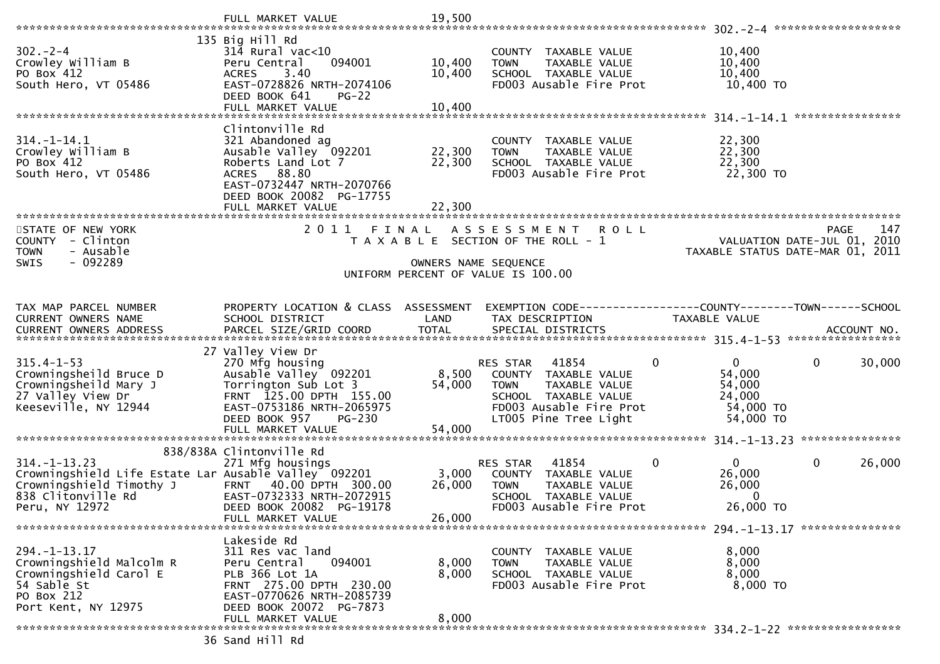|                                                      | FULL MARKET VALUE                            | 19,500               |                                                              |                                  |                             |
|------------------------------------------------------|----------------------------------------------|----------------------|--------------------------------------------------------------|----------------------------------|-----------------------------|
| $302 - 2 - 4$                                        | 135 Big Hill Rd<br>$314$ Rural vac<10        |                      | COUNTY TAXABLE VALUE                                         | 10,400                           |                             |
| Crowley William B                                    | Peru Central<br>094001                       | 10,400               | TAXABLE VALUE<br><b>TOWN</b>                                 | 10,400                           |                             |
| PO Box 412                                           | 3.40<br><b>ACRES</b>                         | 10,400               | SCHOOL TAXABLE VALUE                                         | 10,400                           |                             |
| South Hero, VT 05486                                 | EAST-0728826 NRTH-2074106                    |                      | FD003 Ausable Fire Prot                                      | 10,400 TO                        |                             |
|                                                      | DEED BOOK 641<br>$PG-22$                     |                      |                                                              |                                  |                             |
|                                                      | FULL MARKET VALUE                            | 10,400               |                                                              |                                  |                             |
|                                                      | Clintonville Rd                              |                      |                                                              |                                  |                             |
| $314. - 1 - 14.1$                                    | 321 Abandoned ag                             |                      | COUNTY TAXABLE VALUE                                         | 22,300                           |                             |
| Crowley William B                                    | Ausable Valley 092201                        | 22,300               | TAXABLE VALUE<br><b>TOWN</b>                                 | 22,300                           |                             |
| PO Box 412                                           | Roberts Land Lot 7                           | 22,300               | SCHOOL TAXABLE VALUE                                         | 22,300                           |                             |
| South Hero, VT 05486                                 | ACRES 88.80                                  |                      | FD003 Ausable Fire Prot                                      | 22,300 TO                        |                             |
|                                                      | EAST-0732447 NRTH-2070766                    |                      |                                                              |                                  |                             |
|                                                      | DEED BOOK 20082 PG-17755                     |                      |                                                              |                                  |                             |
|                                                      | FULL MARKET VALUE                            | 22,300               |                                                              |                                  |                             |
|                                                      |                                              |                      |                                                              |                                  |                             |
| STATE OF NEW YORK                                    | 2011 FINAL                                   |                      | A S S E S S M E N T<br><b>ROLL</b>                           |                                  | 147<br>PAGE                 |
| - Clinton<br><b>COUNTY</b>                           |                                              |                      | T A X A B L E SECTION OF THE ROLL - 1                        |                                  | VALUATION DATE-JUL 01, 2010 |
| - Ausable<br><b>TOWN</b>                             |                                              |                      |                                                              | TAXABLE STATUS DATE-MAR 01, 2011 |                             |
| $-092289$<br><b>SWIS</b>                             |                                              | OWNERS NAME SEQUENCE | UNIFORM PERCENT OF VALUE IS 100.00                           |                                  |                             |
|                                                      |                                              |                      |                                                              |                                  |                             |
|                                                      |                                              |                      |                                                              |                                  |                             |
| TAX MAP PARCEL NUMBER                                | PROPERTY LOCATION & CLASS ASSESSMENT         |                      | EXEMPTION CODE-----------------COUNTY-------TOWN------SCHOOL |                                  |                             |
| <b>CURRENT OWNERS NAME</b>                           | SCHOOL DISTRICT                              | LAND                 | TAX DESCRIPTION                                              | TAXABLE VALUE                    |                             |
|                                                      |                                              |                      |                                                              |                                  |                             |
|                                                      |                                              |                      |                                                              |                                  |                             |
| $315.4 - 1 - 53$                                     | 27 Valley View Dr<br>270 Mfg housing         |                      | 41854<br>0                                                   | $\mathbf{0}$                     | $\mathbf{0}$<br>30,000      |
| Crowningsheild Bruce D                               | Ausable Valley 092201                        | 8,500                | RES STAR<br>COUNTY TAXABLE VALUE                             | 54,000                           |                             |
| Crowningsheild Mary J                                | Torrington Sub Lot 3                         | 54,000               | TAXABLE VALUE<br><b>TOWN</b>                                 | 54,000                           |                             |
| 27 Valley View Dr                                    | FRNT 125.00 DPTH 155.00                      |                      | SCHOOL TAXABLE VALUE                                         | 24,000                           |                             |
| Keeseville, NY 12944                                 | EAST-0753186 NRTH-2065975                    |                      | FD003 Ausable Fire Prot                                      | 54,000 TO                        |                             |
|                                                      | DEED BOOK 957<br>$PG-230$                    |                      | LT005 Pine Tree Light                                        | 54,000 TO                        |                             |
|                                                      | FULL MARKET VALUE                            | 54,000               |                                                              |                                  |                             |
|                                                      |                                              |                      |                                                              |                                  |                             |
|                                                      | 838/838A Clintonville Rd                     |                      |                                                              |                                  |                             |
| $314. - 1 - 13.23$                                   | 271 Mfg housings                             |                      | 41854<br>0<br><b>RES STAR</b>                                | 0                                | $\mathbf{0}$<br>26,000      |
| Crowningshield Life Estate Lar Ausable Valley 092201 | FRNT 40.00 DPTH 300.00                       | 3,000                | COUNTY TAXABLE VALUE                                         | 26,000                           |                             |
| Crowningshield Timothy J<br>838 Clitonville Rd       | EAST-0732333 NRTH-2072915                    | 26,000               | TAXABLE VALUE<br><b>TOWN</b><br>SCHOOL TAXABLE VALUE         | 26,000<br>$\Omega$               |                             |
| Peru, NY 12972                                       | DEED BOOK 20082 PG-19178                     |                      | FD003 Ausable Fire Prot                                      | 26,000 TO                        |                             |
|                                                      | FULL MARKET VALUE                            | 26,000               |                                                              |                                  |                             |
|                                                      |                                              |                      |                                                              |                                  |                             |
|                                                      | Lakeside Rd                                  |                      |                                                              |                                  |                             |
| $294. - 1 - 13.17$                                   | 311 Res vac land                             |                      | COUNTY<br>TAXABLE VALUE                                      | 8,000                            |                             |
| Crowningshield Malcolm R                             | 094001<br>Peru Central                       | 8,000                | <b>TOWN</b><br><b>TAXABLE VALUE</b>                          | 8,000                            |                             |
| Crowningshield Carol E                               | PLB 366 Lot 1A                               | 8,000                | SCHOOL TAXABLE VALUE                                         | 8,000                            |                             |
| 54 Sable St                                          | FRNT 275.00 DPTH 230.00                      |                      | FD003 Ausable Fire Prot                                      | 8,000 TO                         |                             |
| PO Box 212                                           | EAST-0770626 NRTH-2085739                    |                      |                                                              |                                  |                             |
| Port Kent, NY 12975                                  | DEED BOOK 20072 PG-7873<br>FULL MARKET VALUE | 8,000                |                                                              |                                  |                             |
|                                                      |                                              |                      |                                                              |                                  |                             |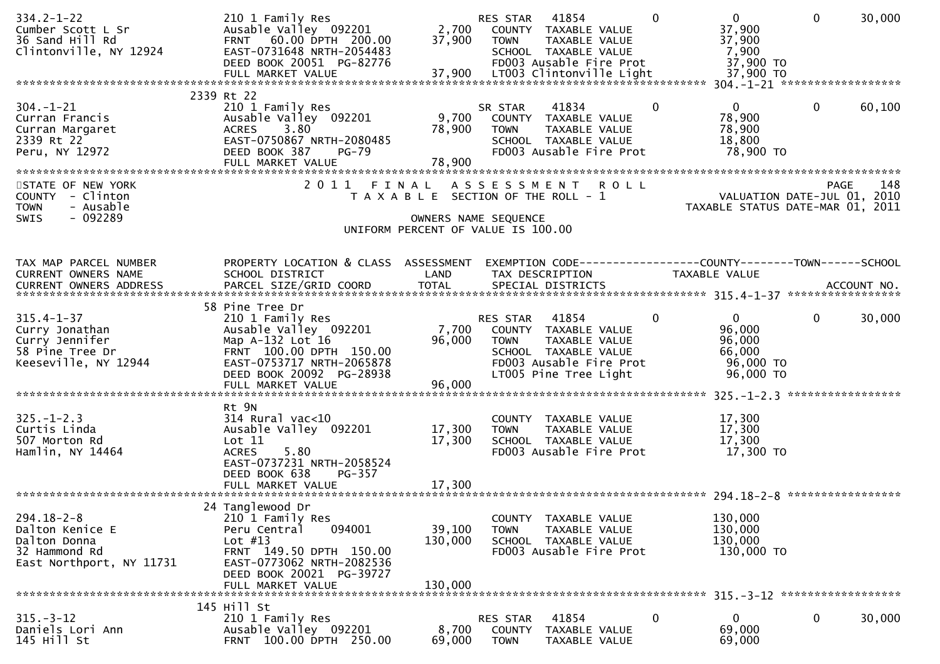| $334.2 - 1 - 22$<br>Cumber Scott L Sr<br>36 Sand Hill Rd<br>Clintonville, NY 12924               | 210 1 Family Res<br>Ausable Valley 092201<br>FRNT 60.00 DPTH 200.00<br>EAST-0731648 NRTH-2054483<br>DEED BOOK 20051 PG-82776                                                              | 2,700<br>37,900                                                        | RES STAR<br><b>TOWN</b>                  | 41854<br>COUNTY TAXABLE VALUE<br>TAXABLE VALUE<br>SCHOOL TAXABLE VALUE<br>FD003 Ausable Fire Prot                          |             | $\Omega$     | $\mathbf{0}$<br>37,900<br>37,900<br>7,900<br>37,900 TO                         | $\mathbf 0$  | 30,000            |
|--------------------------------------------------------------------------------------------------|-------------------------------------------------------------------------------------------------------------------------------------------------------------------------------------------|------------------------------------------------------------------------|------------------------------------------|----------------------------------------------------------------------------------------------------------------------------|-------------|--------------|--------------------------------------------------------------------------------|--------------|-------------------|
|                                                                                                  | 2339 Rt 22                                                                                                                                                                                |                                                                        |                                          |                                                                                                                            |             |              |                                                                                |              |                   |
| $304. - 1 - 21$<br>Curran Francis<br>Curran Margaret<br>2339 Rt 22<br>Peru, NY 12972             | 210 1 Family Res<br>Ausable Valley 092201<br>3.80<br><b>ACRES</b><br>EAST-0750867 NRTH-2080485<br>DEED BOOK 387<br><b>PG-79</b><br>FULL MARKET VALUE                                      | 9,700<br>78,900<br>78,900                                              | SR STAR<br><b>TOWN</b>                   | 41834<br>COUNTY TAXABLE VALUE<br>TAXABLE VALUE<br>SCHOOL TAXABLE VALUE<br>FD003 Ausable Fire Prot                          |             | $\mathbf{0}$ | $\overline{0}$<br>78,900<br>78,900<br>18,800<br>78,900 TO                      | 0            | 60,100            |
| STATE OF NEW YORK<br>COUNTY - Clinton<br>- Ausable<br><b>TOWN</b><br>$-092289$<br>SWIS           | 2011                                                                                                                                                                                      | FINAL<br>T A X A B L E SECTION OF THE ROLL - 1<br>OWNERS NAME SEQUENCE | A S S E S S M E N T                      |                                                                                                                            | <b>ROLL</b> |              | VALUATION DATE-JUL 01, 2010<br>TAXABLE STATUS DATE-MAR 01, 2011                |              | 148<br>PAGE       |
|                                                                                                  |                                                                                                                                                                                           | UNIFORM PERCENT OF VALUE IS 100.00                                     |                                          |                                                                                                                            |             |              |                                                                                |              |                   |
| TAX MAP PARCEL NUMBER<br>CURRENT OWNERS NAME                                                     | PROPERTY LOCATION & CLASS ASSESSMENT<br>SCHOOL DISTRICT                                                                                                                                   | LAND                                                                   |                                          | TAX DESCRIPTION                                                                                                            |             |              | EXEMPTION CODE-----------------COUNTY--------TOWN------SCHOOL<br>TAXABLE VALUE |              |                   |
|                                                                                                  |                                                                                                                                                                                           |                                                                        |                                          |                                                                                                                            |             |              |                                                                                |              |                   |
| $315.4 - 1 - 37$<br>Curry Jonathan<br>Curry Jennifer<br>58 Pine Tree Dr<br>Keeseville, NY 12944  | 58 Pine Tree Dr<br>210 1 Family Res<br>Ausable Valley 092201<br>Map A-132 Lot 16<br>FRNT 100.00 DPTH 150.00<br>EAST-0753717 NRTH-2065878<br>DEED BOOK 20092 PG-28938<br>FULL MARKET VALUE | 7,700<br>96,000<br>96,000                                              | RES STAR<br><b>TOWN</b>                  | 41854<br>COUNTY TAXABLE VALUE<br>TAXABLE VALUE<br>SCHOOL TAXABLE VALUE<br>FD003 Ausable Fire Prot<br>LT005 Pine Tree Light |             | 0            | $\overline{0}$<br>96,000<br>96,000<br>66,000<br>96,000 TO<br>96,000 TO         | $\mathbf{0}$ | 30,000            |
|                                                                                                  |                                                                                                                                                                                           |                                                                        |                                          |                                                                                                                            |             |              |                                                                                |              | ***************** |
| $325. - 1 - 2.3$<br>Curtis Linda<br>507 Morton Rd<br>Hamlin, NY 14464                            | Rt 9N<br>$314$ Rural vac<10<br>Ausable Valley 092201<br>Lot 11<br><b>ACRES</b><br>5.80<br>EAST-0737231 NRTH-2058524<br>DEED BOOK 638<br>PG-357                                            | 17,300<br>17,300                                                       | <b>TOWN</b>                              | COUNTY TAXABLE VALUE<br>TAXABLE VALUE<br>SCHOOL TAXABLE VALUE<br>FD003 Ausable Fire Prot                                   |             |              | 17,300<br>17,300<br>17,300<br>17,300 TO                                        |              |                   |
|                                                                                                  | FULL MARKET VALUE                                                                                                                                                                         | 17,300                                                                 |                                          |                                                                                                                            |             |              |                                                                                |              |                   |
|                                                                                                  |                                                                                                                                                                                           |                                                                        |                                          |                                                                                                                            |             |              |                                                                                |              |                   |
| $294.18 - 2 - 8$<br>Dalton Kenice E<br>Dalton Donna<br>32 Hammond Rd<br>East Northport, NY 11731 | 24 Tanglewood Dr<br>210 1 Family Res<br>094001<br>Peru Central<br>Lot $#13$<br>FRNT 149.50 DPTH 150.00<br>EAST-0773062 NRTH-2082536<br>DEED BOOK 20021 PG-39727<br>FULL MARKET VALUE      | 39,100<br>130,000<br>130,000                                           | <b>TOWN</b>                              | COUNTY TAXABLE VALUE<br>TAXABLE VALUE<br>SCHOOL TAXABLE VALUE<br>FD003 Ausable Fire Prot                                   |             |              | 130,000<br>130,000<br>130,000<br>130,000 TO                                    |              |                   |
|                                                                                                  |                                                                                                                                                                                           |                                                                        |                                          |                                                                                                                            |             |              |                                                                                |              |                   |
| $315 - 3 - 12$<br>Daniels Lori Ann<br>145 Hill St                                                | 145 Hill St<br>210 1 Family Res<br>Ausable Valley 092201<br>FRNT 100.00 DPTH 250.00                                                                                                       | 8,700<br>69,000                                                        | RES STAR<br><b>COUNTY</b><br><b>TOWN</b> | 41854<br>TAXABLE VALUE<br>TAXABLE VALUE                                                                                    |             | 0            | 0<br>69,000<br>69,000                                                          | 0            | 30,000            |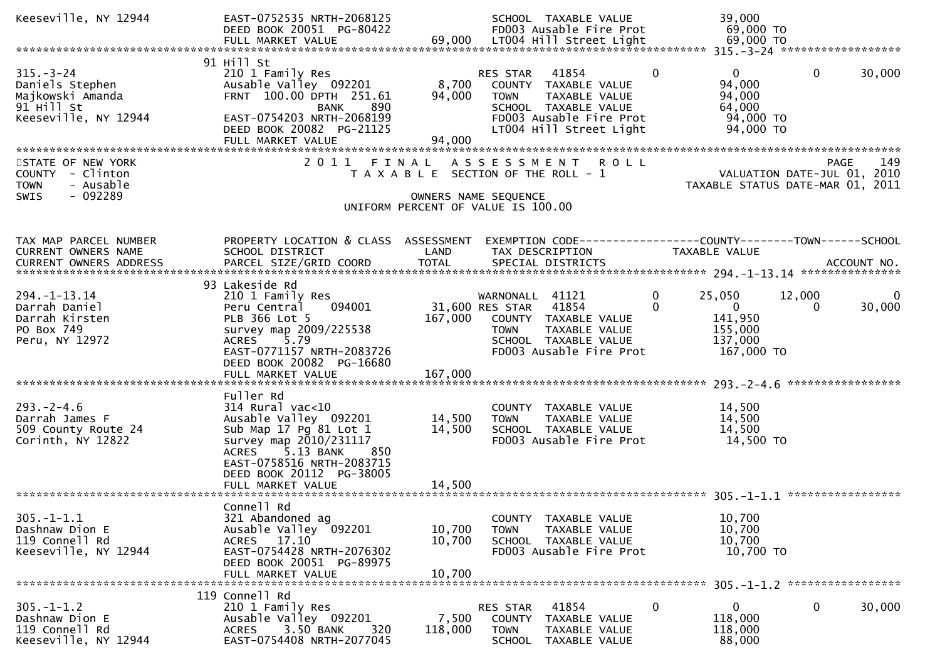| Keeseville, NY 12944                                                                         | EAST-0752535 NRTH-2068125<br>DEED BOOK 20051 PG-80422                                                                                                                                                         |                                                                                                     |                                                   | SCHOOL TAXABLE VALUE<br>FD003 Ausable Fire Prot                                                                              |                      | 39,000<br>69,000 TO                                                     |              |                    |
|----------------------------------------------------------------------------------------------|---------------------------------------------------------------------------------------------------------------------------------------------------------------------------------------------------------------|-----------------------------------------------------------------------------------------------------|---------------------------------------------------|------------------------------------------------------------------------------------------------------------------------------|----------------------|-------------------------------------------------------------------------|--------------|--------------------|
|                                                                                              |                                                                                                                                                                                                               |                                                                                                     |                                                   |                                                                                                                              |                      |                                                                         |              |                    |
| $315. - 3 - 24$<br>Daniels Stephen<br>Majkowski Amanda<br>91 Hill St<br>Keeseville, NY 12944 | 91 Hill St<br>210 1 Family Res<br>Ausable Valley 092201<br>FRNT 100.00 DPTH 251.61<br>890<br><b>BANK</b><br>EAST-0754203 NRTH-2068199<br>DEED BOOK 20082 PG-21125<br>FULL MARKET VALUE                        | 8,700<br>94,000<br>94,000                                                                           | RES STAR<br><b>TOWN</b>                           | 41854<br>COUNTY TAXABLE VALUE<br>TAXABLE VALUE<br>SCHOOL TAXABLE VALUE<br>FD003 Ausable Fire Prot<br>LT004 Hill Street Light | $\Omega$             | $\mathbf{0}$<br>94,000<br>94,000<br>64,000<br>94,000 TO<br>94,000 TO    | $\mathbf{0}$ | 30,000             |
| STATE OF NEW YORK<br>COUNTY - Clinton<br>- Ausable<br><b>TOWN</b><br>$-092289$<br>SWIS       |                                                                                                                                                                                                               | T A X A B L E SECTION OF THE ROLL - 1<br>OWNERS NAME SEQUENCE<br>UNIFORM PERCENT OF VALUE IS 100.00 |                                                   | 2011 FINAL ASSESSMENT ROLL                                                                                                   |                      | VALUATION DATE-JUL 01, 2010<br>TAXABLE STATUS DATE-MAR 01, 2011         | PAGE         | 149                |
| TAX MAP PARCEL NUMBER<br>CURRENT OWNERS NAME                                                 | PROPERTY LOCATION & CLASS ASSESSMENT<br>SCHOOL DISTRICT                                                                                                                                                       | LAND                                                                                                |                                                   | EXEMPTION CODE-----------------COUNTY-------TOWN------SCHOOL<br>TAX DESCRIPTION                                              |                      | <b>TAXABLE VALUE</b>                                                    |              |                    |
| $294. - 1 - 13.14$<br>Darrah Daniel<br>Darrah Kirsten<br>PO Box 749<br>Peru, NY 12972        | 93 Lakeside Rd<br>210 1 Family Res<br>094001<br>Peru Central<br>PLB 366 Lot 5<br>survey map 2009/225538<br>5.79<br><b>ACRES</b><br>EAST-0771157 NRTH-2083726<br>DEED BOOK 20082 PG-16680<br>FULL MARKET VALUE | 167,000                                                                                             | WARNONALL 41121<br>31,600 RES STAR<br><b>TOWN</b> | 41854<br>167,000 COUNTY TAXABLE VALUE<br>TAXABLE VALUE<br>SCHOOL TAXABLE VALUE<br>FD003 Ausable Fire Prot                    | $\Omega$<br>$\Omega$ | 25,050<br>$\overline{0}$<br>141,950<br>155,000<br>137,000<br>167,000 TO | 12,000<br>0  | $\Omega$<br>30,000 |
| $293. - 2 - 4.6$<br>Darrah James F<br>509 County Route 24<br>Corinth, NY 12822               | Fuller Rd<br>$314$ Rural vac< $10$<br>Ausable Valley 092201<br>Sub Map 17 Pg 81 Lot 1<br>survey map 2010/231117<br>ACRES 5.13 BANK<br>850<br>EAST-0758516 NRTH-2083715<br>DEED BOOK 20112 PG-38005            | 14,500<br>14,500                                                                                    | <b>TOWN</b>                                       | COUNTY TAXABLE VALUE<br>TAXABLE VALUE<br>SCHOOL TAXABLE VALUE<br>FD003 Ausable Fire Prot                                     |                      | 14,500<br>14,500<br>14,500<br>14,500 TO                                 |              |                    |
| $305. - 1 - 1.1$<br>Dashnaw Dion E<br>119 Connell Rd<br>Keeseville, NY 12944                 | Connell Rd<br>321 Abandoned ag<br>Ausable Valley 092201<br>ACRES 17.10<br>EAST-0754428 NRTH-2076302<br>DEED BOOK 20051 PG-89975<br>FULL MARKET VALUE                                                          | 10,700<br>10,700<br>10,700                                                                          | <b>TOWN</b>                                       | COUNTY TAXABLE VALUE<br>TAXABLE VALUE<br>SCHOOL TAXABLE VALUE<br>FD003 Ausable Fire Prot                                     |                      | 10,700<br>10,700<br>10,700<br>10,700 TO                                 |              |                    |
| $305. - 1 - 1.2$<br>Dashnaw Dion E<br>119 Connell Rd<br>Keeseville, NY 12944                 | 119 Connell Rd<br>210 1 Family Res<br>Ausable Valley 092201<br>3.50 BANK<br>320<br><b>ACRES</b><br>EAST-0754408 NRTH-2077045                                                                                  | 7,500<br>118,000                                                                                    | RES STAR<br><b>COUNTY</b><br><b>TOWN</b>          | 41854<br>TAXABLE VALUE<br>TAXABLE VALUE<br>SCHOOL TAXABLE VALUE                                                              | 0                    | 0<br>118,000<br>118,000<br>88,000                                       | 0            | 30,000             |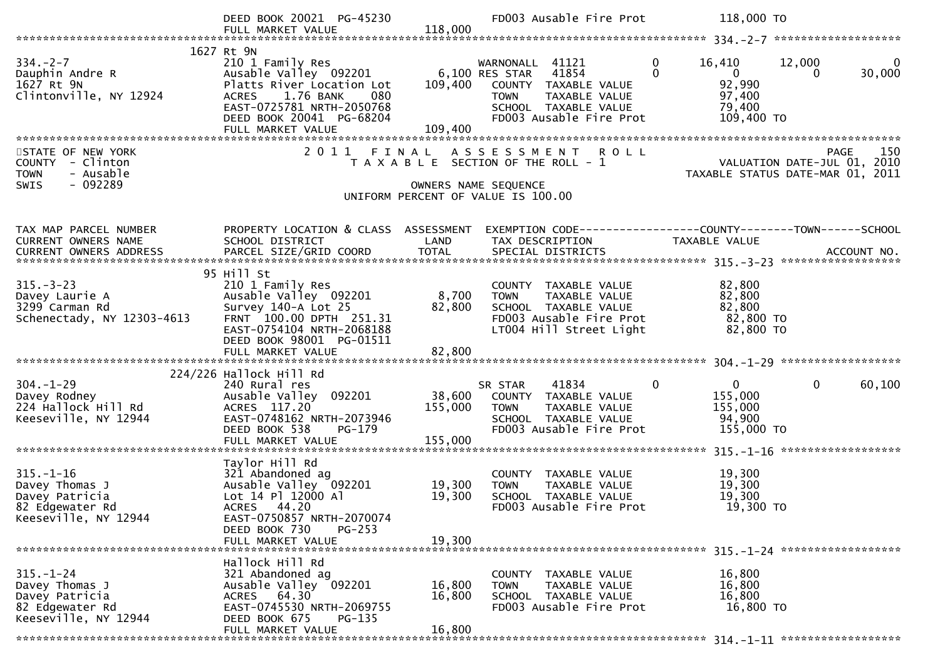|                                                      | DEED BOOK 20021 PG-45230                              |                      | FD003 Ausable Fire Prot                                    | 118,000 TO                                                                                                                                                                                                                                                                                                                                                                           |
|------------------------------------------------------|-------------------------------------------------------|----------------------|------------------------------------------------------------|--------------------------------------------------------------------------------------------------------------------------------------------------------------------------------------------------------------------------------------------------------------------------------------------------------------------------------------------------------------------------------------|
|                                                      | FULL MARKET VALUE                                     | 118,000              |                                                            |                                                                                                                                                                                                                                                                                                                                                                                      |
|                                                      | 1627 Rt 9N                                            |                      |                                                            |                                                                                                                                                                                                                                                                                                                                                                                      |
| $334. - 2 - 7$                                       | 210 1 Family Res                                      |                      | WARNONALL 41121<br><b>6,100 RES STAR</b><br>6,100 RES STAR | $\mathbf{0}$<br>12,000<br>16,410<br>0                                                                                                                                                                                                                                                                                                                                                |
| Dauphin Andre R<br>1627 Rt 9N                        | Ausable Valley 092201<br>Platts River Location Lot    |                      | 41854<br>COUNTY TAXABLE VALUE                              | $\Omega$<br>$\overline{0}$<br>30,000<br>$\Omega$<br>92,990                                                                                                                                                                                                                                                                                                                           |
| Clintonville, NY 12924                               | ACRES 1.76 BANK<br>080                                |                      | TAXABLE VALUE<br><b>TOWN</b>                               | 97,400                                                                                                                                                                                                                                                                                                                                                                               |
|                                                      | EAST-0725781 NRTH-2050768                             |                      | SCHOOL TAXABLE VALUE                                       | 79,400                                                                                                                                                                                                                                                                                                                                                                               |
|                                                      | DEED BOOK 20041 PG-68204                              |                      | FD003 Ausable Fire Prot                                    | 109,400 TO                                                                                                                                                                                                                                                                                                                                                                           |
|                                                      | FULL MARKET VALUE                                     | 109,400              |                                                            |                                                                                                                                                                                                                                                                                                                                                                                      |
| STATE OF NEW YORK                                    |                                                       |                      | 2011 FINAL ASSESSMENT ROLL                                 | 150<br><b>PAGE</b>                                                                                                                                                                                                                                                                                                                                                                   |
| COUNTY - Clinton                                     |                                                       |                      | T A X A B L E SECTION OF THE ROLL - 1                      | $\overline{C}$ $\overline{C}$ $\overline{C}$ $\overline{C}$ $\overline{C}$ $\overline{C}$ $\overline{C}$ $\overline{C}$ $\overline{C}$ $\overline{C}$ $\overline{C}$ $\overline{C}$ $\overline{C}$ $\overline{C}$ $\overline{C}$ $\overline{C}$ $\overline{C}$ $\overline{C}$ $\overline{C}$ $\overline{C}$ $\overline{C}$ $\overline{C}$ $\overline{C}$ $\overline{C}$ $\overline{$ |
| <b>TOWN</b><br>- Ausable<br>$-092289$<br><b>SWIS</b> |                                                       |                      |                                                            | TAXABLE STATUS DATE-MAR 01, 2011                                                                                                                                                                                                                                                                                                                                                     |
|                                                      |                                                       | OWNERS NAME SEQUENCE | UNIFORM PERCENT OF VALUE IS 100.00                         |                                                                                                                                                                                                                                                                                                                                                                                      |
|                                                      |                                                       |                      |                                                            |                                                                                                                                                                                                                                                                                                                                                                                      |
| TAX MAP PARCEL NUMBER                                | PROPERTY LOCATION & CLASS ASSESSMENT                  |                      |                                                            | EXEMPTION CODE-----------------COUNTY-------TOWN------SCHOOL                                                                                                                                                                                                                                                                                                                         |
| CURRENT OWNERS NAME                                  | SCHOOL DISTRICT                                       | LAND                 | TAX DESCRIPTION                                            | TAXABLE VALUE                                                                                                                                                                                                                                                                                                                                                                        |
|                                                      |                                                       |                      |                                                            |                                                                                                                                                                                                                                                                                                                                                                                      |
|                                                      |                                                       |                      |                                                            |                                                                                                                                                                                                                                                                                                                                                                                      |
| $315 - 3 - 23$                                       | 95 Hill St<br>210 1 Family Res                        |                      | COUNTY TAXABLE VALUE                                       | 82,800                                                                                                                                                                                                                                                                                                                                                                               |
| Davey Laurie A                                       | Ausable Valley 092201                                 | 8,700                | <b>TOWN</b><br>TAXABLE VALUE                               | 82,800                                                                                                                                                                                                                                                                                                                                                                               |
| 3299 Carman Rd                                       | Survey 140-A Lot 25                                   | 82,800               | SCHOOL TAXABLE VALUE                                       | 82,800                                                                                                                                                                                                                                                                                                                                                                               |
| Schenectady, NY 12303-4613                           | FRNT 100.00 DPTH 251.31                               |                      | FD003 Ausable Fire Prot                                    | 82,800 TO                                                                                                                                                                                                                                                                                                                                                                            |
|                                                      | EAST-0754104 NRTH-2068188<br>DEED BOOK 98001 PG-01511 |                      | LT004 Hill Street Light                                    | 82,800 TO                                                                                                                                                                                                                                                                                                                                                                            |
|                                                      |                                                       |                      |                                                            |                                                                                                                                                                                                                                                                                                                                                                                      |
|                                                      |                                                       |                      |                                                            |                                                                                                                                                                                                                                                                                                                                                                                      |
| $304. - 1 - 29$                                      | 224/226 Hallock Hill Rd<br>240 Rural res              |                      | 41834<br>SR STAR                                           | 0<br>$\mathbf 0$<br>$\mathbf{0}$<br>60,100                                                                                                                                                                                                                                                                                                                                           |
| Davey Rodney                                         | Ausable Valley 092201                                 | 38,600               | COUNTY TAXABLE VALUE                                       | 155,000                                                                                                                                                                                                                                                                                                                                                                              |
| 224 Hallock Hill Rd                                  | ACRES 117.20                                          | 155,000              | TAXABLE VALUE<br><b>TOWN</b>                               | 155,000                                                                                                                                                                                                                                                                                                                                                                              |
| Keeseville, NY 12944                                 | EAST-0748162 NRTH-2073946                             |                      | SCHOOL TAXABLE VALUE                                       | 94,900                                                                                                                                                                                                                                                                                                                                                                               |
|                                                      | DEED BOOK 538<br>PG-179<br>FULL MARKET VALUE          | 155,000              | FD003 Ausable Fire Prot                                    | 155,000 TO                                                                                                                                                                                                                                                                                                                                                                           |
|                                                      |                                                       |                      |                                                            |                                                                                                                                                                                                                                                                                                                                                                                      |
|                                                      | Taylor Hill Rd                                        |                      |                                                            |                                                                                                                                                                                                                                                                                                                                                                                      |
| $315. - 1 - 16$<br>Davey Thomas J                    | 321 Abandoned ag<br>Ausable Valley 092201             | 19,300               | COUNTY TAXABLE VALUE<br><b>TOWN</b><br>TAXABLE VALUE       | 19,300<br>19,300                                                                                                                                                                                                                                                                                                                                                                     |
| Davey Patricia                                       | Lot 14 Pl 12000 Al                                    | 19,300               | SCHOOL TAXABLE VALUE                                       | 19,300                                                                                                                                                                                                                                                                                                                                                                               |
| 82 Edgewater Rd                                      | ACRES 44.20                                           |                      | FD003 Ausable Fire Prot                                    | 19,300 TO                                                                                                                                                                                                                                                                                                                                                                            |
| Keeseville, NY 12944                                 | EAST-0750857 NRTH-2070074                             |                      |                                                            |                                                                                                                                                                                                                                                                                                                                                                                      |
|                                                      | DEED BOOK 730<br>$PG-253$<br>FULL MARKET VALUE        | 19,300               |                                                            |                                                                                                                                                                                                                                                                                                                                                                                      |
|                                                      |                                                       |                      |                                                            |                                                                                                                                                                                                                                                                                                                                                                                      |
|                                                      | Hallock Hill Rd                                       |                      |                                                            |                                                                                                                                                                                                                                                                                                                                                                                      |
| $315. - 1 - 24$<br>Davey Thomas J                    | 321 Abandoned ag<br>Ausable Valley 092201             | 16,800               | COUNTY TAXABLE VALUE<br>TAXABLE VALUE<br><b>TOWN</b>       | 16,800<br>16,800                                                                                                                                                                                                                                                                                                                                                                     |
| Davey Patricia                                       | ACRES 64.30                                           | 16,800               | SCHOOL TAXABLE VALUE                                       | 16,800                                                                                                                                                                                                                                                                                                                                                                               |
| 82 Edgewater Rd                                      | EAST-0745530 NRTH-2069755                             |                      | FD003 Ausable Fire Prot                                    | 16,800 TO                                                                                                                                                                                                                                                                                                                                                                            |
| Keeseville, NY 12944                                 | DEED BOOK 675<br>$PG-135$                             |                      |                                                            |                                                                                                                                                                                                                                                                                                                                                                                      |
|                                                      | FULL MARKET VALUE                                     | 16,800               |                                                            |                                                                                                                                                                                                                                                                                                                                                                                      |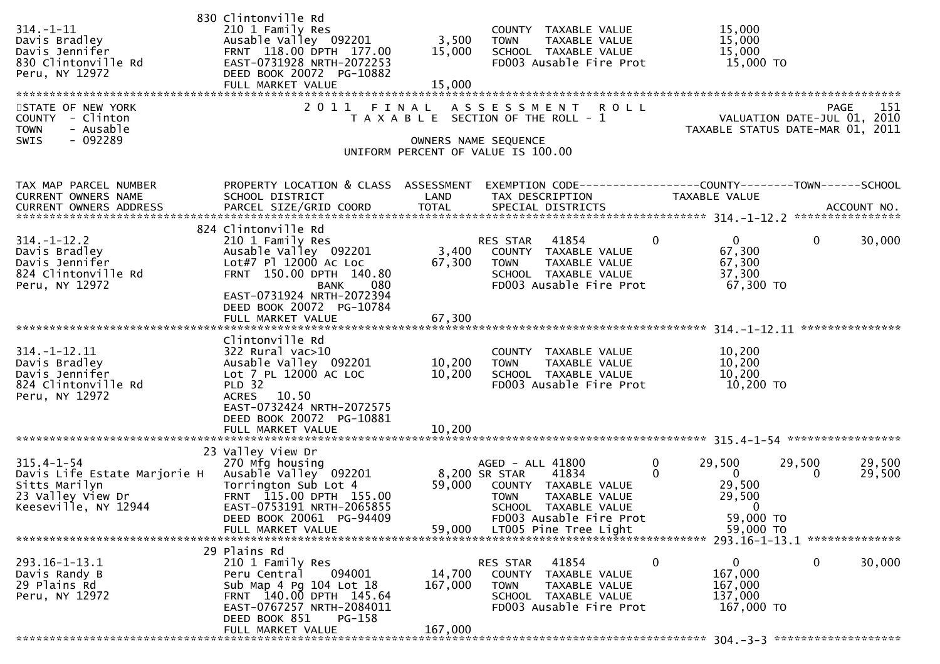| $314. - 1 - 11$<br>Davis Bradley<br>Davis Jennifer<br>830 Clintonville Rd<br>Peru, NY 12972                    | 830 Clintonville Rd<br>210 1 Family Res<br>Ausable Valley 092201<br>FRNT 118.00 DPTH 177.00<br>EAST-0731928 NRTH-2072253<br>DEED BOOK 20072 PG-10882<br>FULL MARKET VALUE                                                | 3,500<br>15,000<br>15,000            | COUNTY TAXABLE VALUE<br>TAXABLE VALUE<br><b>TOWN</b><br>SCHOOL TAXABLE VALUE<br>FD003 Ausable Fire Prot                                                                        | 15,000<br>15,000<br>15,000<br>15,000 TO                                                                                                    |     |
|----------------------------------------------------------------------------------------------------------------|--------------------------------------------------------------------------------------------------------------------------------------------------------------------------------------------------------------------------|--------------------------------------|--------------------------------------------------------------------------------------------------------------------------------------------------------------------------------|--------------------------------------------------------------------------------------------------------------------------------------------|-----|
| STATE OF NEW YORK<br>COUNTY - Clinton<br><b>TOWN</b><br>- Ausable<br>- 092289<br><b>SWIS</b>                   | 2011                                                                                                                                                                                                                     | FINAL                                | ASSESSMENT ROLL<br>T A X A B L E SECTION OF THE ROLL - 1<br>OWNERS NAME SEQUENCE<br>UNIFORM PERCENT OF VALUE IS 100.00                                                         | <b>PAGE</b><br>VALUATION DATE-JUL 01, 2010<br>TAXABLE STATUS DATE-MAR 01, 2011                                                             | 151 |
| TAX MAP PARCEL NUMBER<br>CURRENT OWNERS NAME<br>CURRENT OWNERS ADDRESS                                         | PROPERTY LOCATION & CLASS ASSESSMENT<br>SCHOOL DISTRICT                                                                                                                                                                  | LAND                                 | TAX DESCRIPTION                                                                                                                                                                | EXEMPTION CODE------------------COUNTY--------TOWN------SCHOOL<br>TAXABLE VALUE                                                            |     |
| $314. - 1 - 12.2$<br>Davis Bradley<br>Davis Jennifer<br>824 Clintonville Rd<br>Peru, NY 12972                  | 824 Clintonville Rd<br>210 1 Family Res<br>Ausable Valley 092201<br>Lot#7 Pl 12000 Ac Loc<br>FRNT 150.00 DPTH 140.80<br>080<br>BANK<br>EAST-0731924 NRTH-2072394<br>DEED BOOK 20072 PG-10784                             | 3,400<br>67,300                      | RES STAR<br>41854<br>COUNTY TAXABLE VALUE<br>TAXABLE VALUE<br>TOWN<br>SCHOOL TAXABLE VALUE<br>FD003 Ausable Fire Prot                                                          | $\mathbf 0$<br>$\mathbf{0}$<br>$\overline{0}$<br>30,000<br>67,300<br>67,300<br>37,300<br>67,300 TO                                         |     |
| $314. - 1 - 12.11$<br>Davis Bradley<br>Davis Jennifer<br>824 Clintonville Rd<br>Peru, NY 12972                 | FULL MARKET VALUE<br>Clintonville Rd<br>322 Rural vac>10<br>Ausable Valley 092201<br>Lot 7 PL 12000 AC LOC<br><b>PLD 32</b><br>ACRES 10.50<br>EAST-0732424 NRTH-2072575<br>DEED BOOK 20072 PG-10881<br>FULL MARKET VALUE | 67,300<br>10,200<br>10,200<br>10,200 | COUNTY TAXABLE VALUE<br><b>TOWN</b><br>TAXABLE VALUE<br>SCHOOL TAXABLE VALUE<br>FD003 Ausable Fire Prot                                                                        | 10,200<br>10,200<br>10,200<br>10,200 TO                                                                                                    |     |
| $315.4 - 1 - 54$<br>Davis Life Estate Marjorie H<br>Sitts Marilyn<br>23 Valley View Dr<br>Keeseville, NY 12944 | 23 Valley View Dr<br>270 Mfg housing<br>Ausable Valley 092201<br>Torrington Sub Lot 4<br>FRNT 115.00 DPTH 155.00<br>EAST-0753191 NRTH-2065855<br>DEED BOOK 20061 PG-94409<br>FULL MARKET VALUE                           | 59,000<br>59,000                     | AGED - ALL 41800<br>8,200 SR STAR<br>41834<br>COUNTY TAXABLE VALUE<br><b>TOWN</b><br>TAXABLE VALUE<br>SCHOOL TAXABLE VALUE<br>FD003 Ausable Fire Prot<br>LT005 Pine Tree Light | 0<br>29,500<br>29,500<br>29,500<br>$\Omega$<br>$\overline{0}$<br>29,500<br>0<br>29,500<br>29,500<br>$\mathbf{0}$<br>59,000 TO<br>59,000 TO |     |
| $293.16 - 1 - 13.1$<br>Davis Randy B<br>29 Plains Rd<br>Peru, NY 12972                                         | 29 Plains Rd<br>210 1 Family Res<br>094001<br>Peru Central<br>Sub Map 4 Pg 104 Lot 18<br>FRNT 140.00 DPTH 145.64<br>EAST-0767257 NRTH-2084011<br>DEED BOOK 851<br>PG-158<br>FULL MARKET VALUE                            | 14,700<br>167,000<br>167,000         | 41854<br>RES STAR<br>COUNTY TAXABLE VALUE<br>TAXABLE VALUE<br><b>TOWN</b><br>SCHOOL TAXABLE VALUE<br>FD003 Ausable Fire Prot                                                   | $\mathbf 0$<br>$\Omega$<br>$\mathbf 0$<br>30,000<br>167,000<br>167,000<br>137,000<br>167,000 TO                                            |     |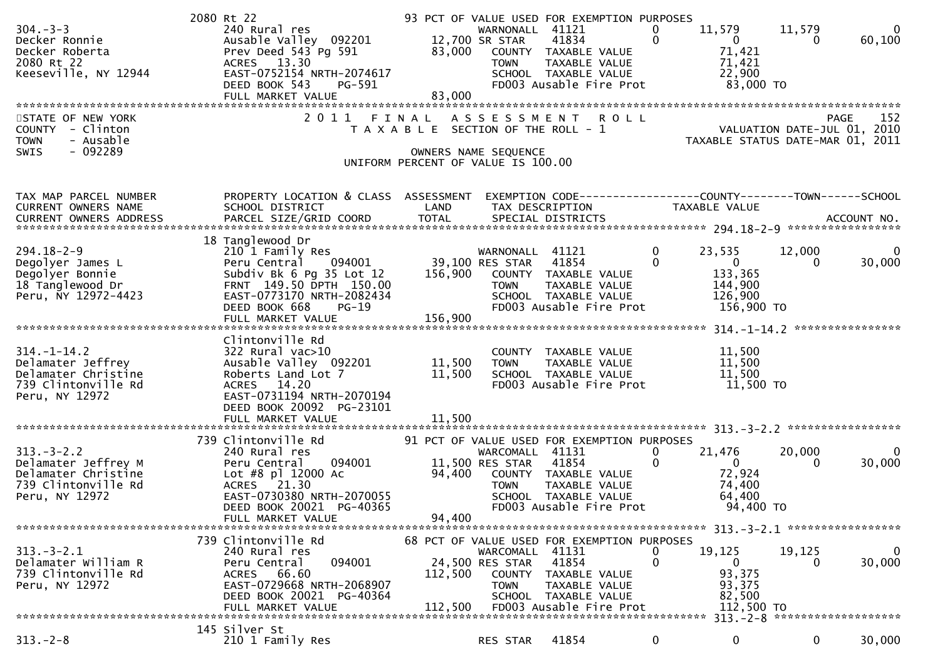| $304. - 3 - 3$<br>Decker Ronnie<br>Decker Roberta<br>2080 Rt 22<br>Keeseville, NY 12944<br>STATE OF NEW YORK<br>COUNTY - Clinton<br>- Ausable<br><b>TOWN</b><br>$-092289$<br><b>SWIS</b> | 2080 Rt 22<br>240 Rural res<br>Prev Deed 543 Pg 591 83,000 COUNTY TAXABLE VALUE<br>ACRES 13.30 TOWN TAXABLE VALUE<br>ACRES 13.30<br>EAST-0752154 NRTH-2074617<br>DC-591<br>DEED BOOK 543<br>PG-591<br>FULL MARKET VALUE<br>2 0 1 1 | 83,000                     | 93 PCT OF VALUE USED FOR EXEMPTION PURPOSES<br>WARNONALL 41121<br>41834<br>SCHOOL TAXABLE VALUE<br>FD003 Ausable Fire Prot<br>FINAL ASSESSMENT ROLL<br>T A X A B L E SECTION OF THE ROLL - 1<br>OWNERS NAME SEQUENCE<br>UNIFORM PERCENT OF VALUE IS 100.00 | 0<br>$\mathbf 0$            | 11,579<br>$\overline{0}$<br>71,421<br>71,421<br>22,900<br>83,000 TO<br>VALUATION DATE-JUL 01, 2010<br>VALUATION DATE-JUL 01, 2010<br>TAXABLE STATUS DATE-MAR 01, 2011 | 11,579<br>$\Omega$                  | - 0<br>60,100<br>152<br>PAGE |
|------------------------------------------------------------------------------------------------------------------------------------------------------------------------------------------|------------------------------------------------------------------------------------------------------------------------------------------------------------------------------------------------------------------------------------|----------------------------|------------------------------------------------------------------------------------------------------------------------------------------------------------------------------------------------------------------------------------------------------------|-----------------------------|-----------------------------------------------------------------------------------------------------------------------------------------------------------------------|-------------------------------------|------------------------------|
| TAX MAP PARCEL NUMBER<br>CURRENT OWNERS NAME                                                                                                                                             | PROPERTY LOCATION & CLASS ASSESSMENT<br>SCHOOL DISTRICT                                                                                                                                                                            | LAND                       | EXEMPTION CODE-----------------COUNTY-------TOWN------SCHOOL<br>TAX DESCRIPTION                                                                                                                                                                            |                             | TAXABLE VALUE                                                                                                                                                         |                                     |                              |
|                                                                                                                                                                                          |                                                                                                                                                                                                                                    |                            |                                                                                                                                                                                                                                                            |                             |                                                                                                                                                                       |                                     |                              |
| $294.18 - 2 - 9$<br>Degolyer James L<br>Degolyer Bonnie<br>18 Tanglewood Dr<br>Peru, NY 12972-4423                                                                                       | 18 Tanglewood Dr<br>210 1 Family Res<br>Peru Central 094001 39,100 RES STAR 41854<br>Subdiv Bk 6 Pg 35 Lot 12<br>FRNT 149.50 DPTH 150.00<br>EAST-0773170 NRTH-2082434<br>DEED BOOK 668<br>$PG-19$<br>FULL MARKET VALUE             | 156,900<br>156,900         | WARNONALL 41121<br>COUNTY TAXABLE VALUE<br><b>TOWN</b><br>TAXABLE VALUE<br>SCHOOL TAXABLE VALUE<br>FD003 Ausable Fire Prot                                                                                                                                 | $\mathbf 0$<br>$\mathbf{0}$ | 23,535<br>$\overline{0}$<br>133,365<br>144,900<br>126,900<br>156,900 то                                                                                               | 12,000                              | 0<br>30,000                  |
|                                                                                                                                                                                          | Clintonville Rd                                                                                                                                                                                                                    |                            |                                                                                                                                                                                                                                                            |                             |                                                                                                                                                                       |                                     |                              |
| $314. - 1 - 14.2$<br>Delamater Jeffrey<br>Delamater Christine<br>739 Clintonville Rd<br>Peru, NY 12972                                                                                   | 322 Rural vac>10<br>Ausable Valley 092201<br>Roberts Land Lot 7<br>ACRES 14.20<br>EAST-0731194 NRTH-2070194<br>DEED BOOK 20092 PG-23101<br>FULL MARKET VALUE                                                                       | 11,500<br>11,500<br>11,500 | COUNTY TAXABLE VALUE<br>TAXABLE VALUE<br>TOWN<br>SCHOOL TAXABLE VALUE<br>FD003 Ausable Fire Prot                                                                                                                                                           |                             | 11,500<br>11,500<br>11,500<br>11,500 TO                                                                                                                               |                                     |                              |
|                                                                                                                                                                                          | 739 Clintonville Rd                                                                                                                                                                                                                |                            | 91 PCT OF VALUE USED FOR EXEMPTION PURPOSES                                                                                                                                                                                                                |                             |                                                                                                                                                                       |                                     |                              |
| $313 - 3 - 2.2$<br>Delamater Jeffrey M<br>Delamater Christine<br>739 Clintonville Rd<br>Peru, NY 12972                                                                                   | 240 Rural res<br>094001<br>Peru Central<br>Lot #8 pl 12000 Ac<br>ACRES 21.30<br>EAST-0730380 NRTH-2070055<br>DEED BOOK 20021 PG-40365<br>DEED BOOK 20021 PG-40365                                                                  | 94,400                     | WARCOMALL 41131<br>11,500 RES STAR 41854<br>94,400 COUNTY TAXABLE VALUE<br>TAXABLE VALUE<br><b>TOWN</b><br>SCHOOL TAXABLE VALUE<br>FD003 Ausable Fire Prot                                                                                                 | $\mathbf{0}$<br>$\mathbf 0$ | 21,476<br>$\overline{\mathbf{0}}$<br>72,924<br>74,400<br>64,400<br>94,400 TO                                                                                          | 20,000                              | $\Omega$<br>30,000           |
|                                                                                                                                                                                          | FULL MARKET VALUE                                                                                                                                                                                                                  |                            |                                                                                                                                                                                                                                                            |                             |                                                                                                                                                                       |                                     |                              |
| $313 - 3 - 2.1$<br>Delamater William R<br>739 Clintonville Rd<br>Peru, NY 12972                                                                                                          | 739 Clintonville Rd<br>240 Rural res<br>094001<br>Peru Central<br>ACRES 66.60<br>EAST-0729668 NRTH-2068907<br>DEED BOOK 20021 PG-40364<br>FULL MARKET VALUE                                                                        | 112,500<br>112,500         | 68 PCT OF VALUE USED FOR EXEMPTION PURPOSES<br>WARCOMALL 41131<br>24,500 RES STAR<br>41854<br><b>COUNTY</b><br>TAXABLE VALUE<br>TAXABLE VALUE<br><b>TOWN</b><br>SCHOOL TAXABLE VALUE<br>FD003 Ausable Fire Prot                                            | U<br>0                      | 19,125<br>0<br>93,375<br>93,375<br>82,500<br>112,500 TO                                                                                                               | 19,125<br>0                         | 0<br>30,000                  |
|                                                                                                                                                                                          |                                                                                                                                                                                                                                    |                            |                                                                                                                                                                                                                                                            |                             |                                                                                                                                                                       | $313 - 2 - 8$ ********************* |                              |
| $313 - 2 - 8$                                                                                                                                                                            | 145 Silver St<br>210 1 Family Res                                                                                                                                                                                                  |                            | 41854<br>RES STAR                                                                                                                                                                                                                                          | 0                           | 0                                                                                                                                                                     | 0                                   | 30,000                       |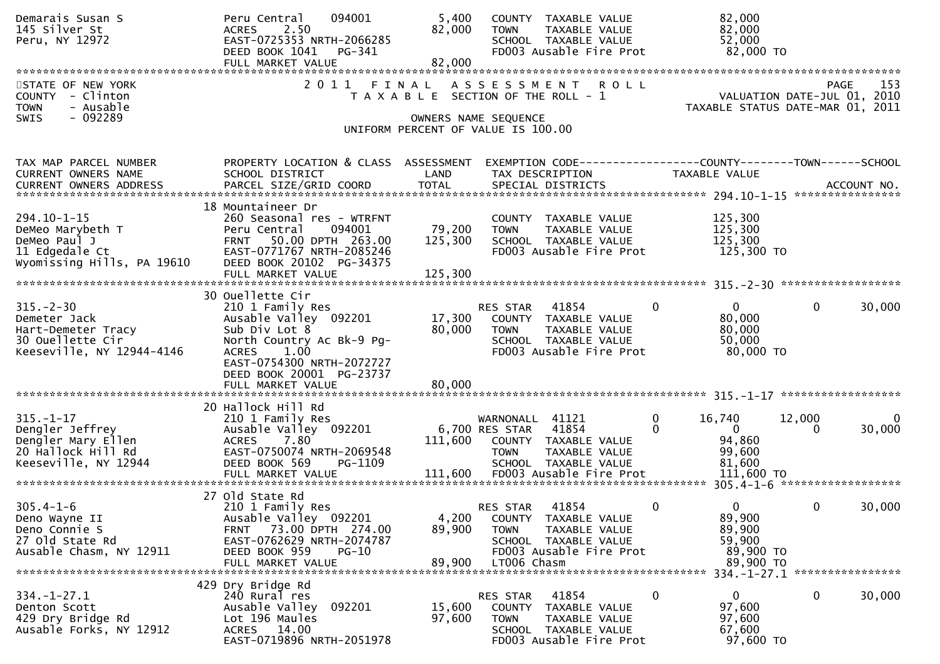| Demarais Susan S<br>145 Silver St<br>Peru, NY 12972                                                    | 094001<br>Peru Central<br>2.50<br><b>ACRES</b><br>EAST-0725353 NRTH-2066285<br>DEED BOOK 1041<br>PG-341<br>FULL MARKET VALUE                                                                                      | 5,400<br>82,000<br>82,000  | COUNTY TAXABLE VALUE<br>TAXABLE VALUE<br><b>TOWN</b><br>SCHOOL TAXABLE VALUE<br>FD003 Ausable Fire Prot                                     | 82,000<br>82,000<br>52,000<br>82,000 TO                                                             |                          |
|--------------------------------------------------------------------------------------------------------|-------------------------------------------------------------------------------------------------------------------------------------------------------------------------------------------------------------------|----------------------------|---------------------------------------------------------------------------------------------------------------------------------------------|-----------------------------------------------------------------------------------------------------|--------------------------|
| STATE OF NEW YORK<br>COUNTY - Clinton<br><b>TOWN</b><br>- Ausable<br>$-092289$<br>SWIS                 | 2011 FINAL                                                                                                                                                                                                        |                            | ASSESSMENT ROLL<br>T A X A B L E SECTION OF THE ROLL - 1<br>OWNERS NAME SEQUENCE<br>UNIFORM PERCENT OF VALUE IS 100.00                      | VALUATION DATE-JUL 01, 2010<br>TAXABLE STATUS DATE-MAR 01, 2011                                     | 153<br><b>PAGE</b>       |
| TAX MAP PARCEL NUMBER<br>CURRENT OWNERS NAME                                                           | PROPERTY LOCATION & CLASS ASSESSMENT<br>SCHOOL DISTRICT                                                                                                                                                           | LAND                       | TAX DESCRIPTION                                                                                                                             | EXEMPTION CODE-----------------COUNTY-------TOWN------SCHOOL<br>TAXABLE VALUE                       |                          |
| $294.10 - 1 - 15$<br>DeMeo Marybeth T<br>DeMeo Paul J<br>11 Edgedale Ct<br>Wyomissing Hills, PA 19610  | 18 Mountaineer Dr<br>260 Seasonal res - WTRFNT<br>094001<br>Peru Central<br>50.00 DPTH 263.00<br>FRNT<br>EAST-0771767 NRTH-2085246<br>DEED BOOK 20102 PG-34375                                                    | 79,200<br>125,300          | COUNTY TAXABLE VALUE<br><b>TOWN</b><br>TAXABLE VALUE<br>SCHOOL TAXABLE VALUE<br>FD003 Ausable Fire Prot                                     | 125,300<br>125,300<br>125,300<br>125,300 TO                                                         |                          |
| $315. - 2 - 30$<br>Demeter Jack<br>Hart-Demeter Tracy<br>30 Ouellette Cir<br>Keeseville, NY 12944-4146 | 30 Ouellette Cir<br>210 1 Family Res<br>Ausable Valley 092201<br>Sub Div Lot 8<br>North Country Ac Bk-9 Pg-<br><b>ACRES</b><br>1.00<br>EAST-0754300 NRTH-2072727<br>DEED BOOK 20001 PG-23737<br>FULL MARKET VALUE | 17,300<br>80,000<br>80,000 | 41854<br>RES STAR<br>COUNTY TAXABLE VALUE<br>TAXABLE VALUE<br><b>TOWN</b><br>SCHOOL TAXABLE VALUE<br>FD003 Ausable Fire Prot                | $\mathbf{0}$<br>$\Omega$<br>$\mathbf{0}$<br>80,000<br>80,000<br>50,000<br>80,000 TO                 | 30,000                   |
| $315. - 1 - 17$<br>Dengler Jeffrey<br>Dengler Mary Ellen<br>20 Hallock Hill Rd<br>Keeseville, NY 12944 | 20 Hallock Hill Rd<br>210 1 Family Res<br>Ausable Valley 092201<br><b>ACRES</b><br>7.80<br>EAST-0750074 NRTH-2069548<br>DEED BOOK 569<br>PG-1109                                                                  | 111,600                    | WARNONALL 41121<br>41854<br>6,700 RES STAR<br>COUNTY TAXABLE VALUE<br><b>TOWN</b><br>TAXABLE VALUE<br>SCHOOL TAXABLE VALUE                  | $\mathbf{0}$<br>16,740<br>12,000<br>$\mathbf{0}$<br>$\Omega$<br>0<br>94,860<br>99,600<br>81,600     | $\overline{0}$<br>30,000 |
| $305.4 - 1 - 6$<br>Deno Wayne II<br>Deno Connie S<br>27 old State Rd<br>Ausable Chasm, NY 12911        | 27 old State Rd<br>210 1 Family Res<br>Ausable Valley 092201<br>FRNT 73.00 DPTH 274.00<br>EAST-0762629 NRTH-2074787<br>DEED BOOK 959<br>PG-10<br>FULL MARKET VALUE                                                | 4,200<br>89,900<br>89,900  | 41854<br>RES STAR<br>COUNTY TAXABLE VALUE<br><b>TOWN</b><br>TAXABLE VALUE<br>SCHOOL TAXABLE VALUE<br>FD003 Ausable Fire Prot<br>LT006 Chasm | $\mathbf 0$<br>$\mathbf{0}$<br>$\mathbf{0}$<br>89,900<br>89,900<br>59,900<br>89,900 TO<br>89,900 TO | 30,000                   |
| $334. - 1 - 27.1$<br>Denton Scott<br>429 Dry Bridge Rd<br>Ausable Forks, NY 12912                      | 429 Dry Bridge Rd<br>240 Rural res<br>Ausable Valley<br>092201<br>Lot 196 Maules<br>ACRES 14.00<br>EAST-0719896 NRTH-2051978                                                                                      | 15,600<br>97,600           | 41854<br>RES STAR<br>COUNTY TAXABLE VALUE<br>TAXABLE VALUE<br><b>TOWN</b><br>SCHOOL TAXABLE VALUE<br>FD003 Ausable Fire Prot                | 0<br>0<br>0<br>97,600<br>97,600<br>67,600<br>97,600 TO                                              | 30,000                   |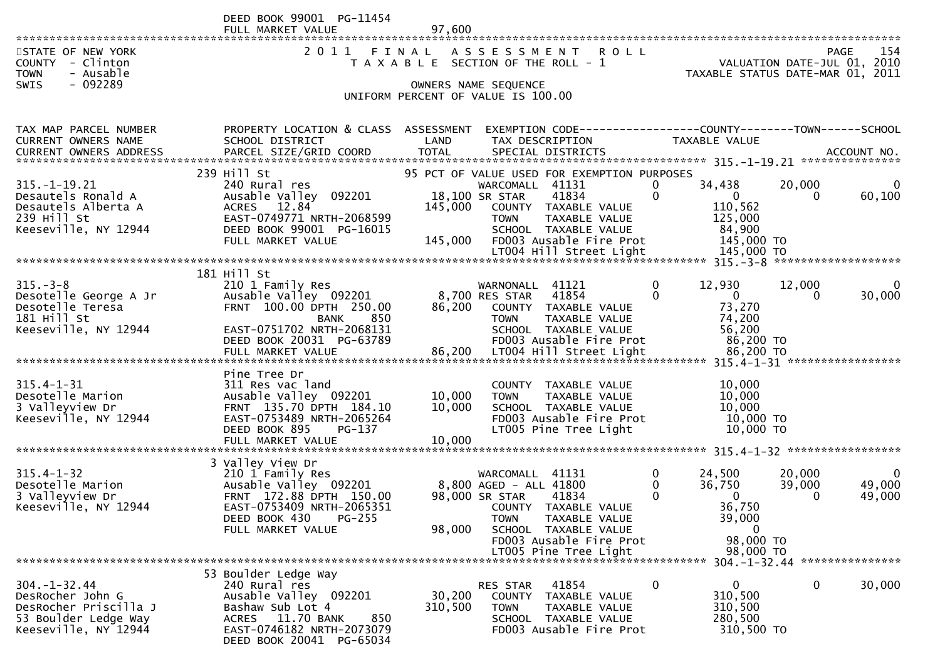|                                                                               | DEED BOOK 99001 PG-11454<br>FULL MARKET VALUE                                                                        | 97,600                                                     |                                   |                                                               |                     |                                  |                                 |                       |
|-------------------------------------------------------------------------------|----------------------------------------------------------------------------------------------------------------------|------------------------------------------------------------|-----------------------------------|---------------------------------------------------------------|---------------------|----------------------------------|---------------------------------|-----------------------|
| STATE OF NEW YORK<br>COUNTY - Clinton<br>- Ausable<br><b>TOWN</b>             | 2011 FINAL ASSESSMENT                                                                                                | T A X A B L E SECTION OF THE ROLL - 1                      |                                   | <b>ROLL</b>                                                   |                     | TAXABLE STATUS DATE-MAR 01, 2011 | VALUATION DATE-JUL 01, 2010     | 154<br><b>PAGE</b>    |
| $-092289$<br><b>SWIS</b>                                                      |                                                                                                                      | OWNERS NAME SEQUENCE<br>UNIFORM PERCENT OF VALUE IS 100.00 |                                   |                                                               |                     |                                  |                                 |                       |
| TAX MAP PARCEL NUMBER<br><b>CURRENT OWNERS NAME</b><br>CURRENT OWNERS ADDRESS | PROPERTY LOCATION & CLASS ASSESSMENT EXEMPTION CODE----------------COUNTY--------TOWN------SCHOOL<br>SCHOOL DISTRICT | LAND                                                       |                                   | TAX DESCRIPTION                                               |                     | TAXABLE VALUE                    |                                 |                       |
|                                                                               |                                                                                                                      |                                                            |                                   |                                                               |                     |                                  |                                 |                       |
| $315. - 1 - 19.21$<br>Desautels Ronald A                                      | 239 Hill St<br>240 Rural res<br>Ausable Valley 092201                                                                |                                                            | WARCOMALL 41131<br>18,100 SR STAR | 95 PCT OF VALUE USED FOR EXEMPTION PURPOSES<br>41834          | $\overline{0}$<br>0 | 34,438<br>$\overline{0}$         | 20,000<br>$\Omega$              | $\mathbf 0$<br>60,100 |
| Desautels Alberta A<br>239 Hill St<br>Keeseville, NY 12944                    | ACRES 12.84<br>EAST-0749771 NRTH-2068599<br>DEED BOOK 99001 PG-16015                                                 | 145,000                                                    | <b>TOWN</b>                       | COUNTY TAXABLE VALUE<br>TAXABLE VALUE<br>SCHOOL TAXABLE VALUE |                     | 110,562<br>125,000<br>84,900     |                                 |                       |
|                                                                               | FULL MARKET VALUE                                                                                                    |                                                            |                                   | 145,000 FD003 Ausable Fire Prot                               |                     | 145,000 TO                       |                                 |                       |
|                                                                               |                                                                                                                      |                                                            |                                   |                                                               |                     |                                  |                                 |                       |
|                                                                               | 181 Hill St                                                                                                          |                                                            |                                   |                                                               |                     |                                  |                                 |                       |
| $315. - 3 - 8$<br>Desotelle George A Jr                                       | 210 1 Family Res<br>Ausable Valley 092201 8,700 RES STAR                                                             |                                                            | WARNONALL 41121                   | 41854                                                         | 0<br>$\Omega$       | 12,930<br>$\overline{0}$         | 12,000<br>$\Omega$              | $\mathbf 0$<br>30,000 |
| Desotelle Teresa<br>181 Hill St                                               | FRNT 100.00 DPTH 250.00<br>850<br>BANK                                                                               | 86,200                                                     | <b>TOWN</b>                       | COUNTY TAXABLE VALUE<br>TAXABLE VALUE                         |                     | 73,270<br>74,200                 |                                 |                       |
| Keeseville, NY 12944                                                          | EAST-0751702 NRTH-2068131<br>DEED BOOK 20031 PG-63789                                                                |                                                            |                                   | SCHOOL TAXABLE VALUE<br>FD003 Ausable Fire Prot               |                     | 56,200<br>86,200 TO              |                                 |                       |
|                                                                               |                                                                                                                      |                                                            |                                   |                                                               |                     |                                  |                                 |                       |
|                                                                               | Pine Tree Dr                                                                                                         |                                                            |                                   |                                                               |                     |                                  |                                 |                       |
| $315.4 - 1 - 31$<br>Desotelle Marion                                          | 311 Res vac land<br>Ausable Valley 092201                                                                            | 10,000                                                     | <b>TOWN</b>                       | COUNTY TAXABLE VALUE<br>TAXABLE VALUE                         |                     | 10,000<br>10,000                 |                                 |                       |
| 3 Valleyview Dr                                                               | FRNT 135.70 DPTH 184.10                                                                                              | 10,000                                                     |                                   | SCHOOL TAXABLE VALUE                                          |                     | 10,000                           |                                 |                       |
| Keeseville, NY 12944                                                          | EAST-0753489 NRTH-2065264                                                                                            |                                                            |                                   | FD003 Ausable Fire Prot                                       |                     | 10,000 TO                        |                                 |                       |
|                                                                               | DEED BOOK 895<br>PG-137<br>FULL MARKET VALUE                                                                         | 10,000                                                     |                                   | LT005 Pine Tree Light                                         |                     | 10,000 TO                        |                                 |                       |
|                                                                               |                                                                                                                      |                                                            |                                   |                                                               |                     |                                  |                                 |                       |
| $315.4 - 1 - 32$                                                              | 3 Valley View Dr<br>210 1 Family Res                                                                                 |                                                            | WARCOMALL 41131                   |                                                               | $\mathbf{0}$        | 24,500                           | 20,000                          | $\mathbf 0$           |
| Desotelle Marion                                                              | Ausable Valley 092201                                                                                                |                                                            | 8,800 AGED - ALL 41800            |                                                               | 0                   | 36,750                           | 39,000                          | 49,000                |
| 3 Valleyview Dr                                                               | FRNT 172.88 DPTH 150.00                                                                                              |                                                            | 98,000 SR STAR                    | 41834                                                         | 0                   | $\Omega$                         | $\Omega$                        | 49,000                |
| Keeseville, NY 12944                                                          | EAST-0753409 NRTH-2065351<br>PG-255<br>DEED BOOK 430                                                                 |                                                            | <b>TOWN</b>                       | COUNTY TAXABLE VALUE<br>TAXABLE VALUE                         |                     | 36,750<br>39,000                 |                                 |                       |
|                                                                               | FULL MARKET VALUE                                                                                                    | 98,000                                                     |                                   | SCHOOL TAXABLE VALUE                                          |                     | 0                                |                                 |                       |
|                                                                               |                                                                                                                      |                                                            |                                   | FD003 Ausable Fire Prot<br>LT005 Pine Tree Light              |                     | 98,000 TO                        |                                 |                       |
|                                                                               |                                                                                                                      |                                                            |                                   |                                                               |                     | 98,000 TO                        | 304. -1-32. 44 **************** |                       |
|                                                                               | 53 Boulder Ledge Way                                                                                                 |                                                            |                                   |                                                               |                     |                                  |                                 |                       |
| $304. - 1 - 32.44$<br>DesRocher John G                                        | 240 Rural res<br>Ausable Valley 092201                                                                               | 30,200                                                     | RES STAR<br><b>COUNTY</b>         | 41854<br>TAXABLE VALUE                                        | $\mathbf 0$         | 0<br>310,500                     | 0                               | 30,000                |
| DesRocher Priscilla J                                                         | Bashaw Sub Lot 4                                                                                                     | 310,500                                                    | <b>TOWN</b>                       | TAXABLE VALUE                                                 |                     | 310,500                          |                                 |                       |
| 53 Boulder Ledge Way                                                          | 11.70 BANK<br>ACRES<br>850                                                                                           |                                                            |                                   | SCHOOL TAXABLE VALUE                                          |                     | 280,500                          |                                 |                       |
| Keeseville, NY 12944                                                          | EAST-0746182 NRTH-2073079<br>0.001220011                                                                             |                                                            |                                   | FD003 Ausable Fire Prot                                       |                     | 310,500 TO                       |                                 |                       |

DEED BOOK 20041 PG-65034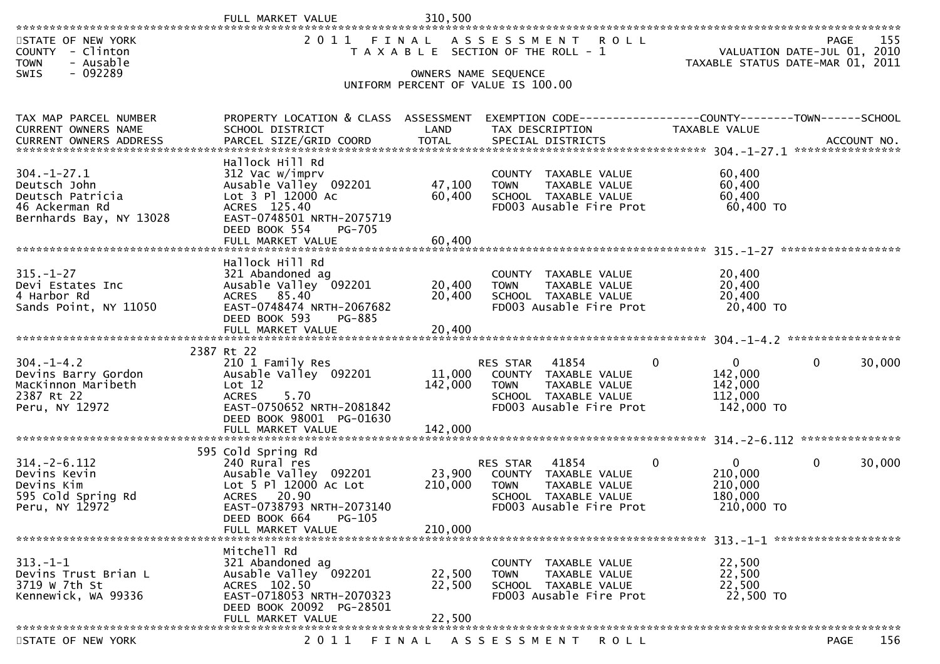| STATE OF NEW YORK<br>- Clinton<br><b>COUNTY</b><br>- Ausable<br><b>TOWN</b><br>$-092289$<br><b>SWIS</b> |                                                                                                                                                                               |                            | 2011 FINAL ASSESSMENT ROLL<br>T A X A B L E SECTION OF THE ROLL - 1<br>OWNERS NAME SEQUENCE<br>UNIFORM PERCENT OF VALUE IS 100.00 |                                                                               | 155<br>PAGE<br>VALUATION DATE-JUL 01, 2010<br>TAXABLE STATUS DATE-MAR 01, 2011 |
|---------------------------------------------------------------------------------------------------------|-------------------------------------------------------------------------------------------------------------------------------------------------------------------------------|----------------------------|-----------------------------------------------------------------------------------------------------------------------------------|-------------------------------------------------------------------------------|--------------------------------------------------------------------------------|
| TAX MAP PARCEL NUMBER<br>CURRENT OWNERS NAME                                                            | PROPERTY LOCATION & CLASS ASSESSMENT<br>SCHOOL DISTRICT                                                                                                                       | LAND                       | EXEMPTION CODE-----------------COUNTY-------TOWN------SCHOOL<br>TAX DESCRIPTION                                                   | TAXABLE VALUE                                                                 |                                                                                |
| $304. - 1 - 27.1$<br>Deutsch John<br>Deutsch Patricia<br>46 Ackerman Rd<br>Bernhards Bay, NY 13028      | Hallock Hill Rd<br>312 Vac w/imprv<br>Ausable Valley 092201<br>Lot 3 Pl 12000 Ac<br>ACRES 125.40<br>EAST-0748501 NRTH-2075719<br>DEED BOOK 554<br>PG-705<br>FULL MARKET VALUE | 47,100<br>60,400<br>60,400 | COUNTY TAXABLE VALUE<br>TAXABLE VALUE<br><b>TOWN</b><br>SCHOOL TAXABLE VALUE<br>FD003 Ausable Fire Prot                           | 60,400<br>60,400<br>60,400<br>60,400 TO                                       |                                                                                |
|                                                                                                         |                                                                                                                                                                               |                            |                                                                                                                                   |                                                                               |                                                                                |
| $315. - 1 - 27$<br>Devi Estates Inc<br>4 Harbor Rd<br>Sands Point, NY 11050                             | Hallock Hill Rd<br>321 Abandoned ag<br>Ausable Valley 092201<br>ACRES 85.40<br>EAST-0748474 NRTH-2067682<br>DEED BOOK 593<br>PG-885                                           | 20,400<br>20,400<br>20,400 | COUNTY TAXABLE VALUE<br><b>TOWN</b><br>TAXABLE VALUE<br>SCHOOL TAXABLE VALUE<br>FD003 Ausable Fire Prot                           | 20,400<br>20,400<br>20,400<br>20,400 TO                                       |                                                                                |
|                                                                                                         | FULL MARKET VALUE                                                                                                                                                             |                            |                                                                                                                                   |                                                                               |                                                                                |
| $304. - 1 - 4.2$<br>Devins Barry Gordon<br>MacKinnon Maribeth<br>2387 Rt 22<br>Peru, NY 12972           | 2387 Rt 22<br>210 1 Family Res<br>Ausable Valley 092201<br>Lot 12<br>5.70<br><b>ACRES</b><br>EAST-0750652 NRTH-2081842<br>DEED BOOK 98001 PG-01630                            | 11,000<br>142,000          | 41854<br>RES STAR<br>COUNTY TAXABLE VALUE<br>TAXABLE VALUE<br><b>TOWN</b><br>SCHOOL TAXABLE VALUE<br>FD003 Ausable Fire Prot      | $\mathbf{0}$<br>$\overline{0}$<br>142,000<br>142,000<br>112,000<br>142,000 TO | 30,000<br>$\mathbf{0}$                                                         |
|                                                                                                         |                                                                                                                                                                               |                            |                                                                                                                                   |                                                                               |                                                                                |
| $314 - 2 - 6.112$<br>Devins Kevin<br>Devins Kim<br>595 Cold Spring Rd<br>Peru, NY 12972                 | 595 Cold Spring Rd<br>240 Rural res<br>Ausable Valley 092201<br>Lot 5 Pl 12000 Ac Lot<br><b>ACRES</b><br>20.90<br>EAST-0738793 NRTH-2073140<br>DEED BOOK 664<br>PG-105        | 23,900<br>210,000          | RES STAR<br>41854<br>COUNTY TAXABLE VALUE<br><b>TOWN</b><br>TAXABLE VALUE<br>SCHOOL TAXABLE VALUE<br>FD003 Ausable Fire Prot      | $\mathbf{0}$<br>$\mathbf{0}$<br>210,000<br>210,000<br>180,000<br>210,000 TO   | 30,000<br>$\mathbf{0}$                                                         |
|                                                                                                         | FULL MARKET VALUE                                                                                                                                                             | 210,000                    |                                                                                                                                   |                                                                               |                                                                                |
| $313. - 1 - 1$<br>Devins Trust Brian L<br>3719 w 7th St<br>Kennewick, WA 99336                          | Mitchell Rd<br>321 Abandoned ag<br>Ausable Valley 092201<br>ACRES 102.50<br>EAST-0718053 NRTH-2070323<br>DEED BOOK 20092 PG-28501<br>FULL MARKET VALUE                        | 22,500<br>22,500<br>22,500 | COUNTY TAXABLE VALUE<br>TAXABLE VALUE<br><b>TOWN</b><br>SCHOOL TAXABLE VALUE<br>FD003 Ausable Fire Prot                           | 22,500<br>22,500<br>22,500<br>22,500 TO                                       |                                                                                |
|                                                                                                         | 2 0 1 1                                                                                                                                                                       |                            |                                                                                                                                   |                                                                               | 156<br><b>PAGE</b>                                                             |
| STATE OF NEW YORK                                                                                       |                                                                                                                                                                               | FINAL                      | A S S E S S M E N T<br>R O L L                                                                                                    |                                                                               |                                                                                |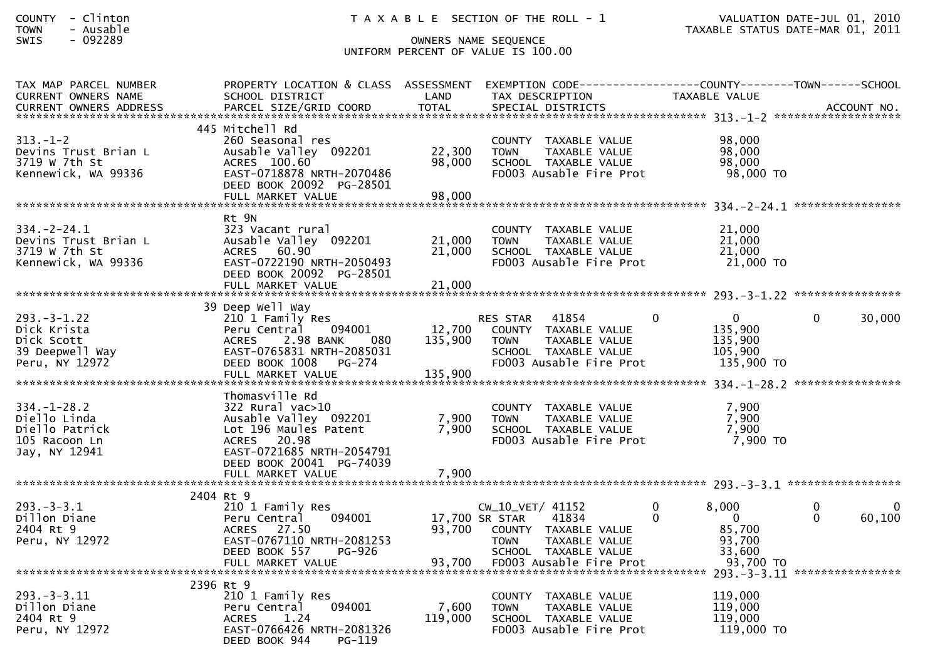| <b>COUNTY</b> | Clinton |
|---------------|---------|
| <b>TOWN</b>   | Ausable |

| TAX MAP PARCEL NUMBER<br><b>CURRENT OWNERS NAME</b>                                                                                                                                                                   | PROPERTY LOCATION & CLASS ASSESSMENT<br>SCHOOL DISTRICT                                                                                                                          | LAND                         | EXEMPTION        CODE-----------------COUNTY-------TOWN------SCHOOL<br>TAX DESCRIPTION                                              | TAXABLE VALUE                                                             |                                     |
|-----------------------------------------------------------------------------------------------------------------------------------------------------------------------------------------------------------------------|----------------------------------------------------------------------------------------------------------------------------------------------------------------------------------|------------------------------|-------------------------------------------------------------------------------------------------------------------------------------|---------------------------------------------------------------------------|-------------------------------------|
|                                                                                                                                                                                                                       |                                                                                                                                                                                  |                              |                                                                                                                                     |                                                                           |                                     |
| $313 - 1 - 2$<br>Devins Trust Brian L<br>3719 W 7th St<br>Kennewick, WA 99336                                                                                                                                         | 445 Mitchell Rd<br>260 Seasonal res<br>Ausable Valley 092201<br>ACRES 100.60<br>EAST-0718878 NRTH-2070486<br>DEED BOOK 20092 PG-28501<br>FULL MARKET VALUE                       | 22,300<br>98,000<br>98,000   | COUNTY TAXABLE VALUE<br><b>TOWN</b><br>TAXABLE VALUE<br>SCHOOL TAXABLE VALUE<br>FD003 Ausable Fire Prot                             | 98,000<br>98,000<br>98,000<br>98,000 TO                                   |                                     |
|                                                                                                                                                                                                                       |                                                                                                                                                                                  |                              |                                                                                                                                     |                                                                           |                                     |
| $334. - 2 - 24.1$<br>Devins Trust Brian L<br>3719 w 7th St<br>Kennewick, WA 99336                                                                                                                                     | Rt 9N<br>323 Vacant rural<br>Ausable Valley 092201<br>ACRES 60.90<br>EAST-0722190 NRTH-2050493<br>DEED BOOK 20092 PG-28501                                                       | 21,000<br>21,000             | COUNTY TAXABLE VALUE<br>TAXABLE VALUE<br><b>TOWN</b><br>SCHOOL TAXABLE VALUE<br>FD003 Ausable Fire Prot                             | 21,000<br>21,000<br>21,000<br>21,000 TO                                   |                                     |
|                                                                                                                                                                                                                       |                                                                                                                                                                                  |                              |                                                                                                                                     |                                                                           |                                     |
| $293. -3 - 1.22$<br>Dick Krista<br>Dick Scott<br>39 Deepwell Way<br>Peru, NY 12972                                                                                                                                    | 39 Deep Well Way<br>210 1 Family Res<br>094001<br>Peru Central<br>2.98 BANK<br>080<br><b>ACRES</b><br>EAST-0765831 NRTH-2085031<br>DEED BOOK 1008<br>PG-274<br>FULL MARKET VALUE | 12,700<br>135,900<br>135,900 | <b>RES STAR</b><br>41854<br>COUNTY TAXABLE VALUE<br>TAXABLE VALUE<br><b>TOWN</b><br>SCHOOL TAXABLE VALUE<br>FD003 Ausable Fire Prot | $\overline{0}$<br>$\Omega$<br>135,900<br>135,900<br>105,900<br>135,900 TO | 0<br>30,000                         |
|                                                                                                                                                                                                                       | Thomasville Rd                                                                                                                                                                   |                              |                                                                                                                                     |                                                                           |                                     |
| $334. - 1 - 28.2$<br>Diello Linda<br>Diello Patrick<br>105 Racoon Ln<br>Jay, NY 12941                                                                                                                                 | 322 Rural vac>10<br>Ausable Valley 092201<br>Lot 196 Maules Patent<br>20.98<br><b>ACRES</b><br>EAST-0721685 NRTH-2054791<br>DEED BOOK 20041 PG-74039                             | 7,900<br>7,900               | COUNTY TAXABLE VALUE<br>TAXABLE VALUE<br><b>TOWN</b><br>SCHOOL TAXABLE VALUE<br>FD003 Ausable Fire Prot                             | 7,900<br>7,900<br>7,900<br>7,900 TO                                       |                                     |
|                                                                                                                                                                                                                       | FULL MARKET VALUE                                                                                                                                                                | 7,900                        |                                                                                                                                     |                                                                           |                                     |
| $293. - 3 - 3.1$<br>Dillon Diane<br>2404 Rt 9<br>Peru, NY 12972<br>---- ---- ----- ----- ----- ----- PULL MARKET VALUE<br>FULL MARKET VALUE 93,700 FD003 Ausable Fire Prot 93,700 70<br>11.3-3-3.11 FULL MARKET VALUE | 2404 Rt 9<br>210 1 Family Res<br>Peru Central<br>094001<br>27.50<br><b>ACRES</b><br>EAST-0767110 NRTH-2081253<br>DEED BOOK 557<br>PG-926                                         | 93,700                       | CW_10_VET/ 41152<br>41834<br>17,700 SR STAR<br>COUNTY TAXABLE VALUE<br><b>TAXABLE VALUE</b><br><b>TOWN</b><br>SCHOOL TAXABLE VALUE  | 8,000<br>$\mathbf{0}$<br>$\mathbf{0}$<br>0<br>85,700<br>93,700<br>33,600  | 0<br>$\Omega$<br>$\Omega$<br>60,100 |
|                                                                                                                                                                                                                       | 2396 Rt 9                                                                                                                                                                        |                              |                                                                                                                                     |                                                                           | ****************                    |
| $293. - 3 - 3.11$<br>Dillon Diane<br>2404 Rt 9<br>Peru, NY 12972                                                                                                                                                      | 210 1 Family Res<br>094001<br>Peru Central<br>1.24<br><b>ACRES</b><br>EAST-0766426 NRTH-2081326<br>DEED BOOK 944<br>$PG-119$                                                     | 7,600<br>119,000             | COUNTY TAXABLE VALUE<br>TAXABLE VALUE<br><b>TOWN</b><br>SCHOOL TAXABLE VALUE<br>FD003 Ausable Fire Prot                             | 119,000<br>119,000<br>119,000<br>119,000 TO                               |                                     |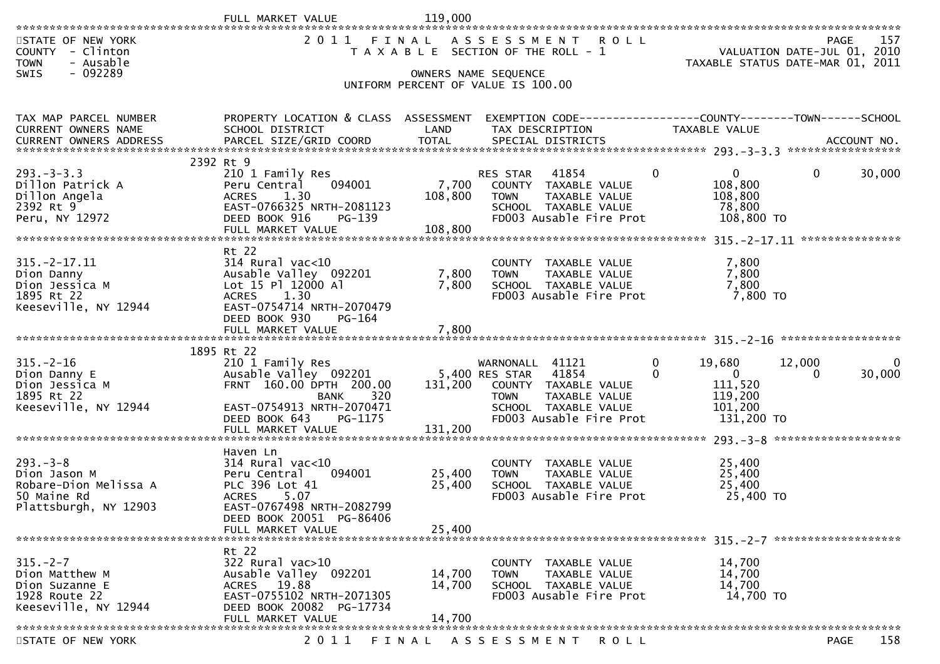|                                                                                                | FULL MARKET VALUE                                                                                                                                              | 119,000                     |                                                                                                                                                       |                                                                                   |                                                                         |     |
|------------------------------------------------------------------------------------------------|----------------------------------------------------------------------------------------------------------------------------------------------------------------|-----------------------------|-------------------------------------------------------------------------------------------------------------------------------------------------------|-----------------------------------------------------------------------------------|-------------------------------------------------------------------------|-----|
| STATE OF NEW YORK<br>COUNTY - Clinton<br><b>TOWN</b><br>- Ausable<br>$-092289$<br><b>SWIS</b>  | 2011                                                                                                                                                           | FINAL                       | ASSESSMENT ROLL<br>T A X A B L E SECTION OF THE ROLL - 1<br>OWNERS NAME SEQUENCE                                                                      |                                                                                   | PAGE<br>VALUATION DATE-JUL 01, 2010<br>TAXABLE STATUS DATE-MAR 01, 2011 | 157 |
|                                                                                                |                                                                                                                                                                |                             | UNIFORM PERCENT OF VALUE IS 100.00                                                                                                                    |                                                                                   |                                                                         |     |
| TAX MAP PARCEL NUMBER<br>CURRENT OWNERS NAME                                                   | PROPERTY LOCATION & CLASS ASSESSMENT EXEMPTION CODE----------------COUNTY-------TOWN------SCHOOL<br>SCHOOL DISTRICT                                            | LAND                        | TAX DESCRIPTION                                                                                                                                       | TAXABLE VALUE                                                                     |                                                                         |     |
|                                                                                                | .CURRENT OWNERS ADDRESS PARCEL SIZE/GRID COORD TOTAL SPECIAL DISTRICTS AND MELL ACCOUNT NO ACCOUNT NO COORD TERM AND MALL SPECIAL DISTRICTS                    |                             |                                                                                                                                                       |                                                                                   |                                                                         |     |
| $293. - 3 - 3.3$<br>Dillon Patrick A<br>Dillon Angela<br>2392 Rt 9<br>Peru, NY 12972           | 2392 Rt 9<br>210 1 Family Res<br>094001<br>Peru Central<br><b>ACRES</b><br>1.30<br>EAST-0766325 NRTH-2081123<br>DEED BOOK 916<br>$PG-139$<br>FULL MARKET VALUE | 7,700<br>108,800<br>108,800 | 41854<br><b>RES STAR</b><br>COUNTY TAXABLE VALUE<br><b>TOWN</b><br>TAXABLE VALUE<br>SCHOOL TAXABLE VALUE<br>FD003 Ausable Fire Prot                   | $\overline{0}$<br>$\mathbf{0}$<br>108,800<br>108,800<br>78,800<br>108,800 TO      | 30,000<br>$\Omega$                                                      |     |
|                                                                                                | Rt 22                                                                                                                                                          |                             |                                                                                                                                                       |                                                                                   |                                                                         |     |
| $315. -2 - 17.11$<br>Dion Danny<br>Dion Jessica M<br>1895 Rt 22<br>Keeseville, NY 12944        | $314$ Rural vac< $10$<br>Ausable Valley 092201<br>Lot 15 Pl 12000 Al<br><b>ACRES</b><br>1.30<br>EAST-0754714 NRTH-2070479<br>DEED BOOK 930<br>PG-164           | 7,800<br>7,800              | COUNTY TAXABLE VALUE<br>TAXABLE VALUE<br><b>TOWN</b><br>SCHOOL TAXABLE VALUE<br>FD003 Ausable Fire Prot                                               | 7,800<br>7,800<br>7,800<br>7,800 TO                                               |                                                                         |     |
|                                                                                                |                                                                                                                                                                |                             |                                                                                                                                                       |                                                                                   |                                                                         |     |
|                                                                                                | 1895 Rt 22                                                                                                                                                     |                             |                                                                                                                                                       |                                                                                   |                                                                         |     |
| $315. - 2 - 16$<br>Dion Danny E<br>Dion Jessica M<br>1895 Rt 22<br>Keeseville, NY 12944        | 210 1 Family Res<br>Ausable Valley 092201<br>FRNT 160.00 DPTH 200.00<br>320<br><b>BANK</b><br>EAST-0754913 NRTH-2070471<br>DEED BOOK 643<br>PG-1175            | 131,200<br>131,200          | WARNONALL 41121<br>5,400 RES STAR<br>41854<br>COUNTY TAXABLE VALUE<br>TAXABLE VALUE<br><b>TOWN</b><br>SCHOOL TAXABLE VALUE<br>FD003 Ausable Fire Prot | 0<br>19,680<br>$\overline{0}$<br>0<br>111,520<br>119,200<br>101,200<br>131,200 TO | 12,000<br>30,000<br>0                                                   |     |
|                                                                                                | FULL MARKET VALUE                                                                                                                                              |                             |                                                                                                                                                       |                                                                                   |                                                                         |     |
| $293. -3 - 8$<br>Dion Jason M<br>Robare-Dion Melissa A<br>50 Maine Rd<br>Plattsburgh, NY 12903 | Haven Ln<br>$314$ Rural vac<10<br>Peru Central<br>094001<br>PLC 396 Lot 41<br><b>ACRES</b><br>5.07<br>EAST-0767498 NRTH-2082799                                | 25,400<br>25,400            | COUNTY TAXABLE VALUE<br>TAXABLE VALUE<br>TOWN<br>SCHOOL TAXABLE VALUE<br>FD003 Ausable Fire Prot                                                      | 25,400<br>25,400<br>25,400<br>25,400 TO                                           |                                                                         |     |
|                                                                                                | DEED BOOK 20051 PG-86406<br>FULL MARKET VALUE                                                                                                                  | 25,400                      |                                                                                                                                                       |                                                                                   |                                                                         |     |
|                                                                                                |                                                                                                                                                                |                             |                                                                                                                                                       |                                                                                   |                                                                         |     |
| $315. - 2 - 7$<br>Dion Matthew M<br>Dion Suzanne E<br>1928 Route 22<br>Keeseville, NY 12944    | Rt 22<br>322 Rural vac>10<br>Ausable Valley 092201<br>ACRES 19.88<br>EAST-0755102 NRTH-2071305<br>DEED BOOK 20082 PG-17734<br>FULL MARKET VALUE                | 14,700<br>14,700<br>14,700  | COUNTY TAXABLE VALUE<br><b>TOWN</b><br>TAXABLE VALUE<br>SCHOOL TAXABLE VALUE<br>FD003 Ausable Fire Prot                                               | 14,700<br>14,700<br>14,700<br>14,700 TO                                           |                                                                         |     |
|                                                                                                |                                                                                                                                                                |                             |                                                                                                                                                       |                                                                                   |                                                                         |     |

STATE OF NEW YORK 2011 FINAL ASSESSMENT ROLL PAGE

158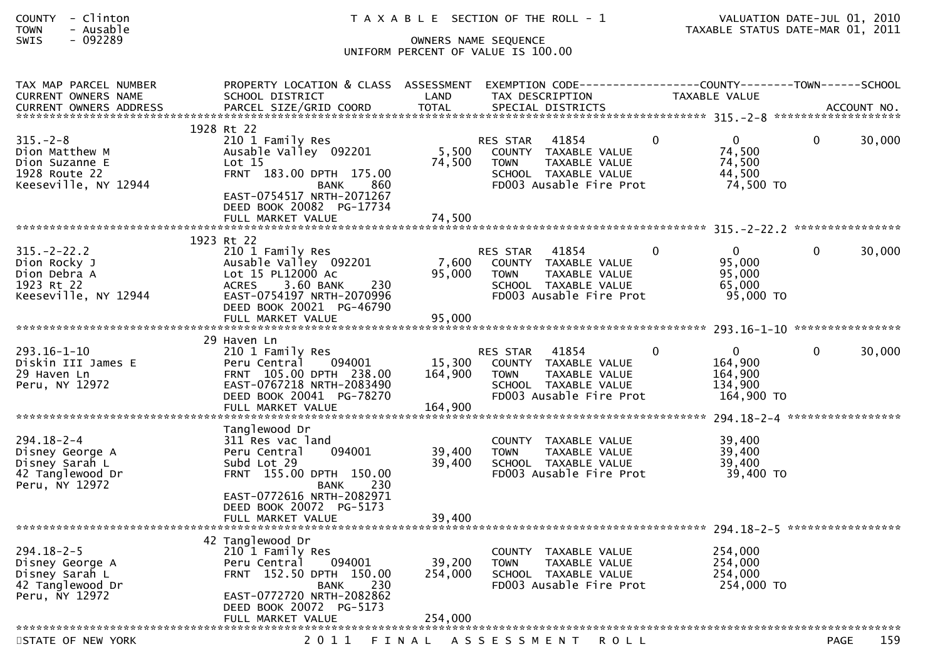| <b>COUNTY</b> | Clinton |  |
|---------------|---------|--|
| <b>TOWN</b>   | Ausable |  |

| TAX MAP PARCEL NUMBER<br><b>CURRENT OWNERS NAME</b>                                         | PROPERTY LOCATION & CLASS ASSESSMENT<br>SCHOOL DISTRICT                                                                                                                                        | LAND                      | EXEMPTION CODE-----<br>TAX DESCRIPTION                                                                                              |          | -------------COUNTY--------TOWN------SCHOOL<br><b>TAXABLE VALUE</b> |              |        |
|---------------------------------------------------------------------------------------------|------------------------------------------------------------------------------------------------------------------------------------------------------------------------------------------------|---------------------------|-------------------------------------------------------------------------------------------------------------------------------------|----------|---------------------------------------------------------------------|--------------|--------|
|                                                                                             |                                                                                                                                                                                                |                           |                                                                                                                                     |          |                                                                     |              |        |
| $315. - 2 - 8$<br>Dion Matthew M<br>Dion Suzanne E<br>1928 Route 22<br>Keeseville, NY 12944 | 1928 Rt 22<br>210 1 Family Res<br>Ausable Valley 092201<br>Lot $15$<br>FRNT 183.00 DPTH 175.00<br>860<br>BANK<br>EAST-0754517 NRTH-2071267<br>DEED BOOK 20082 PG-17734<br>FULL MARKET VALUE    | 5,500<br>74,500<br>74,500 | 41854<br><b>RES STAR</b><br>COUNTY TAXABLE VALUE<br>TAXABLE VALUE<br><b>TOWN</b><br>SCHOOL TAXABLE VALUE<br>FD003 Ausable Fire Prot | $\Omega$ | $\Omega$<br>74,500<br>74,500<br>44,500<br>74,500 TO                 | $\mathbf{0}$ | 30,000 |
|                                                                                             |                                                                                                                                                                                                |                           |                                                                                                                                     |          |                                                                     |              |        |
| $315. - 2 - 22.2$<br>Dion Rocky J<br>Dion Debra A<br>1923 Rt 22<br>Keeseville, NY 12944     | 1923 Rt 22<br>210 1 Family Res<br>Ausable Valley 092201<br>Lot 15 PL12000 Ac<br>3.60 BANK<br>230<br><b>ACRES</b><br>EAST-0754197 NRTH-2070996<br>DEED BOOK 20021 PG-46790<br>FULL MARKET VALUE | 7,600<br>95,000<br>95,000 | 41854<br><b>RES STAR</b><br>COUNTY TAXABLE VALUE<br>TAXABLE VALUE<br><b>TOWN</b><br>SCHOOL TAXABLE VALUE<br>FD003 Ausable Fire Prot | 0        | $\Omega$<br>95,000<br>95,000<br>65,000<br>95,000 TO                 | $\mathbf{0}$ | 30,000 |
|                                                                                             |                                                                                                                                                                                                |                           |                                                                                                                                     |          |                                                                     |              |        |
| $293.16 - 1 - 10$<br>Diskin III James E<br>29 Haven Ln<br>Peru, NY 12972                    | 29 Haven Ln<br>210 1 Family Res<br>094001<br>Peru Central<br>FRNT 105.00 DPTH 238.00<br>EAST-0767218 NRTH-2083490<br>DEED BOOK 20041 PG-78270                                                  | 15,300<br>164,900         | 41854<br><b>RES STAR</b><br>COUNTY TAXABLE VALUE<br><b>TOWN</b><br>TAXABLE VALUE<br>SCHOOL TAXABLE VALUE<br>FD003 Ausable Fire Prot | $\Omega$ | $\Omega$<br>164,900<br>164,900<br>134,900<br>164,900 TO             | $\mathbf{0}$ | 30,000 |
|                                                                                             | Tanglewood Dr                                                                                                                                                                                  |                           |                                                                                                                                     |          |                                                                     |              |        |
| 294.18-2-4<br>Disney George A<br>Disney Sarah L<br>42 Tanglewood Dr<br>Peru, NY 12972       | 311 Res vac land<br>094001<br>Peru Central<br>Subd Lot 29<br>FRNT 155.00 DPTH 150.00<br>230<br><b>BANK</b><br>EAST-0772616 NRTH-2082971<br>DEED BOOK 20072 PG-5173                             | 39,400<br>39,400          | <b>COUNTY</b><br>TAXABLE VALUE<br><b>TAXABLE VALUE</b><br><b>TOWN</b><br>SCHOOL TAXABLE VALUE<br>FD003 Ausable Fire Prot            |          | 39,400<br>39,400<br>39,400<br>39,400 TO                             |              |        |
|                                                                                             | FULL MARKET VALUE                                                                                                                                                                              | 39,400                    |                                                                                                                                     |          |                                                                     |              |        |
| 294.18-2-5<br>Disney George A<br>Disney Sarah L<br>42 Tanglewood Dr<br>Peru, NY 12972       | 42 Tanglewood Dr<br>210 1 Family Res<br>094001<br>Peru Central<br>FRNT 152.50 DPTH 150.00<br>230<br><b>BANK</b><br>EAST-0772720 NRTH-2082862<br>DEED BOOK 20072 PG-5173                        | 39,200<br>254,000         | COUNTY TAXABLE VALUE<br><b>TOWN</b><br>TAXABLE VALUE<br>SCHOOL TAXABLE VALUE<br>FD003 Ausable Fire Prot                             |          | 254,000<br>254,000<br>254,000<br>254,000 TO                         |              |        |
| *************************                                                                   | FULL MARKET VALUE                                                                                                                                                                              | 254,000                   |                                                                                                                                     |          |                                                                     |              |        |
| STATE OF NEW YORK                                                                           | 2011                                                                                                                                                                                           | FINAL                     | ASSESSMENT<br><b>ROLL</b>                                                                                                           |          |                                                                     | <b>PAGE</b>  | 159    |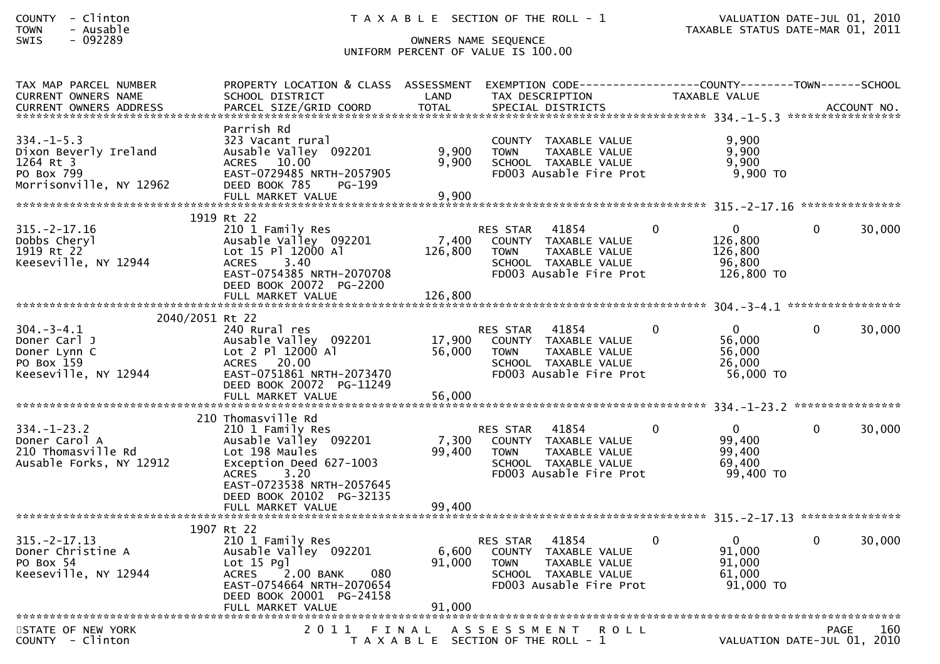| TAX MAP PARCEL NUMBER<br><b>CURRENT OWNERS NAME</b>                                             | PROPERTY LOCATION & CLASS ASSESSMENT<br>SCHOOL DISTRICT                                                                                                                                       | LAND                       | TAX DESCRIPTION                                              | EXEMPTION CODE------------------COUNTY--------TOWN------SCHOOL                                           |          | <b>TAXABLE VALUE</b>                                      |              |        |
|-------------------------------------------------------------------------------------------------|-----------------------------------------------------------------------------------------------------------------------------------------------------------------------------------------------|----------------------------|--------------------------------------------------------------|----------------------------------------------------------------------------------------------------------|----------|-----------------------------------------------------------|--------------|--------|
|                                                                                                 |                                                                                                                                                                                               |                            |                                                              |                                                                                                          |          |                                                           |              |        |
| $334. - 1 - 5.3$<br>Dixon Beverly Ireland<br>1264 Rt 3<br>PO Box 799<br>Morrisonville, NY 12962 | Parrish Rd<br>323 Vacant rural<br>Ausable Valley 092201<br>10.00<br><b>ACRES</b><br>EAST-0729485 NRTH-2057905<br>DEED BOOK 785<br>PG-199<br>FULL MARKET VALUE                                 | 9,900<br>9,900<br>9,900    | <b>TOWN</b>                                                  | COUNTY TAXABLE VALUE<br>TAXABLE VALUE<br>SCHOOL TAXABLE VALUE<br>FD003 Ausable Fire Prot                 |          | 9,900<br>9,900<br>9.900<br>$9,900$ TO                     |              |        |
|                                                                                                 |                                                                                                                                                                                               |                            |                                                              |                                                                                                          |          |                                                           |              |        |
| $315. - 2 - 17.16$<br>Dobbs Cheryl<br>1919 Rt 22<br>Keeseville, NY 12944                        | 1919 Rt 22<br>210 1 Family Res<br>Ausable Valley 092201<br>Lot 15 Pl 12000 Al<br><b>ACRES</b><br>3.40<br>EAST-0754385 NRTH-2070708<br>DEED BOOK 20072 PG-2200                                 | 7,400<br>126,800           | <b>RES STAR</b><br><b>TOWN</b>                               | 41854<br>COUNTY TAXABLE VALUE<br>TAXABLE VALUE<br>SCHOOL TAXABLE VALUE<br>FD003 Ausable Fire Prot        | 0        | $\Omega$<br>126,800<br>126,800<br>96,800<br>126,800 TO    | $\Omega$     | 30,000 |
|                                                                                                 | FULL MARKET VALUE                                                                                                                                                                             | 126,800                    |                                                              |                                                                                                          |          |                                                           |              |        |
| 2040/2051 Rt 22                                                                                 |                                                                                                                                                                                               |                            |                                                              |                                                                                                          |          |                                                           |              |        |
| $304. - 3 - 4.1$<br>Doner Carl J<br>Doner Lynn C<br>PO Box 159<br>Keeseville, NY 12944          | 240 Rural res<br>Ausable Valley 092201<br>Lot 2 Pl 12000 Al<br><b>ACRES</b><br>20.00<br>EAST-0751861 NRTH-2073470<br>DEED BOOK 20072 PG-11249<br>FULL MARKET VALUE                            | 17,900<br>56,000<br>56,000 | <b>RES STAR</b><br><b>TOWN</b>                               | 41854<br>COUNTY TAXABLE VALUE<br>TAXABLE VALUE<br>SCHOOL TAXABLE VALUE<br>FD003 Ausable Fire Prot        | $\Omega$ | $\Omega$<br>56,000<br>56,000<br>26,000<br>56,000 TO       | $\Omega$     | 30,000 |
|                                                                                                 |                                                                                                                                                                                               |                            |                                                              |                                                                                                          |          |                                                           |              |        |
| $334. - 1 - 23.2$<br>Doner Carol A<br>210 Thomasville Rd<br>Ausable Forks, NY 12912             | 210 Thomasville Rd<br>210 1 Family Res<br>Ausable Valley 092201<br>Lot 198 Maules<br>Exception Deed 627-1003<br>3.20<br><b>ACRES</b><br>EAST-0723538 NRTH-2057645<br>DEED BOOK 20102 PG-32135 | 7,300<br>99,400            | <b>RES STAR</b><br><b>TOWN</b>                               | 41854<br>COUNTY TAXABLE VALUE<br><b>TAXABLE VALUE</b><br>SCHOOL TAXABLE VALUE<br>FD003 Ausable Fire Prot | $\Omega$ | $\Omega$<br>99,400<br>99,400<br>69,400<br>99,400 TO       | $\mathbf{0}$ | 30,000 |
|                                                                                                 | FULL MARKET VALUE                                                                                                                                                                             | 99,400                     |                                                              |                                                                                                          |          |                                                           |              |        |
|                                                                                                 | 1907 Rt 22                                                                                                                                                                                    |                            |                                                              |                                                                                                          |          |                                                           |              |        |
| $315. -2 - 17.13$<br>Doner Christine A<br>PO Box 54<br>Keeseville, NY 12944                     | 210 1 Family Res<br>Ausable Valley 092201<br>$Lot 15$ Pgl<br><b>ACRES</b><br>2.00 BANK<br>080<br>EAST-0754664 NRTH-2070654<br>DEED BOOK 20001 PG-24158                                        | 6,600<br>91,000            | <b>RES STAR</b><br><b>TOWN</b>                               | 41854<br>COUNTY TAXABLE VALUE<br>TAXABLE VALUE<br>SCHOOL TAXABLE VALUE<br>FD003 Ausable Fire Prot        | $\Omega$ | $\mathbf{0}$<br>91,000<br>91,000<br>61,000<br>$91,000$ TO | $\Omega$     | 30,000 |
|                                                                                                 |                                                                                                                                                                                               |                            |                                                              |                                                                                                          |          |                                                           |              |        |
| STATE OF NEW YORK<br>$COUNTY - Clinton$                                                         | 2011 FINAL                                                                                                                                                                                    |                            | A S S E S S M E N T<br>T A X A B L E SECTION OF THE ROLL - 1 | <b>ROLL</b>                                                                                              |          | VALUATION DATE-JUL 01, 2010                               | <b>PAGE</b>  | 160    |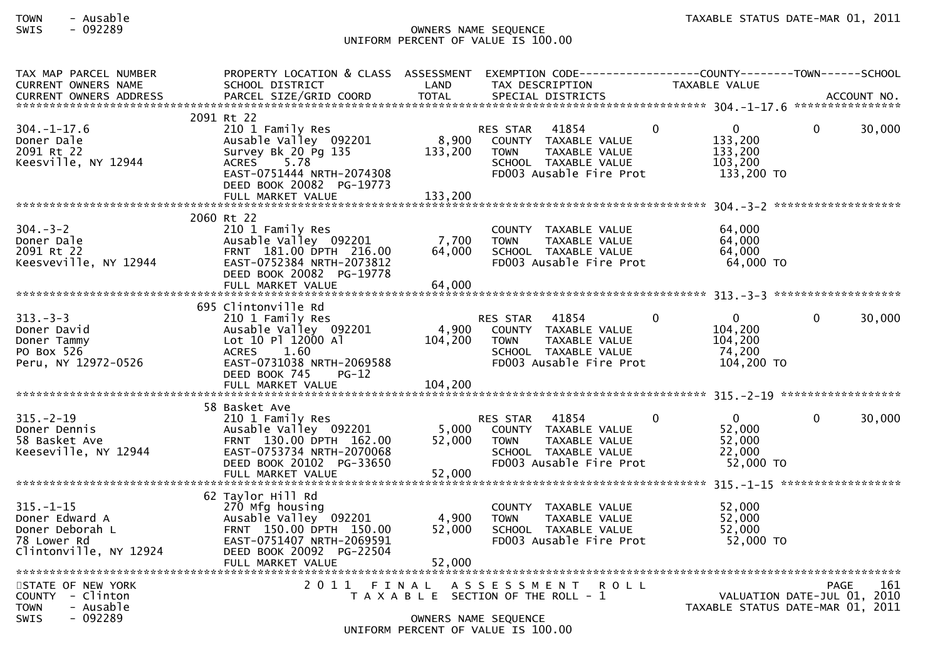| TAX MAP PARCEL NUMBER<br><b>CURRENT OWNERS NAME</b>                                           | PROPERTY LOCATION & CLASS ASSESSMENT<br>SCHOOL DISTRICT                                                                                                                 | LAND                      | EXEMPTION CODE------------------COUNTY--------TOWN------SCHOOL<br>TAX DESCRIPTION                                                         |          | <b>TAXABLE VALUE</b>                                            |          |        |
|-----------------------------------------------------------------------------------------------|-------------------------------------------------------------------------------------------------------------------------------------------------------------------------|---------------------------|-------------------------------------------------------------------------------------------------------------------------------------------|----------|-----------------------------------------------------------------|----------|--------|
|                                                                                               |                                                                                                                                                                         |                           |                                                                                                                                           |          |                                                                 |          |        |
| $304. - 1 - 17.6$<br>Doner Dale<br>2091 Rt 22<br>Keesville, NY 12944                          | 2091 Rt 22<br>210 1 Family Res<br>Ausable Valley 092201<br>Survey Bk 20 Pg 135<br>ACRES 5.78<br>EAST-0751444 NRTH-2074308<br>DEED BOOK 20082 PG-19773                   | 8,900<br>133,200          | 41854<br>RES STAR<br>COUNTY TAXABLE VALUE<br>TAXABLE VALUE<br><b>TOWN</b><br>SCHOOL TAXABLE VALUE<br>FD003 Ausable Fire Prot              | $\Omega$ | $\mathbf 0$<br>133,200<br>133,200<br>103,200<br>133,200 TO      | $\Omega$ | 30,000 |
|                                                                                               | 2060 Rt 22                                                                                                                                                              |                           |                                                                                                                                           |          |                                                                 |          |        |
| $304 - 3 - 2$<br>Doner Dale<br>2091 Rt 22<br>Keesveville, NY 12944                            | 210 1 Family Res<br>Ausable Valley 092201<br>FRNT 181.00 DPTH 216.00<br>EAST-0752384 NRTH-2073812<br>DEED BOOK 20082 PG-19778<br>FULL MARKET VALUE                      | 7,700<br>64,000<br>64,000 | COUNTY TAXABLE VALUE<br><b>TOWN</b><br>TAXABLE VALUE<br>SCHOOL TAXABLE VALUE<br>FD003 Ausable Fire Prot                                   |          | 64,000<br>64,000<br>64,000<br>64,000 TO                         |          |        |
|                                                                                               |                                                                                                                                                                         |                           |                                                                                                                                           |          |                                                                 |          |        |
| $313 - 3 - 3$<br>Doner David<br>Doner Tammy<br>PO Box 526<br>Peru, NY 12972-0526              | 695 Clintonville Rd<br>210 1 Family Res<br>Ausable Valley 092201<br>Lot 10 Pl 12000 Al<br><b>ACRES</b><br>1.60<br>EAST-0731038 NRTH-2069588<br>DEED BOOK 745<br>$PG-12$ | 4,900<br>104,200          | 41854<br><b>RES STAR</b><br>COUNTY TAXABLE VALUE<br>TAXABLE VALUE<br><b>TOWN</b><br>SCHOOL TAXABLE VALUE<br>FD003 Ausable Fire Prot       | $\Omega$ | $\Omega$<br>104,200<br>104,200<br>74,200<br>104,200 TO          | 0        | 30,000 |
|                                                                                               |                                                                                                                                                                         |                           |                                                                                                                                           |          |                                                                 |          |        |
| $315. - 2 - 19$<br>Doner Dennis<br>58 Basket Ave<br>Keeseville, NY 12944                      | 58 Basket Ave<br>210 1 Family Res<br>Ausable Valley 092201<br>FRNT 130.00 DPTH 162.00<br>EAST-0753734 NRTH-2070068<br>DEED BOOK 20102 PG-33650<br>FULL MARKET VALUE     | 5,000<br>52,000<br>52,000 | 41854<br>RES STAR<br>COUNTY TAXABLE VALUE<br>TAXABLE VALUE<br><b>TOWN</b><br>SCHOOL TAXABLE VALUE<br>FD003 Ausable Fire Prot              | $\Omega$ | $\Omega$<br>52,000<br>52,000<br>22,000<br>52,000 TO             | 0        | 30,000 |
|                                                                                               |                                                                                                                                                                         |                           |                                                                                                                                           |          |                                                                 |          |        |
| $315. - 1 - 15$<br>Doner Edward A<br>Doner Deborah L<br>78 Lower Rd<br>Clintonville, NY 12924 | 62 Taylor Hill Rd<br>270 Mfg housing<br>Ausable Valley 092201<br>FRNT 150.00 DPTH 150.00<br>EAST-0751407 NRTH-2069591<br>DEED BOOK 20092 PG-22504                       | 4,900<br>52,000           | COUNTY TAXABLE VALUE<br><b>TOWN</b><br>TAXABLE VALUE<br>SCHOOL TAXABLE VALUE<br>FD003 Ausable Fire Prot                                   |          | 52,000<br>52,000<br>52,000<br>52,000 TO                         |          |        |
|                                                                                               | FULL MARKET VALUE                                                                                                                                                       | 52,000                    |                                                                                                                                           |          |                                                                 |          |        |
| STATE OF NEW YORK<br>COUNTY - Clinton<br>- Ausable<br><b>TOWN</b><br>$-092289$<br><b>SWIS</b> | 2011 FINAL                                                                                                                                                              |                           | A S S E S S M E N T<br><b>ROLL</b><br>T A X A B L E SECTION OF THE ROLL - 1<br>OWNERS NAME SEQUENCE<br>UNIFORM PERCENT OF VALUE IS 100.00 |          | VALUATION DATE-JUL 01, 2010<br>TAXABLE STATUS DATE-MAR 01, 2011 | PAGE     | 161    |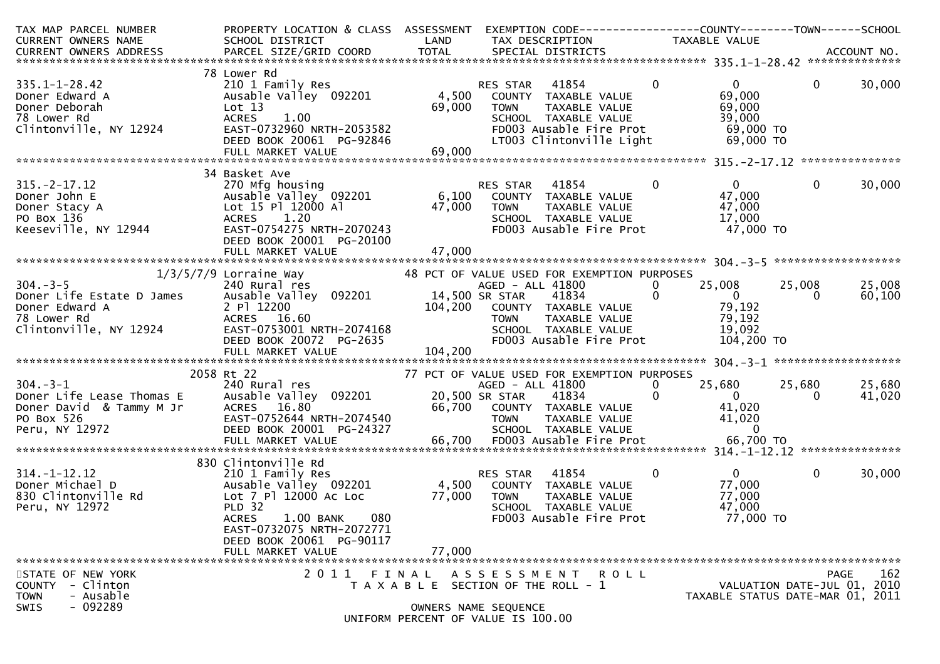| TAX MAP PARCEL NUMBER<br>CURRENT OWNERS NAME                                                            | PROPERTY LOCATION & CLASS ASSESSMENT<br>SCHOOL DISTRICT                                                                                                                                                               | LAND                      | TAX DESCRIPTION                                                                                                                                                                                                     | TAXABLE VALUE                                                                                     |                                                                                |
|---------------------------------------------------------------------------------------------------------|-----------------------------------------------------------------------------------------------------------------------------------------------------------------------------------------------------------------------|---------------------------|---------------------------------------------------------------------------------------------------------------------------------------------------------------------------------------------------------------------|---------------------------------------------------------------------------------------------------|--------------------------------------------------------------------------------|
|                                                                                                         |                                                                                                                                                                                                                       |                           |                                                                                                                                                                                                                     |                                                                                                   |                                                                                |
| $335.1 - 1 - 28.42$<br>Doner Edward A<br>Doner Deborah<br>78 Lower Rd<br>Clintonville, NY 12924         | 78 Lower Rd<br>210 1 Family Res<br>Ausable Valley 092201<br>Lot 13<br><b>ACRES</b><br>1.00<br>EAST-0732960 NRTH-2053582<br>DEED BOOK 20061 PG-92846                                                                   | 4,500<br>69,000           | 41854<br>RES STAR<br>COUNTY TAXABLE VALUE<br><b>TOWN</b><br>TAXABLE VALUE<br>SCHOOL TAXABLE VALUE<br>FD003 Ausable Fire Prot<br>LT003 Clintonville Light                                                            | $\mathbf 0$<br>$\mathbf{0}$<br>69,000<br>69,000<br>39,000<br>69,000 TO<br>69,000 TO               | $\overline{0}$<br>30,000                                                       |
|                                                                                                         | 34 Basket Ave                                                                                                                                                                                                         |                           |                                                                                                                                                                                                                     |                                                                                                   |                                                                                |
| $315 - 2 - 17.12$<br>Doner John E<br>Doner Stacy A<br>PO Box 136<br>Keeseville, NY 12944                | 270 Mfg housing<br>Ausable Valley 092201<br>Lot 15 Pl 12000 Al<br>1.20<br><b>ACRES</b><br>EAST-0754275 NRTH-2070243<br>DEED BOOK 20001 PG-20100                                                                       | 6,100<br>47,000           | 41854<br><b>RES STAR</b><br>COUNTY TAXABLE VALUE<br><b>TOWN</b><br>TAXABLE VALUE<br>SCHOOL TAXABLE VALUE<br>FD003 Ausable Fire Prot                                                                                 | $\Omega$<br>$\overline{0}$<br>47,000<br>47,000<br>17,000<br>47,000 TO                             | 30,000<br>$\mathbf{0}$                                                         |
|                                                                                                         |                                                                                                                                                                                                                       |                           |                                                                                                                                                                                                                     |                                                                                                   |                                                                                |
| $304. - 3 - 5$<br>Clintonville, NY 12924                                                                | $1/3/5/7/9$ Lorraine Way<br>240 Rural res<br>EAST-0753001 NRTH-2074168<br>DEED BOOK 20072 PG-2635<br>DEED BOOK 20072 PG-2635                                                                                          | 14,500 SR STAR<br>104,200 | 48 PCT OF VALUE USED FOR EXEMPTION PURPOSES<br>AGED - ALL 41800<br>41834<br>COUNTY TAXABLE VALUE<br>TOWN<br>TAXABLE VALUE<br>SCHOOL TAXABLE VALUE<br>FD003 Ausable Fire Prot                                        | $\overline{0}$<br>25,008<br>0<br>$\overline{0}$<br>79,192<br>79,192<br>19,092<br>104,200 TO       | 25,008<br>25,008<br>60,100<br>0                                                |
|                                                                                                         | FULL MARKET VALUE                                                                                                                                                                                                     | 104,200                   |                                                                                                                                                                                                                     |                                                                                                   |                                                                                |
| $304. - 3 - 1$<br>Doner Life Lease Thomas E<br>Doner David & Tammy M Jr<br>PO Box 526<br>Peru, NY 12972 | 2058 Rt 22<br>240 Rural res<br>Ausable Valley 092201<br>ACRES 16.80<br>EAST-0752644 NRTH-2074540<br>DEED BOOK 20001 PG-24327<br>FULL MARKET VALUE                                                                     |                           | 77 PCT OF VALUE USED FOR EXEMPTION PURPOSES<br>AGED - ALL 41800<br>20,500 SR STAR<br>41834<br>66,700 COUNTY TAXABLE VALUE<br><b>TOWN</b><br>TAXABLE VALUE<br>SCHOOL TAXABLE VALUE<br>66,700 FD003 Ausable Fire Prot | 25,680<br>$\mathbf{0}$<br>$\Omega$<br>$\Omega$<br>41,020<br>41,020<br>$\overline{0}$<br>66,700 TO | 25,680<br>25,680<br>41,020<br>0                                                |
|                                                                                                         |                                                                                                                                                                                                                       |                           |                                                                                                                                                                                                                     |                                                                                                   |                                                                                |
| $314. - 1 - 12.12$<br>Doner Michael D<br>830 Clintonville Rd<br>Peru, NY 12972                          | 830 Clintonville Rd<br>210 1 Family Res<br>Ausable Valley 092201<br>Lot 7 Pl 12000 Ac Loc<br>PLD 32<br>080<br><b>ACRES</b><br>1.00 BANK<br>EAST-0732075 NRTH-2072771<br>DEED BOOK 20061 PG-90117<br>FULL MARKET VALUE | 4,500<br>77,000<br>77,000 | 41854<br>RES STAR<br>COUNTY TAXABLE VALUE<br><b>TOWN</b><br>TAXABLE VALUE<br>SCHOOL TAXABLE VALUE<br>FD003 Ausable Fire Prot                                                                                        | $\overline{0}$<br>$\mathbf 0$<br>77,000<br>77,000<br>47,000<br>77,000 TO                          | $\mathbf{0}$<br>30,000                                                         |
|                                                                                                         |                                                                                                                                                                                                                       |                           |                                                                                                                                                                                                                     |                                                                                                   |                                                                                |
| STATE OF NEW YORK<br>- Clinton<br><b>COUNTY</b><br>- Ausable<br><b>TOWN</b><br>$-092289$<br>SWIS        |                                                                                                                                                                                                                       |                           | 2011 FINAL ASSESSMENT ROLL<br>T A X A B L E SECTION OF THE ROLL - 1<br>OWNERS NAME SEOUENCE<br>UNIFORM PERCENT OF VALUE IS 100.00                                                                                   |                                                                                                   | 162<br>PAGE<br>VALUATION DATE-JUL 01, 2010<br>TAXABLE STATUS DATE-MAR 01, 2011 |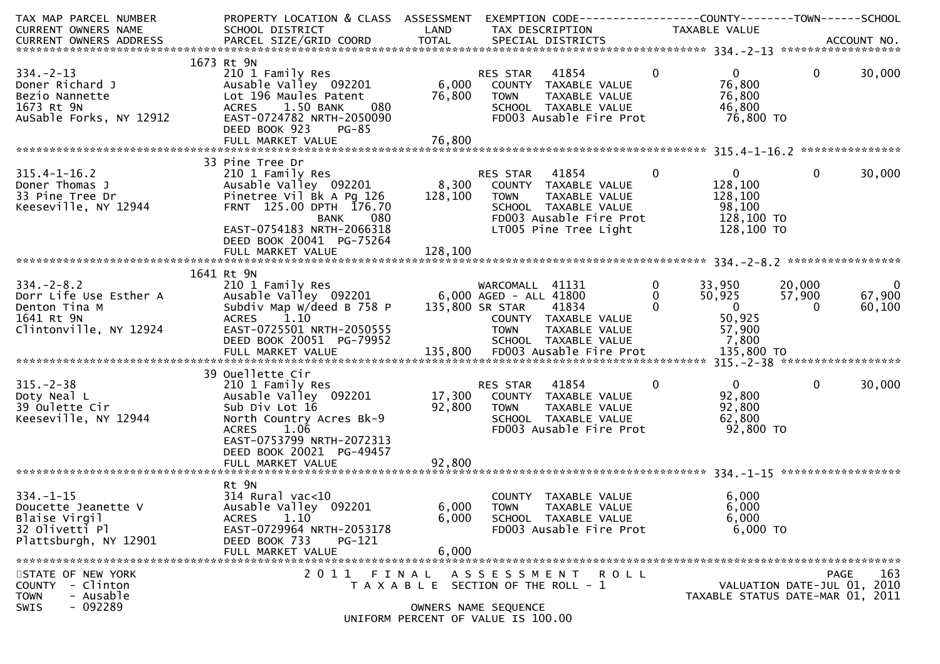| TAX MAP PARCEL NUMBER<br>CURRENT OWNERS NAME                                                            | PROPERTY LOCATION & CLASS ASSESSMENT<br>SCHOOL DISTRICT                                                                                                                                                                          | LAND                    | EXEMPTION CODE------------------COUNTY--------TOWN------SCHOOL<br>TAX DESCRIPTION                                               | TAXABLE VALUE                                                                                                                   |                                                                         |                         |
|---------------------------------------------------------------------------------------------------------|----------------------------------------------------------------------------------------------------------------------------------------------------------------------------------------------------------------------------------|-------------------------|---------------------------------------------------------------------------------------------------------------------------------|---------------------------------------------------------------------------------------------------------------------------------|-------------------------------------------------------------------------|-------------------------|
|                                                                                                         |                                                                                                                                                                                                                                  |                         |                                                                                                                                 |                                                                                                                                 |                                                                         |                         |
|                                                                                                         |                                                                                                                                                                                                                                  |                         |                                                                                                                                 |                                                                                                                                 |                                                                         |                         |
| $334 - 2 - 13$<br>Doner Richard J<br>Bezio Nannette<br>1673 Rt 9N<br>AuSable Forks, NY 12912            | 1673 Rt 9N<br>210 1 Family Res<br>Ausable Valley 092201<br>Lot 196 Maules Patent<br>ACRES 1.50 BANK<br>080<br>EAST-0724782 NRTH-2050090<br>DEED BOOK 923<br>PG-85                                                                | 76,800                  | RES STAR 41854<br>6,000 COUNTY TAXABLE VALUE<br><b>TOWN</b><br>TAXABLE VALUE<br>SCHOOL TAXABLE VALUE<br>FD003 Ausable Fire Prot | $\mathbf{0}$<br>$\overline{0}$<br>76,800<br>76,800<br>46,800<br>76,800 TO                                                       | $\mathbf{0}$                                                            | 30,000                  |
|                                                                                                         |                                                                                                                                                                                                                                  |                         |                                                                                                                                 |                                                                                                                                 |                                                                         |                         |
|                                                                                                         |                                                                                                                                                                                                                                  |                         |                                                                                                                                 |                                                                                                                                 |                                                                         |                         |
| $315.4 - 1 - 16.2$<br>Doner Thomas J<br>33 Pine Tree Dr<br>Keeseville, NY 12944                         | 33 Pine Tree Dr<br>210 1 Family Res<br>Ausable Valley 092201 8,300 COUNTY TAXABLE VALUE<br>Pinetree Vil Bk A Pg $126$ 128,100<br>FRNT 125.00 DPTH 176.70<br>BANK<br>080<br>EAST-0754183 NRTH-2066318<br>DEED BOOK 20041 PG-75264 |                         | TAXABLE VALUE<br><b>TOWN</b><br>SCHOOL TAXABLE VALUE<br>FD003 Ausable Fire Prot<br>LT005 Pine Tree Light                        | $\mathbf{0}$<br>$\mathbf 0$<br>128,100<br>128,100<br>98,100<br>128,100 TO<br>128,100 TO                                         | $\Omega$                                                                | 30,000                  |
|                                                                                                         |                                                                                                                                                                                                                                  |                         |                                                                                                                                 |                                                                                                                                 |                                                                         |                         |
|                                                                                                         |                                                                                                                                                                                                                                  |                         |                                                                                                                                 |                                                                                                                                 |                                                                         |                         |
| $334 - 2 - 8.2$<br>Dorr Life Use Esther A<br>Denton Tina M<br>1641 Rt 9N<br>Clintonville, NY 12924      | 1641 Rt 9N<br>210 1 Family Res<br>Ausable Valley 092201 6,000 AGED - ALL 41800<br>Subdiv Map W/deed B 758 P 135,800 SR STAR 41834<br>1.10<br><b>ACRES</b><br>EAST-0725501 NRTH-2050555<br>DEED BOOK 20051 PG-79952               |                         | WARCOMALL 41131<br>COUNTY TAXABLE VALUE<br><b>TOWN</b><br>TAXABLE VALUE<br>SCHOOL TAXABLE VALUE                                 | $\mathbf 0$<br>33,950 20,000<br>50,925<br>$\overline{0}$<br>$\mathbf 0$<br>$\overline{\mathbf{0}}$<br>50,925<br>57,900<br>7,800 | 57,900<br>$\Omega$                                                      | - 0<br>67,900<br>60,100 |
|                                                                                                         |                                                                                                                                                                                                                                  |                         |                                                                                                                                 |                                                                                                                                 |                                                                         |                         |
| $315. - 2 - 38$<br>Doty Neal L<br>39 Oulette Cir<br>Keeseville, NY 12944                                | 39 Ouellette Cir<br>210 1 Family Res<br>Ausable Valley 092201<br>Sub Div Lot 16<br>North Country Acres Bk-9<br>ACRES 1.06<br>EAST-0753799 NRTH-2072313<br>DEED BOOK 20021 PG-49457                                               | 17,300<br>92,800        | 41854<br>RES STAR<br>COUNTY TAXABLE VALUE<br><b>TOWN</b><br>TAXABLE VALUE<br>SCHOOL TAXABLE VALUE<br>FD003 Ausable Fire Prot    | $\mathbf{0}$<br>$\Omega$<br>92,800<br>92,800<br>62,800<br>92,800 TO                                                             | $\mathbf{0}$                                                            | 30,000                  |
|                                                                                                         |                                                                                                                                                                                                                                  |                         |                                                                                                                                 |                                                                                                                                 |                                                                         |                         |
| $334. - 1 - 15$<br>Doucette Jeanette V<br>Blaise Virgil<br>32 Olivetti Pl<br>Plattsburgh, NY 12901      | Rt 9N<br>$314$ Rural vac< $10$<br>Ausable Valley 092201<br><b>ACRES</b><br>1.10<br>EAST-0729964 NRTH-2053178<br>DEED BOOK 733<br>PG-121<br>FULL MARKET VALUE                                                                     | 6,000<br>6,000<br>6,000 | COUNTY TAXABLE VALUE<br><b>TOWN</b><br>TAXABLE VALUE<br>SCHOOL TAXABLE VALUE<br>FD003 Ausable Fire Prot                         | 6,000<br>6,000<br>6,000<br>6,000 TO                                                                                             |                                                                         |                         |
| STATE OF NEW YORK<br>- Clinton<br><b>COUNTY</b><br>- Ausable<br><b>TOWN</b><br>$-092289$<br><b>SWIS</b> |                                                                                                                                                                                                                                  |                         | 2011 FINAL ASSESSMENT<br>R O L L<br>T A X A B L E SECTION OF THE ROLL - 1<br>OWNERS NAME SEQUENCE                               |                                                                                                                                 | PAGE<br>VALUATION DATE-JUL 01, 2010<br>TAXABLE STATUS DATE-MAR 01, 2011 | 163                     |
|                                                                                                         |                                                                                                                                                                                                                                  |                         | UNIFORM PERCENT OF VALUE IS 100.00                                                                                              |                                                                                                                                 |                                                                         |                         |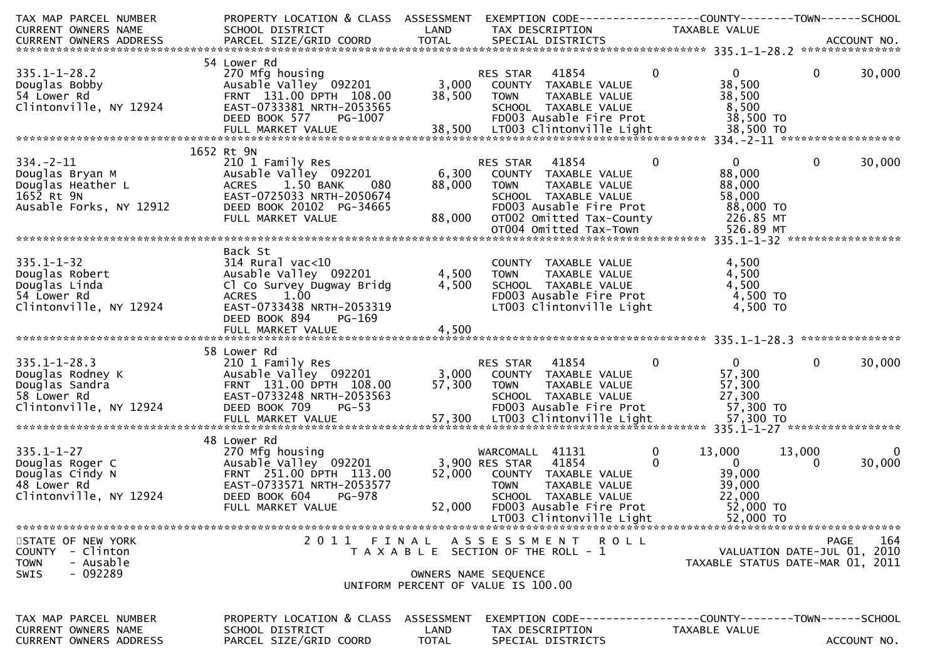| TAX MAP PARCEL NUMBER<br><b>CURRENT OWNERS NAME</b>                                                                                                                                                                                              | PROPERTY LOCATION & CLASS ASSESSMENT<br>SCHOOL DISTRICT<br><b>Example 18 The LAND</b>                                                                         |                      | EXEMPTION CODE-----------------COUNTY--------TOWN------SCHOOL<br>TAX DESCRIPTION                                                                                                         | TAXABLE VALUE  |                                                                                            |                    |             |
|--------------------------------------------------------------------------------------------------------------------------------------------------------------------------------------------------------------------------------------------------|---------------------------------------------------------------------------------------------------------------------------------------------------------------|----------------------|------------------------------------------------------------------------------------------------------------------------------------------------------------------------------------------|----------------|--------------------------------------------------------------------------------------------|--------------------|-------------|
|                                                                                                                                                                                                                                                  |                                                                                                                                                               |                      |                                                                                                                                                                                          |                |                                                                                            |                    |             |
|                                                                                                                                                                                                                                                  | 54 Lower Rd                                                                                                                                                   |                      |                                                                                                                                                                                          |                |                                                                                            |                    |             |
| $335.1 - 1 - 28.2$<br>333.1-1-20.2<br>Douglas Bobby<br>54 Lower Rd<br>54 Lower Rd<br>Clintonville, NY 12924                                                                                                                                      | 270 Mfg housing<br>270 Mfg housing 092201 23,000 COUNTY TAXABLE VALUE<br>FRNT 131.00 DPTH 108.00<br>EAST-0733381 NRTH-2053565                                 |                      | 38,500 TOWN<br>TAXABLE VALUE<br>SCHOOL TAXABLE VALUE<br>FDOO3 Ausable Fire Prot                                                                                                          | $\mathbf{0}$   | $0 \qquad \qquad$<br>38,500<br>38,500<br>8,500<br>38,500 TO                                | $\mathbf{0}$       | 30,000      |
|                                                                                                                                                                                                                                                  | 1652 Rt 9N                                                                                                                                                    |                      |                                                                                                                                                                                          |                |                                                                                            |                    |             |
| 334.-2-11<br>Douglas Bryan M<br>Douglas Heather L<br>1652 Rt 9N<br>Ausable Forks, NY 12912                                                                                                                                                       | 210 1 Family Res<br>Ausable Valley 092201<br>ACRES 1.50 BANK<br>080<br>EAST-0725033 NRTH-2050674<br>DEED BOOK 20102 PG-34665<br>FULL MARKET VALUE             | 88,000               | 41854<br>RES STAR<br>6,300 COUNTY TAXABLE VALUE<br>TOWN TAXABLE VALUE<br>SCHOOL TAXABLE VALUE                                                                                            | $\bf{0}$       | $\mathbf{0}$<br>88,000<br>88,000<br>58,000<br>88,000 TO<br>226.85 MT                       | $\mathbf{0}$       | 30,000      |
|                                                                                                                                                                                                                                                  |                                                                                                                                                               |                      |                                                                                                                                                                                          |                |                                                                                            |                    |             |
| 335.1-1-3∠<br>Douglas Robert<br>Joc Linda<br>54 Lower Rd<br>Clintonville, NY 12924                                                                                                                                                               | Back St<br>$314$ Rural vac<10<br>Ausable Valley 092201<br>Cl Co Survey Dugway Bridg<br>ACRES 1.00<br>EAST-0733438 NRTH-2053319<br>DEED BOOK 894<br>PG-169     | 4,500                | COUNTY TAXABLE VALUE<br>4,500 TOWN<br>TAXABLE VALUE<br>SCHOOL TAXABLE VALUE<br>FD003 Ausable Fire Prot<br>LT003 Clintonville Light                                                       |                | 4,500<br>4,500<br>4,500<br>4,500 TO<br>4,500 TO                                            |                    |             |
|                                                                                                                                                                                                                                                  |                                                                                                                                                               |                      |                                                                                                                                                                                          |                |                                                                                            |                    |             |
|                                                                                                                                                                                                                                                  | 58 Lower Rd                                                                                                                                                   |                      |                                                                                                                                                                                          |                |                                                                                            |                    |             |
| 335.1-1-28.3<br>Douglas Rodney K<br>Douglas Sandra<br>Sacred the Country 131.00 DPTH 108.00<br>Sacred the EAST-0733248 NRTH-2053563<br>Clintonville, NY 12924<br>Clintonville, NY 12924<br>Clintonville, NY 12924<br>Clintonville, NY 12924<br>C |                                                                                                                                                               |                      | TAXABLE VALUE<br>است المحمد AxABLE VALUE<br>FD003 Ausable Fire Prot<br>LT003 Clintonville                                                                                                | $\overline{0}$ | $\overline{0}$<br>57,300<br>57,300<br>27,300<br>57,300 TO                                  | $\mathbf{0}$       | 30,000      |
|                                                                                                                                                                                                                                                  | 48 Lower Rd                                                                                                                                                   |                      |                                                                                                                                                                                          |                |                                                                                            |                    |             |
| $335.1 - 1 - 27$<br>$\begin{array}{c} C \\ C \\ N \end{array}$<br>Douglas Roger C<br>Douglas Cindy N<br>48 Lower Rd<br>Clintonville, NY 12924                                                                                                    | 270 Mfg housing<br>Ausable Valley <sup>-</sup> 092201<br>FRNT 251.00 DPTH 113.00<br>EAST-0733571 NRTH-2053577<br>DEED BOOK 604<br>PG-978<br>FULL MARKET VALUE | 52,000               | WARCOMALL 41131<br>3,900 RES STAR<br>41854<br>52,000 COUNTY TAXABLE VALUE<br>TAXABLE VALUE<br><b>TOWN</b><br>SCHOOL TAXABLE VALUE<br>FD003 Ausable Fire Prot<br>LT003 Clintonville Light | 0<br>$\Omega$  | 13,000<br>$\overline{\phantom{0}}$<br>39,000<br>39,000<br>22,000<br>52,000 TO<br>52,000 TO | 13,000<br>$\Omega$ | 0<br>30,000 |
| STATE OF NEW YORK                                                                                                                                                                                                                                |                                                                                                                                                               |                      | 2011 FINAL ASSESSMENT ROLL                                                                                                                                                               |                |                                                                                            | <b>PAGE</b>        | 164         |
| COUNTY - Clinton<br>- Ausable<br><b>TOWN</b><br>$-092289$<br><b>SWIS</b>                                                                                                                                                                         |                                                                                                                                                               |                      | T A X A B L E SECTION OF THE ROLL - 1<br>OWNERS NAME SEQUENCE<br>UNIFORM PERCENT OF VALUE IS 100.00                                                                                      |                | VALUATION DATE-JUL 01, 2010<br>TAXABLE STATUS DATE-MAR 01, 2011                            |                    |             |
| TAX MAP PARCEL NUMBER                                                                                                                                                                                                                            | PROPERTY LOCATION & CLASS ASSESSMENT                                                                                                                          |                      | EXEMPTION        CODE------------------COUNTY-------TOWN------SCHOOL                                                                                                                     |                |                                                                                            |                    |             |
| CURRENT OWNERS NAME<br><b>CURRENT OWNERS ADDRESS</b>                                                                                                                                                                                             | SCHOOL DISTRICT<br>PARCEL SIZE/GRID COORD                                                                                                                     | LAND<br><b>TOTAL</b> | TAX DESCRIPTION<br>SPECIAL DISTRICTS                                                                                                                                                     |                | TAXABLE VALUE                                                                              |                    | ACCOUNT NO. |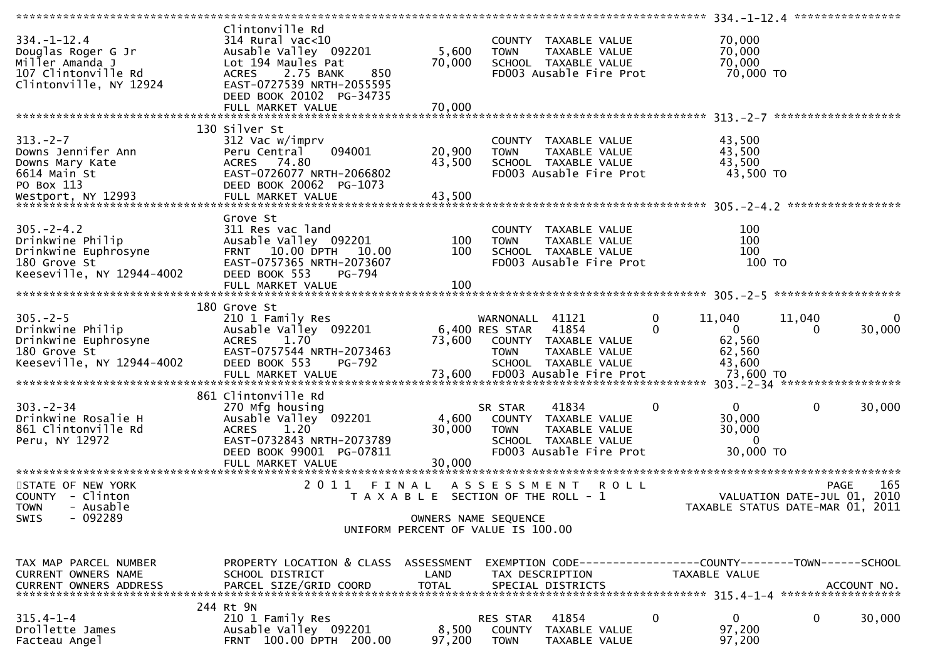| $334. - 1 - 12.4$<br>Douglas Roger G Jr<br>Miller Amanda J<br>107 Clintonville Rd<br>Clintonville, NY 12924 | Clintonville Rd<br>$314$ Rural vac<10<br>Ausable Valley 092201<br>Lot 194 Maules Pat<br>2.75 BANK<br><b>ACRES</b><br>850<br>EAST-0727539 NRTH-2055595<br>DEED BOOK 20102 PG-34735<br>FULL MARKET VALUE | 5,600<br>70,000<br>70,000 | COUNTY TAXABLE VALUE<br>TAXABLE VALUE<br>TOWN<br>SCHOOL TAXABLE VALUE<br>FD003 Ausable Fire Prot                            |              | 70,000<br>70,000<br>70,000<br>70,000 TO                                       |                                            |             |
|-------------------------------------------------------------------------------------------------------------|--------------------------------------------------------------------------------------------------------------------------------------------------------------------------------------------------------|---------------------------|-----------------------------------------------------------------------------------------------------------------------------|--------------|-------------------------------------------------------------------------------|--------------------------------------------|-------------|
|                                                                                                             |                                                                                                                                                                                                        |                           |                                                                                                                             |              |                                                                               |                                            |             |
| $313. -2 - 7$<br>Downs Jennifer Ann<br>Downs Mary Kate<br>6614 Main St<br>PO Box 113                        | 130 Silver St<br>312 Vac w/imprv<br>094001<br>Peru Central<br>ACRES 74.80<br>EAST-0726077 NRTH-2066802<br>DEED BOOK 20062 PG-1073                                                                      | 20,900<br>43,500          | COUNTY TAXABLE VALUE<br><b>TOWN</b><br>TAXABLE VALUE<br>SCHOOL TAXABLE VALUE<br>FD003 Ausable Fire Prot                     |              | 43,500<br>43,500<br>43,500<br>43,500 TO                                       |                                            |             |
| $305. - 2 - 4.2$<br>Drinkwine Philip<br>Drinkwine Euphrosyne<br>180 Grove St<br>Keeseville, NY 12944-4002   | Grove St<br>311 Res vac land<br>Ausable Valley 092201<br>FRNT 10.00 DPTH 10.00<br>EAST-0757365 NRTH-2073607<br>DEED BOOK 553<br>PG-794<br>FULL MARKET VALUE                                            | 100<br>100<br>100         | COUNTY TAXABLE VALUE<br><b>TOWN</b><br>TAXABLE VALUE<br>SCHOOL TAXABLE VALUE<br>FD003 Ausable Fire Prot                     |              | 100<br>100<br>100<br>100 TO                                                   |                                            |             |
| $305. - 2 - 5$<br>Drinkwine Philip<br>Drinkwine Euphrosyne<br>180 Grove St<br>Keeseville, NY 12944-4002     | 180 Grove St<br>210 1 Family Res<br>Ausable Valley 092201<br>1.70<br><b>ACRES</b><br>EAST-0757544 NRTH-2073463<br>DEED BOOK 553<br><b>PG-792</b>                                                       | 73,600                    | WARNONALL 41121<br>6,400 RES STAR<br>41854<br>COUNTY TAXABLE VALUE<br>TAXABLE VALUE<br>TOWN<br>SCHOOL TAXABLE VALUE         | 0<br>0       | 11,040<br>$\mathbf{0}$<br>62,560<br>62,560<br>43,600                          | 11,040<br>0                                | 0<br>30,000 |
| $303 - 2 - 34$<br>Drinkwine Rosalie H<br>861 Clintonville Rd<br>Peru, NY 12972                              | 861 Clintonville Rd<br>270 Mfg housing<br>Ausable Valley 092201<br><b>ACRES</b><br>1.20<br>EAST-0732843 NRTH-2073789<br>DEED BOOK 99001 PG-07811                                                       | 4,600<br>30,000           | 41834<br>SR STAR<br>COUNTY TAXABLE VALUE<br><b>TOWN</b><br>TAXABLE VALUE<br>SCHOOL TAXABLE VALUE<br>FD003 Ausable Fire Prot | $\mathbf{0}$ | $\overline{0}$<br>30,000<br>30,000<br>$\mathbf{0}$<br>30,000 TO               | $\mathbf{0}$                               | 30,000      |
| STATE OF NEW YORK<br>COUNTY - Clinton<br>- Ausable<br><b>TOWN</b><br>SWIS<br>$-092289$                      | 2011                                                                                                                                                                                                   | FINAL                     | A S S E S S M E N T<br>T A X A B L E SECTION OF THE ROLL - 1<br>OWNERS NAME SEQUENCE<br>UNIFORM PERCENT OF VALUE IS 100.00  | R O L L      | TAXABLE STATUS DATE-MAR 01, 2011                                              | <b>PAGE</b><br>VALUATION DATE-JUL 01, 2010 | 165         |
| TAX MAP PARCEL NUMBER<br><b>CURRENT OWNERS NAME</b><br>CURRENT OWNERS ADDRESS                               | PROPERTY LOCATION & CLASS ASSESSMENT<br>SCHOOL DISTRICT<br>PARCEL SIZE/GRID COORD                                                                                                                      | LAND<br><b>TOTAL</b>      | TAX DESCRIPTION<br>SPECIAL DISTRICTS                                                                                        |              | EXEMPTION CODE-----------------COUNTY-------TOWN------SCHOOL<br>TAXABLE VALUE |                                            | ACCOUNT NO. |
| $315.4 - 1 - 4$<br>Drollette James<br>Facteau Angel                                                         | 244 Rt 9N<br>210 1 Family Res<br>Ausable Valley 092201<br>FRNT 100.00 DPTH 200.00                                                                                                                      | 8,500<br>97,200           | 41854<br>RES STAR<br>COUNTY<br>TAXABLE VALUE<br><b>TOWN</b><br>TAXABLE VALUE                                                | 0            | 0<br>97,200<br>97,200                                                         | 0                                          | 30,000      |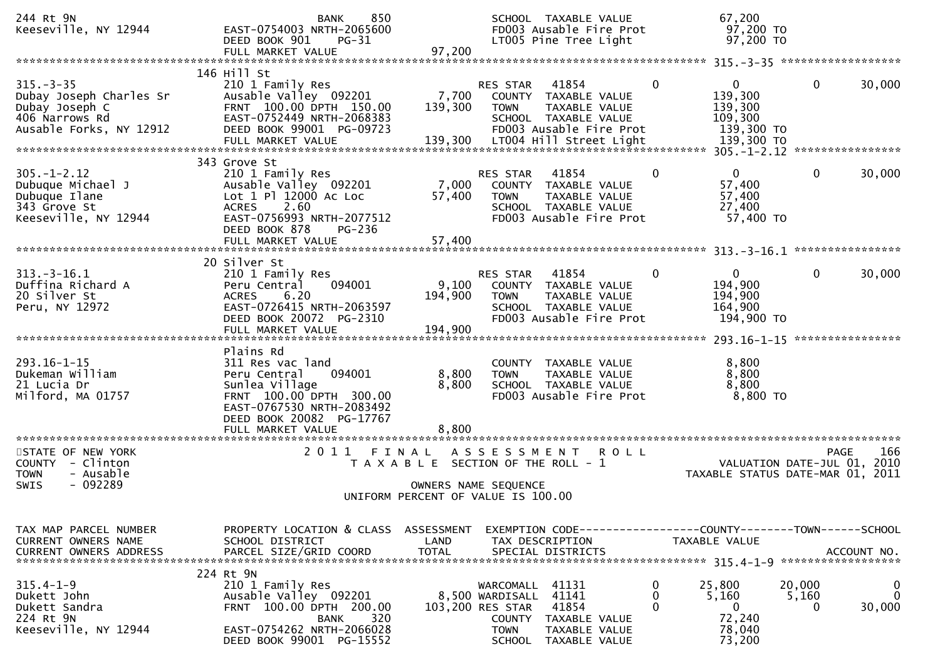| 244 Rt 9N<br>Keeseville, NY 12944                                                                        | 850<br><b>BANK</b><br>EAST-0754003 NRTH-2065600<br>DEED BOOK 901<br>$PG-31$<br>FULL MARKET VALUE                                                                  | 97,200                                                                                                       |                                                                                                   | SCHOOL TAXABLE VALUE<br>FD003 Ausable Fire Prot<br>LT005 Pine Tree Light                                                     |             |              | 67,200<br>97,200 TO<br>97,200 TO                                                     |                      |                                      |
|----------------------------------------------------------------------------------------------------------|-------------------------------------------------------------------------------------------------------------------------------------------------------------------|--------------------------------------------------------------------------------------------------------------|---------------------------------------------------------------------------------------------------|------------------------------------------------------------------------------------------------------------------------------|-------------|--------------|--------------------------------------------------------------------------------------|----------------------|--------------------------------------|
|                                                                                                          |                                                                                                                                                                   |                                                                                                              |                                                                                                   |                                                                                                                              |             |              |                                                                                      |                      |                                      |
| $315 - 3 - 35$<br>Dubay Joseph Charles Sr<br>Dubay Joseph C<br>406 Narrows Rd<br>Ausable Forks, NY 12912 | 146 Hill St<br>210 1 Family Res<br>Ausable Valley 092201<br>FRNT 100.00 DPTH 150.00<br>EAST-0752449 NRTH-2068383<br>DEED BOOK 99001 PG-09723<br>FULL MARKET VALUE | 7,700<br>139,300<br>139,300                                                                                  | RES STAR<br><b>TOWN</b>                                                                           | 41854<br>COUNTY TAXABLE VALUE<br>TAXABLE VALUE<br>SCHOOL TAXABLE VALUE<br>FD003 Ausable Fire Prot<br>LT004 Hill Street Light |             | $\mathbf 0$  | $\mathbf{0}$<br>139,300<br>139,300<br>109,300<br>139,300 TO<br>139,300 TO            | $\mathbf 0$          | 30,000                               |
|                                                                                                          | 343 Grove St                                                                                                                                                      |                                                                                                              |                                                                                                   |                                                                                                                              |             |              |                                                                                      |                      |                                      |
| $305. - 1 - 2.12$<br>Dubuque Michael J<br>Dubuque Ilane<br>343 Grove St<br>Keeseville, NY 12944          | 210 1 Family Res<br>Ausable Valley 092201<br>Lot 1 Pl 12000 Ac Loc<br>2.60<br><b>ACRES</b><br>EAST-0756993 NRTH-2077512<br>DEED BOOK 878<br>PG-236                | 7,000<br>57,400<br>57,400                                                                                    | <b>RES STAR</b><br><b>TOWN</b>                                                                    | 41854<br>COUNTY TAXABLE VALUE<br>TAXABLE VALUE<br>SCHOOL TAXABLE VALUE<br>FD003 Ausable Fire Prot                            |             | 0            | $\mathbf{0}$<br>57,400<br>57,400<br>27,400<br>57,400 TO                              | $\mathbf 0$          | 30,000                               |
|                                                                                                          | FULL MARKET VALUE                                                                                                                                                 |                                                                                                              |                                                                                                   |                                                                                                                              |             |              |                                                                                      |                      |                                      |
| $313.-3-16.1$<br>Duffina Richard A<br>20 Silver St<br>Peru, NY 12972                                     | 20 Silver St<br>210 1 Family Res<br>094001<br>Peru Central<br>6.20<br><b>ACRES</b><br>EAST-0726415 NRTH-2063597<br>DEED BOOK 20072 PG-2310<br>FULL MARKET VALUE   | 9,100<br>194,900<br>194,900                                                                                  | RES STAR<br><b>TOWN</b>                                                                           | 41854<br>COUNTY TAXABLE VALUE<br>TAXABLE VALUE<br>SCHOOL TAXABLE VALUE<br>FD003 Ausable Fire Prot                            |             | $\mathbf{0}$ | $\mathbf{0}$<br>194,900<br>194,900<br>164,900<br>194,900 TO                          | $\mathbf{0}$         | 30,000                               |
|                                                                                                          | Plains Rd                                                                                                                                                         |                                                                                                              |                                                                                                   |                                                                                                                              |             |              |                                                                                      |                      | ****************                     |
| $293.16 - 1 - 15$<br>Dukeman William<br>21 Lucia Dr<br>Milford, MA 01757                                 | 311 Res vac land<br>094001<br>Peru Central<br>Sunlea Village<br>FRNT 100.00 DPTH 300.00<br>EAST-0767530 NRTH-2083492<br>DEED BOOK 20082 PG-17767                  | 8,800<br>8,800                                                                                               | <b>TOWN</b>                                                                                       | COUNTY TAXABLE VALUE<br>TAXABLE VALUE<br>SCHOOL TAXABLE VALUE<br>FD003 Ausable Fire Prot                                     |             |              | 8,800<br>8,800<br>8,800<br>8,800 TO                                                  |                      |                                      |
|                                                                                                          | FULL MARKET VALUE                                                                                                                                                 | 8.800                                                                                                        |                                                                                                   |                                                                                                                              |             |              |                                                                                      |                      |                                      |
| STATE OF NEW YORK<br>COUNTY - Clinton<br>- Ausable<br><b>TOWN</b><br>$-092289$<br><b>SWIS</b>            | 2 0 1 1                                                                                                                                                           | FINAL<br>T A X A B L E SECTION OF THE ROLL - 1<br>OWNERS NAME SEQUENCE<br>UNIFORM PERCENT OF VALUE IS 100.00 | A S S E S S M E N T                                                                               |                                                                                                                              | <b>ROLL</b> |              | VALUATION DATE-JUL 01, 2010<br>TAXABLE STATUS DATE-MAR 01, 2011                      | <b>PAGE</b>          | 166                                  |
| TAX MAP PARCEL NUMBER<br>CURRENT OWNERS NAME<br><b>CURRENT OWNERS ADDRESS</b>                            | PROPERTY LOCATION & CLASS<br>SCHOOL DISTRICT<br>PARCEL SIZE/GRID COORD                                                                                            | <b>ASSESSMENT</b><br>LAND<br><b>TOTAL</b>                                                                    |                                                                                                   | TAX DESCRIPTION<br>SPECIAL DISTRICTS                                                                                         |             |              | EXEMPTION        CODE-----------------COUNTY-------TOWN------SCHOOL<br>TAXABLE VALUE | ******************   | ACCOUNT NO.                          |
|                                                                                                          | 224 Rt 9N                                                                                                                                                         |                                                                                                              |                                                                                                   |                                                                                                                              |             |              |                                                                                      |                      |                                      |
| $315.4 - 1 - 9$<br>Dukett John<br>Dukett Sandra<br>224 Rt 9N<br>Keeseville, NY 12944                     | 210 1 Family Res<br>Ausable Valley 092201<br>FRNT 100.00 DPTH 200.00<br>320<br><b>BANK</b><br>EAST-0754262 NRTH-2066028<br>DEED BOOK 99001 PG-15552               |                                                                                                              | WARCOMALL<br>8,500 WARDISALL<br>103,200 RES STAR<br><b>COUNTY</b><br><b>TOWN</b><br><b>SCHOOL</b> | 41131<br>41141<br>41854<br>TAXABLE VALUE<br>TAXABLE VALUE<br>TAXABLE VALUE                                                   |             | 0<br>0<br>0  | 25,800<br>5,160<br>$\mathbf{0}$<br>72,240<br>78,040<br>73,200                        | 20,000<br>5,160<br>0 | $\mathbf 0$<br>$\mathbf 0$<br>30,000 |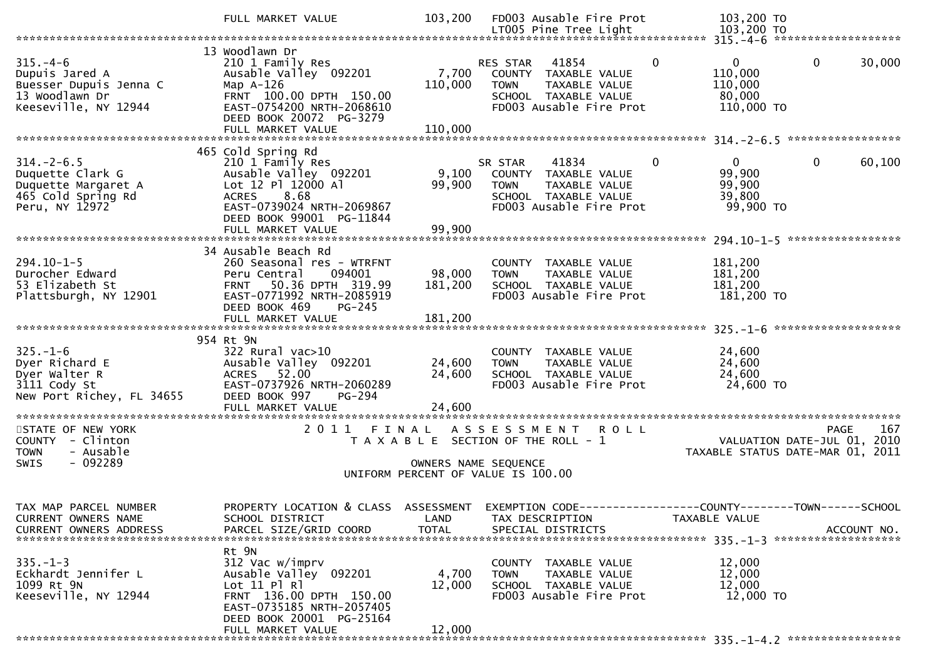|                                                                                                     | FULL MARKET VALUE                                                                                                                                                                   | 103,200                      | FD003 Ausable Fire Prot                                                                                                                  | 103,200 TO                                                                                                                       |
|-----------------------------------------------------------------------------------------------------|-------------------------------------------------------------------------------------------------------------------------------------------------------------------------------------|------------------------------|------------------------------------------------------------------------------------------------------------------------------------------|----------------------------------------------------------------------------------------------------------------------------------|
|                                                                                                     |                                                                                                                                                                                     |                              | LT005 Pine Tree Light                                                                                                                    | 103,200 TO                                                                                                                       |
| $315. -4-6$<br>Dupuis Jared A<br>Buesser Dupuis Jenna C<br>13 Woodlawn Dr<br>Keeseville, NY 12944   | 13 Woodlawn Dr<br>210 1 Family Res<br>Ausable Valley 092201<br>Map $A-126$<br>FRNT 100.00 DPTH 150.00<br>EAST-0754200 NRTH-2068610<br>DEED BOOK 20072 PG-3279<br>FULL MARKET VALUE  | 7,700<br>110,000<br>110,000  | $\Omega$<br>41854<br>RES STAR<br>COUNTY TAXABLE VALUE<br><b>TOWN</b><br>TAXABLE VALUE<br>SCHOOL TAXABLE VALUE<br>FD003 Ausable Fire Prot | $\mathbf 0$<br>$\mathbf{0}$<br>30,000<br>110,000<br>110,000<br>80,000<br>110,000 TO                                              |
|                                                                                                     |                                                                                                                                                                                     |                              |                                                                                                                                          |                                                                                                                                  |
| $314. - 2 - 6.5$<br>Duquette Clark G<br>Duquette Margaret A<br>465 Cold Spring Rd<br>Peru, NY 12972 | 465 Cold Spring Rd<br>210 1 Family Res<br>Ausable Valley 092201<br>Lot 12 Pl 12000 Al<br>ACRES 8.68<br>EAST-0739024 NRTH-2069867<br>DEED BOOK 99001 PG-11844                        | 9,100<br>99,900              | 41834<br>$\Omega$<br>SR STAR<br>COUNTY TAXABLE VALUE<br><b>TOWN</b><br>TAXABLE VALUE<br>SCHOOL TAXABLE VALUE<br>FD003 Ausable Fire Prot  | $\overline{0}$<br>$\mathbf{0}$<br>60,100<br>99,900<br>99,900<br>39,800<br>99,900 TO                                              |
|                                                                                                     | FULL MARKET VALUE                                                                                                                                                                   | 99,900                       |                                                                                                                                          | *****************                                                                                                                |
| $294.10 - 1 - 5$<br>Durocher Edward<br>53 Elizabeth St<br>Plattsburgh, NY 12901                     | 34 Ausable Beach Rd<br>260 Seasonal res - WTRFNT<br>Peru Central<br>094001<br>FRNT 50.36 DPTH 319.99<br>EAST-0771992 NRTH-2085919<br>DEED BOOK 469<br>$PG-245$<br>FULL MARKET VALUE | 98,000<br>181,200<br>181,200 | COUNTY TAXABLE VALUE<br>TAXABLE VALUE<br><b>TOWN</b><br>SCHOOL TAXABLE VALUE<br>FD003 Ausable Fire Prot                                  | 181,200<br>181,200<br>181,200<br>181,200 TO                                                                                      |
|                                                                                                     |                                                                                                                                                                                     |                              |                                                                                                                                          |                                                                                                                                  |
| $325. - 1 - 6$<br>Dyer Richard E<br>Dyer Walter R<br>3111 Cody St<br>New Port Richey, FL 34655      | 954 Rt 9N<br>$322$ Rural vac $>10$<br>Ausable Valley 092201<br>ACRES 52.00<br>EAST-0737926 NRTH-2060289<br>DEED BOOK 997<br><b>PG-294</b>                                           | 24,600<br>24,600             | COUNTY TAXABLE VALUE<br>TAXABLE VALUE<br><b>TOWN</b><br>SCHOOL TAXABLE VALUE<br>FD003 Ausable Fire Prot                                  | 24,600<br>24,600<br>24,600<br>24,600 TO                                                                                          |
|                                                                                                     |                                                                                                                                                                                     |                              |                                                                                                                                          |                                                                                                                                  |
| STATE OF NEW YORK<br>COUNTY - Clinton<br>- Ausable<br><b>TOWN</b><br>$-092289$<br><b>SWIS</b>       |                                                                                                                                                                                     | OWNERS NAME SEQUENCE         | 2011 FINAL ASSESSMENT<br><b>ROLL</b><br>T A X A B L E SECTION OF THE ROLL - 1<br>UNIFORM PERCENT OF VALUE IS 100.00                      | 167<br><b>PAGE</b><br>VALUATION DATE-JUL 01, 2010<br>TAXABLE STATUS DATE-MAR 01, 2011                                            |
| TAX MAP PARCEL NUMBER<br>CURRENT OWNERS NAME<br><b>CURRENT OWNERS ADDRESS</b>                       | SCHOOL DISTRICT<br>PARCEL SIZE/GRID COORD                                                                                                                                           | LAND<br><b>TOTAL</b>         | TAX DESCRIPTION<br>SPECIAL DISTRICTS                                                                                                     | PROPERTY LOCATION & CLASS ASSESSMENT EXEMPTION CODE----------------COUNTY-------TOWN------SCHOOL<br>TAXABLE VALUE<br>ACCOUNT NO. |
| $335 - 1 - 3$<br>Eckhardt Jennifer L<br>1099 Rt 9N<br>Keeseville, NY 12944                          | Rt 9N<br>312 Vac w/imprv<br>Ausable Valley 092201<br>Lot 11 Pl Rl<br>FRNT 136.00 DPTH 150.00<br>EAST-0735185 NRTH-2057405<br>DEED BOOK 20001 PG-25164<br>FULL MARKET VALUE          | 4,700<br>12,000<br>12,000    | TAXABLE VALUE<br><b>COUNTY</b><br><b>TOWN</b><br>TAXABLE VALUE<br>SCHOOL TAXABLE VALUE<br>FD003 Ausable Fire Prot                        | 12,000<br>12,000<br>12,000<br>12,000 TO                                                                                          |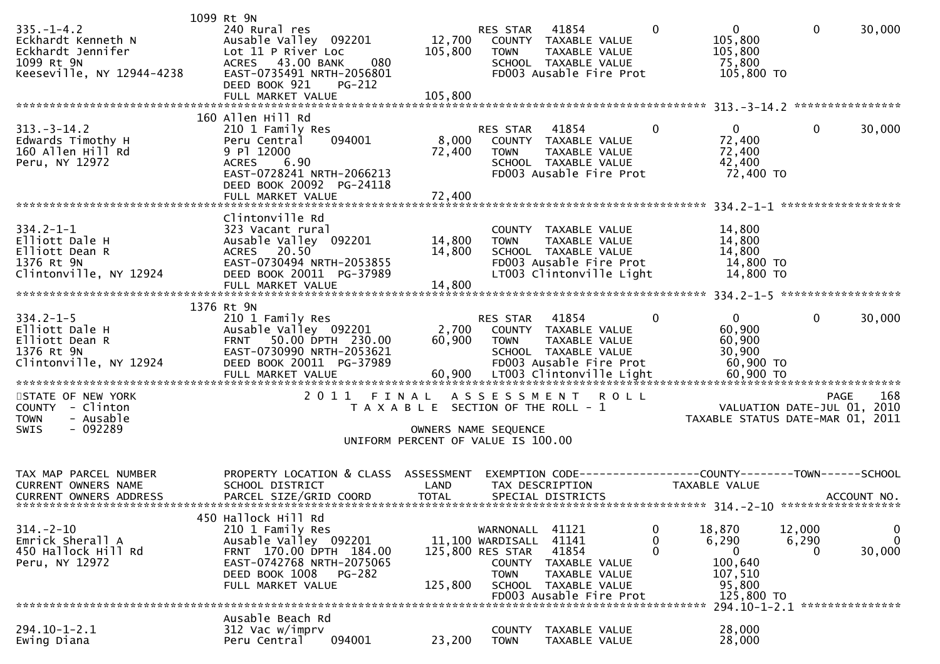| $335. - 1 - 4.2$<br>Eckhardt Kenneth N<br>Eckhardt Jennifer<br>1099 Rt 9N<br>Keeseville, NY 12944-4238 | 1099 Rt 9N<br>240 Rural res<br>Ausable Valley 092201<br>Lot 11 P River Loc<br>43.00 BANK<br>080<br><b>ACRES</b><br>EAST-0735491 NRTH-2056801<br>DEED BOOK 921<br>PG-212<br>FULL MARKET VALUE | 12,700<br>105,800<br>105,800                                                         | RES STAR<br><b>TOWN</b>                                                           | 41854<br>COUNTY TAXABLE VALUE<br>TAXABLE VALUE<br>SCHOOL TAXABLE VALUE<br>FD003 Ausable Fire Prot                      | $\mathbf{0}$<br>0<br>105,800<br>105,800<br>75,800<br>105,800 TO                                     | $\mathbf{0}$                  | 30,000                               |
|--------------------------------------------------------------------------------------------------------|----------------------------------------------------------------------------------------------------------------------------------------------------------------------------------------------|--------------------------------------------------------------------------------------|-----------------------------------------------------------------------------------|------------------------------------------------------------------------------------------------------------------------|-----------------------------------------------------------------------------------------------------|-------------------------------|--------------------------------------|
| $313 - 3 - 14.2$<br>Edwards Timothy H<br>160 Allen Hill Rd<br>Peru, NY 12972                           | 160 Allen Hill Rd<br>210 1 Family Res<br>094001<br>Peru Central<br>9 Pl 12000<br><b>ACRES</b><br>6.90<br>EAST-0728241 NRTH-2066213<br>DEED BOOK 20092 PG-24118<br>FULL MARKET VALUE          | 8,000<br>72,400<br>72,400                                                            | RES STAR<br><b>TOWN</b>                                                           | 41854<br>COUNTY TAXABLE VALUE<br>TAXABLE VALUE<br>SCHOOL TAXABLE VALUE<br>FD003 Ausable Fire Prot                      | $\mathbf{0}$<br>$\mathbf{0}$<br>72,400<br>72,400<br>42,400<br>72,400 TO                             | $\mathbf{0}$                  | 30,000                               |
| $334.2 - 1 - 1$<br>Elliott Dale H<br>Elliott Dean R<br>1376 Rt 9N<br>Clintonville, NY 12924            | Clintonville Rd<br>323 Vacant rural<br>Ausable Valley 092201<br>20.50<br><b>ACRES</b><br>EAST-0730494 NRTH-2053855<br>DEED BOOK 20011 PG-37989<br>FULL MARKET VALUE                          | 14,800<br>14,800<br>14,800                                                           | <b>TOWN</b>                                                                       | COUNTY TAXABLE VALUE<br>TAXABLE VALUE<br>SCHOOL TAXABLE VALUE<br>FD003 Ausable Fire Prot<br>LT003 Clintonville Light   | 14,800<br>14,800<br>14,800<br>14,800 TO<br>14,800 TO                                                |                               |                                      |
| $334.2 - 1 - 5$<br>Elliott Dale H<br>Elliott Dean R<br>1376 Rt 9N<br>Clintonville, NY 12924            | 1376 Rt 9N<br>210 1 Family Res<br>Ausable Valley 092201<br>50.00 DPTH 230.00<br><b>FRNT</b><br>EAST-0730990 NRTH-2053621<br>DEED BOOK 20011 PG-37989<br>FULL MARKET VALUE                    | 2,700<br>60,900<br>60,900                                                            | RES STAR<br>COUNTY<br><b>TOWN</b>                                                 | 41854<br>TAXABLE VALUE<br>TAXABLE VALUE<br>SCHOOL TAXABLE VALUE<br>FD003 Ausable Fire Prot<br>LT003 Clintonville Light | $\overline{0}$<br>0<br>60,900<br>60,900<br>30,900<br>60,900 TO<br>60,900 ТО                         | $\mathbf{0}$                  | 30,000                               |
| STATE OF NEW YORK<br>COUNTY - Clinton<br><b>TOWN</b><br>- Ausable<br>$-092289$<br><b>SWIS</b>          | 2011                                                                                                                                                                                         | FINAL<br>T A X A B L E SECTION OF THE ROLL - 1<br>UNIFORM PERCENT OF VALUE IS 100.00 | A S S E S S M E N T<br>OWNERS NAME SEQUENCE                                       | <b>ROLL</b>                                                                                                            | TAXABLE STATUS DATE-MAR 01, 2011                                                                    | VALUATION DATE-JUL 01, 2010   | 168<br><b>PAGE</b>                   |
| TAX MAP PARCEL NUMBER<br><b>CURRENT OWNERS NAME</b><br><b>CURRENT OWNERS ADDRESS</b>                   | PROPERTY LOCATION & CLASS ASSESSMENT<br>SCHOOL DISTRICT<br>PARCEL SIZE/GRID COORD                                                                                                            | LAND<br><b>TOTAL</b>                                                                 |                                                                                   | TAX DESCRIPTION<br>SPECIAL DISTRICTS                                                                                   | EXEMPTION CODE-----------------COUNTY-------TOWN------SCHOOL<br>TAXABLE VALUE                       |                               | ACCOUNT NO.                          |
| $314. - 2 - 10$<br>Emrick Sherall A<br>450 Hallock Hill Rd<br>Peru, NY 12972                           | 450 Hallock Hill Rd<br>210 1 Family Res<br>Ausable Valley 092201<br>FRNT 170.00 DPTH 184.00<br>EAST-0742768 NRTH-2075065<br>DEED BOOK 1008<br><b>PG-282</b><br>FULL MARKET VALUE             | 125,800                                                                              | WARNONALL<br>11,100 WARDISALL<br>125,800 RES STAR<br><b>COUNTY</b><br><b>TOWN</b> | 41121<br>41141<br>41854<br>TAXABLE VALUE<br>TAXABLE VALUE<br>SCHOOL TAXABLE VALUE<br>FD003 Ausable Fire Prot           | 0<br>18,870<br>0<br>6,290<br>$\Omega$<br>$\mathbf{0}$<br>100,640<br>107,510<br>95,800<br>125,800 TO | 12,000<br>6,290<br>0          | $\mathbf 0$<br>$\mathbf 0$<br>30,000 |
| $294.10 - 1 - 2.1$<br>Ewing Diana                                                                      | Ausable Beach Rd<br>312 Vac w/imprv<br>094001<br>Peru Central                                                                                                                                | 23,200                                                                               | <b>COUNTY</b><br><b>TOWN</b>                                                      | TAXABLE VALUE<br>TAXABLE VALUE                                                                                         | 28,000<br>28,000                                                                                    | 294.10-1-2.1 **************** |                                      |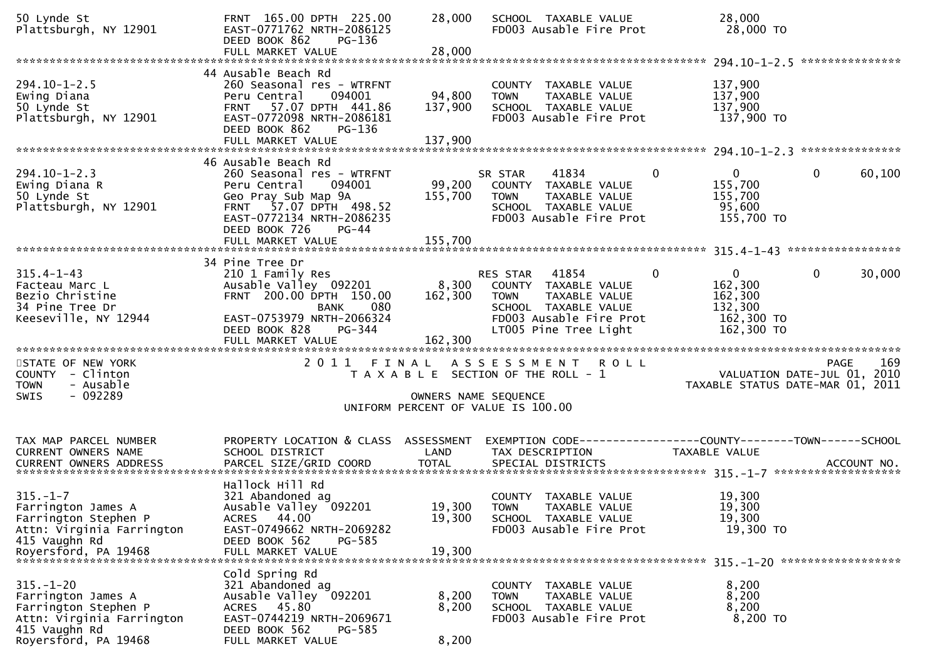| 50 Lynde St<br>Plattsburgh, NY 12901                                        | FRNT 165.00 DPTH 225.00<br>EAST-0771762 NRTH-2086125<br>DEED BOOK 862<br>PG-136                                                                                                      | 28,000             | SCHOOL TAXABLE VALUE<br>FD003 Ausable Fire Prot                                                                                  | 28,000<br>28,000 TO                                             |                          |
|-----------------------------------------------------------------------------|--------------------------------------------------------------------------------------------------------------------------------------------------------------------------------------|--------------------|----------------------------------------------------------------------------------------------------------------------------------|-----------------------------------------------------------------|--------------------------|
| $294.10 - 1 - 2.5$<br>Ewing Diana                                           | 44 Ausable Beach Rd<br>260 Seasonal res - WTRFNT<br>Peru Central<br>094001                                                                                                           | 94,800             | COUNTY TAXABLE VALUE<br><b>TOWN</b><br>TAXABLE VALUE                                                                             | 137,900<br>137,900                                              |                          |
| 50 Lynde St<br>Plattsburgh, NY 12901                                        | 57.07 DPTH 441.86<br><b>FRNT</b><br>EAST-0772098 NRTH-2086181<br>DEED BOOK 862<br>PG-136<br>FULL MARKET VALUE                                                                        | 137,900<br>137,900 | SCHOOL TAXABLE VALUE<br>FD003 Ausable Fire Prot                                                                                  | 137,900<br>137,900 TO                                           |                          |
|                                                                             |                                                                                                                                                                                      |                    |                                                                                                                                  |                                                                 |                          |
| $294.10 - 1 - 2.3$<br>Ewing Diana R<br>50 Lynde St<br>Plattsburgh, NY 12901 | 46 Ausable Beach Rd<br>260 Seasonal res - WTRFNT<br>094001<br>Peru Central<br>Geo Pray Sub Map 9A<br>FRNT 57.07 DPTH 498.52<br>EAST-0772134 NRTH-2086235<br>DEED BOOK 726<br>$PG-44$ | 155,700            | 41834<br>SR STAR<br>0<br>99,200 COUNTY TAXABLE VALUE<br>TOWN<br>TAXABLE VALUE<br>SCHOOL TAXABLE VALUE<br>FD003 Ausable Fire Prot | $\overline{0}$<br>155,700<br>155,700<br>95,600<br>155,700 TO    | $\mathbf{0}$<br>60,100   |
|                                                                             | FULL MARKET VALUE                                                                                                                                                                    | 155,700            |                                                                                                                                  |                                                                 |                          |
|                                                                             | 34 Pine Tree Dr                                                                                                                                                                      |                    |                                                                                                                                  |                                                                 |                          |
| $315.4 - 1 - 43$<br>Facteau Marc L<br>Bezio Christine<br>34 Pine Tree Dr    | 210 1 Family Res<br>Ausable Valley 092201<br>FRNT 200.00 DPTH 150.00<br><b>BANK</b><br>080                                                                                           | 8,300<br>162,300   | 41854<br>0<br>RES STAR<br>COUNTY TAXABLE VALUE<br><b>TOWN</b><br>TAXABLE VALUE<br>SCHOOL TAXABLE VALUE                           | $\mathbf{0}$<br>162,300<br>162,300<br>132,300                   | $\overline{0}$<br>30,000 |
| Keeseville, NY 12944                                                        | EAST-0753979 NRTH-2066324<br>DEED BOOK 828<br>PG-344<br>FULL MARKET VALUE                                                                                                            | 162,300            | FD003 Ausable Fire Prot<br>LT005 Pine Tree Light                                                                                 | 162,300 TO<br>162,300 TO                                        |                          |
| STATE OF NEW YORK<br>COUNTY - Clinton<br>- Ausable<br><b>TOWN</b>           |                                                                                                                                                                                      |                    | 2011 FINAL ASSESSMENT<br>ROLL<br>T A X A B L E SECTION OF THE ROLL - 1                                                           | VALUATION DATE-JUL 01, 2010<br>TAXABLE STATUS DATE-MAR 01, 2011 | 169<br><b>PAGE</b>       |
| $-092289$<br><b>SWIS</b>                                                    |                                                                                                                                                                                      |                    | OWNERS NAME SEQUENCE<br>UNIFORM PERCENT OF VALUE IS 100.00                                                                       |                                                                 |                          |
| TAX MAP PARCEL NUMBER                                                       | PROPERTY LOCATION & CLASS ASSESSMENT                                                                                                                                                 |                    |                                                                                                                                  |                                                                 |                          |
| CURRENT OWNERS NAME                                                         | SCHOOL DISTRICT                                                                                                                                                                      | LAND               | TAX DESCRIPTION                                                                                                                  | TAXABLE VALUE                                                   |                          |
|                                                                             | Hallock Hill Rd                                                                                                                                                                      |                    |                                                                                                                                  |                                                                 |                          |
| $315. - 1 - 7$<br>Farrington James A                                        | 321 Abandoned ag<br>Ausable Valley 092201                                                                                                                                            | 19,300             | COUNTY TAXABLE VALUE<br><b>TOWN</b><br>TAXABLE VALUE                                                                             | 19,300<br>19,300                                                |                          |
| Farrington Stephen P                                                        | ACRES 44.00                                                                                                                                                                          | 19,300             | SCHOOL TAXABLE VALUE                                                                                                             | 19,300                                                          |                          |
| Attn: Virginia Farrington                                                   | EAST-0749662 NRTH-2069282                                                                                                                                                            |                    | FD003 Ausable Fire Prot                                                                                                          | 19,300 TO                                                       |                          |
| 415 Vaughn Rd<br>Royersford, PA 19468                                       | DEED BOOK 562<br>$PG-585$<br>FULL MARKET VALUE                                                                                                                                       | 19,300             |                                                                                                                                  |                                                                 |                          |
|                                                                             | Cold Spring Rd                                                                                                                                                                       |                    |                                                                                                                                  |                                                                 |                          |
| $315. - 1 - 20$                                                             | 321 Abandoned ag                                                                                                                                                                     |                    | COUNTY TAXABLE VALUE                                                                                                             | 8,200                                                           |                          |
| Farrington James A<br>Farrington Stephen P                                  | Ausable Valley 092201<br>ACRES 45.80                                                                                                                                                 | 8,200<br>8,200     | TAXABLE VALUE<br><b>TOWN</b><br>SCHOOL TAXABLE VALUE                                                                             | 8,200<br>8,200                                                  |                          |
| Attn: Virginia Farrington                                                   | EAST-0744219 NRTH-2069671                                                                                                                                                            |                    | FD003 Ausable Fire Prot                                                                                                          | 8,200 TO                                                        |                          |
| 415 Vaughn Rd<br>Royersford, PA 19468                                       | PG-585<br>DEED BOOK 562<br>FULL MARKET VALUE                                                                                                                                         | 8,200              |                                                                                                                                  |                                                                 |                          |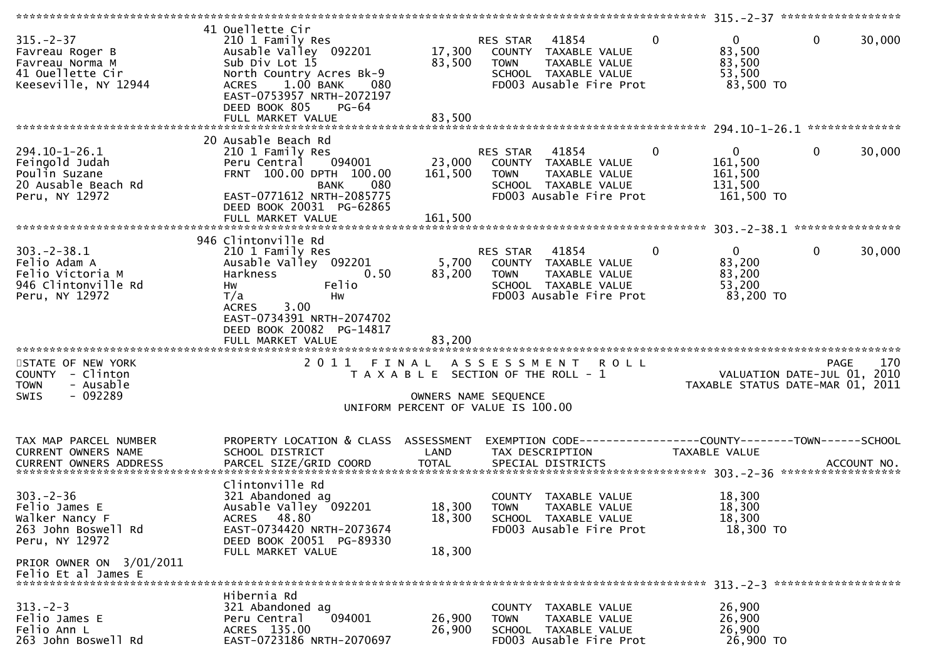| $315. - 2 - 37$<br>Favreau Roger B<br>Favreau Norma M<br>41 Ouellette Cir<br>Keeseville, NY 12944                                             | 41 Ouellette Cir<br>210 1 Family Res<br>Ausable Valley 092201<br>Sub Div Lot 15<br>North Country Acres Bk-9<br>$1.00$ BANK<br><b>ACRES</b><br>080<br>EAST-0753957 NRTH-2072197<br>DEED BOOK 805<br>PG-64<br>FULL MARKET VALUE | 17,300<br>83,500<br>83,500   | 41854<br>RES STAR<br>COUNTY TAXABLE VALUE<br>TAXABLE VALUE<br><b>TOWN</b><br>SCHOOL TAXABLE VALUE<br>FD003 Ausable Fire Prot | $\mathbf{0}$<br>$\mathbf{0}$<br>83,500<br>83,500<br>53,500<br>83,500 TO | 0<br>30,000                                                                           |
|-----------------------------------------------------------------------------------------------------------------------------------------------|-------------------------------------------------------------------------------------------------------------------------------------------------------------------------------------------------------------------------------|------------------------------|------------------------------------------------------------------------------------------------------------------------------|-------------------------------------------------------------------------|---------------------------------------------------------------------------------------|
|                                                                                                                                               |                                                                                                                                                                                                                               |                              |                                                                                                                              |                                                                         |                                                                                       |
| $294.10 - 1 - 26.1$<br>Feingold Judah<br>Poulin Suzane<br>20 Ausable Beach Rd<br>Peru, NY 12972                                               | 20 Ausable Beach Rd<br>210 1 Family Res<br>094001<br>Peru Central<br>FRNT 100.00 DPTH 100.00<br><b>BANK</b><br>080<br>EAST-0771612 NRTH-2085775<br>DEED BOOK 20031 PG-62865<br>FULL MARKET VALUE                              | 23,000<br>161,500<br>161,500 | RES STAR<br>41854<br>COUNTY TAXABLE VALUE<br><b>TOWN</b><br>TAXABLE VALUE<br>SCHOOL TAXABLE VALUE<br>FD003 Ausable Fire Prot | 0<br>$\overline{0}$<br>161,500<br>161,500<br>131,500<br>161,500 TO      | $\mathbf{0}$<br>30,000                                                                |
|                                                                                                                                               |                                                                                                                                                                                                                               |                              |                                                                                                                              |                                                                         |                                                                                       |
| $303 - 2 - 38.1$<br>Felio Adam A<br>Felio Victoria M<br>946 Clintonville Rd<br>Peru, NY 12972                                                 | 946 Clintonville Rd<br>210 1 Family Res<br>Ausable Valley 092201<br>Harkness<br>0.50<br>Felio<br>Hw<br>T/a<br>Hw<br>3.00<br><b>ACRES</b><br>EAST-0734391 NRTH-2074702<br>DEED BOOK 20082 PG-14817                             | 5,700<br>83,200              | 41854<br>RES STAR<br>COUNTY TAXABLE VALUE<br>TAXABLE VALUE<br><b>TOWN</b><br>SCHOOL TAXABLE VALUE<br>FD003 Ausable Fire Prot | $\Omega$<br>$\Omega$<br>83,200<br>83,200<br>53,200<br>83,200 TO         | $\mathbf{0}$<br>30,000                                                                |
|                                                                                                                                               | FULL MARKET VALUE                                                                                                                                                                                                             | 83,200                       |                                                                                                                              |                                                                         |                                                                                       |
| STATE OF NEW YORK<br>COUNTY - Clinton<br><b>TOWN</b><br>- Ausable<br>$-092289$<br><b>SWIS</b>                                                 | 2011 FINAL                                                                                                                                                                                                                    | OWNERS NAME SEQUENCE         | ASSESSMENT ROLL<br>T A X A B L E SECTION OF THE ROLL - 1<br>UNIFORM PERCENT OF VALUE IS 100.00                               |                                                                         | 170<br><b>PAGE</b><br>VALUATION DATE-JUL 01, 2010<br>TAXABLE STATUS DATE-MAR 01, 2011 |
| TAX MAP PARCEL NUMBER<br><b>CURRENT OWNERS NAME</b>                                                                                           | PROPERTY LOCATION & CLASS ASSESSMENT<br>SCHOOL DISTRICT                                                                                                                                                                       | LAND                         | EXEMPTION CODE-----------------COUNTY-------TOWN------SCHOOL<br>TAX DESCRIPTION                                              | TAXABLE VALUE                                                           |                                                                                       |
| $303 - 2 - 36$<br>Felio James E<br>Walker Nancy F<br>263 John Boswell Rd<br>Peru, NY 12972<br>PRIOR OWNER ON 3/01/2011<br>Felio Et al James E | Clintonville Rd<br>321 Abandoned ag<br>Ausable Valley 092201<br>ACRES 48.80<br>EAST-0734420 NRTH-2073674<br>DEED BOOK 20051 PG-89330<br>FULL MARKET VALUE                                                                     | 18,300<br>18,300<br>18,300   | COUNTY TAXABLE VALUE<br><b>TOWN</b><br>TAXABLE VALUE<br>SCHOOL TAXABLE VALUE<br>FD003 Ausable Fire Prot                      | 18,300<br>18,300<br>18,300<br>18,300 TO                                 |                                                                                       |
|                                                                                                                                               |                                                                                                                                                                                                                               |                              |                                                                                                                              |                                                                         |                                                                                       |
| $313 - 2 - 3$<br>Felio James E<br>Felio Ann L<br>263 John Boswell Rd                                                                          | Hibernia Rd<br>321 Abandoned ag<br>094001<br>Peru Central<br>ACRES 135.00<br>EAST-0723186 NRTH-2070697                                                                                                                        | 26,900<br>26,900             | <b>COUNTY</b><br>TAXABLE VALUE<br><b>TOWN</b><br>TAXABLE VALUE<br>SCHOOL TAXABLE VALUE<br>FD003 Ausable Fire Prot            | 26,900<br>26,900<br>26,900<br>26,900 ТО                                 |                                                                                       |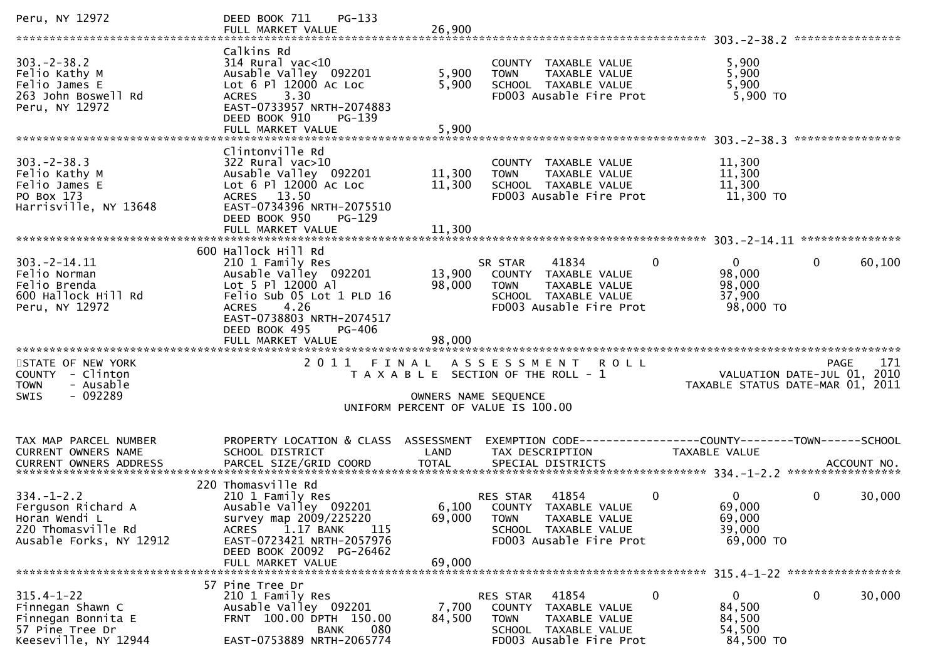| Peru, NY 12972                                                                                           | DEED BOOK 711<br>$PG-133$<br>FULL MARKET VALUE                                                                                                                                                                          | 26,900                     |                                                                                                                                                   |                                                         |                                                   |
|----------------------------------------------------------------------------------------------------------|-------------------------------------------------------------------------------------------------------------------------------------------------------------------------------------------------------------------------|----------------------------|---------------------------------------------------------------------------------------------------------------------------------------------------|---------------------------------------------------------|---------------------------------------------------|
| $303 - 2 - 38.2$<br>Felio Kathy M<br>Felio James E<br>263 John Boswell Rd<br>Peru, NY 12972              | Calkins Rd<br>314 Rural vac<10<br>Ausable Valley 092201<br>Lot 6 Pl 12000 Ac Loc<br>3.30<br><b>ACRES</b><br>EAST-0733957 NRTH-2074883<br>DEED BOOK 910<br>PG-139<br>FULL MARKET VALUE                                   | 5,900<br>5,900<br>5,900    | COUNTY TAXABLE VALUE<br><b>TOWN</b><br>TAXABLE VALUE<br>SCHOOL TAXABLE VALUE<br>FD003 Ausable Fire Prot                                           | 5,900<br>5,900<br>5,900<br>5,900 TO                     |                                                   |
| $303 - 2 - 38.3$<br>Felio Kathy M<br>Felio James E<br>PO Box 173<br>Harrisville, NY 13648                | Clintonville Rd<br>$322$ Rural vac $>10$<br>Ausable Valley 092201<br>Lot 6 Pl 12000 Ac Loc<br>ACRES 13.50<br>EAST-0734396 NRTH-2075510<br>DEED BOOK 950<br>$PG-129$                                                     | 11,300<br>11,300           | COUNTY TAXABLE VALUE<br><b>TOWN</b><br>TAXABLE VALUE<br>SCHOOL TAXABLE VALUE<br>FD003 Ausable Fire Prot                                           | 11,300<br>11,300<br>11,300<br>11,300 TO                 |                                                   |
|                                                                                                          |                                                                                                                                                                                                                         |                            |                                                                                                                                                   |                                                         |                                                   |
| $303 - 2 - 14.11$<br>Felio Norman<br>Felio Brenda<br>600 Hallock Hill Rd<br>Peru, NY 12972               | 600 Hallock Hill Rd<br>210 1 Family Res<br>Ausable Valley 092201<br>Lot 5 Pl 12000 Al<br>Felio Sub 05 Lot 1 PLD 16<br><b>ACRES</b><br>4.26<br>EAST-0738803 NRTH-2074517<br>DEED BOOK 495<br>PG-406<br>FULL MARKET VALUE | 13,900<br>98,000<br>98,000 | SR STAR<br>41834<br>0<br>COUNTY TAXABLE VALUE<br>TAXABLE VALUE<br><b>TOWN</b><br>SCHOOL TAXABLE VALUE<br>FD003 Ausable Fire Prot                  | $\mathbf{0}$<br>98,000<br>98,000<br>37,900<br>98,000 TO | $\mathbf 0$<br>60,100                             |
| STATE OF NEW YORK<br>COUNTY - Clinton<br><b>TOWN</b><br>- Ausable<br>$-092289$<br><b>SWIS</b>            |                                                                                                                                                                                                                         | OWNERS NAME SEQUENCE       | 2011 FINAL ASSESSMENT<br><b>ROLL</b><br>T A X A B L E SECTION OF THE ROLL - 1<br>UNIFORM PERCENT OF VALUE IS 100.00                               | TAXABLE STATUS DATE-MAR 01, 2011                        | 171<br><b>PAGE</b><br>VALUATION DATE-JUL 01, 2010 |
| TAX MAP PARCEL NUMBER<br>CURRENT OWNERS NAME                                                             | PROPERTY LOCATION & CLASS ASSESSMENT<br>SCHOOL DISTRICT                                                                                                                                                                 | LAND                       | TAX DESCRIPTION                                                                                                                                   | TAXABLE VALUE                                           |                                                   |
| $334. - 1 - 2.2$<br>Ferguson Richard A<br>Horan Wendi L<br>220 Thomasville Rd<br>Ausable Forks, NY 12912 | 220 Thomasville Rd<br>210 1 Family Res<br>Ausable Valley 092201<br>survey map 2009/225220<br>1.17 BANK<br><b>ACRES</b><br>115<br>EAST-0723421 NRTH-2057976<br>DEED BOOK 20092 PG-26462<br>FULL MARKET VALUE             | 69,000<br>69,000           | $\mathbf 0$<br>41854<br>RES STAR<br>6,100 COUNTY TAXABLE VALUE<br>TAXABLE VALUE<br><b>TOWN</b><br>SCHOOL TAXABLE VALUE<br>FD003 Ausable Fire Prot | $\mathbf{0}$<br>69,000<br>69,000<br>39,000<br>69,000 TO | 0<br>30,000                                       |
| $315.4 - 1 - 22$<br>Finnegan Shawn C<br>Finnegan Bonnita E<br>57 Pine Tree Dr<br>Keeseville, NY 12944    | 57 Pine Tree Dr<br>210 1 Family Res<br>Ausable Valley 092201<br>FRNT 100.00 DPTH 150.00<br>080<br>BANK<br>EAST-0753889 NRTH-2065774                                                                                     | 7,700<br>84,500            | 41854<br>0<br><b>RES STAR</b><br>COUNTY TAXABLE VALUE<br>TAXABLE VALUE<br><b>TOWN</b><br>SCHOOL TAXABLE VALUE<br>FD003 Ausable Fire Prot          | 0<br>84,500<br>84,500<br>54,500<br>84,500 TO            | 0<br>30,000                                       |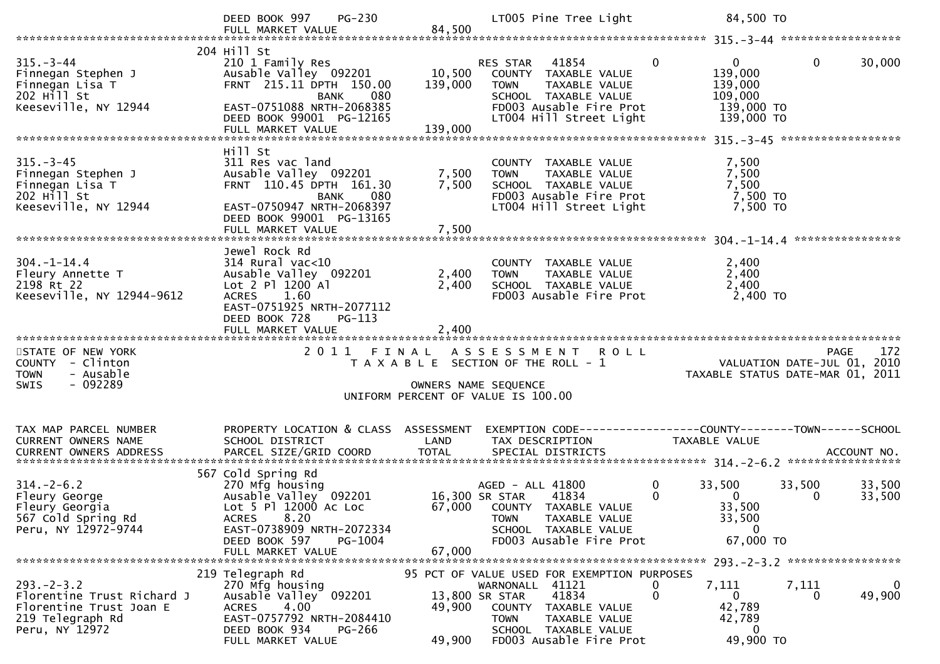|                                                                                                                           | PG-230<br>DEED BOOK 997<br>FULL MARKET VALUE                                                                                                                                                               | 84,500                             | LT005 Pine Tree Light                                                                                                                                                              | 84,500 TO                                                                                                                                                             |
|---------------------------------------------------------------------------------------------------------------------------|------------------------------------------------------------------------------------------------------------------------------------------------------------------------------------------------------------|------------------------------------|------------------------------------------------------------------------------------------------------------------------------------------------------------------------------------|-----------------------------------------------------------------------------------------------------------------------------------------------------------------------|
|                                                                                                                           |                                                                                                                                                                                                            |                                    |                                                                                                                                                                                    |                                                                                                                                                                       |
| $315. - 3 - 44$<br>Finnegan Stephen J<br>Finnegan Lisa T<br>$202$ H <sup><math>11</math></sup> St<br>Keeseville, NY 12944 | 204 Hill St<br>210 1 Family Res<br>Ausable Valley 092201<br>FRNT 215.11 DPTH 150.00<br>080<br><b>BANK</b><br>EAST-0751088 NRTH-2068385<br>DEED BOOK 99001 PG-12165<br>FULL MARKET VALUE                    | 10,500<br>139,000<br>139,000       | RES STAR 41854<br>COUNTY TAXABLE VALUE<br>TAXABLE VALUE<br><b>TOWN</b><br>SCHOOL TAXABLE VALUE<br>FD003 Ausable Fire Prot<br>LT004 Hill Street Light                               | $\overline{0}$<br>$\mathbf 0$<br>$\mathbf{0}$<br>30,000<br>139,000<br>139,000<br>109,000<br>139,000 TO<br>139,000 TO                                                  |
|                                                                                                                           |                                                                                                                                                                                                            |                                    |                                                                                                                                                                                    |                                                                                                                                                                       |
| $315 - 3 - 45$<br>Finnegan Stephen J<br>Finnegan Lisa T<br>202 Hill St<br>Keeseville, NY 12944                            | Hill St<br>311 Res vac land<br>Ausable Valley 092201<br>FRNT 110.45 DPTH 161.30<br><b>BANK</b><br>080<br>EAST-0750947 NRTH-2068397<br>DEED BOOK 99001 PG-13165                                             | 7,500<br>7,500                     | COUNTY TAXABLE VALUE<br>TAXABLE VALUE<br><b>TOWN</b><br>SCHOOL TAXABLE VALUE<br>FD003 Ausable Fire Prot<br>LT004 Hill Street Light                                                 | 7,500<br>7,500<br>7,500<br>7,500 TO<br>7,500 TO                                                                                                                       |
|                                                                                                                           |                                                                                                                                                                                                            |                                    |                                                                                                                                                                                    |                                                                                                                                                                       |
| $304. - 1 - 14.4$<br>Fleury Annette T<br>2198 Rt 22<br>Keeseville, NY 12944-9612                                          | Jewel Rock Rd<br>$314$ Rural vac<10<br>Ausable Valley 092201<br>Lot 2 P1 1200 A1<br>1.60<br><b>ACRES</b><br>EAST-0751925 NRTH-2077112<br>DEED BOOK 728<br>PG-113                                           | 2,400<br>2,400                     | COUNTY TAXABLE VALUE<br>TAXABLE VALUE<br><b>TOWN</b><br>SCHOOL TAXABLE VALUE<br>FD003 Ausable Fire Prot                                                                            | 2,400<br>2,400<br>2,400<br>2,400 TO                                                                                                                                   |
|                                                                                                                           | FULL MARKET VALUE                                                                                                                                                                                          | 2,400                              |                                                                                                                                                                                    |                                                                                                                                                                       |
| STATE OF NEW YORK<br>COUNTY - Clinton<br>- Ausable<br><b>TOWN</b><br>- 092289<br><b>SWIS</b>                              | 2011 FINAL                                                                                                                                                                                                 | OWNERS NAME SEQUENCE               | ASSESSMENT ROLL<br>T A X A B L E SECTION OF THE ROLL - 1<br>UNIFORM PERCENT OF VALUE IS 100.00                                                                                     | 172<br><b>PAGE</b><br>VALUATION DATE-JUL $01$ , 2010<br>TAXABLE STATUS DATE-MAR 01, 2011                                                                              |
| TAX MAP PARCEL NUMBER<br>CURRENT OWNERS NAME                                                                              | PROPERTY LOCATION & CLASS ASSESSMENT<br>SCHOOL DISTRICT                                                                                                                                                    | LAND                               | TAX DESCRIPTION                                                                                                                                                                    | TAXABLE VALUE                                                                                                                                                         |
| $314. - 2 - 6.2$<br>Fleury George<br>Fleury Georgia<br>567 Cold Spring Rd<br>Peru, NY 12972-9744                          | 567 Cold Spring Rd<br>270 Mfg housing<br>Ausable Valley <sup>o</sup> 092201<br>Lot 5 Pl 12000 Ac Loc<br>8.20<br><b>ACRES</b><br>EAST-0738909 NRTH-2072334<br>DEED BOOK 597<br>PG-1004<br>FULL MARKET VALUE | 67,000                             | AGED - ALL 41800<br>16,300 SR STAR<br>41834<br>67,000 COUNTY TAXABLE VALUE<br>TAXABLE VALUE<br><b>TOWN</b><br>SCHOOL TAXABLE VALUE<br>FD003 Ausable Fire Prot                      | $\mathbf 0$<br>33,500<br>33,500<br>33,500<br>0<br>$\overline{0}$<br>33,500<br>0<br>33,500<br>33,500<br>$\mathbf{0}$<br>67,000 TO<br>293. - 2 - 3.2 ****************** |
| $293. - 2 - 3.2$<br>Florentine Trust Richard J<br>Florentine Trust Joan E<br>219 Telegraph Rd<br>Peru, NY 12972           | 219 Telegraph Rd<br>270 Mfg housing<br>Ausable Valley 092201<br>4.00<br><b>ACRES</b><br>EAST-0757792 NRTH-2084410<br>DEED BOOK 934<br><b>PG-266</b><br>FULL MARKET VALUE                                   | 13,800 SR STAR<br>49,900<br>49,900 | 95 PCT OF VALUE USED FOR EXEMPTION PURPOSES<br>WARNONALL 41121<br>41834<br>COUNTY TAXABLE VALUE<br><b>TOWN</b><br>TAXABLE VALUE<br>SCHOOL TAXABLE VALUE<br>FD003 Ausable Fire Prot | 7,111<br>7,111<br>0<br>$\mathbf 0$<br>0<br>$\mathbf{0}$<br>49,900<br>0<br>42,789<br>42,789<br>$\mathbf{0}$<br>49,900 TO                                               |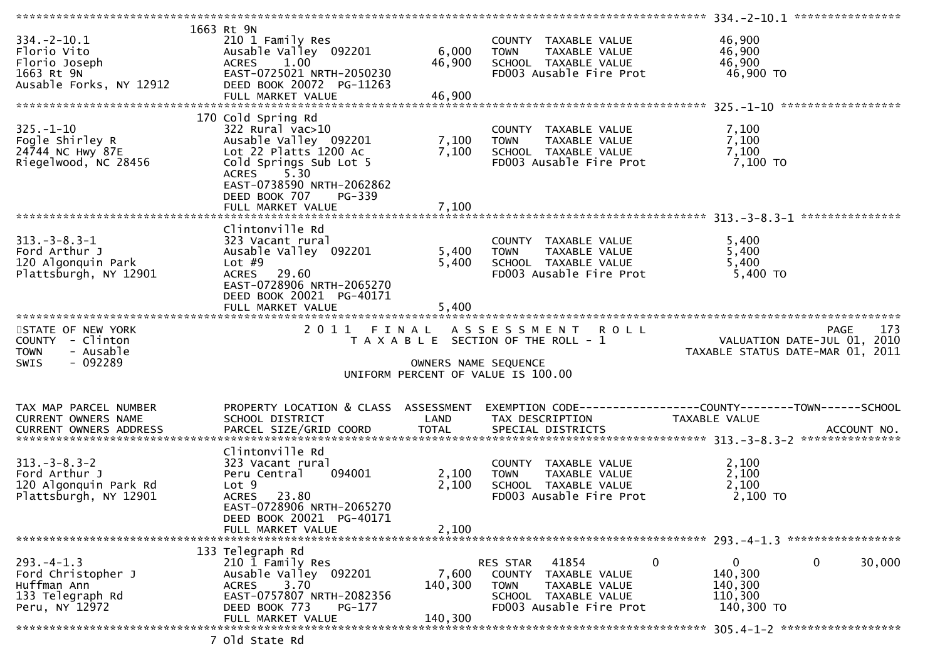|                               | 1663 Rt 9N                           |                      |                                       |                                                               |        |
|-------------------------------|--------------------------------------|----------------------|---------------------------------------|---------------------------------------------------------------|--------|
| $334. - 2 - 10.1$             | 210 1 Family Res                     |                      | COUNTY TAXABLE VALUE                  | 46,900                                                        |        |
| Florio Vito                   | Ausable Valley 092201                | 6,000                | <b>TOWN</b><br>TAXABLE VALUE          | 46,900                                                        |        |
| Florio Joseph                 | <b>ACRES</b><br>1.00                 | 46,900               | SCHOOL TAXABLE VALUE                  | 46,900                                                        |        |
| 1663 Rt 9N                    | EAST-0725021 NRTH-2050230            |                      | FD003 Ausable Fire Prot               | 46,900 TO                                                     |        |
|                               | DEED BOOK 20072 PG-11263             |                      |                                       |                                                               |        |
| Ausable Forks, NY 12912       |                                      |                      |                                       |                                                               |        |
|                               | FULL MARKET VALUE                    | 46,900               |                                       |                                                               |        |
|                               |                                      |                      |                                       |                                                               |        |
|                               | 170 Cold Spring Rd                   |                      |                                       |                                                               |        |
| $325. - 1 - 10$               | 322 Rural vac>10                     |                      | COUNTY TAXABLE VALUE                  | 7,100                                                         |        |
| Fogle Shirley R               | Ausable Valley 092201                | 7,100                | TAXABLE VALUE<br><b>TOWN</b>          | 7,100                                                         |        |
| 24744 NC Hwy 87E              | Lot 22 Platts 1200 Ac                | 7,100                | SCHOOL TAXABLE VALUE                  | 7,100                                                         |        |
| Riegelwood, NC 28456          | Cold Springs Sub Lot 5               |                      | FD003 Ausable Fire Prot               | 7,100 TO                                                      |        |
|                               | 5.30<br>ACRES                        |                      |                                       |                                                               |        |
|                               |                                      |                      |                                       |                                                               |        |
|                               | EAST-0738590 NRTH-2062862            |                      |                                       |                                                               |        |
|                               | DEED BOOK 707<br>PG-339              |                      |                                       |                                                               |        |
|                               |                                      |                      |                                       |                                                               |        |
|                               |                                      |                      |                                       |                                                               |        |
|                               | Clintonville Rd                      |                      |                                       |                                                               |        |
| $313. - 3 - 8.3 - 1$          | 323 Vacant rural                     |                      | COUNTY TAXABLE VALUE                  | 5,400                                                         |        |
| Ford Arthur J                 | Ausable Valley 092201                | 5,400                | <b>TOWN</b><br>TAXABLE VALUE          | 5,400                                                         |        |
| 120 Algonquin Park            | Lot $#9$                             | 5,400                | SCHOOL TAXABLE VALUE                  | 5,400                                                         |        |
| Plattsburgh, NY 12901         | ACRES 29.60                          |                      | FD003 Ausable Fire Prot               | 5,400 TO                                                      |        |
|                               |                                      |                      |                                       |                                                               |        |
|                               | EAST-0728906 NRTH-2065270            |                      |                                       |                                                               |        |
|                               | DEED BOOK 20021 PG-40171             |                      |                                       |                                                               |        |
|                               | FULL MARKET VALUE                    | 5,400                |                                       |                                                               |        |
|                               |                                      |                      |                                       |                                                               |        |
|                               |                                      |                      |                                       |                                                               |        |
| STATE OF NEW YORK             | 2011 FINAL                           |                      | ASSESSMENT ROLL                       | <b>PAGE</b>                                                   | 173    |
|                               |                                      |                      |                                       |                                                               |        |
| COUNTY - Clinton              |                                      |                      | T A X A B L E SECTION OF THE ROLL - 1 | VALUATION DATE-JUL 01, 2010                                   |        |
| - Ausable<br><b>TOWN</b>      |                                      |                      |                                       | TAXABLE STATUS DATE-MAR 01, 2011                              |        |
| - 092289<br><b>SWIS</b>       |                                      | OWNERS NAME SEQUENCE |                                       |                                                               |        |
|                               |                                      |                      | UNIFORM PERCENT OF VALUE IS 100.00    |                                                               |        |
|                               |                                      |                      |                                       |                                                               |        |
|                               |                                      |                      |                                       |                                                               |        |
| TAX MAP PARCEL NUMBER         | PROPERTY LOCATION & CLASS ASSESSMENT |                      |                                       | EXEMPTION CODE-----------------COUNTY--------TOWN------SCHOOL |        |
| CURRENT OWNERS NAME           | SCHOOL DISTRICT                      | LAND                 | TAX DESCRIPTION                       | TAXABLE VALUE                                                 |        |
| <b>CURRENT OWNERS ADDRESS</b> | PARCEL SIZE/GRID COORD               | <b>TOTAL</b>         | SPECIAL DISTRICTS                     | ACCOUNT NO.                                                   |        |
|                               |                                      |                      |                                       |                                                               |        |
|                               | Clintonville Rd                      |                      |                                       |                                                               |        |
|                               |                                      |                      |                                       |                                                               |        |
| $313 - 3 - 8.3 - 2$           | 323 Vacant rural                     |                      | COUNTY TAXABLE VALUE                  | 2,100                                                         |        |
| Ford Arthur J                 | Peru Central<br>094001               | 2,100                | TAXABLE VALUE<br><b>TOWN</b>          | 2,100                                                         |        |
| 120 Algonquin Park Rd         | Lot <sub>9</sub>                     | 2,100                | SCHOOL TAXABLE VALUE                  | 2,100                                                         |        |
| Plattsburgh, NY 12901         | 23.80<br><b>ACRES</b>                |                      | FD003 Ausable Fire Prot               | $2,100$ TO                                                    |        |
|                               | EAST-0728906 NRTH-2065270            |                      |                                       |                                                               |        |
|                               | DEED BOOK 20021 PG-40171             |                      |                                       |                                                               |        |
|                               | FULL MARKET VALUE                    | 2,100                |                                       |                                                               |        |
|                               |                                      |                      |                                       |                                                               |        |
|                               | 133 Telegraph Rd                     |                      |                                       |                                                               |        |
| $293. -4 - 1.3$               |                                      |                      | 0<br>41854<br>RES STAR                | $\mathbf 0$<br>0                                              |        |
|                               | 210 1 Family Res                     |                      | TAXABLE VALUE                         |                                                               | 30,000 |
| Ford Christopher J            | Ausable Valley 092201                | 7,600                | COUNTY                                | 140,300                                                       |        |
| Huffman Ann                   | 3.70<br><b>ACRES</b>                 | 140,300              | <b>TOWN</b><br>TAXABLE VALUE          | 140,300                                                       |        |
| 133 Telegraph Rd              | EAST-0757807 NRTH-2082356            |                      | SCHOOL TAXABLE VALUE                  | 110,300                                                       |        |
| Peru, NY 12972                | DEED BOOK 773<br>$PG-177$            |                      | FD003 Ausable Fire Prot               | 140,300 TO                                                    |        |
|                               | FULL MARKET VALUE                    | 140,300              |                                       |                                                               |        |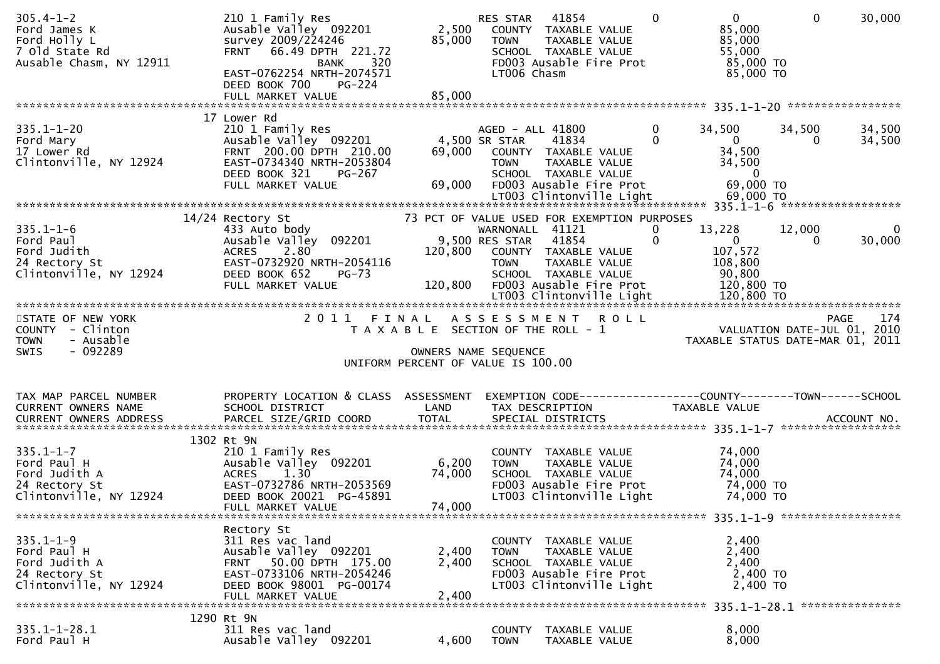| $305.4 - 1 - 2$<br>Ford James K<br>Ford Holly L<br>7 Old State Rd<br>Ausable Chasm, NY 12911               | 210 1 Family Res<br>Ausable Valley 092201<br>survey 2009/224246<br>FRNT 66.49 DPTH 221.72<br>320<br>BANK<br>EAST-0762254 NRTH-2074571<br>DEED BOOK 700<br>PG-224<br>FULL MARKET VALUE | 85,000<br>85,000                  | 41854<br>RES STAR<br>2,500 COUNTY TAXABLE VALUE<br>TAXABLE VALUE<br><b>TOWN</b><br>SCHOOL TAXABLE VALUE<br>FDOO3 Ausable Fire Prot<br>LT006 Chasm              | $0 \qquad \qquad$<br>$\mathbf{0}$<br>85,000<br>85,000<br>55,000<br>85,000 TO<br>85,000 TO           | $\mathbf 0$<br>30,000                                                              |
|------------------------------------------------------------------------------------------------------------|---------------------------------------------------------------------------------------------------------------------------------------------------------------------------------------|-----------------------------------|----------------------------------------------------------------------------------------------------------------------------------------------------------------|-----------------------------------------------------------------------------------------------------|------------------------------------------------------------------------------------|
|                                                                                                            |                                                                                                                                                                                       |                                   |                                                                                                                                                                |                                                                                                     |                                                                                    |
| $335.1 - 1 - 20$<br>Ford Mary<br>17 Lower Rd<br>Clintonville, NY 12924                                     | 17 Lower Rd<br>210 1 Family Res<br>Ausable Valley 092201<br>FRNT 200.00 DPTH 210.00<br>EAST-0734340 NRTH-2053804<br>DEED BOOK 321<br>PG-267<br>FULL MARKET VALUE                      | 4,500 SR STAR<br>69,000<br>69,000 | AGED - ALL 41800<br>41834<br>COUNTY TAXABLE VALUE<br>TAXABLE VALUE<br>TOWN<br>SCHOOL TAXABLE VALUE<br>FD003 Ausable Fire Prot                                  | 0<br>34,500<br>$\Omega$<br>$\overline{0}$<br>34,500<br>34,500<br>$\overline{0}$<br>69,000 TO        | 34,500<br>34,500<br>34,500<br>$\Omega$                                             |
|                                                                                                            | 14/24 Rectory St                                                                                                                                                                      |                                   | 73 PCT OF VALUE USED FOR EXEMPTION PURPOSES                                                                                                                    |                                                                                                     |                                                                                    |
| $335.1 - 1 - 6$<br>Ford Paul<br>$\frac{1}{2000}$<br>Ford Judith<br>24 Rectory St<br>Clintonville, NY 12924 | 433 Auto body<br>Ausable Valley 092201<br>2.80<br><b>ACRES</b><br>EAST-0732920 NRTH-2054116<br>DEED BOOK 652<br>PG-73<br>FULL MARKET VALUE                                            |                                   | WARNONALL 41121<br>9,500 RES STAR<br>41854<br>120,800 COUNTY TAXABLE VALUE<br>TAXABLE VALUE<br>TOWN<br>SCHOOL TAXABLE VALUE<br>120,800 FD003 Ausable Fire Prot | 13,228<br>0<br>$\mathbf 0$<br>$\overline{\mathbf{0}}$<br>107,572<br>108,800<br>90,800<br>120,800 TO | 12,000<br>$\bf{0}$<br>30,000<br>$\mathbf{0}$                                       |
|                                                                                                            |                                                                                                                                                                                       |                                   |                                                                                                                                                                |                                                                                                     |                                                                                    |
| STATE OF NEW YORK<br>COUNTY - Clinton<br>- Ausable<br><b>TOWN</b><br>- 092289<br>SWIS                      |                                                                                                                                                                                       |                                   | 2011 FINAL ASSESSMENT ROLL<br>T A X A B L E SECTION OF THE ROLL - 1<br>OWNERS NAME SEQUENCE<br>UNIFORM PERCENT OF VALUE IS 100.00                              |                                                                                                     | 174<br>PAGE 174<br>VALUATION DATE-JUL 01, 2010<br>TAXABLE STATUS DATE-MAR 01, 2011 |
| TAX MAP PARCEL NUMBER<br>CURRENT OWNERS NAME<br>CURRENT OWNERS ADDRESS                                     | PROPERTY LOCATION & CLASS ASSESSMENT<br>SCHOOL DISTRICT                                                                                                                               | LAND                              | EXEMPTION CODE------------------COUNTY--------TOWN------SCHOOL<br>TAX DESCRIPTION                                                                              | TAXABLE VALUE                                                                                       |                                                                                    |
| $335.1 - 1 - 7$<br>Ford Paul H<br>Ford Judith A<br>24 Rectory St<br>Clintonville, NY 12924                 | 1302 Rt 9N<br>210 1 Family Res<br>Ausable Valley 092201<br>1.30<br><b>ACRES</b><br>EAST-0732786 NRTH-2053569<br>DEED BOOK 20021 PG-45891<br>FULL MARKET VALUE                         | 6,200<br>74,000<br>74,000         | COUNTY TAXABLE VALUE<br><b>TOWN</b><br>TAXABLE VALUE<br>SCHOOL TAXABLE VALUE<br>FD003 Ausable Fire Prot<br>LT003 Clintonville Light                            | 74,000<br>74,000<br>74,000<br>74,000 TO<br>74,000 TO                                                |                                                                                    |
|                                                                                                            | Rectory St                                                                                                                                                                            |                                   |                                                                                                                                                                |                                                                                                     |                                                                                    |
| $335.1 - 1 - 9$<br>Ford Paul H<br>Ford Judith A<br>24 Rectory St<br>Clintonville, NY 12924                 | 311 Res vac land<br>Ausable Valley 092201<br>FRNT 50.00 DPTH 175.00<br>EAST-0733106 NRTH-2054246<br>DEED BOOK 98001 PG-00174<br>FULL MARKET VALUE                                     | 2,400<br>2,400<br>2,400           | COUNTY TAXABLE VALUE<br>TAXABLE VALUE<br>TOWN<br>SCHOOL TAXABLE VALUE<br>FD003 Ausable Fire Prot<br>LT003 Clintonville Light                                   | 2,400<br>2,400<br>2,400<br>2,400 TO<br>2,400 TO                                                     |                                                                                    |
|                                                                                                            |                                                                                                                                                                                       |                                   |                                                                                                                                                                |                                                                                                     |                                                                                    |
|                                                                                                            | 1290 Rt 9N                                                                                                                                                                            |                                   |                                                                                                                                                                |                                                                                                     |                                                                                    |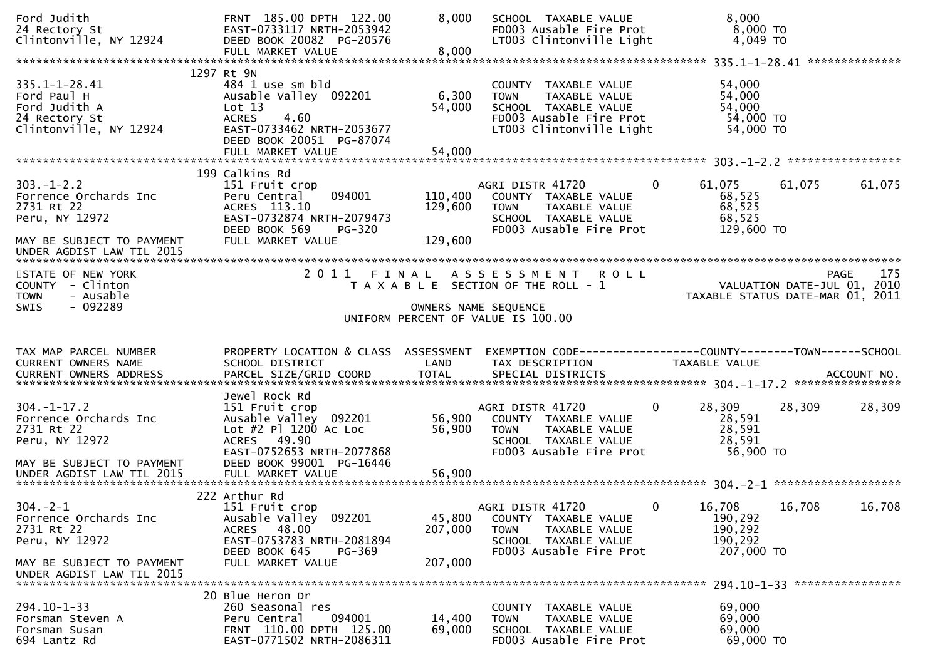| Ford Judith<br>24 Rectory St<br>Clintonville, NY 12924                                                                              | FRNT 185.00 DPTH 122.00<br>EAST-0733117 NRTH-2053942<br>DEED BOOK 20082 PG-20576                                                                          | 8,000                         | SCHOOL TAXABLE VALUE<br>FD003 Ausable Fire Prot<br>LT003 Clintonville Light                                                                   | 8,000<br>8,000 TO<br>4,049 TO                                                                                    |        |
|-------------------------------------------------------------------------------------------------------------------------------------|-----------------------------------------------------------------------------------------------------------------------------------------------------------|-------------------------------|-----------------------------------------------------------------------------------------------------------------------------------------------|------------------------------------------------------------------------------------------------------------------|--------|
| $335.1 - 1 - 28.41$<br>Ford Paul H<br>Ford Judith A<br>24 Rectory St<br>Clintonville, NY 12924                                      | 1297 Rt 9N<br>484 1 use sm bld<br>Ausable Valley 092201<br>Lot 13<br><b>ACRES</b><br>4.60<br>EAST-0733462 NRTH-2053677<br>DEED BOOK 20051 PG-87074        | 6,300<br>54,000               | COUNTY TAXABLE VALUE<br>TAXABLE VALUE<br><b>TOWN</b><br>SCHOOL TAXABLE VALUE<br>FD003 Ausable Fire Prot<br>LT003 Clintonville Light           | 54,000<br>54,000<br>54,000<br>54,000 TO<br>54,000 TO                                                             |        |
| $303. - 1 - 2.2$<br>Forrence Orchards Inc<br>2731 Rt 22<br>Peru, NY 12972<br>MAY BE SUBJECT TO PAYMENT<br>UNDER AGDIST LAW TIL 2015 | 199 Calkins Rd<br>151 Fruit crop<br>094001<br>Peru Central<br>ACRES 113.10<br>EAST-0732874 NRTH-2079473<br>DEED BOOK 569<br>PG-320<br>FULL MARKET VALUE   | 110,400<br>129,600<br>129,600 | $\overline{0}$<br>AGRI DISTR 41720<br>COUNTY TAXABLE VALUE<br>TAXABLE VALUE<br><b>TOWN</b><br>SCHOOL TAXABLE VALUE<br>FD003 Ausable Fire Prot | 61,075<br>61,075<br>68,525<br>68,525<br>68,525<br>129,600 TO                                                     | 61,075 |
| STATE OF NEW YORK<br>COUNTY - Clinton<br>- Ausable<br><b>TOWN</b><br>$-092289$<br>SWIS                                              | 2011<br>FINAL                                                                                                                                             |                               | ASSESSMENT ROLL<br>T A X A B L E SECTION OF THE ROLL - 1<br>OWNERS NAME SEQUENCE<br>UNIFORM PERCENT OF VALUE IS 100.00                        | PAGE 175<br>VALUATION DATE-JUL 01, 2010<br>TAXARLE STATUE DATE USE 101, 2010<br>TAXABLE STATUS DATE-MAR 01, 2011 | 175    |
|                                                                                                                                     |                                                                                                                                                           |                               |                                                                                                                                               |                                                                                                                  |        |
| TAX MAP PARCEL NUMBER<br>CURRENT OWNERS NAME<br><b>CURRENT OWNERS ADDRESS</b>                                                       | PROPERTY LOCATION & CLASS ASSESSMENT<br>SCHOOL DISTRICT                                                                                                   | LAND                          | EXEMPTION CODE-----------------COUNTY-------TOWN------SCHOOL<br>TAX DESCRIPTION                                                               | TAXABLE VALUE                                                                                                    |        |
| $304. - 1 - 17.2$<br>Forrence Orchards Inc<br>2731 Rt 22<br>Peru, NY 12972<br>MAY BE SUBJECT TO PAYMENT                             | Jewel Rock Rd<br>151 Fruit crop<br>Ausable Valley 092201<br>Lot #2 Pl 1200 Ac Loc<br>ACRES 49.90<br>EAST-0752653 NRTH-2077868<br>DEED BOOK 99001 PG-16446 | 56,900<br>56,900              | 0<br>AGRI DISTR 41720<br>COUNTY TAXABLE VALUE<br><b>TOWN</b><br>TAXABLE VALUE<br>SCHOOL TAXABLE VALUE<br>FD003 Ausable Fire Prot              | 28,309<br>28,309<br>28,591<br>28,591<br>28,591<br>56,900 TO                                                      | 28,309 |
| $304. -2 - 1$<br>Forrence Orchards Inc<br>2731 Rt 22<br>Peru, NY 12972<br>MAY BE SUBJECT TO PAYMENT<br>UNDER AGDIST LAW TIL 2015    | 222 Arthur Rd<br>151 Fruit crop<br>Ausable Valley 092201<br>ACRES 48.00<br>EAST-0753783 NRTH-2081894<br>DEED BOOK 645<br>PG-369<br>FULL MARKET VALUE      | 45,800<br>207,000<br>207,000  | AGRI DISTR 41720<br>$\mathbf{0}$<br>COUNTY TAXABLE VALUE<br>TAXABLE VALUE<br><b>TOWN</b><br>SCHOOL TAXABLE VALUE<br>FD003 Ausable Fire Prot   | 16,708<br>16,708<br>190,292<br>190,292<br>190,292<br>207,000 TO                                                  | 16,708 |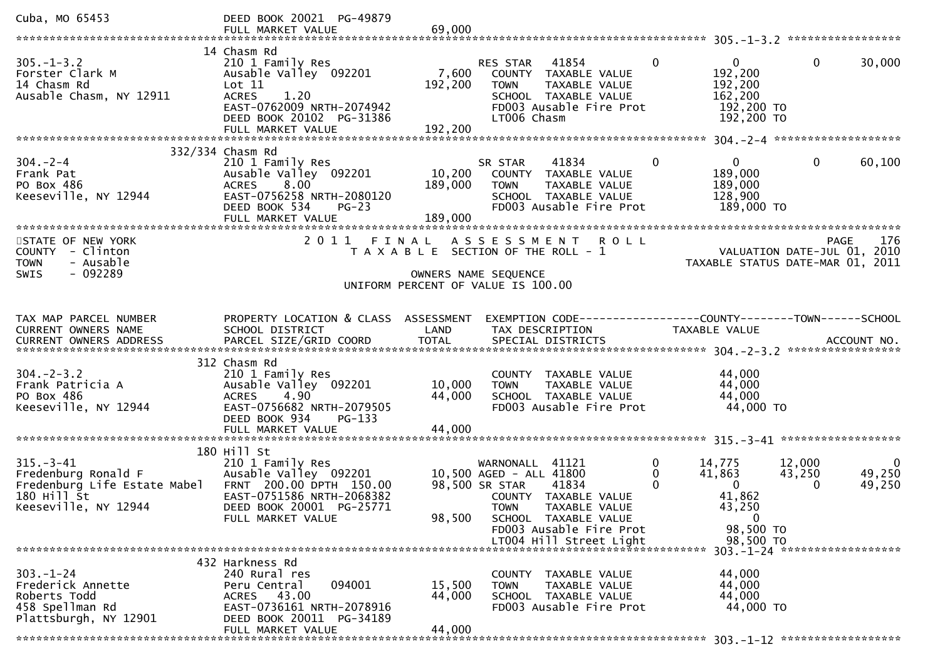| Cuba, MO 65453                                                                                                                                      | DEED BOOK 20021 PG-49879<br>FULL MARKET VALUE                                                                                                                              | 69,000                       |                                                                                                                                                                                                                |                |                                                                                           |                                                                                       |
|-----------------------------------------------------------------------------------------------------------------------------------------------------|----------------------------------------------------------------------------------------------------------------------------------------------------------------------------|------------------------------|----------------------------------------------------------------------------------------------------------------------------------------------------------------------------------------------------------------|----------------|-------------------------------------------------------------------------------------------|---------------------------------------------------------------------------------------|
|                                                                                                                                                     |                                                                                                                                                                            |                              |                                                                                                                                                                                                                |                |                                                                                           |                                                                                       |
| $305. - 1 - 3.2$<br>Forster Clark M<br>14 Chasm Rd<br>Ausable Chasm, NY 12911                                                                       | 14 Chasm Rd<br>210 1 Family Res<br>Ausable Valley 092201<br>Lot $11$<br><b>ACRES</b><br>1.20<br>EAST-0762009 NRTH-2074942<br>DEED BOOK 20102 PG-31386<br>FULL MARKET VALUE | 7,600<br>192,200<br>192,200  | RES STAR<br>41854<br>COUNTY TAXABLE VALUE<br><b>TOWN</b><br>TAXABLE VALUE<br>SCHOOL TAXABLE VALUE<br>FD003 Ausable Fire Prot<br>LT006 Chasm                                                                    | $\overline{0}$ | $\overline{0}$<br>192,200<br>192,200<br>162,200<br>192,200 TO<br>192,200 TO               | $\mathbf{0}$<br>30,000                                                                |
|                                                                                                                                                     |                                                                                                                                                                            |                              |                                                                                                                                                                                                                |                |                                                                                           |                                                                                       |
| $304 - 2 - 4$<br>Frank Pat<br>PO Box 486<br>Keeseville, NY 12944                                                                                    | 332/334 Chasm Rd<br>210 1 Family Res<br>Ausable Valley 092201<br>8.00<br><b>ACRES</b><br>EAST-0756258 NRTH-2080120<br>DEED BOOK 534<br>$PG-23$<br>FULL MARKET VALUE        | 10,200<br>189,000<br>189,000 | SR STAR<br>41834<br>COUNTY TAXABLE VALUE<br><b>TOWN</b><br>TAXABLE VALUE<br>SCHOOL TAXABLE VALUE<br>FD003 Ausable Fire Prot                                                                                    | $\Omega$       | $\mathbf{0}$<br>189,000<br>189,000<br>128,900<br>189,000 TO                               | 60,100<br>0                                                                           |
| STATE OF NEW YORK<br>COUNTY - Clinton<br>- Ausable<br><b>TOWN</b><br>$-092289$<br><b>SWIS</b>                                                       | 2011                                                                                                                                                                       | FINAL                        | ASSESSMENT ROLL<br>T A X A B L E SECTION OF THE ROLL - 1<br>OWNERS NAME SEQUENCE<br>UNIFORM PERCENT OF VALUE IS 100.00                                                                                         |                |                                                                                           | 176<br><b>PAGE</b><br>VALUATION DATE-JUL 01, 2010<br>TAXABLE STATUS DATE-MAR 01, 2011 |
| TAX MAP PARCEL NUMBER<br>CURRENT OWNERS NAME                                                                                                        | PROPERTY LOCATION & CLASS ASSESSMENT<br>SCHOOL DISTRICT                                                                                                                    | LAND                         | EXEMPTION CODE-----------------COUNTY-------TOWN------SCHOOL<br>TAX DESCRIPTION                                                                                                                                |                | TAXABLE VALUE                                                                             |                                                                                       |
| $304 - 2 - 3.2$<br>Frank Patricia A<br>PO Box 486<br>Keeseville, NY 12944                                                                           | 312 Chasm Rd<br>210 1 Family Res<br>Ausable Valley 092201<br>4.90<br><b>ACRES</b><br>EAST-0756682 NRTH-2079505<br>DEED BOOK 934<br>PG-133<br>FULL MARKET VALUE             | 10,000<br>44,000<br>44,000   | COUNTY TAXABLE VALUE<br>TAXABLE VALUE<br><b>TOWN</b><br>SCHOOL TAXABLE VALUE<br>FD003 Ausable Fire Prot                                                                                                        |                | 44,000<br>44,000<br>44,000<br>44,000 TO                                                   |                                                                                       |
| $315 - 3 - 41$<br>Fredenburg Ronald F<br>Fredenburg Life Estate Mabel FRNT 200.00 DPTH 150.00<br>$180$ Hill $\overline{5}t$<br>Keeseville, NY 12944 | 180 Hill St<br>210 1 Family Res<br>Ausable Valley 092201<br>EAST-0751586 NRTH-2068382<br>DEED BOOK 20001 PG-25771<br>FULL MARKET VALUE                                     | 98,500                       | 41121<br>WARNONALL<br>10,500 AGED - ALL 41800<br>98,500 SR STAR<br>41834<br>COUNTY TAXABLE VALUE<br><b>TOWN</b><br>TAXABLE VALUE<br>SCHOOL TAXABLE VALUE<br>FD003 Ausable Fire Prot<br>LT004 Hill Street Light | 0<br>0         | 14,775<br>41,863<br>$\Omega$<br>41,862<br>43,250<br>$\mathbf 0$<br>98,500 TO<br>98,500 TO | 12,000<br>0<br>49,250<br>43,250<br>49,250<br>$\Omega$                                 |
|                                                                                                                                                     | 432 Harkness Rd                                                                                                                                                            |                              |                                                                                                                                                                                                                |                |                                                                                           | 303. -1-24 ********************                                                       |
| $303 - 1 - 24$<br>Frederick Annette<br>Roberts Todd<br>458 Spellman Rd<br>Plattsburgh, NY 12901                                                     | 240 Rural res<br>094001<br>Peru Central<br>ACRES 43.00<br>EAST-0736161 NRTH-2078916<br>DEED BOOK 20011 PG-34189<br>FULL MARKET VALUE                                       | 15,500<br>44,000<br>44,000   | COUNTY TAXABLE VALUE<br>TAXABLE VALUE<br><b>TOWN</b><br>SCHOOL TAXABLE VALUE<br>FD003 Ausable Fire Prot                                                                                                        |                | 44,000<br>44,000<br>44,000<br>44,000 TO                                                   |                                                                                       |
|                                                                                                                                                     |                                                                                                                                                                            |                              |                                                                                                                                                                                                                |                |                                                                                           |                                                                                       |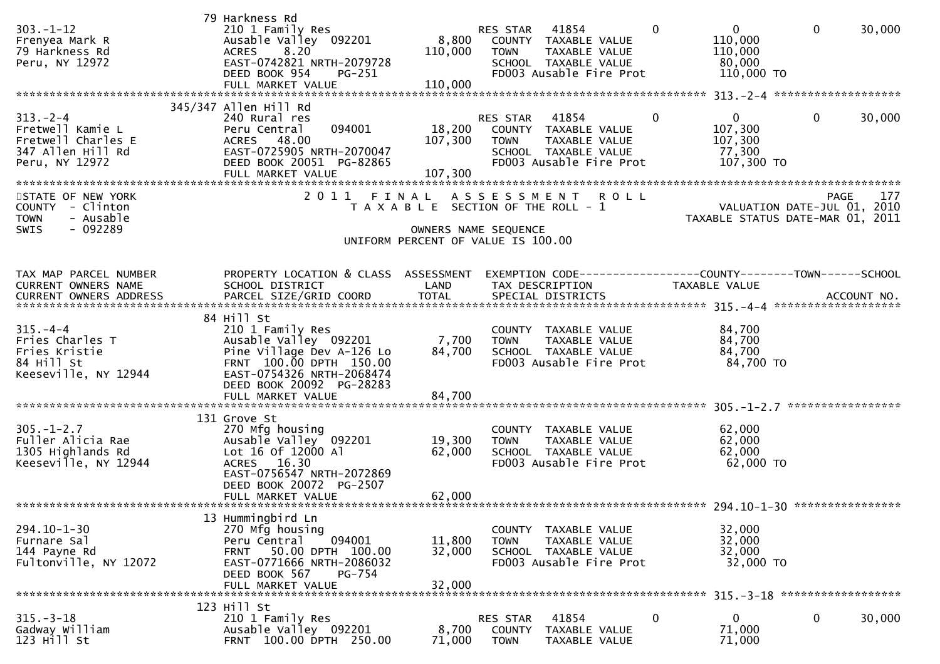| $303. - 1 - 12$<br>Frenyea Mark R<br>79 Harkness Rd<br>Peru, NY 12972                          | 79 Harkness Rd<br>210 1 Family Res<br>Ausable Valley 092201<br>ACRES 8.20<br>EAST-0742821 NRTH-2079728<br>DEED BOOK 954<br>PG-251<br>FULL MARKET VALUE                                 | 8,800<br>110,000<br>110,000                                                                         | RES STAR<br><b>TOWN</b>           | 41854<br>COUNTY TAXABLE VALUE<br>TAXABLE VALUE<br>SCHOOL TAXABLE VALUE<br>FD003 Ausable Fire Prot | $\mathbf{0}$ | $\overline{0}$<br>110,000<br>110,000<br>80,000<br>110,000 TO    | $\mathbf{0}$ | 30,000 |
|------------------------------------------------------------------------------------------------|----------------------------------------------------------------------------------------------------------------------------------------------------------------------------------------|-----------------------------------------------------------------------------------------------------|-----------------------------------|---------------------------------------------------------------------------------------------------|--------------|-----------------------------------------------------------------|--------------|--------|
|                                                                                                | 345/347 Allen Hill Rd                                                                                                                                                                  |                                                                                                     |                                   |                                                                                                   |              |                                                                 |              |        |
| $313 - 2 - 4$<br>Fretwell Kamie L<br>Fretwell Charles E<br>347 Allen Hill Rd<br>Peru, NY 12972 | 240 Rural res<br>094001<br>Peru Central<br>ACRES 48.00<br>EAST-0725905 NRTH-2070047<br>DEED BOOK 20051 PG-82865                                                                        | 107,300                                                                                             | RES STAR 41854<br><b>TOWN</b>     | 18,200 COUNTY TAXABLE VALUE<br>TAXABLE VALUE<br>SCHOOL TAXABLE VALUE<br>FD003 Ausable Fire Prot   | 0            | $\mathbf{0}$<br>107,300<br>107,300<br>77,300<br>107,300 TO      | $\mathbf{0}$ | 30,000 |
| STATE OF NEW YORK<br>COUNTY - Clinton<br><b>TOWN</b><br>- Ausable<br>$-092289$<br><b>SWIS</b>  | 2011 FINAL                                                                                                                                                                             | T A X A B L E SECTION OF THE ROLL - 1<br>OWNERS NAME SEQUENCE<br>UNIFORM PERCENT OF VALUE IS 100.00 |                                   | ASSESSMENT ROLL                                                                                   |              | VALUATION DATE-JUL 01, 2010<br>TAXABLE STATUS DATE-MAR 01, 2011 | <b>PAGE</b>  | 177    |
|                                                                                                |                                                                                                                                                                                        |                                                                                                     |                                   |                                                                                                   |              |                                                                 |              |        |
| TAX MAP PARCEL NUMBER<br>CURRENT OWNERS NAME                                                   | PROPERTY LOCATION & CLASS ASSESSMENT<br>SCHOOL DISTRICT                                                                                                                                | LAND                                                                                                |                                   | TAX DESCRIPTION                                                                                   |              | TAXABLE VALUE                                                   |              |        |
|                                                                                                | 84 Hill St                                                                                                                                                                             |                                                                                                     |                                   |                                                                                                   |              |                                                                 |              |        |
| $315. - 4 - 4$<br>Fries Charles T<br>Fries Kristie<br>84 Hill St<br>Keeseville, NY 12944       | 210 1 Family Res<br>Ausable Valley 092201<br>Pine Village Dev A-126 Lo<br>FRNT 100.00 DPTH 150.00<br>EAST-0754326 NRTH-2068474<br>DEED BOOK 20092 PG-28283<br>FULL MARKET VALUE        | 7,700<br>84,700<br>84,700                                                                           | <b>TOWN</b>                       | COUNTY TAXABLE VALUE<br>TAXABLE VALUE<br>SCHOOL TAXABLE VALUE<br>FD003 Ausable Fire Prot          |              | 84,700<br>84,700<br>84,700<br>84,700 TO                         |              |        |
|                                                                                                |                                                                                                                                                                                        |                                                                                                     |                                   |                                                                                                   |              |                                                                 |              |        |
| $305. - 1 - 2.7$<br>Fuller Alicia Rae<br>1305 Highlands Rd<br>Keeseville, NY 12944             | 131 Grove St<br>270 Mfg housing<br>Ausable Valley 092201<br>Lot 16 of 12000 Al<br>ACRES 16.30<br>EAST-0756547 NRTH-2072869<br>DEED BOOK 20072 PG-2507<br>FULL MARKET VALUE             | 19,300<br>62,000<br>62,000                                                                          | <b>TOWN</b>                       | COUNTY TAXABLE VALUE<br>TAXABLE VALUE<br>SCHOOL TAXABLE VALUE<br>FD003 Ausable Fire Prot          |              | 62,000<br>62,000<br>62,000<br>62,000 TO                         |              |        |
|                                                                                                |                                                                                                                                                                                        |                                                                                                     |                                   |                                                                                                   |              |                                                                 |              |        |
| $294.10 - 1 - 30$<br>Furnare Sal<br>144 Payne Rd<br>Fultonville, NY 12072                      | 13 Hummingbird Ln<br>270 Mfg housing<br>094001<br>Peru Central<br>50.00 DPTH 100.00<br><b>FRNT</b><br>EAST-0771666 NRTH-2086032<br>DEED BOOK 567<br><b>PG-754</b><br>FULL MARKET VALUE | 11,800<br>32,000<br>32,000                                                                          | <b>TOWN</b>                       | COUNTY TAXABLE VALUE<br>TAXABLE VALUE<br>SCHOOL TAXABLE VALUE<br>FD003 Ausable Fire Prot          |              | 32,000<br>32,000<br>32,000<br>32,000 TO                         |              |        |
|                                                                                                | 123 Hill St                                                                                                                                                                            |                                                                                                     |                                   |                                                                                                   |              |                                                                 |              |        |
| $315. - 3 - 18$<br>Gadway William<br>123 Hill St                                               | 210 1 Family Res<br>Ausable Valley 092201<br>FRNT 100.00 DPTH 250.00                                                                                                                   | 8,700<br>71,000                                                                                     | RES STAR<br>COUNTY<br><b>TOWN</b> | 41854<br>TAXABLE VALUE<br>TAXABLE VALUE                                                           | 0            | 0<br>71,000<br>71,000                                           | 0            | 30,000 |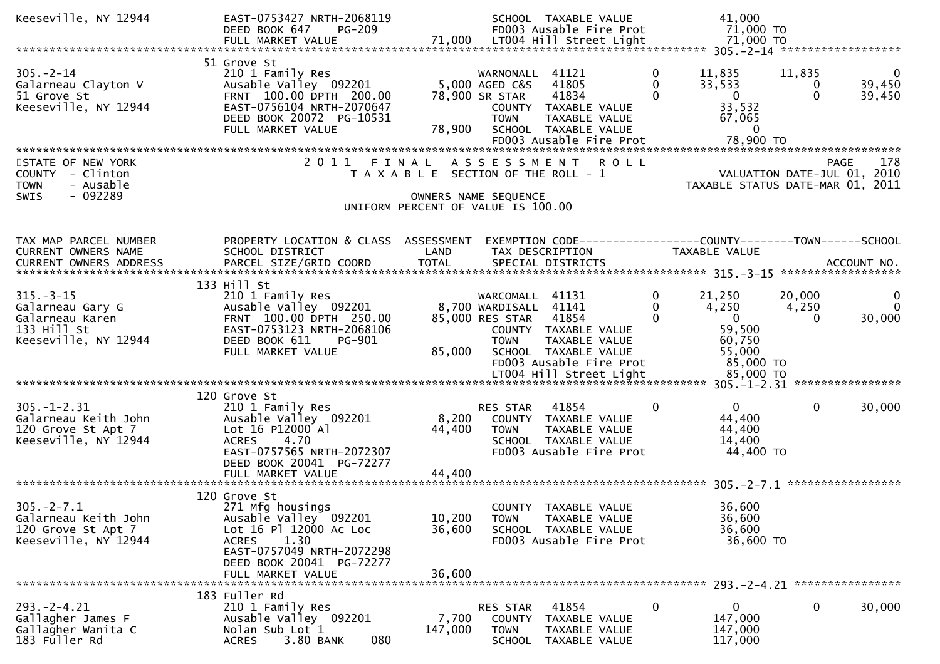| Keeseville, NY 12944                                                                          | EAST-0753427 NRTH-2068119<br>DEED BOOK 647                                                                                                                                                |                                                                                                     |                                                                                  | SCHOOL TAXABLE VALUE<br>FD003 Ausable Fire Prot                                                   |                                             | 41,000<br>71,000 TO                                                                    |                             |                              |
|-----------------------------------------------------------------------------------------------|-------------------------------------------------------------------------------------------------------------------------------------------------------------------------------------------|-----------------------------------------------------------------------------------------------------|----------------------------------------------------------------------------------|---------------------------------------------------------------------------------------------------|---------------------------------------------|----------------------------------------------------------------------------------------|-----------------------------|------------------------------|
|                                                                                               |                                                                                                                                                                                           |                                                                                                     |                                                                                  |                                                                                                   |                                             |                                                                                        |                             |                              |
| $305. - 2 - 14$<br>Galarneau Clayton V<br>51 Grove St<br>Keeseville, NY 12944                 | 51 Grove St<br>210 1 Family Res<br>Ausable Valley 092201<br>FRNT 100.00 DPTH 200.00<br>EAST-0756104 NRTH-2070647<br>DEED BOOK 20072 PG-10531<br>FULL MARKET VALUE                         | 78,900                                                                                              | WARNONALL 41121<br>5,000 AGED C&S<br>78,900 SR STAR<br><b>TOWN</b>               | 41805<br>41834<br>COUNTY TAXABLE VALUE<br>TAXABLE VALUE<br>SCHOOL TAXABLE VALUE                   | 0<br>$\mathbf{0}$<br>$\mathbf{0}$           | 11,835<br>33,533<br>$\mathbf 0$<br>33,532<br>67,065<br>$\overline{0}$                  | 11,835<br>0<br>$\mathbf{0}$ | $\bf{0}$<br>39,450<br>39,450 |
|                                                                                               |                                                                                                                                                                                           |                                                                                                     |                                                                                  |                                                                                                   |                                             |                                                                                        |                             |                              |
| STATE OF NEW YORK<br>COUNTY - Clinton<br><b>TOWN</b><br>- Ausable<br>$-092289$<br><b>SWIS</b> | 2011 FINAL ASSESSMENT                                                                                                                                                                     | T A X A B L E SECTION OF THE ROLL - 1<br>OWNERS NAME SEQUENCE<br>UNIFORM PERCENT OF VALUE IS 100.00 |                                                                                  | <b>ROLL</b>                                                                                       |                                             | VALUATION DATE-JUL 01, 2010<br>TAXABLE STATUS DATE-MAR 01, 2011                        |                             | 178<br><b>PAGE</b>           |
| TAX MAP PARCEL NUMBER<br>CURRENT OWNERS NAME                                                  | PROPERTY LOCATION & CLASS ASSESSMENT<br>SCHOOL DISTRICT                                                                                                                                   | LAND                                                                                                |                                                                                  | TAX DESCRIPTION                                                                                   |                                             | EXEMPTION CODE------------------COUNTY--------TOWN------SCHOOL<br><b>TAXABLE VALUE</b> |                             |                              |
|                                                                                               | 133 Hill St                                                                                                                                                                               |                                                                                                     |                                                                                  |                                                                                                   |                                             |                                                                                        |                             |                              |
| $315. - 3 - 15$<br>Galarneau Gary G<br>Galarneau Karen<br>133 Hill St<br>Keeseville, NY 12944 | 210 1 Family Res<br>Ausable Valley 092201<br>FRNT 100.00 DPTH 250.00<br>EAST-0753123 NRTH-2068106<br>DEED BOOK 611<br>PG-901<br>FULL MARKET VALUE                                         | 85,000                                                                                              | WARCOMALL 41131<br>8,700 WARDISALL 41141<br>85,000 RES STAR 41854<br><b>TOWN</b> | COUNTY TAXABLE VALUE<br>TAXABLE VALUE<br>SCHOOL TAXABLE VALUE<br>FD003 Ausable Fire Prot          | $\mathbf{0}$<br>$\mathbf 0$<br>$\mathbf{0}$ | 21,250<br>4,250<br>$\overline{0}$<br>59,500<br>60,750<br>55,000<br>85,000 TO           | 20,000<br>4,250<br>$\Omega$ | 0<br>$\Omega$<br>30,000      |
|                                                                                               |                                                                                                                                                                                           |                                                                                                     |                                                                                  | LT004 Hill Street Light                                                                           |                                             | 85,000 TO                                                                              |                             |                              |
| $305. - 1 - 2.31$<br>Galarneau Keith John<br>120 Grove St Apt 7<br>Keeseville, NY 12944       | 120 Grove St<br>210 1 Family Res<br>Ausable Valley 092201<br>Lot 16 P12000 Al<br><b>ACRES</b><br>4.70<br>EAST-0757565 NRTH-2072307<br>DEED BOOK 20041 PG-72277<br>FULL MARKET VALUE       | 8,200<br>44,400<br>44,400                                                                           | RES STAR<br><b>TOWN</b>                                                          | 41854<br>COUNTY TAXABLE VALUE<br>TAXABLE VALUE<br>SCHOOL TAXABLE VALUE<br>FD003 Ausable Fire Prot | $\mathbf{0}$                                | $\overline{0}$<br>44,400<br>44,400<br>14,400<br>44,400 TO                              | $\mathbf{0}$                | 30,000                       |
|                                                                                               |                                                                                                                                                                                           |                                                                                                     |                                                                                  |                                                                                                   |                                             |                                                                                        |                             |                              |
| $305. -2 - 7.1$<br>Galarneau Keith John<br>120 Grove St Apt 7<br>Keeseville, NY 12944         | 120 Grove St<br>271 Mfg housings<br>Ausable Valley 092201<br>Lot 16 Pl 12000 Ac Loc<br>1.30<br><b>ACRES</b><br>EAST-0757049 NRTH-2072298<br>DEED BOOK 20041 PG-72277<br>FULL MARKET VALUE | 10,200<br>36,600<br>36,600                                                                          | <b>TOWN</b>                                                                      | COUNTY TAXABLE VALUE<br>TAXABLE VALUE<br>SCHOOL TAXABLE VALUE<br>FD003 Ausable Fire Prot          |                                             | 36,600<br>36,600<br>36,600<br>36,600 TO                                                |                             |                              |
|                                                                                               |                                                                                                                                                                                           |                                                                                                     |                                                                                  |                                                                                                   |                                             |                                                                                        |                             |                              |
| $293. -2 - 4.21$<br>Gallagher James F<br>Gallagher Wanita C<br>183 Fuller Rd                  | 183 Fuller Rd<br>210 1 Family Res<br>Ausable Valley 092201<br>Nolan Sub Lot 1<br>3.80 BANK<br>080<br><b>ACRES</b>                                                                         | 7,700<br>147,000                                                                                    | RES STAR<br>COUNTY<br><b>TOWN</b><br>SCHOOL                                      | 41854<br>TAXABLE VALUE<br>TAXABLE VALUE<br>TAXABLE VALUE                                          | 0                                           | 0<br>147,000<br>147,000<br>117,000                                                     | 0                           | 30,000                       |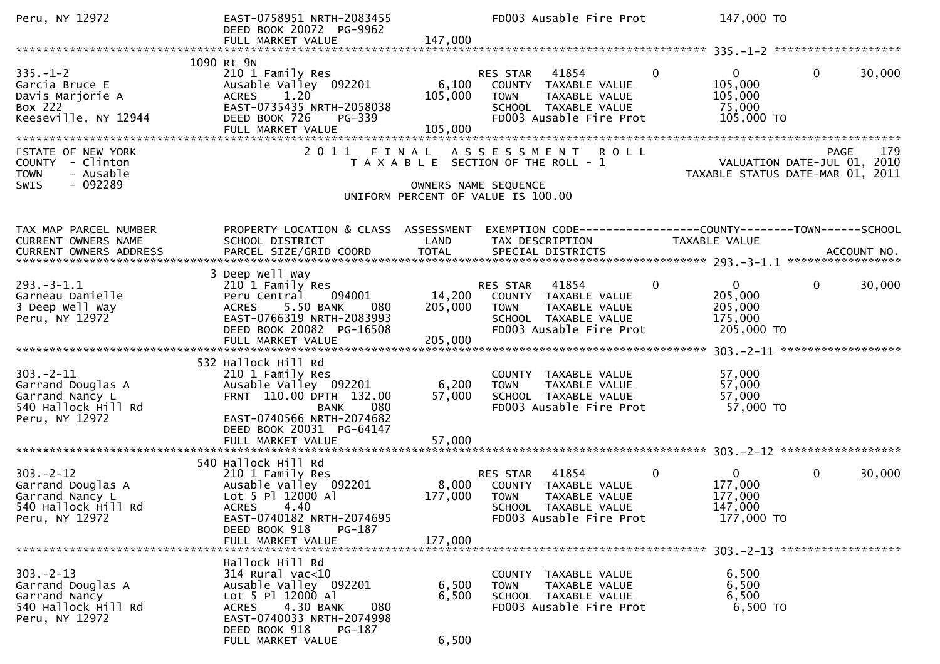| Peru, NY 12972                                                                                  | EAST-0758951 NRTH-2083455<br>DEED BOOK 20072 PG-9962<br>FULL MARKET VALUE                                                                                                                          | 147,000                      | FD003 Ausable Fire Prot                                                                                                                   | 147,000 TO                                                                 |                                                                                       |
|-------------------------------------------------------------------------------------------------|----------------------------------------------------------------------------------------------------------------------------------------------------------------------------------------------------|------------------------------|-------------------------------------------------------------------------------------------------------------------------------------------|----------------------------------------------------------------------------|---------------------------------------------------------------------------------------|
|                                                                                                 |                                                                                                                                                                                                    |                              |                                                                                                                                           |                                                                            |                                                                                       |
| $335. - 1 - 2$<br>Garcia Bruce E<br>Davis Marjorie A<br>Box 222<br>Keeseville, NY 12944         | 1090 Rt 9N<br>210 1 Family Res<br>Ausable Valley 092201<br>1.20<br><b>ACRES</b><br>EAST-0735435 NRTH-2058038<br>DEED BOOK 726<br>PG-339<br>FULL MARKET VALUE                                       | 6,100<br>105,000<br>105,000  | 41854<br>RES STAR<br>COUNTY<br>TAXABLE VALUE<br><b>TOWN</b><br>TAXABLE VALUE<br>SCHOOL TAXABLE VALUE<br>FD003 Ausable Fire Prot           | $\mathbf{0}$<br>$\mathbf{0}$<br>105,000<br>105,000<br>75,000<br>105,000 TO | $\mathbf{0}$<br>30,000                                                                |
| STATE OF NEW YORK<br>COUNTY - Clinton<br>- Ausable<br><b>TOWN</b><br>$-092289$<br>SWIS          | 2011                                                                                                                                                                                               | FINAL                        | <b>ROLL</b><br>A S S E S S M E N T<br>T A X A B L E SECTION OF THE ROLL - 1<br>OWNERS NAME SEQUENCE<br>UNIFORM PERCENT OF VALUE IS 100.00 |                                                                            | 179<br><b>PAGE</b><br>VALUATION DATE-JUL 01, 2010<br>TAXABLE STATUS DATE-MAR 01, 2011 |
| TAX MAP PARCEL NUMBER<br>CURRENT OWNERS NAME                                                    | PROPERTY LOCATION & CLASS ASSESSMENT<br>SCHOOL DISTRICT                                                                                                                                            | LAND                         | EXEMPTION CODE------------------COUNTY--------TOWN------SCHOOL<br>TAX DESCRIPTION                                                         | TAXABLE VALUE                                                              |                                                                                       |
| $293. -3 - 1.1$<br>Garneau Danielle<br>3 Deep Well Way<br>Peru, NY 12972                        | 3 Deep Well Way<br>210 1 Family Res<br>094001<br>Peru Central<br><b>ACRES</b><br>5.50 BANK<br>080<br>EAST-0766319 NRTH-2083993<br>DEED BOOK 20082 PG-16508<br>FULL MARKET VALUE                    | 14,200<br>205,000<br>205,000 | 41854<br>RES STAR<br>COUNTY TAXABLE VALUE<br><b>TOWN</b><br>TAXABLE VALUE<br>SCHOOL TAXABLE VALUE<br>FD003 Ausable Fire Prot              | 0<br>$\mathbf{0}$<br>205,000<br>205,000<br>175,000<br>205,000 TO           | $\mathbf 0$<br>30,000                                                                 |
| $303 - 2 - 11$<br>Garrand Douglas A<br>Garrand Nancy L<br>540 Hallock Hill Rd<br>Peru, NY 12972 | 532 Hallock Hill Rd<br>210 1 Family Res<br>Ausable Valley 092201<br>FRNT 110.00 DPTH 132.00<br><b>BANK</b><br>080<br>EAST-0740566 NRTH-2074682<br>DEED BOOK 20031 PG-64147<br>FULL MARKET VALUE    | 6,200<br>57,000<br>57,000    | COUNTY TAXABLE VALUE<br>TAXABLE VALUE<br><b>TOWN</b><br>SCHOOL TAXABLE VALUE<br>FD003 Ausable Fire Prot                                   | 57,000<br>57,000<br>57,000<br>57,000 TO                                    |                                                                                       |
| $303 - 2 - 12$<br>Garrand Douglas A<br>Garrand Nancy L<br>540 Hallock Hill Rd<br>Peru, NY 12972 | 540 Hallock Hill Rd<br>210 1 Family Res<br>Ausable Valley 092201<br>Lot 5 Pl 12000 Al<br>ACRES 4.40<br>EAST-0740182 NRTH-2074695<br>DEED BOOK 918<br>PG-187<br>FULL MARKET VALUE                   | 8,000<br>177,000<br>177,000  | 41854<br>RES STAR<br>COUNTY TAXABLE VALUE<br><b>TOWN</b><br>TAXABLE VALUE<br>SCHOOL TAXABLE VALUE<br>FD003 Ausable Fire Prot              | 0<br>$\mathbf{0}$<br>177,000<br>177,000<br>147,000<br>177,000 TO           | 0<br>30,000                                                                           |
| $303 - 2 - 13$<br>Garrand Douglas A<br>Garrand Nancy<br>540 Hallock Hill Rd<br>Peru, NY 12972   | Hallock Hill Rd<br>314 Rural vac<10<br>Ausable Valley 092201<br>Lot 5 Pl 12000 Al<br>4.30 BANK<br>080<br><b>ACRES</b><br>EAST-0740033 NRTH-2074998<br>DEED BOOK 918<br>PG-187<br>FULL MARKET VALUE | 6,500<br>6,500<br>6,500      | COUNTY TAXABLE VALUE<br><b>TOWN</b><br>TAXABLE VALUE<br>SCHOOL TAXABLE VALUE<br>FD003 Ausable Fire Prot                                   | 6,500<br>6,500<br>6,500<br>6,500 TO                                        |                                                                                       |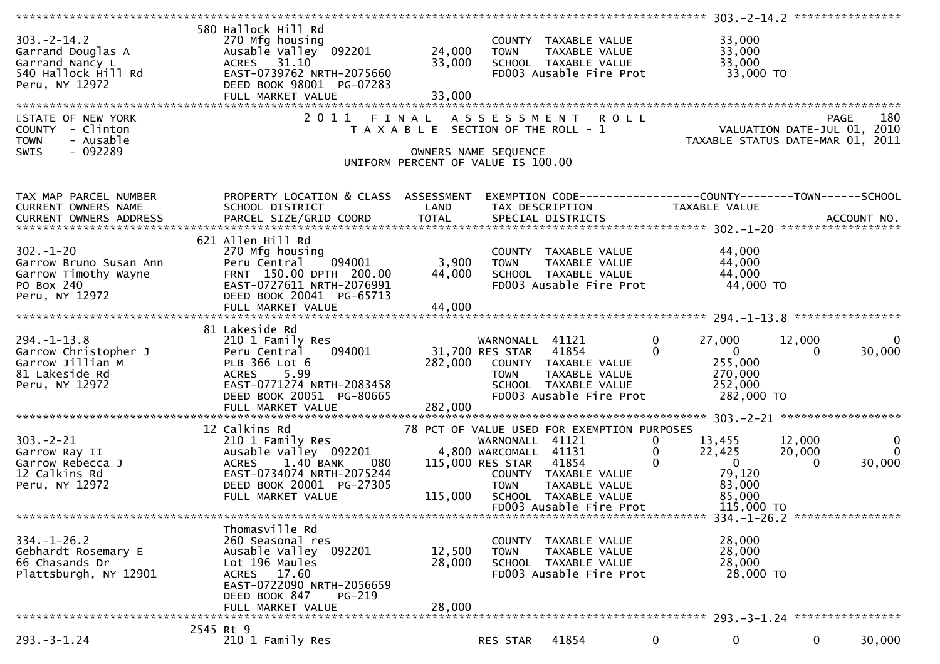| $303 - 2 - 14.2$<br>3O3.-2-14.2<br>Garrand Douglas A<br>Garrand Nancy L<br>540 Hallock Hill Rd<br>Peru, NY 12972<br>STATE OF NEW YORK | 580 Hallock Hill Rd<br>270 Mfg housing<br>Ausable Valley 092201<br>ACRES 31.10<br>EAST-0739762 NRTH-2075660<br>DEED BOOK 98001 PG-07283<br>FULL MARKET VALUE<br>2011 FINAL                  | 33,000<br>33,000                                                            | 24,000 TOWN                    | COUNTY TAXABLE VALUE<br>TAXABLE VALUE<br>SCHOOL TAXABLE VALUE<br>FD003 Ausable Fire Prot<br>ASSESSMENT ROLL                                      |                                  | 33,000<br>33,000<br>33,000                                                              |                  | 180<br><b>PAGE</b>                |
|---------------------------------------------------------------------------------------------------------------------------------------|---------------------------------------------------------------------------------------------------------------------------------------------------------------------------------------------|-----------------------------------------------------------------------------|--------------------------------|--------------------------------------------------------------------------------------------------------------------------------------------------|----------------------------------|-----------------------------------------------------------------------------------------|------------------|-----------------------------------|
| COUNTY - Clinton<br><b>TOWN</b><br>- Ausable<br>- 092289<br><b>SWIS</b>                                                               |                                                                                                                                                                                             | T A X A B L E SECTION OF THE ROLL - 1<br>UNIFORM PERCENT OF VALUE IS 100.00 | OWNERS NAME SEQUENCE           |                                                                                                                                                  |                                  | PAGE 180<br>VALUATION DATE-JUL 01, 2010<br>TAXABLE STATUS DATE-MAR 01, 2011             |                  |                                   |
| TAX MAP PARCEL NUMBER<br>CURRENT OWNERS NAME                                                                                          | PROPERTY LOCATION & CLASS ASSESSMENT<br>SCHOOL DISTRICT<br>.CURRENT OWNERS ADDRESS PARCEL SIZE/GRID COORD TOTAL SPECIAL DISTRICTS ACCOUNT NO ACCOUNT NO ACCOUNT NO ACCOUNT                  | LAND                                                                        |                                | EXEMPTION CODE------------------COUNTY--------TOWN------SCHOOL<br>TAX DESCRIPTION                                                                |                                  | TAXABLE VALUE                                                                           |                  |                                   |
| $302 - 1 - 20$<br>Garrow Bruno Susan Ann<br>Garrow Timothy Wayne<br>PO Box 240<br>PO Box 240<br>Peru, NY 12972                        | 621 Allen Hill Rd<br>270 Mfg housing<br>094001<br>Peru Central<br>FRNT 150.00 DPTH 200.00<br>EAST-0727611 NRTH-2076991<br>DEED BOOK 20041 PG-65713                                          | 3,900<br>44,000                                                             | <b>TOWN</b>                    | COUNTY TAXABLE VALUE<br>TAXABLE VALUE<br>SCHOOL TAXABLE VALUE<br>FD003 Ausable Fire Prot                                                         |                                  | 44,000<br>44,000<br>44,000<br>44,000 TO                                                 |                  |                                   |
| 294.-1-13.8<br>Garrow Christopher J<br>^^rrow Jillian M<br>Peru, NY 12972                                                             | 81 Lakeside Rd<br>210 1 Family Res<br>094001<br>Peru Central<br>PLB 366 Lot 6<br>ACRES 5.99<br>DEED BOOK 20051 PG-80665                                                                     | 31,700 RES STAR 41854                                                       | WARNONALL 41121<br><b>TOWN</b> | 282,000 COUNTY TAXABLE VALUE<br>TAXABLE VALUE<br>TAXABLE VALUE<br>ALUE VALUE<br>SCHOOL TAXABLE VALUE<br>FD003 Ausable Fire Prot                  | $\mathbf 0$<br>$\mathbf{0}$      | 27,000<br>$\overline{0}$<br>255,000<br>270,000<br>252,000<br>282,000 TO                 | 12,000           | 0<br>30,000                       |
|                                                                                                                                       |                                                                                                                                                                                             |                                                                             |                                |                                                                                                                                                  |                                  |                                                                                         |                  |                                   |
| $303 - 2 - 21$<br>Garrow Ray II<br>Garrow Rebecca J<br>12 Calkins Rd<br>Peru, NY 12972                                                | 12 Calkins Rd<br>210 1 Family Res<br>Ausable Valley 092201 1,800 WARCOMALL 41131<br>080<br>1.40 BANK<br>ACRES<br>EAST-0734074 NRTH-2075244<br>DEED BOOK 20001 PG-27305<br>FULL MARKET VALUE | 115,000                                                                     | 115,000 RES STAR 41854         | 78 PCT OF VALUE USED FOR EXEMPTION PURPOSES<br>COUNTY TAXABLE VALUE<br>TOWN     TAXABLE VALUE<br>SCHOOL TAXABLE VALUE<br>FD003 Ausable Fire Prot | 0<br>$\mathbf 0$<br>$\mathbf{0}$ | 13,455<br>22,425<br>$\overline{\mathbf{0}}$<br>79,120<br>83,000<br>85,000<br>115,000 TO | 12,000<br>20,000 | $\mathbf 0$<br>$\Omega$<br>30,000 |
|                                                                                                                                       |                                                                                                                                                                                             |                                                                             |                                |                                                                                                                                                  |                                  |                                                                                         |                  | 334. -1-26.2 *****************    |
| $334. - 1 - 26.2$<br>Gebhardt Rosemary E<br>66 Chasands Dr                                                                            | Thomasville Rd<br>260 Seasonal res<br>Ausable Valley 092201                                                                                                                                 | 12,500                                                                      | <b>TOWN</b>                    | COUNTY TAXABLE VALUE<br>TAXABLE VALUE                                                                                                            |                                  | 28,000<br>28,000                                                                        |                  |                                   |
| Plattsburgh, NY 12901                                                                                                                 | Lot 196 Maules<br>ACRES 17.60<br>EAST-0722090 NRTH-2056659<br>DEED BOOK 847<br>PG-219                                                                                                       | 28,000                                                                      |                                | SCHOOL TAXABLE VALUE<br>FD003 Ausable Fire Prot                                                                                                  |                                  | 28,000<br>28,000 TO                                                                     |                  |                                   |
|                                                                                                                                       | FULL MARKET VALUE                                                                                                                                                                           | 28,000                                                                      |                                |                                                                                                                                                  |                                  |                                                                                         |                  |                                   |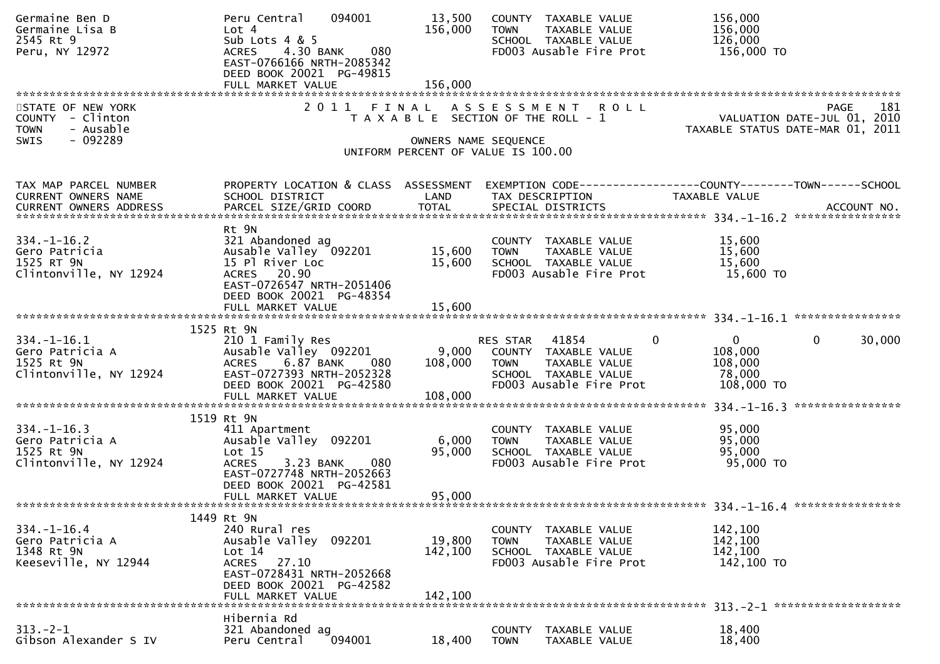| Germaine Ben D<br>Germaine Lisa B<br>2545 Rt 9<br>Peru, NY 12972                       | 094001<br>Peru Central<br>Lot <sub>4</sub><br>Sub Lots 4 & 5<br>4.30 BANK<br><b>ACRES</b><br>080<br>EAST-0766166 NRTH-2085342<br>DEED BOOK 20021 PG-49815          | 13,500<br>156,000            | COUNTY TAXABLE VALUE<br>TAXABLE VALUE<br><b>TOWN</b><br>SCHOOL TAXABLE VALUE<br>FD003 Ausable Fire Prot                           | 156,000<br>156,000<br>126,000<br>156,000 TO                                                          |
|----------------------------------------------------------------------------------------|--------------------------------------------------------------------------------------------------------------------------------------------------------------------|------------------------------|-----------------------------------------------------------------------------------------------------------------------------------|------------------------------------------------------------------------------------------------------|
|                                                                                        | FULL MARKET VALUE                                                                                                                                                  | 156,000                      |                                                                                                                                   |                                                                                                      |
| STATE OF NEW YORK<br>COUNTY - Clinton<br>- Ausable<br><b>TOWN</b><br>$-092289$<br>SWIS |                                                                                                                                                                    |                              | 2011 FINAL ASSESSMENT ROLL<br>T A X A B L E SECTION OF THE ROLL - 1<br>OWNERS NAME SEQUENCE<br>UNIFORM PERCENT OF VALUE IS 100.00 | 181<br><b>PAGE</b><br>VALUATION DATE-JUL 01, 2010<br>TAXABLE STATUS DATE-MAR 01, 2011                |
| TAX MAP PARCEL NUMBER<br>CURRENT OWNERS NAME                                           | PROPERTY LOCATION & CLASS ASSESSMENT<br>SCHOOL DISTRICT                                                                                                            | LAND                         | TAX DESCRIPTION                                                                                                                   | EXEMPTION CODE-----------------COUNTY--------TOWN-----SCHOOL<br>TAXABLE VALUE                        |
| $334. - 1 - 16.2$<br>Gero Patricia<br>1525 RT 9N<br>Clintonville, NY 12924             | Rt 9N<br>321 Abandoned ag<br>Ausable Valley 092201<br>15 Pl River Loc<br>ACRES 20.90<br>EAST-0726547 NRTH-2051406<br>DEED BOOK 20021 PG-48354<br>FULL MARKET VALUE | 15,600<br>15,600<br>15,600   | COUNTY TAXABLE VALUE<br>TAXABLE VALUE<br><b>TOWN</b><br>SCHOOL TAXABLE VALUE<br>FD003 Ausable Fire Prot                           | 15,600<br>15,600<br>15,600<br>15,600 TO                                                              |
|                                                                                        |                                                                                                                                                                    |                              |                                                                                                                                   |                                                                                                      |
| $334. - 1 - 16.1$<br>Gero Patricia A<br>1525 Rt 9N<br>Clintonville, NY 12924           | 1525 Rt 9N<br>210 1 Family Res<br>Ausable Valley 092201<br>ACRES 6.87 BANK<br>080<br>EAST-0727393 NRTH-2052328<br>DEED BOOK 20021 PG-42580<br>FULL MARKET VALUE    | 9,000<br>108,000<br>108,000  | RES STAR<br>41854<br>COUNTY TAXABLE VALUE<br><b>TOWN</b><br>TAXABLE VALUE<br>SCHOOL TAXABLE VALUE<br>FD003 Ausable Fire Prot      | $\mathbf{0}$<br>$\mathbf{0}$<br>$\mathbf{0}$<br>30,000<br>108,000<br>108,000<br>78,000<br>108,000 TO |
|                                                                                        | 1519 Rt 9N                                                                                                                                                         |                              |                                                                                                                                   |                                                                                                      |
| $334. - 1 - 16.3$<br>Gero Patricia A<br>1525 Rt 9N<br>Clintonville, NY 12924           | 411 Apartment<br>Ausable Valley 092201<br>Lot 15<br>080<br><b>ACRES</b><br>3.23 BANK<br>EAST-0727748 NRTH-2052663<br>DEED BOOK 20021 PG-42581                      | 6,000<br>95,000              | COUNTY TAXABLE VALUE<br>TAXABLE VALUE<br><b>TOWN</b><br>SCHOOL TAXABLE VALUE<br>FD003 Ausable Fire Prot                           | 95,000<br>95,000<br>95,000<br>95,000 TO                                                              |
|                                                                                        | FULL MARKET VALUE                                                                                                                                                  | 95,000                       |                                                                                                                                   |                                                                                                      |
| $334. - 1 - 16.4$<br>Gero Patricia A                                                   | 1449 Rt 9N                                                                                                                                                         |                              |                                                                                                                                   |                                                                                                      |
| 1348 Rt 9N<br>Keeseville, NY 12944                                                     | 240 Rural res<br>092201<br>Ausable Valley<br>Lot 14<br><b>ACRES</b><br>27.10<br>EAST-0728431 NRTH-2052668<br>DEED BOOK 20021 PG-42582<br>FULL MARKET VALUE         | 19,800<br>142,100<br>142,100 | COUNTY<br>TAXABLE VALUE<br>TAXABLE VALUE<br>TOWN<br>SCHOOL TAXABLE VALUE<br>FD003 Ausable Fire Prot                               | 142,100<br>142,100<br>142,100<br>142,100 TO                                                          |
|                                                                                        | Hibernia Rd                                                                                                                                                        |                              |                                                                                                                                   |                                                                                                      |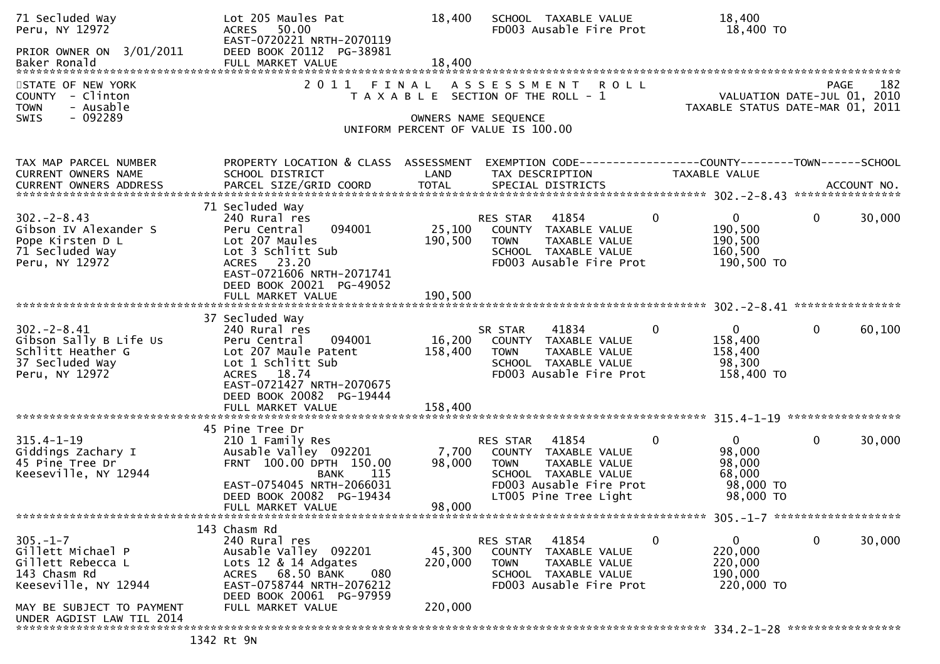| 71 Secluded Way<br>Peru, NY 12972                                                                    | Lot 205 Maules Pat<br>50.00<br><b>ACRES</b><br>EAST-0720221 NRTH-2070119                                                                                                                       | 18,400                       | SCHOOL TAXABLE VALUE<br>FD003 Ausable Fire Prot                                                                                                       | 18,400<br>18,400 TO                                                                   |                                                                                       |
|------------------------------------------------------------------------------------------------------|------------------------------------------------------------------------------------------------------------------------------------------------------------------------------------------------|------------------------------|-------------------------------------------------------------------------------------------------------------------------------------------------------|---------------------------------------------------------------------------------------|---------------------------------------------------------------------------------------|
| PRIOR OWNER ON 3/01/2011<br>Baker Ronald                                                             | DEED BOOK 20112 PG-38981<br>FULL MARKET VALUE                                                                                                                                                  | 18,400                       |                                                                                                                                                       |                                                                                       |                                                                                       |
| STATE OF NEW YORK<br>COUNTY - Clinton<br><b>TOWN</b><br>- Ausable<br>$-092289$<br>SWIS               | 2011<br>FINAL                                                                                                                                                                                  |                              | ASSESSMENT ROLL<br>T A X A B L E SECTION OF THE ROLL - 1<br>OWNERS NAME SEQUENCE                                                                      |                                                                                       | 182<br><b>PAGE</b><br>VALUATION DATE-JUL 01, 2010<br>TAXABLE STATUS DATE-MAR 01, 2011 |
|                                                                                                      |                                                                                                                                                                                                |                              | UNIFORM PERCENT OF VALUE IS 100.00                                                                                                                    |                                                                                       |                                                                                       |
| TAX MAP PARCEL NUMBER<br>CURRENT OWNERS NAME                                                         | PROPERTY LOCATION & CLASS ASSESSMENT<br>SCHOOL DISTRICT                                                                                                                                        | LAND                         | EXEMPTION CODE-----------------COUNTY-------TOWN------SCHOOL<br>TAX DESCRIPTION                                                                       | TAXABLE VALUE                                                                         |                                                                                       |
| $302 - 2 - 8.43$<br>Gibson IV Alexander S<br>Pope Kirsten D L<br>71 Secluded Way<br>Peru, NY 12972   | 71 Secluded Way<br>240 Rural res<br>094001<br>Peru Central<br>Lot 207 Maules<br>Lot 3 Schlitt Sub<br>ACRES 23.20<br>EAST-0721606 NRTH-2071741<br>DEED BOOK 20021 PG-49052<br>FULL MARKET VALUE | 25,100<br>190,500<br>190,500 | 41854<br>RES STAR<br>COUNTY TAXABLE VALUE<br>TAXABLE VALUE<br><b>TOWN</b><br>SCHOOL TAXABLE VALUE<br>FD003 Ausable Fire Prot                          | $\mathbf 0$<br>$\overline{0}$<br>190,500<br>190,500<br>160,500<br>190,500 TO          | $\mathbf 0$<br>30,000                                                                 |
|                                                                                                      | 37 Secluded Way                                                                                                                                                                                |                              |                                                                                                                                                       |                                                                                       |                                                                                       |
| $302 - 2 - 8.41$<br>Gibson Sally B Life Us<br>Schlitt Heather G<br>37 Secluded Way<br>Peru, NY 12972 | 240 Rural res<br>Peru Central<br>094001<br>Lot 207 Maule Patent<br>Lot 1 Schlitt Sub<br>ACRES 18.74<br>EAST-0721427 NRTH-2070675<br>DEED BOOK 20082 PG-19444                                   | 16,200<br>158,400            | 41834<br>SR STAR<br>TAXABLE VALUE<br>COUNTY<br><b>TOWN</b><br>TAXABLE VALUE<br>SCHOOL TAXABLE VALUE<br>FD003 Ausable Fire Prot                        | $\mathbf{0}$<br>0<br>158,400<br>158,400<br>98,300<br>158,400 TO                       | $\mathbf{0}$<br>60,100                                                                |
|                                                                                                      |                                                                                                                                                                                                |                              |                                                                                                                                                       |                                                                                       |                                                                                       |
| $315.4 - 1 - 19$<br>Giddings Zachary I<br>45 Pine Tree Dr<br>Keeseville, NY 12944                    | 45 Pine Tree Dr<br>210 1 Family Res<br>Ausable Valley 092201<br>FRNT 100.00 DPTH 150.00<br>115<br><b>BANK</b><br>EAST-0754045 NRTH-2066031<br>DEED BOOK 20082 PG-19434                         | 7,700<br>98,000              | 41854<br>RES STAR<br>COUNTY TAXABLE VALUE<br><b>TOWN</b><br>TAXABLE VALUE<br>SCHOOL TAXABLE VALUE<br>FD003 Ausable Fire Prot<br>LT005 Pine Tree Light | $\mathbf 0$<br>$\overline{0}$<br>98,000<br>98,000<br>68,000<br>98,000 TO<br>98,000 TO | 0<br>30,000                                                                           |
|                                                                                                      | FULL MARKET VALUE                                                                                                                                                                              | 98,000                       |                                                                                                                                                       |                                                                                       |                                                                                       |
| $305. - 1 - 7$<br>Gillett Michael P<br>Gillett Rebecca L<br>143 Chasm Rd<br>Keeseville, NY 12944     | 143 Chasm Rd<br>240 Rural res<br>Ausable Valley 092201<br>Lots 12 & 14 Adgates<br>ACRES 68.50 BANK<br>080<br>EAST-0758744 NRTH-2076212                                                         | 45,300<br>220,000            | 41854<br>RES STAR<br>COUNTY TAXABLE VALUE<br><b>TOWN</b><br>TAXABLE VALUE<br>SCHOOL TAXABLE VALUE<br>FD003 Ausable Fire Prot                          | 0<br>0<br>220,000<br>220,000<br>190,000<br>220,000 TO                                 | 0<br>30,000                                                                           |
| MAY BE SUBJECT TO PAYMENT<br>UNDER AGDIST LAW TIL 2014                                               | DEED BOOK 20061 PG-97959<br>FULL MARKET VALUE                                                                                                                                                  | 220,000                      |                                                                                                                                                       |                                                                                       |                                                                                       |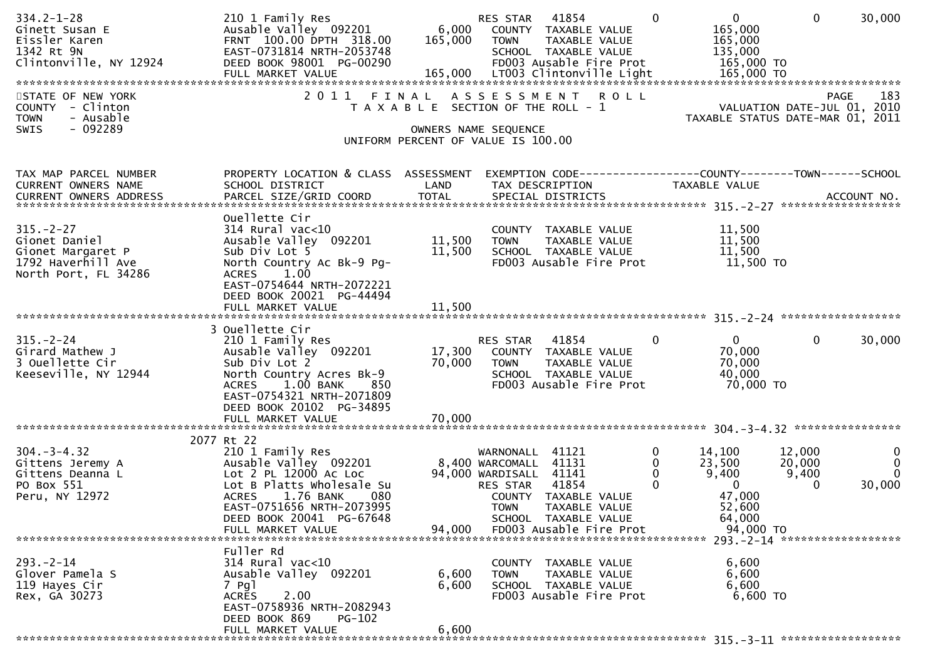| $334.2 - 1 - 28$<br>Ginett Susan E<br>Eissler Karen<br>1342 Rt 9N<br>Clintonville, NY 12924         | 210 1 Family Res<br>Ausable Valley 092201<br>FRNT 100.00 DPTH 318.00<br>EAST-0731814 NRTH-2053748<br>DEED BOOK 98001 PG-00290                                                                                                   | 6,000<br>165,000                                                            | RES STAR<br><b>TOWN</b>                                                           | 41854<br>COUNTY TAXABLE VALUE<br>TAXABLE VALUE<br>SCHOOL TAXABLE VALUE<br>FD003 Ausable Fire Prot | $\Omega$                     | $\overline{0}$<br>165,000<br>165,000<br>135,000<br>165,000 TO              | $\Omega$                       | 30,000                                            |
|-----------------------------------------------------------------------------------------------------|---------------------------------------------------------------------------------------------------------------------------------------------------------------------------------------------------------------------------------|-----------------------------------------------------------------------------|-----------------------------------------------------------------------------------|---------------------------------------------------------------------------------------------------|------------------------------|----------------------------------------------------------------------------|--------------------------------|---------------------------------------------------|
| STATE OF NEW YORK<br>COUNTY - Clinton<br><b>TOWN</b><br>- Ausable<br>$-092289$<br><b>SWIS</b>       |                                                                                                                                                                                                                                 | T A X A B L E SECTION OF THE ROLL - 1<br>UNIFORM PERCENT OF VALUE IS 100.00 | OWNERS NAME SEQUENCE                                                              | 2011 FINAL ASSESSMENT ROLL                                                                        |                              | TAXABLE STATUS DATE-MAR 01, 2011                                           |                                | 183<br><b>PAGE</b><br>VALUATION DATE-JUL 01, 2010 |
| TAX MAP PARCEL NUMBER<br>CURRENT OWNERS NAME                                                        | PROPERTY LOCATION & CLASS ASSESSMENT<br>SCHOOL DISTRICT                                                                                                                                                                         | LAND                                                                        | TAX DESCRIPTION                                                                   |                                                                                                   |                              | TAXABLE VALUE                                                              |                                |                                                   |
| $315. - 2 - 27$<br>Gionet Daniel<br>Gionet Margaret P<br>1792 Haverhill Ave<br>North Port, FL 34286 | Ouellette Cir<br>314 Rural vac<10<br>Ausable Valley 092201<br>Sub Div Lot 5<br>North Country Ac Bk-9 Pg-<br><b>ACRES</b><br>1.00<br>EAST-0754644 NRTH-2072221                                                                   | 11,500<br>11,500                                                            | <b>TOWN</b>                                                                       | COUNTY TAXABLE VALUE<br>TAXABLE VALUE<br>SCHOOL TAXABLE VALUE<br>FD003 Ausable Fire Prot          |                              | 11,500<br>11,500<br>11,500<br>11,500 TO                                    |                                |                                                   |
|                                                                                                     | DEED BOOK 20021 PG-44494                                                                                                                                                                                                        |                                                                             |                                                                                   |                                                                                                   |                              |                                                                            |                                |                                                   |
| $315. - 2 - 24$<br>Girard Mathew J<br>3 Ouellette Cir<br>Keeseville, NY 12944                       | 3 Ouellette Cir<br>210 1 Family Res<br>Ausable Valley 092201<br>Sub Div Lot 2<br>North Country Acres Bk-9<br>$1.00\,$ BANK<br><b>ACRES</b><br>850<br>EAST-0754321 NRTH-2071809<br>DEED BOOK 20102 PG-34895<br>FULL MARKET VALUE | 17,300<br>70,000<br>70,000                                                  | RES STAR 41854<br><b>TOWN</b>                                                     | COUNTY TAXABLE VALUE<br>TAXABLE VALUE<br>SCHOOL TAXABLE VALUE<br>FD003 Ausable Fire Prot          | $\mathbf{0}$                 | $\mathbf{0}$<br>70,000<br>70,000<br>40,000<br>70,000 TO                    | $\mathbf{0}$                   | 30,000                                            |
|                                                                                                     |                                                                                                                                                                                                                                 |                                                                             |                                                                                   |                                                                                                   |                              |                                                                            |                                |                                                   |
| $304 - 3 - 4.32$<br>Gittens Jeremy A<br>Gittens Deanna L<br>PO Box 551<br>Peru, NY 12972            | 2077 Rt 22<br>210 1 Family Res<br>Ausable Valley 092201<br>Lot 2 PL 12000 AC Loc<br>Lot B Platts Wholesale Su<br><b>ACRES</b><br>1.76 BANK<br>080<br>EAST-0751656 NRTH-2073995<br>DEED BOOK 20041 PG-67648                      |                                                                             | WARNONALL<br>8,400 WARCOMALL<br>94,000 WARDISALL 41141<br>RES STAR<br><b>TOWN</b> | 41121<br>41131<br>41854<br>COUNTY TAXABLE VALUE<br><b>TAXABLE VALUE</b><br>SCHOOL TAXABLE VALUE   | 0<br>$\mathbf 0$<br>$\Omega$ | 14,100<br>23,500<br>9,400<br>$\Omega$<br>47,000<br>52,600                  | 12,000<br>20,000<br>9,400<br>0 | $\mathbf{0}$<br>$\mathbf 0$<br>$\Omega$<br>30,000 |
|                                                                                                     | FULL MARKET VALUE                                                                                                                                                                                                               | 94,000                                                                      |                                                                                   | FD003 Ausable Fire Prot                                                                           |                              | 64,000<br>94,000 TO                                                        |                                |                                                   |
| $293. - 2 - 14$<br>Glover Pamela S<br>119 Hayes Cir<br>Rex, GA 30273                                | Fuller Rd<br>$314$ Rural vac<10<br>Ausable Valley 092201<br>7 Pgl<br>2.00<br><b>ACRES</b><br>EAST-0758936 NRTH-2082943<br>DEED BOOK 869<br>PG-102<br>FULL MARKET VALUE                                                          | 6,600<br>6,600<br>6,600                                                     | <b>TOWN</b>                                                                       | COUNTY TAXABLE VALUE<br>TAXABLE VALUE<br>SCHOOL TAXABLE VALUE<br>FD003 Ausable Fire Prot          |                              | 293. - 2 - 14 *******************<br>6,600<br>6,600<br>6,600<br>$6,600$ TO |                                |                                                   |
|                                                                                                     |                                                                                                                                                                                                                                 |                                                                             |                                                                                   |                                                                                                   |                              |                                                                            |                                |                                                   |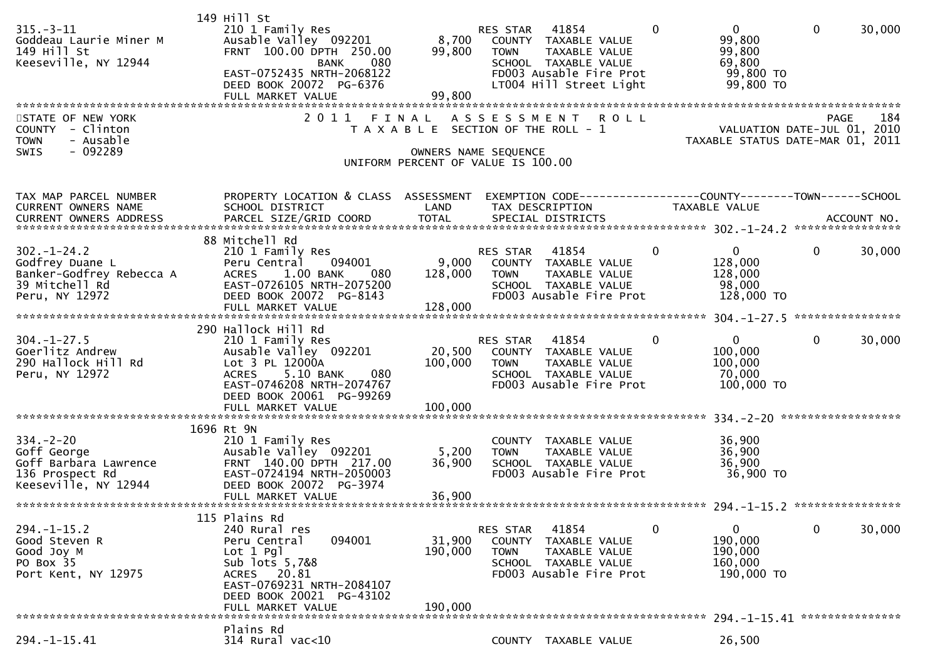|                                              | 149 Hill St                                             |                 |                                                      |                |                                                                              |                |             |
|----------------------------------------------|---------------------------------------------------------|-----------------|------------------------------------------------------|----------------|------------------------------------------------------------------------------|----------------|-------------|
| $315. - 3 - 11$                              | 210 1 Family Res                                        |                 | 41854<br>RES STAR                                    | $\mathbf{0}$   | $\mathbf{0}$                                                                 | $\mathbf{0}$   | 30,000      |
| Goddeau Laurie Miner M<br>149 Hill St        | Ausable Valley 092201<br>FRNT 100.00 DPTH 250.00        | 8,700<br>99,800 | COUNTY TAXABLE VALUE                                 |                | 99,800                                                                       |                |             |
| Keeseville, NY 12944                         | 080<br><b>BANK</b>                                      |                 | <b>TOWN</b><br>TAXABLE VALUE<br>SCHOOL TAXABLE VALUE |                | 99,800<br>69,800                                                             |                |             |
|                                              | EAST-0752435 NRTH-2068122                               |                 | FD003 Ausable Fire Prot                              |                | 99,800 TO                                                                    |                |             |
|                                              | DEED BOOK 20072 PG-6376                                 |                 | LT004 Hill Street Light                              |                | 99,800 TO                                                                    |                |             |
|                                              | FULL MARKET VALUE                                       | 99,800          |                                                      |                |                                                                              |                |             |
|                                              |                                                         |                 |                                                      |                |                                                                              |                |             |
| STATE OF NEW YORK                            | 2011                                                    | FINAL           | ASSESSMENT ROLL                                      |                | PAGE 184<br>VALUATION DATE-JUL 01, 2010<br>TAXABLE STATUS BATE USE 101, 2010 |                |             |
| COUNTY - Clinton<br>- Ausable<br><b>TOWN</b> |                                                         |                 | T A X A B L E SECTION OF THE ROLL - 1                |                | TAXABLE STATUS DATE-MAR 01, 2011                                             |                |             |
| $-092289$<br>SWIS                            |                                                         |                 | OWNERS NAME SEQUENCE                                 |                |                                                                              |                |             |
|                                              |                                                         |                 | UNIFORM PERCENT OF VALUE IS 100.00                   |                |                                                                              |                |             |
|                                              |                                                         |                 |                                                      |                |                                                                              |                |             |
|                                              |                                                         |                 |                                                      |                |                                                                              |                |             |
| TAX MAP PARCEL NUMBER<br>CURRENT OWNERS NAME | PROPERTY LOCATION & CLASS ASSESSMENT<br>SCHOOL DISTRICT | LAND            | TAX DESCRIPTION                                      |                | TAXABLE VALUE                                                                |                |             |
| CURRENT OWNERS ADDRESS                       | PARCEL SIZE/GRID COORD                                  | <b>TOTAL</b>    | SPECIAL DISTRICTS                                    |                |                                                                              |                | ACCOUNT NO. |
|                                              |                                                         |                 |                                                      |                |                                                                              |                |             |
|                                              | 88 Mitchell Rd                                          |                 |                                                      |                |                                                                              |                |             |
| $302 - 1 - 24.2$                             | 210 1 Family Res                                        |                 | 41854<br>RES STAR                                    | $\Omega$       | $\mathbf{0}$                                                                 | $\mathbf{0}$   | 30,000      |
| Godfrey Duane L                              | 094001<br>Peru Central                                  | 9,000           | COUNTY TAXABLE VALUE                                 |                | 128,000                                                                      |                |             |
| Banker-Godfrey Rebecca A<br>39 Mitchell Rd   | 1.00 BANK<br><b>ACRES</b><br>- 080                      | 128,000         | TAXABLE VALUE<br><b>TOWN</b>                         |                | 128,000                                                                      |                |             |
| Peru, NY 12972                               | EAST-0726105 NRTH-2075200<br>DEED BOOK 20072 PG-8143    |                 | SCHOOL TAXABLE VALUE<br>FD003 Ausable Fire Prot      |                | 98,000<br>128,000 TO                                                         |                |             |
|                                              | FULL MARKET VALUE                                       | 128,000         |                                                      |                |                                                                              |                |             |
|                                              |                                                         |                 |                                                      |                |                                                                              |                |             |
|                                              | 290 Hallock Hill Rd                                     |                 |                                                      |                |                                                                              |                |             |
| $304. - 1 - 27.5$                            | 210 1 Family Res                                        |                 | RES STAR 41854                                       | $\Omega$       | $\overline{0}$                                                               | $\overline{0}$ | 30,000      |
| Goerlitz Andrew                              | Ausable Valley 092201                                   |                 | 20,500 COUNTY TAXABLE VALUE                          |                | 100,000                                                                      |                |             |
| 290 Hallock Hill Rd<br>Peru, NY 12972        | Lot 3 PL 12000A<br>ACRES 5.10 BANK<br>080               | 100,000         | <b>TOWN</b><br>TAXABLE VALUE<br>SCHOOL TAXABLE VALUE |                | 100,000<br>70,000                                                            |                |             |
|                                              | EAST-0746208 NRTH-2074767                               |                 | FD003 Ausable Fire Prot                              |                | 100,000 TO                                                                   |                |             |
|                                              | DEED BOOK 20061 PG-99269                                |                 |                                                      |                |                                                                              |                |             |
|                                              |                                                         |                 |                                                      |                |                                                                              |                |             |
|                                              |                                                         |                 |                                                      |                |                                                                              |                |             |
|                                              | 1696 Rt 9N                                              |                 |                                                      |                |                                                                              |                |             |
| $334 - 2 - 20$                               | 210 1 Family Res<br>Ausable Valley 092201               |                 | COUNTY TAXABLE VALUE                                 |                | 36,900                                                                       |                |             |
| Goff George<br>Goff Barbara Lawrence         | FRNT 140.00 DPTH 217.00                                 | 5,200<br>36,900 | <b>TOWN</b><br>TAXABLE VALUE<br>SCHOOL TAXABLE VALUE |                | 36,900<br>36,900                                                             |                |             |
| 136 Prospect Rd                              | EAST-0724194 NRTH-2050003                               |                 | FD003 Ausable Fire Prot                              |                | 36,900 TO                                                                    |                |             |
| Keeseville, NY 12944                         | DEED BOOK 20072 PG-3974                                 |                 |                                                      |                |                                                                              |                |             |
|                                              | FULL MARKET VALUE                                       | 36,900          |                                                      |                |                                                                              |                |             |
|                                              |                                                         |                 |                                                      |                |                                                                              |                |             |
| $294. - 1 - 15.2$                            | 115 Plains Rd                                           |                 |                                                      | $\overline{0}$ | 0                                                                            | $\mathbf 0$    |             |
| Good Steven R                                | 240 Rural res<br>094001<br>Peru Central                 | 31,900          | 41854<br>RES STAR<br><b>COUNTY</b><br>TAXABLE VALUE  |                | 190,000                                                                      |                | 30,000      |
| Good Joy M                                   | $Lot 1$ Pgl                                             | 190,000         | TAXABLE VALUE<br><b>TOWN</b>                         |                | 190,000                                                                      |                |             |
| PO Box 35                                    | Sub lots 5,7&8                                          |                 | SCHOOL TAXABLE VALUE                                 |                | 160,000                                                                      |                |             |
| Port Kent, NY 12975                          | ACRES 20.81                                             |                 | FD003 Ausable Fire Prot                              |                | 190,000 TO                                                                   |                |             |
|                                              | EAST-0769231 NRTH-2084107                               |                 |                                                      |                |                                                                              |                |             |
|                                              | DEED BOOK 20021 PG-43102                                |                 |                                                      |                |                                                                              |                |             |
|                                              | FULL MARKET VALUE                                       | 190,000         |                                                      |                |                                                                              |                |             |
|                                              | Plains Rd                                               |                 |                                                      |                |                                                                              |                |             |
| $294. -1 - 15.41$                            | $314$ Rural vac<10                                      |                 | COUNTY TAXABLE VALUE                                 |                | 26,500                                                                       |                |             |
|                                              |                                                         |                 |                                                      |                |                                                                              |                |             |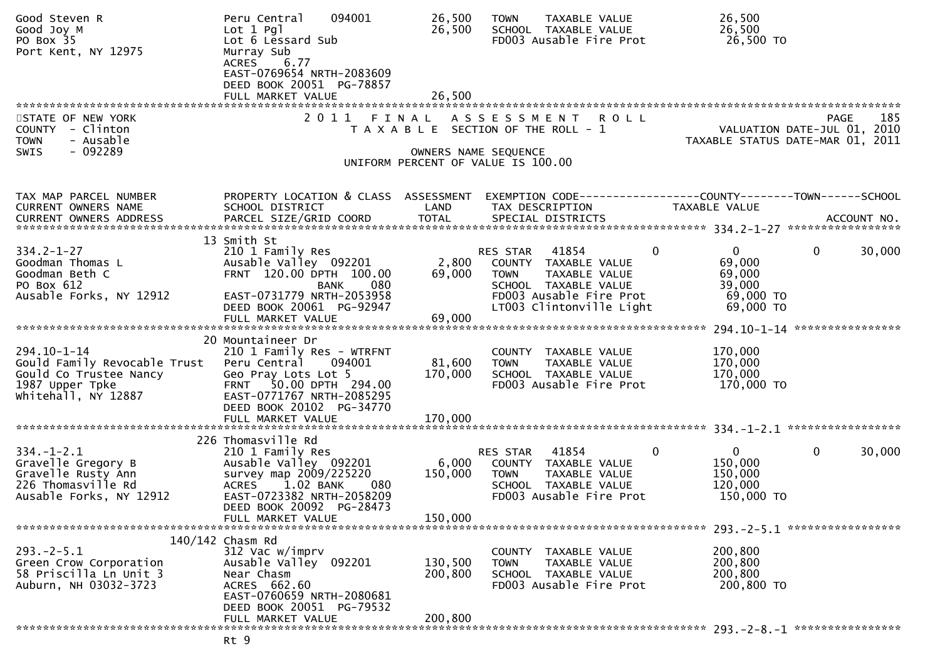| Good Steven R<br>Good Joy M<br>PO Box 35<br>Port Kent, NY 12975                                                              | 094001<br>Peru Central<br>$Lot 1$ Pgl<br>Lot 6 Lessard Sub<br>Murray Sub<br>6.77<br><b>ACRES</b><br>EAST-0769654 NRTH-2083609<br>DEED BOOK 20051 PG-78857<br>FULL MARKET VALUE                                 | 26,500<br>26,500<br>26,500    | <b>TOWN</b><br>TAXABLE VALUE<br>SCHOOL TAXABLE VALUE<br>FD003 Ausable Fire Prot                                                                                  | 26,500<br>26,500<br>26,500 TO                                                                                                                                                                                                                                                                             |
|------------------------------------------------------------------------------------------------------------------------------|----------------------------------------------------------------------------------------------------------------------------------------------------------------------------------------------------------------|-------------------------------|------------------------------------------------------------------------------------------------------------------------------------------------------------------|-----------------------------------------------------------------------------------------------------------------------------------------------------------------------------------------------------------------------------------------------------------------------------------------------------------|
|                                                                                                                              |                                                                                                                                                                                                                |                               |                                                                                                                                                                  |                                                                                                                                                                                                                                                                                                           |
| STATE OF NEW YORK<br>COUNTY - Clinton<br><b>TOWN</b><br>- Ausable<br>$-092289$<br>SWIS                                       | 2 0 1 1                                                                                                                                                                                                        | FINAL                         | ASSESSMENT ROLL<br>T A X A B L E SECTION OF THE ROLL - 1<br>OWNERS NAME SEQUENCE<br>UNIFORM PERCENT OF VALUE IS 100.00                                           | 185<br><b>PAGE</b><br>VALUATION DATE-JUL 01, 2010<br>TAXABLE STATUS DATE-MAR 01, 2011                                                                                                                                                                                                                     |
| TAX MAP PARCEL NUMBER<br><b>CURRENT OWNERS NAME</b><br>CURRENT OWNERS ADDRESS                                                | PROPERTY LOCATION & CLASS ASSESSMENT<br>SCHOOL DISTRICT<br>13 Smith St                                                                                                                                         | LAND                          | TAX DESCRIPTION                                                                                                                                                  | EXEMPTION CODE-----------------COUNTY--------TOWN------SCHOOL<br>TAXABLE VALUE<br>.000RESS ADDRESS PARCEL SIZE/GRID COORD TOTAL SPECIAL DISTRICTS ACCOUNT NO ACCOUNT NO ACCOUNT NO ACCOUNT NO ACCOUNT NO ACCOUNT NO AND A ASSESS TO A A TORRENT OWNERS ARE PARCEL SIZE/GRID COORD TOTAL SPECIAL DISTRICTS |
| $334.2 - 1 - 27$<br>Goodman Thomas L<br>Goodman Beth C<br>PO Box 612<br>Ausable Forks, NY 12912                              | 210 1 Family Res<br>Ausable Valley 092201<br>FRNT 120.00 DPTH 100.00<br>080<br><b>BANK</b><br>EAST-0731779 NRTH-2053958<br>DEED BOOK 20061 PG-92947                                                            | 2,800<br>69,000               | $\mathbf 0$<br>41854<br>RES STAR<br>COUNTY TAXABLE VALUE<br>TAXABLE VALUE<br>TOWN<br>SCHOOL TAXABLE VALUE<br>FD003 Ausable Fire Prot<br>LT003 Clintonville Light | $\mathbf{0}$<br>$\mathbf 0$<br>30,000<br>69,000<br>69,000<br>39,000<br>69,000 TO<br>69,000 TO                                                                                                                                                                                                             |
|                                                                                                                              |                                                                                                                                                                                                                |                               |                                                                                                                                                                  |                                                                                                                                                                                                                                                                                                           |
| 294.10-1-14<br>Gould Family Revocable Trust Peru Central<br>Gould Co Trustee Nancy<br>1987 Upper Tpke<br>Whitehall, NY 12887 | 20 Mountaineer Dr<br>210 1 Family Res - WTRFNT<br>094001<br>Geo Pray Lots Lot 5<br>FRNT 50.00 DPTH 294.00<br>EAST-0771767 NRTH-2085295<br>DEED BOOK 20102 PG-34770                                             | 81,600<br>170,000             | COUNTY TAXABLE VALUE<br><b>TOWN</b><br>TAXABLE VALUE<br>SCHOOL TAXABLE VALUE<br>FD003 Ausable Fire Prot                                                          | 170,000<br>170,000<br>170,000<br>170,000 TO                                                                                                                                                                                                                                                               |
|                                                                                                                              | FULL MARKET VALUE                                                                                                                                                                                              | 170,000                       |                                                                                                                                                                  |                                                                                                                                                                                                                                                                                                           |
| $334. - 1 - 2.1$<br>Gravelle Gregory B<br>Gravelle Rusty Ann<br>226 Thomasville Rd<br>Ausable Forks, NY 12912                | 226 Thomasville Rd<br>210 1 Family Res<br>Ausable Valley 092201<br>survey map 2009/225220<br><b>ACRES</b><br>1.02 BANK<br>-- 080<br>EAST-0723382 NRTH-2058209<br>DEED BOOK 20092 PG-28473<br>FULL MARKET VALUE | 6,000<br>150,000<br>150,000   | $\mathbf 0$<br>RES STAR<br>41854<br>COUNTY TAXABLE VALUE<br>TAXABLE VALUE<br>TOWN<br>SCHOOL TAXABLE VALUE<br>FD003 Ausable Fire Prot                             | $\mathbf{0}$<br>$\mathbf 0$<br>30,000<br>150,000<br>150,000<br>120,000<br>150,000 TO                                                                                                                                                                                                                      |
|                                                                                                                              | 140/142 Chasm Rd                                                                                                                                                                                               |                               |                                                                                                                                                                  |                                                                                                                                                                                                                                                                                                           |
| $293. -2 - 5.1$<br>Green Crow Corporation<br>58 Priscilla Ln Unit 3<br>Auburn, NH 03032-3723                                 | 312 Vac w/imprv<br>Ausable Valley 092201<br>Near Chasm<br>ACRES 662.60<br>EAST-0760659 NRTH-2080681<br>DEED BOOK 20051 PG-79532<br>FULL MARKET VALUE                                                           | 130,500<br>200,800<br>200,800 | COUNTY TAXABLE VALUE<br>TAXABLE VALUE<br><b>TOWN</b><br>SCHOOL TAXABLE VALUE<br>FD003 Ausable Fire Prot                                                          | 200,800<br>200,800<br>200,800<br>200,800 TO                                                                                                                                                                                                                                                               |
|                                                                                                                              |                                                                                                                                                                                                                |                               |                                                                                                                                                                  |                                                                                                                                                                                                                                                                                                           |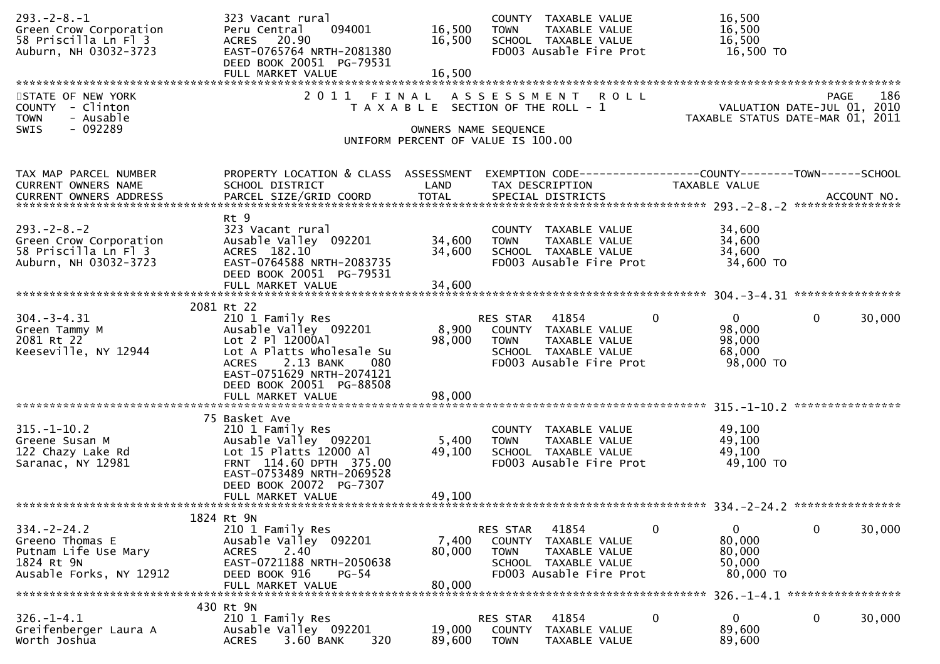| $293. -2 - 8. - 1$<br>Green Crow Corporation<br>58 Priscilla Ln Fl 3<br>Auburn, NH 03032-3723        | 323 Vacant rural<br>094001<br>Peru Central<br>ACRES 20.90<br>EAST-0765764 NRTH-2081380<br>DEED BOOK 20051 PG-79531                                                                           | 16,500<br>16,500           | COUNTY TAXABLE VALUE<br><b>TOWN</b><br>TAXABLE VALUE<br>SCHOOL TAXABLE VALUE<br>FD003 Ausable Fire Prot                                | 16,500<br>16,500<br>16,500<br>16,500 TO                                 |                                                                                |
|------------------------------------------------------------------------------------------------------|----------------------------------------------------------------------------------------------------------------------------------------------------------------------------------------------|----------------------------|----------------------------------------------------------------------------------------------------------------------------------------|-------------------------------------------------------------------------|--------------------------------------------------------------------------------|
| STATE OF NEW YORK<br>COUNTY - Clinton<br><b>TOWN</b><br>- Ausable<br><b>SWIS</b><br>- 092289         |                                                                                                                                                                                              |                            | 2011 FINAL ASSESSMENT ROLL<br>T A X A B L E SECTION OF THE ROLL - 1<br>OWNERS NAME SEQUENCE<br>UNIFORM PERCENT OF VALUE IS 100.00      |                                                                         | 186<br>PAGE<br>VALUATION DATE-JUL 01, 2010<br>TAXABLE STATUS DATE-MAR 01, 2011 |
| TAX MAP PARCEL NUMBER<br>CURRENT OWNERS NAME                                                         | PROPERTY LOCATION & CLASS ASSESSMENT<br>SCHOOL DISTRICT                                                                                                                                      | LAND                       | EXEMPTION CODE------------------COUNTY--------TOWN------SCHOOL<br>TAX DESCRIPTION                                                      | TAXABLE VALUE                                                           |                                                                                |
| $293. - 2 - 8. - 2$<br>Green Crow Corporation<br>58 Priscilla Ln Fl 3<br>Auburn, NH 03032-3723       | Rt 9<br>323 Vacant rural<br>Ausable Valley 092201<br>ACRES 182.10<br>EAST-0764588 NRTH-2083735<br>DEED BOOK 20051 PG-79531<br>FULL MARKET VALUE                                              | 34,600<br>34,600<br>34,600 | COUNTY TAXABLE VALUE<br><b>TOWN</b><br>TAXABLE VALUE<br>SCHOOL TAXABLE VALUE<br>FD003 Ausable Fire Prot                                | 34,600<br>34,600<br>34,600<br>34,600 TO                                 |                                                                                |
|                                                                                                      | 2081 Rt 22                                                                                                                                                                                   |                            |                                                                                                                                        |                                                                         |                                                                                |
| $304. - 3 - 4.31$<br>Green Tammy M<br>2081 Rt 22<br>Keeseville, NY 12944                             | 210 1 Family Res<br>Ausable Valley 092201<br>Lot 2 Pl 12000Al<br>Lot A Platts Wholesale Su<br><b>ACRES</b><br>2.13 BANK<br>080<br>EAST-0751629 NRTH-2074121<br>DEED BOOK 20051 PG-88508      | 8,900<br>98,000            | RES STAR 41854<br>COUNTY TAXABLE VALUE<br>TAXABLE VALUE<br><b>TOWN</b><br>SCHOOL TAXABLE VALUE<br>FD003 Ausable Fire Prot              | $\mathbf{0}$<br>$\mathbf{0}$<br>98,000<br>98,000<br>68,000<br>98,000 TO | 30,000<br>$\mathbf{0}$                                                         |
| $315. - 1 - 10.2$<br>Greene Susan M<br>122 Chazy Lake Rd<br>Saranac, NY 12981                        | 75 Basket Ave<br>210 1 Family Res<br>Ausable Valley 092201<br>Lot 15 Platts 12000 Al<br>FRNT 114.60 DPTH 375.00<br>EAST-0753489 NRTH-2069528<br>DEED BOOK 20072 PG-7307<br>FULL MARKET VALUE | 5,400<br>49,100<br>49,100  | COUNTY TAXABLE VALUE<br>TAXABLE VALUE<br><b>TOWN</b><br>SCHOOL TAXABLE VALUE<br>FD003 Ausable Fire Prot                                | 49,100<br>49,100<br>49,100<br>49,100 TO                                 |                                                                                |
|                                                                                                      | 1824 Rt 9N                                                                                                                                                                                   |                            |                                                                                                                                        |                                                                         |                                                                                |
| $334 - 2 - 24.2$<br>Greeno Thomas E<br>Putnam Life Use Mary<br>1824 Rt 9N<br>Ausable Forks, NY 12912 | 210 1 Family Res<br>Ausable Valley 092201<br>2.40<br><b>ACRES</b><br>EAST-0721188 NRTH-2050638<br>DEED BOOK 916<br>$PG-54$<br>FULL MARKET VALUE                                              | 7,400<br>80,000<br>80,000  | 41854<br>RES STAR<br><b>COUNTY</b><br>TAXABLE VALUE<br><b>TOWN</b><br>TAXABLE VALUE<br>SCHOOL TAXABLE VALUE<br>FD003 Ausable Fire Prot | 0<br>0<br>80,000<br>80,000<br>50,000<br>80,000 TO                       | 0<br>30,000                                                                    |
|                                                                                                      |                                                                                                                                                                                              |                            |                                                                                                                                        |                                                                         | 326. -1-4.1 ******************                                                 |
| $326. - 1 - 4.1$<br>Greifenberger Laura A<br>Worth Joshua                                            | 430 Rt 9N<br>210 1 Family Res<br>Ausable Valley 092201<br><b>ACRES</b><br>3.60 BANK<br>320                                                                                                   | 19,000<br>89,600           | 41854<br>RES STAR<br><b>COUNTY</b><br>TAXABLE VALUE<br><b>TOWN</b><br>TAXABLE VALUE                                                    | $\mathbf 0$<br>$\mathbf{0}$<br>89,600<br>89,600                         | 0<br>30,000                                                                    |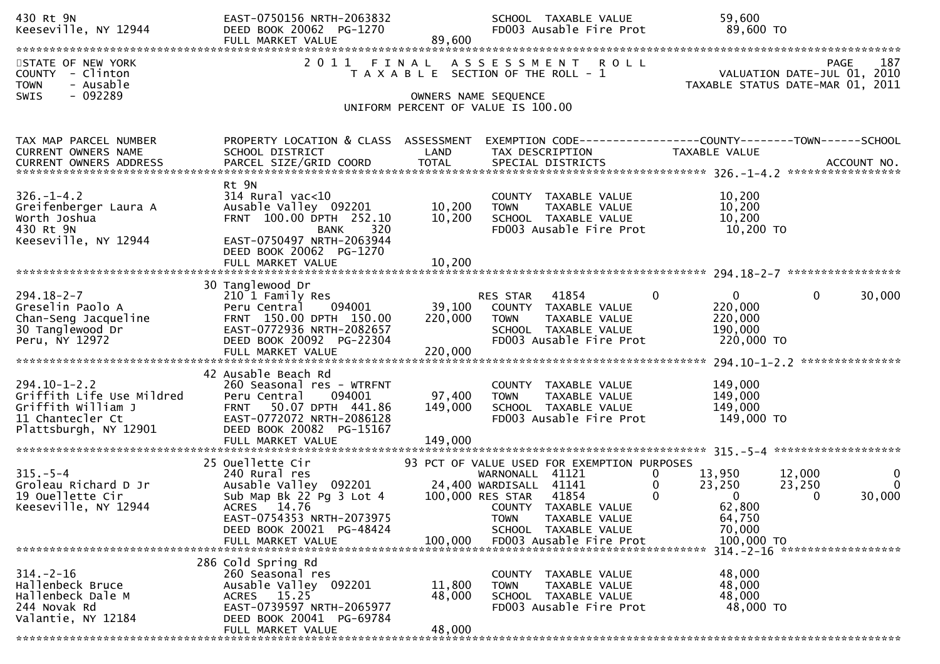| 430 Rt 9N<br>Keeseville, NY 12944                                                                                  | EAST-0750156 NRTH-2063832<br>DEED BOOK 20062 PG-1270<br>FULL MARKET VALUE                                                                                                                                                         | 89,600                       | SCHOOL TAXABLE VALUE<br>FD003 Ausable Fire Prot                                                                                                                                                     | 59,600<br>89,600 TO                                                                                          |                                |
|--------------------------------------------------------------------------------------------------------------------|-----------------------------------------------------------------------------------------------------------------------------------------------------------------------------------------------------------------------------------|------------------------------|-----------------------------------------------------------------------------------------------------------------------------------------------------------------------------------------------------|--------------------------------------------------------------------------------------------------------------|--------------------------------|
| STATE OF NEW YORK<br>COUNTY - Clinton<br>- Ausable<br><b>TOWN</b><br>- 092289<br><b>SWIS</b>                       | 2011                                                                                                                                                                                                                              |                              | FINAL ASSESSMENT<br><b>ROLL</b><br>T A X A B L E SECTION OF THE ROLL - 1                                                                                                                            | VALUATION DATE-JUL 01, 2010<br>TAXABLE STATUS DATE-MAR 01, 2011                                              | 187<br>PAGE                    |
|                                                                                                                    |                                                                                                                                                                                                                                   |                              | OWNERS NAME SEQUENCE<br>UNIFORM PERCENT OF VALUE IS 100.00                                                                                                                                          |                                                                                                              |                                |
| TAX MAP PARCEL NUMBER<br><b>CURRENT OWNERS NAME</b>                                                                | PROPERTY LOCATION & CLASS ASSESSMENT<br>SCHOOL DISTRICT                                                                                                                                                                           | LAND                         | TAX DESCRIPTION                                                                                                                                                                                     | EXEMPTION CODE------------------COUNTY--------TOWN------SCHOOL<br>TAXABLE VALUE                              |                                |
| $326. - 1 - 4.2$<br>Greifenberger Laura A<br>Worth Joshua<br>430 Rt 9N<br>Keeseville, NY 12944                     | Rt 9N<br>$314$ Rural vac<10<br>Ausable Valley 092201<br>FRNT 100.00 DPTH 252.10<br>320<br><b>BANK</b><br>EAST-0750497 NRTH-2063944<br>DEED BOOK 20062 PG-1270<br>FULL MARKET VALUE                                                | 10,200<br>10,200<br>10,200   | COUNTY TAXABLE VALUE<br>TAXABLE VALUE<br><b>TOWN</b><br>SCHOOL TAXABLE VALUE<br>FD003 Ausable Fire Prot                                                                                             | 10,200<br>10,200<br>10,200<br>10,200 TO                                                                      |                                |
| $294.18 - 2 - 7$<br>Greselin Paolo A<br>Chan-Seng Jacqueline<br>30 Tanglewood Dr<br>Peru, NY 12972                 | 30 Tanglewood Dr<br>210 1 Family Res<br>Peru Central<br>094001<br>FRNT 150.00 DPTH 150.00<br>EAST-0772936 NRTH-2082657<br>DEED BOOK 20092 PG-22304                                                                                | 39,100<br>220,000            | <b>RES STAR 41854</b><br>$\mathbf{0}$<br>COUNTY TAXABLE VALUE<br><b>TOWN</b><br>TAXABLE VALUE<br>SCHOOL TAXABLE VALUE<br>FD003 Ausable Fire Prot                                                    | $\mathbf 0$<br>$\overline{0}$<br>220,000<br>220,000<br>190,000<br>220,000 TO                                 | 30,000                         |
| $294.10 - 1 - 2.2$<br>Griffith Life Use Mildred<br>Griffith William J<br>11 Chantecler Ct<br>Plattsburgh, NY 12901 | 42 Ausable Beach Rd<br>260 Seasonal res - WTRFNT<br>094001<br>Peru Central<br>50.07 DPTH 441.86<br><b>FRNT</b><br>EAST-0772072 NRTH-2086128<br>DEED BOOK 20082 PG-15167<br>FULL MARKET VALUE                                      | 97,400<br>149,000<br>149,000 | COUNTY TAXABLE VALUE<br>TAXABLE VALUE<br><b>TOWN</b><br>SCHOOL TAXABLE VALUE<br>FD003 Ausable Fire Prot                                                                                             | 149,000<br>149,000<br>149,000<br>149,000 TO                                                                  |                                |
| $315. - 5 - 4$<br>Groleau Richard D Jr<br>19 Ouellette Cir<br>Keeseville, NY 12944                                 | 25 Ouellette Cir<br>240 Rural res<br>Ausable Valley 092201 24,400 WARDISALL 41141<br>Sub Map Bk 22 Pg 3 Lot 4 100,000 RES STAR 41854<br>ACRES 14.76<br>EAST-0754353 NRTH-2073975<br>DEED BOOK 20021 PG-48424<br>FULL MARKET VALUE | 100,000                      | 93 PCT OF VALUE USED FOR EXEMPTION PURPOSES<br>WARNONALL 41121<br>0<br>0<br>$\mathbf{0}$<br>COUNTY TAXABLE VALUE<br><b>TOWN</b><br>TAXABLE VALUE<br>SCHOOL TAXABLE VALUE<br>FD003 Ausable Fire Prot | 13,950<br>12,000<br>23,250<br>23,250<br>$\mathbf{0}$<br>$\Omega$<br>62,800<br>64,750<br>70,000<br>100,000 TO | $\bf{0}$<br>$\Omega$<br>30,000 |
| $314. - 2 - 16$<br>Hallenbeck Bruce<br>Hallenbeck Dale M<br>244 Novak Rd<br>Valantie, NY 12184                     | 286 Cold Spring Rd<br>260 Seasonal res<br>Ausable Valley 092201<br>ACRES 15.25<br>EAST-0739597 NRTH-2065977<br>DEED BOOK 20041 PG-69784<br>FULL MARKET VALUE                                                                      | 11,800<br>48,000<br>48,000   | COUNTY TAXABLE VALUE<br>TAXABLE VALUE<br><b>TOWN</b><br>SCHOOL TAXABLE VALUE<br>FD003 Ausable Fire Prot                                                                                             | 48,000<br>48,000<br>48,000<br>48,000 TO                                                                      |                                |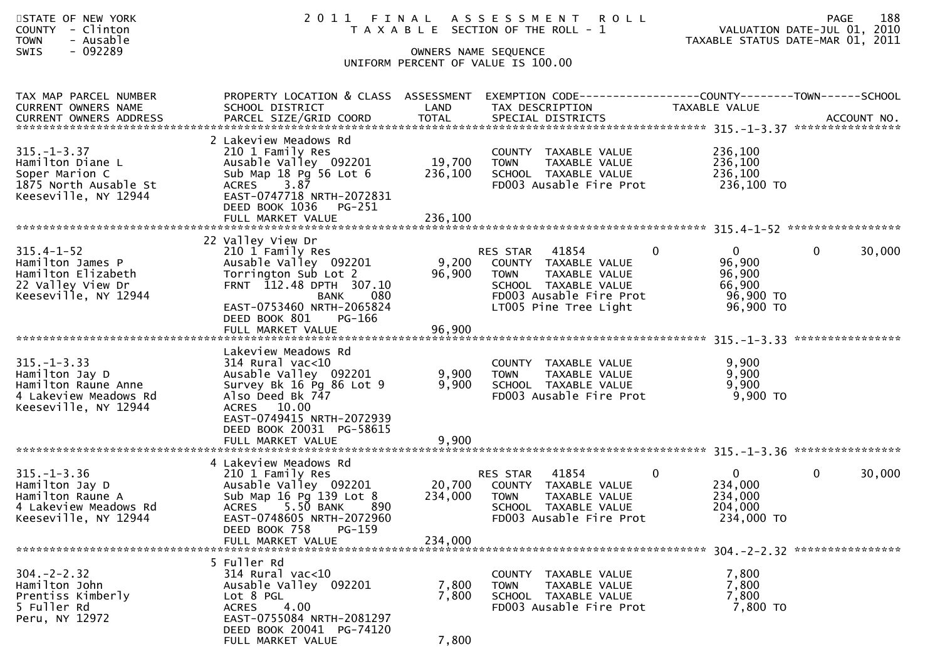| STATE OF NEW YORK<br>COUNTY - Clinton<br><b>TOWN</b><br>- Ausable<br>$-092289$<br><b>SWIS</b>               |                                                                                                                                                                                                                  |                              | 2011 FINAL ASSESSMENT<br><b>ROLL</b><br>T A X A B L E SECTION OF THE ROLL - 1<br>OWNERS NAME SEQUENCE<br>UNIFORM PERCENT OF VALUE IS 100.00           |                                                                                        | 188<br>PAGE<br>VALUATION DATE-JUL 01, 2010<br>TAXABLE STATUS DATE-MAR 01, 2011 |  |  |  |  |  |
|-------------------------------------------------------------------------------------------------------------|------------------------------------------------------------------------------------------------------------------------------------------------------------------------------------------------------------------|------------------------------|-------------------------------------------------------------------------------------------------------------------------------------------------------|----------------------------------------------------------------------------------------|--------------------------------------------------------------------------------|--|--|--|--|--|
| TAX MAP PARCEL NUMBER<br>CURRENT OWNERS NAME                                                                | PROPERTY LOCATION & CLASS ASSESSMENT<br>SCHOOL DISTRICT                                                                                                                                                          | LAND                         | EXEMPTION CODE-----------------COUNTY-------TOWN------SCHOOL<br>TAX DESCRIPTION                                                                       | TAXABLE VALUE                                                                          |                                                                                |  |  |  |  |  |
| $315. - 1 - 3.37$<br>Hamilton Diane L<br>Soper Marion C<br>1875 North Ausable St<br>Keeseville, NY 12944    | 2 Lakeview Meadows Rd<br>210 1 Family Res<br>Ausable Valley 092201<br>Sub Map 18 Pg 56 Lot 6<br>3.87<br><b>ACRES</b><br>EAST-0747718 NRTH-2072831<br>DEED BOOK 1036<br>PG-251                                    | 19,700<br>236,100            | COUNTY TAXABLE VALUE<br>TAXABLE VALUE<br><b>TOWN</b><br>SCHOOL TAXABLE VALUE<br>FD003 Ausable Fire Prot                                               | 236,100<br>236,100<br>236,100<br>236,100 TO                                            |                                                                                |  |  |  |  |  |
| 22 Valley View Dr                                                                                           |                                                                                                                                                                                                                  |                              |                                                                                                                                                       |                                                                                        |                                                                                |  |  |  |  |  |
| $315.4 - 1 - 52$<br>Hamilton James P<br>Hamilton Elizabeth<br>22 Valley View Dr<br>Keeseville, NY 12944     | 210 1 Family Res<br>Ausable Valley 092201<br>Torrington Sub Lot 2<br>FRNT 112.48 DPTH 307.10<br>080<br><b>BANK</b><br>EAST-0753460 NRTH-2065824<br>DEED BOOK 801<br>PG-166                                       | 9,200<br>96,900              | RES STAR<br>41854<br>COUNTY TAXABLE VALUE<br>TAXABLE VALUE<br><b>TOWN</b><br>SCHOOL TAXABLE VALUE<br>FD003 Ausable Fire Prot<br>LT005 Pine Tree Light | $\mathbf{0}$<br>$\overline{0}$<br>96,900<br>96,900<br>66,900<br>96,900 TO<br>96,900 TO | $\mathbf{0}$<br>30,000                                                         |  |  |  |  |  |
| $315. - 1 - 3.33$<br>Hamilton Jay D<br>Hamilton Raune Anne<br>4 Lakeview Meadows Rd<br>Keeseville, NY 12944 | Lakeview Meadows Rd<br>$314$ Rural vac<10<br>Ausable Valley 092201<br>Survey Bk 16 Pg 86 Lot 9<br>Also Deed Bk 747<br>ACRES 10.00<br>EAST-0749415 NRTH-2072939<br>DEED BOOK 20031 PG-58615                       | 9,900<br>9,900               | COUNTY TAXABLE VALUE<br><b>TOWN</b><br>TAXABLE VALUE<br>SCHOOL TAXABLE VALUE<br>FD003 Ausable Fire Prot                                               | 9,900<br>9,900<br>9,900<br>9,900 TO                                                    | ****************                                                               |  |  |  |  |  |
| $315. - 1 - 3.36$<br>Hamilton Jay D<br>Hamilton Raune A<br>4 Lakeview Meadows Rd<br>Keeseville, NY 12944    | 4 Lakeview Meadows Rd<br>210 1 Family Res<br>Ausable Valley 092201<br>Sub Map 16 Pg 139 Lot 8<br>890<br><b>ACRES</b><br>5.50 BANK<br>EAST-0748605 NRTH-2072960<br>DEED BOOK 758<br>$PG-159$<br>FULL MARKET VALUE | 20,700<br>234,000<br>234,000 | 41854<br>RES STAR<br>COUNTY TAXABLE VALUE<br><b>TOWN</b><br>TAXABLE VALUE<br>SCHOOL TAXABLE VALUE<br>FD003 Ausable Fire Prot                          | 0<br>0<br>234,000<br>234,000<br>204,000<br>234,000 TO                                  | $\mathbf{0}$<br>30,000                                                         |  |  |  |  |  |
| $304. -2 - 2.32$<br>Hamilton John<br>Prentiss Kimberly<br>5 Fuller Rd<br>Peru, NY 12972                     | 5 Fuller Rd<br>314 Rural vac<10<br>Ausable Valley 092201<br>Lot 8 PGL<br>4.00<br><b>ACRES</b><br>EAST-0755084 NRTH-2081297<br>DEED BOOK 20041 PG-74120<br>FULL MARKET VALUE                                      | 7,800<br>7,800<br>7,800      | COUNTY TAXABLE VALUE<br>TAXABLE VALUE<br><b>TOWN</b><br>SCHOOL TAXABLE VALUE<br>FD003 Ausable Fire Prot                                               | 7,800<br>7,800<br>7,800<br>7,800 TO                                                    |                                                                                |  |  |  |  |  |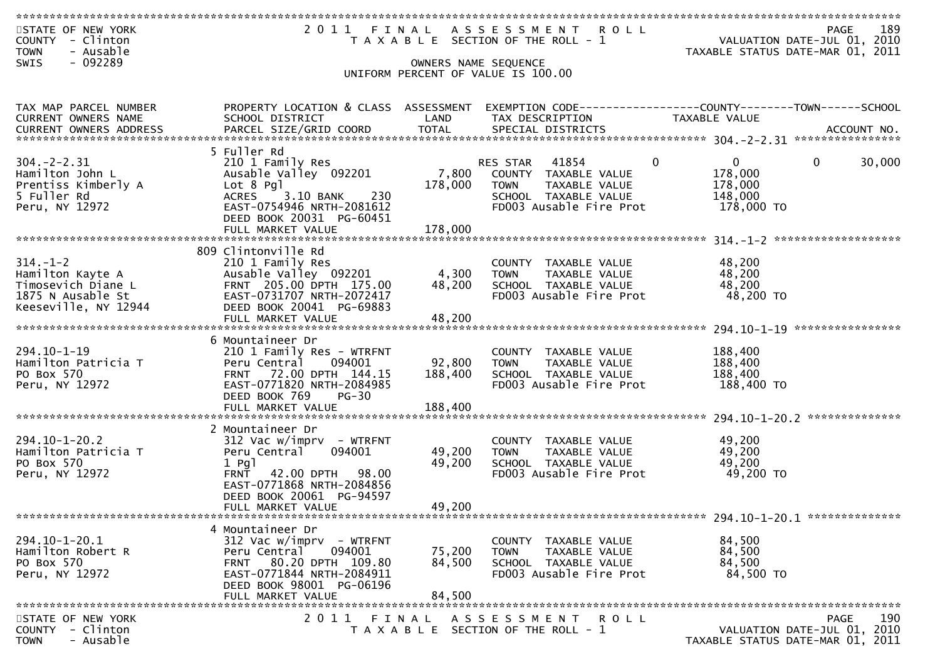| STATE OF NEW YORK                                                              |                                                                      |         | 2011 FINAL ASSESSMENT ROLL            | <b>PAGE</b>                                                | 189 |  |  |  |  |
|--------------------------------------------------------------------------------|----------------------------------------------------------------------|---------|---------------------------------------|------------------------------------------------------------|-----|--|--|--|--|
| COUNTY - Clinton                                                               | VALUATION DATE-JUL 01, 2010<br>T A X A B L E SECTION OF THE ROLL - 1 |         |                                       |                                                            |     |  |  |  |  |
| - Ausable<br><b>TOWN</b>                                                       |                                                                      |         |                                       | TAXABLE STATUS DATE-MAR 01, 2011                           |     |  |  |  |  |
| - 092289<br>SWIS                                                               |                                                                      |         | OWNERS NAME SEQUENCE                  |                                                            |     |  |  |  |  |
|                                                                                |                                                                      |         |                                       |                                                            |     |  |  |  |  |
| UNIFORM PERCENT OF VALUE IS 100.00                                             |                                                                      |         |                                       |                                                            |     |  |  |  |  |
|                                                                                |                                                                      |         |                                       |                                                            |     |  |  |  |  |
| TAX MAP PARCEL NUMBER                                                          | PROPERTY LOCATION & CLASS ASSESSMENT                                 |         |                                       |                                                            |     |  |  |  |  |
|                                                                                |                                                                      |         |                                       |                                                            |     |  |  |  |  |
| CURRENT OWNERS NAME                                                            | SCHOOL DISTRICT                                                      | LAND    | TAX DESCRIPTION                       | TAXABLE VALUE                                              |     |  |  |  |  |
|                                                                                |                                                                      |         |                                       |                                                            |     |  |  |  |  |
|                                                                                |                                                                      |         |                                       |                                                            |     |  |  |  |  |
|                                                                                | 5 Fuller Rd                                                          |         |                                       |                                                            |     |  |  |  |  |
| $304. -2 - 2.31$                                                               | 210 1 Family Res                                                     |         | RES STAR 41854                        | $\overline{0}$<br>$\overline{0}$<br>$\mathbf{0}$<br>30,000 |     |  |  |  |  |
| Hamilton John L                                                                | Ausable Valley 092201                                                |         | 7,800 COUNTY TAXABLE VALUE            | 178,000                                                    |     |  |  |  |  |
| Prentiss Kimberly A                                                            | Lot 8 Pgl                                                            | 178,000 | TOWN TAXABLE VALUE                    | 178,000                                                    |     |  |  |  |  |
| 5 Fuller Rd                                                                    | ACRES 3.10 BANK<br>230                                               |         | SCHOOL TAXABLE VALUE                  | 148,000                                                    |     |  |  |  |  |
| Peru, NY 12972                                                                 | EAST-0754946 NRTH-2081612                                            |         | FD003 Ausable Fire Prot               | 178,000 TO                                                 |     |  |  |  |  |
|                                                                                | DEED BOOK 20031 PG-60451                                             |         |                                       |                                                            |     |  |  |  |  |
|                                                                                | FULL MARKET VALUE                                                    | 178,000 |                                       |                                                            |     |  |  |  |  |
|                                                                                |                                                                      |         |                                       |                                                            |     |  |  |  |  |
|                                                                                | 809 Clintonville Rd                                                  |         |                                       |                                                            |     |  |  |  |  |
| $314. - 1 - 2$                                                                 | 210 1 Family Res                                                     |         | COUNTY TAXABLE VALUE                  | 48,200                                                     |     |  |  |  |  |
| Hamilton Kayte A                                                               | Ausable Valley 092201                                                | 4,300   | <b>TOWN</b><br>TAXABLE VALUE          | 48,200                                                     |     |  |  |  |  |
| Timosevich Diane L                                                             | FRNT 205.00 DPTH 175.00                                              | 48,200  | SCHOOL TAXABLE VALUE                  | 48,200                                                     |     |  |  |  |  |
| 1875 N Ausable St                                                              | EAST-0731707 NRTH-2072417                                            |         | FD003 Ausable Fire Prot               | 48,200 TO                                                  |     |  |  |  |  |
| Keeseville, NY 12944                                                           | DEED BOOK 20041 PG-69883                                             |         |                                       |                                                            |     |  |  |  |  |
|                                                                                | FULL MARKET VALUE                                                    | 48,200  |                                       |                                                            |     |  |  |  |  |
|                                                                                |                                                                      |         |                                       |                                                            |     |  |  |  |  |
|                                                                                | 6 Mountaineer Dr                                                     |         |                                       |                                                            |     |  |  |  |  |
| $294.10 - 1 - 19$                                                              | 210 1 Family Res - WTRFNT                                            |         | COUNTY TAXABLE VALUE                  | 188,400                                                    |     |  |  |  |  |
| Hamilton Patricia T                                                            | Peru Central<br>094001                                               | 92,800  | <b>TOWN</b><br>TAXABLE VALUE          | 188,400                                                    |     |  |  |  |  |
|                                                                                |                                                                      |         |                                       |                                                            |     |  |  |  |  |
| PO Box 570                                                                     | FRNT 72.00 DPTH 144.15                                               | 188,400 | SCHOOL TAXABLE VALUE                  | 188,400                                                    |     |  |  |  |  |
| Peru, NY 12972                                                                 | EAST-0771820 NRTH-2084985                                            |         | FD003 Ausable Fire Prot               | 188,400 TO                                                 |     |  |  |  |  |
|                                                                                | DEED BOOK 769<br>$PG-30$                                             |         |                                       |                                                            |     |  |  |  |  |
|                                                                                |                                                                      |         |                                       |                                                            |     |  |  |  |  |
|                                                                                |                                                                      |         |                                       |                                                            |     |  |  |  |  |
|                                                                                | 2 Mountaineer Dr                                                     |         |                                       |                                                            |     |  |  |  |  |
| $294.10 - 1 - 20.2$                                                            | $312$ Vac w/imprv - WTRFNT                                           |         | COUNTY TAXABLE VALUE                  | 49,200                                                     |     |  |  |  |  |
| Hamilton Patricia T                                                            | 094001<br>Peru Central                                               | 49,200  | TAXABLE VALUE<br><b>TOWN</b>          | 49,200                                                     |     |  |  |  |  |
| PO Box 570                                                                     | $1$ Pg $1$                                                           | 49,200  | SCHOOL TAXABLE VALUE                  | 49,200                                                     |     |  |  |  |  |
| Peru, NY 12972                                                                 | <b>FRNT</b><br>42.00 DPTH 98.00                                      |         | FD003 Ausable Fire Prot               | 49,200 TO                                                  |     |  |  |  |  |
|                                                                                | EAST-0771868 NRTH-2084856                                            |         |                                       |                                                            |     |  |  |  |  |
|                                                                                | DEED BOOK 20061 PG-94597                                             |         |                                       |                                                            |     |  |  |  |  |
|                                                                                | FULL MARKET VALUE                                                    | 49,200  |                                       |                                                            |     |  |  |  |  |
|                                                                                |                                                                      |         |                                       |                                                            |     |  |  |  |  |
|                                                                                | 4 Mountaineer Dr                                                     |         |                                       |                                                            |     |  |  |  |  |
| $294.10 - 1 - 20.1$                                                            | $312$ Vac w/imprv - WTRFNT                                           |         | COUNTY TAXABLE VALUE                  | 84,500                                                     |     |  |  |  |  |
| Hamilton Robert R                                                              | 094001<br>Peru Central                                               | 75,200  | <b>TOWN</b><br>TAXABLE VALUE          | 84,500                                                     |     |  |  |  |  |
| PO Box 570                                                                     | 80.20 DPTH 109.80<br><b>FRNT</b>                                     | 84,500  | SCHOOL TAXABLE VALUE                  | 84,500                                                     |     |  |  |  |  |
| Peru, NY 12972                                                                 | EAST-0771844 NRTH-2084911                                            |         | FD003 Ausable Fire Prot               | 84,500 TO                                                  |     |  |  |  |  |
|                                                                                | DEED BOOK 98001 PG-06196                                             |         |                                       |                                                            |     |  |  |  |  |
|                                                                                | FULL MARKET VALUE                                                    | 84,500  |                                       |                                                            |     |  |  |  |  |
|                                                                                |                                                                      |         |                                       |                                                            |     |  |  |  |  |
| 190<br>STATE OF NEW YORK<br>2 0 1 1<br>ASSESSMENT ROLL<br><b>PAGE</b><br>FINAL |                                                                      |         |                                       |                                                            |     |  |  |  |  |
| COUNTY - Clinton                                                               |                                                                      |         | T A X A B L E SECTION OF THE ROLL - 1 | VALUATION DATE-JUL 01, 2010                                |     |  |  |  |  |
| - Ausable<br><b>TOWN</b>                                                       |                                                                      |         |                                       | TAXABLE STATUS DATE-MAR 01, 2011                           |     |  |  |  |  |
|                                                                                |                                                                      |         |                                       |                                                            |     |  |  |  |  |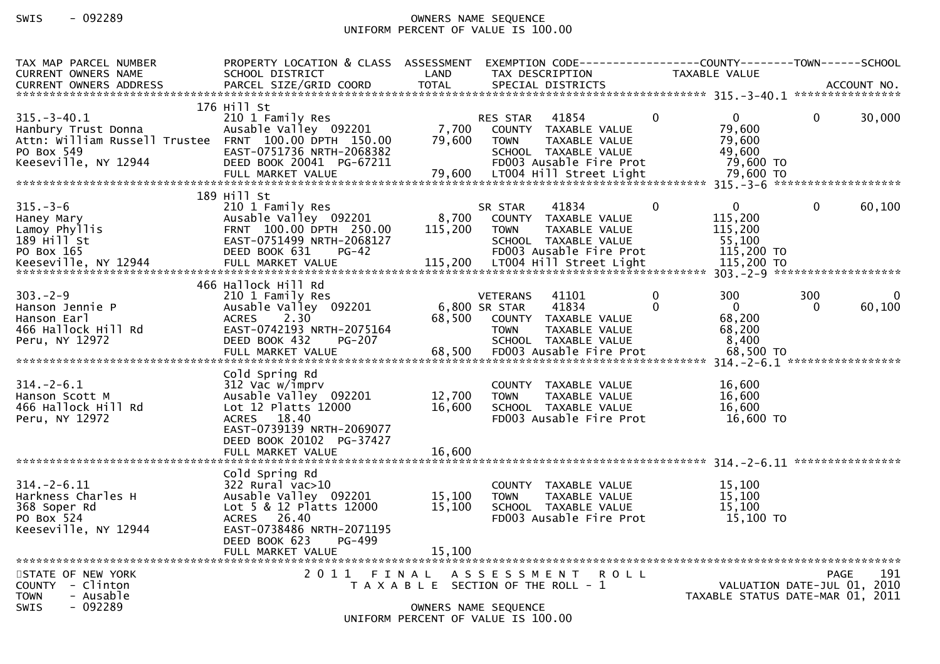## SWIS - 092289 OWNERS NAME SEQUENCE UNIFORM PERCENT OF VALUE IS 100.00

| TAX MAP PARCEL NUMBER<br><b>CURRENT OWNERS NAME</b>                                                                                     | PROPERTY LOCATION & CLASS ASSESSMENT<br>SCHOOL DISTRICT                                                                                                                        | LAND                                                          |                                          | TAX DESCRIPTION                                                                                                              |                      | EXEMPTION CODE-----------------COUNTY--------TOWN------SCHOOL<br>TAXABLE VALUE |                                            |                    |
|-----------------------------------------------------------------------------------------------------------------------------------------|--------------------------------------------------------------------------------------------------------------------------------------------------------------------------------|---------------------------------------------------------------|------------------------------------------|------------------------------------------------------------------------------------------------------------------------------|----------------------|--------------------------------------------------------------------------------|--------------------------------------------|--------------------|
|                                                                                                                                         |                                                                                                                                                                                |                                                               |                                          |                                                                                                                              |                      |                                                                                |                                            |                    |
| $315. - 3 - 40.1$<br>Hanbury Trust Donna<br>Attn: William Russell Trustee FRNT 100.00 DPTH 150.00<br>PO Box 549<br>Keeseville, NY 12944 | 176 Hill St<br>210 1 Family Res<br>Ausable Valley 092201<br>EAST-0751736 NRTH-2068382<br>DEED BOOK 20041 PG-67211<br>FULL MARKET VALUE                                         | 7,700<br>79,600<br>79,600                                     | RES STAR<br><b>TOWN</b>                  | 41854<br>COUNTY TAXABLE VALUE<br>TAXABLE VALUE<br>SCHOOL TAXABLE VALUE<br>FD003 Ausable Fire Prot<br>LT004 Hill Street Light | $\Omega$             | $\mathbf{0}$<br>79,600<br>79.600<br>49,600<br>79,600 TO<br>79,600 TO           | $\Omega$                                   | 30,000             |
|                                                                                                                                         | 189 Hill St                                                                                                                                                                    |                                                               |                                          |                                                                                                                              |                      |                                                                                |                                            |                    |
| $315. - 3 - 6$<br>Haney Mary<br>Lamoy Phyllis<br>$189$ $H$ <sup>111</sup> St<br>PO Box 165                                              | 210 1 Family Res<br>Ausable Valley 092201<br>FRNT 100.00 DPTH 250.00<br>EAST-0751499 NRTH-2068127<br>DEED BOOK 631<br>$PG-42$                                                  | 8,700<br>115,200                                              | SR STAR<br><b>TOWN</b>                   | 41834<br>COUNTY TAXABLE VALUE<br>TAXABLE VALUE<br>SCHOOL TAXABLE VALUE<br>FD003 Ausable Fire Prot                            | $\mathbf{0}$         | 0<br>115,200<br>115,200<br>55,100<br>115,200 TO                                | $\mathbf{0}$                               | 60,100             |
|                                                                                                                                         |                                                                                                                                                                                |                                                               |                                          |                                                                                                                              |                      |                                                                                |                                            |                    |
| $303 - 2 - 9$<br>Hanson Jennie P<br>Hanson Earl<br>466 Hallock Hill Rd<br>Peru, NY 12972                                                | 466 Hallock Hill Rd<br>210 1 Family Res<br>Ausable Valley 092201<br>$2.30^{7}$<br><b>ACRES</b><br>EAST-0742193 NRTH-2075164<br>DEED BOOK 432<br>PG-207                         | 68,500                                                        | <b>VETERANS</b><br>6,800 SR STAR<br>TOWN | 41101<br>41834<br>COUNTY TAXABLE VALUE<br>TAXABLE VALUE<br>SCHOOL TAXABLE VALUE                                              | $\Omega$<br>$\Omega$ | 300<br>$\Omega$<br>68,200<br>68,200<br>8,400                                   | 300<br>0                                   | $\Omega$<br>60,100 |
| $314 - 2 - 6.1$<br>Hanson Scott M<br>466 Hallock Hill Rd<br>Peru, NY 12972                                                              | Cold Spring Rd<br>312 Vac w/imprv<br>Ausable Valley 092201<br>Lot 12 Platts 12000<br>ACRES 18.40<br>EAST-0739139 NRTH-2069077<br>DEED BOOK 20102 PG-37427<br>FULL MARKET VALUE | 12,700<br>16,600<br>16,600                                    | <b>TOWN</b>                              | COUNTY TAXABLE VALUE<br>TAXABLE VALUE<br>SCHOOL TAXABLE VALUE<br>FD003 Ausable Fire Prot                                     |                      | 16,600<br>16,600<br>16,600<br>16,600 TO                                        |                                            |                    |
|                                                                                                                                         | Cold Spring Rd                                                                                                                                                                 |                                                               |                                          |                                                                                                                              |                      |                                                                                |                                            |                    |
| $314. - 2 - 6.11$<br>Harkness Charles H<br>368 Soper Rd<br>PO Box 524<br>Keeseville, NY 12944                                           | 322 Rural vac>10<br>Ausable Valley 092201<br>Lot 5 & 12 Platts 12000<br>ACRES 26.40<br>EAST-0738486 NRTH-2071195<br>DEED BOOK 623<br>PG-499                                    | 15,100<br>15,100                                              | <b>TOWN</b>                              | COUNTY TAXABLE VALUE<br>TAXABLE VALUE<br>SCHOOL TAXABLE VALUE<br>FD003 Ausable Fire Prot                                     |                      | 15,100<br>15,100<br>15,100<br>$15,100$ TO                                      |                                            |                    |
|                                                                                                                                         | FULL MARKET VALUE                                                                                                                                                              | 15,100                                                        |                                          |                                                                                                                              |                      |                                                                                |                                            |                    |
| STATE OF NEW YORK<br>COUNTY - Clinton<br>- Ausable<br><b>TOWN</b><br>$-092289$<br><b>SWIS</b>                                           | 2011 FINAL                                                                                                                                                                     | T A X A B L E SECTION OF THE ROLL - 1<br>OWNERS NAME SEQUENCE | A S S E S S M E N T                      |                                                                                                                              | <b>ROLL</b>          | TAXABLE STATUS DATE-MAR 01, 2011                                               | <b>PAGE</b><br>VALUATION DATE-JUL 01, 2010 | 191                |
|                                                                                                                                         |                                                                                                                                                                                | UNIFORM PERCENT OF VALUE IS 100.00                            |                                          |                                                                                                                              |                      |                                                                                |                                            |                    |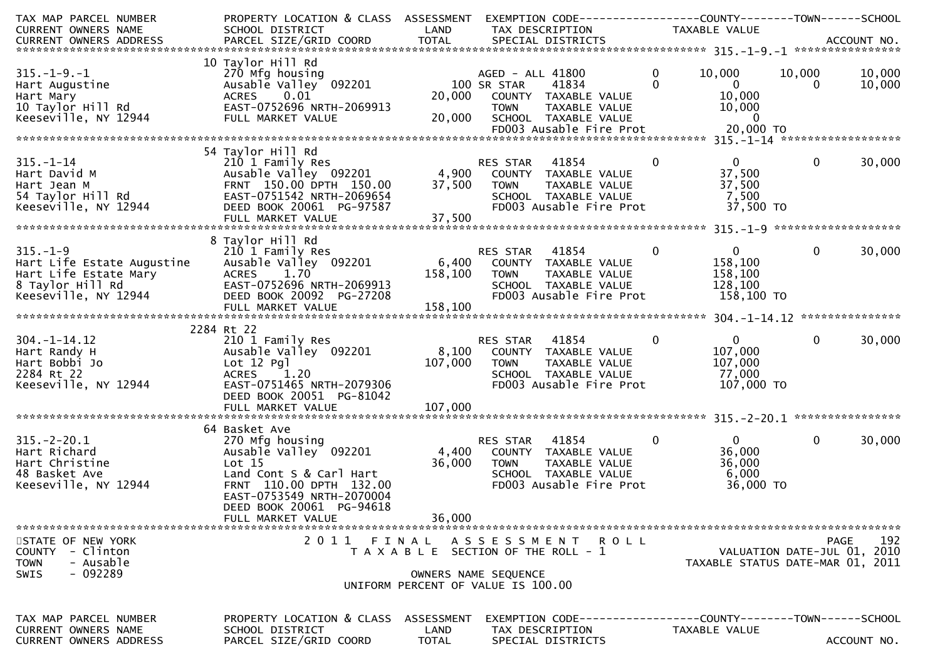| TAX MAP PARCEL NUMBER<br>CURRENT OWNERS NAME                                                                                                                                                     | PROPERTY LOCATION & CLASS ASSESSMENT EXEMPTION CODE----------------COUNTY-------TOWN------SCHOOL |              |                                                      |                |                                                                         |                |             |
|--------------------------------------------------------------------------------------------------------------------------------------------------------------------------------------------------|--------------------------------------------------------------------------------------------------|--------------|------------------------------------------------------|----------------|-------------------------------------------------------------------------|----------------|-------------|
|                                                                                                                                                                                                  | SCHOOL DISTRICT                                                                                  | LAND         | TAX DESCRIPTION                                      | TAXABLE VALUE  |                                                                         |                |             |
|                                                                                                                                                                                                  |                                                                                                  |              |                                                      |                |                                                                         |                |             |
| $315. - 1 - 9. - 1$                                                                                                                                                                              | 10 Taylor Hill Rd<br>www.mrg.nousing<br>Ausable Valley 092201<br>ACRES - 0.01                    |              | AGED - ALL 41800                                     | $\overline{0}$ | 10,000                                                                  | 10,000         | 10,000      |
| S15.-1-9.-1<br>Hart Augustine<br>Hart Mary<br>10 Taylor Hill Rd<br>Keeseville, NY 12944                                                                                                          |                                                                                                  |              | 41834<br>100 SR STAR                                 | $\Omega$       | $\begin{array}{ccc} & & 0 & \end{array}$                                | $\Omega$       | 10,000      |
|                                                                                                                                                                                                  |                                                                                                  |              | 20,000 COUNTY TAXABLE VALUE                          |                | 10,000                                                                  |                |             |
|                                                                                                                                                                                                  | EAST-0752696 NRTH-2069913                                                                        |              | TOWN TAXABLE VALUE<br>20,000 SCHOOL TAXABLE VALUE    |                |                                                                         |                |             |
|                                                                                                                                                                                                  | FULL MARKET VALUE                                                                                |              |                                                      |                | $\begin{bmatrix} 10, & & & 0 \\ & 0 & & 0 \\ & & 0 & & 0 \end{bmatrix}$ |                |             |
|                                                                                                                                                                                                  |                                                                                                  |              |                                                      |                |                                                                         |                |             |
|                                                                                                                                                                                                  | 54 Taylor Hill Rd                                                                                |              |                                                      |                |                                                                         |                |             |
| 315.-1-14<br>Hart David M<br>Hart Jean M<br>54 Taylor Hill Rd<br>Keeseville, NY 12944<br>Hart Jean M<br>States Are EAST-0751542 NRTH-2069654<br>Keeseville, NY 12944<br>DEED BOOK 20061 PG-97587 | Ausable Valley 092201                                                                            |              | 41854<br>RES STAR<br>4,900 COUNTY TAXABLE VALUE      | $\overline{0}$ | 0<br>37,500                                                             | $\mathbf{0}$   | 30,000      |
|                                                                                                                                                                                                  |                                                                                                  | 37,500       | TAXABLE VALUE<br><b>TOWN</b>                         |                | 37,500                                                                  |                |             |
|                                                                                                                                                                                                  |                                                                                                  |              | SCHOOL TAXABLE VALUE                                 |                | 7,500                                                                   |                |             |
|                                                                                                                                                                                                  |                                                                                                  |              | FD003 Ausable Fire Prot                              |                | 37,500 TO                                                               |                |             |
|                                                                                                                                                                                                  | FULL MARKET VALUE                                                                                | 37,500       |                                                      |                |                                                                         |                |             |
|                                                                                                                                                                                                  | 8 Taylor Hill Rd                                                                                 |              |                                                      |                |                                                                         |                |             |
| $315. - 1 - 9$                                                                                                                                                                                   | 210 1 Family Res<br>Ausable Valley 092201 6,400                                                  |              | RES STAR 41854                                       | $\overline{0}$ | $\overline{0}$                                                          | $\mathbf{0}$   | 30,000      |
| Hart Life Estate Augustine                                                                                                                                                                       |                                                                                                  |              | COUNTY TAXABLE VALUE                                 |                | 158,100                                                                 |                |             |
| Hart Life Estate Mary<br>8 Taylor Hill Rd<br>8 Taylor Hill Rd<br>EAST-0752696 NRTH-2069913                                                                                                       |                                                                                                  | 158,100      | TAXABLE VALUE<br><b>TOWN</b><br>SCHOOL TAXABLE VALUE |                | 158,100<br>128,100                                                      |                |             |
| Keeseville, NY 12944                                                                                                                                                                             | DEED BOOK 20092 PG-27208                                                                         |              | FD003 Ausable Fire Prot                              |                | 158,100 TO                                                              |                |             |
|                                                                                                                                                                                                  |                                                                                                  |              |                                                      |                |                                                                         |                |             |
|                                                                                                                                                                                                  |                                                                                                  |              |                                                      |                |                                                                         |                |             |
| 304.-1-14.12<br>Hart Randy H<br>Hart Bobbi Jo<br>2284 Rt 22<br>Keeseville, NY 12944<br>EAST-075146                                                                                               | 2284 Rt 22<br>210 1 Family Res                                                                   |              | RES STAR 41854                                       | $\overline{0}$ | 0                                                                       | $\overline{0}$ | 30,000      |
|                                                                                                                                                                                                  | Ausable Valley 092201                                                                            |              | 8,100 COUNTY TAXABLE VALUE                           |                | 107,000                                                                 |                |             |
|                                                                                                                                                                                                  |                                                                                                  | 107,000      | TOWN<br>TAXABLE VALUE                                |                | 107,000                                                                 |                |             |
|                                                                                                                                                                                                  | ACRES 1.20                                                                                       |              | SCHOOL TAXABLE VALUE                                 |                | 77,000                                                                  |                |             |
|                                                                                                                                                                                                  | EAST-0751465 NRTH-2079306<br>DEED BOOK 20051 PG-81042                                            |              | FD003 Ausable Fire Prot                              |                | 107,000 TO                                                              |                |             |
|                                                                                                                                                                                                  |                                                                                                  |              |                                                      |                |                                                                         |                |             |
|                                                                                                                                                                                                  |                                                                                                  |              |                                                      |                |                                                                         |                |             |
| $315. - 2 - 20.1$                                                                                                                                                                                | 64 Basket Ave                                                                                    |              | RES STAR<br>41854                                    | $\mathbf{0}$   | 0                                                                       | $\mathbf 0$    | 30,000      |
| Hart Richard                                                                                                                                                                                     | 270 Mfg housing<br>Ausable Valley <sup>-</sup> 092201                                            | 4,400        | COUNTY TAXABLE VALUE                                 |                | 36,000                                                                  |                |             |
| Hart Christine                                                                                                                                                                                   | Lot $15$                                                                                         | 36,000       | <b>TOWN</b><br>TAXABLE VALUE                         |                | 36,000                                                                  |                |             |
| 48 Basket Ave                                                                                                                                                                                    | Land Cont S & Carl Hart                                                                          |              | SCHOOL TAXABLE VALUE                                 |                | 6,000                                                                   |                |             |
| Keeseville, NY 12944                                                                                                                                                                             | FRNT 110.00 DPTH 132.00                                                                          |              | FD003 Ausable Fire Prot                              |                | 36,000 TO                                                               |                |             |
|                                                                                                                                                                                                  | EAST-0753549 NRTH-2070004<br>DEED BOOK 20061 PG-94618                                            |              |                                                      |                |                                                                         |                |             |
|                                                                                                                                                                                                  | FULL MARKET VALUE                                                                                | 36,000       |                                                      |                |                                                                         |                |             |
|                                                                                                                                                                                                  |                                                                                                  |              |                                                      |                |                                                                         |                |             |
| STATE OF NEW YORK                                                                                                                                                                                | 2011 FINAL                                                                                       |              | A S S E S S M E N T R O L L                          |                |                                                                         | <b>PAGE</b>    | 192         |
| <b>COUNTY</b><br>- Clinton<br>- Ausable<br><b>TOWN</b>                                                                                                                                           |                                                                                                  |              | T A X A B L E SECTION OF THE ROLL - 1                |                | VALUATION DATE-JUL 01, 2010<br>TAXABLE STATUS DATE-MAR 01, 2011         |                |             |
| $-092289$<br>SWIS                                                                                                                                                                                |                                                                                                  |              | OWNERS NAME SEQUENCE                                 |                |                                                                         |                |             |
|                                                                                                                                                                                                  |                                                                                                  |              | UNIFORM PERCENT OF VALUE IS 100.00                   |                |                                                                         |                |             |
|                                                                                                                                                                                                  |                                                                                                  |              |                                                      |                |                                                                         |                |             |
| TAX MAP PARCEL NUMBER                                                                                                                                                                            | PROPERTY LOCATION & CLASS                                                                        | ASSESSMENT   |                                                      |                |                                                                         |                |             |
| <b>CURRENT OWNERS NAME</b>                                                                                                                                                                       | SCHOOL DISTRICT                                                                                  | LAND         | TAX DESCRIPTION                                      |                | TAXABLE VALUE                                                           |                |             |
| <b>CURRENT OWNERS ADDRESS</b>                                                                                                                                                                    | PARCEL SIZE/GRID COORD                                                                           | <b>TOTAL</b> | SPECIAL DISTRICTS                                    |                |                                                                         |                | ACCOUNT NO. |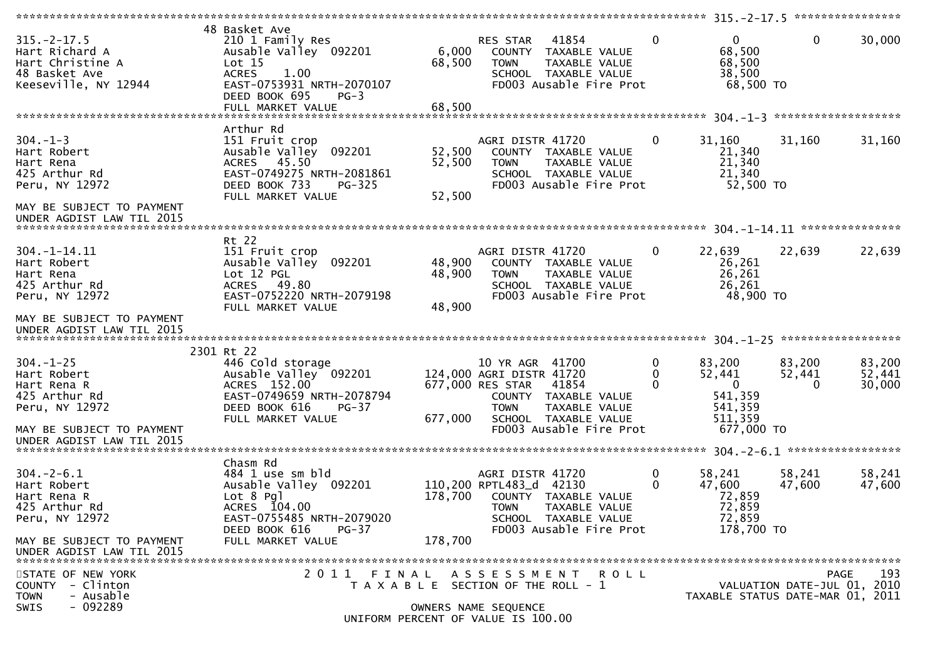|                            |                                    |         |                                       |                         |          |                                  |                             | **************** |
|----------------------------|------------------------------------|---------|---------------------------------------|-------------------------|----------|----------------------------------|-----------------------------|------------------|
|                            | 48 Basket Ave                      |         |                                       |                         |          |                                  |                             |                  |
| $315. - 2 - 17.5$          | 210 1 Family Res                   |         | RES STAR                              | 41854                   | 0        | $\overline{0}$                   | $\mathbf{0}$                | 30,000           |
| Hart Richard A             | Ausable Valley 092201              | 6,000   | COUNTY                                | TAXABLE VALUE           |          | 68,500                           |                             |                  |
| Hart Christine A           | Lot 15                             | 68,500  | <b>TOWN</b>                           | TAXABLE VALUE           |          | 68,500                           |                             |                  |
| 48 Basket Ave              | <b>ACRES</b><br>1.00               |         |                                       | SCHOOL TAXABLE VALUE    |          | 38,500                           |                             |                  |
| Keeseville, NY 12944       | EAST-0753931 NRTH-2070107          |         |                                       | FD003 Ausable Fire Prot |          | 68,500 TO                        |                             |                  |
|                            | DEED BOOK 695<br>$PG-3$            |         |                                       |                         |          |                                  |                             |                  |
|                            | FULL MARKET VALUE                  | 68,500  |                                       |                         |          |                                  |                             |                  |
|                            |                                    |         |                                       |                         |          |                                  |                             |                  |
|                            | Arthur Rd                          |         |                                       |                         |          |                                  |                             |                  |
| $304 - 1 - 3$              | 151 Fruit crop                     |         | AGRI DISTR 41720                      |                         | 0        | 31,160                           | 31,160                      | 31,160           |
| Hart Robert                | 092201<br>Ausable Valley           | 52,500  |                                       | COUNTY TAXABLE VALUE    |          | 21,340                           |                             |                  |
| Hart Rena                  | ACRES 45.50                        | 52,500  | <b>TOWN</b>                           | TAXABLE VALUE           |          | 21,340                           |                             |                  |
| 425 Arthur Rd              | EAST-0749275 NRTH-2081861          |         |                                       | SCHOOL TAXABLE VALUE    |          | 21,340                           |                             |                  |
| Peru, NY 12972             | DEED BOOK 733<br><b>PG-325</b>     |         |                                       | FD003 Ausable Fire Prot |          | 52,500 TO                        |                             |                  |
|                            | FULL MARKET VALUE                  | 52,500  |                                       |                         |          |                                  |                             |                  |
| MAY BE SUBJECT TO PAYMENT  |                                    |         |                                       |                         |          |                                  |                             |                  |
| UNDER AGDIST LAW TIL 2015  |                                    |         |                                       |                         |          |                                  |                             |                  |
|                            |                                    |         |                                       |                         |          |                                  |                             |                  |
|                            | Rt 22                              |         |                                       |                         |          |                                  |                             |                  |
| $304. -1 - 14.11$          | 151 Fruit crop                     |         | AGRI DISTR 41720                      |                         | 0        | 22,639                           | 22,639                      | 22,639           |
| Hart Robert                | 092201<br>Ausable Valley           | 48,900  |                                       | COUNTY TAXABLE VALUE    |          | 26,261                           |                             |                  |
| Hart Rena                  | Lot 12 PGL                         | 48,900  | <b>TOWN</b>                           | TAXABLE VALUE           |          | 26,261                           |                             |                  |
| 425 Arthur Rd              | ACRES 49.80                        |         |                                       | SCHOOL TAXABLE VALUE    |          | 26,261                           |                             |                  |
| Peru, NY 12972             | EAST-0752220 NRTH-2079198          |         |                                       | FD003 Ausable Fire Prot |          | 48,900 TO                        |                             |                  |
|                            | FULL MARKET VALUE                  | 48,900  |                                       |                         |          |                                  |                             |                  |
| MAY BE SUBJECT TO PAYMENT  |                                    |         |                                       |                         |          |                                  |                             |                  |
| UNDER AGDIST LAW TIL 2015  |                                    |         |                                       |                         |          |                                  |                             |                  |
|                            |                                    |         |                                       |                         |          |                                  |                             |                  |
|                            | 2301 Rt 22                         |         |                                       |                         |          |                                  |                             |                  |
| $304. - 1 - 25$            | 446 Cold storage                   |         | 10 YR AGR 41700                       |                         | 0        | 83,200                           | 83,200                      | 83,200           |
| Hart Robert                | Ausable Valley 092201              |         | 124,000 AGRI DISTR 41720              |                         | 0        | 52,441                           | 52,441                      | 52,441           |
| Hart Rena R                | ACRES 152.00                       |         | 677,000 RES STAR                      | 41854                   | $\Omega$ | $\mathbf{0}$                     | $\Omega$                    | 30,000           |
| 425 Arthur Rd              | EAST-0749659 NRTH-2078794          |         |                                       | COUNTY TAXABLE VALUE    |          | 541,359                          |                             |                  |
| Peru, NY 12972             | DEED BOOK 616<br>$PG-37$           |         | <b>TOWN</b>                           | TAXABLE VALUE           |          | 541,359                          |                             |                  |
|                            | FULL MARKET VALUE                  | 677,000 |                                       | SCHOOL TAXABLE VALUE    |          | 511,359                          |                             |                  |
| MAY BE SUBJECT TO PAYMENT  |                                    |         |                                       | FD003 Ausable Fire Prot |          | 677,000 TO                       |                             |                  |
| UNDER AGDIST LAW TIL 2015  |                                    |         |                                       |                         |          |                                  |                             |                  |
|                            |                                    |         |                                       |                         |          |                                  |                             |                  |
|                            | Chasm Rd                           |         |                                       |                         |          |                                  |                             |                  |
| $304. - 2 - 6.1$           | 484 1 use sm bld                   |         | AGRI DISTR 41720                      |                         | 0        | 58,241                           | 58,241                      | 58,241           |
| Hart Robert                | Ausable Valley 092201              |         | 110,200 RPTL483_d 42130               |                         | 0        | 47,600                           | 47,600                      | 47,600           |
| Hart Rena R                | $Lot 8$ Pgl                        | 178,700 |                                       | COUNTY TAXABLE VALUE    |          | 72,859                           |                             |                  |
| 425 Arthur Rd              | ACRES 104.00                       |         | TOWN                                  | TAXABLE VALUE           |          | 72,859                           |                             |                  |
| Peru, NY 12972             | EAST-0755485 NRTH-2079020          |         |                                       | SCHOOL TAXABLE VALUE    |          | 72,859                           |                             |                  |
|                            | DEED BOOK 616<br>$PG-37$           |         |                                       | FD003 Ausable Fire Prot |          | 178,700 TO                       |                             |                  |
| MAY BE SUBJECT TO PAYMENT  | FULL MARKET VALUE                  | 178,700 |                                       |                         |          |                                  |                             |                  |
| UNDER AGDIST LAW TIL 2015  |                                    |         |                                       |                         |          |                                  |                             |                  |
|                            |                                    |         |                                       |                         |          |                                  |                             |                  |
| STATE OF NEW YORK          | 2011 FINAL                         |         |                                       | ASSESSMENT ROLL         |          |                                  |                             | 193<br>PAGE      |
| - Clinton<br><b>COUNTY</b> |                                    |         | T A X A B L E SECTION OF THE ROLL - 1 |                         |          |                                  | VALUATION DATE-JUL 01, 2010 |                  |
| - Ausable<br><b>TOWN</b>   |                                    |         |                                       |                         |          | TAXABLE STATUS DATE-MAR 01, 2011 |                             |                  |
| - 092289<br><b>SWIS</b>    |                                    |         | OWNERS NAME SEQUENCE                  |                         |          |                                  |                             |                  |
|                            | UNIFORM PERCENT OF VALUE IS 100.00 |         |                                       |                         |          |                                  |                             |                  |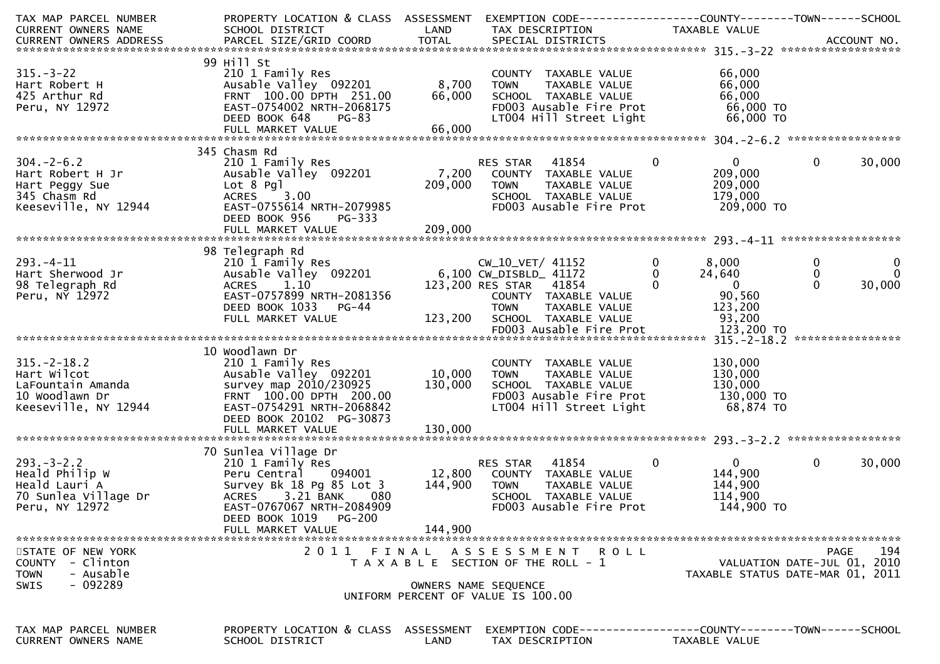| TAX MAP PARCEL NUMBER<br><b>CURRENT OWNERS NAME</b>                                              | PROPERTY LOCATION & CLASS ASSESSMENT<br>SCHOOL DISTRICT                                                                                                                                                   | LAND               | EXEMPTION        CODE------------------COUNTY-------TOWN------SCHOOL<br>TAX DESCRIPTION                                             | TAXABLE VALUE                                                                          |                                                                                       |
|--------------------------------------------------------------------------------------------------|-----------------------------------------------------------------------------------------------------------------------------------------------------------------------------------------------------------|--------------------|-------------------------------------------------------------------------------------------------------------------------------------|----------------------------------------------------------------------------------------|---------------------------------------------------------------------------------------|
| CURRENT OWNERS ADDRESS                                                                           |                                                                                                                                                                                                           | <b>TOTAL</b>       |                                                                                                                                     |                                                                                        |                                                                                       |
|                                                                                                  | 99 Hill St                                                                                                                                                                                                |                    |                                                                                                                                     |                                                                                        |                                                                                       |
| $315 - 3 - 22$<br>Hart Robert H<br>425 Arthur Rd<br>Peru, NY 12972                               | 210 1 Family Res<br>Ausable Valley 092201<br>FRNT 100.00 DPTH 251.00<br>EAST-0754002 NRTH-2068175<br>DEED BOOK 648<br>PG-83                                                                               | 8,700<br>66,000    | COUNTY TAXABLE VALUE<br>TAXABLE VALUE<br><b>TOWN</b><br>SCHOOL TAXABLE VALUE<br>FD003 Ausable Fire Prot<br>LT004 Hill Street Light  | 66,000<br>66,000<br>66,000<br>66,000 TO<br>66,000 TO                                   |                                                                                       |
|                                                                                                  | FULL MARKET VALUE                                                                                                                                                                                         | 66,000             |                                                                                                                                     |                                                                                        |                                                                                       |
|                                                                                                  |                                                                                                                                                                                                           |                    |                                                                                                                                     |                                                                                        |                                                                                       |
| $304. - 2 - 6.2$<br>Hart Robert H Jr<br>Hart Peggy Sue<br>345 Chasm Rd<br>Keeseville, NY 12944   | 345 Chasm Rd<br>210 1 Family Res<br>Ausable Valley 092201<br>Lot 8 Pgl<br>3.00<br><b>ACRES</b><br>EAST-0755614 NRTH-2079985<br>DEED BOOK 956<br>PG-333                                                    | 209,000            | 41854<br>RES STAR<br>7,200 COUNTY TAXABLE VALUE<br>TOWN<br>TAXABLE VALUE<br>SCHOOL TAXABLE VALUE<br>FD003 Ausable Fire Prot         | $\bf{0}$<br>$\mathbf{0}$<br>209,000<br>209,000<br>179,000<br>209,000 TO                | $\mathbf{0}$<br>30,000                                                                |
|                                                                                                  | FULL MARKET VALUE                                                                                                                                                                                         | 209,000            |                                                                                                                                     |                                                                                        |                                                                                       |
| $293. -4 - 11$<br>Hart Sherwood Jr<br>98 Telegraph Rd<br>Peru, NY 12972                          | 98 Telegraph Rd<br>210 1 Family Res<br>Ausable Valley 092201<br>ACRES 1.10<br>EAST-0757899 NRTH-2081356<br>DEED BOOK 1033 PG-44                                                                           |                    | CW_10_VET/ 41152<br>6,100 CW_DISBLD_ 41172<br>123,200 RES STAR 41854<br>COUNTY TAXABLE VALUE<br><b>TOWN</b><br>TAXABLE VALUE        | $\mathbf 0$<br>8,000<br>24,640<br>0<br>$\Omega$<br>$\overline{0}$<br>90,560<br>123,200 | $\bf{0}$<br>$\mathbf{0}$<br>$\mathbf{0}$<br>$\mathbf 0$<br>$\Omega$<br>30,000         |
|                                                                                                  | FULL MARKET VALUE                                                                                                                                                                                         | 123,200            | SCHOOL TAXABLE VALUE                                                                                                                | 93,200                                                                                 |                                                                                       |
|                                                                                                  |                                                                                                                                                                                                           |                    |                                                                                                                                     |                                                                                        |                                                                                       |
| $315. - 2 - 18.2$<br>Hart Wilcot<br>LaFountain Amanda<br>10 Woodlawn Dr<br>Keeseville, NY 12944  | 10 Woodlawn Dr<br>210 1 Family Res<br>Ausable Valley 092201<br>survey map 2010/230925<br>FRNT 100.00 DPTH 200.00<br>EAST-0754291 NRTH-2068842<br>DEED BOOK 20102 PG-30873                                 | 10,000<br>130,000  | COUNTY TAXABLE VALUE<br><b>TOWN</b><br>TAXABLE VALUE<br>SCHOOL TAXABLE VALUE<br>FD003 Ausable Fire Prot<br>LT004 Hill Street Light  | 130,000<br>130,000<br>130,000<br>130,000 TO<br>68,874 TO                               |                                                                                       |
|                                                                                                  | FULL MARKET VALUE                                                                                                                                                                                         | 130,000            |                                                                                                                                     |                                                                                        |                                                                                       |
| $293. - 3 - 2.2$<br>Heald Philip W<br>Heald Lauri A<br>70 Sunlea Village Dr<br>Peru, NY 12972    | 70 Sunlea Village Dr<br>210 1 Family Res<br>Peru Central<br>094001<br>Survey Bk 18 Pg 85 Lot 3<br>3.21 BANK<br>080<br>ACRES<br>EAST-0767067 NRTH-2084909<br>DEED BOOK 1019<br>PG-200<br>FULL MARKET VALUE | 144,900<br>144,900 | 41854<br>RES STAR<br>12,800 COUNTY TAXABLE VALUE<br><b>TOWN</b><br>TAXABLE VALUE<br>SCHOOL TAXABLE VALUE<br>FD003 Ausable Fire Prot | $\mathbf 0$<br>$\overline{0}$<br>144,900<br>144,900<br>114,900<br>144,900 TO           | $\mathbf{0}$<br>30,000                                                                |
|                                                                                                  |                                                                                                                                                                                                           |                    |                                                                                                                                     |                                                                                        |                                                                                       |
| STATE OF NEW YORK<br>- Clinton<br>COUNTY<br>- Ausable<br><b>TOWN</b><br>$-092289$<br><b>SWIS</b> | 2011                                                                                                                                                                                                      | FINAL              | A S S E S S M E N T<br><b>ROLL</b><br>T A X A B L E SECTION OF THE ROLL - 1<br>OWNERS NAME SEQUENCE                                 |                                                                                        | 194<br><b>PAGE</b><br>VALUATION DATE-JUL 01, 2010<br>TAXABLE STATUS DATE-MAR 01, 2011 |
|                                                                                                  |                                                                                                                                                                                                           |                    | UNIFORM PERCENT OF VALUE IS 100.00                                                                                                  |                                                                                        |                                                                                       |
| TAX MAP PARCEL NUMBER<br><b>CURRENT OWNERS NAME</b>                                              | PROPERTY LOCATION & CLASS<br>SCHOOL DISTRICT                                                                                                                                                              | ASSESSMENT<br>LAND | EXEMPTION CODE------------------COUNTY--------TOWN------SCHOOL<br>TAX DESCRIPTION                                                   | TAXABLE VALUE                                                                          |                                                                                       |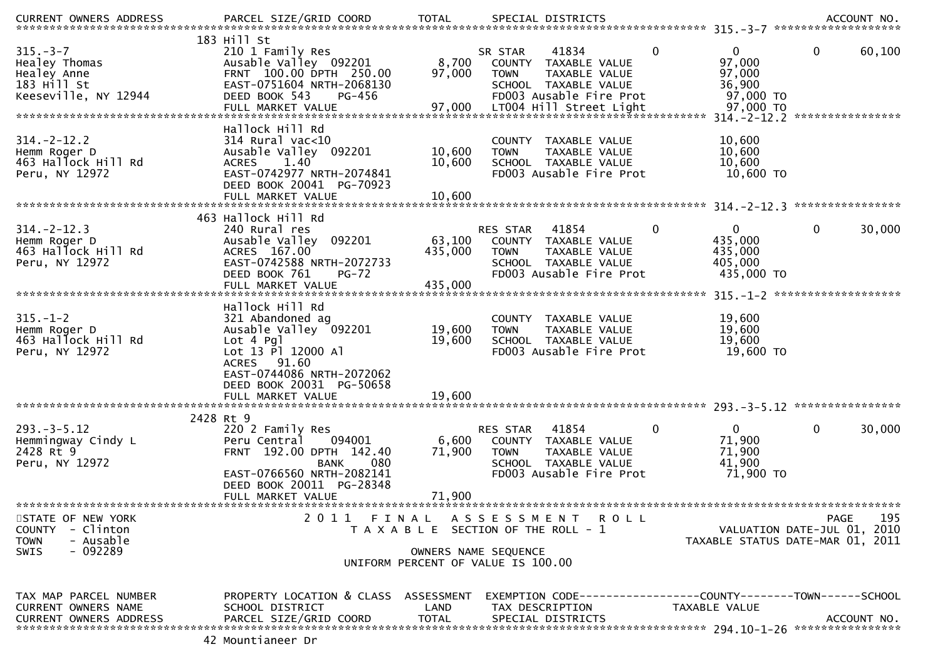| <b>CURRENT OWNERS ADDRESS</b>                                                          | PARCEL SIZE/GRID COORD                                                                                                                                                   | <b>TOTAL</b>               | SPECIAL DISTRICTS                                                                                                                                         |                                                                           | ACCOUNT NO.                                                                    |
|----------------------------------------------------------------------------------------|--------------------------------------------------------------------------------------------------------------------------------------------------------------------------|----------------------------|-----------------------------------------------------------------------------------------------------------------------------------------------------------|---------------------------------------------------------------------------|--------------------------------------------------------------------------------|
| $315. - 3 - 7$<br>Healey Thomas<br>Healey Anne<br>183 Hill St<br>Keeseville, NY 12944  | 183 Hill St<br>210 1 Family Res<br>Ausable Valley 092201<br>FRNT 100.00 DPTH 250.00<br>EAST-0751604 NRTH-2068130<br>DEED BOOK 543<br>PG-456<br>FULL MARKET VALUE         | 8,700<br>97,000<br>97,000  | 41834<br>SR STAR<br>COUNTY<br>TAXABLE VALUE<br>TAXABLE VALUE<br><b>TOWN</b><br>SCHOOL TAXABLE VALUE<br>FD003 Ausable Fire Prot<br>LT004 Hill Street Light | $\mathbf{0}$<br>0<br>97,000<br>97,000<br>36,900<br>97,000 TO<br>97,000 TO | 0<br>60,100<br>314. - 2 - 12. 2 *****************                              |
| $314. - 2 - 12.2$<br>Hemm Roger D<br>463 Hallock Hill Rd<br>Peru, NY 12972             | Hallock Hill Rd<br>$314$ Rural vac<10<br>Ausable Valley 092201<br>1.40<br><b>ACRES</b><br>EAST-0742977 NRTH-2074841<br>DEED BOOK 20041 PG-70923<br>FULL MARKET VALUE     | 10,600<br>10,600<br>10,600 | TAXABLE VALUE<br><b>COUNTY</b><br>TAXABLE VALUE<br><b>TOWN</b><br>SCHOOL TAXABLE VALUE<br>FD003 Ausable Fire Prot                                         | 10,600<br>10,600<br>10,600<br>10,600 TO                                   |                                                                                |
| $314. - 2 - 12.3$<br>Hemm Roger D<br>463 Hallock Hill Rd<br>Peru, NY 12972             | 463 Hallock Hill Rd<br>240 Rural res<br>Ausable Valley<br>092201<br>ACRES 167.00<br>EAST-0742588 NRTH-2072733<br>DEED BOOK 761                                           | 63,100<br>435,000          | 41854<br><b>RES STAR</b><br>COUNTY TAXABLE VALUE<br>TAXABLE VALUE<br><b>TOWN</b><br>SCHOOL TAXABLE VALUE<br>FD003 Ausable Fire Prot                       | 0<br>0<br>435,000<br>435,000<br>405,000<br>435,000 TO                     | ****************<br>30,000<br>0                                                |
|                                                                                        | $PG-72$<br>FULL MARKET VALUE                                                                                                                                             | 435,000                    |                                                                                                                                                           |                                                                           | *******************                                                            |
| $315. - 1 - 2$<br>Hemm Roger D<br>463 Hallock Hill Rd<br>Peru, NY 12972                | Hallock Hill Rd<br>321 Abandoned ag<br>Ausable Valley 092201<br>$Lot 4$ Pg<br>Lot 13 Pl 12000 Al<br>ACRES 91.60<br>EAST-0744086 NRTH-2072062<br>DEED BOOK 20031 PG-50658 | 19,600<br>19,600           | COUNTY<br>TAXABLE VALUE<br>TAXABLE VALUE<br><b>TOWN</b><br>SCHOOL TAXABLE VALUE<br>FD003 Ausable Fire Prot                                                | 19,600<br>19,600<br>19,600<br>19,600 TO                                   |                                                                                |
|                                                                                        | FULL MARKET VALUE                                                                                                                                                        | 19,600                     |                                                                                                                                                           |                                                                           |                                                                                |
| $293. - 3 - 5.12$<br>Hemmingway Cindy L<br>2428 Rt 9<br>Peru, NY 12972                 | 2428 Rt 9<br>220 2 Family Res<br>094001<br>Peru Central<br>FRNT 192.00 DPTH 142.40<br>080<br><b>BANK</b><br>EAST-0766560 NRTH-2082141<br>DEED BOOK 20011 PG-28348        | 6,600<br>71,900            | 41854<br><b>RES STAR</b><br>COUNTY TAXABLE VALUE<br><b>TOWN</b><br>TAXABLE VALUE<br>SCHOOL TAXABLE VALUE<br>FD003 Ausable Fire Prot                       | $\Omega$<br>0<br>71,900<br>71,900<br>41,900<br>71,900 TO                  | $\mathbf{0}$<br>30,000                                                         |
|                                                                                        | FULL MARKET VALUE                                                                                                                                                        | 71,900                     |                                                                                                                                                           |                                                                           |                                                                                |
| STATE OF NEW YORK<br>COUNTY - Clinton<br><b>TOWN</b><br>- Ausable<br>$-092289$<br>SWIS |                                                                                                                                                                          |                            | 2011 FINAL ASSESSMENT ROLL<br>T A X A B L E SECTION OF THE ROLL - 1<br>OWNERS NAME SEQUENCE<br>UNIFORM PERCENT OF VALUE IS 100.00                         |                                                                           | 195<br>PAGE<br>VALUATION DATE-JUL 01, 2010<br>TAXABLE STATUS DATE-MAR 01, 2011 |
| TAX MAP PARCEL NUMBER<br>CURRENT OWNERS NAME<br><b>CURRENT OWNERS ADDRESS</b>          | PROPERTY LOCATION & CLASS ASSESSMENT<br>SCHOOL DISTRICT<br>PARCEL SIZE/GRID COORD                                                                                        | LAND<br><b>TOTAL</b>       | EXEMPTION CODE-----------------COUNTY-------TOWN------SCHOOL<br>TAX DESCRIPTION<br>SPECIAL DISTRICTS                                                      | TAXABLE VALUE                                                             | ACCOUNT NO.                                                                    |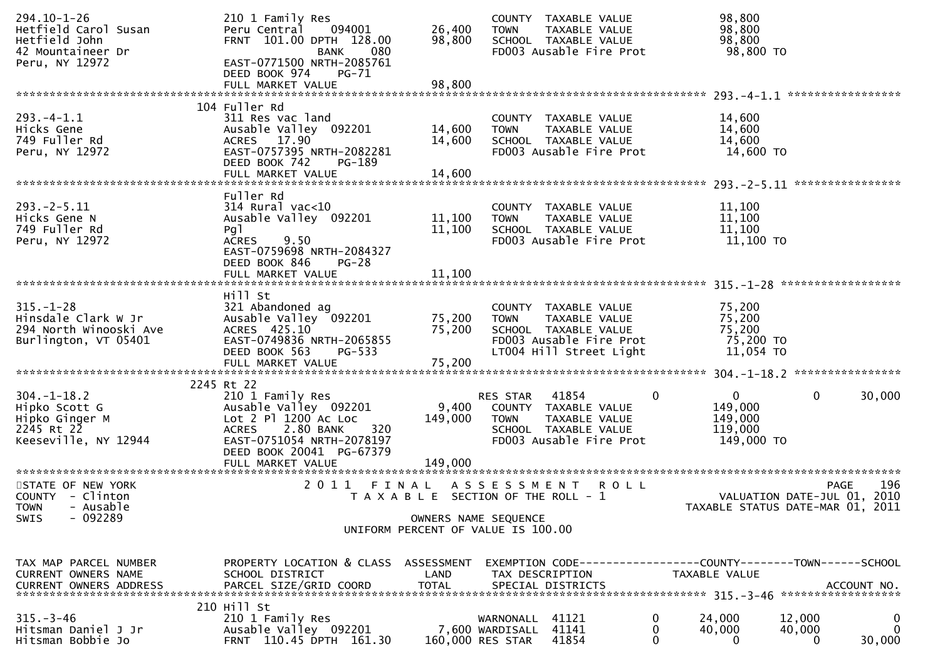| $294.10 - 1 - 26$<br>Hetfield Carol Susan<br>Hetfield John<br>42 Mountaineer Dr<br>Peru, NY 12972 | 210 1 Family Res<br>Peru Central<br>094001<br>FRNT 101.00 DPTH 128.00<br>080<br><b>BANK</b><br>EAST-0771500 NRTH-2085761<br>DEED BOOK 974<br>PG-71<br>FULL MARKET VALUE                 | 26,400<br>98,800<br>98,800  | COUNTY TAXABLE VALUE<br><b>TOWN</b><br>TAXABLE VALUE<br>SCHOOL TAXABLE VALUE<br>FD003 Ausable Fire Prot                            | 98,800<br>98,800<br>98,800<br>98,800 TO                          |                                                                 |
|---------------------------------------------------------------------------------------------------|-----------------------------------------------------------------------------------------------------------------------------------------------------------------------------------------|-----------------------------|------------------------------------------------------------------------------------------------------------------------------------|------------------------------------------------------------------|-----------------------------------------------------------------|
|                                                                                                   |                                                                                                                                                                                         |                             |                                                                                                                                    |                                                                  |                                                                 |
| $293. -4 - 1.1$<br>Hicks Gene<br>749 Fuller Rd<br>Peru, NY 12972                                  | 104 Fuller Rd<br>311 Res vac land<br>Ausable Valley 092201<br>ACRES 17.90<br>EAST-0757395 NRTH-2082281<br>DEED BOOK 742<br>PG-189<br>FULL MARKET VALUE                                  | 14,600<br>14,600<br>14,600  | COUNTY TAXABLE VALUE<br><b>TOWN</b><br>TAXABLE VALUE<br>SCHOOL TAXABLE VALUE<br>FD003 Ausable Fire Prot                            | 14,600<br>14,600<br>14,600<br>14,600 TO                          |                                                                 |
|                                                                                                   |                                                                                                                                                                                         |                             |                                                                                                                                    |                                                                  |                                                                 |
| $293. - 2 - 5.11$<br>Hicks Gene N<br>749 Fuller Rd<br>Peru, NY 12972                              | Fuller Rd<br>$314$ Rural vac<10<br>Ausable Valley 092201<br>Pg1<br><b>ACRES</b><br>9.50<br>EAST-0759698 NRTH-2084327<br>DEED BOOK 846<br>$PG-28$                                        | 11,100<br>11,100            | COUNTY TAXABLE VALUE<br><b>TOWN</b><br>TAXABLE VALUE<br>SCHOOL TAXABLE VALUE<br>FD003 Ausable Fire Prot                            | 11,100<br>11,100<br>11,100<br>11,100 TO                          |                                                                 |
|                                                                                                   |                                                                                                                                                                                         |                             |                                                                                                                                    |                                                                  |                                                                 |
| $315. - 1 - 28$<br>Hinsdale Clark W Jr<br>294 North Winooski Ave<br>Burlington, VT 05401          | Hill St<br>321 Abandoned ag<br>Ausable Valley 092201<br>ACRES 425.10<br>EAST-0749836 NRTH-2065855<br>DEED BOOK 563<br>PG-533<br>FULL MARKET VALUE                                       | 75,200<br>75,200<br>75,200  | COUNTY TAXABLE VALUE<br><b>TOWN</b><br>TAXABLE VALUE<br>SCHOOL TAXABLE VALUE<br>FD003 Ausable Fire Prot<br>LT004 Hill Street Light | 75,200<br>75,200<br>75,200<br>75,200 TO<br>11,054 TO             |                                                                 |
|                                                                                                   | 2245 Rt 22                                                                                                                                                                              |                             |                                                                                                                                    |                                                                  |                                                                 |
| $304. - 1 - 18.2$<br>Hipko Scott G<br>Hipko Ginger M<br>2245 Rt 22<br>Keeseville, NY 12944        | 210 1 Family Res<br>Ausable Valley 092201<br>Lot $2$ Pl $1200$ Ac Loc<br>2.80 BANK<br>320<br><b>ACRES</b><br>EAST-0751054 NRTH-2078197<br>DEED BOOK 20041 PG-67379<br>FULL MARKET VALUE | 9,400<br>149,000<br>149,000 | 41854<br>RES STAR<br>COUNTY TAXABLE VALUE<br>TAXABLE VALUE<br><b>TOWN</b><br>SCHOOL TAXABLE VALUE<br>FD003 Ausable Fire Prot       | $\mathbf{0}$<br>0<br>149,000<br>149,000<br>119,000<br>149,000 TO | $\mathbf{0}$<br>30,000                                          |
| STATE OF NEW YORK                                                                                 | 2011 FINAL                                                                                                                                                                              |                             | A S S E S S M E N T<br><b>ROLL</b>                                                                                                 |                                                                  | 196<br><b>PAGE</b>                                              |
| COUNTY - Clinton<br>- Ausable<br><b>TOWN</b><br>$-092289$<br>SWIS                                 |                                                                                                                                                                                         |                             | T A X A B L E SECTION OF THE ROLL - 1<br>OWNERS NAME SEQUENCE<br>UNIFORM PERCENT OF VALUE IS 100.00                                |                                                                  | VALUATION DATE-JUL 01, 2010<br>TAXABLE STATUS DATE-MAR 01, 2011 |
| TAX MAP PARCEL NUMBER<br>CURRENT OWNERS NAME<br><b>CURRENT OWNERS ADDRESS</b>                     | PROPERTY LOCATION & CLASS ASSESSMENT<br>SCHOOL DISTRICT<br>PARCEL SIZE/GRID COORD                                                                                                       | LAND<br><b>TOTAL</b>        | EXEMPTION CODE------------------COUNTY--------TOWN------SCHOOL<br>TAX DESCRIPTION<br>SPECIAL DISTRICTS                             | <b>TAXABLE VALUE</b>                                             | ACCOUNT NO.                                                     |
| $315. - 3 - 46$<br>Hitsman Daniel J Jr<br>Hitsman Bobbie Jo                                       | 210 Hill St<br>210 1 Family Res<br>Ausable Valley 092201<br>FRNT 110.45 DPTH 161.30                                                                                                     |                             | 41121<br>WARNONALL<br>41141<br>7,600 WARDISALL<br>41854<br>160,000 RES STAR                                                        | 24,000<br>0<br>0<br>40,000<br>0<br>$\Omega$                      | 12,000<br>$\bf{0}$<br>$\mathbf 0$<br>40,000<br>30,000<br>0      |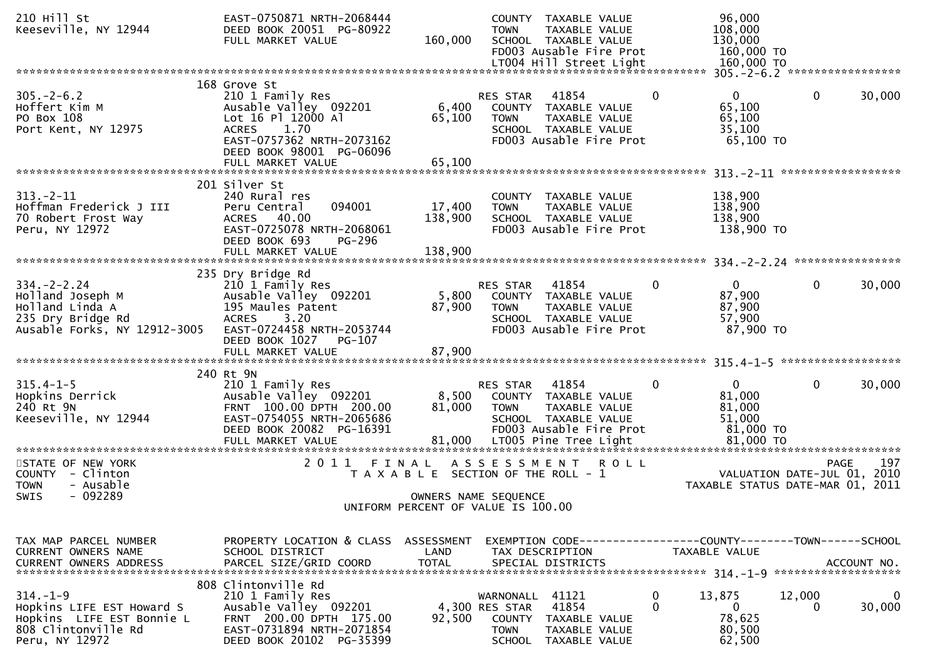| 210 Hill St<br>Keeseville, NY 12944                                                                               | EAST-0750871 NRTH-2068444<br>DEED BOOK 20051 PG-80922<br>FULL MARKET VALUE                                                                                           | 160,000                                                       | <b>TOWN</b>                                                           | COUNTY TAXABLE VALUE<br>TAXABLE VALUE<br>SCHOOL TAXABLE VALUE<br>FD003 Ausable Fire Prot          |                   | 96,000<br>108,000<br>130,000<br>160,000 TO<br>160,000 TO                      |              |             |
|-------------------------------------------------------------------------------------------------------------------|----------------------------------------------------------------------------------------------------------------------------------------------------------------------|---------------------------------------------------------------|-----------------------------------------------------------------------|---------------------------------------------------------------------------------------------------|-------------------|-------------------------------------------------------------------------------|--------------|-------------|
|                                                                                                                   | 168 Grove St                                                                                                                                                         |                                                               |                                                                       |                                                                                                   |                   | 305. - 2 - 6.2 ******************                                             |              |             |
| $305. - 2 - 6.2$<br>Hoffert Kim M<br>PO Box 108<br>Port Kent, NY 12975                                            | 210 1 Family Res<br>Ausable Valley 092201<br>Lot 16 Pl 12000 Al<br>1.70<br><b>ACRES</b><br>EAST-0757362 NRTH-2073162<br>DEED BOOK 98001 PG-06096                     | 6,400<br>65,100                                               | RES STAR<br><b>TOWN</b>                                               | 41854<br>COUNTY TAXABLE VALUE<br>TAXABLE VALUE<br>SCHOOL TAXABLE VALUE<br>FD003 Ausable Fire Prot | $\mathbf{0}$      | $\Omega$<br>65,100<br>65,100<br>35,100<br>65,100 TO                           | $\mathbf 0$  | 30,000      |
|                                                                                                                   | FULL MARKET VALUE                                                                                                                                                    | 65,100                                                        |                                                                       |                                                                                                   |                   |                                                                               |              |             |
| $313 - 2 - 11$<br>Hoffman Frederick J III<br>70 Robert Frost Way<br>Peru, NY 12972                                | 201 Silver St<br>240 Rural res<br>094001<br>Peru Central<br>ACRES 40.00<br>EAST-0725078 NRTH-2068061<br>DEED BOOK 693<br>PG-296<br>FULL MARKET VALUE                 | 17,400<br>138,900<br>138,900                                  | <b>TOWN</b>                                                           | COUNTY TAXABLE VALUE<br>TAXABLE VALUE<br>SCHOOL TAXABLE VALUE<br>FD003 Ausable Fire Prot          |                   | 138,900<br>138,900<br>138,900<br>138,900 TO                                   |              |             |
|                                                                                                                   |                                                                                                                                                                      |                                                               |                                                                       |                                                                                                   |                   |                                                                               |              |             |
| $334. - 2 - 2.24$<br>Holland Joseph M<br>Holland Linda A<br>235 Dry Bridge Rd<br>Ausable Forks, NY 12912-3005     | 235 Dry Bridge Rd<br>210 1 Family Res<br>Ausable Valley 092201<br>195 Maules Patent<br>3.20<br><b>ACRES</b><br>EAST-0724458 NRTH-2053744<br>DEED BOOK 1027<br>PG-107 | 5,800<br>87,900                                               | RES STAR<br><b>TOWN</b>                                               | 41854<br>COUNTY TAXABLE VALUE<br>TAXABLE VALUE<br>SCHOOL TAXABLE VALUE<br>FD003 Ausable Fire Prot | 0                 | $\overline{0}$<br>87,900<br>87,900<br>57,900<br>87,900 TO                     | $\mathbf{0}$ | 30,000      |
|                                                                                                                   |                                                                                                                                                                      |                                                               |                                                                       |                                                                                                   |                   |                                                                               |              |             |
| $315.4 - 1 - 5$                                                                                                   | 240 Rt 9N<br>210 1 Family Res                                                                                                                                        |                                                               | RES STAR                                                              | 41854                                                                                             | $\mathbf{0}$      | $\Omega$                                                                      | $\mathbf{0}$ | 30,000      |
| Hopkins Derrick<br>240 Rt 9N<br>Keeseville, NY 12944                                                              | Ausable Valley 092201<br>FRNT 100.00 DPTH 200.00<br>EAST-0754055 NRTH-2065686<br>DEED BOOK 20082 PG-16391<br>FULL MARKET VALUE                                       | 8,500<br>81,000                                               | <b>TOWN</b>                                                           | COUNTY TAXABLE VALUE<br>TAXABLE VALUE<br>SCHOOL TAXABLE VALUE<br>FD003 Ausable Fire Prot          |                   | 81,000<br>81,000<br>51,000<br>81,000 TO<br>81,000 TO                          |              |             |
| **********************                                                                                            | **************************                                                                                                                                           |                                                               |                                                                       |                                                                                                   |                   | *******************************                                               |              |             |
| STATE OF NEW YORK<br>COUNTY - Clinton<br>- Ausable<br><b>TOWN</b><br>$-092289$<br><b>SWIS</b>                     | 2011<br>FINAL                                                                                                                                                        | T A X A B L E SECTION OF THE ROLL - 1<br>OWNERS NAME SEQUENCE | ASSESSMENT ROLL                                                       |                                                                                                   |                   | VALUATION DATE-JUL 01, 2010<br>TAXABLE STATUS DATE-MAR 01, 2011               | <b>PAGE</b>  | 197         |
|                                                                                                                   |                                                                                                                                                                      | UNIFORM PERCENT OF VALUE IS 100.00                            |                                                                       |                                                                                                   |                   |                                                                               |              |             |
|                                                                                                                   |                                                                                                                                                                      |                                                               |                                                                       |                                                                                                   |                   |                                                                               |              |             |
| TAX MAP PARCEL NUMBER<br><b>CURRENT OWNERS NAME</b><br><b>CURRENT OWNERS ADDRESS</b>                              | PROPERTY LOCATION & CLASS ASSESSMENT<br>SCHOOL DISTRICT<br>PARCEL SIZE/GRID COORD                                                                                    | LAND<br><b>TOTAL</b>                                          |                                                                       | TAX DESCRIPTION<br>SPECIAL DISTRICTS                                                              |                   | EXEMPTION CODE-----------------COUNTY-------TOWN------SCHOOL<br>TAXABLE VALUE |              | ACCOUNT NO. |
| $314. - 1 - 9$<br>Hopkins LIFE EST Howard S<br>Hopkins LIFE EST Bonnie L<br>808 Clintonville Rd<br>Peru, NY 12972 | 808 Clintonville Rd<br>210 1 Family Res<br>Ausable Valley 092201<br>FRNT 200.00 DPTH 175.00<br>EAST-0731894 NRTH-2071854<br>DEED BOOK 20102 PG-35399                 | 92,500                                                        | WARNONALL<br>4,300 RES STAR<br>COUNTY<br><b>TOWN</b><br><b>SCHOOL</b> | 41121<br>41854<br>TAXABLE VALUE<br>TAXABLE VALUE<br>TAXABLE VALUE                                 | 0<br>$\mathbf{0}$ | 13,875<br>$\mathbf{0}$<br>78,625<br>80,500<br>62,500                          | 12,000<br>0  | 0<br>30,000 |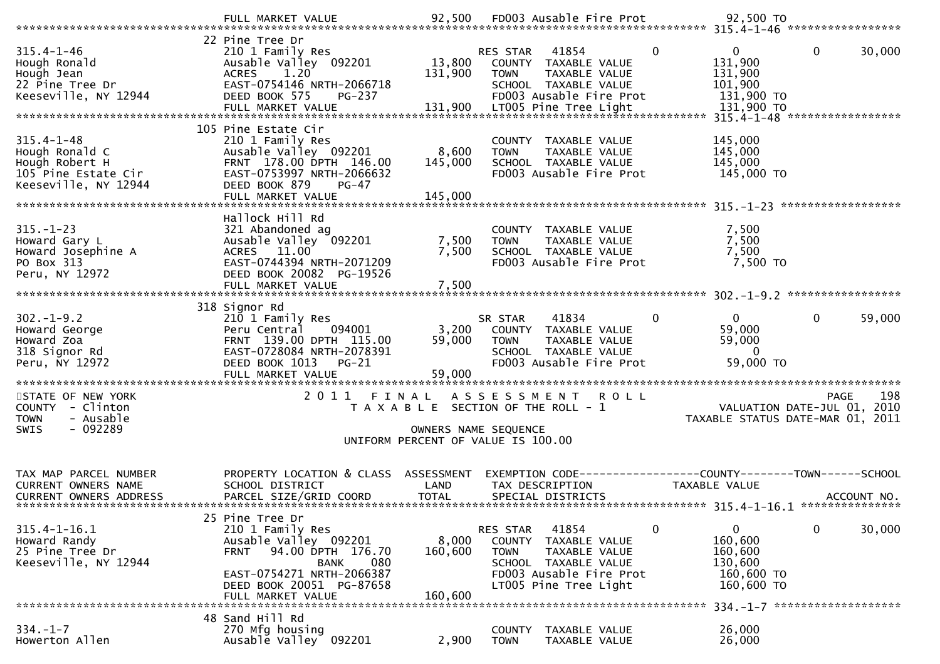| $315.4 - 1 - 46$<br>Hough Ronald<br>Hough Ronald<br>Hough Jean<br>22 Pine_Tree Dr<br>Keeseville, NY 12944<br>131,900 LT005 Pine Tree Light<br>FULL MARKET VALUE 131,900 LT005 Pine Tree Light 131,900 TO Fundam and the server of the server of the construction of the termination of the termination of the termination of the termination o | 22 Pine Tree Dr<br>210 1 Family Res<br>Ausable Valley 092201<br>1.20<br><b>ACRES</b><br>EAST-0754146 NRTH-2066718<br>DEED BOOK 575<br><b>PG-237</b>                                    | 131,900                                                                                             | RES STAR<br><b>TOWN</b>                  | 41854<br>13,800 COUNTY TAXABLE VALUE<br>TAXABLE VALUE<br>SCHOOL TAXABLE VALUE<br>FD003 Ausable Fire Prot            | $\mathbf{0}$<br>$\bf{0}$<br>131,900<br>131,900<br>101,900<br>131,900 TO          | 30,000<br>0                                                                           |
|------------------------------------------------------------------------------------------------------------------------------------------------------------------------------------------------------------------------------------------------------------------------------------------------------------------------------------------------|----------------------------------------------------------------------------------------------------------------------------------------------------------------------------------------|-----------------------------------------------------------------------------------------------------|------------------------------------------|---------------------------------------------------------------------------------------------------------------------|----------------------------------------------------------------------------------|---------------------------------------------------------------------------------------|
| $315.4 - 1 - 48$<br>Hough Ronald C<br>Hough Robert H<br>105 Pine Estate Cir<br>Keeseville, NY 12944                                                                                                                                                                                                                                            | 105 Pine Estate Cir<br>210 1 Family Res<br>Ausable Valley 092201<br>FRNT 178.00 DPTH 146.00<br>EAST-0753997 NRTH-2066632<br>DEED BOOK 879<br>$PG-47$                                   | 8,600<br>145,000                                                                                    | <b>TOWN</b>                              | COUNTY TAXABLE VALUE<br>TAXABLE VALUE<br>SCHOOL TAXABLE VALUE<br>FD003 Ausable Fire Prot                            | 145,000<br>145,000<br>145,000<br>145,000 TO                                      |                                                                                       |
| $315. - 1 - 23$<br>Howard Gary L<br>Howard Josephine A<br>PO Box 313<br>Peru, NY 12972                                                                                                                                                                                                                                                         | Hallock Hill Rd<br>321 Abandoned ag<br>Ausable Valley 092201<br>ACRES 11.00<br>EAST-0744394 NRTH-2071209<br>DEED BOOK 20082 PG-19526<br>FULL MARKET VALUE                              | 7,500<br>7,500<br>7,500                                                                             | TOWN                                     | COUNTY TAXABLE VALUE<br>TAXABLE VALUE<br>SCHOOL TAXABLE VALUE<br>FD003 Ausable Fire Prot                            | 7,500<br>7,500<br>7,500<br>7,500 TO                                              |                                                                                       |
| 302.-1-9.2<br>Howard George<br>Howard Zoa<br>210 Signor Rd                                                                                                                                                                                                                                                                                     | 318 Signor Rd<br>210 1 Family Res<br>094001<br>Peru Central<br>FRNT 139.00 DPTH 115.00<br>EAST-0728084 NRTH-2078391<br>DEED BOOK 1013<br>$PG-21$<br>FULL MARKET VALUE                  | 3,200<br>59,000<br>59,000                                                                           | SR STAR<br><b>TOWN</b>                   | 41834<br>COUNTY TAXABLE VALUE<br>TAXABLE VALUE<br>SCHOOL TAXABLE VALUE<br>FD003 Ausable Fire Prot                   | $\mathbf{0}$<br>0<br>59,000<br>59,000<br>$\Omega$<br>59,000 TO                   | 59,000<br>0                                                                           |
| STATE OF NEW YORK<br>COUNTY - Clinton<br>- Ausable<br><b>TOWN</b><br>$-092289$<br>SWIS                                                                                                                                                                                                                                                         | 2 0 1 1                                                                                                                                                                                | T A X A B L E SECTION OF THE ROLL - 1<br>OWNERS NAME SEQUENCE<br>UNIFORM PERCENT OF VALUE IS 100.00 |                                          | FINAL ASSESSMENT ROLL                                                                                               |                                                                                  | 198<br><b>PAGE</b><br>VALUATION DATE-JUL 01, 2010<br>TAXABLE STATUS DATE-MAR 01, 2011 |
| TAX MAP PARCEL NUMBER<br>CURRENT OWNERS NAME<br><b>CURRENT OWNERS ADDRESS</b>                                                                                                                                                                                                                                                                  | PROPERTY LOCATION & CLASS ASSESSMENT<br>SCHOOL DISTRICT<br>PARCEL SIZE/GRID COORD                                                                                                      | LAND<br><b>TOTAL</b>                                                                                |                                          | TAX DESCRIPTION<br>SPECIAL DISTRICTS                                                                                | TAXABLE VALUE                                                                    | EXEMPTION CODE-----------------COUNTY--------TOWN------SCHOOL<br>ACCOUNT NO.          |
| $315.4 - 1 - 16.1$<br>Howard Randy<br>25 Pine Tree Dr<br>Keeseville, NY 12944                                                                                                                                                                                                                                                                  | 25 Pine Tree Dr<br>210 1 Family Res<br>Ausable Valley 092201<br>94.00 DPTH 176.70<br>FRNT<br>080<br>BANK<br>EAST-0754271 NRTH-2066387<br>DEED BOOK 20051 PG-87658<br>FULL MARKET VALUE | 8,000<br>160,600<br>160,600                                                                         | RES STAR<br><b>COUNTY</b><br><b>TOWN</b> | 41854<br>TAXABLE VALUE<br>TAXABLE VALUE<br>SCHOOL TAXABLE VALUE<br>FD003 Ausable Fire Prot<br>LT005 Pine Tree Light | $\overline{0}$<br>0<br>160,600<br>160,600<br>130,600<br>160,600 TO<br>160,600 TO | 0<br>30,000                                                                           |
| $334. - 1 - 7$<br>Howerton Allen                                                                                                                                                                                                                                                                                                               | 48 Sand Hill Rd<br>270 Mfg housing<br>Ausable Valley <sup>-</sup> 092201                                                                                                               | 2,900                                                                                               | <b>COUNTY</b><br><b>TOWN</b>             | TAXABLE VALUE<br>TAXABLE VALUE                                                                                      | 26,000<br>26,000                                                                 | 334. -1-7 *********************                                                       |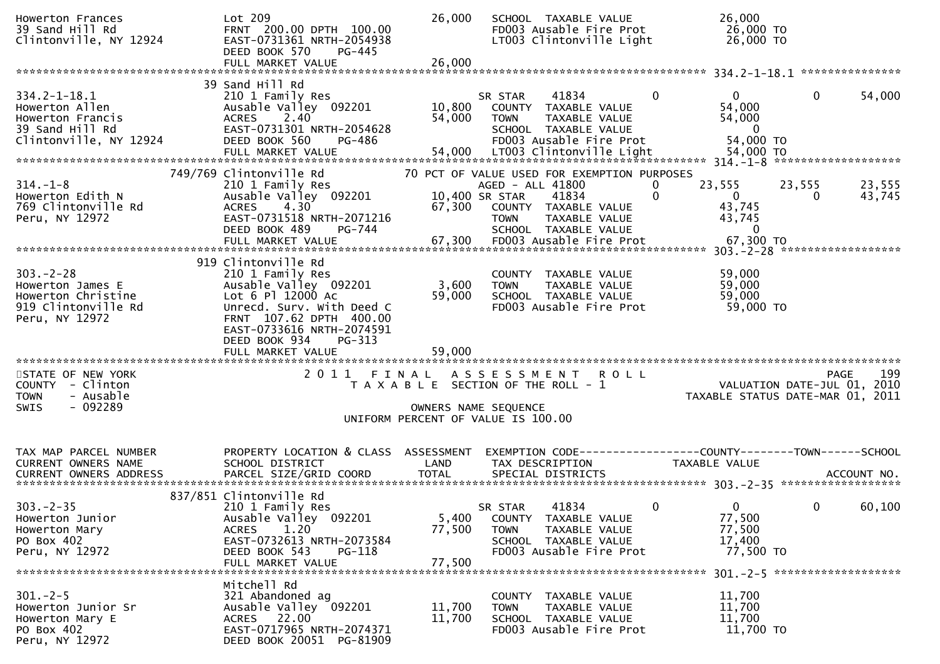| 39 Sand Hill Rd<br>Clintonville, NY 12924                                   | Lot 209<br>FRNT 200.00 DPTH 100.00<br>EAST-0731361 NRTH-2054938<br>DEED BOOK 570<br>PG-445<br>FULL MARKET VALUE | 26,000<br>26,000 | SCHOOL TAXABLE VALUE<br>FD003 Ausable Fire Prot<br>LT003 Clintonville Light                      |          | 26,000<br>26,000 TO<br>26,000 TO                 |                             |        |
|-----------------------------------------------------------------------------|-----------------------------------------------------------------------------------------------------------------|------------------|--------------------------------------------------------------------------------------------------|----------|--------------------------------------------------|-----------------------------|--------|
|                                                                             | 39 Sand Hill Rd                                                                                                 |                  |                                                                                                  |          |                                                  |                             |        |
| $334.2 - 1 - 18.1$<br>Howerton Allen<br>Howerton Francis<br>39 Sand Hill Rd | 210 1 Family Res<br>Ausable Valley 092201<br>2.40<br><b>ACRES</b><br>EAST-0731301 NRTH-2054628                  | 10,800<br>54,000 | SR STAR<br>41834<br>COUNTY TAXABLE VALUE<br><b>TOWN</b><br>TAXABLE VALUE<br>SCHOOL TAXABLE VALUE | $\Omega$ | 0<br>54,000<br>54,000<br>$\overline{\mathbf{0}}$ | $\mathbf{0}$                | 54,000 |
| Clintonville, NY 12924                                                      | DEED BOOK 560<br>PG-486                                                                                         |                  | FD003 Ausable Fire Prot                                                                          |          | 54,000 TO                                        |                             |        |
|                                                                             |                                                                                                                 |                  |                                                                                                  |          |                                                  |                             |        |
|                                                                             | 749/769 Clintonville Rd                                                                                         |                  | 70 PCT OF VALUE USED FOR EXEMPTION PURPOSES                                                      |          |                                                  |                             |        |
| $314. - 1 - 8$                                                              | 210 1 Family Res                                                                                                |                  | AGED - ALL 41800                                                                                 | 0        | 23,555                                           | 23,555                      | 23,555 |
| Howerton Edith N                                                            | Ausable Valley 092201                                                                                           |                  | 10,400 SR STAR<br>41834                                                                          | $\Omega$ | $\overline{0}$                                   | 0                           | 43,745 |
| 769 Clintonville Rd                                                         | 4.30<br><b>ACRES</b>                                                                                            | 67,300           | COUNTY TAXABLE VALUE                                                                             |          | 43,745                                           |                             |        |
| Peru, NY 12972                                                              | EAST-0731518 NRTH-2071216                                                                                       |                  | TAXABLE VALUE<br><b>TOWN</b>                                                                     |          | 43,745                                           |                             |        |
|                                                                             | DEED BOOK 489<br>PG-744<br>FULL MARKET VALUE                                                                    | 67,300           | SCHOOL TAXABLE VALUE<br>FD003 Ausable Fire Prot                                                  |          | $\mathbf{0}$<br>67,300 TO                        |                             |        |
|                                                                             |                                                                                                                 |                  |                                                                                                  |          |                                                  |                             |        |
|                                                                             | 919 Clintonville Rd                                                                                             |                  |                                                                                                  |          |                                                  |                             |        |
| $303 - 2 - 28$                                                              | 210 1 Family Res                                                                                                |                  | COUNTY TAXABLE VALUE                                                                             |          | 59,000                                           |                             |        |
| Howerton James E                                                            | Ausable Valley 092201                                                                                           | 3,600            | TAXABLE VALUE<br><b>TOWN</b>                                                                     |          | 59,000                                           |                             |        |
| Howerton Christine                                                          | Lot 6 Pl 12000 Ac                                                                                               | 59,000           | SCHOOL TAXABLE VALUE                                                                             |          | 59,000                                           |                             |        |
| 919 Clintonville Rd<br>Peru, NY 12972                                       | Unrecd. Surv. With Deed C<br>FRNT 107.62 DPTH 400.00                                                            |                  | FD003 Ausable Fire Prot                                                                          |          | 59,000 TO                                        |                             |        |
|                                                                             | EAST-0733616 NRTH-2074591                                                                                       |                  |                                                                                                  |          |                                                  |                             |        |
|                                                                             | DEED BOOK 934<br>PG-313                                                                                         |                  |                                                                                                  |          |                                                  |                             |        |
|                                                                             |                                                                                                                 |                  |                                                                                                  |          |                                                  |                             |        |
|                                                                             | FULL MARKET VALUE                                                                                               | 59,000           |                                                                                                  |          |                                                  |                             |        |
|                                                                             |                                                                                                                 |                  |                                                                                                  |          |                                                  |                             |        |
| STATE OF NEW YORK                                                           | 2011 FINAL                                                                                                      |                  | ASSESSMENT ROLL                                                                                  |          |                                                  | <b>PAGE</b>                 | 199    |
| COUNTY - Clinton                                                            |                                                                                                                 |                  | T A X A B L E SECTION OF THE ROLL - 1                                                            |          |                                                  | VALUATION DATE-JUL 01, 2010 |        |
| <b>TOWN</b><br>- Ausable                                                    |                                                                                                                 |                  |                                                                                                  |          | TAXABLE STATUS DATE-MAR 01, 2011                 |                             |        |
| $-092289$<br>SWIS                                                           |                                                                                                                 |                  | OWNERS NAME SEQUENCE                                                                             |          |                                                  |                             |        |
|                                                                             |                                                                                                                 |                  | UNIFORM PERCENT OF VALUE IS 100.00                                                               |          |                                                  |                             |        |
|                                                                             |                                                                                                                 |                  |                                                                                                  |          |                                                  |                             |        |
| TAX MAP PARCEL NUMBER                                                       | PROPERTY LOCATION & CLASS ASSESSMENT                                                                            |                  | EXEMPTION CODE-----------------COUNTY-------TOWN------SCHOOL                                     |          |                                                  |                             |        |
| <b>CURRENT OWNERS NAME</b>                                                  | SCHOOL DISTRICT                                                                                                 | LAND             | TAX DESCRIPTION                                                                                  |          | TAXABLE VALUE                                    |                             |        |
|                                                                             |                                                                                                                 |                  |                                                                                                  |          |                                                  |                             |        |
|                                                                             |                                                                                                                 |                  |                                                                                                  |          |                                                  |                             |        |
| $303 - 2 - 35$                                                              | 837/851 Clintonville Rd<br>210 1 Family Res                                                                     |                  | 41834                                                                                            | 0        | 0                                                | $\mathbf{0}$                |        |
| Howerton Junior                                                             | Ausable Valley 092201                                                                                           | 5,400            | SR STAR<br>COUNTY TAXABLE VALUE                                                                  |          | 77,500                                           |                             | 60,100 |
| Howerton Mary                                                               | 1.20<br><b>ACRES</b>                                                                                            | 77,500           | <b>TOWN</b><br>TAXABLE VALUE                                                                     |          | 77,500                                           |                             |        |
| PO Box 402                                                                  | EAST-0732613 NRTH-2073584                                                                                       |                  | SCHOOL TAXABLE VALUE                                                                             |          | 17,400                                           |                             |        |
| Peru, NY 12972                                                              | DEED BOOK 543<br>PG-118                                                                                         |                  | FD003 Ausable Fire Prot                                                                          |          | 77,500 TO                                        |                             |        |
|                                                                             | FULL MARKET VALUE                                                                                               | 77,500           |                                                                                                  |          |                                                  |                             |        |
|                                                                             | Mitchell Rd                                                                                                     |                  |                                                                                                  |          |                                                  |                             |        |
| $301 - 2 - 5$                                                               | 321 Abandoned ag                                                                                                |                  | COUNTY TAXABLE VALUE                                                                             |          | 11,700                                           |                             |        |
| Howerton Junior Sr                                                          | Ausable Valley 092201                                                                                           | 11,700           | TAXABLE VALUE<br><b>TOWN</b>                                                                     |          | 11,700                                           |                             |        |
| Howerton Mary E                                                             | ACRES 22.00                                                                                                     | 11,700           | SCHOOL TAXABLE VALUE                                                                             |          | 11,700                                           |                             |        |
| PO Box 402<br>Peru, NY 12972                                                | EAST-0717965 NRTH-2074371<br>DEED BOOK 20051 PG-81909                                                           |                  | FD003 Ausable Fire Prot                                                                          |          | 11,700 TO                                        |                             |        |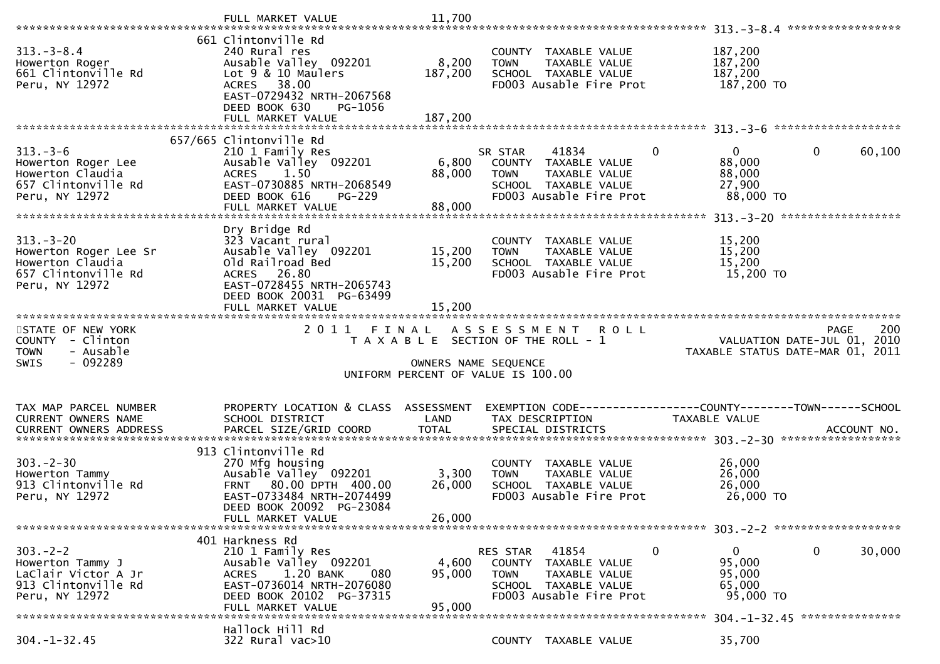|                                                                                                      | FULL MARKET VALUE                                                                                                                                                                | 11,700                      |                                                                                                                            |                                |               |                                                         |                                                                                       |
|------------------------------------------------------------------------------------------------------|----------------------------------------------------------------------------------------------------------------------------------------------------------------------------------|-----------------------------|----------------------------------------------------------------------------------------------------------------------------|--------------------------------|---------------|---------------------------------------------------------|---------------------------------------------------------------------------------------|
| $313. - 3 - 8.4$<br>Howerton Roger<br>661 Clintonville Rd<br>Peru, NY 12972                          | 661 Clintonville Rd<br>240 Rural res<br>Ausable Valley 092201<br>Lot 9 & 10 Maulers<br>ACRES 38.00<br>EAST-0729432 NRTH-2067568<br>DEED BOOK 630<br>PG-1056<br>FULL MARKET VALUE | 8,200<br>187,200<br>187,200 | COUNTY TAXABLE VALUE<br><b>TOWN</b><br>SCHOOL TAXABLE VALUE<br>FD003 Ausable Fire Prot                                     | TAXABLE VALUE                  |               | 187,200<br>187,200<br>187,200<br>187,200 TO             |                                                                                       |
|                                                                                                      | 657/665 Clintonville Rd                                                                                                                                                          |                             |                                                                                                                            |                                |               |                                                         |                                                                                       |
| $313. - 3 - 6$<br>Howerton Roger Lee<br>Howerton Claudia<br>657 Clintonville Rd<br>Peru, NY 12972    | 210 1 Family Res<br>Ausable Valley 092201<br>ACRES 1.50<br>EAST-0730885 NRTH-2068549<br>DEED BOOK 616<br>PG-229<br>FULL MARKET VALUE                                             | 6,800<br>88,000<br>88,000   | 41834<br>SR STAR<br>COUNTY TAXABLE VALUE<br><b>TOWN</b><br>SCHOOL TAXABLE VALUE<br>FD003 Ausable Fire Prot                 | TAXABLE VALUE                  | $\mathbf 0$   | $\mathbf{0}$<br>88,000<br>88,000<br>27,900<br>88,000 TO | $\mathbf 0$<br>60,100                                                                 |
|                                                                                                      |                                                                                                                                                                                  |                             |                                                                                                                            |                                |               |                                                         |                                                                                       |
| $313 - 3 - 20$<br>Howerton Roger Lee Sr<br>Howerton Claudia<br>657 Clintonville Rd<br>Peru, NY 12972 | Dry Bridge Rd<br>323 Vacant rural<br>Ausable Valley 092201<br>Old Railroad Bed<br>ACRES 26.80<br>EAST-0728455 NRTH-2065743                                                       | 15,200<br>15,200            | COUNTY TAXABLE VALUE<br><b>TOWN</b><br>SCHOOL TAXABLE VALUE<br>FD003 Ausable Fire Prot                                     | TAXABLE VALUE                  |               | 15,200<br>15,200<br>15,200<br>15,200 TO                 |                                                                                       |
|                                                                                                      | DEED BOOK 20031 PG-63499<br>FULL MARKET VALUE                                                                                                                                    | 15,200                      |                                                                                                                            |                                |               |                                                         |                                                                                       |
|                                                                                                      |                                                                                                                                                                                  |                             |                                                                                                                            |                                |               |                                                         |                                                                                       |
| STATE OF NEW YORK<br>COUNTY - Clinton<br>- Ausable<br><b>TOWN</b><br>$-092289$<br><b>SWIS</b>        | 2011                                                                                                                                                                             | FINAL                       | A S S E S S M E N T<br>T A X A B L E SECTION OF THE ROLL - 1<br>OWNERS NAME SEQUENCE<br>UNIFORM PERCENT OF VALUE IS 100.00 | <b>ROLL</b>                    |               |                                                         | 200<br><b>PAGE</b><br>VALUATION DATE-JUL 01, 2010<br>TAXABLE STATUS DATE-MAR 01, 2011 |
| TAX MAP PARCEL NUMBER<br>CURRENT OWNERS NAME<br><b>CURRENT OWNERS ADDRESS</b>                        | PROPERTY LOCATION & CLASS ASSESSMENT<br>SCHOOL DISTRICT                                                                                                                          | LAND                        | TAX DESCRIPTION                                                                                                            |                                | TAXABLE VALUE |                                                         | EXEMPTION CODE------------------COUNTY--------TOWN------SCHOOL                        |
| $303 - 2 - 30$<br>Howerton Tammy<br>913 Clintonville Rd<br>Peru, NY 12972                            | 913 Clintonville Rd<br>270 Mfg housing<br>Ausable Valley 092201<br>FRNT 80.00 DPTH 400.00<br>EAST-0733484 NRTH-2074499<br>DEED BOOK 20092 PG-23084<br>FULL MARKET VALUE          | 3,300<br>26,000<br>26,000   | COUNTY TAXABLE VALUE<br><b>TOWN</b><br>SCHOOL TAXABLE VALUE<br>FD003 Ausable Fire Prot                                     | TAXABLE VALUE                  |               | 26,000<br>26,000<br>26,000<br>26,000 TO                 |                                                                                       |
|                                                                                                      | 401 Harkness Rd                                                                                                                                                                  |                             |                                                                                                                            |                                |               |                                                         |                                                                                       |
| $303 - 2 - 2$<br>Howerton Tammy J<br>LaClair Victor A Jr<br>913 Clintonville Rd<br>Peru, NY 12972    | 210 1 Family Res<br>Ausable Valley 092201<br>1.20 BANK<br><b>ACRES</b><br>080<br>EAST-0736014 NRTH-2076080<br>DEED BOOK 20102 PG-37315<br>FULL MARKET VALUE                      | 4,600<br>95,000<br>95,000   | 41854<br>RES STAR<br><b>COUNTY</b><br><b>TOWN</b><br>SCHOOL TAXABLE VALUE<br>FD003 Ausable Fire Prot                       | TAXABLE VALUE<br>TAXABLE VALUE | 0             | 0<br>95,000<br>95,000<br>65,000<br>95,000 TO            | $\mathbf 0$<br>30,000                                                                 |
|                                                                                                      | Hallock Hill Rd                                                                                                                                                                  |                             |                                                                                                                            |                                |               |                                                         | 304. -1-32. 45 ****************                                                       |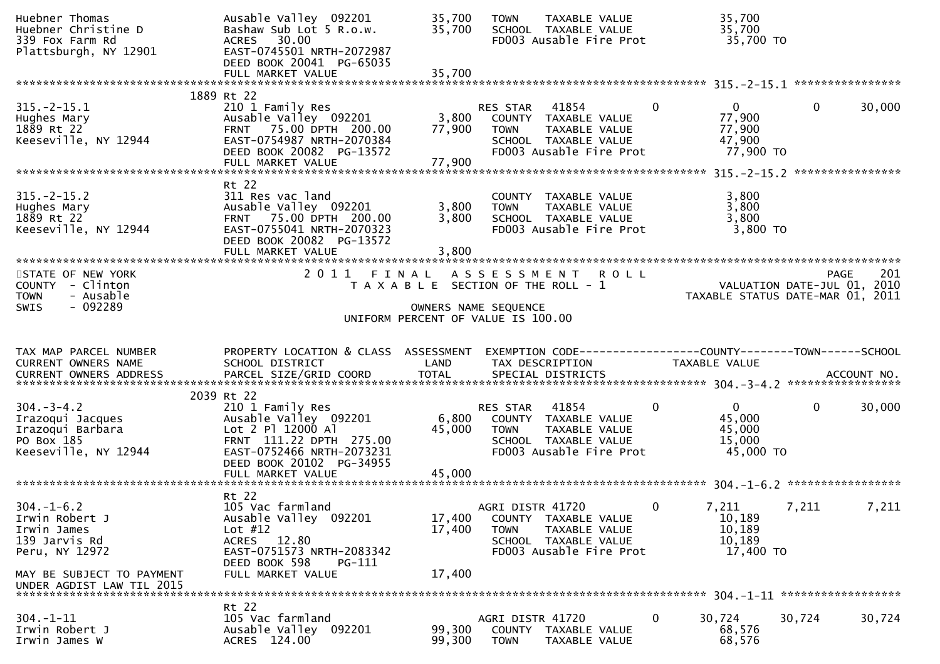| Huebner Thomas<br>Huebner Christine D<br>339 Fox Farm Rd<br>Plattsburgh, NY 12901              | Ausable Valley 092201<br>Bashaw Sub Lot 5 R.o.w.<br>ACRES 30.00<br>EAST-0745501 NRTH-2072987<br>DEED BOOK 20041 PG-65035<br>FULL MARKET VALUE                   | 35,700<br>35,700<br>35,700 | TAXABLE VALUE<br><b>TOWN</b><br>SCHOOL TAXABLE VALUE<br>FD003 Ausable Fire Prot                                              | 35,700<br>35,700<br>35,700 TO                                           |                                                                 |
|------------------------------------------------------------------------------------------------|-----------------------------------------------------------------------------------------------------------------------------------------------------------------|----------------------------|------------------------------------------------------------------------------------------------------------------------------|-------------------------------------------------------------------------|-----------------------------------------------------------------|
|                                                                                                |                                                                                                                                                                 |                            |                                                                                                                              |                                                                         |                                                                 |
| $315. -2 - 15.1$<br>Hughes Mary<br>1889 Rt 22<br>Keeseville, NY 12944                          | 1889 Rt 22<br>210 1 Family Res<br>Ausable Valley 092201<br>FRNT 75.00 DPTH 200.00<br>EAST-0754987 NRTH-2070384<br>DEED BOOK 20082 PG-13572<br>FULL MARKET VALUE | 3,800<br>77,900<br>77,900  | 41854<br>RES STAR<br>COUNTY TAXABLE VALUE<br>TAXABLE VALUE<br><b>TOWN</b><br>SCHOOL TAXABLE VALUE<br>FD003 Ausable Fire Prot | $\mathbf{0}$<br>$\mathbf{0}$<br>77,900<br>77,900<br>47,900<br>77,900 TO | $\mathbf{0}$<br>30,000                                          |
|                                                                                                |                                                                                                                                                                 |                            |                                                                                                                              |                                                                         | ****************                                                |
| $315. - 2 - 15.2$<br>Hughes Mary<br>1889 Rt 22<br>Keeseville, NY 12944                         | Rt 22<br>311 Res vac land<br>Ausable Valley 092201<br>FRNT 75.00 DPTH 200.00<br>EAST-0755041 NRTH-2070323<br>DEED BOOK 20082 PG-13572<br>FULL MARKET VALUE      | 3,800<br>3,800<br>3,800    | COUNTY TAXABLE VALUE<br>TAXABLE VALUE<br><b>TOWN</b><br>SCHOOL TAXABLE VALUE<br>FD003 Ausable Fire Prot                      | 3,800<br>3,800<br>3,800<br>3,800 TO                                     |                                                                 |
| STATE OF NEW YORK                                                                              | 2011<br>FINAL                                                                                                                                                   |                            | <b>ROLL</b><br>A S S E S S M E N T                                                                                           |                                                                         | 201<br><b>PAGE</b>                                              |
| COUNTY - Clinton<br>- Ausable<br><b>TOWN</b><br>$-092289$<br><b>SWIS</b>                       |                                                                                                                                                                 |                            | T A X A B L E SECTION OF THE ROLL - 1<br>OWNERS NAME SEQUENCE<br>UNIFORM PERCENT OF VALUE IS 100.00                          |                                                                         | VALUATION DATE-JUL 01, 2010<br>TAXABLE STATUS DATE-MAR 01, 2011 |
|                                                                                                |                                                                                                                                                                 |                            |                                                                                                                              |                                                                         |                                                                 |
| TAX MAP PARCEL NUMBER<br>CURRENT OWNERS NAME                                                   | PROPERTY LOCATION & CLASS ASSESSMENT<br>SCHOOL DISTRICT                                                                                                         | LAND                       | TAX DESCRIPTION                                                                                                              | TAXABLE VALUE                                                           |                                                                 |
|                                                                                                | 2039 Rt 22                                                                                                                                                      |                            |                                                                                                                              |                                                                         |                                                                 |
| $304. - 3 - 4.2$<br>Irazoqui Jacques<br>Irazoqui Barbara<br>PO Box 185<br>Keeseville, NY 12944 | 210 1 Family Res<br>Ausable Valley 092201<br>Lot 2 Pl 12000 Al<br>FRNT 111.22 DPTH 275.00<br>EAST-0752466 NRTH-2073231<br>DEED BOOK 20102 PG-34955              | 6,800<br>45,000            | 41854<br>RES STAR<br>COUNTY TAXABLE VALUE<br><b>TOWN</b><br>TAXABLE VALUE<br>SCHOOL TAXABLE VALUE<br>FD003 Ausable Fire Prot | 0<br>$\overline{0}$<br>45,000<br>45,000<br>15,000<br>45,000 TO          | $\mathbf{0}$<br>30,000                                          |
|                                                                                                | FULL MARKET VALUE                                                                                                                                               | 45,000                     |                                                                                                                              |                                                                         |                                                                 |
| $304. - 1 - 6.2$<br>Irwin Robert J<br>Irwin James<br>139 Jarvis Rd<br>Peru, NY 12972           | Rt 22<br>105 Vac farmland<br>Ausable Valley<br>092201<br>Lot $#12$<br>ACRES 12.80<br>EAST-0751573 NRTH-2083342                                                  | 17,400<br>17,400           | AGRI DISTR 41720<br>COUNTY TAXABLE VALUE<br><b>TOWN</b><br>TAXABLE VALUE<br>SCHOOL TAXABLE VALUE<br>FD003 Ausable Fire Prot  | 0<br>7,211<br>10,189<br>10,189<br>10,189<br>17,400 TO                   | 7,211<br>7,211                                                  |
| MAY BE SUBJECT TO PAYMENT<br>UNDER AGDIST LAW TIL 2015                                         | DEED BOOK 598<br>PG-111<br>FULL MARKET VALUE                                                                                                                    | 17,400                     |                                                                                                                              |                                                                         |                                                                 |
| $304. - 1 - 11$                                                                                | Rt 22<br>105 Vac farmland                                                                                                                                       |                            | AGRI DISTR 41720                                                                                                             | 0<br>30,724                                                             | 30,724<br>30,724                                                |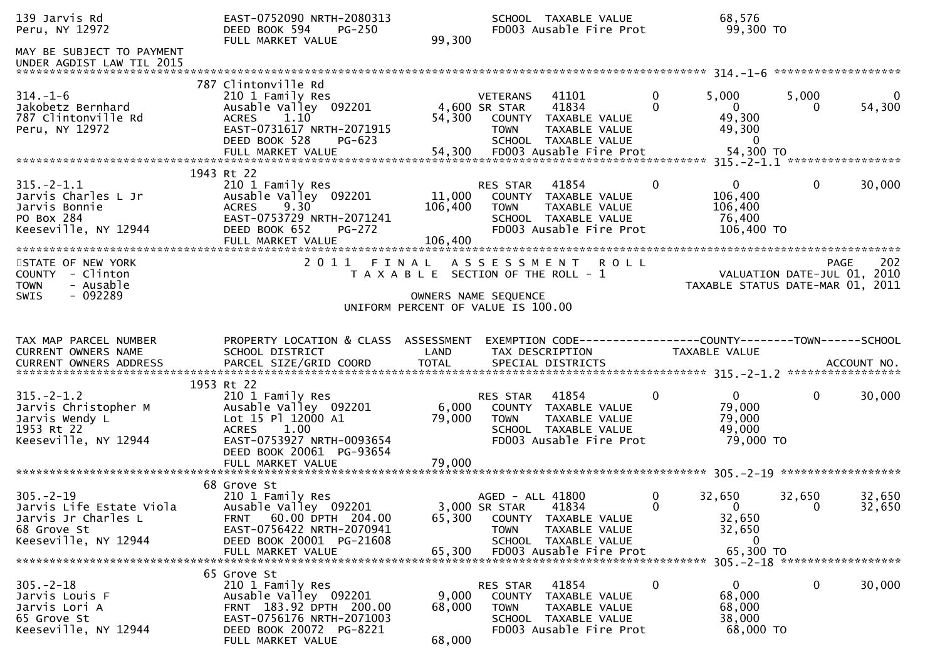| 139 Jarvis Rd<br>Peru, NY 12972                                                                  | EAST-0752090 NRTH-2080313<br>DEED BOOK 594<br><b>PG-250</b><br>FULL MARKET VALUE                                                                                          | 99,300                       | SCHOOL TAXABLE VALUE<br>FD003 Ausable Fire Prot                                                                                    |                         | 68,576<br>99,300 TO                                                             |                    |                          |
|--------------------------------------------------------------------------------------------------|---------------------------------------------------------------------------------------------------------------------------------------------------------------------------|------------------------------|------------------------------------------------------------------------------------------------------------------------------------|-------------------------|---------------------------------------------------------------------------------|--------------------|--------------------------|
| MAY BE SUBJECT TO PAYMENT                                                                        |                                                                                                                                                                           |                              |                                                                                                                                    |                         |                                                                                 |                    |                          |
| $314. - 1 - 6$<br>Jakobetz Bernhard<br>787 Clintonville Rd<br>Peru, NY 12972                     | 787 Clintonville Rd<br>210 1 Family Res<br>Ausable Valley 092201<br>1.10<br><b>ACRES</b><br>EAST-0731617 NRTH-2071915<br>DEED BOOK 528<br>PG-623                          | 54,300                       | <b>VETERANS</b><br>41101<br>41834<br>4,600 SR STAR<br>COUNTY TAXABLE VALUE<br><b>TOWN</b><br>TAXABLE VALUE<br>SCHOOL TAXABLE VALUE | $\mathbf 0$<br>$\Omega$ | 5,000<br>$\mathbf{0}$<br>49,300<br>49,300<br>$\Omega$                           | 5,000<br>0         | $\overline{0}$<br>54,300 |
|                                                                                                  |                                                                                                                                                                           |                              |                                                                                                                                    |                         |                                                                                 |                    |                          |
| $315. - 2 - 1.1$<br>Jarvis Charles L Jr<br>Jarvis Bonnie<br>PO Box 284<br>Keeseville, NY 12944   | 1943 Rt 22<br>210 1 Family Res<br>Ausable Valley 092201<br>$9.30^{7}$<br><b>ACRES</b><br>EAST-0753729 NRTH-2071241<br>DEED BOOK 652<br><b>PG-272</b><br>FULL MARKET VALUE | 11,000<br>106,400<br>106,400 | RES STAR<br>41854<br>COUNTY TAXABLE VALUE<br>TAXABLE VALUE<br>TOWN<br>SCHOOL TAXABLE VALUE<br>FD003 Ausable Fire Prot              | 0                       | $\mathbf{0}$<br>106,400<br>106,400<br>76,400<br>106,400 TO                      | 0                  | 30,000                   |
| STATE OF NEW YORK<br>COUNTY - Clinton<br>- Ausable<br><b>TOWN</b><br>$-092289$<br><b>SWIS</b>    | 2011 FINAL                                                                                                                                                                |                              | A S S E S S M E N T<br>T A X A B L E SECTION OF THE ROLL - 1<br>OWNERS NAME SEQUENCE<br>UNIFORM PERCENT OF VALUE IS 100.00         | <b>ROLL</b>             | VALUATION DATE-JUL 01, 2010<br>TAXABLE STATUS DATE-MAR 01, 2011                 |                    | 202<br>PAGE              |
| TAX MAP PARCEL NUMBER<br>CURRENT OWNERS NAME                                                     | PROPERTY LOCATION & CLASS ASSESSMENT<br>SCHOOL DISTRICT                                                                                                                   | LAND                         | EXEMPTION CODE-----------------COUNTY--------TOWN------SCHOOL<br>TAX DESCRIPTION                                                   |                         | TAXABLE VALUE                                                                   |                    |                          |
| $315. - 2 - 1.2$<br>Jarvis Christopher M<br>Jarvis Wendy L<br>1953 Rt 22<br>Keeseville, NY 12944 | 1953 Rt 22<br>210 1 Family Res<br>Ausable Valley 092201<br>Lot 15 Pl 12000 A1<br>1.00<br><b>ACRES</b><br>EAST-0753927 NRTH-0093654<br>DEED BOOK 20061 PG-93654            | 6,000<br>79,000              | RES STAR<br>41854<br>COUNTY TAXABLE VALUE<br><b>TOWN</b><br>TAXABLE VALUE<br>SCHOOL TAXABLE VALUE<br>FD003 Ausable Fire Prot       | 0                       | $\overline{0}$<br>79,000<br>79,000<br>49,000<br>79,000 TO                       | 0                  | 30,000                   |
| $305. - 2 - 19$<br>Jarvis Life Estate Viola<br>Jarvis Jr Charles L<br>68 Grove St                | 68 Grove St<br>210 1 Family Res<br>Ausable Valley 092201                                                                                                                  |                              | AGED - ALL 41800<br>3,000 SR STAR<br>41834                                                                                         | 0<br>$\Omega$           | 32,650<br>$\Omega$                                                              | 32,650<br>$\Omega$ | 32,650<br>32,650         |
| Keeseville, NY 12944                                                                             | FRNT 60.00 DPTH 204.00<br>EAST-0756422 NRTH-2070941<br>DEED BOOK 20001 PG-21608<br>FULL MARKET VALUE                                                                      | 65,300<br>65.300             | COUNTY TAXABLE VALUE<br><b>TOWN</b><br>TAXABLE VALUE<br>SCHOOL TAXABLE VALUE<br>FD003 Ausable Fire Prot                            |                         | 32,650<br>32,650<br>$\bf{0}$<br>65,300 TO<br>305. - 2 - 18 ******************** |                    |                          |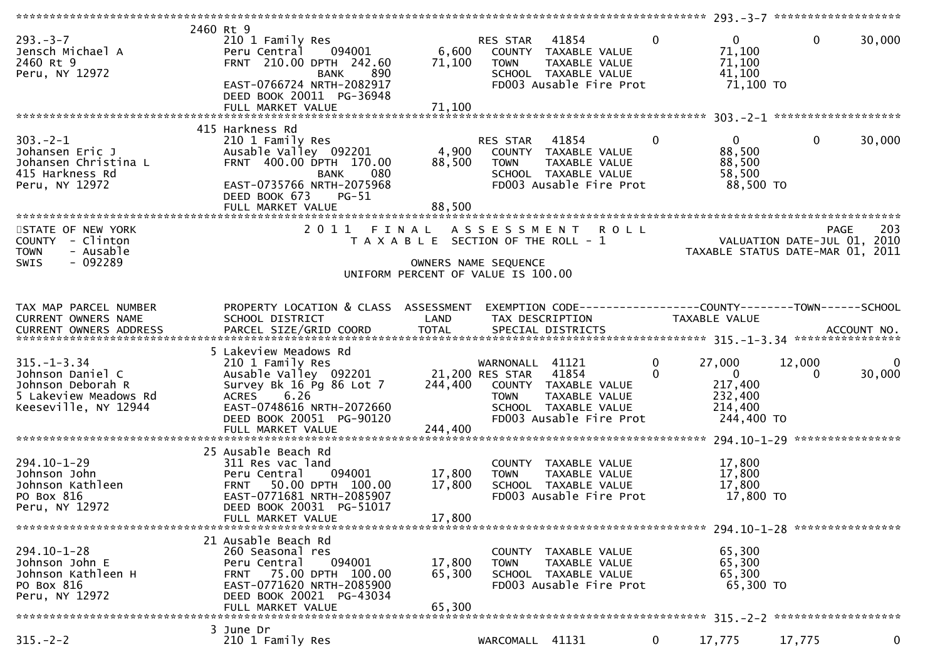| $293. -3 - 7$<br>Jensch Michael A<br>2460 Rt 9<br>Peru, NY 12972                                            | 2460 Rt 9<br>210 1 Family Res<br>094001<br>Peru Central<br>FRNT 210.00 DPTH 242.60<br><b>BANK</b><br>890<br>EAST-0766724 NRTH-2082917<br>DEED BOOK 20011 PG-36948<br>FULL MARKET VALUE    | 6,600<br>71,100<br>71,100             | RES STAR<br><b>TOWN</b>        | 41854<br>COUNTY TAXABLE VALUE<br>TAXABLE VALUE<br>SCHOOL TAXABLE VALUE<br>FD003 Ausable Fire Prot | $\Omega$      | $\mathbf{0}$<br>71,100<br>71,100<br>41,100<br>71,100 TO                 | $\mathbf{0}$       | 30,000      |
|-------------------------------------------------------------------------------------------------------------|-------------------------------------------------------------------------------------------------------------------------------------------------------------------------------------------|---------------------------------------|--------------------------------|---------------------------------------------------------------------------------------------------|---------------|-------------------------------------------------------------------------|--------------------|-------------|
|                                                                                                             |                                                                                                                                                                                           |                                       |                                |                                                                                                   |               |                                                                         |                    |             |
| $303 - 2 - 1$<br>Johansen Eric J<br>Johansen Christina L<br>415 Harkness Rd<br>Peru, NY 12972               | 415 Harkness Rd<br>210 1 Family Res<br>Ausable Valley 092201<br>FRNT 400.00 DPTH 170.00<br><b>BANK</b><br>080<br>EAST-0735766 NRTH-2075968<br>DEED BOOK 673<br>PG-51<br>FULL MARKET VALUE | 4,900<br>88,500<br>88,500             | RES STAR<br><b>TOWN</b>        | 41854<br>COUNTY TAXABLE VALUE<br>TAXABLE VALUE<br>SCHOOL TAXABLE VALUE<br>FD003 Ausable Fire Prot | $\Omega$      | $\mathbf{0}$<br>88,500<br>88,500<br>58,500<br>88,500 TO                 | $\mathbf{0}$       | 30,000      |
|                                                                                                             |                                                                                                                                                                                           |                                       |                                |                                                                                                   |               |                                                                         |                    |             |
| STATE OF NEW YORK<br>COUNTY - Clinton<br>- Ausable<br><b>TOWN</b><br>$-092289$<br>SWIS                      |                                                                                                                                                                                           | T A X A B L E SECTION OF THE ROLL - 1 | OWNERS NAME SEQUENCE           | 2011 FINAL ASSESSMENT ROLL                                                                        |               | VALUATION DATE-JUL 01, 2010<br>TAXABLE STATUS DATE-MAR 01, 2011         | PAGE               | 203         |
|                                                                                                             |                                                                                                                                                                                           | UNIFORM PERCENT OF VALUE IS 100.00    |                                |                                                                                                   |               |                                                                         |                    |             |
|                                                                                                             |                                                                                                                                                                                           |                                       |                                |                                                                                                   |               |                                                                         |                    |             |
| TAX MAP PARCEL NUMBER<br>CURRENT OWNERS NAME                                                                | PROPERTY LOCATION & CLASS ASSESSMENT<br>SCHOOL DISTRICT                                                                                                                                   | LAND                                  | TAX DESCRIPTION                |                                                                                                   |               | <b>TAXABLE VALUE</b>                                                    |                    |             |
|                                                                                                             | 5 Lakeview Meadows Rd                                                                                                                                                                     |                                       |                                |                                                                                                   |               |                                                                         |                    |             |
| $315. - 1 - 3.34$<br>Johnson Daniel C<br>Johnson Deborah R<br>5 Lakeview Meadows Rd<br>Keeseville, NY 12944 | 210 1 Family Res<br>Ausable Valley 092201 21,200 RES STAR<br>Survey Bk 16 Pg 86 Lot 7<br>6.26<br>ACRES<br>EAST-0748616 NRTH-2072660<br>DEED BOOK 20051 PG-90120<br>FULL MARKET VALUE      | 244,400<br>244,400                    | WARNONALL 41121<br><b>TOWN</b> | 41854<br>COUNTY TAXABLE VALUE<br>TAXABLE VALUE<br>SCHOOL TAXABLE VALUE<br>FD003 Ausable Fire Prot | 0<br>$\Omega$ | 27,000<br>$\overline{0}$<br>217,400<br>232,400<br>214,400<br>244,400 TO | 12,000<br>$\Omega$ | 0<br>30,000 |
|                                                                                                             | 25 Ausable Beach Rd                                                                                                                                                                       |                                       |                                |                                                                                                   |               |                                                                         |                    |             |
| $294.10 - 1 - 29$<br>Johnson John<br>Johnson Kathleen<br>PO Box 816<br>Peru, NY 12972                       | 311 Res vac land<br>094001<br>Peru Central<br>FRNT 50.00 DPTH 100.00<br>EAST-0771681 NRTH-2085907<br>DEED BOOK 20031 PG-51017<br>FULL MARKET VALUE                                        | 17,800<br>17,800<br>17,800            | <b>TOWN</b>                    | COUNTY TAXABLE VALUE<br>TAXABLE VALUE<br>SCHOOL TAXABLE VALUE<br>FD003 Ausable Fire Prot          |               | 17,800<br>17,800<br>17,800<br>17,800 TO                                 |                    |             |
|                                                                                                             |                                                                                                                                                                                           |                                       |                                |                                                                                                   |               |                                                                         |                    |             |
| $294.10 - 1 - 28$<br>Johnson John E<br>Johnson Kathleen H<br>PO Box 816<br>Peru, NY 12972                   | 21 Ausable Beach Rd<br>260 Seasonal res<br>094001<br>Peru Central<br>FRNT 75.00 DPTH 100.00<br>EAST-0771620 NRTH-2085900<br>DEED BOOK 20021 PG-43034<br>FULL MARKET VALUE                 | 17,800<br>65,300<br>65,300            | <b>TOWN</b>                    | COUNTY TAXABLE VALUE<br>TAXABLE VALUE<br>SCHOOL TAXABLE VALUE<br>FD003 Ausable Fire Prot          |               | 65,300<br>65,300<br>65,300<br>65,300 TO                                 |                    |             |
|                                                                                                             | 3 June Dr                                                                                                                                                                                 |                                       |                                |                                                                                                   |               |                                                                         |                    |             |
| $315. -2 - 2$                                                                                               | 210 1 Family Res                                                                                                                                                                          |                                       | WARCOMALL 41131                |                                                                                                   | $\mathbf{0}$  | 17,775                                                                  | 17,775             | $\mathbf 0$ |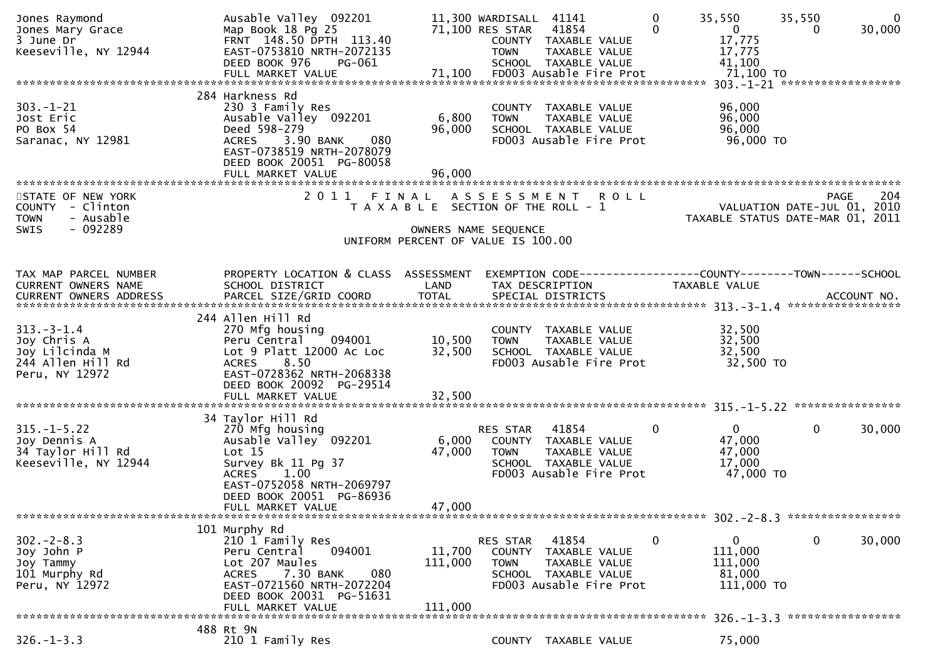| Jones Raymond<br>Jones Mary Grace<br>3 June Dr<br>Keeseville, NY 12944                       | Ausable Valley 092201<br>Map Book 18 Pg 25<br>FRNT 148.50 DPTH 113.40<br>EAST-0753810 NRTH-2072135<br>DEED BOOK 976<br>PG-061                                                                       |                                                               | 11,300 WARDISALL 41141<br>71,100 RES STAR<br><b>TOWN</b> | 41854<br>COUNTY TAXABLE VALUE<br>TAXABLE VALUE<br>SCHOOL TAXABLE VALUE                            | $\mathbf 0$<br>$\Omega$ | 35,550<br>$\overline{0}$<br>17,775<br>17,775<br>41,100          | 35,550<br>0  | $\mathbf{0}$<br>30,000 |
|----------------------------------------------------------------------------------------------|-----------------------------------------------------------------------------------------------------------------------------------------------------------------------------------------------------|---------------------------------------------------------------|----------------------------------------------------------|---------------------------------------------------------------------------------------------------|-------------------------|-----------------------------------------------------------------|--------------|------------------------|
|                                                                                              |                                                                                                                                                                                                     |                                                               |                                                          |                                                                                                   |                         |                                                                 |              |                        |
| $303. - 1 - 21$<br>Jost Eric<br>PO Box 54<br>Saranac, NY 12981                               | 284 Harkness Rd<br>230 3 Family Res<br>Ausable Valley 092201<br>Deed 598-279<br>3.90 BANK<br><b>ACRES</b><br>080<br>EAST-0738519 NRTH-2078079<br>DEED BOOK 20051 PG-80058                           | 6,800<br>96,000                                               | <b>TOWN</b>                                              | COUNTY TAXABLE VALUE<br>TAXABLE VALUE<br>SCHOOL TAXABLE VALUE<br>FD003 Ausable Fire Prot          |                         | 96,000<br>96,000<br>96,000<br>96,000 TO                         |              |                        |
|                                                                                              | FULL MARKET VALUE                                                                                                                                                                                   | 96,000                                                        |                                                          |                                                                                                   |                         |                                                                 |              |                        |
| STATE OF NEW YORK<br>COUNTY - Clinton<br>- Ausable<br><b>TOWN</b><br>- 092289<br><b>SWIS</b> | 2011<br>FINAL                                                                                                                                                                                       | T A X A B L E SECTION OF THE ROLL - 1<br>OWNERS NAME SEQUENCE | A S S E S S M E N T                                      | <b>ROLL</b>                                                                                       |                         | VALUATION DATE-JUL 01, 2010<br>TAXABLE STATUS DATE-MAR 01, 2011 | <b>PAGE</b>  | 204                    |
|                                                                                              |                                                                                                                                                                                                     | UNIFORM PERCENT OF VALUE IS 100.00                            |                                                          |                                                                                                   |                         |                                                                 |              |                        |
| TAX MAP PARCEL NUMBER<br>CURRENT OWNERS NAME<br>CURRENT OWNERS ADDRESS                       | PROPERTY LOCATION & CLASS ASSESSMENT<br>SCHOOL DISTRICT                                                                                                                                             | LAND                                                          |                                                          | EXEMPTION CODE-----------------COUNTY-------TOWN------SCHOOL<br>TAX DESCRIPTION                   |                         | TAXABLE VALUE                                                   |              |                        |
|                                                                                              | 244 Allen Hill Rd                                                                                                                                                                                   |                                                               |                                                          |                                                                                                   |                         |                                                                 |              |                        |
| $313 - 3 - 1.4$<br>Joy Chris A<br>Joy Lilcinda M<br>244 Allen Hill Rd<br>Peru, NY 12972      | 270 Mfg housing<br>094001<br>Peru Central<br>Lot 9 Platt 12000 Ac Loc<br>8.50<br><b>ACRES</b><br>EAST-0728362 NRTH-2068338<br>DEED BOOK 20092 PG-29514<br>FULL MARKET VALUE                         | 10,500<br>32,500<br>32,500                                    | <b>TOWN</b>                                              | COUNTY TAXABLE VALUE<br>TAXABLE VALUE<br>SCHOOL TAXABLE VALUE<br>FD003 Ausable Fire Prot          |                         | 32,500<br>32,500<br>32,500<br>32,500 TO                         |              |                        |
|                                                                                              |                                                                                                                                                                                                     |                                                               |                                                          |                                                                                                   |                         |                                                                 |              |                        |
| $315. - 1 - 5.22$<br>Joy Dennis A<br>34 Taylor Hill Rd<br>Keeseville, NY 12944               | 34 Taylor Hill Rd<br>270 Mfg housing<br>Ausable Valley 092201<br>Lot 15<br>Survey Bk 11 Pg 37<br><b>ACRES</b><br>1.00<br>EAST-0752058 NRTH-2069797<br>DEED BOOK 20051 PG-86936<br>FULL MARKET VALUE | 6,000<br>47,000<br>47,000                                     | <b>RES STAR</b><br><b>TOWN</b>                           | 41854<br>COUNTY TAXABLE VALUE<br>TAXABLE VALUE<br>SCHOOL TAXABLE VALUE<br>FD003 Ausable Fire Prot | 0                       | $\mathbf{0}$<br>47,000<br>47,000<br>17,000<br>47,000 TO         | $\mathbf{0}$ | 30,000                 |
|                                                                                              |                                                                                                                                                                                                     |                                                               |                                                          |                                                                                                   |                         |                                                                 |              |                        |
| $302 - 2 - 8.3$<br>Joy John P<br>Joy Tammy<br>101 Murphy Rd<br>Peru, NY 12972                | 101 Murphy Rd<br>210 1 Family Res<br>094001<br>Peru Central<br>Lot 207 Maules<br>7.30 BANK<br>080<br><b>ACRES</b><br>EAST-0721560 NRTH-2072204<br>DEED BOOK 20031 PG-51631<br>FULL MARKET VALUE     | 11,700<br>111,000<br>111,000                                  | RES STAR 41854<br><b>TOWN</b>                            | COUNTY TAXABLE VALUE<br>TAXABLE VALUE<br>SCHOOL TAXABLE VALUE<br>FD003 Ausable Fire Prot          | $\bf{0}$                | $\mathbf{0}$<br>111,000<br>111,000<br>81,000<br>111,000 TO      | $\mathbf 0$  | 30,000                 |
|                                                                                              | 488 Rt 9N                                                                                                                                                                                           |                                                               |                                                          |                                                                                                   |                         |                                                                 |              |                        |
| $326. - 1 - 3.3$                                                                             | 210 1 Family Res                                                                                                                                                                                    |                                                               |                                                          | COUNTY TAXABLE VALUE                                                                              |                         | 75,000                                                          |              |                        |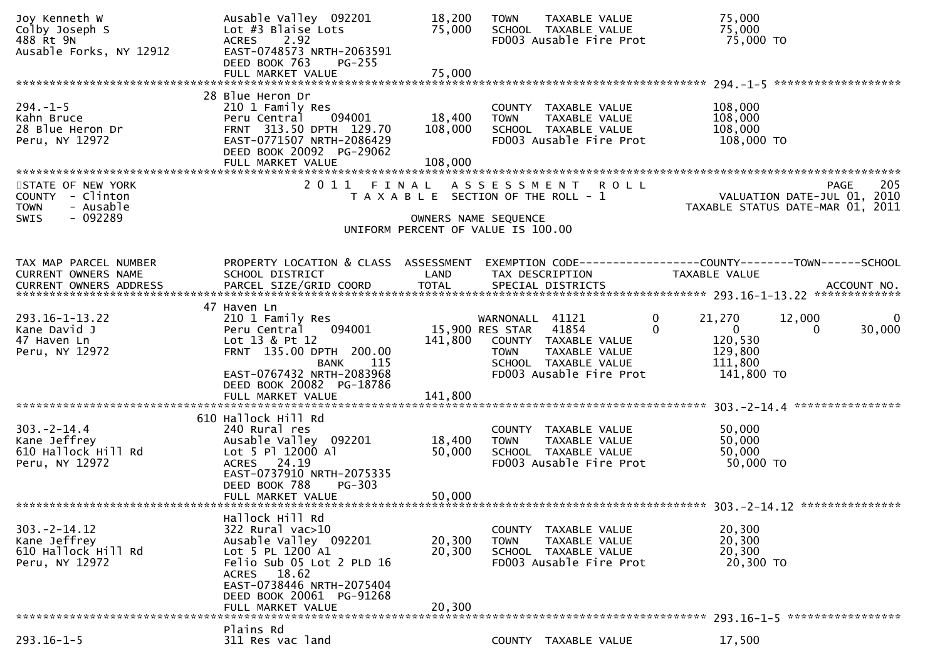| Joy Kenneth W<br>Colby Joseph S<br>488 Rt 9N<br>Ausable Forks, NY 12912                      | Ausable Valley 092201<br>Lot #3 Blaise Lots<br>2.92<br><b>ACRES</b><br>EAST-0748573 NRTH-2063591<br>DEED BOOK 763<br>$PG-255$<br>FULL MARKET VALUE                                                         | 18,200<br>75,000<br>75,000   | <b>TOWN</b><br>TAXABLE VALUE<br>SCHOOL TAXABLE VALUE<br>FD003 Ausable Fire Prot                                                                        | 75,000<br>75,000<br>75,000 TO                                                                                                      |
|----------------------------------------------------------------------------------------------|------------------------------------------------------------------------------------------------------------------------------------------------------------------------------------------------------------|------------------------------|--------------------------------------------------------------------------------------------------------------------------------------------------------|------------------------------------------------------------------------------------------------------------------------------------|
|                                                                                              |                                                                                                                                                                                                            |                              |                                                                                                                                                        |                                                                                                                                    |
| $294. - 1 - 5$<br>Kahn Bruce<br>28 Blue Heron Dr<br>Peru, NY 12972                           | 28 Blue Heron Dr<br>210 1 Family Res<br>Peru Central<br>094001<br>FRNT 313.50 DPTH 129.70<br>EAST-0771507 NRTH-2086429<br>DEED BOOK 20092 PG-29062<br>FULL MARKET VALUE                                    | 18,400<br>108,000<br>108,000 | COUNTY TAXABLE VALUE<br><b>TOWN</b><br>TAXABLE VALUE<br>SCHOOL TAXABLE VALUE<br>FD003 Ausable Fire Prot                                                | 108,000<br>108,000<br>108,000<br>108,000 TO                                                                                        |
| STATE OF NEW YORK<br>COUNTY - Clinton<br><b>TOWN</b><br>- Ausable<br>- 092289<br><b>SWIS</b> | 2011 FINAL                                                                                                                                                                                                 | OWNERS NAME SEQUENCE         | ASSESSMENT ROLL<br>T A X A B L E SECTION OF THE ROLL - 1<br>UNIFORM PERCENT OF VALUE IS 100.00                                                         | 205<br><b>PAGE</b><br>2010<br>VALUATION DATE-JUL 01,<br>TAXABLE STATUS DATE-MAR 01, 2011                                           |
| TAX MAP PARCEL NUMBER<br>CURRENT OWNERS NAME                                                 | PROPERTY LOCATION & CLASS ASSESSMENT<br>SCHOOL DISTRICT                                                                                                                                                    | LAND                         | TAX DESCRIPTION                                                                                                                                        | EXEMPTION CODE-----------------COUNTY-------TOWN------SCHOOL<br>TAXABLE VALUE                                                      |
| $293.16 - 1 - 13.22$<br>Kane David J<br>47 Haven Ln<br>Peru, NY 12972                        | 47 Haven Ln<br>210 1 Family Res<br>094001<br>Peru Central<br>Lot 13 & Pt 12<br>FRNT 135.00 DPTH 200.00<br>BANK<br>115<br>EAST-0767432 NRTH-2083968<br>DEED BOOK 20082 PG-18786<br>FULL MARKET VALUE        | 141,800<br>141,800           | WARNONALL 41121<br>15,900 RES STAR<br>41854<br>COUNTY TAXABLE VALUE<br>TAXABLE VALUE<br><b>TOWN</b><br>SCHOOL TAXABLE VALUE<br>FD003 Ausable Fire Prot | 21,270<br>0<br>12,000<br>$\Omega$<br>$\mathbf{0}$<br>$\Omega$<br>30,000<br>$\Omega$<br>120,530<br>129,800<br>111,800<br>141,800 TO |
|                                                                                              |                                                                                                                                                                                                            |                              |                                                                                                                                                        |                                                                                                                                    |
| $303 - 2 - 14.4$<br>Kane Jeffrey<br>610 Hallock Hill Rd<br>Peru, NY 12972                    | 610 Hallock Hill Rd<br>240 Rural res<br>Ausable Valley 092201<br>Lot 5 Pl 12000 Al<br>ACRES 24.19<br>EAST-0737910 NRTH-2075335<br>DEED BOOK 788<br>$PG-303$                                                | 18,400<br>50,000             | COUNTY TAXABLE VALUE<br>TAXABLE VALUE<br><b>TOWN</b><br>SCHOOL TAXABLE VALUE<br>FD003 Ausable Fire Prot                                                | 50,000<br>50,000<br>50,000<br>50,000 TO                                                                                            |
|                                                                                              | FULL MARKET VALUE                                                                                                                                                                                          | 50,000                       |                                                                                                                                                        |                                                                                                                                    |
| $303 - 2 - 14.12$<br>Kane Jeffrey<br>610 Hallock Hill Rd<br>Peru, NY 12972                   | Hallock Hill Rd<br>322 Rural vac>10<br>Ausable Valley 092201<br>Lot 5 PL 1200 A1<br>Felio Sub 05 Lot 2 PLD 16<br>ACRES 18.62<br>EAST-0738446 NRTH-2075404<br>DEED BOOK 20061 PG-91268<br>FULL MARKET VALUE | 20,300<br>20,300<br>20,300   | COUNTY TAXABLE VALUE<br>TAXABLE VALUE<br><b>TOWN</b><br>SCHOOL TAXABLE VALUE<br>FD003 Ausable Fire Prot                                                | 20,300<br>20,300<br>20,300<br>20,300 TO                                                                                            |
|                                                                                              |                                                                                                                                                                                                            |                              |                                                                                                                                                        |                                                                                                                                    |
| $293.16 - 1 - 5$                                                                             | Plains Rd<br>311 Res vac land                                                                                                                                                                              |                              | COUNTY TAXABLE VALUE                                                                                                                                   | 17,500                                                                                                                             |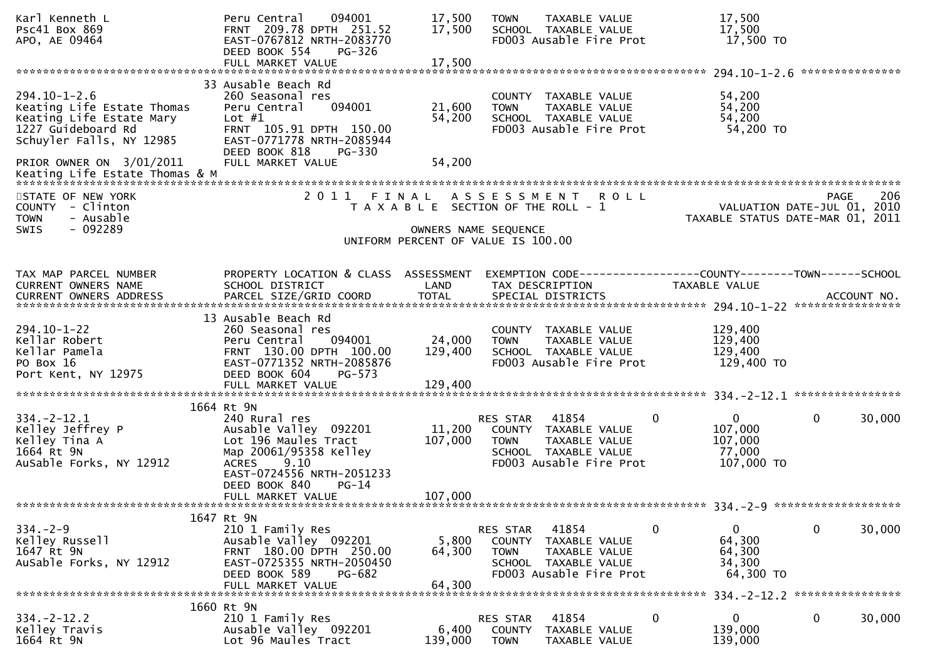| Karl Kenneth L<br><b>PSC41 Box 869</b><br>APO, AE 09464                                                                        | 094001<br>Peru Central<br>FRNT 209.78 DPTH 251.52<br>EAST-0767812 NRTH-2083770<br>DEED BOOK 554<br>PG-326                                                                   | 17,500<br>17,500             | <b>TOWN</b><br>TAXABLE VALUE<br>SCHOOL TAXABLE VALUE<br>FD003 Ausable Fire Prot                                                 | 17,500<br>17,500<br>17,500 TO                                               |                       |
|--------------------------------------------------------------------------------------------------------------------------------|-----------------------------------------------------------------------------------------------------------------------------------------------------------------------------|------------------------------|---------------------------------------------------------------------------------------------------------------------------------|-----------------------------------------------------------------------------|-----------------------|
|                                                                                                                                | 33 Ausable Beach Rd                                                                                                                                                         |                              |                                                                                                                                 |                                                                             |                       |
| $294.10 - 1 - 2.6$<br>Keating Life Estate Thomas<br>Keating Life Estate Mary<br>1227 Guideboard Rd<br>Schuyler Falls, NY 12985 | 260 Seasonal res<br>094001<br>Peru Central<br>Lot $#1$<br>FRNT 105.91 DPTH 150.00<br>EAST-0771778 NRTH-2085944<br>DEED BOOK 818<br>PG-330                                   | 21,600<br>54,200             | COUNTY TAXABLE VALUE<br>TAXABLE VALUE<br><b>TOWN</b><br>SCHOOL TAXABLE VALUE<br>FD003 Ausable Fire Prot                         | 54,200<br>54,200<br>54,200<br>54,200 TO                                     |                       |
| PRIOR OWNER ON 3/01/2011                                                                                                       | FULL MARKET VALUE                                                                                                                                                           | 54,200                       |                                                                                                                                 |                                                                             |                       |
| STATE OF NEW YORK<br>COUNTY - Clinton<br><b>TOWN</b><br>- Ausable                                                              | 2011                                                                                                                                                                        |                              | FINAL ASSESSMENT ROLL<br>T A X A B L E SECTION OF THE ROLL - 1                                                                  | VALUATION DATE-JUL 01, 2010<br>TAXABLE STATUS DATE-MAR 01, 2011             | -206<br><b>PAGE</b>   |
| - 092289<br>SWIS                                                                                                               |                                                                                                                                                                             |                              | OWNERS NAME SEQUENCE<br>UNIFORM PERCENT OF VALUE IS 100.00                                                                      |                                                                             |                       |
| TAX MAP PARCEL NUMBER<br>CURRENT OWNERS NAME                                                                                   | PROPERTY LOCATION & CLASS ASSESSMENT<br>SCHOOL DISTRICT                                                                                                                     | LAND                         | EXEMPTION CODE-----------------COUNTY--------TOWN------SCHOOL<br>TAX DESCRIPTION                                                | TAXABLE VALUE                                                               |                       |
| $294.10 - 1 - 22$<br>Kellar Robert<br>Kellar Pamela<br>PO Box 16<br>Port Kent, NY 12975                                        | 13 Ausable Beach Rd<br>260 Seasonal res<br>094001<br>Peru Central<br>FRNT 130.00 DPTH 100.00<br>EAST-0771352 NRTH-2085876<br>DEED BOOK 604<br>$PG-573$<br>FULL MARKET VALUE | 24,000<br>129,400<br>129,400 | COUNTY TAXABLE VALUE<br><b>TOWN</b><br>TAXABLE VALUE<br>SCHOOL TAXABLE VALUE<br>FD003 Ausable Fire Prot                         | 129,400<br>129,400<br>129,400<br>129,400 TO                                 |                       |
|                                                                                                                                | 1664 Rt 9N                                                                                                                                                                  |                              |                                                                                                                                 |                                                                             |                       |
| $334. -2 - 12.1$<br>Kelley Jeffrey P<br>Kelley Tina A<br>1664 Rt 9N<br>AuSable Forks, NY 12912                                 | 240 Rural res<br>Ausable Valley 092201<br>Lot 196 Maules Tract<br>Map 20061/95358 Kelley<br>9.10<br><b>ACRES</b><br>EAST-0724556 NRTH-2051233<br>DEED BOOK 840<br>$PG-14$   | 11,200<br>107,000            | RES STAR 41854<br>COUNTY TAXABLE VALUE<br><b>TOWN</b><br>TAXABLE VALUE<br>SCHOOL TAXABLE VALUE<br>FD003 Ausable Fire Prot       | $\overline{0}$<br>$\mathbf 0$<br>107,000<br>107,000<br>77,000<br>107,000 TO | $\mathbf 0$<br>30,000 |
|                                                                                                                                | FULL MARKET VALUE                                                                                                                                                           | 107,000                      |                                                                                                                                 |                                                                             |                       |
|                                                                                                                                | 1647 Rt 9N                                                                                                                                                                  |                              |                                                                                                                                 |                                                                             |                       |
| $334 - 2 - 9$<br>Kelley Russell<br>1647 Rt 9N<br>AuSable Forks, NY 12912                                                       | 210 1 Family Res<br>Ausable Valley 092201<br>FRNT 180.00 DPTH 250.00<br>EAST-0725355 NRTH-2050450<br>DEED BOOK 589<br>PG-682                                                | 5,800<br>64,300              | RES STAR<br>41854<br>COUNTY<br>TAXABLE VALUE<br><b>TOWN</b><br>TAXABLE VALUE<br>SCHOOL TAXABLE VALUE<br>FD003 Ausable Fire Prot | $\overline{0}$<br>0<br>64,300<br>64,300<br>34,300<br>64,300 TO              | $\mathbf 0$<br>30,000 |
|                                                                                                                                | FULL MARKET VALUE                                                                                                                                                           | 64,300                       |                                                                                                                                 |                                                                             |                       |
| $334. -2 - 12.2$<br>Kelley Travis<br>1664 Rt 9N                                                                                | 1660 Rt 9N<br>210 1 Family Res<br>Ausable Valley 092201<br>Lot 96 Maules Tract                                                                                              | 6,400<br>139,000             | 41854<br>RES STAR<br>COUNTY<br>TAXABLE VALUE<br><b>TOWN</b><br>TAXABLE VALUE                                                    | 0<br>0<br>139,000<br>139,000                                                | 0<br>30,000           |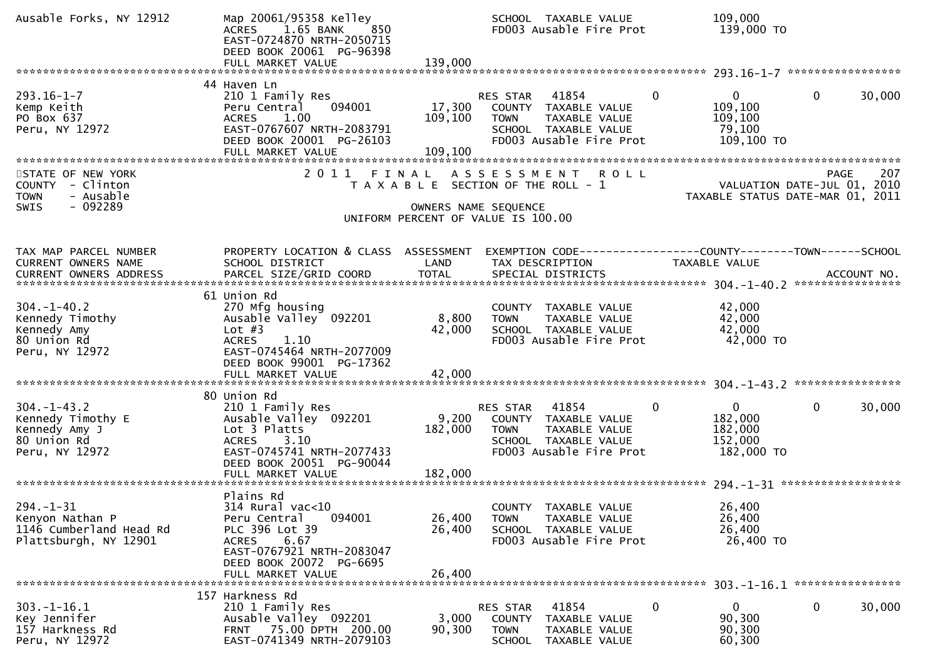| Ausable Forks, NY 12912                                                                 | Map 20061/95358 Kelley<br>ACRES 1.65 BANK<br>850<br>EAST-0724870 NRTH-2050715<br>DEED BOOK 20061 PG-96398<br>FULL MARKET VALUE                                                 | 139,000                                                    |                         | SCHOOL TAXABLE VALUE<br>FD003 Ausable Fire Prot                                                   |             | 109,000<br>139,000 TO                                           |             |        |
|-----------------------------------------------------------------------------------------|--------------------------------------------------------------------------------------------------------------------------------------------------------------------------------|------------------------------------------------------------|-------------------------|---------------------------------------------------------------------------------------------------|-------------|-----------------------------------------------------------------|-------------|--------|
|                                                                                         | 44 Haven Ln                                                                                                                                                                    |                                                            |                         |                                                                                                   |             |                                                                 |             |        |
| $293.16 - 1 - 7$<br>Kemp Keith<br>PO Box 637<br>Peru, NY 12972                          | 210 1 Family Res<br>094001<br>Peru Central<br>1.00<br><b>ACRES</b><br>EAST-0767607 NRTH-2083791<br>DEED BOOK 20001 PG-26103                                                    | 17,300<br>109,100                                          | RES STAR<br><b>TOWN</b> | 41854<br>COUNTY TAXABLE VALUE<br>TAXABLE VALUE<br>SCHOOL TAXABLE VALUE<br>FD003 Ausable Fire Prot | $\Omega$    | $\overline{0}$<br>109,100<br>109,100<br>79,100<br>109,100 TO    | $\mathbf 0$ | 30,000 |
| STATE OF NEW YORK                                                                       | 2011 FINAL ASSESSMENT                                                                                                                                                          |                                                            |                         |                                                                                                   | <b>ROLL</b> |                                                                 | PAGE        | 207    |
| COUNTY - Clinton<br>- Ausable<br><b>TOWN</b>                                            |                                                                                                                                                                                | T A X A B L E SECTION OF THE ROLL - 1                      |                         |                                                                                                   |             | VALUATION DATE-JUL 01, 2010<br>TAXABLE STATUS DATE-MAR 01, 2011 |             |        |
| $-092289$<br><b>SWIS</b>                                                                |                                                                                                                                                                                | OWNERS NAME SEQUENCE<br>UNIFORM PERCENT OF VALUE IS 100.00 |                         |                                                                                                   |             |                                                                 |             |        |
|                                                                                         |                                                                                                                                                                                |                                                            |                         |                                                                                                   |             |                                                                 |             |        |
| TAX MAP PARCEL NUMBER<br>CURRENT OWNERS NAME                                            | PROPERTY LOCATION & CLASS ASSESSMENT<br>SCHOOL DISTRICT                                                                                                                        | LAND                                                       |                         | TAX DESCRIPTION                                                                                   |             | <b>TAXABLE VALUE</b>                                            |             |        |
|                                                                                         | 61 Union Rd                                                                                                                                                                    |                                                            |                         |                                                                                                   |             |                                                                 |             |        |
| $304. - 1 - 40.2$                                                                       | 270 Mfg housing                                                                                                                                                                |                                                            |                         | COUNTY TAXABLE VALUE                                                                              |             | 42,000                                                          |             |        |
| Kennedy Timothy<br>Kennedy Amy                                                          | Ausable Valley <sup>-</sup> 092201<br>Lot $#3$                                                                                                                                 | 8,800<br>42,000                                            | <b>TOWN</b>             | TAXABLE VALUE<br>SCHOOL TAXABLE VALUE                                                             |             | 42,000<br>42,000                                                |             |        |
| 80 Union Rd<br>Peru, NY 12972                                                           | <b>ACRES</b><br>1.10<br>EAST-0745464 NRTH-2077009<br>DEED BOOK 99001 PG-17362<br>FULL MARKET VALUE                                                                             | 42,000                                                     |                         | FD003 Ausable Fire Prot                                                                           |             | 42,000 TO                                                       |             |        |
|                                                                                         |                                                                                                                                                                                |                                                            |                         |                                                                                                   |             |                                                                 |             |        |
| $304 - 1 - 43.2$<br>Kennedy Timothy E<br>Kennedy Amy J<br>80 Union Rd<br>Peru, NY 12972 | 80 Union Rd<br>210 1 Family Res<br>Ausable Valley 092201<br>Lot 3 Platts<br>3.10<br><b>ACRES</b><br>EAST-0745741 NRTH-2077433<br>DEED BOOK 20051 PG-90044<br>FULL MARKET VALUE | 9,200<br>182,000<br>182,000                                | RES STAR<br><b>TOWN</b> | 41854<br>COUNTY TAXABLE VALUE<br>TAXABLE VALUE<br>SCHOOL TAXABLE VALUE<br>FD003 Ausable Fire Prot | 0           | $\mathbf{0}$<br>182,000<br>182,000<br>152,000<br>182,000 TO     | 0           | 30,000 |
|                                                                                         | Plains Rd                                                                                                                                                                      |                                                            |                         |                                                                                                   |             |                                                                 |             |        |
| $294. - 1 - 31$<br>Kenyon Nathan P<br>1146 Cumberland Head Rd<br>Plattsburgh, NY 12901  | 314 Rural vac<10<br>094001<br>Peru Central<br>PLC 396 Lot 39<br>6.67<br>ACRES<br>EAST-0767921 NRTH-2083047<br>DEED BOOK 20072 PG-6695<br>FULL MARKET VALUE                     | 26,400<br>26,400<br>26,400                                 | <b>TOWN</b>             | COUNTY TAXABLE VALUE<br>TAXABLE VALUE<br>SCHOOL TAXABLE VALUE<br>FD003 Ausable Fire Prot          |             | 26,400<br>26,400<br>26,400<br>26,400 TO                         |             |        |
|                                                                                         | 157 Harkness Rd                                                                                                                                                                |                                                            |                         |                                                                                                   |             |                                                                 |             |        |
| $303. - 1 - 16.1$<br>Key Jennifer<br>157 Harkness Rd<br>Peru, NY 12972                  | 210 1 Family Res<br>Ausable Valley 092201<br>FRNT 75.00 DPTH 200.00<br>EAST-0741349 NRTH-2079103                                                                               | 3,000<br>90,300                                            | RES STAR<br><b>TOWN</b> | 41854<br>COUNTY TAXABLE VALUE<br>TAXABLE VALUE<br>SCHOOL TAXABLE VALUE                            | 0           | 0<br>90,300<br>90,300<br>60,300                                 | 0           | 30,000 |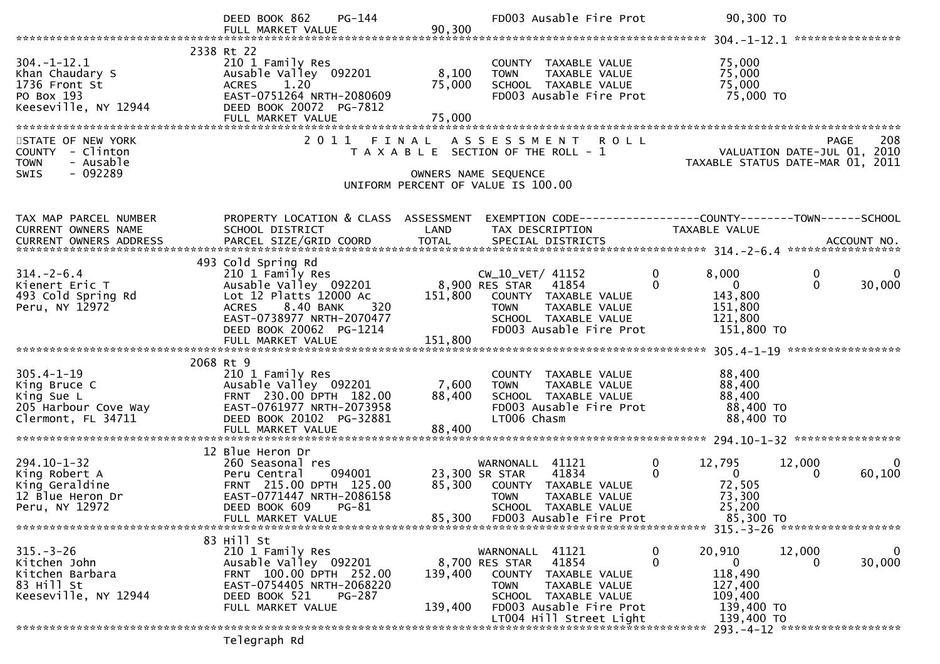|                                                                                              | PG-144<br>DEED BOOK 862<br>FULL MARKET VALUE                                                                                                                                                              | 90,300                    | FD003 Ausable Fire Prot                                                                                                                                             | 90,300 TO                                                                                                   |                                          |
|----------------------------------------------------------------------------------------------|-----------------------------------------------------------------------------------------------------------------------------------------------------------------------------------------------------------|---------------------------|---------------------------------------------------------------------------------------------------------------------------------------------------------------------|-------------------------------------------------------------------------------------------------------------|------------------------------------------|
|                                                                                              |                                                                                                                                                                                                           |                           |                                                                                                                                                                     |                                                                                                             |                                          |
| $304. - 1 - 12.1$<br>Khan Chaudary S<br>1736 Front St<br>PO Box 193<br>Keeseville, NY 12944  | 2338 Rt 22<br>210 1 Family Res<br>Ausable Valley 092201<br><b>ACRES</b><br>1.20<br>EAST-0751264 NRTH-2080609<br>DEED BOOK 20072 PG-7812<br>FULL MARKET VALUE                                              | 8,100<br>75,000<br>75,000 | COUNTY TAXABLE VALUE<br>TAXABLE VALUE<br><b>TOWN</b><br>SCHOOL TAXABLE VALUE<br>FD003 Ausable Fire Prot                                                             | 75,000<br>75,000<br>75,000<br>75,000 TO                                                                     |                                          |
| STATE OF NEW YORK<br>COUNTY - Clinton<br>- Ausable<br><b>TOWN</b>                            | 2011                                                                                                                                                                                                      |                           | FINAL ASSESSMENT ROLL<br>T A X A B L E SECTION OF THE ROLL - 1                                                                                                      | 200 PAGE<br>2010 VALUATION DATE-JUL<br>2011 TAXABLE STATUS DATE-MAR                                         | 208<br><b>PAGE</b>                       |
| $-092289$<br>SWIS                                                                            |                                                                                                                                                                                                           | OWNERS NAME SEQUENCE      | UNIFORM PERCENT OF VALUE IS 100.00                                                                                                                                  |                                                                                                             |                                          |
| TAX MAP PARCEL NUMBER<br>CURRENT OWNERS NAME                                                 | PROPERTY LOCATION & CLASS ASSESSMENT<br>SCHOOL DISTRICT                                                                                                                                                   | LAND                      | EXEMPTION CODE-----------------COUNTY--------TOWN------SCHOOL<br>TAX DESCRIPTION                                                                                    | TAXABLE VALUE                                                                                               |                                          |
| $314. - 2 - 6.4$<br>Kienert Eric T<br>493 Cold Spring Rd<br>Peru, NY 12972                   | 493 Cold Spring Rd<br>210 1 Family Res<br>Ausable Valley 092201 8,900 RES STAR<br>Lot 12 Platts 12000 Ac 151,800 COUNTY<br>ACRES 8.40 BANK<br>320<br>EAST-0738977 NRTH-2070477<br>DEED BOOK 20062 PG-1214 |                           | CW_10_VET/ 41152<br>41854<br>151,800 COUNTY TAXABLE VALUE<br>TAXABLE VALUE<br><b>TOWN</b><br>SCHOOL TAXABLE VALUE<br>FD003 Ausable Fire Prot                        | 0<br>8,000<br>$\mathbf{0}$<br>$\overline{\mathbf{0}}$<br>143,800<br>151,800<br>121,800<br>151,800 TO        | 0<br>0<br>$\Omega$<br>30,000             |
|                                                                                              | FULL MARKET VALUE                                                                                                                                                                                         | 151,800                   |                                                                                                                                                                     |                                                                                                             |                                          |
|                                                                                              |                                                                                                                                                                                                           |                           |                                                                                                                                                                     |                                                                                                             |                                          |
| $305.4 - 1 - 19$<br>King Bruce C<br>King Sue L<br>205 Harbour Cove Way<br>Clermont, FL 34711 | 2068 Rt 9<br>210 1 Family Res<br>Ausable Valley 092201<br>FRNT 230.00 DPTH 182.00<br>EAST-0761977 NRTH-2073958<br>DEED BOOK 20102 PG-32881                                                                | 7,600<br>88,400           | COUNTY TAXABLE VALUE<br><b>TOWN</b><br>TAXABLE VALUE<br>SCHOOL TAXABLE VALUE<br>FD003 Ausable Fire Prot<br>LT006 Chasm                                              | 88,400<br>88,400<br>88,400<br>88,400 TO<br>88,400 TO                                                        |                                          |
|                                                                                              | 12 Blue Heron Dr                                                                                                                                                                                          |                           |                                                                                                                                                                     |                                                                                                             |                                          |
| $294.10 - 1 - 32$<br>King Robert A<br>King Geraldine<br>12 Blue Heron Dr<br>Peru, NY 12972   | 260 Seasonal res<br>094001<br>Peru Central<br>FRNT 215.00 DPTH 125.00<br>EAST-0771447 NRTH-2086158<br>DEED BOOK 609 PG-81<br>FULL MARKET VALUE                                                            |                           | WARNONALL 41121<br>41834<br>23,300 SR STAR<br>85,300 COUNTY TAXABLE VALUE<br><b>TOWN</b><br>TAXABLE VALUE<br>SCHOOL TAXABLE VALUE<br>85,300 FD003 Ausable Fire Prot | $\mathbf 0$<br>12,795<br>$\mathbf{0}$<br>$\overline{\mathbf{0}}$<br>72,505<br>73,300<br>25,200<br>85,300 TO | 12,000<br>0<br>60,100<br>0               |
|                                                                                              |                                                                                                                                                                                                           |                           |                                                                                                                                                                     |                                                                                                             |                                          |
| $315. - 3 - 26$<br>Kitchen John<br>Kitchen Barbara<br>83 Hill St<br>Keeseville, NY 12944     | 83 Hill St<br>210 1 Family Res<br>Ausable Valley 092201<br>FRNT 100.00 DPTH 252.00<br>EAST-0754405 NRTH-2068220<br>DEED BOOK 521<br><b>PG-287</b><br>FULL MARKET VALUE                                    | 139,400<br>139,400        | WARNONALL 41121<br>8,700 RES STAR 41854<br>COUNTY TAXABLE VALUE<br><b>TOWN</b><br>TAXABLE VALUE<br>SCHOOL TAXABLE VALUE<br>FD003 Ausable Fire Prot                  | 20,910<br>0<br>$\Omega$<br>$\overline{0}$<br>118,490<br>127,400<br>109,400<br>139,400 TO                    | 12,000<br>$\bf{0}$<br>30,000<br>$\Omega$ |
|                                                                                              |                                                                                                                                                                                                           |                           | LT004 Hill Street Light                                                                                                                                             | 139,400 TO                                                                                                  |                                          |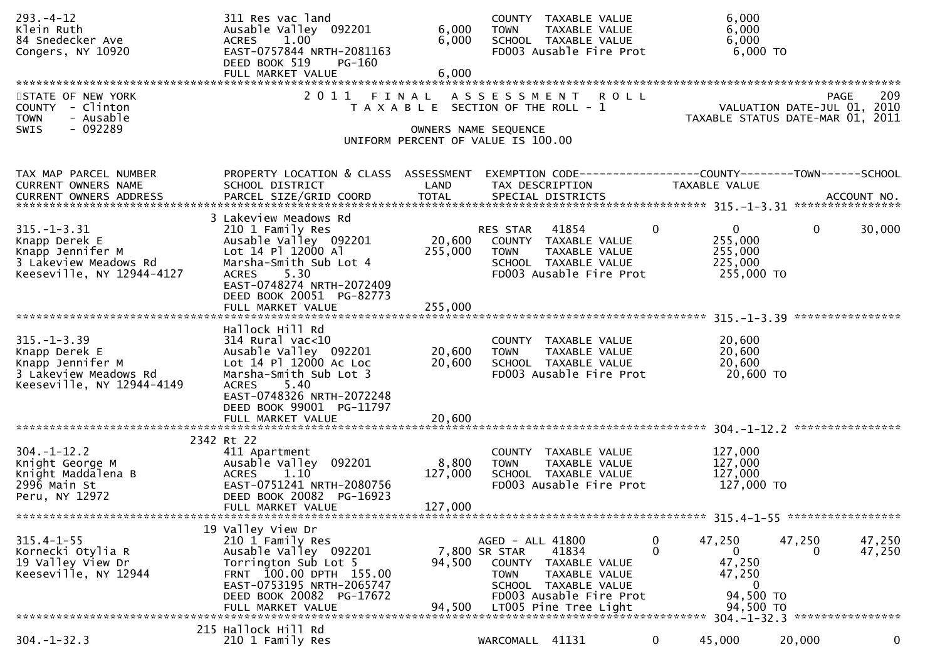| $293. -4 - 12$<br>Klein Ruth<br>84 Snedecker Ave<br>Congers, NY 10920                                                          | 311 Res vac land<br>Ausable Valley 092201<br>1.00<br><b>ACRES</b><br>EAST-0757844 NRTH-2081163<br>DEED BOOK 519<br>PG-160<br>FULL MARKET VALUE                                                         | 6,000<br>6,000<br>6,000     | COUNTY TAXABLE VALUE<br>TAXABLE VALUE<br><b>TOWN</b><br>SCHOOL TAXABLE VALUE<br>FD003 Ausable Fire Prot                                                    | 6,000<br>6,000<br>6,000                                                     | 6,000 TO                                                        |                    |
|--------------------------------------------------------------------------------------------------------------------------------|--------------------------------------------------------------------------------------------------------------------------------------------------------------------------------------------------------|-----------------------------|------------------------------------------------------------------------------------------------------------------------------------------------------------|-----------------------------------------------------------------------------|-----------------------------------------------------------------|--------------------|
| STATE OF NEW YORK<br>COUNTY - Clinton<br><b>TOWN</b><br>- Ausable<br>SWIS<br>$-092289$                                         |                                                                                                                                                                                                        |                             | 2011 FINAL ASSESSMENT ROLL<br>T A X A B L E SECTION OF THE ROLL - 1<br>OWNERS NAME SEQUENCE<br>UNIFORM PERCENT OF VALUE IS 100.00                          |                                                                             | VALUATION DATE-JUL 01, 2010<br>TAXABLE STATUS DATE-MAR 01, 2011 | 209<br><b>PAGE</b> |
| TAX MAP PARCEL NUMBER<br>CURRENT OWNERS NAME                                                                                   | PROPERTY LOCATION & CLASS ASSESSMENT<br>SCHOOL DISTRICT                                                                                                                                                | LAND                        | EXEMPTION CODE------------------COUNTY--------TOWN------SCHOOL<br>TAX DESCRIPTION                                                                          | TAXABLE VALUE                                                               |                                                                 |                    |
| $315. - 1 - 3.31$<br>Knapp Derek E<br>Knapp Jennifer M<br>3 Lakeview Meadows Rd<br>Keeseville, NY 12944-4127                   | 3 Lakeview Meadows Rd<br>210 1 Family Res<br>Ausable Valley 092201<br>Lot 14 Pl 12000 Al<br>Marsha-Smith Sub Lot 4<br>5.30<br><b>ACRES</b><br>EAST-0748274 NRTH-2072409<br>DEED BOOK 20051 PG-82773    | 20,600<br>255,000           | RES STAR<br>41854<br>COUNTY TAXABLE VALUE<br>TAXABLE VALUE<br>TOWN<br>SCHOOL TAXABLE VALUE<br>FD003 Ausable Fire Prot                                      | $\mathbf{0}$<br>$\mathbf{0}$<br>255,000<br>255,000<br>225,000<br>255,000 TO | $\mathbf{0}$                                                    | 30,000             |
| $315. - 1 - 3.39$<br>Knapp Derek E<br>Knapp Jennifer M<br>3 Lakeview Meadows Rd<br>Keeseville, NY 12944-4149                   | Hallock Hill Rd<br>$314$ Rural vac< $10$<br>Ausable Valley 092201<br>Lot 14 Pl 12000 Ac Loc<br>Marsha-Smith Sub Lot 3<br>5.40<br><b>ACRES</b><br>EAST-0748326 NRTH-2072248<br>DEED BOOK 99001 PG-11797 | 20,600<br>20,600            | COUNTY TAXABLE VALUE<br>TAXABLE VALUE<br><b>TOWN</b><br>SCHOOL TAXABLE VALUE<br>FD003 Ausable Fire Prot                                                    | 20,600<br>20,600<br>20,600                                                  | 20,600 TO                                                       |                    |
|                                                                                                                                | FULL MARKET VALUE                                                                                                                                                                                      | 20,600                      |                                                                                                                                                            |                                                                             |                                                                 |                    |
| $304. - 1 - 12.2$<br>Knight George M<br>Knight Maddalena B<br>2996 Main St<br>Peru, NY 12972<br>****************************** | 2342 Rt 22<br>411 Apartment<br>Ausable Valley 092201<br>1.10<br><b>ACRES</b><br>EAST-0751241 NRTH-2080756<br>DEED BOOK 20082 PG-16923<br>FULL MARKET VALUE                                             | 8,800<br>127,000<br>127,000 | COUNTY TAXABLE VALUE<br>TAXABLE VALUE<br><b>TOWN</b><br>SCHOOL TAXABLE VALUE<br>FD003 Ausable Fire Prot                                                    | 127,000<br>127,000<br>127,000<br>127,000 TO                                 |                                                                 |                    |
| $315.4 - 1 - 55$                                                                                                               | 19 Valley View Dr<br>210 1 Family Res                                                                                                                                                                  |                             | AGED - ALL 41800                                                                                                                                           | 47,250<br>$\bf{0}$                                                          | 47,250                                                          | 47,250             |
| Kornecki Otylia R<br>19 Valley View Dr<br>Keeseville, NY 12944                                                                 | Ausable Valley 092201<br>Torrington Sub Lot 5<br>FRNT 100.00 DPTH 155.00<br>EAST-0753195 NRTH-2065747<br>DEED BOOK 20082 PG-17672<br>FULL MARKET VALUE                                                 | 94,500<br>94,500            | 7,800 SR STAR<br>41834<br>COUNTY TAXABLE VALUE<br>TAXABLE VALUE<br><b>TOWN</b><br>SCHOOL TAXABLE VALUE<br>FD003 Ausable Fire Prot<br>LT005 Pine Tree Light | $\Omega$<br>$\mathbf{0}$<br>47,250<br>47,250                                | 0<br>$\mathbf 0$<br>94,500 TO<br>94,500 TO                      | 47,250             |
|                                                                                                                                | 215 Hallock Hill Rd                                                                                                                                                                                    |                             |                                                                                                                                                            |                                                                             |                                                                 |                    |
| $304. - 1 - 32.3$                                                                                                              | 210 1 Family Res                                                                                                                                                                                       |                             | WARCOMALL 41131                                                                                                                                            | 0<br>45,000                                                                 | 20,000                                                          | 0                  |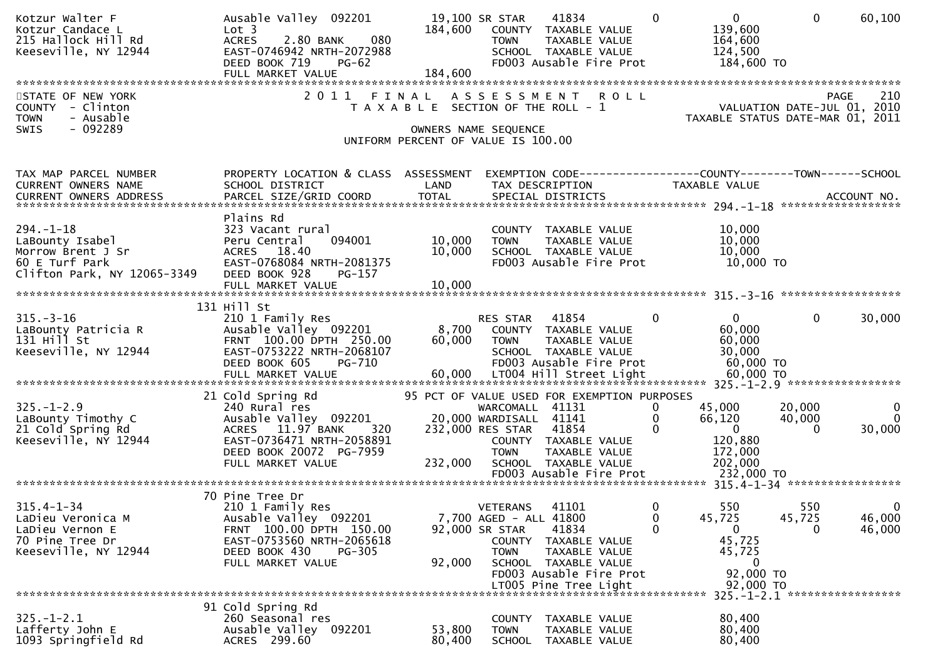| Kotzur Walter F<br>Kotzur Candace L<br>215 Hallock Hill Rd<br>Keeseville, NY 12944                       | Ausable Valley 092201<br>Lot <sub>3</sub><br><b>ACRES</b><br>2.80 BANK<br>080<br>EAST-0746942 NRTH-2072988<br>DEED BOOK 719<br>$PG-62$                                      | 184,600                    | 19,100 SR STAR<br>COUNTY TAXABLE VALUE<br><b>TOWN</b><br>SCHOOL TAXABLE VALUE                                                                                                     | 41834<br>TAXABLE VALUE<br>FD003 Ausable Fire Prot                           | $\overline{0}$<br>$\Omega$<br>139,600<br>164,600<br>124,500<br>184,600 TO                               | 60,100<br>$\Omega$                                                                    |
|----------------------------------------------------------------------------------------------------------|-----------------------------------------------------------------------------------------------------------------------------------------------------------------------------|----------------------------|-----------------------------------------------------------------------------------------------------------------------------------------------------------------------------------|-----------------------------------------------------------------------------|---------------------------------------------------------------------------------------------------------|---------------------------------------------------------------------------------------|
| STATE OF NEW YORK<br>COUNTY - Clinton<br><b>TOWN</b><br>- Ausable<br>- 092289<br><b>SWIS</b>             | 2011 FINAL ASSESSMENT ROLL                                                                                                                                                  |                            | T A X A B L E SECTION OF THE ROLL - 1<br>OWNERS NAME SEQUENCE<br>UNIFORM PERCENT OF VALUE IS 100.00                                                                               |                                                                             |                                                                                                         | 210<br><b>PAGE</b><br>VALUATION DATE-JUL 01, 2010<br>TAXABLE STATUS DATE-MAR 01, 2011 |
| TAX MAP PARCEL NUMBER<br>CURRENT OWNERS NAME<br>CURRENT OWNERS ADDRESS                                   | PROPERTY LOCATION & CLASS ASSESSMENT<br>SCHOOL DISTRICT                                                                                                                     | LAND                       | TAX DESCRIPTION                                                                                                                                                                   |                                                                             | TAXABLE VALUE                                                                                           |                                                                                       |
| $294. - 1 - 18$<br>LaBounty Isabel<br>Morrow Brent J Sr<br>60 E Turf Park<br>Clifton Park, NY 12065-3349 | Plains Rd<br>323 Vacant rural<br>094001<br>Peru Central<br>ACRES 18.40<br>EAST-0768084 NRTH-2081375<br>DEED BOOK 928<br>PG-157<br>FULL MARKET VALUE                         | 10,000<br>10,000<br>10,000 | COUNTY TAXABLE VALUE<br><b>TOWN</b><br>SCHOOL TAXABLE VALUE                                                                                                                       | TAXABLE VALUE<br>FD003 Ausable Fire Prot                                    | 10,000<br>10,000<br>10,000<br>10,000 TO                                                                 |                                                                                       |
| $315. - 3 - 16$<br>LaBounty Patricia R<br>131 Hill St<br>Keeseville, NY 12944                            | 131 Hill St<br>210 1 Family Res<br>Ausable Valley 092201<br>FRNT 100.00 DPTH 250.00<br>EAST-0753222 NRTH-2068107<br>DEED BOOK 605<br>PG-710                                 | 8,700<br>60,000            | RES STAR<br>COUNTY TAXABLE VALUE<br><b>TOWN</b><br>SCHOOL TAXABLE VALUE                                                                                                           | 41854<br>TAXABLE VALUE<br>FD003 Ausable Fire Prot                           | $\Omega$<br>$\overline{0}$<br>60,000<br>60,000<br>30,000<br>60,000 TO                                   | $\mathbf{0}$<br>30,000                                                                |
| $325. - 1 - 2.9$<br>LaBounty Timothy C<br>21 Cold Spring Rd<br>Keeseville, NY 12944                      | 21 Cold Spring Rd<br>240 Rural res<br>Ausable Valley 092201<br>ACRES 11.97 BANK<br>320<br>EAST-0736471 NRTH-2058891<br>DEED BOOK 20072 PG-7959<br>FULL MARKET VALUE         | 232,000                    | 95 PCT OF VALUE USED FOR EXEMPTION PURPOSES<br>WARCOMALL 41131<br>20,000 WARDISALL 41141<br>232,000 RES STAR 41854<br>COUNTY TAXABLE VALUE<br><b>TOWN</b><br>SCHOOL TAXABLE VALUE | TAXABLE VALUE<br>FD003 Ausable Fire Prot                                    | 0<br>45,000<br>0<br>66,120<br>$\Omega$<br>$\overline{0}$<br>120,880<br>172,000<br>202,000<br>232,000 TO | $\mathbf 0$<br>20,000<br>40,000<br>$\mathbf{0}$<br>30,000<br>$\Omega$                 |
| $315.4 - 1 - 34$<br>LaDieu Veronica M<br>LaDieu Vernon E<br>70 Pine Tree Dr<br>Keeseville, NY 12944      | 70 Pine Tree Dr<br>210 1 Family Res<br>Ausable Valley 092201<br>FRNT 100.00 DPTH 150.00<br>EAST-0753560 NRTH-2065618<br>DEED BOOK 430<br><b>PG-305</b><br>FULL MARKET VALUE | 92,000                     | <b>VETERANS</b><br>7,700 AGED - ALL 41800<br>92,000 SR STAR<br>COUNTY<br><b>TOWN</b><br>SCHOOL TAXABLE VALUE<br>LT005 Pine Tree Light                                             | 41101<br>41834<br>TAXABLE VALUE<br>TAXABLE VALUE<br>FD003 Ausable Fire Prot | 550<br>0<br>0<br>45,725<br>$\Omega$<br>0<br>45,725<br>45,725<br>0<br>92,000 TO<br>92,000 TO             | 550<br>$\mathbf 0$<br>45,725<br>46,000<br>46,000<br>0                                 |
| $325. - 1 - 2.1$<br>Lafferty John E<br>1093 Springfield Rd                                               | 91 Cold Spring Rd<br>260 Seasonal res<br>Ausable Valley 092201<br>ACRES 299.60                                                                                              | 53,800<br>80,400           | <b>COUNTY</b><br><b>TOWN</b><br><b>SCHOOL</b>                                                                                                                                     | TAXABLE VALUE<br>TAXABLE VALUE<br>TAXABLE VALUE                             | 80,400<br>80,400<br>80,400                                                                              | 325. -1-2.1 ******************                                                        |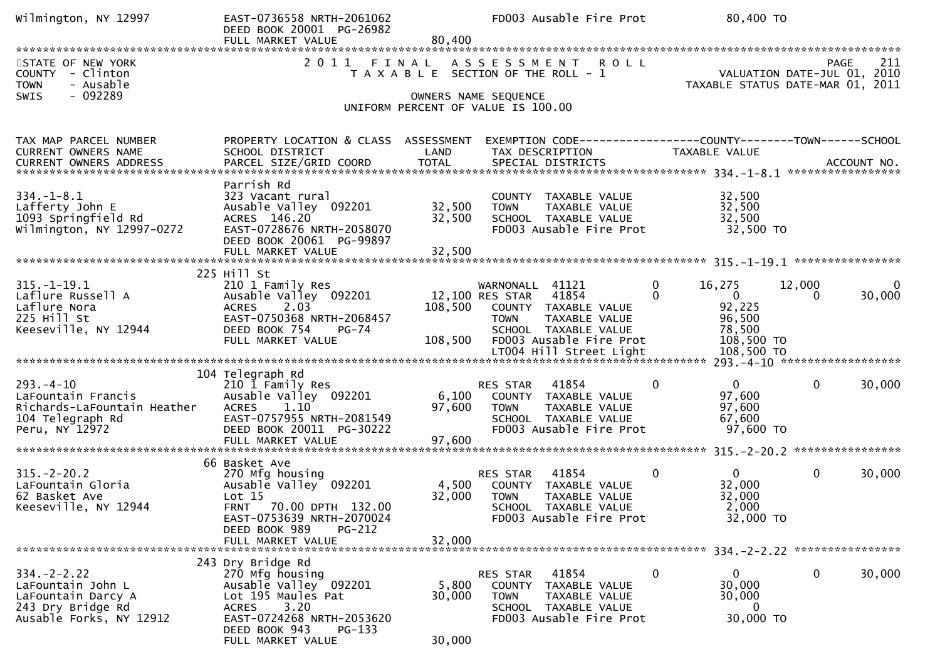| Wilmington, NY 12997                                                                                        | EAST-0736558 NRTH-2061062<br>DEED BOOK 20001 PG-26982<br>FULL MARKET VALUE                                                                                                               | 80,400                     | FD003 Ausable Fire Prot                                                                                                                                | 80,400 TO                                                                         |                                                                                       |
|-------------------------------------------------------------------------------------------------------------|------------------------------------------------------------------------------------------------------------------------------------------------------------------------------------------|----------------------------|--------------------------------------------------------------------------------------------------------------------------------------------------------|-----------------------------------------------------------------------------------|---------------------------------------------------------------------------------------|
| STATE OF NEW YORK<br>COUNTY - Clinton<br>- Ausable<br><b>TOWN</b><br>SWIS<br>$-092289$                      |                                                                                                                                                                                          |                            | 2011 FINAL ASSESSMENT ROLL<br>T A X A B L E SECTION OF THE ROLL - 1<br>OWNERS NAME SEQUENCE                                                            |                                                                                   | 211<br><b>PAGE</b><br>VALUATION DATE-JUL 01, 2010<br>TAXABLE STATUS DATE-MAR 01, 2011 |
|                                                                                                             |                                                                                                                                                                                          |                            | UNIFORM PERCENT OF VALUE IS 100.00                                                                                                                     |                                                                                   |                                                                                       |
| TAX MAP PARCEL NUMBER<br>CURRENT OWNERS NAME                                                                | PROPERTY LOCATION & CLASS ASSESSMENT<br>SCHOOL DISTRICT                                                                                                                                  | LAND                       | EXEMPTION CODE-----------------COUNTY-------TOWN------SCHOOL<br>TAX DESCRIPTION                                                                        | TAXABLE VALUE                                                                     |                                                                                       |
| $334. - 1 - 8.1$<br>Lafferty John E<br>1093 Springfield Rd<br>Wilmington, NY 12997-0272                     | Parrish Rd<br>323 Vacant rural<br>Ausable Valley 092201<br>ACRES 146.20<br>EAST-0728676 NRTH-2058070<br>DEED BOOK 20061 PG-99897<br>FULL MARKET VALUE                                    | 32,500<br>32,500<br>32,500 | COUNTY TAXABLE VALUE<br><b>TOWN</b><br>TAXABLE VALUE<br>SCHOOL TAXABLE VALUE<br>FD003 Ausable Fire Prot                                                | 32,500<br>32,500<br>32,500<br>32,500 TO                                           |                                                                                       |
|                                                                                                             | 225 Hill St                                                                                                                                                                              |                            |                                                                                                                                                        |                                                                                   |                                                                                       |
| $315. - 1 - 19.1$<br>Laflure Russell A<br>Laflure Nora<br>225 Hill St<br>Keeseville, NY 12944               | 210 1 Family Res<br>Ausable Valley 092201<br><b>ACRES</b><br>2.03<br>EAST-0750368 NRTH-2068457<br>DEED BOOK 754<br>PG-74<br>FULL MARKET VALUE                                            | 108,500<br>108,500         | WARNONALL 41121<br>41854<br>12,100 RES STAR<br>COUNTY TAXABLE VALUE<br>TAXABLE VALUE<br><b>TOWN</b><br>SCHOOL TAXABLE VALUE<br>FD003 Ausable Fire Prot | 0<br>16,275<br>0<br>$\overline{0}$<br>92,225<br>96,500<br>78,500<br>108,500 TO    | 12,000<br>30,000<br>$\Omega$                                                          |
|                                                                                                             | 104 Telegraph Rd                                                                                                                                                                         |                            |                                                                                                                                                        |                                                                                   |                                                                                       |
| $293. -4 - 10$<br>LaFountain Francis<br>Richards-LaFountain Heather<br>104 Telegraph Rd<br>Peru, NY 12972   | 210 I Family Res<br>Ausable Valley 092201<br>1.10<br><b>ACRES</b><br>EAST-0757955 NRTH-2081549<br>DEED BOOK 20011 PG-30222<br>FULL MARKET VALUE                                          | 6,100<br>97,600<br>97,600  | 41854<br>RES STAR<br>COUNTY TAXABLE VALUE<br><b>TOWN</b><br>TAXABLE VALUE<br>SCHOOL TAXABLE VALUE<br>FD003 Ausable Fire Prot                           | $\mathbf{0}$<br>0<br>97,600<br>97,600<br>67,600<br>97,600 TO                      | $\mathbf{0}$<br>30,000                                                                |
|                                                                                                             | 66 Basket Ave                                                                                                                                                                            |                            |                                                                                                                                                        |                                                                                   |                                                                                       |
| $315. - 2 - 20.2$<br>LaFountain Gloria<br>62 Basket Ave<br>Keeseville, NY 12944                             | 270 Mfg housing<br>Ausable Valley 092201<br>Lot 15<br>FRNT 70.00 DPTH 132.00<br>EAST-0753639 NRTH-2070024<br>DEED BOOK 989<br><b>PG-212</b>                                              | 4,500<br>32,000            | RES STAR<br>41854<br>COUNTY TAXABLE VALUE<br><b>TOWN</b><br>TAXABLE VALUE<br>SCHOOL TAXABLE VALUE<br>FD003 Ausable Fire Prot                           | $\mathbf{0}$<br>$\overline{0}$<br>32,000<br>32,000<br>2,000<br>32,000 TO          | 0<br>30,000                                                                           |
|                                                                                                             | FULL MARKET VALUE                                                                                                                                                                        | 32,000                     |                                                                                                                                                        |                                                                                   |                                                                                       |
| $334. -2 - 2.22$<br>LaFountain John L<br>LaFountain Darcy A<br>243 Dry Bridge Rd<br>Ausable Forks, NY 12912 | 243 Dry Bridge Rd<br>270 Mfg housing<br>Ausable Valley 092201<br>Lot 195 Maules Pat<br>3.20<br><b>ACRES</b><br>EAST-0724268 NRTH-2053620<br>DEED BOOK 943<br>PG-133<br>FULL MARKET VALUE | 5,800<br>30,000<br>30,000  | 41854<br>RES STAR<br>COUNTY<br>TAXABLE VALUE<br><b>TOWN</b><br>TAXABLE VALUE<br>SCHOOL TAXABLE VALUE<br>FD003 Ausable Fire Prot                        | $\mathbf{0}$<br>$\overline{0}$<br>30,000<br>30,000<br>$\overline{0}$<br>30,000 TO | 0<br>30,000                                                                           |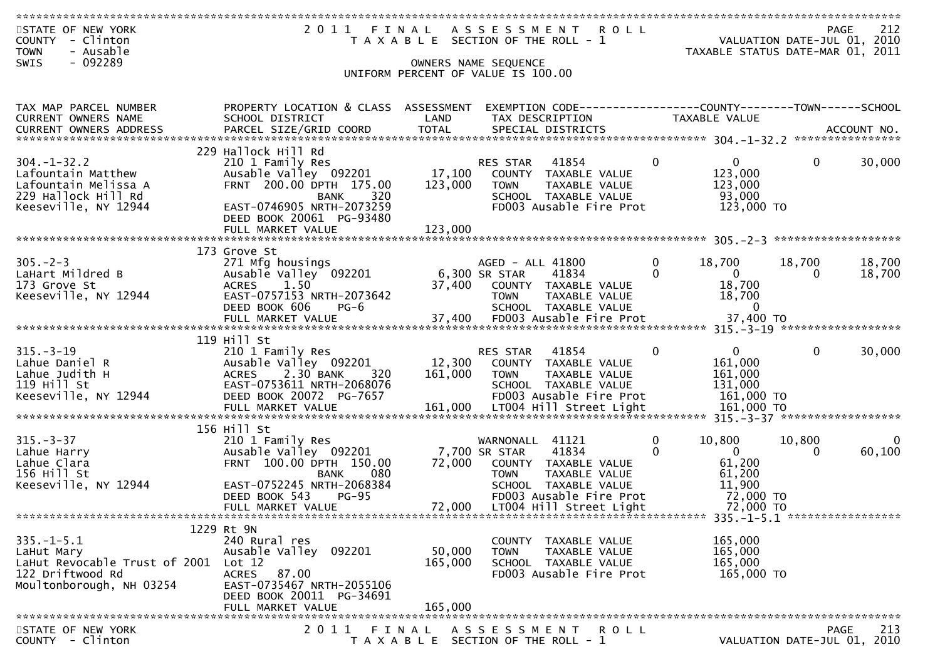| STATE OF NEW YORK<br>COUNTY - Clinton<br>- Ausable<br><b>TOWN</b>                                               | 2011 FINAL                                                                                                                | T A X A B L E SECTION OF THE ROLL - 1          |                                                  | ASSESSMENT ROLL                                                                                   |                          | TAXABLE STATUS DATE-MAR 01, 2011                             |                    | 212<br><b>PAGE</b><br>VALUATION DATE-JUL 01, 2010 |
|-----------------------------------------------------------------------------------------------------------------|---------------------------------------------------------------------------------------------------------------------------|------------------------------------------------|--------------------------------------------------|---------------------------------------------------------------------------------------------------|--------------------------|--------------------------------------------------------------|--------------------|---------------------------------------------------|
| - 092289<br><b>SWIS</b>                                                                                         |                                                                                                                           | UNIFORM PERCENT OF VALUE IS 100.00             | OWNERS NAME SEQUENCE                             |                                                                                                   |                          |                                                              |                    |                                                   |
| TAX MAP PARCEL NUMBER<br><b>CURRENT OWNERS NAME</b><br><b>CURRENT OWNERS ADDRESS</b>                            | PROPERTY LOCATION & CLASS ASSESSMENT<br>SCHOOL DISTRICT<br>PARCEL SIZE/GRID COORD                                         | LAND<br><b>TOTAL</b>                           | TAX DESCRIPTION                                  | EXEMPTION CODE------------------COUNTY--------TOWN------SCHOOL<br>SPECIAL DISTRICTS               |                          | TAXABLE VALUE                                                |                    | ACCOUNT NO.                                       |
|                                                                                                                 | 229 Hallock Hill Rd                                                                                                       |                                                |                                                  |                                                                                                   |                          |                                                              |                    |                                                   |
| $304. - 1 - 32.2$<br>Lafountain Matthew<br>Lafountain Melissa A<br>229 Hallock Hill Rd<br>Keeseville, NY 12944  | 210 1 Family Res<br>Ausable Valley 092201<br>FRNT 200.00 DPTH 175.00<br>320<br>BANK<br>EAST-0746905 NRTH-2073259          | 17,100<br>123,000                              | RES STAR<br><b>TOWN</b>                          | 41854<br>COUNTY TAXABLE VALUE<br>TAXABLE VALUE<br>SCHOOL TAXABLE VALUE<br>FD003 Ausable Fire Prot | $\mathbf{0}$             | $\overline{0}$<br>123,000<br>123,000<br>93,000<br>123,000 TO | $\mathbf{0}$       | 30,000                                            |
|                                                                                                                 | DEED BOOK 20061 PG-93480<br>FULL MARKET VALUE                                                                             | 123,000                                        |                                                  |                                                                                                   |                          |                                                              |                    |                                                   |
|                                                                                                                 | 173 Grove St                                                                                                              |                                                |                                                  |                                                                                                   |                          |                                                              |                    |                                                   |
| $305. -2 - 3$<br>LaHart Mildred B<br>173 Grove St<br>Keeseville, NY 12944                                       | 271 Mfg housings<br>Ausable Valley 092201<br><b>ACRES</b><br>1.50<br>EAST-0757153 NRTH-2073642<br>DEED BOOK 606<br>$PG-6$ | 37,400                                         | AGED - ALL 41800<br>6,300 SR STAR<br><b>TOWN</b> | 41834<br>COUNTY TAXABLE VALUE<br>TAXABLE VALUE<br>SCHOOL TAXABLE VALUE                            | $\mathbf{0}$<br>$\Omega$ | 18,700<br>$\mathbf{0}$<br>18,700<br>18,700<br>$\mathbf{0}$   | 18,700<br>$\Omega$ | 18,700<br>18,700                                  |
|                                                                                                                 | FULL MARKET VALUE                                                                                                         | 37,400                                         |                                                  | FD003 Ausable Fire Prot                                                                           |                          | 37,400 TO                                                    |                    |                                                   |
| $315. - 3 - 19$                                                                                                 | 119 Hill St<br>210 1 Family Res                                                                                           |                                                | RES STAR                                         | 41854                                                                                             | $\mathbf{0}$             | $\mathbf{0}$                                                 | $\mathbf{0}$       | 30,000                                            |
| Lahue Daniel R<br>Lahue Judith H<br>119 Hill St                                                                 | Ausable Valley 092201<br>2.30 BANK<br><b>ACRES</b><br>320<br>EAST-0753611 NRTH-2068076                                    | 12,300<br>161,000                              | <b>TOWN</b>                                      | COUNTY TAXABLE VALUE<br>TAXABLE VALUE<br>SCHOOL TAXABLE VALUE                                     |                          | 161,000<br>161,000<br>131,000                                |                    |                                                   |
| Keeseville, NY 12944                                                                                            | DEED BOOK 20072 PG-7657                                                                                                   |                                                |                                                  | FD003 Ausable Fire Prot                                                                           |                          | 161,000 TO                                                   |                    |                                                   |
|                                                                                                                 |                                                                                                                           |                                                |                                                  |                                                                                                   |                          |                                                              |                    |                                                   |
| $315. - 3 - 37$<br>Lahue Harry<br>Lahue Clara<br>156 Hill St                                                    | 156 Hill St<br>210 1 Family Res<br>Ausable Valley 092201<br>FRNT 100.00 DPTH 150.00<br>080<br><b>BANK</b>                 | 72,000                                         | WARNONALL<br>7,700 SR STAR<br><b>TOWN</b>        | 41121<br>41834<br>COUNTY TAXABLE VALUE<br>TAXABLE VALUE                                           | $\mathbf{0}$<br>$\Omega$ | 10,800<br>$\mathbf{0}$<br>61,200<br>61,200                   | 10,800<br>0        | 60,100                                            |
| Keeseville, NY 12944                                                                                            | EAST-0752245 NRTH-2068384<br>DEED BOOK 543<br>$PG-95$<br>FULL MARKET VALUE                                                | 72,000                                         |                                                  | SCHOOL TAXABLE VALUE<br>FD003 Ausable Fire Prot<br>LT004 Hill Street Light                        |                          | 11,900<br>72,000 TO<br>72,000 TO                             |                    |                                                   |
|                                                                                                                 |                                                                                                                           |                                                |                                                  |                                                                                                   |                          |                                                              |                    |                                                   |
| $335. - 1 - 5.1$<br>LaHut Mary<br>LaHut Revocable Trust of 2001<br>122 Driftwood Rd<br>Moultonborough, NH 03254 | 1229 Rt 9N<br>240 Rural res<br>Ausable Valley 092201<br>Lot 12<br>ACRES 87.00<br>EAST-0735467 NRTH-2055106                | 50,000<br>165,000                              | <b>TOWN</b>                                      | COUNTY TAXABLE VALUE<br>TAXABLE VALUE<br>SCHOOL TAXABLE VALUE<br>FD003 Ausable Fire Prot          |                          | 165,000<br>165,000<br>165,000<br>165,000 TO                  |                    |                                                   |
|                                                                                                                 | DEED BOOK 20011 PG-34691                                                                                                  |                                                |                                                  |                                                                                                   |                          |                                                              |                    |                                                   |
|                                                                                                                 | FULL MARKET VALUE                                                                                                         | 165,000                                        |                                                  |                                                                                                   |                          |                                                              |                    |                                                   |
| STATE OF NEW YORK<br>COUNTY - Clinton                                                                           | 2011                                                                                                                      | FINAL<br>T A X A B L E SECTION OF THE ROLL - 1 | A S S E S S M E N T                              | R O L L                                                                                           |                          |                                                              |                    | 213<br><b>PAGE</b><br>VALUATION DATE-JUL 01, 2010 |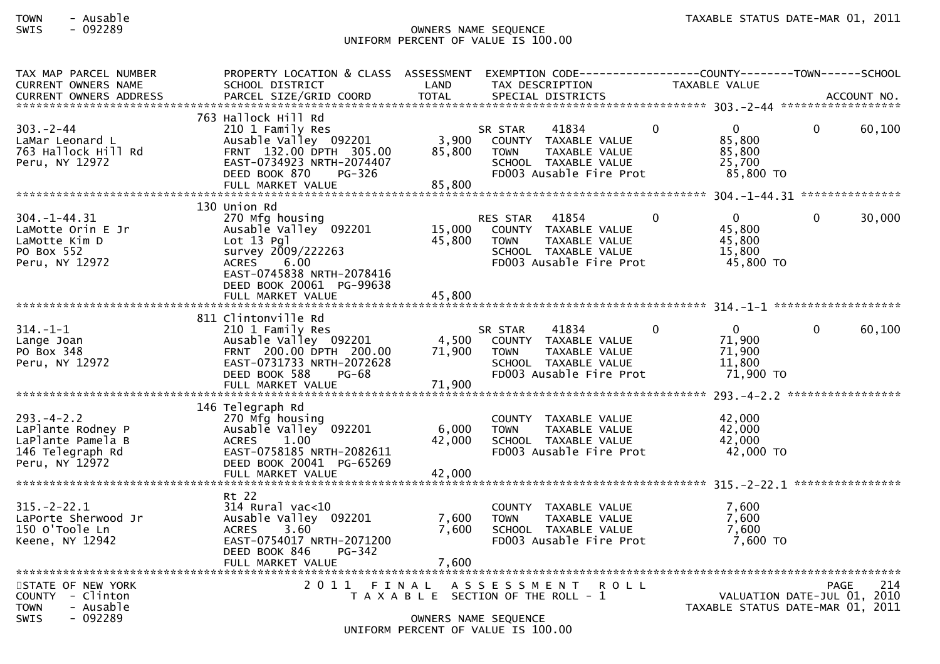## TOWN - Ausable TAXABLE STATUS DATE-MAR 01, 2011SWIS - 092289 OWNERS NAME SEQUENCE UNIFORM PERCENT OF VALUE IS 100.00

| TAX MAP PARCEL NUMBER<br><b>CURRENT OWNERS NAME</b>                                              | PROPERTY LOCATION & CLASS ASSESSMENT<br>SCHOOL DISTRICT                                                                                                                     | LAND                      | EXEMPTION CODE-----------------COUNTY--------TOWN------SCHOOL<br>TAX DESCRIPTION                                                              | TAXABLE VALUE                                                             |                                            |        |
|--------------------------------------------------------------------------------------------------|-----------------------------------------------------------------------------------------------------------------------------------------------------------------------------|---------------------------|-----------------------------------------------------------------------------------------------------------------------------------------------|---------------------------------------------------------------------------|--------------------------------------------|--------|
| $303 - 2 - 44$<br>LaMar Leonard L<br>763 Hallock Hill Rd<br>Peru, NY 12972                       | 763 Hallock Hill Rd<br>210 1 Family Res<br>Ausable Valley 092201<br>FRNT 132.00 DPTH 305.00<br>EAST-0734923 NRTH-2074407<br>DEED BOOK 870<br>PG-326<br>FULL MARKET VALUE    | 3,900<br>85,800<br>85,800 | 41834<br>SR STAR<br>COUNTY TAXABLE VALUE<br>TAXABLE VALUE<br><b>TOWN</b><br>SCHOOL TAXABLE VALUE<br>FD003 Ausable Fire Prot                   | $\overline{0}$<br>$\mathbf{0}$<br>85,800<br>85,800<br>25,700<br>85,800 TO | $\Omega$                                   | 60,100 |
|                                                                                                  |                                                                                                                                                                             |                           |                                                                                                                                               |                                                                           |                                            |        |
| $304. - 1 - 44.31$<br>LaMotte Orin E Jr<br>LaMotte Kim D<br>PO Box 552<br>Peru, NY 12972         | 130 Union Rd<br>270 Mfg housing<br>Ausable Valley 092201<br>$Lot 13$ $Pq$ ]<br>survey 2009/222263<br>ACRES<br>6.00<br>EAST-0745838 NRTH-2078416<br>DEED BOOK 20061 PG-99638 | 15,000<br>45,800          | 41854<br><b>RES STAR</b><br>COUNTY TAXABLE VALUE<br><b>TOWN</b><br>TAXABLE VALUE<br>SCHOOL TAXABLE VALUE<br>FD003 Ausable Fire Prot           | $\mathbf 0$<br>$\mathbf{0}$<br>45,800<br>45,800<br>15,800<br>45,800 TO    | $\mathbf{0}$                               | 30,000 |
|                                                                                                  | FULL MARKET VALUE                                                                                                                                                           | 45,800                    |                                                                                                                                               |                                                                           |                                            |        |
| $314. - 1 - 1$<br>Lange Joan<br>PO Box 348<br>Peru, NY 12972                                     | 811 Clintonville Rd<br>210 1 Family Res<br>Ausable Valley 092201<br>FRNT 200.00 DPTH 200.00<br>EAST-0731733 NRTH-2072628<br>DEED BOOK 588<br>PG-68                          | 4,500<br>71,900           | 41834<br>SR STAR<br>COUNTY TAXABLE VALUE<br><b>TOWN</b><br>TAXABLE VALUE<br>SCHOOL TAXABLE VALUE<br>FD003 Ausable Fire Prot                   | $\Omega$<br>$\mathbf{0}$<br>71,900<br>71,900<br>11,800<br>71,900 TO       | 0                                          | 60,100 |
|                                                                                                  | FULL MARKET VALUE                                                                                                                                                           | 71,900                    |                                                                                                                                               |                                                                           |                                            |        |
| $293. - 4 - 2.2$<br>LaPlante Rodney P<br>LaPlante Pamela B<br>146 Telegraph Rd<br>Peru, NY 12972 | 146 Telegraph Rd<br>270 Mfg housing<br>Ausable Valley 092201<br>1.00<br><b>ACRES</b><br>EAST-0758185 NRTH-2082611<br>DEED BOOK 20041 PG-65269<br>FULL MARKET VALUE          | 6,000<br>42,000<br>42,000 | COUNTY TAXABLE VALUE<br><b>TAXABLE VALUE</b><br><b>TOWN</b><br>SCHOOL TAXABLE VALUE<br>FD003 Ausable Fire Prot                                | 42,000<br>42,000<br>42,000<br>42,000 TO                                   |                                            |        |
|                                                                                                  |                                                                                                                                                                             |                           |                                                                                                                                               |                                                                           |                                            |        |
| $315. - 2 - 22.1$<br>LaPorte Sherwood Jr<br>150 O'Toole Ln<br>Keene, NY 12942                    | Rt 22<br>$314$ Rural vac<10<br>Ausable Valley 092201<br>3.60<br><b>ACRES</b><br>EAST-0754017 NRTH-2071200<br>DEED BOOK 846<br>PG-342                                        | 7,600<br>7,600            | COUNTY TAXABLE VALUE<br><b>TOWN</b><br>TAXABLE VALUE<br>SCHOOL TAXABLE VALUE<br>FD003 Ausable Fire Prot                                       | 7,600<br>7.600<br>7,600<br>7,600 TO                                       |                                            |        |
|                                                                                                  | FULL MARKET VALUE                                                                                                                                                           | 7,600                     |                                                                                                                                               |                                                                           |                                            |        |
| STATE OF NEW YORK<br>COUNTY - Clinton<br><b>TOWN</b><br>- Ausable<br>- 092289<br><b>SWIS</b>     | 2011 FINAL                                                                                                                                                                  |                           | A S S E S S M E N T<br><b>ROLL</b><br>T A X A B L E SECTION OF THE ROLL - 1<br>OWNERS NAME SEQUENCE<br>$11175001$ $0.55051$ $0.5011$ $0.5011$ | TAXABLE STATUS DATE-MAR 01, 2011                                          | <b>PAGE</b><br>VALUATION DATE-JUL 01, 2010 | 214    |

## UNIFORM PERCENT OF VALUE IS 100.00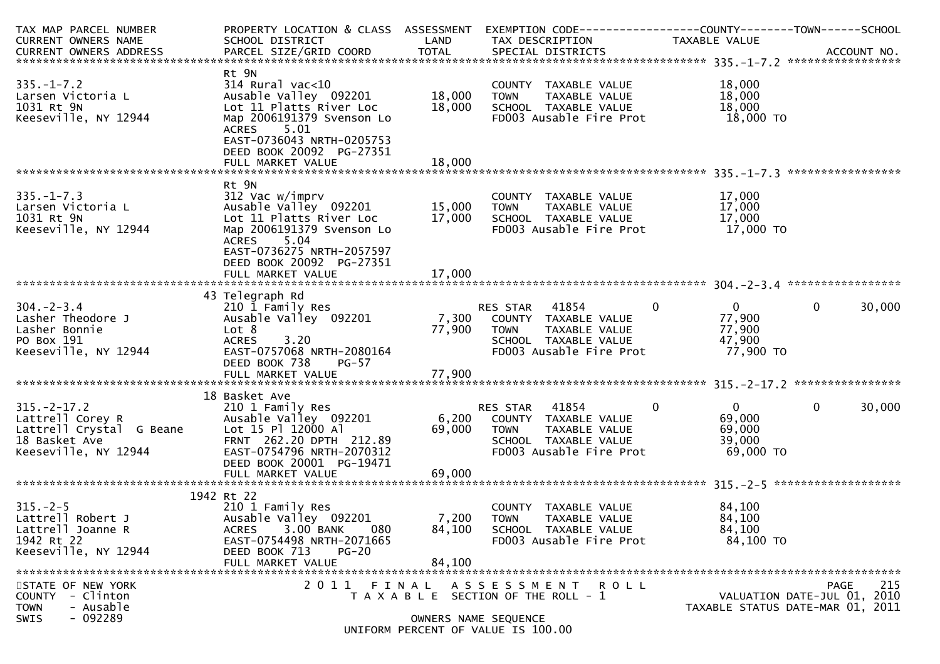| TAX MAP PARCEL NUMBER<br>CURRENT OWNERS NAME                                                               | PROPERTY LOCATION & CLASS ASSESSMENT<br>SCHOOL DISTRICT                                                                                                                                                            | LAND                       | TAX DESCRIPTION                                                                                                           | TAXABLE VALUE                                                            |                                                                                |
|------------------------------------------------------------------------------------------------------------|--------------------------------------------------------------------------------------------------------------------------------------------------------------------------------------------------------------------|----------------------------|---------------------------------------------------------------------------------------------------------------------------|--------------------------------------------------------------------------|--------------------------------------------------------------------------------|
|                                                                                                            |                                                                                                                                                                                                                    |                            |                                                                                                                           |                                                                          |                                                                                |
| $335. - 1 - 7.2$<br>Larsen Victoria L<br>1031 Rt 9N<br>Keeseville, NY 12944                                | Rt 9N<br>$314$ Rural vac<10<br>Ausable Valley 092201<br>Lot 11 Platts River Loc<br>Map 2006191379 Svenson Lo<br><b>ACRES</b><br>5.01<br>EAST-0736043 NRTH-0205753<br>DEED BOOK 20092 PG-27351<br>FULL MARKET VALUE | 18,000<br>18,000<br>18.000 | COUNTY TAXABLE VALUE<br>TAXABLE VALUE<br>TOWN<br>SCHOOL TAXABLE VALUE<br>FD003 Ausable Fire Prot                          | 18,000<br>18,000<br>18,000<br>18,000 TO                                  |                                                                                |
|                                                                                                            | Rt 9N                                                                                                                                                                                                              |                            |                                                                                                                           |                                                                          |                                                                                |
| $335. - 1 - 7.3$<br>Larsen Victoria L<br>1031 Rt 9N<br>Keeseville, NY 12944                                | 312 Vac w/imprv<br>Ausable Valley 092201<br>Lot 11 Platts River Loc<br>Map 2006191379 Svenson Lo<br>5.04<br><b>ACRES</b><br>EAST-0736275 NRTH-2057597                                                              | 15,000<br>17,000           | COUNTY TAXABLE VALUE<br><b>TOWN</b><br>TAXABLE VALUE<br>SCHOOL TAXABLE VALUE<br>FD003 Ausable Fire Prot                   | 17,000<br>17,000<br>17,000<br>17,000 TO                                  |                                                                                |
|                                                                                                            | DEED BOOK 20092 PG-27351                                                                                                                                                                                           |                            |                                                                                                                           |                                                                          |                                                                                |
|                                                                                                            | 43 Telegraph Rd                                                                                                                                                                                                    |                            |                                                                                                                           |                                                                          |                                                                                |
| $304 - 2 - 3.4$<br>Lasher Theodore J<br>Lasher Bonnie<br>PO Box 191<br>Keeseville, NY 12944                | 210 1 Family Res<br>Ausable Valley 092201<br>Lot 8<br><b>ACRES</b><br>3.20<br>EAST-0757068 NRTH-2080164<br>DEED BOOK 738<br>$PG-57$                                                                                | 7,300<br>77,900            | RES STAR<br>41854<br>COUNTY TAXABLE VALUE<br>TAXABLE VALUE<br>TOWN<br>SCHOOL TAXABLE VALUE<br>FD003 Ausable Fire Prot     | $\overline{0}$<br>0<br>77,900<br>77,900<br>47,900<br>77,900 TO           | $\mathbf{0}$<br>30,000                                                         |
|                                                                                                            |                                                                                                                                                                                                                    |                            |                                                                                                                           |                                                                          |                                                                                |
| $315. - 2 - 17.2$<br>Lattrell Corey R<br>Lattrell Crystal G Beane<br>18 Basket Ave<br>Keeseville, NY 12944 | 18 Basket Ave<br>210 1 Family Res<br>Ausable Valley 092201<br>Lot 15 Pl 12000 Al<br>FRNT 262.20 DPTH 212.89<br>EAST-0754796 NRTH-2070312<br>DEED BOOK 20001 PG-19471                                               | 6,200<br>69,000            | RES STAR 41854<br>COUNTY TAXABLE VALUE<br><b>TOWN</b><br>TAXABLE VALUE<br>SCHOOL TAXABLE VALUE<br>FD003 Ausable Fire Prot | $\overline{0}$<br>$\mathbf 0$<br>69,000<br>69,000<br>39,000<br>69,000 TO | 30,000<br>$\mathbf{0}$                                                         |
|                                                                                                            |                                                                                                                                                                                                                    |                            |                                                                                                                           |                                                                          |                                                                                |
|                                                                                                            | 1942 Rt 22                                                                                                                                                                                                         |                            |                                                                                                                           |                                                                          |                                                                                |
| $315. - 2 - 5$<br>Lattrell Robert J<br>Lattrell Joanne R<br>1942 Rt 22<br>Keeseville, NY 12944             | 210 1 Family Res<br>Ausable Valley 092201<br>080<br>ACRES<br>3.00 BANK<br>EAST-0754498 NRTH-2071665<br>DEED BOOK 713<br><b>PG-20</b><br>FULL MARKET VALUE                                                          | 7,200<br>84,100<br>84,100  | COUNTY TAXABLE VALUE<br><b>TOWN</b><br>TAXABLE VALUE<br>SCHOOL TAXABLE VALUE<br>FD003 Ausable Fire Prot                   | 84,100<br>84,100<br>84,100<br>84,100 TO                                  |                                                                                |
|                                                                                                            |                                                                                                                                                                                                                    |                            |                                                                                                                           |                                                                          |                                                                                |
| STATE OF NEW YORK<br>COUNTY<br>- Clinton<br>- Ausable<br><b>TOWN</b>                                       |                                                                                                                                                                                                                    |                            | 2011 FINAL ASSESSMENT ROLL<br>T A X A B L E SECTION OF THE ROLL - 1                                                       |                                                                          | 215<br>PAGE<br>VALUATION DATE-JUL 01, 2010<br>TAXABLE STATUS DATE-MAR 01, 2011 |
| $-092289$<br><b>SWIS</b>                                                                                   |                                                                                                                                                                                                                    | OWNERS NAME SEQUENCE       | UNIFORM PERCENT OF VALUE IS 100.00                                                                                        |                                                                          |                                                                                |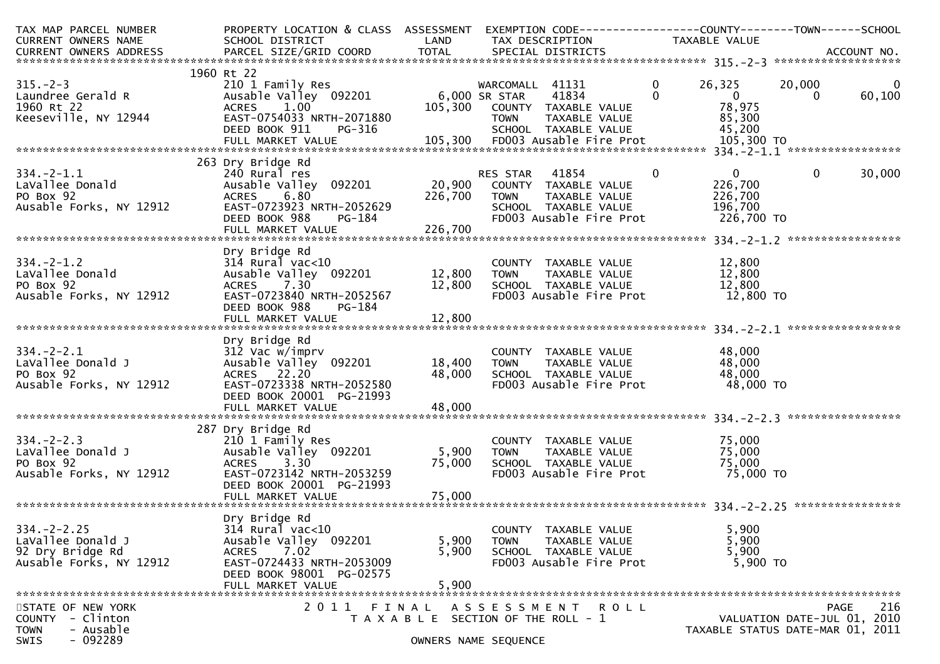| TAX MAP PARCEL NUMBER                       | PROPERTY LOCATION & CLASS ASSESSMENT EXEMPTION CODE----------------COUNTY-------TOWN------SCHOOL |                                                        |                              |                                              |                                                   |                                  |                             |                |
|---------------------------------------------|--------------------------------------------------------------------------------------------------|--------------------------------------------------------|------------------------------|----------------------------------------------|---------------------------------------------------|----------------------------------|-----------------------------|----------------|
| CURRENT OWNERS NAME                         | SCHOOL DISTRICT<br><b>Example 12</b>                                                             |                                                        |                              | TAX DESCRIPTION                              |                                                   | TAXABLE VALUE                    |                             |                |
|                                             |                                                                                                  |                                                        |                              |                                              |                                                   |                                  |                             |                |
|                                             |                                                                                                  |                                                        |                              |                                              |                                                   |                                  |                             |                |
| $315. -2 - 3$                               | 1960 Rt 22                                                                                       |                                                        | WARCOMALL 41131 0            |                                              |                                                   | 26,325                           | 20,000                      | $\overline{0}$ |
| Laundree Gerald R                           | 210 1 Family Res<br>Ausable Valley 092201 6,000 SR STAR 41834                                    |                                                        |                              |                                              | $\mathbf{0}$                                      | $\sim$ 0                         | $\Omega$                    | 60,100         |
| 1960 Rt 22                                  | ACRES 1.00                                                                                       |                                                        | 105,300 COUNTY TAXABLE VALUE |                                              |                                                   | 78,975                           |                             |                |
| Keeseville, NY 12944                        | EAST-0754033 NRTH-2071880                                                                        |                                                        |                              |                                              |                                                   | 85,300                           |                             |                |
|                                             | DEED BOOK 911                                                                                    | $PG-316$                                               |                              |                                              | TOWN      TAXABLE VALUE<br>SCHOOL   TAXABLE VALUE | 45,200                           |                             |                |
|                                             |                                                                                                  |                                                        |                              |                                              |                                                   |                                  |                             |                |
|                                             |                                                                                                  |                                                        |                              |                                              |                                                   |                                  |                             |                |
|                                             | 263 Dry Bridge Rd                                                                                |                                                        |                              |                                              |                                                   |                                  |                             |                |
| 334.-2-1.1<br>LaVallee Donald<br>PO Box 92  | 240 Rural res                                                                                    | RES STAR     41854<br>20,900    COUNTY   TAXABLE VALUE | RES STAR 41854               |                                              | - 0                                               | $0 \qquad$                       | $\mathbf{0}$                | 30,000         |
|                                             | Ausable Valley 092201                                                                            |                                                        |                              |                                              |                                                   | 226,700                          |                             |                |
|                                             | 6.80<br><b>ACRES</b>                                                                             |                                                        | 226,700 TOWN TAXABLE VALUE   |                                              |                                                   | 226,700                          |                             |                |
| Ausable Forks, NY 12912                     | EAST-0723923 NRTH-2052629                                                                        | $\overline{\phantom{a}}$                               |                              |                                              | SCHOOL TAXABLE VALUE                              | 196,700                          |                             |                |
|                                             | DEED BOOK 988<br>PG-184                                                                          |                                                        |                              |                                              | FD003 Ausable Fire Prot                           | 226,700 TO                       |                             |                |
|                                             | FULL MARKET VALUE                                                                                | 226,700                                                |                              |                                              |                                                   |                                  |                             |                |
|                                             | Dry Bridge Rd                                                                                    |                                                        |                              |                                              |                                                   |                                  |                             |                |
| $334 - 2 - 1.2$                             | $314$ Rural vac< $10$                                                                            |                                                        |                              | COUNTY TAXABLE VALUE                         |                                                   | 12,800                           |                             |                |
| LaVallee Donald                             | Ausable Valley 092201 12,800                                                                     |                                                        | <b>TOWN</b>                  | TAXABLE VALUE                                |                                                   | 12,800                           |                             |                |
| PO Box 92                                   | ACRES 7.30                                                                                       | 12,800                                                 |                              |                                              | SCHOOL TAXABLE VALUE                              | 12,800                           |                             |                |
| Ausable Forks, NY 12912                     | EAST-0723840 NRTH-2052567                                                                        |                                                        |                              |                                              | FD003 Ausable Fire Prot                           | 12,800 TO                        |                             |                |
|                                             | DEED BOOK 988<br>PG-184                                                                          |                                                        |                              |                                              |                                                   |                                  |                             |                |
|                                             |                                                                                                  |                                                        |                              |                                              |                                                   |                                  |                             |                |
|                                             |                                                                                                  |                                                        |                              |                                              |                                                   |                                  |                             |                |
|                                             | Dry Bridge Rd                                                                                    |                                                        |                              |                                              |                                                   |                                  |                             |                |
| $334. - 2 - 2.1$                            | 312 Vac w/imprv                                                                                  |                                                        |                              |                                              |                                                   | COUNTY TAXABLE VALUE 48,000      |                             |                |
| LaVallee Donald J                           | Ausable Valley 092201 18,400 TOWN TAXABLE VALUE                                                  |                                                        |                              |                                              |                                                   | 48,000                           |                             |                |
| PO Box 92                                   | ACRES 22.20                                                                                      | 48,000                                                 |                              |                                              | SCHOOL TAXABLE VALUE                              | 48,000                           |                             |                |
| Ausable Forks, NY 12912                     | EAST-0723338 NRTH-2052580                                                                        |                                                        |                              |                                              | FD003 Ausable Fire Prot                           | 48,000 TO                        |                             |                |
|                                             | DEED BOOK 20001 PG-21993                                                                         |                                                        |                              |                                              |                                                   |                                  |                             |                |
|                                             |                                                                                                  |                                                        |                              |                                              |                                                   |                                  |                             |                |
|                                             | 287 Dry Bridge Rd                                                                                |                                                        |                              |                                              |                                                   |                                  |                             |                |
| $334. - 2 - 2.3$                            |                                                                                                  |                                                        |                              |                                              |                                                   | 75,000                           |                             |                |
| LaVallee Donald J                           |                                                                                                  |                                                        |                              |                                              |                                                   | 75,000                           |                             |                |
| PO Box 92                                   | <b>ACRES</b><br>3.30                                                                             | 75,000                                                 |                              |                                              | SCHOOL TAXABLE VALUE                              | 75,000                           |                             |                |
| Ausable Forks, NY 12912                     | EAST-0723142 NRTH-2053259                                                                        |                                                        |                              |                                              | FD003 Ausable Fire Prot                           | 75,000 TO                        |                             |                |
|                                             | DEED BOOK 20001 PG-21993                                                                         |                                                        |                              |                                              |                                                   |                                  |                             |                |
|                                             | FULL MARKET VALUE                                                                                | 75,000                                                 |                              |                                              |                                                   |                                  |                             |                |
|                                             |                                                                                                  |                                                        |                              |                                              |                                                   |                                  |                             |                |
|                                             | Dry Bridge Rd                                                                                    |                                                        |                              |                                              |                                                   |                                  |                             |                |
| $334. -2 - 2.25$                            | 314 Rural vac<10                                                                                 |                                                        |                              | COUNTY TAXABLE VALUE                         |                                                   | 5,900                            |                             |                |
| LaVallee Donald J                           | Ausable Valley 092201<br>7.02                                                                    | 5,900                                                  | <b>TOWN</b>                  | <b>TAXABLE VALUE</b><br>SCHOOL TAXABLE VALUE |                                                   | 5,900                            |                             |                |
| 92 Dry Bridge Rd<br>Ausable Forks, NY 12912 | <b>ACRES</b><br>EAST-0724433 NRTH-2053009                                                        | 5,900                                                  |                              | FD003 Ausable Fire Prot                      |                                                   | 5,900<br>5,900 TO                |                             |                |
|                                             | DEED BOOK 98001 PG-02575                                                                         |                                                        |                              |                                              |                                                   |                                  |                             |                |
|                                             | FULL MARKET VALUE                                                                                | 5,900                                                  |                              |                                              |                                                   |                                  |                             |                |
|                                             |                                                                                                  |                                                        |                              |                                              |                                                   |                                  |                             |                |
| STATE OF NEW YORK                           | 2011                                                                                             | FINAL                                                  | A S S E S S M E N T          |                                              | R O L L                                           |                                  | <b>PAGE</b>                 | 216            |
| - Clinton<br><b>COUNTY</b>                  |                                                                                                  | T A X A B L E SECTION OF THE ROLL - 1                  |                              |                                              |                                                   |                                  | VALUATION DATE-JUL 01, 2010 |                |
| - Ausable<br><b>TOWN</b>                    |                                                                                                  |                                                        |                              |                                              |                                                   | TAXABLE STATUS DATE-MAR 01, 2011 |                             |                |
| $-092289$<br>SWIS                           |                                                                                                  | OWNERS NAME SEQUENCE                                   |                              |                                              |                                                   |                                  |                             |                |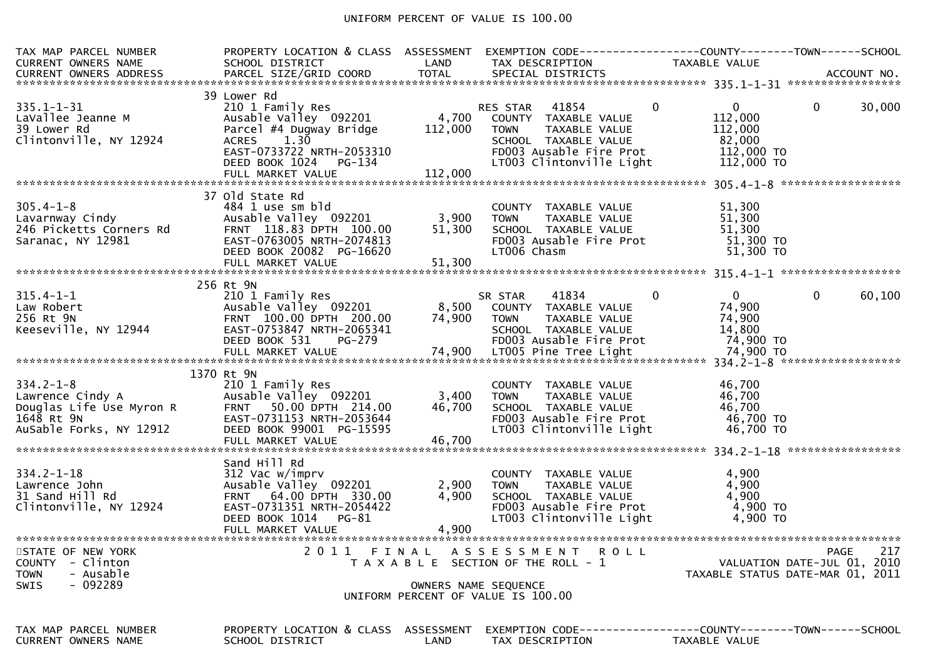## UNIFORM PERCENT OF VALUE IS 100.00

| TAX MAP PARCEL NUMBER                                                                                          | PROPERTY LOCATION & CLASS ASSESSMENT                                                                                                                                                   |                             |                                                                                                                                                                          | EXEMPTION CODE-----------------COUNTY--------TOWN------SCHOOL                  |        |
|----------------------------------------------------------------------------------------------------------------|----------------------------------------------------------------------------------------------------------------------------------------------------------------------------------------|-----------------------------|--------------------------------------------------------------------------------------------------------------------------------------------------------------------------|--------------------------------------------------------------------------------|--------|
|                                                                                                                |                                                                                                                                                                                        |                             |                                                                                                                                                                          |                                                                                |        |
| $335.1 - 1 - 31$<br>LaVallee Jeanne M<br>39 Lower Rd<br>Clintonville, NY 12924                                 | 39 Lower Rd<br>210 1 Family Res<br>Ausable Valley 092201<br>Parcel #4 Dugway Bridge<br>1.30<br><b>ACRES</b><br>EAST-0733722 NRTH-2053310<br>DEED BOOK 1024 PG-134<br>FULL MARKET VALUE | 4,700<br>112,000<br>112,000 | 41854<br>$\mathbf{0}$<br>RES STAR<br>COUNTY TAXABLE VALUE<br><b>TOWN</b><br>TAXABLE VALUE<br>SCHOOL TAXABLE VALUE<br>FD003 Ausable Fire Prot<br>LT003 Clintonville Light | $\mathbf{0}$<br>0<br>112,000<br>112,000<br>82,000<br>112,000 TO<br>112,000 TO  | 30,000 |
|                                                                                                                |                                                                                                                                                                                        |                             |                                                                                                                                                                          |                                                                                |        |
| 305.4-1-8<br>Lavarnway Cindy<br><sup>246</sup> Picketts Corners Rd<br>Saranac, NY 12981                        | 37 Old State Rd<br>484 1 use sm bld<br>Ausable Valley 092201<br>FRNT 118.83 DPTH 100.00<br>EAST-0763005 NRTH-2074813<br>DEED BOOK 20082 PG-16620<br>FULL MARKET VALUE                  | $3,900$<br>51.300<br>51,300 | COUNTY TAXABLE VALUE<br><b>TOWN</b><br>TAXABLE VALUE<br>SCHOOL TAXABLE VALUE<br>FD003 Ausable Fire Prot<br>LT006 Chasm                                                   | 51,300<br>51,300<br>51,300<br>51,300 TO<br>51,300 TO                           |        |
|                                                                                                                |                                                                                                                                                                                        |                             |                                                                                                                                                                          |                                                                                |        |
| $315.4 - 1 - 1$                                                                                                | 256 Rt 9N<br>210 1 Family Res                                                                                                                                                          |                             | $\mathbf{0}$<br>41834<br>SR STAR                                                                                                                                         | $\overline{0}$<br>$\mathbf 0$                                                  | 60,100 |
| Law Robert<br>256 Rt 9N<br>Keeseville, NY 12944                                                                | Ausable Valley 092201<br>FRNT 100.00 DPTH 200.00<br>EAST-0753847 NRTH-2065341<br>DEED BOOK 531<br>PG-279                                                                               | 8,500<br>74,900             | COUNTY TAXABLE VALUE<br><b>TOWN</b><br>TAXABLE VALUE<br>SCHOOL TAXABLE VALUE<br>FD003 Ausable Fire Prot                                                                  | 74,900<br>74,900<br>14,800<br>74,900 TO                                        |        |
|                                                                                                                |                                                                                                                                                                                        |                             |                                                                                                                                                                          |                                                                                |        |
| $334.2 - 1 - 8$<br>Lawrence Cindy A<br>Lawrence Cindy A<br>Douglas Life Use Myron R<br>AuSable Forks, NY 12912 | 1370 Rt 9N<br>210 1 Family Res<br>Ausable Valley 092201<br>FRNT 50.00 DPTH 214.00<br>EAST-0731153 NRTH-2053644<br>DEED BOOK 99001 PG-15595<br>FULL MARKET VALUE                        | 3,400<br>46,700<br>46,700   | COUNTY TAXABLE VALUE<br>TAXABLE VALUE<br>TOWN<br>SCHOOL TAXABLE VALUE<br>FD003 Ausable Fire Prot<br>LT003 Clintonville Light                                             | 46,700<br>46,700<br>46,700<br>46,700 TO<br>46,700 TO                           |        |
|                                                                                                                | Sand Hill Rd                                                                                                                                                                           |                             |                                                                                                                                                                          |                                                                                |        |
| $334.2 - 1 - 18$<br>Lawrence John<br>31 Sand Hill Rd<br>Clintonville, NY 12924                                 | 312 Vac w/imprv<br>Ausable Valley 092201<br>FRNT 64.00 DPTH 330.00<br>EAST-0731351 NRTH-2054422<br>DEED BOOK 1014 PG-81<br>FULL MARKET VALUE                                           | 2,900<br>4,900<br>4,900     | COUNTY TAXABLE VALUE<br>TAXABLE VALUE<br>TOWN<br>SCHOOL TAXABLE VALUE<br>FD003 Ausable Fire Prot<br>LT003 Clintonville Light                                             | 4,900<br>4,900<br>4,900<br>4,900 TO<br>$4,900$ TO                              |        |
|                                                                                                                |                                                                                                                                                                                        |                             |                                                                                                                                                                          |                                                                                |        |
| STATE OF NEW YORK<br>- Clinton<br><b>COUNTY</b><br><b>TOWN</b><br>- Ausable                                    | 2011 FINAL                                                                                                                                                                             |                             | A S S E S S M E N T<br><b>ROLL</b><br>T A X A B L E SECTION OF THE ROLL - 1                                                                                              | <b>PAGE</b><br>VALUATION DATE-JUL 01, 2010<br>TAXABLE STATUS DATE-MAR 01, 2011 | 217    |
| $-092289$<br><b>SWIS</b>                                                                                       |                                                                                                                                                                                        |                             | OWNERS NAME SEQUENCE<br>UNIFORM PERCENT OF VALUE IS 100.00                                                                                                               |                                                                                |        |
| TAX MAP PARCEL NUMBER<br><b>CURRENT OWNERS NAME</b>                                                            | PROPERTY LOCATION & CLASS ASSESSMENT<br>SCHOOL DISTRICT                                                                                                                                | <b>LAND</b>                 | TAX DESCRIPTION                                                                                                                                                          | EXEMPTION CODE-----------------COUNTY-------TOWN------SCHOOL<br>TAXABLE VALUE  |        |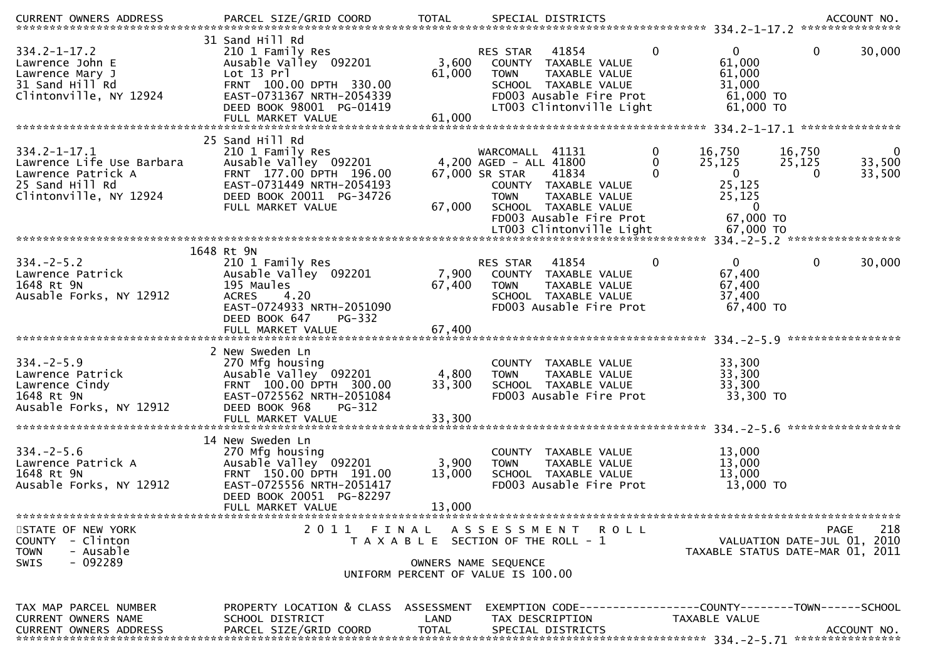| $334.2 - 1 - 17.2$<br>Lawrence John E<br>Lawrence Mary J<br>31 Sand Hill Rd<br>Clintonville, NY 12924              | 31 Sand Hill Rd<br>210 1 Family Res<br>Ausable Valley 092201<br>Lot 13 Prl<br>FRNT 100.00 DPTH 330.00<br>EAST-0731367 NRTH-2054339<br>DEED BOOK 98001 PG-01419<br>FULL MARKET VALUE | 3,600<br>61,000<br>61,000 | RES STAR<br>41854<br>COUNTY TAXABLE VALUE<br><b>TAXABLE VALUE</b><br><b>TOWN</b><br>SCHOOL TAXABLE VALUE<br>FD003 Ausable Fire Prot<br>LT003 Clintonville Light                                             | $\mathbf 0$<br>$\mathbf{0}$<br>61,000<br>61,000<br>31,000<br>61,000 TO<br>$61,000$ TO                               | 30,000<br>0                                                                           |
|--------------------------------------------------------------------------------------------------------------------|-------------------------------------------------------------------------------------------------------------------------------------------------------------------------------------|---------------------------|-------------------------------------------------------------------------------------------------------------------------------------------------------------------------------------------------------------|---------------------------------------------------------------------------------------------------------------------|---------------------------------------------------------------------------------------|
|                                                                                                                    | 25 Sand Hill Rd                                                                                                                                                                     |                           |                                                                                                                                                                                                             |                                                                                                                     |                                                                                       |
| $334.2 - 1 - 17.1$<br>Lawrence Life Use Barbara<br>Lawrence Patrick A<br>25 Sand Hill Rd<br>Clintonville, NY 12924 | 210 1 Family Res<br>Ausable Valley 092201<br>FRNT 177.00 DPTH 196.00<br>EAST-0731449 NRTH-2054193<br>DEED BOOK 20011 PG-34726<br>FULL MARKET VALUE                                  | 67,000                    | WARCOMALL 41131<br>4,200 AGED - ALL 41800<br>67,000 SR STAR<br>41834<br>COUNTY TAXABLE VALUE<br>TAXABLE VALUE<br><b>TOWN</b><br>SCHOOL TAXABLE VALUE<br>FD003 Ausable Fire Prot<br>LT003 Clintonville Light | 0<br>16,750<br>25,125<br>0<br>$\mathbf 0$<br>$\Omega$<br>25,125<br>25,125<br>$\mathbf{0}$<br>67,000 TO<br>67,000 TO | 16,750<br>0<br>25,125<br>33,500<br>33,500<br>0                                        |
|                                                                                                                    |                                                                                                                                                                                     |                           |                                                                                                                                                                                                             |                                                                                                                     |                                                                                       |
| $334. - 2 - 5.2$<br>Lawrence Patrick<br>1648 Rt 9N<br>Ausable Forks, NY 12912                                      | 1648 Rt 9N<br>210 1 Family Res<br>Ausable Valley 092201<br>195 Maules<br><b>ACRES</b><br>4.20<br>EAST-0724933 NRTH-2051090<br>DEED BOOK 647<br>$PG-332$                             | 7,900<br>67,400           | 41854<br>RES STAR<br>COUNTY TAXABLE VALUE<br><b>TOWN</b><br>TAXABLE VALUE<br>SCHOOL TAXABLE VALUE<br>FD003 Ausable Fire Prot                                                                                | $\mathbf{0}$<br>0<br>67,400<br>67,400<br>37,400<br>67,400 TO                                                        | $\mathbf{0}$<br>30,000                                                                |
|                                                                                                                    | 2 New Sweden Ln                                                                                                                                                                     |                           |                                                                                                                                                                                                             |                                                                                                                     | *****************                                                                     |
| $334. - 2 - 5.9$<br>Lawrence Patrick<br>Lawrence Cindy<br>1648 Rt 9N<br>Ausable Forks, NY 12912                    | 270 Mfg housing<br>Ausable Valley 092201<br>FRNT 100.00 DPTH 300.00<br>EAST-0725562 NRTH-2051084<br>DEED BOOK 968<br>PG-312                                                         | 4,800<br>33,300           | COUNTY TAXABLE VALUE<br>TAXABLE VALUE<br><b>TOWN</b><br>SCHOOL TAXABLE VALUE<br>FD003 Ausable Fire Prot                                                                                                     | 33,300<br>33,300<br>33,300<br>33,300 TO                                                                             | *****************                                                                     |
|                                                                                                                    | 14 New Sweden Ln                                                                                                                                                                    |                           |                                                                                                                                                                                                             |                                                                                                                     |                                                                                       |
| $334. - 2 - 5.6$<br>Lawrence Patrick A<br>1648 Rt 9N<br>Ausable Forks, NY 12912                                    | 270 Mfg housing<br>Ausable Valley <sup>-</sup> 092201<br>FRNT 150.00 DPTH 191.00<br>EAST-0725556 NRTH-2051417<br>DEED BOOK 20051 PG-82297                                           | 3,900<br>13,000           | COUNTY TAXABLE VALUE<br>TAXABLE VALUE<br><b>TOWN</b><br>SCHOOL TAXABLE VALUE<br>FD003 Ausable Fire Prot                                                                                                     | 13,000<br>13,000<br>13,000<br>13,000 TO                                                                             |                                                                                       |
|                                                                                                                    | FULL MARKET VALUE                                                                                                                                                                   | 13,000                    |                                                                                                                                                                                                             |                                                                                                                     |                                                                                       |
| STATE OF NEW YORK<br><b>COUNTY</b><br>- Clinton<br>- Ausable<br><b>TOWN</b><br>$-092289$<br><b>SWIS</b>            |                                                                                                                                                                                     |                           | 2011 FINAL ASSESSMENT<br>R O L L<br>T A X A B L E SECTION OF THE ROLL - 1<br>OWNERS NAME SEQUENCE                                                                                                           |                                                                                                                     | 218<br><b>PAGE</b><br>VALUATION DATE-JUL 01, 2010<br>TAXABLE STATUS DATE-MAR 01, 2011 |
|                                                                                                                    |                                                                                                                                                                                     |                           | UNIFORM PERCENT OF VALUE IS 100.00                                                                                                                                                                          |                                                                                                                     |                                                                                       |
| TAX MAP PARCEL NUMBER<br>CURRENT OWNERS NAME<br><b>CURRENT OWNERS ADDRESS</b>                                      | PROPERTY LOCATION & CLASS ASSESSMENT<br>SCHOOL DISTRICT<br>PARCEL SIZE/GRID COORD                                                                                                   | LAND<br><b>TOTAL</b>      | EXEMPTION        CODE-----------------COUNTY-------TOWN------SCHOOL<br>TAX DESCRIPTION<br>SPECIAL DISTRICTS                                                                                                 | TAXABLE VALUE                                                                                                       | ACCOUNT NO.                                                                           |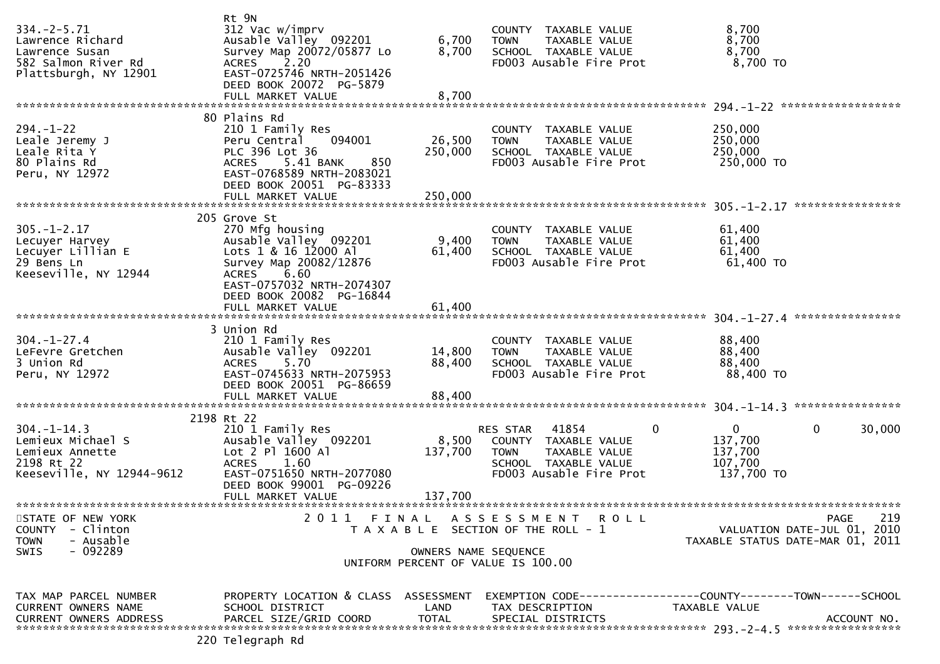| $334. - 2 - 5.71$<br>Lawrence Richard<br>Lawrence Susan<br>582 Salmon River Rd<br>Plattsburgh, NY 12901 | Rt 9N<br>312 Vac w/imprv<br>Ausable Valley 092201<br>Survey Map 20072/05877 Lo<br>2.20<br><b>ACRES</b><br>EAST-0725746 NRTH-2051426<br>DEED BOOK 20072 PG-5879                              | 6,700<br>8,700               | COUNTY TAXABLE VALUE<br>TAXABLE VALUE<br><b>TOWN</b><br>SCHOOL TAXABLE VALUE<br>FD003 Ausable Fire Prot                      | 8,700<br>8,700<br>8,700<br>8,700 TO                                                                     |
|---------------------------------------------------------------------------------------------------------|---------------------------------------------------------------------------------------------------------------------------------------------------------------------------------------------|------------------------------|------------------------------------------------------------------------------------------------------------------------------|---------------------------------------------------------------------------------------------------------|
|                                                                                                         |                                                                                                                                                                                             |                              |                                                                                                                              |                                                                                                         |
| $294. - 1 - 22$<br>Leale Jeremy J<br>Leale Rita Y<br>80 Plains Rd<br>Peru, NY 12972                     | 80 Plains Rd<br>210 1 Family Res<br>Peru Central<br>094001<br>PLC 396 Lot 36<br>ACRES 5.41 BANK<br>850<br>EAST-0768589 NRTH-2083021<br>DEED BOOK 20051 PG-83333<br>FULL MARKET VALUE        | 26,500<br>250,000<br>250,000 | COUNTY TAXABLE VALUE<br><b>TOWN</b><br>TAXABLE VALUE<br>SCHOOL TAXABLE VALUE<br>FD003 Ausable Fire Prot                      | 250,000<br>250,000<br>250,000<br>250,000 TO                                                             |
|                                                                                                         |                                                                                                                                                                                             |                              |                                                                                                                              |                                                                                                         |
| $305. - 1 - 2.17$<br>Lecuyer Harvey<br>Lecuyer Lillian E<br>29 Bens Ln<br>Keeseville, NY 12944          | 205 Grove St<br>270 Mfg housing<br>Ausable Valley 092201<br>Lots 1 & 16 12000 Al<br>Survey Map 20082/12876<br>6.60<br><b>ACRES</b><br>EAST-0757032 NRTH-2074307<br>DEED BOOK 20082 PG-16844 | 9,400<br>61,400              | COUNTY TAXABLE VALUE<br><b>TOWN</b><br>TAXABLE VALUE<br>SCHOOL TAXABLE VALUE<br>FD003 Ausable Fire Prot                      | 61,400<br>61,400<br>61,400<br>61,400 TO                                                                 |
|                                                                                                         | FULL MARKET VALUE                                                                                                                                                                           | 61,400                       |                                                                                                                              |                                                                                                         |
|                                                                                                         |                                                                                                                                                                                             |                              |                                                                                                                              |                                                                                                         |
| $304. - 1 - 27.4$<br>LeFevre Gretchen<br>3 Union Rd<br>Peru, NY 12972                                   | 3 Union Rd<br>210 1 Family Res<br>Ausable Valley 092201<br>5.70<br><b>ACRES</b><br>EAST-0745633 NRTH-2075953<br>DEED BOOK 20051 PG-86659<br>FULL MARKET VALUE                               | 14,800<br>88,400<br>88,400   | COUNTY TAXABLE VALUE<br>TAXABLE VALUE<br><b>TOWN</b><br>SCHOOL TAXABLE VALUE<br>FD003 Ausable Fire Prot                      | 88,400<br>88,400<br>88,400<br>88,400 TO                                                                 |
|                                                                                                         |                                                                                                                                                                                             |                              |                                                                                                                              |                                                                                                         |
| $304. - 1 - 14.3$<br>Lemieux Michael S<br>Lemieux Annette<br>2198 Rt 22<br>Keeseville, NY 12944-9612    | 2198 Rt 22<br>210 1 Family Res<br>Ausable Valley 092201<br>Lot 2 Pl 1600 Al<br>1.60<br><b>ACRES</b><br>EAST-0751650 NRTH-2077080<br>DEED BOOK 99001 PG-09226                                | 8,500<br>137,700             | 41854<br>RES STAR<br>COUNTY TAXABLE VALUE<br><b>TOWN</b><br>TAXABLE VALUE<br>SCHOOL TAXABLE VALUE<br>FD003 Ausable Fire Prot | $\overline{0}$<br>$\mathbf{0}$<br>$\mathbf{0}$<br>30,000<br>137,700<br>137,700<br>107,700<br>137,700 TO |
|                                                                                                         | FULL MARKET VALUE                                                                                                                                                                           | 137,700                      |                                                                                                                              |                                                                                                         |
| STATE OF NEW YORK<br>- Clinton<br><b>COUNTY</b><br><b>TOWN</b><br>- Ausable<br>$-092289$<br><b>SWIS</b> | 2011 FINAL                                                                                                                                                                                  |                              | ASSESSMENT ROLL<br>T A X A B L E SECTION OF THE ROLL - 1<br>OWNERS NAME SEQUENCE<br>UNIFORM PERCENT OF VALUE IS 100.00       | 219<br><b>PAGE</b><br>VALUATION DATE-JUL 01, 2010<br>TAXABLE STATUS DATE-MAR 01, 2011                   |
| TAX MAP PARCEL NUMBER<br>CURRENT OWNERS NAME<br><b>CURRENT OWNERS ADDRESS</b>                           | PROPERTY LOCATION & CLASS ASSESSMENT<br>SCHOOL DISTRICT<br>PARCEL SIZE/GRID COORD                                                                                                           | LAND<br><b>TOTAL</b>         | TAX DESCRIPTION<br>SPECIAL DISTRICTS                                                                                         | EXEMPTION        CODE-----------------COUNTY-------TOWN------SCHOOL<br>TAXABLE VALUE<br>ACCOUNT NO.     |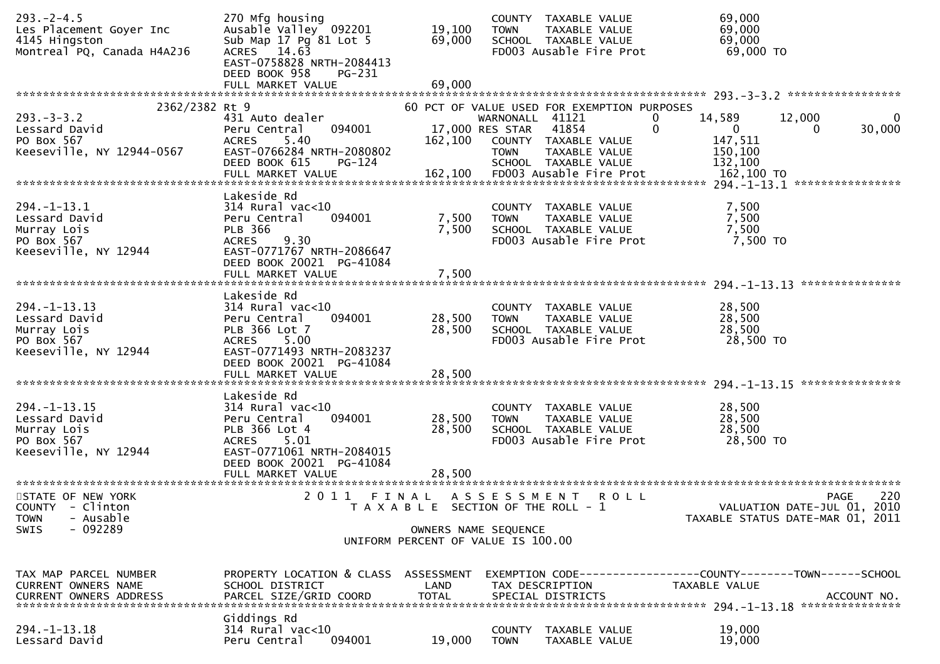| $293. - 2 - 4.5$<br>Les Placement Goyer Inc<br>4145 Hingston<br>Montreal PQ, Canada H4A2J6    | 270 Mfg housing<br>Ausable Valley 092201<br>Sub Map 17 Pg 81 Lot 5<br>ACRES 14.63<br>EAST-0758828 NRTH-2084413<br>DEED BOOK 958<br>PG-231<br>FULL MARKET VALUE | 19,100<br>69,000<br>69,000                                                        | <b>TOWN</b>                                       | COUNTY TAXABLE VALUE<br>TAXABLE VALUE<br>SCHOOL TAXABLE VALUE<br>FD003 Ausable Fire Prot                              | 69,000<br>69,000<br>69,000<br>69,000 TO                                       |                         |
|-----------------------------------------------------------------------------------------------|----------------------------------------------------------------------------------------------------------------------------------------------------------------|-----------------------------------------------------------------------------------|---------------------------------------------------|-----------------------------------------------------------------------------------------------------------------------|-------------------------------------------------------------------------------|-------------------------|
|                                                                                               |                                                                                                                                                                |                                                                                   |                                                   |                                                                                                                       |                                                                               |                         |
| 2362/2382 Rt 9<br>$293. -3 -3.2$<br>Lessard David<br>PO Box 567<br>Keeseville, NY 12944-0567  | 431 Auto dealer<br>094001<br>Peru Central<br><b>ACRES</b><br>5.40<br>EAST-0766284 NRTH-2080802<br>DEED BOOK 615<br>PG-124                                      | 162,100                                                                           | WARNONALL 41121<br>17,000 RES STAR<br><b>TOWN</b> | 60 PCT OF VALUE USED FOR EXEMPTION PURPOSES<br>41854<br>COUNTY TAXABLE VALUE<br>TAXABLE VALUE<br>SCHOOL TAXABLE VALUE | 14,589<br>12,000<br>0<br>0<br>$\overline{0}$<br>147,511<br>150,100<br>132,100 | 0<br>30,000<br>$\Omega$ |
|                                                                                               |                                                                                                                                                                |                                                                                   |                                                   |                                                                                                                       |                                                                               |                         |
| $294. -1 - 13.1$<br>Lessard David<br>Murray Lois<br>PO Box 567<br>Keeseville, NY 12944        | Lakeside Rd<br>$314$ Rural vac<10<br>094001<br>Peru Central<br><b>PLB 366</b><br>9.30<br><b>ACRES</b><br>EAST-0771767 NRTH-2086647<br>DEED BOOK 20021 PG-41084 | 7,500<br>7,500                                                                    | <b>TOWN</b>                                       | COUNTY TAXABLE VALUE<br>TAXABLE VALUE<br>SCHOOL TAXABLE VALUE<br>FD003 Ausable Fire Prot                              | 7,500<br>7,500<br>7,500<br>7,500 TO                                           |                         |
|                                                                                               |                                                                                                                                                                |                                                                                   |                                                   |                                                                                                                       |                                                                               |                         |
| $294. -1 - 13.13$<br>Lessard David<br>Murray Lois<br>PO Box 567<br>Keeseville, NY 12944       | Lakeside Rd<br>314 Rural vac<10<br>094001<br>Peru Central<br>PLB 366 Lot 7<br>5.00<br><b>ACRES</b><br>EAST-0771493 NRTH-2083237<br>DEED BOOK 20021 PG-41084    | 28,500<br>28,500<br>28,500                                                        | <b>TOWN</b>                                       | COUNTY TAXABLE VALUE<br>TAXABLE VALUE<br>SCHOOL TAXABLE VALUE<br>FD003 Ausable Fire Prot                              | 28,500<br>28,500<br>28,500<br>28,500 TO                                       |                         |
|                                                                                               | FULL MARKET VALUE                                                                                                                                              |                                                                                   |                                                   |                                                                                                                       |                                                                               |                         |
| $294. - 1 - 13.15$<br>Lessard David<br>Murray Lois<br>PO Box 567<br>Keeseville, NY 12944      | Lakeside Rd<br>$314$ Rural vac<10<br>094001<br>Peru Central<br>PLB 366 Lot 4<br><b>ACRES</b><br>5.01<br>EAST-0771061 NRTH-2084015<br>DEED BOOK 20021 PG-41084  | 28,500<br>28,500                                                                  | <b>COUNTY</b><br><b>TOWN</b>                      | TAXABLE VALUE<br>TAXABLE VALUE<br>SCHOOL TAXABLE VALUE<br>FD003 Ausable Fire Prot                                     | 28,500<br>28,500<br>28,500<br>28,500 TO                                       |                         |
|                                                                                               | FULL MARKET VALUE                                                                                                                                              | 28,500                                                                            |                                                   |                                                                                                                       |                                                                               |                         |
| STATE OF NEW YORK<br>COUNTY - Clinton<br>- Ausable<br><b>TOWN</b><br>$-092289$<br><b>SWIS</b> | 2011                                                                                                                                                           | FINAL ASSESSMENT<br>T A X A B L E SECTION OF THE ROLL - 1<br>OWNERS NAME SEQUENCE |                                                   | <b>ROLL</b>                                                                                                           | VALUATION DATE-JUL 01, 2010<br>TAXABLE STATUS DATE-MAR 01, 2011               | 220<br><b>PAGE</b>      |
|                                                                                               |                                                                                                                                                                | UNIFORM PERCENT OF VALUE IS 100.00                                                |                                                   |                                                                                                                       |                                                                               |                         |
| TAX MAP PARCEL NUMBER<br><b>CURRENT OWNERS NAME</b><br><b>CURRENT OWNERS ADDRESS</b>          | PROPERTY LOCATION & CLASS ASSESSMENT<br>SCHOOL DISTRICT<br>PARCEL SIZE/GRID COORD                                                                              | LAND<br><b>TOTAL</b>                                                              |                                                   | TAX DESCRIPTION<br>SPECIAL DISTRICTS                                                                                  | EXEMPTION CODE-----------------COUNTY-------TOWN------SCHOOL<br>TAXABLE VALUE | ACCOUNT NO.             |
| $294. -1 - 13.18$<br>Lessard David                                                            | Giddings Rd<br>$314$ Rural vac<10<br>Peru Central<br>094001                                                                                                    | 19,000                                                                            | COUNTY<br><b>TOWN</b>                             | TAXABLE VALUE<br>TAXABLE VALUE                                                                                        | 19,000<br>19,000                                                              |                         |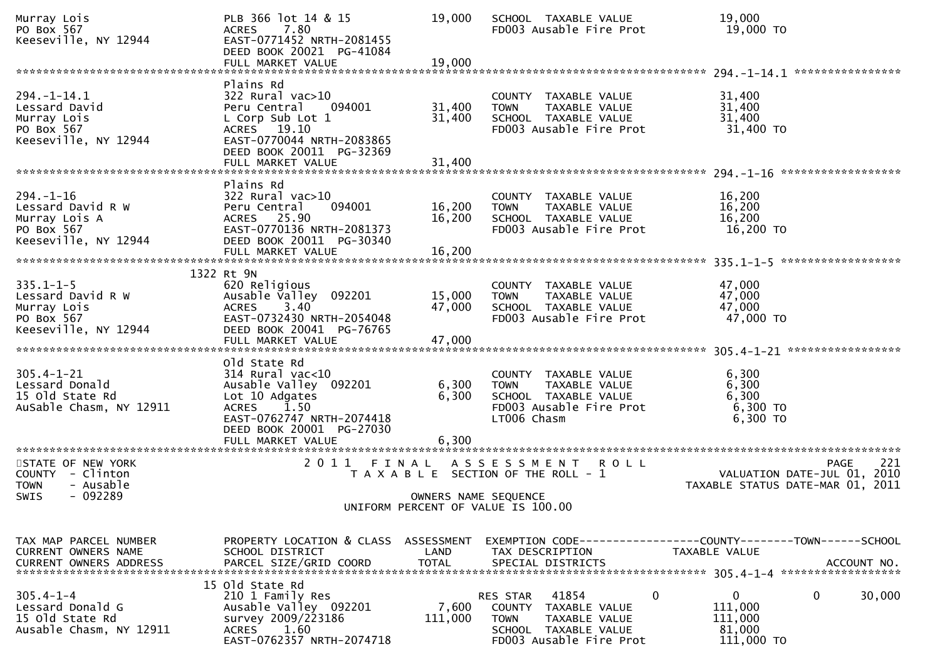| Murray Lois<br>PO Box 567<br>Keeseville, NY 12944                                             | PLB 366 lot 14 & 15<br>7.80<br><b>ACRES</b><br>EAST-0771452 NRTH-2081455<br>DEED BOOK 20021 PG-41084<br>FULL MARKET VALUE                                                    | 19,000<br>19,000           | SCHOOL TAXABLE VALUE<br>FD003 Ausable Fire Prot                                                                                                    | 19,000<br>19,000 TO                                                                   |
|-----------------------------------------------------------------------------------------------|------------------------------------------------------------------------------------------------------------------------------------------------------------------------------|----------------------------|----------------------------------------------------------------------------------------------------------------------------------------------------|---------------------------------------------------------------------------------------|
| $294. - 1 - 14.1$<br>Lessard David<br>Murray Lois<br>PO Box 567<br>Keeseville, NY 12944       | Plains Rd<br>322 Rural vac>10<br>Peru Central<br>094001<br>L Corp Sub Lot 1<br>ACRES 19.10<br>EAST-0770044 NRTH-2083865<br>DEED BOOK 20011 PG-32369<br>FULL MARKET VALUE     | 31,400<br>31,400<br>31,400 | COUNTY TAXABLE VALUE<br><b>TOWN</b><br>TAXABLE VALUE<br>SCHOOL TAXABLE VALUE<br>FD003 Ausable Fire Prot                                            | 31,400<br>31,400<br>31,400<br>31,400 TO                                               |
|                                                                                               |                                                                                                                                                                              |                            |                                                                                                                                                    | ******************                                                                    |
| $294. - 1 - 16$<br>Lessard David R W<br>Murray Lois A<br>PO Box 567<br>Keeseville, NY 12944   | Plains Rd<br>$322$ Rural vac $>10$<br>Peru Central<br>094001<br>ACRES 25.90<br>EAST-0770136 NRTH-2081373<br>DEED BOOK 20011 PG-30340<br>FULL MARKET VALUE                    | 16,200<br>16,200<br>16,200 | COUNTY TAXABLE VALUE<br>TAXABLE VALUE<br><b>TOWN</b><br>SCHOOL TAXABLE VALUE<br>FD003 Ausable Fire Prot                                            | 16,200<br>16,200<br>16,200<br>16,200 TO                                               |
|                                                                                               |                                                                                                                                                                              |                            |                                                                                                                                                    |                                                                                       |
| $335.1 - 1 - 5$<br>Lessard David R W<br>Murray Lois<br>PO Box 567<br>Keeseville, NY 12944     | 1322 Rt 9N<br>620 Religious<br>Ausable Valley 092201<br><b>ACRES</b><br>3.40<br>EAST-0732430 NRTH-2054048<br>DEED BOOK 20041 PG-76765<br>FULL MARKET VALUE                   | 15,000<br>47,000<br>47,000 | COUNTY TAXABLE VALUE<br>TAXABLE VALUE<br>TOWN<br>SCHOOL TAXABLE VALUE<br>FD003 Ausable Fire Prot                                                   | 47,000<br>47,000<br>47,000<br>47,000 TO                                               |
| $305.4 - 1 - 21$<br>Lessard Donald<br>15 old State Rd<br>AuSable Chasm, NY 12911              | old State Rd<br>$314$ Rural vac<10<br>Ausable Valley 092201<br>Lot 10 Adgates<br>1.50<br>ACRES<br>EAST-0762747 NRTH-2074418<br>DEED BOOK 20001 PG-27030<br>FULL MARKET VALUE | 6,300<br>6,300<br>6,300    | COUNTY TAXABLE VALUE<br>TAXABLE VALUE<br><b>TOWN</b><br>SCHOOL TAXABLE VALUE<br>FD003 Ausable Fire Prot<br>LT006 Chasm                             | 6,300<br>6,300<br>6,300<br>6,300 TO<br>6,300 TO                                       |
| STATE OF NEW YORK<br>COUNTY - Clinton<br>- Ausable<br><b>TOWN</b><br>$-092289$<br><b>SWIS</b> | FINAL<br>2011                                                                                                                                                                |                            | A S S E S S M E N T<br><b>ROLL</b><br>T A X A B L E SECTION OF THE ROLL - 1<br>OWNERS NAME SEQUENCE<br>UNIFORM PERCENT OF VALUE IS 100.00          | 221<br><b>PAGE</b><br>VALUATION DATE-JUL 01, 2010<br>TAXABLE STATUS DATE-MAR 01, 2011 |
| TAX MAP PARCEL NUMBER<br><b>CURRENT OWNERS NAME</b><br><b>CURRENT OWNERS ADDRESS</b>          | PROPERTY LOCATION & CLASS ASSESSMENT<br>SCHOOL DISTRICT<br>PARCEL SIZE/GRID COORD                                                                                            | LAND<br><b>TOTAL</b>       | EXEMPTION CODE-----------------COUNTY-------TOWN------SCHOOL<br>TAX DESCRIPTION<br>SPECIAL DISTRICTS                                               | TAXABLE VALUE<br>ACCOUNT NO.                                                          |
| $305.4 - 1 - 4$<br>Lessard Donald G<br>15 old state Rd<br>Ausable Chasm, NY 12911             | 15 old State Rd<br>210 1 Family Res<br>Ausable Valley 092201<br>survey 2009/223186<br>1.60<br><b>ACRES</b><br>EAST-0762357 NRTH-2074718                                      | 7,600<br>111,000           | 41854<br>$\bf{0}$<br>RES STAR<br><b>COUNTY</b><br>TAXABLE VALUE<br><b>TOWN</b><br>TAXABLE VALUE<br>SCHOOL TAXABLE VALUE<br>FD003 Ausable Fire Prot | 0<br>30,000<br>0<br>111,000<br>111,000<br>81,000<br>111,000 TO                        |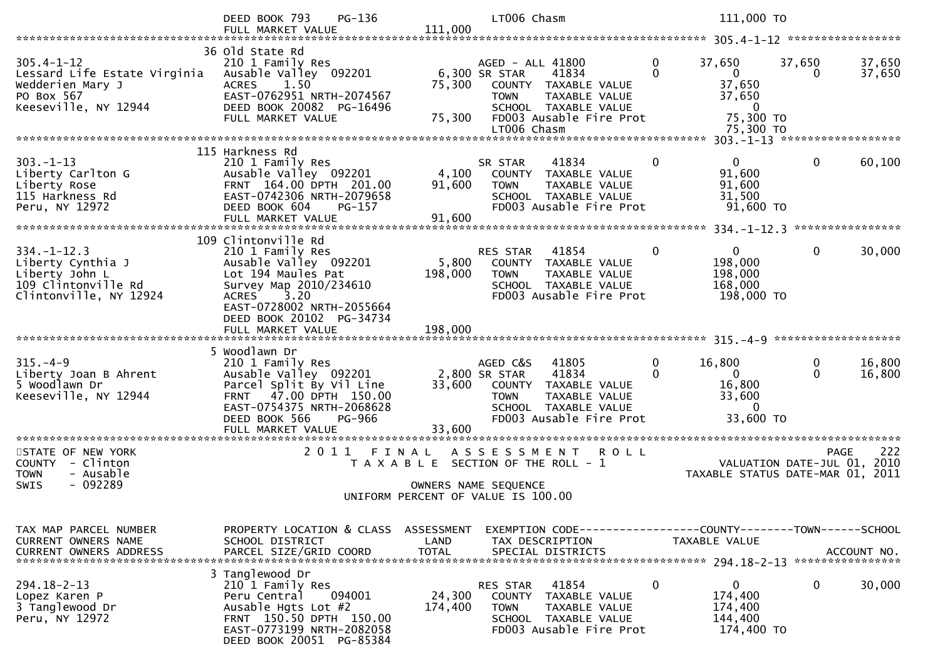|                                                                                                            | $PG-136$<br>DEED BOOK 793                                                                                                                                                                         | 111,000                            | LT006 Chasm                                                                                                                                                          |                            | 111,000 TO                                                                           |                                                                                       |
|------------------------------------------------------------------------------------------------------------|---------------------------------------------------------------------------------------------------------------------------------------------------------------------------------------------------|------------------------------------|----------------------------------------------------------------------------------------------------------------------------------------------------------------------|----------------------------|--------------------------------------------------------------------------------------|---------------------------------------------------------------------------------------|
|                                                                                                            | FULL MARKET VALUE                                                                                                                                                                                 |                                    |                                                                                                                                                                      |                            |                                                                                      |                                                                                       |
| $305.4 - 1 - 12$<br>Lessard Life Estate Virginia<br>Wedderien Mary J<br>PO Box 567<br>Keeseville, NY 12944 | 36 Old State Rd<br>210 1 Family Res<br>Ausable Valley 092201<br><b>ACRES</b><br>1.50<br>EAST-0762951 NRTH-2074567<br>DEED BOOK 20082 PG-16496<br>FULL MARKET VALUE                                | 75,300<br>75,300                   | AGED - ALL 41800<br>6,300 SR STAR<br>41834<br>COUNTY TAXABLE VALUE<br>TAXABLE VALUE<br><b>TOWN</b><br>SCHOOL TAXABLE VALUE<br>FD003 Ausable Fire Prot<br>LT006 Chasm | $\mathbf{0}$<br>$\Omega$   | 37,650<br>$\mathbf{0}$<br>37,650<br>37,650<br>$\mathbf{0}$<br>75,300 TO<br>75,300 TO | 37,650<br>37,650<br>37,650<br>0                                                       |
|                                                                                                            |                                                                                                                                                                                                   |                                    |                                                                                                                                                                      |                            |                                                                                      |                                                                                       |
| $303. - 1 - 13$<br>Liberty Carlton G<br>Liberty Rose<br>115 Harkness Rd<br>Peru, NY 12972                  | 115 Harkness Rd<br>210 1 Family Res<br>Ausable Valley 092201<br>FRNT 164.00 DPTH 201.00<br>EAST-0742306 NRTH-2079658<br>DEED BOOK 604<br>PG-157                                                   | 4,100<br>91,600                    | SR STAR<br>41834<br>COUNTY TAXABLE VALUE<br><b>TOWN</b><br>TAXABLE VALUE<br>SCHOOL TAXABLE VALUE<br>FD003 Ausable Fire Prot                                          | $\overline{0}$             | $\Omega$<br>91,600<br>91,600<br>31,500<br>91,600 TO                                  | $\mathbf{0}$<br>60,100                                                                |
|                                                                                                            | FULL MARKET VALUE                                                                                                                                                                                 | 91,600                             |                                                                                                                                                                      |                            |                                                                                      |                                                                                       |
| $334. - 1 - 12.3$<br>Liberty Cynthia J<br>Liberty John L<br>109 Clintonville Rd<br>Clintonville, NY 12924  | 109 Clintonville Rd<br>210 1 Family Res<br>Ausable Valley 092201<br>Lot 194 Maules Pat<br>Survey Map 2010/234610<br>3.20<br><b>ACRES</b><br>EAST-0728002 NRTH-2055664<br>DEED BOOK 20102 PG-34734 | 5,800<br>198,000                   | 41854<br>RES STAR<br>COUNTY TAXABLE VALUE<br>TAXABLE VALUE<br><b>TOWN</b><br>SCHOOL TAXABLE VALUE<br>FD003 Ausable Fire Prot                                         | $\mathbf 0$                | $\Omega$<br>198,000<br>198,000<br>168,000<br>198,000 TO                              | 0<br>30,000                                                                           |
|                                                                                                            |                                                                                                                                                                                                   |                                    |                                                                                                                                                                      |                            |                                                                                      |                                                                                       |
| $315. -4 - 9$<br>Liberty Joan B Ahrent<br>5 Woodlawn Dr<br>Keeseville, NY 12944                            | 5 Woodlawn Dr<br>210 1 Family Res<br>Ausable Valley 092201<br>Parcel Split By Vil Line<br>FRNT 47.00 DPTH 150.00<br>EAST-0754375 NRTH-2068628<br>DEED BOOK 566<br>PG-966                          | 33,600                             | AGED C&S<br>41805<br>2,800 SR STAR<br>41834<br>COUNTY TAXABLE VALUE<br><b>TOWN</b><br>TAXABLE VALUE<br>SCHOOL TAXABLE VALUE<br>FD003 Ausable Fire Prot               | $\overline{0}$<br>$\Omega$ | 16,800<br>$\Omega$<br>16,800<br>33,600<br>$\mathbf{0}$<br>33,600 TO                  | 0<br>16,800<br>$\Omega$<br>16,800                                                     |
|                                                                                                            | FULL MARKET VALUE<br>**********************                                                                                                                                                       | 33,600<br>*************            |                                                                                                                                                                      |                            |                                                                                      |                                                                                       |
| STATE OF NEW YORK<br>COUNTY - Clinton<br><b>TOWN</b><br>- Ausable<br>$-092289$<br><b>SWIS</b>              | 2011 FINAL                                                                                                                                                                                        |                                    | ASSESSMENT ROLL<br>T A X A B L E SECTION OF THE ROLL - 1<br>OWNERS NAME SEQUENCE<br>UNIFORM PERCENT OF VALUE IS 100.00                                               |                            |                                                                                      | 222<br><b>PAGE</b><br>VALUATION DATE-JUL 01, 2010<br>TAXABLE STATUS DATE-MAR 01, 2011 |
|                                                                                                            |                                                                                                                                                                                                   |                                    |                                                                                                                                                                      |                            |                                                                                      |                                                                                       |
| TAX MAP PARCEL NUMBER<br>CURRENT OWNERS NAME<br><b>CURRENT OWNERS ADDRESS</b>                              | PROPERTY LOCATION & CLASS<br>SCHOOL DISTRICT<br>PARCEL SIZE/GRID COORD                                                                                                                            | ASSESSMENT<br>LAND<br><b>TOTAL</b> | EXEMPTION CODE-----------------COUNTY-------TOWN------SCHOOL<br>TAX DESCRIPTION<br>SPECIAL DISTRICTS                                                                 |                            | TAXABLE VALUE                                                                        | ACCOUNT NO.<br>****************                                                       |
| $294.18 - 2 - 13$<br>Lopez Karen P<br>3 Tanglewood Dr<br>Peru, NY 12972                                    | 3 Tanglewood Dr<br>210 1 Family Res<br>Peru Central<br>094001<br>Ausable Hgts Lot $#2$<br>FRNT 150.50 DPTH 150.00<br>EAST-0773199 NRTH-2082058<br>DEED BOOK 20051 PG-85384                        | 24,300<br>174,400                  | 41854<br>RES STAR<br>COUNTY<br>TAXABLE VALUE<br><b>TOWN</b><br>TAXABLE VALUE<br>SCHOOL TAXABLE VALUE<br>FD003 Ausable Fire Prot                                      | $\mathbf 0$                | $\mathbf 0$<br>174,400<br>174,400<br>144,400<br>174,400 TO                           | 0<br>30,000                                                                           |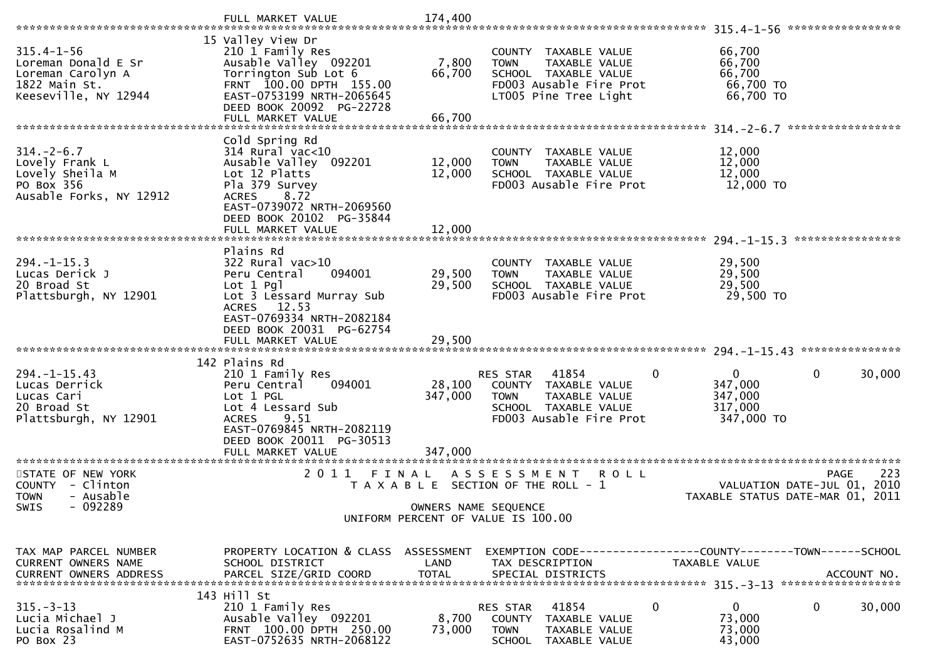|                                                                                                       | FULL MARKET VALUE                                                                                                                                                                                   | 174,400                      |                                                                                                                                   |                                                                                          |
|-------------------------------------------------------------------------------------------------------|-----------------------------------------------------------------------------------------------------------------------------------------------------------------------------------------------------|------------------------------|-----------------------------------------------------------------------------------------------------------------------------------|------------------------------------------------------------------------------------------|
|                                                                                                       |                                                                                                                                                                                                     |                              |                                                                                                                                   | *****************                                                                        |
| $315.4 - 1 - 56$<br>Loreman Donald E Sr<br>Loreman Carolyn A<br>1822 Main St.<br>Keeseville, NY 12944 | 15 Valley View Dr<br>210 1 Family Res<br>Ausable Valley 092201<br>Torrington Sub Lot 6<br>FRNT 100.00 DPTH 155.00<br>EAST-0753199 NRTH-2065645<br>DEED BOOK 20092 PG-22728                          | 7,800<br>66,700              | COUNTY TAXABLE VALUE<br><b>TOWN</b><br>TAXABLE VALUE<br>SCHOOL TAXABLE VALUE<br>FD003 Ausable Fire Prot<br>LT005 Pine Tree Light  | 66,700<br>66,700<br>66,700<br>66,700 TO<br>66,700 TO                                     |
|                                                                                                       | FULL MARKET VALUE                                                                                                                                                                                   | 66,700                       |                                                                                                                                   | *****************                                                                        |
| $314. - 2 - 6.7$<br>Lovely Frank L<br>Lovely Sheila M<br>PO Box 356<br>Ausable Forks, NY 12912        | Cold Spring Rd<br>314 Rural vac<10<br>Ausable Valley 092201<br>Lot 12 Platts<br>Pla 379 Survey<br><b>ACRES</b><br>8.72<br>EAST-0739072 NRTH-2069560<br>DEED BOOK 20102 PG-35844                     | 12,000<br>12,000             | COUNTY TAXABLE VALUE<br>TAXABLE VALUE<br><b>TOWN</b><br>SCHOOL TAXABLE VALUE<br>FD003 Ausable Fire Prot                           | 12,000<br>12,000<br>12,000<br>12,000 TO                                                  |
|                                                                                                       | FULL MARKET VALUE                                                                                                                                                                                   | 12,000                       |                                                                                                                                   | ****************                                                                         |
| $294. - 1 - 15.3$<br>Lucas Derick J<br>20 Broad St<br>Plattsburgh, NY 12901                           | Plains Rd<br>322 Rural vac>10<br>094001<br>Peru Central<br>$Lot 1$ Pgl<br>Lot 3 Lessard Murray Sub<br>ACRES 12.53                                                                                   | 29,500<br>29,500             | COUNTY<br>TAXABLE VALUE<br>TAXABLE VALUE<br><b>TOWN</b><br>SCHOOL TAXABLE VALUE<br>FD003 Ausable Fire Prot                        | 29,500<br>29,500<br>29,500<br>29,500 TO                                                  |
|                                                                                                       | EAST-0769334 NRTH-2082184<br>DEED BOOK 20031 PG-62754<br>FULL MARKET VALUE                                                                                                                          | 29,500                       |                                                                                                                                   |                                                                                          |
| $294. -1 -15.43$<br>Lucas Derrick<br>Lucas Cari<br>20 Broad St<br>Plattsburgh, NY 12901               | 142 Plains Rd<br>210 1 Family Res<br>094001<br>Peru Central<br>Lot 1 PGL<br>Lot 4 Lessard Sub<br>9.51<br><b>ACRES</b><br>EAST-0769845 NRTH-2082119<br>DEED BOOK 20011 PG-30513<br>FULL MARKET VALUE | 28,100<br>347,000<br>347,000 | RES STAR<br>41854<br>0<br>COUNTY TAXABLE VALUE<br>TAXABLE VALUE<br><b>TOWN</b><br>SCHOOL TAXABLE VALUE<br>FD003 Ausable Fire Prot | $\mathbf 0$<br>30,000<br>$\mathbf{0}$<br>347,000<br>347,000<br>317,000<br>347,000 TO     |
|                                                                                                       |                                                                                                                                                                                                     |                              |                                                                                                                                   |                                                                                          |
| STATE OF NEW YORK<br>COUNTY - Clinton<br>- Ausable<br><b>TOWN</b><br>$-092289$                        | 2011<br>FINAL                                                                                                                                                                                       |                              | A S S E S S M E N T<br>ROLL<br>T A X A B L E SECTION OF THE ROLL - 1                                                              | 223<br><b>PAGE</b><br>2010<br>VALUATION DATE-JUL 01,<br>TAXABLE STATUS DATE-MAR 01, 2011 |
| SWIS                                                                                                  |                                                                                                                                                                                                     | OWNERS NAME SEQUENCE         | UNIFORM PERCENT OF VALUE IS 100.00                                                                                                |                                                                                          |
| TAX MAP PARCEL NUMBER<br>CURRENT OWNERS NAME                                                          | PROPERTY LOCATION & CLASS ASSESSMENT<br>SCHOOL DISTRICT                                                                                                                                             | LAND                         | EXEMPTION CODE-----------------COUNTY-------TOWN------SCHOOL<br>TAX DESCRIPTION                                                   | TAXABLE VALUE                                                                            |
|                                                                                                       | 143 Hill St                                                                                                                                                                                         |                              |                                                                                                                                   |                                                                                          |
| $315. - 3 - 13$<br>Lucia Michael J<br>Lucia Rosalind M<br>PO Box 23                                   | 210 1 Family Res<br>Ausable Valley 092201<br>FRNT 100.00 DPTH 250.00<br>EAST-0752635 NRTH-2068122                                                                                                   | 8,700<br>73,000              | 41854<br>0<br>RES STAR<br><b>COUNTY</b><br>TAXABLE VALUE<br><b>TOWN</b><br>TAXABLE VALUE<br>SCHOOL<br>TAXABLE VALUE               | $\overline{0}$<br>0<br>30,000<br>73,000<br>73,000<br>43,000                              |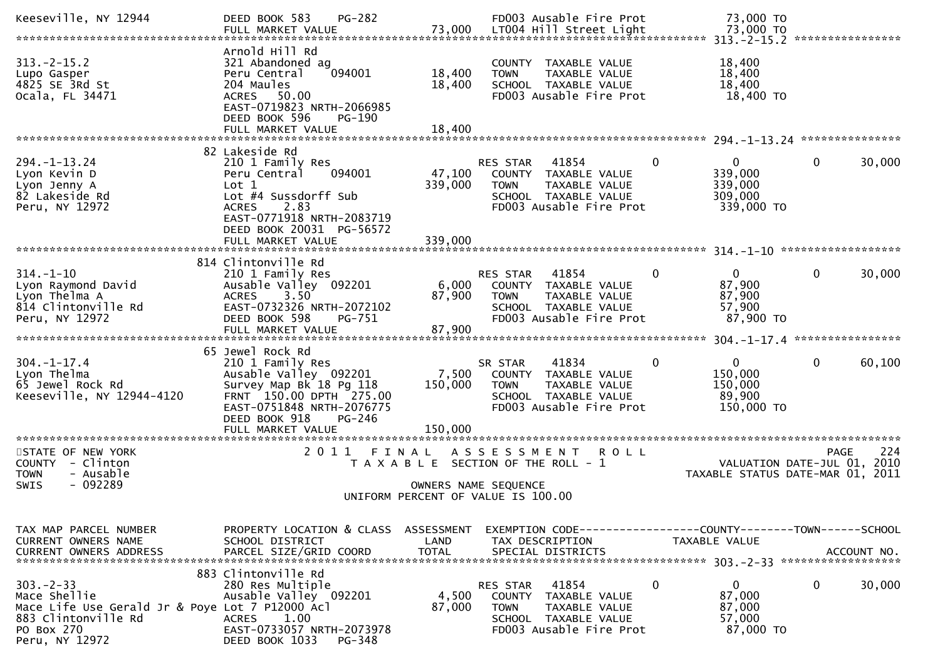| Keeseville, NY 12944                                                                                                                     | <b>PG-282</b><br>DEED BOOK 583<br>FULL MARKET VALUE                                                                                                                                | 73,000                     | FD003 Ausable Fire Prot<br>LT004 Hill Street Light                                                                                     |              | 73,000 TO<br>73,000 TO                                      |                                                                                          |
|------------------------------------------------------------------------------------------------------------------------------------------|------------------------------------------------------------------------------------------------------------------------------------------------------------------------------------|----------------------------|----------------------------------------------------------------------------------------------------------------------------------------|--------------|-------------------------------------------------------------|------------------------------------------------------------------------------------------|
| $313 - 2 - 15.2$<br>Lupo Gasper<br>4825 SE 3Rd St<br>Ocala, FL 34471                                                                     | Arnold Hill Rd<br>321 Abandoned ag<br>Peru Central<br>094001<br>204 Maules<br>ACRES 50.00<br>EAST-0719823 NRTH-2066985<br>DEED BOOK 596<br>PG-190<br>FULL MARKET VALUE             | 18,400<br>18,400<br>18,400 | COUNTY TAXABLE VALUE<br>TAXABLE VALUE<br><b>TOWN</b><br>SCHOOL TAXABLE VALUE<br>FD003 Ausable Fire Prot                                |              | 18,400<br>18,400<br>18,400<br>18,400 TO                     |                                                                                          |
|                                                                                                                                          |                                                                                                                                                                                    |                            |                                                                                                                                        |              |                                                             |                                                                                          |
| $294. - 1 - 13.24$<br>Lyon Kevin D<br>Lyon Jenny A<br>82 Lakeside Rd<br>Peru, NY 12972                                                   | 82 Lakeside Rd<br>210 1 Family Res<br>094001<br>Peru Central<br>Lot 1<br>Lot #4 Sussdorff Sub<br>2.83<br><b>ACRES</b><br>EAST-0771918 NRTH-2083719<br>DEED BOOK 20031 PG-56572     | 47,100<br>339,000          | 41854<br>RES STAR<br>COUNTY TAXABLE VALUE<br>TAXABLE VALUE<br><b>TOWN</b><br>SCHOOL TAXABLE VALUE<br>FD003 Ausable Fire Prot           | $\mathbf{0}$ | $\mathbf{0}$<br>339,000<br>339,000<br>309,000<br>339,000 TO | 0<br>30,000                                                                              |
|                                                                                                                                          | FULL MARKET VALUE                                                                                                                                                                  | 339,000                    |                                                                                                                                        |              |                                                             | 314.-1-10 ********************                                                           |
| $314. - 1 - 10$<br>Lyon Raymond David<br>Lyon Thelma A<br>814 Clintonville Rd<br>Peru, NY 12972                                          | 814 Clintonville Rd<br>210 1 Family Res<br>Ausable Valley 092201<br>3.50<br><b>ACRES</b><br>EAST-0732326 NRTH-2072102<br>DEED BOOK 598<br>PG-751<br>FULL MARKET VALUE              | 6,000<br>87,900<br>87,900  | RES STAR<br>41854<br>COUNTY TAXABLE VALUE<br><b>TOWN</b><br>TAXABLE VALUE<br>SCHOOL TAXABLE VALUE<br>FD003 Ausable Fire Prot           | 0            | $\mathbf{0}$<br>87,900<br>87,900<br>57,900<br>87,900 TO     | 30,000<br>0                                                                              |
|                                                                                                                                          |                                                                                                                                                                                    |                            |                                                                                                                                        |              |                                                             | ****************                                                                         |
| $304. - 1 - 17.4$<br>Lyon Thelma<br>65 Jewel Rock Rd<br>Keeseville, NY 12944-4120                                                        | 65 Jewel Rock Rd<br>210 1 Family Res<br>Ausable Valley 092201<br>Survey Map Bk 18 Pg 118<br>FRNT 150.00 DPTH 275.00<br>EAST-0751848 NRTH-2076775<br>DEED BOOK 918<br><b>PG-246</b> | 7,500<br>150,000           | 41834<br>SR STAR<br>COUNTY TAXABLE VALUE<br><b>TOWN</b><br>TAXABLE VALUE<br>SCHOOL TAXABLE VALUE<br>FD003 Ausable Fire Prot            | $\mathbf{0}$ | $\mathbf{0}$<br>150,000<br>150,000<br>89,900<br>150,000 TO  | 0<br>60,100                                                                              |
|                                                                                                                                          | FULL MARKET VALUE<br>***********************                                                                                                                                       | 150,000<br>**************  |                                                                                                                                        |              |                                                             |                                                                                          |
| STATE OF NEW YORK<br>COUNTY - Clinton<br><b>TOWN</b><br>- Ausable<br>$-092289$<br>SWIS                                                   | 2011 FINAL                                                                                                                                                                         |                            | A S S E S S M E N T<br>T A X A B L E SECTION OF THE ROLL - 1<br>OWNERS NAME SEQUENCE<br>UNIFORM PERCENT OF VALUE IS 100.00             | <b>ROLL</b>  |                                                             | 224<br><b>PAGE</b><br>2010<br>VALUATION DATE-JUL 01,<br>TAXABLE STATUS DATE-MAR 01, 2011 |
| TAX MAP PARCEL NUMBER<br>CURRENT OWNERS NAME<br><b>CURRENT OWNERS ADDRESS</b>                                                            | PROPERTY LOCATION & CLASS ASSESSMENT<br>SCHOOL DISTRICT<br>PARCEL SIZE/GRID COORD                                                                                                  | LAND<br><b>TOTAL</b>       | EXEMPTION        CODE-----------------COUNTY-------TOWN------SCHOOL<br>TAX DESCRIPTION<br>SPECIAL DISTRICTS                            |              | TAXABLE VALUE                                               | ACCOUNT NO.                                                                              |
| $303 - 2 - 33$<br>Mace Shellie<br>Mace Life Use Gerald Jr & Poye Lot 7 P12000 Acl<br>883 Clintonville Rd<br>PO Box 270<br>Peru, NY 12972 | 883 Clintonville Rd<br>280 Res Multiple<br>Ausable Valley 092201<br><b>ACRES</b><br>1.00<br>EAST-0733057 NRTH-2073978<br>DEED BOOK 1033<br>PG-348                                  | 4,500<br>87,000            | 41854<br>RES STAR<br><b>COUNTY</b><br>TAXABLE VALUE<br><b>TOWN</b><br>TAXABLE VALUE<br>SCHOOL TAXABLE VALUE<br>FD003 Ausable Fire Prot | $\mathbf 0$  | $\mathbf{0}$<br>87,000<br>87,000<br>57,000<br>87,000 TO     | 0<br>30,000                                                                              |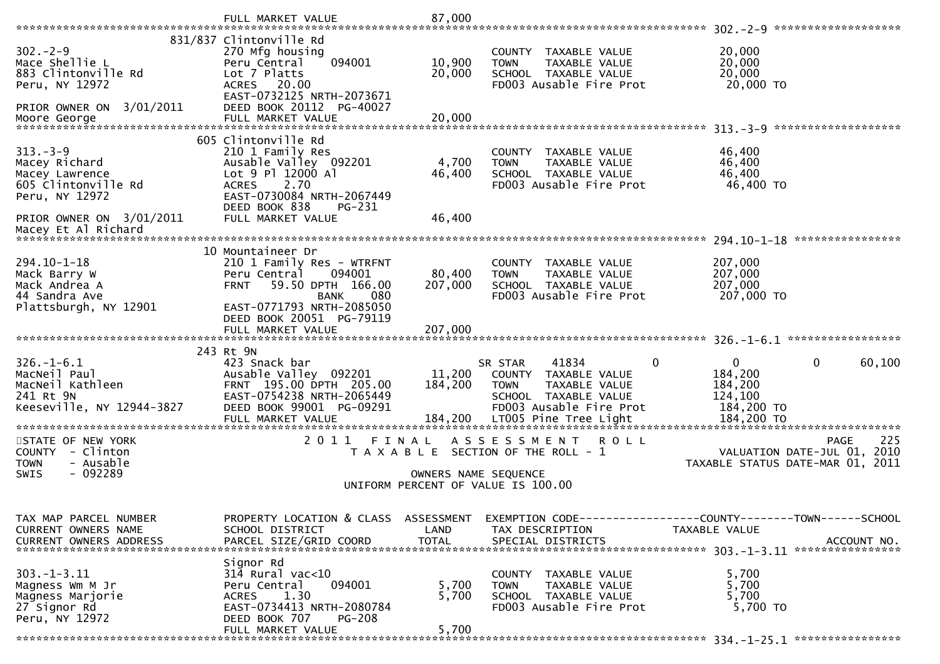|                                                                                                | FULL MARKET VALUE                                                                                                                                                                           | 87,000                  |                                                                                                                                            | 302. - 2 - 9 *********************                                                          |
|------------------------------------------------------------------------------------------------|---------------------------------------------------------------------------------------------------------------------------------------------------------------------------------------------|-------------------------|--------------------------------------------------------------------------------------------------------------------------------------------|---------------------------------------------------------------------------------------------|
| $302 - 2 - 9$<br>Mace Shellie L<br>883 Clintonville Rd<br>Peru, NY 12972                       | 831/837 Clintonville Rd<br>270 Mfg housing<br>094001<br>Peru Central<br>Lot 7 Platts<br><b>ACRES</b><br>20.00<br>EAST-0732125 NRTH-2073671                                                  | 10,900<br>20,000        | COUNTY<br>TAXABLE VALUE<br>TAXABLE VALUE<br><b>TOWN</b><br>SCHOOL TAXABLE VALUE<br>FD003 Ausable Fire Prot                                 | 20,000<br>20,000<br>20,000<br>20,000 TO                                                     |
| PRIOR OWNER ON 3/01/2011                                                                       | DEED BOOK 20112 PG-40027                                                                                                                                                                    |                         |                                                                                                                                            |                                                                                             |
| $313. - 3 - 9$<br>Macey Richard<br>Macey Lawrence<br>605 Clintonville Rd<br>Peru, NY 12972     | 605 Clintonville Rd<br>210 1 Family Res<br>Ausable Valley 092201<br>Lot 9 Pl 12000 Al<br>2.70<br><b>ACRES</b><br>EAST-0730084 NRTH-2067449<br>DEED BOOK 838<br>PG-231                       | 4,700<br>46,400         | TAXABLE VALUE<br>COUNTY<br>TAXABLE VALUE<br><b>TOWN</b><br>SCHOOL TAXABLE VALUE<br>FD003 Ausable Fire Prot                                 | 46,400<br>46,400<br>46,400<br>46,400 TO                                                     |
| PRIOR OWNER ON 3/01/2011<br>Macey Et Al Richard                                                | FULL MARKET VALUE                                                                                                                                                                           | 46,400                  |                                                                                                                                            | $294.10 - 1 - 18$<br>****************                                                       |
| $294.10 - 1 - 18$<br>Mack Barry W<br>Mack Andrea A<br>44 Sandra Ave<br>Plattsburgh, NY 12901   | 10 Mountaineer Dr<br>210 1 Family Res - WTRFNT<br>094001<br>Peru Central<br>59.50 DPTH 166.00<br><b>FRNT</b><br>080<br><b>BANK</b><br>EAST-0771793 NRTH-2085050<br>DEED BOOK 20051 PG-79119 | 80,400<br>207,000       | <b>COUNTY</b><br>TAXABLE VALUE<br>TAXABLE VALUE<br><b>TOWN</b><br>SCHOOL TAXABLE VALUE<br>FD003 Ausable Fire Prot                          | 207,000<br>207,000<br>207,000<br>207,000 TO                                                 |
|                                                                                                | FULL MARKET VALUE                                                                                                                                                                           | 207,000                 |                                                                                                                                            |                                                                                             |
| $326. - 1 - 6.1$<br>MacNeil Paul<br>MacNeil Kathleen<br>241 Rt 9N<br>Keeseville, NY 12944-3827 | 243 Rt 9N<br>423 Snack bar<br>Ausable Valley 092201<br>FRNT 195.00 DPTH 205.00<br>EAST-0754238 NRTH-2065449<br>DEED BOOK 99001 PG-09291                                                     | 11,200<br>184,200       | 41834<br>SR STAR<br>$\Omega$<br>COUNTY<br>TAXABLE VALUE<br><b>TOWN</b><br>TAXABLE VALUE<br>SCHOOL TAXABLE VALUE<br>FD003 Ausable Fire Prot | 0<br>0<br>60,100<br>184,200<br>184,200<br>124,100<br>184,200 TO<br>184,200 TO               |
| STATE OF NEW YORK<br>COUNTY - Clinton<br><b>TOWN</b><br>- Ausable                              | 2011<br>FINAL                                                                                                                                                                               |                         | A S S E S S M E N T<br>ROLL<br>T A X A B L E SECTION OF THE ROLL - 1                                                                       | 225<br><b>PAGE</b><br>VALUATION DATE-JUL 01,<br>2010<br>TAXABLE STATUS DATE-MAR 01,<br>2011 |
| $-092289$<br>SWIS                                                                              |                                                                                                                                                                                             | OWNERS NAME SEQUENCE    | UNIFORM PERCENT OF VALUE IS 100.00                                                                                                         |                                                                                             |
| TAX MAP PARCEL NUMBER<br><b>CURRENT OWNERS NAME</b><br>CURRENT OWNERS ADDRESS                  | PROPERTY LOCATION & CLASS ASSESSMENT<br>SCHOOL DISTRICT<br>PARCEL SIZE/GRID COORD                                                                                                           | LAND<br><b>TOTAL</b>    | EXEMPTION        CODE-----------------COUNTY-------TOWN------SCHOOL<br>TAX DESCRIPTION<br>SPECIAL DISTRICTS                                | <b>TAXABLE VALUE</b><br>ACCOUNT NO.                                                         |
| 303. - 1 - 3.11<br>Magness Wm M Jr<br>Magness Marjorie<br>27 Signor Rd<br>Peru, NY 12972       | Signor Rd<br>314 Rural vac<10<br>094001<br>Peru Central<br>1.30<br><b>ACRES</b><br>EAST-0734413 NRTH-2080784<br>DEED BOOK 707<br><b>PG-208</b><br>FULL MARKET VALUE                         | 5,700<br>5,700<br>5,700 | COUNTY TAXABLE VALUE<br>TAXABLE VALUE<br><b>TOWN</b><br>SCHOOL TAXABLE VALUE<br>FD003 Ausable Fire Prot                                    | 5,700<br>5,700<br>5,700<br>5,700 TO                                                         |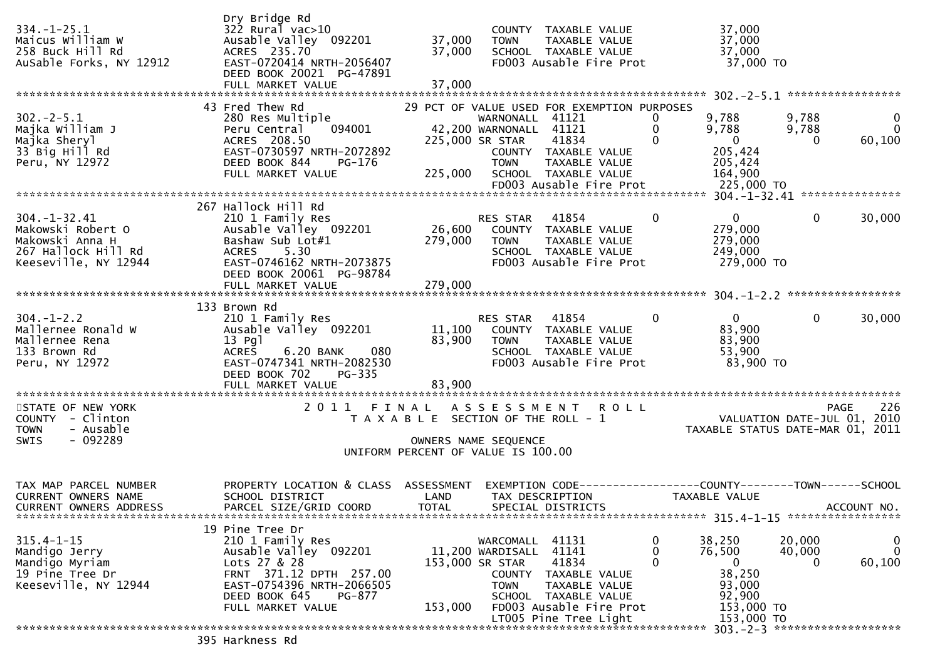| $334. - 1 - 25.1$<br>Maicus William W<br>258 Buck Hill Rd<br>AuSable Forks, NY 12912 | Dry Bridge Rd<br>$322$ Rural vac $>10$<br>Ausable Valley 092201<br>ACRES 235.70<br>EAST-0720414 NRTH-2056407<br>DEED BOOK 20021 PG-47891<br>FULL MARKET VALUE | 37,000<br>37,000<br>37,000                                 | <b>TOWN</b>                               | COUNTY TAXABLE VALUE<br>TAXABLE VALUE<br>SCHOOL TAXABLE VALUE<br>FD003 Ausable Fire Prot |             | 37,000<br>37,000<br>37,000<br>37,000 TO                                 |                    |                            |
|--------------------------------------------------------------------------------------|---------------------------------------------------------------------------------------------------------------------------------------------------------------|------------------------------------------------------------|-------------------------------------------|------------------------------------------------------------------------------------------|-------------|-------------------------------------------------------------------------|--------------------|----------------------------|
|                                                                                      | 43 Fred Thew Rd                                                                                                                                               |                                                            |                                           | 29 PCT OF VALUE USED FOR EXEMPTION PURPOSES                                              |             |                                                                         |                    |                            |
| $302 - 2 - 5.1$<br>Majka William J                                                   | 280 Res Multiple<br>094001<br>Peru Central                                                                                                                    |                                                            | WARNONALL 41121<br>42,200 WARNONALL 41121 |                                                                                          | 0           | 9,788<br>9,788                                                          | 9,788<br>9,788     | $\mathbf 0$<br>$\mathbf 0$ |
| Majka Sheryl                                                                         | ACRES 208.50                                                                                                                                                  |                                                            | 225,000 SR STAR                           | 41834                                                                                    |             | $\overline{\phantom{0}}$                                                | $\Omega$           | 60,100                     |
| 33 Big Hill Rd                                                                       | EAST-0730597 NRTH-2072892                                                                                                                                     |                                                            |                                           | COUNTY TAXABLE VALUE                                                                     |             | 205,424                                                                 |                    |                            |
| Peru, NY 12972                                                                       | DEED BOOK 844<br>PG-176<br>FULL MARKET VALUE                                                                                                                  | 225,000                                                    | <b>TOWN</b>                               | TAXABLE VALUE<br>SCHOOL TAXABLE VALUE                                                    |             | 205,424<br>164,900                                                      |                    |                            |
|                                                                                      |                                                                                                                                                               |                                                            |                                           | FD003 Ausable Fire Prot                                                                  |             | 225,000 TO                                                              |                    |                            |
|                                                                                      | 267 Hallock Hill Rd                                                                                                                                           |                                                            |                                           |                                                                                          |             |                                                                         |                    |                            |
| $304. - 1 - 32.41$                                                                   | 210 1 Family Res                                                                                                                                              |                                                            | RES STAR                                  | 41854                                                                                    | $\Omega$    | $\mathbf{0}$                                                            | $\mathbf{0}$       | 30,000                     |
| Makowski Robert O<br>Makowski Anna H                                                 | Ausable Valley 092201<br>Bashaw Sub Lot#1                                                                                                                     | 279,000                                                    | <b>TOWN</b>                               | 26,600 COUNTY TAXABLE VALUE<br>TAXABLE VALUE                                             |             | 279,000<br>279,000                                                      |                    |                            |
| 267 Hallock Hill Rd                                                                  | 5.30<br><b>ACRES</b>                                                                                                                                          |                                                            |                                           | SCHOOL TAXABLE VALUE                                                                     |             | 249,000                                                                 |                    |                            |
| Keeseville, NY 12944                                                                 | EAST-0746162 NRTH-2073875<br>DEED BOOK 20061 PG-98784                                                                                                         |                                                            |                                           | FD003 Ausable Fire Prot                                                                  |             | 279,000 TO                                                              |                    |                            |
|                                                                                      |                                                                                                                                                               |                                                            |                                           |                                                                                          |             |                                                                         |                    |                            |
|                                                                                      |                                                                                                                                                               |                                                            |                                           |                                                                                          |             |                                                                         |                    |                            |
| $304. - 1 - 2.2$                                                                     | 133 Brown Rd<br>210 1 Family Res                                                                                                                              |                                                            | RES STAR                                  | 41854                                                                                    | $\mathbf 0$ | $\mathbf{0}$                                                            | $\mathbf{0}$       | 30,000                     |
| Mallernee Ronald W                                                                   | Ausable Valley 092201                                                                                                                                         |                                                            |                                           | 11,100 COUNTY TAXABLE VALUE                                                              |             | 83,900                                                                  |                    |                            |
| Mallernee Rena<br>133 Brown Rd                                                       | $13$ Pgl<br>080<br><b>ACRES</b><br>6.20 BANK                                                                                                                  | 83,900                                                     | <b>TOWN</b>                               | TAXABLE VALUE<br>SCHOOL TAXABLE VALUE                                                    |             | 83,900<br>53,900                                                        |                    |                            |
| Peru, NY 12972                                                                       | EAST-0747341 NRTH-2082530                                                                                                                                     |                                                            |                                           | FD003 Ausable Fire Prot                                                                  |             | 83,900 TO                                                               |                    |                            |
|                                                                                      | DEED BOOK 702<br>PG-335<br>FULL MARKET VALUE                                                                                                                  | 83,900                                                     |                                           |                                                                                          |             |                                                                         |                    |                            |
|                                                                                      |                                                                                                                                                               |                                                            |                                           |                                                                                          |             |                                                                         |                    |                            |
| STATE OF NEW YORK<br>COUNTY - Clinton                                                | 2011                                                                                                                                                          | FINAL<br>T A X A B L E SECTION OF THE ROLL - 1             |                                           | ASSESSMENT ROLL                                                                          |             | PAGE 226<br>VALUATION DATE-JUL 01, 2010<br>TAXABLE STATUS DATE 119 24 1 |                    |                            |
| - Ausable<br><b>TOWN</b>                                                             |                                                                                                                                                               |                                                            |                                           |                                                                                          |             | TAXABLE STATUS DATE-MAR 01, 2011                                        |                    |                            |
| $-092289$<br><b>SWIS</b>                                                             |                                                                                                                                                               | OWNERS NAME SEQUENCE<br>UNIFORM PERCENT OF VALUE IS 100.00 |                                           |                                                                                          |             |                                                                         |                    |                            |
|                                                                                      |                                                                                                                                                               |                                                            |                                           |                                                                                          |             |                                                                         |                    |                            |
|                                                                                      |                                                                                                                                                               |                                                            |                                           |                                                                                          |             |                                                                         |                    |                            |
| TAX MAP PARCEL NUMBER<br><b>CURRENT OWNERS NAME</b>                                  | PROPERTY LOCATION & CLASS ASSESSMENT<br>SCHOOL DISTRICT                                                                                                       | LAND                                                       |                                           | EXEMPTION CODE-----------------COUNTY-------TOWN------SCHOOL<br>TAX DESCRIPTION          |             | <b>TAXABLE VALUE</b>                                                    |                    |                            |
| CURRENT OWNERS ADDRESS                                                               | PARCEL SIZE/GRID COORD                                                                                                                                        | <b>TOTAL</b>                                               |                                           | SPECIAL DISTRICTS                                                                        |             |                                                                         |                    | ACCOUNT NO.                |
|                                                                                      | 19 Pine Tree Dr                                                                                                                                               |                                                            |                                           |                                                                                          |             |                                                                         |                    |                            |
| $315.4 - 1 - 15$                                                                     | 210 1 Family Res                                                                                                                                              |                                                            | WARCOMALL 41131                           |                                                                                          | 0           | 38,250                                                                  | 20,000             | $\boldsymbol{0}$           |
| Mandigo Jerry<br>Mandigo Myriam                                                      | Ausable Valley 092201<br>Lots 27 & 28                                                                                                                         |                                                            | 11,200 WARDISALL 41141<br>153,000 SR STAR | 41834                                                                                    | 0           | 76,500<br>$\mathbf{0}$                                                  | 40,000<br>$\Omega$ | $\mathbf 0$<br>60,100      |
| 19 Pine Tree Dr                                                                      | FRNT 371.12 DPTH 257.00                                                                                                                                       |                                                            |                                           | COUNTY TAXABLE VALUE                                                                     |             | 38,250                                                                  |                    |                            |
| Keeseville, NY 12944                                                                 | EAST-0754396 NRTH-2066505<br>DEED BOOK 645<br>PG-877                                                                                                          |                                                            | <b>TOWN</b>                               | TAXABLE VALUE<br>SCHOOL TAXABLE VALUE                                                    |             | 93,000<br>92,900                                                        |                    |                            |
|                                                                                      | FULL MARKET VALUE                                                                                                                                             | 153,000                                                    |                                           | FD003 Ausable Fire Prot                                                                  |             | 153,000 TO                                                              |                    |                            |
|                                                                                      |                                                                                                                                                               |                                                            |                                           | LT005 Pine Tree Light                                                                    |             | 153,000 TO                                                              |                    |                            |
|                                                                                      |                                                                                                                                                               |                                                            |                                           |                                                                                          |             |                                                                         |                    |                            |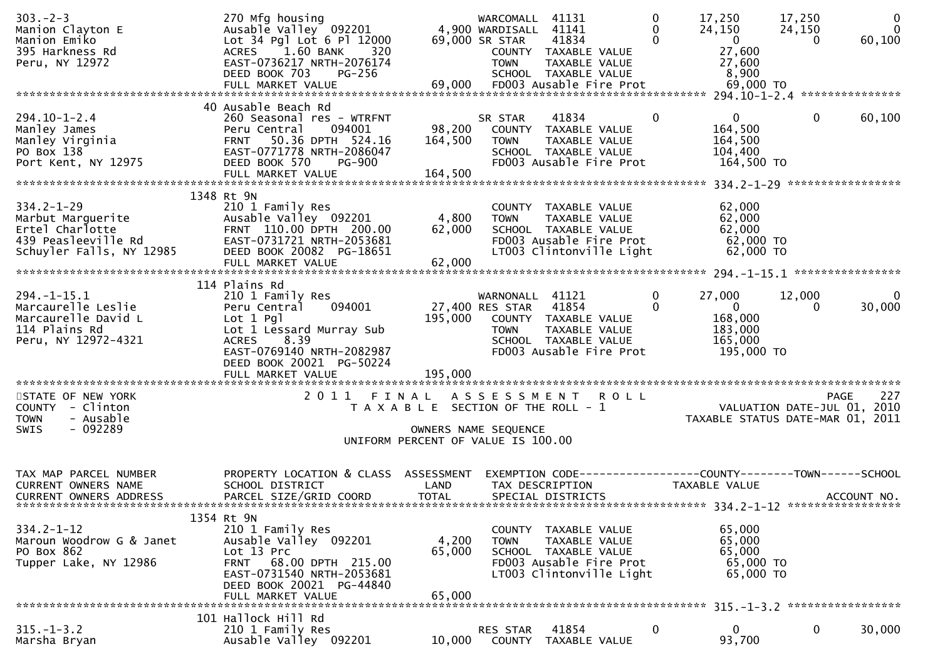| $303 - 2 - 3$<br>Manion Clayton E<br>Manion Emiko<br>395 Harkness Rd<br>Peru, NY 12972                                           | 270 Mfg housing<br>Ausable Valley 092201<br>Lot 34 Pgl Lot 6 Pl 12000<br>ACRES 1.60 BANK<br>320<br>EAST-0736217 NRTH-2076174<br>DEED BOOK 703<br>PG-256                                                      |                                                                                      | WARCOMALL<br>4,900 WARDISALL 41141<br>69,000 SR STAR<br><b>TOWN</b> | 41131<br>41834<br>COUNTY TAXABLE VALUE<br>TAXABLE VALUE<br>SCHOOL TAXABLE VALUE                                      | $\mathbf 0$<br>0<br>$\mathbf 0$ | 17,250<br>24,150<br>$\mathbf{0}$<br>27,600<br>27,600<br>8,900            | 17,250<br>24,150<br>$\Omega$        | $\mathbf 0$<br>$\mathbf 0$<br>60,100 |
|----------------------------------------------------------------------------------------------------------------------------------|--------------------------------------------------------------------------------------------------------------------------------------------------------------------------------------------------------------|--------------------------------------------------------------------------------------|---------------------------------------------------------------------|----------------------------------------------------------------------------------------------------------------------|---------------------------------|--------------------------------------------------------------------------|-------------------------------------|--------------------------------------|
| $294.10 - 1 - 2.4$<br>294.10 1 1<br>Manley James<br>Manley Virginia<br>Colloy 138<br>Port Kent, NY 12975                         | 40 Ausable Beach Rd<br>260 Seasonal res - WTRFNT<br>094001<br>Peru Central<br>50.36 DPTH 524.16<br><b>FRNT</b><br>EAST-0771778 NRTH-2086047<br>DEED BOOK 570<br><b>PG-900</b><br>FULL MARKET VALUE           | 98,200<br>164,500<br>164,500                                                         | SR STAR<br><b>TOWN</b>                                              | 41834<br>COUNTY TAXABLE VALUE<br>TAXABLE VALUE<br>SCHOOL TAXABLE VALUE<br>FD003 Ausable Fire Prot                    | $\bf{0}$                        | $\mathbf{0}$<br>164,500<br>164,500<br>104,400<br>164,500 TO              | 0                                   | 60,100                               |
| $334.2 - 1 - 29$<br>Marbut Marguerite<br>Marbut Marguerite<br>Ertel Charlotte<br>439 Peasleeville Rd<br>Schuyler Falls, NY 12985 | 1348 Rt 9N<br>210 1 Family Res<br>Ausable Valley 092201<br>FRNT 110.00 DPTH 200.00<br>EAST-0731721 NRTH-2053681<br>DEED BOOK 20082 PG-18651<br>FULL MARKET VALUE                                             | 4,800<br>62,000<br>62,000                                                            | <b>TOWN</b>                                                         | COUNTY TAXABLE VALUE<br>TAXABLE VALUE<br>SCHOOL TAXABLE VALUE<br>FD003 Ausable Fire Prot<br>LT003 Clintonville Light |                                 | 62,000<br>62,000<br>62,000<br>62,000 TO<br>62,000 TO                     |                                     |                                      |
| $294. -1 - 15.1$<br>Marcaurelle Leslie<br>Marcaurelle David L<br>114 Plains Rd<br>Peru, NY 12972-4321                            | 114 Plains Rd<br>210 1 Family Res<br>094001<br>Peru Central<br>$Lot 1$ Pgl<br>Lot 1 Lessard Murray Sub<br><b>ACRES</b><br>8.39<br>EAST-0769140 NRTH-2082987<br>DEED BOOK 20021 PG-50224<br>FULL MARKET VALUE | 195,000                                                                              | WARNONALL 41121<br>27,400 RES STAR<br><b>TOWN</b>                   | 41854<br>195,000 COUNTY TAXABLE VALUE<br>TAXABLE VALUE<br>SCHOOL TAXABLE VALUE<br>FD003 Ausable Fire Prot            | $\mathbf{0}$<br>$\mathbf 0$     | 27,000<br>$\overline{0}$<br>168,000<br>183,000<br>165,000<br>195,000 TO  | 12,000<br>0                         | 0<br>30,000                          |
| STATE OF NEW YORK<br>COUNTY - Clinton<br>- Ausable<br><b>TOWN</b><br>$-092289$<br>SWIS                                           | 2 0 1 1                                                                                                                                                                                                      | FINAL<br>T A X A B L E SECTION OF THE ROLL - 1<br>UNIFORM PERCENT OF VALUE IS 100.00 | OWNERS NAME SEQUENCE                                                | ASSESSMENT ROLL                                                                                                      |                                 | ) L L<br>VALUATION DATE-JUL 01, 2010<br>TAXABLE STATUS DATE-MAR 01, 2011 |                                     | 227<br><b>PAGE</b>                   |
| TAX MAP PARCEL NUMBER<br><b>CURRENT OWNERS NAME</b><br><b>CURRENT OWNERS ADDRESS</b>                                             | PROPERTY LOCATION & CLASS ASSESSMENT<br>SCHOOL DISTRICT<br>PARCEL SIZE/GRID COORD                                                                                                                            | LAND<br><b>TOTAL</b>                                                                 |                                                                     | EXEMPTION CODE-----------------COUNTY-------TOWN------SCHOOL<br>TAX DESCRIPTION<br>SPECIAL DISTRICTS                 |                                 | TAXABLE VALUE                                                            |                                     | ACCOUNT NO.                          |
| $334.2 - 1 - 12$<br>Maroun Woodrow G & Janet<br>PO Box 862<br>Tupper Lake, NY 12986                                              | 1354 Rt 9N<br>210 1 Family Res<br>Ausable Valley 092201<br>Lot 13 Prc<br>FRNT 68.00 DPTH 215.00<br>EAST-0731540 NRTH-2053681<br>DEED BOOK 20021 PG-44840<br>FULL MARKET VALUE                                | 4,200<br>65,000<br>65,000                                                            | <b>TOWN</b>                                                         | COUNTY TAXABLE VALUE<br>TAXABLE VALUE<br>SCHOOL TAXABLE VALUE<br>FD003 Ausable Fire Prot<br>LT003 Clintonville Light |                                 | 65,000<br>65,000<br>65,000<br>65,000 TO<br>65,000 TO                     |                                     |                                      |
| $315. - 1 - 3.2$<br>Marsha Bryan                                                                                                 | 101 Hallock Hill Rd<br>210 1 Family Res<br>Ausable Valley 092201                                                                                                                                             | 10,000                                                                               | RES STAR<br>COUNTY                                                  | 41854<br>TAXABLE VALUE                                                                                               | 0                               | 0<br>93,700                                                              | 315. -1-3.2 ******************<br>0 | 30,000                               |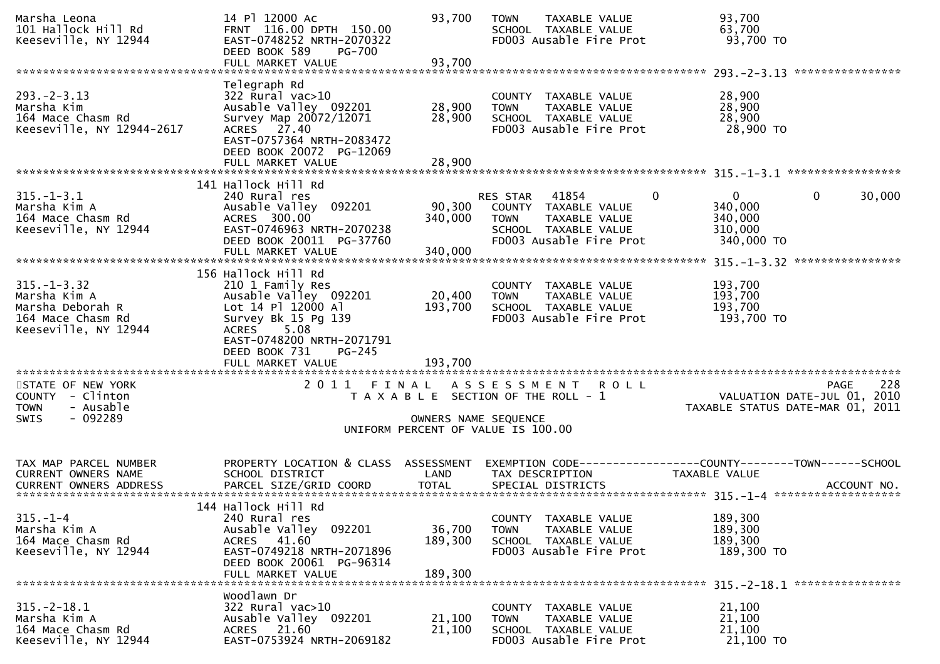| Marsha Leona<br>101 Hallock Hill Rd<br>Keeseville, NY 12944                                        | 14 Pl 12000 Ac<br>FRNT 116.00 DPTH 150.00<br>EAST-0748252 NRTH-2070322<br>DEED BOOK 589<br><b>PG-700</b><br>FULL MARKET VALUE                                      | 93,700<br>93,700             | <b>TOWN</b><br>TAXABLE VALUE<br>SCHOOL TAXABLE VALUE<br>FD003 Ausable Fire Prot                                                   | 93,700<br>63,700<br>93,700 TO                                                         |
|----------------------------------------------------------------------------------------------------|--------------------------------------------------------------------------------------------------------------------------------------------------------------------|------------------------------|-----------------------------------------------------------------------------------------------------------------------------------|---------------------------------------------------------------------------------------|
|                                                                                                    |                                                                                                                                                                    |                              |                                                                                                                                   |                                                                                       |
| $293. - 2 - 3.13$<br>Marsha Kim<br>164 Mace Chasm Rd<br>Keeseville, NY 12944-2617                  | Telegraph Rd<br>322 Rural vac>10<br>Ausable Valley 092201<br>Survey Map 20072/12071<br>ACRES 27.40<br>EAST-0757364 NRTH-2083472<br>DEED BOOK 20072 PG-12069        | 28,900<br>28,900             | COUNTY TAXABLE VALUE<br>TAXABLE VALUE<br><b>TOWN</b><br>SCHOOL TAXABLE VALUE<br>FD003 Ausable Fire Prot                           | 28,900<br>28,900<br>28,900<br>28,900 TO                                               |
|                                                                                                    | FULL MARKET VALUE                                                                                                                                                  | 28,900                       |                                                                                                                                   |                                                                                       |
|                                                                                                    |                                                                                                                                                                    |                              |                                                                                                                                   |                                                                                       |
| $315. - 1 - 3.1$<br>Marsha Kim A<br>164 Mace Chasm Rd<br>Keeseville, NY 12944                      | 141 Hallock Hill Rd<br>240 Rural res<br>Ausable Valley 092201<br>ACRES 300.00<br>EAST-0746963 NRTH-2070238<br>DEED BOOK 20011 PG-37760<br>FULL MARKET VALUE        | 90,300<br>340,000<br>340,000 | 41854<br>0<br>RES STAR<br>COUNTY TAXABLE VALUE<br>TAXABLE VALUE<br><b>TOWN</b><br>SCHOOL TAXABLE VALUE<br>FD003 Ausable Fire Prot | $\Omega$<br>$\mathbf 0$<br>30,000<br>340,000<br>340,000<br>310,000<br>340,000 TO      |
|                                                                                                    |                                                                                                                                                                    |                              |                                                                                                                                   |                                                                                       |
| $315. - 1 - 3.32$<br>Marsha Kim A<br>Marsha Deborah R<br>164 Mace Chasm Rd<br>Keeseville, NY 12944 | 156 Hallock Hill Rd<br>210 1 Family Res<br>Ausable Valley 092201<br>Lot 14 Pl 12000 Al<br>Survey Bk 15 Pg 139<br><b>ACRES</b><br>5.08<br>EAST-0748200 NRTH-2071791 | 20,400<br>193,700            | COUNTY TAXABLE VALUE<br>TAXABLE VALUE<br><b>TOWN</b><br>SCHOOL TAXABLE VALUE<br>FD003 Ausable Fire Prot                           | 193,700<br>193,700<br>193,700<br>193,700 TO                                           |
|                                                                                                    | DEED BOOK 731<br>PG-245<br>FULL MARKET VALUE                                                                                                                       | 193,700                      |                                                                                                                                   |                                                                                       |
| STATE OF NEW YORK<br>COUNTY - Clinton<br>- Ausable<br><b>TOWN</b><br>$-092289$<br>SWIS             | 2011 FINAL                                                                                                                                                         | OWNERS NAME SEQUENCE         | ASSESSMENT ROLL<br>T A X A B L E SECTION OF THE ROLL - 1                                                                          | 228<br><b>PAGE</b><br>VALUATION DATE-JUL 01, 2010<br>TAXABLE STATUS DATE-MAR 01, 2011 |
|                                                                                                    |                                                                                                                                                                    |                              | UNIFORM PERCENT OF VALUE IS 100.00                                                                                                |                                                                                       |
| TAX MAP PARCEL NUMBER<br><b>CURRENT OWNERS NAME</b>                                                | PROPERTY LOCATION & CLASS ASSESSMENT<br>SCHOOL DISTRICT                                                                                                            | LAND                         | TAX DESCRIPTION                                                                                                                   | EXEMPTION CODE------------------COUNTY--------TOWN------SCHOOL<br>TAXABLE VALUE       |
| $315. - 1 - 4$<br>Marsha Kim A<br>164 Mace Chasm Rd<br>Keeseville, NY 12944                        | 144 Hallock Hill Rd<br>240 Rural res<br>Ausable Valley 092201<br>ACRES 41.60<br>EAST-0749218 NRTH-2071896<br>DEED BOOK 20061 PG-96314<br>FULL MARKET VALUE         | 36,700<br>189,300<br>189,300 | COUNTY TAXABLE VALUE<br>TAXABLE VALUE<br><b>TOWN</b><br>SCHOOL TAXABLE VALUE<br>FD003 Ausable Fire Prot                           | 189,300<br>189,300<br>189,300<br>189,300 TO                                           |
| $315. - 2 - 18.1$<br>Marsha Kim A<br>164 Mace Chasm Rd<br>Keeseville, NY 12944                     | Woodlawn Dr<br>322 Rural vac>10<br>Ausable Valley 092201<br>ACRES 21.60<br>EAST-0753924 NRTH-2069182                                                               | 21,100<br>21,100             | COUNTY TAXABLE VALUE<br><b>TOWN</b><br>TAXABLE VALUE<br>SCHOOL TAXABLE VALUE<br>FD003 Ausable Fire Prot                           | 21,100<br>21,100<br>21,100<br>21,100 TO                                               |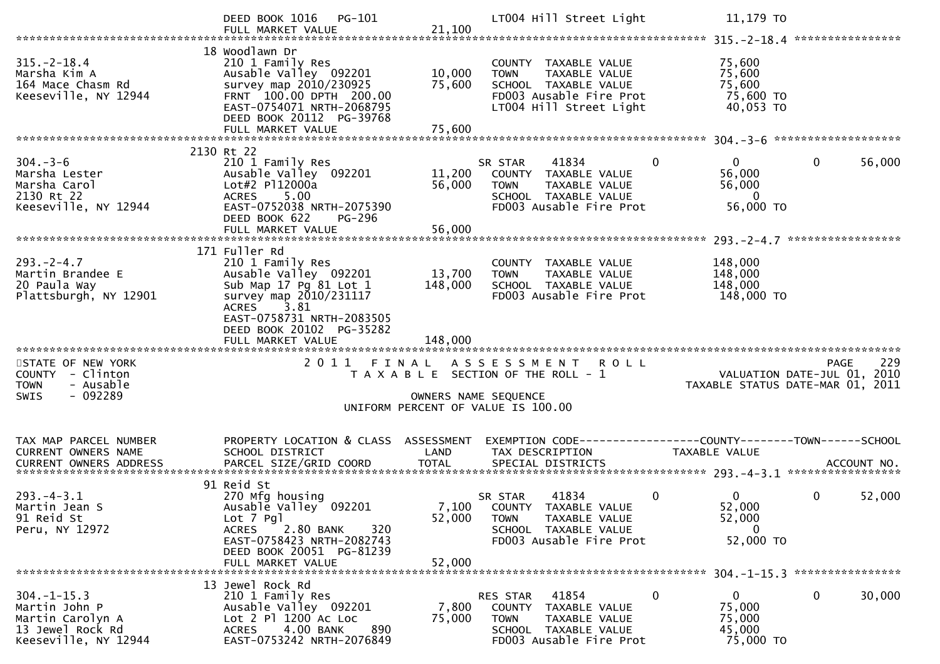|                                                                                                   | DEED BOOK 1016 PG-101<br>FULL MARKET VALUE                                                                                                                                                                 | 21,100                       | LT004 Hill Street Light                                                                                                            |             | 11,179 TO                                                       |                                                                                |
|---------------------------------------------------------------------------------------------------|------------------------------------------------------------------------------------------------------------------------------------------------------------------------------------------------------------|------------------------------|------------------------------------------------------------------------------------------------------------------------------------|-------------|-----------------------------------------------------------------|--------------------------------------------------------------------------------|
| $315. - 2 - 18.4$<br>Marsha Kim A<br>164 Mace Chasm Rd<br>Keeseville, NY 12944                    | 18 Woodlawn Dr<br>210 1 Family Res<br>Ausable Valley 092201<br>survey map 2010/230925<br>FRNT 100.00 DPTH 200.00<br>EAST-0754071 NRTH-2068795<br>DEED BOOK 20112 PG-39768<br>FULL MARKET VALUE             | 10,000<br>75,600<br>75,600   | COUNTY TAXABLE VALUE<br><b>TOWN</b><br>TAXABLE VALUE<br>SCHOOL TAXABLE VALUE<br>FD003 Ausable Fire Prot<br>LT004 Hill Street Light |             | 75,600<br>75,600<br>75,600<br>75,600 TO<br>40,053 TO            |                                                                                |
|                                                                                                   |                                                                                                                                                                                                            |                              |                                                                                                                                    |             |                                                                 |                                                                                |
| $304. - 3 - 6$<br>Marsha Lester<br>Marsha Carol<br>2130 Rt 22<br>Keeseville, NY 12944             | 2130 Rt 22<br>210 1 Family Res<br>Ausable Valley 092201<br>Lot#2 P112000a<br>5.00<br><b>ACRES</b><br>EAST-0752038 NRTH-2075390                                                                             | 11,200<br>56,000             | 41834<br>SR STAR<br>COUNTY TAXABLE VALUE<br><b>TOWN</b><br>TAXABLE VALUE<br>SCHOOL TAXABLE VALUE<br>FD003 Ausable Fire Prot        | $\mathbf 0$ | $\mathbf{0}$<br>56,000<br>56,000<br>$\overline{0}$<br>56,000 TO | $\mathbf 0$<br>56,000                                                          |
|                                                                                                   | DEED BOOK 622<br>PG-296                                                                                                                                                                                    |                              |                                                                                                                                    |             |                                                                 |                                                                                |
|                                                                                                   |                                                                                                                                                                                                            |                              |                                                                                                                                    |             |                                                                 |                                                                                |
| $293. - 2 - 4.7$<br>Martin Brandee E<br>20 Paula Way<br>Plattsburgh, NY 12901                     | 171 Fuller Rd<br>210 1 Family Res<br>Ausable Valley 092201<br>Sub Map 17 Pg 81 Lot 1<br>survey map 2010/231117<br>ACRES 3.81<br>EAST-0758731 NRTH-2083505<br>DEED BOOK 20102 PG-35282<br>FULL MARKET VALUE | 13,700<br>148,000<br>148,000 | COUNTY TAXABLE VALUE<br><b>TOWN</b><br>TAXABLE VALUE<br>SCHOOL TAXABLE VALUE<br>FD003 Ausable Fire Prot                            |             | 148,000<br>148,000<br>148,000<br>148,000 TO                     |                                                                                |
|                                                                                                   |                                                                                                                                                                                                            |                              |                                                                                                                                    |             |                                                                 |                                                                                |
| STATE OF NEW YORK<br>COUNTY - Clinton<br>- Ausable<br><b>TOWN</b><br>$-092289$<br><b>SWIS</b>     |                                                                                                                                                                                                            | OWNERS NAME SEQUENCE         | 2011 FINAL ASSESSMENT ROLL<br>T A X A B L E SECTION OF THE ROLL - 1<br>UNIFORM PERCENT OF VALUE IS 100.00                          |             |                                                                 | 229<br>PAGE<br>VALUATION DATE-JUL 01, 2010<br>TAXABLE STATUS DATE-MAR 01, 2011 |
|                                                                                                   |                                                                                                                                                                                                            |                              |                                                                                                                                    |             |                                                                 |                                                                                |
| TAX MAP PARCEL NUMBER<br>CURRENT OWNERS NAME                                                      | PROPERTY LOCATION & CLASS ASSESSMENT<br>SCHOOL DISTRICT                                                                                                                                                    | LAND                         | EXEMPTION CODE-----------------COUNTY-------TOWN------SCHOOL<br>TAX DESCRIPTION                                                    |             | TAXABLE VALUE                                                   |                                                                                |
| $293. -4 - 3.1$<br>Martin Jean S<br>91 Reid St<br>Peru, NY 12972                                  | 91 Reid St<br>270 Mfg housing<br>Ausable Valley 092201<br>Lot 7 Pgl<br><b>ACRES</b><br>2.80 BANK<br>320<br>EAST-0758423 NRTH-2082743<br>DEED BOOK 20051 PG-81239                                           | 52,000                       | 41834<br>SR STAR<br>7,100 COUNTY TAXABLE VALUE<br><b>TOWN</b><br>TAXABLE VALUE<br>SCHOOL TAXABLE VALUE<br>FD003 Ausable Fire Prot  | $\mathbf 0$ | $\mathbf{0}$<br>52,000<br>52,000<br>$\mathbf 0$<br>52,000 TO    | 0<br>52,000                                                                    |
|                                                                                                   | FULL MARKET VALUE                                                                                                                                                                                          | 52,000                       |                                                                                                                                    |             |                                                                 |                                                                                |
| $304. -1 - 15.3$<br>Martin John P<br>Martin Carolyn A<br>13 Jewel Rock Rd<br>Keeseville, NY 12944 | 13 Jewel Rock Rd<br>210 1 Family Res<br>Ausable Valley 092201<br>Lot 2 Pl 1200 Ac Loc<br>4.00 BANK<br>890<br><b>ACRES</b><br>EAST-0753242 NRTH-2076849                                                     | 7,800<br>75,000              | 41854<br>RES STAR<br>COUNTY TAXABLE VALUE<br>TOWN<br>TAXABLE VALUE<br>SCHOOL TAXABLE VALUE<br>FD003 Ausable Fire Prot              | 0           | $\mathbf{0}$<br>75,000<br>75,000<br>45,000<br>75,000 TO         | 0<br>30,000                                                                    |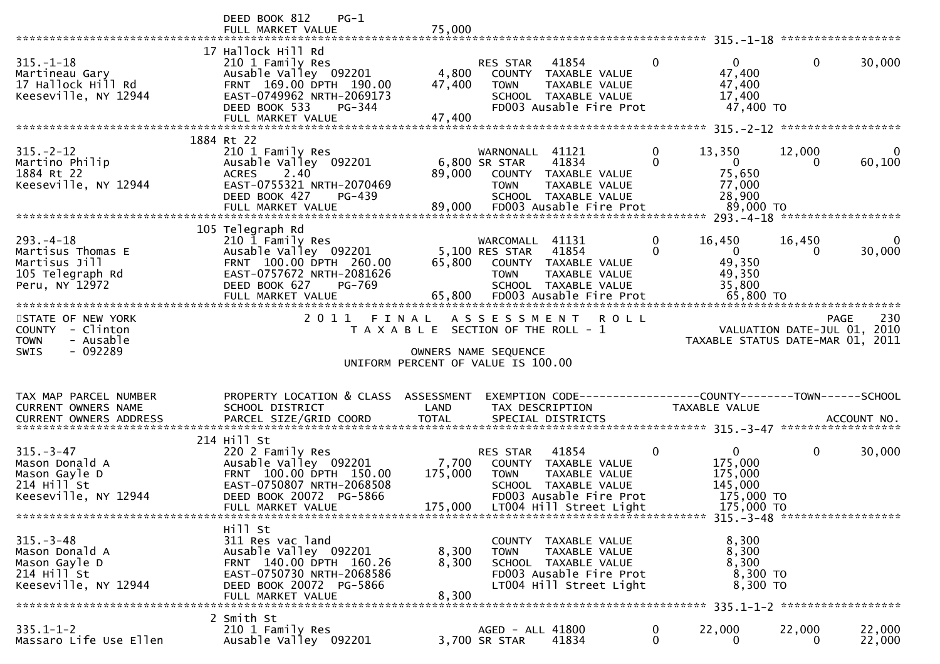|                                                                                            | DEED BOOK 812<br>$PG-1$<br>FULL MARKET VALUE                                                                                                                            | 75,000                      |                                                                                                                                             |                                                |                                                                                |              |                                            |
|--------------------------------------------------------------------------------------------|-------------------------------------------------------------------------------------------------------------------------------------------------------------------------|-----------------------------|---------------------------------------------------------------------------------------------------------------------------------------------|------------------------------------------------|--------------------------------------------------------------------------------|--------------|--------------------------------------------|
| $315. - 1 - 18$<br>Martineau Gary<br>17 Hallock Hill Rd<br>Keeseville, NY 12944            | 17 Hallock Hill Rd<br>210 1 Family Res<br>Ausable Valley 092201<br>FRNT 169.00 DPTH 190.00<br>EAST-0749962 NRTH-2069173<br>DEED BOOK 533<br>PG-344<br>FULL MARKET VALUE | 4,800<br>47,400<br>47,400   | 41854<br><b>RES STAR</b><br>COUNTY<br><b>TOWN</b><br>SCHOOL TAXABLE VALUE<br>FD003 Ausable Fire Prot                                        | $\mathbf{0}$<br>TAXABLE VALUE<br>TAXABLE VALUE | $\Omega$<br>47,400<br>47,400<br>17,400<br>47,400 TO                            | $\mathbf{0}$ | 30,000                                     |
|                                                                                            | 1884 Rt 22                                                                                                                                                              |                             |                                                                                                                                             |                                                |                                                                                |              |                                            |
| $315. - 2 - 12$<br>Martino Philip<br>1884 Rt 22<br>Keeseville, NY 12944                    | 210 1 Family Res<br>Ausable Valley 092201<br><b>ACRES</b><br>2.40<br>EAST-0755321 NRTH-2070469<br>DEED BOOK 427<br>PG-439                                               | 89,000                      | WARNONALL 41121<br>41834<br>6,800 SR STAR<br>COUNTY TAXABLE VALUE<br><b>TOWN</b><br>SCHOOL TAXABLE VALUE                                    | $\mathbf 0$<br>$\mathbf{0}$<br>TAXABLE VALUE   | 13,350<br>$\overline{0}$<br>75,650<br>77,000<br>28,900                         | 12,000<br>0  | $\bf{0}$<br>60,100                         |
|                                                                                            | 105 Telegraph Rd                                                                                                                                                        |                             |                                                                                                                                             |                                                |                                                                                |              |                                            |
| $293. -4 - 18$<br>Martisus Thomas E<br>Martisus Jill<br>105 Telegraph Rd<br>Peru, NY 12972 | 210 1 Family Res<br>Ausable Valley 092201<br>FRNT 100.00 DPTH 260.00<br>EAST-0757672 NRTH-2081626<br>DEED BOOK 627<br>PG-769<br>FULL MARKET VALUE                       | 65,800                      | WARCOMALL 41131<br>5,100 RES STAR<br>41854<br>COUNTY TAXABLE VALUE<br><b>TOWN</b><br>SCHOOL TAXABLE VALUE<br>65,800 FD003 Ausable Fire Prot | $\bf{0}$<br>$\Omega$<br>TAXABLE VALUE          | 16,450<br>$\overline{0}$<br>49,350<br>49,350<br>35,800<br>65,800 TO            | 16,450<br>0  | 0<br>30,000                                |
| STATE OF NEW YORK<br>COUNTY - Clinton<br>- Ausable<br><b>TOWN</b>                          | 2 0 1 1                                                                                                                                                                 | FINAL                       | ASSESSMENT<br>T A X A B L E SECTION OF THE ROLL - 1                                                                                         | <b>ROLL</b>                                    |                                                                                |              | 230<br>PAGE<br>VALUATION DATE-JUL 01, 2010 |
| $-092289$<br><b>SWIS</b>                                                                   |                                                                                                                                                                         |                             | OWNERS NAME SEQUENCE<br>UNIFORM PERCENT OF VALUE IS 100.00                                                                                  |                                                | TAXABLE STATUS DATE-MAR 01, 2011                                               |              |                                            |
|                                                                                            |                                                                                                                                                                         |                             |                                                                                                                                             |                                                |                                                                                |              |                                            |
| TAX MAP PARCEL NUMBER<br>CURRENT OWNERS NAME                                               | PROPERTY LOCATION & CLASS ASSESSMENT<br>SCHOOL DISTRICT                                                                                                                 | LAND                        | TAX DESCRIPTION                                                                                                                             |                                                | EXEMPTION CODE-----------------COUNTY--------TOWN------SCHOOL<br>TAXABLE VALUE |              |                                            |
| $315 - 3 - 47$<br>Mason Donald A<br>Mason Gayle D<br>214 Hill St<br>Keeseville, NY 12944   | 214 Hill St<br>220 2 Family Res<br>Ausable Valley 092201<br>FRNT 100.00 DPTH 150.00<br>EAST-0750807 NRTH-2068508<br>DEED BOOK 20072 PG-5866<br>FULL MARKET VALUE        | 7,700<br>175,000<br>175,000 | RES STAR<br>41854<br>COUNTY<br><b>TOWN</b><br>SCHOOL TAXABLE VALUE<br>FD003 Ausable Fire Prot<br>LT004 Hill Street Light                    | 0<br>TAXABLE VALUE<br>TAXABLE VALUE            | $\mathbf{0}$<br>175,000<br>175,000<br>145,000<br>175,000 TO<br>175,000 TO      | 0            | 30,000                                     |
| $315. - 3 - 48$<br>Mason Donald A<br>Mason Gayle D<br>214 Hill St<br>Keeseville, NY 12944  | Hill St<br>311 Res vac land<br>Ausable Valley 092201<br>FRNT 140.00 DPTH 160.26<br>EAST-0750730 NRTH-2068586<br>DEED BOOK 20072 PG-5866<br>FULL MARKET VALUE            | 8,300<br>8,300<br>8,300     | COUNTY TAXABLE VALUE<br><b>TOWN</b><br>SCHOOL TAXABLE VALUE<br>FD003 Ausable Fire Prot<br>LT004 Hill Street Light                           | TAXABLE VALUE                                  | 8,300<br>8,300<br>8,300<br>8,300 TO<br>8,300 TO                                |              |                                            |
| $335.1 - 1 - 2$                                                                            | 2 Smith St<br>210 1 Family Res                                                                                                                                          |                             | AGED - ALL 41800                                                                                                                            | 0                                              | 22,000                                                                         | 22,000       | 22,000                                     |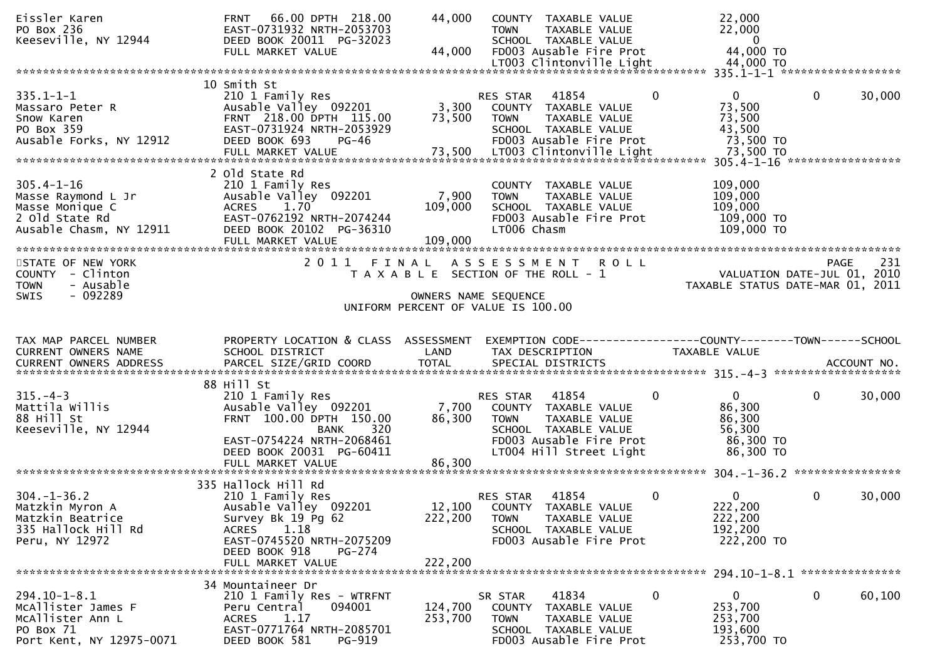| Eissler Karen<br>ru вох 236<br>Keeseville, NY 12944                                                                                                                                                                 | 66.00 DPTH 218.00<br><b>FRNT</b><br>EAST-0731932 NRTH-2053703<br>DEED BOOK 20011 PG-32023<br>FULL MARKET VALUE                                                                     | 44,000<br>44,000                                                                                    | <b>TOWN</b>                   | COUNTY TAXABLE VALUE<br>TAXABLE VALUE<br>SCHOOL TAXABLE VALUE<br>FD003 Ausable Fire Prot                                     |                | 22,000<br>22,000<br>$\overline{\mathbf{0}}$<br>44,000 TO                       |              |        |
|---------------------------------------------------------------------------------------------------------------------------------------------------------------------------------------------------------------------|------------------------------------------------------------------------------------------------------------------------------------------------------------------------------------|-----------------------------------------------------------------------------------------------------|-------------------------------|------------------------------------------------------------------------------------------------------------------------------|----------------|--------------------------------------------------------------------------------|--------------|--------|
|                                                                                                                                                                                                                     |                                                                                                                                                                                    |                                                                                                     |                               |                                                                                                                              |                |                                                                                |              |        |
| $335.1 - 1 - 1$<br>Massaro Peter R<br>Snow Karen<br>PO Box 359<br>Ausable Forks, NY 12912<br>73,500 LTO03 Clintonville Light 73,500 TO 77.500 FULL MARKET VALUE 73,500 LTO03 Clintonville Light 73,500 TO 77.500 TO | 10 Smith St<br>210 1 Family Res<br>Ausable Valley 092201<br>FRNT 218.00 DPTH 115.00<br>EAST-0731924 NRTH-2053929<br>DEED BOOK 693<br>$PG-46$                                       | 3,300<br>73,500                                                                                     | RES STAR 41854<br><b>TOWN</b> | COUNTY TAXABLE VALUE<br>TAXABLE VALUE<br>SCHOOL TAXABLE VALUE<br>FD003 Ausable Fire Prot                                     | $\mathbf{0}$   | $\Omega$<br>73,500<br>73,500<br>43,500<br>73,500 TO                            | $\mathbf 0$  | 30,000 |
| 305.4-1-16<br>Masse Raymond L Jr<br>Masse Monique C<br>2 Old State Rd<br>Cusable Chasm NY 12911<br>Ausable Chasm, NY 12911                                                                                          | 2 Old State Rd<br>210 1 Family Res<br>Ausable Valley 092201<br>1.70<br><b>ACRES</b><br>EAST-0762192 NRTH-2074244<br>DEED BOOK 20102 PG-36310<br>FULL MARKET VALUE                  | 7,900<br>109,000<br>109,000                                                                         | <b>TOWN</b><br>LT006 Chasm    | COUNTY TAXABLE VALUE<br>TAXABLE VALUE<br>SCHOOL TAXABLE VALUE<br>FD003 Ausable Fire Prot                                     |                | 109,000<br>109,000<br>109,000<br>109,000 то<br>109,000 TO                      |              |        |
| STATE OF NEW YORK<br>COUNTY - Clinton<br><b>TOWN</b><br>- Ausable<br>$-092289$<br><b>SWIS</b>                                                                                                                       | 2011 FINAL ASSESSMENT ROLL                                                                                                                                                         | T A X A B L E SECTION OF THE ROLL - 1<br>OWNERS NAME SEQUENCE<br>UNIFORM PERCENT OF VALUE IS 100.00 |                               |                                                                                                                              |                | 0 L L<br>101, 2010 VALUATION DATE-JUL<br>101, TAXABLE STATUS DATE-MAR          | <b>PAGE</b>  | 231    |
| TAX MAP PARCEL NUMBER<br>CURRENT OWNERS NAME                                                                                                                                                                        | PROPERTY LOCATION & CLASS ASSESSMENT<br>SCHOOL DISTRICT                                                                                                                            | LAND                                                                                                |                               | TAX DESCRIPTION                                                                                                              |                | EXEMPTION CODE-----------------COUNTY--------TOWN------SCHOOL<br>TAXABLE VALUE |              |        |
| $315. - 4 - 3$<br>Mattila Willis<br>88 Hill St<br>Keeseville, NY 12944                                                                                                                                              | 88 Hill St<br>210 1 Family Res<br>Ausable Valley 092201 7,700<br>FRNT 100.00 DPTH 150.00<br>BANK 320<br>EAST-0754224 NRTH-2068461<br>DEED BOOK 20031 PG-60411<br>FULL MARKET VALUE | 86,300<br>86,300                                                                                    | RES STAR<br><b>TOWN</b>       | 41854<br>COUNTY TAXABLE VALUE<br>TAXABLE VALUE<br>SCHOOL TAXABLE VALUE<br>FD003 Ausable Fire Prot<br>LT004 Hill Street Light | $\mathbf{0}$   | $\mathbf{0}$<br>86,300<br>86,300<br>56,300<br>86,300 TO<br>86,300 TO           | $\mathbf{0}$ | 30,000 |
|                                                                                                                                                                                                                     |                                                                                                                                                                                    |                                                                                                     |                               |                                                                                                                              |                |                                                                                |              |        |
| $304. - 1 - 36.2$<br>Matzkin Myron A                                                                                                                                                                                | 335 Hallock Hill Rd                                                                                                                                                                |                                                                                                     |                               |                                                                                                                              |                |                                                                                |              |        |
| Matzkin Beatrice<br>335 Hallock Hill Rd<br>Peru, NY 12972                                                                                                                                                           | 210 1 Family Res<br>Ausable Valley 092201<br>Survey Bk 19 Pg 62<br>1.18<br><b>ACRES</b><br>EAST-0745520 NRTH-2075209<br>DEED BOOK 918<br>$PG-274$                                  | 222,200                                                                                             | RES STAR<br><b>TOWN</b>       | 41854<br>12,100 COUNTY TAXABLE VALUE<br>TAXABLE VALUE<br>SCHOOL TAXABLE VALUE<br>FD003 Ausable Fire Prot                     | $\overline{0}$ | $\mathbf{0}$<br>222,200<br>222,200<br>192,200<br>222,200 TO                    | 0            | 30,000 |
|                                                                                                                                                                                                                     | FULL MARKET VALUE                                                                                                                                                                  | 222,200                                                                                             |                               |                                                                                                                              |                |                                                                                |              |        |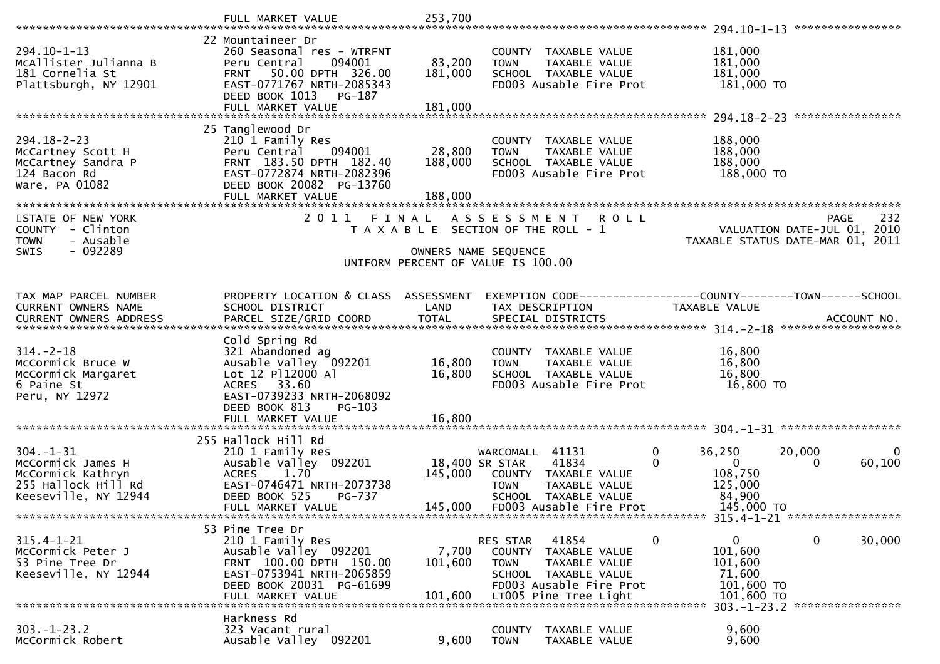|                                                                                                          | FULL MARKET VALUE                                                                                                                                                       | 253,700                      |                                                                                                                            |                                                                                                                            |                                                                                                      |                                                                                       |
|----------------------------------------------------------------------------------------------------------|-------------------------------------------------------------------------------------------------------------------------------------------------------------------------|------------------------------|----------------------------------------------------------------------------------------------------------------------------|----------------------------------------------------------------------------------------------------------------------------|------------------------------------------------------------------------------------------------------|---------------------------------------------------------------------------------------|
| $294.10 - 1 - 13$<br>McAllister Julianna B<br>181 Cornelia St<br>Plattsburgh, NY 12901                   | 22 Mountaineer Dr<br>260 Seasonal res - WTRFNT<br>094001<br>Peru Central<br>50.00 DPTH 326.00<br><b>FRNT</b><br>EAST-0771767 NRTH-2085343<br>DEED BOOK 1013 PG-187      | 83,200<br>181,000            | <b>TOWN</b>                                                                                                                | COUNTY TAXABLE VALUE<br>TAXABLE VALUE<br>SCHOOL TAXABLE VALUE<br>FD003 Ausable Fire Prot                                   | 181,000<br>181,000<br>181,000<br>181,000 TO                                                          |                                                                                       |
|                                                                                                          | FULL MARKET VALUE                                                                                                                                                       | 181,000                      |                                                                                                                            |                                                                                                                            |                                                                                                      |                                                                                       |
| $294.18 - 2 - 23$<br>McCartney Scott H<br>McCartney Sandra P<br>124 Bacon Rd<br>Ware, PA 01082           | 25 Tanglewood Dr<br>210 1 Family Res<br>094001<br>Peru Central<br>FRNT 183.50 DPTH 182.40<br>EAST-0772874 NRTH-2082396<br>DEED BOOK 20082 PG-13760<br>FULL MARKET VALUE | 28,800<br>188,000<br>188,000 | <b>TOWN</b>                                                                                                                | COUNTY TAXABLE VALUE<br>TAXABLE VALUE<br>SCHOOL TAXABLE VALUE<br>FD003 Ausable Fire Prot                                   | 188,000<br>188,000<br>188,000<br>188,000 TO                                                          |                                                                                       |
| STATE OF NEW YORK<br>COUNTY - Clinton<br><b>TOWN</b><br>- Ausable<br>$-092289$<br><b>SWIS</b>            | 2011 FINAL                                                                                                                                                              |                              | A S S E S S M E N T<br>T A X A B L E SECTION OF THE ROLL - 1<br>OWNERS NAME SEQUENCE<br>UNIFORM PERCENT OF VALUE IS 100.00 | <b>ROLL</b>                                                                                                                |                                                                                                      | 232<br><b>PAGE</b><br>VALUATION DATE-JUL 01, 2010<br>TAXABLE STATUS DATE-MAR 01, 2011 |
| TAX MAP PARCEL NUMBER<br>CURRENT OWNERS NAME                                                             | PROPERTY LOCATION & CLASS ASSESSMENT<br>SCHOOL DISTRICT                                                                                                                 | LAND                         | TAX DESCRIPTION                                                                                                            |                                                                                                                            | TAXABLE VALUE                                                                                        | EXEMPTION CODE-----------------COUNTY-------TOWN------SCHOOL                          |
| $314. - 2 - 18$<br>McCormick Bruce W<br>McCormick Margaret<br>6 Paine St<br>Peru, NY 12972               | Cold Spring Rd<br>321 Abandoned ag<br>Ausable Valley 092201<br>Lot 12 P112000 Al<br>ACRES 33.60<br>EAST-0739233 NRTH-2068092<br>DEED BOOK 813<br>PG-103                 | 16,800<br>16,800             | <b>TOWN</b>                                                                                                                | COUNTY TAXABLE VALUE<br>TAXABLE VALUE<br>SCHOOL TAXABLE VALUE<br>FD003 Ausable Fire Prot                                   | 16,800<br>16,800<br>16,800<br>16,800 TO                                                              |                                                                                       |
|                                                                                                          | 255 Hallock Hill Rd                                                                                                                                                     |                              |                                                                                                                            |                                                                                                                            |                                                                                                      |                                                                                       |
| $304. - 1 - 31$<br>McCormick James H<br>McCormick Kathryn<br>255 Hallock Hill Rd<br>Keeseville, NY 12944 | 210 1 Family Res<br>Ausable Valley 092201<br><b>ACRES</b><br>1.70<br>EAST-0746471 NRTH-2073738<br>DEED BOOK 525<br>PG-737<br>FULL MARKET VALUE                          | 145,000<br>145,000           | WARCOMALL 41131<br>18,400 SR STAR<br><b>TOWN</b>                                                                           | 41834<br>COUNTY TAXABLE VALUE<br>TAXABLE VALUE<br>SCHOOL TAXABLE VALUE<br>FD003 Ausable Fire Prot                          | 36,250<br>$\mathbf 0$<br>$\mathbf 0$<br>$\overline{0}$<br>108,750<br>125,000<br>84,900<br>145,000 TO | 20,000<br>$\mathbf 0$<br>60,100<br>0                                                  |
|                                                                                                          |                                                                                                                                                                         |                              |                                                                                                                            |                                                                                                                            |                                                                                                      |                                                                                       |
| $315.4 - 1 - 21$<br>McCormick Peter J<br>53 Pine Tree Dr<br>Keeseville, NY 12944                         | 53 Pine Tree Dr<br>210 1 Family Res<br>Ausable Valley 092201<br>FRNT 100.00 DPTH 150.00<br>EAST-0753941 NRTH-2065859<br>DEED BOOK 20031 PG-61699<br>FULL MARKET VALUE   | 7,700<br>101,600<br>101,600  | RES STAR<br><b>TOWN</b>                                                                                                    | 41854<br>COUNTY TAXABLE VALUE<br>TAXABLE VALUE<br>SCHOOL TAXABLE VALUE<br>FD003 Ausable Fire Prot<br>LT005 Pine Tree Light | $\mathbf{0}$<br>0<br>101,600<br>101,600<br>71,600<br>101,600 TO<br>101,600 TO                        | 0<br>30,000<br>303. -1-23. 2 *****************                                        |
| $303. - 1 - 23.2$<br>McCormick Robert                                                                    | Harkness Rd<br>323 Vacant rural<br>Ausable Valley 092201                                                                                                                | 9,600                        | COUNTY<br><b>TOWN</b>                                                                                                      | TAXABLE VALUE<br>TAXABLE VALUE                                                                                             | 9,600<br>9,600                                                                                       |                                                                                       |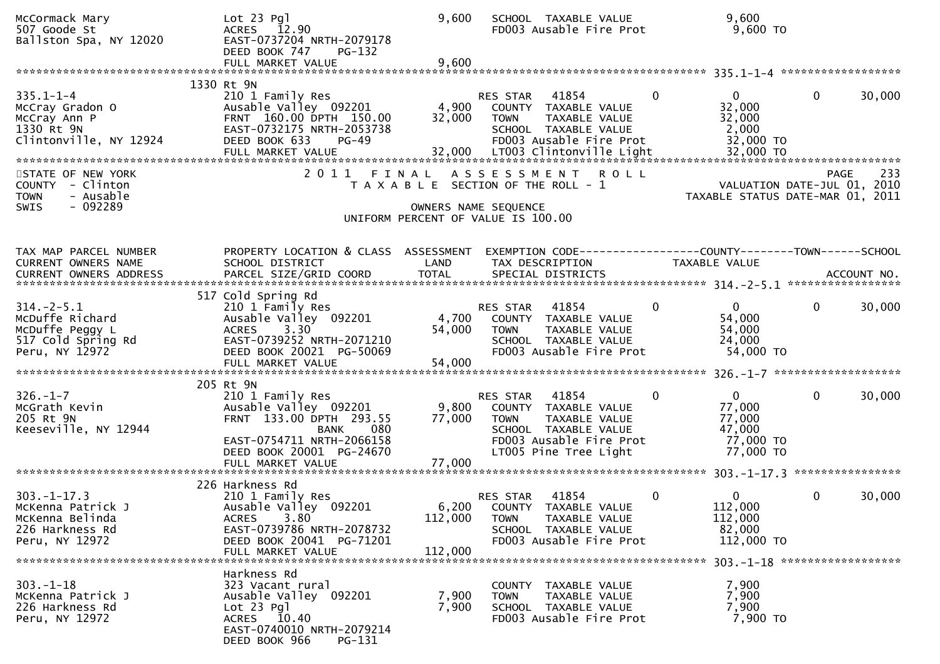| McCormack Mary<br>507 Goode St<br>Ballston Spa, NY 12020                                       | $Lot 23$ Pg]<br>ACRES 12.90<br>EAST-0737204 NRTH-2079178<br>DEED BOOK 747<br>PG-132<br>FULL MARKET VALUE                                                          | 9,600<br>9,600            | SCHOOL TAXABLE VALUE<br>FD003 Ausable Fire Prot                                                                                                       | 9,600<br>$9,600$ TO                                                       |                        |
|------------------------------------------------------------------------------------------------|-------------------------------------------------------------------------------------------------------------------------------------------------------------------|---------------------------|-------------------------------------------------------------------------------------------------------------------------------------------------------|---------------------------------------------------------------------------|------------------------|
|                                                                                                | 1330 Rt 9N                                                                                                                                                        |                           |                                                                                                                                                       |                                                                           |                        |
| $335.1 - 1 - 4$<br>McCray Gradon O<br>McCray Ann P<br>1330 Rt 9N<br>Clintonville, NY 12924     | 210 1 Family Res<br>Ausable Valley 092201<br>FRNT 160.00 DPTH 150.00<br>EAST-0732175 NRTH-2053738<br>DEED BOOK 633<br>$PG-49$                                     | 4,900<br>32,000           | RES STAR<br>41854<br>COUNTY TAXABLE VALUE<br>TAXABLE VALUE<br><b>TOWN</b><br>SCHOOL TAXABLE VALUE<br>FD003 Ausable Fire Prot                          | $\mathbf{0}$<br>$\mathbf{0}$<br>32,000<br>32,000<br>2,000<br>32,000 TO    | $\mathbf{0}$<br>30,000 |
| STATE OF NEW YORK<br>COUNTY - Clinton<br>- Ausable<br><b>TOWN</b>                              |                                                                                                                                                                   |                           | 2011 FINAL ASSESSMENT<br><b>ROLL</b><br>T A X A B L E SECTION OF THE ROLL - 1                                                                         | VALUATION DATE-JUL 01, 2010<br>TAXABLE STATUS DATE-MAR 01, 2011           | 233<br><b>PAGE</b>     |
| $-092289$<br>SWIS                                                                              |                                                                                                                                                                   |                           | OWNERS NAME SEQUENCE<br>UNIFORM PERCENT OF VALUE IS 100.00                                                                                            |                                                                           |                        |
|                                                                                                |                                                                                                                                                                   |                           |                                                                                                                                                       |                                                                           |                        |
| TAX MAP PARCEL NUMBER<br>CURRENT OWNERS NAME                                                   | PROPERTY LOCATION & CLASS ASSESSMENT<br>SCHOOL DISTRICT                                                                                                           | LAND                      | TAX DESCRIPTION                                                                                                                                       | <b>TAXABLE VALUE</b>                                                      |                        |
| $314. - 2 - 5.1$<br>McDuffe Richard<br>McDuffe Peggy L<br>517 Cold Spring Rd<br>Peru, NY 12972 | 517 Cold Spring Rd<br>210 1 Family Res<br>Ausable Valley 092201<br>3.30<br><b>ACRES</b><br>EAST-0739252 NRTH-2071210<br>DEED BOOK 20021 PG-50069                  | 4,700<br>54,000           | RES STAR<br>41854<br>COUNTY TAXABLE VALUE<br><b>TOWN</b><br>TAXABLE VALUE<br>SCHOOL TAXABLE VALUE<br>FD003 Ausable Fire Prot                          | 0<br>$\overline{0}$<br>54,000<br>54,000<br>24,000<br>54,000 TO            | $\mathbf{0}$<br>30,000 |
|                                                                                                | 205 Rt 9N                                                                                                                                                         |                           |                                                                                                                                                       |                                                                           |                        |
| $326. - 1 - 7$<br>McGrath Kevin<br>205 Rt 9N<br>Keeseville, NY 12944                           | 210 1 Family Res<br>Ausable Valley 092201<br>FRNT 133.00 DPTH 293.55<br>080<br>BANK<br>EAST-0754711 NRTH-2066158<br>DEED BOOK 20001 PG-24670<br>FULL MARKET VALUE | 9,800<br>77,000<br>77,000 | RES STAR<br>41854<br>COUNTY TAXABLE VALUE<br><b>TOWN</b><br>TAXABLE VALUE<br>SCHOOL TAXABLE VALUE<br>FD003 Ausable Fire Prot<br>LT005 Pine Tree Light | 0<br>$\mathbf{0}$<br>77,000<br>77,000<br>47,000<br>77,000 TO<br>77,000 TO | $\mathbf{0}$<br>30,000 |
|                                                                                                |                                                                                                                                                                   |                           |                                                                                                                                                       |                                                                           | ****************       |
| $303. -1 - 17.3$<br>McKenna Patrick J<br>McKenna Belinda<br>226 Harkness Rd<br>Peru, NY 12972  | 226 Harkness Rd<br>210 1 Family Res<br>Ausable Valley 092201<br>3.80<br>ACRES<br>EAST-0739786 NRTH-2078732<br>DEED BOOK 20041 PG-71201<br>FULL MARKET VALUE       | 112,000<br>112,000        | 41854<br>RES STAR<br>6,200 COUNTY TAXABLE VALUE<br>TAXABLE VALUE<br><b>TOWN</b><br>SCHOOL TAXABLE VALUE<br>FD003 Ausable Fire Prot                    | 0<br>$\Omega$<br>112,000<br>112,000<br>82,000<br>112,000 TO               | $\mathbf{0}$<br>30,000 |
| $303. - 1 - 18$<br>McKenna Patrick J<br>226 Harkness Rd<br>Peru, NY 12972                      | Harkness Rd<br>323 Vacant rural<br>Ausable Valley 092201<br>$Lot 23$ Pg]<br>ACRES 10.40<br>EAST-0740010 NRTH-2079214<br>DEED BOOK 966<br>PG-131                   | 7,900<br>7,900            | COUNTY TAXABLE VALUE<br>TAXABLE VALUE<br><b>TOWN</b><br>SCHOOL TAXABLE VALUE<br>FD003 Ausable Fire Prot                                               | 7,900<br>7,900<br>7,900<br>7,900 TO                                       |                        |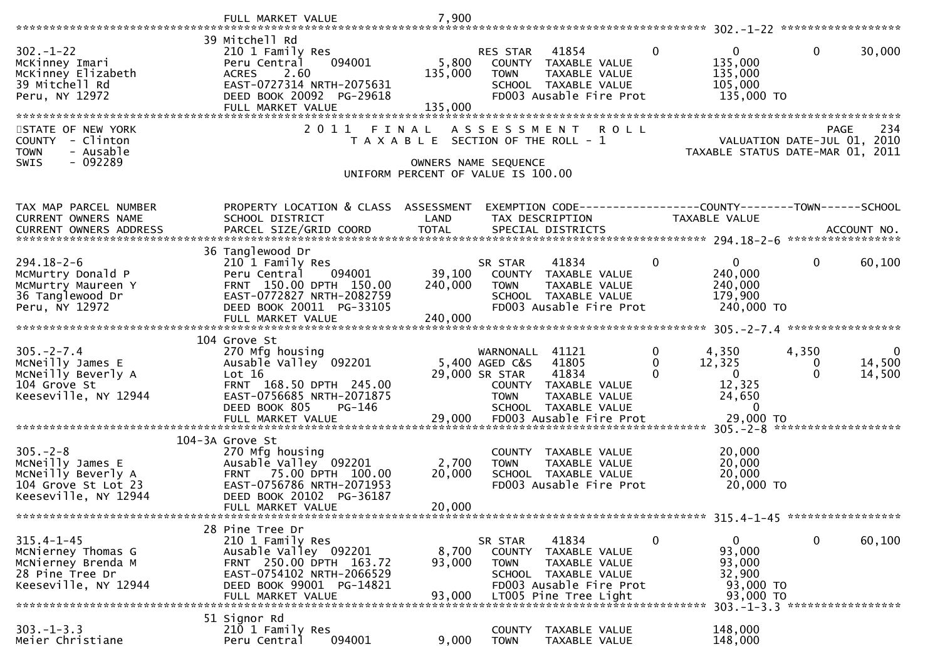|                                                                                                         | FULL MARKET VALUE                                                                                                                                                     | 7,900                        |                                                                                                                                                      |                                                               |                               |                                                                                                    |                        |                       |
|---------------------------------------------------------------------------------------------------------|-----------------------------------------------------------------------------------------------------------------------------------------------------------------------|------------------------------|------------------------------------------------------------------------------------------------------------------------------------------------------|---------------------------------------------------------------|-------------------------------|----------------------------------------------------------------------------------------------------|------------------------|-----------------------|
|                                                                                                         | 39 Mitchell Rd                                                                                                                                                        |                              |                                                                                                                                                      |                                                               |                               |                                                                                                    |                        |                       |
| $302 - 1 - 22$<br>McKinney Imari<br>McKinney Elizabeth<br>39 Mitchell Rd<br>Peru, NY 12972              | 210 1 Family Res<br>094001<br>Peru Central<br>2.60<br><b>ACRES</b><br>EAST-0727314 NRTH-2075631<br>DEED BOOK 20092 PG-29618<br>FULL MARKET VALUE                      | 5,800<br>135,000<br>135,000  | RES STAR<br>COUNTY TAXABLE VALUE<br><b>TOWN</b><br>SCHOOL TAXABLE VALUE                                                                              | 41854<br>TAXABLE VALUE<br>FD003 Ausable Fire Prot             | $\mathbf{0}$                  | $\overline{0}$<br>135,000<br>135,000<br>105,000<br>135,000 TO                                      | $\mathbf 0$            | 30,000                |
|                                                                                                         |                                                                                                                                                                       |                              |                                                                                                                                                      |                                                               |                               |                                                                                                    |                        |                       |
| STATE OF NEW YORK<br>COUNTY - Clinton<br>- Ausable<br><b>TOWN</b><br>$-092289$<br>SWIS                  | 2 0 1 1                                                                                                                                                               | FINAL                        | A S S E S S M E N T<br>T A X A B L E SECTION OF THE ROLL - 1<br>OWNERS NAME SEQUENCE                                                                 | <b>ROLL</b>                                                   |                               | VALUATION DATE-JUL 01, 2010<br>TAXABLE STATUS DATE-MAR 01, 2011                                    | <b>PAGE</b>            | 234                   |
|                                                                                                         |                                                                                                                                                                       |                              | UNIFORM PERCENT OF VALUE IS 100.00                                                                                                                   |                                                               |                               |                                                                                                    |                        |                       |
| TAX MAP PARCEL NUMBER<br>CURRENT OWNERS NAME<br><b>CURRENT OWNERS ADDRESS</b>                           | PROPERTY LOCATION & CLASS ASSESSMENT<br>SCHOOL DISTRICT<br>PARCEL SIZE/GRID COORD                                                                                     | LAND<br><b>TOTAL</b>         | TAX DESCRIPTION<br>SPECIAL DISTRICTS                                                                                                                 | EXEMPTION CODE-----------------COUNTY--------TOWN------SCHOOL | TAXABLE VALUE                 |                                                                                                    |                        | ACCOUNT NO.           |
|                                                                                                         | 36 Tanglewood Dr                                                                                                                                                      |                              |                                                                                                                                                      |                                                               |                               |                                                                                                    |                        |                       |
| $294.18 - 2 - 6$<br>McMurtry Donald P<br>McMurtry Maureen Y<br>36 Tanglewood Dr<br>Peru, NY 12972       | 210 1 Family Res<br>094001<br>Peru Central<br>FRNT 150.00 DPTH 150.00<br>EAST-0772827 NRTH-2082759<br>DEED BOOK 20011 PG-33105<br>FULL MARKET VALUE                   | 39,100<br>240,000<br>240,000 | SR STAR<br>COUNTY TAXABLE VALUE<br><b>TOWN</b><br>SCHOOL TAXABLE VALUE                                                                               | 41834<br>TAXABLE VALUE<br>FD003 Ausable Fire Prot             | $\mathbf{0}$                  | $\overline{0}$<br>240,000<br>240,000<br>179,900<br>240,000 TO                                      | 0                      | 60,100                |
|                                                                                                         | 104 Grove St                                                                                                                                                          |                              |                                                                                                                                                      |                                                               |                               |                                                                                                    |                        |                       |
| $305. -2 - 7.4$<br>McNeilly James E<br>McNeilly Beverly A<br>104 Grove St<br>Keeseville, NY 12944       | 270 Mfg housing<br>Ausable Valley 092201<br>Lot 16<br>FRNT 168.50 DPTH 245.00<br>EAST-0756685 NRTH-2071875<br>DEED BOOK 805<br>PG-146<br>FULL MARKET VALUE            |                              | WARNONALL 41121<br>5,400 AGED C&S<br>29,000 SR STAR<br>COUNTY TAXABLE VALUE<br><b>TOWN</b><br>SCHOOL TAXABLE VALUE<br>29,000 FD003 Ausable Fire Prot | 41805<br>41834<br>TAXABLE VALUE                               | $\mathbf{0}$<br>0<br>$\Omega$ | 4,350<br>12,325<br>$\mathbf{0}$<br>12,325<br>24,650<br>$\overline{0}$<br>29,000 TO                 | 4,350<br>0<br>$\Omega$ | 0<br>14,500<br>14,500 |
|                                                                                                         | 104-3A Grove St                                                                                                                                                       |                              |                                                                                                                                                      |                                                               |                               |                                                                                                    |                        |                       |
| $305. - 2 - 8$<br>MCNeilly James E<br>McNeilly Beverly A<br>104 Grove St Lot 23<br>Keeseville, NY 12944 | 270 Mfg housing<br>Ausable Valley 092201<br>FRNT 75.00 DPTH 100.00<br>EAST-0756786 NRTH-2071953<br>DEED BOOK 20102 PG-36187                                           | 2,700<br>20,000<br>20,000    | COUNTY TAXABLE VALUE<br><b>TOWN</b><br>SCHOOL TAXABLE VALUE                                                                                          | TAXABLE VALUE<br>FD003 Ausable Fire Prot                      |                               | 20,000<br>20,000<br>20,000<br>20,000 TO                                                            |                        |                       |
|                                                                                                         | FULL MARKET VALUE                                                                                                                                                     |                              |                                                                                                                                                      |                                                               |                               |                                                                                                    |                        |                       |
| $315.4 - 1 - 45$<br>McNierney Thomas G<br>McNierney Brenda M<br>28 Pine Tree Dr<br>Keeseville, NY 12944 | 28 Pine Tree Dr<br>210 1 Family Res<br>Ausable Valley 092201<br>FRNT 250.00 DPTH 163.72<br>EAST-0754102 NRTH-2066529<br>DEED BOOK 99001 PG-14821<br>FULL MARKET VALUE | 8,700<br>93,000<br>93,000    | SR STAR<br>COUNTY TAXABLE VALUE<br><b>TOWN</b><br>SCHOOL TAXABLE VALUE<br>LT005 Pine Tree Light                                                      | 41834<br>TAXABLE VALUE<br>FD003 Ausable Fire Prot             | $\mathbf 0$                   | $\Omega$<br>93,000<br>93,000<br>32,900<br>93,000 TO<br>93,000 TO<br>303. -1-3.3 ****************** | 0                      | 60,100                |
|                                                                                                         | 51 Signor Rd                                                                                                                                                          |                              |                                                                                                                                                      |                                                               |                               |                                                                                                    |                        |                       |
| $303. -1 - 3.3$<br>Meier Christiane                                                                     | 210 1 Family Res<br>094001<br>Peru Central                                                                                                                            | 9,000                        | COUNTY TAXABLE VALUE<br><b>TOWN</b>                                                                                                                  | TAXABLE VALUE                                                 |                               | 148,000<br>148,000                                                                                 |                        |                       |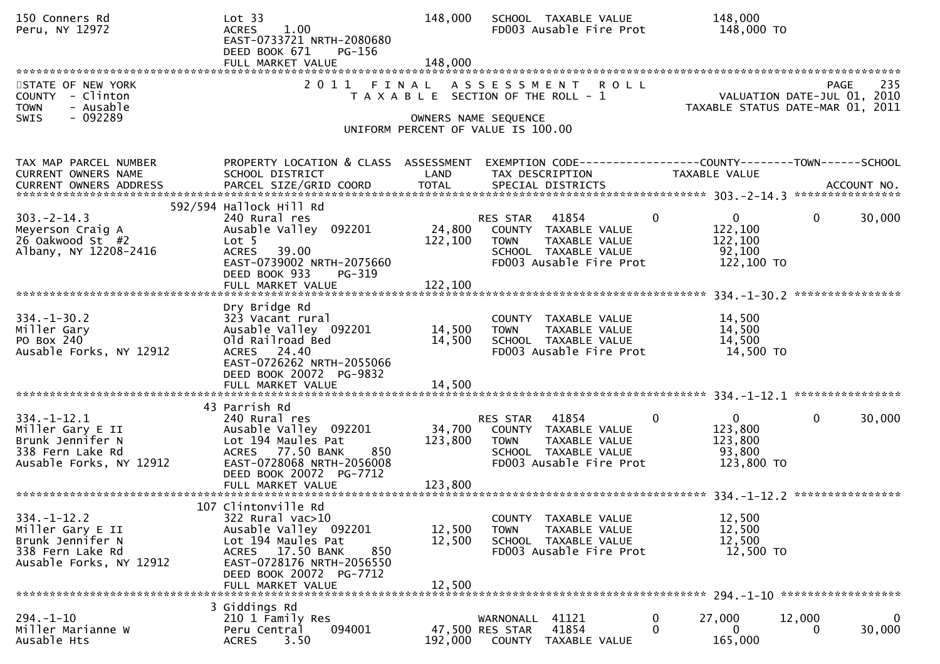| 150 Conners Rd<br>Peru, NY 12972                                                                         | Lot 33<br><b>ACRES</b><br>1.00<br>EAST-0733721 NRTH-2080680<br>DEED BOOK 671<br>PG-156<br>FULL MARKET VALUE                                                                                    | 148,000<br>148,000         | SCHOOL TAXABLE VALUE<br>FD003 Ausable Fire Prot                                                                                  | 148,000<br>148,000 TO                                                       |                                                                                       |
|----------------------------------------------------------------------------------------------------------|------------------------------------------------------------------------------------------------------------------------------------------------------------------------------------------------|----------------------------|----------------------------------------------------------------------------------------------------------------------------------|-----------------------------------------------------------------------------|---------------------------------------------------------------------------------------|
| STATE OF NEW YORK<br>COUNTY - Clinton<br><b>TOWN</b><br>- Ausable<br>- 092289<br><b>SWIS</b>             | 2 0 1 1                                                                                                                                                                                        | FINAL                      | ASSESSMENT<br><b>ROLL</b><br>T A X A B L E SECTION OF THE ROLL - 1<br>OWNERS NAME SEQUENCE<br>UNIFORM PERCENT OF VALUE IS 100.00 |                                                                             | 235<br><b>PAGE</b><br>VALUATION DATE-JUL 01, 2010<br>TAXABLE STATUS DATE-MAR 01, 2011 |
| TAX MAP PARCEL NUMBER<br>CURRENT OWNERS NAME                                                             | PROPERTY LOCATION & CLASS ASSESSMENT<br>SCHOOL DISTRICT                                                                                                                                        | LAND                       | EXEMPTION CODE------------------COUNTY--------TOWN------SCHOOL<br>TAX DESCRIPTION                                                | TAXABLE VALUE                                                               |                                                                                       |
| $303 - 2 - 14.3$<br>Meyerson Craig A<br>26 Oakwood St #2<br>Albany, NY 12208-2416                        | 592/594 Hallock Hill Rd<br>240 Rural res<br>Ausable Valley 092201<br>Lot <sub>5</sub><br>39.00<br><b>ACRES</b><br>EAST-0739002 NRTH-2075660<br>DEED BOOK 933<br>PG-319                         | 24,800<br>122,100          | 41854<br>RES STAR<br>COUNTY TAXABLE VALUE<br>TAXABLE VALUE<br><b>TOWN</b><br>SCHOOL TAXABLE VALUE<br>FD003 Ausable Fire Prot     | $\overline{0}$<br>$\mathbf 0$<br>122,100<br>122,100<br>92,100<br>122,100 TO | 30,000<br>$\mathbf{0}$                                                                |
| $334. - 1 - 30.2$<br>Miller Gary<br>PO Box 240<br>Ausable Forks, NY 12912                                | Dry Bridge Rd<br>323 Vacant rural<br>Ausable Valley 092201<br>Old Railroad Bed<br>ACRES 24.40<br>EAST-0726262 NRTH-2055066<br>DEED BOOK 20072 PG-9832<br>FULL MARKET VALUE                     | 14,500<br>14,500<br>14,500 | COUNTY TAXABLE VALUE<br><b>TOWN</b><br>TAXABLE VALUE<br>SCHOOL TAXABLE VALUE<br>FD003 Ausable Fire Prot                          | 14,500<br>14,500<br>14,500<br>14,500 TO                                     |                                                                                       |
| $334. - 1 - 12.1$<br>Miller Gary E II<br>Brunk Jennifer N<br>338 Fern Lake Rd<br>Ausable Forks, NY 12912 | 43 Parrish Rd<br>240 Rural res<br>Ausable Valley 092201<br>Lot 194 Maules Pat<br>ACRES 77.50 BANK<br>850<br>EAST-0728068 NRTH-2056008<br>DEED BOOK 20072 PG-7712                               | 34,700<br>123,800          | 41854<br>RES STAR<br>COUNTY TAXABLE VALUE<br><b>TOWN</b><br>TAXABLE VALUE<br>SCHOOL TAXABLE VALUE<br>FD003 Ausable Fire Prot     | $\overline{0}$<br>$\mathbf 0$<br>123,800<br>123,800<br>93,800<br>123,800 TO | $\overline{0}$<br>30,000                                                              |
| $334. - 1 - 12.2$<br>Miller Gary E II<br>Brunk Jennifer N<br>338 Fern Lake Rd<br>Ausable Forks, NY 12912 | 107 Clintonville Rd<br>322 Rural vac>10<br>Ausable Valley 092201<br>Lot 194 Maules Pat<br>ACRES 17.50 BANK<br>850<br>EAST-0728176 NRTH-2056550<br>DEED BOOK 20072 PG-7712<br>FULL MARKET VALUE | 12,500<br>12,500<br>12,500 | COUNTY TAXABLE VALUE<br><b>TOWN</b><br>TAXABLE VALUE<br>SCHOOL TAXABLE VALUE<br>FD003 Ausable Fire Prot                          | 12,500<br>12,500<br>12,500<br>12,500 TO                                     |                                                                                       |
| $294. - 1 - 10$<br>Miller Marianne W<br>Ausable Hts                                                      | 3 Giddings Rd<br>210 1 Family Res<br>094001<br>Peru Central<br>3.50<br><b>ACRES</b>                                                                                                            | 192,000                    | WARNONALL<br>41121<br>47,500 RES STAR<br>41854<br>COUNTY<br>TAXABLE VALUE                                                        | 0<br>27,000<br>$\Omega$<br>0<br>165,000                                     | 12,000<br>$\bf{0}$<br>30,000<br>0                                                     |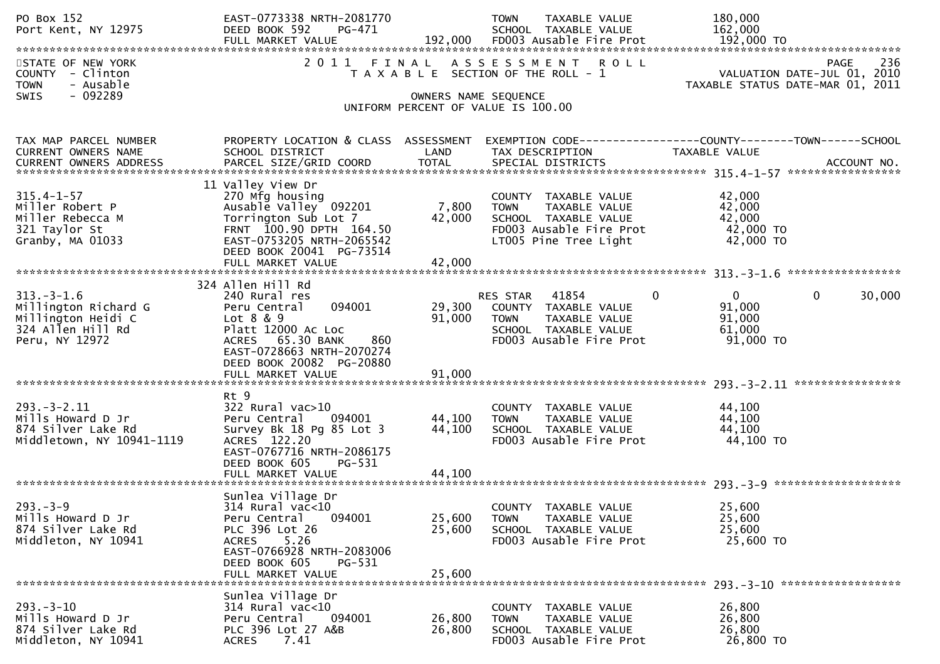| PO Box 152<br>Port Kent, NY 12975                                                                 | EAST-0773338 NRTH-2081770<br>DEED BOOK 592<br>PG-471<br>FULL MARKET VALUE                                                                                                                      |                            | TAXABLE VALUE<br><b>TOWN</b><br>SCHOOL TAXABLE VALUE<br>192,000 FD003 Ausable Fire Prot                                          | 180,000<br>162,000<br>192,000 TO                                                              |
|---------------------------------------------------------------------------------------------------|------------------------------------------------------------------------------------------------------------------------------------------------------------------------------------------------|----------------------------|----------------------------------------------------------------------------------------------------------------------------------|-----------------------------------------------------------------------------------------------|
| STATE OF NEW YORK<br>COUNTY - Clinton<br>- Ausable<br><b>TOWN</b><br>- 092289<br>SWIS             |                                                                                                                                                                                                | OWNERS NAME SEQUENCE       | <b>ROLL</b><br>2011 FINAL ASSESSMENT<br>T A X A B L E SECTION OF THE ROLL - 1<br>UNIFORM PERCENT OF VALUE IS 100.00              | 236<br><b>PAGE</b><br>VALUATION DATE-JUL 01, 2010<br>TAXABLE STATUS DATE-MAR 01, 2011         |
|                                                                                                   |                                                                                                                                                                                                |                            |                                                                                                                                  |                                                                                               |
| TAX MAP PARCEL NUMBER<br>CURRENT OWNERS NAME<br><b>CURRENT OWNERS ADDRESS</b>                     | PROPERTY LOCATION & CLASS ASSESSMENT<br>SCHOOL DISTRICT<br>PARCEL SIZE/GRID COORD                                                                                                              | LAND<br><b>TOTAL</b>       | TAX DESCRIPTION<br>SPECIAL DISTRICTS                                                                                             | EXEMPTION CODE-----------------COUNTY--------TOWN------SCHOOL<br>TAXABLE VALUE<br>ACCOUNT NO. |
| $315.4 - 1 - 57$<br>Miller Robert P<br>Miller Rebecca M<br>321 Taylor St<br>Granby, MA 01033      | 11 Valley View Dr<br>270 Mfg housing<br>Ausable Valley 092201<br>Torrington Sub Lot 7<br>FRNT 100.90 DPTH 164.50<br>EAST-0753205 NRTH-2065542<br>DEED BOOK 20041 PG-73514<br>FULL MARKET VALUE | 7,800<br>42,000<br>42,000  | COUNTY TAXABLE VALUE<br>TAXABLE VALUE<br><b>TOWN</b><br>SCHOOL TAXABLE VALUE<br>FD003 Ausable Fire Prot<br>LT005 Pine Tree Light | 42,000<br>42,000<br>42,000<br>42,000 TO<br>42,000 TO                                          |
|                                                                                                   | 324 Allen Hill Rd                                                                                                                                                                              |                            |                                                                                                                                  |                                                                                               |
| $313.-3-1.6$<br>Millington Richard G<br>Millington Heidi C<br>324 Allen Hill Rd<br>Peru, NY 12972 | 240 Rural res<br>094001<br>Peru Central<br>Lot 8 & 9<br>Platt 12000 Ac Loc<br>860<br>65.30 BANK<br><b>ACRES</b><br>EAST-0728663 NRTH-2070274<br>DEED BOOK 20082 PG-20880                       | 29,300<br>91,000           | RES STAR 41854<br>0<br>COUNTY TAXABLE VALUE<br>TAXABLE VALUE<br><b>TOWN</b><br>SCHOOL TAXABLE VALUE<br>FD003 Ausable Fire Prot   | $\overline{0}$<br>$\mathbf{0}$<br>30,000<br>91,000<br>91,000<br>61,000<br>$91,000$ TO         |
|                                                                                                   | FULL MARKET VALUE                                                                                                                                                                              | 91,000                     |                                                                                                                                  |                                                                                               |
| $293. - 3 - 2.11$<br>Mills Howard D Jr<br>874 Silver Lake Rd<br>Middletown, NY 10941-1119         | Rt 9<br>322 Rural vac>10<br>094001<br>Peru Central<br>Survey Bk 18 Pg 85 Lot 3<br>ACRES 122.20<br>EAST-0767716 NRTH-2086175<br>DEED BOOK 605<br>PG-531<br>FULL MARKET VALUE                    | 44,100<br>44,100<br>44,100 | COUNTY TAXABLE VALUE<br>TAXABLE VALUE<br>TOWN<br>SCHOOL TAXABLE VALUE<br>FD003 Ausable Fire Prot                                 | 44,100<br>44,100<br>44,100<br>44,100 TO                                                       |
|                                                                                                   |                                                                                                                                                                                                |                            |                                                                                                                                  |                                                                                               |
| $293 - 3 - 9$<br>Mills Howard D Jr<br>874 Silver Lake Rd<br>Middleton, NY 10941                   | Sunlea Village Dr<br>314 Rural vac<10<br>094001<br>Peru Central<br>PLC 396 Lot 26<br><b>ACRES</b><br>5.26<br>EAST-0766928 NRTH-2083006<br>DEED BOOK 605<br>PG-531<br>FULL MARKET VALUE         | 25,600<br>25,600<br>25,600 | COUNTY TAXABLE VALUE<br>TAXABLE VALUE<br><b>TOWN</b><br>SCHOOL TAXABLE VALUE<br>FD003 Ausable Fire Prot                          | 25,600<br>25,600<br>25,600<br>25,600 TO                                                       |
| $293. - 3 - 10$<br>Mills Howard D Jr<br>874 Silver Lake Rd<br>Middleton, NY 10941                 | Sunlea Village Dr<br>$314$ Rural vac< $10$<br>094001<br>Peru Central<br>PLC 396 Lot 27 A&B<br>7.41<br><b>ACRES</b>                                                                             | 26,800<br>26,800           | <b>COUNTY</b><br>TAXABLE VALUE<br>TAXABLE VALUE<br>TOWN<br>SCHOOL TAXABLE VALUE<br>FD003 Ausable Fire Prot                       | 26,800<br>26,800<br>26,800<br>26,800 TO                                                       |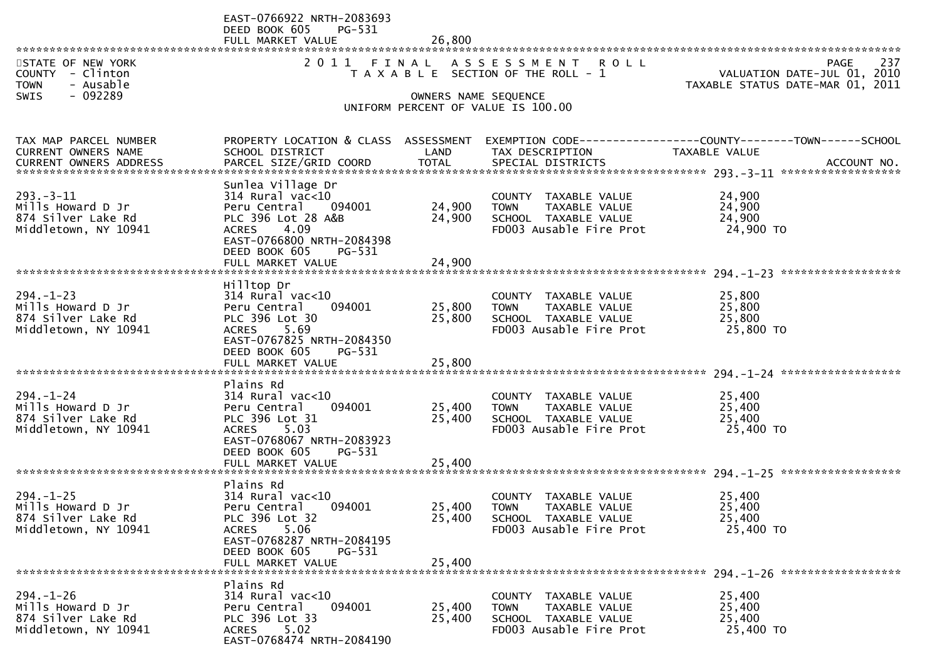|                                                                                              | EAST-0766922 NRTH-2083693<br>DEED BOOK 605<br>PG-531<br>FULL MARKET VALUE                                                                                                                    | 26,800                     |                                                                                                                   |                                                                                                                   |
|----------------------------------------------------------------------------------------------|----------------------------------------------------------------------------------------------------------------------------------------------------------------------------------------------|----------------------------|-------------------------------------------------------------------------------------------------------------------|-------------------------------------------------------------------------------------------------------------------|
| STATE OF NEW YORK<br>COUNTY - Clinton<br><b>TOWN</b><br>- Ausable<br>- 092289<br><b>SWIS</b> | 2011                                                                                                                                                                                         | OWNERS NAME SEQUENCE       | FINAL ASSESSMENT ROLL<br>T A X A B L E SECTION OF THE ROLL - 1<br>UNIFORM PERCENT OF VALUE IS 100.00              | 237<br><b>PAGE</b><br>VALUATION DATE-JUL 01, 2010<br>TAXABLE STATUS DATE-MAR 01, 2011                             |
| TAX MAP PARCEL NUMBER<br>CURRENT OWNERS NAME                                                 | SCHOOL DISTRICT                                                                                                                                                                              | LAND                       | TAX DESCRIPTION                                                                                                   | PROPERTY LOCATION & CLASS ASSESSMENT EXEMPTION CODE----------------COUNTY-------TOWN------SCHOOL<br>TAXABLE VALUE |
| $293 - 3 - 11$<br>Mills Howard D Jr<br>874 Silver Lake Rd<br>Middletown, NY 10941            | Sunlea Village Dr<br>$314$ Rural vac<10<br>Peru Central<br>094001<br>PLC 396 Lot 28 A&B<br>4.09<br><b>ACRES</b><br>EAST-0766800 NRTH-2084398<br>DEED BOOK 605<br>PG-531<br>FULL MARKET VALUE | 24,900<br>24,900<br>24,900 | COUNTY TAXABLE VALUE<br>TAXABLE VALUE<br><b>TOWN</b><br>SCHOOL TAXABLE VALUE<br>FD003 Ausable Fire Prot           | 24,900<br>24,900<br>24,900<br>24,900 TO                                                                           |
| $294. - 1 - 23$<br>Mills Howard D Jr<br>874 Silver Lake Rd<br>Middletown, NY 10941           | Hilltop Dr<br>$314$ Rural vac<10<br>Peru Central<br>094001<br>PLC 396 Lot 30<br>5.69<br><b>ACRES</b><br>EAST-0767825 NRTH-2084350<br>DEED BOOK 605<br>PG-531<br>FULL MARKET VALUE            | 25,800<br>25,800<br>25,800 | COUNTY TAXABLE VALUE<br>TAXABLE VALUE<br>TOWN<br>SCHOOL TAXABLE VALUE<br>FD003 Ausable Fire Prot                  | 25,800<br>25,800<br>25,800<br>25,800 TO                                                                           |
| $294. - 1 - 24$<br>Mills Howard D Jr<br>874 Silver Lake Rd<br>Middletown, NY 10941           | Plains Rd<br>$314$ Rural vac< $10$<br>Peru Central<br>094001<br>PLC 396 Lot 31<br><b>ACRES</b><br>5.03<br>EAST-0768067 NRTH-2083923<br>DEED BOOK 605<br>PG-531                               | 25,400<br>25,400           | COUNTY TAXABLE VALUE<br>TAXABLE VALUE<br><b>TOWN</b><br>SCHOOL TAXABLE VALUE<br>FD003 Ausable Fire Prot           | 25,400<br>25,400<br>25,400<br>25,400 TO                                                                           |
| $294. - 1 - 25$<br>Mills Howard D Jr<br>874 Silver Lake Rd<br>Middletown, NY 10941           | Plains Rd<br>$314$ Rural vac< $10$<br>094001<br>Peru Central<br>PLC 396 Lot 32<br>5.06<br><b>ACRES</b><br>EAST-0768287 NRTH-2084195<br>DEED BOOK 605<br>$PG-531$<br>FULL MARKET VALUE        | 25,400<br>25,400<br>25,400 | <b>COUNTY</b><br>TAXABLE VALUE<br><b>TOWN</b><br>TAXABLE VALUE<br>SCHOOL TAXABLE VALUE<br>FD003 Ausable Fire Prot | 25,400<br>25,400<br>25,400<br>25,400 TO                                                                           |
| $294. - 1 - 26$<br>Mills Howard D Jr<br>874 Silver Lake Rd<br>Middletown, NY 10941           | Plains Rd<br>$314$ Rural vac<10<br>Peru Central<br>094001<br>PLC 396 Lot 33<br><b>ACRES</b><br>5.02<br>EAST-0768474 NRTH-2084190                                                             | 25,400<br>25,400           | <b>COUNTY</b><br>TAXABLE VALUE<br>TAXABLE VALUE<br><b>TOWN</b><br>SCHOOL TAXABLE VALUE<br>FD003 Ausable Fire Prot | 25,400<br>25,400<br>25,400<br>25,400 TO                                                                           |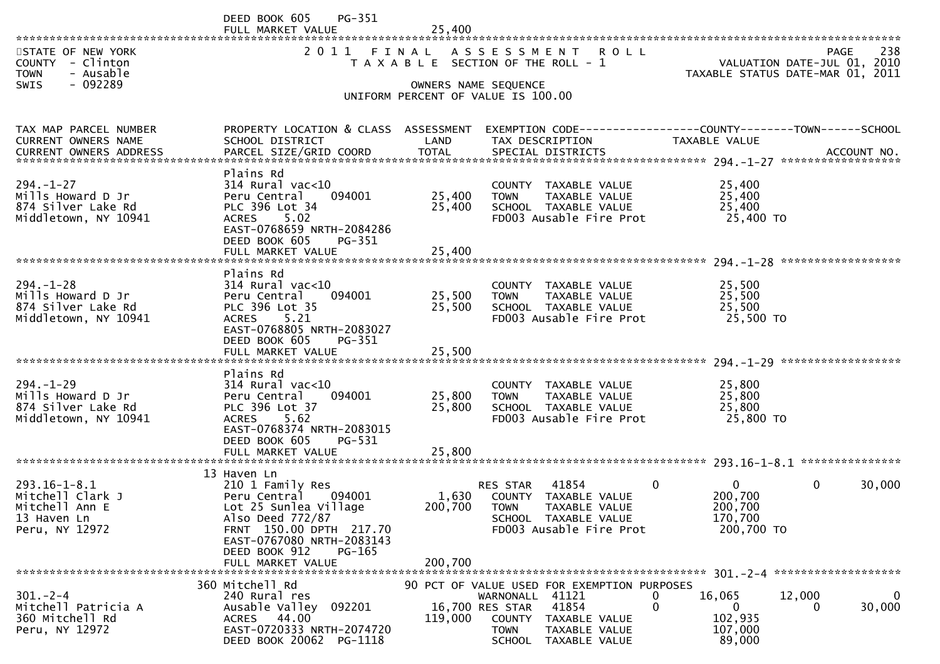|                                                                                              | PG-351<br>DEED BOOK 605<br>FULL MARKET VALUE                                                                                                                                                                | 25,400                      |                                                                                                                                                                                         |                                                                     |                                                                                       |
|----------------------------------------------------------------------------------------------|-------------------------------------------------------------------------------------------------------------------------------------------------------------------------------------------------------------|-----------------------------|-----------------------------------------------------------------------------------------------------------------------------------------------------------------------------------------|---------------------------------------------------------------------|---------------------------------------------------------------------------------------|
| STATE OF NEW YORK<br>COUNTY - Clinton<br>- Ausable<br><b>TOWN</b><br>- 092289<br><b>SWIS</b> | 2011                                                                                                                                                                                                        | FINAL                       | ASSESSMENT ROLL<br>T A X A B L E SECTION OF THE ROLL - 1<br>OWNERS NAME SEQUENCE<br>UNIFORM PERCENT OF VALUE IS 100.00                                                                  |                                                                     | 238<br><b>PAGE</b><br>VALUATION DATE-JUL 01, 2010<br>TAXABLE STATUS DATE-MAR 01, 2011 |
| TAX MAP PARCEL NUMBER<br>CURRENT OWNERS NAME                                                 | PROPERTY LOCATION & CLASS ASSESSMENT<br>SCHOOL DISTRICT                                                                                                                                                     | LAND                        | EXEMPTION CODE-----------------COUNTY--------TOWN------SCHOOL<br>TAX DESCRIPTION                                                                                                        | TAXABLE VALUE                                                       |                                                                                       |
| $294. - 1 - 27$<br>Mills Howard D Jr<br>874 Silver Lake Rd<br>Middletown, NY 10941           | Plains Rd<br>$314$ Rural vac< $10$<br>Peru Central<br>094001<br>PLC 396 Lot 34<br>5.02<br><b>ACRES</b><br>EAST-0768659 NRTH-2084286<br>DEED BOOK 605<br>PG-351                                              | 25,400<br>25,400            | COUNTY TAXABLE VALUE<br><b>TOWN</b><br>TAXABLE VALUE<br>SCHOOL TAXABLE VALUE<br>FD003 Ausable Fire Prot                                                                                 | 25,400<br>25,400<br>25,400<br>25,400 TO                             |                                                                                       |
| $294. - 1 - 28$<br>Mills Howard D Jr<br>874 Silver Lake Rd<br>Middletown, NY 10941           | Plains Rd<br>$314$ Rural vac<10<br>Peru Central<br>094001<br>PLC 396 Lot 35<br><b>ACRES</b><br>5.21<br>EAST-0768805 NRTH-2083027<br>DEED BOOK 605<br>PG-351<br>FULL MARKET VALUE                            | 25,500<br>25,500<br>25,500  | COUNTY TAXABLE VALUE<br><b>TOWN</b><br>TAXABLE VALUE<br>SCHOOL TAXABLE VALUE<br>FD003 Ausable Fire Prot                                                                                 | 25,500<br>25,500<br>25,500<br>25,500 TO                             |                                                                                       |
| $294. - 1 - 29$<br>Mills Howard D Jr<br>874 Silver Lake Rd<br>Middletown, NY 10941           | Plains Rd<br>$314$ Rural vac< $10$<br>Peru Central<br>094001<br>PLC 396 Lot 37<br><b>ACRES</b><br>5.62<br>EAST-0768374 NRTH-2083015<br>DEED BOOK 605<br>PG-531                                              | 25,800<br>25,800            | COUNTY TAXABLE VALUE<br>TAXABLE VALUE<br><b>TOWN</b><br>SCHOOL TAXABLE VALUE<br>FD003 Ausable Fire Prot                                                                                 | 25,800<br>25,800<br>25,800<br>25,800 TO                             |                                                                                       |
| $293.16 - 1 - 8.1$<br>Mitchell Clark J<br>Mitchell Ann E<br>13 Haven Ln<br>Peru, NY 12972    | 13 Haven Ln<br>210 1 Family Res<br>Peru Central 094001<br>Lot 25 Sunlea Village<br>Also Deed 772/87<br>FRNT 150.00 DPTH 217.70<br>EAST-0767080 NRTH-2083143<br>DEED BOOK 912<br>PG-165<br>FULL MARKET VALUE | 1,630<br>200,700<br>200,700 | 41854<br>RES STAR<br>COUNTY TAXABLE VALUE<br><b>TOWN</b><br>TAXABLE VALUE<br>SCHOOL TAXABLE VALUE<br>FD003 Ausable Fire Prot                                                            | $\Omega$<br>$\Omega$<br>200,700<br>200,700<br>170,700<br>200,700 TO | 0<br>30,000                                                                           |
| $301 - 2 - 4$<br>Mitchell Patricia A<br>360 Mitchell Rd<br>Peru, NY 12972                    | 360 Mitchell Rd<br>240 Rural res<br>Ausable Valley<br>092201<br>44.00<br><b>ACRES</b><br>EAST-0720333 NRTH-2074720<br>DEED BOOK 20062 PG-1118                                                               | 119,000                     | 90 PCT OF VALUE USED FOR EXEMPTION PURPOSES<br>WARNONALL 41121<br>41854<br>16,700 RES STAR<br><b>COUNTY</b><br>TAXABLE VALUE<br>TAXABLE VALUE<br><b>TOWN</b><br>TAXABLE VALUE<br>SCHOOL | 16,065<br>0<br>0<br>$\Omega$<br>102,935<br>107,000<br>89,000        | $\mathbf 0$<br>12,000<br>30,000<br>$\Omega$                                           |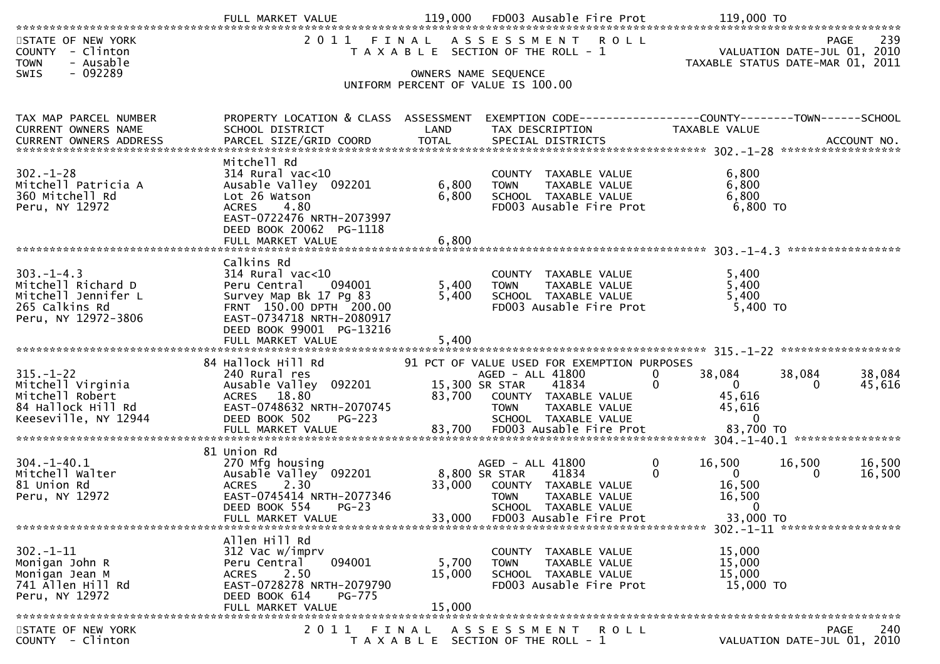| STATE OF NEW YORK<br>COUNTY - Clinton<br><b>TOWN</b><br>- Ausable                                                                                               |                                                                                                              |                         | 2011 FINAL ASSESSMENT ROLL<br>T A X A B L E SECTION OF THE ROLL - 1                                     |                                                              | 239<br>PAGE<br>VALUATION DATE-JUL 01, 2010<br>TAXABLE STATUS DATE-MAR 01, 2011 |
|-----------------------------------------------------------------------------------------------------------------------------------------------------------------|--------------------------------------------------------------------------------------------------------------|-------------------------|---------------------------------------------------------------------------------------------------------|--------------------------------------------------------------|--------------------------------------------------------------------------------|
| $-092289$<br><b>SWIS</b>                                                                                                                                        |                                                                                                              |                         | OWNERS NAME SEQUENCE<br>UNIFORM PERCENT OF VALUE IS 100.00                                              |                                                              |                                                                                |
|                                                                                                                                                                 |                                                                                                              |                         |                                                                                                         |                                                              |                                                                                |
| TAX MAP PARCEL NUMBER<br>CURRENT OWNERS NAME<br>.0URRENT OWNERS ADDRESS PARCEL SIZE/GRID COORD TOTAL SPECIAL DISTRICTS ACCOUNT NO ACCOUNT NO ACCOUNT NO ACCOUNT | PROPERTY LOCATION & CLASS ASSESSMENT<br>SCHOOL DISTRICT                                                      | LAND                    | EXEMPTION CODE-----------------COUNTY-------TOWN------SCHOOL<br>TAX DESCRIPTION                         | <b>TAXABLE VALUE</b>                                         |                                                                                |
|                                                                                                                                                                 | Mitchell Rd                                                                                                  |                         |                                                                                                         |                                                              |                                                                                |
| $302 - 1 - 28$<br>Mitchell Patricia A<br>360 Mitchell Rd                                                                                                        | 314 Rural vac<10<br>Ausable Valley 092201<br>Lot 26 Watson                                                   | 6,800<br>6,800          | COUNTY TAXABLE VALUE<br>TAXABLE VALUE<br><b>TOWN</b><br>SCHOOL TAXABLE VALUE                            | 6,800<br>6,800<br>6,800                                      |                                                                                |
| Peru, NY 12972                                                                                                                                                  | 4.80<br><b>ACRES</b><br>EAST-0722476 NRTH-2073997<br>DEED BOOK 20062 PG-1118                                 |                         | FD003 Ausable Fire Prot                                                                                 | 6,800 TO                                                     |                                                                                |
|                                                                                                                                                                 | FULL MARKET VALUE                                                                                            | 6,800                   |                                                                                                         |                                                              |                                                                                |
| $303 - 1 - 4.3$<br>Mitchell Richard D                                                                                                                           | Calkins Rd<br>$314$ Rural vac<10<br>094001<br>Peru Central                                                   | 5,400                   | COUNTY TAXABLE VALUE<br><b>TOWN</b><br>TAXABLE VALUE                                                    | 5,400<br>5,400                                               |                                                                                |
| Mitchell Jennifer L<br>265 Calkins Rd<br>Peru, NY 12972-3806                                                                                                    | Survey Map Bk 17 Pg 83<br>FRNT 150.00 DPTH 200.00<br>EAST-0734718 NRTH-2080917                               | 5,400                   | SCHOOL TAXABLE VALUE<br>FD003 Ausable Fire Prot                                                         | 5,400<br>5,400 TO                                            |                                                                                |
|                                                                                                                                                                 | DEED BOOK 99001 PG-13216<br>FULL MARKET VALUE                                                                | 5,400                   |                                                                                                         |                                                              |                                                                                |
|                                                                                                                                                                 | 84 Hallock Hill Rd                                                                                           |                         | 91 PCT OF VALUE USED FOR EXEMPTION PURPOSES                                                             |                                                              |                                                                                |
| $315. - 1 - 22$<br>Mitchell Virginia<br>Mitchell Robert                                                                                                         | 240 Rural res<br>Ausable Valley 092201<br>ACRES 18.80                                                        |                         | AGED - ALL 41800<br>15,300 SR STAR<br>41834<br>83,700 COUNTY TAXABLE VALUE                              | 38,084<br>$\Omega$<br>$\mathbf{0}$<br>$\mathbf{0}$<br>45,616 | 38,084<br>38,084<br>45,616<br>$\Omega$                                         |
| 84 Hallock Hill Rd<br>Keeseville, NY 12944                                                                                                                      | EAST-0748632 NRTH-2070745<br>DEED BOOK 502<br><b>PG-223</b>                                                  |                         | <b>TOWN</b><br>TAXABLE VALUE<br>SCHOOL TAXABLE VALUE                                                    | 45,616<br>0                                                  |                                                                                |
|                                                                                                                                                                 |                                                                                                              |                         |                                                                                                         |                                                              |                                                                                |
| $304. - 1 - 40.1$<br>Mitchell Walter<br>81 Union Rd                                                                                                             | 81 Union Rd<br>270 Mfg housing<br>Ausable Valley 092201<br>2.30<br><b>ACRES</b><br>EAST-0745414 NRTH-2077346 | 8,800 SR STAR<br>33,000 | AGED - ALL 41800<br>41834<br>COUNTY TAXABLE VALUE                                                       | $\mathbf 0$<br>16,500<br>$\mathbf{0}$<br>$\Omega$<br>16,500  | 16,500<br>16,500<br>16,500<br>0                                                |
| Peru, NY 12972                                                                                                                                                  | DEED BOOK 554 PG-23<br>FULL MARKET VALUE                                                                     | 33,000                  | <b>TOWN</b><br>TAXABLE VALUE<br>SCHOOL TAXABLE VALUE<br>FD003 Ausable Fire Prot                         | 16,500<br>$\overline{0}$<br>33,000 TO                        |                                                                                |
|                                                                                                                                                                 | Allen Hill Rd                                                                                                |                         |                                                                                                         |                                                              |                                                                                |
| $302. - 1 - 11$<br>Monigan John R<br>Monigan Jean M<br>741 Allen Hill Rd                                                                                        | 312 Vac w/imprv<br>094001<br>Peru Central<br>2.50<br>ACRES<br>EAST-0728278 NRTH-2079790                      | 5,700<br>15,000         | COUNTY TAXABLE VALUE<br>TAXABLE VALUE<br><b>TOWN</b><br>SCHOOL TAXABLE VALUE<br>FD003 Ausable Fire Prot | 15,000<br>15,000<br>15,000<br>15,000 TO                      |                                                                                |
| Peru, NY 12972                                                                                                                                                  | DEED BOOK 614<br><b>PG-775</b><br>FULL MARKET VALUE                                                          | 15,000                  |                                                                                                         |                                                              |                                                                                |
| STATE OF NEW YORK                                                                                                                                               | 2 0 1 1                                                                                                      | FINAL                   | ASSESSMENT ROLL                                                                                         |                                                              | 240<br><b>PAGE</b>                                                             |
| COUNTY - Clinton                                                                                                                                                |                                                                                                              |                         | T A X A B L E SECTION OF THE ROLL - 1                                                                   |                                                              | VALUATION DATE-JUL 01, 2010                                                    |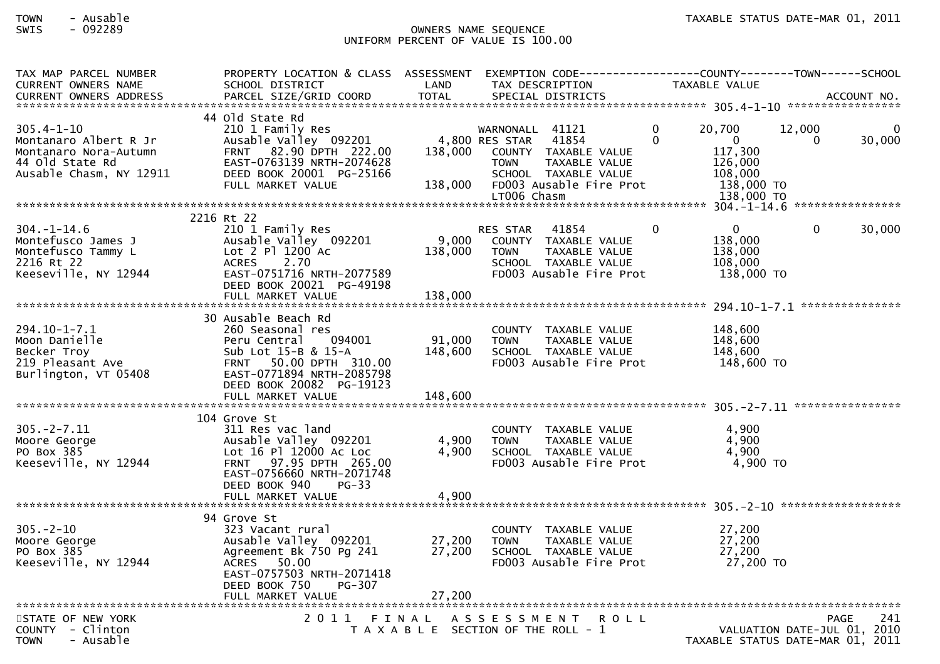## TOWN - Ausable TAXABLE STATUS DATE-MAR 01, 2011SWIS - 092289 OWNERS NAME SEQUENCE UNIFORM PERCENT OF VALUE IS 100.00

| TAX MAP PARCEL NUMBER                                           | PROPERTY LOCATION & CLASS ASSESSMENT EXEMPTION CODE---------------COUNTY-------TOWN------SCHOOL |         |                                                                |                                  |             |        |
|-----------------------------------------------------------------|-------------------------------------------------------------------------------------------------|---------|----------------------------------------------------------------|----------------------------------|-------------|--------|
| CURRENT OWNERS NAME                                             | SCHOOL DISTRICT                                                                                 | LAND    | TAX DESCRIPTION                                                | TAXABLE VALUE                    |             |        |
| CURRENT OWNERS ADDRESS                                          |                                                                                                 |         |                                                                |                                  |             |        |
|                                                                 |                                                                                                 |         |                                                                |                                  |             |        |
| $305.4 - 1 - 10$                                                | 44 Old State Rd                                                                                 |         | WARNONALL 41121                                                | 20,700<br>$\Omega$               | 12,000      |        |
|                                                                 | 210 1 Family Res<br>Ausable Valley 092201                                                       |         | 41854<br>4,800 RES STAR                                        | $\Omega$<br>$\mathbf{0}$         | $\Omega$    | 30,000 |
| Montanaro Albert R Jr                                           | FRNT 82.90 DPTH 222.00                                                                          | 138,000 |                                                                | 117,300                          |             |        |
| Montanaro Nora-Autumn<br>44 Old State Rd                        | EAST-0763139 NRTH-2074628                                                                       |         | COUNTY TAXABLE VALUE<br><b>TOWN</b><br>TAXABLE VALUE           | 126,000                          |             |        |
| Ausable Chasm, NY 12911                                         | DEED BOOK 20001 PG-25166                                                                        |         |                                                                | 108,000                          |             |        |
|                                                                 | FULL MARKET VALUE                                                                               | 138,000 | SCHOOL TAXABLE VALUE<br>FD003 Ausable Fire Prot                | 138,000 TO                       |             |        |
|                                                                 |                                                                                                 |         | LT006 Chasm                                                    | 138,000 TO                       |             |        |
|                                                                 |                                                                                                 |         |                                                                |                                  |             |        |
|                                                                 |                                                                                                 |         |                                                                |                                  |             |        |
|                                                                 | 2216 Rt 22                                                                                      |         |                                                                | $\mathbf{0}$<br>$\mathbf{0}$     | $\Omega$    | 30,000 |
| $304. - 1 - 14.6$                                               | 210 1 Family Res                                                                                | 9,000   | <b>RES STAR</b><br>41854                                       | 138,000                          |             |        |
| Montefusco James J                                              | Ausable Valley 092201<br>Lot 2 Pl 1200 Ac                                                       |         | COUNTY TAXABLE VALUE                                           |                                  |             |        |
| Montefusco Tammy L<br>2216 Rt 22                                | ACRES 2.70                                                                                      | 138,000 | TAXABLE VALUE<br><b>TOWN</b>                                   | 138,000                          |             |        |
|                                                                 | EAST-0751716 NRTH-2077589                                                                       |         | SCHOOL TAXABLE VALUE<br>FD003 Ausable Fire Prot                | 108,000<br>138,000 TO            |             |        |
| Keeseville, NY 12944                                            |                                                                                                 |         |                                                                |                                  |             |        |
|                                                                 | DEED BOOK 20021 PG-49198                                                                        |         |                                                                |                                  |             |        |
|                                                                 |                                                                                                 |         |                                                                |                                  |             |        |
|                                                                 |                                                                                                 |         |                                                                |                                  |             |        |
|                                                                 | 30 Ausable Beach Rd                                                                             |         |                                                                |                                  |             |        |
| $294.10 - 1 - 7.1$                                              | 260 Seasonal res                                                                                |         | COUNTY TAXABLE VALUE                                           | 148,600                          |             |        |
| Moon Danielle                                                   | Peru Central<br>094001                                                                          | 91,000  | <b>TOWN</b><br>TAXABLE VALUE                                   | 148,600                          |             |        |
| ישטער בארצוני (219 Pleasant Ave<br>Burlington (2014 Purlington) | Sub Lot 15-B & 15-A                                                                             | 148,600 | SCHOOL TAXABLE VALUE                                           | 148,600                          |             |        |
|                                                                 | FRNT 50.00 DPTH 310.00                                                                          |         | FD003 Ausable Fire Prot                                        | 148,600 TO                       |             |        |
| Burlington, VT 05408                                            | EAST-0771894 NRTH-2085798                                                                       |         |                                                                |                                  |             |        |
|                                                                 | DEED BOOK 20082 PG-19123                                                                        |         |                                                                |                                  |             |        |
|                                                                 | FULL MARKET VALUE                                                                               | 148,600 |                                                                |                                  |             |        |
|                                                                 |                                                                                                 |         |                                                                |                                  |             |        |
|                                                                 | 104 Grove St                                                                                    |         |                                                                |                                  |             |        |
| $305. -2 - 7.11$                                                | 311 Res vac land                                                                                | 4,900   | COUNTY TAXABLE VALUE                                           | 4,900<br>4,900                   |             |        |
| Moore George                                                    | Ausable Valley 092201<br>Lot 16 Pl 12000 Ac Loc                                                 | 4,900   | <b>TOWN</b><br>TAXABLE VALUE                                   | 4,900                            |             |        |
| PO Box 385<br>Keeseville, NY 12944                              | FRNT 97.95 DPTH 265.00                                                                          |         | SCHOOL TAXABLE VALUE<br>FD003 Ausable Fire Prot                | $4,900$ TO                       |             |        |
|                                                                 |                                                                                                 |         |                                                                |                                  |             |        |
|                                                                 | EAST-0756660 NRTH-2071748                                                                       |         |                                                                |                                  |             |        |
|                                                                 | DEED BOOK 940<br>$PG-33$                                                                        |         |                                                                |                                  |             |        |
|                                                                 |                                                                                                 |         |                                                                |                                  |             |        |
|                                                                 | 94 Grove St                                                                                     |         |                                                                |                                  |             |        |
| $305 - 2 - 10$                                                  | 323 Vacant rural                                                                                |         | COUNTY TAXABLE VALUE                                           | 27,200                           |             |        |
|                                                                 | Ausable Valley 092201                                                                           | 27,200  | <b>TOWN</b><br>TAXABLE VALUE                                   | 27,200                           |             |        |
| Moore George<br>PO Box 385                                      | Agreement Bk 750 Pg 241                                                                         | 27,200  |                                                                | 27,200                           |             |        |
| Keeseville, NY 12944                                            | ACRES 50.00                                                                                     |         | SCHOOL TAXABLE VALUE<br>FD003 Ausable Fire Prot                | 27,200 TO                        |             |        |
|                                                                 | EAST-0757503 NRTH-2071418                                                                       |         |                                                                |                                  |             |        |
|                                                                 | DEED BOOK 750<br><b>PG-307</b>                                                                  |         |                                                                |                                  |             |        |
|                                                                 |                                                                                                 | 27,200  |                                                                |                                  |             |        |
|                                                                 | FULL MARKET VALUE                                                                               |         |                                                                |                                  |             |        |
| STATE OF NEW YORK                                               |                                                                                                 |         | <b>ROLL</b>                                                    |                                  | <b>PAGE</b> | 241    |
| COUNTY - Clinton                                                |                                                                                                 |         | 2011 FINAL ASSESSMENT<br>T A X A B L E SECTION OF THE ROLL - 1 | VALUATION DATE-JUL 01, 2010      |             |        |
| <b>TOWN</b><br>- Ausable                                        |                                                                                                 |         |                                                                | TAXABLE STATUS DATE-MAR 01, 2011 |             |        |
|                                                                 |                                                                                                 |         |                                                                |                                  |             |        |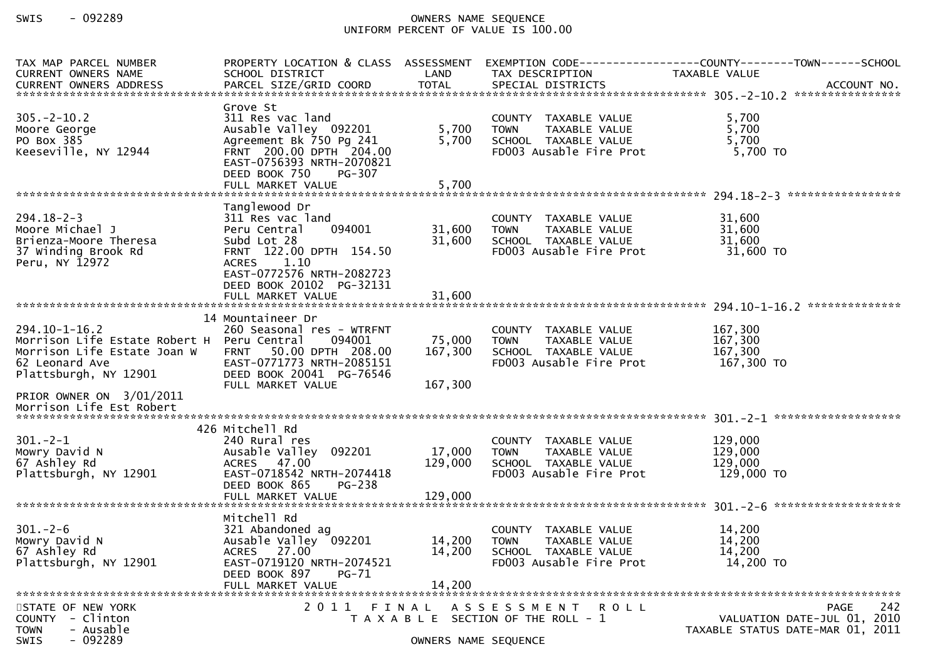## SWIS - 092289 OWNERS NAME SEQUENCE UNIFORM PERCENT OF VALUE IS 100.00

| TAX MAP PARCEL NUMBER<br><b>CURRENT OWNERS NAME</b><br><b>CURRENT OWNERS ADDRESS</b>                                                        | SCHOOL DISTRICT                                                                                                                                                                          | LAND                          | TAX DESCRIPTION                                                                                         | PROPERTY LOCATION & CLASS ASSESSMENT EXEMPTION CODE----------------COUNTY-------TOWN------SCHOOL<br>TAXABLE VALUE |
|---------------------------------------------------------------------------------------------------------------------------------------------|------------------------------------------------------------------------------------------------------------------------------------------------------------------------------------------|-------------------------------|---------------------------------------------------------------------------------------------------------|-------------------------------------------------------------------------------------------------------------------|
| $305. - 2 - 10.2$<br>Moore George<br>PO Box 385<br>Keeseville, NY 12944                                                                     | Grove St<br>311 Res vac land<br>Ausable Valley 092201<br>Agreement Bk 750 Pg 241<br>FRNT 200.00 DPTH 204.00<br>EAST-0756393 NRTH-2070821<br>DEED BOOK 750<br>PG-307<br>FULL MARKET VALUE | 5,700<br>5,700<br>5,700       | COUNTY TAXABLE VALUE<br>TAXABLE VALUE<br><b>TOWN</b><br>SCHOOL TAXABLE VALUE<br>FD003 Ausable Fire Prot | 5,700<br>5,700<br>5,700<br>5,700 TO                                                                               |
|                                                                                                                                             |                                                                                                                                                                                          |                               |                                                                                                         |                                                                                                                   |
| $294.18 - 2 - 3$<br>Moore Michael J<br>Brienza-Moore Theresa<br>37 Winding Brook Rd<br>Peru, NY 12972                                       | Tanglewood Dr<br>311 Res vac land<br>094001<br>Peru Central<br>Subd Lot 28<br>FRNT 122.00 DPTH 154.50<br><b>ACRES</b><br>1.10<br>EAST-0772576 NRTH-2082723<br>DEED BOOK 20102 PG-32131   | 31,600<br>31,600              | COUNTY TAXABLE VALUE<br><b>TOWN</b><br>TAXABLE VALUE<br>SCHOOL TAXABLE VALUE<br>FD003 Ausable Fire Prot | 31,600<br>31,600<br>31,600<br>31,600 TO                                                                           |
|                                                                                                                                             | FULL MARKET VALUE                                                                                                                                                                        | 31,600                        |                                                                                                         |                                                                                                                   |
|                                                                                                                                             | 14 Mountaineer Dr                                                                                                                                                                        |                               |                                                                                                         |                                                                                                                   |
| $294.10 - 1 - 16.2$<br>Morrison Life Estate Robert H Peru Central<br>Morrison Life Estate Joan W<br>62 Leonard Ave<br>Plattsburgh, NY 12901 | 260 Seasonal res - WTRFNT<br>094001<br>FRNT 50.00 DPTH 208.00<br>EAST-0771773 NRTH-2085151<br>DEED BOOK 20041 PG-76546                                                                   | 75,000<br>167,300             | COUNTY TAXABLE VALUE<br>TAXABLE VALUE<br>TOWN<br>SCHOOL TAXABLE VALUE<br>FD003 Ausable Fire Prot        | 167,300<br>167,300<br>167,300<br>167,300 TO                                                                       |
| PRIOR OWNER ON 3/01/2011<br>Morrison Life Est Robert                                                                                        | FULL MARKET VALUE                                                                                                                                                                        | 167,300                       |                                                                                                         |                                                                                                                   |
|                                                                                                                                             | 426 Mitchell Rd                                                                                                                                                                          |                               |                                                                                                         |                                                                                                                   |
| $301 - 2 - 1$<br>Mowry David N<br>67 Ashley Rd<br>Plattsburgh, NY 12901                                                                     | 240 Rural res<br>Ausable Valley 092201<br>ACRES 47.00<br>EAST-0718542 NRTH-2074418<br>DEED BOOK 865<br>PG-238                                                                            | 17,000<br>129,000             | COUNTY TAXABLE VALUE<br><b>TOWN</b><br>TAXABLE VALUE<br>SCHOOL TAXABLE VALUE<br>FD003 Ausable Fire Prot | 129,000<br>129,000<br>129,000<br>129,000 TO                                                                       |
|                                                                                                                                             | FULL MARKET VALUE                                                                                                                                                                        | 129,000                       |                                                                                                         |                                                                                                                   |
| $301 - 2 - 6$<br>Mowry David N<br>67 Ashley Rd<br>Plattsburgh, NY 12901                                                                     | Mitchell Rd<br>321 Abandoned ag<br>Ausable Valley 092201<br>ACRES 27.00<br>EAST-0719120 NRTH-2074521<br>DEED BOOK 897<br><b>PG-71</b><br>FULL MARKET VALUE                               | 14,200<br>14,200<br>14,200    | COUNTY TAXABLE VALUE<br>TOWN<br>TAXABLE VALUE<br>SCHOOL TAXABLE VALUE<br>FD003 Ausable Fire Prot        | 14,200<br>14,200<br>14,200<br>14,200 TO                                                                           |
| STATE OF NEW YORK<br>COUNTY - Clinton<br>- Ausable<br><b>TOWN</b><br>$-092289$<br><b>SWIS</b>                                               | 2011                                                                                                                                                                                     | FINAL<br>OWNERS NAME SEQUENCE | ASSESSMENT ROLL<br>T A X A B L E SECTION OF THE ROLL - 1                                                | PAGE<br>242<br>VALUATION DATE-JUL 01, 2010<br>TAXABLE STATUS DATE-MAR 01, 2011                                    |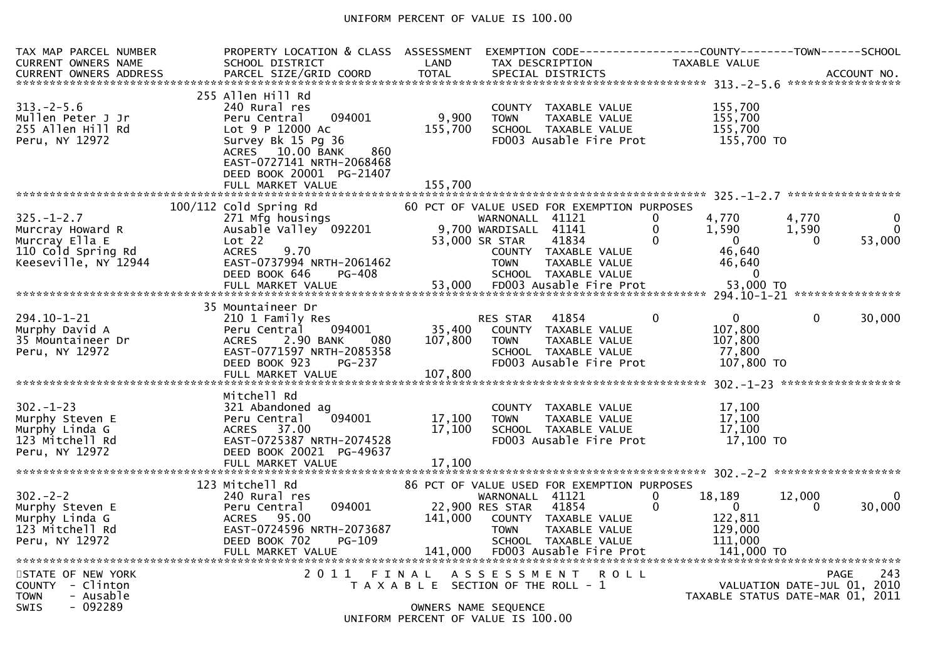## UNIFORM PERCENT OF VALUE IS 100.00

| TAX MAP PARCEL NUMBER<br>CURRENT OWNERS NAME                                                         | PROPERTY LOCATION & CLASS ASSESSMENT<br>SCHOOL DISTRICT                                                                                                                                                         | LAND                        | EXEMPTION CODE----<br>TAX DESCRIPTION                                                                                                                                                                                            |                           | <b>TAXABLE VALUE</b>                                                        | --------COUNTY--------TOWN------SCHOOL<br>ACCOUNT NO.<br>*****************            |
|------------------------------------------------------------------------------------------------------|-----------------------------------------------------------------------------------------------------------------------------------------------------------------------------------------------------------------|-----------------------------|----------------------------------------------------------------------------------------------------------------------------------------------------------------------------------------------------------------------------------|---------------------------|-----------------------------------------------------------------------------|---------------------------------------------------------------------------------------|
| $313 - 2 - 5.6$<br>Mullen Peter J Jr<br>255 Allen Hill Rd<br>Peru, NY 12972                          | 255 Allen Hill Rd<br>240 Rural res<br>094001<br>Peru Central<br>Lot 9 P 12000 Ac<br>Survey Bk 15 Pg 36<br>ACRES 10.00 BANK<br>860<br>EAST-0727141 NRTH-2068468<br>DEED BOOK 20001 PG-21407<br>FULL MARKET VALUE | 9,900<br>155,700<br>155.700 | COUNTY TAXABLE VALUE<br>TAXABLE VALUE<br><b>TOWN</b><br>SCHOOL TAXABLE VALUE<br>FD003 Ausable Fire Prot                                                                                                                          |                           | 155,700<br>155,700<br>155.700<br>155,700 TO                                 |                                                                                       |
| $325. - 1 - 2.7$<br>Murcray Howard R<br>Murcray Ella E<br>110 Cold Spring Rd<br>Keeseville, NY 12944 | 100/112 Cold Spring Rd<br>271 Mfg housings<br>Ausable Valley 092201<br>Lot 22<br>9.70<br><b>ACRES</b><br>EAST-0737994 NRTH-2061462<br>DEED BOOK 646<br>PG-408<br>FULL MARKET VALUE                              | 53,000                      | 60 PCT OF VALUE USED FOR EXEMPTION PURPOSES<br>WARNONALL 41121<br>9,700 WARDISALL<br>41141<br>41834<br>53,000 SR STAR<br>COUNTY TAXABLE VALUE<br><b>TOWN</b><br>TAXABLE VALUE<br>SCHOOL TAXABLE VALUE<br>FD003 Ausable Fire Prot | $\Omega$<br>$\Omega$<br>0 | 4,770<br>1,590<br>$\mathbf{0}$<br>46,640<br>46,640<br>$\Omega$<br>53,000 TO | 4.770<br>$\Omega$<br>1,590<br>$\Omega$<br>53,000<br>$\Omega$                          |
| $294.10 - 1 - 21$<br>Murphy David A<br>35 Mountaineer Dr<br>Peru, NY 12972                           | 35 Mountaineer Dr<br>210 1 Family Res<br>094001<br>Peru Central<br><b>ACRES</b><br>2.90 BANK<br>080<br>EAST-0771597 NRTH-2085358<br>DEED BOOK 923<br>$PG-237$                                                   | 35,400<br>107,800           | 41854<br><b>RES STAR</b><br>COUNTY TAXABLE VALUE<br><b>TOWN</b><br>TAXABLE VALUE<br>SCHOOL TAXABLE VALUE<br>FD003 Ausable Fire Prot                                                                                              | 0                         | $\Omega$<br>107,800<br>107,800<br>77,800<br>107,800 TO                      | $\Omega$<br>30,000                                                                    |
| $302 - 1 - 23$<br>Murphy Steven E<br>Murphy Linda G<br>123 Mitchell Rd<br>Peru, NY 12972             | Mitchell Rd<br>321 Abandoned ag<br>094001<br>Peru Central<br>ACRES 37.00<br>EAST-0725387 NRTH-2074528<br>DEED BOOK 20021 PG-49637<br>FULL MARKET VALUE                                                          | 17,100<br>17,100<br>17,100  | TAXABLE VALUE<br><b>COUNTY</b><br><b>TOWN</b><br>TAXABLE VALUE<br>SCHOOL TAXABLE VALUE<br>FD003 Ausable Fire Prot                                                                                                                |                           | 17,100<br>17,100<br>17,100<br>$17,100$ TO                                   | ******************                                                                    |
| $302 - 2 - 2$<br>Murphy Steven E<br>Murphy Linda G<br>123 Mitchell Rd<br>Peru, NY 12972              | 123 Mitchell Rd<br>240 Rural res<br>094001<br>Peru Central<br>ACRES 95.00<br>EAST-0724596 NRTH-2073687<br>DEED BOOK 702<br>PG-109<br>FULL MARKET VALUE                                                          | 141,000<br>141,000          | 86 PCT OF VALUE USED FOR EXEMPTION PURPOSES<br>WARNONALL 41121<br>41854<br>22,900 RES STAR<br>COUNTY TAXABLE VALUE<br>TAXABLE VALUE<br><b>TOWN</b><br>SCHOOL TAXABLE VALUE<br>FD003 Ausable Fire Prot                            | $\Omega$<br>$\Omega$      | 18,189<br>$\overline{0}$<br>122,811<br>129,000<br>111,000<br>141,000 TO     | 12,000<br>$\Omega$<br>30,000<br>0                                                     |
| STATE OF NEW YORK<br>COUNTY - Clinton<br><b>TOWN</b><br>- Ausable<br><b>SWIS</b><br>- 092289         | 2011                                                                                                                                                                                                            | FINAL                       | A S S E S S M E N T<br>T A X A B L E SECTION OF THE ROLL - 1<br>OWNERS NAME SEQUENCE<br>MITFOMRSTUT QF NITQF N                                                                                                                   | R O L L                   |                                                                             | <b>PAGE</b><br>243<br>VALUATION DATE-JUL 01, 2010<br>TAXABLE STATUS DATE-MAR 01, 2011 |

UNIFORM PERCENT OF VALUE IS 100.00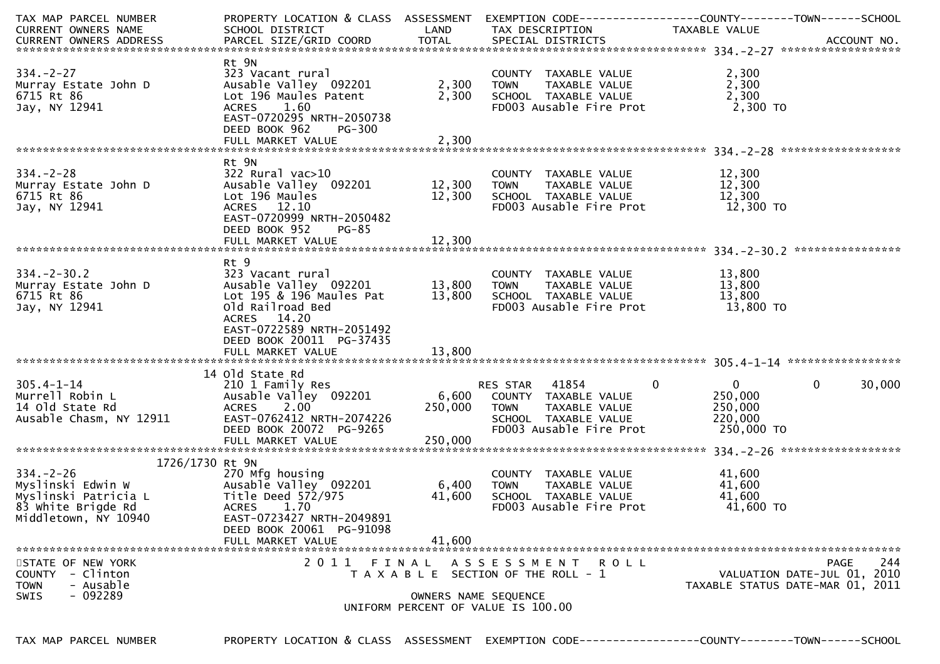| TAX MAP PARCEL NUMBER<br>CURRENT OWNERS NAME                                           | PROPERTY LOCATION & CLASS ASSESSMENT<br>SCHOOL DISTRICT                                                                                                                              | LAND                        | EXEMPTION        CODE------------------COUNTY-------TOWN------SCHOOL<br>TAX DESCRIPTION                                   | TAXABLE VALUE                                                                   |                                                                                |
|----------------------------------------------------------------------------------------|--------------------------------------------------------------------------------------------------------------------------------------------------------------------------------------|-----------------------------|---------------------------------------------------------------------------------------------------------------------------|---------------------------------------------------------------------------------|--------------------------------------------------------------------------------|
| $334 - 2 - 27$<br>Murray Estate John D<br>6715 Rt 86<br>Jay, NY 12941                  | Rt 9N<br>323 Vacant rural<br>Ausable Valley 092201<br>Lot 196 Maules Patent<br>ACRES 1.60<br>EAST-0720295 NRTH-2050738<br>DEED BOOK 962<br>PG-300<br>FULL MARKET VALUE               | 2,300<br>2,300<br>2,300     | COUNTY TAXABLE VALUE<br>TOWN      TAXABLE VALUE<br><b>TOWN</b><br>SCHOOL TAXABLE VALUE<br>FD003 Ausable Fire Prot         | 2,300<br>2,300<br>2,300<br>2,300 TO                                             |                                                                                |
| $334 - 2 - 28$<br>Murray Estate John D<br>6715 Rt 86<br>Jay, NY 12941                  | Rt 9N<br>The Same S22 Rural vac>10<br>Ausable Valley 092201 12,300 TOWN<br>Lot 196 Maules<br>ACRES 12.10<br>EAST-0720999 NRTH-2050482<br>DEED BOOK 952<br>PG-85<br>FULL MARKET VALUE | 12,300                      | COUNTY TAXABLE VALUE<br>TOWN     TAXABLE VALUE<br>12,300 SCHOOL TAXABLE VALUE 12,300<br>FD003 Ausable Fire Prot 12,300 TO | 12,300<br>12,300<br>12,300                                                      |                                                                                |
| $334. - 2 - 30.2$<br>Murray Estate John D<br>6715 Rt 86<br>Jay, NY 12941               | Rt 9<br>323 Vacant rural<br>Ausable Valley 092201 13,800<br>Lot 195 & 196 Maules Pat<br>Old Railroad Bed<br>ACRES 14.20<br>EAST-0722589 NRTH-2051492<br>DEED BOOK 20011 PG-37435     | 13,800                      | COUNTY TAXABLE VALUE<br>TOWN      TAXABLE VALUE<br><b>TOWN</b><br>SCHOOL TAXABLE VALUE<br>FD003 Ausable Fire Prot         | 13,800<br>13,800<br>13,800<br>13,800 TO                                         |                                                                                |
| 305.4-1-14<br>Murrell Robin L<br>14 old State Rd<br>Ausable Chasm, NY 12911            | 14 old State Rd<br>210 1 Family Res<br>Ausable Valley 092201<br>ACRES 2.00<br>EAST-0762412 NRTH-2074226<br>DEED BOOK 20072 PG-9265<br>FULL MARKET VALUE                              | 6,600<br>250,000<br>250,000 | RES STAR 41854<br>COUNTY TAXABLE VALUE<br>TAXABLE VALUE<br><b>TOWN</b><br>SCHOOL TAXABLE VALUE<br>FD003 Ausable Fire Prot | $\overline{0}$<br>$\overline{0}$<br>250,000<br>250,000<br>220,000<br>250,000 TO | $\mathbf{0}$<br>30,000                                                         |
| 1726/1730 Rt 9N<br>$334. - 2 - 26$<br>Middletown, NY 10940                             | 270 Mfg housing<br>EAST-0723427 NRTH-2049891<br>DEED BOOK 20061 PG-91098<br>FULL MARKET VALUE                                                                                        | 6,400<br>41,600<br>41,600   | COUNTY TAXABLE VALUE<br>TAXABLE VALUE<br>TOWN<br>SCHOOL TAXABLE VALUE<br>FD003 Ausable Fire Prot                          | 41,600<br>41,600<br>41,600<br>41,600 TO                                         |                                                                                |
| STATE OF NEW YORK<br>COUNTY - Clinton<br>- Ausable<br><b>TOWN</b><br>$-092289$<br>SWIS | 2011 FINAL                                                                                                                                                                           | OWNERS NAME SEQUENCE        | A S S E S S M E N T R O L L<br>T A X A B L E SECTION OF THE ROLL - 1<br>UNIFORM PERCENT OF VALUE IS 100.00                |                                                                                 | 244<br>PAGE<br>VALUATION DATE-JUL 01, 2010<br>TAXABLE STATUS DATE-MAR 01, 2011 |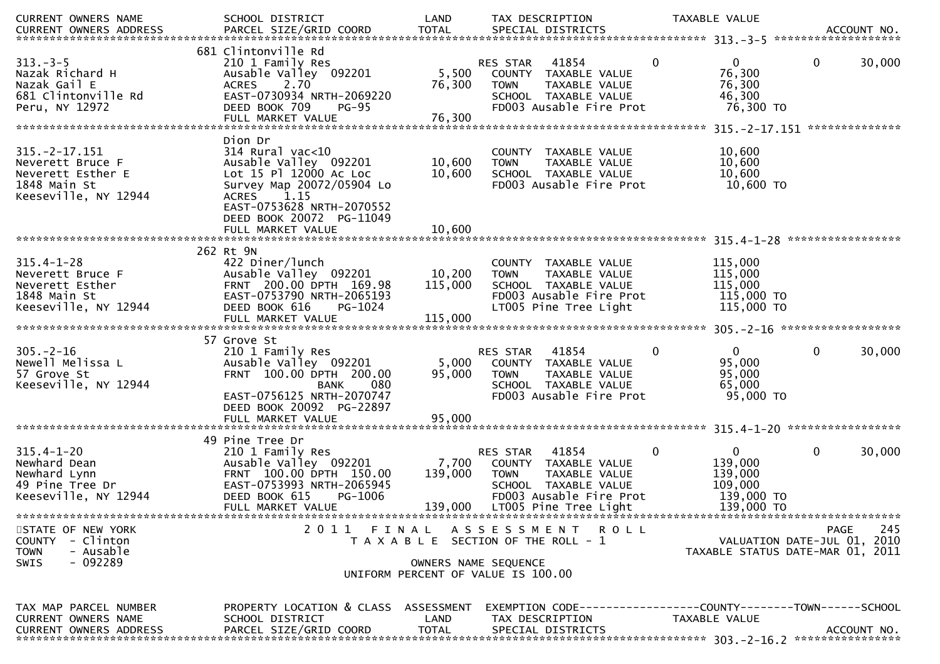| CURRENT OWNERS NAME                                                                                          | SCHOOL DISTRICT                                                                                                                                                       | LAND                         | TAX DESCRIPTION                                                                                                                                       |              | TAXABLE VALUE                                                             |                                                                 |
|--------------------------------------------------------------------------------------------------------------|-----------------------------------------------------------------------------------------------------------------------------------------------------------------------|------------------------------|-------------------------------------------------------------------------------------------------------------------------------------------------------|--------------|---------------------------------------------------------------------------|-----------------------------------------------------------------|
|                                                                                                              |                                                                                                                                                                       |                              |                                                                                                                                                       |              |                                                                           |                                                                 |
| $313 - 3 - 5$<br>Nazak Richard H<br>Nazak Gail E<br>681 Clintonville Rd<br>Peru, NY 12972                    | 681 Clintonville Rd<br>210 1 Family Res<br>Ausable Valley 092201<br>2.70<br><b>ACRES</b><br>EAST-0730934 NRTH-2069220<br>DEED BOOK 709<br><b>PG-95</b>                | 5,500<br>76,300              | RES STAR<br>41854<br>COUNTY TAXABLE VALUE<br><b>TOWN</b><br>TAXABLE VALUE<br>SCHOOL TAXABLE VALUE<br>FD003 Ausable Fire Prot                          | $\mathbf{0}$ | $\mathbf{0}$<br>76,300<br>76,300<br>46,300<br>76,300 TO                   | 0<br>30,000                                                     |
|                                                                                                              |                                                                                                                                                                       |                              |                                                                                                                                                       |              |                                                                           |                                                                 |
| $315. -2 - 17.151$<br>Neverett Bruce F<br>Neverett Esther E<br>1848 Main St<br>Keeseville, NY 12944          | Dion Dr<br>$314$ Rural vac<10<br>Ausable Valley 092201<br>Lot 15 Pl 12000 Ac Loc<br>Survey Map 20072/05904 Lo<br>1.15<br><b>ACRES</b><br>EAST-0753628 NRTH-2070552    | 10,600<br>10,600             | COUNTY TAXABLE VALUE<br>TAXABLE VALUE<br><b>TOWN</b><br>SCHOOL TAXABLE VALUE<br>FD003 Ausable Fire Prot                                               |              | 10,600<br>10,600<br>10,600<br>10,600 TO                                   |                                                                 |
|                                                                                                              | DEED BOOK 20072 PG-11049<br>FULL MARKET VALUE                                                                                                                         | 10,600                       |                                                                                                                                                       |              |                                                                           |                                                                 |
| 262 Rt 9N<br>$315.4 - 1 - 28$<br>Neverett Bruce F<br>Neverett Esther<br>1848 Main St<br>Keeseville, NY 12944 | 422 Diner/lunch<br>Ausable Valley 092201<br>FRNT 200.00 DPTH 169.98<br>EAST-0753790 NRTH-2065193<br>DEED BOOK 616<br>PG-1024<br>FULL MARKET VALUE                     | 10,200<br>115,000<br>115,000 | COUNTY TAXABLE VALUE<br>TAXABLE VALUE<br><b>TOWN</b><br>SCHOOL TAXABLE VALUE<br>FD003 Ausable Fire Prot<br>LT005 Pine Tree Light                      |              | 115,000<br>115,000<br>115,000<br>115,000 TO<br>115,000 TO                 |                                                                 |
| $305. - 2 - 16$<br>Newell Melissa L<br>57 Grove St<br>Keeseville, NY 12944                                   | 57 Grove St<br>210 1 Family Res<br>Ausable Valley 092201<br>FRNT 100.00 DPTH 200.00<br>080<br><b>BANK</b><br>EAST-0756125 NRTH-2070747<br>DEED BOOK 20092 PG-22897    | 5,000<br>95,000              | 41854<br>RES STAR<br>COUNTY TAXABLE VALUE<br><b>TOWN</b><br>TAXABLE VALUE<br>SCHOOL TAXABLE VALUE<br>FD003 Ausable Fire Prot                          | $\mathbf{0}$ | $\Omega$<br>95,000<br>95,000<br>65,000<br>95,000 TO                       | 0<br>30,000                                                     |
|                                                                                                              | FULL MARKET VALUE                                                                                                                                                     | 95,000                       |                                                                                                                                                       |              |                                                                           |                                                                 |
| $315.4 - 1 - 20$<br>Newhard Dean<br>Newhard Lynn<br>49 Pine Tree Dr<br>Keeseville, NY 12944                  | 49 Pine Tree Dr<br>210 1 Family Res<br>Ausable Valley 092201<br>FRNT 100.00 DPTH 150.00<br>EAST-0753993 NRTH-2065945<br>DEED BOOK 615<br>PG-1006<br>FULL MARKET VALUE | 7,700<br>139,000<br>139,000  | 41854<br>RES STAR<br>COUNTY TAXABLE VALUE<br><b>TOWN</b><br>TAXABLE VALUE<br>SCHOOL TAXABLE VALUE<br>FD003 Ausable Fire Prot<br>LT005 Pine Tree Light | 0            | $\mathbf{0}$<br>139,000<br>139,000<br>109,000<br>139,000 TO<br>139,000 TO | 0<br>30,000                                                     |
| STATE OF NEW YORK                                                                                            |                                                                                                                                                                       |                              | 2011 FINAL ASSESSMENT ROLL                                                                                                                            |              |                                                                           | 245<br>PAGE                                                     |
| COUNTY - Clinton<br><b>TOWN</b><br>- Ausable                                                                 |                                                                                                                                                                       |                              | T A X A B L E SECTION OF THE ROLL - 1                                                                                                                 |              |                                                                           | VALUATION DATE-JUL 01, 2010<br>TAXABLE STATUS DATE-MAR 01, 2011 |
| $-092289$<br>SWIS                                                                                            |                                                                                                                                                                       | OWNERS NAME SEQUENCE         | UNIFORM PERCENT OF VALUE IS 100.00                                                                                                                    |              |                                                                           |                                                                 |
| TAX MAP PARCEL NUMBER<br>CURRENT OWNERS NAME<br><b>CURRENT OWNERS ADDRESS</b>                                | PROPERTY LOCATION & CLASS ASSESSMENT<br>SCHOOL DISTRICT<br>PARCEL SIZE/GRID COORD                                                                                     | LAND<br><b>TOTAL</b>         | EXEMPTION        CODE-----------------COUNTY-------TOWN------SCHOOL<br>TAX DESCRIPTION<br>SPECIAL DISTRICTS                                           |              | TAXABLE VALUE                                                             | ACCOUNT NO.                                                     |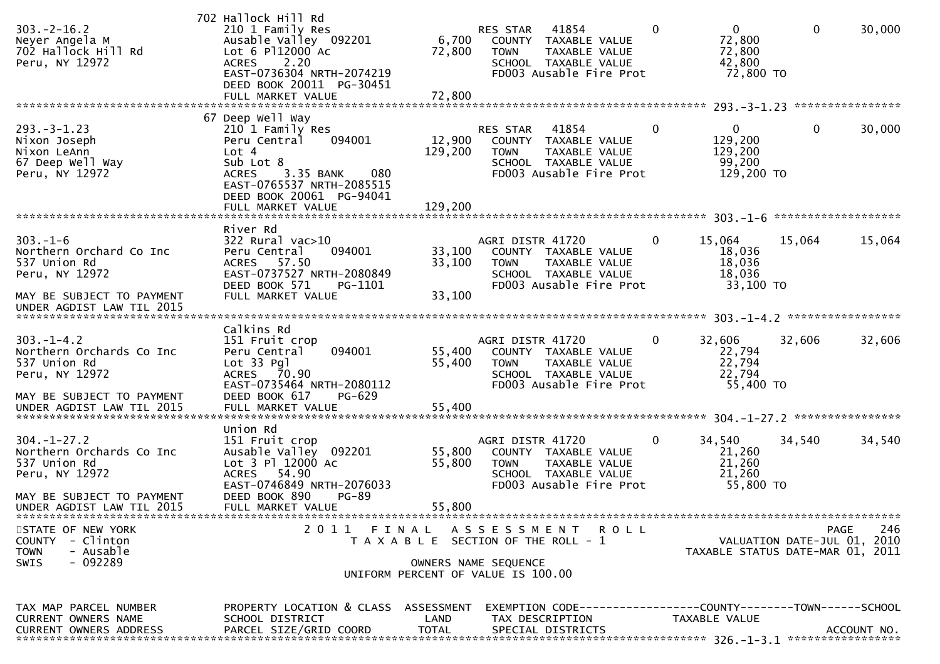| $303 - 2 - 16.2$<br>Neyer Angela M<br>702 Hallock Hill Rd<br>Peru, NY 12972                                  | 702 Hallock Hill Rd<br>210 1 Family Res<br>Ausable Valley 092201<br>Lot 6 P112000 AC<br>2.20<br><b>ACRES</b><br>EAST-0736304 NRTH-2074219<br>DEED BOOK 20011 PG-30451                                  | 6,700<br>72,800              | 41854<br>RES STAR<br>COUNTY TAXABLE VALUE<br><b>TOWN</b><br>TAXABLE VALUE<br>SCHOOL TAXABLE VALUE<br>FD003 Ausable Fire Prot        | $\overline{0}$<br>0<br>72,800<br>72,800<br>42,800<br>72,800 TO             | $\mathbf 0$                                                     | 30,000      |
|--------------------------------------------------------------------------------------------------------------|--------------------------------------------------------------------------------------------------------------------------------------------------------------------------------------------------------|------------------------------|-------------------------------------------------------------------------------------------------------------------------------------|----------------------------------------------------------------------------|-----------------------------------------------------------------|-------------|
|                                                                                                              |                                                                                                                                                                                                        |                              |                                                                                                                                     |                                                                            |                                                                 |             |
| $293. -3 - 1.23$<br>Nixon Joseph<br>Nixon LeAnn<br>67 Deep Well Way<br>Peru, NY 12972                        | 67 Deep Well Way<br>210 1 Family Res<br>Peru Central<br>094001<br>Lot 4<br>Sub Lot 8<br><b>ACRES</b><br>3.35 BANK<br>080<br>EAST-0765537 NRTH-2085515<br>DEED BOOK 20061 PG-94041<br>FULL MARKET VALUE | 12,900<br>129,200<br>129,200 | 41854<br><b>RES STAR</b><br>COUNTY TAXABLE VALUE<br>TAXABLE VALUE<br><b>TOWN</b><br>SCHOOL TAXABLE VALUE<br>FD003 Ausable Fire Prot | $\mathbf{0}$<br>$\mathbf{0}$<br>129,200<br>129,200<br>99,200<br>129,200 TO | $\mathbf 0$                                                     | 30,000      |
|                                                                                                              |                                                                                                                                                                                                        |                              |                                                                                                                                     |                                                                            |                                                                 |             |
| $303. - 1 - 6$<br>Northern Orchard Co Inc<br>537 Union Rd<br>Peru, NY 12972                                  | River Rd<br>$322$ Rural vac $>10$<br>Peru Central<br>094001<br>ACRES 57.50<br>EAST-0737527 NRTH-2080849<br>DEED BOOK 571<br>PG-1101                                                                    | 33,100<br>33,100             | AGRI DISTR 41720<br>COUNTY TAXABLE VALUE<br><b>TOWN</b><br>TAXABLE VALUE<br>SCHOOL TAXABLE VALUE<br>FD003 Ausable Fire Prot         | 0<br>15,064<br>18,036<br>18,036<br>18,036<br>33,100 TO                     | 15,064                                                          | 15,064      |
| MAY BE SUBJECT TO PAYMENT<br>UNDER AGDIST LAW TIL 2015                                                       | FULL MARKET VALUE                                                                                                                                                                                      | 33,100                       |                                                                                                                                     |                                                                            |                                                                 |             |
| $303. - 1 - 4.2$<br>Northern Orchards Co Inc<br>537 Union Rd<br>Peru, NY 12972<br>MAY BE SUBJECT TO PAYMENT  | Calkins Rd<br>151 Fruit crop<br>094001<br>Peru Central<br>Lot 33 Pgl<br>ACRES 70.90<br>EAST-0735464 NRTH-2080112<br>DEED BOOK 617<br><b>PG-629</b>                                                     | 55,400<br>55,400             | AGRI DISTR 41720<br>COUNTY TAXABLE VALUE<br><b>TOWN</b><br>TAXABLE VALUE<br>SCHOOL TAXABLE VALUE<br>FD003 Ausable Fire Prot         | 0<br>32,606<br>22,794<br>22,794<br>22,794<br>55,400 TO                     | 32,606                                                          | 32,606      |
|                                                                                                              |                                                                                                                                                                                                        |                              |                                                                                                                                     |                                                                            |                                                                 |             |
|                                                                                                              | Union Rd                                                                                                                                                                                               |                              |                                                                                                                                     |                                                                            |                                                                 |             |
| $304. - 1 - 27.2$<br>Northern Orchards Co Inc<br>537 Union Rd<br>Peru, NY 12972<br>MAY BE SUBJECT TO PAYMENT | 151 Fruit crop<br>Ausable Valley 092201<br>Lot 3 Pl 12000 Ac<br>54.90<br><b>ACRES</b><br>EAST-0746849 NRTH-2076033<br>DEED BOOK 890<br><b>PG-89</b>                                                    | 55,800<br>55,800             | AGRI DISTR 41720<br>COUNTY TAXABLE VALUE<br><b>TOWN</b><br>TAXABLE VALUE<br>SCHOOL TAXABLE VALUE<br>FD003 Ausable Fire Prot         | 34,540<br>0<br>21,260<br>21,260<br>21,260<br>55,800 TO                     | 34,540                                                          | 34,540      |
| UNDER AGDIST LAW TIL 2015                                                                                    | FULL MARKET VALUE                                                                                                                                                                                      | 55,800                       |                                                                                                                                     |                                                                            |                                                                 |             |
| STATE OF NEW YORK<br><b>COUNTY</b><br>- Clinton<br>- Ausable<br><b>TOWN</b><br>$-092289$<br><b>SWIS</b>      |                                                                                                                                                                                                        |                              | 2011 FINAL ASSESSMENT ROLL<br>T A X A B L E SECTION OF THE ROLL - 1<br>OWNERS NAME SEQUENCE<br>UNIFORM PERCENT OF VALUE IS 100.00   |                                                                            | VALUATION DATE-JUL 01, 2010<br>TAXABLE STATUS DATE-MAR 01, 2011 | 246<br>PAGE |
| TAX MAP PARCEL NUMBER<br>CURRENT OWNERS NAME<br><b>CURRENT OWNERS ADDRESS</b>                                | PROPERTY LOCATION & CLASS ASSESSMENT<br>SCHOOL DISTRICT<br>PARCEL SIZE/GRID COORD                                                                                                                      | LAND<br><b>TOTAL</b>         | EXEMPTION        CODE-----------------COUNTY-------TOWN------SCHOOL<br>TAX DESCRIPTION<br>SPECIAL DISTRICTS                         | TAXABLE VALUE                                                              |                                                                 | ACCOUNT NO. |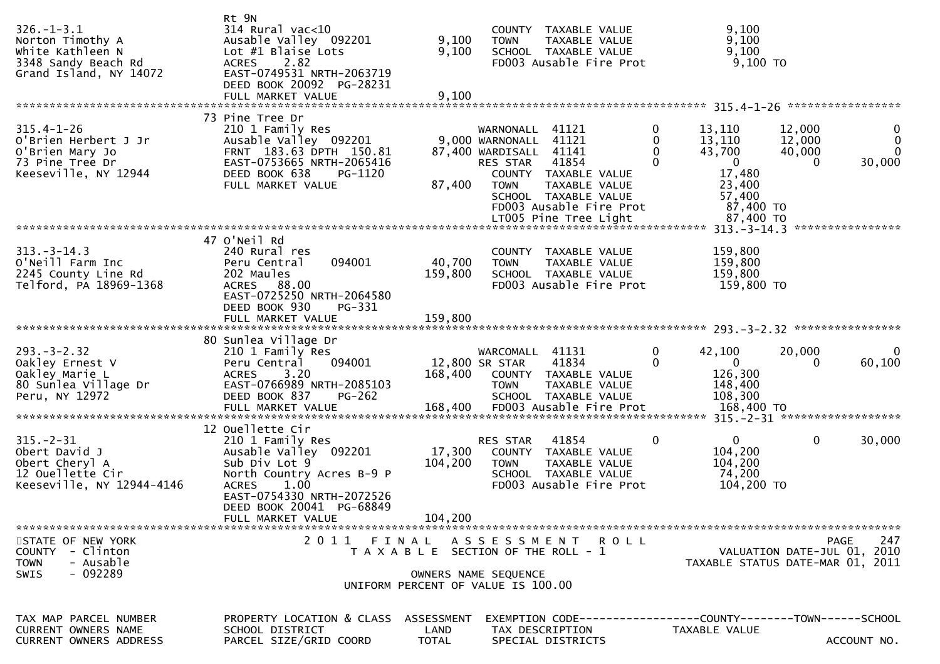| $326. - 1 - 3.1$<br>Norton Timothy A<br>White Kathleen N<br>3348 Sandy Beach Rd<br>Grand Island, NY 14072 | Rt 9N<br>314 Rural vac<10<br>Ausable Valley 092201<br>Lot #1 Blaise Lots<br>2.82<br><b>ACRES</b><br>EAST-0749531 NRTH-2063719<br>DEED BOOK 20092 PG-28231                   | 9,100<br>9,100                     | COUNTY TAXABLE VALUE<br>TAXABLE VALUE<br><b>TOWN</b><br>SCHOOL TAXABLE VALUE<br>FD003 Ausable Fire Prot                                                                                               |                           | 9,100<br>9,100<br>9,100<br>$9,100$ TO                                                 |                                                                                |
|-----------------------------------------------------------------------------------------------------------|-----------------------------------------------------------------------------------------------------------------------------------------------------------------------------|------------------------------------|-------------------------------------------------------------------------------------------------------------------------------------------------------------------------------------------------------|---------------------------|---------------------------------------------------------------------------------------|--------------------------------------------------------------------------------|
|                                                                                                           |                                                                                                                                                                             |                                    |                                                                                                                                                                                                       |                           |                                                                                       |                                                                                |
| $315.4 - 1 - 26$<br>O'Brien Herbert J Jr<br>O'Brien Mary Jo<br>73 Pine Tree Dr<br>Keeseville, NY 12944    | 73 Pine Tree Dr<br>210 1 Family Res<br>Ausable Valley 092201<br>FRNT 183.63 DPTH 150.81<br>EAST-0753665 NRTH-2065416<br>DEED BOOK 638<br>PG-1120<br>FULL MARKET VALUE       | 87,400                             | WARNONALL 41121<br>9,000 WARNONALL 41121<br>87,400 WARDISALL<br>41141<br>41854<br>RES STAR<br>COUNTY TAXABLE VALUE<br>TAXABLE VALUE<br><b>TOWN</b><br>SCHOOL TAXABLE VALUE<br>FD003 Ausable Fire Prot | 0<br>$\Omega$<br>$\Omega$ | 13,110<br>13,110<br>43,700<br>$\mathbf{0}$<br>17,480<br>23,400<br>57,400<br>87,400 TO | 12,000<br>$\bf{0}$<br>0<br>12,000<br>40,000<br>$\Omega$<br>30,000<br>$\Omega$  |
|                                                                                                           |                                                                                                                                                                             |                                    |                                                                                                                                                                                                       |                           |                                                                                       |                                                                                |
| $313 - 3 - 14.3$<br>O'Neill Farm Inc<br>2245 County Line Rd<br>Telford, PA 18969-1368                     | 47 O'Neil Rd<br>240 Rural res<br>094001<br>Peru Central<br>202 Maules<br>88.00<br><b>ACRES</b><br>EAST-0725250 NRTH-2064580<br>DEED BOOK 930<br>PG-331<br>FULL MARKET VALUE | 40,700<br>159,800<br>159,800       | COUNTY TAXABLE VALUE<br><b>TOWN</b><br>TAXABLE VALUE<br>SCHOOL TAXABLE VALUE<br>FD003 Ausable Fire Prot                                                                                               |                           | 159,800<br>159,800<br>159,800<br>159,800 TO                                           |                                                                                |
|                                                                                                           |                                                                                                                                                                             |                                    |                                                                                                                                                                                                       |                           |                                                                                       |                                                                                |
| $293. - 3 - 2.32$<br>Oakley Ernest V<br>Oakley Marie L<br>80 Sunlea Village Dr<br>Peru, NY 12972          | 80 Sunlea Village Dr<br>210 1 Family Res<br>094001<br>Peru Central<br>3.20<br><b>ACRES</b><br>EAST-0766989 NRTH-2085103<br>DEED BOOK 837<br>PG-262                          | 168,400                            | WARCOMALL<br>41131<br>12,800 SR STAR<br>41834<br>COUNTY TAXABLE VALUE<br><b>TOWN</b><br>TAXABLE VALUE<br>SCHOOL TAXABLE VALUE                                                                         | 0<br>$\Omega$             | 42,100<br>$\mathbf{0}$<br>126,300<br>148,400<br>108,300                               | 20,000<br>0<br>60,100<br>$\Omega$                                              |
|                                                                                                           | 12 Ouellette Cir                                                                                                                                                            |                                    |                                                                                                                                                                                                       |                           |                                                                                       |                                                                                |
| $315. - 2 - 31$<br>Obert David J<br>Obert Cheryl A<br>12 Ouellette Cir<br>Keeseville, NY 12944-4146       | 210 1 Family Res<br>Ausable Valley 092201<br>Sub Div Lot 9<br>North Country Acres B-9 P<br><b>ACRES</b><br>1.00<br>EAST-0754330 NRTH-2072526<br>DEED BOOK 20041 PG-68849    | 17,300<br>104,200                  | 41854<br>RES STAR<br>COUNTY TAXABLE VALUE<br><b>TOWN</b><br>TAXABLE VALUE<br>SCHOOL TAXABLE VALUE<br>FD003 Ausable Fire Prot                                                                          | $\mathbf{0}$              | $\mathbf 0$<br>104,200<br>104,200<br>74,200<br>104,200 TO                             | $\mathbf{0}$<br>30,000                                                         |
|                                                                                                           | FULL MARKET VALUE                                                                                                                                                           | 104,200                            |                                                                                                                                                                                                       |                           |                                                                                       |                                                                                |
| STATE OF NEW YORK<br>- Clinton<br><b>COUNTY</b><br>- Ausable<br><b>TOWN</b><br>- 092289<br>SWIS           |                                                                                                                                                                             |                                    | 2011 FINAL ASSESSMENT ROLL<br>T A X A B L E SECTION OF THE ROLL - 1<br>OWNERS NAME SEQUENCE<br>UNIFORM PERCENT OF VALUE IS 100.00                                                                     |                           |                                                                                       | 247<br>PAGE<br>VALUATION DATE-JUL 01, 2010<br>TAXABLE STATUS DATE-MAR 01, 2011 |
| TAX MAP PARCEL NUMBER<br>CURRENT OWNERS NAME<br><b>CURRENT OWNERS ADDRESS</b>                             | PROPERTY LOCATION & CLASS<br>SCHOOL DISTRICT<br>PARCEL SIZE/GRID COORD                                                                                                      | ASSESSMENT<br>LAND<br><b>TOTAL</b> | EXEMPTION CODE-----------------COUNTY-------TOWN------SCHOOL<br>TAX DESCRIPTION<br>SPECIAL DISTRICTS                                                                                                  |                           | TAXABLE VALUE                                                                         | ACCOUNT NO.                                                                    |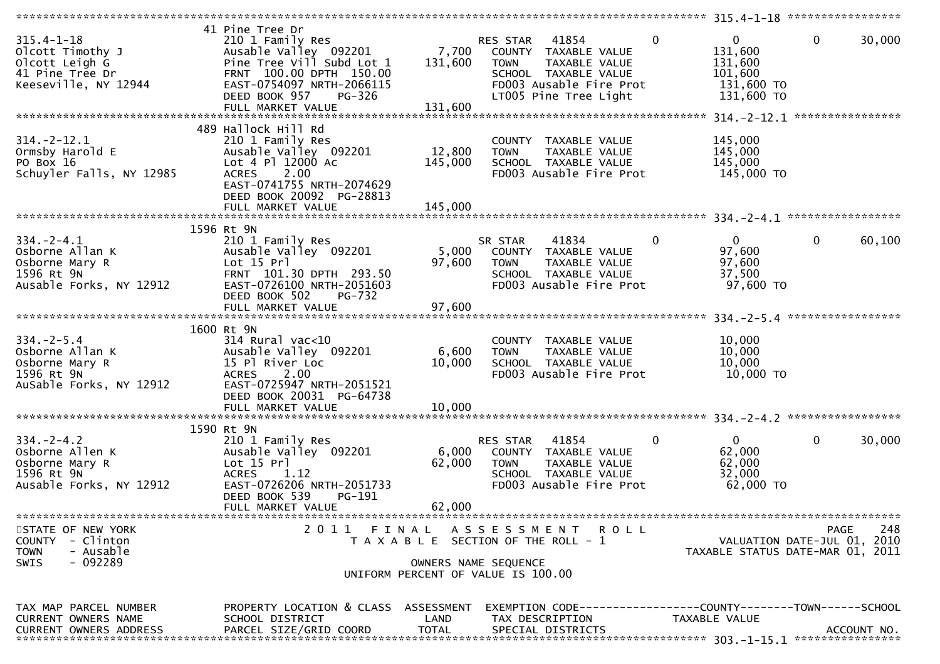|                               | 41 Pine Tree Dr                                  |              |                                       |                                         |
|-------------------------------|--------------------------------------------------|--------------|---------------------------------------|-----------------------------------------|
| $315.4 - 1 - 18$              | 210 1 Family Res                                 |              | $\mathbf{0}$<br>RES STAR 41854        | $\mathbf{0}$<br>$\mathbf 0$<br>30,000   |
| Olcott Timothy J              | Ausable Valley 092201 7,700 COUNTY TAXABLE VALUE |              |                                       | 131,600                                 |
| Olcott Leigh G                | Pine Tree Vill Subd Lot 1                        | 131,600      | <b>TOWN</b><br>TAXABLE VALUE          | 131,600                                 |
| 41 Pine Tree Dr               | FRNT 100.00 DPTH 150.00                          |              | SCHOOL TAXABLE VALUE                  | 101,600                                 |
| Keeseville, NY 12944          | EAST-0754097 NRTH-2066115                        |              | FD003 Ausable Fire Prot               | 131,600 TO                              |
|                               | DEED BOOK 957<br>PG-326                          |              | LT005 Pine Tree Light                 | 131,600 TO                              |
|                               | FULL MARKET VALUE                                | 131,600      |                                       |                                         |
|                               |                                                  |              |                                       |                                         |
|                               | 489 Hallock Hill Rd                              |              |                                       |                                         |
| $314. - 2 - 12.1$             | 210 1 Family Res                                 |              |                                       | 145,000                                 |
|                               |                                                  |              | COUNTY TAXABLE VALUE                  |                                         |
| Ormsby Harold E               | Ausable Valley 092201                            | 12,800       | <b>TOWN</b><br>TAXABLE VALUE          | 145,000                                 |
| PO Box 16                     | Lot 4 Pl 12000 Ac                                | 145,000      | SCHOOL TAXABLE VALUE                  | 145,000                                 |
| Schuyler Falls, NY 12985      | 2.00<br><b>ACRES</b>                             |              | FD003 Ausable Fire Prot               | 145,000 TO                              |
|                               | EAST-0741755 NRTH-2074629                        |              |                                       |                                         |
|                               | DEED BOOK 20092 PG-28813                         |              |                                       |                                         |
|                               |                                                  |              |                                       |                                         |
|                               |                                                  |              |                                       |                                         |
|                               | 1596 Rt 9N                                       |              |                                       |                                         |
| $334. - 2 - 4.1$              | 210 1 Family Res                                 |              | $\mathbf 0$<br>SR STAR<br>41834       | $\overline{0}$<br>$\mathbf 0$<br>60,100 |
| Osborne Allan K               | Ausable Valley 092201                            | 5,000        | COUNTY TAXABLE VALUE                  | 97,600                                  |
| Osborne Mary R                | Lot 15 Prl                                       | 97,600       | <b>TOWN</b><br>TAXABLE VALUE          | 97,600                                  |
| 1596 Rt 9N                    | FRNT 101.30 DPTH 293.50                          |              | SCHOOL TAXABLE VALUE                  | 37,500                                  |
| Ausable Forks, NY 12912       | EAST-0726100 NRTH-2051603                        |              | FD003 Ausable Fire Prot               | 97,600 TO                               |
|                               | DEED BOOK 502<br><b>PG-732</b>                   |              |                                       |                                         |
|                               |                                                  |              |                                       |                                         |
|                               |                                                  |              |                                       |                                         |
|                               | 1600 Rt 9N                                       |              |                                       |                                         |
| $334. - 2 - 5.4$              | $314$ Rural vac<10                               |              | COUNTY TAXABLE VALUE                  | 10,000                                  |
| Osborne Allan K               | Ausable Valley 092201                            | 6,600        | <b>TOWN</b><br>TAXABLE VALUE          | 10,000                                  |
| Osborne Mary R                | 15 Pl River Loc                                  | 10,000       | SCHOOL TAXABLE VALUE                  | 10,000                                  |
|                               |                                                  |              |                                       | 10,000 TO                               |
| 1596 Rt 9N                    | ACRES 2.00<br>EAST-0725947 NRTH-2051521          |              | FD003 Ausable Fire Prot               |                                         |
| AuSable Forks, NY 12912       |                                                  |              |                                       |                                         |
|                               | DEED BOOK 20031 PG-64738                         |              |                                       |                                         |
|                               |                                                  |              |                                       |                                         |
|                               |                                                  |              |                                       |                                         |
|                               | 1590 Rt 9N                                       |              |                                       |                                         |
| $334. - 2 - 4.2$              | 210 1 Family Res                                 |              | $\mathbf{0}$<br>RES STAR 41854        | $\overline{0}$<br>$\mathbf 0$<br>30,000 |
| Osborne Allen K               | Ausable Valley 092201                            | 6,000        | COUNTY TAXABLE VALUE                  | 62,000                                  |
| Osborne Mary R                | Lot 15 Prl                                       | 62,000       | <b>TOWN</b><br>TAXABLE VALUE          | 62,000                                  |
| 1596 Rt 9N                    | ACRES 1.12                                       |              | SCHOOL TAXABLE VALUE                  | 32,000                                  |
| Ausable Forks, NY 12912       | EAST-0726206 NRTH-2051733                        |              | FD003 Ausable Fire Prot               | 62,000 TO                               |
|                               | DEED BOOK 539<br>PG-191                          |              |                                       |                                         |
|                               | FULL MARKET VALUE                                | 62,000       |                                       |                                         |
|                               |                                                  |              |                                       |                                         |
| STATE OF NEW YORK             |                                                  |              | 2011 FINAL ASSESSMENT<br><b>ROLL</b>  | 248<br><b>PAGE</b>                      |
| - Clinton<br><b>COUNTY</b>    |                                                  |              | T A X A B L E SECTION OF THE ROLL - 1 | VALUATION DATE-JUL 01, 2010             |
| <b>TOWN</b><br>- Ausable      |                                                  |              |                                       | TAXABLE STATUS DATE-MAR 01, 2011        |
| $-092289$<br>SWIS             |                                                  |              | OWNERS NAME SEQUENCE                  |                                         |
|                               |                                                  |              | UNIFORM PERCENT OF VALUE IS 100.00    |                                         |
|                               |                                                  |              |                                       |                                         |
|                               |                                                  |              |                                       |                                         |
| TAX MAP PARCEL NUMBER         | PROPERTY LOCATION & CLASS ASSESSMENT             |              |                                       |                                         |
| CURRENT OWNERS NAME           | SCHOOL DISTRICT                                  | LAND         | TAX DESCRIPTION                       | TAXABLE VALUE                           |
| <b>CURRENT OWNERS ADDRESS</b> | PARCEL SIZE/GRID COORD                           | <b>TOTAL</b> | SPECIAL DISTRICTS                     | ACCOUNT NO.                             |
|                               |                                                  |              |                                       |                                         |
|                               |                                                  |              |                                       |                                         |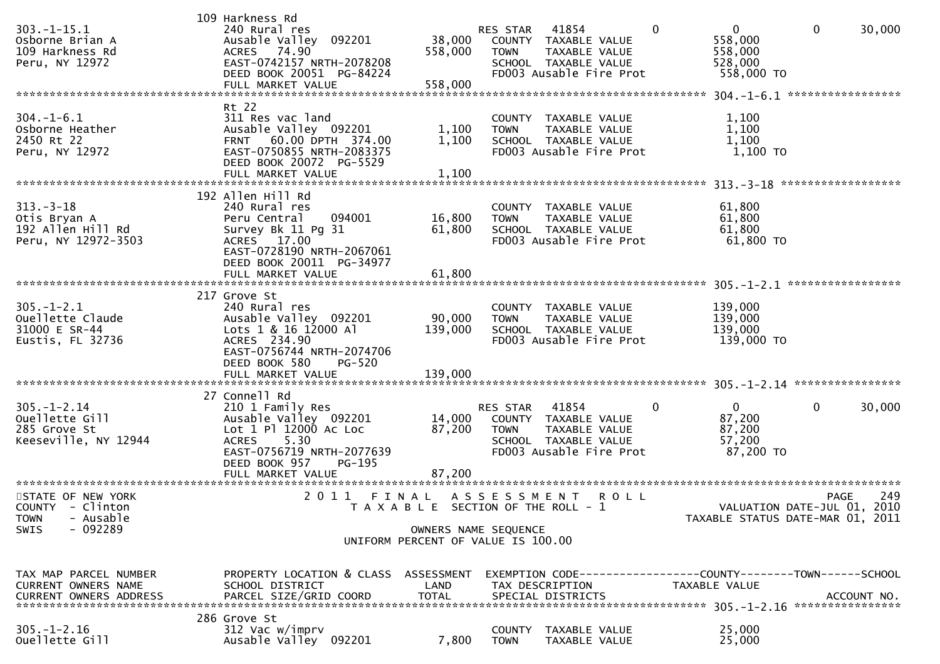| $303. -1 - 15.1$<br>Osborne Brian A<br>109 Harkness Rd<br>Peru, NY 12972                      | 109 Harkness Rd<br>240 Rural res<br>Ausable Valley 092201<br>ACRES 74.90<br>EAST-0742157 NRTH-2078208<br>DEED BOOK 20051 PG-84224<br>FULL MARKET VALUE                                   | 38,000<br>558,000<br>558,000 | RES STAR 41854<br>TOWN                                                                              | COUNTY TAXABLE VALUE<br>TAXABLE VALUE<br>SCHOOL TAXABLE VALUE<br>FD003 Ausable Fire Prot          |             | $\mathbf{0}$ | $\mathbf{0}$<br>558,000<br>558,000<br>528,000<br>558,000 TO                   | $\mathbf 0$  | 30,000      |
|-----------------------------------------------------------------------------------------------|------------------------------------------------------------------------------------------------------------------------------------------------------------------------------------------|------------------------------|-----------------------------------------------------------------------------------------------------|---------------------------------------------------------------------------------------------------|-------------|--------------|-------------------------------------------------------------------------------|--------------|-------------|
| $304. - 1 - 6.1$<br>Osborne Heather<br>2450 Rt 22<br>Peru, NY 12972                           | Rt 22<br>311 Res vac land<br>Ausable Valley 092201<br>FRNT 60.00 DPTH 374.00<br>EAST-0750855 NRTH-2083375<br>DEED BOOK 20072 PG-5529<br>FULL MARKET VALUE                                | 1,100<br>1,100<br>1,100      | <b>TOWN</b>                                                                                         | COUNTY TAXABLE VALUE<br>TAXABLE VALUE<br>SCHOOL TAXABLE VALUE<br>FD003 Ausable Fire Prot          |             |              | 1,100<br>1,100<br>1,100<br>1,100 TO                                           |              |             |
| $313 - 3 - 18$<br>Otis Bryan A<br>192 Allen Hill Rd<br>Peru, NY 12972-3503                    | 192 Allen Hill Rd<br>240 Rural res<br>094001<br>Peru Central<br>Survey Bk 11 Pg 31<br>ACRES 17.00<br>EAST-0728190 NRTH-2067061<br>DEED BOOK 20011 PG-34977                               | 16,800<br>61,800             | <b>TOWN</b>                                                                                         | COUNTY TAXABLE VALUE<br>TAXABLE VALUE<br>SCHOOL TAXABLE VALUE<br>FD003 Ausable Fire Prot          |             |              | 61,800<br>61,800<br>61,800<br>61,800 TO                                       |              |             |
| $305. - 1 - 2.1$<br>Ouellette Claude<br>31000 E SR-44<br>Eustis, FL 32736                     | 217 Grove St<br>240 Rural res<br>Ausable Valley 092201<br>Lots 1 & 16 12000 Al<br>ACRES 234.90<br>EAST-0756744 NRTH-2074706<br>DEED BOOK 580<br>PG-520<br>FULL MARKET VALUE              | 90,000<br>139,000<br>139,000 | <b>TOWN</b>                                                                                         | COUNTY TAXABLE VALUE<br>TAXABLE VALUE<br>SCHOOL TAXABLE VALUE<br>FD003 Ausable Fire Prot          |             |              | 139,000<br>139,000<br>139,000<br>139,000 TO                                   |              |             |
| $305. - 1 - 2.14$<br>Ouellette Gill<br>285 Grove St<br>Keeseville, NY 12944                   | 27 Connell Rd<br>210 1 Family Res<br>Ausable Valley 092201<br>Lot 1 Pl 12000 Ac Loc<br>5.30<br><b>ACRES</b><br>EAST-0756719 NRTH-2077639<br>DEED BOOK 957<br>PG-195<br>FULL MARKET VALUE | 14,000<br>87,200<br>87,200   | RES STAR<br><b>TOWN</b>                                                                             | 41854<br>COUNTY TAXABLE VALUE<br>TAXABLE VALUE<br>SCHOOL TAXABLE VALUE<br>FD003 Ausable Fire Prot |             | 0            | $\mathbf{0}$<br>87,200<br>87,200<br>57,200<br>87,200 TO                       | $\mathbf{0}$ | 30,000      |
| STATE OF NEW YORK<br>COUNTY - Clinton<br>- Ausable<br><b>TOWN</b><br>$-092289$<br><b>SWIS</b> | 2011 FINAL ASSESSMENT                                                                                                                                                                    |                              | T A X A B L E SECTION OF THE ROLL - 1<br>OWNERS NAME SEQUENCE<br>UNIFORM PERCENT OF VALUE IS 100.00 |                                                                                                   | <b>ROLL</b> |              | VALUATION DATE-JUL 01, 2010<br>TAXABLE STATUS DATE-MAR 01, 2011               | <b>PAGE</b>  | 249         |
| TAX MAP PARCEL NUMBER<br>CURRENT OWNERS NAME<br><b>CURRENT OWNERS ADDRESS</b>                 | PROPERTY LOCATION & CLASS ASSESSMENT<br>SCHOOL DISTRICT<br>PARCEL SIZE/GRID COORD<br>286 Grove St                                                                                        | LAND<br><b>TOTAL</b>         |                                                                                                     | TAX DESCRIPTION<br>SPECIAL DISTRICTS                                                              |             |              | EXEMPTION CODE-----------------COUNTY-------TOWN------SCHOOL<br>TAXABLE VALUE |              | ACCOUNT NO. |
| $305. - 1 - 2.16$<br>Ouellette Gill                                                           | 312 Vac w/imprv<br>Ausable Valley 092201                                                                                                                                                 | 7,800                        | COUNTY<br><b>TOWN</b>                                                                               | TAXABLE VALUE<br>TAXABLE VALUE                                                                    |             |              | 25,000<br>25,000                                                              |              |             |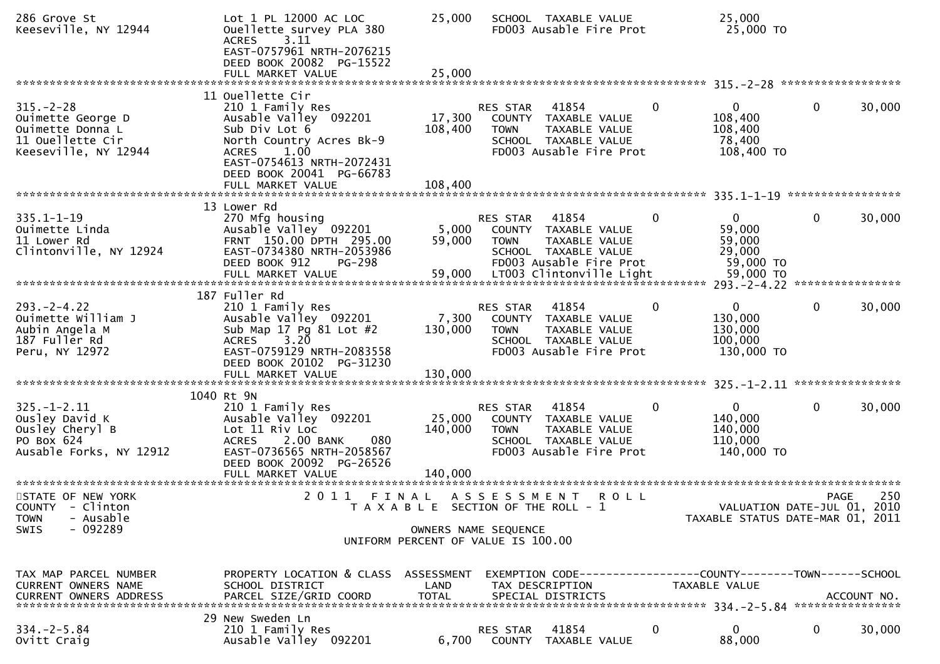| 286 Grove St<br>Keeseville, NY 12944                                                                 | Lot 1 PL 12000 AC LOC<br>Ouellette survey PLA 380<br>3.11<br><b>ACRES</b><br>EAST-0757961 NRTH-2076215<br>DEED BOOK 20082 PG-15522                                                                               | 25,000                                                     |                                | SCHOOL TAXABLE VALUE<br>FD003 Ausable Fire Prot                                                      |              | 25,000<br>25,000 TO                                             |              |             |
|------------------------------------------------------------------------------------------------------|------------------------------------------------------------------------------------------------------------------------------------------------------------------------------------------------------------------|------------------------------------------------------------|--------------------------------|------------------------------------------------------------------------------------------------------|--------------|-----------------------------------------------------------------|--------------|-------------|
|                                                                                                      | FULL MARKET VALUE                                                                                                                                                                                                | 25,000                                                     |                                |                                                                                                      |              |                                                                 |              |             |
| $315. - 2 - 28$<br>Ouimette George D<br>Ouimette Donna L<br>11 Ouellette Cir<br>Keeseville, NY 12944 | 11 Ouellette Cir<br>210 1 Family Res<br>Ausable Valley 092201<br>Sub Div Lot 6<br>North Country Acres Bk-9<br><b>ACRES</b><br>1.00<br>EAST-0754613 NRTH-2072431<br>DEED BOOK 20041 PG-66783<br>FULL MARKET VALUE | 17,300<br>108,400<br>108,400                               | RES STAR<br><b>TOWN</b>        | 41854<br>COUNTY TAXABLE VALUE<br>TAXABLE VALUE<br>SCHOOL TAXABLE VALUE<br>FD003 Ausable Fire Prot    | $\bf{0}$     | 0<br>108,400<br>108,400<br>78,400<br>108,400 TO                 | 0            | 30,000      |
|                                                                                                      | 13 Lower Rd                                                                                                                                                                                                      |                                                            |                                |                                                                                                      |              |                                                                 |              |             |
| $335.1 - 1 - 19$<br>Ouimette Linda<br>11 Lower Rd<br>Clintonville, NY 12924                          | 270 Mfg housing<br>Ausable Valley 092201<br>FRNT 150.00 DPTH 295.00<br>EAST-0734380 NRTH-2053986<br>DEED BOOK 912<br><b>PG-298</b>                                                                               | 5,000<br>59,000                                            | RES STAR<br><b>TOWN</b>        | 41854<br>COUNTY TAXABLE VALUE<br>TAXABLE VALUE<br>SCHOOL TAXABLE VALUE<br>FD003 Ausable Fire Prot    | $\mathbf 0$  | $\mathbf{0}$<br>59,000<br>59,000<br>29,000<br>59,000 TO         | $\mathbf 0$  | 30,000      |
|                                                                                                      |                                                                                                                                                                                                                  |                                                            |                                |                                                                                                      |              |                                                                 |              |             |
| $293. -2 - 4.22$<br>Ouimette William J<br>Aubin Angela M<br>187 Fuller Rd<br>Peru, NY 12972          | 187 Fuller Rd<br>210 1 Family Res<br>Ausable Valley 092201<br>Sub Map 17 Pg 81 Lot #2<br><b>ACRES</b><br>3.20<br>EAST-0759129 NRTH-2083558<br>DEED BOOK 20102 PG-31230                                           | 7,300<br>130,000                                           | RES STAR<br><b>TOWN</b>        | 41854<br>COUNTY TAXABLE VALUE<br>TAXABLE VALUE<br>SCHOOL TAXABLE VALUE<br>FD003 Ausable Fire Prot    | 0            | 0<br>130,000<br>130,000<br>100,000<br>130,000 TO                | $\mathbf{0}$ | 30,000      |
|                                                                                                      | FULL MARKET VALUE                                                                                                                                                                                                | 130,000                                                    |                                |                                                                                                      |              |                                                                 |              |             |
| $325. - 1 - 2.11$<br>Ousley David K<br>Ousley Cheryl B<br>PO Box 624<br>Ausable Forks, NY 12912      | 1040 Rt 9N<br>210 1 Family Res<br>Ausable Valley 092201<br>Lot 11 Riv Loc<br>080<br><b>ACRES</b><br>2.00 BANK<br>EAST-0736565 NRTH-2058567<br>DEED BOOK 20092 PG-26526<br>FULL MARKET VALUE                      | 25,000<br>140,000<br>140,000                               | <b>RES STAR</b><br><b>TOWN</b> | 41854<br>COUNTY TAXABLE VALUE<br>TAXABLE VALUE<br>SCHOOL TAXABLE VALUE<br>FD003 Ausable Fire Prot    | $\mathbf{0}$ | $\mathbf{0}$<br>140,000<br>140,000<br>110,000<br>140,000 TO     | $\mathbf{0}$ | 30,000      |
| STATE OF NEW YORK<br>COUNTY - Clinton<br>- Ausable<br><b>TOWN</b>                                    | 2011                                                                                                                                                                                                             | FINAL ASSESSMENT<br>T A X A B L E SECTION OF THE ROLL - 1  |                                | <b>ROLL</b>                                                                                          |              | VALUATION DATE-JUL 01, 2010<br>TAXABLE STATUS DATE-MAR 01, 2011 | <b>PAGE</b>  | 250         |
| $-092289$<br>SWIS                                                                                    |                                                                                                                                                                                                                  | OWNERS NAME SEQUENCE<br>UNIFORM PERCENT OF VALUE IS 100.00 |                                |                                                                                                      |              |                                                                 |              |             |
| TAX MAP PARCEL NUMBER<br>CURRENT OWNERS NAME<br>CURRENT OWNERS ADDRESS                               | PROPERTY LOCATION & CLASS ASSESSMENT<br>SCHOOL DISTRICT<br>PARCEL SIZE/GRID COORD                                                                                                                                | LAND<br><b>TOTAL</b>                                       |                                | EXEMPTION CODE-----------------COUNTY-------TOWN------SCHOOL<br>TAX DESCRIPTION<br>SPECIAL DISTRICTS |              | TAXABLE VALUE                                                   |              | ACCOUNT NO. |
| $334 - 2 - 5.84$<br>Ovitt Craig                                                                      | 29 New Sweden Ln<br>210 1 Family Res<br>Ausable Valley 092201                                                                                                                                                    | 6,700                                                      | RES STAR                       | 41854<br>COUNTY TAXABLE VALUE                                                                        | 0            | 0<br>88,000                                                     | 0            | 30,000      |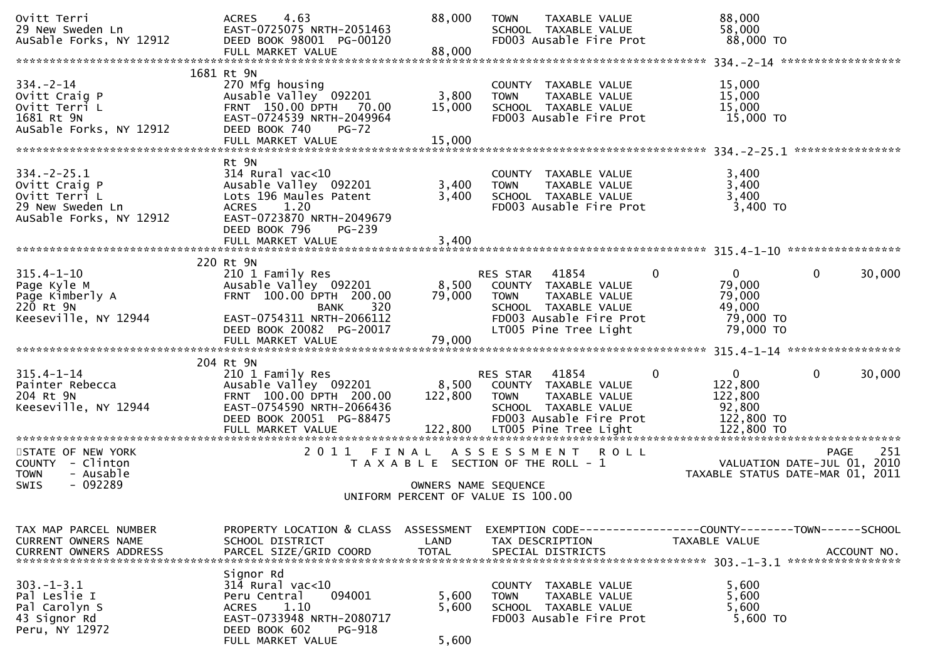| Ovitt Terri<br>29 New Sweden Ln<br>AuSable Forks, NY 12912                                        | 4.63<br><b>ACRES</b><br>EAST-0725075 NRTH-2051463<br>DEED BOOK 98001 PG-00120                                                                                              | 88,000                                                     | <b>TOWN</b>             | TAXABLE VALUE<br>SCHOOL TAXABLE VALUE<br>FD003 Ausable Fire Prot                                  |             | 88,000<br>58,000<br>88,000 TO                                                 |              |             |
|---------------------------------------------------------------------------------------------------|----------------------------------------------------------------------------------------------------------------------------------------------------------------------------|------------------------------------------------------------|-------------------------|---------------------------------------------------------------------------------------------------|-------------|-------------------------------------------------------------------------------|--------------|-------------|
|                                                                                                   |                                                                                                                                                                            |                                                            |                         |                                                                                                   |             |                                                                               |              |             |
| $334. - 2 - 14$<br>Ovitt Craig P<br>Ovitt Terri L<br>1681 Rt 9N<br>AuSable Forks, NY 12912        | 1681 Rt 9N<br>270 Mfg housing<br>Ausable Valley 092201<br>FRNT 150.00 DPTH 70.00<br>EAST-0724539 NRTH-2049964<br>DEED BOOK 740<br>$PG-72$<br>FULL MARKET VALUE             | 3,800<br>15,000<br>15,000                                  | <b>TOWN</b>             | COUNTY TAXABLE VALUE<br>TAXABLE VALUE<br>SCHOOL TAXABLE VALUE<br>FD003 Ausable Fire Prot          |             | 15,000<br>15,000<br>15,000<br>15,000 TO                                       |              |             |
|                                                                                                   | Rt 9N                                                                                                                                                                      |                                                            |                         |                                                                                                   |             |                                                                               |              |             |
| $334. -2 - 25.1$<br>Ovitt Craig P<br>Ovitt Terri L<br>29 New Sweden Ln<br>AuSable Forks, NY 12912 | $314$ Rural vac<10<br>Ausable Valley 092201<br>Lots 196 Maules Patent<br>1.20<br><b>ACRES</b><br>EAST-0723870 NRTH-2049679<br>DEED BOOK 796<br>PG-239<br>FULL MARKET VALUE | 3,400<br>3,400<br>3,400                                    | <b>TOWN</b>             | COUNTY TAXABLE VALUE<br>TAXABLE VALUE<br>SCHOOL TAXABLE VALUE<br>FD003 Ausable Fire Prot          |             | 3,400<br>3,400<br>3,400<br>$3,400$ TO                                         |              |             |
|                                                                                                   |                                                                                                                                                                            |                                                            |                         |                                                                                                   |             |                                                                               |              |             |
| $315.4 - 1 - 10$<br>Page Kyle M<br>Page Kimberly A<br>220 Rt 9N                                   | 220 Rt 9N<br>210 1 Family Res<br>Ausable Valley 092201<br>FRNT 100.00 DPTH 200.00<br>320<br>BANK                                                                           | 8,500<br>79,000                                            | RES STAR<br><b>TOWN</b> | 41854<br>COUNTY TAXABLE VALUE<br>TAXABLE VALUE<br>SCHOOL TAXABLE VALUE                            | 0           | $\mathbf{0}$<br>79,000<br>79,000<br>49,000                                    | $\mathbf{0}$ | 30,000      |
| Keeseville, NY 12944                                                                              | EAST-0754311 NRTH-2066112<br>DEED BOOK 20082 PG-20017<br>FULL MARKET VALUE                                                                                                 | 79,000                                                     |                         | FD003 Ausable Fire Prot<br>LT005 Pine Tree Light                                                  |             | 79,000 TO<br>79,000 TO                                                        |              |             |
|                                                                                                   | 204 Rt 9N                                                                                                                                                                  |                                                            |                         |                                                                                                   |             |                                                                               |              |             |
| $315.4 - 1 - 14$<br>Painter Rebecca<br>204 Rt 9N<br>Keeseville, NY 12944                          | 210 1 Family Res<br>Ausable Valley 092201<br>FRNT 100.00 DPTH 200.00<br>EAST-0754590 NRTH-2066436<br>DEED BOOK 20051 PG-88475                                              | 8,500<br>122,800                                           | RES STAR<br>TOWN        | 41854<br>COUNTY TAXABLE VALUE<br>TAXABLE VALUE<br>SCHOOL TAXABLE VALUE<br>FD003 Ausable Fire Prot | 0           | $\overline{0}$<br>122,800<br>122,800<br>92,800<br>122,800 TO                  | $\mathbf{0}$ | 30,000      |
| STATE OF NEW YORK                                                                                 | 2011 FINAL                                                                                                                                                                 |                                                            |                         |                                                                                                   | <b>ROLL</b> |                                                                               | <b>PAGE</b>  | 251         |
| COUNTY - Clinton<br><b>TOWN</b><br>- Ausable<br>$-092289$                                         |                                                                                                                                                                            | T A X A B L E SECTION OF THE ROLL - 1                      | A S S E S S M E N T     |                                                                                                   |             | VALUATION DATE-JUL 01, 2010<br>TAXABLE STATUS DATE-MAR 01, 2011               |              |             |
| SWIS                                                                                              |                                                                                                                                                                            | OWNERS NAME SEQUENCE<br>UNIFORM PERCENT OF VALUE IS 100.00 |                         |                                                                                                   |             |                                                                               |              |             |
|                                                                                                   |                                                                                                                                                                            |                                                            |                         |                                                                                                   |             |                                                                               |              |             |
| TAX MAP PARCEL NUMBER<br>CURRENT OWNERS NAME<br><b>CURRENT OWNERS ADDRESS</b>                     | PROPERTY LOCATION & CLASS<br>SCHOOL DISTRICT<br>PARCEL SIZE/GRID COORD                                                                                                     | ASSESSMENT<br>LAND<br><b>TOTAL</b>                         |                         | TAX DESCRIPTION<br>SPECIAL DISTRICTS                                                              |             | EXEMPTION CODE-----------------COUNTY-------TOWN------SCHOOL<br>TAXABLE VALUE |              | ACCOUNT NO. |
| $303. -1 - 3.1$<br>Pal Leslie I<br>Pal Carolyn S<br>43 Signor Rd<br>Peru, NY 12972                | Signor Rd<br>$314$ Rural vac<10<br>094001<br>Peru Central<br>1.10<br><b>ACRES</b><br>EAST-0733948 NRTH-2080717<br>DEED BOOK 602<br><b>PG-918</b>                           | 5,600<br>5,600                                             | <b>TOWN</b>             | COUNTY TAXABLE VALUE<br>TAXABLE VALUE<br>SCHOOL TAXABLE VALUE<br>FD003 Ausable Fire Prot          |             | 5,600<br>5,600<br>5,600<br>5,600 TO                                           |              |             |
|                                                                                                   | FULL MARKET VALUE                                                                                                                                                          | 5,600                                                      |                         |                                                                                                   |             |                                                                               |              |             |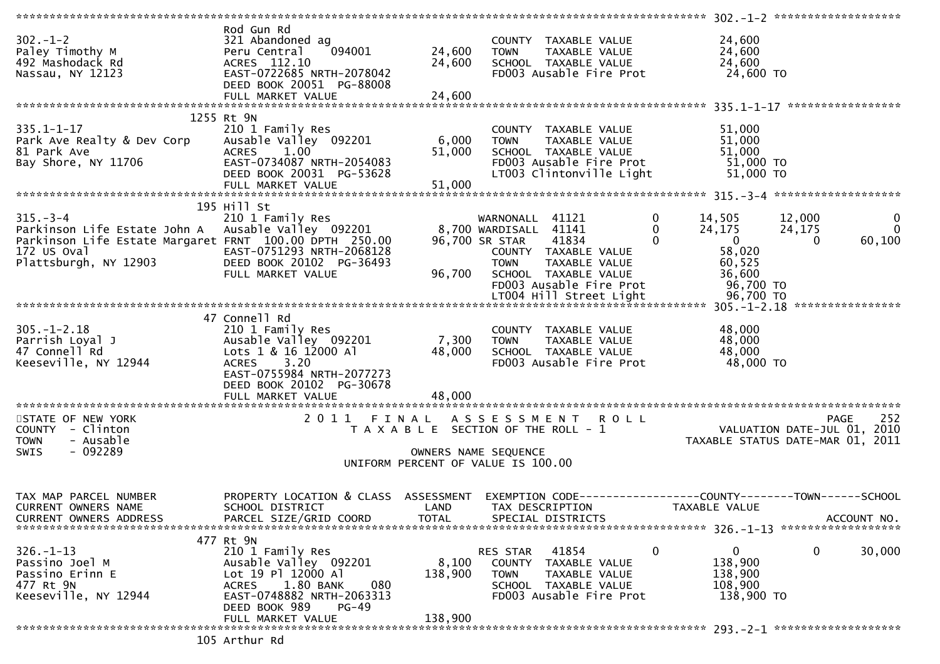|                                                                                                                                                    |                                                                                                                                                                                       |                             |                                                                                                                                                                                                           |                                                                                                                            | $302 - 1 - 2$ ********************                                                       |
|----------------------------------------------------------------------------------------------------------------------------------------------------|---------------------------------------------------------------------------------------------------------------------------------------------------------------------------------------|-----------------------------|-----------------------------------------------------------------------------------------------------------------------------------------------------------------------------------------------------------|----------------------------------------------------------------------------------------------------------------------------|------------------------------------------------------------------------------------------|
| $302 - 1 - 2$<br>Paley Timothy M<br>492 Mashodack Rd<br>Nassau, NY 12123                                                                           | Rod Gun Rd<br>321 Abandoned ag<br>094001<br>Peru Central<br>ACRES 112.10<br>EAST-0722685 NRTH-2078042<br>DEED BOOK 20051 PG-88008                                                     | 24,600<br>24,600            | COUNTY TAXABLE VALUE<br><b>TOWN</b><br>TAXABLE VALUE<br>SCHOOL TAXABLE VALUE<br>FD003 Ausable Fire Prot                                                                                                   | 24,600<br>24,600<br>24,600<br>24,600 TO                                                                                    |                                                                                          |
|                                                                                                                                                    | FULL MARKET VALUE                                                                                                                                                                     | 24,600                      |                                                                                                                                                                                                           |                                                                                                                            |                                                                                          |
| $335.1 - 1 - 17$<br>Park Ave Realty & Dev Corp<br>81 Park Ave<br>Bay Shore, NY 11706                                                               | 1255 Rt 9N<br>210 1 Family Res<br>Ausable Valley 092201<br><b>ACRES</b><br>1.00<br>EAST-0734087 NRTH-2054083<br>DEED BOOK 20031 PG-53628<br>FULL MARKET VALUE                         | 6,000<br>51,000<br>51,000   | COUNTY TAXABLE VALUE<br>TAXABLE VALUE<br><b>TOWN</b><br>SCHOOL TAXABLE VALUE<br>FD003 Ausable Fire Prot<br>LT003 Clintonville Light                                                                       | 51,000<br>51,000<br>51,000<br>51,000 TO<br>51,000 TO                                                                       |                                                                                          |
|                                                                                                                                                    | 195 Hill St                                                                                                                                                                           |                             |                                                                                                                                                                                                           |                                                                                                                            |                                                                                          |
| $315. - 3 - 4$<br>Parkinson Life Estate John A<br>Parkinson Life Estate Margaret FRNT 100.00 DPTH 250.00<br>$172$ US Oval<br>Plattsburgh, NY 12903 | 210 1 Family Res<br>Ausable Valley 092201<br>EAST-0751293 NRTH-2068128<br>DEED BOOK 20102 PG-36493<br>FULL MARKET VALUE                                                               | 96,700                      | WARNONALL 41121<br>8,700 WARDISALL 41141<br>41834<br>96,700 SR STAR<br>COUNTY TAXABLE VALUE<br><b>TOWN</b><br>TAXABLE VALUE<br>SCHOOL TAXABLE VALUE<br>FD003 Ausable Fire Prot<br>LT004 Hill Street Light | $\mathbf 0$<br>14,505<br>0<br>24,175<br>$\Omega$<br>$\overline{0}$<br>58,020<br>60,525<br>36,600<br>96,700 TO<br>96,700 TO | 12,000<br>0<br>$\Omega$<br>24,175<br>60,100<br>$\Omega$                                  |
|                                                                                                                                                    | 47 Connell Rd                                                                                                                                                                         |                             |                                                                                                                                                                                                           |                                                                                                                            |                                                                                          |
| $305. - 1 - 2.18$<br>Parrish Loyal J<br>47 Connell Rd<br>Keeseville, NY 12944                                                                      | 210 1 Family Res<br>Ausable Valley 092201<br>Lots 1 & 16 12000 Al<br>3.20<br><b>ACRES</b><br>EAST-0755984 NRTH-2077273<br>DEED BOOK 20102 PG-30678                                    | 7,300<br>48,000             | COUNTY TAXABLE VALUE<br><b>TOWN</b><br>TAXABLE VALUE<br>SCHOOL TAXABLE VALUE<br>FD003 Ausable Fire Prot                                                                                                   | 48,000<br>48,000<br>48,000<br>48,000 TO                                                                                    |                                                                                          |
|                                                                                                                                                    | FULL MARKET VALUE                                                                                                                                                                     | 48,000                      |                                                                                                                                                                                                           |                                                                                                                            |                                                                                          |
| STATE OF NEW YORK<br>COUNTY - Clinton<br>- Ausable<br><b>TOWN</b><br>- 092289<br><b>SWIS</b>                                                       | 2011<br>FINAL                                                                                                                                                                         |                             | ASSESSMENT<br><b>ROLL</b><br>T A X A B L E SECTION OF THE ROLL - 1<br>OWNERS NAME SEQUENCE<br>UNIFORM PERCENT OF VALUE IS 100.00                                                                          |                                                                                                                            | 252<br><b>PAGE</b><br>2010<br>VALUATION DATE-JUL 01,<br>TAXABLE STATUS DATE-MAR 01, 2011 |
| TAX MAP PARCEL NUMBER<br><b>CURRENT OWNERS NAME</b><br><b>CURRENT OWNERS ADDRESS</b>                                                               | PROPERTY LOCATION & CLASS<br>SCHOOL DISTRICT<br>PARCEL SIZE/GRID COORD                                                                                                                | ASSESSMENT<br>LAND<br>TOTAL | EXEMPTION CODE------------------COUNTY--------TOWN------SCHOOL<br>TAX DESCRIPTION<br>SPECIAL DISTRICTS                                                                                                    | TAXABLE VALUE                                                                                                              | ACCOUNT NO.                                                                              |
| $326. - 1 - 13$<br>Passino Joel M<br>Passino Erinn E<br>477 Rt 9N<br>Keeseville, NY 12944                                                          | 477 Rt 9N<br>210 1 Family Res<br>Ausable Valley 092201<br>Lot 19 Pl 12000 Al<br>080<br>1.80 BANK<br>ACRES<br>EAST-0748882 NRTH-2063313<br>DEED BOOK 989<br>PG-49<br>FULL MARKET VALUE | 8,100<br>138,900<br>138,900 | 41854<br>RES STAR<br>COUNTY TAXABLE VALUE<br><b>TOWN</b><br>TAXABLE VALUE<br>SCHOOL TAXABLE VALUE<br>FD003 Ausable Fire Prot                                                                              | 0<br>$\mathbf{0}$<br>138,900<br>138,900<br>108,900<br>138,900 TO                                                           | 0<br>30,000                                                                              |
|                                                                                                                                                    | $10F$ Anthun $R$                                                                                                                                                                      |                             |                                                                                                                                                                                                           |                                                                                                                            |                                                                                          |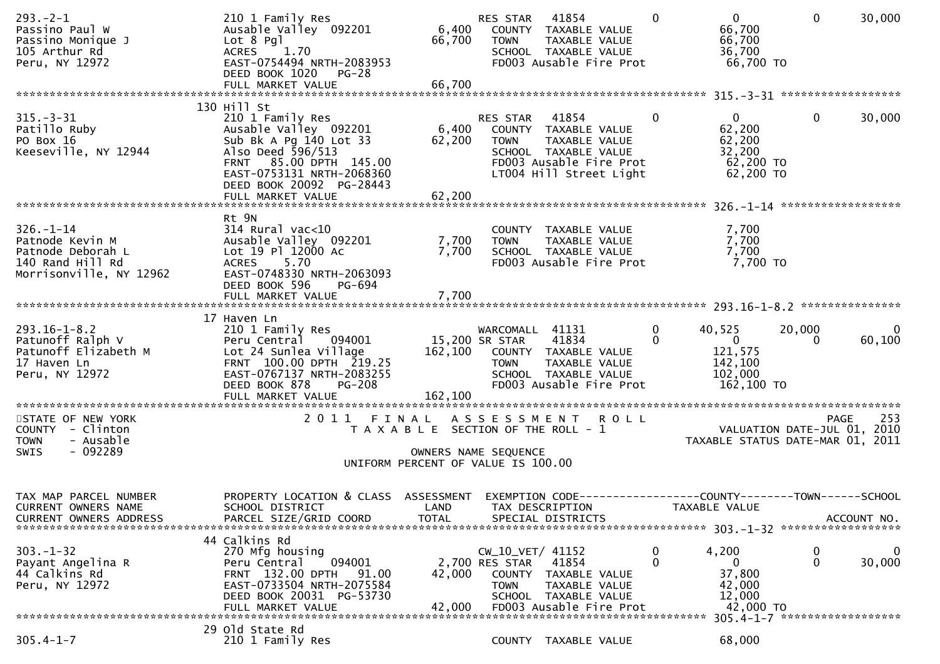| $293 - 2 - 1$<br>Passino Paul W<br>Passino Monique J<br>105 Arthur Rd<br>Peru, NY 12972                | 210 1 Family Res<br>Ausable Valley 092201<br>$Lot 8$ Pgl<br>ACRES 1.70<br>EAST-0754494 NRTH-2083953<br>DEED BOOK 1020 PG-28<br>FULL MARKET VALUE                                           | 66,700<br>66,700                                                                                    | RES STAR<br><b>TOWN</b>                                             | 41854<br>6,400 COUNTY TAXABLE VALUE<br>TAXABLE VALUE<br>SCHOOL TAXABLE VALUE<br>FD003 Ausable Fire Prot             | $\Omega$                    | $\mathbf{0}$<br>66,700<br>66,700<br>36,700<br>66,700 TO                                           | $\mathbf{0}$       | 30,000                 |
|--------------------------------------------------------------------------------------------------------|--------------------------------------------------------------------------------------------------------------------------------------------------------------------------------------------|-----------------------------------------------------------------------------------------------------|---------------------------------------------------------------------|---------------------------------------------------------------------------------------------------------------------|-----------------------------|---------------------------------------------------------------------------------------------------|--------------------|------------------------|
|                                                                                                        |                                                                                                                                                                                            |                                                                                                     |                                                                     |                                                                                                                     |                             |                                                                                                   |                    |                        |
| $315 - 3 - 31$<br>Patillo Ruby<br>PO Box 16<br>Keeseville, NY 12944                                    | 130 Hill St<br>210 1 Family Res<br>Ausable Valley 092201<br>Sub Bk A Pg 140 Lot 33<br>Also Deed 596/513<br>FRNT 85.00 DPTH 145.00<br>EAST-0753131 NRTH-2068360<br>DEED BOOK 20092 PG-28443 | 6,400<br>62,200                                                                                     | RES STAR 41854<br><b>TOWN</b>                                       | COUNTY TAXABLE VALUE<br>TAXABLE VALUE<br>SCHOOL TAXABLE VALUE<br>FD003 Ausable Fire Prot<br>LT004 Hill Street Light | $\Omega$                    | 0<br>62,200<br>62,200<br>32,200<br>62,200 TO<br>62,200 TO                                         | $\mathbf 0$        | 30,000                 |
|                                                                                                        |                                                                                                                                                                                            |                                                                                                     |                                                                     |                                                                                                                     |                             |                                                                                                   |                    |                        |
| $326. - 1 - 14$<br>Patnode Kevin M<br>Patnode Deborah L<br>140 Rand Hill Rd<br>Morrisonville, NY 12962 | Rt 9N<br>$314$ Rural vac<10<br>Ausable Valley 092201<br>Lot 19 Pl 12000 Ac<br><b>ACRES</b><br>5.70<br>EAST-0748330 NRTH-2063093<br>DEED BOOK 596<br>PG-694                                 | 7,700<br>7,700                                                                                      | <b>TOWN</b>                                                         | COUNTY TAXABLE VALUE<br>TAXABLE VALUE<br>SCHOOL TAXABLE VALUE<br>FD003 Ausable Fire Prot                            |                             | 7,700<br>7,700<br>7,700<br>7,700 TO                                                               |                    |                        |
|                                                                                                        | FULL MARKET VALUE                                                                                                                                                                          | 7,700                                                                                               |                                                                     |                                                                                                                     |                             |                                                                                                   |                    |                        |
|                                                                                                        |                                                                                                                                                                                            |                                                                                                     |                                                                     |                                                                                                                     |                             |                                                                                                   |                    |                        |
| $293.16 - 1 - 8.2$<br>Patunoff Ralph V<br>Patunoff Elizabeth M<br>17 Haven Ln<br>Peru, NY 12972        | 17 Haven Ln<br>210 1 Family Res<br>Peru Central 094001<br>Lot 24 Sunlea Village<br>FRNT 100.00 DPTH 219.25<br>EAST-0767137 NRTH-2083255<br>DEED BOOK 878<br><b>PG-208</b>                  | 15,200 SR STAR                                                                                      | WARCOMALL 41131<br><b>TOWN</b>                                      | 41834<br>162,100 COUNTY TAXABLE VALUE<br>TAXABLE VALUE<br>SCHOOL TAXABLE VALUE<br>FD003 Ausable Fire Prot           | $\mathbf 0$<br>$\mathbf{0}$ | 40,525<br>$\overline{0}$<br>121,575<br>142,100<br>102,000<br>162,100 TO                           | 20,000<br>$\Omega$ | $\mathbf{0}$<br>60,100 |
| STATE OF NEW YORK<br>COUNTY - Clinton<br><b>TOWN</b><br>- Ausable<br>$-092289$<br><b>SWIS</b>          | 2011 FINAL ASSESSMENT ROLL                                                                                                                                                                 | T A X A B L E SECTION OF THE ROLL - 1<br>OWNERS NAME SEQUENCE<br>UNIFORM PERCENT OF VALUE IS 100.00 |                                                                     |                                                                                                                     |                             | VALUATION DATE-JUL 01, 2010<br>TAXABLE STATUS DATE-MAR 01, 2011                                   | <b>PAGE</b>        | 253                    |
| TAX MAP PARCEL NUMBER<br>CURRENT OWNERS NAME<br><b>CURRENT OWNERS ADDRESS</b>                          | PROPERTY LOCATION & CLASS ASSESSMENT<br>SCHOOL DISTRICT<br>PARCEL SIZE/GRID COORD                                                                                                          | LAND<br><b>TOTAL</b>                                                                                |                                                                     | TAX DESCRIPTION<br>SPECIAL DISTRICTS                                                                                |                             | EXEMPTION CODE-----------------COUNTY-------TOWN------SCHOOL<br>TAXABLE VALUE                     |                    | ACCOUNT NO.            |
| $303 - 1 - 32$<br>Payant Angelina R<br>44 Calkins Rd<br>Peru, NY 12972                                 | 44 Calkins Rd<br>270 Mfg housing<br>094001<br>Peru Central<br>FRNT 132.00 DPTH<br>91.00<br>EAST-0733504 NRTH-2075584<br>DEED BOOK 20031 PG-53730<br>FULL MARKET VALUE                      | 42,000<br>42,000                                                                                    | $CW_10_VET/41152$<br>2,700 RES STAR<br><b>COUNTY</b><br><b>TOWN</b> | 41854<br>TAXABLE VALUE<br>TAXABLE VALUE<br>SCHOOL TAXABLE VALUE<br>FD003 Ausable Fire Prot                          | 0<br>0                      | 4,200<br>$\mathbf{0}$<br>37,800<br>42,000<br>12,000<br>42,000 TO<br>305.4-1-7 ******************* | 0<br>$\mathbf{0}$  | 0<br>30,000            |
|                                                                                                        | 29 Old State Rd                                                                                                                                                                            |                                                                                                     |                                                                     |                                                                                                                     |                             |                                                                                                   |                    |                        |
| $305.4 - 1 - 7$                                                                                        | 210 1 Family Res                                                                                                                                                                           |                                                                                                     |                                                                     | COUNTY TAXABLE VALUE                                                                                                |                             | 68,000                                                                                            |                    |                        |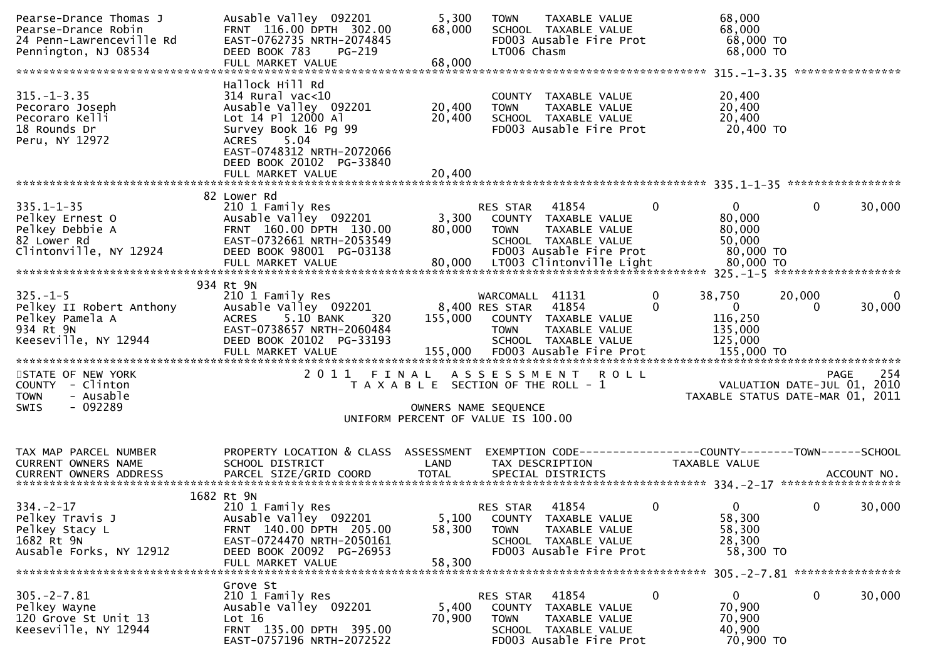| Pearse-Drance Thomas J<br>Pearse-Drance Robin<br>24 Penn-Lawrenceville Rd<br>Pennington, NJ 08534  | Ausable Valley 092201<br>FRNT 116.00 DPTH 302.00<br>EAST-0762735 NRTH-2074845<br>DEED BOOK 783<br>PG-219<br>FULL MARKET VALUE                                    | 5,300<br>68,000<br>68,000                                                   | <b>TOWN</b><br>LT006 Chasm                       | <b>TAXABLE VALUE</b><br>SCHOOL TAXABLE VALUE<br>FD003 Ausable Fire Prot                           |                  | 68,000<br>68,000<br>68,000 TO<br>68,000 TO              |                                            |             |
|----------------------------------------------------------------------------------------------------|------------------------------------------------------------------------------------------------------------------------------------------------------------------|-----------------------------------------------------------------------------|--------------------------------------------------|---------------------------------------------------------------------------------------------------|------------------|---------------------------------------------------------|--------------------------------------------|-------------|
|                                                                                                    |                                                                                                                                                                  |                                                                             |                                                  |                                                                                                   |                  |                                                         |                                            |             |
| $315. - 1 - 3.35$<br>Pecoraro Joseph<br>Pecoraro Kelli<br>18 Rounds Dr<br>Peru, NY 12972           | Hallock Hill Rd<br>$314$ Rural vac<10<br>Ausable Valley 092201<br>Lot 14 Pl 12000 Al<br>Survey Book 16 Pg 99<br>5.04<br>ACRES<br>EAST-0748312 NRTH-2072066       | 20,400<br>20,400                                                            | <b>TOWN</b>                                      | COUNTY TAXABLE VALUE<br>TAXABLE VALUE<br>SCHOOL TAXABLE VALUE<br>FD003 Ausable Fire Prot          |                  | 20,400<br>20,400<br>20,400<br>20,400 TO                 |                                            |             |
|                                                                                                    | DEED BOOK 20102 PG-33840                                                                                                                                         |                                                                             |                                                  |                                                                                                   |                  |                                                         |                                            |             |
|                                                                                                    | FULL MARKET VALUE                                                                                                                                                | 20,400                                                                      |                                                  |                                                                                                   |                  |                                                         |                                            |             |
| $335.1 - 1 - 35$<br>Pelkey Ernest O<br>Pelkey Debbie A<br>82 Lower Rd<br>Clintonville, NY 12924    | 82 Lower Rd<br>210 1 Family Res<br>Ausable Valley 092201<br>FRNT 160.00 DPTH 130.00<br>EAST-0732661 NRTH-2053549<br>DEED BOOK 98001 PG-03138                     | 3,300<br>80,000                                                             | RES STAR<br><b>TOWN</b>                          | 41854<br>COUNTY TAXABLE VALUE<br>TAXABLE VALUE<br>SCHOOL TAXABLE VALUE<br>FD003 Ausable Fire Prot | $\mathbf{0}$     | $\mathbf{0}$<br>80,000<br>80,000<br>50,000<br>80,000 TO | $\mathbf{0}$                               | 30,000      |
|                                                                                                    | FULL MARKET VALUE                                                                                                                                                | 80,000                                                                      |                                                  | LT003 Clintonville Light                                                                          |                  | 80,000 TO                                               |                                            |             |
|                                                                                                    | 934 Rt 9N                                                                                                                                                        |                                                                             |                                                  |                                                                                                   |                  |                                                         |                                            |             |
| $325. - 1 - 5$<br>Pelkey II Robert Anthony<br>Pelkey Pamela A<br>934 Rt 9N<br>Keeseville, NY 12944 | 210 1 Family Res<br>Ausable Valley 092201<br><b>ACRES</b><br>5.10 BANK<br>320<br>EAST-0738657 NRTH-2060484<br>DEED BOOK 20102 PG-33193                           |                                                                             | WARCOMALL 41131<br>8,400 RES STAR<br><b>TOWN</b> | 41854<br>155,000 COUNTY TAXABLE VALUE<br>TAXABLE VALUE<br>SCHOOL TAXABLE VALUE                    | 0<br>$\mathbf 0$ | 38,750<br>$\mathbf 0$<br>116,250<br>135,000<br>125,000  | 20,000<br>0                                | 0<br>30,000 |
| STATE OF NEW YORK<br>COUNTY - Clinton<br><b>TOWN</b><br>- Ausable<br>SWIS<br>- 092289              | 2011 FINAL                                                                                                                                                       | T A X A B L E SECTION OF THE ROLL - 1<br>UNIFORM PERCENT OF VALUE IS 100.00 | OWNERS NAME SEQUENCE                             | ASSESSMENT ROLL                                                                                   |                  | TAXABLE STATUS DATE-MAR 01, 2011                        | <b>PAGE</b><br>VALUATION DATE-JUL 01, 2010 | 254         |
|                                                                                                    |                                                                                                                                                                  |                                                                             |                                                  |                                                                                                   |                  |                                                         |                                            |             |
| TAX MAP PARCEL NUMBER<br>CURRENT OWNERS NAME                                                       | PROPERTY LOCATION & CLASS ASSESSMENT<br>SCHOOL DISTRICT                                                                                                          | LAND                                                                        | TAX DESCRIPTION                                  | EXEMPTION CODE------------------COUNTY--------TOWN------SCHOOL                                    |                  | TAXABLE VALUE                                           |                                            |             |
|                                                                                                    |                                                                                                                                                                  |                                                                             |                                                  |                                                                                                   |                  |                                                         |                                            |             |
| $334. - 2 - 17$<br>Pelkey Travis J<br>Pelkey Stacy L<br>1682 Rt 9N<br>Ausable Forks, NY 12912      | 1682 Rt 9N<br>210 1 Family Res<br>Ausable Valley 092201<br>FRNT 140.00 DPTH 205.00<br>EAST-0724470 NRTH-2050161<br>DEED BOOK 20092 PG-26953<br>FULL MARKET VALUE | 5,100<br>58,300<br>58,300                                                   | RES STAR<br><b>TOWN</b>                          | 41854<br>COUNTY TAXABLE VALUE<br>TAXABLE VALUE<br>SCHOOL TAXABLE VALUE<br>FD003 Ausable Fire Prot | $\mathbf{0}$     | 0<br>58,300<br>58,300<br>28,300<br>58,300 TO            | 0                                          | 30,000      |
|                                                                                                    | Grove St                                                                                                                                                         |                                                                             |                                                  |                                                                                                   |                  | 305. - 2 - 7.81 *****************                       |                                            |             |
| $305. -2 - 7.81$<br>Pelkey Wayne<br>120 Grove St Unit 13<br>Keeseville, NY 12944                   | 210 1 Family Res<br>Ausable Valley 092201<br>Lot 16<br>FRNT 135.00 DPTH 395.00<br>EAST-0757196 NRTH-2072522                                                      | 5,400<br>70,900                                                             | RES STAR<br>COUNTY<br><b>TOWN</b>                | 41854<br>TAXABLE VALUE<br>TAXABLE VALUE<br>SCHOOL TAXABLE VALUE<br>FD003 Ausable Fire Prot        | 0                | $\mathbf{0}$<br>70,900<br>70,900<br>40,900<br>70,900 TO | 0                                          | 30,000      |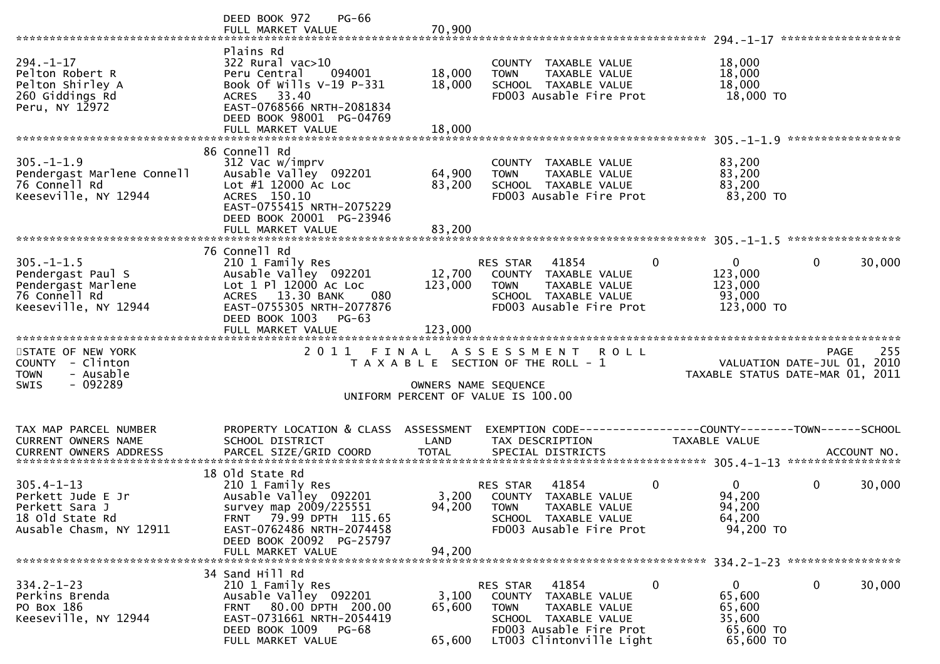|                                                                                                       | DEED BOOK 972<br><b>PG-66</b><br>FULL MARKET VALUE                                                                                                                               | 70,900                     |                                                                                                                                                               |                                                                      |                        |
|-------------------------------------------------------------------------------------------------------|----------------------------------------------------------------------------------------------------------------------------------------------------------------------------------|----------------------------|---------------------------------------------------------------------------------------------------------------------------------------------------------------|----------------------------------------------------------------------|------------------------|
| $294. - 1 - 17$<br>Pelton Robert R<br>Pelton Shirley A<br>260 Giddings Rd<br>Peru, NY 12972           | Plains Rd<br>322 Rural vac>10<br>Peru Central<br>094001<br>Book Of Wills V-19 P-331<br>ACRES 33.40<br>EAST-0768566 NRTH-2081834<br>DEED BOOK 98001 PG-04769<br>FULL MARKET VALUE | 18,000<br>18,000<br>18,000 | COUNTY TAXABLE VALUE<br><b>TOWN</b><br>TAXABLE VALUE<br>SCHOOL TAXABLE VALUE<br>FD003 Ausable Fire Prot                                                       | 18,000<br>18,000<br>18,000<br>18,000 TO                              |                        |
|                                                                                                       | 86 Connell Rd                                                                                                                                                                    |                            |                                                                                                                                                               |                                                                      |                        |
| $305. - 1 - 1.9$<br>Pendergast Marlene Connell<br>76 Connell Rd<br>Keeseville, NY 12944               | 312 Vac w/imprv<br>Ausable Valley 092201<br>Lot #1 12000 Ac Loc<br>ACRES 150.10<br>EAST-0755415 NRTH-2075229<br>DEED BOOK 20001 PG-23946                                         | 64,900<br>83,200           | COUNTY TAXABLE VALUE<br>TAXABLE VALUE<br><b>TOWN</b><br>SCHOOL TAXABLE VALUE<br>FD003 Ausable Fire Prot                                                       | 83,200<br>83,200<br>83,200<br>83,200 TO                              |                        |
|                                                                                                       |                                                                                                                                                                                  |                            |                                                                                                                                                               |                                                                      |                        |
|                                                                                                       | 76 Connell Rd                                                                                                                                                                    |                            |                                                                                                                                                               |                                                                      | *****************      |
| $305. - 1 - 1.5$<br>Pendergast Paul S<br>Pendergast Marlene<br>76 Connell Rd<br>Keeseville, NY 12944  | 210 1 Family Res<br>Ausable Valley 092201<br>Lot 1 Pl 12000 Ac Loc<br>ACRES 13.30 BANK<br>080<br>EAST-0755305 NRTH-2077876<br>DEED BOOK 1003<br>$PG-63$                          | 12,700<br>123,000          | $\Omega$<br>RES STAR<br>41854<br>COUNTY TAXABLE VALUE<br><b>TOWN</b><br>TAXABLE VALUE<br>SCHOOL TAXABLE VALUE<br>FD003 Ausable Fire Prot                      | $\overline{0}$<br>123,000<br>123,000<br>93,000<br>123,000 TO         | $\mathbf{0}$<br>30,000 |
|                                                                                                       | FULL MARKET VALUE                                                                                                                                                                | 123,000                    |                                                                                                                                                               |                                                                      |                        |
|                                                                                                       |                                                                                                                                                                                  |                            |                                                                                                                                                               |                                                                      |                        |
| STATE OF NEW YORK<br>COUNTY - Clinton<br>- Ausable<br><b>TOWN</b><br>$-092289$<br><b>SWIS</b>         |                                                                                                                                                                                  | OWNERS NAME SEQUENCE       | 2011 FINAL ASSESSMENT<br><b>ROLL</b><br>T A X A B L E SECTION OF THE ROLL - 1<br>UNIFORM PERCENT OF VALUE IS 100.00                                           | VALUATION DATE-JUL 01, 2010<br>TAXABLE STATUS DATE-MAR 01, 2011      | 255<br><b>PAGE</b>     |
|                                                                                                       |                                                                                                                                                                                  |                            |                                                                                                                                                               |                                                                      |                        |
| TAX MAP PARCEL NUMBER<br>CURRENT OWNERS NAME                                                          | PROPERTY LOCATION & CLASS ASSESSMENT<br>SCHOOL DISTRICT                                                                                                                          | LAND                       | EXEMPTION CODE-----------------COUNTY-------TOWN------SCHOOL<br>TAX DESCRIPTION                                                                               | TAXABLE VALUE                                                        |                        |
|                                                                                                       |                                                                                                                                                                                  |                            |                                                                                                                                                               |                                                                      |                        |
| $305.4 - 1 - 13$<br>Perkett Jude E Jr<br>Perkett Sara J<br>18 Old State Rd<br>Ausable Chasm, NY 12911 | 18 old State Rd<br>210 1 Family Res<br>Ausable Valley 092201<br>survey map 2009/225551<br>FRNT 79.99 DPTH 115.65<br>EAST-0762486 NRTH-2074458                                    | 94,200                     | $\mathbf 0$<br>41854<br>RES STAR<br>3,200 COUNTY TAXABLE VALUE<br><b>TOWN</b><br>TAXABLE VALUE<br>SCHOOL TAXABLE VALUE<br>FD003 Ausable Fire Prot             | $\mathbf{0}$<br>94,200<br>94,200<br>64,200<br>94,200 TO              | $\mathbf 0$<br>30,000  |
|                                                                                                       | DEED BOOK 20092 PG-25797<br>FULL MARKET VALUE                                                                                                                                    | 94,200                     |                                                                                                                                                               |                                                                      |                        |
|                                                                                                       |                                                                                                                                                                                  |                            |                                                                                                                                                               |                                                                      |                        |
| $334.2 - 1 - 23$<br>Perkins Brenda<br>PO Box 186<br>Keeseville, NY 12944                              | 34 Sand Hill Rd<br>210 1 Family Res<br>Ausable Valley 092201<br>FRNT 80.00 DPTH 200.00<br>EAST-0731661 NRTH-2054419<br>DEED BOOK 1009 PG-68<br>FULL MARKET VALUE                 | 3,100<br>65,600<br>65,600  | 41854<br>0<br>RES STAR<br>COUNTY TAXABLE VALUE<br>TAXABLE VALUE<br><b>TOWN</b><br>SCHOOL TAXABLE VALUE<br>FD003 Ausable Fire Prot<br>LT003 Clintonville Light | $\mathbf{0}$<br>65,600<br>65,600<br>35,600<br>65,600 TO<br>65,600 TO | $\mathbf 0$<br>30,000  |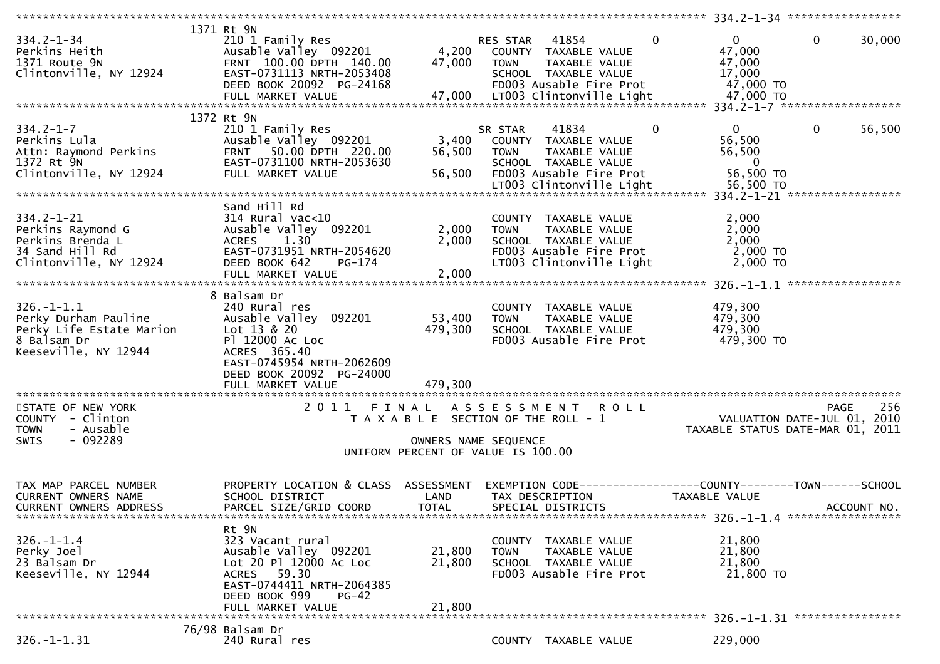|                               | 1371 Rt 9N                           |                      |                                                                |              |                |                                                                 |
|-------------------------------|--------------------------------------|----------------------|----------------------------------------------------------------|--------------|----------------|-----------------------------------------------------------------|
| $334.2 - 1 - 34$              | 210 1 Family Res                     |                      | RES STAR<br>41854                                              | $\mathbf 0$  | $\mathbf{0}$   | $\mathbf{0}$<br>30,000                                          |
| Perkins Heith                 | Ausable Valley 092201                |                      | 4,200 COUNTY TAXABLE VALUE                                     |              | 47,000         |                                                                 |
| 1371 Route 9N                 | FRNT 100.00 DPTH 140.00              | 47,000               | TAXABLE VALUE<br><b>TOWN</b>                                   |              | 47,000         |                                                                 |
| Clintonville, NY 12924        | EAST-0731113 NRTH-2053408            |                      | SCHOOL TAXABLE VALUE                                           |              | 17,000         |                                                                 |
|                               | DEED BOOK 20092 PG-24168             |                      | FD003 Ausable Fire Prot                                        |              | 47,000 TO      |                                                                 |
|                               |                                      |                      |                                                                |              |                |                                                                 |
|                               |                                      |                      |                                                                |              |                |                                                                 |
|                               | 1372 Rt 9N                           |                      |                                                                |              |                |                                                                 |
| $334.2 - 1 - 7$               | 210 1 Family Res                     |                      | 41834<br>SR STAR                                               | $\mathbf{0}$ | $\overline{0}$ | 56,500<br>$\mathbf{0}$                                          |
| Perkins Lula                  | Ausable Valley 092201                | 3,400                | COUNTY TAXABLE VALUE                                           |              | 56,500         |                                                                 |
| Attn: Raymond Perkins         | FRNT 50.00 DPTH 220.00               | 56,500               | TAXABLE VALUE<br><b>TOWN</b>                                   |              | 56,500         |                                                                 |
| 1372 Rt 9N                    | EAST-0731100 NRTH-2053630            |                      | SCHOOL TAXABLE VALUE                                           |              | $\mathbf 0$    |                                                                 |
| Clintonville, NY 12924        | FULL MARKET VALUE                    | 56,500               | FD003 Ausable Fire Prot                                        |              | 56,500 TO      |                                                                 |
|                               |                                      |                      | LT003 Clintonville Light                                       |              | 56,500 TO      |                                                                 |
|                               |                                      |                      |                                                                |              |                |                                                                 |
|                               | Sand Hill Rd                         |                      |                                                                |              |                |                                                                 |
| $334.2 - 1 - 21$              | $314$ Rural vac< $10$                |                      | COUNTY TAXABLE VALUE                                           |              | 2,000          |                                                                 |
| Perkins Raymond G             | Ausable Valley 092201                | 2,000                | TAXABLE VALUE<br><b>TOWN</b>                                   |              | 2,000          |                                                                 |
| Perkins Brenda L              | 1.30<br><b>ACRES</b>                 | 2,000                | SCHOOL TAXABLE VALUE                                           |              | 2,000          |                                                                 |
| 34 Sand Hill Rd               | EAST-0731951 NRTH-2054620            |                      | FD003 Ausable Fire Prot                                        |              | 2,000 TO       |                                                                 |
| Clintonville, NY 12924        | DEED BOOK 642<br>PG-174              |                      | LT003 Clintonville Light                                       |              | 2,000 TO       |                                                                 |
|                               |                                      |                      |                                                                |              |                |                                                                 |
|                               |                                      |                      |                                                                |              |                |                                                                 |
|                               | 8 Balsam Dr                          |                      |                                                                |              |                |                                                                 |
| $326. - 1 - 1.1$              | 240 Rural res                        |                      | COUNTY TAXABLE VALUE                                           |              | 479,300        |                                                                 |
| Perky Durham Pauline          | Ausable Valley 092201                | 53,400               | <b>TOWN</b><br>TAXABLE VALUE                                   |              | 479,300        |                                                                 |
| Perky Life Estate Marion      | Lot 13 & 20                          | 479,300              | SCHOOL TAXABLE VALUE                                           |              | 479,300        |                                                                 |
| 8 Balsam Dr                   | P1 12000 AC LOC                      |                      | FD003 Ausable Fire Prot                                        |              | 479,300 TO     |                                                                 |
| Keeseville, NY 12944          | ACRES 365.40                         |                      |                                                                |              |                |                                                                 |
|                               | EAST-0745954 NRTH-2062609            |                      |                                                                |              |                |                                                                 |
|                               | DEED BOOK 20092 PG-24000             |                      |                                                                |              |                |                                                                 |
|                               | FULL MARKET VALUE                    | 479,300              |                                                                |              |                |                                                                 |
|                               |                                      |                      |                                                                |              |                |                                                                 |
| STATE OF NEW YORK             |                                      |                      | 2011 FINAL ASSESSMENT ROLL                                     |              |                | 256<br>PAGE                                                     |
| COUNTY - Clinton              |                                      |                      | T A X A B L E SECTION OF THE ROLL - 1                          |              |                |                                                                 |
| - Ausable<br><b>TOWN</b>      |                                      |                      |                                                                |              |                |                                                                 |
|                               |                                      |                      |                                                                |              |                | VALUATION DATE-JUL 01, 2010<br>TAXABLE STATUS DATE-MAR 01, 2011 |
| - 092289<br>SWIS              |                                      | OWNERS NAME SEQUENCE |                                                                |              |                |                                                                 |
|                               |                                      |                      | UNIFORM PERCENT OF VALUE IS 100.00                             |              |                |                                                                 |
|                               |                                      |                      |                                                                |              |                |                                                                 |
|                               |                                      |                      |                                                                |              |                |                                                                 |
| TAX MAP PARCEL NUMBER         | PROPERTY LOCATION & CLASS ASSESSMENT |                      | EXEMPTION CODE------------------COUNTY--------TOWN------SCHOOL |              |                |                                                                 |
| <b>CURRENT OWNERS NAME</b>    | SCHOOL DISTRICT                      | LAND                 | TAX DESCRIPTION                                                |              | TAXABLE VALUE  |                                                                 |
| <b>CURRENT OWNERS ADDRESS</b> | PARCEL SIZE/GRID COORD               | <b>TOTAL</b>         | SPECIAL DISTRICTS                                              |              |                | ACCOUNT NO.                                                     |
|                               |                                      |                      |                                                                |              |                |                                                                 |
|                               | Rt 9N                                |                      |                                                                |              |                |                                                                 |
| $326. - 1 - 1.4$              | 323 Vacant rural                     |                      | COUNTY TAXABLE VALUE                                           |              | 21,800         |                                                                 |
| Perky Joel                    | Ausable Valley 092201                | 21,800               | TAXABLE VALUE<br><b>TOWN</b>                                   |              | 21,800         |                                                                 |
| 23 Balsam Dr                  | Lot 20 Pl 12000 Ac Loc               | 21,800               | SCHOOL TAXABLE VALUE                                           |              | 21,800         |                                                                 |
| Keeseville, NY 12944          | ACRES 59.30                          |                      | FD003 Ausable Fire Prot                                        |              | 21,800 TO      |                                                                 |
|                               | EAST-0744411 NRTH-2064385            |                      |                                                                |              |                |                                                                 |
|                               | DEED BOOK 999<br>$PG-42$             |                      |                                                                |              |                |                                                                 |
|                               | FULL MARKET VALUE                    | 21,800               |                                                                |              |                |                                                                 |
|                               |                                      |                      |                                                                |              |                |                                                                 |
| $326. - 1 - 1.31$             | 76/98 Balsam Dr<br>240 Rural res     |                      | COUNTY TAXABLE VALUE                                           |              | 229,000        |                                                                 |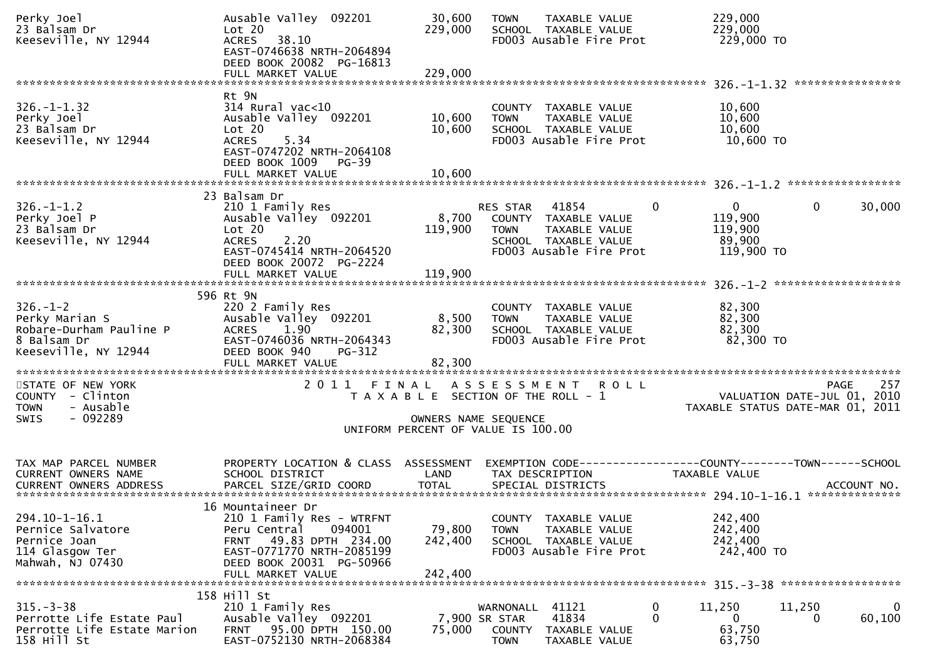| Perky Joel<br>23 Balsam Dr<br>Keeseville, NY 12944                                                 | Ausable Valley 092201<br>Lot 20<br>38.10<br><b>ACRES</b><br>EAST-0746638 NRTH-2064894<br>DEED BOOK 20082 PG-16813<br>FULL MARKET VALUE                                              | 30,600<br>229,000<br>229,000                               | <b>TOWN</b>                                         | TAXABLE VALUE<br>SCHOOL TAXABLE VALUE<br>FD003 Ausable Fire Prot                                  |              | 229,000<br>229,000<br>229,000 TO                           |                                     |             |
|----------------------------------------------------------------------------------------------------|-------------------------------------------------------------------------------------------------------------------------------------------------------------------------------------|------------------------------------------------------------|-----------------------------------------------------|---------------------------------------------------------------------------------------------------|--------------|------------------------------------------------------------|-------------------------------------|-------------|
|                                                                                                    |                                                                                                                                                                                     |                                                            |                                                     |                                                                                                   |              |                                                            |                                     |             |
| $326. - 1 - 1.32$<br>Perky Joel<br>23 Balsam Dr<br>Keeseville, NY 12944                            | Rt 9N<br>314 Rural vac<10<br>Ausable Valley 092201<br>Lot 20<br><b>ACRES</b><br>5.34<br>EAST-0747202 NRTH-2064108<br>DEED BOOK 1009 PG-39                                           | 10,600<br>10,600                                           | <b>TOWN</b>                                         | COUNTY TAXABLE VALUE<br>TAXABLE VALUE<br>SCHOOL TAXABLE VALUE<br>FD003 Ausable Fire Prot          |              | 10,600<br>10,600<br>10,600<br>10,600 TO                    |                                     |             |
|                                                                                                    | FULL MARKET VALUE                                                                                                                                                                   | 10.600                                                     |                                                     |                                                                                                   |              |                                                            |                                     |             |
| $326. - 1 - 1.2$<br>Perky Joel P<br>23 Balsam Dr<br>Keeseville, NY 12944                           | 23 Balsam Dr<br>210 1 Family Res<br>Ausable Valley 092201<br>Lot 20<br><b>ACRES</b><br>2.20<br>EAST-0745414 NRTH-2064520<br>DEED BOOK 20072 PG-2224<br>FULL MARKET VALUE            | 8,700<br>119,900<br>119,900                                | <b>RES STAR</b><br><b>TOWN</b>                      | 41854<br>COUNTY TAXABLE VALUE<br>TAXABLE VALUE<br>SCHOOL TAXABLE VALUE<br>FD003 Ausable Fire Prot | $\mathbf{0}$ | $\mathbf{0}$<br>119,900<br>119,900<br>89,900<br>119,900 TO | 0                                   | 30,000      |
|                                                                                                    | 596 Rt 9N                                                                                                                                                                           |                                                            |                                                     |                                                                                                   |              |                                                            |                                     |             |
| $326. - 1 - 2$<br>Perky Marian S<br>Robare-Durham Pauline P<br>8 Balsam Dr<br>Keeseville, NY 12944 | 220 2 Family Res<br>Ausable Valley 092201<br>1.90<br><b>ACRES</b><br>EAST-0746036 NRTH-2064343<br>DEED BOOK 940<br>PG-312<br>FULL MARKET VALUE                                      | 8,500<br>82,300<br>82,300                                  | <b>TOWN</b>                                         | COUNTY TAXABLE VALUE<br>TAXABLE VALUE<br>SCHOOL TAXABLE VALUE<br>FD003 Ausable Fire Prot          |              | 82,300<br>82,300<br>82,300<br>82,300 TO                    |                                     |             |
| STATE OF NEW YORK<br>COUNTY - Clinton<br>- Ausable<br><b>TOWN</b>                                  | FINAL<br>2011                                                                                                                                                                       | T A X A B L E SECTION OF THE ROLL - 1                      | A S S E S S M E N T                                 | <b>ROLL</b>                                                                                       |              | TAXABLE STATUS DATE-MAR 01, 2011                           | PAGE<br>VALUATION DATE-JUL 01, 2010 | 257         |
| $-092289$<br><b>SWIS</b>                                                                           |                                                                                                                                                                                     | OWNERS NAME SEQUENCE<br>UNIFORM PERCENT OF VALUE IS 100.00 |                                                     |                                                                                                   |              |                                                            |                                     |             |
|                                                                                                    |                                                                                                                                                                                     |                                                            |                                                     |                                                                                                   |              |                                                            |                                     |             |
| TAX MAP PARCEL NUMBER<br>CURRENT OWNERS NAME                                                       | PROPERTY LOCATION & CLASS ASSESSMENT<br>SCHOOL DISTRICT                                                                                                                             | LAND                                                       |                                                     | EXEMPTION CODE-----------------COUNTY-------TOWN------SCHOOL<br>TAX DESCRIPTION                   |              | <b>TAXABLE VALUE</b>                                       |                                     |             |
| $294.10 - 1 - 16.1$<br>Pernice Salvatore<br>Pernice Joan<br>114 Glasgow Ter<br>Mahwah, NJ 07430    | 16 Mountaineer Dr<br>210 1 Family Res - WTRFNT<br>Peru Central<br>094001<br>49.83 DPTH 234.00<br>FRNT<br>EAST-0771770 NRTH-2085199<br>DEED BOOK 20031 PG-50966<br>FULL MARKET VALUE | 79,800<br>242,400<br>242,400                               | <b>TOWN</b>                                         | COUNTY TAXABLE VALUE<br>TAXABLE VALUE<br>SCHOOL TAXABLE VALUE<br>FD003 Ausable Fire Prot          |              | 242,400<br>242,400<br>242,400<br>242,400 TO                |                                     |             |
|                                                                                                    | 158 Hill St                                                                                                                                                                         |                                                            |                                                     |                                                                                                   |              |                                                            |                                     |             |
| $315. - 3 - 38$<br>Perrotte Life Estate Paul<br>Perrotte Life Estate Marion<br>158 Hill St         | 210 1 Family Res<br>Ausable Valley 092201<br>95.00 DPTH 150.00<br>FRNT<br>EAST-0752130 NRTH-2068384                                                                                 | 75,000                                                     | WARNONALL<br>7,900 SR STAR<br>COUNTY<br><b>TOWN</b> | 41121<br>41834<br>TAXABLE VALUE<br>TAXABLE VALUE                                                  | 0<br>0       | 11,250<br>0<br>63,750<br>63,750                            | 11,250<br>$\bf{0}$                  | 0<br>60,100 |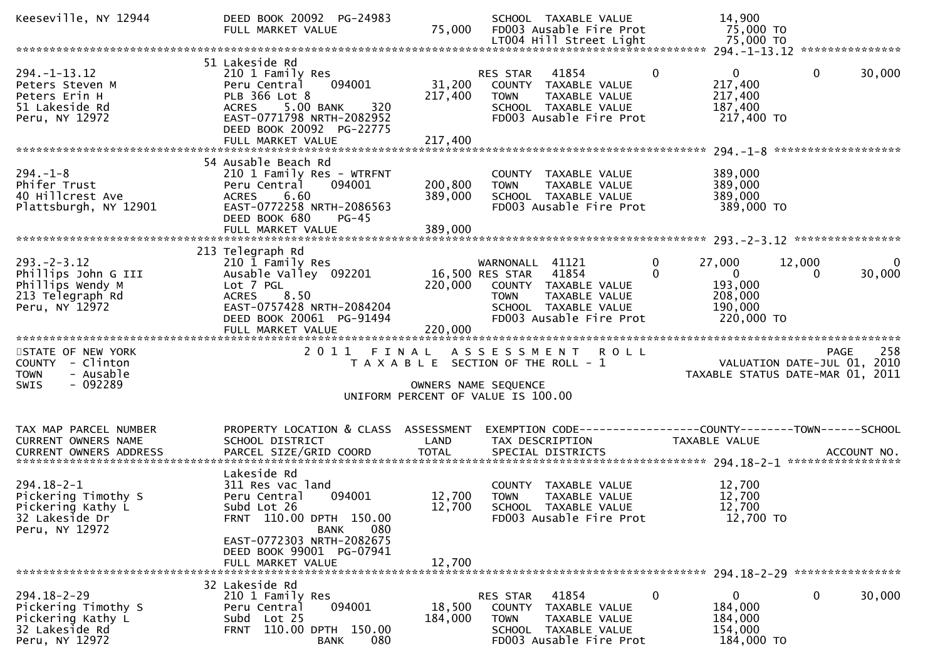| Keeseville, NY 12944                                                                               | DEED BOOK 20092 PG-24983<br>FULL MARKET VALUE                                                                                                                                         | 75,000                                                                      |                                                   | SCHOOL TAXABLE VALUE<br>FD003 Ausable Fire Prot<br>LT004 Hill Street Light                        |                          | 14,900<br>75,000 TO<br>75,000 TO                                        |                                                                                       |              |
|----------------------------------------------------------------------------------------------------|---------------------------------------------------------------------------------------------------------------------------------------------------------------------------------------|-----------------------------------------------------------------------------|---------------------------------------------------|---------------------------------------------------------------------------------------------------|--------------------------|-------------------------------------------------------------------------|---------------------------------------------------------------------------------------|--------------|
|                                                                                                    |                                                                                                                                                                                       |                                                                             |                                                   |                                                                                                   |                          |                                                                         |                                                                                       |              |
| $294. -1 - 13.12$<br>Peters Steven M<br>Peters Erin H<br>51 Lakeside Rd<br>Peru, NY 12972          | 51 Lakeside Rd<br>210 1 Family Res<br>094001<br>Peru Central<br>PLB 366 Lot 8<br>ACRES 5.00 BANK<br>320<br>EAST-0771798 NRTH-2082952<br>DEED BOOK 20092 PG-22775<br>FULL MARKET VALUE | 31,200<br>217,400<br>217,400                                                | RES STAR<br><b>TOWN</b>                           | 41854<br>COUNTY TAXABLE VALUE<br>TAXABLE VALUE<br>SCHOOL TAXABLE VALUE<br>FD003 Ausable Fire Prot | $\Omega$                 | $\overline{0}$<br>217,400<br>217,400<br>187,400<br>217,400 TO           | 30,000<br>$\mathbf{0}$                                                                |              |
|                                                                                                    | 54 Ausable Beach Rd                                                                                                                                                                   |                                                                             |                                                   |                                                                                                   |                          |                                                                         |                                                                                       |              |
| $294. - 1 - 8$<br>Phifer Trust<br>40 Hillcrest Ave<br>Plattsburgh, NY 12901                        | 210 1 Family Res - WTRFNT<br>094001<br>Peru Central<br>6.60<br><b>ACRES</b><br>EAST-0772258 NRTH-2086563<br>DEED BOOK 680<br>$PG-45$                                                  | 200,800<br>389,000                                                          | <b>TOWN</b>                                       | COUNTY TAXABLE VALUE<br>TAXABLE VALUE<br>SCHOOL TAXABLE VALUE<br>FD003 Ausable Fire Prot          |                          | 389,000<br>389,000<br>389,000<br>389,000 TO                             |                                                                                       |              |
|                                                                                                    |                                                                                                                                                                                       |                                                                             |                                                   |                                                                                                   |                          |                                                                         |                                                                                       |              |
| $293. - 2 - 3.12$<br>Phillips John G III<br>Phillips Wendy M<br>213 Telegraph Rd<br>Peru, NY 12972 | 213 Telegraph Rd<br>210 I Family Res<br>Ausable Valley 092201<br>Lot 7 PGL<br><b>ACRES</b><br>8.50<br>EAST-0757428 NRTH-2084204<br>DEED BOOK 20061 PG-91494                           | 220,000                                                                     | WARNONALL 41121<br>16,500 RES STAR<br><b>TOWN</b> | 41854<br>COUNTY TAXABLE VALUE<br>TAXABLE VALUE<br>SCHOOL TAXABLE VALUE<br>FD003 Ausable Fire Prot | $\mathbf{0}$<br>$\Omega$ | 27,000<br>$\overline{0}$<br>193,000<br>208,000<br>190,000<br>220,000 TO | 12,000<br>30,000<br>0                                                                 | $\mathbf{0}$ |
|                                                                                                    | FULL MARKET VALUE                                                                                                                                                                     | 220,000                                                                     |                                                   |                                                                                                   |                          |                                                                         |                                                                                       |              |
| STATE OF NEW YORK<br>COUNTY - Clinton<br>- Ausable<br><b>TOWN</b><br>$-092289$<br><b>SWIS</b>      |                                                                                                                                                                                       | T A X A B L E SECTION OF THE ROLL - 1<br>UNIFORM PERCENT OF VALUE IS 100.00 | OWNERS NAME SEQUENCE                              | 2011 FINAL ASSESSMENT ROLL                                                                        |                          |                                                                         | 258<br><b>PAGE</b><br>VALUATION DATE-JUL 01, 2010<br>TAXABLE STATUS DATE-MAR 01, 2011 |              |
|                                                                                                    |                                                                                                                                                                                       |                                                                             |                                                   |                                                                                                   |                          |                                                                         |                                                                                       |              |
| TAX MAP PARCEL NUMBER<br>CURRENT OWNERS NAME                                                       | PROPERTY LOCATION & CLASS ASSESSMENT<br>SCHOOL DISTRICT                                                                                                                               | LAND                                                                        |                                                   | TAX DESCRIPTION                                                                                   |                          | TAXABLE VALUE                                                           | EXEMPTION CODE-----------------COUNTY--------TOWN------SCHOOL                         |              |
| $294.18 - 2 - 1$<br>Pickering Timothy S<br>Pickering Kathy L<br>32 Lakeside Dr<br>Peru, NY 12972   | Lakeside Rd<br>311 Res vac land<br>094001<br>Peru Central<br>Subd Lot 26<br>FRNT 110.00 DPTH 150.00                                                                                   | 12,700<br>12,700                                                            | <b>TOWN</b>                                       | COUNTY TAXABLE VALUE<br>TAXABLE VALUE<br>SCHOOL TAXABLE VALUE<br>FD003 Ausable Fire Prot          |                          | 12,700<br>12,700<br>12,700<br>12,700 TO                                 |                                                                                       |              |
|                                                                                                    | 080<br>BANK<br>EAST-0772303 NRTH-2082675<br>DEED BOOK 99001 PG-07941<br>FULL MARKET VALUE                                                                                             | 12,700                                                                      |                                                   |                                                                                                   |                          |                                                                         |                                                                                       |              |
| 32 Lakeside Rd                                                                                     |                                                                                                                                                                                       |                                                                             |                                                   |                                                                                                   |                          |                                                                         |                                                                                       |              |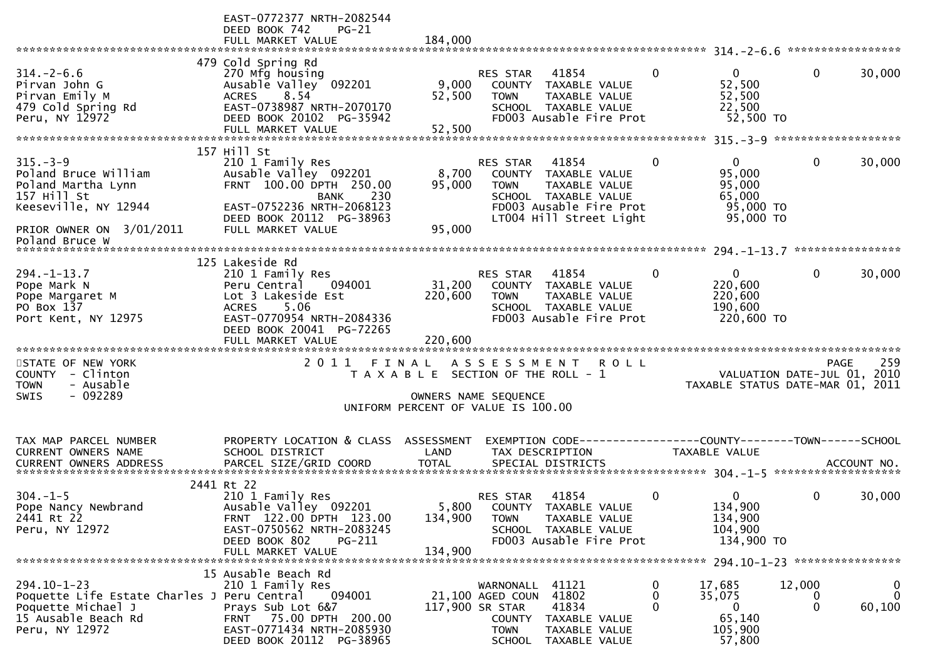|                                                                                                                                 | EAST-0772377 NRTH-2082544<br>DEED BOOK 742<br>PG-21<br>FULL MARKET VALUE                                                                                                      | 184,000                                                                                             |                                                                                                  |                                                                                                                              |                    |                                                                                |                             |                                           |
|---------------------------------------------------------------------------------------------------------------------------------|-------------------------------------------------------------------------------------------------------------------------------------------------------------------------------|-----------------------------------------------------------------------------------------------------|--------------------------------------------------------------------------------------------------|------------------------------------------------------------------------------------------------------------------------------|--------------------|--------------------------------------------------------------------------------|-----------------------------|-------------------------------------------|
|                                                                                                                                 |                                                                                                                                                                               |                                                                                                     |                                                                                                  |                                                                                                                              |                    |                                                                                |                             |                                           |
| $314. - 2 - 6.6$<br>Pirvan John G<br>Pirvan Emily M<br>479 Cold Spring Rd<br>Peru, NY 12972                                     | 479 Cold Spring Rd<br>270 Mfg housing<br>Ausable Valley 092201<br>ACRES 8.54<br>EAST-0738987 NRTH-2070170<br>DEED BOOK 20102 PG-35942<br>FULL MARKET VALUE                    | 9,000<br>52,500<br>52,500                                                                           | RES STAR<br><b>TOWN</b>                                                                          | 41854<br>COUNTY TAXABLE VALUE<br>TAXABLE VALUE<br>SCHOOL TAXABLE VALUE<br>FD003 Ausable Fire Prot                            | $\mathbf{0}$       | $\overline{0}$<br>52,500<br>52,500<br>22,500<br>52,500 TO                      | $\mathbf{0}$                | 30,000                                    |
|                                                                                                                                 |                                                                                                                                                                               |                                                                                                     |                                                                                                  |                                                                                                                              |                    |                                                                                |                             |                                           |
| $315. - 3 - 9$<br>Poland Bruce William<br>Poland Martha Lynn<br>157 Hill St<br>Keeseville, NY 12944<br>PRIOR OWNER ON 3/01/2011 | 157 Hill St<br>210 1 Family Res<br>Ausable Valley 092201<br>FRNT 100.00 DPTH 250.00<br>BANK 230<br>EAST-0752236 NRTH-2068123<br>DEED BOOK 20112 PG-38963<br>FULL MARKET VALUE | 8,700<br>95,000<br>95,000                                                                           | RES STAR<br><b>TOWN</b>                                                                          | 41854<br>COUNTY TAXABLE VALUE<br>TAXABLE VALUE<br>SCHOOL TAXABLE VALUE<br>FD003 Ausable Fire Prot<br>LT004 Hill Street Light | $\mathbf{0}$       | $\mathbf{0}$<br>95,000<br>95,000<br>65,000<br>95,000 TO<br>95,000 TO           | $\mathbf{0}$                | 30,000                                    |
| Poland Bruce W                                                                                                                  |                                                                                                                                                                               |                                                                                                     |                                                                                                  |                                                                                                                              |                    |                                                                                |                             |                                           |
|                                                                                                                                 |                                                                                                                                                                               |                                                                                                     |                                                                                                  |                                                                                                                              |                    |                                                                                |                             |                                           |
| $294. - 1 - 13.7$<br>Pope Mark N<br>Pope Margaret M<br>PO Box 137<br>Port Kent, NY 12975                                        | 125 Lakeside Rd<br>210 1 Family Res<br>094001<br>Peru Central<br>Lot 3 Lakeside Est<br><b>ACRES</b><br>5.06<br>EAST-0770954 NRTH-2084336<br>DEED BOOK 20041 PG-72265          | 31,200<br>220,600                                                                                   | <b>RES STAR</b><br><b>TOWN</b>                                                                   | 41854<br>COUNTY TAXABLE VALUE<br>TAXABLE VALUE<br>SCHOOL TAXABLE VALUE<br>FD003 Ausable Fire Prot                            | $\mathbf{0}$       | $\overline{0}$<br>220,600<br>220,600<br>190,600<br>220,600 TO                  | $\mathbf{0}$                | 30,000                                    |
|                                                                                                                                 |                                                                                                                                                                               |                                                                                                     |                                                                                                  |                                                                                                                              |                    |                                                                                |                             |                                           |
| STATE OF NEW YORK<br>COUNTY - Clinton<br>- Ausable<br><b>TOWN</b><br>- 092289<br><b>SWIS</b>                                    | 2011 FINAL ASSESSMENT                                                                                                                                                         | T A X A B L E SECTION OF THE ROLL - 1<br>OWNERS NAME SEQUENCE<br>UNIFORM PERCENT OF VALUE IS 100.00 |                                                                                                  |                                                                                                                              | <b>ROLL</b>        | VALUATION DATE-JUL 01, 2010<br>TAXABLE STATUS DATE-MAR 01, 2011                | <b>PAGE</b>                 | 259                                       |
|                                                                                                                                 |                                                                                                                                                                               |                                                                                                     |                                                                                                  |                                                                                                                              |                    |                                                                                |                             |                                           |
| TAX MAP PARCEL NUMBER<br>CURRENT OWNERS NAME                                                                                    | PROPERTY LOCATION & CLASS ASSESSMENT<br>SCHOOL DISTRICT                                                                                                                       | LAND                                                                                                |                                                                                                  | TAX DESCRIPTION                                                                                                              |                    | EXEMPTION CODE-----------------COUNTY--------TOWN------SCHOOL<br>TAXABLE VALUE |                             |                                           |
|                                                                                                                                 | 2441 Rt 22                                                                                                                                                                    |                                                                                                     |                                                                                                  |                                                                                                                              |                    |                                                                                |                             |                                           |
| $304 - 1 - 5$<br>Pope Nancy Newbrand<br>2441 Rt 22<br>Peru, NY 12972                                                            | 210 1 Family Res<br>Ausable Valley 092201<br>FRNT 122.00 DPTH 123.00<br>EAST-0750562 NRTH-2083245<br>DEED BOOK 802<br>PG-211<br>FULL MARKET VALUE                             | 5,800<br>134,900<br>134,900                                                                         | RES STAR<br><b>TOWN</b>                                                                          | 41854<br>COUNTY TAXABLE VALUE<br>TAXABLE VALUE<br>SCHOOL TAXABLE VALUE<br>FD003 Ausable Fire Prot                            | $\mathbf{0}$       | $\mathbf{0}$<br>134,900<br>134,900<br>104,900<br>134,900 TO                    | $\mathbf{0}$                | 30,000                                    |
|                                                                                                                                 |                                                                                                                                                                               |                                                                                                     |                                                                                                  |                                                                                                                              |                    |                                                                                |                             |                                           |
| $294.10 - 1 - 23$<br>Poquette Life Estate Charles J Peru Central<br>Poquette Michael J<br>15 Ausable Beach Rd<br>Peru, NY 12972 | 15 Ausable Beach Rd<br>210 1 Family Res<br>094001<br>Prays Sub Lot 6&7<br>FRNT 75.00 DPTH 200.00<br>EAST-0771434 NRTH-2085930<br>DEED BOOK 20112 PG-38965                     |                                                                                                     | WARNONALL 41121<br>21,100 AGED COUN<br>117,900 SR STAR<br>COUNTY<br><b>TOWN</b><br><b>SCHOOL</b> | 41802<br>41834<br>TAXABLE VALUE<br>TAXABLE VALUE<br>TAXABLE VALUE                                                            | 0<br>0<br>$\Omega$ | 17,685<br>35,075<br>$\mathbf{0}$<br>65,140<br>105,900<br>57,800                | 12,000<br>0<br>$\mathbf{0}$ | $\boldsymbol{0}$<br>$\mathbf 0$<br>60,100 |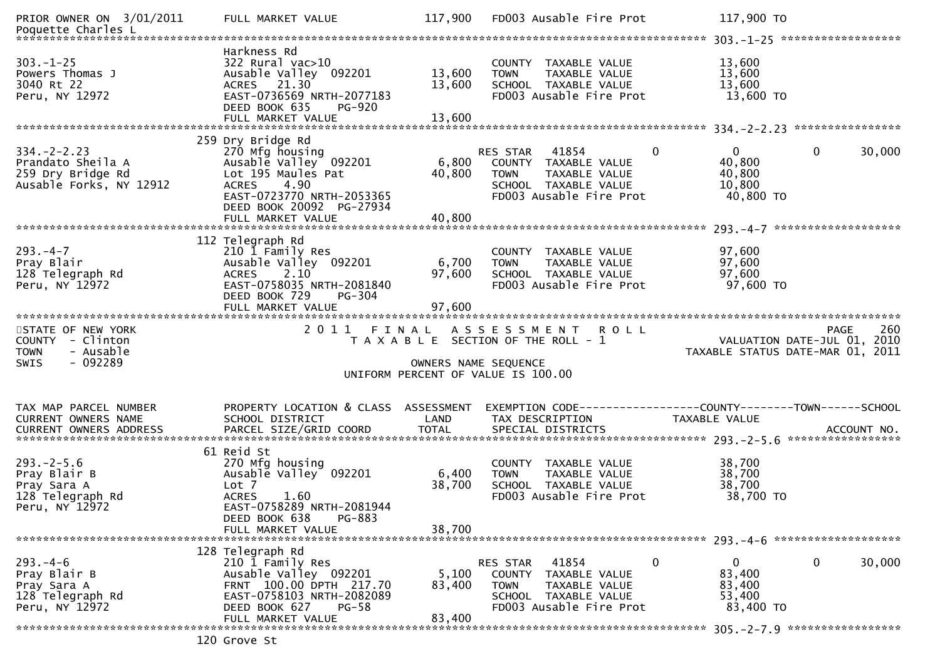| PRIOR OWNER ON 3/01/2011<br>Poquette Charles L                                         | FULL MARKET VALUE                                                                                                                                                         | 117,900                    | FD003 Ausable Fire Prot                                                                                                                      | 117,900 TO                                                                            |
|----------------------------------------------------------------------------------------|---------------------------------------------------------------------------------------------------------------------------------------------------------------------------|----------------------------|----------------------------------------------------------------------------------------------------------------------------------------------|---------------------------------------------------------------------------------------|
| $303 - 1 - 25$<br>Powers Thomas J<br>3040 Rt 22<br>Peru, NY 12972                      | Harkness Rd<br>322 Rural vac>10<br>Ausable Valley 092201<br>ACRES 21.30<br>EAST-0736569 NRTH-2077183<br>DEED BOOK 635<br><b>PG-920</b><br>FULL MARKET VALUE               | 13,600<br>13,600<br>13,600 | COUNTY TAXABLE VALUE<br>TAXABLE VALUE<br><b>TOWN</b><br>SCHOOL TAXABLE VALUE<br>FD003 Ausable Fire Prot                                      | 13,600<br>13,600<br>13,600<br>13,600 TO                                               |
|                                                                                        | 259 Dry Bridge Rd                                                                                                                                                         |                            |                                                                                                                                              |                                                                                       |
| $334. - 2 - 2.23$<br>Prandato Sheila A<br>259 Dry Bridge Rd<br>Ausable Forks, NY 12912 | 270 Mfg housing<br>Ausable Valley 092201<br>Lot 195 Maules Pat<br>4.90<br><b>ACRES</b><br>EAST-0723770 NRTH-2053365<br>DEED BOOK 20092 PG-27934                           | 6,800<br>40,800            | $\mathbf{0}$<br>RES STAR<br>41854<br>COUNTY TAXABLE VALUE<br><b>TOWN</b><br>TAXABLE VALUE<br>SCHOOL TAXABLE VALUE<br>FD003 Ausable Fire Prot | $\Omega$<br>$\mathbf{0}$<br>30,000<br>40,800<br>40,800<br>10,800<br>40,800 TO         |
|                                                                                        | FULL MARKET VALUE                                                                                                                                                         | 40,800                     |                                                                                                                                              |                                                                                       |
| $293. -4 - 7$<br>Pray Blair<br>128 Telegraph Rd<br>Peru, NY 12972                      | 112 Telegraph Rd<br>210 1 Family Res<br>Ausable Valley 092201<br>2.10<br><b>ACRES</b><br>EAST-0758035 NRTH-2081840<br>DEED BOOK 729<br><b>PG-304</b><br>FULL MARKET VALUE | 6,700<br>97,600<br>97,600  | COUNTY TAXABLE VALUE<br><b>TOWN</b><br>TAXABLE VALUE<br>SCHOOL TAXABLE VALUE<br>FD003 Ausable Fire Prot                                      | 97,600<br>97,600<br>97,600<br>97,600 TO                                               |
|                                                                                        | ***************************                                                                                                                                               |                            |                                                                                                                                              |                                                                                       |
|                                                                                        |                                                                                                                                                                           |                            |                                                                                                                                              |                                                                                       |
| STATE OF NEW YORK<br>COUNTY - Clinton<br>- Ausable<br><b>TOWN</b>                      | 2011                                                                                                                                                                      | FINAL                      | ASSESSMENT ROLL<br>T A X A B L E SECTION OF THE ROLL - 1                                                                                     | 260<br><b>PAGE</b><br>VALUATION DATE-JUL 01, 2010<br>TAXABLE STATUS DATE-MAR 01, 2011 |
| - 092289<br>SWIS                                                                       |                                                                                                                                                                           | OWNERS NAME SEQUENCE       | UNIFORM PERCENT OF VALUE IS 100.00                                                                                                           |                                                                                       |
|                                                                                        |                                                                                                                                                                           |                            |                                                                                                                                              |                                                                                       |
| TAX MAP PARCEL NUMBER<br>CURRENT OWNERS NAME                                           | PROPERTY LOCATION & CLASS ASSESSMENT<br>SCHOOL DISTRICT                                                                                                                   | LAND                       | EXEMPTION        CODE------------------COUNTY-------TOWN------SCHOOL<br>TAX DESCRIPTION                                                      | TAXABLE VALUE                                                                         |
|                                                                                        |                                                                                                                                                                           |                            |                                                                                                                                              |                                                                                       |
| $293. - 2 - 5.6$<br>Pray Blair B<br>Pray Sara A<br>128 Telegraph Rd<br>Peru, NY 12972  | 61 Reid St<br>270 Mfg housing<br>Ausable Valley 092201<br>Lot 7<br><b>ACRES</b><br>1.60<br>EAST-0758289 NRTH-2081944                                                      | 6,400<br>38,700            | COUNTY TAXABLE VALUE<br>TAXABLE VALUE<br><b>TOWN</b><br>SCHOOL TAXABLE VALUE<br>FD003 Ausable Fire Prot                                      | 38,700<br>38,700<br>38,700<br>38,700 TO                                               |
|                                                                                        | DEED BOOK 638<br>PG-883<br>FULL MARKET VALUE                                                                                                                              | 38,700                     |                                                                                                                                              |                                                                                       |
|                                                                                        |                                                                                                                                                                           |                            |                                                                                                                                              |                                                                                       |
| $293. -4 - 6$<br>Pray Blair B<br>Pray Sara A<br>128 Telegraph Rd<br>Peru, NY 12972     | 128 Telegraph Rd<br>210 1 Family Res<br>Ausable Valley 092201<br>FRNT 100.00 DPTH 217.70<br>EAST-0758103 NRTH-2082089<br>DEED BOOK 627<br>PG-58                           | 5,100<br>83,400            | 0<br>RES STAR<br>41854<br>COUNTY TAXABLE VALUE<br><b>TOWN</b><br>TAXABLE VALUE<br>SCHOOL TAXABLE VALUE<br>FD003 Ausable Fire Prot            | 0<br>30,000<br>0<br>83,400<br>83,400<br>53,400<br>83,400 TO                           |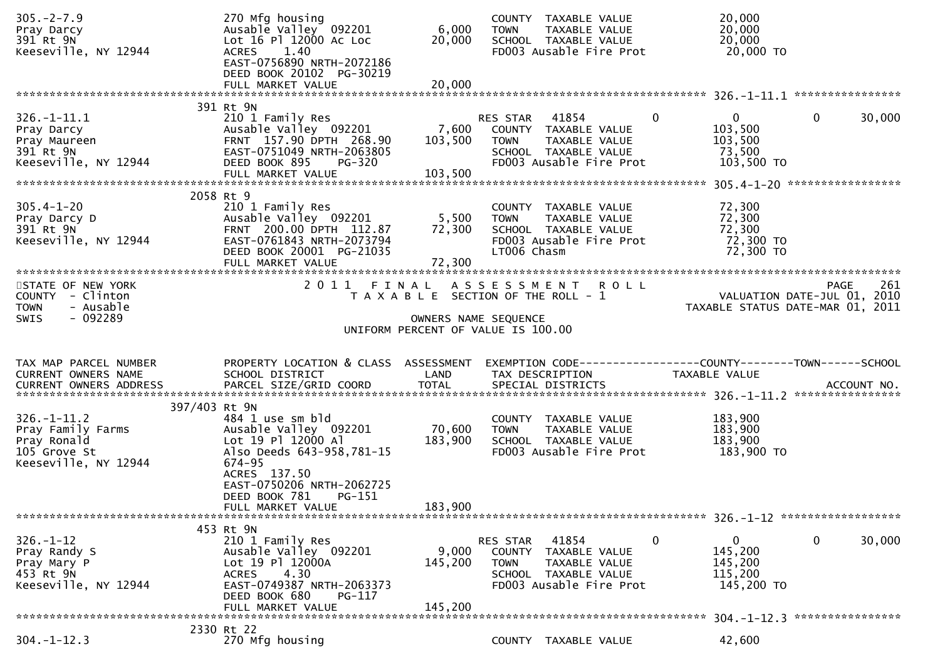| $305. -2 - 7.9$<br>Pray Darcy                | 270 Mfg housing<br>Ausable Valley 092201                                    | 6,000                | COUNTY TAXABLE VALUE<br>TOWN<br>TAXABLE VALUE                                     | 20,000<br>20,000                 |             |
|----------------------------------------------|-----------------------------------------------------------------------------|----------------------|-----------------------------------------------------------------------------------|----------------------------------|-------------|
| 391 Rt 9N<br>Keeseville, NY 12944            | Lot 16 Pl 12000 Ac Loc<br><b>ACRES</b><br>1.40<br>EAST-0756890 NRTH-2072186 | 20,000               | SCHOOL TAXABLE VALUE<br>FD003 Ausable Fire Prot                                   | 20,000<br>20,000 TO              |             |
|                                              | DEED BOOK 20102 PG-30219<br>FULL MARKET VALUE                               | 20,000               |                                                                                   |                                  |             |
|                                              | 391 Rt 9N                                                                   |                      |                                                                                   |                                  |             |
| $326. - 1 - 11.1$<br>Pray Darcy              | 210 1 Family Res<br>Ausable Valley 092201                                   | 7,600                | $\Omega$<br>RES STAR 41854<br>COUNTY TAXABLE VALUE                                | 0<br>103,500                     | 0<br>30,000 |
| Pray Maureen                                 | FRNT 157.90 DPTH 268.90                                                     | 103,500              | <b>TOWN</b><br>TAXABLE VALUE                                                      | 103,500                          |             |
| 391 Rt 9N<br>Keeseville, NY 12944            | EAST-0751049 NRTH-2063805<br>DEED BOOK 895<br>PG-320                        |                      | SCHOOL TAXABLE VALUE<br>FD003 Ausable Fire Prot                                   | 73,500<br>103,500 TO             |             |
|                                              |                                                                             |                      |                                                                                   |                                  |             |
|                                              | 2058 Rt 9                                                                   |                      |                                                                                   |                                  |             |
| $305.4 - 1 - 20$                             | 210 1 Family Res                                                            |                      | COUNTY TAXABLE VALUE                                                              | 72,300                           |             |
| Pray Darcy D                                 | Ausable Valley 092201                                                       | 5,500 TOWN           | TAXABLE VALUE                                                                     | 72,300                           |             |
| 391 Rt 9N                                    | FRNT 200.00 DPTH 112.87                                                     | 72,300               | SCHOOL TAXABLE VALUE                                                              | 72,300                           |             |
| Keeseville, NY 12944                         | EAST-0761843 NRTH-2073794<br>DEED BOOK 20001 PG-21035                       |                      | FD003 Ausable Fire Prot<br>LT006 Chasm                                            | 72,300 TO<br>72,300 TO           |             |
|                                              | FULL MARKET VALUE                                                           | 72,300               |                                                                                   |                                  |             |
|                                              |                                                                             |                      |                                                                                   |                                  |             |
| STATE OF NEW YORK<br>COUNTY - Clinton        |                                                                             |                      | 2011 FINAL ASSESSMENT ROLL<br>T A X A B L E SECTION OF THE ROLL - 1               | VALUATION DATE-JUL 01, 2010      | 261<br>PAGE |
| - Ausable<br><b>TOWN</b>                     |                                                                             |                      |                                                                                   | TAXABLE STATUS DATE-MAR 01, 2011 |             |
| - 092289<br><b>SWIS</b>                      |                                                                             | OWNERS NAME SEQUENCE |                                                                                   |                                  |             |
|                                              |                                                                             |                      | UNIFORM PERCENT OF VALUE IS 100.00                                                |                                  |             |
|                                              |                                                                             |                      |                                                                                   |                                  |             |
|                                              |                                                                             |                      |                                                                                   |                                  |             |
|                                              |                                                                             |                      |                                                                                   |                                  |             |
| TAX MAP PARCEL NUMBER<br>CURRENT OWNERS NAME | PROPERTY LOCATION & CLASS ASSESSMENT<br>SCHOOL DISTRICT                     | LAND                 | EXEMPTION CODE------------------COUNTY--------TOWN------SCHOOL<br>TAX DESCRIPTION | TAXABLE VALUE                    |             |
|                                              |                                                                             |                      |                                                                                   |                                  |             |
|                                              |                                                                             |                      |                                                                                   |                                  |             |
| 397/403 Rt 9N                                |                                                                             |                      |                                                                                   |                                  |             |
| $326. - 1 - 11.2$                            | 484 1 use sm bld                                                            |                      | COUNTY TAXABLE VALUE                                                              | 183,900                          |             |
| Pray Family Farms                            | Ausable Valley 092201<br>Lot 19 Pl 12000 Al                                 | 70,600               | <b>TOWN</b><br>TAXABLE VALUE                                                      | 183,900                          |             |
| Pray Ronald<br>105 Grove St                  | Also Deeds 643-958,781-15                                                   | 183,900              | SCHOOL TAXABLE VALUE<br>FD003 Ausable Fire Prot                                   | 183,900<br>183,900 TO            |             |
| Keeseville, NY 12944                         | 674-95                                                                      |                      |                                                                                   |                                  |             |
|                                              | ACRES 137.50                                                                |                      |                                                                                   |                                  |             |
|                                              | EAST-0750206 NRTH-2062725                                                   |                      |                                                                                   |                                  |             |
|                                              | DEED BOOK 781<br>PG-151                                                     |                      |                                                                                   |                                  |             |
|                                              | FULL MARKET VALUE                                                           | 183,900              |                                                                                   |                                  |             |
|                                              | 453 Rt 9N                                                                   |                      |                                                                                   |                                  |             |
| $326. - 1 - 12$                              | 210 1 Family Res                                                            |                      | $\mathbf{0}$<br>41854<br>RES STAR                                                 | $\mathbf{0}$                     | 0<br>30,000 |
| Pray Randy S                                 | Ausable Valley 092201                                                       | 9,000                | COUNTY TAXABLE VALUE                                                              | 145,200                          |             |
| Pray Mary P                                  | Lot 19 Pl 12000A                                                            | 145,200              | <b>TOWN</b><br>TAXABLE VALUE                                                      | 145,200                          |             |
| 453 Rt 9N                                    | 4.30<br><b>ACRES</b>                                                        |                      | SCHOOL TAXABLE VALUE                                                              | 115,200                          |             |
| Keeseville, NY 12944                         | EAST-0749387 NRTH-2063373<br>DEED BOOK 680<br>PG-117                        |                      | FD003 Ausable Fire Prot                                                           | 145,200 TO                       |             |
|                                              | FULL MARKET VALUE                                                           | 145,200              |                                                                                   |                                  |             |
|                                              |                                                                             |                      |                                                                                   |                                  |             |
| $304. - 1 - 12.3$                            | 2330 Rt 22<br>270 Mfg housing                                               |                      | COUNTY TAXABLE VALUE                                                              | 42,600                           |             |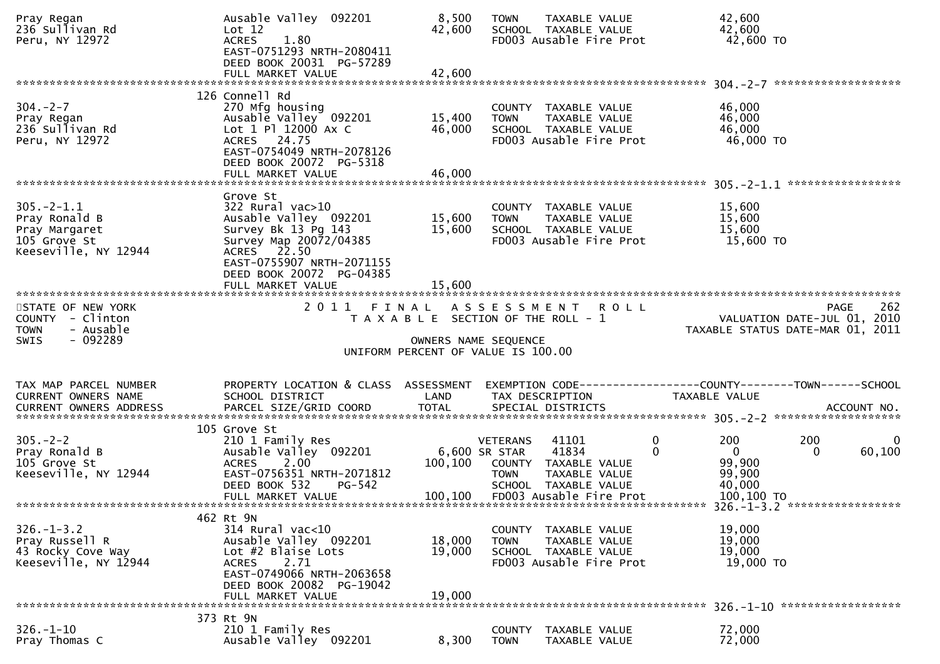| Pray Regan<br>236 Sullivan Rd<br>Peru, NY 12972                                            | Ausable Valley 092201<br>Lot 12<br><b>ACRES</b><br>1.80<br>EAST-0751293 NRTH-2080411<br>DEED BOOK 20031 PG-57289<br>FULL MARKET VALUE                                                | 8,500<br>42,600<br>42,600                                  | <b>TOWN</b>                                     | TAXABLE VALUE<br>SCHOOL TAXABLE VALUE<br>FD003 Ausable Fire Prot                                           |                      | 42,600<br>42,600<br>42,600 TO                     |                 |                                  |
|--------------------------------------------------------------------------------------------|--------------------------------------------------------------------------------------------------------------------------------------------------------------------------------------|------------------------------------------------------------|-------------------------------------------------|------------------------------------------------------------------------------------------------------------|----------------------|---------------------------------------------------|-----------------|----------------------------------|
|                                                                                            |                                                                                                                                                                                      |                                                            |                                                 |                                                                                                            |                      |                                                   |                 |                                  |
| $304. - 2 - 7$<br>Pray Regan<br>236 Sullivan Rd<br>Peru, NY 12972                          | 126 Connell Rd<br>270 Mfg housing<br>Ausable Valley 092201<br>Lot $1$ Pl $12000$ Ax C<br>ACRES 24.75<br>EAST-0754049 NRTH-2078126<br>DEED BOOK 20072 PG-5318<br>FULL MARKET VALUE    | 15,400<br>46,000<br>46,000                                 | <b>TOWN</b>                                     | COUNTY TAXABLE VALUE<br>TAXABLE VALUE<br>SCHOOL TAXABLE VALUE<br>FD003 Ausable Fire Prot                   |                      | 46,000<br>46,000<br>46,000<br>46,000 TO           |                 |                                  |
|                                                                                            |                                                                                                                                                                                      |                                                            |                                                 |                                                                                                            |                      |                                                   |                 |                                  |
| $305. - 2 - 1.1$<br>Pray Ronald B<br>Pray Margaret<br>105 Grove St<br>Keeseville, NY 12944 | Grove St<br>$322$ Rural vac $>10$<br>Ausable Valley 092201<br>Survey Bk 13 Pg 143<br>Survey Map 20072/04385<br>ACRES 22.50<br>EAST-0755907 NRTH-2071155<br>DEED BOOK 20072 PG-04385  | 15,600<br>15,600                                           | <b>TOWN</b>                                     | COUNTY TAXABLE VALUE<br>TAXABLE VALUE<br>SCHOOL TAXABLE VALUE<br>FD003 Ausable Fire Prot                   |                      | 15,600<br>15,600<br>15,600<br>15,600 TO           |                 |                                  |
| *************************                                                                  | FULL MARKET VALUE                                                                                                                                                                    | 15,600                                                     |                                                 |                                                                                                            |                      |                                                   |                 |                                  |
| STATE OF NEW YORK<br>COUNTY - Clinton<br>- Ausable<br><b>TOWN</b>                          | 2011 FINAL                                                                                                                                                                           | T A X A B L E SECTION OF THE ROLL - 1                      |                                                 | A S S E S S M E N T R O L L                                                                                |                      | VALUATION DATE-JUL 01,                            |                 | 262<br>PAGE<br>2010              |
| SWIS<br>- 092289                                                                           |                                                                                                                                                                                      | OWNERS NAME SEQUENCE<br>UNIFORM PERCENT OF VALUE IS 100.00 |                                                 |                                                                                                            |                      |                                                   |                 | TAXABLE STATUS DATE-MAR 01, 2011 |
|                                                                                            |                                                                                                                                                                                      |                                                            |                                                 |                                                                                                            |                      |                                                   |                 |                                  |
| TAX MAP PARCEL NUMBER<br>CURRENT OWNERS NAME                                               | PROPERTY LOCATION & CLASS ASSESSMENT<br>SCHOOL DISTRICT                                                                                                                              | LAND                                                       |                                                 | EXEMPTION CODE------------------COUNTY--------TOWN------SCHOOL<br>TAX DESCRIPTION                          | <b>TAXABLE VALUE</b> |                                                   |                 |                                  |
|                                                                                            |                                                                                                                                                                                      |                                                            |                                                 |                                                                                                            |                      |                                                   |                 |                                  |
| $305. - 2 - 2$<br>Pray Ronald B<br>105 Grove St<br>Keeseville, NY 12944                    | 105 Grove St<br>210 1 Family Res<br>Ausable Valley 092201<br>$2.00^{\circ}$<br><b>ACRES</b><br>EAST-0756351 NRTH-2071812<br>DEED BOOK 532<br>$PG-542$                                | 100,100                                                    | <b>VETERANS</b><br>6,600 SR STAR<br><b>TOWN</b> | 41101<br>41834<br>COUNTY TAXABLE VALUE<br>TAXABLE VALUE<br>SCHOOL TAXABLE VALUE<br>FD003 Ausable Fire Prot | $\mathbf{0}$<br>0    | 200<br>$\mathbf{0}$<br>99,900<br>99,900<br>40,000 | 200<br>$\Omega$ | $\Omega$<br>60,100               |
|                                                                                            | FULL MARKET VALUE                                                                                                                                                                    | 100,100                                                    |                                                 |                                                                                                            |                      | 100,100 TO                                        |                 |                                  |
| $326. - 1 - 3.2$<br>Pray Russell R<br>43 Rocky Cove Way<br>Keeseville, NY 12944            | 462 Rt 9N<br>$314$ Rural vac<10<br>Ausable Valley 092201<br>Lot #2 Blaise Lots<br><b>ACRES</b><br>2.71<br>EAST-0749066 NRTH-2063658<br>DEED BOOK 20082 PG-19042<br>FULL MARKET VALUE | 18,000<br>19,000<br>19,000                                 | <b>TOWN</b>                                     | COUNTY TAXABLE VALUE<br>TAXABLE VALUE<br>SCHOOL TAXABLE VALUE<br>FD003 Ausable Fire Prot                   |                      | 19,000<br>19,000<br>19,000<br>19,000 TO           |                 |                                  |
|                                                                                            | 373 Rt 9N                                                                                                                                                                            |                                                            |                                                 |                                                                                                            |                      | 326. -1-10 *******************                    |                 |                                  |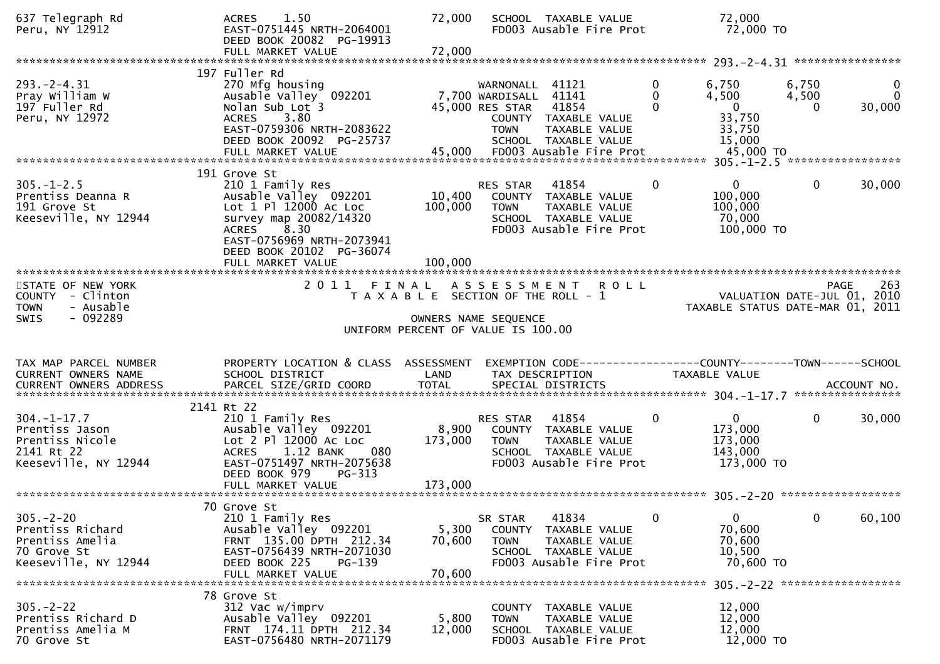| 637 Telegraph Rd<br>Peru, NY 12912                                                            | 1.50<br><b>ACRES</b><br>EAST-0751445 NRTH-2064001<br>DEED BOOK 20082 PG-19913<br>FULL MARKET VALUE                                                                                          | 72,000<br>72,000             | SCHOOL TAXABLE VALUE<br>FD003 Ausable Fire Prot                                                                                                                                    | 72,000<br>72,000 TO                                                                                      |                     |                         |
|-----------------------------------------------------------------------------------------------|---------------------------------------------------------------------------------------------------------------------------------------------------------------------------------------------|------------------------------|------------------------------------------------------------------------------------------------------------------------------------------------------------------------------------|----------------------------------------------------------------------------------------------------------|---------------------|-------------------------|
|                                                                                               |                                                                                                                                                                                             |                              |                                                                                                                                                                                    |                                                                                                          |                     |                         |
| $293. - 2 - 4.31$<br>Pray William W<br>197 Fuller Rd<br>Peru, NY 12972                        | 197 Fuller Rd<br>270 Mfg housing<br>Ausable Valley 092201<br>Nolan Sub Lot 3<br>3.80<br><b>ACRES</b><br>EAST-0759306 NRTH-2083622<br>DEED BOOK 20092 PG-25737<br>FULL MARKET VALUE          | 45,000                       | WARNONALL<br>41121<br>7,700 WARDISALL 41141<br>41854<br>45,000 RES STAR<br>COUNTY TAXABLE VALUE<br><b>TOWN</b><br>TAXABLE VALUE<br>SCHOOL TAXABLE VALUE<br>FD003 Ausable Fire Prot | 0<br>6,750<br>$\Omega$<br>4,500<br>$\Omega$<br>$\overline{0}$<br>33,750<br>33,750<br>15,000<br>45,000 TO | 6,750<br>4,500<br>0 | 0<br>$\Omega$<br>30,000 |
|                                                                                               | 191 Grove St                                                                                                                                                                                |                              |                                                                                                                                                                                    |                                                                                                          |                     |                         |
| $305. - 1 - 2.5$<br>Prentiss Deanna R<br>191 Grove St<br>Keeseville, NY 12944                 | 210 1 Family Res<br>Ausable Valley 092201<br>Lot 1 Pl 12000 Ac Loc<br>survey map 20082/14320<br>8.30<br>ACRES<br>EAST-0756969 NRTH-2073941<br>DEED BOOK 20102 PG-36074<br>FULL MARKET VALUE | 10,400<br>100,000<br>100,000 | 41854<br>RES STAR<br>COUNTY TAXABLE VALUE<br>TOWN<br>TAXABLE VALUE<br>SCHOOL TAXABLE VALUE<br>FD003 Ausable Fire Prot                                                              | $\mathbf{0}$<br>0<br>100,000<br>100,000<br>70,000<br>100,000 TO                                          | $\mathbf{0}$        | 30,000                  |
|                                                                                               |                                                                                                                                                                                             |                              |                                                                                                                                                                                    |                                                                                                          |                     |                         |
| STATE OF NEW YORK<br>COUNTY - Clinton<br>- Ausable<br><b>TOWN</b>                             |                                                                                                                                                                                             |                              | 2011 FINAL ASSESSMENT<br><b>ROLL</b><br>T A X A B L E SECTION OF THE ROLL - 1                                                                                                      | VALUATION DATE-JUL 01, 2010<br>TAXABLE STATUS DATE-MAR 01, 2011                                          | PAGE                | 263                     |
| $-092289$<br><b>SWIS</b>                                                                      |                                                                                                                                                                                             |                              | OWNERS NAME SEQUENCE<br>UNIFORM PERCENT OF VALUE IS 100.00                                                                                                                         |                                                                                                          |                     |                         |
| TAX MAP PARCEL NUMBER<br>CURRENT OWNERS NAME                                                  | PROPERTY LOCATION & CLASS ASSESSMENT<br>SCHOOL DISTRICT                                                                                                                                     | LAND                         | EXEMPTION CODE-----------------COUNTY-------TOWN------SCHOOL<br>TAX DESCRIPTION                                                                                                    | TAXABLE VALUE                                                                                            |                     |                         |
|                                                                                               | 2141 Rt 22                                                                                                                                                                                  |                              |                                                                                                                                                                                    |                                                                                                          |                     |                         |
| $304. - 1 - 17.7$<br>Prentiss Jason<br>Prentiss Nicole<br>2141 Rt 22<br>Keeseville, NY 12944  | 210 1 Family Res<br>Ausable Valley 092201<br>Lot 2 P1 12000 Ac Loc<br>1.12 BANK<br><b>ACRES</b><br>080<br>EAST-0751497 NRTH-2075638<br>$PG-313$<br>DEED BOOK 979                            | 8,900<br>173,000             | RES STAR<br>41854<br>COUNTY TAXABLE VALUE<br><b>TOWN</b><br>TAXABLE VALUE<br>SCHOOL TAXABLE VALUE<br>FD003 Ausable Fire Prot                                                       | $\mathbf{0}$<br>$\mathbf{0}$<br>173,000<br>173,000<br>143,000<br>173,000 TO                              | $\mathbf{0}$        | 30,000                  |
|                                                                                               |                                                                                                                                                                                             |                              |                                                                                                                                                                                    |                                                                                                          |                     |                         |
|                                                                                               | 70 Grove St                                                                                                                                                                                 |                              |                                                                                                                                                                                    |                                                                                                          |                     |                         |
|                                                                                               |                                                                                                                                                                                             |                              |                                                                                                                                                                                    |                                                                                                          |                     |                         |
| $305. - 2 - 20$<br>Prentiss Richard<br>Prentiss Amelia<br>70 Grove St<br>Keeseville, NY 12944 | 210 1 Family Res<br>Ausable Valley 092201<br>FRNT 135.00 DPTH 212.34<br>EAST-0756439 NRTH-2071030<br>DEED BOOK 225<br>PG-139<br>FULL MARKET VALUE                                           | 5,300<br>70,600<br>70,600    | 41834<br>SR STAR<br><b>COUNTY</b><br>TAXABLE VALUE<br>TAXABLE VALUE<br><b>TOWN</b><br>SCHOOL TAXABLE VALUE<br>FD003 Ausable Fire Prot                                              | $\mathbf{0}$<br>$\mathbf{0}$<br>70,600<br>70,600<br>10,500<br>70,600 TO                                  | $\mathbf{0}$        | 60,100                  |
|                                                                                               | 78 Grove St                                                                                                                                                                                 |                              |                                                                                                                                                                                    |                                                                                                          |                     |                         |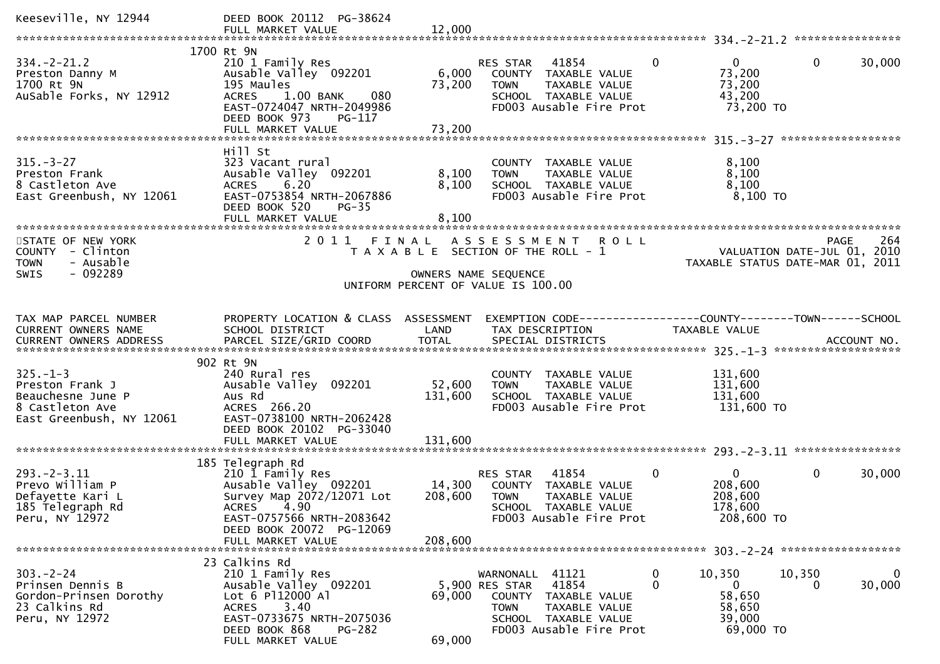| Keeseville, NY 12944                                                                                  | DEED BOOK 20112 PG-38624<br>FULL MARKET VALUE                                                                                                                                            | 12,000                       |                                                                                                                                                                    |                                                                   |                                                                                       |
|-------------------------------------------------------------------------------------------------------|------------------------------------------------------------------------------------------------------------------------------------------------------------------------------------------|------------------------------|--------------------------------------------------------------------------------------------------------------------------------------------------------------------|-------------------------------------------------------------------|---------------------------------------------------------------------------------------|
| $334. - 2 - 21.2$<br>Preston Danny M<br>1700 Rt 9N<br>AuSable Forks, NY 12912                         | 1700 Rt 9N<br>210 1 Family Res<br>Ausable Valley 092201<br>195 Maules<br>$1.00$ BANK<br>080<br><b>ACRES</b><br>EAST-0724047 NRTH-2049986<br>DEED BOOK 973<br>PG-117<br>FULL MARKET VALUE | 6,000<br>73,200<br>73,200    | $\mathbf{0}$<br>41854<br>RES STAR<br>COUNTY TAXABLE VALUE<br>TAXABLE VALUE<br><b>TOWN</b><br>SCHOOL TAXABLE VALUE<br>FD003 Ausable Fire Prot                       | $\mathbf{0}$<br>73,200<br>73,200<br>43,200<br>73,200 TO           | $\mathbf 0$<br>30,000                                                                 |
|                                                                                                       |                                                                                                                                                                                          |                              |                                                                                                                                                                    |                                                                   |                                                                                       |
| $315. - 3 - 27$<br>Preston Frank<br>8 Castleton Ave<br>East Greenbush, NY 12061                       | Hill St<br>323 Vacant rural<br>Ausable Valley 092201<br><b>ACRES</b><br>6.20<br>EAST-0753854 NRTH-2067886<br>DEED BOOK 520<br>$PG-35$<br>FULL MARKET VALUE                               | 8,100<br>8,100<br>8,100      | COUNTY TAXABLE VALUE<br>TAXABLE VALUE<br><b>TOWN</b><br>SCHOOL TAXABLE VALUE<br>FD003 Ausable Fire Prot                                                            | 8,100<br>8,100<br>8,100<br>8,100 TO                               |                                                                                       |
| STATE OF NEW YORK<br>COUNTY - Clinton<br>- Ausable<br><b>TOWN</b><br>SWIS<br>$-092289$                |                                                                                                                                                                                          |                              | 2011 FINAL ASSESSMENT ROLL<br>T A X A B L E SECTION OF THE ROLL - 1<br>OWNERS NAME SEQUENCE                                                                        |                                                                   | 264<br><b>PAGE</b><br>VALUATION DATE-JUL 01, 2010<br>TAXABLE STATUS DATE-MAR 01, 2011 |
|                                                                                                       |                                                                                                                                                                                          |                              | UNIFORM PERCENT OF VALUE IS 100.00                                                                                                                                 |                                                                   |                                                                                       |
| TAX MAP PARCEL NUMBER<br>CURRENT OWNERS NAME                                                          | PROPERTY LOCATION & CLASS ASSESSMENT<br>SCHOOL DISTRICT                                                                                                                                  | LAND                         | EXEMPTION CODE-----------------COUNTY--------TOWN------SCHOOL<br>TAX DESCRIPTION                                                                                   | <b>TAXABLE VALUE</b>                                              |                                                                                       |
| $325. - 1 - 3$<br>Preston Frank J<br>Beauchesne June P<br>8 Castleton Ave<br>East Greenbush, NY 12061 | 902 Rt 9N<br>240 Rural res<br>Ausable Valley 092201<br>Aus Rd<br>ACRES 266.20<br>EAST-0738100 NRTH-2062428<br>DEED BOOK 20102 PG-33040<br>FULL MARKET VALUE                              | 52,600<br>131,600<br>131,600 | COUNTY TAXABLE VALUE<br>TAXABLE VALUE<br><b>TOWN</b><br>SCHOOL TAXABLE VALUE<br>FD003 Ausable Fire Prot                                                            | 131,600<br>131,600<br>131,600<br>131,600 TO                       |                                                                                       |
|                                                                                                       | 185 Telegraph Rd                                                                                                                                                                         |                              |                                                                                                                                                                    |                                                                   |                                                                                       |
| $293. - 2 - 3.11$<br>Prevo William P<br>Defayette Kari L<br>185 Telegraph Rd<br>Peru, NY 12972        | 210 1 Family Res<br>Ausable Valley 092201<br>Survey Map 2072/12071 Lot<br>ACRES 4.90<br>EAST-0757566 NRTH-2083642<br>DEED BOOK 20072 PG-12069                                            | 14,300<br>208,600            | 41854<br>$\mathbf{0}$<br>RES STAR<br>COUNTY TAXABLE VALUE<br><b>TOWN</b><br>TAXABLE VALUE<br>SCHOOL TAXABLE VALUE<br>FD003 Ausable Fire Prot                       | $\mathbf{0}$<br>208,600<br>208,600<br>178,600<br>208,600 TO       | 30,000<br>0                                                                           |
|                                                                                                       | FULL MARKET VALUE                                                                                                                                                                        | 208,600                      |                                                                                                                                                                    |                                                                   |                                                                                       |
| $303 - 2 - 24$<br>Prinsen Dennis B<br>Gordon-Prinsen Dorothy<br>23 Calkins Rd<br>Peru, NY 12972       | 23 Calkins Rd<br>210 1 Family Res<br>Ausable Valley 092201<br>Lot 6 P112000 Al<br>3.40<br><b>ACRES</b><br>EAST-0733675 NRTH-2075036<br>DEED BOOK 868<br>PG-282<br>FULL MARKET VALUE      | 69,000<br>69,000             | 41121<br>0<br>WARNONALL<br>41854<br>0<br>5,900 RES STAR<br>COUNTY TAXABLE VALUE<br>TAXABLE VALUE<br><b>TOWN</b><br>SCHOOL TAXABLE VALUE<br>FD003 Ausable Fire Prot | 10,350<br>$\mathbf{0}$<br>58,650<br>58,650<br>39,000<br>69,000 TO | 10,350<br>$\mathbf{0}$<br>30,000<br>0                                                 |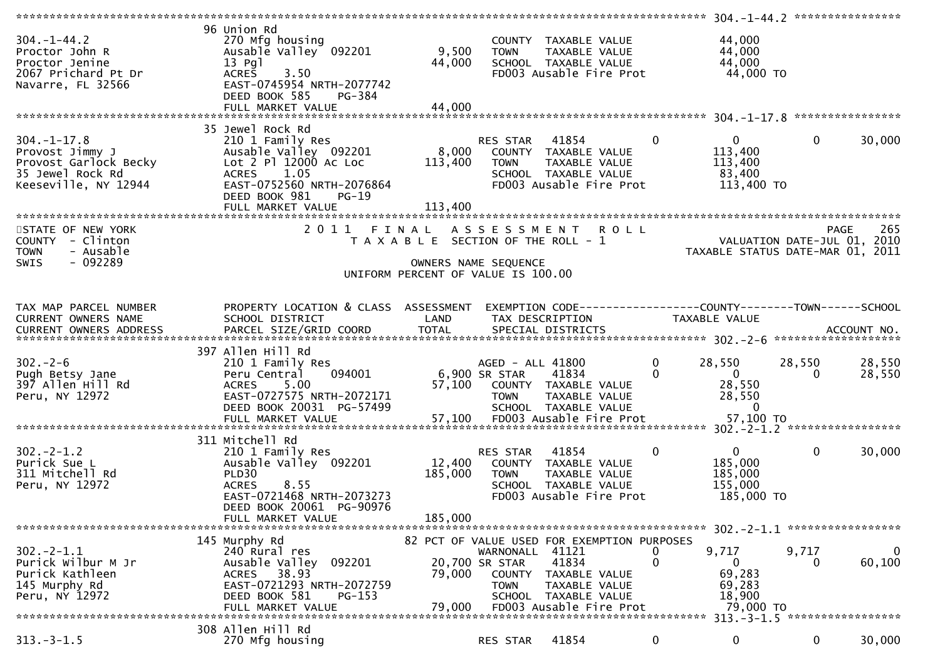| $304. - 1 - 44.2$<br>Proctor John R<br>Proctor Jenine<br>2067 Prichard Pt Dr<br>Navarre, FL 32566         | 96 Union Rd<br>270 Mfg housing<br>Ausable Valley 092201<br>$13$ Pgl<br>3.50<br><b>ACRES</b><br>EAST-0745954 NRTH-2077742<br>DEED BOOK 585<br>PG-384<br>FULL MARKET VALUE | 9,500<br>44,000<br>44,000             | <b>TOWN</b>                                                | COUNTY TAXABLE VALUE<br>TAXABLE VALUE<br>SCHOOL TAXABLE VALUE<br>FD003 Ausable Fire Prot                                                  |              | 44,000<br>44,000<br>44,000<br>44,000 TO                                                     |                    |                        |
|-----------------------------------------------------------------------------------------------------------|--------------------------------------------------------------------------------------------------------------------------------------------------------------------------|---------------------------------------|------------------------------------------------------------|-------------------------------------------------------------------------------------------------------------------------------------------|--------------|---------------------------------------------------------------------------------------------|--------------------|------------------------|
|                                                                                                           |                                                                                                                                                                          |                                       |                                                            |                                                                                                                                           |              |                                                                                             |                    |                        |
| $304. - 1 - 17.8$<br>Provost Jimmy J<br>Provost Garlock Becky<br>35 Jewel Rock Rd<br>Keeseville, NY 12944 | 35 Jewel Rock Rd<br>210 1 Family Res<br>Ausable Valley 092201<br>Lot 2 Pl 12000 Ac Loc<br>1.05<br><b>ACRES</b><br>EAST-0752560 NRTH-2076864<br>DEED BOOK 981<br>PG-19    | 8,000<br>113,400                      | RES STAR 41854<br>TOWN                                     | COUNTY TAXABLE VALUE<br>TAXABLE VALUE<br>SCHOOL TAXABLE VALUE<br>FD003 Ausable Fire Prot                                                  | $\mathbf{0}$ | $\overline{0}$<br>113,400<br>113,400<br>83,400<br>113,400 TO                                | $\mathbf{0}$       | 30,000                 |
| STATE OF NEW YORK                                                                                         |                                                                                                                                                                          |                                       |                                                            | 2011 FINAL ASSESSMENT ROLL                                                                                                                |              |                                                                                             | <b>PAGE</b>        | 265                    |
| COUNTY - Clinton<br>- Ausable<br><b>TOWN</b><br>- 092289<br><b>SWIS</b>                                   |                                                                                                                                                                          | T A X A B L E SECTION OF THE ROLL - 1 | OWNERS NAME SEQUENCE                                       |                                                                                                                                           |              | VALUATION DATE-JUL 01, 2010<br>TAXABLE STATUS DATE-MAR 01, 2011                             |                    |                        |
|                                                                                                           |                                                                                                                                                                          | UNIFORM PERCENT OF VALUE IS 100.00    |                                                            |                                                                                                                                           |              |                                                                                             |                    |                        |
| TAX MAP PARCEL NUMBER<br><b>CURRENT OWNERS NAME</b>                                                       | PROPERTY LOCATION & CLASS ASSESSMENT<br>SCHOOL DISTRICT                                                                                                                  | LAND                                  | TAX DESCRIPTION                                            | EXEMPTION CODE------------------COUNTY--------TOWN------SCHOOL                                                                            |              | <b>TAXABLE VALUE</b>                                                                        |                    |                        |
|                                                                                                           | 397 Allen Hill Rd                                                                                                                                                        |                                       |                                                            |                                                                                                                                           |              |                                                                                             |                    |                        |
| $302 - 2 - 6$<br>Pugh Betsy Jane<br>397 Allen Hill Rd<br>Peru, NY 12972                                   | 210 1 Family Res<br>094001<br>Peru Central<br>5.00<br><b>ACRES</b><br>EAST-0727575 NRTH-2072171<br>DEED BOOK 20031 PG-57499<br>FULL MARKET VALUE                         |                                       | AGED - ALL 41800<br>6,900 SR STAR<br><b>TOWN</b>           | 41834<br>57,100 COUNTY TAXABLE VALUE<br>TAXABLE VALUE<br>SCHOOL TAXABLE VALUE<br>57,100 FD003 Ausable Fire Prot                           | 0<br>0       | 28,550<br>$\overline{0}$<br>28,550<br>28,550<br>$\Omega$<br>57,100 TO                       | 28,550<br>$\Omega$ | 28,550<br>28,550       |
|                                                                                                           | 311 Mitchell Rd                                                                                                                                                          |                                       |                                                            |                                                                                                                                           |              |                                                                                             |                    |                        |
| $302 - 2 - 1.2$<br>Purick Sue L<br>311 Mitchell Rd<br>Peru, NY 12972                                      | 210 1 Family Res<br>Ausable Valley 092201<br>PLD30<br><b>ACRES</b><br>8.55<br>EAST-0721468 NRTH-2073273<br>DEED BOOK 20061 PG-90976                                      | 12,400<br>185,000                     | RES STAR<br><b>TOWN</b>                                    | 41854<br>COUNTY TAXABLE VALUE<br>TAXABLE VALUE<br>SCHOOL TAXABLE VALUE<br>FD003 Ausable Fire Prot                                         | 0            | $\overline{0}$<br>185,000<br>185,000<br>155,000<br>185,000 TO                               | $\mathbf{0}$       | 30,000                 |
|                                                                                                           | FULL MARKET VALUE                                                                                                                                                        | 185,000                               |                                                            |                                                                                                                                           |              |                                                                                             |                    |                        |
|                                                                                                           |                                                                                                                                                                          |                                       |                                                            |                                                                                                                                           |              | $302 - 2 - 1.1$ ******************                                                          |                    |                        |
| $302 - 2 - 1.1$<br>Purick Wilbur M Jr<br>Purick Kathleen<br>145 Murphy Rd<br>Peru, NY 12972               | 145 Murphy Rd<br>240 Rural res<br>Ausable Valley<br>092201<br>38.93<br><b>ACRES</b><br>EAST-0721293 NRTH-2072759<br>DEED BOOK 581<br>$PG-153$<br>FULL MARKET VALUE       | 79,000<br>79.000                      | WARNONALL 41121<br>20,700 SR STAR<br>COUNTY<br><b>TOWN</b> | 82 PCT OF VALUE USED FOR EXEMPTION PURPOSES<br>41834<br>TAXABLE VALUE<br>TAXABLE VALUE<br>SCHOOL TAXABLE VALUE<br>FD003 Ausable Fire Prot | U<br>0       | 9,717<br>0<br>69,283<br>69,283<br>18,900<br>79,000 TO<br>313. - 3 - 1.5 ******************* | 9,717<br>$\Omega$  | $\mathbf{0}$<br>60,100 |
|                                                                                                           | 308 Allen Hill Rd                                                                                                                                                        |                                       |                                                            |                                                                                                                                           |              |                                                                                             |                    |                        |
| $313. - 3 - 1.5$                                                                                          | 270 Mfg housing                                                                                                                                                          |                                       | RES STAR                                                   | 41854                                                                                                                                     | 0            | 0                                                                                           | 0                  | 30,000                 |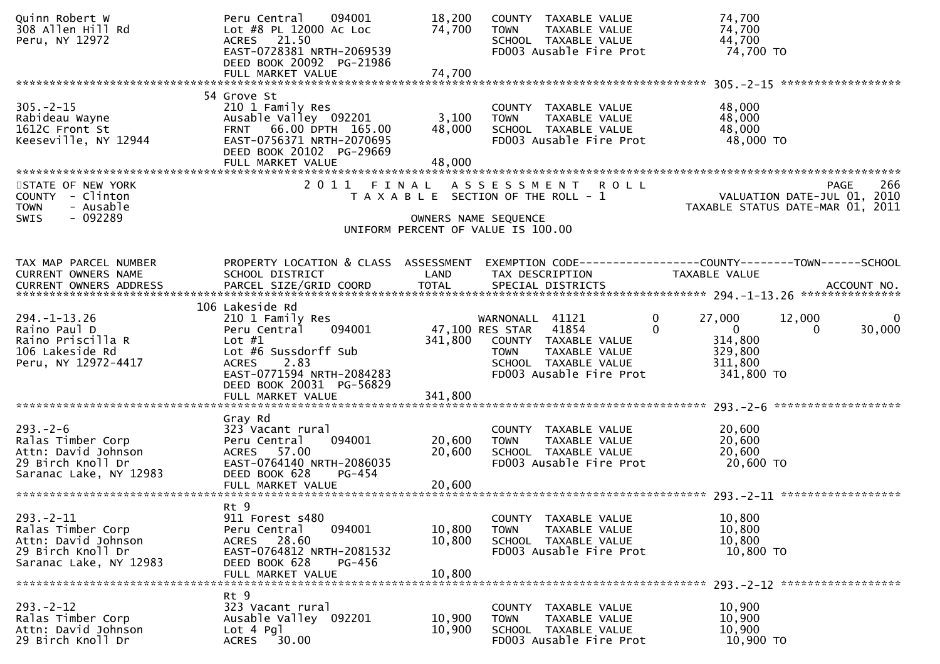| Quinn Robert W<br>308 Allen Hill Rd<br>Peru, NY 12972                                                     | Peru Central<br>094001<br>Lot #8 PL 12000 AC Loc<br>ACRES 21.50<br>EAST-0728381 NRTH-2069539<br>DEED BOOK 20092 PG-21986                                                                                | 18,200<br>74,700           | COUNTY TAXABLE VALUE<br>TAXABLE VALUE<br><b>TOWN</b><br>SCHOOL TAXABLE VALUE<br>FD003 Ausable Fire Prot                                                | 74,700<br>74,700<br>44,700<br>74,700 TO                                                                                           |
|-----------------------------------------------------------------------------------------------------------|---------------------------------------------------------------------------------------------------------------------------------------------------------------------------------------------------------|----------------------------|--------------------------------------------------------------------------------------------------------------------------------------------------------|-----------------------------------------------------------------------------------------------------------------------------------|
|                                                                                                           | FULL MARKET VALUE                                                                                                                                                                                       | 74,700                     |                                                                                                                                                        |                                                                                                                                   |
| $305. -2 - 15$<br>Rabideau Wayne<br>1612C Front St<br>Keeseville, NY 12944                                | 54 Grove St<br>210 1 Family Res<br>Ausable Valley 092201<br>FRNT 66.00 DPTH 165.00<br>EAST-0756371 NRTH-2070695<br>DEED BOOK 20102 PG-29669<br>FULL MARKET VALUE                                        | 3,100<br>48,000<br>48,000  | COUNTY TAXABLE VALUE<br><b>TOWN</b><br>TAXABLE VALUE<br>SCHOOL TAXABLE VALUE<br>FD003 Ausable Fire Prot                                                | 48,000<br>48,000<br>48,000<br>48,000 TO                                                                                           |
| STATE OF NEW YORK<br>COUNTY - Clinton<br>- Ausable<br><b>TOWN</b><br>$-092289$<br>SWIS                    | 2011 FINAL                                                                                                                                                                                              |                            | ASSESSMENT ROLL<br>T A X A B L E SECTION OF THE ROLL - 1<br>OWNERS NAME SEQUENCE<br>UNIFORM PERCENT OF VALUE IS 100.00                                 | 266<br><b>PAGE</b><br>VALUATION DATE-JUL 01, 2010<br>TAXABLE STATUS DATE-MAR 01, 2011                                             |
| TAX MAP PARCEL NUMBER<br>CURRENT OWNERS NAME                                                              | PROPERTY LOCATION & CLASS ASSESSMENT<br>SCHOOL DISTRICT                                                                                                                                                 | LAND                       | TAX DESCRIPTION                                                                                                                                        | EXEMPTION CODE-----------------COUNTY--------TOWN------SCHOOL<br>TAXABLE VALUE                                                    |
| $294. - 1 - 13.26$<br>Raino Paul D<br>Raino Priscilla R<br>106 Lakeside Rd<br>Peru, NY 12972-4417         | 106 Lakeside Rd<br>210 1 Family Res<br>094001<br>Peru Central<br>Lot $#1$<br>Lot #6 Sussdorff Sub<br>2.83<br><b>ACRES</b><br>EAST-0771594 NRTH-2084283<br>DEED BOOK 20031 PG-56829<br>FULL MARKET VALUE | 341,800<br>341,800         | WARNONALL 41121<br>47,100 RES STAR<br>41854<br>COUNTY TAXABLE VALUE<br>TAXABLE VALUE<br><b>TOWN</b><br>SCHOOL TAXABLE VALUE<br>FD003 Ausable Fire Prot | $\Omega$<br>27,000<br>12,000<br>$\Omega$<br>$\Omega$<br>$\mathbf 0$<br>30,000<br>0<br>314,800<br>329,800<br>311,800<br>341,800 TO |
| $293 - 2 - 6$<br>Ralas Timber Corp<br>Attn: David Johnson<br>29 Birch Knoll Dr<br>Saranac Lake, NY 12983  | Gray Rd<br>323 Vacant rural<br>094001<br>Peru Central<br>ACRES 57.00<br>EAST-0764140 NRTH-2086035<br>DEED BOOK 628<br>PG-454<br>FULL MARKET VALUE                                                       | 20,600<br>20,600<br>20,600 | COUNTY TAXABLE VALUE<br>TAXABLE VALUE<br><b>TOWN</b><br>SCHOOL TAXABLE VALUE<br>FD003 Ausable Fire Prot                                                | 20,600<br>20,600<br>20,600<br>20,600 TO                                                                                           |
| $293. -2 - 11$<br>Ralas Timber Corp<br>Attn: David Johnson<br>29 Birch Knoll Dr<br>Saranac Lake, NY 12983 | Rt 9<br>911 Forest s480<br>094001<br>Peru Central<br>ACRES 28.60<br>EAST-0764812 NRTH-2081532<br>DEED BOOK 628<br>PG-456<br>FULL MARKET VALUE                                                           | 10,800<br>10,800<br>10,800 | COUNTY TAXABLE VALUE<br><b>TOWN</b><br>TAXABLE VALUE<br>SCHOOL TAXABLE VALUE<br>FD003 Ausable Fire Prot                                                | 10,800<br>10,800<br>10,800<br>10,800 TO                                                                                           |
| $293 - 2 - 12$<br>Ralas Timber Corp<br>Attn: David Johnson<br>29 Birch Knoll Dr                           | Rt 9<br>323 Vacant rural<br>Ausable Valley 092201<br>$Lot 4$ $Pq$ ]<br>30.00<br><b>ACRES</b>                                                                                                            | 10,900<br>10,900           | COUNTY TAXABLE VALUE<br><b>TOWN</b><br>TAXABLE VALUE<br>SCHOOL TAXABLE VALUE<br>FD003 Ausable Fire Prot                                                | 10,900<br>10,900<br>10,900<br>10,900 TO                                                                                           |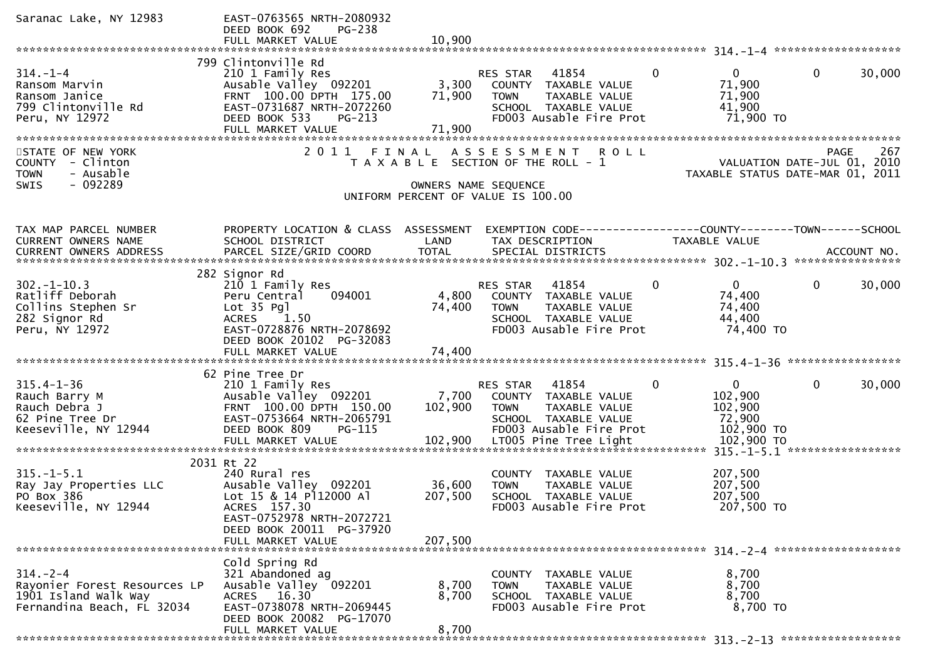| Saranac Lake, NY 12983                                                                               | EAST-0763565 NRTH-2080932<br>DEED BOOK 692<br>PG-238<br>FULL MARKET VALUE                                                                                                    | 10,900                       |                                                                                                                                                       |              |                                                                          |              |        |
|------------------------------------------------------------------------------------------------------|------------------------------------------------------------------------------------------------------------------------------------------------------------------------------|------------------------------|-------------------------------------------------------------------------------------------------------------------------------------------------------|--------------|--------------------------------------------------------------------------|--------------|--------|
|                                                                                                      |                                                                                                                                                                              |                              |                                                                                                                                                       |              |                                                                          |              |        |
| $314. - 1 - 4$<br>Ransom Marvin<br>Ransom Janice<br>799 Clintonville Rd<br>Peru, NY 12972            | 799 Clintonville Rd<br>210 1 Family Res<br>Ausable Valley 092201<br>FRNT 100.00 DPTH 175.00<br>EAST-0731687 NRTH-2072260<br>DEED BOOK 533<br>PG-213<br>FULL MARKET VALUE     | 3,300<br>71,900<br>71,900    | 41854<br>RES STAR<br>COUNTY TAXABLE VALUE<br><b>TOWN</b><br>TAXABLE VALUE<br>SCHOOL TAXABLE VALUE<br>FD003 Ausable Fire Prot                          | $\mathbf{0}$ | $\mathbf{0}$<br>71,900<br>71,900<br>41,900<br>71,900 TO                  | $\mathbf{0}$ | 30,000 |
| STATE OF NEW YORK<br>COUNTY - Clinton<br><b>TOWN</b><br>- Ausable<br>- 092289<br><b>SWIS</b>         | 2011 FINAL                                                                                                                                                                   |                              | ASSESSMENT ROLL<br>T A X A B L E SECTION OF THE ROLL - 1<br>OWNERS NAME SEQUENCE<br>UNIFORM PERCENT OF VALUE IS 100.00                                |              | VALUATION DATE-JUL 01, 2010<br>TAXABLE STATUS DATE-MAR 01, 2011          | PAGE         | 267    |
| TAX MAP PARCEL NUMBER<br>CURRENT OWNERS NAME                                                         | PROPERTY LOCATION & CLASS ASSESSMENT<br>SCHOOL DISTRICT                                                                                                                      | LAND                         | EXEMPTION CODE-----------------COUNTY-------TOWN------SCHOOL<br>TAX DESCRIPTION                                                                       |              | TAXABLE VALUE                                                            |              |        |
| $302 - 1 - 10.3$<br>Ratliff Deborah<br>Collins Stephen Sr<br>282 Signor Rd<br>Peru, NY 12972         | 282 Signor Rd<br>210 1 Family Res<br>094001<br>Peru Central<br>Lot 35 Pgl<br>ACRES 1.50<br>EAST-0728876 NRTH-2078692<br>DEED BOOK 20102 PG-32083                             | 4,800<br>74,400              | RES STAR 41854<br>COUNTY TAXABLE VALUE<br><b>TOWN</b><br>TAXABLE VALUE<br>SCHOOL TAXABLE VALUE<br>FD003 Ausable Fire Prot                             | $\mathbf{0}$ | $\mathbf{0}$<br>74,400<br>74,400<br>44,400<br>74,400 TO                  | $\mathbf{0}$ | 30,000 |
| $315.4 - 1 - 36$<br>Rauch Barry M<br>Rauch Debra J<br>62 Pine Tree Dr<br>Keeseville, NY 12944        | 62 Pine Tree Dr<br>210 1 Family Res<br>Ausable Valley 092201<br>FRNT 100.00 DPTH 150.00<br>EAST-0753664 NRTH-2065791<br>DEED BOOK 809<br>PG-115<br>FULL MARKET VALUE         | 7,700<br>102,900<br>102,900  | RES STAR<br>41854<br>COUNTY TAXABLE VALUE<br>TAXABLE VALUE<br><b>TOWN</b><br>SCHOOL TAXABLE VALUE<br>FD003 Ausable Fire Prot<br>LT005 Pine Tree Light | $\mathbf{0}$ | $\mathbf{0}$<br>102,900<br>102,900<br>72,900<br>102,900 TO<br>102,900 TO | 0            | 30,000 |
| $315. - 1 - 5.1$<br>Ray Jay Properties LLC<br>PO Box 386<br>Keeseville, NY 12944                     | 2031 Rt 22<br>240 Rural res<br>Ausable Valley 092201<br>Lot 15 & 14 P112000 Al<br>ACRES 157.30<br>EAST-0752978 NRTH-2072721<br>DEED BOOK 20011 PG-37920<br>FULL MARKET VALUE | 36,600<br>207,500<br>207,500 | COUNTY TAXABLE VALUE<br><b>TAXABLE VALUE</b><br><b>TOWN</b><br>SCHOOL TAXABLE VALUE<br>FD003 Ausable Fire Prot                                        |              | 207,500<br>207,500<br>207,500<br>207,500 TO                              |              |        |
| $314. - 2 - 4$<br>Rayonier Forest Resources LP<br>1901 Island Walk Way<br>Fernandina Beach, FL 32034 | Cold Spring Rd<br>321 Abandoned ag<br>Ausable Valley 092201<br>ACRES 16.30<br>EAST-0738078 NRTH-2069445<br>DEED BOOK 20082 PG-17070<br>FULL MARKET VALUE                     | 8,700<br>8,700<br>8,700      | COUNTY TAXABLE VALUE<br>TAXABLE VALUE<br><b>TOWN</b><br>SCHOOL TAXABLE VALUE<br>FD003 Ausable Fire Prot                                               |              | 8,700<br>8,700<br>8,700<br>8,700 TO                                      |              |        |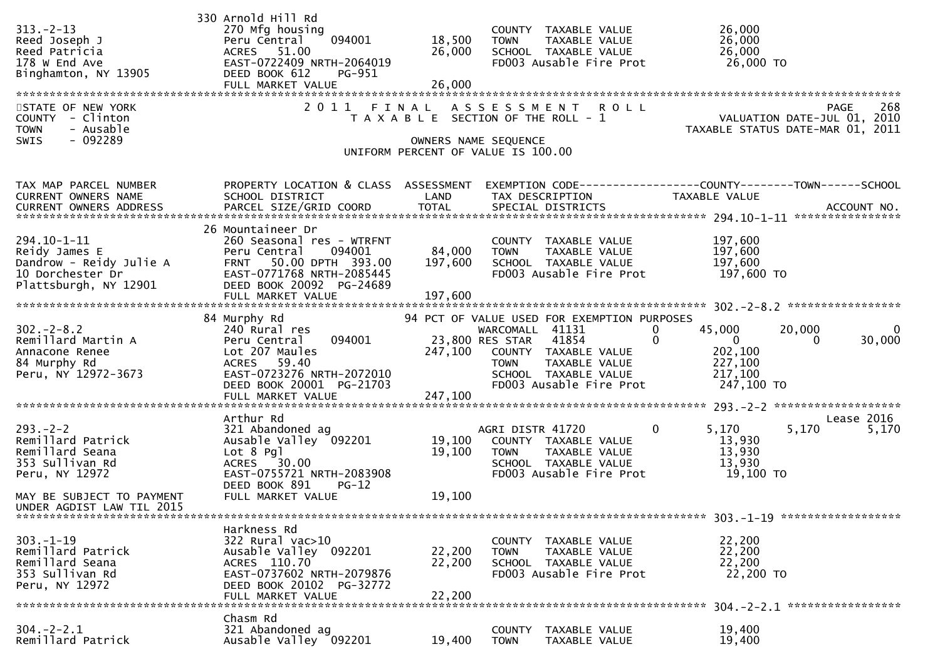| $313 - 2 - 13$<br>Reed Joseph J<br>Reed Patricia<br>178 W End Ave<br>Binghamton, NY 13905                               | 330 Arnold Hill Rd<br>270 Mfg housing<br>094001<br>Peru Central<br>ACRES 51.00<br>EAST-0722409 NRTH-2064019<br>DEED BOOK 612<br>PG-951<br>FULL MARKET VALUE                                | 18,500<br>26,000<br>26,000   | COUNTY TAXABLE VALUE<br><b>TOWN</b><br>TAXABLE VALUE<br>SCHOOL TAXABLE VALUE<br>FD003 Ausable Fire Prot                                                | 26,000<br>26,000<br>26,000<br>26,000 TO                                                                                       |
|-------------------------------------------------------------------------------------------------------------------------|--------------------------------------------------------------------------------------------------------------------------------------------------------------------------------------------|------------------------------|--------------------------------------------------------------------------------------------------------------------------------------------------------|-------------------------------------------------------------------------------------------------------------------------------|
| STATE OF NEW YORK<br>COUNTY - Clinton<br><b>TOWN</b><br>- Ausable<br>$-092289$<br>SWIS                                  | 2011 FINAL                                                                                                                                                                                 |                              | ASSESSMENT ROLL<br>T A X A B L E SECTION OF THE ROLL - 1<br>OWNERS NAME SEQUENCE<br>UNIFORM PERCENT OF VALUE IS 100.00                                 | 268<br><b>PAGE</b><br>VALUATION DATE-JUL 01, 2010<br>TAXABLE STATUS DATE-MAR 01, 2011                                         |
|                                                                                                                         |                                                                                                                                                                                            |                              |                                                                                                                                                        |                                                                                                                               |
| TAX MAP PARCEL NUMBER<br>CURRENT OWNERS NAME                                                                            | PROPERTY LOCATION & CLASS ASSESSMENT<br>SCHOOL DISTRICT                                                                                                                                    | LAND                         | TAX DESCRIPTION                                                                                                                                        | EXEMPTION CODE-----------------COUNTY-------TOWN------SCHOOL<br>TAXABLE VALUE                                                 |
| $294.10 - 1 - 11$<br>Reidy James E<br>Dandrow - Reidy Julie A<br>10 Dorchester Dr<br>Plattsburgh, NY 12901              | 26 Mountaineer Dr<br>260 Seasonal res - WTRFNT<br>094001<br>Peru Central<br>50.00 DPTH 393.00<br><b>FRNT</b><br>EAST-0771768 NRTH-2085445<br>DEED BOOK 20092 PG-24689<br>FULL MARKET VALUE | 84,000<br>197,600<br>197,600 | COUNTY TAXABLE VALUE<br>TAXABLE VALUE<br><b>TOWN</b><br>SCHOOL TAXABLE VALUE<br>FD003 Ausable Fire Prot                                                | 197,600<br>197,600<br>197,600<br>197,600 TO                                                                                   |
|                                                                                                                         | 84 Murphy Rd                                                                                                                                                                               |                              | 94 PCT OF VALUE USED FOR EXEMPTION PURPOSES                                                                                                            |                                                                                                                               |
| $302 - 2 - 8.2$<br>Remillard Martin A<br>Annacone Renee<br>84 Murphy Rd<br>Peru, NY 12972-3673                          | 240 Rural res<br>094001<br>Peru Central<br>Lot 207 Maules<br>ACRES 59.40<br>EAST-0723276 NRTH-2072010<br>DEED BOOK 20001 PG-21703<br>FULL MARKET VALUE                                     | 247,100<br>247,100           | WARCOMALL 41131<br>23,800 RES STAR<br>41854<br>COUNTY TAXABLE VALUE<br>TAXABLE VALUE<br><b>TOWN</b><br>SCHOOL TAXABLE VALUE<br>FD003 Ausable Fire Prot | 45,000<br>20,000<br>0<br>$\Omega$<br>$\overline{0}$<br>30,000<br>0<br>$\Omega$<br>202,100<br>227,100<br>217,100<br>247,100 TO |
|                                                                                                                         | Arthur Rd                                                                                                                                                                                  |                              |                                                                                                                                                        | Lease 2016                                                                                                                    |
| $293. -2 - 2$<br>Remillard Patrick<br>Remillard Seana<br>353 Sullivan Rd<br>Peru, NY 12972<br>MAY BE SUBJECT TO PAYMENT | 321 Abandoned ag<br>Ausable Valley 092201<br>$Lot 8$ Pql<br>ACRES 30.00<br>EAST-0755721 NRTH-2083908<br>DEED BOOK 891<br>$PG-12$<br>FULL MARKET VALUE                                      | 19,100<br>19,100<br>19,100   | AGRI DISTR 41720<br>COUNTY TAXABLE VALUE<br>TAXABLE VALUE<br><b>TOWN</b><br>SCHOOL TAXABLE VALUE<br>FD003 Ausable Fire Prot                            | $\mathbf{0}$<br>5,170<br>5,170<br>5,170<br>13,930<br>13,930<br>13,930<br>19,100 TO                                            |
| UNDER AGDIST LAW TIL 2015                                                                                               |                                                                                                                                                                                            |                              |                                                                                                                                                        |                                                                                                                               |
| $303 - 1 - 19$<br>Remillard Patrick<br>Remillard Seana<br>353 Sullivan Rd<br>Peru, NY 12972                             | Harkness Rd<br>322 Rural vac>10<br>Ausable Valley 092201<br>ACRES 110.70<br>EAST-0737602 NRTH-2079876<br>DEED BOOK 20102 PG-32772<br>FULL MARKET VALUE                                     | 22,200<br>22,200<br>22,200   | COUNTY TAXABLE VALUE<br><b>TOWN</b><br>TAXABLE VALUE<br>SCHOOL TAXABLE VALUE<br>FD003 Ausable Fire Prot                                                | 303. -1-19 *******************<br>22,200<br>22,200<br>22,200<br>22,200 TO                                                     |
|                                                                                                                         | Chasm Rd                                                                                                                                                                                   |                              |                                                                                                                                                        |                                                                                                                               |
| $304. -2 - 2.1$<br>Remillard Patrick                                                                                    | 321 Abandoned ag<br>Ausable Valley 092201                                                                                                                                                  | 19,400                       | COUNTY<br>TAXABLE VALUE<br><b>TOWN</b><br>TAXABLE VALUE                                                                                                | 19,400<br>19,400                                                                                                              |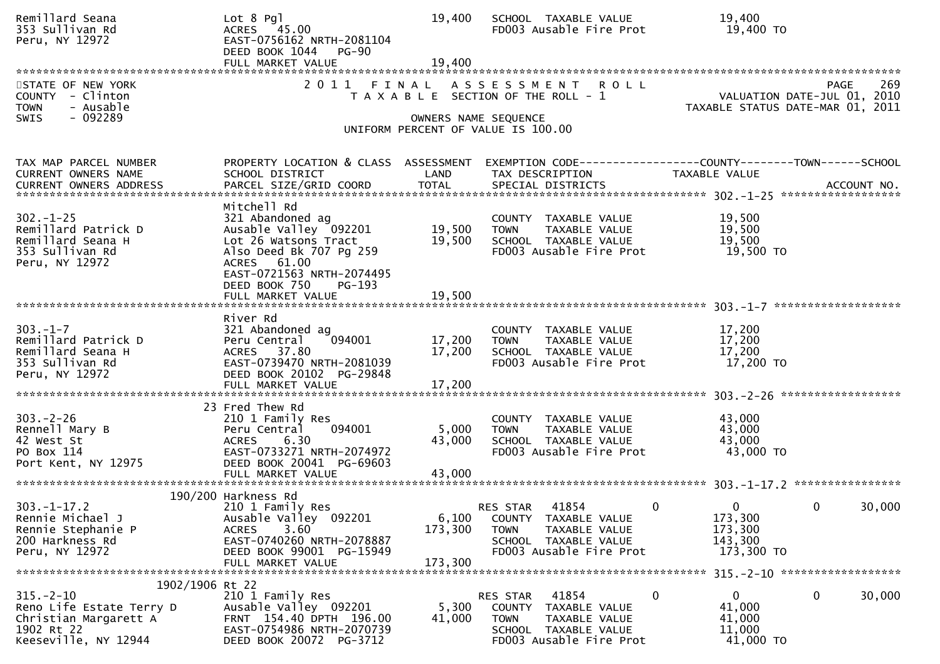| Remillard Seana<br>353 Sullivan Rd<br>Peru, NY 12972                                                       | $Lot 8$ Pql<br>ACRES 45.00<br>EAST-0756162 NRTH-2081104<br>DEED BOOK 1044 PG-90<br>FULL MARKET VALUE                                                                   | 19,400<br>19,400            | SCHOOL TAXABLE VALUE<br>FD003 Ausable Fire Prot                                                                                           | 19,400<br>19,400 TO                                                                                         |
|------------------------------------------------------------------------------------------------------------|------------------------------------------------------------------------------------------------------------------------------------------------------------------------|-----------------------------|-------------------------------------------------------------------------------------------------------------------------------------------|-------------------------------------------------------------------------------------------------------------|
| STATE OF NEW YORK<br>COUNTY - Clinton<br><b>TOWN</b><br>- Ausable<br>- 092289<br><b>SWIS</b>               | 2 0 1 1<br>FINAL                                                                                                                                                       |                             | A S S E S S M E N T<br><b>ROLL</b><br>T A X A B L E SECTION OF THE ROLL - 1<br>OWNERS NAME SEQUENCE<br>UNIFORM PERCENT OF VALUE IS 100.00 | 269<br><b>PAGE</b><br>VALUATION DATE-JUL 01, 2010<br>TAXABLE STATUS DATE-MAR 01, 2011                       |
| TAX MAP PARCEL NUMBER<br><b>CURRENT OWNERS NAME</b><br><b>CURRENT OWNERS ADDRESS</b>                       | PROPERTY LOCATION & CLASS ASSESSMENT<br>SCHOOL DISTRICT<br>PARCEL SIZE/GRID COORD                                                                                      | LAND<br><b>TOTAL</b>        | TAX DESCRIPTION<br>SPECIAL DISTRICTS                                                                                                      | TAXABLE VALUE<br>ACCOUNT NO.                                                                                |
| $302 - 1 - 25$<br>Remillard Patrick D<br>Remillard Seana H<br>353 Sullivan Rd<br>Peru, NY 12972            | Mitchell Rd<br>321 Abandoned ag<br>Ausable Valley 092201<br>Lot 26 Watsons Tract<br>Also Deed Bk 707 Pg 259<br>ACRES 61.00<br>EAST-0721563 NRTH-2074495                | 19,500<br>19,500            | COUNTY TAXABLE VALUE<br><b>TOWN</b><br>TAXABLE VALUE<br>SCHOOL TAXABLE VALUE<br>FD003 Ausable Fire Prot                                   | 19,500<br>19,500<br>19,500<br>19,500 TO                                                                     |
|                                                                                                            | DEED BOOK 750<br>PG-193                                                                                                                                                |                             |                                                                                                                                           | *******************                                                                                         |
| $303 - 1 - 7$<br>Remillard Patrick D<br>Remillard Seana H<br>353 Sullivan Rd<br>Peru, NY 12972             | River Rd<br>321 Abandoned ag<br>094001<br>Peru Central<br>ACRES 37.80<br>EAST-0739470 NRTH-2081039<br>DEED BOOK 20102 PG-29848<br>FULL MARKET VALUE                    | 17,200<br>17,200<br>17,200  | COUNTY TAXABLE VALUE<br>TAXABLE VALUE<br><b>TOWN</b><br>SCHOOL TAXABLE VALUE<br>FD003 Ausable Fire Prot                                   | 17,200<br>17,200<br>17,200<br>17,200 TO                                                                     |
| $303 - 2 - 26$<br>Rennell Mary B<br>42 West St<br>PO Box 114<br>Port Kent, NY 12975                        | 23 Fred Thew Rd<br>210 1 Family Res<br>094001<br>Peru Central<br>6.30<br><b>ACRES</b><br>EAST-0733271 NRTH-2074972<br>DEED BOOK 20041 PG-69603<br>FULL MARKET VALUE    | 5,000<br>43,000<br>43,000   | COUNTY TAXABLE VALUE<br>TAXABLE VALUE<br><b>TOWN</b><br>SCHOOL TAXABLE VALUE<br>FD003 Ausable Fire Prot                                   | 43,000<br>43,000<br>43,000<br>43,000 TO                                                                     |
| $303 - 1 - 17.2$<br>Rennie Michael J<br>Rennie Stephanie P<br>200 Harkness Rd<br>Peru, NY 12972            | 190/200 Harkness Rd<br>210 1 Family Res<br>Ausable Valley 092201<br>3.60<br><b>ACRES</b><br>EAST-0740260 NRTH-2078887<br>DEED BOOK 99001 PG-15949<br>FULL MARKET VALUE | 6,100<br>173,300<br>173,300 | 41854<br>RES STAR<br>COUNTY TAXABLE VALUE<br>TAXABLE VALUE<br><b>TOWN</b><br>SCHOOL TAXABLE VALUE<br>FD003 Ausable Fire Prot              | $\overline{0}$<br>30,000<br>$\overline{0}$<br>$\overline{0}$<br>173,300<br>173,300<br>143,300<br>173,300 TO |
| 1902/1906 Rt 22                                                                                            |                                                                                                                                                                        |                             |                                                                                                                                           |                                                                                                             |
| $315. - 2 - 10$<br>Reno Life Estate Terry D<br>Christian Margarett A<br>1902 Rt 22<br>Keeseville, NY 12944 | 210 1 Family Res<br>Ausable Valley 092201<br>FRNT 154.40 DPTH 196.00<br>EAST-0754986 NRTH-2070739<br>DEED BOOK 20072 PG-3712                                           | 5,300<br>41,000             | RES STAR<br>41854<br>COUNTY TAXABLE VALUE<br><b>TOWN</b><br>TAXABLE VALUE<br>SCHOOL TAXABLE VALUE<br>FD003 Ausable Fire Prot              | 0<br>$\mathbf{0}$<br>$\mathbf{0}$<br>30,000<br>41,000<br>41,000<br>11,000<br>41,000 TO                      |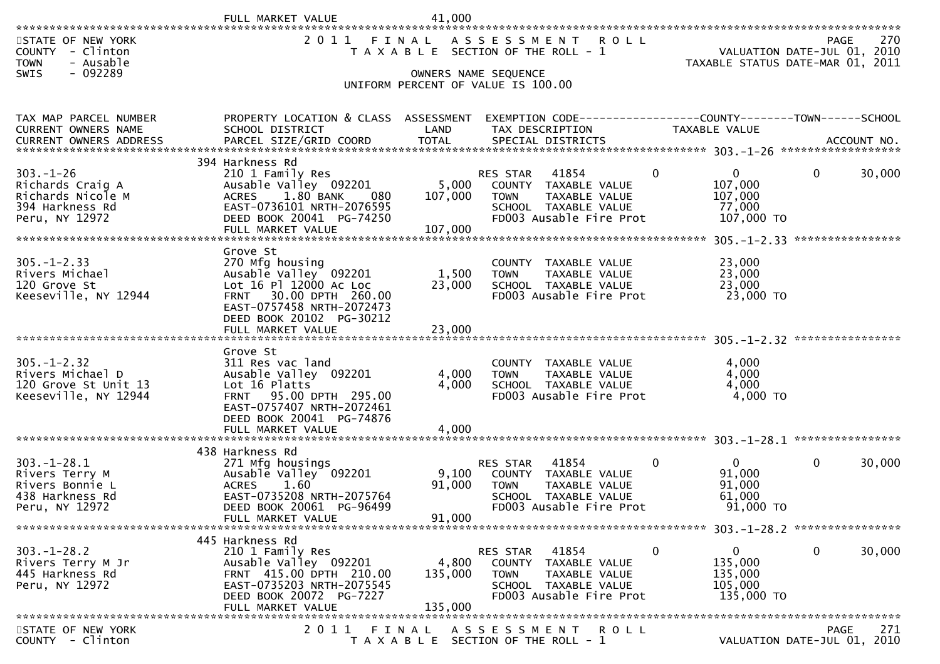|                                                                                               | FULL MARKET VALUE                                                                                                                                                                      | 41,000                      |                                                                                                                                     |                                                                             |                                                                                                                                                                                                                                              |
|-----------------------------------------------------------------------------------------------|----------------------------------------------------------------------------------------------------------------------------------------------------------------------------------------|-----------------------------|-------------------------------------------------------------------------------------------------------------------------------------|-----------------------------------------------------------------------------|----------------------------------------------------------------------------------------------------------------------------------------------------------------------------------------------------------------------------------------------|
| STATE OF NEW YORK<br>COUNTY - Clinton<br>- Ausable<br><b>TOWN</b><br>SWIS<br>$-092289$        |                                                                                                                                                                                        |                             | 2011 FINAL ASSESSMENT ROLL<br>T A X A B L E SECTION OF THE ROLL - 1<br>OWNERS NAME SEQUENCE                                         |                                                                             | 270<br><b>PAGE</b><br>VALUATION DATE-JUL 01, 2010<br>TAXABLE STATUS DATE-MAR 01, 2011                                                                                                                                                        |
|                                                                                               |                                                                                                                                                                                        |                             | UNIFORM PERCENT OF VALUE IS 100.00                                                                                                  |                                                                             |                                                                                                                                                                                                                                              |
| TAX MAP PARCEL NUMBER<br>CURRENT OWNERS NAME                                                  | PROPERTY LOCATION & CLASS ASSESSMENT<br>SCHOOL DISTRICT                                                                                                                                | LAND                        | TAX DESCRIPTION                                                                                                                     | TAXABLE VALUE                                                               |                                                                                                                                                                                                                                              |
| $303. - 1 - 26$<br>Richards Craig A<br>Richards Nicole M<br>394 Harkness Rd<br>Peru, NY 12972 | 394 Harkness Rd<br>210 1 Family Res<br>Ausable Valley 092201<br>ACRES 1.80 BANK<br>080<br>EAST-0736101 NRTH-2076595<br>DEED BOOK 20041 PG-74250<br>FULL MARKET VALUE                   | 5,000<br>107,000<br>107,000 | RES STAR<br>41854<br>COUNTY TAXABLE VALUE<br>TAXABLE VALUE<br>TOWN<br>SCHOOL TAXABLE VALUE<br>FD003 Ausable Fire Prot               | $\mathbf{0}$<br>0<br>107,000<br>107,000<br>77,000<br>107,000 TO             | $\mathbf{0}$<br>30,000<br>****************                                                                                                                                                                                                   |
| $305. - 1 - 2.33$<br>Rivers Michael<br>120 Grove St<br>Keeseville, NY 12944                   | Grove St<br>270 Mfg housing<br>Ausable Valley 092201<br>Lot 16 Pl 12000 Ac Loc<br>FRNT 30.00 DPTH 260.00<br>EAST-0757458 NRTH-2072473<br>DEED BOOK 20102 PG-30212<br>FULL MARKET VALUE | 1,500<br>23,000<br>23,000   | COUNTY TAXABLE VALUE<br><b>TOWN</b><br>TAXABLE VALUE<br>SCHOOL TAXABLE VALUE<br>FD003 Ausable Fire Prot                             | 23,000<br>23,000<br>23,000<br>23,000 TO                                     |                                                                                                                                                                                                                                              |
| $305. - 1 - 2.32$<br>Rivers Michael D<br>120 Grove St Unit 13<br>Keeseville, NY 12944         | Grove St<br>311 Res vac land<br>Ausable Valley 092201<br>Lot 16 Platts<br>FRNT 95.00 DPTH 295.00<br>EAST-0757407 NRTH-2072461<br>DEED BOOK 20041 PG-74876<br>FULL MARKET VALUE         | 4,000<br>4,000<br>4,000     | COUNTY TAXABLE VALUE<br>TAXABLE VALUE<br><b>TOWN</b><br>SCHOOL TAXABLE VALUE<br>FD003 Ausable Fire Prot                             | 4,000<br>4,000<br>4,000<br>4,000 TO                                         |                                                                                                                                                                                                                                              |
| $303. - 1 - 28.1$<br>Rivers Terry M<br>Rivers Bonnie L<br>438 Harkness Rd<br>Peru, NY 12972   | 438 Harkness Rd<br>271 Mfg housings<br>Ausable Valley 092201<br><b>ACRES</b><br>1.60<br>EAST-0735208 NRTH-2075764<br>DEED BOOK 20061 PG-96499<br>FULL MARKET VALUE                     | 9,100<br>91,000<br>91,000   | 41854<br><b>RES STAR</b><br>COUNTY TAXABLE VALUE<br><b>TOWN</b><br>TAXABLE VALUE<br>SCHOOL TAXABLE VALUE<br>FD003 Ausable Fire Prot | $\overline{0}$<br>0<br>91,000<br>91,000<br>61,000<br>91,000 TO              | $\mathbf{0}$<br>30,000                                                                                                                                                                                                                       |
| $303. - 1 - 28.2$<br>Rivers Terry M Jr<br>445 Harkness Rd<br>Peru, NY 12972                   | 445 Harkness Rd<br>210 1 Family Res<br>Ausable Valley 092201<br>FRNT 415.00 DPTH 210.00<br>EAST-0735203 NRTH-2075545<br>DEED BOOK 20072 PG-7227<br>FULL MARKET VALUE                   | 4,800<br>135,000<br>135,000 | 41854<br><b>RES STAR</b><br>COUNTY TAXABLE VALUE<br>TAXABLE VALUE<br><b>TOWN</b><br>SCHOOL TAXABLE VALUE<br>FD003 Ausable Fire Prot | $\mathbf{0}$<br>$\mathbf{0}$<br>135,000<br>135,000<br>105,000<br>135,000 TO | 0<br>30,000                                                                                                                                                                                                                                  |
| STATE OF NEW YORK<br>$C$ $N$ $N$ $T$ $V$ $C$ $\overline{S}$ $\overline{S}$ $\overline{S}$     | 2011                                                                                                                                                                                   | FINAL                       | <b>ROLL</b><br>A S S E S S M E N T                                                                                                  |                                                                             | 271<br>PAGE<br>$(1)$ $(1)$ $(1)$ $(1)$ $(1)$ $(1)$ $(1)$ $(1)$ $(1)$ $(1)$ $(1)$ $(1)$ $(1)$ $(1)$ $(1)$ $(1)$ $(1)$ $(1)$ $(1)$ $(1)$ $(1)$ $(1)$ $(1)$ $(1)$ $(1)$ $(1)$ $(1)$ $(1)$ $(1)$ $(1)$ $(1)$ $(1)$ $(1)$ $(1)$ $(1)$ $(1)$ $(1)$ |

COUNTY - Clinton T A X A B L E SECTION OF THE ROLL - 1 VALUATION DATE-JUL 01, 2010

VALUATION DATE-JUL 01, 2010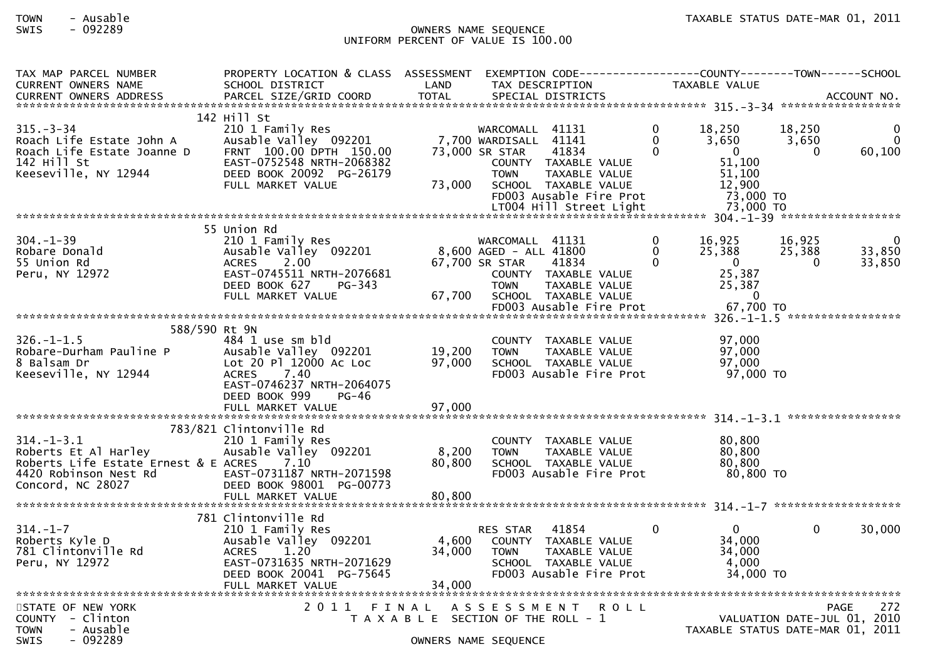## SWIS - 092289 OWNERS NAME SEQUENCE UNIFORM PERCENT OF VALUE IS 100.00

| TAX MAP PARCEL NUMBER<br><b>CURRENT OWNERS NAME</b>          | PROPERTY LOCATION & CLASS ASSESSMENT EXEMPTION CODE----------------COUNTY-------TOWN------SCHOOL<br>SCHOOL DISTRICT | LAND                                  |                                          | TAX DESCRIPTION                                 |                      | TAXABLE VALUE                    |                    |                                                   |
|--------------------------------------------------------------|---------------------------------------------------------------------------------------------------------------------|---------------------------------------|------------------------------------------|-------------------------------------------------|----------------------|----------------------------------|--------------------|---------------------------------------------------|
| <b>CURRENT OWNERS ADDRESS</b>                                | PARCEL SIZE/GRID COORD                                                                                              | <b>TOTAL</b>                          |                                          | SPECIAL DISTRICTS                               |                      |                                  |                    | ACCOUNT NO.                                       |
| $315. - 3 - 34$                                              | 142 Hill St<br>210 1 Family Res                                                                                     |                                       | WARCOMALL 41131                          |                                                 | $\Omega$             | 18,250                           | 18,250             |                                                   |
| Roach Life Estate John A<br>Roach Life Estate Joanne D       | Ausable Valley 092201<br>FRNT 100.00 DPTH 150.00                                                                    |                                       | 7,700 WARDISALL 41141<br>73,000 SR STAR  | 41834                                           | $\Omega$<br>$\Omega$ | 3,650<br>$\Omega$                | 3,650<br>$\Omega$  | $\Omega$<br>60,100                                |
| 142 Hill St<br>Keeseville, NY 12944                          | EAST-0752548 NRTH-2068382<br>DEED BOOK 20092 PG-26179                                                               |                                       | <b>TOWN</b>                              | COUNTY TAXABLE VALUE<br>TAXABLE VALUE           |                      | 51,100<br>51,100                 |                    |                                                   |
|                                                              | FULL MARKET VALUE                                                                                                   | 73,000                                |                                          | SCHOOL TAXABLE VALUE<br>FD003 Ausable Fire Prot |                      | 12,900<br>73,000 TO              |                    |                                                   |
|                                                              |                                                                                                                     |                                       |                                          | LT004 Hill Street Light                         |                      | 73,000 TO                        |                    |                                                   |
|                                                              | 55 Union Rd                                                                                                         |                                       |                                          |                                                 |                      |                                  |                    |                                                   |
| $304. - 1 - 39$                                              | 210 1 Family Res                                                                                                    |                                       | WARCOMALL 41131                          |                                                 | $\mathbf{0}$         | 16,925                           | 16,925             |                                                   |
| Robare Donald<br>55 Union Rd                                 | Ausable Valley 092201<br><b>ACRES</b><br>2.00                                                                       |                                       | 8,600 AGED - ALL 41800<br>67,700 SR STAR | 41834                                           | $\Omega$<br>$\Omega$ | 25,388<br>$\mathbf{0}$           | 25,388<br>$\Omega$ | 33,850<br>33,850                                  |
| Peru, NY 12972                                               | EAST-0745511 NRTH-2076681                                                                                           |                                       |                                          | COUNTY TAXABLE VALUE                            |                      | 25,387                           |                    |                                                   |
|                                                              | DEED BOOK 627<br>PG-343                                                                                             |                                       | <b>TOWN</b>                              | TAXABLE VALUE                                   |                      | 25,387                           |                    |                                                   |
|                                                              | FULL MARKET VALUE                                                                                                   | 67,700                                |                                          | SCHOOL TAXABLE VALUE                            |                      | $\mathbf{0}$                     |                    |                                                   |
|                                                              |                                                                                                                     |                                       |                                          |                                                 |                      |                                  |                    |                                                   |
| 588/590 Rt 9N                                                |                                                                                                                     |                                       |                                          |                                                 |                      |                                  |                    |                                                   |
| $326. - 1 - 1.5$                                             | 484 1 use sm bld                                                                                                    |                                       |                                          | COUNTY TAXABLE VALUE                            |                      | 97,000                           |                    |                                                   |
| Robare-Durham Pauline P<br>8 Balsam Dr                       | Ausable Valley 092201<br>Lot 20 Pl 12000 Ac Loc                                                                     | 19,200<br>97,000                      | <b>TOWN</b>                              | TAXABLE VALUE<br>SCHOOL TAXABLE VALUE           |                      | 97,000<br>97,000                 |                    |                                                   |
| Keeseville, NY 12944                                         | <b>ACRES</b><br>7.40                                                                                                |                                       |                                          | FD003 Ausable Fire Prot                         |                      | 97,000 TO                        |                    |                                                   |
|                                                              | EAST-0746237 NRTH-2064075                                                                                           |                                       |                                          |                                                 |                      |                                  |                    |                                                   |
|                                                              | DEED BOOK 999<br>PG-46                                                                                              |                                       |                                          |                                                 |                      |                                  |                    |                                                   |
|                                                              |                                                                                                                     |                                       |                                          |                                                 |                      |                                  |                    |                                                   |
|                                                              | 783/821 Clintonville Rd                                                                                             |                                       |                                          |                                                 |                      |                                  |                    |                                                   |
| $314. - 1 - 3.1$                                             | 210 1 Family Res                                                                                                    |                                       |                                          | COUNTY TAXABLE VALUE                            |                      | 80,800                           |                    |                                                   |
| Roberts Et Al Harley<br>Roberts Life Estate Ernest & E ACRES | Ausable Valley 092201<br>7.10                                                                                       | 8,200<br>80,800                       | <b>TOWN</b>                              | TAXABLE VALUE<br>SCHOOL TAXABLE VALUE           |                      | 80,800<br>80,800                 |                    |                                                   |
| 4420 Robinson Nest Rd                                        | EAST-0731187 NRTH-2071598                                                                                           |                                       |                                          | FD003 Ausable Fire Prot                         |                      | 80,800 TO                        |                    |                                                   |
| Concord, NC 28027                                            | DEED BOOK 98001 PG-00773                                                                                            |                                       |                                          |                                                 |                      |                                  |                    |                                                   |
|                                                              |                                                                                                                     |                                       |                                          |                                                 |                      |                                  |                    |                                                   |
|                                                              | 781 Clintonville Rd                                                                                                 |                                       |                                          |                                                 |                      |                                  |                    |                                                   |
| $314. - 1 - 7$                                               | 210 1 Family Res                                                                                                    |                                       | <b>RES STAR</b>                          | 41854                                           | $\Omega$             | $\mathbf{0}$                     | $\Omega$           | 30,000                                            |
| Roberts Kyle D                                               | Ausable Valley 092201                                                                                               | 4,600                                 |                                          | COUNTY TAXABLE VALUE                            |                      | 34,000                           |                    |                                                   |
| 781 Clintonville Rd<br>Peru, NY 12972                        | <b>ACRES</b><br>1.20<br>EAST-0731635 NRTH-2071629                                                                   | 34,000                                | <b>TOWN</b>                              | TAXABLE VALUE<br>SCHOOL TAXABLE VALUE           |                      | 34,000<br>4,000                  |                    |                                                   |
|                                                              | DEED BOOK 20041 PG-75645                                                                                            |                                       |                                          | FD003 Ausable Fire Prot                         |                      | 34,000 TO                        |                    |                                                   |
|                                                              |                                                                                                                     | 34,000                                |                                          |                                                 |                      |                                  |                    |                                                   |
|                                                              |                                                                                                                     |                                       |                                          |                                                 |                      |                                  |                    |                                                   |
| STATE OF NEW YORK<br>COUNTY - Clinton                        | 2011 FINAL                                                                                                          | T A X A B L E SECTION OF THE ROLL - 1 | ASSESSMENT                               | <b>ROLL</b>                                     |                      |                                  |                    | 272<br><b>PAGE</b><br>VALUATION DATE-JUL 01, 2010 |
| - Ausable<br><b>TOWN</b>                                     |                                                                                                                     |                                       |                                          |                                                 |                      | TAXABLE STATUS DATE-MAR 01, 2011 |                    |                                                   |
| <b>SWIS</b><br>- 092289                                      |                                                                                                                     |                                       | OWNERS NAME SEQUENCE                     |                                                 |                      |                                  |                    |                                                   |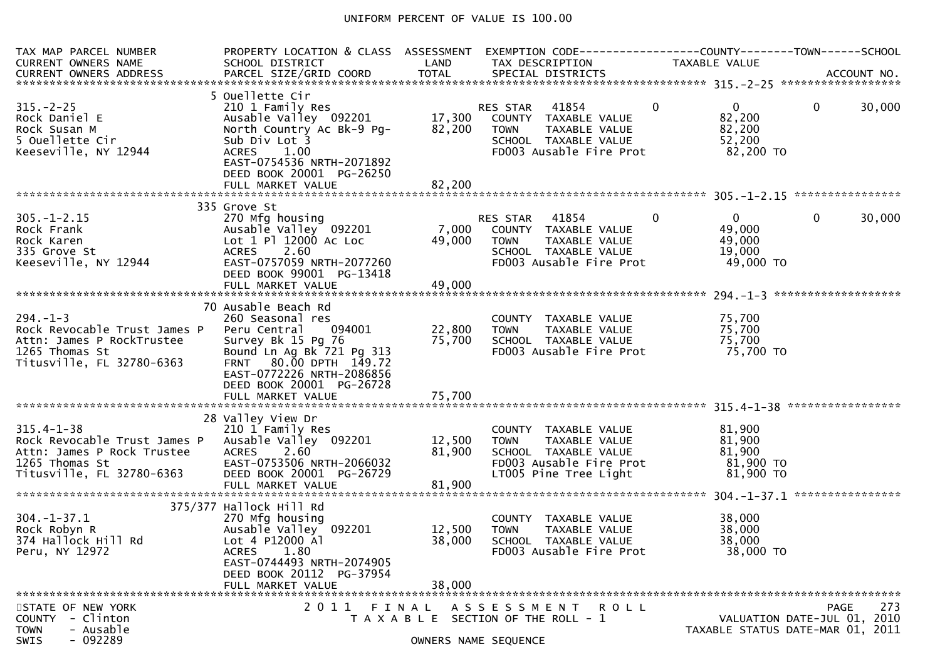### UNIFORM PERCENT OF VALUE IS 100.00

| TAX MAP PARCEL NUMBER<br><b>CURRENT OWNERS NAME</b>                                                                           | PROPERTY LOCATION & CLASS ASSESSMENT<br>SCHOOL DISTRICT                                                                                                                                                       | LAND                       | EXEMPTION CODE------------------COUNTY--------TOWN------SCHOOL<br>TAX DESCRIPTION                                                | TAXABLE VALUE                                                             |                                                                                       |
|-------------------------------------------------------------------------------------------------------------------------------|---------------------------------------------------------------------------------------------------------------------------------------------------------------------------------------------------------------|----------------------------|----------------------------------------------------------------------------------------------------------------------------------|---------------------------------------------------------------------------|---------------------------------------------------------------------------------------|
| $315. - 2 - 25$<br>Rock Daniel E<br>Rock Susan M<br>5 Ouellette Cir<br>Keeseville, NY 12944                                   | 5 Ouellette Cir<br>210 1 Family Res<br>Ausable Valley 092201 17,300<br>North Country Ac Bk-9 Pg-<br>Sub Div Lot 3<br>ACRES 1.00<br>EAST-0754536 NRTH-2071892<br>DEED BOOK 20001 PG-26250<br>FULL MARKET VALUE | 82,200<br>82,200           | RES STAR 41854<br>COUNTY TAXABLE VALUE<br><b>TOWN</b><br>TAXABLE VALUE<br>SCHOOL TAXABLE VALUE<br>FD003 Ausable Fire Prot        | $\mathbf{0}$<br>$\mathbf{0}$<br>82,200<br>82,200<br>52,200<br>82,200 TO   | $\mathbf{0}$<br>30,000                                                                |
|                                                                                                                               |                                                                                                                                                                                                               |                            |                                                                                                                                  |                                                                           |                                                                                       |
| $305. - 1 - 2.15$<br>Rock Frank<br>Rock Karen<br>335 Grove St<br>Keeseville, NY 12944                                         | 335 Grove St<br>270 Mfg housing<br>Ausable Valley 092201<br>Lot 1 Pl 12000 Ac Loc<br>2.60<br><b>ACRES</b><br>EAST-0757059 NRTH-2077260<br>DEED BOOK 99001 PG-13418<br>FULL MARKET VALUE                       | 7,000<br>49,000<br>49,000  | 41854<br>RES STAR<br>COUNTY TAXABLE VALUE<br>TAXABLE VALUE<br>TOWN<br>SCHOOL TAXABLE VALUE<br>FD003 Ausable Fire Prot            | $\overline{0}$<br>$\mathbf{0}$<br>49,000<br>49,000<br>19,000<br>49,000 TO | 30,000<br>0                                                                           |
|                                                                                                                               | 70 Ausable Beach Rd                                                                                                                                                                                           |                            |                                                                                                                                  |                                                                           |                                                                                       |
| $294. - 1 - 3$<br>Rock Revocable Trust James P<br>Attn: James P RockTrustee<br>1265 Thomas St<br>Titusville, FL 32780-6363    | 260 Seasonal res<br>Peru Central<br>094001<br>Survey Bk 15 Pg 76<br>Bound Ln Ag Bk 721 Pg 313<br>FRNT 80.00 DPTH 149.72<br>EAST-0772226 NRTH-2086856<br>DEED BOOK 20001 PG-26728<br>FULL MARKET VALUE         | 22,800<br>75,700<br>75,700 | COUNTY TAXABLE VALUE<br><b>TOWN</b><br>TAXABLE VALUE<br>SCHOOL TAXABLE VALUE<br>FD003 Ausable Fire Prot                          | 75,700<br>75,700<br>75,700<br>75,700 TO                                   |                                                                                       |
|                                                                                                                               | 28 Valley View Dr                                                                                                                                                                                             |                            |                                                                                                                                  |                                                                           |                                                                                       |
| $315.4 - 1 - 38$<br>Rock Revocable Trust James P<br>Attn: James P Rock Trustee<br>1265 Thomas St<br>Titusville, FL 32780-6363 | 210 1 Family Res<br>Ausable Valley 092201<br><b>ACRES</b><br>2.60<br>EAST-0753506 NRTH-2066032<br>DEED BOOK 20001 PG-26729<br>FULL MARKET VALUE                                                               | 12,500<br>81,900<br>81,900 | COUNTY TAXABLE VALUE<br><b>TOWN</b><br>TAXABLE VALUE<br>SCHOOL TAXABLE VALUE<br>FD003 Ausable Fire Prot<br>LT005 Pine Tree Light | 81,900<br>81,900<br>81,900<br>81,900 то<br>81,900 TO                      |                                                                                       |
|                                                                                                                               | 375/377 Hallock Hill Rd                                                                                                                                                                                       |                            |                                                                                                                                  |                                                                           |                                                                                       |
| $304. - 1 - 37.1$<br>Rock Robyn R<br>374 Hallock Hill Rd<br>Peru, NY 12972                                                    | 270 Mfg housing<br>Ausable Valley 092201<br>Lot 4 P12000 Al<br>ACRES 1.80<br>EAST-0744493 NRTH-2074905<br>DEED BOOK 20112 PG-37954                                                                            | 12,500<br>38,000           | COUNTY TAXABLE VALUE<br><b>TOWN</b><br>TAXABLE VALUE<br>SCHOOL TAXABLE VALUE<br>FD003 Ausable Fire Prot                          | 38,000<br>38,000<br>38,000<br>38,000 TO                                   |                                                                                       |
|                                                                                                                               | FULL MARKET VALUE                                                                                                                                                                                             | 38,000                     |                                                                                                                                  |                                                                           |                                                                                       |
| STATE OF NEW YORK<br>- Clinton<br><b>COUNTY</b><br>- Ausable<br><b>TOWN</b><br>$-092289$<br>SWIS                              | 2011                                                                                                                                                                                                          | FINAL                      | A S S E S S M E N T<br>R O L L<br>T A X A B L E SECTION OF THE ROLL - 1<br>OWNERS NAME SEQUENCE                                  |                                                                           | 273<br><b>PAGE</b><br>VALUATION DATE-JUL 01, 2010<br>TAXABLE STATUS DATE-MAR 01, 2011 |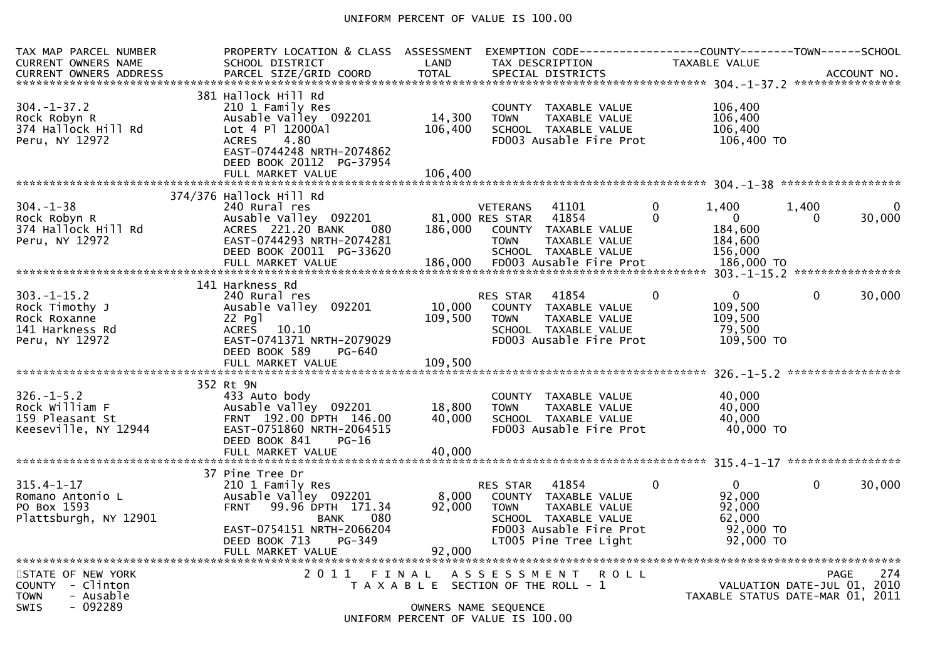### UNIFORM PERCENT OF VALUE IS 100.00

| TAX MAP PARCEL NUMBER<br><b>CURRENT OWNERS NAME</b>                                           | PROPERTY LOCATION & CLASS ASSESSMENT<br>SCHOOL DISTRICT                                                                                                                                      | LAND                         | TAX DESCRIPTION                                                                                                            |                                                            | EXEMPTION CODE------------------COUNTY--------TOWN------SCHOOL<br><b>TAXABLE VALUE</b> |                                                                        |                                                                         |     |
|-----------------------------------------------------------------------------------------------|----------------------------------------------------------------------------------------------------------------------------------------------------------------------------------------------|------------------------------|----------------------------------------------------------------------------------------------------------------------------|------------------------------------------------------------|----------------------------------------------------------------------------------------|------------------------------------------------------------------------|-------------------------------------------------------------------------|-----|
| $304. - 1 - 37.2$<br>Rock Robyn R<br>374 Hallock Hill Rd<br>Peru, NY 12972                    | 381 Hallock Hill Rd<br>210 1 Family Res<br>Ausable Valley 092201<br>Lot 4 Pl 12000Al<br>4.80<br><b>ACRES</b><br>EAST-0744248 NRTH-2074862<br>DEED BOOK 20112 PG-37954                        | 14,300<br>106,400<br>106,400 | COUNTY TAXABLE VALUE<br><b>TOWN</b><br>SCHOOL TAXABLE VALUE                                                                | TAXABLE VALUE<br>FD003 Ausable Fire Prot                   |                                                                                        | 106,400<br>106,400<br>106,400<br>106,400 TO                            |                                                                         |     |
|                                                                                               | FULL MARKET VALUE                                                                                                                                                                            |                              |                                                                                                                            |                                                            |                                                                                        |                                                                        |                                                                         |     |
| $304 - 1 - 38$<br>Rock Robyn R<br>374 Hallock Hill Rd<br>Peru, NY 12972                       | 374/376 Hallock Hill Rd<br>240 Rural res<br>Ausable Valley 092201<br>ACRES 221.20 BANK<br>080<br>EAST-0744293 NRTH-2074281<br>DEED BOOK 20011 PG-33620<br>FULL MARKET VALUE                  | 186,000<br>186,000           | <b>VETERANS</b><br>81,000 RES STAR<br>COUNTY TAXABLE VALUE<br><b>TOWN</b><br>SCHOOL TAXABLE VALUE                          | 41101<br>41854<br>TAXABLE VALUE<br>FD003 Ausable Fire Prot | $\mathbf{0}$<br>1.400<br>$\Omega$                                                      | 1,400<br>$\overline{0}$<br>184,600<br>184,600<br>156,000<br>186,000 TO | 30,000<br>$\Omega$                                                      |     |
|                                                                                               | 141 Harkness Rd                                                                                                                                                                              |                              |                                                                                                                            |                                                            |                                                                                        |                                                                        |                                                                         |     |
| $303. - 1 - 15.2$<br>Rock Timothy J<br>Rock Roxanne<br>141 Harkness Rd<br>Peru, NY 12972      | 240 Rural res<br>Ausable Valley 092201<br>$22$ Pg $1$<br>ACRES 10.10<br>EAST-0741371 NRTH-2079029<br>DEED BOOK 589<br>PG-640                                                                 | 10,000<br>109,500            | RES STAR<br>COUNTY TAXABLE VALUE<br><b>TOWN</b><br>SCHOOL TAXABLE VALUE                                                    | 41854<br>TAXABLE VALUE<br>FD003 Ausable Fire Prot          | $\Omega$                                                                               | $\mathbf{0}$<br>109,500<br>109,500<br>79.500<br>109,500 TO             | $\Omega$<br>30,000                                                      |     |
|                                                                                               |                                                                                                                                                                                              |                              |                                                                                                                            |                                                            |                                                                                        |                                                                        |                                                                         |     |
| $326. - 1 - 5.2$<br>Rock William F<br>159 Pleasant St<br>Keeseville, NY 12944                 | 352 Rt 9N<br>433 Auto body<br>Ausable Valley 092201<br>FRNT 192.00 DPTH 146.00<br>EAST-0751860 NRTH-2064515<br>DEED BOOK 841<br>$PG-16$                                                      | 18,800<br>40,000             | COUNTY TAXABLE VALUE<br><b>TOWN</b><br>SCHOOL TAXABLE VALUE                                                                | <b>TAXABLE VALUE</b><br>FD003 Ausable Fire Prot            |                                                                                        | 40,000<br>40,000<br>40,000<br>40,000 TO                                |                                                                         |     |
|                                                                                               | FULL MARKET VALUE                                                                                                                                                                            | 40,000                       |                                                                                                                            |                                                            |                                                                                        |                                                                        |                                                                         |     |
| $315.4 - 1 - 17$<br>Romano Antonio L<br>PO Box 1593<br>Plattsburgh, NY 12901                  | 37 Pine Tree Dr<br>210 1 Family Res<br>Ausable Valley 092201<br>99.96 DPTH 171.34<br><b>FRNT</b><br>080<br>BANK<br>EAST-0754151 NRTH-2066204<br>DEED BOOK 713<br>PG-349<br>FULL MARKET VALUE | 8,000<br>92,000<br>92,000    | <b>RES STAR</b><br>COUNTY TAXABLE VALUE<br><b>TOWN</b><br>SCHOOL TAXABLE VALUE<br>LT005 Pine Tree Light                    | 41854<br>TAXABLE VALUE<br>FD003 Ausable Fire Prot          | 0                                                                                      | $\Omega$<br>92.000<br>92,000<br>62,000<br>92,000 TO<br>92,000 TO       | $\mathbf{0}$<br>30,000                                                  |     |
| STATE OF NEW YORK<br>COUNTY - Clinton<br><b>TOWN</b><br>- Ausable<br>$-092289$<br><b>SWIS</b> | 2011 FINAL                                                                                                                                                                                   |                              | A S S E S S M E N T<br>T A X A B L E SECTION OF THE ROLL - 1<br>OWNERS NAME SEQUENCE<br>UNIFORM PERCENT OF VALUE IS 100.00 | <b>ROLL</b>                                                |                                                                                        |                                                                        | PAGE<br>VALUATION DATE-JUL 01, 2010<br>TAXABLE STATUS DATE-MAR 01, 2011 | 274 |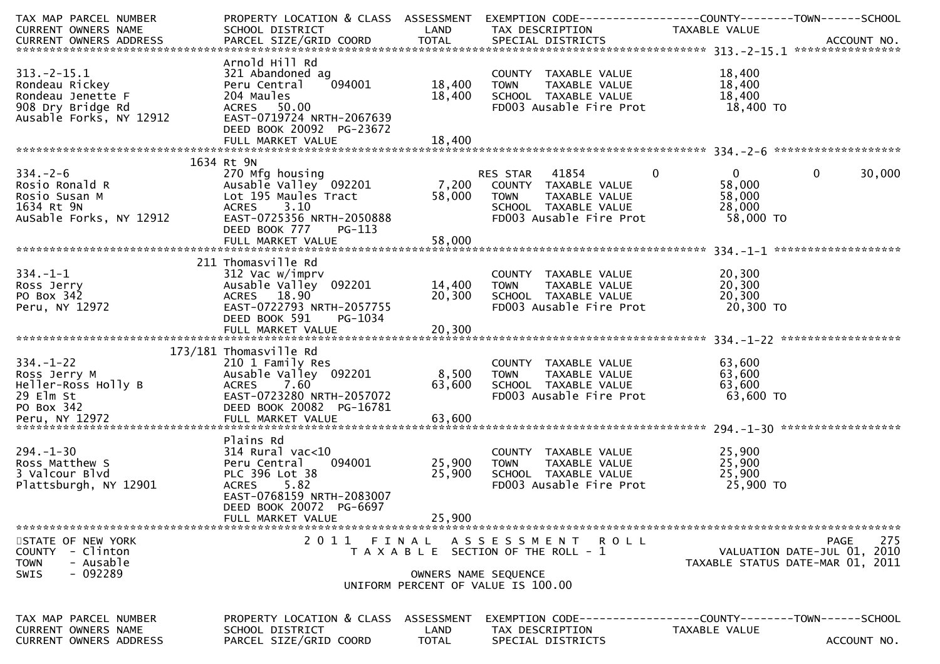| TAX MAP PARCEL NUMBER<br>CURRENT OWNERS NAME                                                                    | PROPERTY LOCATION & CLASS ASSESSMENT<br>SCHOOL DISTRICT                                                                                                                             | LAND                               | EXEMPTION CODE-----------------COUNTY-------TOWN------SCHOOL<br>TAX DESCRIPTION                                           | TAXABLE VALUE                                                            |                                                   |
|-----------------------------------------------------------------------------------------------------------------|-------------------------------------------------------------------------------------------------------------------------------------------------------------------------------------|------------------------------------|---------------------------------------------------------------------------------------------------------------------------|--------------------------------------------------------------------------|---------------------------------------------------|
| .CURRENT OWNERS ADDRESS PARCEL SIZE/GRID COORD TOTAL SPECIAL DISTRICTS ACCOUNT NO ACCOUNT NO ACCOUNT NO ACCOUNT |                                                                                                                                                                                     |                                    |                                                                                                                           |                                                                          |                                                   |
| $313.-2-15.1$<br>Rondeau Rickey<br>Rondeau Jenette F<br>908 Dry Bridge Rd<br>Ausable Forks, NY 12912            | Arnold Hill Rd<br>321 Abandoned ag<br>094001<br>Peru Central<br>204 Maules<br>ACRES 50.00<br>EAST-0719724 NRTH-2067639<br>DEED BOOK 20092 PG-23672                                  | 18,400<br>18,400                   | COUNTY TAXABLE VALUE<br>TAXABLE VALUE<br><b>TOWN</b><br>SCHOOL TAXABLE VALUE<br>FD003 Ausable Fire Prot                   | 18,400<br>18,400<br>18,400<br>18,400 TO                                  |                                                   |
|                                                                                                                 |                                                                                                                                                                                     |                                    |                                                                                                                           |                                                                          |                                                   |
| $334. - 2 - 6$<br>Rosio Ronald R<br>Rosio Susan M<br>1634 Rt 9N<br>AuSable Forks, NY 12912                      | 1634 Rt 9N<br>270 Mfg housing<br>Ausable Valley 092201<br>Lot 195 Maules Tract<br>3.10<br><b>ACRES</b><br>EAST-0725356 NRTH-2050888<br>DEED BOOK 777<br>PG-113<br>FULL MARKET VALUE | 7,200<br>58,000<br>58,000          | RES STAR 41854<br>COUNTY TAXABLE VALUE<br>TAXABLE VALUE<br><b>TOWN</b><br>SCHOOL TAXABLE VALUE<br>FD003 Ausable Fire Prot | $\mathbf 0$<br>$\overline{0}$<br>58,000<br>58,000<br>28,000<br>58,000 TO | 0<br>30,000                                       |
|                                                                                                                 |                                                                                                                                                                                     |                                    |                                                                                                                           |                                                                          |                                                   |
| $334. - 1 - 1$<br>Ross Jerry<br>PO Box 342<br>Peru, NY 12972                                                    | 211 Thomasville Rd<br>312 Vac w/imprv<br>Ausable Valley 092201<br>ACRES 18.90<br>EAST-0722793 NRTH-2057755<br>DEED BOOK 591<br>PG-1034                                              | 14,400<br>20,300                   | COUNTY TAXABLE VALUE<br>TAXABLE VALUE<br><b>TOWN</b><br>SCHOOL TAXABLE VALUE<br>FD003 Ausable Fire Prot                   | 20,300<br>20,300<br>20,300<br>20,300 TO                                  |                                                   |
|                                                                                                                 |                                                                                                                                                                                     |                                    |                                                                                                                           |                                                                          |                                                   |
| $334. - 1 - 22$<br>Ross Jerry M<br>Heller-Ross Holly B<br>29 Elm St<br>PO Box 342                               | 173/181 Thomasville Rd<br>210 1 Family Res<br>Ausable Valley 092201<br>ACRES 7.60<br>EAST-0723280 NRTH-2057072<br>DEED BOOK 20082 PG-16781                                          | 8,500<br>63,600                    | COUNTY TAXABLE VALUE<br><b>TOWN</b><br>TAXABLE VALUE<br>SCHOOL TAXABLE VALUE<br>FD003 Ausable Fire Prot                   | 63,600<br>63,600<br>63,600<br>63,600 TO                                  |                                                   |
|                                                                                                                 | Plains Rd                                                                                                                                                                           |                                    |                                                                                                                           |                                                                          |                                                   |
| $294. - 1 - 30$<br>Ross Matthew S<br>3 Valcour Blvd<br>Plattsburgh, NY 12901                                    | $314$ Rural vac<10<br>Peru Central<br>094001<br>PLC 396 Lot 38<br>ACRES 5.82<br>EAST-0768159 NRTH-2083007<br>DEED BOOK 20072 PG-6697                                                | 25,900<br>25,900                   | COUNTY TAXABLE VALUE<br><b>TOWN</b><br>TAXABLE VALUE<br>SCHOOL TAXABLE VALUE<br>FD003 Ausable Fire Prot                   | 25,900<br>25,900<br>25,900<br>25,900 TO                                  |                                                   |
|                                                                                                                 | FULL MARKET VALUE                                                                                                                                                                   | 25,900                             |                                                                                                                           |                                                                          |                                                   |
| STATE OF NEW YORK<br>- Clinton<br>COUNTY<br>- Ausable<br><b>TOWN</b><br>- 092289<br><b>SWIS</b>                 | 2011 FINAL                                                                                                                                                                          | OWNERS NAME SEQUENCE               | ASSESSMENT ROLL<br>T A X A B L E SECTION OF THE ROLL - 1                                                                  | TAXABLE STATUS DATE-MAR 01, 2011                                         | 275<br><b>PAGE</b><br>VALUATION DATE-JUL 01, 2010 |
|                                                                                                                 |                                                                                                                                                                                     |                                    | UNIFORM PERCENT OF VALUE IS 100.00                                                                                        |                                                                          |                                                   |
| TAX MAP PARCEL NUMBER<br>CURRENT OWNERS NAME<br><b>CURRENT OWNERS ADDRESS</b>                                   | PROPERTY LOCATION & CLASS<br>SCHOOL DISTRICT<br>PARCEL SIZE/GRID COORD                                                                                                              | ASSESSMENT<br>LAND<br><b>TOTAL</b> | TAX DESCRIPTION<br>SPECIAL DISTRICTS                                                                                      | TAXABLE VALUE                                                            | ACCOUNT NO.                                       |
|                                                                                                                 |                                                                                                                                                                                     |                                    |                                                                                                                           |                                                                          |                                                   |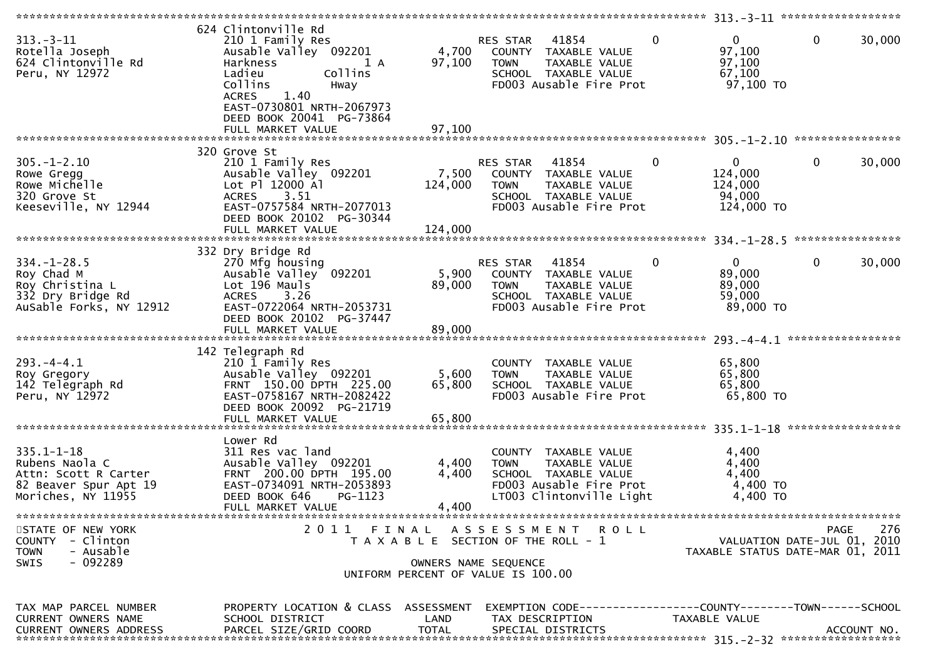| $313 - 3 - 11$<br>Rotella Joseph<br>624 Clintonville Rd<br>Peru, NY 12972                                 | 624 Clintonville Rd<br>210 1 Family Res<br>Ausable Valley 092201<br>Harkness<br>1 A<br>Ladieu<br>Collins<br>Collins<br>Hway<br>1.40<br><b>ACRES</b><br>EAST-0730801 NRTH-2067973<br>DEED BOOK 20041 PG-73864<br>FULL MARKET VALUE | 4,700<br>97,100<br>97,100   | RES STAR<br>41854<br>COUNTY TAXABLE VALUE<br>TAXABLE VALUE<br><b>TOWN</b><br>SCHOOL TAXABLE VALUE<br>FD003 Ausable Fire Prot           | $\mathbf{0}$<br>$\overline{0}$<br>97,100<br>97,100<br>67,100<br>97,100 TO | $\mathbf 0$<br>30,000                                                          |
|-----------------------------------------------------------------------------------------------------------|-----------------------------------------------------------------------------------------------------------------------------------------------------------------------------------------------------------------------------------|-----------------------------|----------------------------------------------------------------------------------------------------------------------------------------|---------------------------------------------------------------------------|--------------------------------------------------------------------------------|
|                                                                                                           |                                                                                                                                                                                                                                   |                             |                                                                                                                                        |                                                                           |                                                                                |
| $305. - 1 - 2.10$<br>Rowe Gregg<br>Rowe Michelle<br>320 Grove St<br>Keeseville, NY 12944                  | 320 Grove St<br>210 1 Family Res<br>Ausable Valley 092201<br>Lot Pl 12000 Al<br>3.51<br><b>ACRES</b><br>EAST-0757584 NRTH-2077013<br>DEED BOOK 20102 PG-30344<br>FULL MARKET VALUE                                                | 7,500<br>124,000<br>124,000 | 41854<br><b>RES STAR</b><br>COUNTY TAXABLE VALUE<br><b>TOWN</b><br>TAXABLE VALUE<br>SCHOOL TAXABLE VALUE<br>FD003 Ausable Fire Prot    | $\mathbf{0}$<br>0<br>124,000<br>124,000<br>94,000<br>124,000 TO           | 30,000<br>0                                                                    |
|                                                                                                           |                                                                                                                                                                                                                                   |                             |                                                                                                                                        |                                                                           |                                                                                |
| $334. - 1 - 28.5$<br>Roy Chad M<br>Roy Christina L<br>332 Dry Bridge Rd<br>AuSable Forks, NY 12912        | 332 Dry Bridge Rd<br>270 Mfg housing<br>Ausable Valley 092201<br>Lot 196 Mauls<br><b>ACRES</b><br>3.26<br>EAST-0722064 NRTH-2053731<br>DEED BOOK 20102 PG-37447<br>FULL MARKET VALUE                                              | 5,900<br>89,000<br>89,000   | RES STAR<br>41854<br>COUNTY TAXABLE VALUE<br>TAXABLE VALUE<br><b>TOWN</b><br>SCHOOL TAXABLE VALUE<br>FD003 Ausable Fire Prot           | $\mathbf 0$<br>$\mathbf{0}$<br>89,000<br>89,000<br>59,000<br>89,000 TO    | 0<br>30,000                                                                    |
|                                                                                                           |                                                                                                                                                                                                                                   |                             |                                                                                                                                        |                                                                           |                                                                                |
| $293. -4 - 4.1$<br>Roy Gregory<br>142 Telegraph Rd<br>Peru, NY 12972                                      | 142 Telegraph Rd<br>210 1 Family Res<br>Ausable Valley 092201<br>FRNT 150.00 DPTH 225.00<br>EAST-0758167 NRTH-2082422<br>DEED BOOK 20092 PG-21719<br>FULL MARKET VALUE                                                            | 5,600<br>65,800<br>65,800   | COUNTY TAXABLE VALUE<br>TAXABLE VALUE<br><b>TOWN</b><br>SCHOOL TAXABLE VALUE<br>FD003 Ausable Fire Prot                                | 65,800<br>65,800<br>65,800<br>65,800 TO                                   |                                                                                |
|                                                                                                           | Lower Rd                                                                                                                                                                                                                          |                             |                                                                                                                                        |                                                                           |                                                                                |
| $335.1 - 1 - 18$<br>Rubens Naola C<br>Attn: Scott R Carter<br>82 Beaver Spur Apt 19<br>Moriches, NY 11955 | 311 Res vac land<br>Ausable Valley 092201<br>FRNT 200.00 DPTH 195.00<br>EAST-0734091 NRTH-2053893<br>DEED BOOK 646<br>PG-1123<br>FULL MARKET VALUE                                                                                | 4,400<br>4,400<br>4,400     | COUNTY<br>TAXABLE VALUE<br><b>TOWN</b><br>TAXABLE VALUE<br>SCHOOL TAXABLE VALUE<br>FD003 Ausable Fire Prot<br>LT003 Clintonville Light | 4,400<br>4,400<br>4,400<br>4,400 TO<br>4,400 TO                           |                                                                                |
| STATE OF NEW YORK<br><b>COUNTY</b><br>- Clinton<br><b>TOWN</b><br>- Ausable<br>$-092289$<br>SWIS          | 2011 FINAL                                                                                                                                                                                                                        |                             | A S S E S S M E N T R O L L<br>T A X A B L E SECTION OF THE ROLL - 1<br>OWNERS NAME SEQUENCE                                           |                                                                           | 276<br>PAGE<br>VALUATION DATE-JUL 01, 2010<br>TAXABLE STATUS DATE-MAR 01, 2011 |
|                                                                                                           |                                                                                                                                                                                                                                   |                             | UNIFORM PERCENT OF VALUE IS 100.00                                                                                                     |                                                                           |                                                                                |
| TAX MAP PARCEL NUMBER<br>CURRENT OWNERS NAME<br><b>CURRENT OWNERS ADDRESS</b>                             | PROPERTY LOCATION & CLASS ASSESSMENT<br>SCHOOL DISTRICT<br>PARCEL SIZE/GRID COORD                                                                                                                                                 | LAND<br><b>TOTAL</b>        | EXEMPTION CODE------------------COUNTY--------TOWN------SCHOOL<br>TAX DESCRIPTION<br>SPECIAL DISTRICTS                                 | TAXABLE VALUE                                                             | ACCOUNT NO.                                                                    |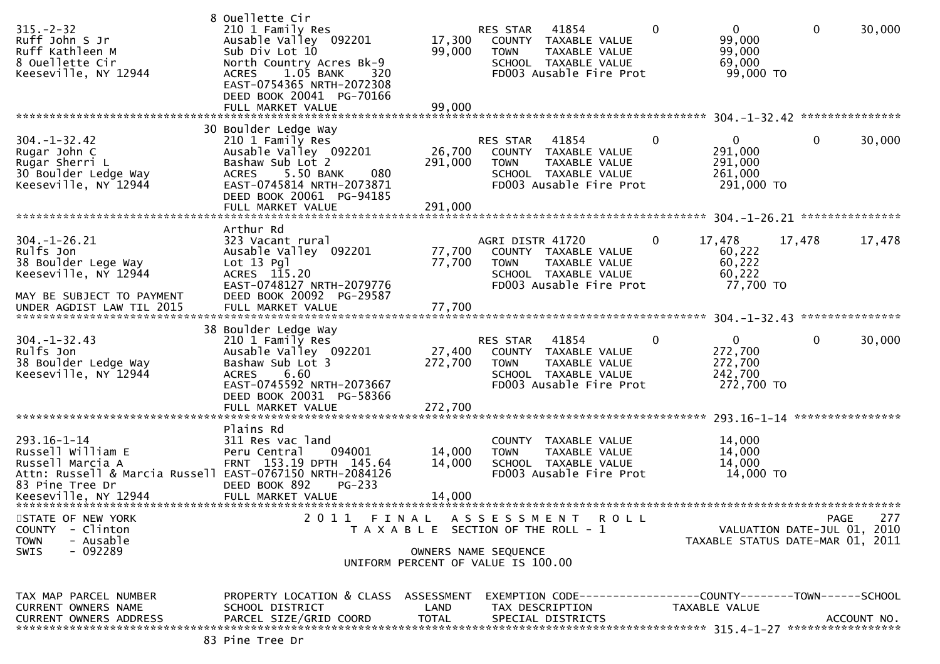| $315 - 2 - 32$<br>Ruff John S Jr<br>Ruff Kathleen M<br>8 Ouellette Cir<br>Keeseville, NY 12944                                                                    | 8 Ouellette Cir<br>210 1 Family Res<br>Ausable Valley 092201<br>Sub Div Lot 10<br>North Country Acres Bk-9<br>$1.05$ BANK<br><b>ACRES</b><br>320<br>EAST-0754365 NRTH-2072308<br>DEED BOOK 20041 PG-70166<br>FULL MARKET VALUE | 17,300<br>99,000<br>99,000   | RES STAR 41854<br>COUNTY TAXABLE VALUE<br>TAXABLE VALUE<br><b>TOWN</b><br>SCHOOL TAXABLE VALUE<br>FD003 Ausable Fire Prot                 | 0<br>$\mathbf{0}$<br>99,000<br>99,000<br>69,000<br>99,000 TO       | $\mathbf 0$<br>30,000                                                                 |
|-------------------------------------------------------------------------------------------------------------------------------------------------------------------|--------------------------------------------------------------------------------------------------------------------------------------------------------------------------------------------------------------------------------|------------------------------|-------------------------------------------------------------------------------------------------------------------------------------------|--------------------------------------------------------------------|---------------------------------------------------------------------------------------|
| $304. - 1 - 32.42$<br>Rugar John C<br>Rugar Sherri L<br>30 Boulder Ledge Way<br>Keeseville, NY 12944                                                              | 30 Boulder Ledge Way<br>210 1 Family Res<br>Ausable Valley 092201<br>Bashaw Sub Lot 2<br>5.50 BANK<br><b>ACRES</b><br>080<br>EAST-0745814 NRTH-2073871<br>DEED BOOK 20061 PG-94185<br>FULL MARKET VALUE                        | 26,700<br>291,000<br>291,000 | 41854<br>RES STAR<br>COUNTY TAXABLE VALUE<br><b>TOWN</b><br>TAXABLE VALUE<br>SCHOOL TAXABLE VALUE<br>FD003 Ausable Fire Prot              | 0<br>$\overline{0}$<br>291,000<br>291,000<br>261,000<br>291,000 TO | $\mathbf{0}$<br>30,000                                                                |
| $304. - 1 - 26.21$<br>Rulfs Jon<br>38 Boulder Lege Way<br>Keeseville, NY 12944<br>MAY BE SUBJECT TO PAYMENT<br>UNDER AGDIST LAW TIL 2015                          | Arthur Rd<br>323 Vacant rural<br>Ausable Valley 092201<br>$Lot 13$ Pgl<br>ACRES 115.20<br>EAST-0748127 NRTH-2079776<br>DEED BOOK 20092 PG-29587                                                                                | 77,700<br>77,700             | AGRI DISTR 41720<br>COUNTY TAXABLE VALUE<br><b>TOWN</b><br>TAXABLE VALUE<br>SCHOOL TAXABLE VALUE<br>FD003 Ausable Fire Prot               | 17,478<br>0<br>60,222<br>60,222<br>60,222<br>77,700 TO             | 17,478<br>17,478                                                                      |
| $304. - 1 - 32.43$<br>Rulfs Jon<br>38 Boulder Ledge Way<br>Keeseville, NY 12944                                                                                   | 38 Boulder Ledge Way<br>210 1 Family Res<br>Ausable Valley 092201<br>Bashaw Sub Lot 3<br>6.60<br><b>ACRES</b><br>EAST-0745592 NRTH-2073667<br>DEED BOOK 20031 PG-58366                                                         | 27,400<br>272,700            | 41854<br>RES STAR<br>COUNTY TAXABLE VALUE<br><b>TOWN</b><br>TAXABLE VALUE<br>SCHOOL TAXABLE VALUE<br>FD003 Ausable Fire Prot              | $\mathbf{0}$<br>0<br>272,700<br>272,700<br>242,700<br>272,700 TO   | $\mathbf{0}$<br>30,000                                                                |
| $293.16 - 1 - 14$<br>Russell William E<br>Russell Marcia A<br>Attn: Russell & Marcia Russell EAST-0767150 NRTH-2084126<br>83 Pine Tree Dr<br>Keeseville, NY 12944 | Plains Rd<br>311 Res vac land<br>094001<br>Peru Central<br>FRNT 153.19 DPTH 145.64<br>DEED BOOK 892<br>$PG-233$<br>FULL MARKET VALUE                                                                                           | 14,000<br>14,000<br>14,000   | COUNTY TAXABLE VALUE<br>TAXABLE VALUE<br><b>TOWN</b><br>SCHOOL TAXABLE VALUE<br>FD003 Ausable Fire Prot                                   | 14,000<br>14,000<br>14,000<br>14,000 TO                            |                                                                                       |
| STATE OF NEW YORK<br>- Clinton<br><b>COUNTY</b><br>- Ausable<br><b>TOWN</b><br>$-092289$<br>SWIS                                                                  | 2011 FINAL                                                                                                                                                                                                                     |                              | A S S E S S M E N T<br><b>ROLL</b><br>T A X A B L E SECTION OF THE ROLL - 1<br>OWNERS NAME SEQUENCE<br>UNIFORM PERCENT OF VALUE IS 100.00 |                                                                    | 277<br><b>PAGE</b><br>VALUATION DATE-JUL 01, 2010<br>TAXABLE STATUS DATE-MAR 01, 2011 |
| TAX MAP PARCEL NUMBER<br><b>CURRENT OWNERS NAME</b><br><b>CURRENT OWNERS ADDRESS</b>                                                                              | PROPERTY LOCATION & CLASS ASSESSMENT<br>SCHOOL DISTRICT<br>PARCEL SIZE/GRID COORD                                                                                                                                              | LAND<br><b>TOTAL</b>         | TAX DESCRIPTION<br>SPECIAL DISTRICTS                                                                                                      | TAXABLE VALUE                                                      | ACCOUNT NO.                                                                           |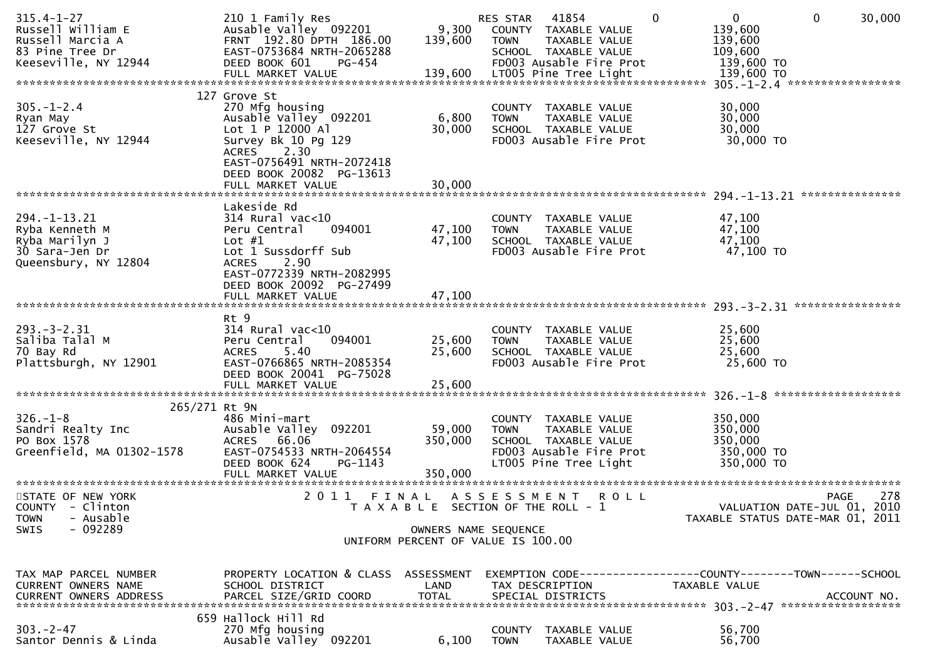| $315.4 - 1 - 27$<br>Russell William E<br>Russell Marcia A<br>83 Pine Tree Dr<br>Keeseville, NY 12944 | 210 1 Family Res<br>Ausable Valley 092201<br>FRNT 192.80 DPTH 186.00<br>EAST-0753684 NRTH-2065288<br>DEED BOOK 601<br>PG-454                                               | 9,300<br>139,600                                           | RES STAR<br><b>TOWN</b>      | 41854<br>COUNTY TAXABLE VALUE<br>TAXABLE VALUE<br>SCHOOL TAXABLE VALUE<br>FD003 Ausable Fire Prot                 | $\Omega$    | $\overline{0}$<br>139,600<br>139,600<br>109,600<br>139,600 TO   | $\mathbf{0}$ | 30,000      |
|------------------------------------------------------------------------------------------------------|----------------------------------------------------------------------------------------------------------------------------------------------------------------------------|------------------------------------------------------------|------------------------------|-------------------------------------------------------------------------------------------------------------------|-------------|-----------------------------------------------------------------|--------------|-------------|
|                                                                                                      |                                                                                                                                                                            |                                                            |                              |                                                                                                                   |             |                                                                 |              |             |
| $305. - 1 - 2.4$<br>Ryan May<br>127 Grove St<br>Keeseville, NY 12944                                 | 127 Grove St<br>270 Mfg housing<br>Ausable Valley 092201<br>Lot 1 P 12000 Al<br>Survey Bk 10 Pg 129<br>ACRES 2.30<br>EAST-0756491 NRTH-2072418<br>DEED BOOK 20082 PG-13613 | 6,800<br>30,000                                            | <b>TOWN</b>                  | COUNTY TAXABLE VALUE<br>TAXABLE VALUE<br>SCHOOL TAXABLE VALUE<br>FD003 Ausable Fire Prot                          |             | 30,000<br>30,000<br>30,000<br>30,000 TO                         |              |             |
|                                                                                                      | Lakeside Rd                                                                                                                                                                |                                                            |                              |                                                                                                                   |             |                                                                 |              |             |
| $294. -1 - 13.21$<br>Ryba Kenneth M<br>Ryba Marilyn J<br>30 Sara-Jen Dr<br>Queensbury, NY 12804      | $314$ Rural vac< $10$<br>094001<br>Peru Central<br>Lot $#1$<br>Lot 1 Sussdorff Sub<br><b>ACRES</b><br>2.90<br>EAST-0772339 NRTH-2082995<br>DEED BOOK 20092 PG-27499        | 47,100<br>47,100                                           | <b>TOWN</b>                  | COUNTY TAXABLE VALUE<br>TAXABLE VALUE<br>SCHOOL TAXABLE VALUE<br>FD003 Ausable Fire Prot                          |             | 47,100<br>47,100<br>47,100<br>47,100 TO                         |              |             |
|                                                                                                      | FULL MARKET VALUE                                                                                                                                                          | 47,100                                                     |                              |                                                                                                                   |             |                                                                 |              |             |
| $293. -3 - 2.31$<br>Saliba Talal M<br>70 Bay Rd<br>Plattsburgh, NY 12901                             | Rt 9<br>$314$ Rural vac<10<br>094001<br>Peru Central<br>5.40<br><b>ACRES</b><br>EAST-0766865 NRTH-2085354<br>DEED BOOK 20041 PG-75028<br>FULL MARKET VALUE                 | 25,600<br>25,600<br>25,600                                 | <b>TOWN</b>                  | COUNTY TAXABLE VALUE<br>TAXABLE VALUE<br>SCHOOL TAXABLE VALUE<br>FD003 Ausable Fire Prot                          |             | 25,600<br>25,600<br>25,600<br>25,600 TO                         |              |             |
| 265/271 Rt 9N                                                                                        |                                                                                                                                                                            |                                                            |                              |                                                                                                                   |             |                                                                 |              |             |
| $326. - 1 - 8$<br>Sandri Realty Inc<br>PO Box 1578<br>Greenfield, MA 01302-1578                      | 486 Mini-mart<br>Ausable Valley 092201<br>ACRES 66.06<br>EAST-0754533 NRTH-2064554<br>DEED BOOK 624<br>PG-1143                                                             | 59,000<br>350,000                                          | <b>TOWN</b>                  | COUNTY TAXABLE VALUE<br>TAXABLE VALUE<br>SCHOOL TAXABLE VALUE<br>FD003 Ausable Fire Prot<br>LT005 Pine Tree Light |             | 350,000<br>350,000<br>350,000<br>350,000 TO<br>350,000 TO       |              |             |
| STATE OF NEW YORK                                                                                    | FINAL<br>2011                                                                                                                                                              |                                                            | A S S E S S M E N T          |                                                                                                                   | <b>ROLL</b> |                                                                 | <b>PAGE</b>  | 278         |
| COUNTY - Clinton<br>- Ausable<br><b>TOWN</b>                                                         |                                                                                                                                                                            | T A X A B L E SECTION OF THE ROLL - 1                      |                              |                                                                                                                   |             | VALUATION DATE-JUL 01, 2010<br>TAXABLE STATUS DATE-MAR 01, 2011 |              |             |
| $-092289$<br><b>SWIS</b>                                                                             |                                                                                                                                                                            | OWNERS NAME SEQUENCE<br>UNIFORM PERCENT OF VALUE IS 100.00 |                              |                                                                                                                   |             |                                                                 |              |             |
| TAX MAP PARCEL NUMBER<br><b>CURRENT OWNERS NAME</b><br><b>CURRENT OWNERS ADDRESS</b>                 | PROPERTY LOCATION & CLASS<br>SCHOOL DISTRICT<br>PARCEL SIZE/GRID COORD                                                                                                     | ASSESSMENT<br>LAND<br><b>TOTAL</b>                         |                              | TAX DESCRIPTION<br>SPECIAL DISTRICTS                                                                              |             | TAXABLE VALUE                                                   |              | ACCOUNT NO. |
| $303 - 2 - 47$<br>Santor Dennis & Linda                                                              | 659 Hallock Hill Rd<br>270 Mfg housing<br>Ausable Valley 092201                                                                                                            | 6,100                                                      | <b>COUNTY</b><br><b>TOWN</b> | TAXABLE VALUE<br>TAXABLE VALUE                                                                                    |             | 56,700<br>56,700                                                |              |             |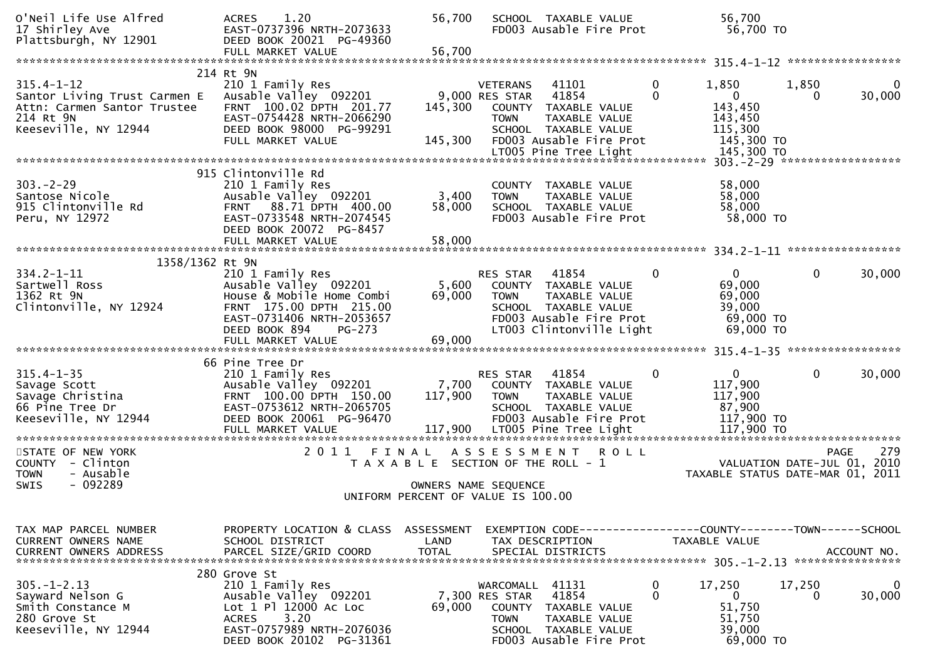| O'Neil Life Use Alfred<br>17 Shirley Ave<br>Plattsburgh, NY 12901                                                    | 1.20<br><b>ACRES</b><br>EAST-0737396 NRTH-2073633<br>DEED BOOK 20021 PG-49360<br>FULL MARKET VALUE                                                                                | 56,700<br>56,700                                                                                    |                                                             | SCHOOL TAXABLE VALUE<br>FD003 Ausable Fire Prot                                                                               |                  | 56,700<br>56,700 TO                                                    |                       |                    |
|----------------------------------------------------------------------------------------------------------------------|-----------------------------------------------------------------------------------------------------------------------------------------------------------------------------------|-----------------------------------------------------------------------------------------------------|-------------------------------------------------------------|-------------------------------------------------------------------------------------------------------------------------------|------------------|------------------------------------------------------------------------|-----------------------|--------------------|
|                                                                                                                      |                                                                                                                                                                                   |                                                                                                     |                                                             |                                                                                                                               |                  |                                                                        |                       |                    |
| $315.4 - 1 - 12$<br>Santor Living Trust Carmen E<br>Attn: Carmen Santor Trustee<br>214 Rt 9N<br>Keeseville, NY 12944 | 214 Rt 9N<br>210 1 Family Res<br>Ausable Valley 092201<br>FRNT 100.02 DPTH 201.77<br>EAST-0754428 NRTH-2066290<br>DEED BOOK 98000 PG-99291<br>FULL MARKET VALUE                   | 145,300<br>145,300                                                                                  | <b>VETERANS</b><br>9,000 RES STAR<br><b>TOWN</b>            | 41101<br>41854<br>COUNTY TAXABLE VALUE<br>TAXABLE VALUE<br>SCHOOL TAXABLE VALUE<br>FD003 Ausable Fire Prot                    | 0<br>0           | 1,850<br>$\mathbf{0}$<br>143,450<br>143,450<br>115,300<br>145,300 TO   | 1,850<br>$\mathbf{0}$ | 0<br>30,000        |
|                                                                                                                      |                                                                                                                                                                                   |                                                                                                     |                                                             |                                                                                                                               |                  |                                                                        |                       |                    |
| $303 - 2 - 29$<br>Santose Nicole<br>915 Clintonville Rd<br>Peru, NY 12972                                            | 915 Clintonville Rd<br>210 1 Family Res<br>Ausable Valley 092201<br>FRNT 88.71 DPTH 400.00<br>EAST-0733548 NRTH-2074545<br>DEED BOOK 20072 PG-8457<br>FULL MARKET VALUE           | 3,400<br>58,000<br>58,000                                                                           | <b>TOWN</b>                                                 | COUNTY TAXABLE VALUE<br>TAXABLE VALUE<br>SCHOOL TAXABLE VALUE<br>FD003 Ausable Fire Prot                                      |                  | 58,000<br>58,000<br>58,000<br>58,000 TO                                |                       |                    |
|                                                                                                                      |                                                                                                                                                                                   |                                                                                                     |                                                             |                                                                                                                               |                  |                                                                        |                       |                    |
| 1358/1362 Rt 9N                                                                                                      |                                                                                                                                                                                   |                                                                                                     |                                                             |                                                                                                                               |                  |                                                                        |                       |                    |
| $334.2 - 1 - 11$<br>Sartwell Ross<br>1362 Rt 9N<br>Clintonville, NY 12924                                            | 210 1 Family Res<br>Ausable Valley 092201<br>House & Mobile Home Combi<br>FRNT 175.00 DPTH 215.00<br>EAST-0731406 NRTH-2053657<br>DEED BOOK 894<br>PG-273                         | 5,600<br>69,000                                                                                     | RES STAR<br><b>TOWN</b>                                     | 41854<br>COUNTY TAXABLE VALUE<br>TAXABLE VALUE<br>SCHOOL TAXABLE VALUE<br>FD003 Ausable Fire Prot<br>LT003 Clintonville Light | 0                | $\overline{0}$<br>69,000<br>69,000<br>39,000<br>69,000 TO<br>69,000 TO | 0                     | 30,000             |
|                                                                                                                      | FULL MARKET VALUE                                                                                                                                                                 | 69,000                                                                                              |                                                             |                                                                                                                               |                  |                                                                        |                       |                    |
|                                                                                                                      | 66 Pine Tree Dr                                                                                                                                                                   |                                                                                                     |                                                             |                                                                                                                               |                  |                                                                        |                       |                    |
| $315.4 - 1 - 35$<br>Savage Scott<br>Savage Christina<br>66 Pine Tree Dr<br>Keeseville, NY 12944                      | 210 1 Family Res<br>Ausable Valley 092201<br>FRNT 100.00 DPTH 150.00<br>EAST-0753612 NRTH-2065705<br>DEED BOOK 20061 PG-96470<br>FULL MARKET VALUE<br>*************************** | 7,700<br>117,900                                                                                    | RES STAR<br><b>TOWN</b>                                     | 41854<br>COUNTY TAXABLE VALUE<br>TAXABLE VALUE<br>SCHOOL TAXABLE VALUE<br>FD003 Ausable Fire Prot                             | 0                | $\mathbf{0}$<br>117,900<br>117,900<br>87,900<br>117,900 TO             | 0                     | 30,000             |
| STATE OF NEW YORK                                                                                                    | 2011 FINAL                                                                                                                                                                        |                                                                                                     | A S S E S S M E N T                                         |                                                                                                                               | <b>ROLL</b>      |                                                                        |                       | 279<br><b>PAGE</b> |
| COUNTY - Clinton<br><b>TOWN</b><br>- Ausable<br>$-092289$<br><b>SWIS</b>                                             |                                                                                                                                                                                   | T A X A B L E SECTION OF THE ROLL - 1<br>OWNERS NAME SEQUENCE<br>UNIFORM PERCENT OF VALUE IS 100.00 |                                                             |                                                                                                                               |                  | VALUATION DATE-JUL 01, 2010<br>TAXABLE STATUS DATE-MAR 01, 2011        |                       |                    |
|                                                                                                                      |                                                                                                                                                                                   |                                                                                                     |                                                             |                                                                                                                               |                  |                                                                        |                       |                    |
| TAX MAP PARCEL NUMBER<br>CURRENT OWNERS NAME<br><b>CURRENT OWNERS ADDRESS</b>                                        | PROPERTY LOCATION & CLASS ASSESSMENT<br>SCHOOL DISTRICT<br>PARCEL SIZE/GRID COORD                                                                                                 | LAND<br><b>TOTAL</b>                                                                                |                                                             | EXEMPTION CODE-----<br>TAX DESCRIPTION<br>SPECIAL DISTRICTS                                                                   |                  | --------COUNTY--------TOWN------SCHOOL<br>TAXABLE VALUE                |                       | ACCOUNT NO.        |
| $305. - 1 - 2.13$<br>Sayward Nelson G<br>Smith Constance M<br>280 Grove St<br>Keeseville, NY 12944                   | 280 Grove St<br>210 1 Family Res<br>Ausable Valley 092201<br>Lot 1 Pl 12000 Ac Loc<br>3.20<br><b>ACRES</b><br>EAST-0757989 NRTH-2076036<br>DEED BOOK 20102 PG-31361               | 69,000                                                                                              | WARCOMALL<br>7,300 RES STAR<br><b>COUNTY</b><br><b>TOWN</b> | 41131<br>41854<br>TAXABLE VALUE<br>TAXABLE VALUE<br>SCHOOL TAXABLE VALUE<br>FD003 Ausable Fire Prot                           | $\mathbf 0$<br>0 | 17,250<br>$\mathbf{0}$<br>51,750<br>51,750<br>39,000<br>69,000 TO      | 17,250<br>0           | 0<br>30,000        |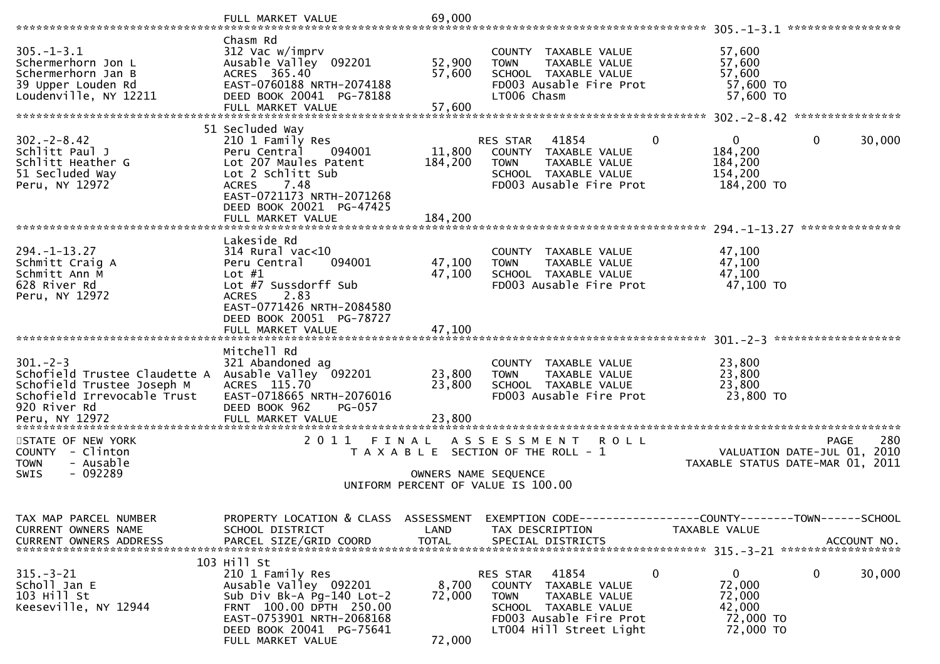|                                                                                                                                               | FULL MARKET VALUE                                                                                                                                                                                                 | 69,000                                    |                                                                                                                                                                 | *****************                                                                              |
|-----------------------------------------------------------------------------------------------------------------------------------------------|-------------------------------------------------------------------------------------------------------------------------------------------------------------------------------------------------------------------|-------------------------------------------|-----------------------------------------------------------------------------------------------------------------------------------------------------------------|------------------------------------------------------------------------------------------------|
| $305. - 1 - 3.1$<br>Schermerhorn Jon L<br>Schermerhorn Jan B<br>39 Upper Louden Rd<br>Loudenville, NY 12211                                   | Chasm Rd<br>312 Vac w/imprv<br>Ausable Valley 092201<br>ACRES 365.40<br>EAST-0760188 NRTH-2074188<br>DEED BOOK 20041 PG-78188<br>FULL MARKET VALUE                                                                | 52,900<br>57,600<br>57,600                | COUNTY TAXABLE VALUE<br>TAXABLE VALUE<br><b>TOWN</b><br>SCHOOL TAXABLE VALUE<br>FD003 Ausable Fire Prot<br>LT006 Chasm                                          | 57,600<br>57,600<br>57,600<br>57,600 TO<br>57,600 TO                                           |
| $302 - 2 - 8.42$<br>Schlitt Paul J<br>Schlitt Heather G<br>51 Secluded Way<br>Peru, NY 12972                                                  | 51 Secluded Way<br>210 1 Family Res<br>Peru Central<br>094001<br>Lot 207 Maules Patent<br>Lot 2 Schlitt Sub<br>7.48<br><b>ACRES</b><br>EAST-0721173 NRTH-2071268<br>DEED BOOK 20021 PG-47425<br>FULL MARKET VALUE | 11,800<br>184,200<br>184,200              | $\mathbf{0}$<br>RES STAR<br>41854<br>COUNTY TAXABLE VALUE<br><b>TOWN</b><br>TAXABLE VALUE<br>SCHOOL TAXABLE VALUE<br>FD003 Ausable Fire Prot                    | $\Omega$<br>$\mathbf{0}$<br>30,000<br>184,200<br>184,200<br>154,200<br>184,200 TO              |
| $294. - 1 - 13.27$<br>Schmitt Craig A<br>Schmitt Ann M<br>628 River Rd<br>Peru, NY 12972                                                      | Lakeside Rd<br>$314$ Rural vac<10<br>Peru Central<br>094001<br>Lot $#1$<br>Lot #7 Sussdorff Sub<br>2.83<br><b>ACRES</b><br>EAST-0771426 NRTH-2084580<br>DEED BOOK 20051 PG-78727<br>FULL MARKET VALUE             | 47,100<br>47,100<br>47,100                | COUNTY TAXABLE VALUE<br>TAXABLE VALUE<br><b>TOWN</b><br>SCHOOL TAXABLE VALUE<br>FD003 Ausable Fire Prot                                                         | ***************<br>47,100<br>47,100<br>47,100<br>47,100 TO                                     |
| $301 - 2 - 3$<br>Schofield Trustee Claudette A<br>Schofield Trustee Joseph M<br>Schofield Irrevocable Trust<br>920 River Rd<br>Peru, NY 12972 | Mitchell Rd<br>321 Abandoned ag<br>Ausable Valley 092201<br>ACRES 115.70<br>EAST-0718665 NRTH-2076016<br>DEED BOOK 962<br><b>PG-057</b><br>FULL MARKET VALUE                                                      | 23,800<br>23,800<br>23,800<br>*********** | COUNTY TAXABLE VALUE<br>TAXABLE VALUE<br><b>TOWN</b><br>SCHOOL TAXABLE VALUE<br>FD003 Ausable Fire Prot                                                         | 23,800<br>23,800<br>23,800<br>23,800 TO                                                        |
| STATE OF NEW YORK<br>COUNTY - Clinton<br><b>TOWN</b><br>- Ausable<br>$-092289$<br><b>SWIS</b>                                                 | 2011                                                                                                                                                                                                              | FINAL<br>OWNERS NAME SEQUENCE             | A S S E S S M E N T<br>R O L L<br>T A X A B L E SECTION OF THE ROLL - 1<br>UNIFORM PERCENT OF VALUE IS 100.00                                                   | 280<br><b>PAGE</b><br>2010<br>VALUATION DATE-JUL 01,<br>TAXABLE STATUS DATE-MAR 01, 2011       |
| TAX MAP PARCEL NUMBER<br>CURRENT OWNERS NAME<br>CURRENT OWNERS ADDRESS                                                                        | PROPERTY LOCATION & CLASS ASSESSMENT<br>SCHOOL DISTRICT<br>PARCEL SIZE/GRID COORD                                                                                                                                 | LAND<br><b>TOTAL</b>                      | TAX DESCRIPTION<br>SPECIAL DISTRICTS                                                                                                                            | EXEMPTION CODE------------------COUNTY--------TOWN------SCHOOL<br>TAXABLE VALUE<br>ACCOUNT NO. |
| $315 - 3 - 21$<br>Scholl Jan E<br>103 Hill St<br>Keeseville, NY 12944                                                                         | 103 Hill St<br>210 1 Family Res<br>Ausable Valley 092201<br>Sub Div Bk-A Pg-140 Lot-2<br>FRNT 100.00 DPTH 250.00<br>EAST-0753901 NRTH-2068168<br>DEED BOOK 20041 PG-75641<br>FULL MARKET VALUE                    | 8,700<br>72,000<br>72,000                 | $\mathbf 0$<br>41854<br>RES STAR<br>COUNTY TAXABLE VALUE<br>TAXABLE VALUE<br>TOWN<br>SCHOOL TAXABLE VALUE<br>FD003 Ausable Fire Prot<br>LT004 Hill Street Light | $\mathbf{0}$<br>0<br>30,000<br>72,000<br>72,000<br>42,000<br>72,000 TO<br>72,000 TO            |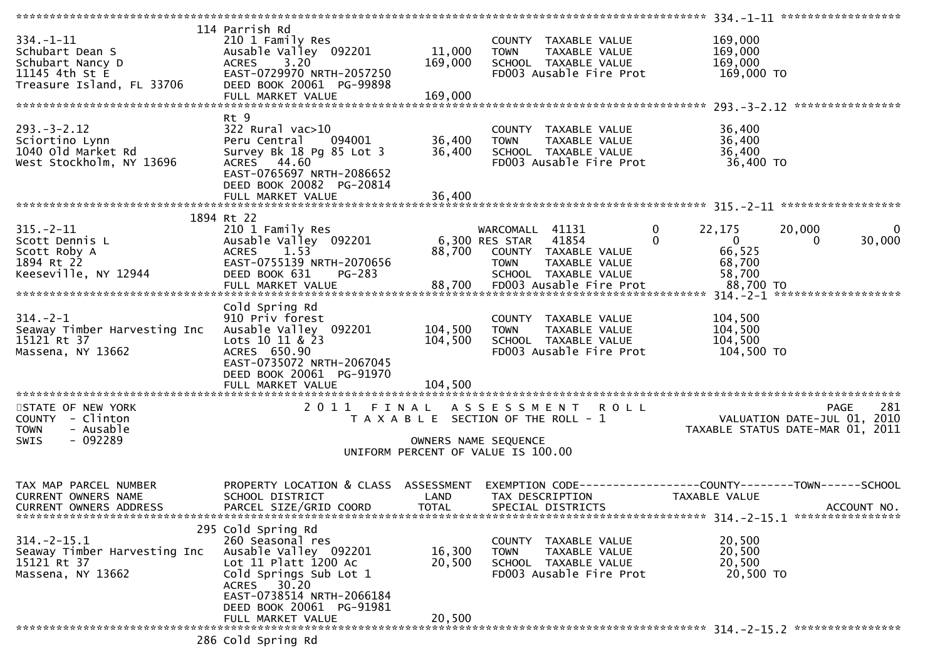|                               | 114 Parrish Rd                       |              |                                       |                                                                |
|-------------------------------|--------------------------------------|--------------|---------------------------------------|----------------------------------------------------------------|
| $334. - 1 - 11$               | 210 1 Family Res                     |              | COUNTY TAXABLE VALUE                  | 169,000                                                        |
| Schubart Dean S               | Ausable Valley 092201                | 11,000       | TAXABLE VALUE<br><b>TOWN</b>          | 169,000                                                        |
| Schubart Nancy D              | ACRES 3.20                           | 169,000      | SCHOOL TAXABLE VALUE                  | 169,000                                                        |
| 11145 4th St E                | EAST-0729970 NRTH-2057250            |              | FD003 Ausable Fire Prot               | 169,000 TO                                                     |
| Treasure Island, FL 33706     | DEED BOOK 20061 PG-99898             |              |                                       |                                                                |
|                               | FULL MARKET VALUE                    | 169,000      |                                       |                                                                |
|                               |                                      |              |                                       |                                                                |
|                               | Rt 9                                 |              |                                       |                                                                |
| $293. - 3 - 2.12$             | 322 Rural vac>10                     |              | COUNTY TAXABLE VALUE                  | 36,400                                                         |
| Sciortino Lynn                | Peru Central<br>094001               | 36,400       | TAXABLE VALUE<br><b>TOWN</b>          | 36,400                                                         |
| 1040 old Market Rd            | Survey Bk 18 Pg 85 Lot 3             | 36,400       | SCHOOL TAXABLE VALUE                  | 36,400                                                         |
| West Stockholm, NY 13696      | ACRES 44.60                          |              | FD003 Ausable Fire Prot               | 36,400 TO                                                      |
|                               | EAST-0765697 NRTH-2086652            |              |                                       |                                                                |
|                               | DEED BOOK 20082 PG-20814             |              |                                       |                                                                |
|                               | FULL MARKET VALUE                    | 36,400       |                                       |                                                                |
|                               |                                      |              |                                       |                                                                |
|                               | 1894 Rt 22                           |              |                                       |                                                                |
| $315. - 2 - 11$               | 210 1 Family Res                     |              | WARCOMALL 41131                       | 0<br>22,175<br>20,000<br>0                                     |
| Scott Dennis L                | Ausable Valley 092201                |              | 41854<br>6,300 RES STAR               | $\Omega$<br>30,000<br>$\overline{0}$<br>0                      |
| Scott Roby A                  | 1.53                                 |              | 88,700 COUNTY TAXABLE VALUE           | 66,525                                                         |
|                               | <b>ACRES</b>                         |              |                                       |                                                                |
| 1894 Rt 22                    | EAST-0755139 NRTH-2070656            |              | TAXABLE VALUE<br><b>TOWN</b>          | 68,700                                                         |
| Keeseville, NY 12944          | DEED BOOK 631<br>PG-283              |              | SCHOOL TAXABLE VALUE                  | 58,700                                                         |
|                               | FULL MARKET VALUE                    |              | 88,700 FD003 Ausable Fire Prot        | 88,700 TO                                                      |
|                               |                                      |              |                                       |                                                                |
|                               | Cold Spring Rd                       |              |                                       |                                                                |
| $314. - 2 - 1$                | 910 Priv forest                      |              | COUNTY TAXABLE VALUE                  | 104,500                                                        |
| Seaway Timber Harvesting Inc  | Ausable Valley 092201                | 104,500      | TAXABLE VALUE<br><b>TOWN</b>          | 104,500                                                        |
| 15121 Rt 37                   | Lots 10 11 & $23$                    | 104,500      | SCHOOL TAXABLE VALUE                  | 104,500                                                        |
| Massena, NY 13662             | ACRES 650.90                         |              | FD003 Ausable Fire Prot               | 104,500 TO                                                     |
|                               | EAST-0735072 NRTH-2067045            |              |                                       |                                                                |
|                               | DEED BOOK 20061 PG-91970             |              |                                       |                                                                |
|                               | FULL MARKET VALUE                    | 104,500      |                                       |                                                                |
|                               |                                      |              |                                       |                                                                |
| STATE OF NEW YORK             |                                      |              | 2011 FINAL ASSESSMENT ROLL            | 281<br><b>PAGE</b>                                             |
| COUNTY - Clinton              |                                      |              | T A X A B L E SECTION OF THE ROLL - 1 | VALUATION DATE-JUL 01, 2010                                    |
| - Ausable<br><b>TOWN</b>      |                                      |              |                                       | TAXABLE STATUS DATE-MAR 01, 2011                               |
| $-092289$<br><b>SWIS</b>      |                                      |              | OWNERS NAME SEQUENCE                  |                                                                |
|                               |                                      |              | UNIFORM PERCENT OF VALUE IS 100.00    |                                                                |
|                               |                                      |              |                                       |                                                                |
|                               |                                      |              |                                       |                                                                |
| TAX MAP PARCEL NUMBER         | PROPERTY LOCATION & CLASS ASSESSMENT |              |                                       | EXEMPTION CODE------------------COUNTY--------TOWN------SCHOOL |
| CURRENT OWNERS NAME           | SCHOOL DISTRICT                      | LAND         | TAX DESCRIPTION                       | TAXABLE VALUE                                                  |
| <b>CURRENT OWNERS ADDRESS</b> | PARCEL SIZE/GRID COORD               | <b>TOTAL</b> | SPECIAL DISTRICTS                     | ACCOUNT NO.                                                    |
|                               |                                      |              |                                       |                                                                |
|                               | 295 Cold Spring Rd                   |              |                                       |                                                                |
| $314. - 2 - 15.1$             | 260 Seasonal res                     |              | COUNTY TAXABLE VALUE                  | 20,500                                                         |
| Seaway Timber Harvesting Inc  | Ausable Valley 092201                | 16,300       | TAXABLE VALUE<br><b>TOWN</b>          | 20,500                                                         |
| 15121 Rt 37                   | Lot 11 Platt 1200 Ac                 | 20,500       | SCHOOL TAXABLE VALUE                  | 20,500                                                         |
| Massena, NY 13662             | Cold Springs Sub Lot 1               |              | FD003 Ausable Fire Prot               | 20,500 TO                                                      |
|                               | ACRES 30.20                          |              |                                       |                                                                |
|                               | EAST-0738514 NRTH-2066184            |              |                                       |                                                                |
|                               | DEED BOOK 20061 PG-91981             |              |                                       |                                                                |
|                               | FULL MARKET VALUE                    | 20,500       |                                       |                                                                |
|                               |                                      |              |                                       |                                                                |
|                               | 286 Cold Spring Rd                   |              |                                       |                                                                |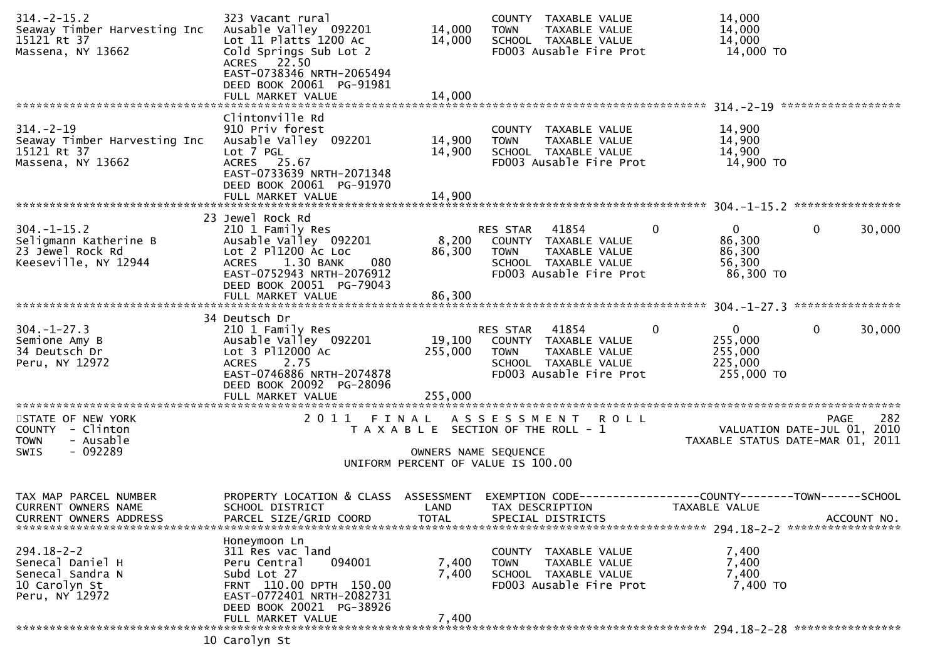| $314. - 2 - 15.2$<br>Seaway Timber Harvesting Inc<br>15121 Rt 37<br>Massena, NY 13662        | 323 Vacant rural<br>Ausable Valley 092201<br>Lot 11 Platts 1200 Ac<br>Cold Springs Sub Lot 2<br>ACRES 22.50<br>EAST-0738346 NRTH-2065494                                           | 14,000<br>14,000        | COUNTY TAXABLE VALUE<br>TAXABLE VALUE<br><b>TOWN</b><br>SCHOOL TAXABLE VALUE<br>FD003 Ausable Fire Prot                                     | 14,000<br>14,000<br>14,000<br>14,000 TO                     |                                                   |
|----------------------------------------------------------------------------------------------|------------------------------------------------------------------------------------------------------------------------------------------------------------------------------------|-------------------------|---------------------------------------------------------------------------------------------------------------------------------------------|-------------------------------------------------------------|---------------------------------------------------|
|                                                                                              | DEED BOOK 20061 PG-91981<br>FULL MARKET VALUE                                                                                                                                      | 14,000                  |                                                                                                                                             |                                                             |                                                   |
| $314. - 2 - 19$<br>Seaway Timber Harvesting Inc<br>15121 Rt 37<br>Massena, NY 13662          | Clintonville Rd<br>910 Priv forest<br>Ausable Valley 092201<br>Lot 7 PGL<br>ACRES 25.67<br>EAST-0733639 NRTH-2071348<br>DEED BOOK 20061 PG-91970                                   | 14,900<br>14,900        | COUNTY TAXABLE VALUE<br><b>TOWN</b><br>TAXABLE VALUE<br>SCHOOL TAXABLE VALUE<br>FD003 Ausable Fire Prot                                     | 14,900<br>14,900<br>14,900<br>14,900 TO                     |                                                   |
|                                                                                              | FULL MARKET VALUE                                                                                                                                                                  | 14,900                  |                                                                                                                                             |                                                             |                                                   |
| $304. -1 - 15.2$<br>Seligmann Katherine B<br>23 Jewel Rock Rd<br>Keeseville, NY 12944        | 23 Jewel Rock Rd<br>210 1 Family Res<br>Ausable Valley 092201<br>Lot 2 P11200 Ac Loc<br>ACRES 1.30 BANK<br>080<br>EAST-0752943 NRTH-2076912<br>DEED BOOK 20051 PG-79043            | 8,200<br>86,300         | 41854<br>RES STAR<br>$\Omega$<br>COUNTY TAXABLE VALUE<br><b>TOWN</b><br>TAXABLE VALUE<br>SCHOOL TAXABLE VALUE<br>FD003 Ausable Fire Prot    | $\overline{0}$<br>86,300<br>86,300<br>56,300<br>86,300 TO   | $\Omega$<br>30,000                                |
|                                                                                              | FULL MARKET VALUE                                                                                                                                                                  | 86,300                  |                                                                                                                                             |                                                             |                                                   |
| $304. - 1 - 27.3$<br>Semione Amy B<br>34 Deutsch Dr<br>Peru, NY 12972                        | 34 Deutsch Dr<br>210 1 Family Res<br>Ausable Valley 092201<br>Lot 3 P112000 Ac<br>ACRES 2.75<br>EAST-0746886 NRTH-2074878<br>DEED BOOK 20092 PG-28096                              | 19,100<br>255,000       | RES STAR<br>41854<br>0<br>COUNTY TAXABLE VALUE<br><b>TOWN</b><br>TAXABLE VALUE<br>SCHOOL TAXABLE VALUE<br>FD003 Ausable Fire Prot           | $\mathbf{0}$<br>255,000<br>255,000<br>225,000<br>255,000 TO | $\mathbf 0$<br>30,000                             |
|                                                                                              | FULL MARKET VALUE                                                                                                                                                                  | 255,000                 |                                                                                                                                             |                                                             |                                                   |
| STATE OF NEW YORK<br>COUNTY - Clinton<br>- Ausable<br><b>TOWN</b><br>- 092289<br><b>SWIS</b> |                                                                                                                                                                                    |                         | 2011 FINAL ASSESSMENT<br><b>ROLL</b><br>T A X A B L E SECTION OF THE ROLL - 1<br>OWNERS NAME SEQUENCE<br>UNIFORM PERCENT OF VALUE IS 100.00 | TAXABLE STATUS DATE-MAR 01, 2011                            | 282<br><b>PAGE</b><br>VALUATION DATE-JUL 01, 2010 |
| TAX MAP PARCEL NUMBER<br>CURRENT OWNERS NAME<br><b>CURRENT OWNERS ADDRESS</b>                | PROPERTY LOCATION & CLASS ASSESSMENT<br>SCHOOL DISTRICT<br>PARCEL SIZE/GRID COORD                                                                                                  | LAND<br><b>TOTAL</b>    | EXEMPTION CODE-----------------COUNTY-------TOWN------SCHOOL<br>TAX DESCRIPTION<br>SPECIAL DISTRICTS                                        | TAXABLE VALUE                                               | ACCOUNT NO.                                       |
| $294.18 - 2 - 2$<br>Senecal Daniel H<br>Senecal Sandra N<br>10 Carolyn St<br>Peru, NY 12972  | Honeymoon Ln<br>311 Res vac land<br>094001<br>Peru Central<br>Subd Lot 27<br>FRNT 110.00 DPTH 150.00<br>EAST-0772401 NRTH-2082731<br>DEED BOOK 20021 PG-38926<br>FULL MARKET VALUE | 7,400<br>7,400<br>7,400 | COUNTY TAXABLE VALUE<br>TAXABLE VALUE<br><b>TOWN</b><br>SCHOOL TAXABLE VALUE<br>FD003 Ausable Fire Prot                                     | 7,400<br>7,400<br>7,400<br>7,400 TO                         |                                                   |
|                                                                                              | 10 Carolyn St                                                                                                                                                                      |                         |                                                                                                                                             |                                                             |                                                   |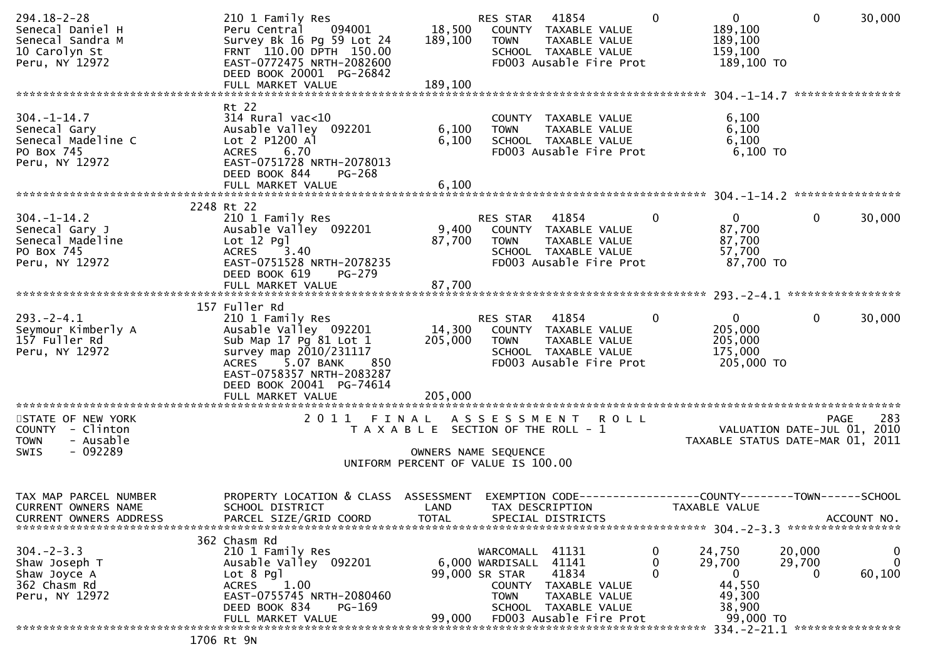| $294.18 - 2 - 28$<br>Senecal Daniel H<br>Senecal Sandra M<br>10 Carolyn St<br>Peru, NY 12972  | 210 1 Family Res<br>094001<br>Peru Central<br>Survey Bk 16 Pg 59 Lot 24<br>FRNT 110.00 DPTH 150.00<br>EAST-0772475 NRTH-2082600<br>DEED BOOK 20001 PG-26842<br>FULL MARKET VALUE                            | 18,500<br>189,100<br>189,100                                                | RES STAR<br><b>TOWN</b>                                       | 41854<br>COUNTY TAXABLE VALUE<br>TAXABLE VALUE<br>SCHOOL TAXABLE VALUE<br>FD003 Ausable Fire Prot                   | 0           | $\overline{0}$<br>189,100<br>189,100<br>159,100<br>189,100 TO               | $\mathbf{0}$          | 30,000                                     |
|-----------------------------------------------------------------------------------------------|-------------------------------------------------------------------------------------------------------------------------------------------------------------------------------------------------------------|-----------------------------------------------------------------------------|---------------------------------------------------------------|---------------------------------------------------------------------------------------------------------------------|-------------|-----------------------------------------------------------------------------|-----------------------|--------------------------------------------|
|                                                                                               |                                                                                                                                                                                                             |                                                                             |                                                               |                                                                                                                     |             |                                                                             |                       |                                            |
| $304. - 1 - 14.7$<br>Senecal Gary<br>Senecal Madeline C<br>PO Box 745<br>Peru, NY 12972       | Rt 22<br>$314$ Rural vac<10<br>Ausable Valley 092201<br>Lot 2 P1200 Al<br>ACRES 6.70<br>EAST-0751728 NRTH-2078013<br>DEED BOOK 844<br>PG-268<br>FULL MARKET VALUE                                           | 6,100<br>6,100<br>6,100                                                     | <b>TOWN</b>                                                   | COUNTY TAXABLE VALUE<br>TAXABLE VALUE<br>SCHOOL TAXABLE VALUE<br>FD003 Ausable Fire Prot                            |             | 6,100<br>6,100<br>6,100<br>$6,100$ TO                                       |                       |                                            |
|                                                                                               |                                                                                                                                                                                                             |                                                                             |                                                               |                                                                                                                     |             |                                                                             |                       |                                            |
|                                                                                               | 2248 Rt 22                                                                                                                                                                                                  |                                                                             |                                                               |                                                                                                                     |             |                                                                             |                       |                                            |
| $304. - 1 - 14.2$<br>Senecal Gary J<br>Senecal Madeline<br>PO Box 745<br>Peru, NY 12972       | 210 1 Family Res<br>Ausable Valley 092201<br>Lot $12$ Pgl<br><b>ACRES</b><br>3.40<br>EAST-0751528 NRTH-2078235<br>DEED BOOK 619<br>PG-279<br>FULL MARKET VALUE                                              | 9,400<br>87,700<br>87,700                                                   | RES STAR<br><b>TOWN</b>                                       | 41854<br>COUNTY TAXABLE VALUE<br>TAXABLE VALUE<br>SCHOOL TAXABLE VALUE<br>FD003 Ausable Fire Prot                   | 0           | $\mathbf{0}$<br>87,700<br>87,700<br>57,700<br>87,700 TO                     | 0                     | 30,000                                     |
|                                                                                               |                                                                                                                                                                                                             |                                                                             |                                                               |                                                                                                                     |             |                                                                             |                       |                                            |
| $293. - 2 - 4.1$<br>Seymour Kimberly A<br>157 Fuller Rd<br>Peru, NY 12972                     | 157 Fuller Rd<br>210 1 Family Res<br>Ausable Valley 092201<br>Sub Map 17 Pg 81 Lot 1<br>survey map 2010/231117<br>5.07 BANK<br><b>ACRES</b><br>850<br>EAST-0758357 NRTH-2083287<br>DEED BOOK 20041 PG-74614 | 14,300<br>205,000                                                           | RES STAR<br><b>TOWN</b>                                       | 41854<br>COUNTY TAXABLE VALUE<br>TAXABLE VALUE<br>SCHOOL TAXABLE VALUE<br>FD003 Ausable Fire Prot                   | $\Omega$    | $\mathbf{0}$<br>205,000<br>205,000<br>175,000<br>205,000 TO                 | $\mathbf{0}$          | 30,000                                     |
|                                                                                               |                                                                                                                                                                                                             |                                                                             |                                                               |                                                                                                                     |             |                                                                             |                       |                                            |
| STATE OF NEW YORK<br>COUNTY - Clinton<br>- Ausable<br><b>TOWN</b><br>$-092289$<br><b>SWIS</b> |                                                                                                                                                                                                             | T A X A B L E SECTION OF THE ROLL - 1<br>UNIFORM PERCENT OF VALUE IS 100.00 | OWNERS NAME SEQUENCE                                          | 2011 FINAL ASSESSMENT ROLL                                                                                          |             | TAXABLE STATUS DATE-MAR 01, 2011                                            |                       | 283<br>PAGE<br>VALUATION DATE-JUL 01, 2010 |
| TAX MAP PARCEL NUMBER<br><b>CURRENT OWNERS NAME</b><br><b>CURRENT OWNERS ADDRESS</b>          | PROPERTY LOCATION & CLASS ASSESSMENT<br>SCHOOL DISTRICT<br>PARCEL SIZE/GRID COORD                                                                                                                           | LAND<br><b>TOTAL</b>                                                        |                                                               | EXEMPTION CODE------------------COUNTY--------TOWN------SCHOOL<br>TAX DESCRIPTION<br>SPECIAL DISTRICTS              |             | TAXABLE VALUE                                                               |                       | ACCOUNT NO.                                |
| $304 - 2 - 3.3$<br>Shaw Joseph T<br>Shaw Joyce A<br>362 Chasm Rd<br>Peru, NY 12972            | 362 Chasm Rd<br>210 1 Family Res<br>Ausable Valley 092201<br>$Lot 8$ Pgl<br>1.00<br><b>ACRES</b><br>EAST-0755745 NRTH-2080460<br>DEED BOOK 834<br>PG-169<br>FULL MARKET VALUE<br>$1700 - 1$                 | 99,000                                                                      | WARCOMALL<br>6,000 WARDISALL<br>99,000 SR STAR<br><b>TOWN</b> | 41131<br>41141<br>41834<br>COUNTY TAXABLE VALUE<br>TAXABLE VALUE<br>SCHOOL TAXABLE VALUE<br>FD003 Ausable Fire Prot | 0<br>0<br>0 | 24,750<br>29,700<br>$\mathbf{0}$<br>44,550<br>49,300<br>38,900<br>99,000 TO | 20,000<br>29,700<br>0 | 0<br>$\mathbf{0}$<br>60,100                |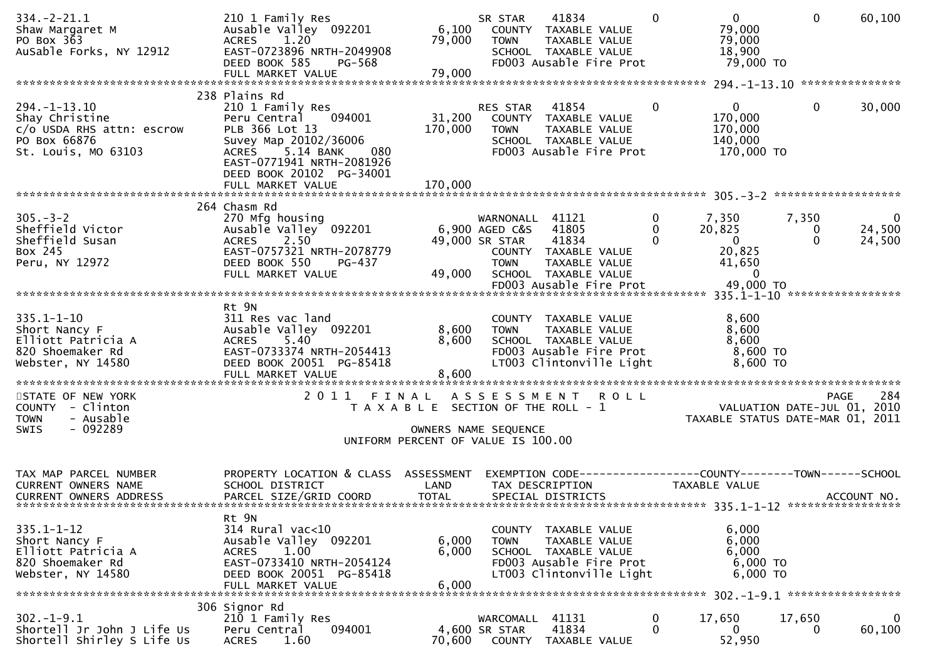| $334. - 2 - 21.1$<br>Shaw Margaret M<br>PO Box 363<br>AuSable Forks, NY 12912                           | 210 1 Family Res<br>Ausable Valley 092201<br><b>ACRES</b><br>1.20<br>EAST-0723896 NRTH-2049908<br>DEED BOOK 585<br>PG-568<br>FULL MARKET VALUE                                                                           | 6,100<br>79,000<br>79,000                                                            | SR STAR<br><b>TOWN</b>                                             | 41834<br>COUNTY TAXABLE VALUE<br>TAXABLE VALUE<br>SCHOOL TAXABLE VALUE<br>FD003 Ausable Fire Prot                    |             | $\Omega$           | $\overline{0}$<br>79,000<br>79,000<br>18,900<br>79,000 TO                       | $\Omega$               | 60,100                                            |
|---------------------------------------------------------------------------------------------------------|--------------------------------------------------------------------------------------------------------------------------------------------------------------------------------------------------------------------------|--------------------------------------------------------------------------------------|--------------------------------------------------------------------|----------------------------------------------------------------------------------------------------------------------|-------------|--------------------|---------------------------------------------------------------------------------|------------------------|---------------------------------------------------|
|                                                                                                         |                                                                                                                                                                                                                          |                                                                                      |                                                                    |                                                                                                                      |             |                    |                                                                                 |                        |                                                   |
| $294. -1 - 13.10$<br>Shay Christine<br>c/o USDA RHS attn: escrow<br>PO Box 66876<br>St. Louis, MO 63103 | 238 Plains Rd<br>210 1 Family Res<br>094001<br>Peru Central<br>PLB 366 Lot 13<br>Suvey Map 20102/36006<br>5.14 BANK<br><b>ACRES</b><br>080<br>EAST-0771941 NRTH-2081926<br>DEED BOOK 20102 PG-34001<br>FULL MARKET VALUE | 31,200<br>170,000<br>170,000                                                         | RES STAR<br><b>TOWN</b>                                            | 41854<br>COUNTY TAXABLE VALUE<br>TAXABLE VALUE<br>SCHOOL TAXABLE VALUE<br>FD003 Ausable Fire Prot                    |             | 0                  | $\overline{0}$<br>170,000<br>170,000<br>140,000<br>170,000 TO                   | 0                      | 30,000                                            |
|                                                                                                         |                                                                                                                                                                                                                          |                                                                                      |                                                                    |                                                                                                                      |             |                    |                                                                                 |                        |                                                   |
| $305. - 3 - 2$<br>Sheffield Victor<br>Sheffield Susan<br>Box 245<br>Peru, NY 12972                      | 264 Chasm Rd<br>270 Mfg housing<br>Ausable Valley 092201<br><b>ACRES</b><br>2.50<br>EAST-0757321 NRTH-2078779<br>DEED BOOK 550<br>PG-437<br>FULL MARKET VALUE                                                            | 49,000                                                                               | WARNONALL 41121<br>6,900 AGED C&S<br>49,000 SR STAR<br><b>TOWN</b> | 41805<br>41834<br>COUNTY TAXABLE VALUE<br>TAXABLE VALUE<br>SCHOOL TAXABLE VALUE<br>FD003 Ausable Fire Prot           |             | 0<br>0<br>$\Omega$ | 7,350<br>20,825<br>$\overline{0}$<br>20,825<br>41,650<br>$\Omega$<br>49,000 TO  | 7,350<br>0<br>$\Omega$ | $\bf{0}$<br>24,500<br>24,500                      |
|                                                                                                         |                                                                                                                                                                                                                          |                                                                                      |                                                                    |                                                                                                                      |             |                    |                                                                                 |                        |                                                   |
| $335.1 - 1 - 10$<br>Short Nancy F<br>Elliott Patricia A<br>820 Shoemaker Rd<br>Webster, NY 14580        | Rt 9N<br>311 Res vac land<br>Ausable Valley 092201<br>5.40<br><b>ACRES</b><br>EAST-0733374 NRTH-2054413<br>DEED BOOK 20051 PG-85418<br>FULL MARKET VALUE                                                                 | 8,600<br>8,600<br>8,600<br>******************                                        | <b>TOWN</b>                                                        | COUNTY TAXABLE VALUE<br>TAXABLE VALUE<br>SCHOOL TAXABLE VALUE<br>FD003 Ausable Fire Prot<br>LT003 Clintonville Light |             |                    | 8,600<br>8,600<br>8,600<br>8,600 TO<br>8,600 TO                                 |                        |                                                   |
| STATE OF NEW YORK<br>COUNTY - Clinton<br>- Ausable<br><b>TOWN</b><br>$-092289$<br>SWIS                  | 2 0 1 1                                                                                                                                                                                                                  | FINAL<br>T A X A B L E SECTION OF THE ROLL - 1<br>UNIFORM PERCENT OF VALUE IS 100.00 | A S S E S S M E N T<br>OWNERS NAME SEQUENCE                        |                                                                                                                      | <b>ROLL</b> |                    | TAXABLE STATUS DATE-MAR 01, 2011                                                |                        | 284<br><b>PAGE</b><br>VALUATION DATE-JUL 01, 2010 |
| TAX MAP PARCEL NUMBER<br><b>CURRENT OWNERS NAME</b><br><b>CURRENT OWNERS ADDRESS</b>                    | PROPERTY LOCATION & CLASS<br>SCHOOL DISTRICT<br>PARCEL SIZE/GRID COORD                                                                                                                                                   | ASSESSMENT<br>LAND<br><b>TOTAL</b>                                                   |                                                                    | TAX DESCRIPTION<br>SPECIAL DISTRICTS                                                                                 |             |                    | EXEMPTION CODE------------------COUNTY--------TOWN------SCHOOL<br>TAXABLE VALUE |                        | ACCOUNT NO.                                       |
| $335.1 - 1 - 12$<br>Short Nancy F<br>Elliott Patricia A<br>820 Shoemaker Rd<br>Webster, NY 14580        | Rt 9N<br>314 Rural vac<10<br>Ausable Valley 092201<br>1.00<br><b>ACRES</b><br>EAST-0733410 NRTH-2054124<br>DEED BOOK 20051 PG-85418<br>FULL MARKET VALUE                                                                 | 6,000<br>6,000<br>6,000                                                              | <b>TOWN</b>                                                        | COUNTY TAXABLE VALUE<br>TAXABLE VALUE<br>SCHOOL TAXABLE VALUE<br>FD003 Ausable Fire Prot<br>LT003 Clintonville Light |             |                    | 6,000<br>6,000<br>6,000<br>6,000 TO<br>6,000 TO                                 |                        |                                                   |
|                                                                                                         | 306 Signor Rd                                                                                                                                                                                                            |                                                                                      |                                                                    |                                                                                                                      |             |                    |                                                                                 |                        |                                                   |
| $302 - 1 - 9.1$<br>Shortell Jr John J Life Us<br>Shortell Shirley S Life Us                             | 210 1 Family Res<br>094001<br>Peru Central<br>1.60<br><b>ACRES</b>                                                                                                                                                       | 70,600                                                                               | WARCOMALL<br>4,600 SR STAR                                         | 41131<br>41834<br>COUNTY TAXABLE VALUE                                                                               |             | 0<br>$\Omega$      | 17,650<br>$\Omega$<br>52,950                                                    | 17,650<br>0            | $\mathbf 0$<br>60,100                             |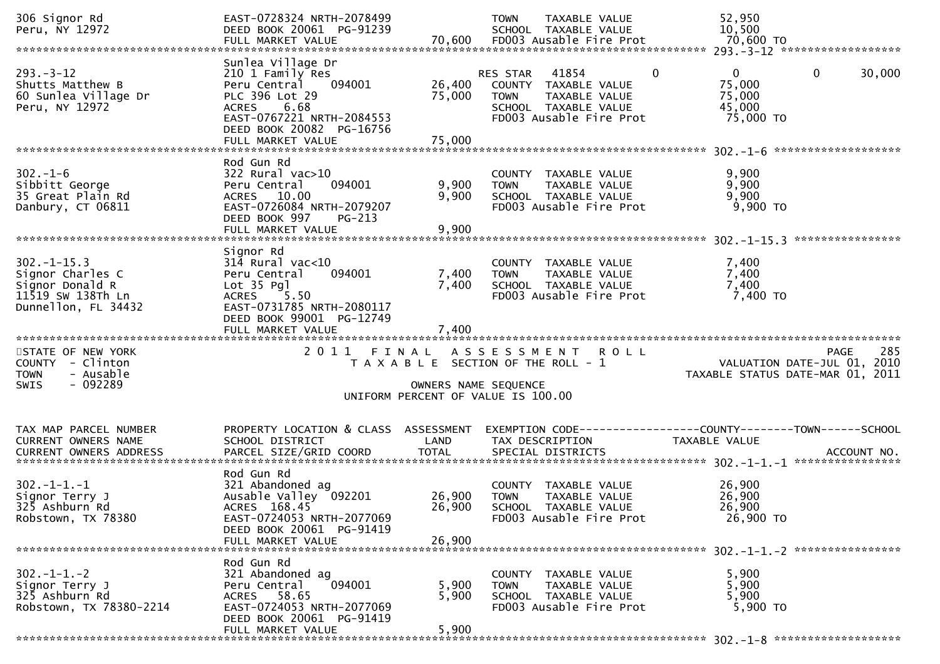| 306 Signor Rd<br>Peru, NY 12972                                                                     | EAST-0728324 NRTH-2078499<br>DEED BOOK 20061 PG-91239<br>FULL MARKET VALUE                                                                                                    |                            | <b>TOWN</b><br>TAXABLE VALUE<br>SCHOOL TAXABLE VALUE<br>70,600 FD003 Ausable Fire Prot                                                   | 52,950<br>10,500<br>70,600 TO                                                         |
|-----------------------------------------------------------------------------------------------------|-------------------------------------------------------------------------------------------------------------------------------------------------------------------------------|----------------------------|------------------------------------------------------------------------------------------------------------------------------------------|---------------------------------------------------------------------------------------|
|                                                                                                     |                                                                                                                                                                               |                            |                                                                                                                                          |                                                                                       |
| $293 - 3 - 12$<br>Shutts Matthew B<br>60 Sunlea Village Dr<br>Peru, NY 12972                        | Sunlea Village Dr<br>210 1 Family Res<br>094001<br>Peru Central<br>PLC 396 Lot 29<br>ACRES 6.68<br>EAST-0767221 NRTH-2084553<br>DEED BOOK 20082 PG-16756<br>FULL MARKET VALUE | 26,400<br>75,000<br>75,000 | RES STAR<br>41854<br>$\Omega$<br>COUNTY TAXABLE VALUE<br>TAXABLE VALUE<br><b>TOWN</b><br>SCHOOL TAXABLE VALUE<br>FD003 Ausable Fire Prot | $\mathbf{0}$<br>$\mathbf{0}$<br>30,000<br>75,000<br>75,000<br>45,000<br>75,000 TO     |
|                                                                                                     |                                                                                                                                                                               |                            |                                                                                                                                          |                                                                                       |
| $302 - 1 - 6$<br>Sibbitt George<br>35 Great Plain Rd<br>Danbury, CT 06811                           | Rod Gun Rd<br>$322$ Rural vac $>10$<br>Peru Central<br>094001<br>ACRES 10.00<br>EAST-0726084 NRTH-2079207<br>DEED BOOK 997<br>PG-213<br>FULL MARKET VALUE                     | 9,900<br>9,900<br>9,900    | COUNTY TAXABLE VALUE<br>TAXABLE VALUE<br><b>TOWN</b><br>SCHOOL TAXABLE VALUE<br>FD003 Ausable Fire Prot                                  | 9,900<br>9,900<br>9,900<br>$9,900$ TO                                                 |
|                                                                                                     |                                                                                                                                                                               |                            |                                                                                                                                          | ****************                                                                      |
| $302 - 1 - 15.3$<br>Signor Charles C<br>Signor Donald R<br>11519 SW 138Th Ln<br>Dunnellon, FL 34432 | Signor Rd<br>$314$ Rural vac< $10$<br>Peru Central<br>094001<br>Lot 35 Pgl<br>5.50<br><b>ACRES</b><br>EAST-0731785 NRTH-2080117<br>DEED BOOK 99001 PG-12749                   | 7,400<br>7,400             | COUNTY TAXABLE VALUE<br>TAXABLE VALUE<br><b>TOWN</b><br>SCHOOL TAXABLE VALUE<br>FD003 Ausable Fire Prot                                  | 7,400<br>7,400<br>7,400<br>7,400 TO                                                   |
|                                                                                                     | FULL MARKET VALUE                                                                                                                                                             | 7,400                      |                                                                                                                                          |                                                                                       |
| STATE OF NEW YORK<br>COUNTY - Clinton<br>- Ausable<br><b>TOWN</b><br>$-092289$<br><b>SWIS</b>       | 2011 FINAL                                                                                                                                                                    | OWNERS NAME SEQUENCE       | A S S E S S M E N T<br><b>ROLL</b><br>T A X A B L E SECTION OF THE ROLL - 1<br>UNIFORM PERCENT OF VALUE IS 100.00                        | 285<br><b>PAGE</b><br>VALUATION DATE-JUL 01, 2010<br>TAXABLE STATUS DATE-MAR 01, 2011 |
| TAX MAP PARCEL NUMBER<br>CURRENT OWNERS NAME                                                        | PROPERTY LOCATION & CLASS ASSESSMENT<br>SCHOOL DISTRICT                                                                                                                       | LAND                       | TAX DESCRIPTION                                                                                                                          | EXEMPTION CODE-----------------COUNTY-------TOWN------SCHOOL<br>TAXABLE VALUE         |
| $302 - 1 - 1 - 1$<br>Signor Terry J<br>325 Ashburn Rd<br>Robstown, TX 78380                         | Rod Gun Rd<br>321 Abandoned ag<br>Ausable Valley 092201<br>ACRES 168.45<br>EAST-0724053 NRTH-2077069<br>DEED BOOK 20061 PG-91419<br>FULL MARKET VALUE                         | 26,900<br>26,900<br>26,900 | COUNTY TAXABLE VALUE<br><b>TOWN</b><br><b>TAXABLE VALUE</b><br>SCHOOL TAXABLE VALUE<br>FD003 Ausable Fire Prot                           | 26,900<br>26,900<br>26,900<br>26,900 TO                                               |
| $302 - 1 - 1 - 2$<br>Signor Terry J                                                                 | Rod Gun Rd<br>321 Abandoned ag<br>094001<br>Peru Central                                                                                                                      | 5,900                      | COUNTY TAXABLE VALUE<br><b>TOWN</b><br>TAXABLE VALUE                                                                                     | 5,900<br>5,900                                                                        |
| 325 Ashburn Rd<br>Robstown, TX 78380-2214                                                           | ACRES 58.65<br>EAST-0724053 NRTH-2077069<br>DEED BOOK 20061 PG-91419                                                                                                          | 5,900                      | SCHOOL TAXABLE VALUE<br>FD003 Ausable Fire Prot                                                                                          | 5,900<br>5,900 TO                                                                     |
|                                                                                                     | FULL MARKET VALUE                                                                                                                                                             | 5,900                      |                                                                                                                                          |                                                                                       |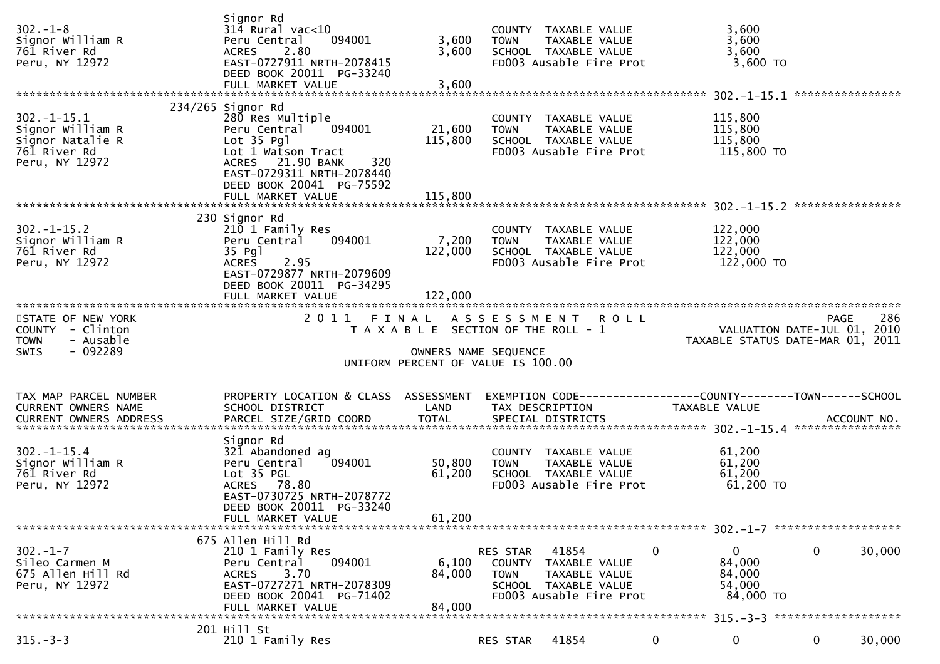| $302 - 1 - 8$<br>Signor William R<br>761 River Rd<br>Peru, NY 12972                        | Sianor Rd<br>$314$ Rural vac<10<br>Peru Central<br>094001<br>2.80<br><b>ACRES</b><br>EAST-0727911 NRTH-2078415<br>DEED BOOK 20011 PG-33240<br>FULL MARKET VALUE       | 3,600<br>3,600<br>3,600                                                                             | <b>TOWN</b>                       | COUNTY TAXABLE VALUE<br>TAXABLE VALUE<br>SCHOOL TAXABLE VALUE<br>FD003 Ausable Fire Prot   | 3,600<br>3,600<br>3,600<br>3,600 TO                                           |                                                                 |
|--------------------------------------------------------------------------------------------|-----------------------------------------------------------------------------------------------------------------------------------------------------------------------|-----------------------------------------------------------------------------------------------------|-----------------------------------|--------------------------------------------------------------------------------------------|-------------------------------------------------------------------------------|-----------------------------------------------------------------|
|                                                                                            | 234/265 Signor Rd                                                                                                                                                     |                                                                                                     |                                   |                                                                                            |                                                                               |                                                                 |
| $302 - 1 - 15.1$<br>Signor William R<br>Signor Natalie R<br>761 River Rd<br>Peru, NY 12972 | 280 Res Multiple<br>094001<br>Peru Central<br>Lot 35 Pgl<br>Lot 1 Watson Tract<br>ACRES 21.90 BANK<br>320<br>EAST-0729311 NRTH-2078440<br>DEED BOOK 20041 PG-75592    | 21,600<br>115,800                                                                                   | <b>TOWN</b>                       | COUNTY TAXABLE VALUE<br>TAXABLE VALUE<br>SCHOOL TAXABLE VALUE<br>FD003 Ausable Fire Prot   | 115,800<br>115,800<br>115,800<br>115,800 TO                                   |                                                                 |
|                                                                                            |                                                                                                                                                                       |                                                                                                     |                                   |                                                                                            |                                                                               |                                                                 |
| $302 - 1 - 15.2$<br>Signor William R<br>761 River Rd<br>Peru, NY 12972                     | 230 Signor Rd<br>210 1 Family Res<br>094001<br>Peru Central<br>35 Pg1<br>2.95<br><b>ACRES</b><br>EAST-0729877 NRTH-2079609<br>DEED BOOK 20011 PG-34295                | 7,200<br>122,000                                                                                    | <b>TOWN</b>                       | COUNTY TAXABLE VALUE<br>TAXABLE VALUE<br>SCHOOL TAXABLE VALUE<br>FD003 Ausable Fire Prot   | 122,000<br>122,000<br>122,000<br>122,000 TO                                   |                                                                 |
|                                                                                            | FULL MARKET VALUE                                                                                                                                                     | 122,000                                                                                             |                                   |                                                                                            |                                                                               |                                                                 |
| STATE OF NEW YORK                                                                          | 2011 FINAL                                                                                                                                                            |                                                                                                     |                                   | ASSESSMENT ROLL                                                                            |                                                                               | 286<br><b>PAGE</b>                                              |
| COUNTY - Clinton<br><b>TOWN</b><br>- Ausable<br>$-092289$<br>SWIS                          |                                                                                                                                                                       | T A X A B L E SECTION OF THE ROLL - 1<br>OWNERS NAME SEQUENCE<br>UNIFORM PERCENT OF VALUE IS 100.00 |                                   |                                                                                            |                                                                               | VALUATION DATE-JUL 01, 2010<br>TAXABLE STATUS DATE-MAR 01, 2011 |
|                                                                                            |                                                                                                                                                                       |                                                                                                     |                                   |                                                                                            |                                                                               |                                                                 |
| TAX MAP PARCEL NUMBER<br><b>CURRENT OWNERS NAME</b><br><b>CURRENT OWNERS ADDRESS</b>       | PROPERTY LOCATION & CLASS ASSESSMENT<br>SCHOOL DISTRICT<br>PARCEL SIZE/GRID COORD                                                                                     | LAND<br><b>TOTAL</b>                                                                                |                                   | TAX DESCRIPTION<br>SPECIAL DISTRICTS                                                       | EXEMPTION CODE-----------------COUNTY-------TOWN------SCHOOL<br>TAXABLE VALUE | ACCOUNT NO.                                                     |
| $302 - 1 - 15.4$<br>Signor William R<br>761 River Rd<br>Peru, NY 12972                     | Signor Rd<br>321 Abandoned ag<br>Peru Central<br>094001<br>Lot 35 PGL<br>ACRES 78.80<br>EAST-0730725 NRTH-2078772<br>DEED BOOK 20011 PG-33240                         | 50,800<br>61,200                                                                                    | <b>TOWN</b>                       | COUNTY TAXABLE VALUE<br>TAXABLE VALUE<br>SCHOOL TAXABLE VALUE<br>FD003 Ausable Fire Prot   | 61,200<br>61,200<br>61,200<br>61,200 TO                                       |                                                                 |
|                                                                                            | FULL MARKET VALUE                                                                                                                                                     | 61,200                                                                                              |                                   |                                                                                            |                                                                               |                                                                 |
| $302 - 1 - 7$<br>Sileo Carmen M<br>675 Allen Hill Rd<br>Peru, NY 12972                     | 675 Allen Hill Rd<br>210 1 Family Res<br>094001<br>Peru Central<br>3.70<br><b>ACRES</b><br>EAST-0727271 NRTH-2078309<br>DEED BOOK 20041 PG-71402<br>FULL MARKET VALUE | 6,100<br>84,000<br>84,000                                                                           | RES STAR<br>COUNTY<br><b>TOWN</b> | 41854<br>TAXABLE VALUE<br>TAXABLE VALUE<br>SCHOOL TAXABLE VALUE<br>FD003 Ausable Fire Prot | 0<br>0<br>84,000<br>84,000<br>54,000<br>84,000 TO                             | 0<br>30,000                                                     |
|                                                                                            | 201 Hill St                                                                                                                                                           |                                                                                                     |                                   |                                                                                            |                                                                               |                                                                 |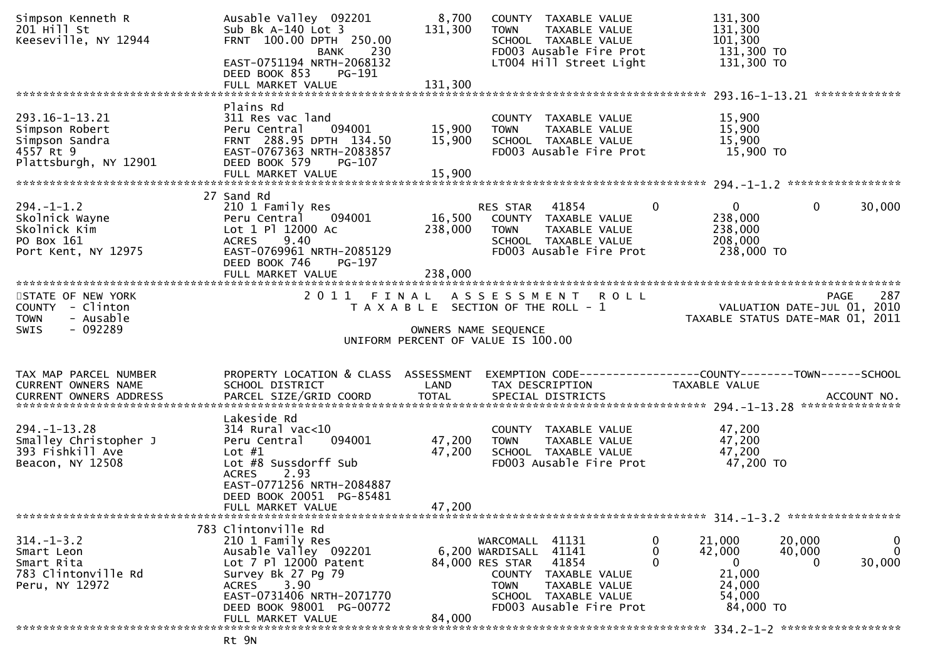| Simpson Kenneth R<br>201 Hill St<br>Keeseville, NY 12944                                     | Ausable Valley 092201<br>Sub Bk $A-140$ Lot 3<br>FRNT 100.00 DPTH 250.00<br>230<br><b>BANK</b><br>EAST-0751194 NRTH-2068132<br>DEED BOOK 853<br>PG-191                                                      | 8,700<br>131,300           | COUNTY TAXABLE VALUE<br>TAXABLE VALUE<br><b>TOWN</b><br>SCHOOL TAXABLE VALUE<br>FD003 Ausable Fire Prot<br>LT004 Hill Street Light                                              | 131,300<br>131,300<br>101,300<br>131,300 TO<br>131,300 TO                                           |                                                            |
|----------------------------------------------------------------------------------------------|-------------------------------------------------------------------------------------------------------------------------------------------------------------------------------------------------------------|----------------------------|---------------------------------------------------------------------------------------------------------------------------------------------------------------------------------|-----------------------------------------------------------------------------------------------------|------------------------------------------------------------|
|                                                                                              | Plains Rd                                                                                                                                                                                                   |                            |                                                                                                                                                                                 |                                                                                                     |                                                            |
| 293.16-1-13.21<br>Simpson Robert<br>Simpson Sandra<br>4557 Rt 9<br>Plattsburgh, NY 12901     | 311 Res vac land<br>Peru Central<br>094001<br>FRNT 288.95 DPTH 134.50<br>EAST-0767363 NRTH-2083857<br>DEED BOOK 579<br>PG-107<br>FULL MARKET VALUE                                                          | 15,900<br>15,900<br>15,900 | COUNTY TAXABLE VALUE<br>TAXABLE VALUE<br><b>TOWN</b><br>SCHOOL TAXABLE VALUE<br>FD003 Ausable Fire Prot                                                                         | 15,900<br>15,900<br>15,900<br>15,900 TO                                                             |                                                            |
|                                                                                              | 27 Sand Rd                                                                                                                                                                                                  |                            |                                                                                                                                                                                 |                                                                                                     |                                                            |
| $294. - 1 - 1.2$<br>Skolnick Wayne<br>Skolnick Kim<br>PO Box 161<br>Port Kent, NY 12975      | 210 1 Family Res<br>Peru Central<br>094001<br>Lot 1 Pl 12000 Ac<br>9.40<br><b>ACRES</b><br>EAST-0769961 NRTH-2085129<br>DEED BOOK 746<br>PG-197                                                             | 16,500<br>238,000          | RES STAR 41854<br>COUNTY TAXABLE VALUE<br>TAXABLE VALUE<br><b>TOWN</b><br>SCHOOL TAXABLE VALUE<br>FD003 Ausable Fire Prot                                                       | $\mathbf{0}$<br>$\overline{0}$<br>238,000<br>238,000<br>208,000<br>238,000 TO                       | $\mathbf{0}$<br>30,000                                     |
|                                                                                              |                                                                                                                                                                                                             |                            |                                                                                                                                                                                 |                                                                                                     |                                                            |
| STATE OF NEW YORK<br>COUNTY - Clinton<br>- Ausable<br><b>TOWN</b><br>- 092289<br><b>SWIS</b> |                                                                                                                                                                                                             |                            | 2011 FINAL ASSESSMENT ROLL<br>T A X A B L E SECTION OF THE ROLL - 1                                                                                                             | VALUATION DATE-JUL 01, 2010<br>TAXABLE STATUS DATE-MAR 01, 2011                                     | 287<br><b>PAGE</b>                                         |
|                                                                                              |                                                                                                                                                                                                             |                            |                                                                                                                                                                                 |                                                                                                     |                                                            |
|                                                                                              |                                                                                                                                                                                                             |                            | OWNERS NAME SEQUENCE<br>UNIFORM PERCENT OF VALUE IS 100.00                                                                                                                      |                                                                                                     |                                                            |
| TAX MAP PARCEL NUMBER<br><b>CURRENT OWNERS NAME</b>                                          | PROPERTY LOCATION & CLASS ASSESSMENT<br>SCHOOL DISTRICT                                                                                                                                                     | LAND                       | EXEMPTION CODE------------------COUNTY--------TOWN------SCHOOL<br>TAX DESCRIPTION                                                                                               | TAXABLE VALUE                                                                                       |                                                            |
|                                                                                              |                                                                                                                                                                                                             |                            |                                                                                                                                                                                 |                                                                                                     |                                                            |
| $294. - 1 - 13.28$<br>Smalley Christopher J<br>393 Fishkill Ave<br>Beacon, NY 12508          | Lakeside Rd<br>$314$ Rural vac<10<br>094001<br>Peru Central<br>Lot $#1$<br>Lot #8 Sussdorff Sub<br>2.93<br><b>ACRES</b><br>EAST-0771256 NRTH-2084887                                                        | 47,200<br>47,200           | COUNTY TAXABLE VALUE<br>TAXABLE VALUE<br><b>TOWN</b><br>SCHOOL TAXABLE VALUE<br>FD003 Ausable Fire Prot                                                                         | 47,200<br>47,200<br>47,200<br>47,200 TO                                                             |                                                            |
|                                                                                              | DEED BOOK 20051 PG-85481                                                                                                                                                                                    |                            |                                                                                                                                                                                 |                                                                                                     |                                                            |
|                                                                                              | FULL MARKET VALUE                                                                                                                                                                                           | 47,200                     |                                                                                                                                                                                 |                                                                                                     |                                                            |
| $314. - 1 - 3.2$<br>Smart Leon<br>Smart Rita<br>783 Clintonville Rd<br>Peru, NY 12972        | 783 Clintonville Rd<br>210 1 Family Res<br>Ausable Valley 092201<br>Lot 7 Pl 12000 Patent<br>Survey Bk 27 Pg 79<br>ACRES 3.90<br>EAST-0731406 NRTH-2071770<br>DEED BOOK 98001 PG-00772<br>FULL MARKET VALUE | 84,000                     | WARCOMALL 41131<br>6,200 WARDISALL 41141<br>84,000 RES STAR<br>41854<br>COUNTY TAXABLE VALUE<br><b>TOWN</b><br>TAXABLE VALUE<br>SCHOOL TAXABLE VALUE<br>FD003 Ausable Fire Prot | 21,000<br>0<br>0<br>42,000<br>$\Omega$<br>$\overline{0}$<br>21,000<br>24,000<br>54,000<br>84,000 TO | 20,000<br>$\bf{0}$<br>$\mathbf 0$<br>40,000<br>30,000<br>0 |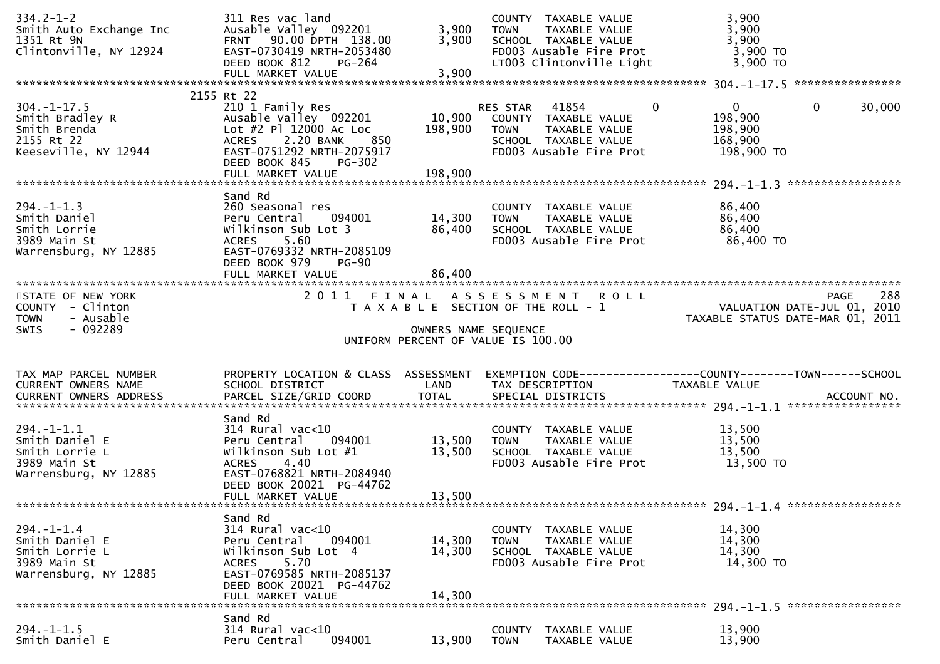| $334.2 - 1 - 2$<br>Smith Auto Exchange Inc<br>1351 Rt 9N<br>Clintonville, NY 12924            | 311 Res vac land<br>Ausable Valley 092201<br>FRNT 90.00 DPTH 138.00<br>EAST-0730419 NRTH-2053480<br>DEED BOOK 812<br>PG-264                                                                               | 3,900<br>3,900               | COUNTY TAXABLE VALUE<br><b>TOWN</b><br>TAXABLE VALUE<br>SCHOOL TAXABLE VALUE<br>FD003 Ausable Fire Prot<br>LT003 Clintonville Light | 3,900<br>3,900<br>3,900<br>3,900 TO<br>3,900 TO                                  |                    |
|-----------------------------------------------------------------------------------------------|-----------------------------------------------------------------------------------------------------------------------------------------------------------------------------------------------------------|------------------------------|-------------------------------------------------------------------------------------------------------------------------------------|----------------------------------------------------------------------------------|--------------------|
|                                                                                               |                                                                                                                                                                                                           |                              |                                                                                                                                     |                                                                                  |                    |
| $304. - 1 - 17.5$<br>Smith Bradley R<br>Smith Brenda<br>2155 Rt 22<br>Keeseville, NY 12944    | 2155 Rt 22<br>210 1 Family Res<br>Ausable Valley 092201<br>Lot #2 Pl 12000 Ac Loc<br>2.20 BANK<br><b>ACRES</b><br>850<br>EAST-0751292 NRTH-2075917<br>DEED BOOK 845<br><b>PG-302</b><br>FULL MARKET VALUE | 10,900<br>198,900<br>198,900 | 41854<br>RES STAR<br>COUNTY TAXABLE VALUE<br>TAXABLE VALUE<br>TOWN<br>SCHOOL TAXABLE VALUE<br>FD003 Ausable Fire Prot               | $\mathbf{0}$<br>$\mathbf{0}$<br>0<br>198,900<br>198,900<br>168,900<br>198,900 TO | 30,000             |
|                                                                                               | Sand Rd                                                                                                                                                                                                   |                              |                                                                                                                                     |                                                                                  |                    |
| $294. - 1 - 1.3$<br>Smith Daniel<br>Smith Lorrie<br>3989 Main St<br>Warrensburg, NY 12885     | 260 Seasonal res<br>094001<br>Peru Central<br>Wilkinson Sub Lot 3<br>5.60<br><b>ACRES</b><br>EAST-0769332 NRTH-2085109<br>DEED BOOK 979<br><b>PG-90</b>                                                   | 14,300<br>86,400             | COUNTY TAXABLE VALUE<br>TAXABLE VALUE<br><b>TOWN</b><br>SCHOOL TAXABLE VALUE<br>FD003 Ausable Fire Prot                             | 86,400<br>86,400<br>86,400<br>86,400 TO                                          |                    |
|                                                                                               |                                                                                                                                                                                                           |                              |                                                                                                                                     |                                                                                  |                    |
| STATE OF NEW YORK<br>COUNTY - Clinton<br>- Ausable<br><b>TOWN</b><br>$-092289$<br><b>SWIS</b> |                                                                                                                                                                                                           | OWNERS NAME SEQUENCE         | 2011 FINAL ASSESSMENT ROLL<br>T A X A B L E SECTION OF THE ROLL - 1<br>UNIFORM PERCENT OF VALUE IS 100.00                           | VALUATION DATE-JUL 01, 2010<br>TAXABLE STATUS DATE-MAR 01, 2011                  | 288<br><b>PAGE</b> |
|                                                                                               |                                                                                                                                                                                                           |                              |                                                                                                                                     |                                                                                  |                    |
| TAX MAP PARCEL NUMBER<br><b>CURRENT OWNERS NAME</b>                                           | PROPERTY LOCATION & CLASS ASSESSMENT<br>SCHOOL DISTRICT<br><b>Example 18 The LAND</b>                                                                                                                     |                              | TAX DESCRIPTION                                                                                                                     | EXEMPTION CODE------------------COUNTY--------TOWN------SCHOOL<br>TAXABLE VALUE  |                    |
| $294. - 1 - 1.1$<br>Smith Daniel E<br>Smith Lorrie L<br>3989 Main St<br>Warrensburg, NY 12885 | Sand Rd<br>$314$ Rural vac< $10$<br>Peru Central<br>094001<br>Wilkinson Sub Lot #1<br>4.40<br><b>ACRES</b><br>EAST-0768821 NRTH-2084940<br>DEED BOOK 20021 PG-44762<br>FULL MARKET VALUE                  | 13,500<br>13,500<br>13,500   | COUNTY TAXABLE VALUE<br><b>TOWN</b><br>TAXABLE VALUE<br>SCHOOL TAXABLE VALUE<br>FD003 Ausable Fire Prot                             | 13,500<br>13,500<br>13,500<br>13,500 TO                                          |                    |
|                                                                                               | Sand Rd                                                                                                                                                                                                   |                              |                                                                                                                                     |                                                                                  |                    |
| $294. - 1 - 1.4$<br>Smith Daniel E<br>Smith Lorrie L<br>3989 Main St<br>Warrensburg, NY 12885 | 314 Rural vac<10<br>Peru Central<br>094001<br>Wilkinson Sub Lot 4<br>5.70<br><b>ACRES</b><br>EAST-0769585 NRTH-2085137<br>DEED BOOK 20021 PG-44762<br>FULL MARKET VALUE                                   | 14,300<br>14,300<br>14,300   | COUNTY<br>TAXABLE VALUE<br><b>TOWN</b><br>TAXABLE VALUE<br>SCHOOL TAXABLE VALUE<br>FD003 Ausable Fire Prot                          | 14,300<br>14,300<br>14,300<br>14,300 TO                                          |                    |
|                                                                                               | Sand Rd                                                                                                                                                                                                   |                              |                                                                                                                                     |                                                                                  |                    |
| $294. - 1 - 1.5$<br>Smith Daniel E                                                            | $314$ Rural vac<10<br>094001<br>Peru Central                                                                                                                                                              | 13,900                       | <b>COUNTY</b><br>TAXABLE VALUE<br>TAXABLE VALUE<br><b>TOWN</b>                                                                      | 13,900<br>13,900                                                                 |                    |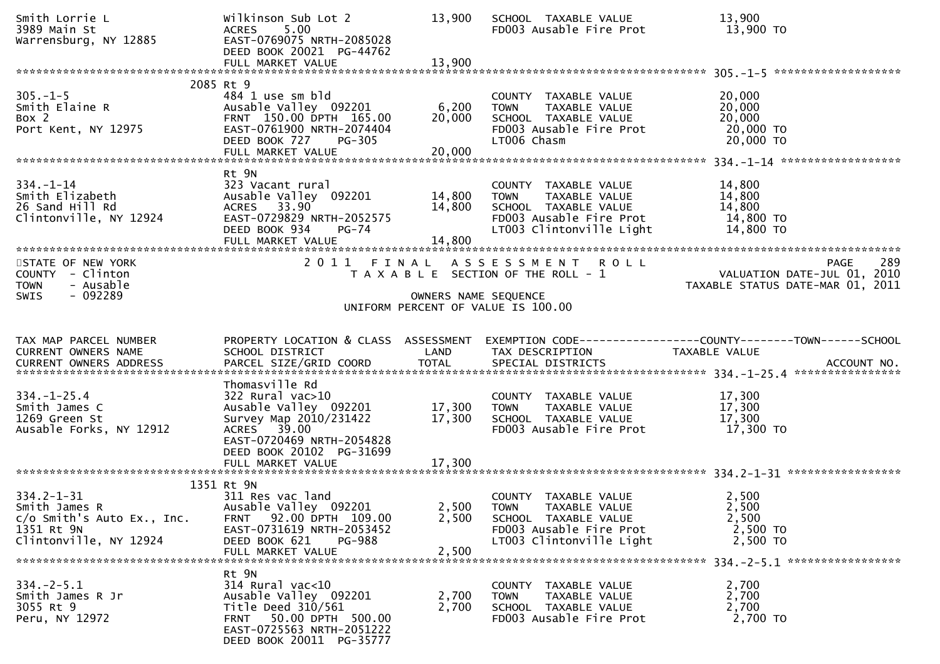| Smith Lorrie L<br>3989 Main St<br>Warrensburg, NY 12885                                                 | Wilkinson Sub Lot 2<br>ACRES 5.00<br>EAST-0769075 NRTH-2085028<br>DEED BOOK 20021 PG-44762                                                                            | 13,900                     | SCHOOL TAXABLE VALUE<br>FD003 Ausable Fire Prot                                                                                    | 13,900<br>13,900 TO                                                                                                                                                  |
|---------------------------------------------------------------------------------------------------------|-----------------------------------------------------------------------------------------------------------------------------------------------------------------------|----------------------------|------------------------------------------------------------------------------------------------------------------------------------|----------------------------------------------------------------------------------------------------------------------------------------------------------------------|
|                                                                                                         | 2085 Rt 9                                                                                                                                                             |                            |                                                                                                                                    |                                                                                                                                                                      |
| $305. - 1 - 5$<br>Smith Elaine R<br>Box 2<br>Port Kent, NY 12975                                        | 484 1 use sm bld<br>Ausable Valley 092201<br>FRNT 150.00 DPTH 165.00<br>EAST-0761900 NRTH-2074404<br>DEED BOOK 727<br><b>PG-305</b>                                   | 6,200<br>20,000            | COUNTY TAXABLE VALUE<br>TAXABLE VALUE<br><b>TOWN</b><br>SCHOOL TAXABLE VALUE<br>FD003 Ausable Fire Prot<br>LT006 Chasm             | 20,000<br>20,000<br>20,000<br>20,000 TO<br>20,000 TO                                                                                                                 |
|                                                                                                         | Rt 9N                                                                                                                                                                 |                            |                                                                                                                                    |                                                                                                                                                                      |
| $334. - 1 - 14$<br>Smith Elizabeth<br>26 Sand Hill Rd<br>Clintonville, NY 12924                         | 323 Vacant rural<br>Ausable Valley 092201<br>ACRES 33.90<br>EAST-0729829 NRTH-2052575<br>DEED BOOK 934<br><b>PG-74</b><br>FULL MARKET VALUE                           | 14,800<br>14,800<br>14,800 | COUNTY TAXABLE VALUE<br>TOWN TAXABLE VALUE<br>SCHOOL TAXABLE VALUE<br>FD003 Ausable Fire Prot<br>LT003 Clintonville Light          | 14,800<br>14,800<br>14,800<br>14,800 TO<br>14,800 TO                                                                                                                 |
| STATE OF NEW YORK<br>COUNTY - Clinton<br>- Ausable<br><b>TOWN</b><br>$-092289$                          |                                                                                                                                                                       |                            | 2011 FINAL ASSESSMENT ROLL                                                                                                         | 289<br><b>PAGE</b><br>لام 1 A L A S S E S S M E N T R O L L<br>T A X A B L E SECTION OF THE ROLL - 1 VALUATION DATE-JUL 01, 2010<br>TAXABLE STATUS DATE-MAR 01, 2011 |
| <b>SWIS</b>                                                                                             |                                                                                                                                                                       | OWNERS NAME SEQUENCE       | UNIFORM PERCENT OF VALUE IS 100.00                                                                                                 |                                                                                                                                                                      |
|                                                                                                         |                                                                                                                                                                       |                            |                                                                                                                                    |                                                                                                                                                                      |
| TAX MAP PARCEL NUMBER<br>CURRENT OWNERS NAME                                                            | PROPERTY LOCATION & CLASS ASSESSMENT<br>SCHOOL DISTRICT                                                                                                               | LAND                       | TAX DESCRIPTION                                                                                                                    | EXEMPTION CODE------------------COUNTY--------TOWN------SCHOOL<br>TAXABLE VALUE                                                                                      |
| $334. - 1 - 25.4$<br>Smith James C<br>1269 Green St                                                     | Thomasville Rd<br>$322$ Rural vac $>10$<br>Ausable Valley 092201                                                                                                      |                            | COUNTY TAXABLE VALUE                                                                                                               | 17,300                                                                                                                                                               |
| Ausable Forks, NY 12912                                                                                 | Survey Map 2010/231422<br>ACRES 39.00<br>EAST-0720469 NRTH-2054828<br>DEED BOOK 20102 PG-31699                                                                        | 17,300<br>17,300           | TAXABLE VALUE<br><b>TOWN</b><br>SCHOOL TAXABLE VALUE<br>FD003 Ausable Fire Prot                                                    | 17,300<br>17,300<br>$17,300$ TO                                                                                                                                      |
|                                                                                                         | FULL MARKET VALUE                                                                                                                                                     | 17,300                     |                                                                                                                                    |                                                                                                                                                                      |
| $334.2 - 1 - 31$<br>Smith James R<br>c/o Smith's Auto Ex., Inc.<br>1351 Rt 9N<br>Clintonville, NY 12924 | 1351 Rt 9N<br>311 Res vac land<br>Ausable Valley 092201<br>FRNT 92.00 DPTH 109.00<br>EAST-0731619 NRTH-2053452<br>DEED BOOK 621<br><b>PG-988</b><br>FULL MARKET VALUE | 2,500<br>2,500             | COUNTY TAXABLE VALUE<br>2,500 TOWN<br>TAXABLE VALUE<br>SCHOOL TAXABLE VALUE<br>FD003 Ausable Fire Prot<br>LT003 Clintonville Light | 2,500<br>2,500<br>2,500<br>2,500 TO<br>2,500 TO                                                                                                                      |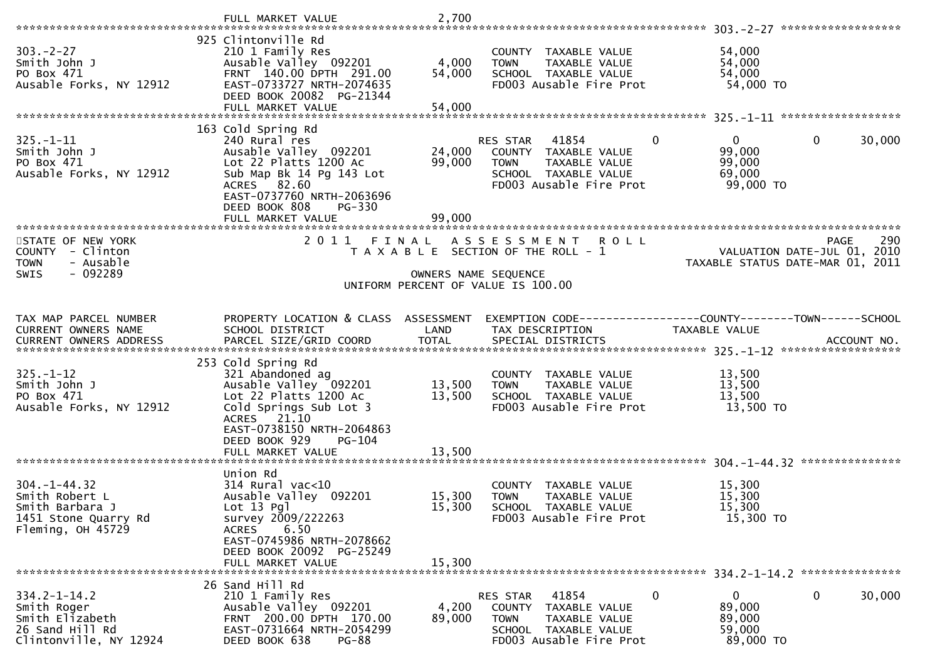|                                                                                                      | FULL MARKET VALUE                                                                                                                                                                                | 2,700                     |                                                                                                                                              |                                                                                     |
|------------------------------------------------------------------------------------------------------|--------------------------------------------------------------------------------------------------------------------------------------------------------------------------------------------------|---------------------------|----------------------------------------------------------------------------------------------------------------------------------------------|-------------------------------------------------------------------------------------|
| $303 - 2 - 27$<br>Smith John J<br>PO Box 471<br>Ausable Forks, NY 12912                              | 925 Clintonville Rd<br>210 1 Family Res<br>Ausable Valley 092201<br>FRNT 140.00 DPTH 291.00<br>EAST-0733727 NRTH-2074635<br>DEED BOOK 20082 PG-21344<br>FULL MARKET VALUE                        | 4,000<br>54,000<br>54,000 | COUNTY TAXABLE VALUE<br>TAXABLE VALUE<br><b>TOWN</b><br>SCHOOL TAXABLE VALUE<br>FD003 Ausable Fire Prot                                      | 54,000<br>54,000<br>54,000<br>54,000 TO                                             |
|                                                                                                      |                                                                                                                                                                                                  |                           |                                                                                                                                              |                                                                                     |
| $325. - 1 - 11$<br>Smith John J<br>PO Box 471<br>Ausable Forks, NY 12912                             | 163 Cold Spring Rd<br>240 Rural res<br>Ausable Valley 092201<br>Lot 22 Platts 1200 Ac<br>Sub Map Bk 14 Pg 143 Lot<br>ACRES 82.60<br>EAST-0737760 NRTH-2063696<br>DEED BOOK 808<br>PG-330         | 24,000<br>99,000          | $\mathbf{0}$<br>RES STAR<br>41854<br>COUNTY TAXABLE VALUE<br><b>TOWN</b><br>TAXABLE VALUE<br>SCHOOL TAXABLE VALUE<br>FD003 Ausable Fire Prot | $\overline{0}$<br>$\mathbf{0}$<br>30,000<br>99,000<br>99,000<br>69,000<br>99,000 TO |
|                                                                                                      | FULL MARKET VALUE                                                                                                                                                                                | 99,000                    |                                                                                                                                              |                                                                                     |
| STATE OF NEW YORK<br>COUNTY - Clinton<br>- Ausable<br><b>TOWN</b><br>$-092289$<br><b>SWIS</b>        | 2011 FINAL                                                                                                                                                                                       | OWNERS NAME SEQUENCE      | ASSESSMENT ROLL<br>T A X A B L E SECTION OF THE ROLL - 1<br>UNIFORM PERCENT OF VALUE IS 100.00                                               | 290<br>PAGE<br>VALUATION DATE-JUL 01, 2010<br>TAXABLE STATUS DATE-MAR 01, 2011      |
|                                                                                                      |                                                                                                                                                                                                  |                           |                                                                                                                                              |                                                                                     |
| TAX MAP PARCEL NUMBER<br>CURRENT OWNERS NAME                                                         | PROPERTY LOCATION & CLASS ASSESSMENT<br>SCHOOL DISTRICT                                                                                                                                          | LAND                      | TAX DESCRIPTION                                                                                                                              | EXEMPTION CODE-----------------COUNTY-------TOWN------SCHOOL<br>TAXABLE VALUE       |
|                                                                                                      |                                                                                                                                                                                                  |                           |                                                                                                                                              |                                                                                     |
| $325. - 1 - 12$<br>Smith John J<br>PO Box 471<br>Ausable Forks, NY 12912                             | 253 Cold Spring Rd<br>321 Abandoned ag<br>Ausable Valley 092201<br>Lot 22 Platts 1200 Ac<br>Cold Springs Sub Lot 3<br>ACRES 21.10<br>EAST-0738150 NRTH-2064863<br>DEED BOOK 929<br><b>PG-104</b> | 13,500<br>13,500          | COUNTY TAXABLE VALUE<br><b>TOWN</b><br>TAXABLE VALUE<br>SCHOOL TAXABLE VALUE<br>FD003 Ausable Fire Prot                                      | 13,500<br>13,500<br>13,500<br>13,500 TO                                             |
|                                                                                                      |                                                                                                                                                                                                  |                           |                                                                                                                                              |                                                                                     |
| $304. - 1 - 44.32$<br>Smith Robert L<br>Smith Barbara J<br>1451 Stone Quarry Rd<br>Fleming, OH 45729 | Union Rd<br>$314$ Rural vac<10<br>Ausable Valley 092201<br>$Lot 13$ $Pq$ ]<br>survey 2009/222263<br>6.50<br><b>ACRES</b><br>EAST-0745986 NRTH-2078662<br>DEED BOOK 20092 PG-25249                | 15,300<br>15,300          | COUNTY TAXABLE VALUE<br><b>TOWN</b><br>TAXABLE VALUE<br>SCHOOL TAXABLE VALUE<br>FD003 Ausable Fire Prot                                      | 15,300<br>15,300<br>15,300<br>15,300 TO                                             |
|                                                                                                      | FULL MARKET VALUE                                                                                                                                                                                | 15,300                    |                                                                                                                                              |                                                                                     |
| $334.2 - 1 - 14.2$<br>Smith Roger<br>Smith Elizabeth<br>26 Sand Hill Rd<br>Clintonville, NY 12924    | 26 Sand Hill Rd<br>210 1 Family Res<br>Ausable Valley 092201<br>FRNT 200.00 DPTH 170.00<br>EAST-0731664 NRTH-2054299<br>DEED BOOK 638<br><b>PG-88</b>                                            | 4,200<br>89,000           | 41854<br>0<br>RES STAR<br>COUNTY TAXABLE VALUE<br>TAXABLE VALUE<br><b>TOWN</b><br>SCHOOL TAXABLE VALUE<br>FD003 Ausable Fire Prot            | 0<br>0<br>30,000<br>89,000<br>89,000<br>59,000<br>89,000 TO                         |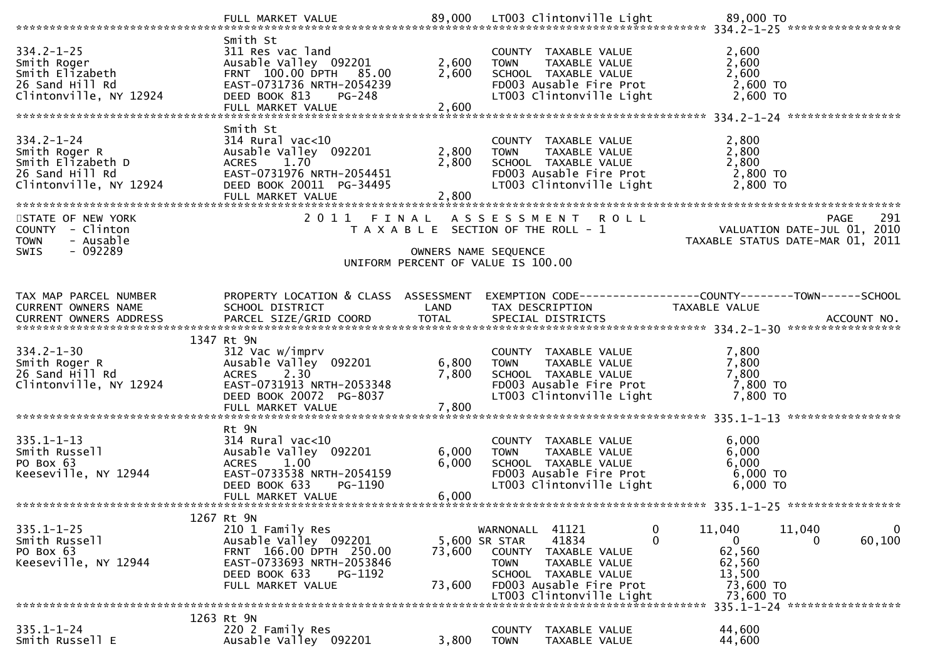| $334.2 - 1 - 25$<br>Smith Roger<br>Smith Elizabeth<br>26 Sand Hill Rd<br>Clintonville, NY 12924     | Smith St<br>311 Res vac land<br>Ausable Valley 092201<br>FRNT 100.00 DPTH 85.00<br>EAST-0731736 NRTH-2054239<br>DEED BOOK 813<br>PG-248<br>FULL MARKET VALUE     | 2,600<br>2,600<br>2,600 | COUNTY TAXABLE VALUE<br>TAXABLE VALUE<br><b>TOWN</b><br>SCHOOL TAXABLE VALUE<br>FD003 Ausable Fire Prot<br>LT003 Clintonville Light                                                           | 2,600<br>2,600<br>2,600<br>2,600 TO<br>$2,600$ TO                                               |                                                                                       |
|-----------------------------------------------------------------------------------------------------|------------------------------------------------------------------------------------------------------------------------------------------------------------------|-------------------------|-----------------------------------------------------------------------------------------------------------------------------------------------------------------------------------------------|-------------------------------------------------------------------------------------------------|---------------------------------------------------------------------------------------|
| $334.2 - 1 - 24$<br>Smith Roger R<br>Smith Elizabeth D<br>26 Sand Hill Rd<br>Clintonville, NY 12924 | Smith St<br>$314$ Rural vac< $10$<br>Ausable Valley 092201<br>ACRES 1.70<br>EAST-0731976 NRTH-2054451<br>DEED BOOK 20011 PG-34495<br>FULL MARKET VALUE           | 2,800<br>2,800<br>2,800 | COUNTY TAXABLE VALUE<br>TAXABLE VALUE<br><b>TOWN</b><br>SCHOOL TAXABLE VALUE<br>FD003 Ausable Fire Prot<br>LT003 Clintonville Light                                                           | 2,800<br>2,800<br>2,800<br>2,800 TO<br>2,800 TO                                                 |                                                                                       |
| STATE OF NEW YORK<br>COUNTY - Clinton<br><b>TOWN</b><br>- Ausable<br>$-092289$<br><b>SWIS</b>       |                                                                                                                                                                  |                         | 2011 FINAL ASSESSMENT ROLL<br>T A X A B L E SECTION OF THE ROLL - 1<br>OWNERS NAME SEQUENCE<br>UNIFORM PERCENT OF VALUE IS 100.00                                                             |                                                                                                 | 291<br><b>PAGE</b><br>VALUATION DATE-JUL 01, 2010<br>TAXABLE STATUS DATE-MAR 01, 2011 |
| TAX MAP PARCEL NUMBER<br>CURRENT OWNERS NAME                                                        | PROPERTY LOCATION & CLASS ASSESSMENT<br>SCHOOL DISTRICT                                                                                                          | LAND                    | EXEMPTION CODE------------------COUNTY--------TOWN------SCHOOL<br>TAX DESCRIPTION                                                                                                             | TAXABLE VALUE                                                                                   |                                                                                       |
| $334.2 - 1 - 30$<br>Smith Roger R<br>26 Sand Hill Rd<br>Clintonville, NY 12924                      | 1347 Rt 9N<br>312 Vac w/imprv<br>Ausable Valley 092201<br>2.30<br><b>ACRES</b><br>EAST-0731913 NRTH-2053348<br>DEED BOOK 20072 PG-8037                           | 6,800<br>7,800          | COUNTY TAXABLE VALUE<br>TAXABLE VALUE<br><b>TOWN</b><br>SCHOOL TAXABLE VALUE<br>FD003 Ausable Fire Prot<br>LT003 Clintonville Light                                                           | 7,800<br>7,800<br>7,800<br>7,800 TO<br>7,800 TO                                                 |                                                                                       |
| $335.1 - 1 - 13$<br>Smith Russell<br>PO Box 63<br>Keeseville, NY 12944                              | Rt 9N<br>$314$ Rural vac<10<br>Ausable Valley 092201<br><b>ACRES</b><br>1.00<br>EAST-0733538 NRTH-2054159<br>DEED BOOK 633<br>PG-1190<br>FULL MARKET VALUE       | 6,000<br>6,000<br>6,000 | COUNTY TAXABLE VALUE<br><b>TOWN</b><br>TAXABLE VALUE<br>SCHOOL TAXABLE VALUE<br>FD003 Ausable Fire Prot<br>LT003 Clintonville Light                                                           | 6,000<br>6,000<br>6,000<br>6,000 TO<br>$6,000$ TO                                               |                                                                                       |
| $335.1 - 1 - 25$<br>Smith Russell<br>PO Box 63<br>Keeseville, NY 12944                              | 1267 Rt 9N<br>210 1 Family Res<br>Ausable Valley 092201<br>FRNT 166.00 DPTH 250.00<br>EAST-0733693 NRTH-2053846<br>DEED BOOK 633<br>PG-1192<br>FULL MARKET VALUE | 73,600<br>73,600        | 41121<br>WARNONALL<br>5,600 SR STAR<br>41834<br><b>COUNTY</b><br>TAXABLE VALUE<br><b>TOWN</b><br>TAXABLE VALUE<br>SCHOOL TAXABLE VALUE<br>FD003 Ausable Fire Prot<br>LT003 Clintonville Light | 11,040<br>0<br>$\Omega$<br>$\mathbf{0}$<br>62,560<br>62,560<br>13,500<br>73,600 TO<br>73,600 TO | 11,040<br>$\bf{0}$<br>60,100<br>0                                                     |
| $335.1 - 1 - 24$<br>Smith Russell E                                                                 | 1263 Rt 9N<br>220 2 Family Res<br>Ausable Valley 092201                                                                                                          | 3,800                   | <b>COUNTY</b><br>TAXABLE VALUE<br><b>TOWN</b><br>TAXABLE VALUE                                                                                                                                | 44,600<br>44,600                                                                                | 335.1-1-24 ******************                                                         |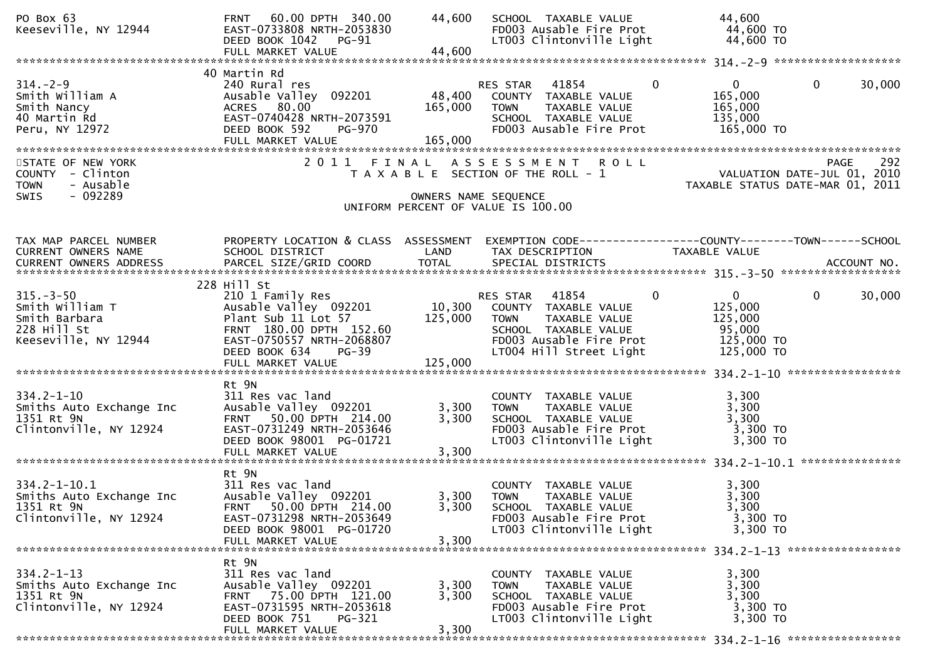| PO Box 63<br>Keeseville, NY 12944                                                          | 60.00 DPTH 340.00<br><b>FRNT</b><br>EAST-0733808 NRTH-2053830<br>DEED BOOK 1042<br>$PG-91$                                                                          | 44,600                  | SCHOOL TAXABLE VALUE<br>FD003 Ausable Fire Prot<br>LT003 Clintonville Light                                                                                             | 44,600<br>44,600 TO<br>44,600 TO                                                                       |
|--------------------------------------------------------------------------------------------|---------------------------------------------------------------------------------------------------------------------------------------------------------------------|-------------------------|-------------------------------------------------------------------------------------------------------------------------------------------------------------------------|--------------------------------------------------------------------------------------------------------|
| $314. - 2 - 9$<br>Smith William A<br>Smith Nancy<br>40 Martin Rd<br>Peru, NY 12972         | 40 Martin Rd<br>240 Rural res<br>Ausable Valley 092201<br>ACRES 80.00<br>EAST-0740428 NRTH-2073591<br>DEED BOOK 592<br>PG-970<br>FULL MARKET VALUE                  | 165,000<br>165,000      | $\mathbf{0}$<br>RES STAR 41854<br>48,400 COUNTY TAXABLE VALUE<br>TAXABLE VALUE<br>TOWN<br>SCHOOL TAXABLE VALUE<br>FD003 Ausable Fire Prot                               | $\mathbf{0}$<br>30,000<br>$\mathbf{0}$<br>165,000<br>165,000<br>135,000<br>165,000 TO                  |
| STATE OF NEW YORK<br>COUNTY - Clinton<br>- Ausable<br><b>TOWN</b><br>$-092289$<br>SWIS     |                                                                                                                                                                     | OWNERS NAME SEQUENCE    | 2011 FINAL ASSESSMENT ROLL<br>T A X A B L E SECTION OF THE ROLL - 1<br>UNIFORM PERCENT OF VALUE IS 100.00                                                               | PAGE 292<br>VALUATION DATE-JUL 01, 2010<br>TAXABLE STATUS DATE-MAR 01, 2011                            |
| TAX MAP PARCEL NUMBER<br>CURRENT OWNERS NAME                                               | PROPERTY LOCATION & CLASS ASSESSMENT<br><b>Example 18 The LAND</b><br>SCHOOL DISTRICT                                                                               |                         | TAX DESCRIPTION                                                                                                                                                         | TAXABLE VALUE                                                                                          |
| $315. - 3 - 50$<br>Smith William T<br>Smith Barbara<br>228 Hill St<br>Keeseville, NY 12944 | 228 Hill St<br>210 1 Family Res<br>Ausable Valley 092201<br>Plant Sub 11 Lot 57<br>FRNT 180.00 DPTH 152.60<br>EAST-0750557 NRTH-2068807<br>DEED BOOK 634<br>$PG-39$ | 125,000                 | $\sim$ 0<br>RES STAR 41854<br>10,300 COUNTY TAXABLE VALUE<br><b>TOWN</b><br>TAXABLE VALUE<br>SCHOOL TAXABLE VALUE<br>FD003 Ausable Fire Prot<br>LT004 Hill Street Light | $0 \qquad \qquad$<br>$\mathbf 0$<br>30,000<br>125,000<br>125,000<br>95,000<br>125,000 TO<br>125,000 TO |
| $334.2 - 1 - 10$<br>Smiths Auto Exchange Inc<br>1351 Rt 9N<br>Clintonville, NY 12924       | Rt 9N<br>311 Res vac land<br>Ausable Valley 092201<br>FRNT 50.00 DPTH 214.00<br>EAST-0731249 NRTH-2053646<br>DEED BOOK 98001 PG-01721<br>FULL MARKET VALUE          | 3,300<br>3,300<br>3,300 | COUNTY TAXABLE VALUE<br>TAXABLE VALUE<br><b>TOWN</b><br>SCHOOL TAXABLE VALUE<br>FD003 Ausable Fire Prot<br>LT003 Clintonville Light                                     | 3,300<br>3,300<br>3,300<br>3,300 TO<br>3,300 TO                                                        |
| $334.2 - 1 - 10.1$<br>Smiths Auto Exchange Inc<br>1351 Rt 9N<br>Clintonville, NY 12924     | Rt 9N<br>311 Res vac land<br>Ausable Valley 092201<br>FRNT 50.00 DPTH 214.00<br>EAST-0731298 NRTH-2053649<br>DEED BOOK 98001 PG-01720<br>FULL MARKET VALUE          | 3,300<br>3,300<br>3,300 | COUNTY TAXABLE VALUE<br><b>TOWN</b><br>TAXABLE VALUE<br>SCHOOL TAXABLE VALUE<br>FD003 Ausable Fire Prot<br>LT003 Clintonville Light                                     | 3,300<br>3,300<br>$3,300$<br>$3,300$ TO<br>3,300 TO                                                    |
| $334.2 - 1 - 13$<br>Smiths Auto Exchange Inc<br>1351 Rt 9N<br>Clintonville, NY 12924       | Rt 9N<br>311 Res vac land<br>Ausable Valley 092201<br>FRNT 75.00 DPTH 121.00<br>EAST-0731595 NRTH-2053618<br>DEED BOOK 751<br>PG-321<br>FULL MARKET VALUE           | 3,300<br>3,300<br>3,300 | COUNTY TAXABLE VALUE<br>TAXABLE VALUE<br><b>TOWN</b><br>SCHOOL TAXABLE VALUE<br>FD003 Ausable Fire Prot<br>LT003 Clintonville Light                                     | 3,300<br>3,300<br>3,300<br>3,300 TO<br>3,300 TO                                                        |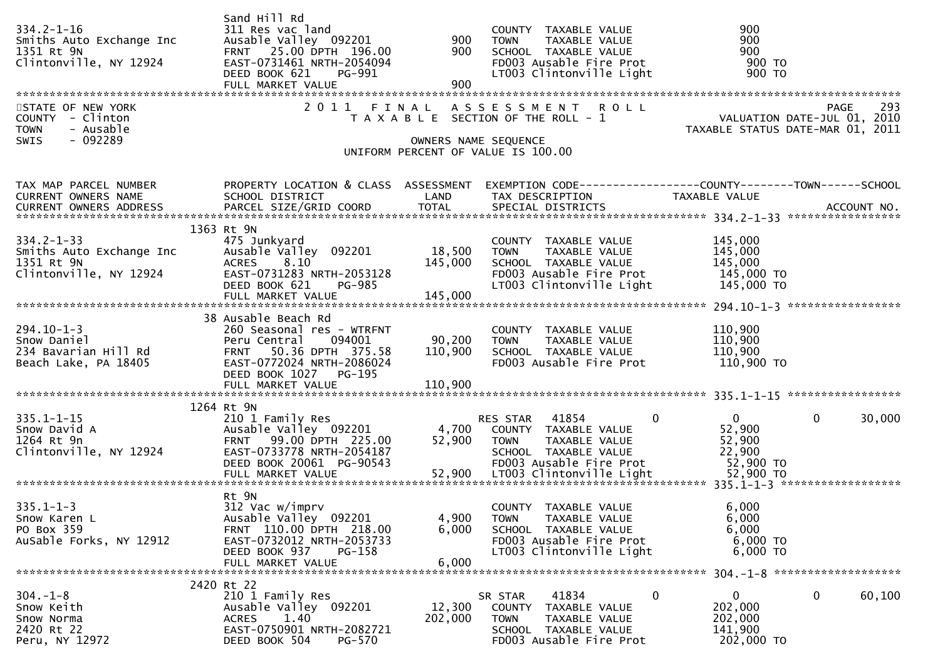| $334.2 - 1 - 16$<br>Smiths Auto Exchange Inc<br>1351 Rt 9N<br>Clintonville, NY 12924<br>STATE OF NEW YORK<br>COUNTY - Clinton<br><b>TOWN</b><br>- Ausable | Sand Hill Rd<br>311 Res vac land<br>Ausable Valley 092201<br>FRNT 25.00 DPTH 196.00<br>EAST-0731461 NRTH-2054094<br>DEED BOOK 621<br>PG-991<br>FULL MARKET VALUE | 900<br>900<br>900            | COUNTY TAXABLE VALUE<br><b>TOWN</b><br>TAXABLE VALUE<br>SCHOOL TAXABLE VALUE<br>FD003 Ausable Fire Prot<br>LT003 Clintonville Light<br>2011 FINAL ASSESSMENT ROLL<br>T A X A B L E SECTION OF THE ROLL - 1 | 900<br>900<br>900<br>900 то<br>900 TO<br>293<br>PAGE<br>PAGE 293<br>VALUATION DATE-JUL 01, 2010<br>TAXABLE STATUS DATE-MAR 01, 2011 |
|-----------------------------------------------------------------------------------------------------------------------------------------------------------|------------------------------------------------------------------------------------------------------------------------------------------------------------------|------------------------------|------------------------------------------------------------------------------------------------------------------------------------------------------------------------------------------------------------|-------------------------------------------------------------------------------------------------------------------------------------|
| $-092289$<br><b>SWIS</b>                                                                                                                                  |                                                                                                                                                                  |                              | OWNERS NAME SEQUENCE<br>UNIFORM PERCENT OF VALUE IS 100.00                                                                                                                                                 |                                                                                                                                     |
| TAX MAP PARCEL NUMBER<br>CURRENT OWNERS NAME                                                                                                              | SCHOOL DISTRICT                                                                                                                                                  | LAND                         | TAX DESCRIPTION                                                                                                                                                                                            | PROPERTY LOCATION & CLASS ASSESSMENT EXEMPTION CODE----------------COUNTY-------TOWN------SCHOOL<br>TAXABLE VALUE                   |
| $334.2 - 1 - 33$<br>Smiths Auto Exchange Inc<br>1351 Rt 9N<br>Clintonville, NY 12924                                                                      | 1363 Rt 9N<br>475 Junkyard<br>Ausable Valley 092201<br>ACRES 8.10<br>EAST-0731283 NRTH-2053128<br>DEED BOOK 621<br><b>PG-985</b>                                 | 18,500<br>145,000            | COUNTY TAXABLE VALUE<br>TAXABLE VALUE<br><b>TOWN</b><br>SCHOOL TAXABLE VALUE<br>FD003 Ausable Fire Prot<br>LT003 Clintonville Light                                                                        | 145,000<br>145,000<br>145,000<br>145,000 TO<br>145,000 TO                                                                           |
| $294.10 - 1 - 3$                                                                                                                                          | 38 Ausable Beach Rd<br>260 Seasonal res - WTRFNT                                                                                                                 |                              | COUNTY TAXABLE VALUE                                                                                                                                                                                       | 110,900                                                                                                                             |
| Snow Daniel<br>234 Bavarian Hill Rd<br>Beach Lake, PA 18405                                                                                               | Peru Central 094001<br>50.36 DPTH 375.58<br><b>FRNT</b><br>EAST-0772024 NRTH-2086024<br>DEED BOOK 1027 PG-195<br>FULL MARKET VALUE                               | 90,200<br>110,900<br>110,900 | <b>TOWN</b><br>TAXABLE VALUE<br>SCHOOL TAXABLE VALUE<br>FD003 Ausable Fire Prot                                                                                                                            | 110,900<br>110,900<br>110,900 TO                                                                                                    |
|                                                                                                                                                           | 1264 Rt 9N                                                                                                                                                       |                              |                                                                                                                                                                                                            |                                                                                                                                     |
| $335.1 - 1 - 15$<br>Snow David A<br>1264 Rt 9n<br>Clintonville, NY 12924                                                                                  | 210 1 Family Res<br>Ausable Valley 092201<br>FRNT 99.00 DPTH 225.00<br>EAST-0733778 NRTH-2054187<br>DEED BOOK 20061 PG-90543<br>FULL MARKET VALUE                | 52,900<br>52,900             | $\Omega$<br>RES STAR 41854<br>4,700 COUNTY TAXABLE VALUE<br><b>TOWN</b><br>TAXABLE VALUE<br>SCHOOL TAXABLE VALUE<br>FD003 Ausable Fire Prot<br>LT003 Clintonville Light                                    | $\mathbf{0}$<br>30,000<br>$\mathbf{0}$<br>52,900<br>52,900<br>22,900<br>52,900 TO<br>52,900 TO                                      |
|                                                                                                                                                           | Rt 9N                                                                                                                                                            |                              |                                                                                                                                                                                                            |                                                                                                                                     |
| $335.1 - 1 - 3$<br>Snow Karen L<br>PO Box 359<br>AuSable Forks, NY 12912                                                                                  | 312 Vac w/imprv<br>Ausable Valley 092201<br>FRNT 110.00 DPTH 218.00<br>EAST-0732012 NRTH-2053733<br>DEED BOOK 937<br>PG-158                                      | 4,900<br>6,000               | COUNTY TAXABLE VALUE<br><b>TOWN</b><br>TAXABLE VALUE<br>SCHOOL TAXABLE VALUE<br>FD003 Ausable Fire Prot<br>LT003 Clintonville Light                                                                        | 6,000<br>6,000<br>6,000<br>$6,000$ TO<br>6,000 TO                                                                                   |
|                                                                                                                                                           | FULL MARKET VALUE                                                                                                                                                | 6,000                        |                                                                                                                                                                                                            |                                                                                                                                     |
| $304. - 1 - 8$<br>Snow Keith<br>Snow Norma<br>2420 Rt 22<br>Peru, NY 12972                                                                                | 2420 Rt 22<br>210 1 Family Res<br>Ausable Valley 092201<br>ACRES<br>1.40<br>EAST-0750901 NRTH-2082721<br>DEED BOOK 504<br>PG-570                                 | 12,300<br>202,000            | 41834<br>0<br>SR STAR<br>COUNTY TAXABLE VALUE<br>TOWN<br>TAXABLE VALUE<br>SCHOOL TAXABLE VALUE<br>FD003 Ausable Fire Prot                                                                                  | $\mathbf{0}$<br>$\mathbf{0}$<br>60,100<br>202,000<br>202,000<br>141,900<br>202,000 TO                                               |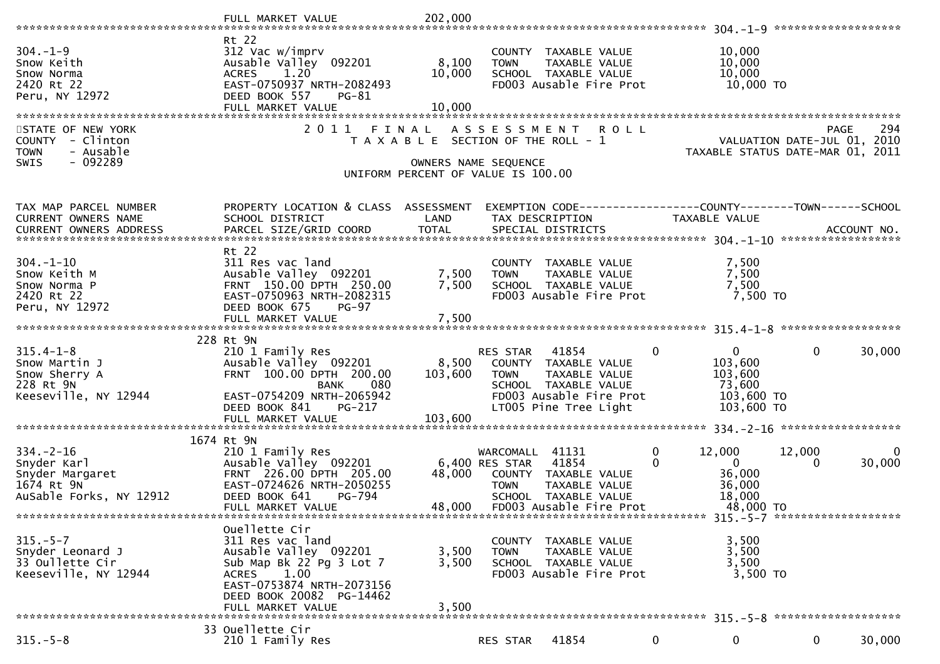|                                                                                                         | FULL MARKET VALUE                                                                                                                                                | 202,000                                                                                             |                                                  |                                                                                                                   |                                                                 |                                                                            |                |             |
|---------------------------------------------------------------------------------------------------------|------------------------------------------------------------------------------------------------------------------------------------------------------------------|-----------------------------------------------------------------------------------------------------|--------------------------------------------------|-------------------------------------------------------------------------------------------------------------------|-----------------------------------------------------------------|----------------------------------------------------------------------------|----------------|-------------|
|                                                                                                         |                                                                                                                                                                  |                                                                                                     |                                                  |                                                                                                                   |                                                                 |                                                                            |                |             |
| $304. - 1 - 9$<br>Snow Keith<br>Snow Norma<br>2420 Rt 22<br>Peru, NY 12972                              | Rt 22<br>312 Vac w/imprv<br>Ausable Valley 092201<br><b>ACRES</b><br>1.20<br>EAST-0750937 NRTH-2082493<br>DEED BOOK 557<br>$PG-81$<br>FULL MARKET VALUE          | 8,100<br>10,000<br>10,000                                                                           | <b>TOWN</b>                                      | COUNTY TAXABLE VALUE<br>TAXABLE VALUE<br>SCHOOL TAXABLE VALUE<br>FD003 Ausable Fire Prot                          |                                                                 | 10,000<br>10,000<br>10,000<br>10,000 TO                                    |                |             |
|                                                                                                         |                                                                                                                                                                  |                                                                                                     |                                                  |                                                                                                                   |                                                                 |                                                                            |                |             |
| STATE OF NEW YORK<br>COUNTY - Clinton<br>- Ausable<br><b>TOWN</b><br>$-092289$<br><b>SWIS</b>           | 2011                                                                                                                                                             | T A X A B L E SECTION OF THE ROLL - 1<br>OWNERS NAME SEQUENCE<br>UNIFORM PERCENT OF VALUE IS 100.00 |                                                  | FINAL ASSESSMENT ROLL                                                                                             | VALUATION DATE-JUL 01, 2010<br>TAXABLE STATUS DATE-MAR 01, 2011 |                                                                            | PAGE           | 294         |
| TAX MAP PARCEL NUMBER<br>CURRENT OWNERS NAME<br><b>CURRENT OWNERS ADDRESS</b>                           | PROPERTY LOCATION & CLASS ASSESSMENT<br>SCHOOL DISTRICT                                                                                                          | LAND                                                                                                |                                                  | EXEMPTION CODE-----------------COUNTY--------TOWN------SCHOOL<br>TAX DESCRIPTION                                  | TAXABLE VALUE                                                   |                                                                            |                |             |
| $304. - 1 - 10$<br>Snow Keith M<br>Snow Norma P<br>2420 Rt 22<br>Peru, NY 12972                         | Rt 22<br>311 Res vac land<br>Ausable Valley 092201<br>FRNT 150.00 DPTH 250.00<br>EAST-0750963 NRTH-2082315<br>DEED BOOK 675<br><b>PG-97</b><br>FULL MARKET VALUE | 7,500<br>7,500<br>7,500                                                                             | <b>TOWN</b>                                      | COUNTY TAXABLE VALUE<br>TAXABLE VALUE<br>SCHOOL TAXABLE VALUE<br>FD003 Ausable Fire Prot                          |                                                                 | 7,500<br>7,500<br>7,500<br>7,500 TO                                        |                |             |
|                                                                                                         |                                                                                                                                                                  |                                                                                                     |                                                  |                                                                                                                   |                                                                 |                                                                            |                |             |
| $315.4 - 1 - 8$<br>Snow Martin J<br>Snow Sherry A<br>228 Rt 9N<br>Keeseville, NY 12944                  | 228 Rt 9N<br>210 1 Family Res<br>Ausable Valley 092201<br>FRNT 100.00 DPTH 200.00<br>080<br><b>BANK</b><br>EAST-0754209 NRTH-2065942<br>DEED BOOK 841<br>PG-217  | 8,500<br>103,600<br>103,600                                                                         | RES STAR 41854<br><b>TOWN</b>                    | COUNTY TAXABLE VALUE<br>TAXABLE VALUE<br>SCHOOL TAXABLE VALUE<br>FD003 Ausable Fire Prot<br>LT005 Pine Tree Light | $\overline{0}$                                                  | $\overline{0}$<br>103,600<br>103,600<br>73,600<br>103,600 TO<br>103,600 TO | $\overline{0}$ | 30,000      |
|                                                                                                         | FULL MARKET VALUE                                                                                                                                                |                                                                                                     |                                                  |                                                                                                                   |                                                                 |                                                                            |                |             |
| $334 - 2 - 16$<br>Shyder Karl<br>Snyder Margaret<br>1671 Pt ON<br>1674 Rt 9N<br>AuSable Forks, NY 12912 | 1674 Rt 9N<br>210 1 Family Res<br>Ausable Valley 092201<br>FRNT 226.00 DPTH 205.00<br>EAST-0724626 NRTH-2050255<br>DEED BOOK 641<br>PG-794<br>FULL MARKET VALUE  | 48,000<br>48,000                                                                                    | WARCOMALL 41131<br>6,400 RES STAR<br><b>TOWN</b> | 41854<br>COUNTY TAXABLE VALUE<br>TAXABLE VALUE<br>SCHOOL TAXABLE VALUE<br>FD003 Ausable Fire Prot                 | $\mathbf{0}$<br>12,000<br>$\Omega$                              | $\mathbf{0}$<br>36,000<br>36,000<br>18,000<br>48,000 TO                    | 12,000<br>0    | 0<br>30,000 |
|                                                                                                         |                                                                                                                                                                  |                                                                                                     |                                                  |                                                                                                                   |                                                                 |                                                                            |                |             |
| $315. - 5 - 7$<br>Snyder Leonard J<br>33 Oullette Cir<br>Keeseville, NY 12944                           | Ouellette Cir<br>311 Res vac land<br>Ausable Valley 092201<br>Sub Map Bk 22 Pg 3 Lot 7<br>1.00<br>ACRES<br>EAST-0753874 NRTH-2073156<br>DEED BOOK 20082 PG-14462 | 3,500<br>3,500                                                                                      | <b>TOWN</b>                                      | COUNTY TAXABLE VALUE<br>TAXABLE VALUE<br>SCHOOL TAXABLE VALUE<br>FD003 Ausable Fire Prot                          |                                                                 | 3,500<br>3,500<br>3,500<br>3,500 TO                                        |                |             |
|                                                                                                         | FULL MARKET VALUE                                                                                                                                                | 3,500                                                                                               |                                                  |                                                                                                                   |                                                                 |                                                                            |                |             |
| $315. - 5 - 8$                                                                                          | 33 Ouellette Cir<br>210 1 Family Res                                                                                                                             |                                                                                                     | RES STAR                                         | 41854                                                                                                             | $\mathbf 0$                                                     | 0                                                                          | $\mathbf{0}$   | 30,000      |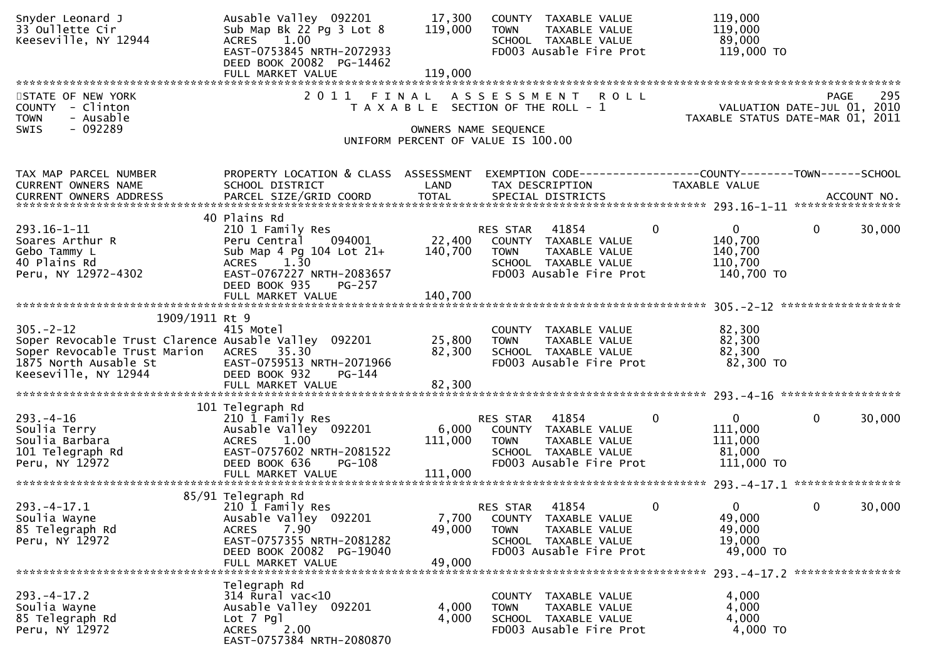| Snyder Leonard J<br>33 Oullette Cir<br>Keeseville, NY 12944                                                                                                                           | Ausable Valley 092201<br>Sub Map Bk 22 Pg 3 Lot 8<br>1.00<br><b>ACRES</b><br>EAST-0753845 NRTH-2072933<br>DEED BOOK 20082 PG-14462                                         | 17,300<br>119,000           | COUNTY TAXABLE VALUE<br>TAXABLE VALUE<br><b>TOWN</b><br>SCHOOL TAXABLE VALUE<br>FD003 Ausable Fire Prot                             | 119,000<br>119,000<br>89,000<br>119,000 TO                                   |                                                   |
|---------------------------------------------------------------------------------------------------------------------------------------------------------------------------------------|----------------------------------------------------------------------------------------------------------------------------------------------------------------------------|-----------------------------|-------------------------------------------------------------------------------------------------------------------------------------|------------------------------------------------------------------------------|---------------------------------------------------|
|                                                                                                                                                                                       |                                                                                                                                                                            |                             |                                                                                                                                     |                                                                              |                                                   |
| STATE OF NEW YORK<br>COUNTY - Clinton<br>- Ausable<br><b>TOWN</b><br><b>SWIS</b><br>- 092289                                                                                          | 2011 FINAL                                                                                                                                                                 |                             | ASSESSMENT ROLL<br>T A X A B L E SECTION OF THE ROLL - 1<br>OWNERS NAME SEQUENCE<br>UNIFORM PERCENT OF VALUE IS 100.00              | TAXABLE STATUS DATE-MAR 01, 2011                                             | 295<br><b>PAGE</b><br>VALUATION DATE-JUL 01, 2010 |
| TAX MAP PARCEL NUMBER<br>CURRENT OWNERS NAME<br>CURRENT OWNERS ADDRESS                                                                                                                | PROPERTY LOCATION & CLASS ASSESSMENT<br>SCHOOL DISTRICT                                                                                                                    | LAND                        | EXEMPTION CODE------------------COUNTY--------TOWN------SCHOOL<br>TAX DESCRIPTION                                                   | TAXABLE VALUE                                                                |                                                   |
| $293.16 - 1 - 11$<br>Soares Arthur R<br>Gebo Tammy L<br>40 Plains Rd<br>Peru, NY 12972-4302                                                                                           | 40 Plains Rd<br>210 1 Family Res<br>094001<br>Peru Central<br>Sub Map 4 Pg $104$ Lot $21+$<br>1.30<br><b>ACRES</b><br>EAST-0767227 NRTH-2083657<br>DEED BOOK 935<br>PG-257 | 22,400<br>140,700           | 41854<br><b>RES STAR</b><br>COUNTY TAXABLE VALUE<br>TAXABLE VALUE<br><b>TOWN</b><br>SCHOOL TAXABLE VALUE<br>FD003 Ausable Fire Prot | $\mathbf{0}$<br>$\mathbf{0}$<br>140,700<br>140,700<br>110,700<br>140,700 TO  | $\mathbf{0}$<br>30,000                            |
|                                                                                                                                                                                       | FULL MARKET VALUE                                                                                                                                                          | 140,700                     |                                                                                                                                     |                                                                              |                                                   |
|                                                                                                                                                                                       |                                                                                                                                                                            |                             |                                                                                                                                     |                                                                              |                                                   |
| 1909/1911 Rt 9<br>$305 - 2 - 12$<br>Soper Revocable Trust Clarence Ausable Valley 092201<br>Soper Revocable Trust Marion ACRES 35.30<br>1875 North Ausable St<br>Keeseville, NY 12944 | 415 Motel<br>EAST-0759513 NRTH-2071966<br>DEED BOOK 932<br>PG-144                                                                                                          | 25,800<br>82,300            | COUNTY TAXABLE VALUE<br>TAXABLE VALUE<br><b>TOWN</b><br>SCHOOL TAXABLE VALUE<br>FD003 Ausable Fire Prot                             | 82,300<br>82,300<br>82,300<br>82,300 TO                                      |                                                   |
|                                                                                                                                                                                       |                                                                                                                                                                            |                             |                                                                                                                                     |                                                                              |                                                   |
| $293. - 4 - 16$<br>Soulia Terry<br>Soulia Barbara<br>101 Telegraph Rd<br>Peru, NY 12972                                                                                               | 101 Telegraph Rd<br>210 1 Family Res<br>Ausable Valley 092201<br><b>ACRES</b><br>1.00<br>EAST-0757602 NRTH-2081522<br>DEED BOOK 636<br>PG-108<br>FULL MARKET VALUE         | 6,000<br>111,000<br>111,000 | 41854<br>RES STAR<br>COUNTY TAXABLE VALUE<br>TAXABLE VALUE<br><b>TOWN</b><br>SCHOOL TAXABLE VALUE<br>FD003 Ausable Fire Prot        | $\mathbf{0}$<br>$\mathbf{0}$<br>111,000<br>111,000<br>81,000<br>$111,000$ TO | 30,000<br>$\mathbf{0}$                            |
|                                                                                                                                                                                       |                                                                                                                                                                            |                             |                                                                                                                                     |                                                                              |                                                   |
| $293. -4 - 17.1$<br>Soulia Wayne<br>85 Telegraph Rd<br>Peru, NY 12972                                                                                                                 | 85/91 Telegraph Rd<br>210 1 Family Res<br>Ausable Valley 092201<br>7.90<br><b>ACRES</b><br>EAST-0757355 NRTH-2081282<br>DEED BOOK 20082 PG-19040                           | 7,700<br>49,000             | RES STAR<br>41854<br>COUNTY TAXABLE VALUE<br><b>TOWN</b><br>TAXABLE VALUE<br>SCHOOL TAXABLE VALUE<br>FD003 Ausable Fire Prot        | $\mathbf{0}$<br>$\mathbf 0$<br>49,000<br>49,000<br>19,000<br>49,000 TO       | $\mathbf{0}$<br>30,000                            |
|                                                                                                                                                                                       | FULL MARKET VALUE                                                                                                                                                          | 49,000                      |                                                                                                                                     |                                                                              |                                                   |
| $293. -4 - 17.2$<br>Soulia Wayne<br>85 Telegraph Rd<br>Peru, NY 12972                                                                                                                 | Telegraph Rd<br>$314$ Rural vac<10<br>Ausable Valley 092201<br>$Lot$ 7 $Pg$ ]<br><b>ACRES</b><br>2.00<br>EAST-0757384 NRTH-2080870                                         | 4,000<br>4,000              | COUNTY TAXABLE VALUE<br>TAXABLE VALUE<br>TOWN<br>SCHOOL TAXABLE VALUE<br>FD003 Ausable Fire Prot                                    | 4,000<br>4,000<br>4,000<br>4,000 TO                                          |                                                   |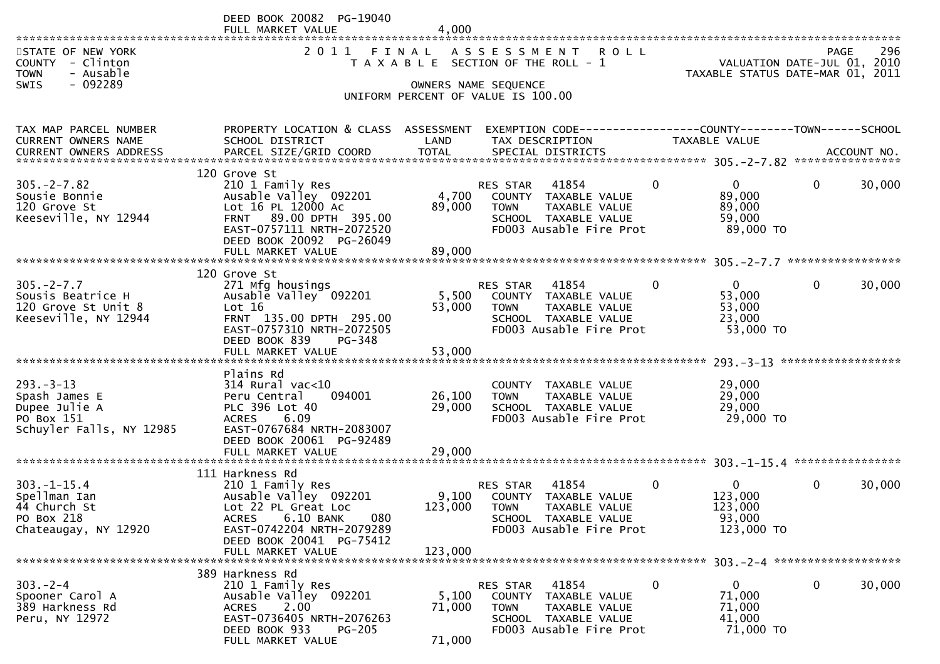|                                                                      | DEED BOOK 20082 PG-19040                                |                  |                                                                             |             |                                                                 |              |        |
|----------------------------------------------------------------------|---------------------------------------------------------|------------------|-----------------------------------------------------------------------------|-------------|-----------------------------------------------------------------|--------------|--------|
|                                                                      | FULL MARKET VALUE                                       | 4.000            |                                                                             |             |                                                                 |              |        |
| STATE OF NEW YORK<br>- Clinton<br>COUNTY<br>- Ausable<br><b>TOWN</b> | 2011                                                    | FINAL            | A S S E S S M E N T<br><b>ROLL</b><br>T A X A B L E SECTION OF THE ROLL - 1 |             | VALUATION DATE-JUL 01, 2010<br>TAXABLE STATUS DATE-MAR 01, 2011 | <b>PAGE</b>  | 296    |
| $-092289$<br><b>SWIS</b>                                             |                                                         |                  | OWNERS NAME SEQUENCE                                                        |             |                                                                 |              |        |
|                                                                      |                                                         |                  | UNIFORM PERCENT OF VALUE IS 100.00                                          |             |                                                                 |              |        |
|                                                                      |                                                         |                  |                                                                             |             |                                                                 |              |        |
| TAX MAP PARCEL NUMBER                                                | PROPERTY LOCATION & CLASS ASSESSMENT<br>SCHOOL DISTRICT |                  | EXEMPTION CODE------------------COUNTY--------TOWN------SCHOOL              |             | TAXABLE VALUE                                                   |              |        |
| CURRENT OWNERS NAME                                                  |                                                         | LAND             | TAX DESCRIPTION                                                             |             |                                                                 |              |        |
|                                                                      |                                                         |                  |                                                                             |             |                                                                 |              |        |
| $305. -2 - 7.82$                                                     | 120 Grove St<br>210 1 Family Res                        |                  | 41854<br><b>RES STAR</b>                                                    | $\Omega$    | $\Omega$                                                        | $\mathbf{0}$ | 30,000 |
| Sousie Bonnie                                                        | Ausable Valley 092201                                   | 4,700            | COUNTY<br>TAXABLE VALUE                                                     |             | 89,000                                                          |              |        |
| 120 Grove St                                                         | Lot 16 PL 12000 Ac                                      | 89,000           | <b>TOWN</b><br>TAXABLE VALUE                                                |             | 89,000                                                          |              |        |
| Keeseville, NY 12944                                                 | FRNT 89.00 DPTH 395.00                                  |                  | SCHOOL TAXABLE VALUE<br>FD003 Ausable Fire Prot                             |             | 59,000                                                          |              |        |
|                                                                      | EAST-0757111 NRTH-2072520<br>DEED BOOK 20092 PG-26049   |                  |                                                                             |             | 89,000 TO                                                       |              |        |
|                                                                      | FULL MARKET VALUE                                       | 89,000           |                                                                             |             |                                                                 |              |        |
|                                                                      | 120 Grove St                                            |                  |                                                                             |             |                                                                 |              |        |
| $305. -2 - 7.7$                                                      | 271 Mfg housings                                        |                  | 41854<br>RES STAR                                                           | 0           | $\mathbf{0}$                                                    | $\mathbf 0$  | 30,000 |
| Sousis Beatrice H                                                    | Ausable Valley 092201                                   | 5,500            | COUNTY TAXABLE VALUE                                                        |             | 53,000                                                          |              |        |
| 120 Grove St Unit 8                                                  | Lot 16                                                  | 53,000           | TAXABLE VALUE<br><b>TOWN</b>                                                |             | 53,000                                                          |              |        |
| Keeseville, NY 12944                                                 | FRNT 135.00 DPTH 295.00<br>EAST-0757310 NRTH-2072505    |                  | SCHOOL TAXABLE VALUE<br>FD003 Ausable Fire Prot                             |             | 23,000<br>53,000 TO                                             |              |        |
|                                                                      | DEED BOOK 839<br>PG-348                                 |                  |                                                                             |             |                                                                 |              |        |
|                                                                      | FULL MARKET VALUE                                       | 53,000           |                                                                             |             |                                                                 |              |        |
|                                                                      | Plains Rd                                               |                  |                                                                             |             |                                                                 |              |        |
| $293 - 3 - 13$                                                       | $314$ Rural vac<10                                      |                  | COUNTY<br>TAXABLE VALUE                                                     |             | 29,000                                                          |              |        |
| Spash James E                                                        | Peru Central<br>094001                                  | 26,100           | <b>TOWN</b><br>TAXABLE VALUE                                                |             | 29,000                                                          |              |        |
| Dupee Julie A<br>PO Box 151                                          | PLC 396 Lot 40<br>6.09<br><b>ACRES</b>                  | 29,000           | SCHOOL TAXABLE VALUE<br>FD003 Ausable Fire Prot                             |             | 29,000<br>29,000 TO                                             |              |        |
| Schuyler Falls, NY 12985                                             | EAST-0767684 NRTH-2083007                               |                  |                                                                             |             |                                                                 |              |        |
|                                                                      | DEED BOOK 20061 PG-92489                                |                  |                                                                             |             |                                                                 |              |        |
|                                                                      |                                                         |                  |                                                                             |             |                                                                 |              |        |
|                                                                      | 111 Harkness Rd                                         |                  |                                                                             |             |                                                                 |              |        |
| $303. - 1 - 15.4$                                                    | 210 1 Family Res                                        |                  | 41854<br>RES STAR                                                           | $\mathbf 0$ | $\Omega$                                                        | 0            | 30,000 |
| Spellman Ian<br>44 Church St                                         | Ausable Valley 092201<br>Lot 22 PL Great Loc            | 9,100<br>123,000 | COUNTY TAXABLE VALUE<br><b>TOWN</b><br>TAXABLE VALUE                        |             | 123,000<br>123,000                                              |              |        |
| PO Box 218                                                           | 080<br>ACRES<br>6.10 BANK                               |                  | SCHOOL TAXABLE VALUE                                                        |             | 93,000                                                          |              |        |
| Chateaugay, NY 12920                                                 | EAST-0742204 NRTH-2079289                               |                  | FD003 Ausable Fire Prot                                                     |             | 123,000 TO                                                      |              |        |
|                                                                      | DEED BOOK 20041 PG-75412<br>FULL MARKET VALUE           | 123,000          |                                                                             |             |                                                                 |              |        |
|                                                                      |                                                         |                  |                                                                             |             |                                                                 |              |        |
|                                                                      | 389 Harkness Rd                                         |                  |                                                                             |             |                                                                 |              |        |
| $303 - 2 - 4$<br>Spooner Carol A                                     | 210 1 Family Res<br>Ausable Valley 092201               | 5,100            | 41854<br>RES STAR<br>COUNTY TAXABLE VALUE                                   | 0           | 0<br>71,000                                                     | 0            | 30,000 |
| 389 Harkness Rd                                                      | 2.00<br><b>ACRES</b>                                    | 71,000           | <b>TOWN</b><br>TAXABLE VALUE                                                |             | 71,000                                                          |              |        |
| Peru, NY 12972                                                       | EAST-0736405 NRTH-2076263                               |                  | SCHOOL TAXABLE VALUE                                                        |             | 41,000                                                          |              |        |
|                                                                      | DEED BOOK 933<br><b>PG-205</b><br>FULL MARKET VALUE     | 71,000           | FD003 Ausable Fire Prot                                                     |             | 71,000 TO                                                       |              |        |
|                                                                      |                                                         |                  |                                                                             |             |                                                                 |              |        |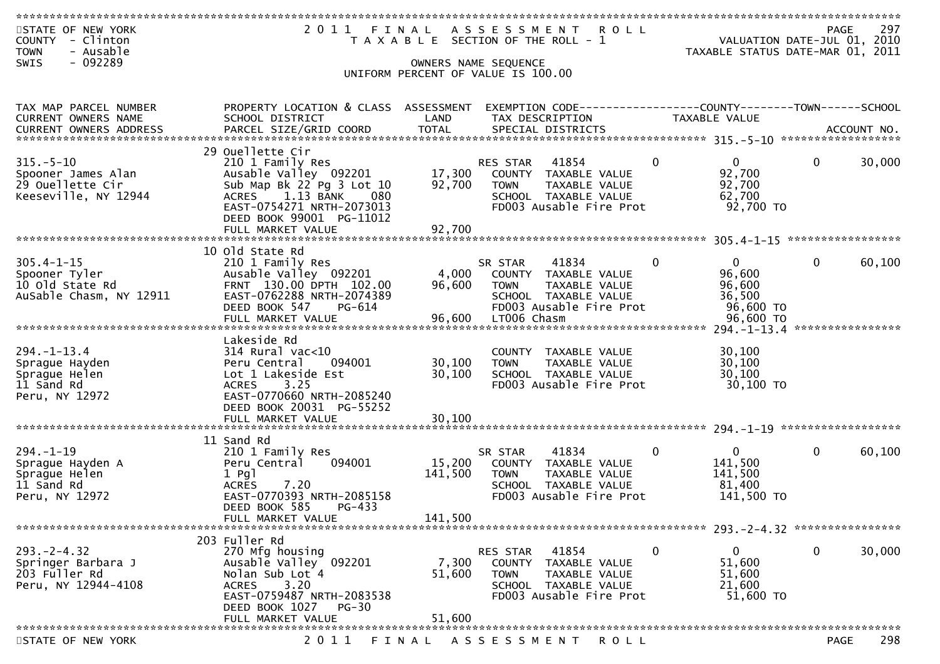| STATE OF NEW YORK<br>COUNTY - Clinton<br>- Ausable<br><b>TOWN</b>                        | 2011 FINAL                                             | T A X A B L E SECTION OF THE ROLL - 1 |                     | A S S E S S M E N T R O L L                                  |                | VALUATION DATE-JUL 01, 2010<br>TAXABLE STATUS DATE-MAR 01, 2011 | <b>PAGE</b>  | 297    |
|------------------------------------------------------------------------------------------|--------------------------------------------------------|---------------------------------------|---------------------|--------------------------------------------------------------|----------------|-----------------------------------------------------------------|--------------|--------|
| - 092289<br><b>SWIS</b>                                                                  |                                                        | OWNERS NAME SEQUENCE                  |                     |                                                              |                |                                                                 |              |        |
|                                                                                          |                                                        | UNIFORM PERCENT OF VALUE IS 100.00    |                     |                                                              |                |                                                                 |              |        |
| TAX MAP PARCEL NUMBER                                                                    | PROPERTY LOCATION & CLASS ASSESSMENT                   |                                       |                     | EXEMPTION CODE-----------------COUNTY-------TOWN------SCHOOL |                |                                                                 |              |        |
| <b>CURRENT OWNERS NAME</b>                                                               | SCHOOL DISTRICT                                        | LAND                                  |                     | TAX DESCRIPTION                                              |                | <b>TAXABLE VALUE</b>                                            |              |        |
| CURRENT OWNERS ADDRESS PARCEL SIZE/GRID COORD TOTAL SPECIAL DISTRICTS 715.10 ACCOUNT NO. |                                                        |                                       |                     |                                                              |                |                                                                 |              |        |
|                                                                                          | 29 Ouellette Cir                                       |                                       |                     |                                                              |                |                                                                 |              |        |
| $315. - 5 - 10$                                                                          | 210 1 Family Res                                       |                                       | RES STAR            | 41854                                                        | $\overline{0}$ | $\mathbf{0}$                                                    | $\mathbf{0}$ | 30,000 |
| Spooner James Alan<br>29 Ouellette Cir                                                   | Ausable Valley 092201<br>Sub Map Bk 22 Pg 3 Lot 10     | 17,300<br>92,700                      | <b>TOWN</b>         | COUNTY TAXABLE VALUE<br>TAXABLE VALUE                        |                | 92,700<br>92,700                                                |              |        |
| Keeseville, NY 12944                                                                     | ACRES 1.13 BANK<br>080                                 |                                       |                     | SCHOOL TAXABLE VALUE                                         |                | 62,700                                                          |              |        |
|                                                                                          | EAST-0754271 NRTH-2073013                              |                                       |                     | FD003 Ausable Fire Prot                                      |                | 92,700 TO                                                       |              |        |
|                                                                                          | DEED BOOK 99001 PG-11012                               |                                       |                     |                                                              |                |                                                                 |              |        |
|                                                                                          |                                                        |                                       |                     |                                                              |                |                                                                 |              |        |
|                                                                                          | 10 old State Rd                                        |                                       |                     |                                                              |                |                                                                 |              |        |
| $305.4 - 1 - 15$                                                                         | 210 1 Family Res                                       |                                       | SR STAR             | 41834                                                        | $\mathbf{0}$   | 0                                                               | $\mathbf{0}$ | 60,100 |
| Spooner Tyler                                                                            | Ausable Valley 092201                                  | 4,000                                 |                     | COUNTY TAXABLE VALUE                                         |                | 96,600                                                          |              |        |
| 10 old State Rd                                                                          | FRNT 130.00 DPTH 102.00                                | 96,600                                | <b>TOWN</b>         | TAXABLE VALUE                                                |                | 96,600                                                          |              |        |
| AuSable Chasm, NY 12911                                                                  | EAST-0762288 NRTH-2074389<br>DEED BOOK 547<br>$PG-614$ |                                       |                     | SCHOOL TAXABLE VALUE<br>FD003 Ausable Fire Prot              |                | 36,500<br>96,600 TO                                             |              |        |
|                                                                                          | FULL MARKET VALUE                                      | 96,600                                | LT006 Chasm         |                                                              |                | 96,600 TO                                                       |              |        |
|                                                                                          |                                                        |                                       |                     |                                                              |                | 294. -1-13.4 *****************                                  |              |        |
|                                                                                          | Lakeside Rd                                            |                                       |                     |                                                              |                |                                                                 |              |        |
| $294. - 1 - 13.4$<br>Sprague Hayden                                                      | $314$ Rural vac<10<br>Peru Central<br>094001           | 30,100                                | <b>TOWN</b>         | COUNTY TAXABLE VALUE<br>TAXABLE VALUE                        |                | 30,100<br>30,100                                                |              |        |
| Sprague Helen                                                                            | Lot 1 Lakeside Est                                     | 30,100                                |                     | SCHOOL TAXABLE VALUE                                         |                | 30,100                                                          |              |        |
| 11 Sand Rd                                                                               | 3.25<br><b>ACRES</b>                                   |                                       |                     | FD003 Ausable Fire Prot                                      |                | 30,100 TO                                                       |              |        |
| Peru, NY 12972                                                                           | EAST-0770660 NRTH-2085240                              |                                       |                     |                                                              |                |                                                                 |              |        |
|                                                                                          | DEED BOOK 20031 PG-55252                               |                                       |                     |                                                              |                |                                                                 |              |        |
|                                                                                          |                                                        |                                       |                     |                                                              |                |                                                                 |              |        |
|                                                                                          | 11 Sand Rd                                             |                                       |                     |                                                              |                |                                                                 |              |        |
| $294. - 1 - 19$                                                                          | 210 1 Family Res                                       |                                       | SR STAR             | 41834                                                        | $\mathbf 0$    | $\mathbf 0$                                                     | $\mathbf 0$  | 60,100 |
| Sprague Hayden A                                                                         | 094001<br>Peru Central                                 | 15,200                                |                     | COUNTY TAXABLE VALUE                                         |                | 141,500                                                         |              |        |
| Sprague Helen                                                                            | 1 Pgl                                                  | 141,500                               | <b>TOWN</b>         | TAXABLE VALUE                                                |                | 141,500                                                         |              |        |
| 11 Sand Rd<br>Peru, NY 12972                                                             | 7.20<br><b>ACRES</b><br>EAST-0770393 NRTH-2085158      |                                       |                     | SCHOOL TAXABLE VALUE<br>FD003 Ausable Fire Prot              |                | 81,400<br>141,500 TO                                            |              |        |
|                                                                                          | DEED BOOK 585<br>PG-433                                |                                       |                     |                                                              |                |                                                                 |              |        |
|                                                                                          | FULL MARKET VALUE                                      | 141,500                               |                     |                                                              |                |                                                                 |              |        |
|                                                                                          |                                                        |                                       |                     |                                                              |                |                                                                 |              |        |
| $293. -2 - 4.32$                                                                         | 203 Fuller Rd<br>270 Mfg housing                       |                                       | <b>RES STAR</b>     | 41854                                                        | $\mathbf 0$    | 0                                                               | 0            | 30,000 |
| Springer Barbara J                                                                       | Ausable Valley 092201                                  | 7,300                                 | COUNTY              | TAXABLE VALUE                                                |                | 51,600                                                          |              |        |
| 203 Fuller Rd                                                                            | Nolan Sub Lot 4                                        | 51,600                                | <b>TOWN</b>         | TAXABLE VALUE                                                |                | 51,600                                                          |              |        |
| Peru, NY 12944-4108                                                                      | 3.20<br><b>ACRES</b>                                   |                                       |                     | SCHOOL TAXABLE VALUE                                         |                | 21,600                                                          |              |        |
|                                                                                          | EAST-0759487 NRTH-2083538                              |                                       |                     | FD003 Ausable Fire Prot                                      |                | 51,600 TO                                                       |              |        |
|                                                                                          | DEED BOOK 1027<br>PG-30<br>FULL MARKET VALUE           | 51,600                                |                     |                                                              |                |                                                                 |              |        |
|                                                                                          |                                                        |                                       |                     |                                                              |                |                                                                 |              |        |
| STATE OF NEW YORK                                                                        | 2011                                                   | FINAL                                 | A S S E S S M E N T | <b>ROLL</b>                                                  |                |                                                                 | <b>PAGE</b>  | 298    |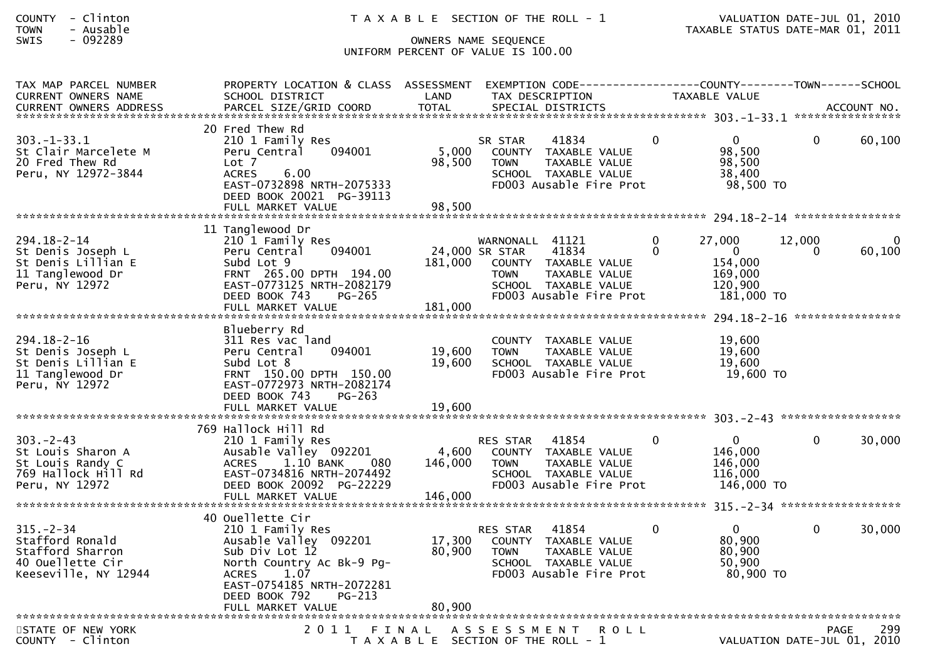| COUNTY | Clinton |
|--------|---------|
| TOWN   | Ausable |

## SWIS - 092289 OWNERS NAME SEQUENCE UNIFORM PERCENT OF VALUE IS 100.00

| TAX MAP PARCEL NUMBER<br><b>CURRENT OWNERS NAME</b>                                                | PROPERTY LOCATION & CLASS ASSESSMENT<br>SCHOOL DISTRICT                                                                                                                                        | LAND                        | EXEMPTION CODE-----<br>TAX DESCRIPTION                                                                                                                   |               | ------------COUNTY--------TOWN------SCHOOL<br>TAXABLE VALUE           |             |                    |
|----------------------------------------------------------------------------------------------------|------------------------------------------------------------------------------------------------------------------------------------------------------------------------------------------------|-----------------------------|----------------------------------------------------------------------------------------------------------------------------------------------------------|---------------|-----------------------------------------------------------------------|-------------|--------------------|
|                                                                                                    |                                                                                                                                                                                                |                             |                                                                                                                                                          |               |                                                                       |             |                    |
| 303. - 1 - 33. 1<br>St Clair Marcelete M<br>20 Fred Thew Rd<br>Peru, NY 12972-3844                 | 20 Fred Thew Rd<br>210 1 Family Res<br>094001<br>Peru Central<br>Lot 7<br>6.00<br><b>ACRES</b><br>EAST-0732898 NRTH-2075333<br>DEED BOOK 20021 PG-39113<br>FULL MARKET VALUE                   | 5,000<br>98,500<br>98,500   | 41834<br>SR STAR<br>COUNTY TAXABLE VALUE<br>TAXABLE VALUE<br><b>TOWN</b><br>SCHOOL TAXABLE VALUE<br>FD003 Ausable Fire Prot                              | $\Omega$      | $\Omega$<br>98,500<br>98,500<br>38,400<br>98,500 TO                   | $\Omega$    | 60,100             |
|                                                                                                    | 11 Tanglewood Dr                                                                                                                                                                               |                             |                                                                                                                                                          |               |                                                                       |             |                    |
| $294.18 - 2 - 14$<br>St Denis Joseph L<br>St Denis Lillian E<br>11 Tanglewood Dr<br>Peru, NY 12972 | 210 1 Family Res<br>094001<br>Peru Central<br>Subd Lot 9<br>FRNT 265.00 DPTH 194.00<br>EAST-0773125 NRTH-2082179<br>DEED BOOK 743<br>$PG-265$<br>FULL MARKET VALUE                             | 181,000<br>181,000          | WARNONALL<br>41121<br>41834<br>24,000 SR STAR<br>COUNTY TAXABLE VALUE<br><b>TOWN</b><br>TAXABLE VALUE<br>SCHOOL TAXABLE VALUE<br>FD003 Ausable Fire Prot | 0<br>$\Omega$ | 27.000<br>$\mathbf{0}$<br>154,000<br>169,000<br>120,900<br>181,000 TO | 12,000<br>0 | 60,100             |
|                                                                                                    |                                                                                                                                                                                                |                             |                                                                                                                                                          |               |                                                                       |             |                    |
| $294.18 - 2 - 16$<br>St Denis Joseph L<br>St Denis Lillian E<br>11 Tanglewood Dr<br>Peru, NY 12972 | Blueberry Rd<br>311 Res vac land<br>Peru Central<br>094001<br>Subd Lot 8<br>FRNT 150.00 DPTH 150.00<br>EAST-0772973 NRTH-2082174<br>DEED BOOK 743<br>$PG-263$                                  | 19,600<br>19,600            | COUNTY TAXABLE VALUE<br>TAXABLE VALUE<br><b>TOWN</b><br>SCHOOL TAXABLE VALUE<br>FD003 Ausable Fire Prot                                                  |               | 19,600<br>19,600<br>19,600<br>19,600 TO                               |             |                    |
|                                                                                                    |                                                                                                                                                                                                |                             |                                                                                                                                                          |               |                                                                       |             | ****************** |
| $303 - 2 - 43$<br>St Louis Sharon A<br>St Louis Randy C<br>769 Hallock Hill Rd<br>Peru, NY 12972   | 769 Hallock Hill Rd<br>210 1 Family Res<br>Ausable Valley 092201<br><b>ACRES</b><br>1.10 BANK<br>080<br>EAST-0734816 NRTH-2074492<br>DEED BOOK 20092 PG-22229<br>FULL MARKET VALUE             | 4,600<br>146,000<br>146,000 | <b>RES STAR</b><br>41854<br>COUNTY TAXABLE VALUE<br>TAXABLE VALUE<br>TOWN<br>SCHOOL TAXABLE VALUE<br>FD003 Ausable Fire Prot                             | $\Omega$      | $\Omega$<br>146,000<br>146,000<br>116,000<br>146,000 TO               | 0           | 30,000             |
|                                                                                                    |                                                                                                                                                                                                |                             |                                                                                                                                                          |               |                                                                       |             |                    |
| $315. - 2 - 34$<br>Stafford Ronald<br>Stafford Sharron<br>40 Ouellette Cir<br>Keeseville, NY 12944 | 40 Ouellette Cir<br>210 1 Family Res<br>Ausable Valley 092201<br>Sub Div Lot 12<br>North Country Ac Bk-9 Pg-<br><b>ACRES</b><br>1.07<br>EAST-0754185 NRTH-2072281<br>DEED BOOK 792<br>$PG-213$ | 17,300<br>80,900            | 41854<br><b>RES STAR</b><br>COUNTY TAXABLE VALUE<br><b>TOWN</b><br>TAXABLE VALUE<br>SCHOOL TAXABLE VALUE<br>FD003 Ausable Fire Prot                      | $\Omega$      | $\Omega$<br>80,900<br>80,900<br>50,900<br>80,900 TO                   | $\Omega$    | 30,000             |
| STATE OF NEW YORK<br>COUNTY - Clinton                                                              | 2011                                                                                                                                                                                           | FINAL                       | A S S E S S M E N T<br><b>ROLL</b><br>T A X A B L E SECTION OF THE ROLL - 1                                                                              |               | VALUATION DATE-JUL 01, 2010                                           |             | 299<br><b>PAGE</b> |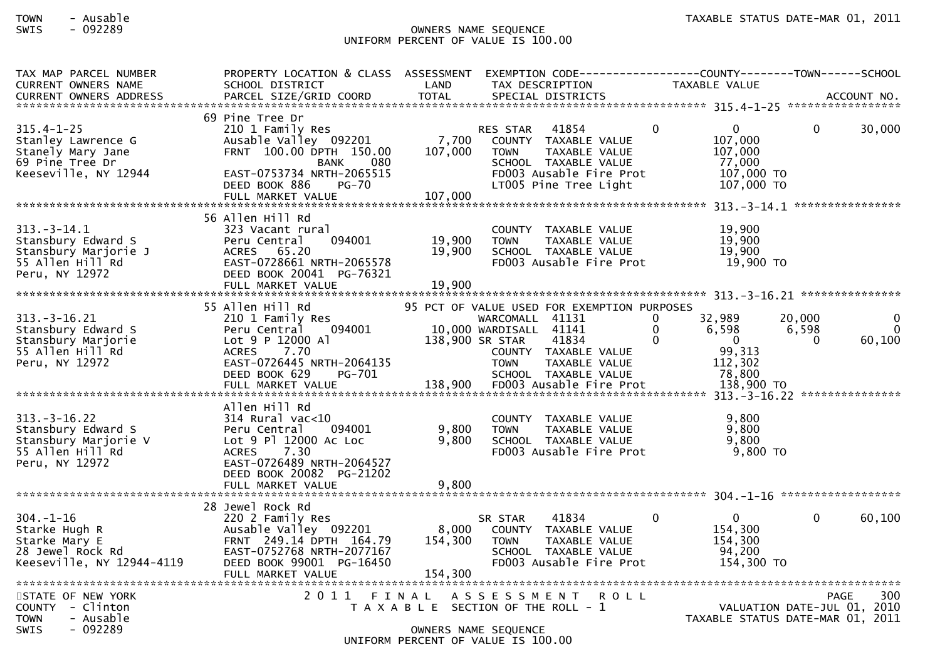### TOWN - Ausable TAXABLE STATUS DATE-MAR 01, 2011SWIS - 092289 OWNERS NAME SEQUENCE UNIFORM PERCENT OF VALUE IS 100.00

| TAX MAP PARCEL NUMBER                                                                                                                                          | PROPERTY LOCATION & CLASS ASSESSMENT       |                 | EXEMPTION CODE------------------COUNTY--------TOWN------SCHOOL                |                            |                                            |
|----------------------------------------------------------------------------------------------------------------------------------------------------------------|--------------------------------------------|-----------------|-------------------------------------------------------------------------------|----------------------------|--------------------------------------------|
| <b>CURRENT OWNERS NAME</b>                                                                                                                                     | SCHOOL DISTRICT                            | LAND            | TAX DESCRIPTION                                                               | TAXABLE VALUE              |                                            |
| .CURRENT OWNERS ADDRESS PARCEL SIZE/GRID COORD TOTAL SPECIAL DISTRICTS MOTHER ACCOUNT NO ACCOUNT NO AND ART AND MALL SERVER AND RESERVE TO A SPECIAL DISTRICTS |                                            |                 |                                                                               |                            |                                            |
|                                                                                                                                                                |                                            |                 |                                                                               |                            |                                            |
|                                                                                                                                                                | 69 Pine Tree Dr                            |                 |                                                                               |                            |                                            |
| $315.4 - 1 - 25$                                                                                                                                               | 210 1 Family Res                           |                 | 41854<br><b>RES STAR</b>                                                      | $\mathbf{0}$<br>$\Omega$   | $\Omega$<br>30,000                         |
| Stanley Lawrence G                                                                                                                                             | Ausable Valley 092201                      | 7,700           | COUNTY TAXABLE VALUE                                                          | 107,000                    |                                            |
| Stanely Mary Jane                                                                                                                                              | FRNT 100.00 DPTH 150.00                    | 107,000         | TAXABLE VALUE<br><b>TOWN</b>                                                  | 107,000                    |                                            |
| 69 Pine Tree Dr                                                                                                                                                | 080<br>BANK                                |                 | SCHOOL TAXABLE VALUE                                                          | 77,000                     |                                            |
| Keeseville, NY 12944                                                                                                                                           | EAST-0753734 NRTH-2065515<br>DEED BOOK 886 |                 | FD003 Ausable Fire Prot<br>LT005 Pine Tree Light                              | 107,000 TO<br>107,000 TO   |                                            |
|                                                                                                                                                                | $PG-70$                                    | 107,000         |                                                                               |                            |                                            |
|                                                                                                                                                                | FULL MARKET VALUE                          |                 |                                                                               |                            |                                            |
|                                                                                                                                                                | 56 Allen Hill Rd                           |                 |                                                                               |                            |                                            |
| $313. - 3 - 14.1$                                                                                                                                              | 323 Vacant rural                           |                 | COUNTY TAXABLE VALUE                                                          | 19,900                     |                                            |
| Stansbury Edward S                                                                                                                                             | 094001<br>Peru Central                     | 19,900          | TAXABLE VALUE<br><b>TOWN</b>                                                  | 19,900                     |                                            |
| Stansbury Marjorie J                                                                                                                                           | ACRES 65.20                                | 19,900          | SCHOOL TAXABLE VALUE                                                          | 19,900                     |                                            |
| 55 Allen Hill Rd                                                                                                                                               | EAST-0728661 NRTH-2065578                  |                 | FD003 Ausable Fire Prot                                                       | 19,900 TO                  |                                            |
| Peru, NY 12972                                                                                                                                                 | DEED BOOK 20041 PG-76321                   |                 |                                                                               |                            |                                            |
|                                                                                                                                                                | FULL MARKET VALUE                          | 19,900          |                                                                               |                            |                                            |
|                                                                                                                                                                |                                            |                 |                                                                               |                            |                                            |
|                                                                                                                                                                | 55 Allen Hill Rd                           |                 | 95 PCT OF VALUE USED FOR EXEMPTION PURPOSES                                   |                            |                                            |
| $313.-3-16.21$                                                                                                                                                 | 210 1 Family Res                           |                 | WARCOMALL 41131                                                               | 32,989<br>$\Omega$         | 20,000<br>0                                |
| Stansbury Edward S                                                                                                                                             | Peru Central<br>094001                     |                 | 10,000 WARDISALL 41141                                                        | 6,598<br>$\Omega$          | 6,598<br>$\Omega$                          |
| Stansbury Marjorie                                                                                                                                             | Lot 9 P 12000 Al                           | 138,900 SR STAR | 41834                                                                         | $\Omega$<br>$\overline{0}$ | 60,100<br>$\Omega$                         |
| 55 Allen Hill Rd                                                                                                                                               | ACRES 7.70                                 |                 | COUNTY TAXABLE VALUE                                                          | 99,313                     |                                            |
| Peru, NY 12972                                                                                                                                                 | EAST-0726445 NRTH-2064135                  |                 | <b>TOWN</b><br>TAXABLE VALUE                                                  | 112,302                    |                                            |
|                                                                                                                                                                | DEED BOOK 629<br>PG-701                    |                 | SCHOOL TAXABLE VALUE                                                          | 78,800                     |                                            |
|                                                                                                                                                                |                                            |                 |                                                                               |                            |                                            |
|                                                                                                                                                                |                                            |                 |                                                                               |                            |                                            |
|                                                                                                                                                                | Allen Hill Rd                              |                 |                                                                               |                            |                                            |
| $313 - 3 - 16.22$                                                                                                                                              | 314 Rural vac<10                           |                 | COUNTY TAXABLE VALUE                                                          | 9,800                      |                                            |
| Stansbury Edward S                                                                                                                                             | Peru Central<br>094001                     | 9,800           | <b>TOWN</b><br>TAXABLE VALUE                                                  | 9,800                      |                                            |
| Stansbury Marjorie V                                                                                                                                           | Lot 9 Pl 12000 Ac Loc                      | 9.800           | SCHOOL TAXABLE VALUE                                                          | 9.800                      |                                            |
| 55 Allen Hill Rd                                                                                                                                               | 7.30<br><b>ACRES</b>                       |                 | FD003 Ausable Fire Prot                                                       | 9,800 TO                   |                                            |
| Peru, NY 12972                                                                                                                                                 | EAST-0726489 NRTH-2064527                  |                 |                                                                               |                            |                                            |
|                                                                                                                                                                | DEED BOOK 20082 PG-21202                   |                 |                                                                               |                            |                                            |
|                                                                                                                                                                | FULL MARKET VALUE                          | 9,800           |                                                                               |                            |                                            |
|                                                                                                                                                                |                                            |                 |                                                                               |                            |                                            |
|                                                                                                                                                                | 28 Jewel Rock Rd                           |                 |                                                                               |                            |                                            |
| $304. - 1 - 16$                                                                                                                                                | 220 2 Family Res                           |                 | 41834<br>SR STAR                                                              | $\Omega$<br>$\mathbf{0}$   | 60,100<br>0                                |
| Starke Hugh R                                                                                                                                                  | Ausable Valley 092201                      | 8,000           | COUNTY TAXABLE VALUE                                                          | 154,300                    |                                            |
| Starke Mary E                                                                                                                                                  | FRNT 249.14 DPTH 164.79                    | 154,300         | TAXABLE VALUE<br><b>TOWN</b>                                                  | 154,300                    |                                            |
| 28 Jewel Rock Rd                                                                                                                                               | EAST-0752768 NRTH-2077167                  |                 | SCHOOL TAXABLE VALUE                                                          | 94,200                     |                                            |
| Keeseville, NY 12944-4119                                                                                                                                      | DEED BOOK 99001 PG-16450                   |                 | FD003 Ausable Fire Prot                                                       | 154,300 TO                 |                                            |
|                                                                                                                                                                | FULL MARKET VALUE                          | 154,300         |                                                                               |                            |                                            |
| STATE OF NEW YORK                                                                                                                                              |                                            |                 |                                                                               |                            | 300                                        |
| COUNTY - Clinton                                                                                                                                               |                                            |                 | 2011 FINAL ASSESSMENT<br><b>ROLL</b><br>T A X A B L E SECTION OF THE ROLL - 1 |                            | <b>PAGE</b><br>VALUATION DATE-JUL 01, 2010 |
| - Ausable<br><b>TOWN</b>                                                                                                                                       |                                            |                 |                                                                               |                            | TAXABLE STATUS DATE-MAR 01, 2011           |
| - 092289<br><b>SWIS</b>                                                                                                                                        |                                            |                 | OWNERS NAME SEQUENCE                                                          |                            |                                            |
|                                                                                                                                                                |                                            |                 | UNIFORM PERCENT OF VALUE IS 100.00                                            |                            |                                            |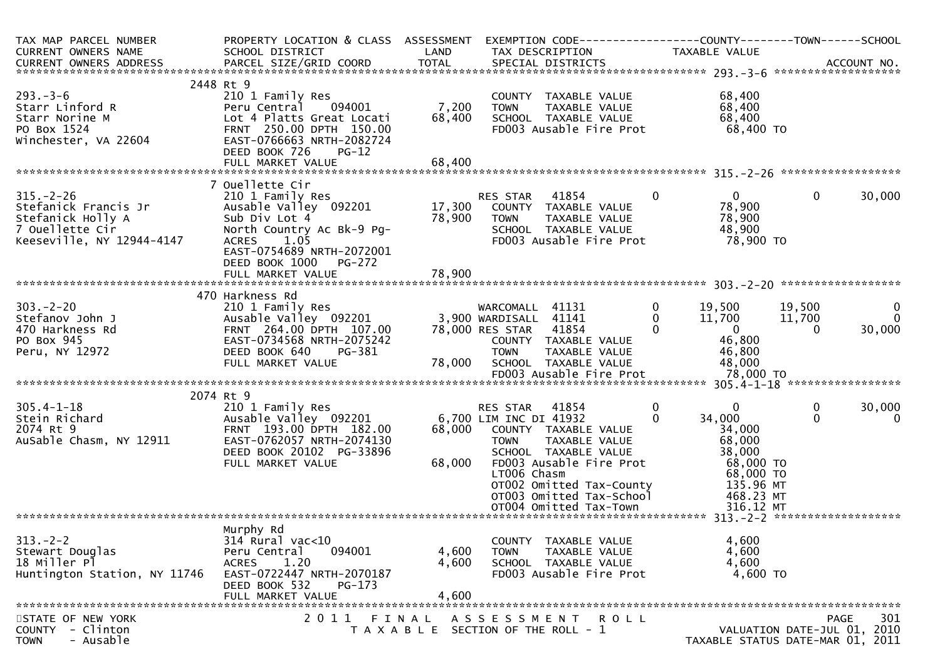| TAX MAP PARCEL NUMBER<br>CURRENT OWNERS NAME<br>CURRENT OWNERS ADDRESS                                                                                            | PROPERTY LOCATION & CLASS ASSESSMENT<br>SCHOOL DISTRICT<br>PARCEL SIZE/GRID COORD                                                                                                                                                                                                                                                       | LAND<br><b>TOTAL</b>       | TAX DESCRIPTION<br>SPECIAL DISTRICTS                                                                                                                                                                                                                                                                                                             |                                                                      | TAXABLE VALUE                                                                                                                                                                |                                               | ACCOUNT NO.                                      |
|-------------------------------------------------------------------------------------------------------------------------------------------------------------------|-----------------------------------------------------------------------------------------------------------------------------------------------------------------------------------------------------------------------------------------------------------------------------------------------------------------------------------------|----------------------------|--------------------------------------------------------------------------------------------------------------------------------------------------------------------------------------------------------------------------------------------------------------------------------------------------------------------------------------------------|----------------------------------------------------------------------|------------------------------------------------------------------------------------------------------------------------------------------------------------------------------|-----------------------------------------------|--------------------------------------------------|
| $293 - 3 - 6$<br>Starr Linford R<br>Starr Norine M<br>PO Box 1524<br>Winchester, VA 22604                                                                         | 2448 Rt 9<br>210 1 Family Res<br>Peru Central 094001<br>Lot 4 Platts Great Locati<br>FRNT 250.00 DPTH 150.00<br>EAST-0766663 NRTH-2082724<br>DEED BOOK 726<br>$PG-12$<br>FULL MARKET VALUE                                                                                                                                              | 7,200<br>68,400<br>68,400  | COUNTY TAXABLE VALUE<br><b>TOWN</b><br>SCHOOL TAXABLE VALUE<br>FD003 Ausable Fire Prot                                                                                                                                                                                                                                                           | TAXABLE VALUE                                                        | 68,400<br>68,400<br>68,400<br>68,400 TO                                                                                                                                      |                                               |                                                  |
|                                                                                                                                                                   |                                                                                                                                                                                                                                                                                                                                         |                            |                                                                                                                                                                                                                                                                                                                                                  |                                                                      |                                                                                                                                                                              |                                               |                                                  |
| $315. - 2 - 26$<br>Stefanick Francis Jr<br>Stefanick Holly A<br>7 Ouellette Cir<br>Keeseville, NY 12944-4147                                                      | 7 Ouellette Cir<br>210 1 Family Res<br>Ausable Valley 092201<br>Sub Div Lot 4<br>North Country Ac Bk-9 Pg-<br>1.05<br><b>ACRES</b><br>EAST-0754689 NRTH-2072001<br>DEED BOOK 1000<br>$PG-272$                                                                                                                                           | 78,900                     | 41854<br>RES STAR<br>17,300 COUNTY TAXABLE VALUE<br><b>TOWN</b><br>SCHOOL TAXABLE VALUE<br>FD003 Ausable Fire Prot                                                                                                                                                                                                                               | $\mathbf{0}$<br>TAXABLE VALUE                                        | $\mathbf{0}$<br>78,900<br>78,900<br>48,900<br>78,900 TO                                                                                                                      | $\mathbf{0}$                                  | 30,000                                           |
|                                                                                                                                                                   |                                                                                                                                                                                                                                                                                                                                         |                            |                                                                                                                                                                                                                                                                                                                                                  |                                                                      |                                                                                                                                                                              |                                               |                                                  |
| $303 - 2 - 20$<br>Stefanov John J<br>470 Harkness Rd<br>PO Box 945<br>Peru, NY 12972<br>$305.4 - 1 - 18$<br>Stein Richard<br>2074 Rt 9<br>AuSable Chasm, NY 12911 | 470 Harkness Rd<br>210 1 Family Res<br>Ausable Valley 092201<br>FRNT 264.00 DPTH 107.00<br>EAST-0734568 NRTH-2075242<br>DEED BOOK 640<br>PG-381<br>FULL MARKET VALUE<br>2074 Rt 9<br>210 1 Family Res<br>Ausable Valley 092201<br>FRNT 193.00 DPTH 182.00<br>EAST-0762057 NRTH-2074130<br>DEED BOOK 20102 PG-33896<br>FULL MARKET VALUE | 78,000<br>68,000<br>68,000 | WARCOMALL 41131<br>3,900 WARDISALL 41141<br>78,000 RES STAR 41854<br>COUNTY TAXABLE VALUE<br><b>TOWN</b><br>SCHOOL TAXABLE VALUE<br>RES STAR<br>41854<br>6,700 LIM INC DI 41932<br>COUNTY TAXABLE VALUE<br><b>TOWN</b><br>SCHOOL TAXABLE VALUE<br>FD003 Ausable Fire Prot<br>LT006 Chasm<br>OT002 Omitted Tax-County<br>OT003 Omitted Tax-School | $\mathbf{0}$<br>0<br>$\Omega$<br>TAXABLE VALUE<br>0<br>TAXABLE VALUE | 19,500<br>11,700<br>$\overline{0}$<br>46,800<br>46,800<br>48,000<br>$\mathbf{0}$<br>34,000<br>34,000<br>68,000<br>38,000<br>68,000 TO<br>68,000 TO<br>135.96 MT<br>468.23 MT | 19,500<br>11,700<br>$\Omega$<br>0<br>$\Omega$ | $\mathbf 0$<br>0<br>30,000<br>30,000<br>$\Omega$ |
|                                                                                                                                                                   |                                                                                                                                                                                                                                                                                                                                         |                            |                                                                                                                                                                                                                                                                                                                                                  |                                                                      |                                                                                                                                                                              |                                               |                                                  |
| $313 - 2 - 2$<br>Stewart Douglas<br>18 Miller Pl<br>Huntington Station, NY 11746                                                                                  | Murphy Rd<br>$314$ Rural vac<10<br>Peru Central<br>094001<br>1.20<br><b>ACRES</b><br>EAST-0722447 NRTH-2070187<br>DEED BOOK 532<br>$PG-173$<br>FULL MARKET VALUE                                                                                                                                                                        | 4,600<br>4,600<br>4,600    | COUNTY TAXABLE VALUE<br><b>TOWN</b><br>SCHOOL TAXABLE VALUE<br>FD003 Ausable Fire Prot                                                                                                                                                                                                                                                           | TAXABLE VALUE                                                        | 4,600<br>4,600<br>4,600<br>4,600 TO                                                                                                                                          |                                               |                                                  |
| STATE OF NEW YORK<br>COUNTY - Clinton<br>- Ausable<br><b>TOWN</b>                                                                                                 | 2011 FINAL                                                                                                                                                                                                                                                                                                                              |                            | ASSESSMENT ROLL<br>T A X A B L E SECTION OF THE ROLL - 1                                                                                                                                                                                                                                                                                         |                                                                      | TAXABLE STATUS DATE-MAR 01, 2011                                                                                                                                             | <b>PAGE</b><br>VALUATION DATE-JUL 01, 2010    | 301                                              |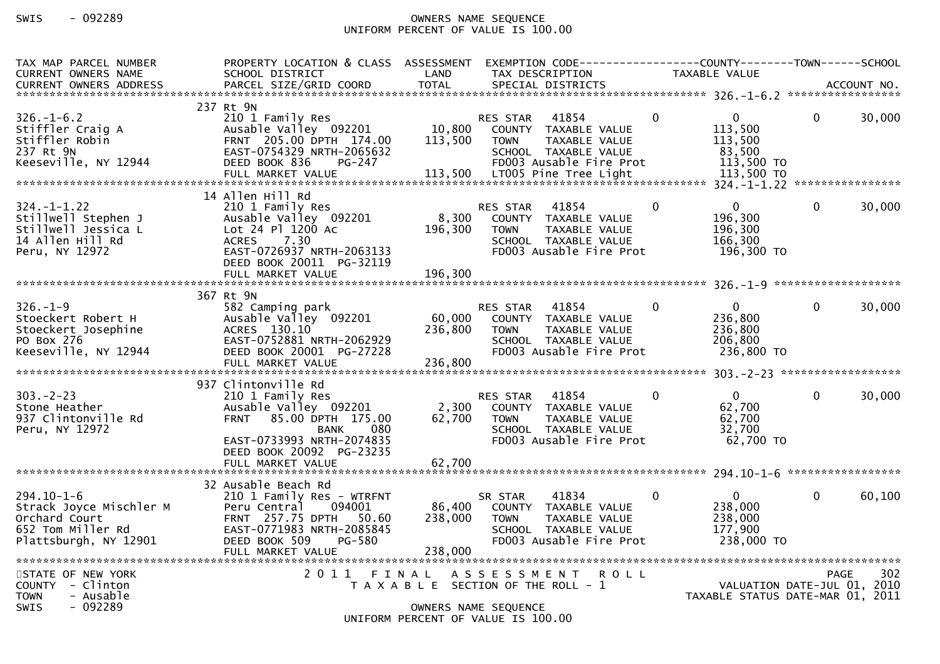# SWIS - 092289 OWNERS NAME SEQUENCE UNIFORM PERCENT OF VALUE IS 100.00

| TAX MAP PARCEL NUMBER                                                                                      | PROPERTY LOCATION & CLASS ASSESSMENT                                                                                                                                                           |                                                                                                     |                                |                                                                                                   |              | EXEMPTION CODE-----------------COUNTY--------TOWN------SCHOOL   |              |        |
|------------------------------------------------------------------------------------------------------------|------------------------------------------------------------------------------------------------------------------------------------------------------------------------------------------------|-----------------------------------------------------------------------------------------------------|--------------------------------|---------------------------------------------------------------------------------------------------|--------------|-----------------------------------------------------------------|--------------|--------|
| <b>CURRENT OWNERS NAME</b>                                                                                 | SCHOOL DISTRICT                                                                                                                                                                                | LAND                                                                                                |                                | TAX DESCRIPTION                                                                                   |              | <b>TAXABLE VALUE</b>                                            |              |        |
|                                                                                                            |                                                                                                                                                                                                |                                                                                                     |                                |                                                                                                   |              |                                                                 |              |        |
| $326. - 1 - 6.2$<br>Stiffler Craig A<br>Stiffler Robin<br>237 Rt 9N<br>Keeseville, NY 12944                | 237 Rt 9N<br>210 1 Family Res<br>Ausable Valley 092201<br>FRNT 205.00 DPTH 174.00<br>EAST-0754329 NRTH-2065632<br>DEED BOOK 836<br>PG-247                                                      | 10,800<br>113,500                                                                                   | <b>RES STAR</b><br><b>TOWN</b> | 41854<br>COUNTY TAXABLE VALUE<br>TAXABLE VALUE<br>SCHOOL TAXABLE VALUE<br>FD003 Ausable Fire Prot | $\Omega$     | $\mathbf{0}$<br>113,500<br>113,500<br>83,500<br>113,500 TO      | $\Omega$     | 30,000 |
| 14 Allen Hill Rd                                                                                           |                                                                                                                                                                                                |                                                                                                     |                                |                                                                                                   |              |                                                                 |              |        |
| $324. - 1 - 1.22$<br>Stillwell Stephen J<br>Stillwell Jessica L<br>14 Allen Hill Rd<br>Peru, NY 12972      | 210 1 Family Res<br>Ausable Valley 092201<br>Lot 24 Pl 1200 Ac<br>7.30<br><b>ACRES</b><br>EAST-0726937 NRTH-2063133<br>DEED BOOK 20011 PG-32119                                                | 8,300<br>196,300                                                                                    | <b>RES STAR</b><br><b>TOWN</b> | 41854<br>COUNTY TAXABLE VALUE<br>TAXABLE VALUE<br>SCHOOL TAXABLE VALUE<br>FD003 Ausable Fire Prot | $\mathbf{0}$ | $\mathbf 0$<br>196,300<br>196,300<br>166,300<br>196,300 TO      | $\mathbf 0$  | 30,000 |
|                                                                                                            |                                                                                                                                                                                                |                                                                                                     |                                |                                                                                                   |              |                                                                 |              |        |
| $326. - 1 - 9$<br>Stoeckert Robert H<br>Stoeckert Josephine<br>PO Box 276<br>Keeseville, NY 12944          | 367 Rt 9N<br>582 Camping park<br>Ausable Valley 092201<br>ACRES 130.10<br>EAST-0752881 NRTH-2062929<br>DEED BOOK 20001 PG-27228<br>FULL MARKET VALUE                                           | 60,000<br>236,800<br>236,800                                                                        | <b>RES STAR</b><br>TOWN        | 41854<br>COUNTY TAXABLE VALUE<br>TAXABLE VALUE<br>SCHOOL TAXABLE VALUE<br>FD003 Ausable Fire Prot | $\Omega$     | $\Omega$<br>236,800<br>236,800<br>206,800<br>236,800 TO         | $\Omega$     | 30,000 |
|                                                                                                            |                                                                                                                                                                                                |                                                                                                     |                                |                                                                                                   |              |                                                                 |              |        |
| $303 - 2 - 23$<br>Stone Heather<br>937 Clintonville Rd<br>Peru, NY 12972                                   | 937 Clintonville Rd<br>210 1 Family Res<br>Ausable Valley 092201<br>FRNT 85.00 DPTH 175.00<br>080<br><b>BANK</b><br>EAST-0733993 NRTH-2074835<br>DEED BOOK 20092 PG-23235<br>FULL MARKET VALUE | 2,300<br>62,700<br>62,700                                                                           | <b>RES STAR</b><br><b>TOWN</b> | 41854<br>COUNTY TAXABLE VALUE<br>TAXABLE VALUE<br>SCHOOL TAXABLE VALUE<br>FD003 Ausable Fire Prot | $\Omega$     | $\mathbf{0}$<br>62,700<br>62,700<br>32,700<br>62,700 TO         | $\mathbf{0}$ | 30,000 |
|                                                                                                            |                                                                                                                                                                                                |                                                                                                     |                                |                                                                                                   |              |                                                                 |              |        |
| $294.10 - 1 - 6$<br>Strack Joyce Mischler M<br>Orchard Court<br>652 Tom Miller Rd<br>Plattsburgh, NY 12901 | 32 Ausable Beach Rd<br>210 1 Family Res - WTRFNT<br>Peru Central<br>094001<br>FRNT 257.75 DPTH 50.60<br>EAST-0771983 NRTH-2085845<br>DEED BOOK 509<br>PG-580<br>FULL MARKET VALUE              | 86,400<br>238,000<br>238,000                                                                        | SR STAR<br><b>TOWN</b>         | 41834<br>COUNTY TAXABLE VALUE<br>TAXABLE VALUE<br>SCHOOL TAXABLE VALUE<br>FD003 Ausable Fire Prot | $\mathbf 0$  | $\mathbf{0}$<br>238,000<br>238,000<br>177,900<br>238,000 TO     | $\Omega$     | 60,100 |
| STATE OF NEW YORK<br>COUNTY - Clinton<br><b>TOWN</b><br>- Ausable<br>SWIS<br>$-092289$                     | 2011 FINAL                                                                                                                                                                                     | T A X A B L E SECTION OF THE ROLL - 1<br>OWNERS NAME SEQUENCE<br>UNIFORM PERCENT OF VALUE IS 100.00 | A S S E S S M E N T            |                                                                                                   | <b>ROLL</b>  | VALUATION DATE-JUL 01, 2010<br>TAXABLE STATUS DATE-MAR 01, 2011 | <b>PAGE</b>  | 302    |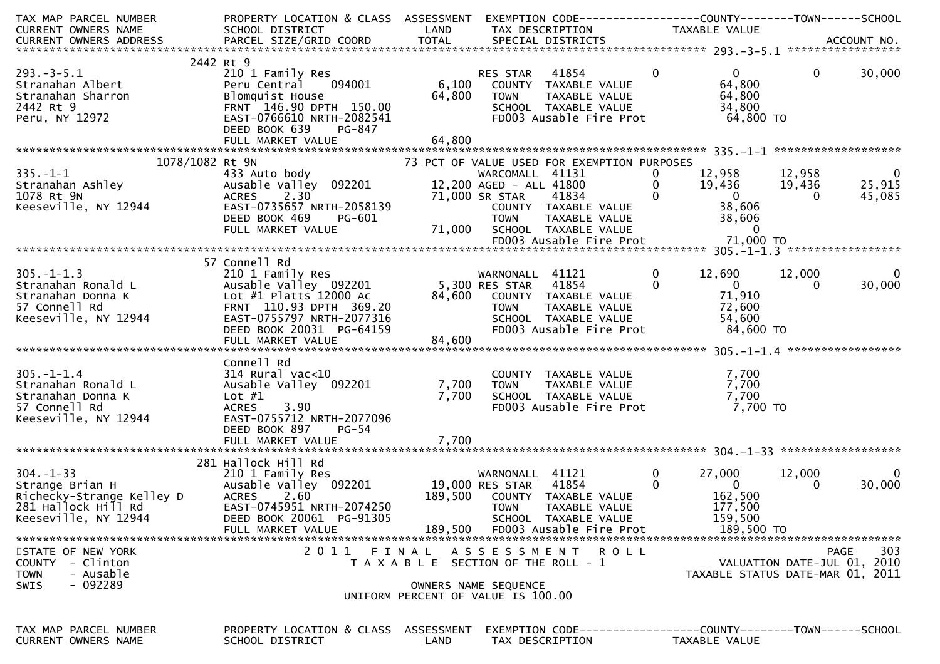| TAX MAP PARCEL NUMBER<br><b>CURRENT OWNERS NAME</b>                                                        | PROPERTY LOCATION & CLASS ASSESSMENT EXEMPTION CODE----------------COUNTY-------TOWN------SCHOOL<br>SCHOOL DISTRICT                                                                           | LAND                                                                                 | TAX DESCRIPTION                                                             |                                                                                                                                                         | TAXABLE VALUE                                                                                                                                       |                                            |                                             |
|------------------------------------------------------------------------------------------------------------|-----------------------------------------------------------------------------------------------------------------------------------------------------------------------------------------------|--------------------------------------------------------------------------------------|-----------------------------------------------------------------------------|---------------------------------------------------------------------------------------------------------------------------------------------------------|-----------------------------------------------------------------------------------------------------------------------------------------------------|--------------------------------------------|---------------------------------------------|
|                                                                                                            |                                                                                                                                                                                               |                                                                                      |                                                                             |                                                                                                                                                         |                                                                                                                                                     |                                            |                                             |
| 2442 Rt 9<br>$293. -3 - 5.1$<br>Stranahan Albert<br>Stranahan Sharron<br>2442 Rt 9<br>Peru, NY 12972       | 210 1 Family Res<br>094001<br>Peru Central<br>Blomquist House<br>FRNT 146.90 DPTH 150.00<br>EAST-0766610 NRTH-2082541<br>DEED BOOK 639<br>PG-847                                              | 6,100<br>64,800                                                                      | RES STAR<br><b>TOWN</b>                                                     | 41854<br>COUNTY TAXABLE VALUE<br>TAXABLE VALUE<br>SCHOOL TAXABLE VALUE<br>FD003 Ausable Fire Prot                                                       | $\overline{0}$<br>$\mathbf{0}$<br>64,800<br>64,800<br>34,800<br>64,800 TO                                                                           | $\mathbf 0$                                | 30,000                                      |
|                                                                                                            |                                                                                                                                                                                               |                                                                                      |                                                                             |                                                                                                                                                         |                                                                                                                                                     |                                            |                                             |
| 1078/1082 Rt 9N<br>335.-1-1<br>Stranahan Ashley<br>Channel ON<br>1078 Rt 9N<br>Keeseville, NY 12944        | 433 Auto body<br>Ausable Valley 092201<br>2.30<br><b>ACRES</b><br>EAST-0735657 NRTH-2058139<br>DEED BOOK 469<br>PG-601<br>FULL MARKET VALUE                                                   |                                                                                      | WARCOMALL 41131<br>12,200 AGED - ALL 41800<br>71,000 SR STAR<br><b>TOWN</b> | 73 PCT OF VALUE USED FOR EXEMPTION PURPOSES<br>41834<br>COUNTY TAXABLE VALUE<br>TAXABLE VALUE<br>71,000 SCHOOL TAXABLE VALUE<br>FD003 Ausable Fire Prot | 12,958<br>$\bf{0}$<br>$\mathbf{0}$<br>19,436<br>$\mathbf{0}$<br>$\overline{\mathbf{0}}$<br>38,606<br>38,606<br>$\overline{\mathbf{0}}$<br>71,000 TO | 12,958<br>19,436<br>$\Omega$               | $\overline{\mathbf{0}}$<br>25,915<br>45,085 |
|                                                                                                            |                                                                                                                                                                                               |                                                                                      |                                                                             |                                                                                                                                                         |                                                                                                                                                     |                                            |                                             |
| $305. - 1 - 1.3$<br>Stranahan Ronald L<br>Stranahan Donna K<br>57 Connell Rd<br>Keeseville, NY 12944       | 57 Connell Rd<br>210 1 Family Res<br>Ausable Valley 092201<br>Lot #1 Platts 12000 Ac<br>FRNT 110.93 DPTH 369.20<br>EAST-0755797 NRTH-2077316<br>DEED BOOK 20031 PG-64159<br>FULL MARKET VALUE | 84,600<br>84,600                                                                     | WARNONALL 41121<br>5,300 RES STAR 41854                                     | COUNTY TAXABLE VALUE<br>TOWN       TAXABLE  VALUE<br>SCHOOL    TAXABLE  VALUE<br>FD003 Ausable Fire Prot                                                | $\mathbf 0$<br>12,690<br>$\begin{array}{ccc} & & 0 & \end{array}$<br>$\mathbf{0}$<br>71,910<br>72,600<br>54,600<br>84,600 TO                        | 12,000<br>$\Omega$                         | - 0<br>30,000                               |
|                                                                                                            |                                                                                                                                                                                               |                                                                                      |                                                                             |                                                                                                                                                         |                                                                                                                                                     |                                            |                                             |
| $305. - 1 - 1.4$<br>Stranahan Ronald L<br>Stranahan Donna K<br>57 Connell Rd<br>Keeseville, NY 12944       | Connell Rd<br>$314$ Rural vac<10<br>Ausable Valley 092201<br>Lot #1<br><b>ACRES</b><br>3.90<br>EAST-0755712 NRTH-2077096<br>DEED BOOK 897<br>PG-54                                            | 7,700<br>7,700                                                                       | <b>TOWN</b>                                                                 | COUNTY TAXABLE VALUE<br>TAXABLE VALUE<br>SCHOOL TAXABLE VALUE<br>FD003 Ausable Fire Prot                                                                | 7,700<br>7,700<br>7,700<br>7,700 TO                                                                                                                 |                                            |                                             |
|                                                                                                            | FULL MARKET VALUE                                                                                                                                                                             | 7,700                                                                                |                                                                             |                                                                                                                                                         |                                                                                                                                                     |                                            |                                             |
| $304.-1-33$<br>Strange Brian H<br>Richecky-Strange Kelley D<br>281 Hallock Hill Rd<br>Keeseville, NY 12944 | 281 Hallock Hill Rd<br>210 1 Family Res<br>Ausable Valley 092201 19,000 RES STAR<br><b>ACRES</b><br>2.60<br>EAST-0745951 NRTH-2074250<br>DEED BOOK 20061 PG-91305<br>FULL MARKET VALUE        | 189,500<br>189,500                                                                   | WARNONALL 41121<br><b>TOWN</b>                                              | 41854<br>COUNTY TAXABLE VALUE<br>TAXABLE VALUE<br>SCHOOL TAXABLE VALUE<br>FD003 Ausable Fire Prot                                                       | $\mathbf 0$<br>27,000<br>$\overline{0}$<br>$\mathbf{0}$<br>162,500<br>177,500<br>159,500<br>189,500 TO                                              | 12,000<br>$\Omega$                         | $\overline{0}$<br>30,000                    |
| STATE OF NEW YORK<br>COUNTY - Clinton<br>- Ausable<br><b>TOWN</b><br>$-092289$<br><b>SWIS</b>              | 2011                                                                                                                                                                                          | FINAL<br>T A X A B L E SECTION OF THE ROLL - 1<br>UNIFORM PERCENT OF VALUE IS 100.00 | OWNERS NAME SEQUENCE                                                        | ASSESSMENT ROLL                                                                                                                                         | TAXABLE STATUS DATE-MAR 01, 2011                                                                                                                    | <b>PAGE</b><br>VALUATION DATE-JUL 01, 2010 | 303                                         |
| TAX MAP PARCEL NUMBER<br><b>CURRENT OWNERS NAME</b>                                                        | PROPERTY LOCATION & CLASS ASSESSMENT<br>SCHOOL DISTRICT                                                                                                                                       | LAND                                                                                 | TAX DESCRIPTION                                                             |                                                                                                                                                         | EXEMPTION CODE------------------COUNTY--------TOWN------SCHOOL<br>TAXABLE VALUE                                                                     |                                            |                                             |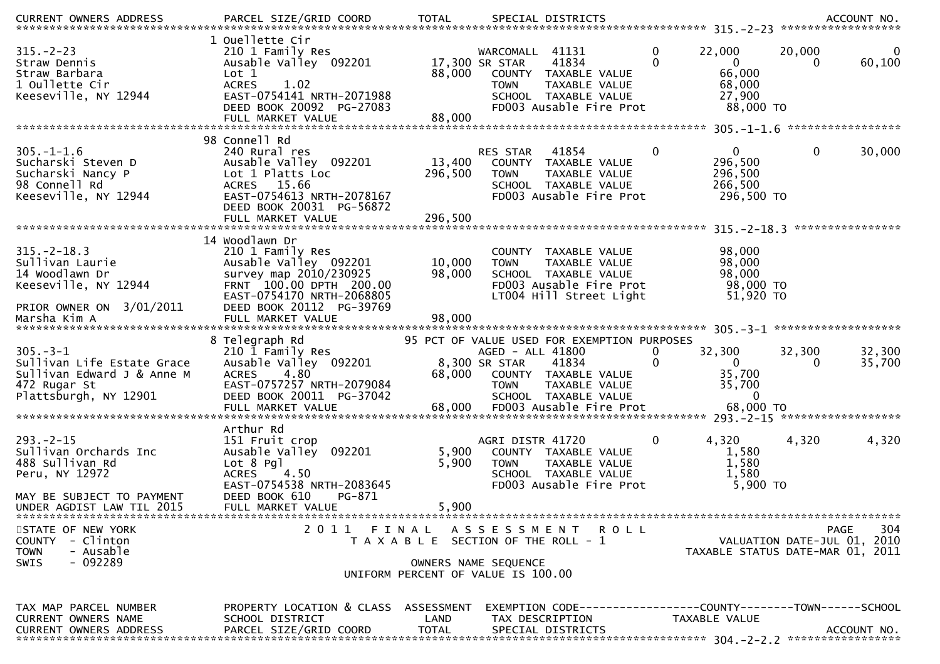| $315 - 2 - 23$<br>Straw Dennis<br>Straw Barbara<br>1 Oullette Cir<br>Keeseville, NY 12944                                  | 1 Ouellette Cir<br>210 1 Family Res<br>Ausable Valley 092201<br>Lot 1<br><b>ACRES</b><br>1.02<br>EAST-0754141 NRTH-2071988<br>DEED BOOK 20092 PG-27083                                         | 88,000                     | WARCOMALL 41131<br>41834<br>17,300 SR STAR<br>COUNTY TAXABLE VALUE<br><b>TOWN</b><br>SCHOOL TAXABLE VALUE<br>FD003 Ausable Fire Prot | TAXABLE VALUE | $\mathbf 0$  | 22,000<br>$\overline{0}$<br>66,000<br>68,000<br>27,900<br>88,000 TO | 20,000                      | 0<br>60,100       |
|----------------------------------------------------------------------------------------------------------------------------|------------------------------------------------------------------------------------------------------------------------------------------------------------------------------------------------|----------------------------|--------------------------------------------------------------------------------------------------------------------------------------|---------------|--------------|---------------------------------------------------------------------|-----------------------------|-------------------|
|                                                                                                                            | 98 Connell Rd                                                                                                                                                                                  |                            |                                                                                                                                      |               |              |                                                                     |                             | ***************** |
| $305. - 1 - 1.6$<br>Sucharski Steven D<br>Sucharski Nancy P<br>98 Connell Rd<br>Keeseville, NY 12944                       | 240 Rural res<br>Ausable Valley 092201<br>Lot 1 Platts Loc<br>ACRES 15.66<br>EAST-0754613 NRTH-2078167<br>DEED BOOK 20031 PG-56872                                                             | 13,400<br>296,500          | 41854<br>RES STAR<br>COUNTY TAXABLE VALUE<br><b>TOWN</b><br>SCHOOL TAXABLE VALUE<br>FD003 Ausable Fire Prot                          | TAXABLE VALUE | $\mathbf{0}$ | $\Omega$<br>296,500<br>296,500<br>266,500<br>296,500 TO             | 0                           | 30,000            |
|                                                                                                                            |                                                                                                                                                                                                |                            |                                                                                                                                      |               |              |                                                                     |                             | ****************  |
| $315. - 2 - 18.3$<br>Sullivan Laurie<br>14 Woodlawn Dr<br>Keeseville, NY 12944<br>PRIOR OWNER ON 3/01/2011<br>Marsha Kim A | 14 Woodlawn Dr<br>210 1 Family Res<br>Ausable Valley 092201<br>survey map 2010/230925<br>FRNT 100.00 DPTH 200.00<br>EAST-0754170 NRTH-2068805<br>DEED BOOK 20112 PG-39769<br>FULL MARKET VALUE | 10,000<br>98,000<br>98,000 | COUNTY TAXABLE VALUE<br><b>TOWN</b><br>SCHOOL TAXABLE VALUE<br>FD003 Ausable Fire Prot<br>LT004 Hill Street Light                    | TAXABLE VALUE |              | 98,000<br>98,000<br>98,000<br>98,000 TO<br>51,920 TO                |                             |                   |
|                                                                                                                            | 8 Telegraph Rd                                                                                                                                                                                 |                            | 95 PCT OF VALUE USED FOR EXEMPTION PURPOSES                                                                                          |               |              |                                                                     |                             |                   |
| $305. - 3 - 1$<br>Sullivan Life Estate Grace<br>Sullivan Edward J & Anne M<br>472 Rugar St<br>Plattsburgh, NY 12901        | 210 1 Family Res<br>Ausable Valley 092201<br>4.80<br><b>ACRES</b><br>EAST-0757257 NRTH-2079084<br>DEED BOOK 20011 PG-37042                                                                     | 68,000                     | AGED - ALL 41800<br>8,300 SR STAR<br>41834<br>COUNTY TAXABLE VALUE<br><b>TOWN</b><br>SCHOOL TAXABLE VALUE                            | TAXABLE VALUE | 0<br>0       | 32,300<br>$\mathbf{0}$<br>35,700<br>35,700<br>$\Omega$              | 32,300<br>0                 | 32,300<br>35,700  |
|                                                                                                                            | Arthur Rd                                                                                                                                                                                      |                            |                                                                                                                                      |               |              |                                                                     |                             |                   |
| $293 - 2 - 15$<br>Sullivan Orchards Inc<br>488 Sullivan Rd<br>Peru, NY 12972<br>MAY BE SUBJECT TO PAYMENT                  | 151 Fruit crop<br>Ausable Valley 092201<br>$Lot 8$ Pgl<br>4.50<br><b>ACRES</b><br>EAST-0754538 NRTH-2083645<br>DEED BOOK 610<br>PG-871                                                         | 5,900<br>5,900             | AGRI DISTR 41720<br>COUNTY TAXABLE VALUE<br><b>TOWN</b><br>SCHOOL TAXABLE VALUE<br>FD003 Ausable Fire Prot                           | TAXABLE VALUE | 0            | 4,320<br>1,580<br>1,580<br>1,580<br>5,900 TO                        | 4,320                       | 4,320             |
| UNDER AGDIST LAW TIL 2015                                                                                                  | FULL MARKET VALUE                                                                                                                                                                              | 5,900                      |                                                                                                                                      |               |              |                                                                     |                             |                   |
| STATE OF NEW YORK<br>COUNTY - Clinton<br><b>TOWN</b><br>- Ausable<br>$-092289$<br><b>SWIS</b>                              |                                                                                                                                                                                                |                            | 2011 FINAL ASSESSMENT ROLL<br>T A X A B L E SECTION OF THE ROLL - 1<br>OWNERS NAME SEQUENCE<br>UNIFORM PERCENT OF VALUE IS 100.00    |               |              | TAXABLE STATUS DATE-MAR 01, 2011                                    | VALUATION DATE-JUL 01, 2010 | 304<br>PAGE       |
|                                                                                                                            |                                                                                                                                                                                                |                            |                                                                                                                                      |               |              |                                                                     |                             |                   |
|                                                                                                                            |                                                                                                                                                                                                |                            |                                                                                                                                      |               |              |                                                                     |                             |                   |
| TAX MAP PARCEL NUMBER<br>CURRENT OWNERS NAME<br><b>CURRENT OWNERS ADDRESS</b>                                              | PROPERTY LOCATION & CLASS ASSESSMENT<br>SCHOOL DISTRICT<br>PARCEL SIZE/GRID COORD                                                                                                              | LAND<br><b>TOTAL</b>       | EXEMPTION        CODE-----------------COUNTY-------TOWN------SCHOOL<br>TAX DESCRIPTION<br>SPECIAL DISTRICTS                          |               |              | TAXABLE VALUE                                                       |                             | ACCOUNT NO.       |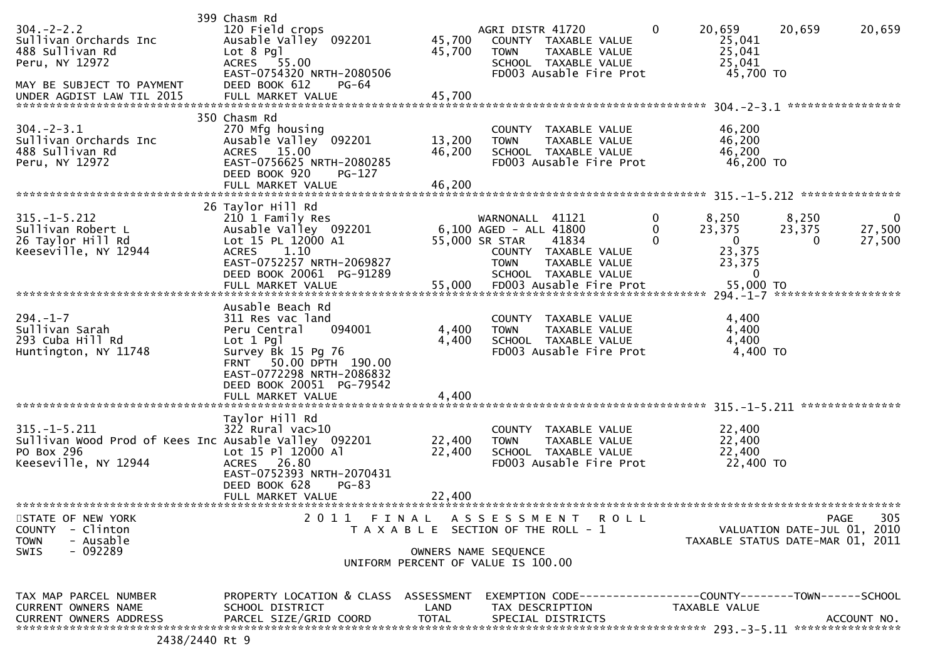| $304. -2 - 2.2$<br>Sullivan Orchards Inc<br>488 Sullivan Rd<br>Peru, NY 12972<br>MAY BE SUBJECT TO PAYMENT       | 399 Chasm Rd<br>120 Field crops<br>Ausable Valley 092201<br>Lot 8 Pgl<br>ACRES 55.00<br>EAST-0754320 NRTH-2080506<br>DEED BOOK 612<br>PG-64                                                                 | 45,700<br>45,700                                                            | AGRI DISTR 41720<br><b>TOWN</b>                                      | COUNTY TAXABLE VALUE<br>TAXABLE VALUE<br>SCHOOL TAXABLE VALUE<br>FD003 Ausable Fire Prot                   | 0             | 20,659<br>25,041<br>25,041<br>25,041<br>45,700 TO                       | 20,659                                                                         | 20,659                |
|------------------------------------------------------------------------------------------------------------------|-------------------------------------------------------------------------------------------------------------------------------------------------------------------------------------------------------------|-----------------------------------------------------------------------------|----------------------------------------------------------------------|------------------------------------------------------------------------------------------------------------|---------------|-------------------------------------------------------------------------|--------------------------------------------------------------------------------|-----------------------|
| $304. - 2 - 3.1$<br>Sullivan Orchards Inc<br>488 Sullivan Rd<br>Peru, NY 12972                                   | 350 Chasm Rd<br>270 Mfg housing<br>Ausable Valley 092201<br>ACRES 15.00<br>EAST-0756625 NRTH-2080285<br>DEED BOOK 920<br>PG-127<br>FULL MARKET VALUE                                                        | 13,200<br>46,200<br>46,200                                                  | <b>TOWN</b>                                                          | COUNTY TAXABLE VALUE<br>TAXABLE VALUE<br>SCHOOL TAXABLE VALUE<br>FD003 Ausable Fire Prot                   |               | 46,200<br>46,200<br>46,200<br>46,200 TO                                 | *****************                                                              |                       |
| $315. - 1 - 5.212$<br>Sullivan Robert L<br>26 Taylor Hill Rd<br>Keeseville, NY 12944                             | 26 Taylor Hill Rd<br>210 1 Family Res<br>Ausable Valley 092201<br>Lot 15 PL 12000 A1<br>1.10<br><b>ACRES</b><br>EAST-0752257 NRTH-2069827<br>DEED BOOK 20061 PG-91289<br>FULL MARKET VALUE                  | 55,000                                                                      | WARNONALL<br>6,100 AGED - ALL 41800<br>55,000 SR STAR<br><b>TOWN</b> | 41121<br>41834<br>COUNTY TAXABLE VALUE<br>TAXABLE VALUE<br>SCHOOL TAXABLE VALUE<br>FD003 Ausable Fire Prot | 0<br>$\Omega$ | 8,250<br>23,375<br>$\overline{0}$<br>23,375<br>23,375<br>0<br>55,000 TO | 8,250<br>23,375<br>$\Omega$                                                    | 0<br>27,500<br>27,500 |
| $294. - 1 - 7$<br>Sullivan Sarah<br>293 Cuba Hill Rd<br>Huntington, NY 11748                                     | Ausable Beach Rd<br>311 Res vac land<br>094001<br>Peru Central<br>Lot $1$ Pgl<br>Survey Bk 15 Pg 76<br>FRNT 50.00 DPTH 190.00<br>EAST-0772298 NRTH-2086832<br>DEED BOOK 20051 PG-79542<br>FULL MARKET VALUE | 4,400<br>4,400<br>4,400                                                     | <b>TOWN</b>                                                          | COUNTY TAXABLE VALUE<br>TAXABLE VALUE<br>SCHOOL TAXABLE VALUE<br>FD003 Ausable Fire Prot                   |               | 4,400<br>4,400<br>4,400<br>4,400 TO                                     |                                                                                |                       |
| $315. - 1 - 5.211$<br>Sullivan Wood Prod of Kees Inc Ausable Valley 092201<br>PO Box 296<br>Keeseville, NY 12944 | Taylor Hill Rd<br>322 Rural vac>10<br>Lot 15 Pl 12000 Al<br>ACRES 26.80<br>EAST-0752393 NRTH-2070431<br>DEED BOOK 628<br>$PG-83$<br>FULL MARKET VALUE                                                       | 22,400<br>22,400<br>22,400                                                  | <b>TOWN</b>                                                          | COUNTY TAXABLE VALUE<br>TAXABLE VALUE<br>SCHOOL TAXABLE VALUE<br>FD003 Ausable Fire Prot                   |               | 22,400<br>22,400<br>22,400<br>22,400 TO                                 |                                                                                |                       |
| STATE OF NEW YORK<br>- Clinton<br><b>COUNTY</b><br>- Ausable<br><b>TOWN</b><br>$-092289$<br>SWIS                 | 2011 FINAL                                                                                                                                                                                                  | T A X A B L E SECTION OF THE ROLL - 1<br>UNIFORM PERCENT OF VALUE IS 100.00 | A S S E S S M E N T<br>OWNERS NAME SEQUENCE                          | <b>ROLL</b>                                                                                                |               |                                                                         | <b>PAGE</b><br>VALUATION DATE-JUL 01, 2010<br>TAXABLE STATUS DATE-MAR 01, 2011 | 305                   |
| TAX MAP PARCEL NUMBER<br><b>CURRENT OWNERS NAME</b><br><b>CURRENT OWNERS ADDRESS</b>                             | PROPERTY LOCATION & CLASS ASSESSMENT<br>SCHOOL DISTRICT<br>PARCEL SIZE/GRID COORD                                                                                                                           | LAND<br><b>TOTAL</b>                                                        | TAX DESCRIPTION                                                      | EXEMPTION CODE-----------------COUNTY-------TOWN------SCHOOL<br>SPECIAL DISTRICTS                          |               | TAXABLE VALUE                                                           |                                                                                | ACCOUNT NO.           |

2438/2440 Rt 9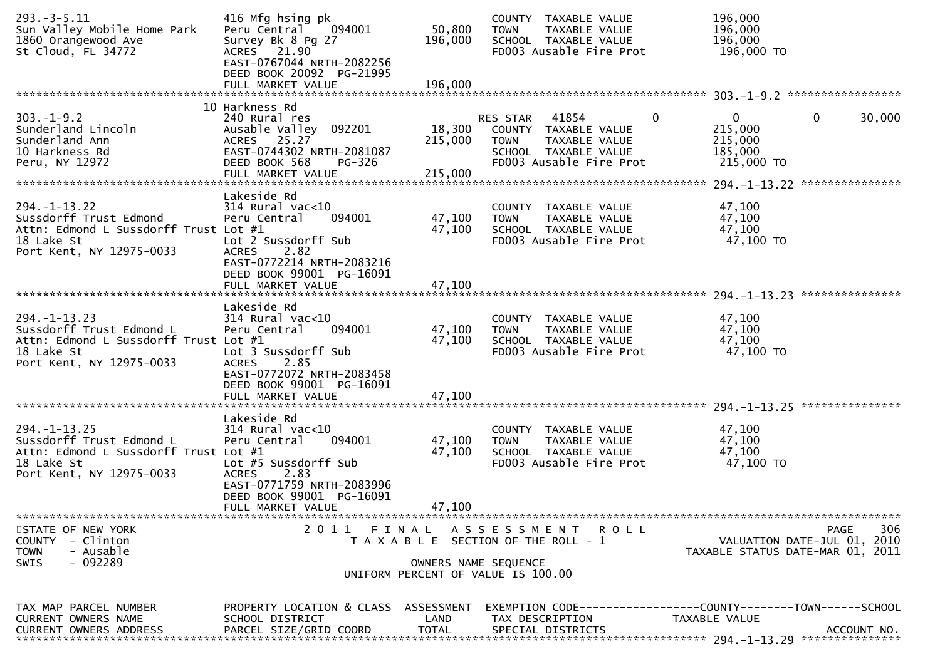| $293. -3 - 5.11$<br>Sun Valley Mobile Home Park<br>1860 Orangewood Ave<br>St Cloud, FL 34772                                      | 416 Mfg hsing pk<br>Peru Central<br>094001<br>Survey Bk 8 Pg 27<br>ACRES 21.90<br>EAST-0767044 NRTH-2082256<br>DEED BOOK 20092 PG-21995                                                     | 50,800<br>196,000            | COUNTY TAXABLE VALUE<br><b>TOWN</b><br>TAXABLE VALUE<br>SCHOOL TAXABLE VALUE<br>FD003 Ausable Fire Prot                           | 196,000<br>196,000<br>196,000<br>196,000 TO                                                   |
|-----------------------------------------------------------------------------------------------------------------------------------|---------------------------------------------------------------------------------------------------------------------------------------------------------------------------------------------|------------------------------|-----------------------------------------------------------------------------------------------------------------------------------|-----------------------------------------------------------------------------------------------|
|                                                                                                                                   | FULL MARKET VALUE                                                                                                                                                                           | 196,000                      |                                                                                                                                   |                                                                                               |
| $303. -1 - 9.2$<br>Sunderland Lincoln<br>Sunderland Ann<br>10 Harkness Rd<br>Peru, NY 12972                                       | 10 Harkness Rd<br>240 Rural res<br>Ausable Valley 092201<br>ACRES 25.27<br>EAST-0744302 NRTH-2081087<br>DEED BOOK 568<br>PG-326<br>FULL MARKET VALUE                                        | 18,300<br>215,000<br>215,000 | 41854<br>0<br>RES STAR<br>COUNTY TAXABLE VALUE<br>TAXABLE VALUE<br><b>TOWN</b><br>SCHOOL TAXABLE VALUE<br>FD003 Ausable Fire Prot | 0<br>0<br>30,000<br>215,000<br>215,000<br>185,000<br>215,000 TO                               |
| $294. - 1 - 13.22$<br>Sussdorff Trust Edmond<br>Attn: Edmond L Sussdorff Trust Lot #1<br>18 Lake St<br>Port Kent, NY 12975-0033   | Lakeside Rd<br>$314$ Rural vac<10<br>Peru Central<br>094001<br>Lot 2 Sussdorff Sub<br>2.82<br><b>ACRES</b><br>EAST-0772214 NRTH-2083216<br>DEED BOOK 99001 PG-16091                         | 47,100<br>47,100             | COUNTY TAXABLE VALUE<br>TAXABLE VALUE<br><b>TOWN</b><br>SCHOOL TAXABLE VALUE<br>FD003 Ausable Fire Prot                           | 47,100<br>47,100<br>47,100<br>47,100 TO                                                       |
|                                                                                                                                   | FULL MARKET VALUE                                                                                                                                                                           | 47,100                       |                                                                                                                                   | ***************                                                                               |
| $294. - 1 - 13.23$<br>Sussdorff Trust Edmond L<br>Attn: Edmond L Sussdorff Trust Lot #1<br>18 Lake St<br>Port Kent, NY 12975-0033 | Lakeside Rd<br>$314$ Rural vac< $10$<br>Peru Central<br>094001<br>Lot 3 Sussdorff Sub<br>2.85<br><b>ACRES</b><br>EAST-0772072 NRTH-2083458<br>DEED BOOK 99001 PG-16091<br>FULL MARKET VALUE | 47,100<br>47,100<br>47,100   | COUNTY TAXABLE VALUE<br>TAXABLE VALUE<br><b>TOWN</b><br>SCHOOL TAXABLE VALUE<br>FD003 Ausable Fire Prot                           | 47,100<br>47,100<br>47,100<br>47,100 TO                                                       |
| $294. - 1 - 13.25$<br>Sussdorff Trust Edmond L<br>Attn: Edmond L Sussdorff Trust Lot #1<br>18 Lake St<br>Port Kent, NY 12975-0033 | Lakeside Rd<br>314 Rural vac<10<br>094001<br>Peru Central<br>Lot #5 Sussdorff Sub<br>2.83<br><b>ACRES</b><br>EAST-0771759 NRTH-2083996<br>DEED BOOK 99001 PG-16091<br>FULL MARKET VALUE     | 47,100<br>47,100<br>47,100   | COUNTY TAXABLE VALUE<br><b>TOWN</b><br>TAXABLE VALUE<br>SCHOOL TAXABLE VALUE<br>FD003 Ausable Fire Prot                           | 47,100<br>47,100<br>47,100<br>47,100 TO                                                       |
| STATE OF NEW YORK<br>COUNTY - Clinton<br><b>TOWN</b><br>- Ausable<br>$-092289$<br><b>SWIS</b>                                     | 2011 FINAL                                                                                                                                                                                  | OWNERS NAME SEQUENCE         | A S S E S S M E N T<br>ROLL<br>T A X A B L E SECTION OF THE ROLL - 1<br>UNIFORM PERCENT OF VALUE IS 100.00                        | 306<br>PAGE<br>VALUATION DATE-JUL 01, 2010<br>TAXABLE STATUS DATE-MAR 01, 2011                |
| TAX MAP PARCEL NUMBER<br>CURRENT OWNERS NAME<br><b>CURRENT OWNERS ADDRESS</b>                                                     | PROPERTY LOCATION & CLASS ASSESSMENT<br>SCHOOL DISTRICT<br>PARCEL SIZE/GRID COORD                                                                                                           | LAND<br><b>TOTAL</b>         | TAX DESCRIPTION<br>SPECIAL DISTRICTS                                                                                              | EXEMPTION CODE-----------------COUNTY--------TOWN------SCHOOL<br>TAXABLE VALUE<br>ACCOUNT NO. |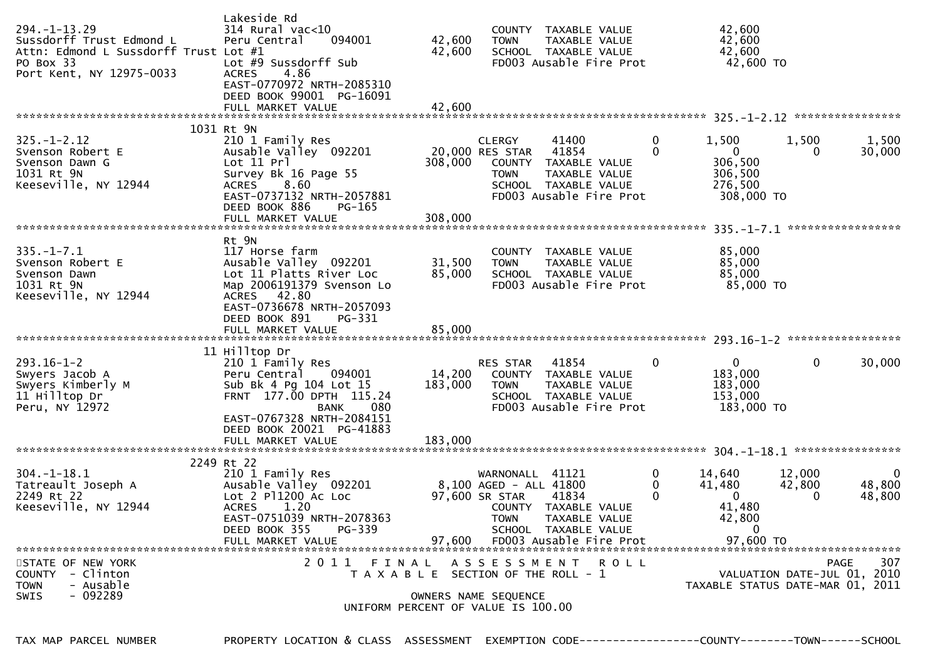| $294. -1 - 13.29$<br>Sussdorff Trust Edmond L<br>Attn: Edmond L Sussdorff Trust Lot #1<br>PO Box 33<br>Port Kent, NY 12975-0033 | Lakeside Rd<br>314 Rural vac<10<br>Peru Central<br>094001<br>Lot #9 Sussdorff Sub<br>4.86<br><b>ACRES</b><br>EAST-0770972 NRTH-2085310<br>DEED BOOK 99001 PG-16091<br>FULL MARKET VALUE  | 42,600<br>42,600<br>42,600 | <b>TOWN</b>                                                          | COUNTY TAXABLE VALUE<br>TAXABLE VALUE<br>SCHOOL TAXABLE VALUE<br>FD003 Ausable Fire Prot                          |               | 42,600<br>42,600<br>42,600<br>42,600 TO                                             |                             |                                 |
|---------------------------------------------------------------------------------------------------------------------------------|------------------------------------------------------------------------------------------------------------------------------------------------------------------------------------------|----------------------------|----------------------------------------------------------------------|-------------------------------------------------------------------------------------------------------------------|---------------|-------------------------------------------------------------------------------------|-----------------------------|---------------------------------|
|                                                                                                                                 | 1031 Rt 9N                                                                                                                                                                               |                            |                                                                      |                                                                                                                   |               |                                                                                     |                             |                                 |
| $325. - 1 - 2.12$<br>Svenson Robert E<br>Svenson Dawn G<br>1031 Rt 9N<br>Keeseville, NY 12944                                   | 210 1 Family Res<br>Ausable Valley 092201<br>Lot 11 Pr<br>Survey Bk 16 Page 55<br>8.60<br>ACRES<br>EAST-0737132 NRTH-2057881<br>DEED BOOK 886<br>PG-165<br>FULL MARKET VALUE             | 308,000<br>308,000         | <b>CLERGY</b><br>20,000 RES STAR<br><b>TOWN</b>                      | 41400<br>41854<br>COUNTY TAXABLE VALUE<br>TAXABLE VALUE<br>SCHOOL TAXABLE VALUE<br>FD003 Ausable Fire Prot        | 0<br>$\Omega$ | 1,500<br>$\overline{0}$<br>306,500<br>306,500<br>276,500<br>308,000 TO              | 1,500<br>0                  | 1,500<br>30,000                 |
|                                                                                                                                 |                                                                                                                                                                                          |                            |                                                                      |                                                                                                                   |               |                                                                                     |                             |                                 |
| $335. - 1 - 7.1$<br>Svenson Robert E<br>Svenson Dawn<br>1031 Rt 9N<br>Keeseville, NY 12944                                      | Rt 9N<br>117 Horse farm<br>Ausable Valley 092201<br>Lot 11 Platts River Loc<br>Map 2006191379 Svenson Lo<br>ACRES 42.80<br>EAST-0736678 NRTH-2057093<br>DEED BOOK 891<br>PG-331          | 31,500<br>85,000           | <b>TOWN</b>                                                          | COUNTY TAXABLE VALUE<br>TAXABLE VALUE<br>SCHOOL TAXABLE VALUE<br>FD003 Ausable Fire Prot                          |               | 85,000<br>85,000<br>85,000<br>85,000 TO                                             |                             |                                 |
|                                                                                                                                 |                                                                                                                                                                                          |                            |                                                                      |                                                                                                                   |               |                                                                                     |                             |                                 |
|                                                                                                                                 |                                                                                                                                                                                          |                            |                                                                      |                                                                                                                   |               |                                                                                     |                             |                                 |
| $293.16 - 1 - 2$<br>Swyers Jacob A<br>Swyers Kimberly M<br>11 Hilltop Dr<br>Peru, NY 12972                                      | 11 Hilltop Dr<br>210 1 Family Res<br>Peru Central<br>094001<br>Sub Bk 4 Pg 104 Lot 15<br>FRNT 177.00 DPTH 115.24<br>080<br>BANK<br>EAST-0767328 NRTH-2084151<br>DEED BOOK 20021 PG-41883 | 14,200<br>183,000          | RES STAR<br><b>TOWN</b>                                              | 41854<br>COUNTY TAXABLE VALUE<br>TAXABLE VALUE<br>SCHOOL TAXABLE VALUE<br>FD003 Ausable Fire Prot                 | $\mathbf{0}$  | $\mathbf{0}$<br>183,000<br>183,000<br>153,000<br>183,000 TO                         | $\mathbf 0$                 | 30,000                          |
|                                                                                                                                 | FULL MARKET VALUE                                                                                                                                                                        | 183,000                    |                                                                      |                                                                                                                   |               |                                                                                     |                             |                                 |
|                                                                                                                                 | 2249 Rt 22                                                                                                                                                                               |                            |                                                                      |                                                                                                                   |               |                                                                                     |                             |                                 |
| $304. -1 - 18.1$<br>Tatreault Joseph A<br>2249 Rt 22<br>Keeseville, NY 12944                                                    | 210 1 Family Res<br>Ausable Valley 092201<br>Lot 2 P11200 Ac Loc<br>ACRES 1.20<br>EAST-0751039 NRTH-2078363<br>DEED BOOK 355<br>PG-339<br>FULL MARKET VALUE                              |                            | WARNONALL<br>8,100 AGED - ALL 41800<br>97,600 SR STAR<br><b>TOWN</b> | 41121<br>41834<br>COUNTY TAXABLE VALUE<br>TAXABLE VALUE<br>SCHOOL TAXABLE VALUE<br>97,600 FD003 Ausable Fire Prot | 0<br>0<br>0   | 14,640<br>41,480<br>$\overline{0}$<br>41,480<br>42,800<br>$\mathbf{0}$<br>97,600 TO | 12,000<br>42,800<br>0       | $\mathbf 0$<br>48,800<br>48,800 |
| STATE OF NEW YORK                                                                                                               | 2011 FINAL ASSESSMENT ROLL                                                                                                                                                               |                            |                                                                      |                                                                                                                   |               |                                                                                     | PAGE                        | 307                             |
| COUNTY - Clinton<br>- Ausable<br><b>TOWN</b><br>$-092289$<br>SWIS                                                               | T A X A B L E SECTION OF THE ROLL - 1<br>UNIFORM PERCENT OF VALUE IS 100.00                                                                                                              |                            | OWNERS NAME SEQUENCE                                                 |                                                                                                                   |               | TAXABLE STATUS DATE-MAR 01, 2011                                                    | VALUATION DATE-JUL 01, 2010 |                                 |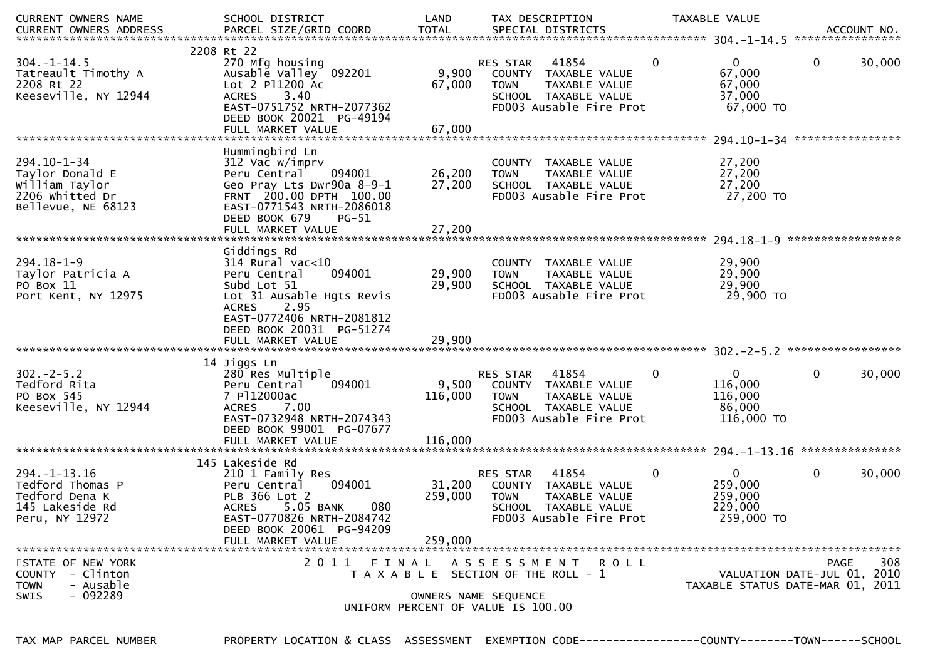| CURRENT OWNERS NAME<br><b>CURRENT OWNERS ADDRESS</b>                                            | SCHOOL DISTRICT<br>PARCEL SIZE/GRID COORD                                                                                                                                                                     | LAND<br><b>TOTAL</b>         | TAX DESCRIPTION<br>SPECIAL DISTRICTS                                                                                                   |              | TAXABLE VALUE                                              | ACCOUNT NO.<br>****************                                                |
|-------------------------------------------------------------------------------------------------|---------------------------------------------------------------------------------------------------------------------------------------------------------------------------------------------------------------|------------------------------|----------------------------------------------------------------------------------------------------------------------------------------|--------------|------------------------------------------------------------|--------------------------------------------------------------------------------|
| $304. - 1 - 14.5$<br>Tatreault Timothy A<br>2208 Rt 22<br>Keeseville, NY 12944                  | 2208 Rt 22<br>270 Mfg housing<br>Ausable Valley 092201<br>Lot $2$ P $1200$ Ac<br>3.40<br><b>ACRES</b><br>EAST-0751752 NRTH-2077362<br>DEED BOOK 20021 PG-49194<br>FULL MARKET VALUE                           | 9,900<br>67,000<br>67,000    | 41854<br><b>RES STAR</b><br>COUNTY<br>TAXABLE VALUE<br>TAXABLE VALUE<br><b>TOWN</b><br>SCHOOL TAXABLE VALUE<br>FD003 Ausable Fire Prot | $\mathbf{0}$ | $\mathbf{0}$<br>67,000<br>67,000<br>37,000<br>67,000 TO    | 30,000<br>0                                                                    |
| $294.10 - 1 - 34$<br>Taylor Donald E<br>William Taylor<br>2206 Whitted Dr<br>Bellevue, NE 68123 | Hummingbird Ln<br>312 Vac w/imprv<br>Peru Central<br>094001<br>Geo Pray Lts Dwr90a 8-9-1<br>FRNT 200.00 DPTH 100.00<br>EAST-0771543 NRTH-2086018<br>DEED BOOK 679<br>$PG-51$<br>FULL MARKET VALUE             | 26,200<br>27,200<br>27,200   | COUNTY TAXABLE VALUE<br>TAXABLE VALUE<br><b>TOWN</b><br>SCHOOL TAXABLE VALUE<br>FD003 Ausable Fire Prot                                |              | 27,200<br>27,200<br>27,200<br>27,200 TO                    |                                                                                |
| $294.18 - 1 - 9$<br>Taylor Patricia A<br>PO Box 11<br>Port Kent, NY 12975                       | Giddings Rd<br>$314$ Rural vac<10<br>Peru Central<br>094001<br>Subd Lot 51<br>Lot 31 Ausable Hgts Revis<br>2.95<br><b>ACRES</b><br>EAST-0772406 NRTH-2081812<br>DEED BOOK 20031 PG-51274<br>FULL MARKET VALUE | 29,900<br>29,900<br>29,900   | <b>COUNTY</b><br>TAXABLE VALUE<br><b>TOWN</b><br>TAXABLE VALUE<br>SCHOOL TAXABLE VALUE<br>FD003 Ausable Fire Prot                      |              | 29,900<br>29,900<br>29,900<br>29,900 TO                    |                                                                                |
| $302 - 2 - 5.2$<br>Tedford Rita<br>PO Box 545<br>Keeseville, NY 12944                           | 14 Jiggs Ln<br>280 Res Multiple<br>Peru Central<br>094001<br>7 P112000ac<br>7.00<br><b>ACRES</b><br>EAST-0732948 NRTH-2074343<br>DEED BOOK 99001 PG-07677<br>FULL MARKET VALUE                                | 9,500<br>116,000<br>116,000  | 41854<br><b>RES STAR</b><br>COUNTY TAXABLE VALUE<br>TAXABLE VALUE<br><b>TOWN</b><br>SCHOOL TAXABLE VALUE<br>FD003 Ausable Fire Prot    | 0            | $\mathbf{0}$<br>116,000<br>116,000<br>86,000<br>116,000 TO | 0<br>30,000                                                                    |
| $294. - 1 - 13.16$<br>Tedford Thomas P<br>Tedford Dena K<br>145 Lakeside Rd<br>Peru, NY 12972   | 145 Lakeside Rd<br>210 1 Family Res<br>Peru Central<br>094001<br>PLB 366 Lot 2<br><b>ACRES</b><br>5.05 BANK<br>080<br>EAST-0770826 NRTH-2084742<br>DEED BOOK 20061 PG-94209<br>FULL MARKET VALUE              | 31,200<br>259,000<br>259,000 | 41854<br>RES STAR<br>COUNTY TAXABLE VALUE<br><b>TOWN</b><br>TAXABLE VALUE<br><b>SCHOOL</b><br>TAXABLE VALUE<br>FD003 Ausable Fire Prot | 0            | $\mathbf 0$<br>259,000<br>259,000<br>229,000<br>259,000 TO | 0<br>30,000                                                                    |
| STATE OF NEW YORK<br>COUNTY - Clinton<br>- Ausable<br><b>TOWN</b><br>$-092289$<br>SWIS          | 2011 FINAL                                                                                                                                                                                                    |                              | A S S E S S M E N T R O L L<br>T A X A B L E SECTION OF THE ROLL - 1<br>OWNERS NAME SEQUENCE<br>UNIFORM PERCENT OF VALUE IS 100.00     |              |                                                            | 308<br>PAGE<br>VALUATION DATE-JUL 01, 2010<br>TAXABLE STATUS DATE-MAR 01, 2011 |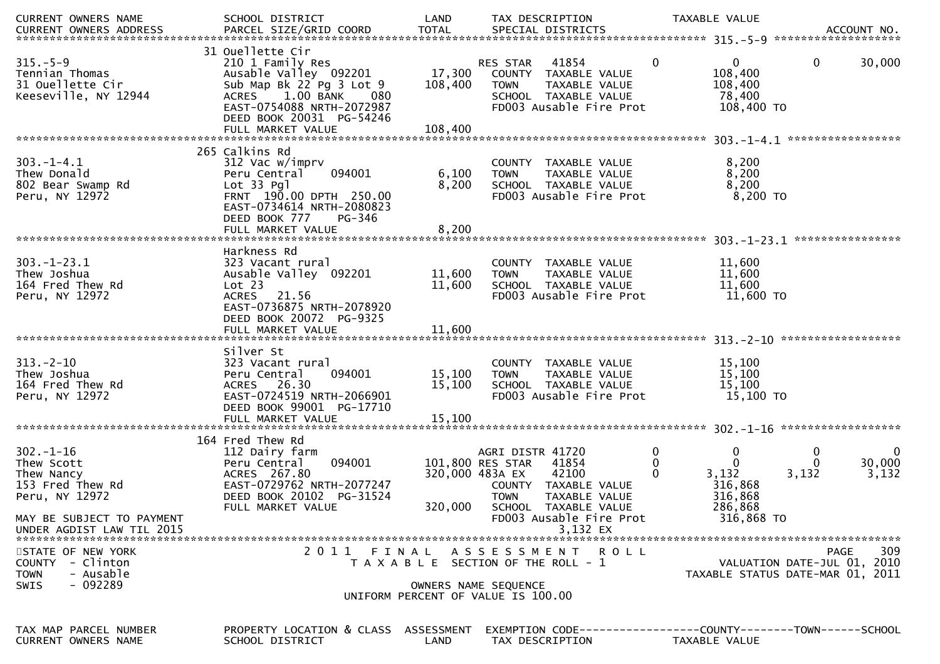| CURRENT OWNERS NAME<br><b>CURRENT OWNERS ADDRESS</b> | SCHOOL DISTRICT<br>PARCEL SIZE/GRID COORD             | LAND<br><b>TOTAL</b> | TAX DESCRIPTION<br>SPECIAL DISTRICTS                       | TAXABLE VALUE                                | ACCOUNT NO.                      |
|------------------------------------------------------|-------------------------------------------------------|----------------------|------------------------------------------------------------|----------------------------------------------|----------------------------------|
|                                                      |                                                       |                      |                                                            |                                              |                                  |
| $315. - 5 - 9$                                       | 31 Ouellette Cir<br>210 1 Family Res                  |                      | 41854<br>RES STAR                                          | $\Omega$<br>0                                | 30,000<br>0                      |
| Tennian Thomas                                       | Ausable Valley 092201                                 | 17,300               | COUNTY TAXABLE VALUE                                       | 108,400                                      |                                  |
| 31 Ouellette Cir<br>Keeseville, NY 12944             | Sub Map Bk 22 Pg 3 Lot 9<br>1.00 BANK<br>ACRES<br>080 | 108,400              | <b>TOWN</b><br>TAXABLE VALUE<br>SCHOOL TAXABLE VALUE       | 108,400<br>78,400                            |                                  |
|                                                      | EAST-0754088 NRTH-2072987                             |                      | FD003 Ausable Fire Prot                                    | 108,400 TO                                   |                                  |
|                                                      | DEED BOOK 20031 PG-54246                              |                      |                                                            |                                              |                                  |
|                                                      | FULL MARKET VALUE                                     | 108,400              |                                                            |                                              |                                  |
|                                                      |                                                       |                      |                                                            |                                              |                                  |
|                                                      | 265 Calkins Rd                                        |                      |                                                            |                                              |                                  |
| $303. - 1 - 4.1$<br>Thew Donald                      | 312 Vac w/imprv<br>094001<br>Peru Central             | 6,100                | COUNTY TAXABLE VALUE<br><b>TOWN</b><br>TAXABLE VALUE       | 8,200<br>8,200                               |                                  |
| 802 Bear Swamp Rd                                    | $Lot 33$ Pgl                                          | 8,200                | SCHOOL TAXABLE VALUE                                       | 8,200                                        |                                  |
| Peru, NY 12972                                       | FRNT 190.00 DPTH 250.00                               |                      | FD003 Ausable Fire Prot                                    | 8,200 TO                                     |                                  |
|                                                      | EAST-0734614 NRTH-2080823                             |                      |                                                            |                                              |                                  |
|                                                      | DEED BOOK 777<br>PG-346                               |                      |                                                            |                                              |                                  |
|                                                      | FULL MARKET VALUE                                     | 8,200                |                                                            |                                              |                                  |
|                                                      |                                                       |                      |                                                            |                                              | ****************                 |
| $303. - 1 - 23.1$                                    | Harkness Rd<br>323 Vacant rural                       |                      | COUNTY TAXABLE VALUE                                       | 11,600                                       |                                  |
| Thew Joshua                                          | Ausable Valley 092201                                 | 11,600               | TAXABLE VALUE<br><b>TOWN</b>                               | 11,600                                       |                                  |
| 164 Fred Thew Rd                                     | Lot 23                                                | 11,600               | SCHOOL TAXABLE VALUE                                       | 11,600                                       |                                  |
| Peru, NY 12972                                       | 21.56<br><b>ACRES</b>                                 |                      | FD003 Ausable Fire Prot                                    | 11,600 TO                                    |                                  |
|                                                      | EAST-0736875 NRTH-2078920                             |                      |                                                            |                                              |                                  |
|                                                      | DEED BOOK 20072 PG-9325                               |                      |                                                            |                                              |                                  |
|                                                      |                                                       |                      |                                                            |                                              |                                  |
|                                                      | Silver St                                             |                      |                                                            |                                              |                                  |
| $313 - 2 - 10$                                       | 323 Vacant rural                                      |                      | COUNTY TAXABLE VALUE                                       | 15,100                                       |                                  |
| Thew Joshua                                          | Peru Central<br>094001                                | 15,100               | TAXABLE VALUE<br><b>TOWN</b>                               | 15,100                                       |                                  |
| 164 Fred Thew Rd                                     | ACRES 26.30                                           | 15,100               | SCHOOL TAXABLE VALUE                                       | 15,100                                       |                                  |
| Peru, NY 12972                                       | EAST-0724519 NRTH-2066901                             |                      | FD003 Ausable Fire Prot                                    | 15,100 TO                                    |                                  |
|                                                      | DEED BOOK 99001 PG-17710                              |                      |                                                            |                                              |                                  |
|                                                      | FULL MARKET VALUE                                     | 15,100               |                                                            |                                              | ******************               |
|                                                      | 164 Fred Thew Rd                                      |                      |                                                            |                                              |                                  |
| $302 - 1 - 16$                                       | 112 Dairy farm                                        |                      | AGRI DISTR 41720                                           | $\mathbf{0}$<br>0                            | 0<br>0                           |
| Thew Scott                                           | 094001<br>Peru Central                                |                      | 101,800 RES STAR<br>41854                                  | $\Omega$<br>0                                | 30,000<br>$\Omega$               |
| Thew Nancy                                           | ACRES 267.80                                          | 320,000 483A EX      | 42100                                                      | 3,132<br>0                                   | 3,132<br>3,132                   |
| 153 Fred Thew Rd                                     | EAST-0729762 NRTH-2077247                             |                      | COUNTY TAXABLE VALUE                                       | 316,868                                      |                                  |
| Peru, NY 12972                                       | DEED BOOK 20102 PG-31524<br>FULL MARKET VALUE         | 320,000              | <b>TOWN</b><br>TAXABLE VALUE<br>SCHOOL TAXABLE VALUE       | 316,868<br>286,868                           |                                  |
| MAY BE SUBJECT TO PAYMENT                            |                                                       |                      | FD003 Ausable Fire Prot                                    | 316,868 TO                                   |                                  |
| UNDER AGDIST LAW TIL 2015                            |                                                       |                      | 3,132 EX                                                   |                                              |                                  |
|                                                      |                                                       |                      |                                                            |                                              |                                  |
| STATE OF NEW YORK                                    | 2011 FINAL                                            |                      | A S S E S S M E N T R O L L                                |                                              | 309<br>PAGE                      |
| - Clinton<br><b>COUNTY</b>                           |                                                       |                      | T A X A B L E SECTION OF THE ROLL - 1                      |                                              | VALUATION DATE-JUL 01, 2010      |
| - Ausable<br><b>TOWN</b><br>$-092289$<br>SWIS        |                                                       |                      |                                                            |                                              | TAXABLE STATUS DATE-MAR 01, 2011 |
|                                                      |                                                       |                      | OWNERS NAME SEQUENCE<br>UNIFORM PERCENT OF VALUE IS 100.00 |                                              |                                  |
|                                                      |                                                       |                      |                                                            |                                              |                                  |
|                                                      |                                                       |                      |                                                            |                                              |                                  |
| TAX MAP PARCEL NUMBER<br><b>CURRENT OWNERS NAME</b>  | PROPERTY LOCATION & CLASS                             | ASSESSMENT           | EXEMPTION CODE---                                          | --------------COUNTY--------TOWN------SCHOOL |                                  |
|                                                      | SCHOOL DISTRICT                                       | LAND                 | TAX DESCRIPTION                                            | TAXABLE VALUE                                |                                  |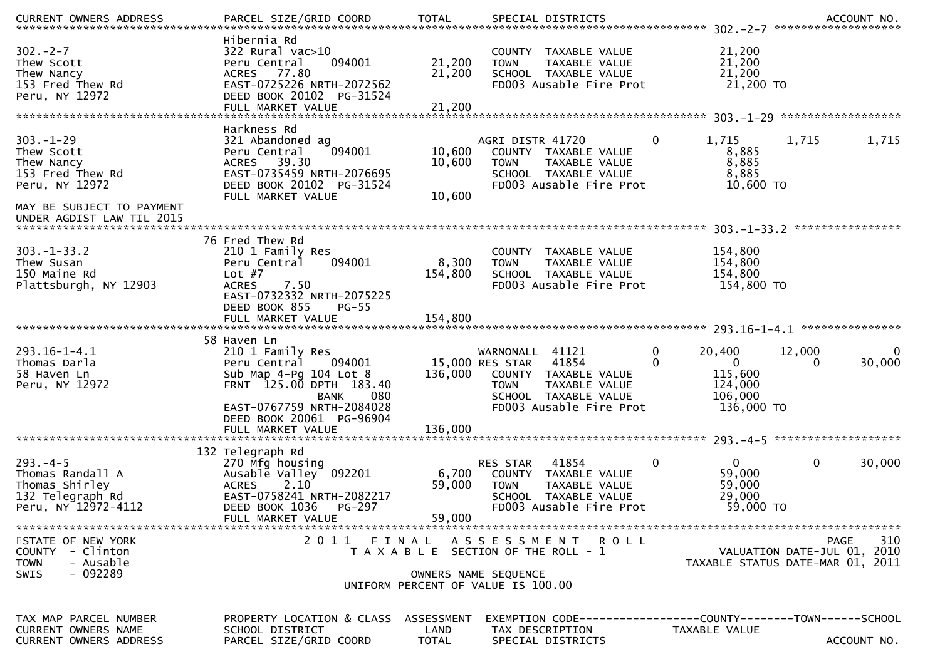| $302 - 2 - 7$<br>Thew Scott<br>Thew Nancy<br>153 Fred Thew Rd<br>Peru, NY 12972                  | Hibernia Rd<br>322 Rural vac>10<br>Peru Central<br>094001<br>ACRES 77.80<br>EAST-0725226 NRTH-2072562<br>DEED BOOK 20102 PG-31524<br>FULL MARKET VALUE | 21,200<br>21,200<br>21,200         | COUNTY TAXABLE VALUE<br>TAXABLE VALUE<br><b>TOWN</b><br>SCHOOL TAXABLE VALUE<br>FD003 Ausable Fire Prot                                | 21,200<br>21,200<br>21,200<br>21,200 TO                              |                                                                                |
|--------------------------------------------------------------------------------------------------|--------------------------------------------------------------------------------------------------------------------------------------------------------|------------------------------------|----------------------------------------------------------------------------------------------------------------------------------------|----------------------------------------------------------------------|--------------------------------------------------------------------------------|
|                                                                                                  | Harkness Rd                                                                                                                                            |                                    |                                                                                                                                        |                                                                      |                                                                                |
| $303 - 1 - 29$<br>Thew Scott<br>Thew Nancy<br>153 Fred Thew Rd<br>Peru, NY 12972                 | 321 Abandoned ag<br>094001<br>Peru Central<br>ACRES 39.30<br>EAST-0735459 NRTH-2076695<br>DEED BOOK 20102 PG-31524                                     | 10,600<br>10,600                   | AGRI DISTR 41720<br>COUNTY TAXABLE VALUE<br><b>TOWN</b><br>TAXABLE VALUE<br>SCHOOL TAXABLE VALUE<br>FD003 Ausable Fire Prot            | 1,715<br>0<br>8,885<br>8,885<br>8,885<br>10,600 TO                   | 1,715<br>1,715                                                                 |
| MAY BE SUBJECT TO PAYMENT<br>UNDER AGDIST LAW TIL 2015                                           | FULL MARKET VALUE                                                                                                                                      | 10,600                             |                                                                                                                                        |                                                                      |                                                                                |
|                                                                                                  | 76 Fred Thew Rd                                                                                                                                        |                                    |                                                                                                                                        |                                                                      | ****************                                                               |
| $303 - 1 - 33.2$<br>Thew Susan<br>150 Maine Rd<br>Plattsburgh, NY 12903                          | 210 1 Family Res<br>094001<br>Peru Central<br>Lot $#7$<br>7.50<br><b>ACRES</b><br>EAST-0732332 NRTH-2075225<br>DEED BOOK 855<br>$PG-55$                | 8,300<br>154,800                   | COUNTY TAXABLE VALUE<br><b>TOWN</b><br>TAXABLE VALUE<br>SCHOOL TAXABLE VALUE<br>FD003 Ausable Fire Prot                                | 154,800<br>154,800<br>154,800<br>154,800 TO                          |                                                                                |
|                                                                                                  | FULL MARKET VALUE                                                                                                                                      | 154,800                            |                                                                                                                                        |                                                                      |                                                                                |
| 293.16-1-4.1<br>Thomas Darla<br>58 Haven Ln<br>Peru, NY 12972                                    | 58 Haven Ln<br>210 1 Family Res<br>Peru Central<br>094001<br>Sub Map $4-Pg$ 104 Lot 8<br>FRNT 125.00 DPTH 183.40<br>080<br><b>BANK</b>                 | 136,000                            | WARNONALL 41121<br>41854<br>15,000 RES STAR<br>COUNTY TAXABLE VALUE<br><b>TOWN</b><br>TAXABLE VALUE<br>SCHOOL TAXABLE VALUE            | 0<br>20,400<br>$\Omega$<br>$\Omega$<br>115,600<br>124,000<br>106,000 | 12,000<br>0<br>30,000<br>$\Omega$                                              |
|                                                                                                  | EAST-0767759 NRTH-2084028<br>DEED BOOK 20061 PG-96904<br>FULL MARKET VALUE                                                                             | 136,000                            | FD003 Ausable Fire Prot                                                                                                                | 136,000 TO                                                           | *******************                                                            |
|                                                                                                  | 132 Telegraph Rd                                                                                                                                       |                                    |                                                                                                                                        |                                                                      |                                                                                |
| $293. -4 - 5$<br>Thomas Randall A<br>Thomas Shirley<br>132 Telegraph Rd<br>Peru, NY 12972-4112   | 270 Mfg housing<br>Ausable Valley 092201<br>2.10<br><b>ACRES</b><br>EAST-0758241 NRTH-2082217<br>DEED BOOK 1036<br><b>PG-297</b>                       | 6,700<br>59,000                    | 41854<br><b>RES STAR</b><br>TAXABLE VALUE<br>COUNTY<br>TAXABLE VALUE<br><b>TOWN</b><br>SCHOOL TAXABLE VALUE<br>FD003 Ausable Fire Prot | $\Omega$<br>0<br>59,000<br>59,000<br>29,000<br>59,000 TO             | 30,000<br>0                                                                    |
|                                                                                                  | FULL MARKET VALUE                                                                                                                                      | 59,000                             |                                                                                                                                        |                                                                      |                                                                                |
| STATE OF NEW YORK<br>- Clinton<br><b>COUNTY</b><br><b>TOWN</b><br>- Ausable<br>$-092289$<br>SWIS | 2011 FINAL                                                                                                                                             |                                    | ASSESSMENT ROLL<br>T A X A B L E SECTION OF THE ROLL - 1<br>OWNERS NAME SEQUENCE                                                       |                                                                      | 310<br>PAGE<br>VALUATION DATE-JUL 01, 2010<br>TAXABLE STATUS DATE-MAR 01, 2011 |
|                                                                                                  |                                                                                                                                                        |                                    | UNIFORM PERCENT OF VALUE IS 100.00                                                                                                     |                                                                      |                                                                                |
| TAX MAP PARCEL NUMBER<br><b>CURRENT OWNERS NAME</b><br><b>CURRENT OWNERS ADDRESS</b>             | PROPERTY LOCATION & CLASS<br>SCHOOL DISTRICT<br>PARCEL SIZE/GRID COORD                                                                                 | ASSESSMENT<br>LAND<br><b>TOTAL</b> | EXEMPTION        CODE------------------COUNTY-------TOWN------SCHOOL<br>TAX DESCRIPTION<br>SPECIAL DISTRICTS                           | TAXABLE VALUE                                                        | ACCOUNT NO.                                                                    |
|                                                                                                  |                                                                                                                                                        |                                    |                                                                                                                                        |                                                                      |                                                                                |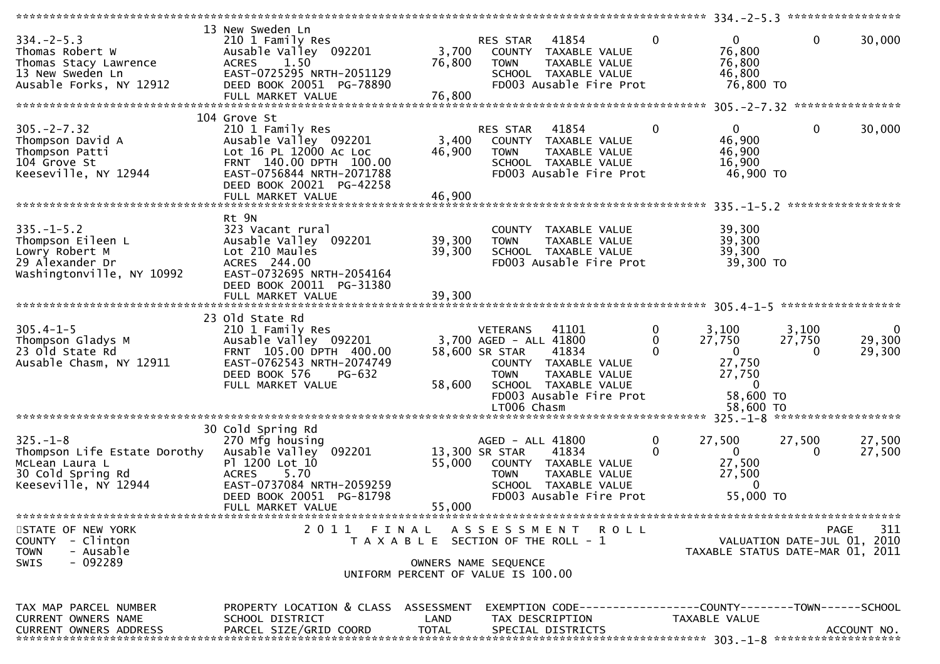|                                                                                                               | *************************                                                                                                                                               |                           |                                                                                                                                                                                        |                      |                                                                                                                   | $334 - 2 - 5$ 3 ******************  |                              |
|---------------------------------------------------------------------------------------------------------------|-------------------------------------------------------------------------------------------------------------------------------------------------------------------------|---------------------------|----------------------------------------------------------------------------------------------------------------------------------------------------------------------------------------|----------------------|-------------------------------------------------------------------------------------------------------------------|-------------------------------------|------------------------------|
| $334. - 2 - 5.3$<br>Thomas Robert W<br>Thomas Stacy Lawrence<br>13 New Sweden Ln<br>Ausable Forks, NY 12912   | 13 New Sweden Ln<br>210 1 Family Res<br>Ausable Valley 092201<br>1.50<br><b>ACRES</b><br>EAST-0725295 NRTH-2051129<br>DEED BOOK 20051 PG-78890<br>FULL MARKET VALUE     | 3,700<br>76,800<br>76,800 | 41854<br>RES STAR<br>COUNTY TAXABLE VALUE<br><b>TOWN</b><br>SCHOOL TAXABLE VALUE<br>FD003 Ausable Fire Prot                                                                            | TAXABLE VALUE        | $\Omega$<br>$\Omega$<br>76,800<br>76,800<br>46,800<br>76,800 TO                                                   | $\mathbf{0}$                        | 30,000                       |
|                                                                                                               |                                                                                                                                                                         |                           |                                                                                                                                                                                        |                      |                                                                                                                   |                                     |                              |
| $305. -2 - 7.32$<br>Thompson David A<br>Thompson Patti<br>104 Grove St<br>Keeseville, NY 12944                | 104 Grove St<br>210 1 Family Res<br>Ausable Valley 092201<br>Lot 16 PL 12000 AC Loc<br>FRNT 140.00 DPTH 100.00<br>EAST-0756844 NRTH-2071788<br>DEED BOOK 20021 PG-42258 | 3,400<br>46,900           | RES STAR<br>41854<br>COUNTY TAXABLE VALUE<br>TOWN<br>SCHOOL TAXABLE VALUE<br>FD003 Ausable Fire Prot                                                                                   | <b>TAXABLE VALUE</b> | $\mathbf{0}$<br>$\mathbf{0}$<br>46,900<br>46,900<br>16,900<br>46,900 TO                                           | $\mathbf 0$                         | 30,000                       |
|                                                                                                               |                                                                                                                                                                         |                           |                                                                                                                                                                                        |                      |                                                                                                                   |                                     | *****************            |
| $335. - 1 - 5.2$<br>Thompson Eileen L<br>Lowry Robert M<br>29 Alexander Dr<br>Washingtonville, NY 10992       | Rt 9N<br>323 Vacant rural<br>Ausable Valley 092201<br>Lot 210 Maules<br>ACRES 244.00<br>EAST-0732695 NRTH-2054164<br>DEED BOOK 20011 PG-31380                           | 39,300<br>39,300          | COUNTY TAXABLE VALUE<br><b>TOWN</b><br>SCHOOL TAXABLE VALUE<br>FD003 Ausable Fire Prot                                                                                                 | TAXABLE VALUE        | 39,300<br>39,300<br>39,300<br>39,300 TO                                                                           |                                     |                              |
|                                                                                                               | FULL MARKET VALUE                                                                                                                                                       | 39,300                    |                                                                                                                                                                                        |                      |                                                                                                                   |                                     |                              |
|                                                                                                               |                                                                                                                                                                         |                           |                                                                                                                                                                                        |                      |                                                                                                                   |                                     |                              |
| $305.4 - 1 - 5$<br>Thompson Gladys M<br>23 Old State Rd<br>Ausable Chasm, NY 12911                            | 23 Old State Rd<br>210 1 Family Res<br>Ausable Valley 092201<br>FRNT 105.00 DPTH 400.00<br>EAST-0762543 NRTH-2074749<br>DEED BOOK 576<br>PG-632<br>FULL MARKET VALUE    | 58,600                    | <b>VETERANS</b><br>41101<br>3,700 AGED - ALL 41800<br>58,600 SR STAR<br>41834<br>COUNTY TAXABLE VALUE<br><b>TOWN</b><br>SCHOOL TAXABLE VALUE<br>FD003 Ausable Fire Prot<br>LT006 Chasm | TAXABLE VALUE        | $\mathbf 0$<br>3,100<br>27,750<br>0<br>$\mathbf 0$<br>0<br>27,750<br>27,750<br>$\Omega$<br>58,600 TO<br>58,600 TO | 3,100<br>27,750<br>$\Omega$         | $\Omega$<br>29,300<br>29,300 |
| ****************************                                                                                  |                                                                                                                                                                         |                           |                                                                                                                                                                                        |                      |                                                                                                                   | $325 - 1 - 8$ ********************* |                              |
| $325. - 1 - 8$<br>Thompson Life Estate Dorothy<br>McLean Laura L<br>30 Cold Spring Rd<br>Keeseville, NY 12944 | 30 Cold Spring Rd<br>270 Mfg housing<br>092201<br>Ausable Valley<br>P1 1200 Lot 10<br><b>ACRES</b><br>5.70<br>EAST-0737084 NRTH-2059259                                 | 55,000                    | AGED - ALL 41800<br>13,300 SR STAR<br>41834<br>COUNTY TAXABLE VALUE<br><b>TOWN</b><br>SCHOOL TAXABLE VALUE                                                                             | TAXABLE VALUE        | 27,500<br>$\bf{0}$<br>$\Omega$<br>$\Omega$<br>27,500<br>27,500<br>$\Omega$                                        | 27,500<br>$\Omega$                  | 27,500<br>27,500             |
|                                                                                                               | DEED BOOK 20051 PG-81798                                                                                                                                                |                           | FD003 Ausable Fire Prot                                                                                                                                                                |                      | 55,000 TO                                                                                                         |                                     |                              |
|                                                                                                               | FULL MARKET VALUE                                                                                                                                                       | 55,000                    |                                                                                                                                                                                        |                      |                                                                                                                   |                                     |                              |
| STATE OF NEW YORK<br>COUNTY - Clinton<br>- Ausable<br><b>TOWN</b><br>$-092289$<br>SWIS                        |                                                                                                                                                                         |                           | 2011 FINAL ASSESSMENT<br>T A X A B L E SECTION OF THE ROLL - 1<br>OWNERS NAME SEQUENCE<br>UNIFORM PERCENT OF VALUE IS 100.00                                                           | R O L L              | TAXABLE STATUS DATE-MAR 01, 2011                                                                                  | VALUATION DATE-JUL 01, 2010         | 311<br><b>PAGE</b>           |
| TAX MAP PARCEL NUMBER<br>CURRENT OWNERS NAME<br><b>CURRENT OWNERS ADDRESS</b>                                 | PROPERTY LOCATION & CLASS ASSESSMENT<br>SCHOOL DISTRICT<br>PARCEL SIZE/GRID COORD                                                                                       | LAND<br>TOTAL             | TAX DESCRIPTION<br>SPECIAL DISTRICTS                                                                                                                                                   |                      | EXEMPTION CODE------------------COUNTY--------TOWN------SCHOOL<br>TAXABLE VALUE                                   |                                     | ACCOUNT NO.                  |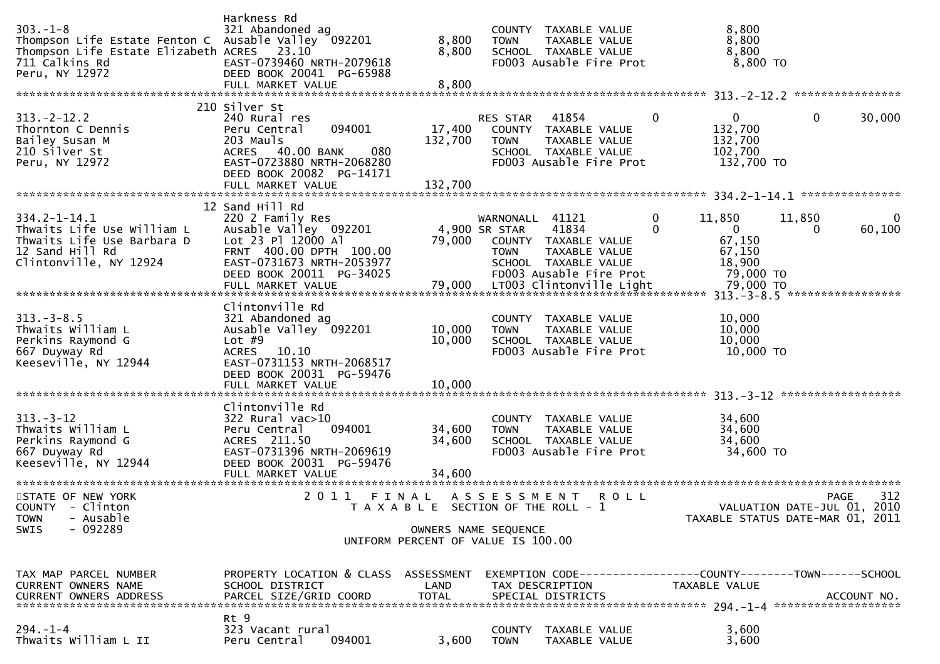| $303. - 1 - 8$<br>Thompson Life Estate Fenton C Ausable Valley 092201<br>Thompson Life Estate Elizabeth ACRES 23.10<br>711 Calkins Rd<br>Peru, NY 12972 | Harkness Rd<br>321 Abandoned ag<br>EAST-0739460 NRTH-2079618<br>DEED BOOK 20041 PG-65988<br>FULL MARKET VALUE                                                                   | 8,800<br>8,800<br>8,800                                             | <b>TOWN</b>                                     | COUNTY TAXABLE VALUE<br>TAXABLE VALUE<br>SCHOOL TAXABLE VALUE<br>FD003 Ausable Fire Prot          | 8,800<br>8,800<br>8,800<br>$8,800$ TO                                              |                                                                                |             |
|---------------------------------------------------------------------------------------------------------------------------------------------------------|---------------------------------------------------------------------------------------------------------------------------------------------------------------------------------|---------------------------------------------------------------------|-------------------------------------------------|---------------------------------------------------------------------------------------------------|------------------------------------------------------------------------------------|--------------------------------------------------------------------------------|-------------|
| $313 - 2 - 12.2$<br>Thornton C Dennis<br>Bailey Susan M<br>210 Silver St<br>Peru, NY 12972                                                              | 210 Silver St<br>240 Rural res<br>094001<br>Peru Central<br>203 Mauls<br>080<br>ACRES 40.00 BANK<br>EAST-0723880 NRTH-2068280<br>DEED BOOK 20082 PG-14171<br>FULL MARKET VALUE  | 17,400<br>132,700<br>132,700                                        | RES STAR<br><b>TOWN</b>                         | 41854<br>COUNTY TAXABLE VALUE<br>TAXABLE VALUE<br>SCHOOL TAXABLE VALUE<br>FD003 Ausable Fire Prot | $\Omega$<br>$\mathbf{0}$<br>132,700<br>132,700<br>102,700<br>132,700 TO            | 0                                                                              | 30,000      |
| $334.2 - 1 - 14.1$<br>Thwaits Life Use William L<br>Thwaits Life Use Barbara D<br>12 Sand Hill Rd<br>Clintonville, NY 12924                             | 12 Sand Hill Rd<br>220 2 Family Res<br>Ausable Valley 092201<br>Lot 23 Pl 12000 Al<br>FRNT 400.00 DPTH 100.00<br>EAST-0731673 NRTH-2053977<br>DEED BOOK 20011 PG-34025          | 79,000                                                              | WARNONALL 41121<br>4,900 SR STAR<br><b>TOWN</b> | 41834<br>COUNTY TAXABLE VALUE<br>TAXABLE VALUE<br>SCHOOL TAXABLE VALUE<br>FD003 Ausable Fire Prot | 0<br>11,850<br>$\mathbf{0}$<br>$\Omega$<br>67,150<br>67,150<br>18,900<br>79,000 TO | 11,850<br>0                                                                    | 0<br>60,100 |
| $313. - 3 - 8.5$<br>Thwaits William L<br>Perkins Raymond G<br>667 Duyway Rd<br>Keeseville, NY 12944                                                     | Clintonville Rd<br>321 Abandoned ag<br>Ausable Valley 092201<br>Lot $#9$<br>10.10<br><b>ACRES</b><br>EAST-0731153 NRTH-2068517<br>DEED BOOK 20031 PG-59476<br>FULL MARKET VALUE | 10,000<br>10,000<br>10,000                                          | <b>TOWN</b>                                     | COUNTY TAXABLE VALUE<br>TAXABLE VALUE<br>SCHOOL TAXABLE VALUE<br>FD003 Ausable Fire Prot          | 10,000<br>10,000<br>10,000<br>10,000 TO                                            |                                                                                |             |
| $313 - 3 - 12$<br>Thwaits William L<br>Perkins Raymond G<br>667 Duyway Rd<br>Keeseville, NY 12944                                                       | Clintonville Rd<br>$322$ Rural vac $>10$<br>094001<br>Peru Central<br>ACRES 211.50<br>EAST-0731396 NRTH-2069619<br>DEED BOOK 20031 PG-59476<br>FULL MARKET VALUE                | 34,600<br>34,600<br>34,600                                          | <b>TOWN</b>                                     | COUNTY TAXABLE VALUE<br>TAXABLE VALUE<br>SCHOOL TAXABLE VALUE<br>FD003 Ausable Fire Prot          | 34,600<br>34,600<br>34,600<br>34,600 TO                                            |                                                                                |             |
| STATE OF NEW YORK<br>COUNTY - Clinton<br>- Ausable<br><b>TOWN</b><br>$-092289$<br>SWIS                                                                  | 2011                                                                                                                                                                            | FINAL<br>OWNERS NAME SEQUENCE<br>UNIFORM PERCENT OF VALUE IS 100.00 | A S S E S S M E N T                             | <b>ROLL</b><br>T A X A B L E SECTION OF THE ROLL - 1                                              |                                                                                    | <b>PAGE</b><br>VALUATION DATE-JUL 01, 2010<br>TAXABLE STATUS DATE-MAR 01, 2011 | 312         |
| TAX MAP PARCEL NUMBER<br>CURRENT OWNERS NAME<br>CURRENT OWNERS ADDRESS                                                                                  | PROPERTY LOCATION & CLASS ASSESSMENT<br>SCHOOL DISTRICT<br>PARCEL SIZE/GRID COORD                                                                                               | LAND<br><b>TOTAL</b>                                                |                                                 | TAX DESCRIPTION<br>SPECIAL DISTRICTS                                                              | EXEMPTION CODE-----------------COUNTY-------TOWN------SCHOOL<br>TAXABLE VALUE      |                                                                                | ACCOUNT NO. |
| $294. - 1 - 4$<br>Thwaits William L II                                                                                                                  | Rt 9<br>323 Vacant rural<br>094001<br>Peru Central                                                                                                                              | 3,600                                                               | <b>TOWN</b>                                     | COUNTY TAXABLE VALUE<br>TAXABLE VALUE                                                             | 3,600<br>3,600                                                                     |                                                                                |             |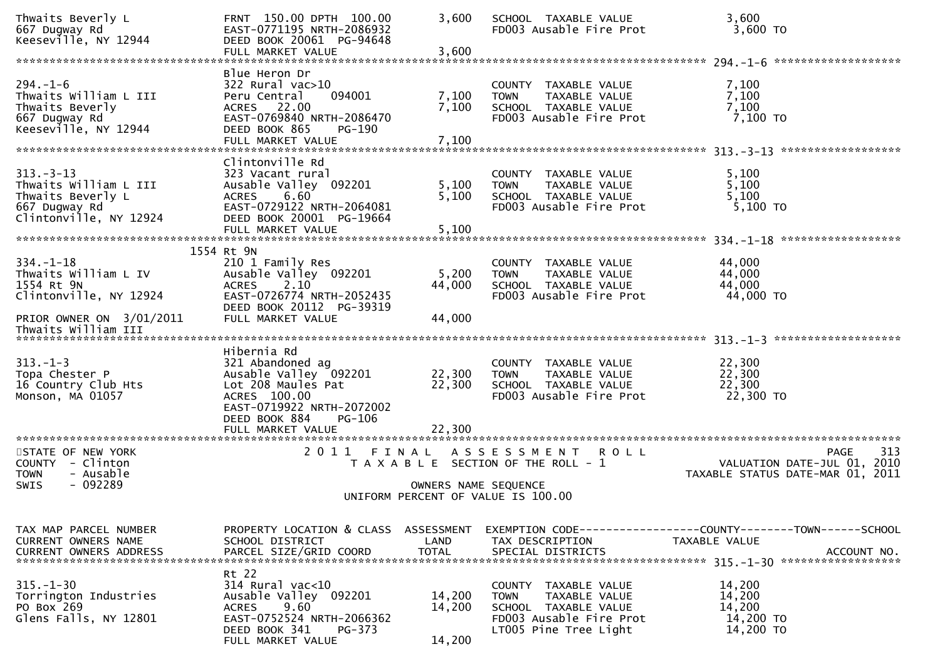| Thwaits Beverly L<br>667 Dugway Rd<br>Keeseville, NY 12944                                              | FRNT 150.00 DPTH 100.00<br>EAST-0771195 NRTH-2086932<br>DEED BOOK 20061 PG-94648<br>FULL MARKET VALUE                                                              | 3,600<br>3,600             | SCHOOL TAXABLE VALUE<br>FD003 Ausable Fire Prot                                                                                  | 3,600<br>3,600 TO                                                                                   |     |
|---------------------------------------------------------------------------------------------------------|--------------------------------------------------------------------------------------------------------------------------------------------------------------------|----------------------------|----------------------------------------------------------------------------------------------------------------------------------|-----------------------------------------------------------------------------------------------------|-----|
|                                                                                                         |                                                                                                                                                                    |                            |                                                                                                                                  |                                                                                                     |     |
| $294. - 1 - 6$<br>Thwaits William L III<br>Thwaits Beverly<br>667 Dugway Rd<br>Keeseville, NY 12944     | Blue Heron Dr<br>322 Rural vac>10<br>094001<br>Peru Central<br>ACRES 22.00<br>EAST-0769840 NRTH-2086470<br>DEED BOOK 865<br>PG-190<br>FULL MARKET VALUE            | 7,100<br>7,100<br>7,100    | COUNTY TAXABLE VALUE<br>TAXABLE VALUE<br><b>TOWN</b><br>SCHOOL TAXABLE VALUE<br>FD003 Ausable Fire Prot                          | 7,100<br>7,100<br>7,100<br>7,100 TO                                                                 |     |
|                                                                                                         |                                                                                                                                                                    |                            |                                                                                                                                  |                                                                                                     |     |
| $313 - 3 - 13$<br>Thwaits William L III<br>Thwaits Beverly L<br>667 Dugway Rd<br>Clintonville, NY 12924 | Clintonville Rd<br>323 Vacant rural<br>Ausable Valley 092201<br>6.60<br><b>ACRES</b><br>EAST-0729122 NRTH-2064081<br>DEED BOOK 20001 PG-19664<br>FULL MARKET VALUE | 5,100<br>5,100<br>5,100    | COUNTY TAXABLE VALUE<br>TAXABLE VALUE<br><b>TOWN</b><br>SCHOOL TAXABLE VALUE<br>FD003 Ausable Fire Prot                          | 5,100<br>5,100<br>5,100<br>5,100 TO                                                                 |     |
|                                                                                                         |                                                                                                                                                                    |                            |                                                                                                                                  |                                                                                                     |     |
| $334. - 1 - 18$<br>Thwaits William L IV<br>1554 Rt 9N<br>Clintonville, NY 12924                         | 1554 Rt 9N<br>210 1 Family Res<br>Ausable Valley 092201<br>2.10<br><b>ACRES</b><br>EAST-0726774 NRTH-2052435<br>DEED BOOK 20112 PG-39319                           | 5,200<br>44,000            | COUNTY TAXABLE VALUE<br>TAXABLE VALUE<br><b>TOWN</b><br>SCHOOL TAXABLE VALUE<br>FD003 Ausable Fire Prot                          | 44,000<br>44,000<br>44,000<br>44,000 TO                                                             |     |
| PRIOR OWNER ON 3/01/2011<br>Thwaits William III                                                         | FULL MARKET VALUE                                                                                                                                                  | 44,000                     |                                                                                                                                  |                                                                                                     |     |
|                                                                                                         |                                                                                                                                                                    |                            |                                                                                                                                  |                                                                                                     |     |
| $313. - 1 - 3$<br>Topa Chester P<br>16 Country Club Hts<br>Monson, MA 01057                             | Hibernia Rd<br>321 Abandoned ag<br>Ausable Valley 092201<br>Lot 208 Maules Pat<br>ACRES 100.00<br>EAST-0719922 NRTH-2072002<br>DEED BOOK 884<br>PG-106             | 22,300<br>22,300           | COUNTY TAXABLE VALUE<br>TAXABLE VALUE<br><b>TOWN</b><br>SCHOOL TAXABLE VALUE<br>FD003 Ausable Fire Prot                          | 22,300<br>22,300<br>22,300<br>22,300 TO                                                             |     |
| ************************                                                                                | FULL MARKET VALUE<br>*************************                                                                                                                     | 22,300                     |                                                                                                                                  |                                                                                                     |     |
| STATE OF NEW YORK<br>COUNTY - Clinton<br><b>TOWN</b><br>- Ausable<br>$-092289$<br>SWIS                  | 2011 FINAL                                                                                                                                                         | OWNERS NAME SEQUENCE       | A S S E S S M E N T<br><b>ROLL</b><br>T A X A B L E SECTION OF THE ROLL - 1                                                      | PAGE<br>VALUATION DATE-JUL 01, 2010<br>TAXABLE STATUS DATE-MAR 01, 2011                             | 313 |
|                                                                                                         |                                                                                                                                                                    |                            | UNIFORM PERCENT OF VALUE IS 100.00                                                                                               |                                                                                                     |     |
|                                                                                                         |                                                                                                                                                                    |                            |                                                                                                                                  |                                                                                                     |     |
| TAX MAP PARCEL NUMBER<br>CURRENT OWNERS NAME<br><b>CURRENT OWNERS ADDRESS</b>                           | PROPERTY LOCATION & CLASS ASSESSMENT<br>SCHOOL DISTRICT<br>PARCEL SIZE/GRID COORD                                                                                  | LAND<br><b>TOTAL</b>       | TAX DESCRIPTION<br>SPECIAL DISTRICTS                                                                                             | EXEMPTION        CODE-----------------COUNTY-------TOWN------SCHOOL<br>TAXABLE VALUE<br>ACCOUNT NO. |     |
| $315. - 1 - 30$<br>Torrington Industries<br>PO Box 269<br>Glens Falls, NY 12801                         | Rt 22<br>314 Rural vac<10<br>Ausable Valley 092201<br>9.60<br><b>ACRES</b><br>EAST-0752524 NRTH-2066362<br>DEED BOOK 341<br>PG-373<br>FULL MARKET VALUE            | 14,200<br>14,200<br>14,200 | COUNTY TAXABLE VALUE<br>TAXABLE VALUE<br><b>TOWN</b><br>SCHOOL TAXABLE VALUE<br>FD003 Ausable Fire Prot<br>LT005 Pine Tree Light | 14,200<br>14,200<br>14,200<br>14,200 TO<br>14,200 TO                                                |     |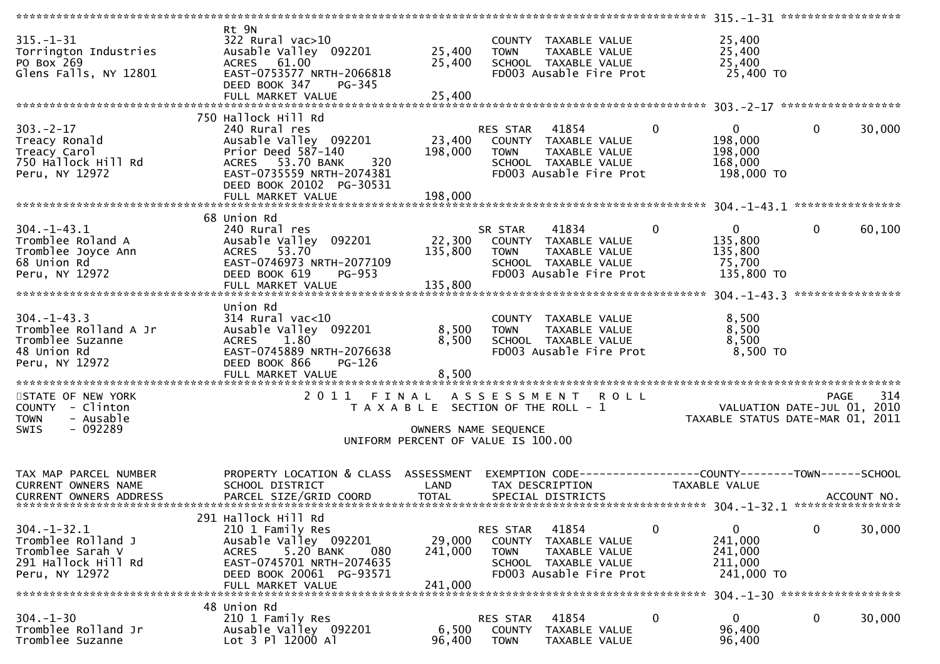| $315. - 1 - 31$<br>Torrington Industries<br>PO Box 269<br>Glens Falls, NY 12801                      | Rt 9N<br>$322$ Rural vac $>10$<br>Ausable Valley 092201<br>ACRES 61.00<br>EAST-0753577 NRTH-2066818<br>DEED BOOK 347<br>PG-345<br>FULL MARKET VALUE                                | 25,400<br>25,400<br>25,400                                                                                   | <b>TOWN</b>                                     | COUNTY TAXABLE VALUE<br>TAXABLE VALUE<br>SCHOOL TAXABLE VALUE<br>FD003 Ausable Fire Prot          |                | 25,400<br>25,400<br>25,400<br>25,400 TO                         |              |                            |
|------------------------------------------------------------------------------------------------------|------------------------------------------------------------------------------------------------------------------------------------------------------------------------------------|--------------------------------------------------------------------------------------------------------------|-------------------------------------------------|---------------------------------------------------------------------------------------------------|----------------|-----------------------------------------------------------------|--------------|----------------------------|
|                                                                                                      |                                                                                                                                                                                    |                                                                                                              |                                                 |                                                                                                   |                |                                                                 |              |                            |
| $303 - 2 - 17$<br>Treacy Ronald<br>Treacy Carol<br>750 Hallock Hill Rd<br>Peru, NY 12972             | 750 Hallock Hill Rd<br>240 Rural res<br>Ausable Valley 092201<br>Prior Deed 587-140<br>ACRES 53.70 BANK<br>320<br>EAST-0735559 NRTH-2074381<br>DEED BOOK 20102 PG-30531            | 23,400<br>198,000                                                                                            | RES STAR<br><b>TOWN</b>                         | 41854<br>COUNTY TAXABLE VALUE<br>TAXABLE VALUE<br>SCHOOL TAXABLE VALUE<br>FD003 Ausable Fire Prot | $\mathbf{0}$   | $\mathbf{0}$<br>198,000<br>198,000<br>168,000<br>198,000 TO     | $\mathbf{0}$ | 30,000                     |
|                                                                                                      |                                                                                                                                                                                    |                                                                                                              |                                                 |                                                                                                   |                |                                                                 |              |                            |
| $304. - 1 - 43.1$<br>Tromblee Roland A<br>Tromblee Joyce Ann<br>68 Union Rd<br>Peru, NY 12972        | 68 Union Rd<br>240 Rural res<br>Ausable Valley 092201<br>ACRES 53.70<br>EAST-0746973 NRTH-2077109<br>DEED BOOK 619<br><b>PG-953</b><br>FULL MARKET VALUE                           | 22,300<br>135,800<br>135,800                                                                                 | SR STAR<br>TOWN                                 | 41834<br>COUNTY TAXABLE VALUE<br>TAXABLE VALUE<br>SCHOOL TAXABLE VALUE<br>FD003 Ausable Fire Prot | $\overline{0}$ | $\mathbf{0}$<br>135,800<br>135,800<br>75,700<br>135,800 TO      | $\mathbf{0}$ | 60,100<br>**************** |
| $304. - 1 - 43.3$<br>Tromblee Rolland A Jr<br>Tromblee Suzanne<br>48 Union Rd<br>Peru, NY 12972      | Union Rd<br>$314$ Rural vac<10<br>Ausable Valley 092201<br>1.80<br><b>ACRES</b><br>EAST-0745889 NRTH-2076638<br>DEED BOOK 866<br>PG-126<br>FULL MARKET VALUE                       | 8,500<br>8,500<br>8,500                                                                                      | <b>TOWN</b>                                     | COUNTY TAXABLE VALUE<br>TAXABLE VALUE<br>SCHOOL TAXABLE VALUE<br>FD003 Ausable Fire Prot          |                | 8,500<br>8,500<br>8,500<br>8,500 TO                             |              |                            |
| STATE OF NEW YORK<br>COUNTY - Clinton<br>- Ausable<br><b>TOWN</b><br>$-092289$<br><b>SWIS</b>        | 2011                                                                                                                                                                               | FINAL<br>T A X A B L E SECTION OF THE ROLL - 1<br>OWNERS NAME SEQUENCE<br>UNIFORM PERCENT OF VALUE IS 100.00 | A S S E S S M E N T                             | <b>ROLL</b>                                                                                       |                | VALUATION DATE-JUL 01, 2010<br>TAXABLE STATUS DATE-MAR 01, 2011 | <b>PAGE</b>  | 314                        |
| TAX MAP PARCEL NUMBER<br>CURRENT OWNERS NAME<br><b>CURRENT OWNERS ADDRESS</b>                        | PROPERTY LOCATION & CLASS ASSESSMENT<br>SCHOOL DISTRICT<br>PARCEL SIZE/GRID COORD                                                                                                  | LAND<br><b>TOTAL</b>                                                                                         |                                                 | TAX DESCRIPTION<br>SPECIAL DISTRICTS                                                              |                | TAXABLE VALUE                                                   |              | ACCOUNT NO.                |
| $304. - 1 - 32.1$<br>Tromblee Rolland J<br>Tromblee Sarah V<br>291 Hallock Hill Rd<br>Peru, NY 12972 | 291 Hallock Hill Rd<br>210 1 Family Res<br>Ausable Valley 092201<br>5.20 BANK<br>080<br><b>ACRES</b><br>EAST-0745701 NRTH-2074635<br>DEED BOOK 20061 PG-93571<br>FULL MARKET VALUE | 29,000<br>241,000<br>241,000                                                                                 | RES STAR<br><b>COUNTY</b><br><b>TOWN</b>        | 41854<br>TAXABLE VALUE<br>TAXABLE VALUE<br>SCHOOL TAXABLE VALUE<br>FD003 Ausable Fire Prot        | 0              | 0<br>241,000<br>241,000<br>211,000<br>241,000 TO                | 0            | 30,000                     |
|                                                                                                      |                                                                                                                                                                                    |                                                                                                              |                                                 |                                                                                                   |                | 304. -1-30 ********************                                 |              |                            |
| $304. - 1 - 30$<br>Tromblee Rolland Jr<br>Tromblee Suzanne                                           | 48 Union Rd<br>210 1 Family Res<br>Ausable Valley 092201<br>Lot 3 Pl 12000 Al                                                                                                      | 6,500<br>96,400                                                                                              | <b>RES STAR</b><br><b>COUNTY</b><br><b>TOWN</b> | 41854<br>TAXABLE VALUE<br>TAXABLE VALUE                                                           | $\mathbf 0$    | 0<br>96,400<br>96,400                                           | 0            | 30,000                     |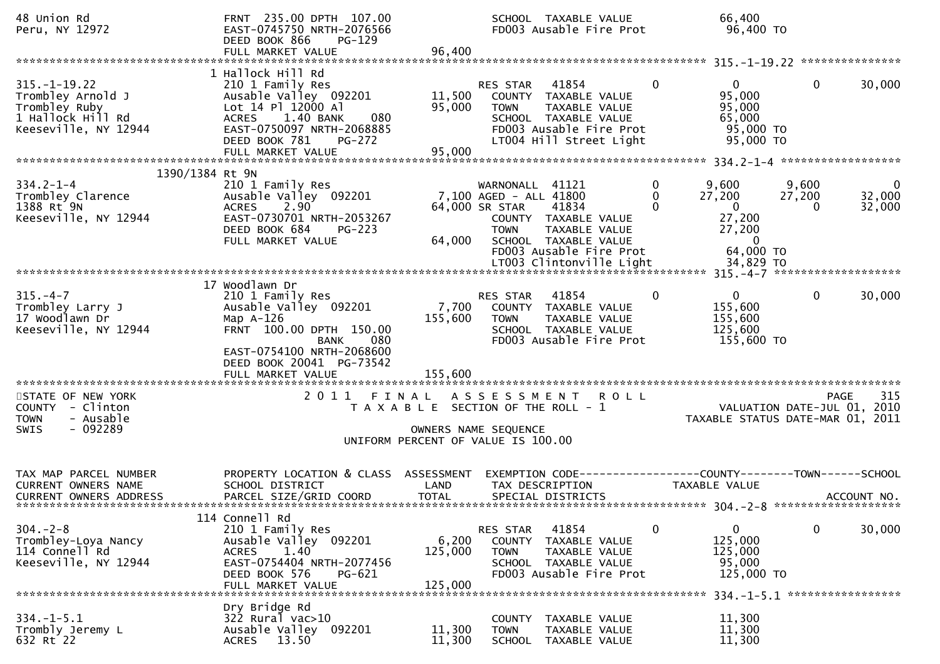| 48 Union Rd<br>Peru, NY 12972                                                                         | FRNT 235.00 DPTH 107.00<br>EAST-0745750 NRTH-2076566<br>DEED BOOK 866<br>$PG-129$<br>FULL MARKET VALUE                                                                        | 96,400                                                                      |                                                                            | SCHOOL TAXABLE VALUE<br>FD003 Ausable Fire Prot                                                                               |                                        | 66,400<br>96,400 TO                                                                               |                      |                                            |
|-------------------------------------------------------------------------------------------------------|-------------------------------------------------------------------------------------------------------------------------------------------------------------------------------|-----------------------------------------------------------------------------|----------------------------------------------------------------------------|-------------------------------------------------------------------------------------------------------------------------------|----------------------------------------|---------------------------------------------------------------------------------------------------|----------------------|--------------------------------------------|
| $315. - 1 - 19.22$<br>Trombley Arnold J<br>Trombley Ruby<br>1 Hallock Hill Rd<br>Keeseville, NY 12944 | 1 Hallock Hill Rd<br>210 1 Family Res<br>Ausable Valley 092201<br>Lot 14 Pl 12000 Al<br>ACRES 1.40 BANK<br>080<br>EAST-0750097 NRTH-2068885<br>DEED BOOK 781<br><b>PG-272</b> | 11,500<br>95,000                                                            | RES STAR<br><b>TOWN</b>                                                    | 41854<br>COUNTY TAXABLE VALUE<br>TAXABLE VALUE<br>SCHOOL TAXABLE VALUE<br>FD003 Ausable Fire Prot<br>LT004 Hill Street Light  | $\mathbf{0}$                           | $\overline{0}$<br>95,000<br>95,000<br>65,000<br>95,000 TO<br>95,000 TO                            | $\mathbf{0}$         | 30,000                                     |
| 1390/1384 Rt 9N                                                                                       |                                                                                                                                                                               |                                                                             |                                                                            |                                                                                                                               |                                        |                                                                                                   |                      |                                            |
| $334.2 - 1 - 4$<br>Trombley Clarence<br>1388 Rt 9N<br>Keeseville, NY 12944                            | 210 1 Family Res<br>Ausable Valley 092201<br>2.90<br><b>ACRES</b><br>EAST-0730701 NRTH-2053267<br>DEED BOOK 684<br>$PG-223$<br>FULL MARKET VALUE                              | 64,000                                                                      | WARNONALL 41121<br>7,100 AGED - ALL 41800<br>64,000 SR STAR<br><b>TOWN</b> | 41834<br>COUNTY TAXABLE VALUE<br>TAXABLE VALUE<br>SCHOOL TAXABLE VALUE<br>FD003 Ausable Fire Prot<br>LT003 Clintonville Light | $\mathbf 0$<br>$\mathbf 0$<br>$\Omega$ | 9,600<br>27,200<br>$\overline{0}$<br>27,200<br>27,200<br>$\overline{0}$<br>64,000 TO<br>34,829 TO | 9,600<br>27,200<br>0 | 0<br>32,000<br>32,000                      |
|                                                                                                       |                                                                                                                                                                               |                                                                             |                                                                            |                                                                                                                               |                                        |                                                                                                   |                      |                                            |
| $315. - 4 - 7$<br>Trombley Larry J<br>17 Woodlawn Dr<br>Keeseville, NY 12944                          | 17 Woodlawn Dr<br>210 1 Family Res<br>Ausable Valley 092201<br>Map $A-126$<br>FRNT 100.00 DPTH 150.00<br>080<br>BANK<br>EAST-0754100 NRTH-2068600<br>DEED BOOK 20041 PG-73542 | 7,700<br>155,600                                                            | RES STAR<br><b>TOWN</b>                                                    | 41854<br>COUNTY TAXABLE VALUE<br>TAXABLE VALUE<br>SCHOOL TAXABLE VALUE<br>FD003 Ausable Fire Prot                             | $\mathbf{0}$                           | $\mathbf{0}$<br>155,600<br>155,600<br>125,600<br>155,600 TO                                       | $\mathbf 0$          | 30,000                                     |
|                                                                                                       | FULL MARKET VALUE                                                                                                                                                             | 155,600                                                                     |                                                                            |                                                                                                                               |                                        |                                                                                                   |                      |                                            |
| STATE OF NEW YORK<br>COUNTY - Clinton<br><b>TOWN</b><br>- Ausable<br>$-092289$<br><b>SWIS</b>         | 2011 FINAL                                                                                                                                                                    | T A X A B L E SECTION OF THE ROLL - 1<br>UNIFORM PERCENT OF VALUE IS 100.00 | OWNERS NAME SEQUENCE                                                       | A S S E S S M E N T R O L L                                                                                                   |                                        | TAXABLE STATUS DATE-MAR 01, 2011                                                                  |                      | 315<br>PAGE<br>VALUATION DATE-JUL 01, 2010 |
| TAX MAP PARCEL NUMBER<br>CURRENT OWNERS NAME<br><b>CURRENT OWNERS ADDRESS</b>                         | PROPERTY LOCATION & CLASS ASSESSMENT<br>SCHOOL DISTRICT<br>PARCEL SIZE/GRID COORD                                                                                             | LAND<br><b>TOTAL</b>                                                        |                                                                            | EXEMPTION CODE-----------------COUNTY-------TOWN------SCHOOL<br>TAX DESCRIPTION<br>SPECIAL DISTRICTS                          |                                        | TAXABLE VALUE                                                                                     |                      | ACCOUNT NO.                                |
| $304. -2 - 8$<br>Trombley-Loya Nancy<br>114 Connell Rd<br>Keeseville, NY 12944                        | 114 Connell Rd<br>210 1 Family Res<br>Ausable Valley 092201<br><b>ACRES</b><br>1.40<br>EAST-0754404 NRTH-2077456<br>DEED BOOK 576<br>PG-621<br>FULL MARKET VALUE              | 6,200<br>125,000<br>125,000                                                 | RES STAR<br><b>COUNTY</b><br><b>TOWN</b>                                   | 41854<br>TAXABLE VALUE<br>TAXABLE VALUE<br>SCHOOL TAXABLE VALUE<br>FD003 Ausable Fire Prot                                    | 0                                      | $\mathbf{0}$<br>125,000<br>125,000<br>95,000<br>125,000 TO                                        | 0                    | 30,000                                     |
|                                                                                                       | Dry Bridge Rd                                                                                                                                                                 |                                                                             |                                                                            |                                                                                                                               |                                        |                                                                                                   |                      | 334. -1-5.1 ******************             |
| $334. - 1 - 5.1$<br>Trombly Jeremy L<br>632 Rt 22                                                     | 322 Rural vac>10<br>Ausable Valley 092201<br>13.50<br><b>ACRES</b>                                                                                                            | 11,300<br>11,300                                                            | <b>COUNTY</b><br><b>TOWN</b><br><b>SCHOOL</b>                              | TAXABLE VALUE<br><b>TAXABLE VALUE</b><br>TAXABLE VALUE                                                                        |                                        | 11,300<br>11,300<br>11,300                                                                        |                      |                                            |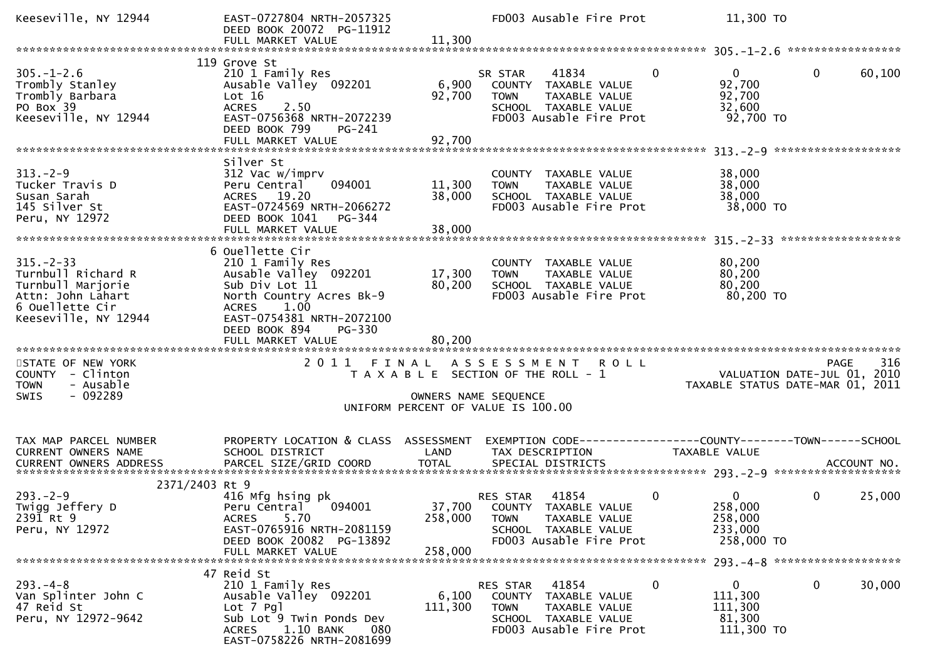| Keeseville, NY 12944                                                                                                      | EAST-0727804 NRTH-2057325<br>DEED BOOK 20072 PG-11912<br>FULL MARKET VALUE                                                                                                                                             | 11,300                     | FD003 Ausable Fire Prot                                                                                                                   | 11,300 TO                                                                  |                                                                                |
|---------------------------------------------------------------------------------------------------------------------------|------------------------------------------------------------------------------------------------------------------------------------------------------------------------------------------------------------------------|----------------------------|-------------------------------------------------------------------------------------------------------------------------------------------|----------------------------------------------------------------------------|--------------------------------------------------------------------------------|
|                                                                                                                           |                                                                                                                                                                                                                        |                            |                                                                                                                                           |                                                                            |                                                                                |
| $305. - 1 - 2.6$<br>Trombly Stanley<br>Trombly Barbara<br>PO Box 39<br>Keeseville, NY 12944                               | 119 Grove St<br>210 1 Family Res<br>Ausable Valley 092201<br>Lot 16<br><b>ACRES</b><br>2.50<br>EAST-0756368 NRTH-2072239<br>DEED BOOK 799<br>PG-241<br>FULL MARKET VALUE                                               | 6,900<br>92,700<br>92,700  | 41834<br>SR STAR<br>COUNTY TAXABLE VALUE<br>TAXABLE VALUE<br><b>TOWN</b><br>SCHOOL TAXABLE VALUE<br>FD003 Ausable Fire Prot               | $\Omega$<br>$\overline{0}$<br>92,700<br>92,700<br>32,600<br>92,700 TO      | 60,100<br>$\mathbf{0}$                                                         |
|                                                                                                                           | Silver St                                                                                                                                                                                                              |                            |                                                                                                                                           |                                                                            |                                                                                |
| $313. - 2 - 9$<br>Tucker Travis D<br>Susan Sarah<br>145 Silver St<br>Peru, NY 12972                                       | 312 Vac w/imprv<br>094001<br>Peru Central<br>ACRES 19.20<br>EAST-0724569 NRTH-2066272<br>DEED BOOK 1041<br>PG-344                                                                                                      | 11,300<br>38,000           | COUNTY TAXABLE VALUE<br>TAXABLE VALUE<br><b>TOWN</b><br>SCHOOL TAXABLE VALUE<br>FD003 Ausable Fire Prot                                   | 38,000<br>38,000<br>38,000<br>38,000 TO                                    |                                                                                |
|                                                                                                                           |                                                                                                                                                                                                                        |                            |                                                                                                                                           |                                                                            |                                                                                |
| $315 - 2 - 33$<br>Turnbull Richard R<br>Turnbull Marjorie<br>Attn: John Lahart<br>6 Ouellette Cir<br>Keeseville, NY 12944 | 6 Ouellette Cir<br>210 1 Family Res<br>Ausable Valley 092201<br>Sub Div Lot 11<br>North Country Acres Bk-9<br>1.00<br><b>ACRES</b><br>EAST-0754381 NRTH-2072100<br>DEED BOOK 894<br><b>PG-330</b><br>FULL MARKET VALUE | 17,300<br>80,200<br>80,200 | COUNTY TAXABLE VALUE<br><b>TOWN</b><br>TAXABLE VALUE<br>SCHOOL TAXABLE VALUE<br>FD003 Ausable Fire Prot                                   | 80,200<br>80,200<br>80,200<br>80,200 TO                                    |                                                                                |
|                                                                                                                           |                                                                                                                                                                                                                        |                            |                                                                                                                                           |                                                                            |                                                                                |
| STATE OF NEW YORK<br>COUNTY - Clinton<br>- Ausable<br><b>TOWN</b><br>$-092289$<br><b>SWIS</b>                             | 2011 FINAL                                                                                                                                                                                                             |                            | A S S E S S M E N T<br><b>ROLL</b><br>T A X A B L E SECTION OF THE ROLL - 1<br>OWNERS NAME SEQUENCE<br>UNIFORM PERCENT OF VALUE IS 100.00 |                                                                            | 316<br>PAGE<br>VALUATION DATE-JUL 01, 2010<br>TAXABLE STATUS DATE-MAR 01, 2011 |
|                                                                                                                           |                                                                                                                                                                                                                        |                            |                                                                                                                                           |                                                                            |                                                                                |
| TAX MAP PARCEL NUMBER<br>CURRENT OWNERS NAME                                                                              | PROPERTY LOCATION & CLASS ASSESSMENT<br>SCHOOL DISTRICT                                                                                                                                                                | LAND                       | EXEMPTION CODE------------------COUNTY--------TOWN------SCHOOL<br>TAX DESCRIPTION                                                         | TAXABLE VALUE                                                              |                                                                                |
| 2371/2403 Rt 9                                                                                                            |                                                                                                                                                                                                                        |                            |                                                                                                                                           |                                                                            |                                                                                |
| $293. - 2 - 9$<br>Twigg Jeffery D<br>2391 Rt 9<br>Peru, NY 12972                                                          | 416 Mfg hsing pk<br>Peru Central 094001<br>5.70<br>ACRES<br>EAST-0765916 NRTH-2081159<br>DEED BOOK 20082 PG-13892<br>FULL MARKET VALUE                                                                                 | 258,000<br>258,000         | 41854<br>RES STAR<br>37,700 COUNTY TAXABLE VALUE<br>TAXABLE VALUE<br><b>TOWN</b><br>SCHOOL TAXABLE VALUE<br>FD003 Ausable Fire Prot       | $\mathbf 0$<br>$\mathbf{0}$<br>258,000<br>258,000<br>233,000<br>258,000 TO | $\mathbf{0}$<br>25,000                                                         |
|                                                                                                                           |                                                                                                                                                                                                                        |                            |                                                                                                                                           |                                                                            |                                                                                |
| $293. -4 - 8$<br>Van Splinter John C<br>47 Reid St<br>Peru, NY 12972-9642                                                 | 47 Reid St<br>210 1 Family Res<br>Ausable Valley 092201<br>Lot 7 Pgl<br>Sub Lot 9 Twin Ponds Dev<br>1.10 BANK<br>080<br>ACRES<br>EAST-0758226 NRTH-2081699                                                             | 6,100<br>111,300           | 41854<br>RES STAR<br>COUNTY TAXABLE VALUE<br><b>TOWN</b><br>TAXABLE VALUE<br>SCHOOL TAXABLE VALUE<br>FD003 Ausable Fire Prot              | 0<br>$\mathbf{0}$<br>111,300<br>111,300<br>81,300<br>111,300 TO            | 30,000<br>0                                                                    |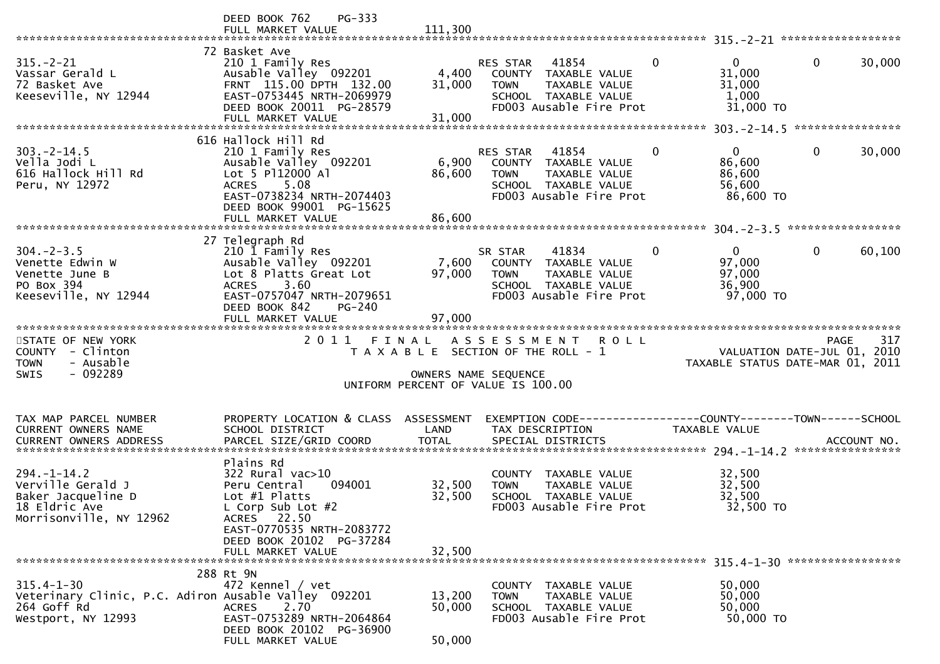|                                                                                                               | DEED BOOK 762<br>PG-333<br>FULL MARKET VALUE                                                                                                                                                | 111,300                       |                                                                                                                                                     |                                                                                              |
|---------------------------------------------------------------------------------------------------------------|---------------------------------------------------------------------------------------------------------------------------------------------------------------------------------------------|-------------------------------|-----------------------------------------------------------------------------------------------------------------------------------------------------|----------------------------------------------------------------------------------------------|
| $315. - 2 - 21$<br>Vassar Gerald L<br>72 Basket Ave<br>Keeseville, NY 12944                                   | 72 Basket Ave<br>210 1 Family Res<br>Ausable Valley 092201<br>FRNT 115.00 DPTH 132.00<br>EAST-0753445 NRTH-2069979<br>DEED BOOK 20011 PG-28579<br>FULL MARKET VALUE                         | 4,400<br>31,000<br>31,000     | $\mathbf{0}$<br>41854<br><b>RES STAR</b><br>COUNTY TAXABLE VALUE<br><b>TOWN</b><br>TAXABLE VALUE<br>SCHOOL TAXABLE VALUE<br>FD003 Ausable Fire Prot | $\mathbf 0$<br>$\mathbf{0}$<br>30,000<br>31,000<br>31,000<br>1,000<br>31,000 TO              |
| $303. -2 - 14.5$<br>Vella Jodi L<br>616 Hallock Hill Rd<br>Peru, NY 12972                                     | 616 Hallock Hill Rd<br>210 1 Family Res<br>Ausable Valley 092201<br>Lot 5 P112000 Al<br><b>ACRES</b><br>5.08<br>EAST-0738234 NRTH-2074403<br>DEED BOOK 99001 PG-15625<br>FULL MARKET VALUE  | 6,900<br>86,600<br>86,600     | $\mathbf 0$<br>RES STAR<br>41854<br>COUNTY TAXABLE VALUE<br><b>TOWN</b><br><b>TAXABLE VALUE</b><br>SCHOOL TAXABLE VALUE<br>FD003 Ausable Fire Prot  | $\mathbf{0}$<br>$\mathbf{0}$<br>30,000<br>86,600<br>86,600<br>56,600<br>86,600 TO            |
| $304. -2 - 3.5$<br>Venette Edwin W<br>Venette June B<br>PO Box 394<br>Keeseville, NY 12944                    | 27 Telegraph Rd<br>210 1 Family Res<br>Ausable Valley 092201<br>Lot 8 Platts Great Lot<br>3.60<br><b>ACRES</b><br>EAST-0757047 NRTH-2079651<br>DEED BOOK 842<br>PG-240<br>FULL MARKET VALUE | 7,600<br>97,000<br>97,000     | 41834<br>0<br>SR STAR<br>COUNTY TAXABLE VALUE<br><b>TOWN</b><br>TAXABLE VALUE<br>SCHOOL TAXABLE VALUE<br>FD003 Ausable Fire Prot                    | $\Omega$<br>60,100<br>0<br>97,000<br>97,000<br>36,900<br>97,000 TO                           |
| STATE OF NEW YORK<br>COUNTY - Clinton<br>- Ausable<br><b>TOWN</b><br>$-092289$<br><b>SWIS</b>                 | 2011                                                                                                                                                                                        | FINAL<br>OWNERS NAME SEQUENCE | <b>ROLL</b><br>A S S E S S M E N T<br>T A X A B L E SECTION OF THE ROLL - 1<br>UNIFORM PERCENT OF VALUE IS 100.00                                   | 317<br><b>PAGE</b><br>VALUATION DATE-JUL 01, 2010<br>TAXABLE STATUS DATE-MAR 01, 2011        |
| TAX MAP PARCEL NUMBER<br><b>CURRENT OWNERS NAME</b><br><b>CURRENT OWNERS ADDRESS</b>                          | PROPERTY LOCATION & CLASS ASSESSMENT<br>SCHOOL DISTRICT<br>PARCEL SIZE/GRID COORD                                                                                                           | LAND<br><b>TOTAL</b>          | TAX DESCRIPTION<br>SPECIAL DISTRICTS                                                                                                                | EXEMPTION CODE-----------------COUNTY-------TOWN------SCHOOL<br>TAXABLE VALUE<br>ACCOUNT NO. |
| $294. - 1 - 14.2$<br>Verville Gerald J<br>Baker Jacqueline D<br>18 Eldric Ave<br>Morrisonville, NY 12962      | Plains Rd<br>$322$ Rural vac $>10$<br>094001<br>Peru Central<br>Lot $#1$ Platts<br>L Corp Sub Lot $#2$<br>ACRES 22.50<br>EAST-0770535 NRTH-2083772<br>DEED BOOK 20102 PG-37284              | 32,500<br>32,500              | COUNTY<br>TAXABLE VALUE<br>TAXABLE VALUE<br><b>TOWN</b><br>SCHOOL TAXABLE VALUE<br>FD003 Ausable Fire Prot                                          | 32,500<br>32,500<br>32,500<br>32,500 TO                                                      |
|                                                                                                               | FULL MARKET VALUE                                                                                                                                                                           | 32,500                        |                                                                                                                                                     |                                                                                              |
| $315.4 - 1 - 30$<br>Veterinary Clinic, P.C. Adiron Ausable Valley 092201<br>264 Goff Rd<br>Westport, NY 12993 | 288 Rt 9N<br>472 Kennel / vet<br>2.70<br><b>ACRES</b><br>EAST-0753289 NRTH-2064864<br>DEED BOOK 20102 PG-36900<br>FULL MARKET VALUE                                                         | 13,200<br>50,000<br>50,000    | COUNTY TAXABLE VALUE<br>TAXABLE VALUE<br><b>TOWN</b><br>SCHOOL TAXABLE VALUE<br>FD003 Ausable Fire Prot                                             | 50,000<br>50,000<br>50,000<br>50,000 TO                                                      |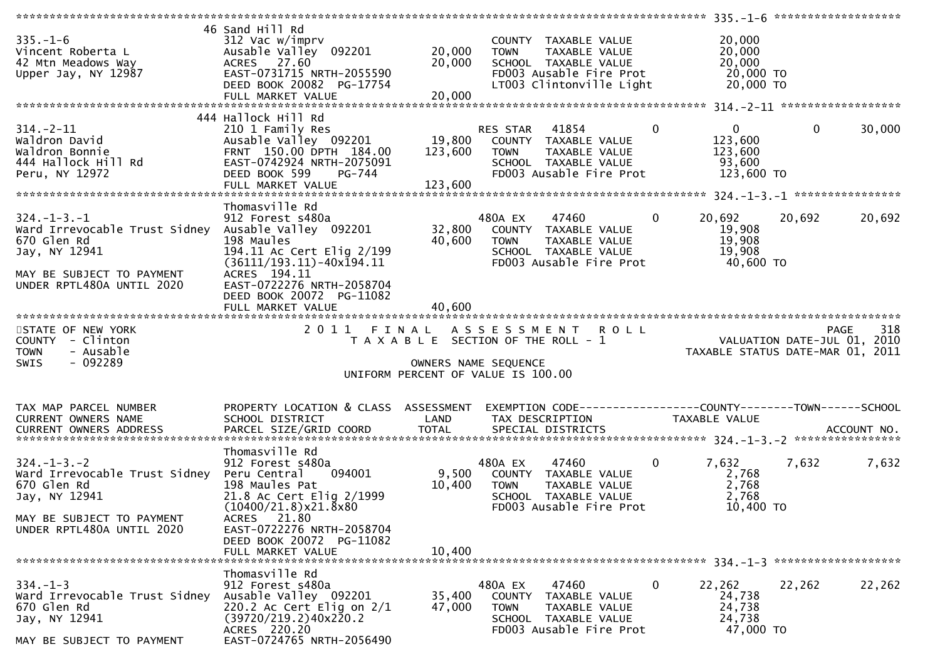| $335. - 1 - 6$<br>Vincent Roberta L<br>42 Mtn Meadows Way<br>Upper Jay, NY 12987                                                                            | 46 Sand Hill Rd<br>312 Vac w/imprv<br>Ausable Valley 092201<br>ACRES 27.60<br>EAST-0731715 NRTH-2055590<br>DEED BOOK 20082 PG-17754<br>FULL MARKET VALUE             | 20,000<br>20,000<br>20,000                                                                          | <b>TOWN</b>                      | COUNTY TAXABLE VALUE<br>TAXABLE VALUE<br>SCHOOL TAXABLE VALUE<br>FD003 Ausable Fire Prot<br>LT003 Clintonville Light |              | 20,000<br>20,000<br>20,000<br>20,000 TO<br>20,000 TO            |              |                    |
|-------------------------------------------------------------------------------------------------------------------------------------------------------------|----------------------------------------------------------------------------------------------------------------------------------------------------------------------|-----------------------------------------------------------------------------------------------------|----------------------------------|----------------------------------------------------------------------------------------------------------------------|--------------|-----------------------------------------------------------------|--------------|--------------------|
|                                                                                                                                                             | 444 Hallock Hill Rd                                                                                                                                                  |                                                                                                     |                                  |                                                                                                                      |              |                                                                 |              |                    |
| $314. - 2 - 11$<br>Waldron David<br>Waldron Bonnie<br>444 Hallock Hill Rd<br>Peru, NY 12972                                                                 | 210 1 Family Res<br>Ausable Valley 092201<br>FRNT 150.00 DPTH 184.00<br>EAST-0742924 NRTH-2075091<br>DEED BOOK 599<br>PG-744<br>FULL MARKET VALUE                    | 19,800<br>123,600<br>123,600                                                                        | RES STAR<br><b>TOWN</b>          | 41854<br>COUNTY TAXABLE VALUE<br>TAXABLE VALUE<br>SCHOOL TAXABLE VALUE<br>FD003 Ausable Fire Prot                    | $\mathbf{0}$ | $\mathbf{0}$<br>123,600<br>123,600<br>93,600<br>123,600 TO      | $\mathbf{0}$ | 30,000             |
|                                                                                                                                                             |                                                                                                                                                                      |                                                                                                     |                                  |                                                                                                                      |              |                                                                 |              |                    |
| $324. - 1 - 3. - 1$<br>Ward Irrevocable Trust Sidney<br>670 Glen Rd<br>Jay, NY 12941<br>MAY BE SUBJECT TO PAYMENT                                           | Thomasville Rd<br>912 Forest s480a<br>Ausable Valley 092201<br>198 Maules<br>194.11 Ac Cert Elig 2/199<br>$(36111/193.11) - 40x\overline{1}94.11$<br>ACRES 194.11    | 32,800<br>40,600                                                                                    | 480A EX<br><b>TOWN</b>           | 47460<br>COUNTY TAXABLE VALUE<br>TAXABLE VALUE<br>SCHOOL TAXABLE VALUE<br>FD003 Ausable Fire Prot                    | $\bf{0}$     | 20,692<br>19,908<br>19,908<br>19,908<br>40,600 TO               | 20,692       | 20,692             |
| UNDER RPTL480A UNTIL 2020                                                                                                                                   | EAST-0722276 NRTH-2058704<br>DEED BOOK 20072 PG-11082<br>FULL MARKET VALUE                                                                                           | 40,600                                                                                              |                                  |                                                                                                                      |              |                                                                 |              |                    |
|                                                                                                                                                             |                                                                                                                                                                      |                                                                                                     |                                  |                                                                                                                      |              |                                                                 |              |                    |
| STATE OF NEW YORK<br>COUNTY - Clinton<br>- Ausable<br><b>TOWN</b><br>$-092289$<br><b>SWIS</b>                                                               | 2011 FINAL ASSESSMENT                                                                                                                                                | T A X A B L E SECTION OF THE ROLL - 1<br>OWNERS NAME SEQUENCE<br>UNIFORM PERCENT OF VALUE IS 100.00 |                                  | <b>ROLL</b>                                                                                                          |              | VALUATION DATE-JUL 01, 2010<br>TAXABLE STATUS DATE-MAR 01, 2011 |              | 318<br><b>PAGE</b> |
| TAX MAP PARCEL NUMBER                                                                                                                                       | PROPERTY LOCATION & CLASS ASSESSMENT                                                                                                                                 |                                                                                                     |                                  |                                                                                                                      |              |                                                                 |              |                    |
| <b>CURRENT OWNERS NAME</b>                                                                                                                                  | SCHOOL DISTRICT                                                                                                                                                      | LAND                                                                                                |                                  | TAX DESCRIPTION                                                                                                      |              | TAXABLE VALUE                                                   |              |                    |
| $324. - 1 - 3. - 2$<br>Ward Irrevocable Trust Sidney Peru Central<br>670 Glen Rd<br>Jay, NY 12941<br>MAY BE SUBJECT TO PAYMENT<br>UNDER RPTL480A UNTIL 2020 | Thomasville Rd<br>912 Forest s480a<br>094001<br>198 Maules Pat<br>21.8 Ac Cert Elig 2/1999<br>$(10400/21.8)$ x 21.8 x 80<br>ACRES 21.80<br>EAST-0722276 NRTH-2058704 | 9,500<br>10,400                                                                                     | 480A EX<br><b>TOWN</b>           | 47460<br>COUNTY TAXABLE VALUE<br>TAXABLE VALUE<br>SCHOOL TAXABLE VALUE<br>FD003 Ausable Fire Prot                    | $\mathbf 0$  | 7,632<br>2,768<br>2,768<br>2,768<br>10,400 TO                   | 7,632        | 7,632              |
|                                                                                                                                                             | DEED BOOK 20072 PG-11082<br>FULL MARKET VALUE                                                                                                                        | 10,400                                                                                              |                                  |                                                                                                                      |              |                                                                 |              |                    |
|                                                                                                                                                             | Thomasville Rd                                                                                                                                                       |                                                                                                     |                                  |                                                                                                                      |              |                                                                 |              |                    |
| $334. - 1 - 3$<br>Ward Irrevocable Trust Sidney<br>670 Glen Rd<br>Jay, NY 12941                                                                             | 912 Forest s480a<br>Ausable Valley 092201<br>220.2 Ac Cert Elig on $2/1$                                                                                             | 35,400<br>47,000                                                                                    | 480A EX<br>COUNTY<br><b>TOWN</b> | 47460<br>TAXABLE VALUE<br>TAXABLE VALUE                                                                              | 0            | 22,262<br>24,738<br>24,738                                      | 22,262       | 22,262             |
|                                                                                                                                                             | (39720/219.2)40x220.2<br>ACRES 220.20<br>EAST-0724765 NRTH-2056490                                                                                                   |                                                                                                     |                                  | SCHOOL TAXABLE VALUE<br>FD003 Ausable Fire Prot                                                                      |              | 24,738<br>47,000 TO                                             |              |                    |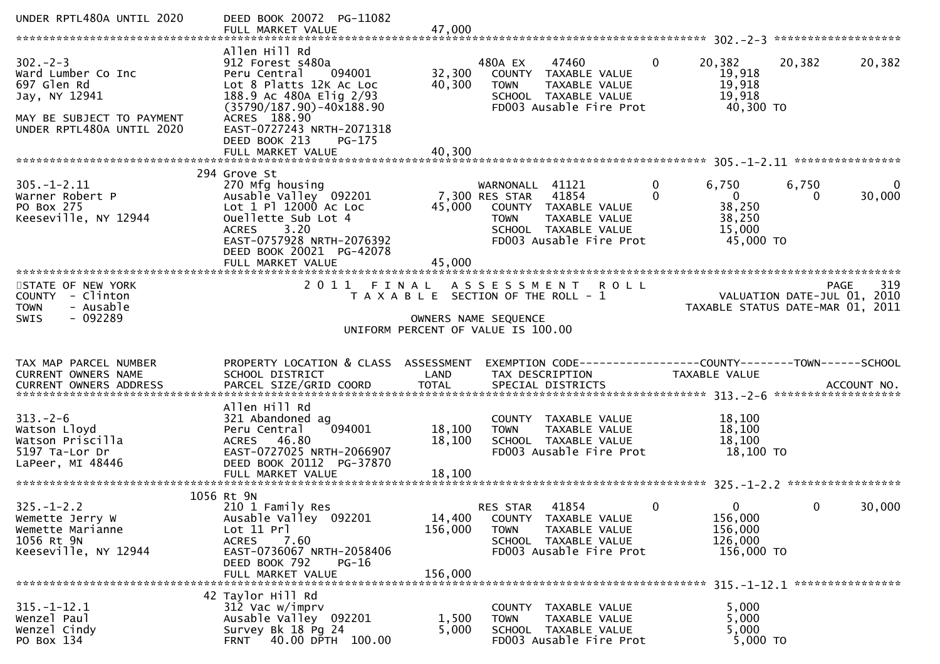| UNDER RPTL480A UNTIL 2020                                                                                                     | DEED BOOK 20072 PG-11082                                                                                                                                                                                                  |                              |                                                                                                                                                                               |                                                                                                                        |
|-------------------------------------------------------------------------------------------------------------------------------|---------------------------------------------------------------------------------------------------------------------------------------------------------------------------------------------------------------------------|------------------------------|-------------------------------------------------------------------------------------------------------------------------------------------------------------------------------|------------------------------------------------------------------------------------------------------------------------|
| $302 - 2 - 3$<br>Ward Lumber Co Inc<br>697 Glen Rd<br>Jay, NY 12941<br>MAY BE SUBJECT TO PAYMENT<br>UNDER RPTL480A UNTIL 2020 | Allen Hill Rd<br>912 Forest s480a<br>Peru Central<br>094001<br>Lot 8 Platts 12K Ac Loc<br>188.9 Ac 480A Elig 2/93<br>$(35790/187.90) - 40x188.90$<br>ACRES 188.90<br>EAST-0727243 NRTH-2071318<br>DEED BOOK 213<br>PG-175 | 32,300<br>40,300             | 480A EX<br>47460<br>$\mathbf{0}$<br>COUNTY TAXABLE VALUE<br><b>TOWN</b><br>TAXABLE VALUE<br>SCHOOL TAXABLE VALUE<br>FD003 Ausable Fire Prot                                   | 20,382<br>20,382<br>20,382<br>19,918<br>19,918<br>19,918<br>40,300 TO                                                  |
| $305. - 1 - 2.11$<br>Warner Robert P<br>PO Box 275<br>Keeseville, NY 12944                                                    | 294 Grove St<br>270 Mfg housing<br>Ausable Valley 092201<br>Lot 1 Pl 12000 Ac Loc<br>Ouellette Sub Lot 4<br>ACRES 3.20<br>EAST-0757928 NRTH-2076392<br>DEED BOOK 20021 PG-42078<br>FULL MARKET VALUE                      | 45,000<br>45,000             | $\mathbf 0$<br>WARNONALL 41121<br>7,300 RES STAR 41854<br>$\Omega$<br>COUNTY TAXABLE VALUE<br><b>TOWN</b><br>TAXABLE VALUE<br>SCHOOL TAXABLE VALUE<br>FD003 Ausable Fire Prot | 6,750<br>$\Omega$<br>6,750<br>$\overline{\mathbf{0}}$<br>30,000<br>$\Omega$<br>38,250<br>38,250<br>15,000<br>45,000 TO |
| STATE OF NEW YORK<br>COUNTY - Clinton<br>- Ausable<br><b>TOWN</b><br>$-092289$<br><b>SWIS</b>                                 |                                                                                                                                                                                                                           |                              | 2011 FINAL ASSESSMENT ROLL<br>T A X A B L E SECTION OF THE ROLL - 1<br>OWNERS NAME SEQUENCE<br>UNIFORM PERCENT OF VALUE IS 100.00                                             | 319<br>PAGE<br>VALUATION DATE-JUL $01$ , 2010<br>TAXABLE STATUS DATE-MAR 01, 2011                                      |
| TAX MAP PARCEL NUMBER<br>CURRENT OWNERS NAME                                                                                  | PROPERTY LOCATION & CLASS ASSESSMENT<br>SCHOOL DISTRICT                                                                                                                                                                   | LAND                         | TAX DESCRIPTION                                                                                                                                                               | EXEMPTION CODE------------------COUNTY--------TOWN------SCHOOL<br>TAXABLE VALUE                                        |
| $313. - 2 - 6$<br>Watson Lloyd<br>Watson Priscilla<br>5197 Ta-Lor Dr<br>LaPeer, MI 48446                                      | Allen Hill Rd<br>321 Abandoned ag<br>Peru Central<br>094001<br>ACRES 46.80<br>EAST-0727025 NRTH-2066907<br>DEED BOOK 20112 PG-37870                                                                                       | 18,100<br>18,100             | COUNTY TAXABLE VALUE<br><b>TOWN</b><br>TAXABLE VALUE<br>SCHOOL TAXABLE VALUE<br>FD003 Ausable Fire Prot                                                                       | 18,100<br>18,100<br>18,100<br>18,100 TO                                                                                |
| $325. - 1 - 2.2$<br>Wemette Jerry W<br>Wemette Marianne<br>1056 Rt 9N<br>Keeseville, NY 12944                                 | 1056 Rt 9N<br>210 1 Family Res<br>Ausable Valley 092201<br>Lot 11 Prl<br>7.60<br>ACRES<br>EAST-0736067 NRTH-2058406<br>DEED BOOK 792<br>PG-16<br>FULL MARKET VALUE                                                        | 14,400<br>156,000<br>156,000 | $\overline{0}$<br>41854<br>RES STAR<br>COUNTY TAXABLE VALUE<br><b>TOWN</b><br>TAXABLE VALUE<br>SCHOOL TAXABLE VALUE<br>FD003 Ausable Fire Prot                                | 30,000<br>0<br>0<br>156,000<br>156,000<br>126,000<br>156,000 TO                                                        |
| $315. - 1 - 12.1$<br>Wenzel Paul<br>Wenzel Cindy<br>PO Box 134                                                                | 42 Taylor Hill Rd<br>312 Vac w/imprv<br>Ausable Valley 092201<br>Survey Bk 18 Pg 24<br>40.00 DPTH 100.00<br><b>FRNT</b>                                                                                                   | 1,500<br>5,000               | COUNTY TAXABLE VALUE<br>TAXABLE VALUE<br><b>TOWN</b><br>SCHOOL TAXABLE VALUE<br>FD003 Ausable Fire Prot                                                                       | 5,000<br>5,000<br>5,000<br>5,000 TO                                                                                    |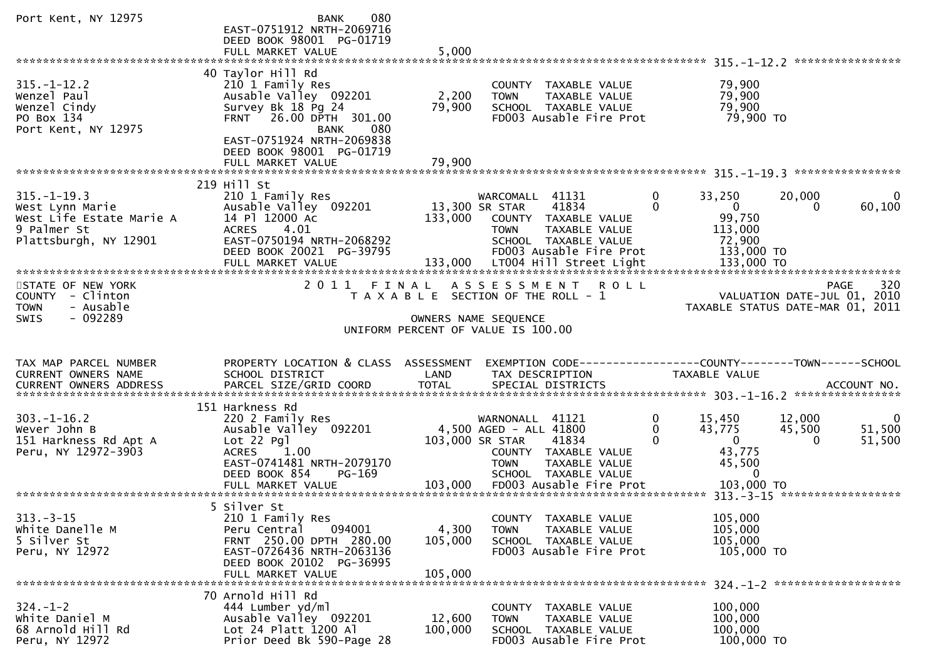| Port Kent, NY 12975                                                                                      | 080<br>BANK<br>EAST-0751912 NRTH-2069716<br>DEED BOOK 98001 PG-01719                                                                                                                                               |                                      |                                                                                                                                                                |                                                                                                                |                                                                  |
|----------------------------------------------------------------------------------------------------------|--------------------------------------------------------------------------------------------------------------------------------------------------------------------------------------------------------------------|--------------------------------------|----------------------------------------------------------------------------------------------------------------------------------------------------------------|----------------------------------------------------------------------------------------------------------------|------------------------------------------------------------------|
|                                                                                                          | FULL MARKET VALUE                                                                                                                                                                                                  | 5,000                                |                                                                                                                                                                |                                                                                                                |                                                                  |
| $315. - 1 - 12.2$<br>Wenzel Paul<br>Wenzel Cindy<br>PO Box 134<br>Port Kent, NY 12975                    | 40 Taylor Hill Rd<br>210 1 Family Res<br>Ausable Valley 092201<br>Survey Bk 18 Pg 24<br>FRNT 26.00 DPTH 301.00<br>080<br><b>BANK</b><br>EAST-0751924 NRTH-2069838<br>DEED BOOK 98001 PG-01719<br>FULL MARKET VALUE | 2,200<br>79,900<br>79,900            | COUNTY TAXABLE VALUE<br><b>TOWN</b><br>TAXABLE VALUE<br>SCHOOL TAXABLE VALUE<br>FD003 Ausable Fire Prot                                                        | 79,900<br>79,900<br>79,900<br>79,900 TO                                                                        |                                                                  |
|                                                                                                          | 219 Hill St                                                                                                                                                                                                        |                                      |                                                                                                                                                                |                                                                                                                |                                                                  |
| $315. - 1 - 19.3$<br>West Lynn Marie<br>West Life Estate Marie A<br>9 Palmer St<br>Plattsburgh, NY 12901 | 210 1 Family Res<br>Ausable Valley 092201<br>14 Pl 12000 Ac<br><b>ACRES</b><br>4.01<br>EAST-0750194 NRTH-2068292<br>DEED BOOK 20021 PG-39795<br>FULL MARKET VALUE                                                  | 13,300 SR STAR<br>133,000<br>133,000 | WARCOMALL 41131<br>41834<br>COUNTY TAXABLE VALUE<br>TAXABLE VALUE<br><b>TOWN</b><br>SCHOOL TAXABLE VALUE<br>FD003 Ausable Fire Prot<br>LT004 Hill Street Light | $\mathbf 0$<br>33,250<br>$\Omega$<br>$\overline{0}$<br>99,750<br>113,000<br>72,900<br>133,000 TO<br>133,000 TO | 20,000<br>0<br>60,100<br>0                                       |
| STATE OF NEW YORK                                                                                        | 2 0 1 1                                                                                                                                                                                                            | FINAL                                | ASSESSMENT<br><b>ROLL</b>                                                                                                                                      |                                                                                                                | 320<br><b>PAGE</b>                                               |
| COUNTY - Clinton<br>- Ausable<br><b>TOWN</b>                                                             |                                                                                                                                                                                                                    |                                      | T A X A B L E SECTION OF THE ROLL - 1                                                                                                                          |                                                                                                                | VALUATION DATE-JUL 01, 2010<br>TAXABLE STATUS DATE-MAR 01, 2011  |
| - 092289<br><b>SWIS</b>                                                                                  |                                                                                                                                                                                                                    |                                      | OWNERS NAME SEQUENCE                                                                                                                                           |                                                                                                                |                                                                  |
|                                                                                                          |                                                                                                                                                                                                                    |                                      | UNIFORM PERCENT OF VALUE IS 100.00                                                                                                                             |                                                                                                                |                                                                  |
| TAX MAP PARCEL NUMBER<br>CURRENT OWNERS NAME<br><b>CURRENT OWNERS ADDRESS</b>                            | PROPERTY LOCATION & CLASS ASSESSMENT<br>SCHOOL DISTRICT<br>PARCEL SIZE/GRID COORD                                                                                                                                  | LAND<br><b>TOTAL</b>                 | EXEMPTION CODE-----------------COUNTY-------TOWN------SCHOOL<br>TAX DESCRIPTION<br>SPECIAL DISTRICTS                                                           | TAXABLE VALUE                                                                                                  | ACCOUNT NO.                                                      |
|                                                                                                          | 151 Harkness Rd                                                                                                                                                                                                    |                                      |                                                                                                                                                                |                                                                                                                |                                                                  |
| $303. - 1 - 16.2$<br>Wever John B<br>151 Harkness Rd Apt A<br>Peru, NY 12972-3903                        | 220 2 Family Res<br>Ausable Valley 092201<br>Lot 22 Pgl<br><b>ACRES</b><br>1.00<br>EAST-0741481 NRTH-2079170<br>DEED BOOK 854<br>PG-169                                                                            |                                      | WARNONALL 41121<br>4,500 AGED - ALL 41800<br>103,000 SR STAR<br>41834<br>COUNTY TAXABLE VALUE<br><b>TOWN</b><br>TAXABLE VALUE<br>SCHOOL TAXABLE VALUE          | 0<br>15,450<br>$\mathbf 0$<br>43,775<br>$\Omega$<br>$\overline{0}$<br>43,775<br>45,500<br>$\mathbf{0}$         | 12,000<br>$\mathbf{0}$<br>51,500<br>45,500<br>$\Omega$<br>51,500 |
|                                                                                                          |                                                                                                                                                                                                                    |                                      |                                                                                                                                                                |                                                                                                                |                                                                  |
| $313 - 3 - 15$<br>White Danelle M<br>5 Silver St<br>Peru, NY 12972                                       | 5 Silver St<br>210 1 Family Res<br>Peru Central<br>094001<br>FRNT 250.00 DPTH 280.00<br>EAST-0726436 NRTH-2063136<br>DEED BOOK 20102 PG-36995<br>FULL MARKET VALUE                                                 | 4,300<br>105,000<br>105,000          | TAXABLE VALUE<br>COUNTY<br>TAXABLE VALUE<br><b>TOWN</b><br>SCHOOL TAXABLE VALUE<br>FD003 Ausable Fire Prot                                                     | 105,000<br>105,000<br>105,000<br>105,000 TO                                                                    |                                                                  |
|                                                                                                          | 70 Arnold Hill Rd                                                                                                                                                                                                  |                                      |                                                                                                                                                                |                                                                                                                |                                                                  |
| $324. - 1 - 2$<br>White Daniel M<br>68 Arnold Hill Rd<br>Peru, NY 12972                                  | 444 Lumber yd/ml<br>Ausable Valley 092201<br>Lot 24 Platt $1200$ Al<br>Prior Deed Bk 590-Page 28                                                                                                                   | 12,600<br>100,000                    | COUNTY TAXABLE VALUE<br>TAXABLE VALUE<br><b>TOWN</b><br>SCHOOL TAXABLE VALUE<br>FD003 Ausable Fire Prot                                                        | 100,000<br>100,000<br>100,000<br>100,000 TO                                                                    |                                                                  |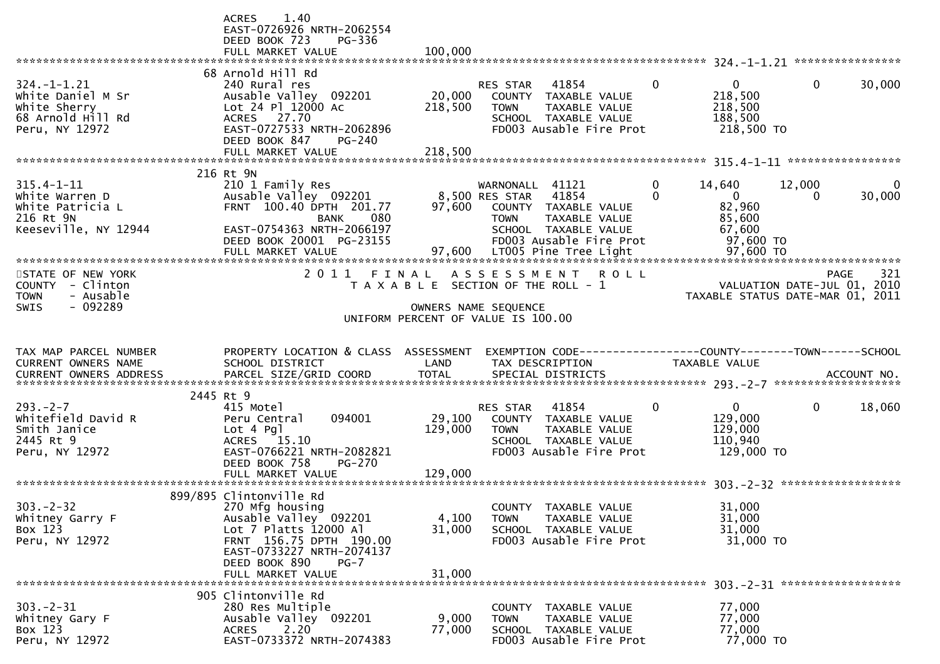|                                                                                                        | 1.40<br><b>ACRES</b><br>EAST-0726926 NRTH-2062554<br>DEED BOOK 723<br>PG-336<br>FULL MARKET VALUE                                                                                                    | 100,000                      |                                                                                                                                                                                |                   |                                                                                  |                        |                                            |
|--------------------------------------------------------------------------------------------------------|------------------------------------------------------------------------------------------------------------------------------------------------------------------------------------------------------|------------------------------|--------------------------------------------------------------------------------------------------------------------------------------------------------------------------------|-------------------|----------------------------------------------------------------------------------|------------------------|--------------------------------------------|
| $324. - 1 - 1.21$<br>White Daniel M Sr<br>White Sherry<br>68 Arnold Hill Rd<br>Peru, NY 12972          | 68 Arnold Hill Rd<br>240 Rural res<br>Ausable Valley 092201<br>Lot 24 Pl 12000 Ac<br>ACRES 27.70<br>EAST-0727533 NRTH-2062896<br>DEED BOOK 847<br>PG-240                                             | 20,000<br>218,500            | 41854<br>RES STAR<br>COUNTY TAXABLE VALUE<br>TAXABLE VALUE<br><b>TOWN</b><br>SCHOOL TAXABLE VALUE<br>FD003 Ausable Fire Prot                                                   | $\Omega$          | $\mathbf{0}$<br>218,500<br>218,500<br>188,500<br>218,500 TO                      | $\mathbf{0}$           | 30,000                                     |
| $315.4 - 1 - 11$<br>White Warren D<br>White Patricia L<br>216 Rt 9N<br>Keeseville, NY 12944            | 216 Rt 9N<br>210 1 Family Res<br>Ausable Valley 092201<br>FRNT 100.40 DPTH 201.77<br>080<br><b>BANK</b><br>EAST-0754363 NRTH-2066197<br>DEED BOOK 20001 PG-23155<br>FULL MARKET VALUE                | 97,600<br>97,600             | WARNONALL 41121<br>41854<br>8,500 RES STAR<br>COUNTY TAXABLE VALUE<br>TAXABLE VALUE<br><b>TOWN</b><br>SCHOOL TAXABLE VALUE<br>FD003 Ausable Fire Prot<br>LT005 Pine Tree Light | 0<br>$\mathbf{0}$ | 14,640<br>$\overline{0}$<br>82,960<br>85,600<br>67,600<br>97,600 TO<br>97,600 TO | 12,000<br>$\mathbf{0}$ | 30,000                                     |
| STATE OF NEW YORK<br><b>COUNTY</b><br>- Clinton<br><b>TOWN</b><br>- Ausable<br>- 092289<br><b>SWIS</b> | 2011                                                                                                                                                                                                 | FINAL                        | ASSESSMENT<br>T A X A B L E SECTION OF THE ROLL - 1<br>OWNERS NAME SEQUENCE<br>UNIFORM PERCENT OF VALUE IS 100.00                                                              | <b>ROLL</b>       | TAXABLE STATUS DATE-MAR 01, 2011                                                 |                        | 321<br>PAGE<br>VALUATION DATE-JUL 01, 2010 |
|                                                                                                        |                                                                                                                                                                                                      |                              |                                                                                                                                                                                |                   |                                                                                  |                        |                                            |
| TAX MAP PARCEL NUMBER<br>CURRENT OWNERS NAME<br><b>CURRENT OWNERS ADDRESS</b>                          | PROPERTY LOCATION & CLASS ASSESSMENT<br>SCHOOL DISTRICT                                                                                                                                              | LAND                         | EXEMPTION CODE-----------------COUNTY--------TOWN------SCHOOL<br>TAX DESCRIPTION                                                                                               |                   | TAXABLE VALUE                                                                    |                        |                                            |
| $293. - 2 - 7$<br>Whitefield David R<br>Smith Janice<br>2445 Rt 9<br>Peru, NY 12972                    | 2445 Rt 9<br>415 Motel<br>094001<br>Peru Central<br>$Lot 4$ Pgl<br>ACRES 15.10<br>EAST-0766221 NRTH-2082821<br>DEED BOOK 758<br><b>PG-270</b><br>FULL MARKET VALUE                                   | 29,100<br>129,000<br>129,000 | RES STAR<br>41854<br>COUNTY TAXABLE VALUE<br><b>TOWN</b><br>TAXABLE VALUE<br>SCHOOL TAXABLE VALUE<br>FD003 Ausable Fire Prot                                                   | 0                 | $\mathbf{0}$<br>129,000<br>129,000<br>110,940<br>129,000 TO                      | $\mathbf 0$            | 18,060                                     |
| $303 - 2 - 32$<br>Whitney Garry F<br>Box 123<br>Peru, NY 12972                                         | 899/895 Clintonville Rd<br>270 Mfg housing<br>Ausable Valley 092201<br>Lot 7 Platts 12000 Al<br>FRNT 156.75 DPTH 190.00<br>EAST-0733227 NRTH-2074137<br>DEED BOOK 890<br>$PG-7$<br>FULL MARKET VALUE | 4,100<br>31,000<br>31,000    | COUNTY TAXABLE VALUE<br>TAXABLE VALUE<br><b>TOWN</b><br>SCHOOL TAXABLE VALUE<br>FD003 Ausable Fire Prot                                                                        |                   | 31,000<br>31,000<br>31,000<br>31,000 TO                                          |                        |                                            |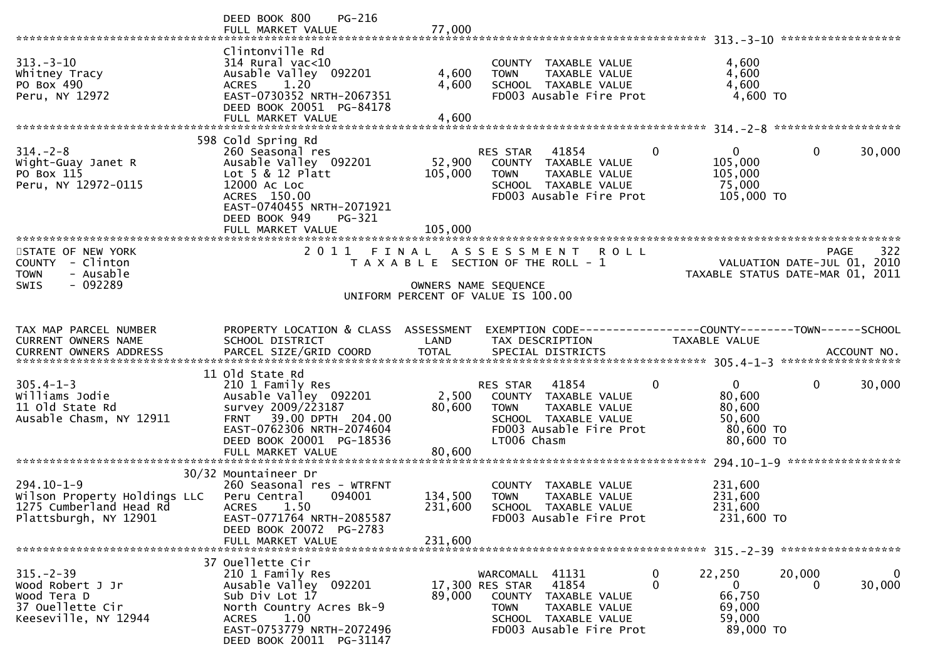|                                                                                                      | DEED BOOK 800<br>PG-216                                                                                                                                                                      |                           |                                                                                                                                                       |                                                                                      |                                                                                |
|------------------------------------------------------------------------------------------------------|----------------------------------------------------------------------------------------------------------------------------------------------------------------------------------------------|---------------------------|-------------------------------------------------------------------------------------------------------------------------------------------------------|--------------------------------------------------------------------------------------|--------------------------------------------------------------------------------|
| $313 - 3 - 10$<br>Whitney Tracy<br>PO Box 490<br>Peru, NY 12972                                      | Clintonville Rd<br>$314$ Rural vac<10<br>Ausable Valley 092201<br><b>ACRES</b><br>1.20<br>EAST-0730352 NRTH-2067351<br>DEED BOOK 20051 PG-84178                                              | 4,600<br>4,600            | COUNTY TAXABLE VALUE<br>TAXABLE VALUE<br><b>TOWN</b><br>SCHOOL TAXABLE VALUE<br>FD003 Ausable Fire Prot                                               | 4,600<br>4,600<br>4,600<br>4,600 TO                                                  |                                                                                |
|                                                                                                      | 598 Cold Spring Rd                                                                                                                                                                           |                           |                                                                                                                                                       |                                                                                      |                                                                                |
| $314. - 2 - 8$<br>Wight-Guay Janet R<br>PO Box 115<br>Peru, NY 12972-0115                            | 260 Seasonal res<br>Ausable Valley 092201<br>Lot $5 & 12$ Platt<br>12000 AC LOC<br>ACRES 150.00<br>EAST-0740455 NRTH-2071921<br>DEED BOOK 949<br>PG-321                                      | 52,900<br>105,000         | RES STAR<br>41854<br>COUNTY TAXABLE VALUE<br><b>TOWN</b><br>TAXABLE VALUE<br>SCHOOL TAXABLE VALUE<br>FD003 Ausable Fire Prot                          | $\mathbf{0}$<br>$\mathbf{0}$<br>105,000<br>105,000<br>75,000<br>105,000 TO           | 0<br>30,000                                                                    |
|                                                                                                      | FULL MARKET VALUE                                                                                                                                                                            | 105,000                   |                                                                                                                                                       |                                                                                      |                                                                                |
| STATE OF NEW YORK<br>COUNTY - Clinton<br><b>TOWN</b><br>- Ausable                                    | 2011 FINAL                                                                                                                                                                                   |                           | ASSESSMENT ROLL<br>T A X A B L E SECTION OF THE ROLL - 1                                                                                              |                                                                                      | 322<br>PAGE<br>VALUATION DATE-JUL 01, 2010<br>TAXABLE STATUS DATE-MAR 01, 2011 |
| $-092289$<br><b>SWIS</b>                                                                             |                                                                                                                                                                                              |                           | OWNERS NAME SEQUENCE<br>UNIFORM PERCENT OF VALUE IS 100.00                                                                                            |                                                                                      |                                                                                |
|                                                                                                      |                                                                                                                                                                                              |                           |                                                                                                                                                       |                                                                                      |                                                                                |
| TAX MAP PARCEL NUMBER<br>CURRENT OWNERS NAME                                                         | PROPERTY LOCATION & CLASS ASSESSMENT<br>SCHOOL DISTRICT                                                                                                                                      | LAND                      | TAX DESCRIPTION                                                                                                                                       | TAXABLE VALUE                                                                        |                                                                                |
|                                                                                                      |                                                                                                                                                                                              |                           |                                                                                                                                                       |                                                                                      |                                                                                |
| $305.4 - 1 - 3$<br>Williams Jodie<br>11 old State Rd<br>Ausable Chasm, NY 12911                      | 11 old state Rd<br>210 1 Family Res<br>Ausable Valley 092201<br>survey 2009/223187<br>FRNT 39.00 DPTH 204.00<br>EAST-0762306 NRTH-2074604<br>DEED BOOK 20001 PG-18536<br>FULL MARKET VALUE   | 2,500<br>80,600<br>80,600 | RES STAR<br>41854<br>COUNTY TAXABLE VALUE<br>TAXABLE VALUE<br>TOWN<br>SCHOOL TAXABLE VALUE<br>FD003 Ausable Fire Prot<br>LT006 Chasm                  | $\mathbf{0}$<br>$\mathbf{0}$<br>80,600<br>80,600<br>50,600<br>80,600 TO<br>80,600 TO | 0<br>30,000                                                                    |
|                                                                                                      |                                                                                                                                                                                              |                           |                                                                                                                                                       |                                                                                      |                                                                                |
| $294.10 - 1 - 9$<br>Wilson Property Holdings LLC<br>1275 Cumberland Head Rd<br>Plattsburgh, NY 12901 | 30/32 Mountaineer Dr<br>260 Seasonal res - WTRFNT<br>094001<br>Peru Central<br>ACRES 1.50<br>EAST-0771764 NRTH-2085587<br>DEED BOOK 20072 PG-2783                                            | 134,500<br>231,600        | COUNTY TAXABLE VALUE<br><b>TOWN</b><br><b>TAXABLE VALUE</b><br>SCHOOL TAXABLE VALUE<br>FD003 Ausable Fire Prot                                        | 231,600<br>231,600<br>231,600<br>231,600 TO                                          |                                                                                |
|                                                                                                      | FULL MARKET VALUE                                                                                                                                                                            | 231,600                   |                                                                                                                                                       |                                                                                      |                                                                                |
| $315. - 2 - 39$<br>Wood Robert J Jr<br>Wood Tera D<br>37 Ouellette Cir<br>Keeseville, NY 12944       | 37 Ouellette Cir<br>210 1 Family Res<br>Ausable Valley 092201<br>Sub Div Lot 17<br>North Country Acres Bk-9<br>1.00<br><b>ACRES</b><br>EAST-0753779 NRTH-2072496<br>DEED BOOK 20011 PG-31147 | 89,000                    | WARCOMALL<br>41131<br>41854<br>17,300 RES STAR<br>COUNTY<br>TAXABLE VALUE<br>TAXABLE VALUE<br>TOWN<br>SCHOOL TAXABLE VALUE<br>FD003 Ausable Fire Prot | 0<br>22,250<br>0<br>$\overline{0}$<br>66,750<br>69,000<br>59,000<br>89,000 TO        | 20,000<br>$\mathbf{0}$<br>30,000<br>0                                          |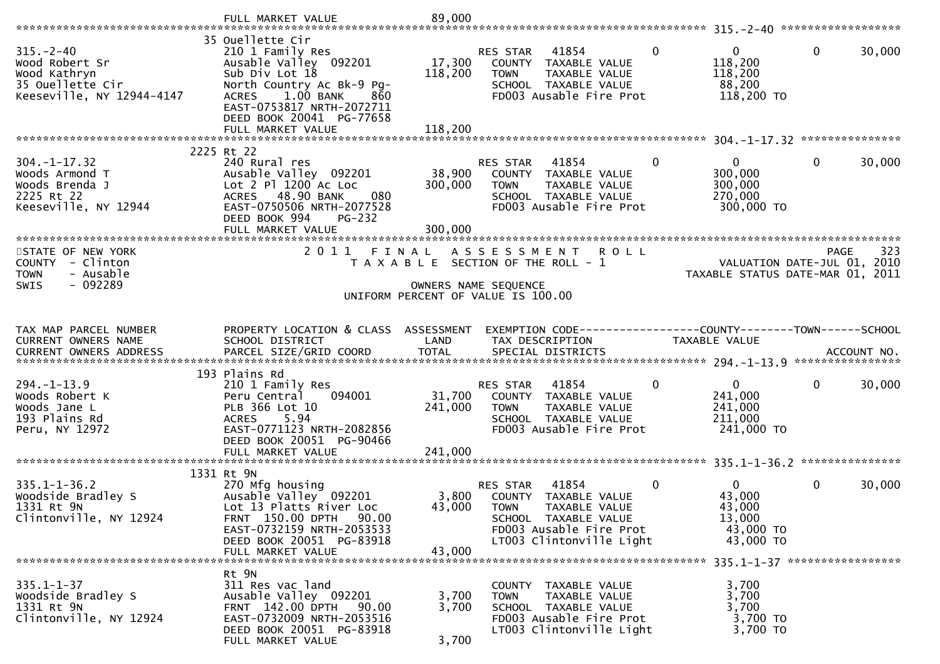| $315. - 2 - 40$<br>Wood Robert Sr<br>Wood Kathryn<br>35 Ouellette Cir<br>Keeseville, NY 12944-4147 | 35 Ouellette Cir<br>210 1 Family Res<br>Ausable Valley 092201<br>Sub Div Lot 18<br>North Country Ac Bk-9 Pg-<br>$1.00$ BANK<br><b>ACRES</b><br>860<br>EAST-0753817 NRTH-2072711<br>DEED BOOK 20041 PG-77658<br>FULL MARKET VALUE | 17,300<br>118,200<br>118,200 | RES STAR<br>41854<br>COUNTY TAXABLE VALUE<br>TAXABLE VALUE<br><b>TOWN</b><br>SCHOOL TAXABLE VALUE<br>FD003 Ausable Fire Prot                             | $\Omega$ | 0<br>118,200<br>118,200<br>88,200<br>118,200 TO                  | $\mathbf 0$  | 30,000 |
|----------------------------------------------------------------------------------------------------|----------------------------------------------------------------------------------------------------------------------------------------------------------------------------------------------------------------------------------|------------------------------|----------------------------------------------------------------------------------------------------------------------------------------------------------|----------|------------------------------------------------------------------|--------------|--------|
|                                                                                                    |                                                                                                                                                                                                                                  |                              |                                                                                                                                                          |          |                                                                  |              |        |
|                                                                                                    | 2225 Rt 22                                                                                                                                                                                                                       |                              |                                                                                                                                                          |          |                                                                  |              |        |
| $304. -1 - 17.32$<br>Woods Armond T<br>Woods Brenda J<br>2225 Rt 22<br>Keeseville, NY 12944        | 240 Rural res<br>Ausable Valley 092201<br>Lot 2 P1 1200 Ac Loc<br>ACRES 48.90 BANK<br>080<br>EAST-0750506 NRTH-2077528<br>DEED BOOK 994<br>$PG-232$                                                                              | 38,900<br>300,000            | RES STAR<br>41854<br>COUNTY TAXABLE VALUE<br><b>TOWN</b><br>TAXABLE VALUE<br>SCHOOL TAXABLE VALUE<br>FD003 Ausable Fire Prot                             | $\Omega$ | $\Omega$<br>300,000<br>300,000<br>270,000<br>300,000 TO          | $\mathbf{0}$ | 30,000 |
|                                                                                                    | FULL MARKET VALUE<br>******************************                                                                                                                                                                              | 300,000                      |                                                                                                                                                          |          |                                                                  |              |        |
| STATE OF NEW YORK<br>COUNTY - Clinton<br>- Ausable<br><b>TOWN</b>                                  | 2011 FINAL                                                                                                                                                                                                                       |                              | A S S E S S M E N T<br><b>ROLL</b><br>T A X A B L E SECTION OF THE ROLL - 1                                                                              |          | VALUATION DATE-JUL 01, 2010<br>TAXABLE STATUS DATE-MAR 01, 2011  | <b>PAGE</b>  | 323    |
| $-092289$<br><b>SWIS</b>                                                                           |                                                                                                                                                                                                                                  |                              | OWNERS NAME SEQUENCE                                                                                                                                     |          |                                                                  |              |        |
|                                                                                                    |                                                                                                                                                                                                                                  |                              | UNIFORM PERCENT OF VALUE IS 100.00                                                                                                                       |          |                                                                  |              |        |
|                                                                                                    |                                                                                                                                                                                                                                  |                              |                                                                                                                                                          |          |                                                                  |              |        |
| TAX MAP PARCEL NUMBER                                                                              | PROPERTY LOCATION & CLASS ASSESSMENT                                                                                                                                                                                             |                              | EXEMPTION CODE-----------------COUNTY--------TOWN------SCHOOL                                                                                            |          |                                                                  |              |        |
| CURRENT OWNERS NAME                                                                                | SCHOOL DISTRICT                                                                                                                                                                                                                  | LAND                         | TAX DESCRIPTION                                                                                                                                          |          | TAXABLE VALUE                                                    |              |        |
|                                                                                                    |                                                                                                                                                                                                                                  |                              |                                                                                                                                                          |          |                                                                  |              |        |
| $294. - 1 - 13.9$<br>Woods Robert K<br>Woods Jane L<br>193 Plains Rd<br>Peru, NY 12972             | 193 Plains Rd<br>210 1 Family Res<br>Peru Central<br>094001<br>PLB 366 Lot 10<br>5.94<br><b>ACRES</b><br>EAST-0771123 NRTH-2082856<br>DEED BOOK 20051 PG-90466                                                                   | 31,700<br>241,000            | 41854<br>RES STAR<br>COUNTY TAXABLE VALUE<br><b>TOWN</b><br>TAXABLE VALUE<br>SCHOOL TAXABLE VALUE<br>FD003 Ausable Fire Prot                             | 0        | $\mathbf{0}$<br>241,000<br>241,000<br>211,000<br>241,000 TO      | $\mathbf 0$  | 30,000 |
|                                                                                                    |                                                                                                                                                                                                                                  |                              |                                                                                                                                                          |          |                                                                  |              |        |
| $335.1 - 1 - 36.2$<br>Woodside Bradley S<br>1331 Rt 9N<br>Clintonville, NY 12924                   | 1331 Rt 9N<br>270 Mfg housing<br>Ausable Valley 092201<br>Lot 13 Platts River Loc<br>FRNT 150.00 DPTH 90.00<br>EAST-0732159 NRTH-2053533<br>DEED BOOK 20051 PG-83918<br>FULL MARKET VALUE                                        | 3,800<br>43,000<br>43,000    | 41854<br>RES STAR<br>COUNTY TAXABLE VALUE<br><b>TOWN</b><br>TAXABLE VALUE<br>SCHOOL TAXABLE VALUE<br>FD003 Ausable Fire Prot<br>LT003 Clintonville Light | 0        | $\Omega$<br>43,000<br>43,000<br>13,000<br>43,000 TO<br>43,000 TO | $\mathbf 0$  | 30,000 |
|                                                                                                    |                                                                                                                                                                                                                                  |                              |                                                                                                                                                          |          |                                                                  |              |        |
| $335.1 - 1 - 37$<br>Woodside Bradley S<br>1331 Rt 9N<br>Clintonville, NY 12924                     | Rt 9N<br>311 Res vac land<br>Ausable Valley 092201<br>FRNT 142.00 DPTH<br>90.00<br>EAST-0732009 NRTH-2053516<br>DEED BOOK 20051 PG-83918<br>FULL MARKET VALUE                                                                    | 3,700<br>3,700<br>3,700      | COUNTY TAXABLE VALUE<br>TAXABLE VALUE<br><b>TOWN</b><br>SCHOOL TAXABLE VALUE<br>FD003 Ausable Fire Prot<br>LT003 Clintonville Light                      |          | 3,700<br>3,700<br>3,700<br>3,700 TO<br>3,700 TO                  |              |        |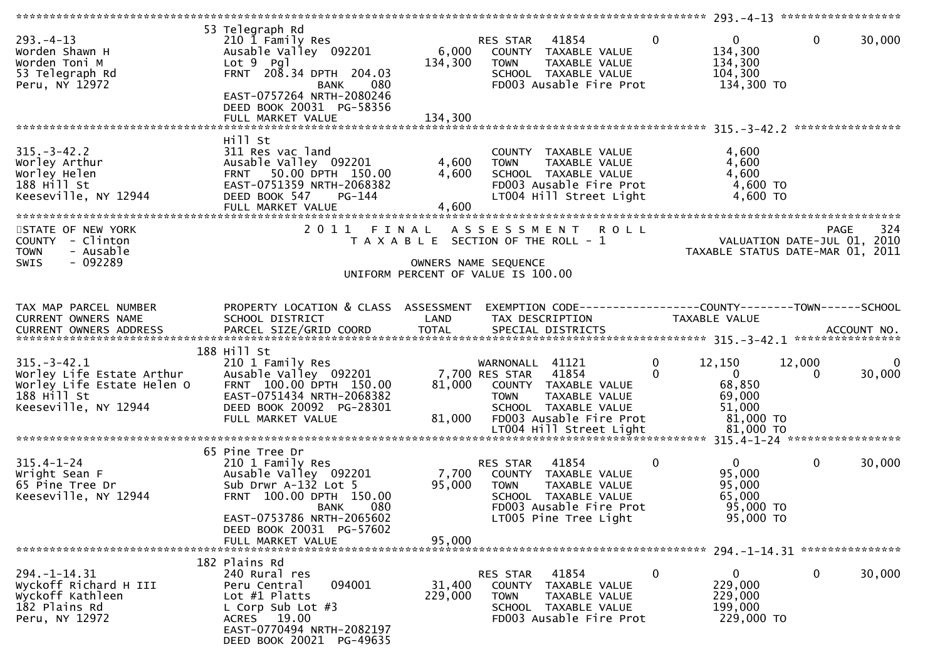|                                                                                                                     |                                                                                                                                                                                                     |                             |                                                                                                                                                              |                         | 293. -4-13 *******************                                         |                                            |        |
|---------------------------------------------------------------------------------------------------------------------|-----------------------------------------------------------------------------------------------------------------------------------------------------------------------------------------------------|-----------------------------|--------------------------------------------------------------------------------------------------------------------------------------------------------------|-------------------------|------------------------------------------------------------------------|--------------------------------------------|--------|
| $293. -4 - 13$<br>Worden Shawn H<br>Worden Toni M<br>53 Telegraph Rd<br>Peru, NY 12972                              | 53 Telegraph Rd<br>210 1 Family Res<br>Ausable Valley 092201<br>$Lot 9$ Pgl<br>FRNT 208.34 DPTH 204.03<br>080<br>BANK<br>EAST-0757264 NRTH-2080246<br>DEED BOOK 20031 PG-58356<br>FULL MARKET VALUE | 6,000<br>134,300<br>134,300 | 41854<br>RES STAR<br>COUNTY TAXABLE VALUE<br>TAXABLE VALUE<br><b>TOWN</b><br>SCHOOL TAXABLE VALUE<br>FD003 Ausable Fire Prot                                 | $\mathbf{0}$            | $\mathbf{0}$<br>134,300<br>134,300<br>104,300<br>134,300 TO            | $\mathbf 0$                                | 30,000 |
|                                                                                                                     | Hill St                                                                                                                                                                                             |                             |                                                                                                                                                              |                         |                                                                        |                                            |        |
| $315. - 3 - 42.2$<br>Worley Arthur<br>Worley Helen<br>$188$ Hill St<br>Keeseville, NY 12944                         | 311 Res vac land<br>Ausable Valley 092201<br>50.00 DPTH 150.00<br><b>FRNT</b><br>EAST-0751359 NRTH-2068382<br>DEED BOOK 547<br>PG-144<br>FULL MARKET VALUE                                          | 4,600<br>4,600<br>4,600     | COUNTY TAXABLE VALUE<br>TAXABLE VALUE<br><b>TOWN</b><br>SCHOOL TAXABLE VALUE<br>FD003 Ausable Fire Prot<br>LT004 Hill Street Light                           |                         | 4,600<br>4,600<br>4,600<br>4,600 TO<br>4,600 TO                        |                                            |        |
| STATE OF NEW YORK<br>COUNTY - Clinton<br>- Ausable<br><b>TOWN</b>                                                   | 2011<br>FINAL                                                                                                                                                                                       |                             | ASSESSMENT ROLL<br>T A X A B L E SECTION OF THE ROLL - 1                                                                                                     |                         | TAXABLE STATUS DATE-MAR 01, 2011                                       | <b>PAGE</b><br>VALUATION DATE-JUL 01, 2010 | 324    |
| $-092289$<br><b>SWIS</b>                                                                                            |                                                                                                                                                                                                     |                             | OWNERS NAME SEQUENCE<br>UNIFORM PERCENT OF VALUE IS 100.00                                                                                                   |                         |                                                                        |                                            |        |
| TAX MAP PARCEL NUMBER<br>CURRENT OWNERS NAME                                                                        | PROPERTY LOCATION & CLASS ASSESSMENT<br>SCHOOL DISTRICT                                                                                                                                             | LAND                        | EXEMPTION CODE------------------COUNTY--------TOWN------SCHOOL<br>TAX DESCRIPTION                                                                            |                         | TAXABLE VALUE                                                          |                                            |        |
| $315. - 3 - 42.1$<br>Worley Life Estate Arthur<br>Worley Life Estate Helen O<br>188 Hill St<br>Keeseville, NY 12944 | 188 Hill St<br>210 1 Family Res<br>Ausable Valley 092201<br>FRNT 100.00 DPTH 150.00<br>EAST-0751434 NRTH-2068382<br>DEED BOOK 20092 PG-28301<br>FULL MARKET VALUE                                   | 81,000<br>81,000            | WARNONALL 41121<br>7,700 RES STAR<br>41854<br>COUNTY TAXABLE VALUE<br>TAXABLE VALUE<br><b>TOWN</b><br>SCHOOL TAXABLE VALUE<br>FD003 Ausable Fire Prot        | $\mathbf 0$<br>$\Omega$ | 12,150<br>$\mathbf{0}$<br>68,850<br>69,000<br>51,000<br>81,000 TO      | 12,000<br>$\Omega$                         | 30,000 |
|                                                                                                                     | 65 Pine Tree Dr                                                                                                                                                                                     |                             |                                                                                                                                                              |                         |                                                                        |                                            |        |
| $315.4 - 1 - 24$<br>Wright Sean F<br>65 Pine Tree Dr<br>Keeseville, NY 12944                                        | 210 1 Family Res<br>Ausable Valley 092201<br>Sub Drwr A-132 Lot 5<br>FRNT 100.00 DPTH 150.00<br>080<br><b>BANK</b><br>EAST-0753786 NRTH-2065602<br>DEED BOOK 20031 PG-57602                         | 7,700<br>95,000             | 41854<br>RES STAR<br>COUNTY TAXABLE VALUE<br><b>TOWN</b><br><b>TAXABLE VALUE</b><br>SCHOOL TAXABLE VALUE<br>FD003 Ausable Fire Prot<br>LT005 Pine Tree Light | $\mathbf 0$             | $\overline{0}$<br>95,000<br>95,000<br>65,000<br>95,000 TO<br>95,000 TO | 0                                          | 30,000 |
|                                                                                                                     | FULL MARKET VALUE                                                                                                                                                                                   | 95,000                      |                                                                                                                                                              |                         |                                                                        |                                            |        |
|                                                                                                                     |                                                                                                                                                                                                     |                             |                                                                                                                                                              |                         |                                                                        |                                            |        |
| $294. - 1 - 14.31$<br>Wyckoff Richard H III<br>Wyckoff Kathleen<br>182 Plains Rd<br>Peru, NY 12972                  | 182 Plains Rd<br>240 Rural res<br>094001<br>Peru Central<br>Lot $#1$ Platts<br>L Corp Sub Lot $#3$<br>ACRES 19.00<br>EAST-0770494 NRTH-2082197<br>DEED BOOK 20021 PG-49635                          | 31,400<br>229,000           | 41854<br>RES STAR<br>COUNTY<br>TAXABLE VALUE<br><b>TOWN</b><br>TAXABLE VALUE<br>SCHOOL TAXABLE VALUE<br>FD003 Ausable Fire Prot                              | 0                       | $\mathbf{0}$<br>229,000<br>229,000<br>199,000<br>229,000 TO            | 0                                          | 30,000 |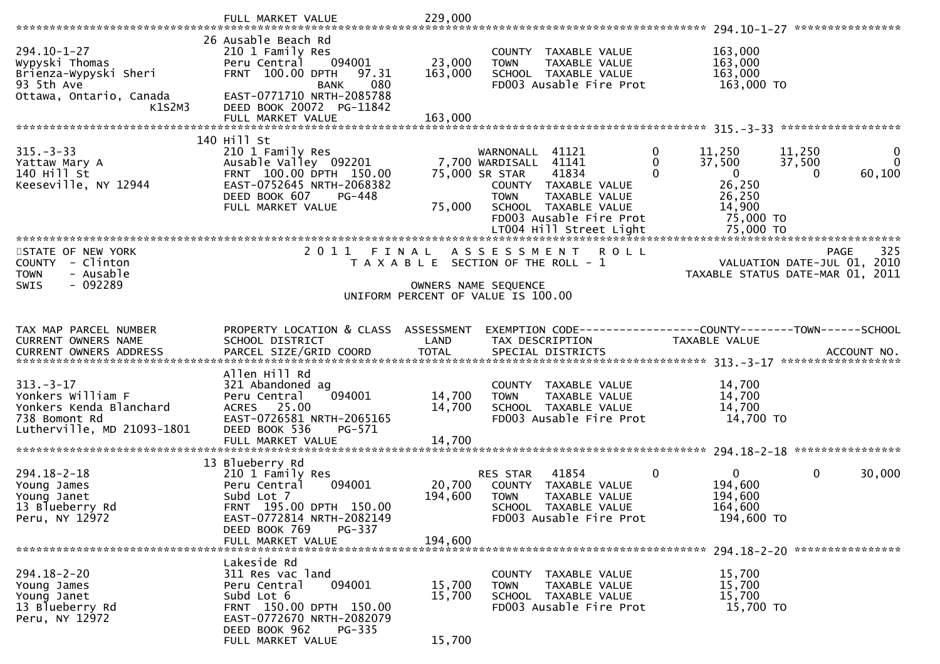| $294.10 - 1 - 27$<br>Wypyski Thomas<br>Brienza-Wypyski Sheri<br>93 5th Ave<br>Ottawa, Ontario, Canada         | 26 Ausable Beach Rd<br>210 1 Family Res<br>094001<br>Peru Central<br>FRNT 100.00 DPTH<br>97.31<br>080<br><b>BANK</b><br>EAST-0771710 NRTH-2085788                                   | 23,000<br>163,000            | COUNTY TAXABLE VALUE<br><b>TOWN</b><br>TAXABLE VALUE<br>SCHOOL TAXABLE VALUE<br>FD003 Ausable Fire Prot                                                                                                     | 163,000<br>163,000<br>163,000<br>163,000 TO                                                                 |                                       |
|---------------------------------------------------------------------------------------------------------------|-------------------------------------------------------------------------------------------------------------------------------------------------------------------------------------|------------------------------|-------------------------------------------------------------------------------------------------------------------------------------------------------------------------------------------------------------|-------------------------------------------------------------------------------------------------------------|---------------------------------------|
| K1S2M3                                                                                                        | DEED BOOK 20072 PG-11842<br>FULL MARKET VALUE                                                                                                                                       | 163,000                      |                                                                                                                                                                                                             |                                                                                                             |                                       |
| $315. - 3 - 33$<br>Yattaw Mary A<br>140 Hill St<br>Keeseville, NY 12944                                       | 140 Hill St<br>210 1 Family Res<br>Ausable Valley 092201<br>FRNT 100.00 DPTH 150.00<br>EAST-0752645 NRTH-2068382<br>DEED BOOK 607<br>PG-448<br>FULL MARKET VALUE                    | 75,000                       | 0<br>WARNONALL 41121<br>7,700 WARDISALL 41141<br>$\Omega$<br>41834<br>$\Omega$<br>75,000 SR STAR<br>COUNTY TAXABLE VALUE<br>TAXABLE VALUE<br><b>TOWN</b><br>SCHOOL TAXABLE VALUE<br>FD003 Ausable Fire Prot | 11,250<br>11,250<br>37,500<br>37,500<br>$\mathbf{0}$<br>$\Omega$<br>26,250<br>26,250<br>14,900<br>75,000 TO | $\mathbf 0$<br>$\mathbf{0}$<br>60,100 |
| STATE OF NEW YORK<br>COUNTY - Clinton<br><b>TOWN</b><br>- Ausable<br>- 092289<br><b>SWIS</b>                  | 2011                                                                                                                                                                                |                              | FINAL ASSESSMENT<br><b>ROLL</b><br>T A X A B L E SECTION OF THE ROLL - 1<br>OWNERS NAME SEQUENCE                                                                                                            | VALUATION DATE-JUL 01, 2010<br>TAXABLE STATUS DATE-MAR 01, 2011                                             | 325<br><b>PAGE</b>                    |
|                                                                                                               |                                                                                                                                                                                     |                              | UNIFORM PERCENT OF VALUE IS 100.00                                                                                                                                                                          |                                                                                                             |                                       |
| TAX MAP PARCEL NUMBER<br>CURRENT OWNERS NAME                                                                  | PROPERTY LOCATION & CLASS ASSESSMENT<br>SCHOOL DISTRICT                                                                                                                             | LAND                         | EXEMPTION CODE-----------------COUNTY-------TOWN------SCHOOL<br>TAX DESCRIPTION                                                                                                                             | TAXABLE VALUE                                                                                               |                                       |
| $313 - 3 - 17$<br>Yonkers William F<br>Yonkers Kenda Blanchard<br>738 Bomont Rd<br>Lutherville, MD 21093-1801 | Allen Hill Rd<br>321 Abandoned ag<br>094001<br>Peru Central<br><b>ACRES</b><br>25.00<br>EAST-0726581 NRTH-2065165<br>DEED BOOK 536<br>PG-571<br>FULL MARKET VALUE                   | 14,700<br>14,700<br>14,700   | COUNTY TAXABLE VALUE<br><b>TOWN</b><br>TAXABLE VALUE<br>SCHOOL TAXABLE VALUE<br>FD003 Ausable Fire Prot                                                                                                     | 14,700<br>14,700<br>14,700<br>14,700 TO                                                                     |                                       |
| $294.18 - 2 - 18$<br>Young James<br>Young Janet<br>13 Blueberry Rd<br>Peru, NY 12972                          | 13 Blueberry Rd<br>210 1 Family Res<br>094001<br>Peru Central<br>Subd Lot 7<br>FRNT 195.00 DPTH 150.00<br>EAST-0772814 NRTH-2082149<br>DEED BOOK 769<br>PG-337<br>FULL MARKET VALUE | 20,700<br>194,600<br>194,600 | 41854<br>$\mathbf{0}$<br>RES STAR<br>COUNTY TAXABLE VALUE<br>TAXABLE VALUE<br><b>TOWN</b><br><b>SCHOOL</b><br>TAXABLE VALUE<br>FD003 Ausable Fire Prot                                                      | $\mathbf{0}$<br>$\mathbf{0}$<br>194,600<br>194,600<br>164,600<br>194,600 TO                                 | 30,000                                |
| $294.18 - 2 - 20$<br>Young James<br>Young Janet<br>13 Blueberry Rd<br>Peru, NY 12972                          | Lakeside Rd<br>311 Res vac land<br>Peru Central<br>094001<br>Subd Lot 6<br>FRNT 150.00 DPTH 150.00<br>EAST-0772670 NRTH-2082079<br>DEED BOOK 962<br>PG-335<br>FULL MARKET VALUE     | 15,700<br>15,700<br>15,700   | COUNTY<br>TAXABLE VALUE<br>TAXABLE VALUE<br><b>TOWN</b><br>SCHOOL TAXABLE VALUE<br>FD003 Ausable Fire Prot                                                                                                  | 15,700<br>15,700<br>15,700<br>15,700 TO                                                                     |                                       |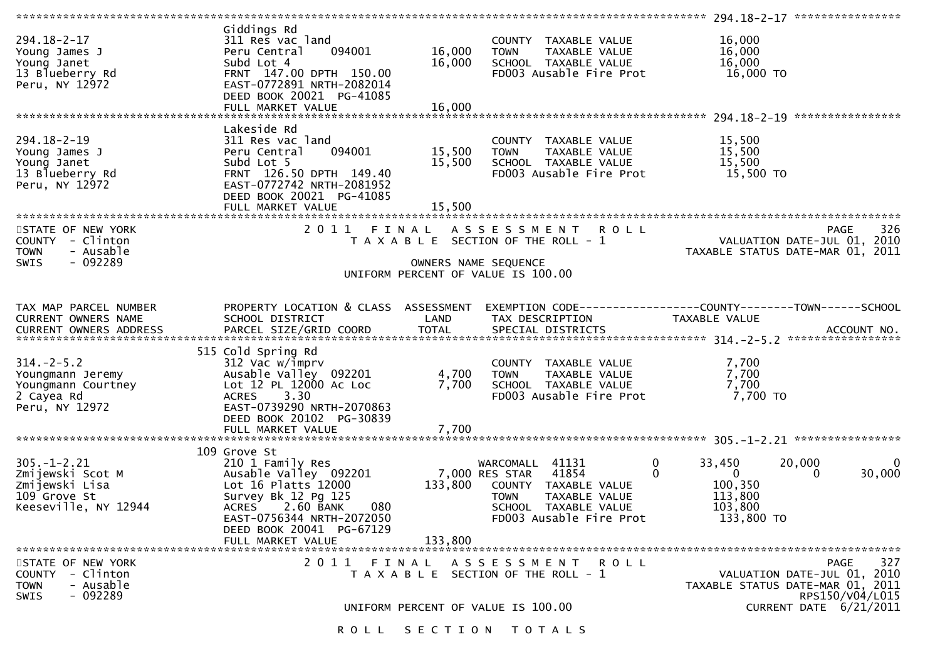|                                                                                                 |                                                                                                                                                                                                                           |                            |                                                                                                                                                       | ****************** 294.18-2-17 ****************                                          |                                                                         |                        |
|-------------------------------------------------------------------------------------------------|---------------------------------------------------------------------------------------------------------------------------------------------------------------------------------------------------------------------------|----------------------------|-------------------------------------------------------------------------------------------------------------------------------------------------------|------------------------------------------------------------------------------------------|-------------------------------------------------------------------------|------------------------|
| $294.18 - 2 - 17$<br>Young James J<br>Young Janet<br>13 Blueberry Rd<br>Peru, NY 12972          | Giddings Rd<br>311 Res vac land<br>094001<br>Peru Central<br>Subd Lot 4<br>FRNT 147.00 DPTH 150.00<br>EAST-0772891 NRTH-2082014<br>DEED BOOK 20021 PG-41085<br>FULL MARKET VALUE                                          | 16,000<br>16,000<br>16,000 | COUNTY TAXABLE VALUE<br>TAXABLE VALUE<br><b>TOWN</b><br>SCHOOL TAXABLE VALUE<br>FD003 Ausable Fire Prot                                               | 16,000<br>16,000<br>16,000<br>16,000 TO                                                  |                                                                         |                        |
|                                                                                                 |                                                                                                                                                                                                                           |                            |                                                                                                                                                       |                                                                                          |                                                                         |                        |
| $294.18 - 2 - 19$<br>Young James J<br>Young Janet<br>13 Blueberry Rd<br>Peru, NY 12972          | Lakeside Rd<br>311 Res vac land<br>094001<br>Peru Central<br>Subd Lot 5<br>FRNT 126.50 DPTH 149.40<br>EAST-0772742 NRTH-2081952<br>DEED BOOK 20021 PG-41085<br>FULL MARKET VALUE                                          | 15,500<br>15,500<br>15,500 | COUNTY TAXABLE VALUE<br><b>TOWN</b><br>TAXABLE VALUE<br>SCHOOL TAXABLE VALUE<br>FD003 Ausable Fire Prot                                               | 15,500<br>15,500<br>15,500<br>15,500 TO                                                  |                                                                         |                        |
|                                                                                                 |                                                                                                                                                                                                                           |                            |                                                                                                                                                       |                                                                                          |                                                                         |                        |
| STATE OF NEW YORK<br>COUNTY - Clinton<br>- Ausable<br><b>TOWN</b><br>$-092289$<br>SWIS          | 2011 FINAL                                                                                                                                                                                                                |                            | A S S E S S M E N T<br><b>ROLL</b><br>T A X A B L E SECTION OF THE ROLL - 1<br>OWNERS NAME SEQUENCE                                                   |                                                                                          | PAGE<br>VALUATION DATE-JUL 01, 2010<br>TAXABLE STATUS DATE-MAR 01, 2011 | 326                    |
|                                                                                                 |                                                                                                                                                                                                                           |                            |                                                                                                                                                       |                                                                                          |                                                                         |                        |
|                                                                                                 |                                                                                                                                                                                                                           |                            | UNIFORM PERCENT OF VALUE IS 100.00                                                                                                                    |                                                                                          |                                                                         |                        |
| TAX MAP PARCEL NUMBER<br>CURRENT OWNERS NAME                                                    | PROPERTY LOCATION & CLASS ASSESSMENT<br>SCHOOL DISTRICT                                                                                                                                                                   | LAND                       | EXEMPTION CODE-----------------COUNTY-------TOWN------SCHOOL<br>TAX DESCRIPTION                                                                       | TAXABLE VALUE                                                                            |                                                                         |                        |
| $314. - 2 - 5.2$<br>Youngmann Jeremy<br>Youngmann Courtney<br>2 Cayea Rd<br>Peru, NY 12972      | 515 Cold Spring Rd<br>312 Vac w/imprv<br>Ausable Valley 092201<br>Lot 12 PL 12000 Ac Loc<br><b>ACRES</b><br>3.30<br>EAST-0739290 NRTH-2070863<br>DEED BOOK 20102 PG-30839<br>FULL MARKET VALUE                            | 4,700<br>7,700<br>7,700    | COUNTY TAXABLE VALUE<br>TAXABLE VALUE<br><b>TOWN</b><br>SCHOOL TAXABLE VALUE<br>FD003 Ausable Fire Prot                                               | 7,700<br>7,700<br>7,700<br>7,700 TO                                                      |                                                                         |                        |
| $305. - 1 - 2.21$<br>Zmijewski Scot M<br>Zmijewski Lisa<br>109 Grove St<br>Keeseville, NY 12944 | 109 Grove St<br>210 1 Family Res<br>Ausable Valley 092201<br>Lot 16 Platts 12000<br>Survey Bk 12 Pg 125<br>2.60 BANK<br>080<br><b>ACRES</b><br>EAST-0756344 NRTH-2072050<br>DEED BOOK 20041 PG-67129<br>FULL MARKET VALUE | 133,800<br>133,800         | WARCOMALL 41131<br>41854<br>7,000 RES STAR<br>COUNTY TAXABLE VALUE<br><b>TOWN</b><br>TAXABLE VALUE<br>SCHOOL TAXABLE VALUE<br>FD003 Ausable Fire Prot | 0<br>33,450<br>$\Omega$<br>$\overline{0}$<br>100,350<br>113,800<br>103,800<br>133,800 TO | 20,000<br>$\Omega$                                                      | $\Omega$<br>30,000     |
| STATE OF NEW YORK<br>COUNTY - Clinton<br>- Ausable<br><b>TOWN</b><br>$-092289$<br>SWIS          | 2011 FINAL                                                                                                                                                                                                                |                            | A S S E S S M E N T<br><b>ROLL</b><br>T A X A B L E SECTION OF THE ROLL - 1                                                                           |                                                                                          | PAGE<br>VALUATION DATE-JUL 01, 2010<br>TAXABLE STATUS DATE-MAR 01, 2011 | 327<br>RPS150/V04/L015 |
|                                                                                                 |                                                                                                                                                                                                                           |                            | UNIFORM PERCENT OF VALUE IS 100.00<br>ROLL SECTION TOTALS                                                                                             |                                                                                          | CURRENT DATE 6/21/2011                                                  |                        |
|                                                                                                 |                                                                                                                                                                                                                           |                            |                                                                                                                                                       |                                                                                          |                                                                         |                        |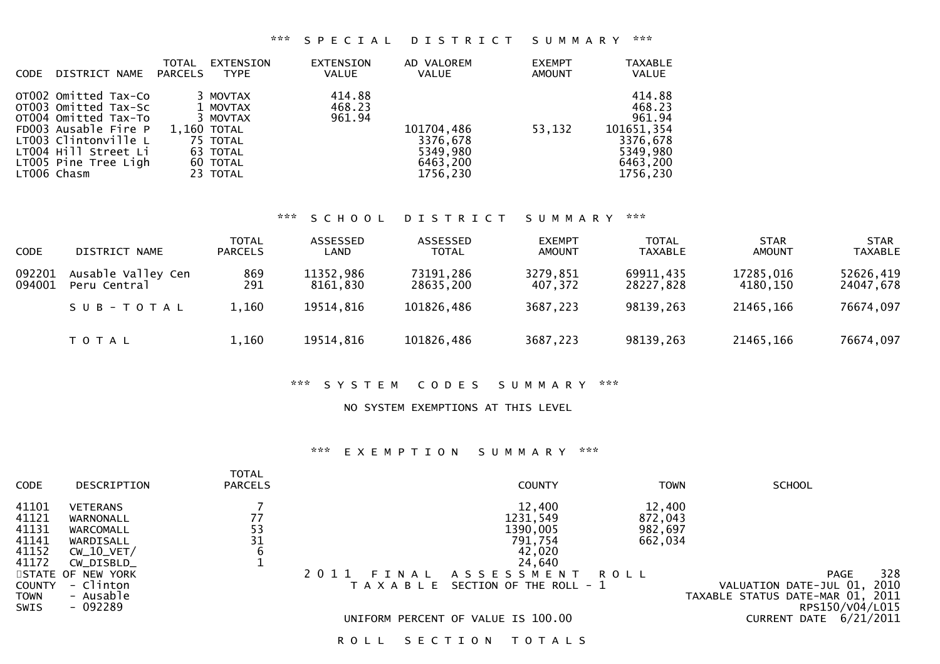### \*\*\* S P E C I A L D I S T R I C T S U M M A R Y \*\*\*

| <b>CODE</b> | DISTRICT NAME                                                                                                                                                                       | <b>TOTAL</b><br>PARCELS | EXTENSION<br><b>TYPE</b>                                                                        | EXTENSION<br><b>VALUE</b>  | AD VALOREM<br>VALUE                                        | <b>EXEMPT</b><br><b>AMOUNT</b> | <b>TAXABLE</b><br><b>VALUE</b>                                                           |
|-------------|-------------------------------------------------------------------------------------------------------------------------------------------------------------------------------------|-------------------------|-------------------------------------------------------------------------------------------------|----------------------------|------------------------------------------------------------|--------------------------------|------------------------------------------------------------------------------------------|
|             | OTO02 Omitted Tax-Co<br>OT003 Omitted Tax-Sc<br>OT004 Omitted Tax-To<br>FD003 Ausable Fire P<br>LT003 Clintonville L<br>LT004 Hill Street Li<br>LT005 Pine Tree Ligh<br>LT006 Chasm |                         | 3 MOVTAX<br>1 MOVTAX<br>3 MOVTAX<br>1,160 TOTAL<br>75 TOTAL<br>63 TOTAL<br>60 TOTAL<br>23 TOTAL | 414.88<br>468.23<br>961.94 | 101704,486<br>3376,678<br>5349,980<br>6463,200<br>1756,230 | 53,132                         | 414.88<br>468.23<br>961.94<br>101651,354<br>3376.678<br>5349,980<br>6463,200<br>1756,230 |

# \*\*\* S C H O O L D I S T R I C T S U M M A R Y \*\*\*

| <b>CODE</b>      | DISTRICT NAME                      | <b>TOTAL</b><br><b>PARCELS</b> | ASSESSED<br>LAND      | ASSESSED<br><b>TOTAL</b> | <b>EXEMPT</b><br>AMOUNT | <b>TOTAL</b><br><b>TAXABLE</b> | <b>STAR</b><br>AMOUNT | <b>STAR</b><br><b>TAXABLE</b> |
|------------------|------------------------------------|--------------------------------|-----------------------|--------------------------|-------------------------|--------------------------------|-----------------------|-------------------------------|
| 092201<br>094001 | Ausable Valley Cen<br>Peru Central | 869<br>291                     | 11352,986<br>8161.830 | 73191,286<br>28635.200   | 3279,851<br>407,372     | 69911,435<br>28227.828         | 17285,016<br>4180.150 | 52626,419<br>24047,678        |
|                  | SUB-TOTAL                          | 1,160                          | 19514,816             | 101826,486               | 3687,223                | 98139,263                      | 21465,166             | 76674,097                     |
|                  | <b>TOTAL</b>                       | 1,160                          | 19514,816             | 101826,486               | 3687,223                | 98139,263                      | 21465,166             | 76674,097                     |

# \*\*\* S Y S T E M C O D E S S U M M A R Y \*\*\*

#### NO SYSTEM EXEMPTIONS AT THIS LEVEL

## \*\*\* E X E M P T I O N S U M M A R Y \*\*\*

| <b>CODE</b><br><b>PARCELS</b><br>DESCRIPTION                                                                                                                                                                                                                                                                                                                | <b>COUNTY</b>                                                                                                           | <b>TOWN</b>                             | <b>SCHOOL</b>                                                                                                                            |
|-------------------------------------------------------------------------------------------------------------------------------------------------------------------------------------------------------------------------------------------------------------------------------------------------------------------------------------------------------------|-------------------------------------------------------------------------------------------------------------------------|-----------------------------------------|------------------------------------------------------------------------------------------------------------------------------------------|
| 41101<br><b>VETERANS</b><br>41121<br>WARNONALL<br>53<br>41131<br>WARCOMALL<br>31<br>41141<br>WARDISALL<br>$6\phantom{1}6$<br>41152<br>$CW_10_VET/$<br>41172<br>CW_DISBLD_<br>FINAL<br>2011<br>STATE OF NEW YORK<br>- Clinton<br><b>COUNTY</b><br>T A X A B L E<br>- Ausable<br><b>TOWN</b><br>- 092289<br><b>SWIS</b><br>UNIFORM PERCENT OF VALUE IS 100.00 | 12,400<br>1231,549<br>1390,005<br>791,754<br>42,020<br>24,640<br>A S S E S S M E N T<br>ROLL<br>SECTION OF THE ROLL - 1 | 12,400<br>872,043<br>982,697<br>662,034 | 328<br><b>PAGE</b><br>2010<br>VALUATION DATE-JUL 01,<br>TAXABLE STATUS DATE-MAR 01, 2011<br>RPS150/V04/L015<br>6/21/2011<br>CURRENT DATE |

# ROLL SECTION TOTALS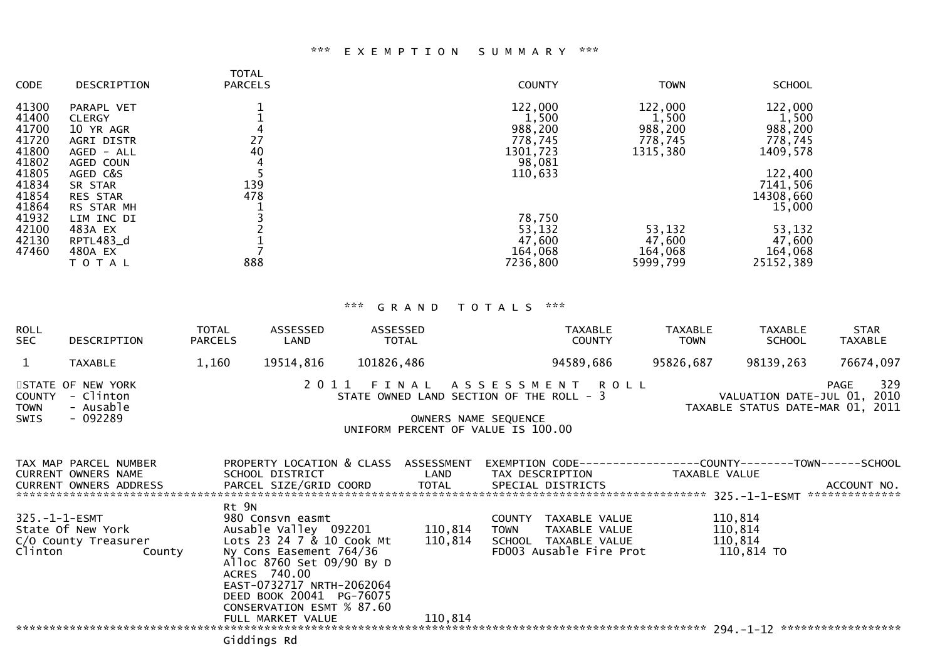# \*\*\* E X E M P T I O N S U M M A R Y \*\*\*

| <b>CODE</b> | DESCRIPTION     | <b>TOTAL</b><br><b>PARCELS</b> | <b>COUNTY</b> | <b>TOWN</b> | <b>SCHOOL</b> |
|-------------|-----------------|--------------------------------|---------------|-------------|---------------|
| 41300       | PARAPL VET      |                                | 122,000       | 122,000     | 122,000       |
| 41400       | <b>CLERGY</b>   |                                | 1,500         | 1,500       | 1,500         |
| 41700       | 10 YR AGR       |                                | 988,200       | 988,200     | 988,200       |
| 41720       | AGRI DISTR      | 27                             | 778,745       | 778,745     | 778,745       |
| 41800       | AGED - ALL      | 40                             | 1301,723      | 1315,380    | 1409,578      |
| 41802       | AGED COUN       |                                | 98,081        |             |               |
| 41805       | AGED C&S        |                                | 110,633       |             | 122,400       |
| 41834       | SR STAR         | 139                            |               |             | 7141,506      |
| 41854       | <b>RES STAR</b> | 478                            |               |             | 14308,660     |
| 41864       | RS STAR MH      |                                |               |             | 15,000        |
| 41932       | LIM INC DI      |                                | 78,750        |             |               |
| 42100       | 483A EX         |                                | 53,132        | 53,132      | 53,132        |
| 42130       | RPTL483_d       |                                | 47,600        | 47,600      | 47,600        |
| 47460       | 480A EX         |                                | 164,068       | 164,068     | 164,068       |
|             | T O T A L       | 888                            | 7236,800      | 5999,799    | 25152,389     |
|             |                 |                                |               |             |               |

# \*\*\* G R A N D T O T A L S \*\*\*

| <b>ROLL</b><br><b>SEC</b>            | DESCRIPTION                                                            | <b>TOTAL</b><br><b>PARCELS</b> | ASSESSED<br>LAND                                                                                                                                                                                                                     | ASSESSED<br><b>TOTAL</b>                                                                                     |                       | <b>TAXABLE</b><br><b>COUNTY</b>                                                          | <b>TAXABLE</b><br><b>TOWN</b> | <b>TAXABLE</b><br><b>SCHOOL</b>                                 | <b>STAR</b><br><b>TAXABLE</b> |
|--------------------------------------|------------------------------------------------------------------------|--------------------------------|--------------------------------------------------------------------------------------------------------------------------------------------------------------------------------------------------------------------------------------|--------------------------------------------------------------------------------------------------------------|-----------------------|------------------------------------------------------------------------------------------|-------------------------------|-----------------------------------------------------------------|-------------------------------|
| $\mathbf{1}$                         | <b>TAXABLE</b>                                                         | 1,160                          | 19514,816                                                                                                                                                                                                                            | 101826,486                                                                                                   |                       | 94589,686                                                                                | 95826,687                     | 98139,263                                                       | 76674,097                     |
| <b>COUNTY</b><br><b>TOWN</b><br>SWIS | STATE OF NEW YORK<br>- Clinton<br>- Ausable<br>$-092289$               |                                |                                                                                                                                                                                                                                      | 2011 FINAL ASSESSMENT ROLL<br>STATE OWNED LAND SECTION OF THE ROLL - 3<br>UNIFORM PERCENT OF VALUE IS 100.00 | OWNERS NAME SEQUENCE  |                                                                                          |                               | VALUATION DATE-JUL 01, 2010<br>TAXABLE STATUS DATE-MAR 01, 2011 | 329<br>PAGE                   |
|                                      | TAX MAP PARCEL NUMBER<br>CURRENT OWNERS NAME<br>CURRENT OWNERS ADDRESS |                                | SCHOOL DISTRICT<br>PARCEL SIZE/GRID COORD                                                                                                                                                                                            | PROPERTY LOCATION & CLASS ASSESSMENT<br>LAND<br>TOTAL                                                        | TAX DESCRIPTION       | EXEMPTION        CODE-----------------COUNTY-------TOWN------SCHOOL<br>SPECIAL DISTRICTS | TAXABLE VALUE                 |                                                                 | ACCOUNT NO.<br>************** |
| $325. - 1 - 1 - ESMT$<br>Clinton     | State Of New York<br>C/O County Treasurer<br>County                    | Rt 9N                          | 980 Consvn easmt<br>Ausable Valley 092201<br>Lots 23 24 7 & 10 Cook Mt<br>Ny Cons Easement 764/36<br>Alloc 8760 Set 09/90 By D<br>ACRES 740.00<br>EAST-0732717 NRTH-2062064<br>DEED BOOK 20041 PG-76075<br>CONSERVATION ESMT % 87.60 | 110,814<br>110,814                                                                                           | COUNTY<br><b>TOWN</b> | TAXABLE VALUE<br>TAXABLE VALUE<br>SCHOOL TAXABLE VALUE<br>FD003 Ausable Fire Prot        |                               | 110,814<br>110,814<br>110,814<br>110,814 TO                     |                               |
|                                      |                                                                        |                                | FULL MARKET VALUE                                                                                                                                                                                                                    | 110,814                                                                                                      |                       |                                                                                          |                               |                                                                 | ******************            |
|                                      |                                                                        |                                | Giddings Rd                                                                                                                                                                                                                          |                                                                                                              |                       |                                                                                          |                               |                                                                 |                               |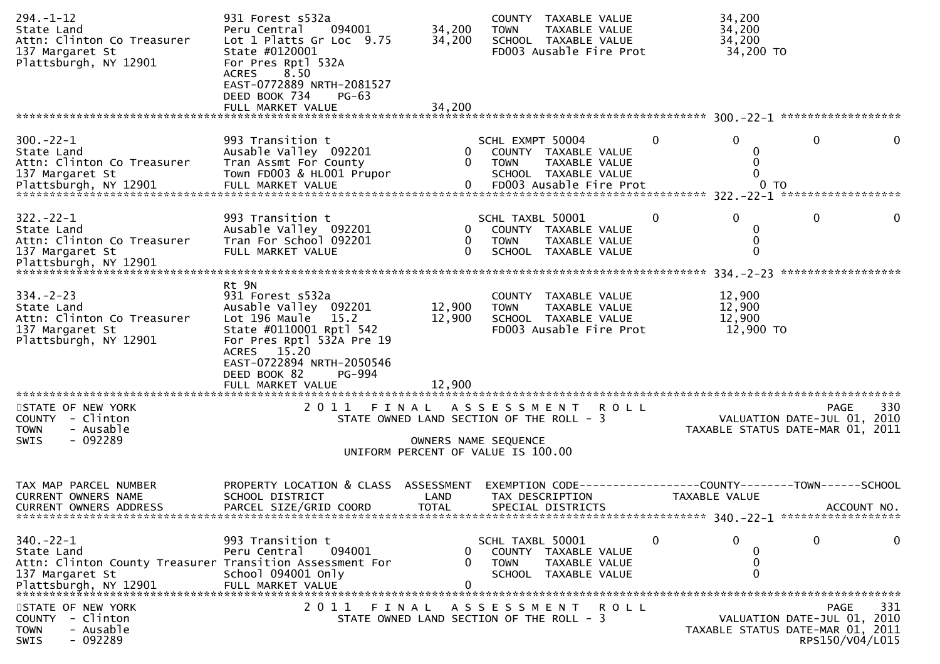| $294. - 1 - 12$<br>State Land<br>Attn: Clinton Co Treasurer<br>137 Margaret St<br>Plattsburgh, NY 12901                              | 931 Forest s532a<br>Peru Central<br>094001<br>Lot 1 Platts Gr Loc 9.75<br>State #0120001<br>For Pres Rptl 532A<br>8.50<br><b>ACRES</b><br>EAST-0772889 NRTH-2081527<br>DEED BOOK 734<br>PG-63<br>FULL MARKET VALUE             | 34,200<br>34,200<br>34,200                                                                             | <b>TOWN</b>                     | COUNTY TAXABLE VALUE<br>TAXABLE VALUE<br>SCHOOL TAXABLE VALUE<br>FD003 Ausable Fire Prot |              | 34,200<br>34,200<br>34,200<br>34,200 TO              |                                                                                            |     |
|--------------------------------------------------------------------------------------------------------------------------------------|--------------------------------------------------------------------------------------------------------------------------------------------------------------------------------------------------------------------------------|--------------------------------------------------------------------------------------------------------|---------------------------------|------------------------------------------------------------------------------------------|--------------|------------------------------------------------------|--------------------------------------------------------------------------------------------|-----|
|                                                                                                                                      |                                                                                                                                                                                                                                |                                                                                                        |                                 |                                                                                          |              |                                                      |                                                                                            |     |
| $300 - 22 - 1$<br>State Land<br>Attn: Clinton Co Treasurer<br>137 Margaret St<br>Plattsburgh, NY 12901                               | 993 Transition t<br>Ausable Valley 092201<br>Tran Assmt For County<br>Town FD003 & HL001 Prupor<br>FULL MARKET VALUE                                                                                                           | 0<br>$\Omega$<br>$\mathbf{0}$                                                                          | SCHL EXMPT 50004<br><b>TOWN</b> | COUNTY TAXABLE VALUE<br>TAXABLE VALUE<br>SCHOOL TAXABLE VALUE<br>FD003 Ausable Fire Prot | $\mathbf{0}$ | $\Omega$<br>0<br>0<br>$\mathbf{0}$<br>0 <sub>T</sub> | $\mathbf{0}$                                                                               | 0   |
| $322 - 22 - 1$<br>State Land<br>Attn: Clinton Co Treasurer<br>137 Margaret St<br>Plattsburgh, NY 12901                               | 993 Transition t<br>Ausable Valley 092201<br>Tran For School 092201<br>FULL MARKET VALUE                                                                                                                                       | 0<br>0<br>0                                                                                            | SCHL TAXBL 50001<br><b>TOWN</b> | COUNTY TAXABLE VALUE<br>TAXABLE VALUE<br>SCHOOL TAXABLE VALUE                            | $\mathbf 0$  | $\Omega$<br>0<br>0<br>0                              | $\mathbf 0$                                                                                | 0   |
| $334 - 2 - 23$<br>State Land<br>Attn: Clinton Co Treasurer<br>137 Margaret St<br>Plattsburgh, NY 12901                               | Rt 9N<br>931 Forest s532a<br>Ausable Valley 092201<br>Lot 196 Maule<br>15.2<br>State #0110001 Rptl 542<br>For Pres Rptl 532A Pre 19<br>ACRES 15.20<br>EAST-0722894 NRTH-2050546<br>DEED BOOK 82<br>PG-994<br>FULL MARKET VALUE | 12,900<br>12,900<br>12,900                                                                             | <b>TOWN</b>                     | COUNTY TAXABLE VALUE<br>TAXABLE VALUE<br>SCHOOL TAXABLE VALUE<br>FD003 Ausable Fire Prot |              | 12,900<br>12,900<br>12,900<br>12,900 TO              |                                                                                            |     |
| STATE OF NEW YORK<br>COUNTY - Clinton<br><b>TOWN</b><br>- Ausable<br>- 092289<br>SWIS                                                | 2011<br>FINAL                                                                                                                                                                                                                  | STATE OWNED LAND SECTION OF THE ROLL - 3<br>OWNERS NAME SEQUENCE<br>UNIFORM PERCENT OF VALUE IS 100.00 |                                 | A S S E S S M E N T R O L L                                                              |              |                                                      | <b>PAGE</b><br>VALUATION DATE-JUL 01, 2010<br>TAXABLE STATUS DATE-MAR 01, 2011             | 330 |
| TAX MAP PARCEL NUMBER<br><b>CURRENT OWNERS NAME</b><br><b>CURRENT OWNERS ADDRESS</b>                                                 | PROPERTY LOCATION & CLASS ASSESSMENT<br>SCHOOL DISTRICT<br>PARCEL SIZE/GRID COORD                                                                                                                                              | LAND<br><b>TOTAL</b>                                                                                   |                                 | TAX DESCRIPTION<br>SPECIAL DISTRICTS                                                     |              | TAXABLE VALUE                                        | EXEMPTION        CODE-----------------COUNTY-------TOWN------SCHOOL<br>ACCOUNT NO.         |     |
| $340 - 22 - 1$<br>State Land<br>Attn: Clinton County Treasurer Transition Assessment For<br>137 Margaret St<br>Plattsburgh, NY 12901 | 993 Transition t<br>Peru Central<br>094001<br>School 094001 Only<br>FULL MARKET VALUE                                                                                                                                          | 0<br>0                                                                                                 | SCHL TAXBL 50001<br><b>TOWN</b> | COUNTY TAXABLE VALUE<br>TAXABLE VALUE<br>SCHOOL TAXABLE VALUE                            | 0            | 0<br>0<br>0<br>$\Omega$                              | 0                                                                                          | 0   |
| STATE OF NEW YORK<br>- Clinton<br><b>COUNTY</b><br>- Ausable<br><b>TOWN</b><br>$-092289$<br>SWIS                                     | 2011                                                                                                                                                                                                                           | FINAL<br>STATE OWNED LAND SECTION OF THE ROLL - 3                                                      |                                 | A S S E S S M E N T R O L L                                                              |              |                                                      | PAGE<br>VALUATION DATE-JUL 01, 2010<br>TAXABLE STATUS DATE-MAR 01, 2011<br>RPS150/V04/L015 | 331 |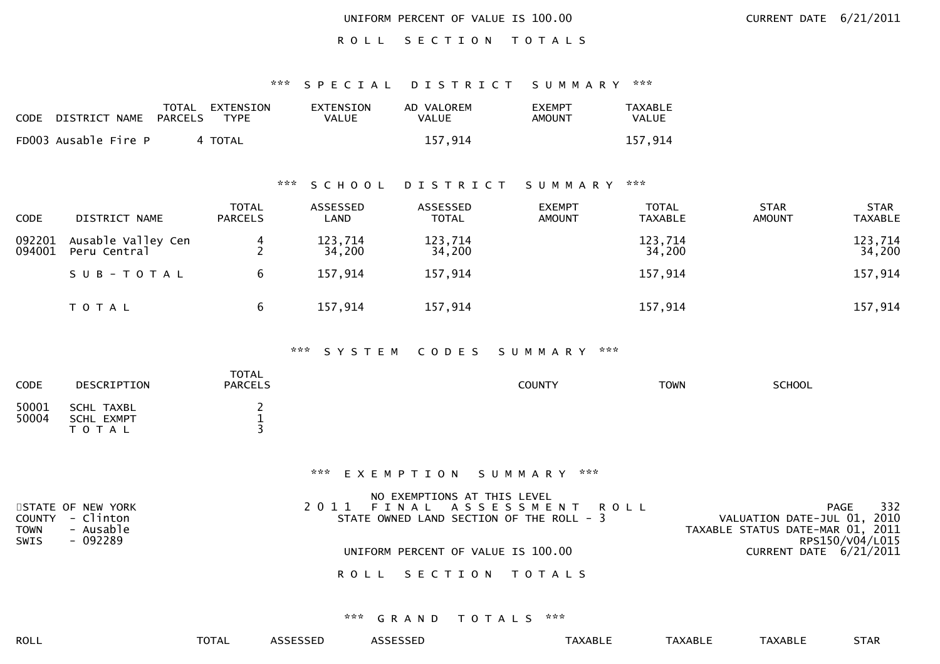ROLL SECTION TOTALS

# \*\*\* S P E C I A L D I S T R I C T S U M M A R Y \*\*\*

| <b>CODE</b> | DISTRICT NAME        | PARCELS | TOTAL EXTENSION<br>TYPE | EXTENSION<br>VALUE | AD VALOREM<br><b>VALUE</b> | <b>EXEMPT</b><br>AMOUNT | TAXABLE<br><b>VALUE</b> |
|-------------|----------------------|---------|-------------------------|--------------------|----------------------------|-------------------------|-------------------------|
|             | FD003 Ausable Fire P |         | 4 TOTAL                 |                    | 157.914                    |                         | 157.914                 |

# \*\*\* S C H O O L D I S T R I C T S U M M A R Y \*\*\*

| <b>CODE</b>      | DISTRICT NAME                      | <b>TOTAL</b><br><b>PARCELS</b> | ASSESSED<br>LAND  | ASSESSED<br><b>TOTAL</b> | <b>EXEMPT</b><br><b>AMOUNT</b> | <b>TOTAL</b><br><b>TAXABLE</b> | <b>STAR</b><br><b>AMOUNT</b> | <b>STAR</b><br><b>TAXABLE</b> |
|------------------|------------------------------------|--------------------------------|-------------------|--------------------------|--------------------------------|--------------------------------|------------------------------|-------------------------------|
| 092201<br>094001 | Ausable Valley Cen<br>Peru Central |                                | 123,714<br>34,200 | 123,714<br>34,200        |                                | 123,714<br>34,200              |                              | 123,714<br>34,200             |
|                  | SUB-TOTAL                          | 6                              | 157,914           | 157,914                  |                                | 157,914                        |                              | 157,914                       |
|                  | T O T A L                          | 6                              | 157,914           | 157,914                  |                                | 157,914                        |                              | 157,914                       |

### \*\*\* S Y S T E M C O D E S S U M M A R Y \*\*\*

| <b>CODE</b> | DESCRIPTION       | TOTAL<br><b>PARCELS</b> | <b>COUNTY</b> | <b>TOWN</b> | <b>SCHOOL</b> |  |
|-------------|-------------------|-------------------------|---------------|-------------|---------------|--|
| 50001       | SCHL TAXBL        |                         |               |             |               |  |
| 50004       | <b>SCHL EXMPT</b> | --                      |               |             |               |  |
|             | T O T A L         |                         |               |             |               |  |

### \*\*\* E X E M P T I O N S U M M A R Y \*\*\*

|                          | NO EXEMPTIONS AT THIS LEVEL              |                                  |
|--------------------------|------------------------------------------|----------------------------------|
| STATE OF NEW YORK        | 2011 FINAL ASSESSMENT ROLL               | 332<br>PAGE                      |
| COUNTY - Clinton         | STATE OWNED LAND SECTION OF THE ROLL - 3 | VALUATION DATE-JUL 01, 2010      |
| - Ausable<br><b>TOWN</b> |                                          | TAXABLE STATUS DATE-MAR 01, 2011 |
| - 092289<br>SWIS         |                                          | RPS150/V04/L015                  |
|                          | UNIFORM PERCENT OF VALUE IS 100.00       | CURRENT DATE 6/21/2011           |
|                          |                                          |                                  |
|                          | ROLL SECTION TOTALS                      |                                  |
|                          |                                          |                                  |
|                          |                                          |                                  |

### \*\*\* G R A N D T O T A L S \*\*\*

|--|

ROLL TOTAL ASSESSED ASSESSED TAXABLE TAXABLE TAXABLE STAR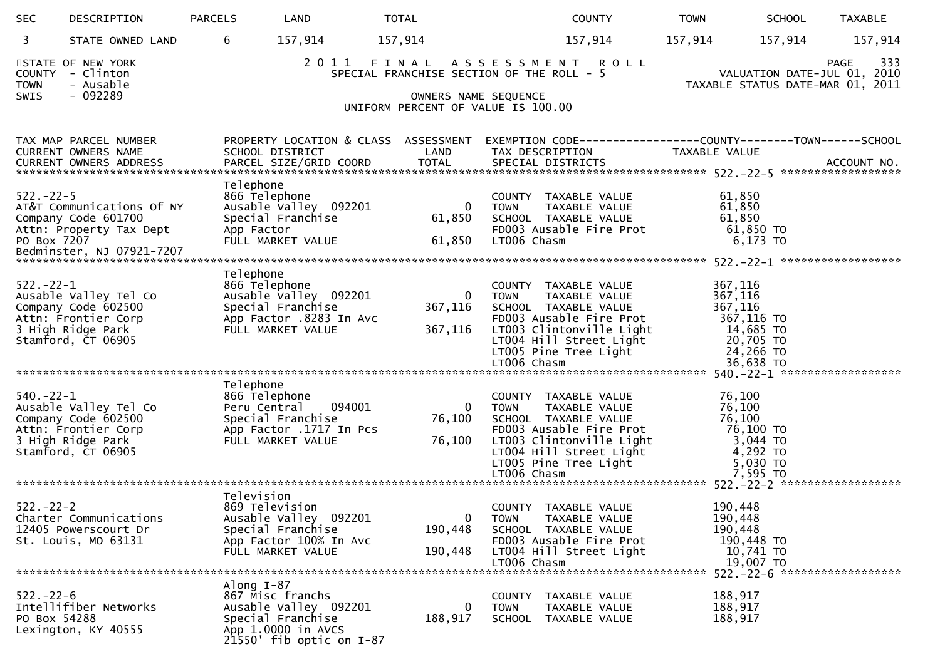| <b>SEC</b>                           | DESCRIPTION                                                                                                    | <b>PARCELS</b>          | LAND                                                                                                                 | <b>TOTAL</b>                                                                                             |                                      | <b>COUNTY</b>                                                                                                                                                            | <b>TOWN</b>   | <b>SCHOOL</b>                                                                                              | <b>TAXABLE</b>     |
|--------------------------------------|----------------------------------------------------------------------------------------------------------------|-------------------------|----------------------------------------------------------------------------------------------------------------------|----------------------------------------------------------------------------------------------------------|--------------------------------------|--------------------------------------------------------------------------------------------------------------------------------------------------------------------------|---------------|------------------------------------------------------------------------------------------------------------|--------------------|
| 3                                    | STATE OWNED LAND                                                                                               | 6                       | 157,914                                                                                                              | 157,914                                                                                                  |                                      | 157,914                                                                                                                                                                  | 157,914       | 157,914                                                                                                    | 157,914            |
| <b>COUNTY</b><br><b>TOWN</b><br>SWIS | STATE OF NEW YORK<br>- Clinton<br>- Ausable<br>$-092289$                                                       |                         | 2011                                                                                                                 | FINAL ASSESSMENT ROLL<br>SPECIAL FRANCHISE SECTION OF THE ROLL - 5<br>UNIFORM PERCENT OF VALUE IS 100.00 | OWNERS NAME SEQUENCE                 |                                                                                                                                                                          |               | VALUATION DATE-JUL 01, 2010<br>TAXABLE STATUS DATE-MAR 01, 2011                                            | 333<br><b>PAGE</b> |
|                                      | TAX MAP PARCEL NUMBER<br>CURRENT OWNERS NAME<br><b>CURRENT OWNERS ADDRESS</b>                                  |                         | SCHOOL DISTRICT<br>PARCEL SIZE/GRID COORD                                                                            | PROPERTY LOCATION & CLASS ASSESSMENT<br>LAND<br><b>TOTAL</b>                                             | TAX DESCRIPTION<br>SPECIAL DISTRICTS | EXEMPTION CODE-----------------COUNTY--------TOWN------SCHOOL                                                                                                            | TAXABLE VALUE |                                                                                                            | ACCOUNT NO.        |
| $522 - 22 - 5$<br>PO Box 7207        | AT&T Communications Of NY<br>Company Code 601700<br>Attn: Property Tax Dept                                    | Telephone<br>App Factor | 866 Telephone<br>Ausable Valley 092201<br>Special Franchise<br>FULL MARKET VALUE                                     | $\overline{0}$<br>61,850<br>61,850                                                                       | <b>TOWN</b><br>LT006 Chasm           | COUNTY TAXABLE VALUE<br>TAXABLE VALUE<br>SCHOOL TAXABLE VALUE<br>FD003 Ausable Fire Prot                                                                                 |               | 61,850<br>61,850<br>61,850<br>61,850 TO<br>$6,173$ TO                                                      |                    |
| $522 - 22 - 1$                       | Ausable Valley Tel Co<br>Company Code 602500<br>Attn: Frontier Corp<br>3 High Ridge Park<br>Stamford, CT 06905 | Telephone               | 866 Telephone<br>Ausable Valley 092201<br>Special Franchise<br>App Factor .8283 In Avc<br>FULL MARKET VALUE          | $\Omega$<br>367,116<br>367,116                                                                           | <b>TOWN</b><br>LT006 Chasm           | COUNTY TAXABLE VALUE<br>TAXABLE VALUE<br>SCHOOL TAXABLE VALUE<br>FD003 Ausable Fire Prot<br>LT003 Clintonville Light<br>LT004 Hill Street Light<br>LT005 Pine Tree Light |               | 367,116<br>367,116<br>367,116<br>367,116 TO<br>14,685 TO<br>20,705 TO<br>24,266 TO<br>36,638 TO            |                    |
| $540.-22-1$                          | Ausable Valley Tel Co<br>Company Code 602500<br>Attn: Frontier Corp<br>3 High Ridge Park<br>Stamford, CT 06905 | Telephone               | 866 Telephone<br>Peru Central 094001<br>Special Franchise<br>App Factor .1717 In Pcs<br>FULL MARKET VALUE            | $\Omega$<br>76,100<br>76,100                                                                             | <b>TOWN</b><br>LT006 Chasm           | COUNTY TAXABLE VALUE<br>TAXABLE VALUE<br>SCHOOL TAXABLE VALUE<br>FD003 Ausable Fire Prot<br>LT003 Clintonville Light<br>LT004 Hill Street Light<br>LT005 Pine Tree Light |               | 76,100<br>76,100<br>76,100<br>76,100 TO<br>3,044 TO<br>4,292 TO<br>5,030 TO<br>7,595 TO                    |                    |
| $522 - 22 - 2$                       | Charter Communications<br>12405 Powerscourt Dr<br>St. Louis, MO 63131                                          | Television              | 869 Television<br>Ausable Valley 092201<br>Special Franchise<br>App Factor 100% In Avc<br>FULL MARKET VALUE          | 0<br>190,448<br>190,448                                                                                  | <b>TOWN</b><br>LT006 Chasm           | COUNTY TAXABLE VALUE<br>TAXABLE VALUE<br>SCHOOL TAXABLE VALUE<br>FD003 Ausable Fire Prot<br>LT004 Hill Street Light                                                      |               | 190,448<br>190,448<br>190,448<br>190,448 TO<br>10,741 TO<br>19,007 TO<br>522. - 22 - 6 ******************* |                    |
| $522 - 22 - 6$<br>PO Box 54288       | Intellifiber Networks<br>Lexington, KY 40555                                                                   | Along $I-87$            | 867 Misc franchs<br>Ausable Valley 092201<br>Special Franchise<br>App 1.0000 in AVCS<br>$21550'$ fib optic on $I-87$ | 0<br>188,917                                                                                             | <b>TOWN</b>                          | COUNTY TAXABLE VALUE<br>TAXABLE VALUE<br>SCHOOL TAXABLE VALUE                                                                                                            |               | 188,917<br>188,917<br>188,917                                                                              |                    |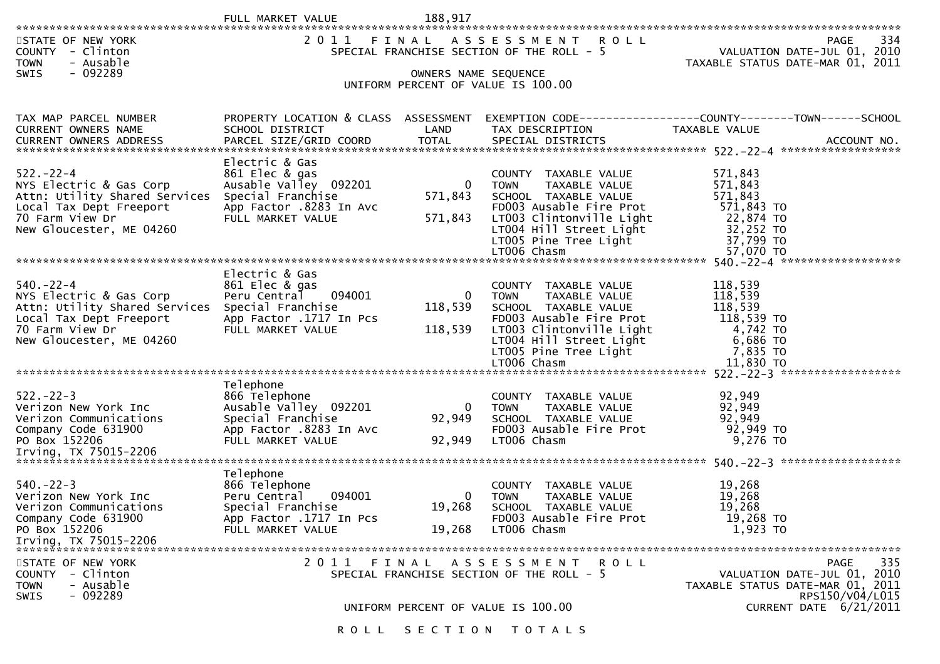| STATE OF NEW YORK<br>COUNTY - Clinton<br>- Ausable<br><b>TOWN</b><br>$-092289$<br><b>SWIS</b>                                                        |                                                                                                                                 | OWNERS NAME SEQUENCE               | 2011 FINAL ASSESSMENT ROLL<br>SPECIAL FRANCHISE SECTION OF THE ROLL - 5                                                                                                                                | 334<br><b>PAGE</b><br>VALUATION DATE-JUL 01, 2010<br>TAXABLE STATUS DATE-MAR 01, 2011                                              |
|------------------------------------------------------------------------------------------------------------------------------------------------------|---------------------------------------------------------------------------------------------------------------------------------|------------------------------------|--------------------------------------------------------------------------------------------------------------------------------------------------------------------------------------------------------|------------------------------------------------------------------------------------------------------------------------------------|
|                                                                                                                                                      |                                                                                                                                 |                                    | UNIFORM PERCENT OF VALUE IS 100.00                                                                                                                                                                     |                                                                                                                                    |
| TAX MAP PARCEL NUMBER<br>CURRENT OWNERS NAME                                                                                                         | PROPERTY LOCATION & CLASS ASSESSMENT<br>SCHOOL DISTRICT                                                                         | LAND                               | TAX DESCRIPTION                                                                                                                                                                                        | EXEMPTION CODE-----------------COUNTY--------TOWN------SCHOOL<br>TAXABLE VALUE                                                     |
| $522 - 22 - 4$<br>NYS Electric & Gas Corp<br>Attn: Utility Shared Services<br>Local Tax Dept Freeport<br>70 Farm View Dr<br>New Gloucester, ME 04260 | Electric & Gas<br>861 Elec & gas<br>Ausable Valley 092201<br>Special Franchise<br>App Factor .8283 In Avc<br>FULL MARKET VALUE  | $\mathbf{0}$<br>571,843<br>571,843 | COUNTY TAXABLE VALUE<br>TAXABLE VALUE<br><b>TOWN</b><br>SCHOOL TAXABLE VALUE<br>FD003 Ausable Fire Prot<br>LT003 Clintonville Light<br>LT004 Hill Street Light<br>LT005 Pine Tree Light<br>LT006 Chasm | 571,843<br>571,843<br>571,843<br>571,843 TO<br>22,874 TO<br>32,252 TO<br>37,799 TO<br>57,070 TO                                    |
| $540 - 22 - 4$<br>NYS Electric & Gas Corp<br>Attn: Utility Shared Services<br>Local Tax Dept Freeport<br>70 Farm View Dr<br>New Gloucester, ME 04260 | Electric & Gas<br>861 Elec & gas<br>094001<br>Peru Central<br>Special Franchise<br>App Factor .1717 In Pcs<br>FULL MARKET VALUE | $\mathbf{0}$<br>118,539<br>118,539 | COUNTY TAXABLE VALUE<br>TAXABLE VALUE<br><b>TOWN</b><br>SCHOOL TAXABLE VALUE<br>FD003 Ausable Fire Prot<br>LT003 Clintonville Light<br>LT004 Hill Street Light<br>LT005 Pine Tree Light<br>LT006 Chasm | 118,539<br>118,539<br>118,539<br>118,539 TO<br>4,742 TO<br>6,686 TO<br>7,835 TO<br>11,830 TO                                       |
| $522 - 22 - 3$<br>Verizon New York Inc<br>Verizon Communications<br>Company Code 631900<br>PO Box 152206                                             | Telephone<br>866 Telephone<br>Ausable Valley 092201<br>Special Franchise<br>App Factor .8283 In Avc<br>FULL MARKET VALUE        | 0<br>92,949<br>92,949              | COUNTY TAXABLE VALUE<br><b>TOWN</b><br>TAXABLE VALUE<br>SCHOOL TAXABLE VALUE<br>FD003 Ausable Fire Prot<br>LT006 Chasm                                                                                 | 92,949<br>92,949<br>92,949<br>92,949 TO<br>9,276 TO                                                                                |
| $540. -22 - 3$<br>Verizon New York Inc<br>Verizon Communications<br>Company Code 631900<br>PO Box 152206<br>Irving, TX 75015-2206                    | Telephone<br>866 Telephone<br>094001<br>Peru Central<br>Special Franchise<br>App Factor .1717 In Pcs<br>FULL MARKET VALUE       | $\mathbf{0}$<br>19,268<br>19,268   | COUNTY TAXABLE VALUE<br><b>TOWN</b><br>TAXABLE VALUE<br>SCHOOL TAXABLE VALUE<br>FD003 Ausable Fire Prot<br>LT006 Chasm                                                                                 | 19,268<br>19,268<br>19,268<br>19,268 TO<br>1,923 TO                                                                                |
| STATE OF NEW YORK<br>- Clinton<br><b>COUNTY</b><br>- Ausable<br><b>TOWN</b><br>$-092289$<br><b>SWIS</b>                                              |                                                                                                                                 |                                    | 2011 FINAL ASSESSMENT ROLL<br>SPECIAL FRANCHISE SECTION OF THE ROLL - 5<br>UNIFORM PERCENT OF VALUE IS 100.00                                                                                          | 335<br><b>PAGE</b><br>VALUATION DATE-JUL 01, 2010<br>TAXABLE STATUS DATE-MAR 01, 2011<br>RPS150/V04/L015<br>CURRENT DATE 6/21/2011 |
|                                                                                                                                                      |                                                                                                                                 |                                    | ROLL SECTION TOTALS                                                                                                                                                                                    |                                                                                                                                    |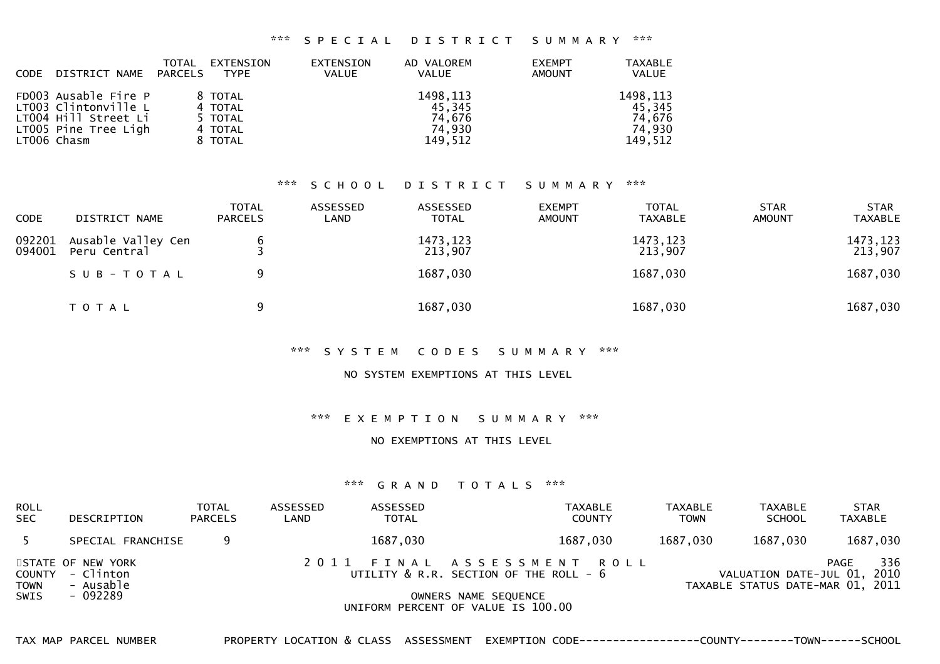#### \*\*\* S P E C I A L D I S T R I C T S U M M A R Y \*\*\*

| <b>CODE</b> | DISTRICT NAME                                                                                               | TOTAL<br>PARCELS | EXTENSION<br>TYPE                                   | <b>EXTENSION</b><br><b>VALUE</b> | AD VALOREM<br><b>VALUE</b>                         | <b>EXEMPT</b><br><b>AMOUNT</b> | <b>TAXABLE</b><br><b>VALUE</b>                     |
|-------------|-------------------------------------------------------------------------------------------------------------|------------------|-----------------------------------------------------|----------------------------------|----------------------------------------------------|--------------------------------|----------------------------------------------------|
|             | FD003 Ausable Fire P<br>LT003 Clintonville L<br>LT004 Hill Street Li<br>LT005 Pine Tree Ligh<br>LT006 Chasm |                  | 8 TOTAL<br>4 TOTAL<br>5 TOTAL<br>4 TOTAL<br>8 TOTAL |                                  | 1498, 113<br>45.345<br>74.676<br>74.930<br>149,512 |                                | 1498, 113<br>45.345<br>74.676<br>74.930<br>149,512 |

# \*\*\* S C H O O L D I S T R I C T S U M M A R Y \*\*\*

| <b>CODE</b>      | DISTRICT NAME                      | <b>TOTAL</b><br><b>PARCELS</b> | ASSESSED<br>LAND | ASSESSED<br><b>TOTAL</b> | <b>EXEMPT</b><br><b>AMOUNT</b> | <b>TOTAL</b><br><b>TAXABLE</b> | <b>STAR</b><br><b>AMOUNT</b> | <b>STAR</b><br><b>TAXABLE</b> |
|------------------|------------------------------------|--------------------------------|------------------|--------------------------|--------------------------------|--------------------------------|------------------------------|-------------------------------|
| 092201<br>094001 | Ausable Valley Cen<br>Peru Central |                                |                  | 1473, 123<br>213,907     |                                | 1473, 123<br>213,907           |                              | 1473, 123<br>213,907          |
|                  | SUB-TOTAL                          | 9                              |                  | 1687,030                 |                                | 1687,030                       |                              | 1687,030                      |
|                  | T O T A L                          | 9                              |                  | 1687,030                 |                                | 1687,030                       |                              | 1687,030                      |

### \*\*\* S Y S T E M C O D E S S U M M A R Y \*\*\*

#### NO SYSTEM EXEMPTIONS AT THIS LEVEL

### \*\*\* E X E M P T I O N S U M M A R Y \*\*\*

#### NO EXEMPTIONS AT THIS LEVEL

### \*\*\* G R A N D T O T A L S \*\*\*

| ROLL<br>SEC.        | DESCRIPTION                                                    | <b>TOTAL</b><br><b>PARCELS</b> | ASSESSED<br>LAND | ASSESSED<br><b>TOTAL</b> | TAXABLE<br><b>COUNTY</b>                                                                          | TAXABLE<br><b>TOWN</b> | <b>TAXABLE</b><br><b>SCHOOL</b> | <b>STAR</b><br>TAXABLE                                                         |
|---------------------|----------------------------------------------------------------|--------------------------------|------------------|--------------------------|---------------------------------------------------------------------------------------------------|------------------------|---------------------------------|--------------------------------------------------------------------------------|
|                     | SPECIAL FRANCHISE                                              |                                |                  | 1687,030                 | 1687,030                                                                                          | 1687,030               | 1687,030                        | 1687,030                                                                       |
| <b>TOWN</b><br>SWIS | STATE OF NEW YORK<br>COUNTY - Clinton<br>- Ausable<br>- 092289 |                                |                  |                          | 2011 FINAL ASSESSMENT ROLL<br>UTILITY $\&$ R.R. SECTION OF THE ROLL - $6$<br>OWNERS NAME SEQUENCE |                        |                                 | 336<br>PAGE<br>VALUATION DATE-JUL 01, 2010<br>TAXABLE STATUS DATE-MAR 01, 2011 |
|                     |                                                                |                                |                  |                          | UNIFORM PERCENT OF VALUE IS 100.00                                                                |                        |                                 |                                                                                |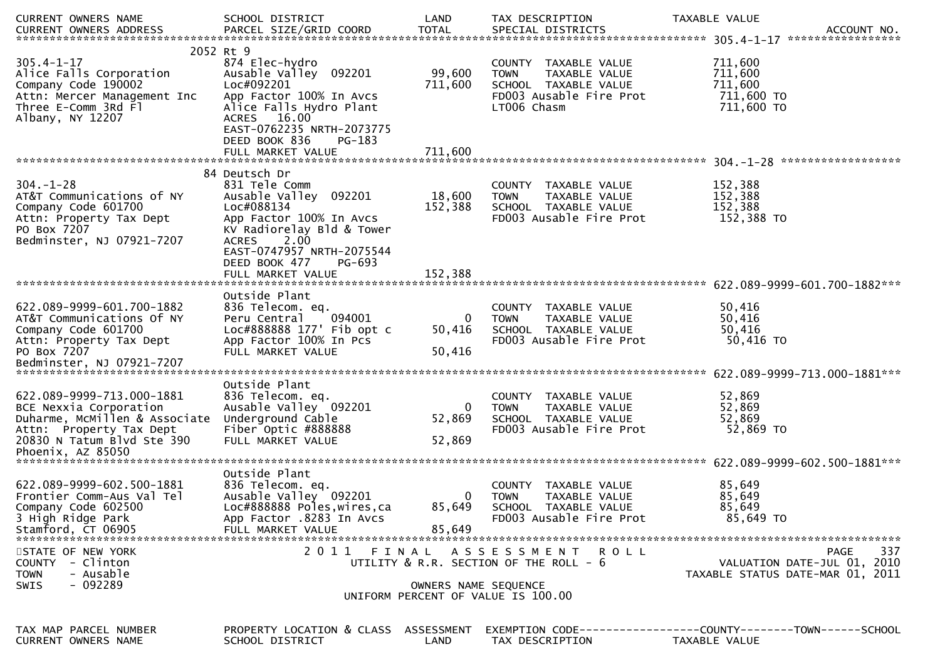| CURRENT OWNERS NAME                                                                                                                           | SCHOOL DISTRICT                                                                                                                                                                                   | LAND                  | TAX DESCRIPTION                                                                                                        | TAXABLE VALUE                                                                         |
|-----------------------------------------------------------------------------------------------------------------------------------------------|---------------------------------------------------------------------------------------------------------------------------------------------------------------------------------------------------|-----------------------|------------------------------------------------------------------------------------------------------------------------|---------------------------------------------------------------------------------------|
| $305.4 - 1 - 17$<br>Alice Falls Corporation<br>Company Code 190002<br>Attn: Mercer Management Inc<br>Three E-Comm 3Rd F1<br>Albany, NY 12207  | 2052 Rt 9<br>874 Elec-hydro<br>Ausable Valley 092201<br>Loc#092201<br>App Factor 100% In Avcs<br>Alice Falls Hydro Plant<br>ACRES 16.00<br>EAST-0762235 NRTH-2073775<br>DEED BOOK 836<br>$PG-183$ | 99,600<br>711,600     | COUNTY TAXABLE VALUE<br>TAXABLE VALUE<br><b>TOWN</b><br>SCHOOL TAXABLE VALUE<br>FD003 Ausable Fire Prot<br>LT006 Chasm | 711,600<br>711,600<br>711,600<br>711,600 TO<br>711,600 TO                             |
|                                                                                                                                               | 84 Deutsch Dr                                                                                                                                                                                     |                       |                                                                                                                        |                                                                                       |
| $304. - 1 - 28$<br>AT&T Communications of NY<br>Company Code 601700<br>Attn: Property Tax Dept<br>PO Box 7207<br>Bedminster, NJ 07921-7207    | 831 Tele Comm<br>Ausable Valley 092201<br>Loc#088134<br>App Factor 100% In Avcs<br>KV Radiorelay Bld & Tower<br>ACRES 2.00<br>EAST-0747957 NRTH-2075544<br>DEED BOOK 477<br>PG-693                | 18,600<br>152,388     | COUNTY TAXABLE VALUE<br>TAXABLE VALUE<br><b>TOWN</b><br>SCHOOL TAXABLE VALUE<br>FD003 Ausable Fire Prot                | 152,388<br>152,388<br>152,388<br>152,388 TO                                           |
|                                                                                                                                               |                                                                                                                                                                                                   |                       |                                                                                                                        |                                                                                       |
| 622.089-9999-601.700-1882<br>AT&T Communications Of NY<br>Company Code 601700<br>Attn: Property Tax Dept<br>PO Box 7207                       | Outside Plant<br>836 Telecom. eq.<br>094001<br>Peru Central<br>Loc#888888 177' Fib opt c<br>App Factor 100% In Pcs<br>FULL MARKET VALUE                                                           | 0<br>50,416<br>50,416 | COUNTY TAXABLE VALUE<br>TAXABLE VALUE<br><b>TOWN</b><br>SCHOOL TAXABLE VALUE<br>FD003 Ausable Fire Prot                | 50,416<br>50,416<br>50,416<br>50,416 TO                                               |
|                                                                                                                                               | Outside Plant                                                                                                                                                                                     |                       |                                                                                                                        | 622.089-9999-713.000-1881***                                                          |
| 622.089-9999-713.000-1881<br>BCE Nexxia Corporation<br>Duharme, McMillen & Associate<br>Attn: Property Tax Dept<br>20830 N Tatum Blvd Ste 390 | 836 Telecom. eq.<br>Ausable Valley 092201<br>Underground Cable<br>Fiber Optic #888888<br>FULL MARKET VALUE                                                                                        | 0<br>52,869<br>52,869 | COUNTY TAXABLE VALUE<br>TAXABLE VALUE<br><b>TOWN</b><br>SCHOOL TAXABLE VALUE<br>FD003 Ausable Fire Prot                | 52,869<br>52,869<br>52,869<br>52,869 TO                                               |
|                                                                                                                                               | Outside Plant                                                                                                                                                                                     |                       |                                                                                                                        |                                                                                       |
| 622.089-9999-602.500-1881<br>Frontier Comm-Aus Val Tel<br>Company Code 602500<br>3 High Ridge Park<br>Stamford, CT 06905                      | 836 Telecom. eq.<br>Ausable Valley 092201<br>Loc#888888 Poles, wires, ca<br>App Factor .8283 In Avcs<br>FULL MARKET VALUE                                                                         | 0<br>85,649<br>85,649 | COUNTY TAXABLE VALUE<br><b>TOWN</b><br><b>TAXABLE VALUE</b><br>SCHOOL TAXABLE VALUE<br>FD003 Ausable Fire Prot         | 85,649<br>85,649<br>85,649<br>85,649 TO                                               |
| STATE OF NEW YORK<br>COUNTY - Clinton<br><b>TOWN</b><br>- Ausable<br>$-092289$<br><b>SWIS</b>                                                 |                                                                                                                                                                                                   | OWNERS NAME SEQUENCE  | 2011 FINAL ASSESSMENT ROLL<br>UTILITY & R.R. SECTION OF THE ROLL - 6                                                   | 337<br><b>PAGE</b><br>VALUATION DATE-JUL 01, 2010<br>TAXABLE STATUS DATE-MAR 01, 2011 |
|                                                                                                                                               |                                                                                                                                                                                                   |                       | UNIFORM PERCENT OF VALUE IS 100.00                                                                                     |                                                                                       |
| TAX MAP PARCEL NUMBER<br>CURRENT OWNERS NAME                                                                                                  | PROPERTY LOCATION & CLASS ASSESSMENT<br>SCHOOL DISTRICT                                                                                                                                           | LAND                  | TAX DESCRIPTION                                                                                                        | EXEMPTION        CODE-----------------COUNTY-------TOWN------SCHOOL<br>TAXABLE VALUE  |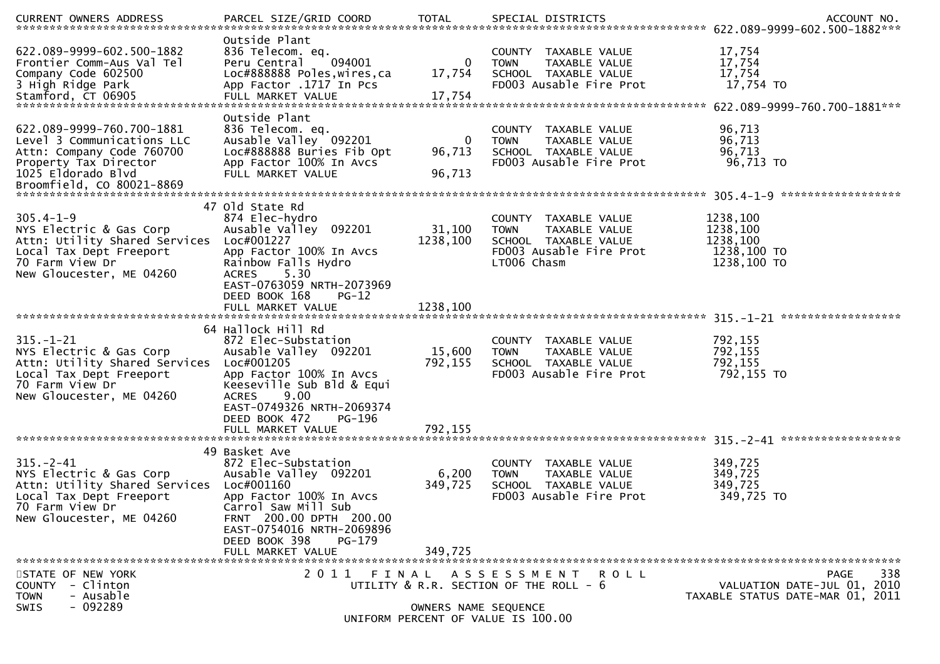|                                                                                                                                                                 |                                                                                                                                                                                                                                               |                                |                                                                                                                        | .CURRENT OWNERS ADDRESS [PARCEL SIZE/GRID COORD   TOTAL SPECIAL DISTRICTS   MOTHL SPERENT OWNERS ADDRESS   PARCEL SIZE/GRID COORD   TOTAL SPECIAL DISTRICTS   22.089-9999-602.500-1882*** |
|-----------------------------------------------------------------------------------------------------------------------------------------------------------------|-----------------------------------------------------------------------------------------------------------------------------------------------------------------------------------------------------------------------------------------------|--------------------------------|------------------------------------------------------------------------------------------------------------------------|-------------------------------------------------------------------------------------------------------------------------------------------------------------------------------------------|
| 622.089-9999-602.500-1882<br>Frontier Comm-Aus Val Tel<br>Company Code 602500<br>3 High Ridge Park                                                              | Outside Plant<br>836 Telecom. eq.<br>094001<br>Peru Central<br>Loc#888888 Poles, wires, ca<br>App Factor .1717 In Pcs                                                                                                                         | 0<br>17,754                    | COUNTY TAXABLE VALUE<br>TAXABLE VALUE<br><b>TOWN</b><br>SCHOOL TAXABLE VALUE<br>FD003 Ausable Fire Prot                | 17,754<br>17,754<br>17,754<br>17,754 TO                                                                                                                                                   |
| 622.089-9999-760.700-1881<br>Level 3 Communications LLC<br>Attn: Company Code 760700<br>Property Tax Director<br>1025 Eldorado Blvd                             | Outside Plant<br>836 Telecom. eq.<br>Ausable Valley 092201<br>Loc#888888 Buries Fib Opt<br>App Factor 100% In Avcs<br>FULL MARKET VALUE                                                                                                       | 0<br>96,713<br>96,713          | COUNTY TAXABLE VALUE<br>TAXABLE VALUE<br><b>TOWN</b><br>SCHOOL TAXABLE VALUE<br>FD003 Ausable Fire Prot                | 96,713<br>96,713<br>96,713<br>96,713 TO                                                                                                                                                   |
| $305.4 - 1 - 9$<br>NYS Electric & Gas Corp<br>Attn: Utility Shared Services<br>Local Tax Dept Freeport<br>70 Farm View Dr<br>New Gloucester, ME 04260           | 47 Old State Rd<br>874 Elec-hydro<br>Ausable Valley 092201<br>Loc#001227<br>App Factor 100% In Avcs<br>Rainbow Falls Hydro<br>5.30<br><b>ACRES</b><br>EAST-0763059 NRTH-2073969<br>DEED BOOK 168<br>$PG-12$<br>FULL MARKET VALUE              | 31,100<br>1238,100<br>1238,100 | COUNTY TAXABLE VALUE<br><b>TOWN</b><br>TAXABLE VALUE<br>SCHOOL TAXABLE VALUE<br>FD003 Ausable Fire Prot<br>LT006 Chasm | 1238,100<br>1238,100<br>1238,100<br>1238,100 TO<br>1238,100 TO                                                                                                                            |
| $315. - 1 - 21$<br>NYS Electric & Gas Corp<br>Attn: Utility Shared Services<br>Local Tax Dept Freeport<br>70 Farm View Dr<br>New Gloucester, ME 04260           | 64 Hallock Hill Rd<br>872 Elec-Substation<br>Ausable Valley 092201<br>Loc#001205<br>App Factor 100% In Avcs<br>Keeseville Sub Bld & Equi<br>9.00<br><b>ACRES</b><br>EAST-0749326 NRTH-2069374<br>DEED BOOK 472<br>PG-196<br>FULL MARKET VALUE | 15,600<br>792,155<br>792,155   | COUNTY TAXABLE VALUE<br>TAXABLE VALUE<br><b>TOWN</b><br>SCHOOL TAXABLE VALUE<br>FD003 Ausable Fire Prot                | 792,155<br>792,155<br>792,155<br>792,155 TO                                                                                                                                               |
| $315 - 2 - 41$<br>NYS Electric & Gas Corp<br>Attn: Utility Shared Services Loc#001160<br>Local Tax Dept Freeport<br>70 Farm View Dr<br>New Gloucester, ME 04260 | 49 Basket Ave<br>872 Elec-Substation<br>Ausable Valley 092201<br>App Factor 100% In Avcs<br>Carrol Saw Mill Sub<br>FRNT 200.00 DPTH 200.00<br>EAST-0754016 NRTH-2069896<br>DEED BOOK 398<br>PG-179<br>FULL MARKET VALUE                       | 6,200<br>349,725<br>349,725    | COUNTY TAXABLE VALUE<br><b>TOWN</b><br><b>TAXABLE VALUE</b><br>SCHOOL TAXABLE VALUE<br>FD003 Ausable Fire Prot         | 349,725<br>349,725<br>349,725<br>349,725 TO                                                                                                                                               |
| STATE OF NEW YORK<br>COUNTY - Clinton<br>- Ausable<br><b>TOWN</b><br>$-092289$<br><b>SWIS</b>                                                                   |                                                                                                                                                                                                                                               | OWNERS NAME SEQUENCE           | 2011 FINAL ASSESSMENT ROLL<br>UTILITY & R.R. SECTION OF THE ROLL - 6<br>UNIFORM PERCENT OF VALUE IS 100.00             | 338<br>PAGE<br>VALUATION DATE-JUL 01, 2010<br>TAXABLE STATUS DATE-MAR 01, 2011                                                                                                            |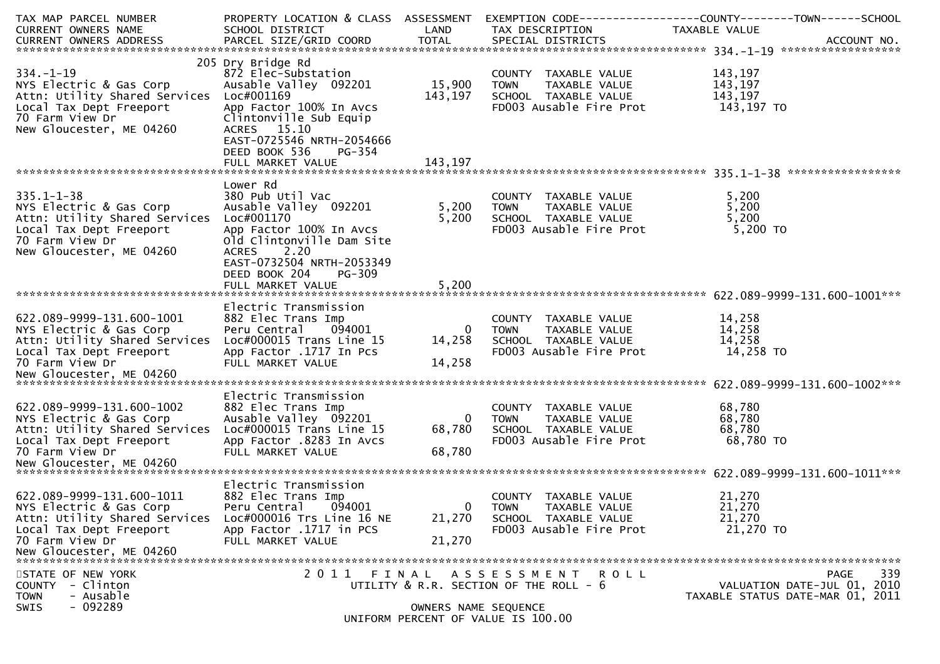| TAX MAP PARCEL NUMBER<br>CURRENT OWNERS NAME             | PROPERTY LOCATION & CLASS ASSESSMENT<br>SCHOOL DISTRICT | LAND                 | TAX DESCRIPTION                                 | EXEMPTION CODE------------------COUNTY--------TOWN------SCHOOL<br>TAXABLE VALUE |
|----------------------------------------------------------|---------------------------------------------------------|----------------------|-------------------------------------------------|---------------------------------------------------------------------------------|
|                                                          |                                                         |                      |                                                 |                                                                                 |
|                                                          |                                                         |                      |                                                 |                                                                                 |
|                                                          | 205 Dry Bridge Rd                                       |                      |                                                 |                                                                                 |
| $334. - 1 - 19$                                          | 872 Elec-Substation                                     |                      | COUNTY TAXABLE VALUE                            | 143,197                                                                         |
| NYS Electric & Gas Corp                                  | Ausable Valley 092201                                   | 15,900               | TAXABLE VALUE<br><b>TOWN</b>                    | 143,197                                                                         |
| Attn: Utility Shared Services                            | Loc#001169                                              | 143,197              | SCHOOL TAXABLE VALUE                            | 143,197                                                                         |
| Local Tax Dept Freeport                                  | App Factor 100% In Avcs                                 |                      | FD003 Ausable Fire Prot                         | 143,197 TO                                                                      |
| 70 Farm View Dr                                          | Clintonville Sub Equip                                  |                      |                                                 |                                                                                 |
| New Gloucester, ME 04260                                 | ACRES 15.10<br>EAST-0725546 NRTH-2054666                |                      |                                                 |                                                                                 |
|                                                          | DEED BOOK 536<br>PG-354                                 |                      |                                                 |                                                                                 |
|                                                          | FULL MARKET VALUE                                       | 143,197              |                                                 |                                                                                 |
|                                                          |                                                         |                      |                                                 |                                                                                 |
|                                                          | Lower Rd                                                |                      |                                                 |                                                                                 |
| $335.1 - 1 - 38$                                         | 380 Pub Util Vac                                        |                      | COUNTY TAXABLE VALUE                            | 5,200                                                                           |
| NYS Electric & Gas Corp                                  | Ausable Valley 092201                                   | 5,200                | TAXABLE VALUE<br><b>TOWN</b>                    | 5,200                                                                           |
| Attn: Utility Shared Services                            | Loc#001170                                              | 5,200                | SCHOOL TAXABLE VALUE                            | 5,200                                                                           |
| Local Tax Dept Freeport                                  | App Factor 100% In Avcs                                 |                      | FD003 Ausable Fire Prot                         | 5,200 TO                                                                        |
| 70 Farm View Dr                                          | old Clintonville Dam Site                               |                      |                                                 |                                                                                 |
| New Gloucester, ME 04260                                 | <b>ACRES</b><br>2.20                                    |                      |                                                 |                                                                                 |
|                                                          | EAST-0732504 NRTH-2053349                               |                      |                                                 |                                                                                 |
|                                                          | DEED BOOK 204<br>PG-309                                 |                      |                                                 |                                                                                 |
|                                                          | FULL MARKET VALUE                                       | 5,200                |                                                 |                                                                                 |
|                                                          | Electric Transmission                                   |                      |                                                 |                                                                                 |
| 622.089-9999-131.600-1001                                | 882 Elec Trans Imp                                      |                      | COUNTY TAXABLE VALUE                            | 14,258                                                                          |
| NYS Electric & Gas Corp                                  | Peru Central<br>094001                                  | $\overline{0}$       | TAXABLE VALUE<br><b>TOWN</b>                    | 14,258                                                                          |
| Attn: Utility Shared Services                            | Loc#000015 Trans Line 15                                | 14,258               | SCHOOL TAXABLE VALUE                            | 14,258                                                                          |
| Local Tax Dept Freeport                                  | App Factor .1717 In Pcs                                 |                      | FD003 Ausable Fire Prot                         | 14,258 TO                                                                       |
| 70 Farm View Dr                                          | FULL MARKET VALUE                                       | 14,258               |                                                 |                                                                                 |
|                                                          |                                                         |                      |                                                 |                                                                                 |
|                                                          |                                                         |                      |                                                 |                                                                                 |
|                                                          | Electric Transmission                                   |                      |                                                 |                                                                                 |
| 622.089-9999-131.600-1002                                | 882 Elec Trans Imp                                      |                      | COUNTY TAXABLE VALUE                            | 68,780                                                                          |
| NYS Electric & Gas Corp                                  | Ausable Valley 092201                                   | $\overline{0}$       | TAXABLE VALUE<br>TOWN                           | 68,780                                                                          |
| Attn: Utility Shared Services<br>Local Tax Dept Freeport | Loc#000015 Trans Line 15<br>App Factor .8283 In Avcs    | 68,780               | SCHOOL TAXABLE VALUE<br>FD003 Ausable Fire Prot | 68,780<br>68,780 TO                                                             |
| 70 Farm View Dr                                          | FULL MARKET VALUE                                       | 68,780               |                                                 |                                                                                 |
|                                                          |                                                         |                      |                                                 |                                                                                 |
|                                                          |                                                         |                      |                                                 |                                                                                 |
|                                                          | Electric Transmission                                   |                      |                                                 |                                                                                 |
| 622.089-9999-131.600-1011                                | 882 Elec Trans Imp                                      |                      | COUNTY TAXABLE VALUE                            | 21,270                                                                          |
| NYS Electric & Gas Corp                                  | 094001<br>Peru Central                                  | $\overline{0}$       | <b>TOWN</b><br>TAXABLE VALUE                    | 21,270                                                                          |
| Attn: Utility Shared Services                            | Loc#000016 Trs Line 16 NE                               | 21,270               | SCHOOL TAXABLE VALUE                            | 21,270                                                                          |
| Local Tax Dept Freeport                                  | App Factor .1717 in PCS                                 |                      | FD003 Ausable Fire Prot                         | 21,270 TO                                                                       |
| 70 Farm View Dr                                          | FULL MARKET VALUE                                       | 21,270               |                                                 |                                                                                 |
| New Gloucester, ME 04260                                 |                                                         |                      |                                                 |                                                                                 |
| STATE OF NEW YORK                                        |                                                         |                      | 2011 FINAL ASSESSMENT ROLL                      | 339<br>PAGE                                                                     |
| - Clinton<br><b>COUNTY</b>                               |                                                         |                      | UTILITY & R.R. SECTION OF THE ROLL - 6          | VALUATION DATE-JUL 01, 2010                                                     |
| - Ausable<br><b>TOWN</b>                                 |                                                         |                      |                                                 | TAXABLE STATUS DATE-MAR 01, 2011                                                |
| $-092289$<br><b>SWIS</b>                                 |                                                         | OWNERS NAME SEQUENCE |                                                 |                                                                                 |
|                                                          |                                                         |                      | UNIFORM PERCENT OF VALUE IS 100.00              |                                                                                 |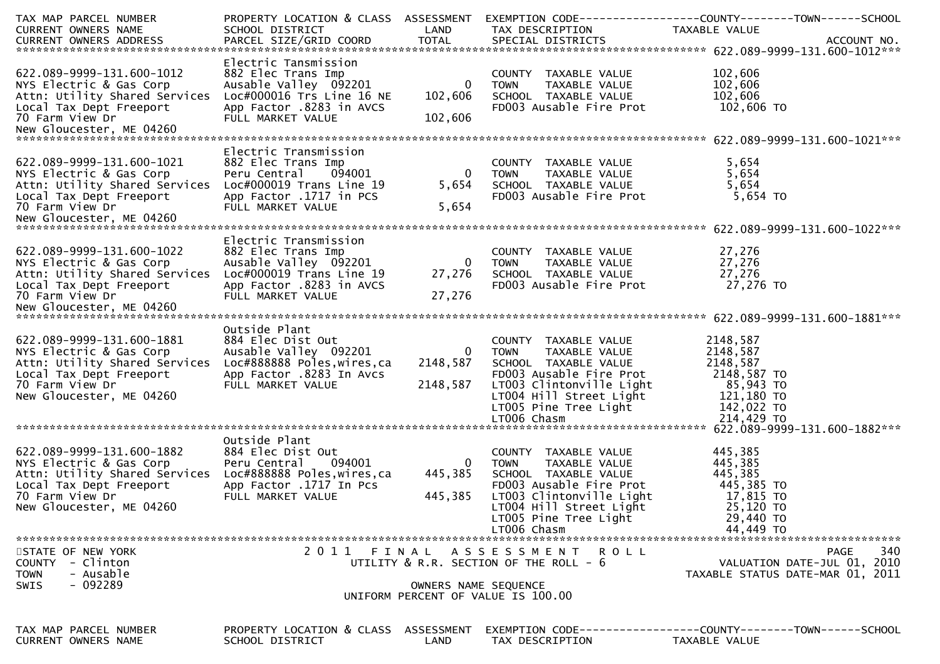| TAX MAP PARCEL NUMBER<br>CURRENT OWNERS NAME                                                                                                                    | PROPERTY LOCATION & CLASS ASSESSMENT<br>SCHOOL DISTRICT                                                                                           | LAND                                   | TAX DESCRIPTION                                                                                                                                                                                        | EXEMPTION CODE------------------COUNTY--------TOWN------SCHOOL<br>TAXABLE VALUE                        |
|-----------------------------------------------------------------------------------------------------------------------------------------------------------------|---------------------------------------------------------------------------------------------------------------------------------------------------|----------------------------------------|--------------------------------------------------------------------------------------------------------------------------------------------------------------------------------------------------------|--------------------------------------------------------------------------------------------------------|
| 622.089-9999-131.600-1012<br>NYS Electric & Gas Corp<br>Attn: Utility Shared Services<br>Local Tax Dept Freeport<br>70 Farm View Dr                             | Electric Tansmission<br>882 Elec Trans Imp<br>Ausable Valley 092201<br>Loc#000016 Trs Line 16 NE<br>App Factor .8283 in AVCS<br>FULL MARKET VALUE | $\mathbf{0}$<br>102,606<br>102,606     | COUNTY TAXABLE VALUE<br><b>TOWN</b><br>TAXABLE VALUE<br>SCHOOL TAXABLE VALUE<br>FD003 Ausable Fire Prot                                                                                                | 102,606<br>102,606<br>102,606<br>102,606 TO                                                            |
| 622.089-9999-131.600-1021<br>NYS Electric & Gas Corp<br>Attn: Utility Shared Services<br>Local Tax Dept Freeport<br>70 Farm View Dr                             | Electric Transmission<br>882 Elec Trans Imp<br>Peru Central<br>094001<br>Loc#000019 Trans Line 19<br>App Factor .1717 in PCS<br>FULL MARKET VALUE | $\mathbf 0$<br>5,654<br>5,654          | COUNTY TAXABLE VALUE<br><b>TOWN</b><br>TAXABLE VALUE<br>SCHOOL TAXABLE VALUE<br>FD003 Ausable Fire Prot                                                                                                | 5,654<br>5,654<br>5,654<br>5,654 TO                                                                    |
| 622.089-9999-131.600-1022<br>NYS Electric & Gas Corp<br>Attn: Utility Shared Services<br>Local Tax Dept Freeport<br>70 Farm View Dr                             | Electric Transmission<br>882 Elec Trans Imp<br>Ausable Valley 092201<br>Loc#000019 Trans Line 19<br>App Factor .8283 in AVCS<br>FULL MARKET VALUE | $\mathbf{0}$<br>27,276<br>27,276       | COUNTY TAXABLE VALUE<br>TAXABLE VALUE<br><b>TOWN</b><br>SCHOOL TAXABLE VALUE<br>FD003 Ausable Fire Prot                                                                                                | 27,276<br>27,276<br>27,276<br>27,276 TO                                                                |
| 622.089-9999-131.600-1881<br>NYS Electric & Gas Corp<br>Attn: Utility Shared Services<br>Local Tax Dept Freeport<br>70 Farm View Dr<br>New Gloucester, ME 04260 | Outside Plant<br>884 Elec Dist Out<br>Ausable Valley 092201<br>Loc#888888 Poles, wires, ca<br>App Factor .8283 In Avcs<br>FULL MARKET VALUE       | $\overline{0}$<br>2148,587<br>2148,587 | COUNTY TAXABLE VALUE<br>TAXABLE VALUE<br><b>TOWN</b><br>SCHOOL TAXABLE VALUE<br>FD003 Ausable Fire Prot<br>LT003 Clintonville Light<br>LT004 Hill Street Light<br>LT005 Pine Tree Light<br>LT006 Chasm | 2148,587<br>2148,587<br>2148,587<br>2148,587 TO<br>85,943 TO<br>121,180 TO<br>142,022 TO<br>214,429 TO |
| 622.089-9999-131.600-1882<br>NYS Electric & Gas Corp<br>Attn: Utility Shared Services<br>Local Tax Dept Freeport<br>70 Farm View Dr<br>New Gloucester, ME 04260 | Outside Plant<br>884 Elec Dist Out<br>094001<br>Peru Central<br>Loc#888888 Poles, wires, ca<br>App Factor .1717 In Pcs<br>FULL MARKET VALUE       | $\overline{0}$<br>445,385<br>445,385   | COUNTY TAXABLE VALUE<br><b>TOWN</b><br>TAXABLE VALUE<br>SCHOOL TAXABLE VALUE<br>FD003 Ausable Fire Prot<br>LT003 Clintonville Light<br>LT004 Hill Street Light<br>LT005 Pine Tree Light<br>LT006 Chasm | 445,385<br>445,385<br>445,385<br>445,385 TO<br>17,815 TO<br>25,120 TO<br>29,440 TO<br>44,449 TO        |
| STATE OF NEW YORK<br>COUNTY - Clinton<br>- Ausable<br><b>TOWN</b><br>$-092289$<br><b>SWIS</b>                                                                   |                                                                                                                                                   | OWNERS NAME SEQUENCE                   | 2011 FINAL ASSESSMENT ROLL<br>UTILITY $\&$ R.R. SECTION OF THE ROLL - $6$<br>UNIFORM PERCENT OF VALUE IS 100.00                                                                                        | 340<br><b>PAGE</b><br>VALUATION DATE-JUL 01, 2010<br>TAXABLE STATUS DATE-MAR 01, 2011                  |
| TAX MAP PARCEL NUMBER<br><b>CURRENT OWNERS NAME</b>                                                                                                             | PROPERTY LOCATION & CLASS ASSESSMENT<br>SCHOOL DISTRICT                                                                                           | LAND                                   | EXEMPTION CODE---<br>TAX DESCRIPTION                                                                                                                                                                   | ------------COUNTY--------TOWN------SCHOOL<br>TAXABLE VALUE                                            |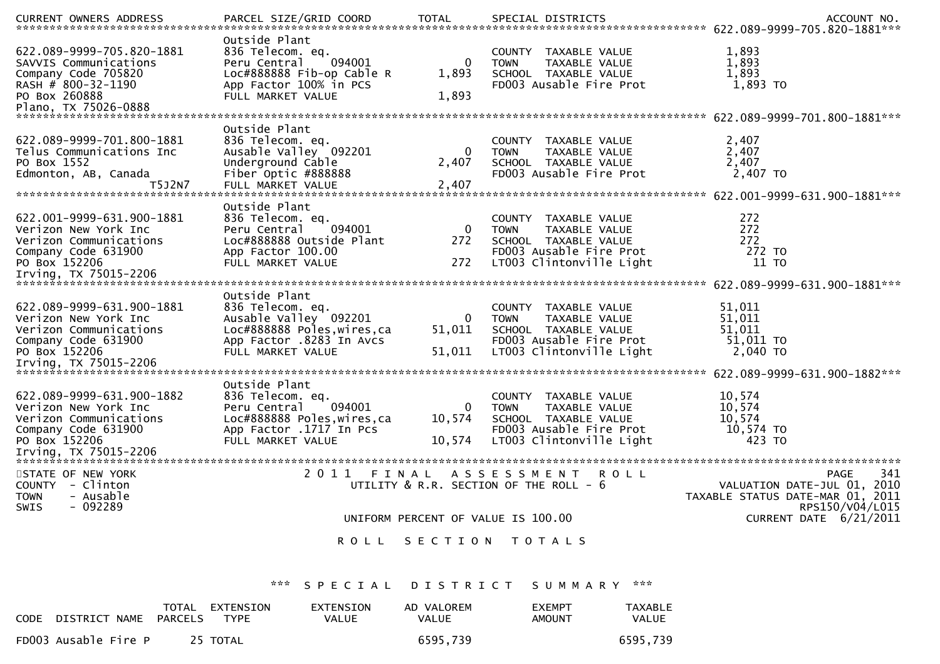|                                      |                              |                 |                                        | .CURRENT OWNERS ADDRESS [PARCEL SIZE/GRID COORD   TOTAL SPECIAL DISTRICTS   MOTHL SPERENT OWNERS ADDRESS   PARCEL SIZE/GRID COORD   TOTAL SPECIAL DISTRICTS   SECOUNT NO. |
|--------------------------------------|------------------------------|-----------------|----------------------------------------|---------------------------------------------------------------------------------------------------------------------------------------------------------------------------|
|                                      | Outside Plant                |                 |                                        |                                                                                                                                                                           |
| 622.089-9999-705.820-1881            | 836 Telecom. eq.             |                 | COUNTY TAXABLE VALUE                   | 1,893                                                                                                                                                                     |
| SAVVIS Communications                | 094001<br>Peru Central       | 0               | TAXABLE VALUE<br><b>TOWN</b>           | 1,893                                                                                                                                                                     |
| Company Code 705820                  | Loc#888888 Fib-op Cable R    | 1,893           | SCHOOL TAXABLE VALUE                   | 1,893                                                                                                                                                                     |
| RASH # 800-32-1190                   | App Factor 100% in PCS       |                 | FD003 Ausable Fire Prot                | 1,893 TO                                                                                                                                                                  |
| PO Box 260888                        | FULL MARKET VALUE            | 1,893           |                                        |                                                                                                                                                                           |
|                                      |                              |                 |                                        |                                                                                                                                                                           |
|                                      |                              |                 |                                        |                                                                                                                                                                           |
|                                      | Outside Plant                |                 |                                        |                                                                                                                                                                           |
|                                      |                              |                 |                                        |                                                                                                                                                                           |
| 622.089-9999-701.800-1881            | 836 Telecom. eq.             |                 | COUNTY TAXABLE VALUE                   | 2,407                                                                                                                                                                     |
| Telus Communications Inc             | Ausable Valley 092201        | 0               | <b>TOWN</b><br>TAXABLE VALUE           | 2,407                                                                                                                                                                     |
| PO Box 1552                          | Underground Cable            | 2,407           | SCHOOL TAXABLE VALUE                   | 2,407                                                                                                                                                                     |
| Edmonton, AB, Canada                 | Fiber Optic #888888          |                 | FD003 Ausable Fire Prot                | 2,407 TO                                                                                                                                                                  |
| T5J2N7                               | FULL MARKET VALUE            | 2,407           |                                        |                                                                                                                                                                           |
|                                      |                              |                 |                                        |                                                                                                                                                                           |
|                                      | Outside Plant                |                 |                                        |                                                                                                                                                                           |
| 622.001-9999-631.900-1881            | 836 Telecom. eq.             |                 | COUNTY TAXABLE VALUE                   | 272                                                                                                                                                                       |
| Verizon New York Inc                 | 094001<br>Peru Central       | 0               | <b>TAXABLE VALUE</b><br><b>TOWN</b>    | 272                                                                                                                                                                       |
| Verizon Communications               | Loc#888888 Outside Plant     | 272             | SCHOOL TAXABLE VALUE                   | 272                                                                                                                                                                       |
| Company Code 631900                  | App Factor 100.00            |                 | FD003 Ausable Fire Prot                | 272 TO                                                                                                                                                                    |
| PO Box 152206                        | FULL MARKET VALUE            | 272             | LT003 Clintonville Light               | 11 TO                                                                                                                                                                     |
|                                      |                              |                 |                                        |                                                                                                                                                                           |
|                                      |                              |                 |                                        |                                                                                                                                                                           |
|                                      | Outside Plant                |                 |                                        |                                                                                                                                                                           |
| 622.089-9999-631.900-1881            | 836 Telecom. eq.             |                 | COUNTY TAXABLE VALUE                   | 51,011                                                                                                                                                                    |
| Verizon New York Inc                 | Ausable Valley 092201        | 0               | <b>TOWN</b><br>TAXABLE VALUE           | 51,011                                                                                                                                                                    |
| Verizon Communications               | Loc#888888 Poles, wires, ca  | 51,011          | SCHOOL TAXABLE VALUE                   | 51,011                                                                                                                                                                    |
| Company Code 631900                  | App Factor .8283 In Avcs     |                 | FD003 Ausable Fire Prot                | 51,011 TO                                                                                                                                                                 |
| PO Box 152206                        | FULL MARKET VALUE            | 51,011          | LT003 Clintonville Light               | 2,040 TO                                                                                                                                                                  |
|                                      |                              |                 |                                        |                                                                                                                                                                           |
|                                      |                              |                 |                                        |                                                                                                                                                                           |
|                                      | Outside Plant                |                 |                                        |                                                                                                                                                                           |
| 622.089-9999-631.900-1882            | 836 Telecom. eq.             |                 | COUNTY TAXABLE VALUE                   | 10,574                                                                                                                                                                    |
| Verizon New York Inc                 | 094001<br>Peru Central       | 0               | TAXABLE VALUE<br><b>TOWN</b>           | 10,574                                                                                                                                                                    |
| Verizon Communications               | Loc#888888 Poles, wires, ca  | 10,574          | SCHOOL TAXABLE VALUE                   | 10,574                                                                                                                                                                    |
| Company Code 631900                  | App Factor .1717 In Pcs      |                 | FD003 Ausable Fire Prot                | 10,574 TO                                                                                                                                                                 |
| PO Box 152206                        | FULL MARKET VALUE            | 10,574          | LT003 Clintonville Light               | 423 TO                                                                                                                                                                    |
|                                      |                              |                 |                                        |                                                                                                                                                                           |
|                                      |                              |                 |                                        |                                                                                                                                                                           |
| STATE OF NEW YORK                    | 2011 FINAL                   |                 | ASSESSMENT ROLL                        | 341<br>PAGE                                                                                                                                                               |
| COUNTY - Clinton                     |                              |                 | UTILITY & R.R. SECTION OF THE ROLL - 6 | VALUATION DATE-JUL 01, 2010                                                                                                                                               |
| <b>TOWN</b><br>- Ausable             |                              |                 |                                        | TAXABLE STATUS DATE-MAR 01, 2011                                                                                                                                          |
| $-092289$<br><b>SWIS</b>             |                              |                 |                                        | RPS150/V04/L015                                                                                                                                                           |
|                                      |                              |                 | UNIFORM PERCENT OF VALUE IS 100.00     | CURRENT DATE 6/21/2011                                                                                                                                                    |
|                                      |                              |                 |                                        |                                                                                                                                                                           |
|                                      | <b>ROLL</b>                  |                 | SECTION TOTALS                         |                                                                                                                                                                           |
|                                      |                              |                 |                                        |                                                                                                                                                                           |
|                                      | ***<br>SPECIAL               | <b>DISTRICT</b> | SUMMARY ***                            |                                                                                                                                                                           |
|                                      | TOTAL EXTENSION<br>EXTENSION | AD VALOREM      | <b>EXEMPT</b><br><b>TAXABLE</b>        |                                                                                                                                                                           |
| <b>PARCELS</b><br>CODE DISTRICT NAME | <b>TYPE</b><br>VALUE         | VALUE           | VALUE<br><b>AMOUNT</b>                 |                                                                                                                                                                           |

| CODE | DISTRICT NAME        | PARCELS | TOTAL EXTENSION<br>TYPE | EXTENSION<br>VALUE | AD VALOREM<br>VALUE | <b>FXFMPT</b><br>AMOUNT | TAXABLE<br>VALUE |
|------|----------------------|---------|-------------------------|--------------------|---------------------|-------------------------|------------------|
|      | FD003 Ausable Fire P |         | 25 TOTAL                |                    | 6595,739            |                         | 6595,739         |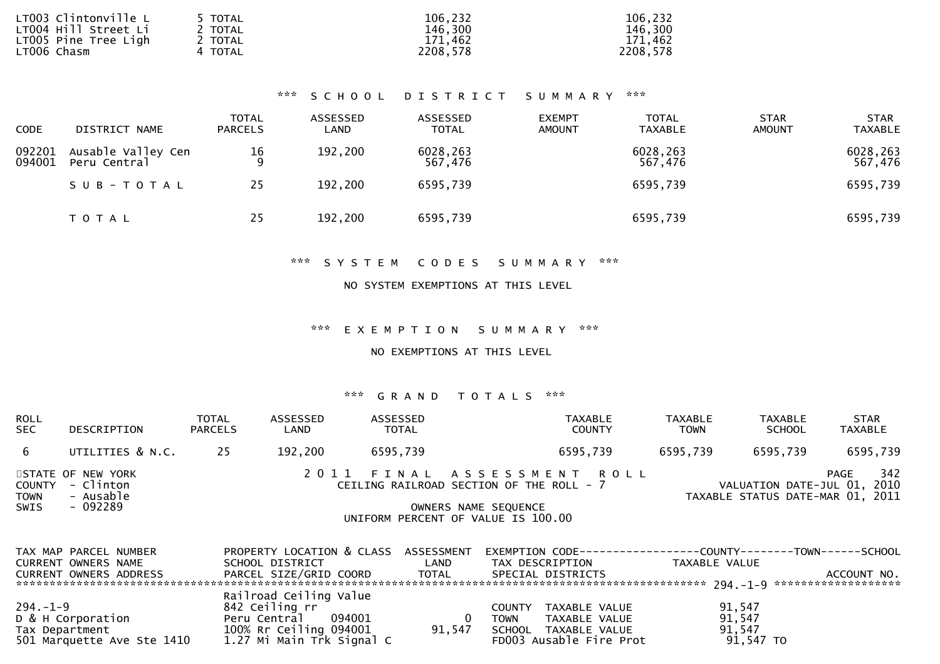| LT003 Clintonville L<br>LT004 Hill Street Li | 5 TOTAL<br>2 TOTAL | 106,232<br>146,300 | 106,232<br>146,300 |
|----------------------------------------------|--------------------|--------------------|--------------------|
| LT005 Pine Tree Ligh                         | 2 TOTAL            | 171.462            | 171,462            |
| LT006 Chasm                                  | 4 TOTAL            | 2208,578           | 2208,578           |

### \*\*\* S C H O O L D I S T R I C T S U M M A R Y \*\*\*

| <b>CODE</b>      | DISTRICT NAME                      | <b>TOTAL</b><br><b>PARCELS</b> | ASSESSED<br>LAND | ASSESSED<br><b>TOTAL</b> | <b>EXEMPT</b><br><b>AMOUNT</b> | <b>TOTAL</b><br><b>TAXABLE</b> | <b>STAR</b><br><b>AMOUNT</b> | <b>STAR</b><br><b>TAXABLE</b> |
|------------------|------------------------------------|--------------------------------|------------------|--------------------------|--------------------------------|--------------------------------|------------------------------|-------------------------------|
| 092201<br>094001 | Ausable Valley Cen<br>Peru Central | $\frac{16}{9}$                 | 192,200          | 6028,263<br>567,476      |                                | 6028,263<br>567,476            |                              | 6028,263<br>567,476           |
|                  | SUB-TOTAL                          | 25                             | 192,200          | 6595,739                 |                                | 6595,739                       |                              | 6595,739                      |
|                  | T O T A L                          | 25                             | 192,200          | 6595,739                 |                                | 6595,739                       |                              | 6595,739                      |

\*\*\* S Y S T E M C O D E S S U M M A R Y \*\*\*

#### NO SYSTEM EXEMPTIONS AT THIS LEVEL

\*\*\* E X E M P T I O N S U M M A R Y \*\*\*

NO EXEMPTIONS AT THIS LEVEL

| <b>ROLL</b><br><b>SEC</b>  | DESCRIPTION                                                    | <b>TOTAL</b><br><b>PARCELS</b> | ASSESSED<br>LAND | ASSESSED<br><b>TOTAL</b> | <b>TAXABLE</b><br><b>COUNTY</b>                                                                                                      | <b>TAXABLE</b><br><b>TOWN</b> | TAXABLE<br><b>SCHOOL</b>                                        | <b>STAR</b><br><b>TAXABLE</b> |
|----------------------------|----------------------------------------------------------------|--------------------------------|------------------|--------------------------|--------------------------------------------------------------------------------------------------------------------------------------|-------------------------------|-----------------------------------------------------------------|-------------------------------|
| 6                          | UTILITIES & N.C.                                               | 25                             | 192,200          | 6595,739                 | 6595,739                                                                                                                             | 6595,739                      | 6595,739                                                        | 6595,739                      |
| <b>TOWN</b><br><b>SWIS</b> | STATE OF NEW YORK<br>COUNTY - Clinton<br>- Ausable<br>- 092289 |                                |                  |                          | 2011 FINAL ASSESSMENT ROLL<br>CEILING RAILROAD SECTION OF THE ROLL - 7<br>OWNERS NAME SEQUENCE<br>UNIFORM PERCENT OF VALUE IS 100.00 |                               | VALUATION DATE-JUL 01, 2010<br>TAXABLE STATUS DATE-MAR 01, 2011 | 342<br>PAGE                   |

| TAX MAP PARCEL NUMBER         | PROPERTY LOCATION & CLASS ASSESSMENT                |        | EXEMPTION        CODE------------------COUNTY--------TOWN------SCHOOL |               |             |
|-------------------------------|-----------------------------------------------------|--------|-----------------------------------------------------------------------|---------------|-------------|
| CURRENT OWNERS NAME           | SCHOOL DISTRICT                                     | LAND   | TAX DESCRIPTION                                                       | TAXABLE VALUE |             |
| <b>CURRENT OWNERS ADDRESS</b> | PARCEL SIZE/GRID COORD                              | TOTAL  | SPECIAL DISTRICTS                                                     |               | ACCOUNT NO. |
|                               |                                                     |        |                                                                       |               |             |
|                               | Railroad Ceiling Value                              |        |                                                                       |               |             |
| $294. - 1 - 9$                | 842 Ceiling rr                                      |        | TAXABLE VALUE<br>COUNTY                                               | 91,547        |             |
| D & H Corporation             | Peru Central<br>094001                              |        | TAXABLE VALUE<br><b>TOWN</b>                                          | 91,547        |             |
| Tax Department                |                                                     | 91,547 | SCHOOL TAXABLE VALUE                                                  | 91,547        |             |
| 501 Marquette Ave Ste 1410    | 100% Rr Ceiling 094001<br>1.27 Mi Main Trk Signal C |        | FD003 Ausable Fire Prot                                               | $91,547$ TO   |             |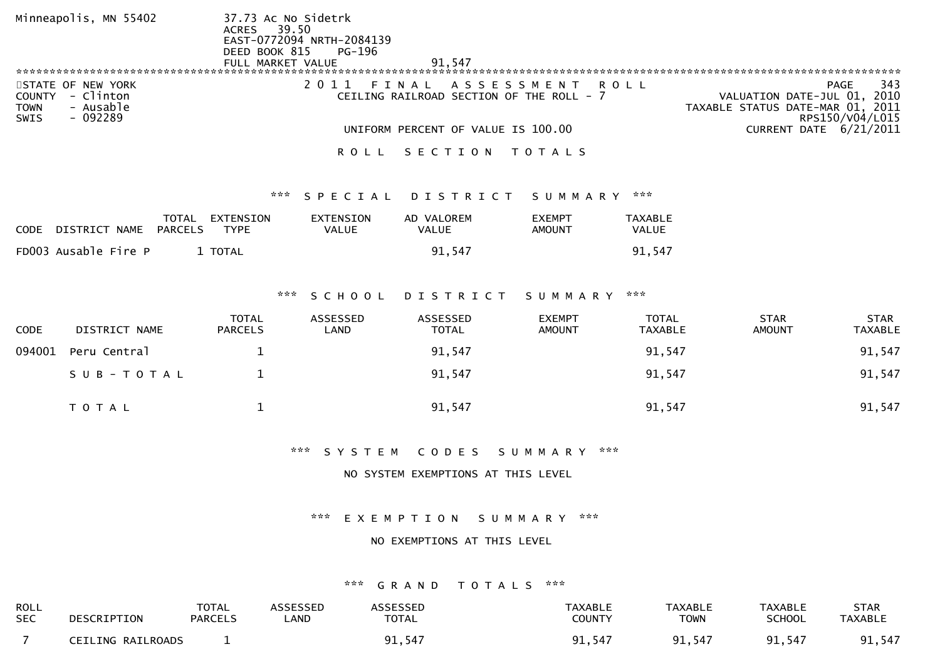| Minneapolis, MN 55402                                                                    | 37.73 Ac No Sidetrk<br>ACRES 39.50<br>EAST-0772094 NRTH-2084139<br>DEED BOOK 815 PG-196 |                                                                                                          |
|------------------------------------------------------------------------------------------|-----------------------------------------------------------------------------------------|----------------------------------------------------------------------------------------------------------|
|                                                                                          | 91.547<br>FULL MARKET VALUE                                                             |                                                                                                          |
|                                                                                          |                                                                                         |                                                                                                          |
| STATE OF NEW YORK<br>- Clinton<br>COUNTY<br>- Ausable<br><b>TOWN</b><br>- 092289<br>SWIS | FINAL ASSESSMENT ROLL<br>CEILING RAILROAD SECTION OF THE ROLL - 7                       | 343<br><b>PAGE</b><br>VALUATION DATE-JUL 01, 2010<br>TAXABLE STATUS DATE-MAR 01, 2011<br>RPS150/V04/L015 |
|                                                                                          | UNIFORM PERCENT OF VALUE IS 100.00                                                      | CURRENT DATE 6/21/2011                                                                                   |
|                                                                                          | SECTION<br>T O T A L S                                                                  |                                                                                                          |

#### \*\*\* S P E C I A L D I S T R I C T S U M M A R Y \*\*\*

| CODE DISTRICT NAME PARCELS | TOTAL EXTENSION<br>TYPF. | EXTENSION<br>VALUE | AD VALOREM<br>VALUE | <b>EXEMPT</b><br>AMOUNT | TAXABLE<br>VALUE |
|----------------------------|--------------------------|--------------------|---------------------|-------------------------|------------------|
| FD003 Ausable Fire P       | 1 TOTAL                  |                    | 91.547              |                         | 91.547           |

#### \*\*\* S C H O O L D I S T R I C T S U M M A R Y \*\*\*

| <b>CODE</b> | DISTRICT NAME | <b>TOTAL</b><br><b>PARCELS</b> | ASSESSED<br>LAND | ASSESSED<br><b>TOTAL</b> | <b>EXEMPT</b><br><b>AMOUNT</b> | TOTAL<br>TAXABLE | <b>STAR</b><br><b>AMOUNT</b> | <b>STAR</b><br><b>TAXABLE</b> |
|-------------|---------------|--------------------------------|------------------|--------------------------|--------------------------------|------------------|------------------------------|-------------------------------|
| 094001      | Peru Central  |                                |                  | 91,547                   |                                | 91,547           |                              | 91,547                        |
|             | SUB-TOTAL     |                                |                  | 91,547                   |                                | 91,547           |                              | 91,547                        |
|             | T O T A L     |                                |                  | 91,547                   |                                | 91,547           |                              | 91,547                        |

\*\*\* S Y S T E M C O D E S S U M M A R Y \*\*\*

### NO SYSTEM EXEMPTIONS AT THIS LEVEL

\*\*\* E X E M P T I O N S U M M A R Y \*\*\*

#### NO EXEMPTIONS AT THIS LEVEL

| <b>ROLL</b> | DESCRIPTION       | TOTAL          | <b>ASSESSED</b> | <b>ASSESSED</b> | <b>TAXABLE</b> | <b>TAXABLE</b> | <b>TAXABLE</b> | <b>STAR</b>    |
|-------------|-------------------|----------------|-----------------|-----------------|----------------|----------------|----------------|----------------|
| <b>SEC</b>  |                   | <b>PARCELS</b> | _AND            | <b>TOTAL</b>    | <b>COUNTY</b>  | TOWN           | <b>SCHOOL</b>  | <b>TAXABLE</b> |
|             | CEILING RAILROADS |                |                 | 91,547          | 91,547         | 91,547         | 91,547         | 91,547         |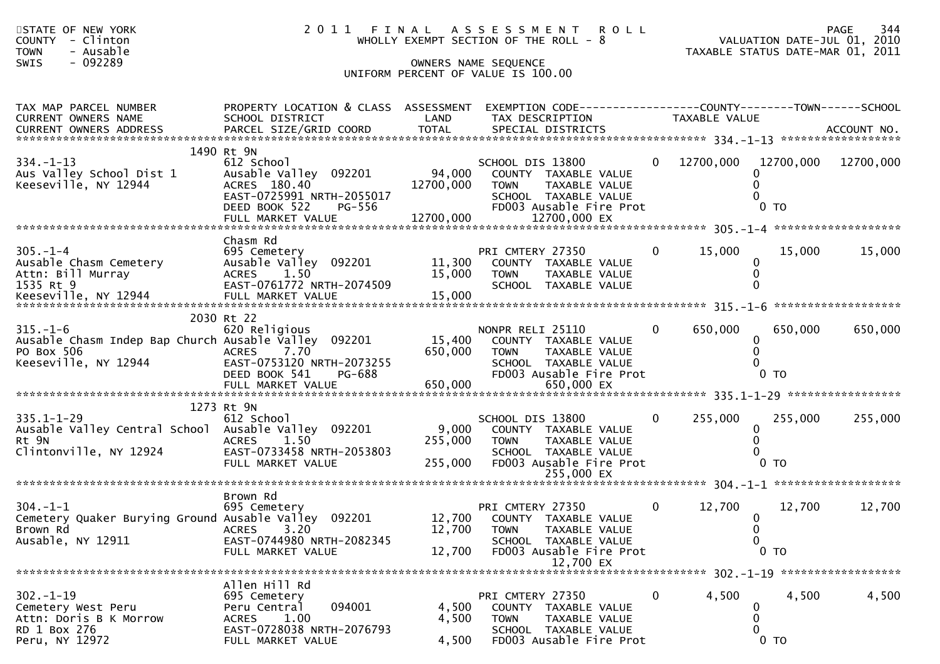| STATE OF NEW YORK<br><b>COUNTY</b><br>- Clinton<br>- Ausable<br><b>TOWN</b><br>- 092289<br>SWIS              | 2011 FINAL<br>WHOLLY EXEMPT SECTION OF THE ROLL - 8<br>UNIFORM PERCENT OF VALUE IS 100.00                                         | A S S E S S M E N T R O L L | 344 PAGE<br>2010 VALUATION DATE-JUL                                                                                                             | TAXABLE STATUS DATE-MAR 01, 2011 | PAGE<br>344   |                                                           |         |
|--------------------------------------------------------------------------------------------------------------|-----------------------------------------------------------------------------------------------------------------------------------|-----------------------------|-------------------------------------------------------------------------------------------------------------------------------------------------|----------------------------------|---------------|-----------------------------------------------------------|---------|
| TAX MAP PARCEL NUMBER<br>CURRENT OWNERS NAME                                                                 | PROPERTY LOCATION & CLASS ASSESSMENT EXEMPTION CODE----------------COUNTY-------TOWN------SCHOOL<br>SCHOOL DISTRICT               | <b>Example 18 DE LAND</b>   | TAX DESCRIPTION                                                                                                                                 |                                  | TAXABLE VALUE |                                                           |         |
| $334. - 1 - 13$<br>Aus Valley School Dist 1<br>Keeseville, NY 12944                                          | 1490 Rt 9N<br>612 School<br>Ausable Valley 092201 94,000<br>ACRES 180.40<br>EAST-0725991 NRTH-2055017<br>DEED BOOK 522<br>PG-556  | 12700,000                   | SCHOOL DIS 13800<br>COUNTY TAXABLE VALUE<br><b>TOWN</b><br>TAXABLE VALUE<br>SCHOOL TAXABLE VALUE<br>FD003 Ausable Fire Prot                     | $\overline{0}$                   |               | 12700,000 12700,000 12700,000<br>0<br>0<br>0 <sub>T</sub> |         |
| $305. - 1 - 4$                                                                                               | Chasm Rd                                                                                                                          |                             | PRI CMTERY 27350                                                                                                                                | $\mathbf{0}$                     | 15,000        | 15,000                                                    | 15,000  |
| $315. - 1 - 6$<br>Ausable Chasm Indep Bap Church Ausable Valley 092201<br>PO Box 506<br>Keeseville, NY 12944 | 2030 Rt 22<br>620 Religious<br>7.70<br><b>ACRES</b><br>EAST-0753120 NRTH-2073255<br>DEED BOOK 541<br>PG-688                       | 15,400<br>650,000           | NONPR RELI 25110<br>COUNTY TAXABLE VALUE<br>TAXABLE VALUE<br><b>TOWN</b><br>SCHOOL TAXABLE VALUE<br>FD003 Ausable Fire Prot                     | $\overline{0}$                   | 650,000       | 650,000<br>0<br>$\mathbf{0}$<br>$0$ TO                    | 650,000 |
| 335.1-1-29<br>Ausable Valley Central School Ausable Valley 092201<br>Rt 9N<br>Clintonville, NY 12924         | 1273 Rt 9N<br>612 School<br><b>ACRES</b><br>1.50<br>EAST-0733458 NRTH-2053803<br>FULL MARKET VALUE                                | 9,000<br>255,000<br>255,000 | SCHOOL DIS 13800<br>COUNTY TAXABLE VALUE<br><b>TOWN</b><br>TAXABLE VALUE<br>SCHOOL TAXABLE VALUE<br>FD003 Ausable Fire Prot                     | $\overline{0}$                   | 255,000       | 255,000<br>0<br>0<br>$0$ TO                               | 255,000 |
| $304. - 1 - 1$<br>Cemetery Quaker Burying Ground Ausable Valley 092201<br>Brown Rd<br>Ausable, NY 12911      | Brown Rd<br>695 Cemetery<br>3.20<br><b>ACRES</b><br>EAST-0744980 NRTH-2082345<br>FULL MARKET VALUE                                | 12,700<br>12,700            | PRI CMTERY 27350<br>12,700 COUNTY TAXABLE VALUE<br><b>TOWN</b><br>TAXABLE VALUE<br>SCHOOL TAXABLE VALUE<br>FD003 Ausable Fire Prot<br>12,700 EX | $\mathbf{0}$                     | 12,700        | 12,700<br>$\mathbf 0$<br>0<br>0<br>$0$ TO                 | 12,700  |
| $302 - 1 - 19$<br>Cemetery West Peru<br>Attn: Doris B K Morrow<br>RD 1 Box 276<br>Peru, NY 12972             | Allen Hill Rd<br>695 Cemetery<br>094001<br>Peru Central<br>1.00<br><b>ACRES</b><br>EAST-0728038 NRTH-2076793<br>FULL MARKET VALUE | 4,500<br>4,500<br>4,500     | PRI CMTERY 27350<br>COUNTY TAXABLE VALUE<br><b>TOWN</b><br>TAXABLE VALUE<br>SCHOOL TAXABLE VALUE<br>FD003 Ausable Fire Prot                     | 0                                | 4,500         | 4,500<br>0<br>0<br>0<br>$0$ TO                            | 4,500   |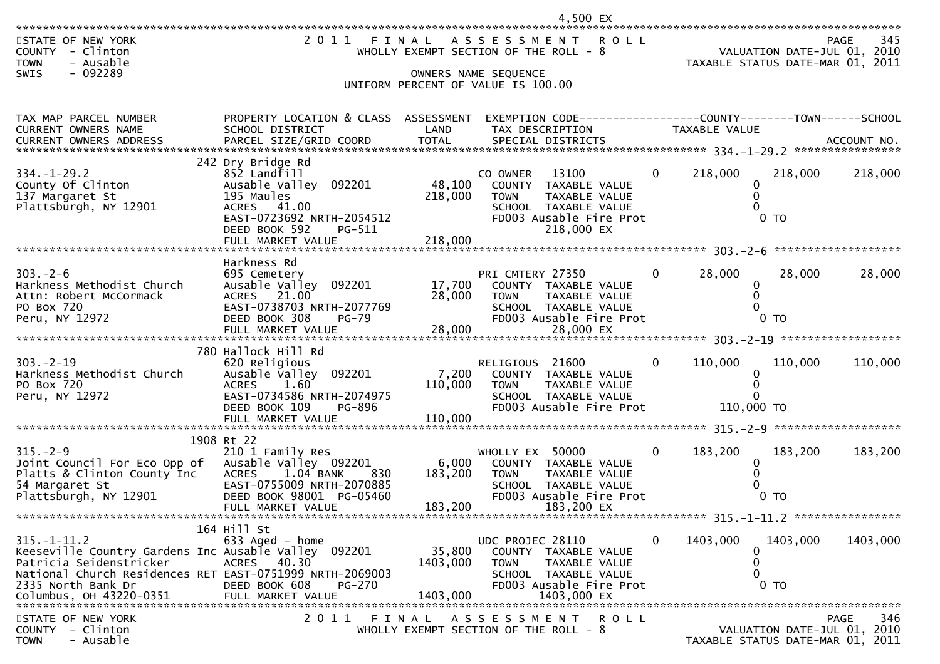4,500 EX

|                                                                                                                                                                                                                   | 2011                                                                                                                                                        |                                |                                                                                                                                            |                |               |                                                                 | 345                |
|-------------------------------------------------------------------------------------------------------------------------------------------------------------------------------------------------------------------|-------------------------------------------------------------------------------------------------------------------------------------------------------------|--------------------------------|--------------------------------------------------------------------------------------------------------------------------------------------|----------------|---------------|-----------------------------------------------------------------|--------------------|
| STATE OF NEW YORK<br>COUNTY - Clinton<br><b>TOWN</b><br>- Ausable                                                                                                                                                 | FINAL                                                                                                                                                       |                                | A S S E S S M E N T<br>R O L L<br>WHOLLY EXEMPT SECTION OF THE ROLL - 8                                                                    |                |               | VALUATION DATE-JUL 01, 2010<br>TAXABLE STATUS DATE-MAR 01, 2011 | PAGE               |
| $-092289$<br><b>SWIS</b>                                                                                                                                                                                          |                                                                                                                                                             |                                | OWNERS NAME SEQUENCE<br>UNIFORM PERCENT OF VALUE IS 100.00                                                                                 |                |               |                                                                 |                    |
| TAX MAP PARCEL NUMBER<br>CURRENT OWNERS NAME<br>CURRENT OWNERS ADDRESS                                                                                                                                            | PROPERTY LOCATION & CLASS ASSESSMENT<br>SCHOOL DISTRICT                                                                                                     | LAND                           | EXEMPTION CODE------------------COUNTY--------TOWN------SCHOOL<br>TAX DESCRIPTION                                                          |                | TAXABLE VALUE |                                                                 |                    |
|                                                                                                                                                                                                                   | 242 Dry Bridge Rd                                                                                                                                           |                                |                                                                                                                                            |                |               |                                                                 |                    |
| $334. - 1 - 29.2$<br>County Of Clinton<br>137 Margaret St<br>Plattsburgh, NY 12901                                                                                                                                | 852 Landfill<br>Ausable Valley 092201<br>195 Maules<br>ACRES 41.00<br>EAST-0723692 NRTH-2054512                                                             | 48,100<br>218,000              | CO OWNER<br>13100<br>COUNTY TAXABLE VALUE<br>TAXABLE VALUE<br>TOWN<br>SCHOOL TAXABLE VALUE<br>FD003 Ausable Fire Prot                      | $\overline{0}$ | 218,000       | 218,000<br>0<br>0<br>$0$ TO                                     | 218,000            |
|                                                                                                                                                                                                                   | DEED BOOK 592<br>PG-511<br>FULL MARKET VALUE                                                                                                                | 218,000                        | 218,000 EX                                                                                                                                 |                |               |                                                                 |                    |
|                                                                                                                                                                                                                   | Harkness Rd                                                                                                                                                 |                                |                                                                                                                                            |                |               |                                                                 |                    |
| $303 - 2 - 6$<br>Harkness Methodist Church<br>Attn: Robert McCormack<br>PO Box 720                                                                                                                                | 695 Cemetery<br>Ausable Valley 092201<br>ACRES 21.00<br>EAST-0738703 NRTH-2077769                                                                           | 17,700<br>28,000               | PRI CMTERY 27350<br>COUNTY TAXABLE VALUE<br><b>TOWN</b><br>TAXABLE VALUE<br>SCHOOL TAXABLE VALUE                                           | $\mathbf{0}$   | 28,000        | 28,000<br>0<br>0<br>0                                           | 28,000             |
| Peru, NY 12972                                                                                                                                                                                                    | DEED BOOK 308<br>$PG-79$                                                                                                                                    |                                | FD003 Ausable Fire Prot                                                                                                                    |                |               | 0 <sub>T</sub>                                                  |                    |
|                                                                                                                                                                                                                   |                                                                                                                                                             |                                |                                                                                                                                            |                |               |                                                                 |                    |
| $303 - 2 - 19$<br>Harkness Methodist Church<br>PO Box 720<br>Peru, NY 12972                                                                                                                                       | 780 Hallock Hill Rd<br>620 Religious<br>Ausable Valley 092201<br>1.60<br><b>ACRES</b><br>EAST-0734586 NRTH-2074975                                          | 7,200<br>110,000               | RELIGIOUS 21600<br>COUNTY TAXABLE VALUE<br><b>TOWN</b><br>TAXABLE VALUE<br>SCHOOL TAXABLE VALUE                                            | $\mathbf{0}$   | 110,000       | 110,000<br>0<br>$\Omega$<br>$\Omega$                            | 110,000            |
|                                                                                                                                                                                                                   | DEED BOOK 109<br>PG-896<br>FULL MARKET VALUE                                                                                                                | 110,000                        | FD003 Ausable Fire Prot                                                                                                                    |                | 110,000 TO    |                                                                 |                    |
|                                                                                                                                                                                                                   | 1908 Rt 22                                                                                                                                                  |                                |                                                                                                                                            |                |               |                                                                 |                    |
| $315. - 2 - 9$<br>Joint Council For Eco Opp of<br>Platts & Clinton County Inc<br>54 Margaret St<br>Plattsburgh, NY 12901                                                                                          | 210 1 Family Res<br>Ausable Valley 092201<br>1.04 BANK<br><b>ACRES</b><br>830<br>EAST-0755009 NRTH-2070885<br>DEED BOOK 98001 PG-05460<br>FULL MARKET VALUE | 6,000<br>183,200<br>183,200    | WHOLLY EX 50000<br>COUNTY TAXABLE VALUE<br><b>TOWN</b><br>TAXABLE VALUE<br>SCHOOL TAXABLE VALUE<br>FD003 Ausable Fire Prot<br>183,200 EX   | $\Omega$       | 183,200       | 183,200<br>0<br>0<br>$0$ TO                                     | 183,200            |
|                                                                                                                                                                                                                   |                                                                                                                                                             |                                |                                                                                                                                            |                |               |                                                                 |                    |
| $315. - 1 - 11.2$<br>Keeseville Country Gardens Inc Ausable Valley 092201<br>Patricia Seidenstricker<br>National Church Residences RET EAST-0751999 NRTH-2069003<br>2335 North Bank Dr<br>Columbus, OH 43220-0351 | 164 Hill St<br>633 Aged - home<br>40.30<br><b>ACRES</b><br>DEED BOOK 608<br>PG-270<br>FULL MARKET VALUE                                                     | 35,800<br>1403,000<br>1403,000 | UDC PROJEC 28110<br>COUNTY TAXABLE VALUE<br>TAXABLE VALUE<br><b>TOWN</b><br>SCHOOL TAXABLE VALUE<br>FD003 Ausable Fire Prot<br>1403,000 EX | 0              | 1403,000      | 1403,000<br>0<br>0<br>0<br>0 <sub>T</sub>                       | 1403,000           |
| STATE OF NEW YORK<br>- Clinton<br><b>COUNTY</b><br>- Ausable<br><b>TOWN</b>                                                                                                                                       | 2011                                                                                                                                                        | FINAL                          | A S S E S S M E N T<br><b>ROLL</b><br>WHOLLY EXEMPT SECTION OF THE ROLL - 8                                                                |                |               | VALUATION DATE-JUL 01, 2010<br>TAXABLE STATUS DATE-MAR 01, 2011 | <b>PAGE</b><br>346 |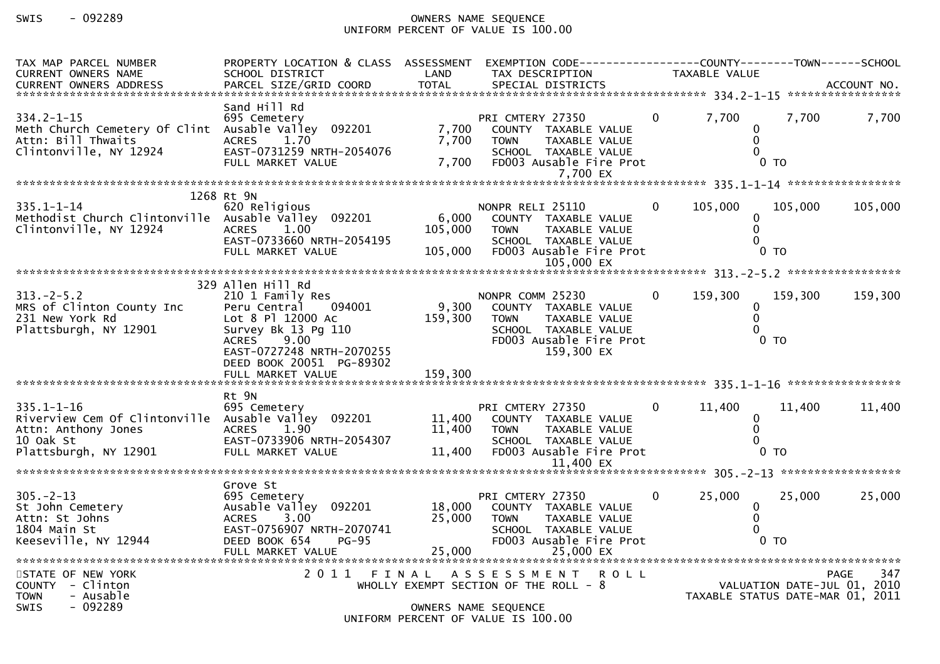# SWIS - 092289 OWNERS NAME SEQUENCE UNIFORM PERCENT OF VALUE IS 100.00

| TAX MAP PARCEL NUMBER<br><b>CURRENT OWNERS NAME</b>                                                                                  | PROPERTY LOCATION & CLASS ASSESSMENT<br>SCHOOL DISTRICT                                                                                                                 | LAND                        | EXEMPTION CODE-----------------COUNTY--------TOWN------SCHOOL<br>TAX DESCRIPTION                                                                 |              | TAXABLE VALUE                                                   |                           |                    |
|--------------------------------------------------------------------------------------------------------------------------------------|-------------------------------------------------------------------------------------------------------------------------------------------------------------------------|-----------------------------|--------------------------------------------------------------------------------------------------------------------------------------------------|--------------|-----------------------------------------------------------------|---------------------------|--------------------|
|                                                                                                                                      |                                                                                                                                                                         |                             |                                                                                                                                                  |              |                                                                 |                           |                    |
| $334.2 - 1 - 15$<br>Meth Church Cemetery Of Clint Ausable Valley 092201<br>Attn: Bill Thwaits<br>Clintonville, NY 12924              | Sand Hill Rd<br>695 Cemetery<br><b>ACRES</b><br>1.70<br>EAST-0731259 NRTH-2054076<br>FULL MARKET VALUE                                                                  | 7,700<br>7,700<br>7,700     | PRI CMTERY 27350<br>COUNTY TAXABLE VALUE<br>TAXABLE VALUE<br><b>TOWN</b><br>SCHOOL TAXABLE VALUE<br>FD003 Ausable Fire Prot<br>7,700 EX          | $\Omega$     | 7,700<br>0<br>$\mathbf 0$                                       | 7,700<br>0 <sub>T</sub>   | 7,700              |
|                                                                                                                                      |                                                                                                                                                                         |                             |                                                                                                                                                  |              |                                                                 |                           |                    |
| $335.1 - 1 - 14$<br>Methodist Church Clintonville Ausable Valley 092201<br>Clintonville, NY 12924                                    | 1268 Rt 9N<br>620 Religious<br><b>ACRES</b><br>1.00<br>EAST-0733660 NRTH-2054195<br>FULL MARKET VALUE                                                                   | 6,000<br>105,000<br>105,000 | NONPR RELI 25110<br>COUNTY TAXABLE VALUE<br><b>TAXABLE VALUE</b><br><b>TOWN</b><br>SCHOOL TAXABLE VALUE<br>FD003 Ausable Fire Prot<br>105,000 EX | $\mathbf 0$  | 105,000<br>0<br>$\mathbf{0}$                                    | 105,000<br>0 <sub>T</sub> | 105,000            |
|                                                                                                                                      | 329 Allen Hill Rd                                                                                                                                                       |                             |                                                                                                                                                  |              |                                                                 |                           |                    |
| $313 - 2 - 5.2$<br>MRS of Clinton County Inc<br>231 New York Rd<br>Plattsburgh, NY 12901                                             | 210 1 Family Res<br>094001<br>Peru Central<br>Lot 8 Pl 12000 Ac<br>Survey Bk 13 Pg 110<br>9.00<br><b>ACRES</b><br>EAST-0727248 NRTH-2070255<br>DEED BOOK 20051 PG-89302 | 9,300<br>159,300            | NONPR COMM 25230<br>COUNTY TAXABLE VALUE<br><b>TOWN</b><br>TAXABLE VALUE<br>SCHOOL TAXABLE VALUE<br>FD003 Ausable Fire Prot<br>159,300 EX        | $\Omega$     | 159,300<br>$\mathbf{0}$<br>$\Omega$                             | 159,300<br>$0$ TO         | 159,300            |
|                                                                                                                                      | Rt 9N                                                                                                                                                                   |                             |                                                                                                                                                  |              |                                                                 |                           |                    |
| $335.1 - 1 - 16$<br>Riverview Cem Of Clintonville Ausable Valley 092201<br>Attn: Anthony Jones<br>10 Oak St<br>Plattsburgh, NY 12901 | 695 Cemetery<br><b>ACRES</b><br>1.90<br>EAST-0733906 NRTH-2054307<br>FULL MARKET VALUE                                                                                  | 11,400<br>11,400<br>11,400  | PRI CMTERY 27350<br>COUNTY TAXABLE VALUE<br>TAXABLE VALUE<br><b>TOWN</b><br>SCHOOL TAXABLE VALUE<br>FD003 Ausable Fire Prot<br>11.400 EX         | $\mathbf{0}$ | 11,400<br>0<br>$\Omega$                                         | 11,400<br>0 <sub>T</sub>  | 11,400             |
|                                                                                                                                      | Grove St                                                                                                                                                                |                             |                                                                                                                                                  |              |                                                                 |                           |                    |
| $305. -2 - 13$<br>St John Cemetery<br>Attn: St Johns<br>1804 Main St<br>1804 Main St<br>Keeseville, NY 12944                         | 695 Cemetery<br>Ausable Valley 092201<br>3.00<br><b>ACRES</b><br>EAST-0756907 NRTH-2070741<br>DEED BOOK 654<br>$PG-95$                                                  | 18,000<br>25,000            | PRI CMTERY 27350<br>COUNTY TAXABLE VALUE<br><b>TOWN</b><br>TAXABLE VALUE<br>SCHOOL TAXABLE VALUE<br>FD003 Ausable Fire Prot                      | $\Omega$     | 25,000<br>0<br>$\Omega$                                         | 25,000<br>0 <sub>T</sub>  | 25,000             |
| STATE OF NEW YORK<br>COUNTY - Clinton<br><b>TOWN</b><br>- Ausable<br>SWIS<br>$-092289$                                               |                                                                                                                                                                         |                             | 2011 FINAL ASSESSMENT ROLL<br>WHOLLY EXEMPT SECTION OF THE ROLL $-8$<br>OWNERS NAME SEQUENCE<br>UNIFORM PERCENT OF VALUE IS 100.00               |              | VALUATION DATE-JUL 01, 2010<br>TAXABLE STATUS DATE-MAR 01, 2011 |                           | 347<br><b>PAGE</b> |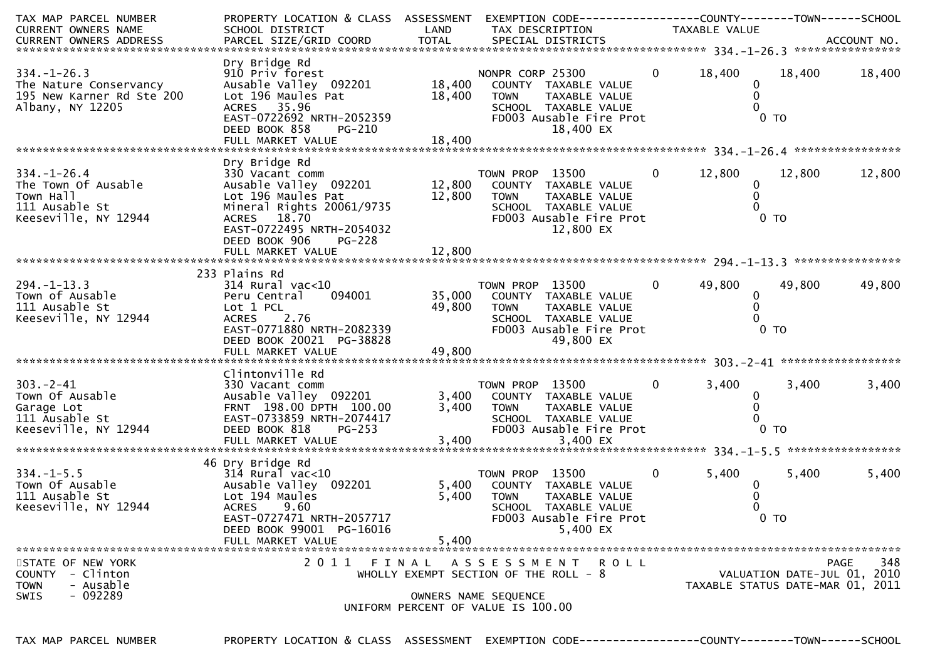| TAX MAP PARCEL NUMBER<br>CURRENT OWNERS NAME                                                    | PROPERTY LOCATION & CLASS ASSESSMENT EXEMPTION CODE----------------COUNTY-------TOWN------SCHOOL<br>SCHOOL DISTRICT                                                                            | LAND                    | TAX DESCRIPTION                                                                                                                                            |                | TAXABLE VALUE                                      |                             |             |
|-------------------------------------------------------------------------------------------------|------------------------------------------------------------------------------------------------------------------------------------------------------------------------------------------------|-------------------------|------------------------------------------------------------------------------------------------------------------------------------------------------------|----------------|----------------------------------------------------|-----------------------------|-------------|
|                                                                                                 |                                                                                                                                                                                                |                         |                                                                                                                                                            |                |                                                    |                             |             |
| $334. - 1 - 26.3$<br>The Nature Conservancy<br>195 New Karner Rd Ste 200<br>Albany, NY 12205    | Dry Bridge Rd<br>910 Priv forest<br>Ausable Valley 092201<br>Lot 196 Maules Pat<br>ACRES 35.96<br>EAST-0722692 NRTH-2052359<br>DEED BOOK 858<br>PG-210                                         | 18,400 TOWN             | NONPR CORP 25300<br>18,400 COUNTY TAXABLE VALUE<br>TAXABLE VALUE<br>SCHOOL TAXABLE VALUE<br>SCHOOL TAARDLL WILL<br>FDOO3 Ausable Fire Prot<br>18,400 EX    | $\mathbf{0}$   | 18,400<br>$\mathbf{0}$<br>$\mathbf{0}$<br>$\Omega$ | 18,400<br>0 <sub>T</sub>    | 18,400      |
|                                                                                                 | Dry Bridge Rd                                                                                                                                                                                  |                         |                                                                                                                                                            |                |                                                    |                             |             |
| $334. - 1 - 26.4$<br>The Town Of Ausable<br>Town Hall<br>111 Ausable St<br>Keeseville, NY 12944 | 330 Vacant comm<br>Ausable Valley 092201 12,800 COUNTY TAXABLE VALUE<br>Lot 196 Maules Pat<br>Mineral Rights 20061/9735<br>ACRES 18.70<br>EAST-0722495 NRTH-2054032<br>DEED BOOK 906<br>PG-228 | 12,800 TOWN             | TAXABLE VALUE<br>SCHOOL TAXABLE VALUE<br>FD003 Ausable Fire Prot<br>12,800 EX                                                                              | $\overline{0}$ | 12,800<br>0<br>$\mathbf{0}$                        | 12,800<br>$0$ TO            | 12,800      |
|                                                                                                 |                                                                                                                                                                                                |                         |                                                                                                                                                            |                |                                                    |                             |             |
|                                                                                                 | 233 Plains Rd                                                                                                                                                                                  |                         |                                                                                                                                                            |                |                                                    |                             |             |
| $294. - 1 - 13.3$<br>Town of Ausable<br>111 Ausable St<br>Keeseville, NY 12944                  | 314 Rural vac<10<br>094001<br>Peru Central<br>Lot 1 PCL<br>ACRES 2.76<br>EAST-0771880 NRTH-2082339<br>DEED BOOK 20021 PG-38828<br>FULL MARKET VALUE                                            | 49,800                  | TOWN PROP 13500<br>$\sim$ 0<br>35,000 COUNTY TAXABLE VALUE<br>49,800 TOWN<br>TAXABLE VALUE<br>SCHOOL TAXABLE VALUE<br>FD003 Ausable Fire Prot<br>49,800 EX |                | 49,800<br>$\mathbf{0}$<br>0                        | 49,800<br>0 <sub>T</sub>    | 49,800      |
|                                                                                                 |                                                                                                                                                                                                |                         |                                                                                                                                                            |                |                                                    |                             |             |
| $303 - 2 - 41$<br>Town Of Ausable<br>Garage Lot<br>111 Ausable St<br>Keeseville, NY 12944       | Clintonville Rd<br>330 Vacant comm<br>Ausable Valley 092201<br>FRNT 198.00 DPTH 100.00<br>EAST-0733859 NRTH-2074417<br>DEED BOOK 818<br><b>PG-253</b><br>FULL MARKET VALUE                     | 3,400<br>3,400<br>3,400 | TOWN PROP 13500<br>COUNTY TAXABLE VALUE<br><b>TOWN</b><br>TAXABLE VALUE<br>SCHOOL TAXABLE VALUE<br>FD003 Ausable Fire Prot<br>3,400 EX                     | $\mathbf{0}$   | 3,400<br>0<br>0                                    | 3,400<br>0 <sub>T</sub>     | 3,400       |
|                                                                                                 |                                                                                                                                                                                                |                         |                                                                                                                                                            |                |                                                    |                             |             |
| $334. - 1 - 5.5$<br>Town Of Ausable<br>111 Ausable St<br>Keeseville, NY 12944                   | 46 Dry Bridge Rd<br>$314$ Rural vac< $10$<br>Ausable Valley 092201<br>Lot 194 Maules<br>ACRES 9 60<br>EAST-0727471 NRTH-2057717<br>DEED BOOK 99001 PG-16016<br>FULL MARKET VALUE               | 5,400<br>5,400          | TOWN PROP 13500<br>5,400 COUNTY TAXABLE VALUE<br><b>TOWN</b><br>TAXABLE VALUE<br>SCHOOL TAXABLE VALUE<br>FD003 Ausable Fire Prot<br>5,400 EX               | $\mathbf{0}$   | 5,400<br>0                                         | 5,400<br>0 <sub>T</sub>     | 5,400       |
| STATE OF NEW YORK                                                                               | 2011 FINAL                                                                                                                                                                                     |                         | A S S E S S M E N T R O L L                                                                                                                                |                |                                                    |                             | 348<br>PAGE |
| COUNTY - Clinton<br>- Ausable<br><b>TOWN</b><br>$-092289$<br><b>SWIS</b>                        |                                                                                                                                                                                                |                         | WHOLLY EXEMPT SECTION OF THE ROLL - 8<br>OWNERS NAME SEQUENCE<br>UNIFORM PERCENT OF VALUE IS 100.00                                                        |                | TAXABLE STATUS DATE-MAR 01, 2011                   | VALUATION DATE-JUL 01, 2010 |             |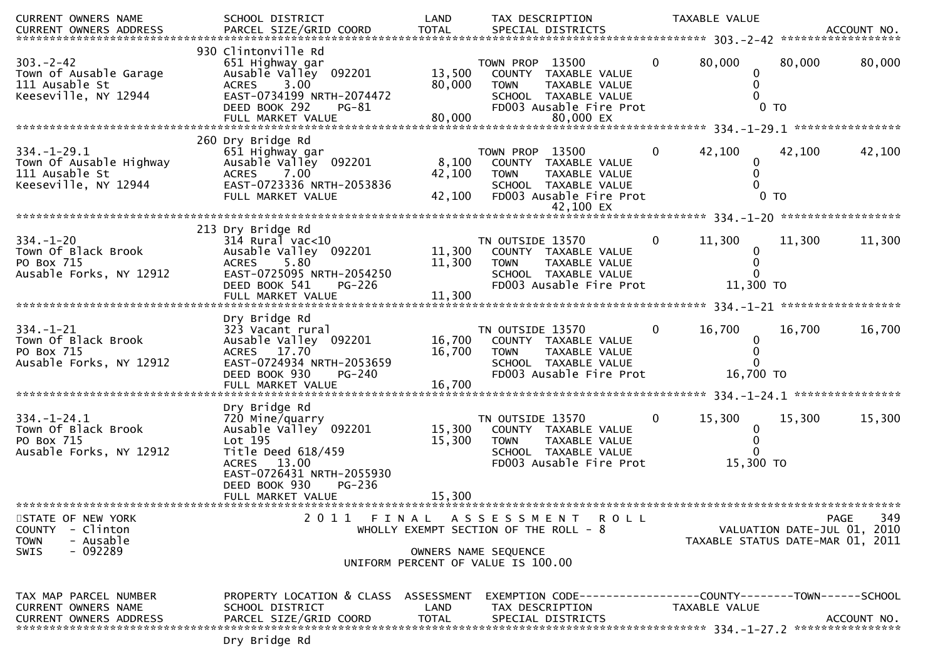| CURRENT OWNERS NAME<br>CURRENT OWNERS ADDRESS                                                 | SCHOOL DISTRICT<br>PARCEL SIZE/GRID COORD                                                                                                                             | LAND<br><b>TOTAL</b>       | TAX DESCRIPTION<br>SPECIAL DISTRICTS                                                                                                    |                | TAXABLE VALUE                    |                          | ACCOUNT NO.                                |
|-----------------------------------------------------------------------------------------------|-----------------------------------------------------------------------------------------------------------------------------------------------------------------------|----------------------------|-----------------------------------------------------------------------------------------------------------------------------------------|----------------|----------------------------------|--------------------------|--------------------------------------------|
|                                                                                               |                                                                                                                                                                       |                            |                                                                                                                                         |                |                                  |                          |                                            |
| $303 - 2 - 42$<br>Town of Ausable Garage<br>111 Ausable St<br>Keeseville, NY 12944            | 930 Clintonville Rd<br>651 Highway gar<br>Ausable Valley 092201<br>ACRES 3.00<br>EAST-0734199 NRTH-2074472<br>DEED BOOK 292<br>PG-81<br>FULL MARKET VALUE             | 13,500<br>80,000<br>80,000 | TOWN PROP 13500<br>COUNTY TAXABLE VALUE<br><b>TOWN</b><br>TAXABLE VALUE<br>SCHOOL TAXABLE VALUE<br>FD003 Ausable Fire Prot<br>80,000 EX | $\mathbf{0}$   | 80,000                           | 80,000<br>0 <sub>T</sub> | 80,000                                     |
|                                                                                               | 260 Dry Bridge Rd                                                                                                                                                     |                            |                                                                                                                                         |                |                                  |                          |                                            |
| $334. - 1 - 29.1$<br>Town Of Ausable Highway<br>111 Ausable St<br>Keeseville, NY 12944        | 651 Highway gar<br>Ausable Valley 092201<br>7.00<br><b>ACRES</b><br>EAST-0723336 NRTH-2053836<br>FULL MARKET VALUE                                                    | 8,100<br>42,100<br>42,100  | TOWN PROP 13500<br>COUNTY TAXABLE VALUE<br><b>TOWN</b><br>TAXABLE VALUE<br>SCHOOL TAXABLE VALUE<br>FD003 Ausable Fire Prot              | $\mathbf{0}$   | 42,100<br>0                      | 42,100<br>0 <sub>T</sub> | 42,100                                     |
|                                                                                               |                                                                                                                                                                       |                            |                                                                                                                                         |                |                                  |                          |                                            |
| $334. - 1 - 20$<br>Town Of Black Brook<br>PO Box 715<br>Ausable Forks, NY 12912               | 213 Dry Bridge Rd<br>$314$ Rural vac<10<br>Ausable Valley 092201<br><b>ACRES</b><br>5.80<br>EAST-0725095 NRTH-2054250<br>DEED BOOK 541<br>PG-226<br>FULL MARKET VALUE | 11,300<br>11,300<br>11,300 | TN OUTSIDE 13570<br>COUNTY TAXABLE VALUE<br>TAXABLE VALUE<br><b>TOWN</b><br>SCHOOL TAXABLE VALUE<br>FD003 Ausable Fire Prot             | $\mathbf{0}$   | 11,300<br>$\Omega$<br>11,300 TO  | 11,300                   | 11,300                                     |
|                                                                                               |                                                                                                                                                                       |                            |                                                                                                                                         |                |                                  |                          |                                            |
| $334. - 1 - 21$<br>Town Of Black Brook<br>PO Box 715<br>Ausable Forks, NY 12912               | Dry Bridge Rd<br>323 Vacant rural<br>Ausable Valley 092201<br>ACRES 17.70<br>EAST-0724934 NRTH-2053659<br>DEED BOOK 930<br>PG-240<br>FULL MARKET VALUE                | 16,700<br>16,700<br>16,700 | TN OUTSIDE 13570<br>COUNTY TAXABLE VALUE<br><b>TOWN</b><br>TAXABLE VALUE<br>SCHOOL TAXABLE VALUE<br>FD003 Ausable Fire Prot             | $\mathbf{0}$   | 16,700<br>16,700 TO              | 16,700                   | 16,700                                     |
|                                                                                               | Dry Bridge Rd                                                                                                                                                         |                            |                                                                                                                                         |                |                                  |                          |                                            |
| $334. - 1 - 24.1$<br>Town Of Black Brook<br>PO Box 715<br>Ausable Forks, NY 12912             | 720 Mine/quarry<br>Ausable Valley 092201<br>Lot 195<br>Title Deed 618/459<br>ACRES 13.00<br>EAST-0726431 NRTH-2055930<br>DEED BOOK 930<br>PG-236                      | 15,300<br>15,300           | TN OUTSIDE 13570<br>COUNTY TAXABLE VALUE<br>TAXABLE VALUE<br><b>TOWN</b><br>SCHOOL TAXABLE VALUE<br>FD003 Ausable Fire Prot             | $\overline{0}$ | 15,300<br>0<br>15,300 TO         | 15,300                   | 15,300                                     |
|                                                                                               | FULL MARKET VALUE                                                                                                                                                     | 15,300                     |                                                                                                                                         |                |                                  |                          |                                            |
| STATE OF NEW YORK<br>COUNTY - Clinton<br><b>TOWN</b><br>- Ausable<br>$-092289$<br><b>SWIS</b> |                                                                                                                                                                       |                            | 2011 FINAL ASSESSMENT ROLL<br>WHOLLY EXEMPT SECTION OF THE ROLL - 8<br>OWNERS NAME SEQUENCE<br>UNIFORM PERCENT OF VALUE IS 100.00       |                | TAXABLE STATUS DATE-MAR 01, 2011 |                          | 349<br>PAGE<br>VALUATION DATE-JUL 01, 2010 |
| TAX MAP PARCEL NUMBER<br><b>CURRENT OWNERS NAME</b><br><b>CURRENT OWNERS ADDRESS</b>          | PROPERTY LOCATION & CLASS ASSESSMENT<br>SCHOOL DISTRICT<br>PARCEL SIZE/GRID COORD                                                                                     | LAND<br>TOTAL              | EXEMPTION CODE-----------------COUNTY-------TOWN------SCHOOL<br>TAX DESCRIPTION<br>SPECIAL DISTRICTS                                    |                | TAXABLE VALUE                    |                          | ACCOUNT NO.                                |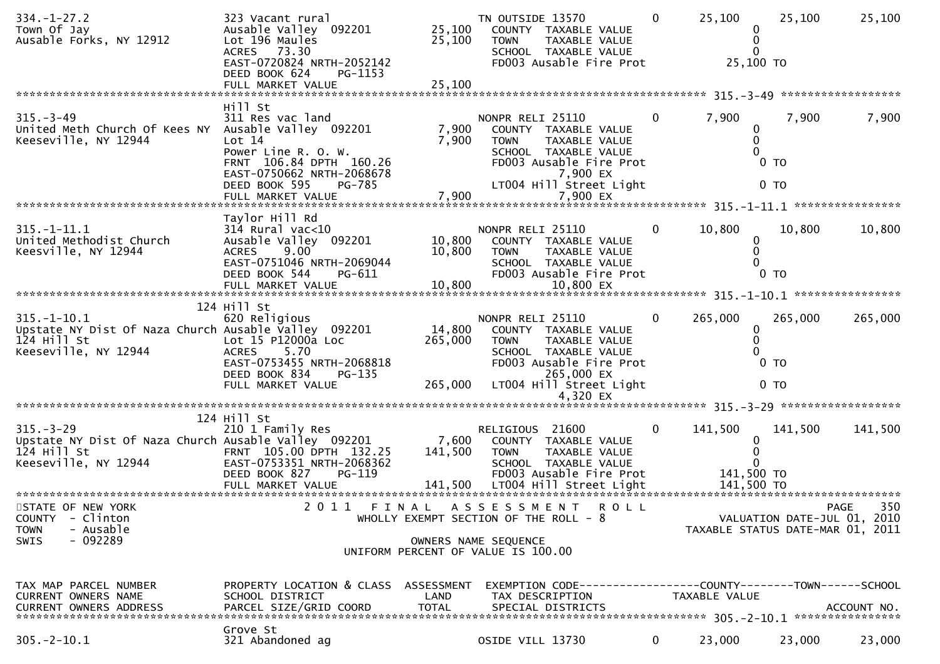| $334. - 1 - 27.2$<br>Town Of Jay<br>Ausable Forks, NY 12912                                                      | 323 Vacant rural<br>Ausable Valley 092201<br>Lot 196 Maules<br>ACRES 73.30<br>EAST-0720824 NRTH-2052142<br>DEED BOOK 624<br>PG-1153             | 25,100<br>25,100             | TN OUTSIDE 13570<br>COUNTY TAXABLE VALUE<br><b>TOWN</b><br>TAXABLE VALUE<br>SCHOOL TAXABLE VALUE<br>FD003 Ausable Fire Prot                                          | $\mathbf{0}$   | 25,100<br>0<br>0<br>0<br>25,100 TO | 25,100                            | 25,100                      |
|------------------------------------------------------------------------------------------------------------------|-------------------------------------------------------------------------------------------------------------------------------------------------|------------------------------|----------------------------------------------------------------------------------------------------------------------------------------------------------------------|----------------|------------------------------------|-----------------------------------|-----------------------------|
|                                                                                                                  |                                                                                                                                                 |                              |                                                                                                                                                                      |                |                                    |                                   |                             |
| $315 - 3 - 49$<br>United Meth Church Of Kees NY Ausable Valley 092201<br>Keeseville, NY 12944                    | Hill St<br>311 Res vac land<br>Lot 14<br>Power Line R. O. W.<br>FRNT 106.84 DPTH 160.26<br>EAST-0750662 NRTH-2068678<br>DEED BOOK 595<br>PG-785 | 7,900<br>7,900               | NONPR RELI 25110<br>COUNTY TAXABLE VALUE<br>TAXABLE VALUE<br><b>TOWN</b><br>SCHOOL TAXABLE VALUE<br>FD003 Ausable Fire Prot<br>7,900 EX<br>LT004 Hill Street Light   | $\overline{0}$ | 7,900<br>0<br>0                    | 7,900<br>$0$ TO<br>0 <sub>T</sub> | 7,900                       |
|                                                                                                                  |                                                                                                                                                 |                              |                                                                                                                                                                      |                |                                    |                                   |                             |
| $315. - 1 - 11.1$<br>United Methodist Church<br>Keesville, NY 12944                                              | Taylor Hill Rd<br>$314$ Rural vac<10<br>Ausable Valley 092201<br>9.00<br><b>ACRES</b><br>EAST-0751046 NRTH-2069044<br>DEED BOOK 544<br>PG-611   | 10,800<br>10,800             | NONPR RELI 25110<br>COUNTY TAXABLE VALUE<br>TAXABLE VALUE<br><b>TOWN</b><br>SCHOOL TAXABLE VALUE<br>FD003 Ausable Fire Prot                                          | $\overline{0}$ | 10,800<br>0<br>0                   | 10,800<br>$0$ TO                  | 10,800                      |
|                                                                                                                  | 124 Hill St                                                                                                                                     |                              |                                                                                                                                                                      |                |                                    |                                   |                             |
| $315. - 1 - 10.1$<br>Upstate NY Dist Of Naza Church Ausable Valley 092201<br>124 Hill St<br>Keeseville, NY 12944 | 620 Religious<br>Lot 15 P12000a Loc<br>5.70<br><b>ACRES</b><br>EAST-0753455 NRTH-2068818<br>DEED BOOK 834<br>PG-135<br>FULL MARKET VALUE        | 14,800<br>265,000<br>265,000 | NONPR RELI 25110<br>COUNTY TAXABLE VALUE<br><b>TOWN</b><br>TAXABLE VALUE<br>SCHOOL TAXABLE VALUE<br>FD003 Ausable Fire Prot<br>265,000 EX<br>LT004 Hill Street Light | $\Omega$       | 265,000<br>0<br>0                  | 265,000<br>$0$ TO<br>$0$ TO       | 265,000                     |
|                                                                                                                  |                                                                                                                                                 |                              | 4,320 EX                                                                                                                                                             |                |                                    |                                   |                             |
| $315 - 3 - 29$<br>Upstate NY Dist Of Naza Church Ausable Valley 092201<br>124 Hill St<br>Keeseville, NY 12944    | 124 Hill St<br>210 1 Family Res<br>FRNT 105.00 DPTH 132.25<br>EAST-0753351 NRTH-2068362<br>DEED BOOK 827<br>PG-119                              | 7,600<br>141,500             | RELIGIOUS 21600<br>COUNTY TAXABLE VALUE<br>TAXABLE VALUE<br><b>TOWN</b><br>SCHOOL TAXABLE VALUE<br>FD003 Ausable Fire Prot                                           | $\overline{0}$ | 141,500<br>0<br>141,500 TO         | 141,500                           | 141,500                     |
| STATE OF NEW YORK                                                                                                | 2 0 1 1                                                                                                                                         |                              | FINAL ASSESSMENT<br><b>ROLL</b>                                                                                                                                      |                |                                    |                                   | 350<br><b>PAGE</b>          |
| - Clinton<br><b>COUNTY</b><br><b>TOWN</b><br>- Ausable<br>$-092289$<br><b>SWIS</b>                               |                                                                                                                                                 |                              | WHOLLY EXEMPT SECTION OF THE ROLL - $8$<br>OWNERS NAME SEQUENCE<br>UNIFORM PERCENT OF VALUE IS 100.00                                                                |                | TAXABLE STATUS DATE-MAR 01, 2011   |                                   | VALUATION DATE-JUL 01, 2010 |
| TAX MAP PARCEL NUMBER<br>CURRENT OWNERS NAME<br><b>CURRENT OWNERS ADDRESS</b>                                    | PROPERTY LOCATION & CLASS ASSESSMENT<br>SCHOOL DISTRICT<br>PARCEL SIZE/GRID COORD                                                               | LAND<br><b>TOTAL</b>         | EXEMPTION CODE-----------------COUNTY-------TOWN------SCHOOL<br>TAX DESCRIPTION<br>SPECIAL DISTRICTS                                                                 |                | TAXABLE VALUE                      |                                   | ACCOUNT NO.                 |
| $305. - 2 - 10.1$                                                                                                | Grove St<br>321 Abandoned ag                                                                                                                    |                              | OSIDE VILL 13730                                                                                                                                                     | $\mathbf{0}$   | 23,000                             | 23,000                            | 23,000                      |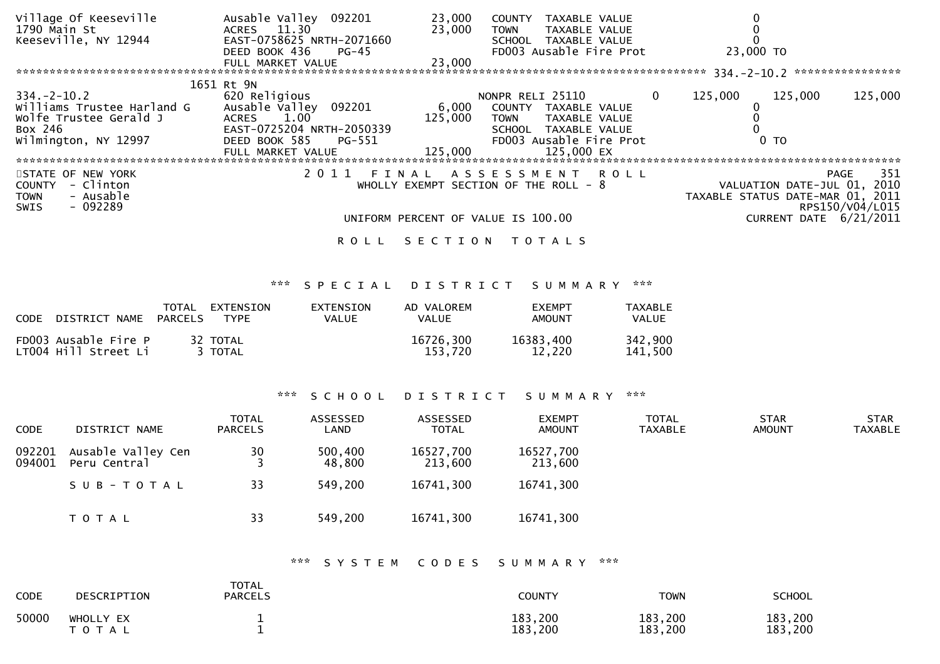| Village Of Keeseville<br>1790 Main St                                                                   | Ausable Valley 092201<br>ACRES 11.30         | 23,000<br>23,000 | <b>COUNTY</b><br>TAXABLE VALUE<br><b>TOWN</b><br>TAXABLE VALUE |          |                                                                 |                                |
|---------------------------------------------------------------------------------------------------------|----------------------------------------------|------------------|----------------------------------------------------------------|----------|-----------------------------------------------------------------|--------------------------------|
| Keeseville, NY 12944                                                                                    | EAST-0758625 NRTH-2071660                    |                  | SCHOOL TAXABLE VALUE                                           |          |                                                                 |                                |
|                                                                                                         | DEED BOOK 436<br>PG-45<br>FULL MARKET VALUE  | 23,000           | FD003 Ausable Fire Prot                                        |          | 23,000 TO                                                       |                                |
|                                                                                                         | 1651 Rt 9N                                   |                  |                                                                |          | 334. - 2 - 10. 2 *****************                              |                                |
| 334. –2–10.2                                                                                            | 620 Religious                                |                  | NONPR RELI 25110                                               | $\Omega$ | 125,000<br>125,000                                              | 125,000                        |
| Williams Trustee Harland G<br>Wolfe Trustee Gerald J                                                    | Ausable Valley 092201<br>1.00<br>ACRES       | 6,000<br>125,000 | COUNTY<br>TAXABLE VALUE<br>TAXABLE VALUE<br><b>TOWN</b>        |          |                                                                 |                                |
| Box 246                                                                                                 | EAST-0725204 NRTH-2050339                    |                  | SCHOOL TAXABLE VALUE                                           |          |                                                                 |                                |
| Wilmington, NY 12997                                                                                    | DEED BOOK 585<br>PG-551<br>FULL MARKET VALUE | 125,000          | FD003 Ausable Fire Prot<br>125,000 EX                          |          | 0 TO                                                            |                                |
|                                                                                                         |                                              |                  |                                                                |          |                                                                 |                                |
| STATE OF NEW YORK<br>- Clinton<br><b>COUNTY</b><br>- Ausable<br><b>TOWN</b><br>$-092289$<br><b>SWIS</b> | 2011<br>FINAL                                |                  | ASSESSMENT ROLL<br>WHOLLY EXEMPT SECTION OF THE ROLL $-8$      |          | VALUATION DATE-JUL 01, 2010<br>TAXABLE STATUS DATE-MAR 01, 2011 | 351<br>PAGE<br>RPS150/V04/L015 |
|                                                                                                         |                                              |                  | UNIFORM PERCENT OF VALUE IS 100.00                             |          | CURRENT DATE 6/21/2011                                          |                                |
|                                                                                                         | ROLL                                         | SECTION          | T O T A L S                                                    |          |                                                                 |                                |

# \*\*\* S P E C I A L D I S T R I C T S U M M A R Y \*\*\*

| CODE | DISTRICT NAME                                | TOTAL<br>PARCELS | EXTENSION<br><b>TYPE</b> | <b>EXTENSION</b><br><b>VALUE</b> | AD VALOREM<br><b>VALUE</b> | <b>FXFMPT</b><br>AMOUNT | TAXABLE<br>VALUE   |
|------|----------------------------------------------|------------------|--------------------------|----------------------------------|----------------------------|-------------------------|--------------------|
|      | FD003 Ausable Fire P<br>LT004 Hill Street Li |                  | 32 TOTAL<br>3 TOTAL      |                                  | 16726,300<br>153.720       | 16383,400<br>12.220     | 342.900<br>141.500 |

# \*\*\* S C H O O L D I S T R I C T S U M M A R Y \*\*\*

| CODE             | DISTRICT NAME                      | <b>TOTAL</b><br><b>PARCELS</b> | ASSESSED<br>LAND  | ASSESSED<br><b>TOTAL</b> | <b>EXEMPT</b><br>AMOUNT | <b>TOTAL</b><br><b>TAXABLE</b> | <b>STAR</b><br><b>AMOUNT</b> | <b>STAR</b><br>TAXABLE |
|------------------|------------------------------------|--------------------------------|-------------------|--------------------------|-------------------------|--------------------------------|------------------------------|------------------------|
| 092201<br>094001 | Ausable Valley Cen<br>Peru Central | 30                             | 500,400<br>48,800 | 16527,700<br>213,600     | 16527,700<br>213,600    |                                |                              |                        |
|                  | SUB-TOTAL                          | 33                             | 549,200           | 16741,300                | 16741,300               |                                |                              |                        |
|                  | T O T A L                          | 33                             | 549,200           | 16741,300                | 16741,300               |                                |                              |                        |

### \*\*\* S Y S T E M C O D E S S U M M A R Y \*\*\*

| <b>CODE</b> | DESCRIPTION            | <b>TOTAL</b><br><b>PARCELS</b> | COUNTY             | <b>TOWN</b>        | <b>SCHOOL</b>      |
|-------------|------------------------|--------------------------------|--------------------|--------------------|--------------------|
| 50000       | WHOLLY EX<br>T O T A L |                                | 183,200<br>183,200 | 183,200<br>183,200 | 183,200<br>183,200 |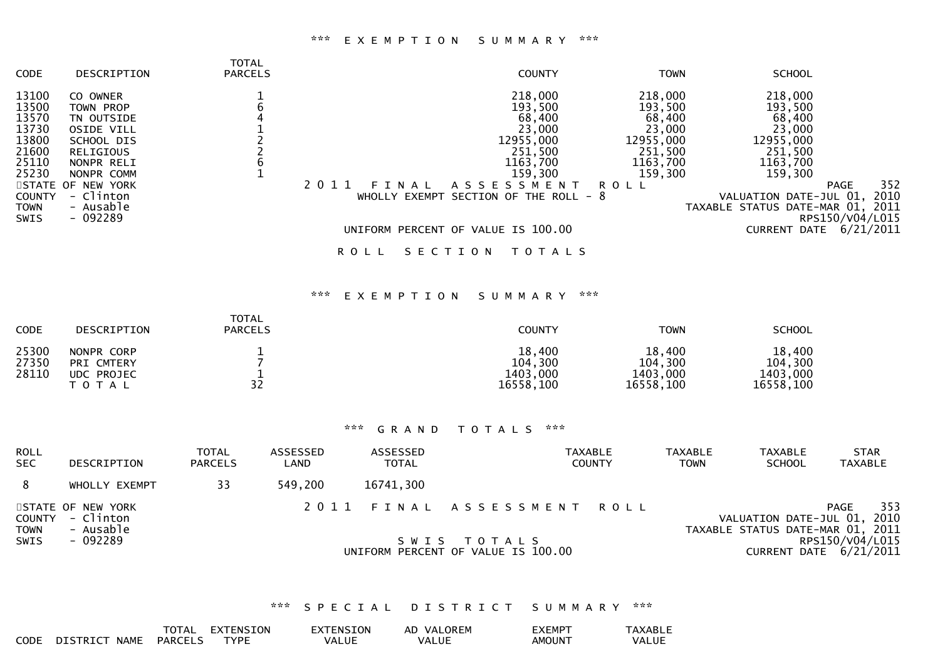#### \*\*\* E X E M P T I O N S U M M A R Y \*\*\*

| <b>CODE</b>   | DESCRIPTION       | TOTAL<br><b>PARCELS</b> |                    | <b>COUNTY</b>                         | <b>TOWN</b> | <b>SCHOOL</b>                    |                    |
|---------------|-------------------|-------------------------|--------------------|---------------------------------------|-------------|----------------------------------|--------------------|
| 13100         | CO OWNER          |                         |                    | 218,000                               | 218,000     | 218,000                          |                    |
| 13500         | TOWN PROP         |                         |                    | 193,500                               | 193,500     | 193,500                          |                    |
| 13570         | TN OUTSIDE        |                         |                    | 68,400                                | 68,400      | 68,400                           |                    |
| 13730         | <b>OSIDE VILL</b> |                         |                    | 23,000                                | 23,000      | 23,000                           |                    |
| 13800         | SCHOOL DIS        |                         |                    | 12955,000                             | 12955,000   | 12955,000                        |                    |
| 21600         | <b>RELIGIOUS</b>  |                         |                    | 251,500                               | 251,500     | 251,500                          |                    |
| 25110         | NONPR RELI        |                         |                    | 1163,700                              | 1163,700    | 1163,700                         |                    |
| 25230         | NONPR COMM        |                         |                    | 159,300                               | 159,300     | 159,300                          |                    |
|               | STATE OF NEW YORK |                         | 2011<br>F T<br>A L | A S S E S S M E N T                   | <b>ROLL</b> |                                  | 352<br><b>PAGE</b> |
| <b>COUNTY</b> | - Clinton         |                         |                    | WHOLLY EXEMPT SECTION OF THE ROLL - 8 |             | VALUATION DATE-JUL 01,           | 2010               |
| <b>TOWN</b>   | - Ausable         |                         |                    |                                       |             | TAXABLE STATUS DATE-MAR 01, 2011 |                    |
| <b>SWIS</b>   | $-092289$         |                         |                    |                                       |             |                                  | RPS150/V04/L015    |
|               |                   |                         |                    | UNIFORM PERCENT OF VALUE IS 100.00    |             | DATE<br><b>CURRENT</b>           | 6/21/2011          |
|               |                   |                         | R O L L            | SECTION<br>T O T A L S                |             |                                  |                    |

### \*\*\* E X E M P T I O N S U M M A R Y \*\*\*

| <b>CODE</b>             | <b>DESCRIPTION</b>                                  | TOTAL<br><b>PARCELS</b> | COUNTY                                     | <b>TOWN</b>                                | <b>SCHOOL</b>                              |
|-------------------------|-----------------------------------------------------|-------------------------|--------------------------------------------|--------------------------------------------|--------------------------------------------|
| 25300<br>27350<br>28110 | NONPR CORP<br>PRI CMTERY<br>UDC PROJEC<br>T O T A L | 32                      | 18,400<br>104,300<br>1403,000<br>16558,100 | 18,400<br>104,300<br>1403,000<br>16558,100 | 18,400<br>104,300<br>1403,000<br>16558,100 |

### \*\*\* G R A N D T O T A L S \*\*\*

| <b>ROLL</b><br><b>SEC</b>            | DESCRIPTION                                             | <b>TOTAL</b><br><b>PARCELS</b> | ASSESSED<br>LAND | ASSESSED<br><b>TOTAL</b> | TAXABLE<br><b>COUNTY</b>                                                        | <b>TAXABLE</b><br>TOWN | <b>TAXABLE</b><br><b>SCHOOL</b>                                 | <b>STAR</b><br>TAXABLE                                   |
|--------------------------------------|---------------------------------------------------------|--------------------------------|------------------|--------------------------|---------------------------------------------------------------------------------|------------------------|-----------------------------------------------------------------|----------------------------------------------------------|
| 8                                    | WHOLLY EXEMPT                                           | 33                             | 549.200          | 16741,300                |                                                                                 |                        |                                                                 |                                                          |
| COUNTY<br><b>TOWN</b><br><b>SWIS</b> | STATE OF NEW YORK<br>- Clinton<br>- Ausable<br>- 092289 |                                |                  |                          | 2011 FINAL ASSESSMENT ROLL<br>SWIS TOTALS<br>UNIFORM PERCENT OF VALUE IS 100.00 |                        | VALUATION DATE-JUL 01, 2010<br>TAXABLE STATUS DATE-MAR 01, 2011 | 353<br>PAGE<br>RPS150/V04/L015<br>CURRENT DATE 6/21/2011 |

### \*\*\* S P E C I A L D I S T R I C T S U M M A R Y \*\*\*

|      |               | <b>TOTAL</b>   | <b>EXTENSION</b> | EXTENSION | AD VALOREM | EXEMPT        | TAXABLL |
|------|---------------|----------------|------------------|-----------|------------|---------------|---------|
| CODE | DISTRICT NAME | <b>PARCELS</b> | <b>TYPF</b>      | VALUE     | VALUE      | <b>AMOUNT</b> | VALUE   |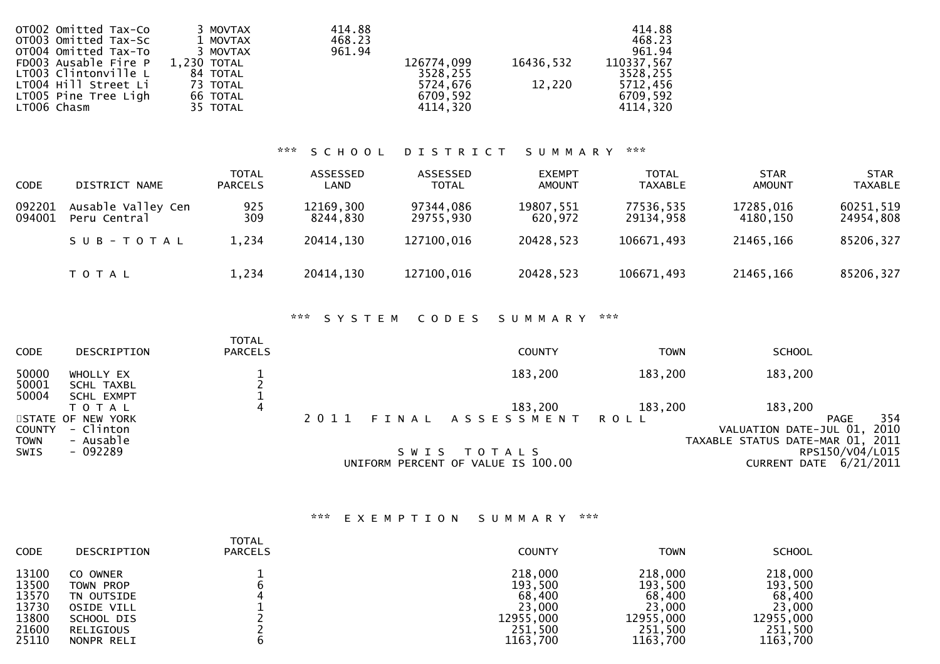| OTOO2 Omitted Tax-Co<br>OT003 Omitted Tax-Sc | 3 MOVTAX<br>1 MOVTAX | 414.88<br>468.23 |            |           | 414.88<br>468.23 |
|----------------------------------------------|----------------------|------------------|------------|-----------|------------------|
| OT004 Omitted Tax-To                         | 3 MOVTAX             | 961.94           |            |           | 961.94           |
| FD003 Ausable Fire $P = 1,230$ TOTAL         |                      |                  | 126774,099 | 16436,532 | 110337,567       |
| LT003 Clintonville L                         | 84 TOTAL             |                  | 3528,255   |           | 3528,255         |
| LT004 Hill Street Li                         | 73 TOTAL             |                  | 5724,676   | 12,220    | 5712,456         |
| LT005 Pine Tree Ligh                         | 66 TOTAL             |                  | 6709,592   |           | 6709,592         |
| LT006 Chasm                                  | 35 TOTAL             |                  | 4114.320   |           | 4114,320         |
|                                              |                      |                  |            |           |                  |

# \*\*\* S C H O O L D I S T R I C T S U M M A R Y \*\*\*

| <b>CODE</b>      | DISTRICT NAME                      | <b>TOTAL</b><br><b>PARCELS</b> | ASSESSED<br>LAND      | ASSESSED<br><b>TOTAL</b> | <b>EXEMPT</b><br><b>AMOUNT</b> | <b>TOTAL</b><br><b>TAXABLE</b> | <b>STAR</b><br><b>AMOUNT</b> | <b>STAR</b><br><b>TAXABLE</b> |
|------------------|------------------------------------|--------------------------------|-----------------------|--------------------------|--------------------------------|--------------------------------|------------------------------|-------------------------------|
| 092201<br>094001 | Ausable Valley Cen<br>Peru Central | 925<br>309                     | 12169,300<br>8244.830 | 97344,086<br>29755,930   | 19807,551<br>620.972           | 77536,535<br>29134,958         | 17285,016<br>4180.150        | 60251,519<br>24954,808        |
|                  | SUB-TOTAL                          | 1,234                          | 20414,130             | 127100,016               | 20428,523                      | 106671,493                     | 21465,166                    | 85206,327                     |
|                  | T O T A L                          | 1,234                          | 20414,130             | 127100,016               | 20428,523                      | 106671,493                     | 21465,166                    | 85206,327                     |

# \*\*\* S Y S T E M C O D E S S U M M A R Y \*\*\*

| <b>CODE</b>                  | DESCRIPTION                                     | <b>TOTAL</b><br><b>PARCELS</b> |      |         | <b>COUNTY</b>                                     | <b>TOWN</b> | <b>SCHOOL</b>                                              |                 |
|------------------------------|-------------------------------------------------|--------------------------------|------|---------|---------------------------------------------------|-------------|------------------------------------------------------------|-----------------|
| 50000<br>50001               | WHOLLY EX<br><b>SCHL TAXBL</b>                  |                                |      |         | 183,200                                           | 183,200     | 183,200                                                    |                 |
| 50004                        | <b>SCHL EXMPT</b><br>ΤΟΤΑΙ<br>STATE OF NEW YORK | 4                              | 2011 |         | 183,200<br>FINAL ASSESSMENT ROLL                  | 183,200     | 183,200                                                    | 354<br>PAGE     |
| <b>COUNTY</b><br><b>TOWN</b> | - Clinton<br>- Ausable                          |                                |      |         |                                                   |             | VALUATION DATE-JUL 01,<br>TAXABLE STATUS DATE-MAR 01, 2011 | 2010            |
| SWIS                         | - 092289                                        |                                |      | S W I S | T O T A L S<br>UNIFORM PERCENT OF VALUE IS 100.00 |             | CURRENT DATE 6/21/2011                                     | RPS150/V04/L015 |

# \*\*\* E X E M P T I O N S U M M A R Y \*\*\*

| <b>CODE</b> | DESCRIPTION  | <b>TOTAL</b><br><b>PARCELS</b> | <b>COUNTY</b> | <b>TOWN</b> | <b>SCHOOL</b> |
|-------------|--------------|--------------------------------|---------------|-------------|---------------|
| 13100       | OWNER<br>CO. |                                | 218,000       | 218,000     | 218,000       |
| 13500       | TOWN PROP    |                                | 193,500       | 193,500     | 193,500       |
| 13570       | TN OUTSIDE   |                                | 68,400        | 68,400      | 68,400        |
| 13730       | OSIDE VILL   |                                | 23,000        | 23,000      | 23,000        |
| 13800       | SCHOOL DIS   |                                | 12955,000     | 12955,000   | 12955,000     |
| 21600       | RELIGIOUS    |                                | 251,500       | 251,500     | 251,500       |
| 25110       | NONPR RELI   |                                | 1163,700      | 1163,700    | 1163,700      |
|             |              |                                |               |             |               |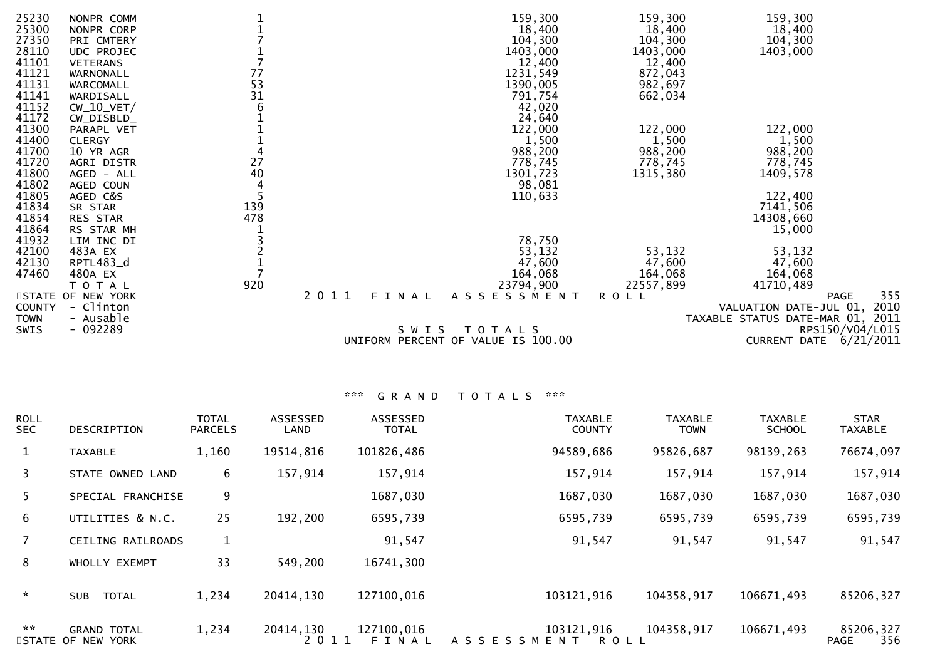| 355<br><b>PAGE</b>               |
|----------------------------------|
| 2010<br>VALUATION DATE-JUL 01,   |
| TAXABLE STATUS DATE-MAR 01, 2011 |
| RPS150/V04/L015                  |
| CURRENT DATE 6/21/2011           |
| 47,600<br>164,068<br>41710,489   |

| <b>ROLL</b><br><b>SEC</b>   | DESCRIPTION                             | <b>TOTAL</b><br><b>PARCELS</b> | ASSESSED<br>LAND  | <b>ASSESSED</b><br><b>TOTAL</b> | <b>TAXABLE</b><br><b>COUNTY</b> | <b>TAXABLE</b><br><b>TOWN</b> | <b>TAXABLE</b><br><b>SCHOOL</b> | <b>STAR</b><br><b>TAXABLE</b> |
|-----------------------------|-----------------------------------------|--------------------------------|-------------------|---------------------------------|---------------------------------|-------------------------------|---------------------------------|-------------------------------|
| $\mathbf{1}$                | <b>TAXABLE</b>                          | 1,160                          | 19514,816         | 101826,486                      | 94589,686                       | 95826,687                     | 98139,263                       | 76674,097                     |
| 3                           | STATE OWNED LAND                        | 6                              | 157,914           | 157,914                         | 157,914                         | 157,914                       | 157,914                         | 157,914                       |
| 5.                          | SPECIAL FRANCHISE                       | 9                              |                   | 1687,030                        | 1687,030                        | 1687,030                      | 1687,030                        | 1687,030                      |
| 6                           | UTILITIES & N.C.                        | 25                             | 192,200           | 6595,739                        | 6595,739                        | 6595,739                      | 6595,739                        | 6595,739                      |
| $7^{\circ}$                 | CEILING RAILROADS                       | 1                              |                   | 91,547                          | 91,547                          | 91,547                        | 91,547                          | 91,547                        |
| 8                           | WHOLLY EXEMPT                           | 33                             | 549,200           | 16741,300                       |                                 |                               |                                 |                               |
| $\mathcal{H}^{\mathcal{C}}$ | <b>TOTAL</b><br><b>SUB</b>              | 1,234                          | 20414,130         | 127100,016                      | 103121,916                      | 104358,917                    | 106671,493                      | 85206,327                     |
| $\mathbf{x} \mathbf{x}$     | <b>GRAND TOTAL</b><br>STATE OF NEW YORK | 1,234                          | 20414,130<br>2011 | 127100,016<br>FINAL             | 103121,916<br>ASSESSMENT ROLL   | 104358,917                    | 106671,493                      | 85206,327<br>356<br>PAGE      |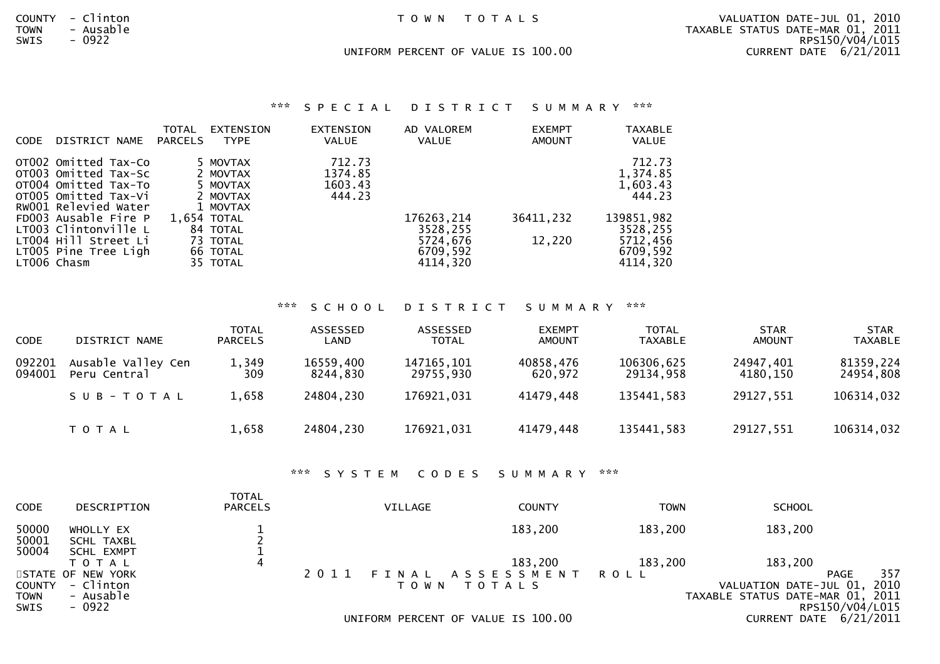|  |  |  |  | TOWN TOTALS |  |  |  |  |  |
|--|--|--|--|-------------|--|--|--|--|--|
|--|--|--|--|-------------|--|--|--|--|--|

COUNTY - Clinton T O W N T O T A L S VALUATION DATE-JUL 01, 2010 TOWN - Ausable TAXABLE STATUS DATE-MAR 01, 2011RPS150/V04/L015 SWIS - 0922 RPS150/V04/L015CURRENT DATE  $6/21/2011$ UNIFORM PERCENT OF VALUE IS 100.00 CURRENT DATE 6/21/2011

\*\*\* S P E C I A L D I S T R I C T S U M M A R Y \*\*\*

| CODE | DISTRICT NAME                                                                                                                                                                                                        | TOTAL<br><b>PARCELS</b> | EXTENSION<br><b>TYPE</b>                                                                     | EXTENSION<br><b>VALUE</b>              | AD VALOREM<br><b>VALUE</b>                      | <b>EXEMPT</b><br><b>AMOUNT</b> | <b>TAXABLE</b><br><b>VALUE</b>                                                             |
|------|----------------------------------------------------------------------------------------------------------------------------------------------------------------------------------------------------------------------|-------------------------|----------------------------------------------------------------------------------------------|----------------------------------------|-------------------------------------------------|--------------------------------|--------------------------------------------------------------------------------------------|
|      | OTO02 Omitted Tax-Co<br>OT003 Omitted Tax-Sc<br>OT004 Omitted Tax-To<br>OTO05 Omitted Tax-Vi<br>RW001 Relevied Water<br>FD003 Ausable Fire P<br>LT003 Clintonville L<br>LT004 Hill Street Li<br>LT005 Pine Tree Ligh | 1.654 TOTAL             | 5 MOVTAX<br>2 MOVTAX<br>5 MOVTAX<br>2 MOVTAX<br>1 MOVTAX<br>84 TOTAL<br>73 TOTAL<br>66 TOTAL | 712.73<br>1374.85<br>1603.43<br>444.23 | 176263, 214<br>3528,255<br>5724,676<br>6709,592 | 36411,232<br>12,220            | 712.73<br>1,374.85<br>1,603.43<br>444.23<br>139851,982<br>3528,255<br>5712,456<br>6709,592 |
|      | LT006 Chasm                                                                                                                                                                                                          |                         | 35 TOTAL                                                                                     |                                        | 4114,320                                        |                                | 4114,320                                                                                   |

TOTAL

### \*\*\* S C H O O L D I S T R I C T S U M M A R Y \*\*\*

| <b>CODE</b>      | DISTRICT NAME                      | <b>TOTAL</b><br><b>PARCELS</b> | ASSESSED<br>LAND      | ASSESSED<br><b>TOTAL</b> | <b>EXEMPT</b><br><b>AMOUNT</b> | <b>TOTAL</b><br><b>TAXABLE</b> | <b>STAR</b><br><b>AMOUNT</b> | <b>STAR</b><br><b>TAXABLE</b> |
|------------------|------------------------------------|--------------------------------|-----------------------|--------------------------|--------------------------------|--------------------------------|------------------------------|-------------------------------|
| 092201<br>094001 | Ausable Valley Cen<br>Peru Central | 1,349<br>309                   | 16559,400<br>8244.830 | 147165,101<br>29755,930  | 40858,476<br>620,972           | 106306,625<br>29134,958        | 24947,401<br>4180.150        | 81359,224<br>24954,808        |
|                  | SUB-TOTAL                          | 1,658                          | 24804,230             | 176921,031               | 41479.448                      | 135441,583                     | 29127,551                    | 106314,032                    |
|                  | T O T A L                          | 1,658                          | 24804,230             | 176921,031               | 41479,448                      | 135441,583                     | 29127,551                    | 106314,032                    |

\*\*\* S Y S T E M C O D E S S U M M A R Y \*\*\*

| <b>CODE</b>                  | DESCRIPTION                           | 1 U I A L<br><b>PARCELS</b> | <b>VILLAGE</b> | <b>COUNTY</b>                      | <b>TOWN</b> | <b>SCHOOL</b>                                                   |                 |
|------------------------------|---------------------------------------|-----------------------------|----------------|------------------------------------|-------------|-----------------------------------------------------------------|-----------------|
| 50000<br>50001<br>50004      | WHOLLY EX<br>SCHL TAXBL<br>SCHL EXMPT |                             |                | 183,200                            | 183,200     | 183,200                                                         |                 |
|                              | T O T A L                             | 4                           |                | 183,200                            | 183,200     | 183,200                                                         |                 |
|                              | STATE OF NEW YORK<br>- Clinton        |                             | 2 0 1 1        | FINAL ASSESSMENT ROLL              |             |                                                                 | 357<br>PAGE     |
| <b>COUNTY</b><br><b>TOWN</b> | - Ausable                             |                             |                | TOWN TOTALS                        |             | VALUATION DATE-JUL 01, 2010<br>TAXABLE STATUS DATE-MAR 01, 2011 |                 |
| SWIS                         | - 0922                                |                             |                |                                    |             |                                                                 | RPS150/V04/L015 |
|                              |                                       |                             |                | UNIFORM PERCENT OF VALUE IS 100.00 |             | CURRENT DATE 6/21/2011                                          |                 |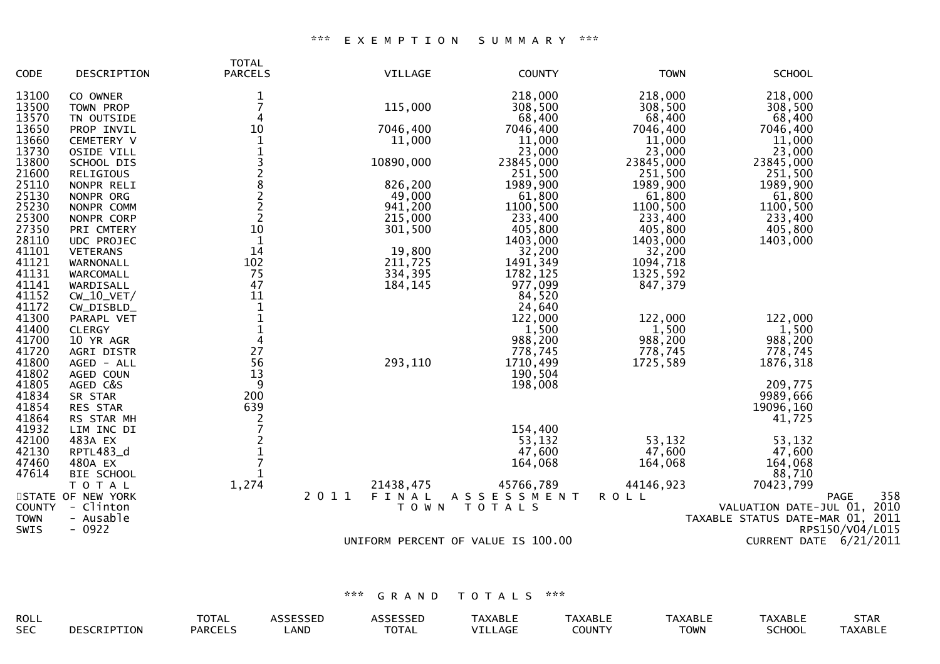### \*\*\* E X E M P T I O N S U M M A R Y \*\*\*

| CODE           | DESCRIPTION                 | <b>TOTAL</b><br><b>PARCELS</b>             | VILLAGE   | <b>COUNTY</b>                      | <b>TOWN</b>      | <b>SCHOOL</b>                    |
|----------------|-----------------------------|--------------------------------------------|-----------|------------------------------------|------------------|----------------------------------|
| 13100          | CO OWNER                    | $\mathbf{1}$                               |           | 218,000                            | 218,000          | 218,000                          |
| 13500          | TOWN PROP                   | $\overline{7}$                             | 115,000   | 308,500                            | 308,500          | 308,500                          |
| 13570          | TN OUTSIDE                  | 4                                          |           | 68,400                             | 68,400           | 68,400                           |
| 13650          | PROP INVIL                  | 10                                         | 7046,400  | 7046,400                           | 7046,400         | 7046,400                         |
| 13660          | <b>CEMETERY V</b>           | 1                                          | 11,000    | 11,000                             | 11,000           | 11,000                           |
| 13730          | OSIDE VILL                  | $\mathbf 1$                                |           | 23,000                             | 23,000           | 23,000                           |
| 13800          | SCHOOL DIS                  |                                            | 10890,000 | 23845,000                          | 23845,000        | 23845,000                        |
| 21600          | <b>RELIGIOUS</b>            | 32822                                      |           | 251,500                            | 251,500          | 251,500                          |
| 25110          | NONPR RELI                  |                                            | 826,200   | 1989,900                           | 1989,900         | 1989,900                         |
| 25130          | NONPR ORG                   |                                            | 49,000    | 61,800                             | 61,800           | 61,800                           |
| 25230          | NONPR COMM                  |                                            | 941,200   | 1100,500                           | 1100,500         | 1100,500                         |
| 25300          | NONPR CORP                  | $\overline{2}$                             | 215,000   | 233,400                            | 233,400          | 233,400                          |
| 27350          | PRI CMTERY                  | 10                                         | 301,500   | 405,800                            | 405,800          | 405,800                          |
| 28110          | UDC PROJEC                  | $\mathbf{1}$                               |           | 1403,000                           | 1403,000         | 1403,000                         |
| 41101          | <b>VETERANS</b>             | 14                                         | 19,800    | 32,200                             | 32,200           |                                  |
| 41121          | WARNONALL                   | 102                                        | 211,725   | 1491, 349                          | 1094,718         |                                  |
| 41131          | WARCOMALL                   | 75                                         | 334,395   | 1782, 125                          | 1325,592         |                                  |
| 41141          | WARDISALL                   | 47                                         | 184,145   | 977,099                            | 847,379          |                                  |
| 41152          | $CW_10_VET/$                | 11                                         |           | 84,520                             |                  |                                  |
| 41172          | CW_DISBLD_                  | $1\,$<br>$\mathbf 1$                       |           | 24,640                             |                  |                                  |
| 41300<br>41400 | PARAPL VET<br><b>CLERGY</b> | $\mathbf{1}$                               |           | 122,000<br>1,500                   | 122,000          | 122,000                          |
| 41700          | 10 YR AGR                   | $\overline{4}$                             |           | 988,200                            | 1,500<br>988,200 | 1,500<br>988,200                 |
| 41720          | AGRI DISTR                  | 27                                         |           | 778,745                            | 778,745          | 778,745                          |
| 41800          | AGED - ALL                  | 56                                         | 293,110   | 1710,499                           | 1725,589         | 1876, 318                        |
| 41802          | AGED COUN                   | 13                                         |           | 190,504                            |                  |                                  |
| 41805          | AGED C&S                    | 9                                          |           | 198,008                            |                  | 209,775                          |
| 41834          | SR STAR                     | 200                                        |           |                                    |                  | 9989,666                         |
| 41854          | RES STAR                    | 639                                        |           |                                    |                  | 19096,160                        |
| 41864          | RS STAR MH                  |                                            |           |                                    |                  | 41,725                           |
| 41932          | LIM INC DI                  | $\frac{2}{7}$                              |           | 154,400                            |                  |                                  |
| 42100          | 483A EX                     |                                            |           | 53,132                             | 53,132           | 53,132                           |
| 42130          | RPTL483_d                   | $\begin{array}{c} 2 \\ 1 \\ 7 \end{array}$ |           | 47,600                             | 47,600           | 47,600                           |
| 47460          | 480A EX                     |                                            |           | 164,068                            | 164,068          | 164,068                          |
| 47614          | BIE SCHOOL                  | 1                                          |           |                                    |                  | 88,710                           |
|                | TOTAL                       | 1,274                                      | 21438,475 | 45766,789                          | 44146,923        | 70423,799                        |
|                | STATE OF NEW YORK           | 2 0 1 1                                    | FINAL     | ASSESSMENT                         | <b>ROLL</b>      | 358<br><b>PAGE</b>               |
| <b>COUNTY</b>  | - Clinton                   |                                            | T O W N   | T O T A L S                        |                  | VALUATION DATE-JUL 01, 2010      |
| <b>TOWN</b>    | - Ausable                   |                                            |           |                                    |                  | TAXABLE STATUS DATE-MAR 01, 2011 |
| SWIS           | $-0922$                     |                                            |           |                                    |                  | RPS150/V04/L015                  |
|                |                             |                                            |           | UNIFORM PERCENT OF VALUE IS 100.00 |                  | CURRENT DATE 6/21/2011           |
|                |                             |                                            |           |                                    |                  |                                  |

| ROLL       | TOTAL         |                    | ╲ ⊢ ।         | <b><i>SABL</i></b> | VADIT<br>ᄓᅴᄓ | <b>XABL</b>          | \V ^ D I<br><b>AADL</b> | <b>SIAK</b> |
|------------|---------------|--------------------|---------------|--------------------|--------------|----------------------|-------------------------|-------------|
| <b>SEC</b> | <b>PARCEI</b> | <b>AND</b><br>LAND | ----<br>'UIAL | AG.                |              | $T^{\text{A}}$<br>vw | $\sim$                  | `ABL.       |